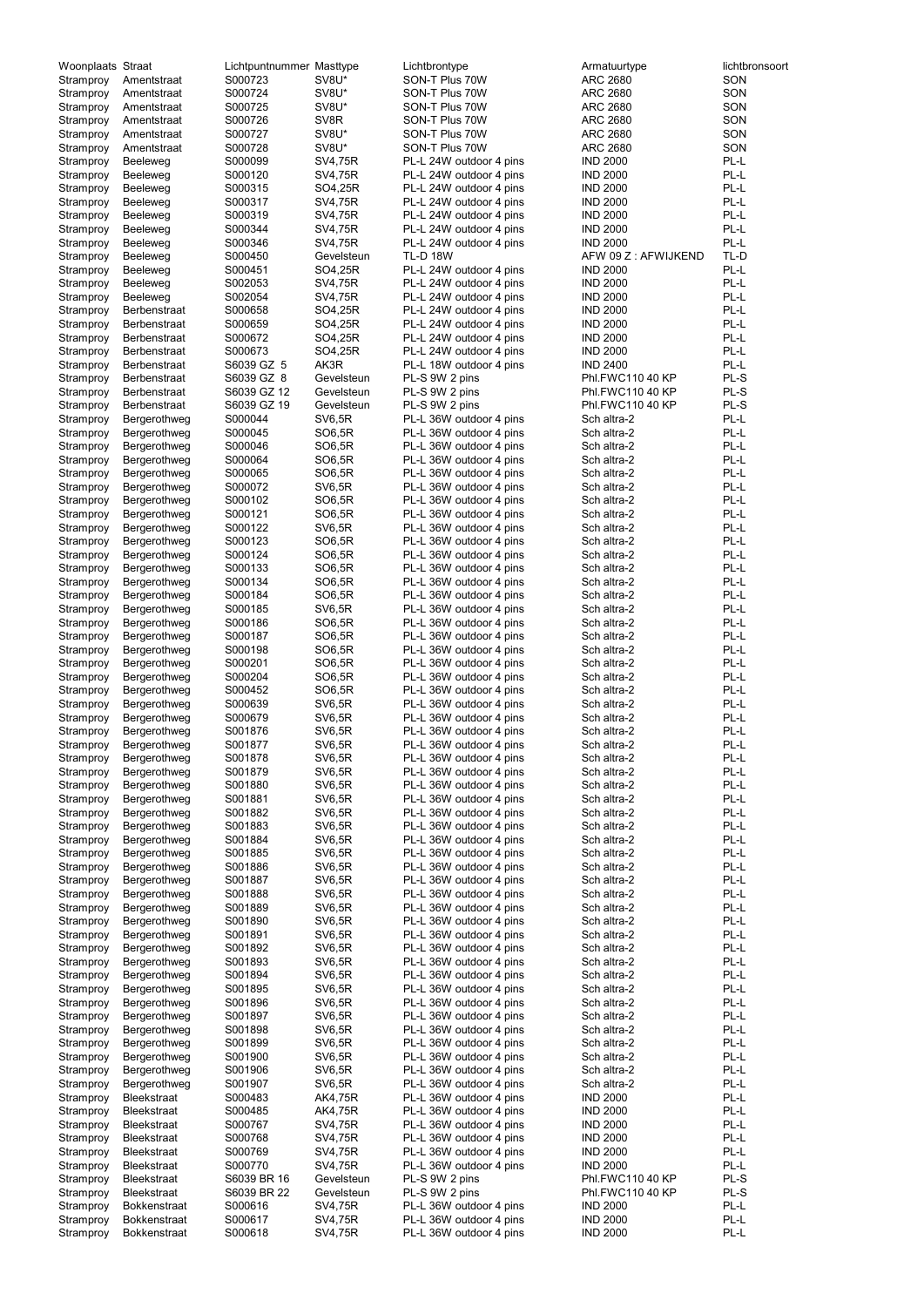| Woonplaats Straat      |                              | Lichtpuntnummer Masttype |                                | Lichtbrontype                                      | Armatuurtype               | lichtbronsoort |
|------------------------|------------------------------|--------------------------|--------------------------------|----------------------------------------------------|----------------------------|----------------|
| Stramproy              | Amentstraat                  | S000723                  | SV8U*                          | SON-T Plus 70W                                     | <b>ARC 2680</b>            | SON            |
| Stramproy              | Amentstraat                  | S000724                  | SV8U*                          | SON-T Plus 70W                                     | <b>ARC 2680</b>            | SON            |
| Stramproy              | Amentstraat                  | S000725                  | SV8U*                          | SON-T Plus 70W                                     | ARC 2680                   | SON            |
| Stramproy              | Amentstraat                  | S000726                  | SV8R                           | SON-T Plus 70W                                     | ARC 2680                   | SON            |
| Stramproy              | Amentstraat                  | S000727                  | SV8U*                          | SON-T Plus 70W                                     | <b>ARC 2680</b>            | SON            |
| Stramproy              | Amentstraat                  | S000728                  | SV8U*                          | SON-T Plus 70W                                     | <b>ARC 2680</b>            | SON            |
| Stramproy              | Beeleweg                     | S000099                  | SV4,75R                        | PL-L 24W outdoor 4 pins                            | <b>IND 2000</b>            | PL-L           |
| Stramproy              | Beeleweg                     | S000120                  | SV4,75R                        | PL-L 24W outdoor 4 pins                            | <b>IND 2000</b>            | PL-L           |
| Stramproy              | Beeleweg                     | S000315                  | SO4,25R                        | PL-L 24W outdoor 4 pins                            | <b>IND 2000</b>            | PL-L           |
| Stramproy              | Beeleweg                     | S000317                  | SV4,75R                        | PL-L 24W outdoor 4 pins                            | <b>IND 2000</b>            | PL-L           |
| Stramproy              | Beeleweg                     | S000319                  | SV4,75R                        | PL-L 24W outdoor 4 pins                            | <b>IND 2000</b>            | PL-L           |
| Stramproy              | Beeleweg                     | S000344                  | SV4,75R                        | PL-L 24W outdoor 4 pins                            | <b>IND 2000</b>            | PL-L           |
| Stramproy              | Beeleweg                     | S000346                  | SV4,75R                        | PL-L 24W outdoor 4 pins                            | <b>IND 2000</b>            | PL-L           |
| Stramproy              | Beeleweg                     | S000450                  | Gevelsteun                     | <b>TL-D 18W</b>                                    | AFW 09 Z: AFWIJKEND        | TL-D           |
| Stramproy              | Beeleweg                     | S000451                  | SO4,25R                        | PL-L 24W outdoor 4 pins                            | <b>IND 2000</b>            | PL-L           |
| Stramproy              | Beeleweg                     | S002053                  | SV4,75R                        | PL-L 24W outdoor 4 pins                            | <b>IND 2000</b>            | PL-L           |
| Stramproy              | Beeleweg                     | S002054                  | SV4,75R                        | PL-L 24W outdoor 4 pins                            | <b>IND 2000</b>            | PL-L           |
| Stramproy              | <b>Berbenstraat</b>          | S000658                  | SO4,25R                        | PL-L 24W outdoor 4 pins                            | <b>IND 2000</b>            | PL-L           |
| Stramproy              | Berbenstraat                 | S000659                  | SO4,25R                        | PL-L 24W outdoor 4 pins                            | <b>IND 2000</b>            | PL-L           |
| Stramproy              | Berbenstraat                 | S000672                  | SO4,25R                        | PL-L 24W outdoor 4 pins                            | <b>IND 2000</b>            | PL-L           |
| Stramproy              | Berbenstraat                 | S000673                  | SO4,25R                        | PL-L 24W outdoor 4 pins                            | <b>IND 2000</b>            | PL-L           |
| Stramproy              | Berbenstraat                 | S6039 GZ 5               | AK3R                           | PL-L 18W outdoor 4 pins                            | <b>IND 2400</b>            | PL-L           |
| Stramproy              | <b>Berbenstraat</b>          | S6039 GZ 8               | Gevelsteun                     | PL-S 9W 2 pins                                     | Phl.FWC110 40 KP           | PL-S           |
| Stramproy              | <b>Berbenstraat</b>          | S6039 GZ 12              | Gevelsteun                     | PL-S 9W 2 pins                                     | Phl.FWC110 40 KP           | PL-S           |
| Stramproy              | <b>Berbenstraat</b>          | S6039 GZ 19              | Gevelsteun                     | PL-S 9W 2 pins                                     | Phl.FWC110 40 KP           | PL-S           |
| Stramproy              | Bergerothweg                 | S000044                  | <b>SV6,5R</b>                  | PL-L 36W outdoor 4 pins                            | Sch altra-2                | PL-L           |
| Stramproy              | Bergerothweg                 | S000045                  | SO6,5R                         | PL-L 36W outdoor 4 pins                            | Sch altra-2                | PL-L<br>PL-L   |
| Stramproy              | Bergerothweg                 | S000046<br>S000064       | SO6,5R<br>SO6,5R               | PL-L 36W outdoor 4 pins<br>PL-L 36W outdoor 4 pins | Sch altra-2<br>Sch altra-2 | PL-L           |
| Stramproy              | Bergerothweg<br>Bergerothweg | S000065                  | SO6,5R                         | PL-L 36W outdoor 4 pins                            | Sch altra-2                | PL-L           |
| Stramproy              | Bergerothweg                 | S000072                  | <b>SV6,5R</b>                  | PL-L 36W outdoor 4 pins                            | Sch altra-2                | PL-L           |
| Stramproy<br>Stramproy | Bergerothweg                 | S000102                  | SO6,5R                         | PL-L 36W outdoor 4 pins                            | Sch altra-2                | PL-L           |
| Stramproy              | Bergerothweg                 | S000121                  | SO6,5R                         | PL-L 36W outdoor 4 pins                            | Sch altra-2                | PL-L           |
| Stramproy              | Bergerothweg                 | S000122                  | <b>SV6,5R</b>                  | PL-L 36W outdoor 4 pins                            | Sch altra-2                | PL-L           |
| Stramproy              | Bergerothweg                 | S000123                  | SO6,5R                         | PL-L 36W outdoor 4 pins                            | Sch altra-2                | PL-L           |
| Stramproy              | Bergerothweg                 | S000124                  | SO6,5R                         | PL-L 36W outdoor 4 pins                            | Sch altra-2                | PL-L           |
| Stramproy              | Bergerothweg                 | S000133                  | SO6,5R                         | PL-L 36W outdoor 4 pins                            | Sch altra-2                | PL-L           |
| Stramproy              | Bergerothweg                 | S000134                  | SO6,5R                         | PL-L 36W outdoor 4 pins                            | Sch altra-2                | PL-L           |
| Stramproy              | Bergerothweg                 | S000184                  | SO6,5R                         | PL-L 36W outdoor 4 pins                            | Sch altra-2                | PL-L           |
| Stramproy              | Bergerothweg                 | S000185                  | <b>SV6,5R</b>                  | PL-L 36W outdoor 4 pins                            | Sch altra-2                | PL-L           |
| Stramproy              | Bergerothweg                 | S000186                  | SO6,5R                         | PL-L 36W outdoor 4 pins                            | Sch altra-2                | PL-L           |
| Stramproy              | Bergerothweg                 | S000187                  | SO6,5R                         | PL-L 36W outdoor 4 pins                            | Sch altra-2                | PL-L           |
| Stramproy              | Bergerothweg                 | S000198                  | SO6,5R                         | PL-L 36W outdoor 4 pins                            | Sch altra-2                | PL-L           |
| Stramproy              | Bergerothweg                 | S000201                  | SO6,5R                         | PL-L 36W outdoor 4 pins                            | Sch altra-2                | PL-L           |
| Stramproy              | Bergerothweg                 | S000204                  | SO6,5R                         | PL-L 36W outdoor 4 pins                            | Sch altra-2                | PL-L           |
| Stramproy              | Bergerothweg                 | S000452                  | SO6,5R                         | PL-L 36W outdoor 4 pins                            | Sch altra-2                | PL-L           |
| Stramproy              | Bergerothweg                 | S000639                  | <b>SV6,5R</b>                  | PL-L 36W outdoor 4 pins                            | Sch altra-2                | PL-L           |
| Stramproy              | Bergerothweg                 | S000679                  | <b>SV6,5R</b>                  | PL-L 36W outdoor 4 pins                            | Sch altra-2                | PL-L           |
| Stramproy              | Bergerothweg                 | S001876                  | <b>SV6,5R</b>                  | PL-L 36W outdoor 4 pins                            | Sch altra-2                | PL-L           |
| Stramproy              | Bergerothweg                 | S001877                  | <b>SV6,5R</b>                  | PL-L 36W outdoor 4 pins                            | Sch altra-2                | PL-L           |
| Stramproy              | Bergerothweg                 | S001878                  | <b>SV6,5R</b>                  | PL-L 36W outdoor 4 pins                            | Sch altra-2                | PL-L           |
| Stramproy              | Bergerothweg                 | S001879                  | <b>SV6,5R</b>                  | PL-L 36W outdoor 4 pins                            | Sch altra-2                | PL-L           |
| Stramproy              | Bergerothweg                 | S001880                  | <b>SV6,5R</b>                  | PL-L 36W outdoor 4 pins                            | Sch altra-2                | PL-L           |
| Stramproy              | Bergerothweg                 | S001881                  | <b>SV6,5R</b>                  | PL-L 36W outdoor 4 pins                            | Sch altra-2                | PL-L           |
| Stramproy              | Bergerothweg                 | S001882                  | <b>SV6,5R</b>                  | PL-L 36W outdoor 4 pins                            | Sch altra-2                | PL-L           |
| Stramproy              | Bergerothweg                 | S001883                  | <b>SV6,5R</b>                  | PL-L 36W outdoor 4 pins                            | Sch altra-2                | PL-L           |
| Stramproy              | Bergerothweg                 | S001884                  | <b>SV6,5R</b>                  | PL-L 36W outdoor 4 pins                            | Sch altra-2                | PL-L           |
| Stramproy              | Bergerothweg                 | S001885                  | <b>SV6,5R</b>                  | PL-L 36W outdoor 4 pins                            | Sch altra-2                | PL-L           |
| Stramproy              | Bergerothweg                 | S001886                  | <b>SV6,5R</b>                  | PL-L 36W outdoor 4 pins                            | Sch altra-2                | PL-L           |
| Stramproy              | Bergerothweg                 | S001887                  | <b>SV6,5R</b>                  | PL-L 36W outdoor 4 pins                            | Sch altra-2                | PL-L           |
| Stramproy              | Bergerothweg                 | S001888                  | <b>SV6,5R</b>                  | PL-L 36W outdoor 4 pins                            | Sch altra-2                | PL-L           |
| Stramproy              | Bergerothweg                 | S001889<br>S001890       | <b>SV6,5R</b><br><b>SV6,5R</b> | PL-L 36W outdoor 4 pins<br>PL-L 36W outdoor 4 pins | Sch altra-2<br>Sch altra-2 | PL-L<br>PL-L   |
| Stramproy              | Bergerothweg                 |                          | <b>SV6,5R</b>                  |                                                    |                            | PL-L           |
| Stramproy              | Bergerothweg                 | S001891<br>S001892       | <b>SV6,5R</b>                  | PL-L 36W outdoor 4 pins<br>PL-L 36W outdoor 4 pins | Sch altra-2<br>Sch altra-2 | PL-L           |
| Stramproy<br>Stramproy | Bergerothweg<br>Bergerothweg | S001893                  | <b>SV6,5R</b>                  | PL-L 36W outdoor 4 pins                            | Sch altra-2                | PL-L           |
| Stramproy              | Bergerothweg                 | S001894                  | <b>SV6,5R</b>                  | PL-L 36W outdoor 4 pins                            | Sch altra-2                | PL-L           |
| Stramproy              | Bergerothweg                 | S001895                  | <b>SV6,5R</b>                  | PL-L 36W outdoor 4 pins                            | Sch altra-2                | PL-L           |
| Stramproy              | Bergerothweg                 | S001896                  | <b>SV6,5R</b>                  | PL-L 36W outdoor 4 pins                            | Sch altra-2                | PL-L           |
| Stramproy              | Bergerothweg                 | S001897                  | <b>SV6,5R</b>                  | PL-L 36W outdoor 4 pins                            | Sch altra-2                | PL-L           |
| Stramproy              | Bergerothweg                 | S001898                  | <b>SV6,5R</b>                  | PL-L 36W outdoor 4 pins                            | Sch altra-2                | PL-L           |
| Stramproy              | Bergerothweg                 | S001899                  | <b>SV6,5R</b>                  | PL-L 36W outdoor 4 pins                            | Sch altra-2                | PL-L           |
| Stramproy              | Bergerothweg                 | S001900                  | <b>SV6,5R</b>                  | PL-L 36W outdoor 4 pins                            | Sch altra-2                | PL-L           |
| Stramproy              | Bergerothweg                 | S001906                  | <b>SV6,5R</b>                  | PL-L 36W outdoor 4 pins                            | Sch altra-2                | PL-L           |
| Stramproy              | Bergerothweg                 | S001907                  | SV6,5R                         | PL-L 36W outdoor 4 pins                            | Sch altra-2                | PL-L           |
| Stramproy              | Bleekstraat                  | S000483                  | AK4,75R                        | PL-L 36W outdoor 4 pins                            | <b>IND 2000</b>            | PL-L           |
| Stramproy              | Bleekstraat                  | S000485                  | AK4,75R                        | PL-L 36W outdoor 4 pins                            | <b>IND 2000</b>            | PL-L           |
| Stramproy              | Bleekstraat                  | S000767                  | SV4,75R                        | PL-L 36W outdoor 4 pins                            | <b>IND 2000</b>            | PL-L           |
| Stramproy              | Bleekstraat                  | S000768                  | SV4,75R                        | PL-L 36W outdoor 4 pins                            | <b>IND 2000</b>            | PL-L           |
| Stramproy              | <b>Bleekstraat</b>           | S000769                  | SV4,75R                        | PL-L 36W outdoor 4 pins                            | <b>IND 2000</b>            | PL-L           |
| Stramproy              | Bleekstraat                  | S000770                  | <b>SV4,75R</b>                 | PL-L 36W outdoor 4 pins                            | <b>IND 2000</b>            | PL-L           |
| Stramproy              | Bleekstraat                  | S6039 BR 16              | Gevelsteun                     | PL-S 9W 2 pins                                     | Phl.FWC110 40 KP           | PL-S           |
| Stramproy              | Bleekstraat                  | S6039 BR 22              | Gevelsteun                     | PL-S 9W 2 pins                                     | Phl.FWC110 40 KP           | PL-S           |
| Stramproy              | <b>Bokkenstraat</b>          | S000616                  | <b>SV4,75R</b>                 | PL-L 36W outdoor 4 pins                            | <b>IND 2000</b>            | PL-L           |
| Stramproy              | <b>Bokkenstraat</b>          | S000617                  | <b>SV4,75R</b>                 | PL-L 36W outdoor 4 pins                            | <b>IND 2000</b>            | PL-L           |
| Stramproy              | <b>Bokkenstraat</b>          | S000618                  | SV4,75R                        | PL-L 36W outdoor 4 pins                            | <b>IND 2000</b>            | PL-L           |
|                        |                              |                          |                                |                                                    |                            |                |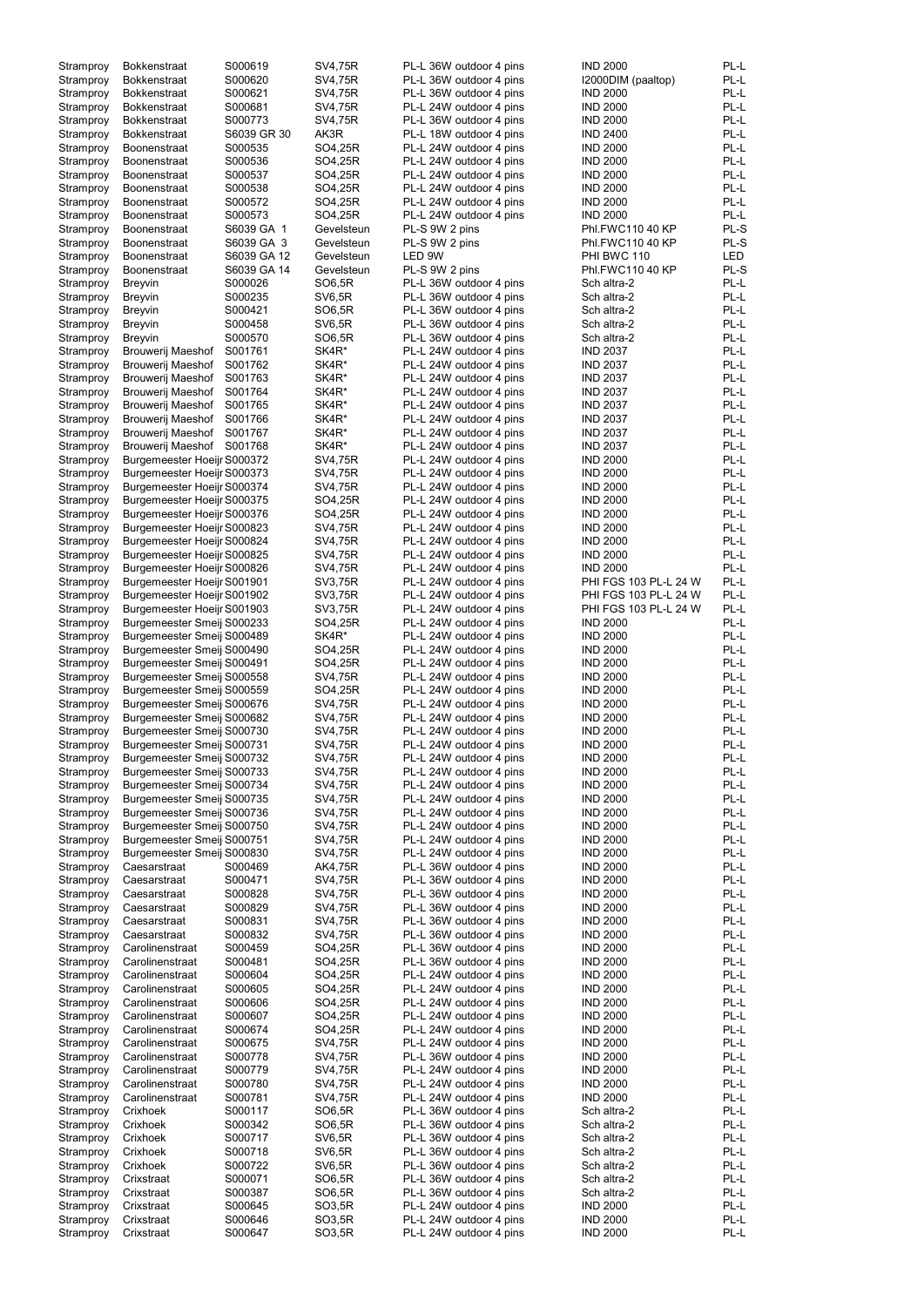| Stramproy | <b>Bokkenstraat</b>         | S000619     | SV4,75R        | PL-L 36W outdoor 4 pins | <b>IND 2000</b>       | PL-L       |
|-----------|-----------------------------|-------------|----------------|-------------------------|-----------------------|------------|
|           |                             |             |                |                         |                       |            |
| Stramproy | <b>Bokkenstraat</b>         | S000620     | SV4,75R        | PL-L 36W outdoor 4 pins | I2000DIM (paaltop)    | PL-L       |
| Stramproy | <b>Bokkenstraat</b>         | S000621     | SV4,75R        | PL-L 36W outdoor 4 pins | <b>IND 2000</b>       | PL-L       |
|           | <b>Bokkenstraat</b>         | S000681     | SV4,75R        | PL-L 24W outdoor 4 pins | <b>IND 2000</b>       | PL-L       |
| Stramproy |                             |             |                |                         |                       |            |
| Stramproy | <b>Bokkenstraat</b>         | S000773     | SV4,75R        | PL-L 36W outdoor 4 pins | <b>IND 2000</b>       | PL-L       |
| Stramproy | <b>Bokkenstraat</b>         | S6039 GR 30 | AK3R           | PL-L 18W outdoor 4 pins | <b>IND 2400</b>       | PL-L       |
|           |                             |             |                |                         |                       |            |
| Stramproy | <b>Boonenstraat</b>         | S000535     | SO4,25R        | PL-L 24W outdoor 4 pins | <b>IND 2000</b>       | PL-L       |
| Stramproy | <b>Boonenstraat</b>         | S000536     | SO4,25R        | PL-L 24W outdoor 4 pins | <b>IND 2000</b>       | PL-L       |
|           |                             |             |                |                         |                       |            |
| Stramproy | <b>Boonenstraat</b>         | S000537     | SO4,25R        | PL-L 24W outdoor 4 pins | <b>IND 2000</b>       | PL-L       |
| Stramproy | <b>Boonenstraat</b>         | S000538     | SO4,25R        | PL-L 24W outdoor 4 pins | <b>IND 2000</b>       | PL-L       |
|           |                             |             |                |                         |                       |            |
| Stramproy | <b>Boonenstraat</b>         | S000572     | SO4,25R        | PL-L 24W outdoor 4 pins | <b>IND 2000</b>       | PL-L       |
|           | <b>Boonenstraat</b>         | S000573     | SO4,25R        | PL-L 24W outdoor 4 pins | <b>IND 2000</b>       | PL-L       |
| Stramproy |                             |             |                |                         |                       |            |
| Stramproy | <b>Boonenstraat</b>         | S6039 GA 1  | Gevelsteun     | PL-S 9W 2 pins          | Phl.FWC110 40 KP      | PL-S       |
|           |                             |             |                |                         |                       | PL-S       |
| Stramproy | <b>Boonenstraat</b>         | S6039 GA 3  | Gevelsteun     | PL-S 9W 2 pins          | Phl.FWC110 40 KP      |            |
| Stramproy | <b>Boonenstraat</b>         | S6039 GA 12 | Gevelsteun     | LED 9W                  | PHI BWC 110           | <b>LED</b> |
|           |                             |             |                |                         |                       |            |
| Stramproy | Boonenstraat                | S6039 GA 14 | Gevelsteun     | PL-S 9W 2 pins          | Phl.FWC110 40 KP      | PL-S       |
| Stramproy | <b>Breyvin</b>              | S000026     | SO6,5R         | PL-L 36W outdoor 4 pins | Sch altra-2           | PL-L       |
|           |                             |             |                |                         |                       |            |
| Stramproy | <b>Breyvin</b>              | S000235     | <b>SV6,5R</b>  | PL-L 36W outdoor 4 pins | Sch altra-2           | PL-L       |
| Stramproy | <b>Breyvin</b>              | S000421     | SO6,5R         | PL-L 36W outdoor 4 pins | Sch altra-2           | PL-L       |
|           |                             |             |                |                         |                       |            |
| Stramproy | <b>Breyvin</b>              | S000458     | <b>SV6,5R</b>  | PL-L 36W outdoor 4 pins | Sch altra-2           | PL-L       |
| Stramproy | <b>Breyvin</b>              | S000570     | SO6,5R         | PL-L 36W outdoor 4 pins | Sch altra-2           | PL-L       |
|           |                             |             |                |                         |                       |            |
| Stramproy | <b>Brouwerij Maeshof</b>    | S001761     | SK4R*          | PL-L 24W outdoor 4 pins | <b>IND 2037</b>       | PL-L       |
| Stramproy | <b>Brouwerij Maeshof</b>    | S001762     | SK4R*          | PL-L 24W outdoor 4 pins | <b>IND 2037</b>       | PL-L       |
|           |                             |             |                |                         |                       |            |
| Stramproy | <b>Brouwerij Maeshof</b>    | S001763     | SK4R*          | PL-L 24W outdoor 4 pins | <b>IND 2037</b>       | PL-L       |
| Stramproy | <b>Brouwerij Maeshof</b>    | S001764     | SK4R*          | PL-L 24W outdoor 4 pins | <b>IND 2037</b>       | PL-L       |
|           |                             |             |                |                         |                       |            |
| Stramproy | Brouwerij Maeshof           | S001765     | SK4R*          | PL-L 24W outdoor 4 pins | <b>IND 2037</b>       | PL-L       |
| Stramproy | Brouwerij Maeshof           | S001766     | SK4R*          | PL-L 24W outdoor 4 pins | <b>IND 2037</b>       | PL-L       |
|           |                             |             |                |                         |                       |            |
| Stramproy | Brouwerij Maeshof           | S001767     | SK4R*          | PL-L 24W outdoor 4 pins | <b>IND 2037</b>       | PL-L       |
| Stramproy | Brouwerij Maeshof           | S001768     | SK4R*          | PL-L 24W outdoor 4 pins | <b>IND 2037</b>       | PL-L       |
|           |                             |             |                |                         |                       |            |
| Stramproy | Burgemeester Hoeijr S000372 |             | SV4,75R        | PL-L 24W outdoor 4 pins | <b>IND 2000</b>       | PL-L       |
|           | Burgemeester Hoeijr S000373 |             | SV4,75R        | PL-L 24W outdoor 4 pins | <b>IND 2000</b>       | PL-L       |
| Stramproy |                             |             |                |                         |                       |            |
| Stramproy | Burgemeester Hoeijr S000374 |             | SV4,75R        | PL-L 24W outdoor 4 pins | <b>IND 2000</b>       | PL-L       |
|           |                             |             |                | PL-L 24W outdoor 4 pins |                       | PL-L       |
| Stramproy | Burgemeester Hoeijr S000375 |             | SO4,25R        |                         | <b>IND 2000</b>       |            |
| Stramproy | Burgemeester Hoeijr S000376 |             | SO4,25R        | PL-L 24W outdoor 4 pins | <b>IND 2000</b>       | PL-L       |
|           |                             |             |                |                         |                       |            |
| Stramproy | Burgemeester Hoeijr S000823 |             | <b>SV4,75R</b> | PL-L 24W outdoor 4 pins | <b>IND 2000</b>       | PL-L       |
| Stramproy | Burgemeester Hoeijr S000824 |             | SV4,75R        | PL-L 24W outdoor 4 pins | <b>IND 2000</b>       | PL-L       |
|           |                             |             |                |                         |                       |            |
| Stramproy | Burgemeester Hoeijr S000825 |             | <b>SV4,75R</b> | PL-L 24W outdoor 4 pins | <b>IND 2000</b>       | PL-L       |
| Stramproy | Burgemeester Hoeijr S000826 |             | SV4,75R        | PL-L 24W outdoor 4 pins | <b>IND 2000</b>       | PL-L       |
|           |                             |             |                |                         |                       |            |
| Stramproy | Burgemeester Hoeijr S001901 |             | SV3,75R        | PL-L 24W outdoor 4 pins | PHI FGS 103 PL-L 24 W | PL-L       |
| Stramproy | Burgemeester Hoeijr S001902 |             | SV3,75R        | PL-L 24W outdoor 4 pins | PHI FGS 103 PL-L 24 W | PL-L       |
|           |                             |             |                |                         |                       |            |
| Stramproy | Burgemeester Hoeijr S001903 |             | SV3,75R        | PL-L 24W outdoor 4 pins | PHI FGS 103 PL-L 24 W | PL-L       |
| Stramproy | Burgemeester Smeij S000233  |             | SO4,25R        | PL-L 24W outdoor 4 pins | <b>IND 2000</b>       | PL-L       |
|           |                             |             |                |                         |                       |            |
| Stramproy | Burgemeester Smeij S000489  |             | SK4R*          | PL-L 24W outdoor 4 pins | <b>IND 2000</b>       | PL-L       |
| Stramproy | Burgemeester Smeij S000490  |             | SO4,25R        | PL-L 24W outdoor 4 pins | <b>IND 2000</b>       | PL-L       |
|           |                             |             |                |                         |                       |            |
| Stramproy | Burgemeester Smeij S000491  |             | SO4,25R        | PL-L 24W outdoor 4 pins | <b>IND 2000</b>       | PL-L       |
|           | Burgemeester Smeij S000558  |             | SV4,75R        | PL-L 24W outdoor 4 pins | <b>IND 2000</b>       | PL-L       |
| Stramproy |                             |             |                |                         |                       |            |
| Stramproy | Burgemeester Smeij S000559  |             | SO4,25R        | PL-L 24W outdoor 4 pins | <b>IND 2000</b>       | PL-L       |
|           | Burgemeester Smeij S000676  |             | SV4,75R        | PL-L 24W outdoor 4 pins | <b>IND 2000</b>       | PL-L       |
| Stramproy |                             |             |                |                         |                       |            |
| Stramproy | Burgemeester Smeij S000682  |             | SV4,75R        | PL-L 24W outdoor 4 pins | <b>IND 2000</b>       | PL-L       |
|           |                             |             | SV4,75R        | PL-L 24W outdoor 4 pins | <b>IND 2000</b>       | PL-L       |
| Stramproy | Burgemeester Smeij S000730  |             |                |                         |                       |            |
| Stramproy | Burgemeester Smeij S000731  |             | SV4,75R        | PL-L 24W outdoor 4 pins | <b>IND 2000</b>       | PL-L       |
|           |                             |             |                |                         |                       | PL-L       |
| Stramproy | Burgemeester Smeij S000732  |             | SV4,75R        | PL-L 24W outdoor 4 pins | <b>IND 2000</b>       |            |
| Stramproy | Burgemeester Smeij S000733  |             | SV4,75R        | PL-L 24W outdoor 4 pins | <b>IND 2000</b>       | PL-L       |
|           |                             |             |                |                         |                       |            |
| Stramproy | Burgemeester Smeij S000734  |             | SV4,75R        | PL-L 24W outdoor 4 pins | <b>IND 2000</b>       | PL-L       |
| Stramproy | Burgemeester Smeij S000735  |             | SV4,75R        | PL-L 24W outdoor 4 pins | <b>IND 2000</b>       | PL-L       |
|           |                             |             |                |                         |                       |            |
| Stramproy | Burgemeester Smeij S000736  |             | SV4,75R        | PL-L 24W outdoor 4 pins | <b>IND 2000</b>       | PL-L       |
| Stramproy | Burgemeester Smeij S000750  |             | SV4,75R        | PL-L 24W outdoor 4 pins | <b>IND 2000</b>       | PL-L       |
|           |                             |             |                |                         |                       |            |
| Stramproy | Burgemeester Smeij S000751  |             | SV4,75R        | PL-L 24W outdoor 4 pins | <b>IND 2000</b>       | PL-L       |
| Stramproy | Burgemeester Smeij S000830  |             | SV4,75R        | PL-L 24W outdoor 4 pins | <b>IND 2000</b>       | PL-L       |
|           |                             |             |                |                         |                       |            |
| Stramproy | Caesarstraat                | S000469     | AK4,75R        | PL-L 36W outdoor 4 pins | <b>IND 2000</b>       | PL-L       |
| Stramproy | Caesarstraat                | S000471     | SV4,75R        | PL-L 36W outdoor 4 pins | <b>IND 2000</b>       | PL-L       |
|           |                             |             |                |                         |                       | PL-L       |
| Stramproy | Caesarstraat                | S000828     | SV4,75R        | PL-L 36W outdoor 4 pins | <b>IND 2000</b>       |            |
| Stramproy | Caesarstraat                | S000829     | <b>SV4,75R</b> | PL-L 36W outdoor 4 pins | <b>IND 2000</b>       | PL-L       |
|           | Caesarstraat                |             |                |                         |                       | PL-L       |
| Stramproy |                             | S000831     | SV4,75R        | PL-L 36W outdoor 4 pins | <b>IND 2000</b>       |            |
| Stramproy | Caesarstraat                | S000832     | SV4,75R        | PL-L 36W outdoor 4 pins | <b>IND 2000</b>       | PL-L       |
|           |                             |             |                |                         |                       | PL-L       |
| Stramproy | Carolinenstraat             | S000459     | SO4,25R        | PL-L 36W outdoor 4 pins | <b>IND 2000</b>       |            |
| Stramproy | Carolinenstraat             | S000481     | SO4,25R        | PL-L 36W outdoor 4 pins | <b>IND 2000</b>       | PL-L       |
|           | Carolinenstraat             |             |                | PL-L 24W outdoor 4 pins |                       | PL-L       |
| Stramproy |                             | S000604     | SO4,25R        |                         | <b>IND 2000</b>       |            |
| Stramproy | Carolinenstraat             | S000605     | SO4,25R        | PL-L 24W outdoor 4 pins | <b>IND 2000</b>       | PL-L       |
|           |                             |             |                |                         |                       |            |
| Stramproy | Carolinenstraat             | S000606     | SO4,25R        | PL-L 24W outdoor 4 pins | <b>IND 2000</b>       | PL-L       |
| Stramproy | Carolinenstraat             | S000607     | SO4,25R        | PL-L 24W outdoor 4 pins | <b>IND 2000</b>       | PL-L       |
|           |                             |             |                |                         |                       |            |
| Stramproy | Carolinenstraat             | S000674     | SO4,25R        | PL-L 24W outdoor 4 pins | <b>IND 2000</b>       | PL-L       |
| Stramproy | Carolinenstraat             | S000675     | SV4,75R        | PL-L 24W outdoor 4 pins | <b>IND 2000</b>       | PL-L       |
|           |                             |             |                |                         |                       |            |
| Stramproy | Carolinenstraat             | S000778     | <b>SV4,75R</b> | PL-L 36W outdoor 4 pins | <b>IND 2000</b>       | PL-L       |
| Stramproy | Carolinenstraat             | S000779     | SV4,75R        | PL-L 24W outdoor 4 pins | <b>IND 2000</b>       | PL-L       |
|           |                             |             |                |                         |                       |            |
| Stramproy | Carolinenstraat             | S000780     | <b>SV4,75R</b> | PL-L 24W outdoor 4 pins | <b>IND 2000</b>       | PL-L       |
| Stramproy | Carolinenstraat             | S000781     | <b>SV4,75R</b> | PL-L 24W outdoor 4 pins | <b>IND 2000</b>       | PL-L       |
|           |                             |             |                |                         |                       |            |
| Stramproy | Crixhoek                    | S000117     | SO6,5R         | PL-L 36W outdoor 4 pins | Sch altra-2           | PL-L       |
| Stramproy | Crixhoek                    | S000342     | SO6,5R         | PL-L 36W outdoor 4 pins | Sch altra-2           | PL-L       |
|           |                             |             |                |                         |                       |            |
| Stramproy | Crixhoek                    | S000717     | <b>SV6,5R</b>  | PL-L 36W outdoor 4 pins | Sch altra-2           | PL-L       |
|           | Crixhoek                    | S000718     | <b>SV6,5R</b>  | PL-L 36W outdoor 4 pins |                       | PL-L       |
| Stramproy |                             |             |                |                         | Sch altra-2           |            |
| Stramproy | Crixhoek                    | S000722     | <b>SV6,5R</b>  | PL-L 36W outdoor 4 pins | Sch altra-2           | PL-L       |
|           |                             | S000071     |                | PL-L 36W outdoor 4 pins |                       | PL-L       |
| Stramproy | Crixstraat                  |             | SO6,5R         |                         | Sch altra-2           |            |
| Stramproy | Crixstraat                  | S000387     | SO6,5R         | PL-L 36W outdoor 4 pins | Sch altra-2           | PL-L       |
| Stramproy | Crixstraat                  | S000645     | SO3,5R         | PL-L 24W outdoor 4 pins | <b>IND 2000</b>       | PL-L       |
|           |                             |             |                |                         |                       |            |
| Stramproy | Crixstraat                  | S000646     | SO3,5R         | PL-L 24W outdoor 4 pins | <b>IND 2000</b>       | PL-L       |
| Stramproy | Crixstraat                  | S000647     | SO3,5R         | PL-L 24W outdoor 4 pins | <b>IND 2000</b>       | PL-L       |
|           |                             |             |                |                         |                       |            |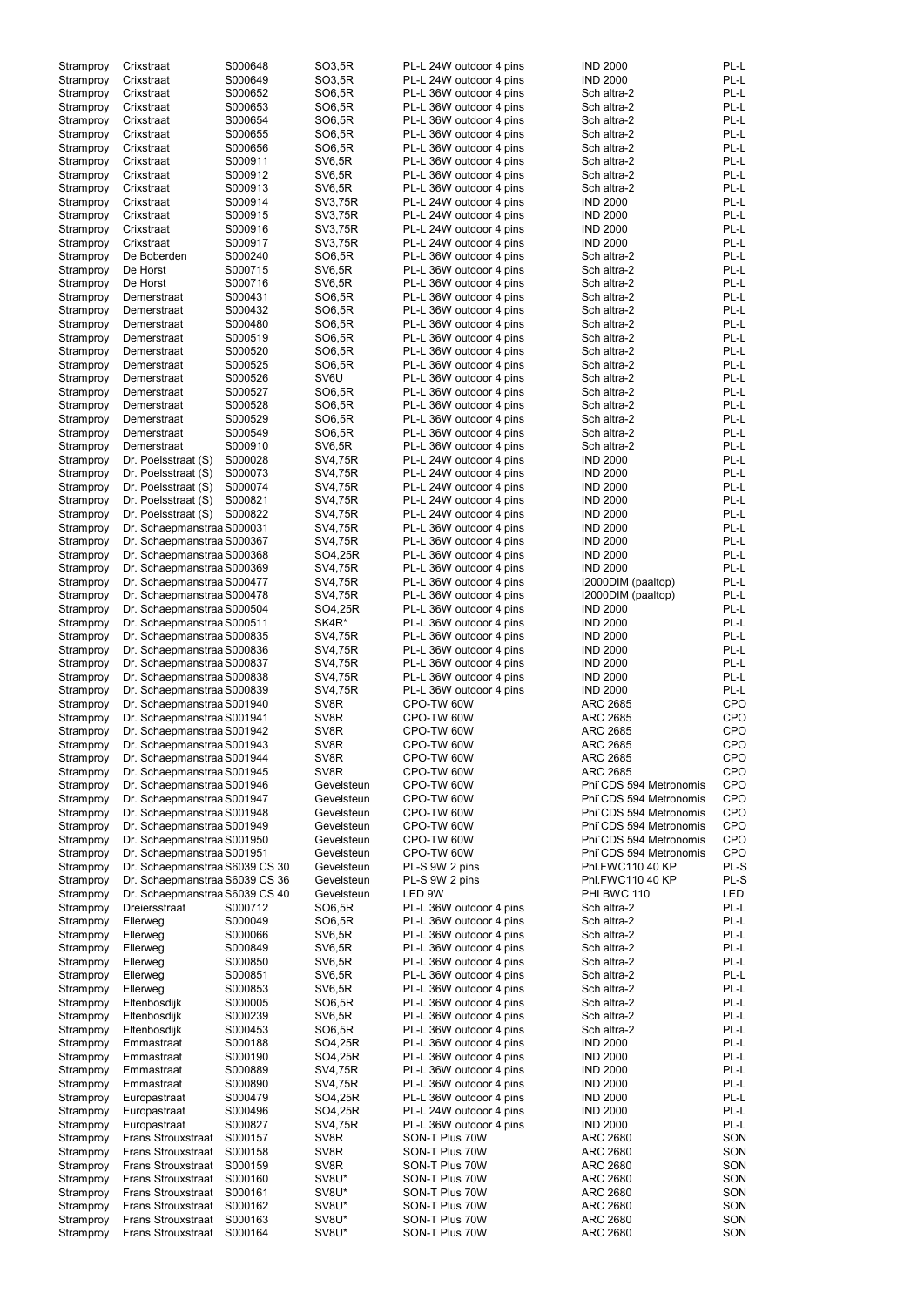| Stramproy              | Crixstraat                                      | S000648            | SO3,5R            | PL-L 24W outdoor 4 pins          | <b>IND 2000</b>             | PL-L       |
|------------------------|-------------------------------------------------|--------------------|-------------------|----------------------------------|-----------------------------|------------|
| Stramproy              | Crixstraat                                      | S000649            | SO3,5R            | PL-L 24W outdoor 4 pins          | <b>IND 2000</b>             | PL-L       |
|                        |                                                 |                    |                   |                                  |                             |            |
| Stramproy              | Crixstraat                                      | S000652            | SO6,5R            | PL-L 36W outdoor 4 pins          | Sch altra-2                 | PL-L       |
| Stramproy              | Crixstraat                                      | S000653            | SO6,5R            | PL-L 36W outdoor 4 pins          | Sch altra-2                 | PL-L       |
|                        |                                                 |                    |                   |                                  |                             |            |
| Stramproy              | Crixstraat                                      | S000654            | SO6,5R            | PL-L 36W outdoor 4 pins          | Sch altra-2                 | PL-L       |
| Stramproy              | Crixstraat                                      | S000655            | SO6,5R            | PL-L 36W outdoor 4 pins          | Sch altra-2                 | PL-L       |
| Stramproy              | Crixstraat                                      | S000656            | SO6,5R            | PL-L 36W outdoor 4 pins          | Sch altra-2                 | PL-L       |
|                        |                                                 |                    |                   |                                  |                             |            |
| Stramproy              | Crixstraat                                      | S000911            | <b>SV6,5R</b>     | PL-L 36W outdoor 4 pins          | Sch altra-2                 | PL-L       |
| Stramproy              | Crixstraat                                      | S000912            | <b>SV6,5R</b>     | PL-L 36W outdoor 4 pins          | Sch altra-2                 | PL-L       |
|                        |                                                 |                    |                   |                                  |                             |            |
| Stramproy              | Crixstraat                                      | S000913            | <b>SV6,5R</b>     | PL-L 36W outdoor 4 pins          | Sch altra-2                 | PL-L       |
| Stramproy              | Crixstraat                                      | S000914            | SV3,75R           | PL-L 24W outdoor 4 pins          | <b>IND 2000</b>             | PL-L       |
|                        |                                                 |                    |                   |                                  |                             |            |
| Stramproy              | Crixstraat                                      | S000915            | <b>SV3,75R</b>    | PL-L 24W outdoor 4 pins          | <b>IND 2000</b>             | PL-L       |
| Stramproy              | Crixstraat                                      | S000916            | SV3,75R           | PL-L 24W outdoor 4 pins          | <b>IND 2000</b>             | PL-L       |
|                        |                                                 |                    |                   |                                  |                             |            |
| Stramproy              | Crixstraat                                      | S000917            | <b>SV3,75R</b>    | PL-L 24W outdoor 4 pins          | <b>IND 2000</b>             | PL-L       |
| Stramproy              | De Boberden                                     | S000240            | SO6,5R            | PL-L 36W outdoor 4 pins          | Sch altra-2                 | PL-L       |
|                        |                                                 |                    |                   |                                  |                             |            |
| Stramproy              | De Horst                                        | S000715            | <b>SV6,5R</b>     | PL-L 36W outdoor 4 pins          | Sch altra-2                 | PL-L       |
| Stramproy              | De Horst                                        | S000716            | <b>SV6,5R</b>     | PL-L 36W outdoor 4 pins          | Sch altra-2                 | PL-L       |
|                        |                                                 |                    |                   |                                  |                             | PL-L       |
| Stramproy              | Demerstraat                                     | S000431            | SO6,5R            | PL-L 36W outdoor 4 pins          | Sch altra-2                 |            |
| Stramproy              | Demerstraat                                     | S000432            | SO6,5R            | PL-L 36W outdoor 4 pins          | Sch altra-2                 | PL-L       |
| Stramproy              | Demerstraat                                     | S000480            | SO6,5R            | PL-L 36W outdoor 4 pins          | Sch altra-2                 | PL-L       |
|                        |                                                 |                    |                   |                                  |                             |            |
| Stramproy              | Demerstraat                                     | S000519            | SO6,5R            | PL-L 36W outdoor 4 pins          | Sch altra-2                 | PL-L       |
| Stramproy              | Demerstraat                                     | S000520            | SO6,5R            | PL-L 36W outdoor 4 pins          | Sch altra-2                 | PL-L       |
|                        |                                                 |                    |                   |                                  |                             |            |
| Stramproy              | Demerstraat                                     | S000525            | SO6,5R            | PL-L 36W outdoor 4 pins          | Sch altra-2                 | PL-L       |
| Stramproy              | Demerstraat                                     | S000526            | SV6U              | PL-L 36W outdoor 4 pins          | Sch altra-2                 | PL-L       |
|                        |                                                 |                    |                   |                                  |                             |            |
| Stramproy              | Demerstraat                                     | S000527            | SO6,5R            | PL-L 36W outdoor 4 pins          | Sch altra-2                 | PL-L       |
| Stramproy              | Demerstraat                                     | S000528            | SO6,5R            | PL-L 36W outdoor 4 pins          | Sch altra-2                 | PL-L       |
|                        |                                                 |                    |                   |                                  |                             |            |
| Stramproy              | Demerstraat                                     | S000529            | SO6,5R            | PL-L 36W outdoor 4 pins          | Sch altra-2                 | PL-L       |
| Stramproy              | Demerstraat                                     | S000549            | SO6,5R            | PL-L 36W outdoor 4 pins          | Sch altra-2                 | PL-L       |
|                        |                                                 |                    |                   |                                  |                             | PL-L       |
| Stramproy              | Demerstraat                                     | S000910            | <b>SV6,5R</b>     | PL-L 36W outdoor 4 pins          | Sch altra-2                 |            |
| Stramproy              | Dr. Poelsstraat (S)                             | S000028            | SV4,75R           | PL-L 24W outdoor 4 pins          | <b>IND 2000</b>             | PL-L       |
|                        |                                                 | S000073            | SV4,75R           | PL-L 24W outdoor 4 pins          | <b>IND 2000</b>             | PL-L       |
| Stramproy              | Dr. Poelsstraat (S)                             |                    |                   |                                  |                             |            |
| Stramproy              | Dr. Poelsstraat (S)                             | S000074            | SV4,75R           | PL-L 24W outdoor 4 pins          | <b>IND 2000</b>             | PL-L       |
| Stramproy              | Dr. Poelsstraat (S)                             | S000821            | SV4,75R           | PL-L 24W outdoor 4 pins          | <b>IND 2000</b>             | PL-L       |
|                        |                                                 |                    |                   |                                  |                             |            |
| Stramproy              | Dr. Poelsstraat (S)                             | S000822            | SV4,75R           | PL-L 24W outdoor 4 pins          | <b>IND 2000</b>             | PL-L       |
| Stramproy              | Dr. Schaepmanstraa S000031                      |                    | SV4,75R           | PL-L 36W outdoor 4 pins          | <b>IND 2000</b>             | PL-L       |
|                        |                                                 |                    |                   |                                  |                             |            |
| Stramproy              | Dr. Schaepmanstraa S000367                      |                    | <b>SV4,75R</b>    | PL-L 36W outdoor 4 pins          | <b>IND 2000</b>             | PL-L       |
| Stramproy              | Dr. Schaepmanstraa S000368                      |                    | SO4,25R           | PL-L 36W outdoor 4 pins          | <b>IND 2000</b>             | PL-L       |
|                        |                                                 |                    |                   |                                  |                             |            |
| Stramproy              | Dr. Schaepmanstraa S000369                      |                    | SV4,75R           | PL-L 36W outdoor 4 pins          | <b>IND 2000</b>             | PL-L       |
| Stramproy              | Dr. Schaepmanstraa S000477                      |                    | SV4,75R           | PL-L 36W outdoor 4 pins          | I2000DIM (paaltop)          | PL-L       |
|                        |                                                 |                    |                   |                                  |                             |            |
| Stramproy              | Dr. Schaepmanstraa S000478                      |                    | SV4,75R           | PL-L 36W outdoor 4 pins          | I2000DIM (paaltop)          | PL-L       |
| Stramproy              | Dr. Schaepmanstraa S000504                      |                    | SO4,25R           | PL-L 36W outdoor 4 pins          | <b>IND 2000</b>             | PL-L       |
|                        |                                                 |                    |                   |                                  |                             |            |
| Stramproy              | Dr. Schaepmanstraa S000511                      |                    | SK4R*             | PL-L 36W outdoor 4 pins          | <b>IND 2000</b>             | PL-L       |
| Stramproy              | Dr. Schaepmanstraa S000835                      |                    | SV4,75R           | PL-L 36W outdoor 4 pins          | <b>IND 2000</b>             | PL-L       |
|                        |                                                 |                    |                   |                                  | <b>IND 2000</b>             | PL-L       |
| Stramproy              | Dr. Schaepmanstraa S000836                      |                    | SV4,75R           | PL-L 36W outdoor 4 pins          |                             |            |
| Stramproy              | Dr. Schaepmanstraa S000837                      |                    | <b>SV4,75R</b>    | PL-L 36W outdoor 4 pins          | <b>IND 2000</b>             | PL-L       |
| Stramproy              | Dr. Schaepmanstraa S000838                      |                    | <b>SV4,75R</b>    | PL-L 36W outdoor 4 pins          | <b>IND 2000</b>             | PL-L       |
|                        |                                                 |                    |                   |                                  |                             |            |
| Stramproy              | Dr. Schaepmanstraa S000839                      |                    | SV4,75R           | PL-L 36W outdoor 4 pins          | <b>IND 2000</b>             | PL-L       |
| Stramproy              | Dr. Schaepmanstraa S001940                      |                    | SV8R              | CPO-TW 60W                       | <b>ARC 2685</b>             | <b>CPO</b> |
|                        |                                                 |                    |                   |                                  |                             |            |
| Stramproy              | Dr. Schaepmanstraa S001941                      |                    | SV8R              | CPO-TW 60W                       | <b>ARC 2685</b>             | <b>CPO</b> |
| Stramproy              | Dr. Schaepmanstraa S001942                      |                    | SV8R              | CPO-TW 60W                       | <b>ARC 2685</b>             | CPO        |
|                        |                                                 |                    |                   |                                  |                             |            |
| Stramproy              | Dr. Schaepmanstraa S001943                      |                    | SV <sub>8</sub> R | CPO-TW 60W                       | <b>ARC 2685</b>             | <b>CPO</b> |
| Stramproy              | Dr. Schaepmanstraa S001944                      |                    | SV <sub>8</sub> R | CPO-TW 60W                       | ARC 2685                    | <b>CPO</b> |
|                        |                                                 |                    |                   |                                  |                             |            |
| Stramproy              | Dr. Schaepmanstraa S001945                      |                    | SV <sub>8R</sub>  | CPO-TW 60W                       | <b>ARC 2685</b>             | CPO        |
| Stramproy              | Dr. Schaepmanstraa S001946                      |                    | Gevelsteun        | CPO-TW 60W                       | Phi`CDS 594 Metronomis      | CPO        |
|                        |                                                 |                    |                   |                                  |                             |            |
| Stramproy              | Dr. Schaepmanstraa S001947                      |                    | Gevelsteun        | CPO-TW 60W                       | Phi`CDS 594 Metronomis      | CPO        |
| Stramproy              | Dr. Schaepmanstraa S001948                      |                    | Gevelsteun        | CPO-TW 60W                       | Phi`CDS 594 Metronomis      | CPO        |
|                        | Dr. Schaepmanstraa S001949                      |                    | Gevelsteun        | CPO-TW 60W                       | Phi`CDS 594 Metronomis      | CPO        |
| Stramproy              |                                                 |                    |                   |                                  |                             |            |
| Stramproy              | Dr. Schaepmanstraa S001950                      |                    | Gevelsteun        | CPO-TW 60W                       | Phi`CDS 594 Metronomis      | CPO        |
| Stramproy              | Dr. Schaepmanstraa S001951                      |                    | Gevelsteun        | CPO-TW 60W                       | Phi`CDS 594 Metronomis      | CPO        |
|                        |                                                 |                    |                   |                                  |                             |            |
| Stramproy              | Dr. Schaepmanstraa S6039 CS 30                  |                    | Gevelsteun        | PL-S 9W 2 pins                   | Phl.FWC110 40 KP            | PL-S       |
| Stramproy              | Dr. Schaepmanstraa S6039 CS 36                  |                    | Gevelsteun        | PL-S 9W 2 pins                   | Phl.FWC110 40 KP            | PL-S       |
|                        |                                                 |                    |                   |                                  |                             |            |
| Stramproy              | Dr. Schaepmanstraa S6039 CS 40                  |                    | Gevelsteun        | LED 9W                           | PHI BWC 110                 | <b>LED</b> |
| Stramproy              | Dreiersstraat                                   | S000712            | SO6,5R            | PL-L 36W outdoor 4 pins          | Sch altra-2                 | PL-L       |
| Stramproy              | Ellerweg                                        | S000049            | SO6,5R            | PL-L 36W outdoor 4 pins          | Sch altra-2                 | PL-L       |
|                        |                                                 |                    |                   |                                  |                             |            |
| Stramproy              | Ellerweg                                        | S000066            | <b>SV6,5R</b>     | PL-L 36W outdoor 4 pins          | Sch altra-2                 | PL-L       |
| Stramproy              | Ellerweg                                        | S000849            | <b>SV6,5R</b>     | PL-L 36W outdoor 4 pins          | Sch altra-2                 | PL-L       |
|                        |                                                 |                    |                   |                                  |                             |            |
| Stramproy              | Ellerweg                                        | S000850            | <b>SV6,5R</b>     | PL-L 36W outdoor 4 pins          | Sch altra-2                 | PL-L       |
| Stramproy              | Ellerweg                                        | S000851            | <b>SV6,5R</b>     | PL-L 36W outdoor 4 pins          | Sch altra-2                 | PL-L       |
|                        |                                                 |                    |                   |                                  |                             |            |
| Stramproy              | Ellerweg                                        | S000853            | <b>SV6,5R</b>     | PL-L 36W outdoor 4 pins          | Sch altra-2                 | PL-L       |
| Stramproy              | Eltenbosdijk                                    | S000005            | SO6,5R            | PL-L 36W outdoor 4 pins          | Sch altra-2                 | PL-L       |
|                        |                                                 |                    |                   |                                  |                             |            |
| Stramproy              | Eltenbosdijk                                    | S000239            | <b>SV6,5R</b>     | PL-L 36W outdoor 4 pins          | Sch altra-2                 | PL-L       |
| Stramproy              | Eltenbosdijk                                    | S000453            | SO6,5R            | PL-L 36W outdoor 4 pins          | Sch altra-2                 | PL-L       |
|                        |                                                 |                    |                   |                                  |                             |            |
| Stramproy              | Emmastraat                                      | S000188            | SO4,25R           | PL-L 36W outdoor 4 pins          | <b>IND 2000</b>             | $PL-L$     |
| Stramproy              | Emmastraat                                      | S000190            | SO4,25R           | PL-L 36W outdoor 4 pins          | <b>IND 2000</b>             | PL-L       |
|                        |                                                 |                    |                   |                                  |                             |            |
| Stramproy              | Emmastraat                                      | S000889            | SV4,75R           | PL-L 36W outdoor 4 pins          | <b>IND 2000</b>             | PL-L       |
| Stramproy              | Emmastraat                                      | S000890            | SV4,75R           | PL-L 36W outdoor 4 pins          | <b>IND 2000</b>             | PL-L       |
|                        |                                                 |                    |                   |                                  |                             |            |
| Stramproy              | Europastraat                                    | S000479            | SO4,25R           | PL-L 36W outdoor 4 pins          | <b>IND 2000</b>             | PL-L       |
| Stramproy              | Europastraat                                    | S000496            | SO4,25R           | PL-L 24W outdoor 4 pins          | <b>IND 2000</b>             | PL-L       |
| Stramproy              |                                                 |                    | <b>SV4,75R</b>    | PL-L 36W outdoor 4 pins          | <b>IND 2000</b>             | PL-L       |
|                        |                                                 |                    |                   |                                  |                             |            |
|                        | Europastraat                                    | S000827            |                   |                                  |                             |            |
| Stramproy              | <b>Frans Strouxstraat</b>                       | S000157            | SV8R              | SON-T Plus 70W                   | <b>ARC 2680</b>             | SON        |
|                        |                                                 |                    |                   |                                  |                             |            |
| Stramproy              | <b>Frans Strouxstraat</b>                       | S000158            | SV8R              | SON-T Plus 70W                   | <b>ARC 2680</b>             | SON        |
| Stramproy              | <b>Frans Strouxstraat</b>                       | S000159            | SV8R              | SON-T Plus 70W                   | ARC 2680                    | SON        |
|                        |                                                 |                    |                   |                                  |                             |            |
| Stramproy              | <b>Frans Strouxstraat</b>                       | S000160            | SV8U*             | SON-T Plus 70W                   | ARC 2680                    | SON        |
| Stramproy              | <b>Frans Strouxstraat</b>                       | S000161            | SV8U*             | SON-T Plus 70W                   | ARC 2680                    | SON        |
|                        |                                                 |                    |                   |                                  |                             |            |
| Stramproy              | <b>Frans Strouxstraat</b>                       | S000162            | SV8U*             | SON-T Plus 70W                   | ARC 2680                    | SON        |
| Stramproy<br>Stramproy | <b>Frans Strouxstraat</b><br>Frans Strouxstraat | S000163<br>S000164 | SV8U*<br>SV8U*    | SON-T Plus 70W<br>SON-T Plus 70W | ARC 2680<br><b>ARC 2680</b> | SON<br>SON |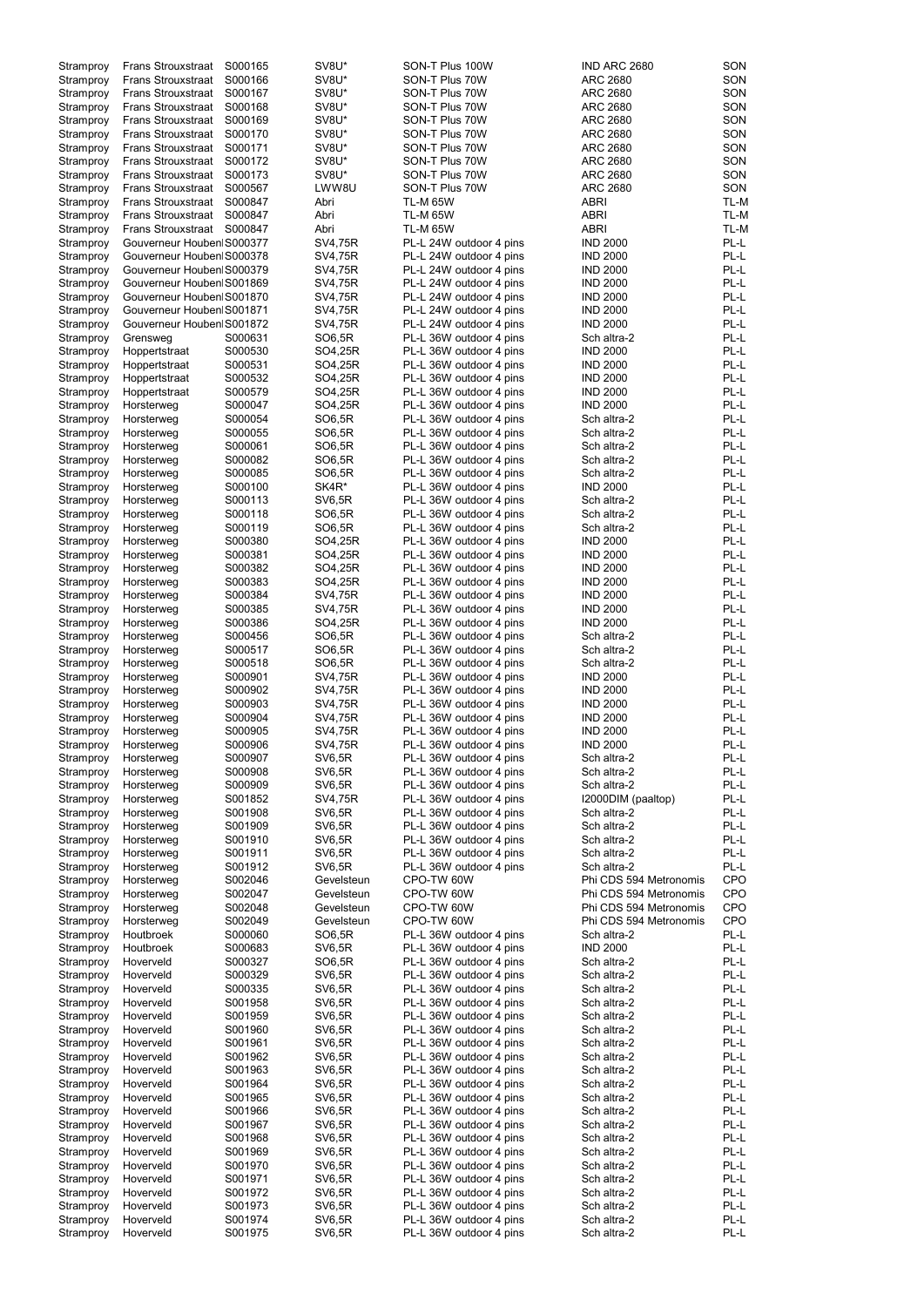| Stramproy | <b>Frans Strouxstraat</b> | S000165 | SV8U*          | SON-T Plus 100W         | IND ARC 2680           | SON        |
|-----------|---------------------------|---------|----------------|-------------------------|------------------------|------------|
| Stramproy | <b>Frans Strouxstraat</b> | S000166 | SV8U*          | SON-T Plus 70W          | <b>ARC 2680</b>        | SON        |
|           |                           |         |                |                         |                        |            |
| Stramproy | <b>Frans Strouxstraat</b> | S000167 | SV8U*          | SON-T Plus 70W          | <b>ARC 2680</b>        | SON        |
| Stramproy | Frans Strouxstraat        | S000168 | SV8U*          | SON-T Plus 70W          | ARC 2680               | SON        |
| Stramproy | <b>Frans Strouxstraat</b> | S000169 | SV8U*          | SON-T Plus 70W          | <b>ARC 2680</b>        | SON        |
| Stramproy | <b>Frans Strouxstraat</b> | S000170 | SV8U*          | SON-T Plus 70W          | ARC 2680               | SON        |
|           |                           |         |                |                         |                        |            |
| Stramproy | <b>Frans Strouxstraat</b> | S000171 | SV8U*          | SON-T Plus 70W          | <b>ARC 2680</b>        | SON        |
| Stramproy | <b>Frans Strouxstraat</b> | S000172 | SV8U*          | SON-T Plus 70W          | <b>ARC 2680</b>        | SON        |
| Stramproy | <b>Frans Strouxstraat</b> | S000173 | SV8U*          | SON-T Plus 70W          | <b>ARC 2680</b>        | SON        |
|           |                           |         |                |                         |                        |            |
| Stramproy | <b>Frans Strouxstraat</b> | S000567 | LWW8U          | SON-T Plus 70W          | <b>ARC 2680</b>        | SON        |
| Stramproy | <b>Frans Strouxstraat</b> | S000847 | Abri           | <b>TL-M 65W</b>         | <b>ABRI</b>            | TL-M       |
|           | <b>Frans Strouxstraat</b> | S000847 | Abri           | <b>TL-M 65W</b>         | <b>ABRI</b>            | TL-M       |
| Stramproy |                           |         |                |                         |                        |            |
| Stramproy | <b>Frans Strouxstraat</b> | S000847 | Abri           | <b>TL-M 65W</b>         | <b>ABRI</b>            | TL-M       |
| Stramproy | Gouverneur Houben S000377 |         | SV4,75R        | PL-L 24W outdoor 4 pins | <b>IND 2000</b>        | PL-L       |
|           |                           |         |                |                         |                        |            |
| Stramproy | Gouverneur Houben S000378 |         | SV4,75R        | PL-L 24W outdoor 4 pins | <b>IND 2000</b>        | PL-L       |
| Stramproy | Gouverneur Houben S000379 |         | SV4,75R        | PL-L 24W outdoor 4 pins | <b>IND 2000</b>        | PL-L       |
| Stramproy | Gouverneur Houben S001869 |         | SV4,75R        | PL-L 24W outdoor 4 pins | <b>IND 2000</b>        | PL-L       |
|           |                           |         |                |                         |                        |            |
| Stramproy | Gouverneur Houben S001870 |         | SV4,75R        | PL-L 24W outdoor 4 pins | <b>IND 2000</b>        | PL-L       |
| Stramproy | Gouverneur Houben S001871 |         | <b>SV4,75R</b> | PL-L 24W outdoor 4 pins | <b>IND 2000</b>        | PL-L       |
| Stramproy | Gouverneur Houben S001872 |         | <b>SV4,75R</b> | PL-L 24W outdoor 4 pins | <b>IND 2000</b>        | PL-L       |
|           |                           |         |                |                         |                        |            |
| Stramproy | Grensweg                  | S000631 | SO6,5R         | PL-L 36W outdoor 4 pins | Sch altra-2            | PL-L       |
| Stramproy | Hoppertstraat             | S000530 | SO4,25R        | PL-L 36W outdoor 4 pins | <b>IND 2000</b>        | PL-L       |
|           |                           | S000531 |                |                         | <b>IND 2000</b>        | PL-L       |
| Stramproy | Hoppertstraat             |         | SO4,25R        | PL-L 36W outdoor 4 pins |                        |            |
| Stramproy | Hoppertstraat             | S000532 | SO4,25R        | PL-L 36W outdoor 4 pins | <b>IND 2000</b>        | PL-L       |
| Stramproy | Hoppertstraat             | S000579 | SO4,25R        | PL-L 36W outdoor 4 pins | <b>IND 2000</b>        | PL-L       |
|           |                           |         |                |                         |                        | PL-L       |
| Stramproy | Horsterweg                | S000047 | SO4,25R        | PL-L 36W outdoor 4 pins | <b>IND 2000</b>        |            |
| Stramproy | Horsterweg                | S000054 | SO6,5R         | PL-L 36W outdoor 4 pins | Sch altra-2            | PL-L       |
| Stramproy | Horsterweg                | S000055 | SO6,5R         | PL-L 36W outdoor 4 pins | Sch altra-2            | PL-L       |
|           |                           |         |                |                         |                        |            |
| Stramproy | Horsterweg                | S000061 | SO6,5R         | PL-L 36W outdoor 4 pins | Sch altra-2            | PL-L       |
| Stramproy | Horsterweg                | S000082 | SO6,5R         | PL-L 36W outdoor 4 pins | Sch altra-2            | PL-L       |
| Stramproy | Horsterweg                | S000085 | SO6,5R         | PL-L 36W outdoor 4 pins | Sch altra-2            | PL-L       |
|           |                           |         |                |                         |                        |            |
| Stramproy | Horsterweg                | S000100 | SK4R*          | PL-L 36W outdoor 4 pins | <b>IND 2000</b>        | PL-L       |
| Stramproy | Horsterweg                | S000113 | <b>SV6,5R</b>  | PL-L 36W outdoor 4 pins | Sch altra-2            | PL-L       |
| Stramproy | Horsterweg                | S000118 | SO6,5R         | PL-L 36W outdoor 4 pins | Sch altra-2            | PL-L       |
|           |                           |         |                |                         |                        |            |
| Stramproy | Horsterweg                | S000119 | SO6,5R         | PL-L 36W outdoor 4 pins | Sch altra-2            | PL-L       |
| Stramproy | Horsterweg                | S000380 | SO4,25R        | PL-L 36W outdoor 4 pins | <b>IND 2000</b>        | PL-L       |
| Stramproy | Horsterweg                | S000381 | SO4,25R        | PL-L 36W outdoor 4 pins | <b>IND 2000</b>        | PL-L       |
|           |                           |         |                |                         |                        |            |
| Stramproy | Horsterweg                | S000382 | SO4,25R        | PL-L 36W outdoor 4 pins | <b>IND 2000</b>        | PL-L       |
| Stramproy | Horsterweg                | S000383 | SO4,25R        | PL-L 36W outdoor 4 pins | <b>IND 2000</b>        | PL-L       |
|           |                           | S000384 | SV4,75R        | PL-L 36W outdoor 4 pins | <b>IND 2000</b>        | PL-L       |
| Stramproy | Horsterweg                |         |                |                         |                        |            |
| Stramproy | Horsterweg                | S000385 | SV4,75R        | PL-L 36W outdoor 4 pins | <b>IND 2000</b>        | PL-L       |
| Stramproy | Horsterweg                | S000386 | SO4,25R        | PL-L 36W outdoor 4 pins | <b>IND 2000</b>        | PL-L       |
|           |                           | S000456 |                |                         |                        | PL-L       |
| Stramproy | Horsterweg                |         | SO6,5R         | PL-L 36W outdoor 4 pins | Sch altra-2            |            |
| Stramproy | Horsterweg                | S000517 | SO6,5R         | PL-L 36W outdoor 4 pins | Sch altra-2            | PL-L       |
| Stramproy | Horsterweg                | S000518 | SO6,5R         | PL-L 36W outdoor 4 pins | Sch altra-2            | PL-L       |
|           |                           |         |                |                         |                        |            |
| Stramproy | Horsterweg                | S000901 | <b>SV4,75R</b> | PL-L 36W outdoor 4 pins | <b>IND 2000</b>        | PL-L       |
| Stramproy | Horsterweg                | S000902 | <b>SV4,75R</b> | PL-L 36W outdoor 4 pins | <b>IND 2000</b>        | PL-L       |
| Stramproy | Horsterweg                | S000903 | SV4,75R        | PL-L 36W outdoor 4 pins | <b>IND 2000</b>        | PL-L       |
|           |                           |         |                |                         |                        |            |
| Stramproy | Horsterweg                | S000904 | SV4,75R        | PL-L 36W outdoor 4 pins | <b>IND 2000</b>        | PL-L       |
| Stramproy | Horsterweg                | S000905 | SV4,75R        | PL-L 36W outdoor 4 pins | <b>IND 2000</b>        | PL-L       |
| Stramproy | Horsterweg                | S000906 | SV4,75R        | PL-L 36W outdoor 4 pins | <b>IND 2000</b>        | PL-L       |
|           |                           |         |                |                         |                        |            |
| Stramproy | Horsterweg                | S000907 | <b>SV6,5R</b>  | PL-L 36W outdoor 4 pins | Sch altra-2            | PL-L       |
| Stramproy | Horsterweg                | S000908 | <b>SV6,5R</b>  | PL-L 36W outdoor 4 pins | Sch altra-2            | PL-L       |
|           |                           | S000909 | <b>SV6,5R</b>  | PL-L 36W outdoor 4 pins | Sch altra-2            | PL-L       |
| Stramproy | Horsterweg                |         |                |                         |                        |            |
| Stramproy | Horsterweg                | S001852 | <b>SV4,75R</b> | PL-L 36W outdoor 4 pins | I2000DIM (paaltop)     | PL-L       |
| Stramproy | Horsterweg                | S001908 | <b>SV6,5R</b>  | PL-L 36W outdoor 4 pins | Sch altra-2            | PL-L       |
| Stramproy | Horsterweg                | S001909 | SV6,5R         | PL-L 36W outdoor 4 pins | Sch altra-2            | PL-L       |
|           |                           |         |                |                         |                        |            |
| Stramproy | Horsterweg                | S001910 | SV6,5R         | PL-L 36W outdoor 4 pins | Sch altra-2            | PL-L       |
| Stramproy | Horsterweg                | S001911 | <b>SV6,5R</b>  | PL-L 36W outdoor 4 pins | Sch altra-2            | PL-L       |
| Stramproy | Horsterweg                | S001912 | <b>SV6,5R</b>  | PL-L 36W outdoor 4 pins | Sch altra-2            | PL-L       |
|           |                           |         |                |                         |                        |            |
| Stramproy | Horsterweg                | S002046 | Gevelsteun     | CPO-TW 60W              | Phi CDS 594 Metronomis | <b>CPO</b> |
| Stramproy | Horsterweg                | S002047 | Gevelsteun     | CPO-TW 60W              | Phi CDS 594 Metronomis | CPO        |
| Stramproy | Horsterweg                | S002048 | Gevelsteun     | CPO-TW 60W              | Phi CDS 594 Metronomis | CPO        |
|           |                           | S002049 | Gevelsteun     | CPO-TW 60W              | Phi CDS 594 Metronomis | CPO        |
| Stramproy | Horsterweg                |         |                |                         |                        |            |
| Stramproy | Houtbroek                 | S000060 | SO6,5R         | PL-L 36W outdoor 4 pins | Sch altra-2            | PL-L       |
| Stramproy | Houtbroek                 | S000683 | <b>SV6,5R</b>  | PL-L 36W outdoor 4 pins | <b>IND 2000</b>        | PL-L       |
|           |                           |         |                |                         |                        |            |
| Stramproy | Hoverveld                 | S000327 | SO6,5R         | PL-L 36W outdoor 4 pins | Sch altra-2            | PL-L       |
| Stramproy | Hoverveld                 | S000329 | <b>SV6,5R</b>  | PL-L 36W outdoor 4 pins | Sch altra-2            | PL-L       |
| Stramproy | Hoverveld                 | S000335 | <b>SV6,5R</b>  | PL-L 36W outdoor 4 pins | Sch altra-2            | PL-L       |
|           |                           |         |                |                         |                        |            |
| Stramproy | Hoverveld                 | S001958 | <b>SV6,5R</b>  | PL-L 36W outdoor 4 pins | Sch altra-2            | PL-L       |
| Stramproy | Hoverveld                 | S001959 | <b>SV6,5R</b>  | PL-L 36W outdoor 4 pins | Sch altra-2            | PL-L       |
| Stramproy | Hoverveld                 | S001960 | <b>SV6,5R</b>  | PL-L 36W outdoor 4 pins | Sch altra-2            | PL-L       |
|           |                           |         |                |                         |                        |            |
| Stramproy | Hoverveld                 | S001961 | <b>SV6,5R</b>  | PL-L 36W outdoor 4 pins | Sch altra-2            | PL-L       |
| Stramproy | Hoverveld                 | S001962 | SV6,5R         | PL-L 36W outdoor 4 pins | Sch altra-2            | PL-L       |
| Stramproy | Hoverveld                 | S001963 | <b>SV6,5R</b>  | PL-L 36W outdoor 4 pins | Sch altra-2            | PL-L       |
|           |                           |         |                |                         |                        |            |
| Stramproy | Hoverveld                 | S001964 | <b>SV6,5R</b>  | PL-L 36W outdoor 4 pins | Sch altra-2            | PL-L       |
| Stramproy | Hoverveld                 | S001965 | <b>SV6,5R</b>  | PL-L 36W outdoor 4 pins | Sch altra-2            | PL-L       |
|           |                           |         |                |                         |                        |            |
| Stramproy | Hoverveld                 | S001966 | <b>SV6,5R</b>  | PL-L 36W outdoor 4 pins | Sch altra-2            | PL-L       |
| Stramproy | Hoverveld                 | S001967 | <b>SV6,5R</b>  | PL-L 36W outdoor 4 pins | Sch altra-2            | PL-L       |
| Stramproy | Hoverveld                 | S001968 | <b>SV6,5R</b>  | PL-L 36W outdoor 4 pins | Sch altra-2            | PL-L       |
|           |                           |         |                |                         |                        |            |
| Stramproy | Hoverveld                 | S001969 | <b>SV6,5R</b>  | PL-L 36W outdoor 4 pins | Sch altra-2            | PL-L       |
| Stramproy | Hoverveld                 | S001970 | <b>SV6,5R</b>  | PL-L 36W outdoor 4 pins | Sch altra-2            | PL-L       |
| Stramproy | Hoverveld                 | S001971 | <b>SV6,5R</b>  | PL-L 36W outdoor 4 pins | Sch altra-2            | PL-L       |
|           |                           |         |                |                         |                        |            |
| Stramproy | Hoverveld                 | S001972 | <b>SV6,5R</b>  | PL-L 36W outdoor 4 pins | Sch altra-2            | PL-L       |
| Stramproy | Hoverveld                 | S001973 | <b>SV6,5R</b>  | PL-L 36W outdoor 4 pins | Sch altra-2            | PL-L       |
| Stramproy | Hoverveld                 | S001974 | <b>SV6,5R</b>  | PL-L 36W outdoor 4 pins | Sch altra-2            | PL-L       |
|           |                           |         |                |                         |                        |            |
| Stramproy | Hoverveld                 | S001975 | <b>SV6,5R</b>  | PL-L 36W outdoor 4 pins | Sch altra-2            | PL-L       |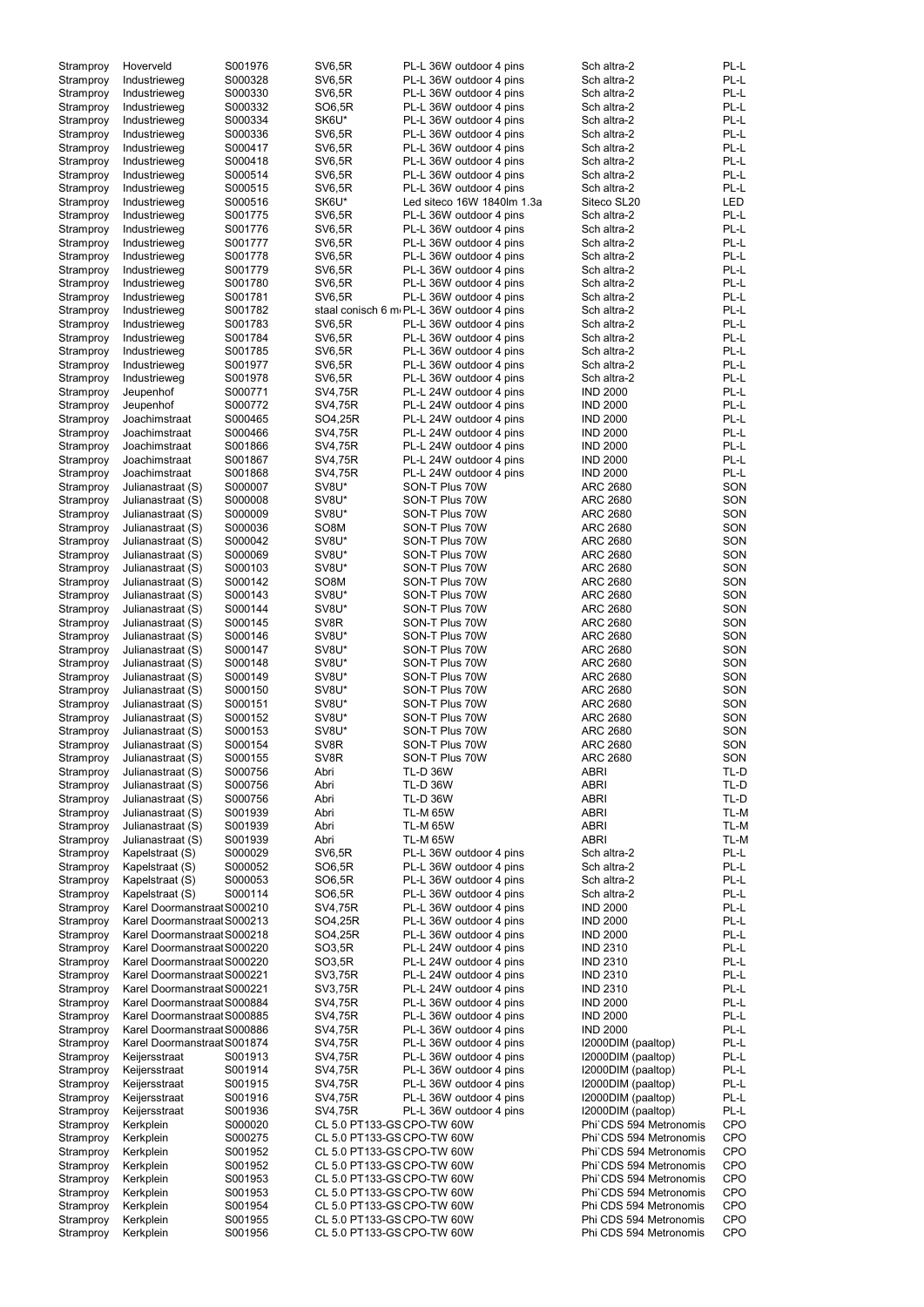| Stramproy | Hoverveld                   | S001976 | <b>SV6,5R</b>              | PL-L 36W outdoor 4 pins                   | Sch altra-2            | PL-L       |
|-----------|-----------------------------|---------|----------------------------|-------------------------------------------|------------------------|------------|
| Stramproy | Industrieweg                | S000328 | <b>SV6,5R</b>              | PL-L 36W outdoor 4 pins                   | Sch altra-2            | PL-L       |
| Stramproy | Industrieweg                | S000330 | <b>SV6,5R</b>              | PL-L 36W outdoor 4 pins                   | Sch altra-2            | PL-L       |
| Stramproy | Industrieweg                | S000332 | SO6,5R                     | PL-L 36W outdoor 4 pins                   | Sch altra-2            | PL-L       |
|           |                             | S000334 | SK6U*                      | PL-L 36W outdoor 4 pins                   | Sch altra-2            | PL-L       |
| Stramproy | Industrieweg                |         |                            |                                           |                        |            |
| Stramproy | Industrieweg                | S000336 | <b>SV6,5R</b>              | PL-L 36W outdoor 4 pins                   | Sch altra-2            | PL-L       |
| Stramproy | Industrieweg                | S000417 | <b>SV6,5R</b>              | PL-L 36W outdoor 4 pins                   | Sch altra-2            | PL-L       |
| Stramproy | Industrieweg                | S000418 | <b>SV6,5R</b>              | PL-L 36W outdoor 4 pins                   | Sch altra-2            | PL-L       |
| Stramproy | Industrieweg                | S000514 | <b>SV6,5R</b>              | PL-L 36W outdoor 4 pins                   | Sch altra-2            | PL-L       |
|           | Industrieweg                | S000515 | <b>SV6,5R</b>              | PL-L 36W outdoor 4 pins                   | Sch altra-2            | PL-L       |
| Stramproy |                             |         |                            |                                           |                        |            |
| Stramproy | Industrieweg                | S000516 | SK6U*                      | Led siteco 16W 1840lm 1.3a                | Siteco SL20            | <b>LED</b> |
| Stramproy | Industrieweg                | S001775 | <b>SV6,5R</b>              | PL-L 36W outdoor 4 pins                   | Sch altra-2            | PL-L       |
| Stramproy | Industrieweg                | S001776 | <b>SV6,5R</b>              | PL-L 36W outdoor 4 pins                   | Sch altra-2            | PL-L       |
| Stramproy | Industrieweg                | S001777 | <b>SV6,5R</b>              | PL-L 36W outdoor 4 pins                   | Sch altra-2            | PL-L       |
| Stramproy | Industrieweg                | S001778 | <b>SV6,5R</b>              | PL-L 36W outdoor 4 pins                   | Sch altra-2            | PL-L       |
|           |                             |         |                            |                                           |                        |            |
| Stramproy | Industrieweg                | S001779 | <b>SV6,5R</b>              | PL-L 36W outdoor 4 pins                   | Sch altra-2            | PL-L       |
| Stramproy | Industrieweg                | S001780 | <b>SV6,5R</b>              | PL-L 36W outdoor 4 pins                   | Sch altra-2            | PL-L       |
| Stramproy | Industrieweg                | S001781 | <b>SV6,5R</b>              | PL-L 36W outdoor 4 pins                   | Sch altra-2            | PL-L       |
| Stramproy | Industrieweg                | S001782 |                            | staal conisch 6 m PL-L 36W outdoor 4 pins | Sch altra-2            | PL-L       |
| Stramproy | Industrieweg                | S001783 | <b>SV6,5R</b>              | PL-L 36W outdoor 4 pins                   | Sch altra-2            | PL-L       |
|           |                             |         |                            |                                           |                        |            |
| Stramproy | Industrieweg                | S001784 | <b>SV6,5R</b>              | PL-L 36W outdoor 4 pins                   | Sch altra-2            | PL-L       |
| Stramproy | Industrieweg                | S001785 | <b>SV6,5R</b>              | PL-L 36W outdoor 4 pins                   | Sch altra-2            | PL-L       |
| Stramproy | Industrieweg                | S001977 | <b>SV6,5R</b>              | PL-L 36W outdoor 4 pins                   | Sch altra-2            | PL-L       |
| Stramproy | Industrieweg                | S001978 | <b>SV6,5R</b>              | PL-L 36W outdoor 4 pins                   | Sch altra-2            | PL-L       |
| Stramproy | Jeupenhof                   | S000771 | SV4,75R                    | PL-L 24W outdoor 4 pins                   | <b>IND 2000</b>        | PL-L       |
|           |                             |         |                            |                                           | <b>IND 2000</b>        | PL-L       |
| Stramproy | Jeupenhof                   | S000772 | SV4,75R                    | PL-L 24W outdoor 4 pins                   |                        |            |
| Stramproy | Joachimstraat               | S000465 | SO4,25R                    | PL-L 24W outdoor 4 pins                   | <b>IND 2000</b>        | PL-L       |
| Stramproy | Joachimstraat               | S000466 | SV4,75R                    | PL-L 24W outdoor 4 pins                   | <b>IND 2000</b>        | PL-L       |
| Stramproy | Joachimstraat               | S001866 | SV4,75R                    | PL-L 24W outdoor 4 pins                   | <b>IND 2000</b>        | PL-L       |
| Stramproy | Joachimstraat               | S001867 | SV4,75R                    | PL-L 24W outdoor 4 pins                   | <b>IND 2000</b>        | PL-L       |
|           | Joachimstraat               | S001868 | SV4,75R                    | PL-L 24W outdoor 4 pins                   | <b>IND 2000</b>        | PL-L       |
| Stramproy |                             |         |                            |                                           |                        |            |
| Stramproy | Julianastraat (S)           | S000007 | SV8U*                      | SON-T Plus 70W                            | <b>ARC 2680</b>        | SON        |
| Stramproy | Julianastraat (S)           | S000008 | SV8U*                      | SON-T Plus 70W                            | <b>ARC 2680</b>        | SON        |
| Stramproy | Julianastraat (S)           | S000009 | SV8U*                      | SON-T Plus 70W                            | <b>ARC 2680</b>        | SON        |
| Stramproy | Julianastraat (S)           | S000036 | SO <sub>8</sub> M          | SON-T Plus 70W                            | <b>ARC 2680</b>        | SON        |
|           | Julianastraat (S)           | S000042 | SV8U*                      | SON-T Plus 70W                            | <b>ARC 2680</b>        | SON        |
| Stramproy |                             |         |                            |                                           |                        |            |
| Stramproy | Julianastraat (S)           | S000069 | SV8U*                      | SON-T Plus 70W                            | <b>ARC 2680</b>        | SON        |
| Stramproy | Julianastraat (S)           | S000103 | SV8U*                      | SON-T Plus 70W                            | ARC 2680               | SON        |
| Stramproy | Julianastraat (S)           | S000142 | SO <sub>8</sub> M          | SON-T Plus 70W                            | <b>ARC 2680</b>        | SON        |
| Stramproy | Julianastraat (S)           | S000143 | SV8U*                      | SON-T Plus 70W                            | <b>ARC 2680</b>        | SON        |
| Stramproy | Julianastraat (S)           | S000144 | SV8U*                      | SON-T Plus 70W                            | <b>ARC 2680</b>        | SON        |
|           |                             |         |                            |                                           |                        |            |
| Stramproy | Julianastraat (S)           | S000145 | SV <sub>8</sub> R          | SON-T Plus 70W                            | <b>ARC 2680</b>        | SON        |
| Stramproy | Julianastraat (S)           | S000146 | SV8U*                      | SON-T Plus 70W                            | <b>ARC 2680</b>        | SON        |
| Stramproy | Julianastraat (S)           | S000147 | SV8U*                      | SON-T Plus 70W                            | <b>ARC 2680</b>        | SON        |
| Stramproy | Julianastraat (S)           | S000148 | SV8U*                      | SON-T Plus 70W                            | <b>ARC 2680</b>        | SON        |
| Stramproy | Julianastraat (S)           | S000149 | SV8U*                      | SON-T Plus 70W                            | <b>ARC 2680</b>        | SON        |
|           |                             |         |                            |                                           |                        |            |
| Stramproy | Julianastraat (S)           | S000150 | SV8U*                      | SON-T Plus 70W                            | <b>ARC 2680</b>        | SON        |
| Stramproy | Julianastraat (S)           | S000151 | SV8U*                      | SON-T Plus 70W                            | ARC 2680               | SON        |
| Stramproy | Julianastraat (S)           | S000152 | SV8U*                      | SON-T Plus 70W                            | <b>ARC 2680</b>        | SON        |
| Stramproy | Julianastraat (S)           | S000153 | SV8U*                      | SON-T Plus 70W                            | <b>ARC 2680</b>        | SON        |
| Stramproy | Julianastraat (S)           | S000154 | SV <sub>8</sub> R          | SON-T Plus 70W                            | <b>ARC 2680</b>        | SON        |
|           |                             |         |                            |                                           |                        |            |
| Stramproy | Julianastraat (S)           | S000155 | SV <sub>8</sub> R          | SON-T Plus 70W                            | <b>ARC 2680</b>        | SON        |
| Stramproy | Julianastraat (S)           | S000756 | Abri                       | <b>TL-D 36W</b>                           | <b>ABRI</b>            | TL-D       |
| Stramproy | Julianastraat (S)           | S000756 | Abri                       | <b>TL-D 36W</b>                           | <b>ABRI</b>            | TL-D       |
| Stramproy | Julianastraat (S)           | S000756 | Abri                       | <b>TL-D 36W</b>                           | <b>ABRI</b>            | TL-D       |
| Stramproy | Julianastraat (S)           | S001939 | Abri                       | <b>TL-M 65W</b>                           | <b>ABRI</b>            | TL-M       |
| Stramproy | Julianastraat (S)           | S001939 | Abri                       | <b>TL-M 65W</b>                           | <b>ABRI</b>            | TL-M       |
|           |                             |         |                            |                                           |                        |            |
| Stramproy | Julianastraat (S)           | S001939 | Abri                       | TL-M 65W                                  | <b>ABRI</b>            | TL-M       |
| Stramproy | Kapelstraat (S)             | S000029 | <b>SV6,5R</b>              | PL-L 36W outdoor 4 pins                   | Sch altra-2            | PL-L       |
| Stramproy | Kapelstraat (S)             | S000052 | SO6,5R                     | PL-L 36W outdoor 4 pins                   | Sch altra-2            | PL-L       |
| Stramproy | Kapelstraat (S)             | S000053 | SO6,5R                     | PL-L 36W outdoor 4 pins                   | Sch altra-2            | PL-L       |
| Stramproy | Kapelstraat (S)             | S000114 | SO6,5R                     | PL-L 36W outdoor 4 pins                   | Sch altra-2            | PL-L       |
| Stramproy | Karel Doormanstraal S000210 |         | SV4,75R                    | PL-L 36W outdoor 4 pins                   | <b>IND 2000</b>        | PL-L       |
|           | Karel Doormanstraal S000213 |         | SO4,25R                    | PL-L 36W outdoor 4 pins                   | <b>IND 2000</b>        | PL-L       |
| Stramproy |                             |         |                            |                                           |                        |            |
| Stramproy | Karel Doormanstraal S000218 |         | SO4,25R                    | PL-L 36W outdoor 4 pins                   | <b>IND 2000</b>        | PL-L       |
| Stramproy | Karel Doormanstraal S000220 |         | SO3,5R                     | PL-L 24W outdoor 4 pins                   | <b>IND 2310</b>        | PL-L       |
| Stramproy | Karel Doormanstraal S000220 |         | SO3,5R                     | PL-L 24W outdoor 4 pins                   | <b>IND 2310</b>        | PL-L       |
| Stramproy | Karel Doormanstraal S000221 |         | SV3,75R                    | PL-L 24W outdoor 4 pins                   | <b>IND 2310</b>        | PL-L       |
| Stramproy | Karel Doormanstraal S000221 |         | SV3,75R                    | PL-L 24W outdoor 4 pins                   | <b>IND 2310</b>        | PL-L       |
|           |                             |         |                            |                                           |                        |            |
| Stramproy | Karel Doormanstraal S000884 |         | SV4,75R                    | PL-L 36W outdoor 4 pins                   | <b>IND 2000</b>        | PL-L       |
| Stramproy | Karel Doormanstraal S000885 |         | SV4,75R                    | PL-L 36W outdoor 4 pins                   | <b>IND 2000</b>        | PL-L       |
| Stramproy | Karel Doormanstraal S000886 |         | <b>SV4,75R</b>             | PL-L 36W outdoor 4 pins                   | <b>IND 2000</b>        | PL-L       |
| Stramproy | Karel Doormanstraal S001874 |         | SV4,75R                    | PL-L 36W outdoor 4 pins                   | I2000DIM (paaltop)     | PL-L       |
| Stramproy | Keijersstraat               | S001913 | SV4,75R                    | PL-L 36W outdoor 4 pins                   | I2000DIM (paaltop)     | PL-L       |
| Stramproy | Keijersstraat               | S001914 | SV4,75R                    | PL-L 36W outdoor 4 pins                   | I2000DIM (paaltop)     | PL-L       |
|           |                             |         |                            |                                           |                        |            |
| Stramproy | Keijersstraat               | S001915 | SV4,75R                    | PL-L 36W outdoor 4 pins                   | I2000DIM (paaltop)     | PL-L       |
| Stramproy | Keijersstraat               | S001916 | SV4,75R                    | PL-L 36W outdoor 4 pins                   | I2000DIM (paaltop)     | PL-L       |
| Stramproy | Keijersstraat               | S001936 | SV4,75R                    | PL-L 36W outdoor 4 pins                   | I2000DIM (paaltop)     | PL-L       |
| Stramproy | Kerkplein                   | S000020 | CL 5.0 PT133-GS CPO-TW 60W |                                           | Phi`CDS 594 Metronomis | <b>CPO</b> |
| Stramproy | Kerkplein                   | S000275 | CL 5.0 PT133-GS CPO-TW 60W |                                           | Phi`CDS 594 Metronomis | <b>CPO</b> |
| Stramproy | Kerkplein                   | S001952 | CL 5.0 PT133-GS CPO-TW 60W |                                           | Phi`CDS 594 Metronomis | <b>CPO</b> |
|           |                             |         |                            |                                           |                        |            |
| Stramproy | Kerkplein                   | S001952 | CL 5.0 PT133-GS CPO-TW 60W |                                           | Phi`CDS 594 Metronomis | <b>CPO</b> |
| Stramproy | Kerkplein                   | S001953 | CL 5.0 PT133-GS CPO-TW 60W |                                           | Phi`CDS 594 Metronomis | <b>CPO</b> |
| Stramproy | Kerkplein                   | S001953 | CL 5.0 PT133-GS CPO-TW 60W |                                           | Phi`CDS 594 Metronomis | <b>CPO</b> |
| Stramproy | Kerkplein                   | S001954 | CL 5.0 PT133-GS CPO-TW 60W |                                           | Phi CDS 594 Metronomis | <b>CPO</b> |
| Stramproy | Kerkplein                   | S001955 | CL 5.0 PT133-GS CPO-TW 60W |                                           | Phi CDS 594 Metronomis | <b>CPO</b> |
| Stramproy | Kerkplein                   | S001956 | CL 5.0 PT133-GS CPO-TW 60W |                                           | Phi CDS 594 Metronomis | <b>CPO</b> |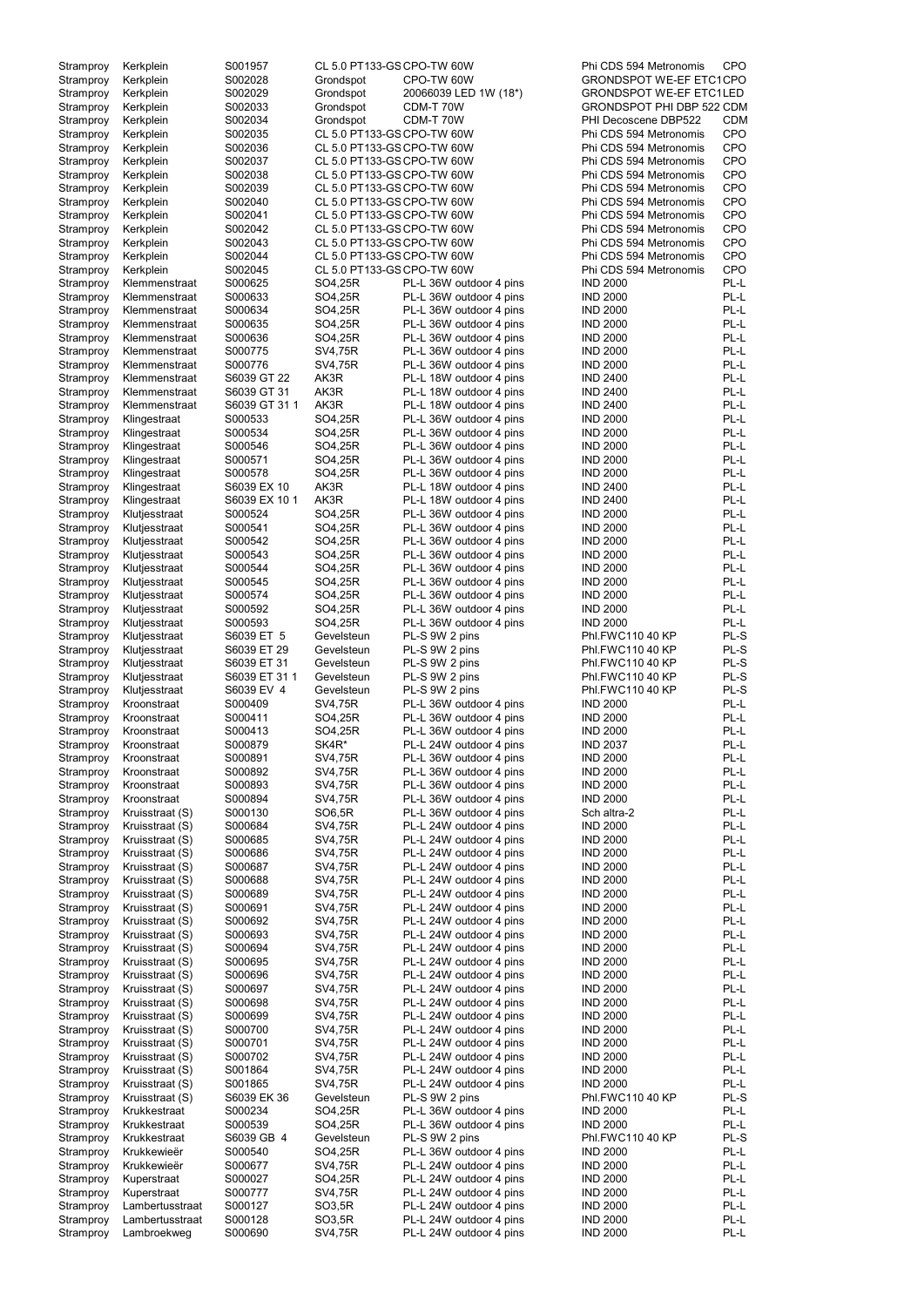| Stramproy              | Kerkplein                          | S001957            | CL 5.0 PT133-GS CPO-TW 60W |                                                    | Phi CDS 594 Metronomis             | <b>CPO</b>   |
|------------------------|------------------------------------|--------------------|----------------------------|----------------------------------------------------|------------------------------------|--------------|
| Stramproy              | Kerkplein                          | S002028            | Grondspot                  | CPO-TW 60W                                         | <b>GRONDSPOT WE-EF ETC1CPO</b>     |              |
| Stramproy              | Kerkplein                          | S002029            | Grondspot                  | 20066039 LED 1W (18*)                              | <b>GRONDSPOT WE-EF ETC1LED</b>     |              |
|                        |                                    | S002033            | Grondspot                  | CDM-T 70W                                          | GRONDSPOT PHI DBP 522 CDM          |              |
| Stramproy              | Kerkplein                          |                    |                            |                                                    | PHI Decoscene DBP522               |              |
| Stramproy              | Kerkplein                          | S002034            | Grondspot                  | CDM-T 70W                                          |                                    | <b>CDM</b>   |
| Stramproy              | Kerkplein                          | S002035            | CL 5.0 PT133-GS CPO-TW 60W |                                                    | Phi CDS 594 Metronomis             | <b>CPO</b>   |
| Stramproy              | Kerkplein                          | S002036            | CL 5.0 PT133-GS CPO-TW 60W |                                                    | Phi CDS 594 Metronomis             | CPO          |
| Stramproy              | Kerkplein                          | S002037            | CL 5.0 PT133-GS CPO-TW 60W |                                                    | Phi CDS 594 Metronomis             | CPO          |
| Stramproy              | Kerkplein                          | S002038            | CL 5.0 PT133-GS CPO-TW 60W |                                                    | Phi CDS 594 Metronomis             | CPO          |
| Stramproy              | Kerkplein                          | S002039            | CL 5.0 PT133-GS CPO-TW 60W |                                                    | Phi CDS 594 Metronomis             | CPO          |
| Stramproy              | Kerkplein                          | S002040            | CL 5.0 PT133-GS CPO-TW 60W |                                                    | Phi CDS 594 Metronomis             | CPO          |
| Stramproy              | Kerkplein                          | S002041            | CL 5.0 PT133-GS CPO-TW 60W |                                                    | Phi CDS 594 Metronomis             | CPO          |
| Stramproy              | Kerkplein                          | S002042            | CL 5.0 PT133-GS CPO-TW 60W |                                                    | Phi CDS 594 Metronomis             | CPO          |
| Stramproy              | Kerkplein                          | S002043            | CL 5.0 PT133-GS CPO-TW 60W |                                                    | Phi CDS 594 Metronomis             | CPO          |
| Stramproy              | Kerkplein                          | S002044            | CL 5.0 PT133-GS CPO-TW 60W |                                                    | Phi CDS 594 Metronomis             | <b>CPO</b>   |
| Stramproy              | Kerkplein                          | S002045            | CL 5.0 PT133-GS CPO-TW 60W |                                                    | Phi CDS 594 Metronomis             | CPO          |
| Stramproy              | Klemmenstraat                      | S000625            | SO4,25R                    | PL-L 36W outdoor 4 pins                            | <b>IND 2000</b>                    | PL-L         |
| Stramproy              | Klemmenstraat                      | S000633            | SO4,25R                    | PL-L 36W outdoor 4 pins                            | <b>IND 2000</b>                    | PL-L         |
| Stramproy              | Klemmenstraat                      | S000634            | SO4,25R                    | PL-L 36W outdoor 4 pins                            | <b>IND 2000</b>                    | PL-L         |
| Stramproy              | Klemmenstraat                      | S000635            | SO4,25R                    | PL-L 36W outdoor 4 pins                            | <b>IND 2000</b>                    | PL-L         |
| Stramproy              | Klemmenstraat                      | S000636            | SO4,25R                    | PL-L 36W outdoor 4 pins                            | <b>IND 2000</b>                    | PL-L         |
| Stramproy              | Klemmenstraat                      | S000775            | SV4,75R                    | PL-L 36W outdoor 4 pins                            | <b>IND 2000</b>                    | PL-L         |
| Stramproy              | Klemmenstraat                      | S000776            | SV4,75R                    | PL-L 36W outdoor 4 pins                            | <b>IND 2000</b>                    | PL-L         |
| Stramproy              | Klemmenstraat                      | S6039 GT 22        | AK3R                       | PL-L 18W outdoor 4 pins                            | <b>IND 2400</b>                    | PL-L         |
| Stramproy              | Klemmenstraat                      | S6039 GT 31        | AK3R                       | PL-L 18W outdoor 4 pins                            | <b>IND 2400</b>                    | PL-L         |
| Stramproy              | Klemmenstraat                      | S6039 GT 31 1      | AK3R                       | PL-L 18W outdoor 4 pins                            | <b>IND 2400</b>                    | PL-L         |
| Stramproy              | Klingestraat                       | S000533            | SO4,25R                    | PL-L 36W outdoor 4 pins                            | <b>IND 2000</b>                    | PL-L         |
| Stramproy              | Klingestraat                       | S000534            | SO4,25R                    | PL-L 36W outdoor 4 pins                            | <b>IND 2000</b>                    | PL-L         |
| Stramproy              | Klingestraat                       | S000546            | SO4,25R                    | PL-L 36W outdoor 4 pins                            | <b>IND 2000</b>                    | PL-L         |
| Stramproy              | Klingestraat                       | S000571            | SO4,25R                    | PL-L 36W outdoor 4 pins                            | <b>IND 2000</b>                    | PL-L         |
| Stramproy              | Klingestraat                       | S000578            | SO4,25R                    | PL-L 36W outdoor 4 pins                            | <b>IND 2000</b>                    | PL-L         |
| Stramproy              | Klingestraat                       | S6039 EX 10        | AK3R                       | PL-L 18W outdoor 4 pins                            | <b>IND 2400</b>                    | PL-L         |
| Stramproy              | Klingestraat                       | S6039 EX 10 1      | AK3R                       | PL-L 18W outdoor 4 pins                            | <b>IND 2400</b>                    | PL-L         |
|                        |                                    | S000524            | SO4,25R                    | PL-L 36W outdoor 4 pins                            | <b>IND 2000</b>                    | PL-L         |
| Stramproy              | Klutjesstraat                      |                    |                            |                                                    |                                    |              |
| Stramproy              | Klutjesstraat                      | S000541            | SO4,25R                    | PL-L 36W outdoor 4 pins                            | <b>IND 2000</b>                    | PL-L         |
| Stramproy              | Klutjesstraat                      | S000542            | SO4,25R                    | PL-L 36W outdoor 4 pins                            | <b>IND 2000</b>                    | PL-L         |
| Stramproy              | Klutjesstraat                      | S000543            | SO4,25R                    | PL-L 36W outdoor 4 pins                            | <b>IND 2000</b>                    | PL-L         |
| Stramproy              | Klutjesstraat                      | S000544            | SO4,25R                    | PL-L 36W outdoor 4 pins                            | <b>IND 2000</b>                    | PL-L         |
| Stramproy              | Klutjesstraat                      | S000545            | SO4,25R                    | PL-L 36W outdoor 4 pins                            | <b>IND 2000</b>                    | PL-L         |
| Stramproy              | Klutjesstraat                      | S000574            | SO4,25R                    | PL-L 36W outdoor 4 pins                            | <b>IND 2000</b>                    | PL-L         |
| Stramproy              | Klutjesstraat                      | S000592            | SO4,25R                    | PL-L 36W outdoor 4 pins                            | <b>IND 2000</b>                    | PL-L         |
| Stramproy              | Klutjesstraat                      | S000593            | SO4,25R                    | PL-L 36W outdoor 4 pins                            | <b>IND 2000</b>                    | PL-L         |
| Stramproy              | Klutjesstraat                      | S6039 ET 5         | Gevelsteun                 | PL-S 9W 2 pins                                     | Phl.FWC110 40 KP                   | PL-S         |
| Stramproy              | Klutjesstraat                      | S6039 ET 29        | Gevelsteun                 | PL-S 9W 2 pins                                     | Phl.FWC110 40 KP                   | PL-S         |
| Stramproy              | Klutjesstraat                      | S6039 ET 31        | Gevelsteun                 | PL-S 9W 2 pins                                     | Phl.FWC110 40 KP                   | PL-S         |
| Stramproy              | Klutjesstraat                      | S6039 ET 311       | Gevelsteun                 | PL-S 9W 2 pins                                     | Phl.FWC110 40 KP                   | PL-S         |
| Stramproy              | Klutjesstraat                      | S6039 EV 4         | Gevelsteun                 | PL-S 9W 2 pins                                     | Phl.FWC110 40 KP                   | PL-S         |
| Stramproy              | Kroonstraat                        | S000409            | SV4,75R                    | PL-L 36W outdoor 4 pins                            | <b>IND 2000</b>                    | PL-L         |
| Stramproy              | Kroonstraat                        | S000411            | SO4,25R                    | PL-L 36W outdoor 4 pins                            | <b>IND 2000</b>                    | PL-L         |
| Stramproy              | Kroonstraat                        | S000413            | SO4,25R                    | PL-L 36W outdoor 4 pins                            | <b>IND 2000</b>                    | PL-L         |
| Stramproy              | Kroonstraat                        | S000879            | SK4R*                      | PL-L 24W outdoor 4 pins                            | <b>IND 2037</b>                    | PL-L         |
| Stramproy              | Kroonstraat                        | S000891            | SV4,75R                    | PL-L 36W outdoor 4 pins                            | <b>IND 2000</b>                    | PL-L         |
| Stramproy              | Kroonstraat                        | S000892            | SV4,75R                    | PL-L 36W outdoor 4 pins                            | <b>IND 2000</b>                    | PL-L         |
| Stramproy              | Kroonstraat                        | S000893            | SV4,75R                    | PL-L 36W outdoor 4 pins                            | <b>IND 2000</b>                    | PL-L         |
| Stramproy              | Kroonstraat                        | S000894            | SV4,75R                    | PL-L 36W outdoor 4 pins                            | <b>IND 2000</b>                    | PL-L         |
| Stramproy              | Kruisstraat (S)                    | S000130            | SO6,5R                     | PL-L 36W outdoor 4 pins                            | Sch altra-2                        | PL-L         |
| Stramproy              | Kruisstraat (S)                    | S000684            | SV4,75R                    | PL-L 24W outdoor 4 pins                            | <b>IND 2000</b>                    | PL-L         |
| Stramproy              | Kruisstraat (S)                    | S000685            | SV4,75R                    | PL-L 24W outdoor 4 pins                            | <b>IND 2000</b>                    | PL-L         |
|                        |                                    |                    |                            |                                                    |                                    | PL-L         |
| Stramproy<br>Stramproy | Kruisstraat (S)<br>Kruisstraat (S) | S000686<br>S000687 | SV4,75R<br>SV4,75R         | PL-L 24W outdoor 4 pins<br>PL-L 24W outdoor 4 pins | <b>IND 2000</b><br><b>IND 2000</b> | PL-L         |
|                        |                                    |                    |                            |                                                    |                                    | PL-L         |
| Stramproy              | Kruisstraat (S)                    | S000688<br>S000689 | SV4,75R<br>SV4,75R         | PL-L 24W outdoor 4 pins<br>PL-L 24W outdoor 4 pins | <b>IND 2000</b><br><b>IND 2000</b> | PL-L         |
| Stramproy              | Kruisstraat (S)                    |                    |                            |                                                    |                                    | PL-L         |
| Stramproy              | Kruisstraat (S)                    | S000691<br>S000692 | SV4,75R<br>SV4,75R         | PL-L 24W outdoor 4 pins<br>PL-L 24W outdoor 4 pins | <b>IND 2000</b><br><b>IND 2000</b> | PL-L         |
| Stramproy              | Kruisstraat (S)                    |                    |                            |                                                    |                                    |              |
| Stramproy              | Kruisstraat (S)                    | S000693            | SV4,75R                    | PL-L 24W outdoor 4 pins                            | <b>IND 2000</b>                    | PL-L         |
| Stramproy              | Kruisstraat (S)                    | S000694            | SV4,75R                    | PL-L 24W outdoor 4 pins                            | <b>IND 2000</b>                    | PL-L         |
| Stramproy              | Kruisstraat (S)                    | S000695            | SV4,75R                    | PL-L 24W outdoor 4 pins                            | <b>IND 2000</b>                    | PL-L         |
| Stramproy              | Kruisstraat (S)                    | S000696            | SV4,75R                    | PL-L 24W outdoor 4 pins                            | <b>IND 2000</b>                    | PL-L         |
| Stramproy              | Kruisstraat (S)                    | S000697            | SV4,75R                    | PL-L 24W outdoor 4 pins                            | <b>IND 2000</b>                    | PL-L         |
| Stramproy              | Kruisstraat (S)                    | S000698            | SV4,75R                    | PL-L 24W outdoor 4 pins                            | <b>IND 2000</b>                    | PL-L         |
| Stramproy              | Kruisstraat (S)                    | S000699            | SV4,75R                    | PL-L 24W outdoor 4 pins                            | <b>IND 2000</b>                    | PL-L         |
| Stramproy              | Kruisstraat (S)                    | S000700            | SV4,75R                    | PL-L 24W outdoor 4 pins                            | <b>IND 2000</b>                    | PL-L         |
| Stramproy              | Kruisstraat (S)                    | S000701            | SV4,75R                    | PL-L 24W outdoor 4 pins                            | <b>IND 2000</b>                    | PL-L         |
| Stramproy              | Kruisstraat (S)                    | S000702            | SV4,75R                    | PL-L 24W outdoor 4 pins                            | <b>IND 2000</b>                    | PL-L         |
| Stramproy              | Kruisstraat (S)                    | S001864            | SV4,75R                    | PL-L 24W outdoor 4 pins                            | <b>IND 2000</b>                    | PL-L         |
| Stramproy              | Kruisstraat (S)                    | S001865            | SV4,75R                    | PL-L 24W outdoor 4 pins                            | <b>IND 2000</b>                    | PL-L         |
| Stramproy              | Kruisstraat (S)                    | S6039 EK 36        | Gevelsteun                 | PL-S 9W 2 pins                                     | Phl.FWC110 40 KP                   | PL-S         |
| Stramproy              | Krukkestraat                       | S000234            | SO4,25R                    | PL-L 36W outdoor 4 pins                            | <b>IND 2000</b>                    | PL-L         |
| Stramproy              | Krukkestraat                       | S000539            | SO4,25R                    | PL-L 36W outdoor 4 pins                            | <b>IND 2000</b>                    | PL-L         |
| Stramproy              |                                    | S6039 GB 4         | Gevelsteun                 | PL-S 9W 2 pins                                     | <b>Phl.FWC110 40 KP</b>            | PL-S         |
|                        | Krukkestraat                       |                    |                            |                                                    |                                    |              |
| Stramproy              | Krukkewieër                        | S000540            | SO4,25R                    | PL-L 36W outdoor 4 pins                            | <b>IND 2000</b>                    | PL-L         |
| Stramproy              | Krukkewieër                        | S000677            | SV4,75R                    | PL-L 24W outdoor 4 pins                            | <b>IND 2000</b>                    | PL-L         |
|                        |                                    | S000027            | SO4,25R                    | PL-L 24W outdoor 4 pins                            |                                    | PL-L         |
| Stramproy              | Kuperstraat                        | S000777            | SV4,75R                    | PL-L 24W outdoor 4 pins                            | <b>IND 2000</b><br><b>IND 2000</b> | PL-L         |
| Stramproy              | Kuperstraat<br>Lambertusstraat     |                    |                            | PL-L 24W outdoor 4 pins                            |                                    | PL-L         |
| Stramproy              |                                    | S000127            | SO3,5R                     |                                                    | <b>IND 2000</b>                    |              |
| Stramproy<br>Stramproy | Lambertusstraat<br>Lambroekweg     | S000128<br>S000690 | SO3,5R<br>SV4,75R          | PL-L 24W outdoor 4 pins<br>PL-L 24W outdoor 4 pins | <b>IND 2000</b><br><b>IND 2000</b> | PL-L<br>PL-L |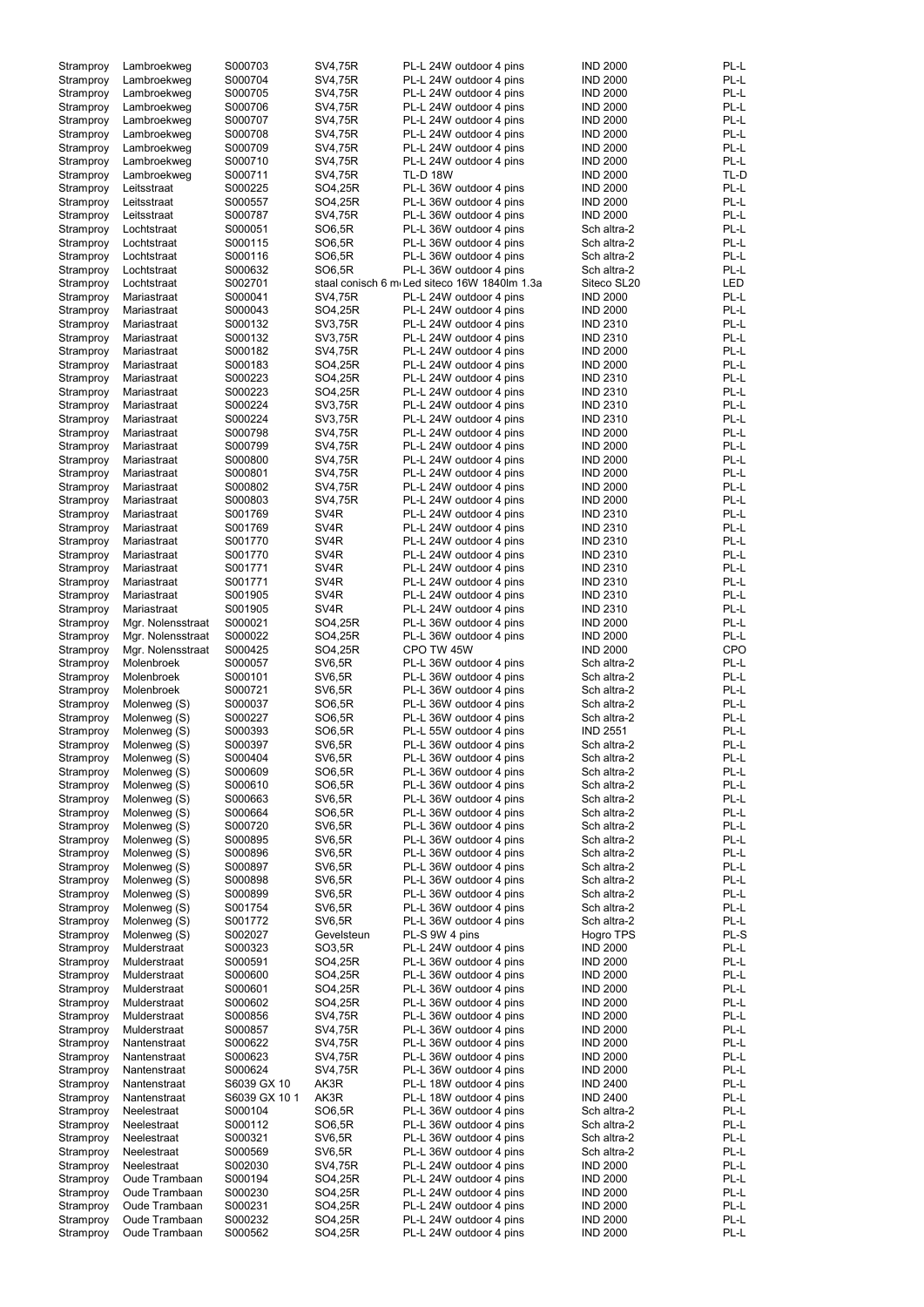| Stramproy | Lambroekweg       | S000703       | SV4,75R           | PL-L 24W outdoor 4 pins                      | <b>IND 2000</b> | PL-L       |
|-----------|-------------------|---------------|-------------------|----------------------------------------------|-----------------|------------|
| Stramproy | Lambroekweg       | S000704       | <b>SV4,75R</b>    | PL-L 24W outdoor 4 pins                      | <b>IND 2000</b> | PL-L       |
| Stramproy | Lambroekweg       | S000705       | SV4,75R           | PL-L 24W outdoor 4 pins                      | <b>IND 2000</b> | PL-L       |
|           |                   |               |                   |                                              |                 | PL-L       |
| Stramproy | Lambroekweg       | S000706       | SV4,75R           | PL-L 24W outdoor 4 pins                      | <b>IND 2000</b> |            |
| Stramproy | Lambroekweg       | S000707       | SV4,75R           | PL-L 24W outdoor 4 pins                      | <b>IND 2000</b> | PL-L       |
| Stramproy | Lambroekweg       | S000708       | SV4,75R           | PL-L 24W outdoor 4 pins                      | <b>IND 2000</b> | PL-L       |
| Stramproy | Lambroekweg       | S000709       | <b>SV4,75R</b>    | PL-L 24W outdoor 4 pins                      | <b>IND 2000</b> | PL-L       |
|           |                   |               |                   |                                              |                 |            |
| Stramproy | Lambroekweg       | S000710       | SV4,75R           | PL-L 24W outdoor 4 pins                      | <b>IND 2000</b> | PL-L       |
| Stramproy | Lambroekweg       | S000711       | SV4,75R           | <b>TL-D 18W</b>                              | <b>IND 2000</b> | TL-D       |
| Stramproy | Leitsstraat       | S000225       | SO4,25R           | PL-L 36W outdoor 4 pins                      | <b>IND 2000</b> | PL-L       |
|           |                   |               |                   |                                              |                 |            |
| Stramproy | Leitsstraat       | S000557       | SO4,25R           | PL-L 36W outdoor 4 pins                      | <b>IND 2000</b> | PL-L       |
| Stramproy | Leitsstraat       | S000787       | SV4,75R           | PL-L 36W outdoor 4 pins                      | <b>IND 2000</b> | PL-L       |
| Stramproy | Lochtstraat       | S000051       | SO6,5R            | PL-L 36W outdoor 4 pins                      | Sch altra-2     | PL-L       |
| Stramproy | Lochtstraat       | S000115       | SO6,5R            | PL-L 36W outdoor 4 pins                      | Sch altra-2     | PL-L       |
|           |                   |               |                   |                                              |                 |            |
| Stramproy | Lochtstraat       | S000116       | SO6,5R            | PL-L 36W outdoor 4 pins                      | Sch altra-2     | PL-L       |
| Stramproy | Lochtstraat       | S000632       | SO6,5R            | PL-L 36W outdoor 4 pins                      | Sch altra-2     | PL-L       |
| Stramproy | Lochtstraat       | S002701       |                   | staal conisch 6 m Led siteco 16W 1840lm 1.3a | Siteco SL20     | LED        |
|           |                   |               |                   |                                              |                 |            |
| Stramproy | Mariastraat       | S000041       | SV4,75R           | PL-L 24W outdoor 4 pins                      | <b>IND 2000</b> | PL-L       |
| Stramproy | Mariastraat       | S000043       | SO4,25R           | PL-L 24W outdoor 4 pins                      | <b>IND 2000</b> | PL-L       |
| Stramproy | Mariastraat       | S000132       | SV3,75R           | PL-L 24W outdoor 4 pins                      | <b>IND 2310</b> | PL-L       |
|           |                   |               |                   |                                              |                 | PL-L       |
| Stramproy | Mariastraat       | S000132       | SV3,75R           | PL-L 24W outdoor 4 pins                      | <b>IND 2310</b> |            |
| Stramproy | Mariastraat       | S000182       | SV4,75R           | PL-L 24W outdoor 4 pins                      | <b>IND 2000</b> | PL-L       |
| Stramproy | Mariastraat       | S000183       | SO4,25R           | PL-L 24W outdoor 4 pins                      | <b>IND 2000</b> | PL-L       |
| Stramproy | Mariastraat       | S000223       | SO4,25R           | PL-L 24W outdoor 4 pins                      | <b>IND 2310</b> | PL-L       |
|           |                   |               |                   |                                              |                 |            |
| Stramproy | Mariastraat       | S000223       | SO4,25R           | PL-L 24W outdoor 4 pins                      | <b>IND 2310</b> | PL-L       |
| Stramproy | Mariastraat       | S000224       | SV3,75R           | PL-L 24W outdoor 4 pins                      | <b>IND 2310</b> | PL-L       |
| Stramproy | Mariastraat       | S000224       | SV3,75R           | PL-L 24W outdoor 4 pins                      | <b>IND 2310</b> | PL-L       |
|           |                   |               |                   |                                              |                 |            |
| Stramproy | Mariastraat       | S000798       | SV4,75R           | PL-L 24W outdoor 4 pins                      | <b>IND 2000</b> | PL-L       |
| Stramproy | Mariastraat       | S000799       | SV4,75R           | PL-L 24W outdoor 4 pins                      | <b>IND 2000</b> | PL-L       |
| Stramproy | Mariastraat       | S000800       | SV4,75R           | PL-L 24W outdoor 4 pins                      | <b>IND 2000</b> | PL-L       |
|           |                   |               |                   |                                              |                 |            |
| Stramproy | Mariastraat       | S000801       | SV4,75R           | PL-L 24W outdoor 4 pins                      | <b>IND 2000</b> | PL-L       |
| Stramproy | Mariastraat       | S000802       | SV4,75R           | PL-L 24W outdoor 4 pins                      | <b>IND 2000</b> | PL-L       |
| Stramproy | Mariastraat       | S000803       | SV4,75R           | PL-L 24W outdoor 4 pins                      | <b>IND 2000</b> | PL-L       |
|           |                   |               |                   |                                              |                 |            |
| Stramproy | Mariastraat       | S001769       | SV <sub>4</sub> R | PL-L 24W outdoor 4 pins                      | <b>IND 2310</b> | PL-L       |
| Stramproy | Mariastraat       | S001769       | SV <sub>4</sub> R | PL-L 24W outdoor 4 pins                      | <b>IND 2310</b> | PL-L       |
| Stramproy | Mariastraat       | S001770       | SV <sub>4</sub> R | PL-L 24W outdoor 4 pins                      | <b>IND 2310</b> | PL-L       |
|           |                   | S001770       | SV <sub>4</sub> R | PL-L 24W outdoor 4 pins                      | <b>IND 2310</b> | PL-L       |
| Stramproy | Mariastraat       |               |                   |                                              |                 |            |
| Stramproy | Mariastraat       | S001771       | SV <sub>4</sub> R | PL-L 24W outdoor 4 pins                      | <b>IND 2310</b> | PL-L       |
| Stramproy | Mariastraat       | S001771       | SV <sub>4</sub> R | PL-L 24W outdoor 4 pins                      | <b>IND 2310</b> | PL-L       |
| Stramproy | Mariastraat       | S001905       | SV <sub>4</sub> R | PL-L 24W outdoor 4 pins                      | <b>IND 2310</b> | PL-L       |
|           |                   |               |                   |                                              |                 |            |
| Stramproy | Mariastraat       | S001905       | SV <sub>4R</sub>  | PL-L 24W outdoor 4 pins                      | <b>IND 2310</b> | PL-L       |
| Stramproy | Mgr. Nolensstraat | S000021       | SO4,25R           | PL-L 36W outdoor 4 pins                      | <b>IND 2000</b> | PL-L       |
| Stramproy | Mgr. Nolensstraat | S000022       | SO4,25R           | PL-L 36W outdoor 4 pins                      | <b>IND 2000</b> | PL-L       |
|           |                   |               |                   |                                              |                 |            |
| Stramproy | Mgr. Nolensstraat | S000425       | SO4,25R           | CPO TW 45W                                   | <b>IND 2000</b> | <b>CPO</b> |
| Stramproy | Molenbroek        | S000057       | <b>SV6,5R</b>     | PL-L 36W outdoor 4 pins                      | Sch altra-2     | PL-L       |
| Stramproy | Molenbroek        | S000101       | <b>SV6,5R</b>     | PL-L 36W outdoor 4 pins                      | Sch altra-2     | PL-L       |
|           |                   |               |                   |                                              |                 |            |
| Stramproy | Molenbroek        | S000721       | <b>SV6,5R</b>     | PL-L 36W outdoor 4 pins                      | Sch altra-2     | PL-L       |
| Stramproy | Molenweg (S)      | S000037       | SO6,5R            | PL-L 36W outdoor 4 pins                      | Sch altra-2     | PL-L       |
| Stramproy | Molenweg (S)      | S000227       | SO6,5R            | PL-L 36W outdoor 4 pins                      | Sch altra-2     | PL-L       |
|           |                   | S000393       | SO6,5R            | PL-L 55W outdoor 4 pins                      | <b>IND 2551</b> | PL-L       |
| Stramproy | Molenweg (S)      |               |                   |                                              |                 |            |
| Stramproy | Molenweg (S)      | S000397       | <b>SV6,5R</b>     | PL-L 36W outdoor 4 pins                      | Sch altra-2     | PL-L       |
| Stramproy | Molenweg (S)      | S000404       | <b>SV6,5R</b>     | PL-L 36W outdoor 4 pins                      | Sch altra-2     | PL-L       |
| Stramproy | Molenweg (S)      | S000609       | SO6,5R            | PL-L 36W outdoor 4 pins                      | Sch altra-2     | PL-L       |
|           |                   |               |                   |                                              |                 |            |
| Stramproy | Molenweg (S)      | S000610       | SO6,5R            | PL-L 36W outdoor 4 pins                      | Sch altra-2     | PL-L       |
| Stramproy | Molenweg (S)      | S000663       | <b>SV6,5R</b>     | PL-L 36W outdoor 4 pins                      | Sch altra-2     | PL-L       |
| Stramproy | Molenweg (S)      | S000664       | SO6,5R            | PL-L 36W outdoor 4 pins                      | Sch altra-2     | PL-L       |
|           |                   |               |                   |                                              |                 |            |
| Stramproy | Molenweg (S)      | S000720       | <b>SV6,5R</b>     | PL-L 36W outdoor 4 pins                      | Sch altra-2     | PL-L       |
| Stramproy | Molenweg (S)      | S000895       | <b>SV6,5R</b>     | PL-L 36W outdoor 4 pins                      | Sch altra-2     | PL-L       |
| Stramproy | Molenweg (S)      | S000896       | <b>SV6,5R</b>     | PL-L 36W outdoor 4 pins                      | Sch altra-2     | PL-L       |
| Stramproy | Molenweg (S)      | S000897       | <b>SV6,5R</b>     | PL-L 36W outdoor 4 pins                      | Sch altra-2     | PL-L       |
|           |                   |               |                   |                                              |                 |            |
| Stramproy | Molenweg (S)      | S000898       | <b>SV6,5R</b>     | PL-L 36W outdoor 4 pins                      | Sch altra-2     | PL-L       |
| Stramproy | Molenweg (S)      | S000899       | <b>SV6,5R</b>     | PL-L 36W outdoor 4 pins                      | Sch altra-2     | PL-L       |
| Stramproy | Molenweg (S)      | S001754       | <b>SV6,5R</b>     | PL-L 36W outdoor 4 pins                      | Sch altra-2     | PL-L       |
|           |                   |               |                   |                                              |                 | PL-L       |
| Stramproy | Molenweg (S)      | S001772       | <b>SV6,5R</b>     | PL-L 36W outdoor 4 pins                      | Sch altra-2     |            |
| Stramproy | Molenweg (S)      | S002027       | Gevelsteun        | PL-S 9W 4 pins                               | Hogro TPS       | PL-S       |
| Stramproy | Mulderstraat      | S000323       | SO3,5R            | PL-L 24W outdoor 4 pins                      | <b>IND 2000</b> | PL-L       |
| Stramproy | Mulderstraat      | S000591       | SO4,25R           | PL-L 36W outdoor 4 pins                      | <b>IND 2000</b> | PL-L       |
|           |                   |               |                   |                                              |                 |            |
| Stramproy | Mulderstraat      | S000600       | SO4,25R           | PL-L 36W outdoor 4 pins                      | <b>IND 2000</b> | PL-L       |
| Stramproy | Mulderstraat      | S000601       | SO4,25R           | PL-L 36W outdoor 4 pins                      | <b>IND 2000</b> | PL-L       |
| Stramproy | Mulderstraat      | S000602       | SO4,25R           | PL-L 36W outdoor 4 pins                      | <b>IND 2000</b> | PL-L       |
|           |                   |               |                   |                                              |                 |            |
| Stramproy | Mulderstraat      | S000856       | SV4,75R           | PL-L 36W outdoor 4 pins                      | <b>IND 2000</b> | PL-L       |
| Stramproy | Mulderstraat      | S000857       | SV4,75R           | PL-L 36W outdoor 4 pins                      | <b>IND 2000</b> | PL-L       |
| Stramproy | Nantenstraat      | S000622       | <b>SV4,75R</b>    | PL-L 36W outdoor 4 pins                      | <b>IND 2000</b> | PL-L       |
|           | Nantenstraat      |               |                   | PL-L 36W outdoor 4 pins                      |                 |            |
| Stramproy |                   | S000623       | SV4,75R           |                                              | <b>IND 2000</b> | PL-L       |
| Stramproy | Nantenstraat      | S000624       | SV4,75R           | PL-L 36W outdoor 4 pins                      | <b>IND 2000</b> | PL-L       |
| Stramproy | Nantenstraat      | S6039 GX 10   | AK3R              | PL-L 18W outdoor 4 pins                      | <b>IND 2400</b> | PL-L       |
| Stramproy | Nantenstraat      | S6039 GX 10 1 | AK3R              | PL-L 18W outdoor 4 pins                      | <b>IND 2400</b> | PL-L       |
|           |                   |               |                   |                                              |                 |            |
| Stramproy | Neelestraat       | S000104       | SO6,5R            | PL-L 36W outdoor 4 pins                      | Sch altra-2     | PL-L       |
| Stramproy | Neelestraat       | S000112       | SO6,5R            | PL-L 36W outdoor 4 pins                      | Sch altra-2     | PL-L       |
| Stramproy | Neelestraat       | S000321       | <b>SV6,5R</b>     | PL-L 36W outdoor 4 pins                      | Sch altra-2     | PL-L       |
|           |                   |               |                   |                                              |                 |            |
| Stramproy | Neelestraat       | S000569       | <b>SV6,5R</b>     | PL-L 36W outdoor 4 pins                      | Sch altra-2     | PL-L       |
| Stramproy | Neelestraat       | S002030       | SV4,75R           | PL-L 24W outdoor 4 pins                      | <b>IND 2000</b> | PL-L       |
| Stramproy | Oude Trambaan     | S000194       | SO4,25R           | PL-L 24W outdoor 4 pins                      | <b>IND 2000</b> | PL-L       |
|           |                   |               |                   |                                              |                 |            |
| Stramproy | Oude Trambaan     | S000230       | SO4,25R           | PL-L 24W outdoor 4 pins                      | <b>IND 2000</b> | PL-L       |
| Stramproy | Oude Trambaan     | S000231       | SO4,25R           | PL-L 24W outdoor 4 pins                      | <b>IND 2000</b> | PL-L       |
| Stramproy | Oude Trambaan     | S000232       | SO4,25R           | PL-L 24W outdoor 4 pins                      | <b>IND 2000</b> | PL-L       |
| Stramproy | Oude Trambaan     | S000562       | SO4,25R           | PL-L 24W outdoor 4 pins                      | <b>IND 2000</b> | PL-L       |
|           |                   |               |                   |                                              |                 |            |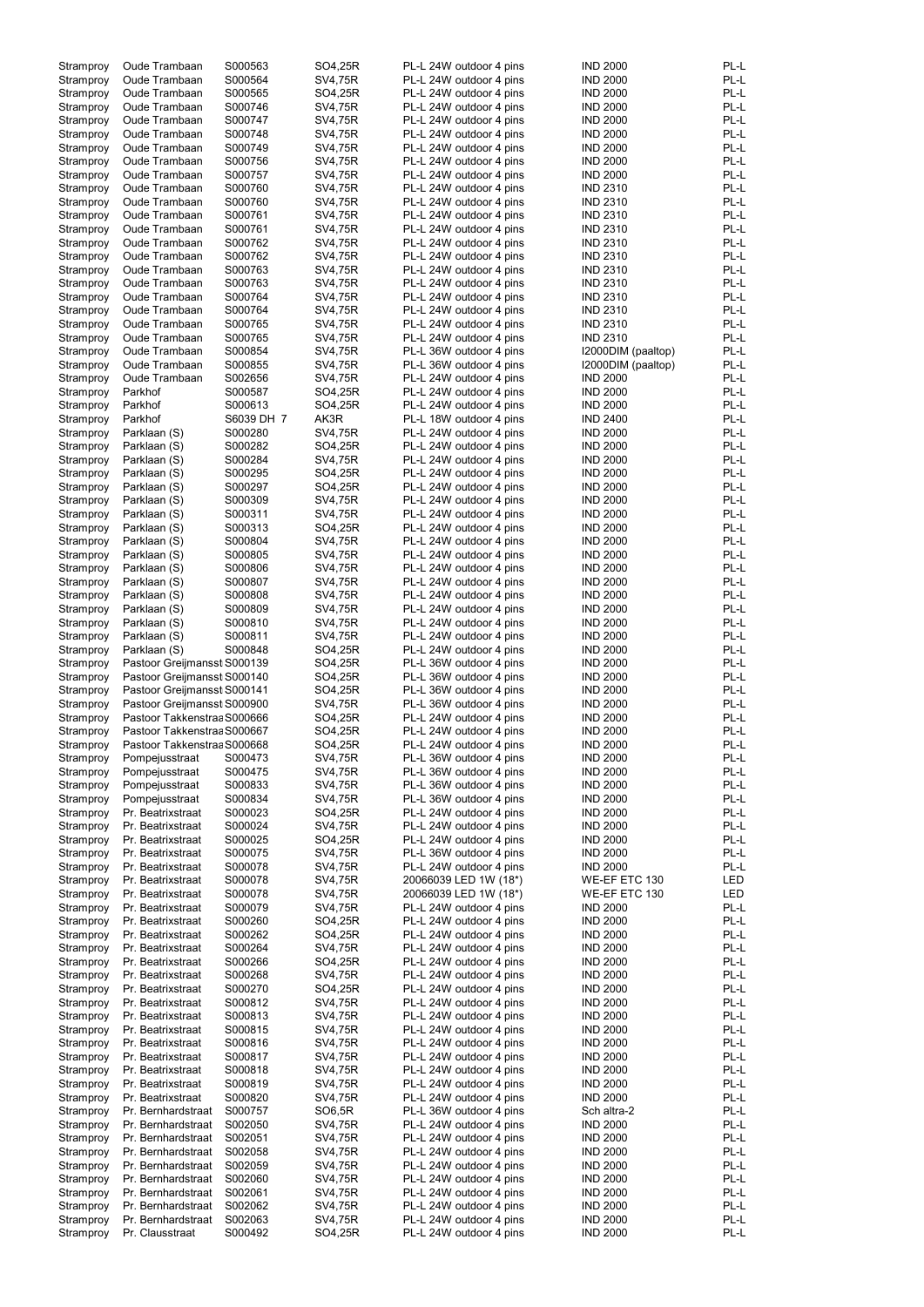| Stramproy | Oude Trambaan               | S000563    | SO4,25R        | PL-L 24W outdoor 4 pins | <b>IND 2000</b>    | PL-L |
|-----------|-----------------------------|------------|----------------|-------------------------|--------------------|------|
|           |                             |            |                |                         |                    | PL-L |
| Stramproy | Oude Trambaan               | S000564    | SV4,75R        | PL-L 24W outdoor 4 pins | <b>IND 2000</b>    |      |
| Stramproy | Oude Trambaan               | S000565    | SO4,25R        | PL-L 24W outdoor 4 pins | <b>IND 2000</b>    | PL-L |
| Stramproy | Oude Trambaan               | S000746    | SV4,75R        | PL-L 24W outdoor 4 pins | <b>IND 2000</b>    | PL-L |
|           |                             |            |                |                         |                    |      |
| Stramproy | <b>Oude Trambaan</b>        | S000747    | SV4,75R        | PL-L 24W outdoor 4 pins | <b>IND 2000</b>    | PL-L |
| Stramproy | Oude Trambaan               | S000748    | SV4,75R        | PL-L 24W outdoor 4 pins | <b>IND 2000</b>    | PL-L |
|           |                             |            |                |                         |                    |      |
| Stramproy | Oude Trambaan               | S000749    | SV4,75R        | PL-L 24W outdoor 4 pins | <b>IND 2000</b>    | PL-L |
| Stramproy | Oude Trambaan               | S000756    | SV4,75R        | PL-L 24W outdoor 4 pins | <b>IND 2000</b>    | PL-L |
|           | Oude Trambaan               | S000757    | <b>SV4,75R</b> | PL-L 24W outdoor 4 pins | <b>IND 2000</b>    | PL-L |
| Stramproy |                             |            |                |                         |                    |      |
| Stramproy | Oude Trambaan               | S000760    | <b>SV4,75R</b> | PL-L 24W outdoor 4 pins | <b>IND 2310</b>    | PL-L |
| Stramproy | Oude Trambaan               | S000760    | SV4,75R        | PL-L 24W outdoor 4 pins | <b>IND 2310</b>    | PL-L |
|           |                             |            |                |                         |                    |      |
| Stramproy | Oude Trambaan               | S000761    | SV4,75R        | PL-L 24W outdoor 4 pins | <b>IND 2310</b>    | PL-L |
| Stramproy | Oude Trambaan               | S000761    | SV4,75R        | PL-L 24W outdoor 4 pins | <b>IND 2310</b>    | PL-L |
|           |                             |            |                |                         |                    |      |
| Stramproy | Oude Trambaan               | S000762    | SV4,75R        | PL-L 24W outdoor 4 pins | <b>IND 2310</b>    | PL-L |
| Stramproy | Oude Trambaan               | S000762    | SV4,75R        | PL-L 24W outdoor 4 pins | <b>IND 2310</b>    | PL-L |
|           |                             |            |                |                         |                    |      |
| Stramproy | Oude Trambaan               | S000763    | <b>SV4,75R</b> | PL-L 24W outdoor 4 pins | <b>IND 2310</b>    | PL-L |
| Stramproy | Oude Trambaan               | S000763    | SV4,75R        | PL-L 24W outdoor 4 pins | <b>IND 2310</b>    | PL-L |
|           |                             |            |                |                         |                    |      |
| Stramproy | Oude Trambaan               | S000764    | <b>SV4,75R</b> | PL-L 24W outdoor 4 pins | <b>IND 2310</b>    | PL-L |
| Stramproy | Oude Trambaan               | S000764    | SV4,75R        | PL-L 24W outdoor 4 pins | <b>IND 2310</b>    | PL-L |
|           |                             |            |                |                         |                    | PL-L |
| Stramproy | Oude Trambaan               | S000765    | SV4,75R        | PL-L 24W outdoor 4 pins | <b>IND 2310</b>    |      |
| Stramproy | Oude Trambaan               | S000765    | SV4,75R        | PL-L 24W outdoor 4 pins | <b>IND 2310</b>    | PL-L |
| Stramproy | Oude Trambaan               | S000854    | SV4,75R        | PL-L 36W outdoor 4 pins | I2000DIM (paaltop) | PL-L |
|           |                             |            |                |                         |                    |      |
| Stramproy | Oude Trambaan               | S000855    | <b>SV4,75R</b> | PL-L 36W outdoor 4 pins | I2000DIM (paaltop) | PL-L |
| Stramproy | Oude Trambaan               | S002656    | SV4,75R        | PL-L 24W outdoor 4 pins | <b>IND 2000</b>    | PL-L |
|           |                             |            |                |                         |                    |      |
| Stramproy | Parkhof                     | S000587    | SO4,25R        | PL-L 24W outdoor 4 pins | <b>IND 2000</b>    | PL-L |
| Stramproy | Parkhof                     | S000613    | SO4,25R        | PL-L 24W outdoor 4 pins | <b>IND 2000</b>    | PL-L |
|           |                             |            |                |                         |                    |      |
| Stramproy | Parkhof                     | S6039 DH 7 | AK3R           | PL-L 18W outdoor 4 pins | <b>IND 2400</b>    | PL-L |
| Stramproy | Parklaan (S)                | S000280    | SV4,75R        | PL-L 24W outdoor 4 pins | <b>IND 2000</b>    | PL-L |
|           | Parklaan (S)                | S000282    | SO4,25R        | PL-L 24W outdoor 4 pins | <b>IND 2000</b>    | PL-L |
| Stramproy |                             |            |                |                         |                    |      |
| Stramproy | Parklaan (S)                | S000284    | SV4,75R        | PL-L 24W outdoor 4 pins | <b>IND 2000</b>    | PL-L |
| Stramproy | Parklaan (S)                | S000295    | SO4,25R        | PL-L 24W outdoor 4 pins | <b>IND 2000</b>    | PL-L |
|           |                             |            |                |                         |                    |      |
| Stramproy | Parklaan (S)                | S000297    | SO4,25R        | PL-L 24W outdoor 4 pins | <b>IND 2000</b>    | PL-L |
| Stramproy | Parklaan (S)                | S000309    | SV4,75R        | PL-L 24W outdoor 4 pins | <b>IND 2000</b>    | PL-L |
|           |                             |            |                |                         |                    |      |
| Stramproy | Parklaan (S)                | S000311    | SV4,75R        | PL-L 24W outdoor 4 pins | <b>IND 2000</b>    | PL-L |
| Stramproy | Parklaan (S)                | S000313    | SO4,25R        | PL-L 24W outdoor 4 pins | <b>IND 2000</b>    | PL-L |
|           |                             |            |                |                         |                    |      |
| Stramproy | Parklaan (S)                | S000804    | <b>SV4,75R</b> | PL-L 24W outdoor 4 pins | <b>IND 2000</b>    | PL-L |
| Stramproy | Parklaan (S)                | S000805    | <b>SV4,75R</b> | PL-L 24W outdoor 4 pins | <b>IND 2000</b>    | PL-L |
|           |                             |            |                |                         |                    |      |
| Stramproy | Parklaan (S)                | S000806    | <b>SV4,75R</b> | PL-L 24W outdoor 4 pins | <b>IND 2000</b>    | PL-L |
| Stramproy | Parklaan (S)                | S000807    | SV4,75R        | PL-L 24W outdoor 4 pins | <b>IND 2000</b>    | PL-L |
|           |                             |            |                |                         |                    |      |
| Stramproy | Parklaan (S)                | S000808    | SV4,75R        | PL-L 24W outdoor 4 pins | <b>IND 2000</b>    | PL-L |
| Stramproy | Parklaan (S)                | S000809    | SV4,75R        | PL-L 24W outdoor 4 pins | <b>IND 2000</b>    | PL-L |
|           |                             |            |                | PL-L 24W outdoor 4 pins | <b>IND 2000</b>    | PL-L |
| Stramproy | Parklaan (S)                | S000810    | SV4,75R        |                         |                    |      |
| Stramproy | Parklaan (S)                | S000811    | SV4,75R        | PL-L 24W outdoor 4 pins | <b>IND 2000</b>    | PL-L |
|           | Parklaan (S)                | S000848    | SO4,25R        | PL-L 24W outdoor 4 pins | <b>IND 2000</b>    | PL-L |
| Stramproy |                             |            |                |                         |                    |      |
| Stramproy | Pastoor Greijmansst S000139 |            | SO4,25R        | PL-L 36W outdoor 4 pins | <b>IND 2000</b>    | PL-L |
| Stramproy | Pastoor Greijmansst S000140 |            | SO4,25R        | PL-L 36W outdoor 4 pins | <b>IND 2000</b>    | PL-L |
|           |                             |            |                |                         |                    |      |
| Stramproy | Pastoor Greijmansst S000141 |            | SO4,25R        | PL-L 36W outdoor 4 pins | <b>IND 2000</b>    | PL-L |
| Stramproy | Pastoor Greijmansst S000900 |            | SV4,75R        | PL-L 36W outdoor 4 pins | <b>IND 2000</b>    | PL-L |
|           |                             |            |                |                         |                    |      |
| Stramproy | Pastoor Takkenstraa S000666 |            | SO4,25R        | PL-L 24W outdoor 4 pins | <b>IND 2000</b>    | PL-L |
| Stramproy | Pastoor Takkenstraa S000667 |            | SO4,25R        | PL-L 24W outdoor 4 pins | <b>IND 2000</b>    | PL-L |
|           |                             |            |                |                         |                    |      |
| Stramproy | Pastoor Takkenstraa S000668 |            | SO4,25R        | PL-L 24W outdoor 4 pins | <b>IND 2000</b>    | PL-L |
| Stramproy | Pompejusstraat              | S000473    | SV4,75R        | PL-L 36W outdoor 4 pins | <b>IND 2000</b>    | PL-L |
|           |                             |            |                |                         |                    |      |
| Stramproy | Pompejusstraat              | S000475    | SV4,75R        | PL-L 36W outdoor 4 pins | <b>IND 2000</b>    | PL-L |
| Stramproy | Pompejusstraat              | S000833    | SV4,75R        | PL-L 36W outdoor 4 pins | <b>IND 2000</b>    | PL-L |
|           |                             |            |                |                         |                    |      |
| Stramproy | Pompejusstraat              | S000834    | SV4,75R        | PL-L 36W outdoor 4 pins | <b>IND 2000</b>    | PL-L |
| Stramproy | Pr. Beatrixstraat           | S000023    | SO4,25R        | PL-L 24W outdoor 4 pins | <b>IND 2000</b>    | PL-L |
|           | Pr. Beatrixstraat           | S000024    | SV4,75R        | PL-L 24W outdoor 4 pins | <b>IND 2000</b>    | PL-L |
| Stramproy |                             |            |                |                         |                    |      |
| Stramproy | Pr. Beatrixstraat           | S000025    | SO4,25R        | PL-L 24W outdoor 4 pins | <b>IND 2000</b>    | PL-L |
| Stramproy | Pr. Beatrixstraat           | S000075    | SV4,75R        | PL-L 36W outdoor 4 pins | <b>IND 2000</b>    | PL-L |
|           |                             |            |                |                         |                    |      |
| Stramproy | Pr. Beatrixstraat           | S000078    | SV4,75R        | PL-L 24W outdoor 4 pins | <b>IND 2000</b>    | PL-L |
| Stramproy | Pr. Beatrixstraat           | S000078    | SV4,75R        | 20066039 LED 1W (18*)   | WE-EF ETC 130      | LED  |
|           | Pr. Beatrixstraat           | S000078    | SV4,75R        | 20066039 LED 1W (18*)   | WE-EF ETC 130      | LED  |
| Stramproy |                             |            |                |                         |                    |      |
| Stramproy | Pr. Beatrixstraat           | S000079    | SV4,75R        | PL-L 24W outdoor 4 pins | <b>IND 2000</b>    | PL-L |
| Stramproy | Pr. Beatrixstraat           | S000260    | SO4,25R        | PL-L 24W outdoor 4 pins | <b>IND 2000</b>    | PL-L |
|           |                             |            |                |                         |                    |      |
| Stramproy | Pr. Beatrixstraat           | S000262    | SO4,25R        | PL-L 24W outdoor 4 pins | <b>IND 2000</b>    | PL-L |
| Stramproy | Pr. Beatrixstraat           | S000264    | SV4,75R        | PL-L 24W outdoor 4 pins | <b>IND 2000</b>    | PL-L |
|           |                             |            |                |                         |                    |      |
| Stramproy | Pr. Beatrixstraat           | S000266    | SO4,25R        | PL-L 24W outdoor 4 pins | <b>IND 2000</b>    | PL-L |
| Stramproy | Pr. Beatrixstraat           | S000268    | SV4,75R        | PL-L 24W outdoor 4 pins | <b>IND 2000</b>    | PL-L |
|           |                             |            |                |                         |                    |      |
| Stramproy | Pr. Beatrixstraat           | S000270    | SO4,25R        | PL-L 24W outdoor 4 pins | <b>IND 2000</b>    | PL-L |
| Stramproy | Pr. Beatrixstraat           | S000812    | SV4,75R        | PL-L 24W outdoor 4 pins | <b>IND 2000</b>    | PL-L |
|           |                             | S000813    |                |                         | <b>IND 2000</b>    | PL-L |
| Stramproy | Pr. Beatrixstraat           |            | SV4,75R        | PL-L 24W outdoor 4 pins |                    |      |
| Stramproy | Pr. Beatrixstraat           | S000815    | SV4,75R        | PL-L 24W outdoor 4 pins | <b>IND 2000</b>    | PL-L |
| Stramproy | Pr. Beatrixstraat           | S000816    | SV4,75R        | PL-L 24W outdoor 4 pins | <b>IND 2000</b>    | PL-L |
|           |                             |            |                |                         |                    |      |
| Stramproy | Pr. Beatrixstraat           | S000817    | SV4,75R        | PL-L 24W outdoor 4 pins | <b>IND 2000</b>    | PL-L |
| Stramproy | Pr. Beatrixstraat           | S000818    | SV4,75R        | PL-L 24W outdoor 4 pins | <b>IND 2000</b>    | PL-L |
|           |                             |            |                |                         |                    |      |
| Stramproy | Pr. Beatrixstraat           | S000819    | SV4,75R        | PL-L 24W outdoor 4 pins | <b>IND 2000</b>    | PL-L |
| Stramproy | Pr. Beatrixstraat           | S000820    | SV4,75R        | PL-L 24W outdoor 4 pins | <b>IND 2000</b>    | PL-L |
|           |                             |            |                |                         |                    |      |
| Stramproy | Pr. Bernhardstraat          | S000757    | SO6,5R         | PL-L 36W outdoor 4 pins | Sch altra-2        | PL-L |
| Stramproy | Pr. Bernhardstraat          | S002050    | SV4,75R        | PL-L 24W outdoor 4 pins | <b>IND 2000</b>    | PL-L |
|           |                             |            |                |                         |                    |      |
| Stramproy | Pr. Bernhardstraat          | S002051    | SV4,75R        | PL-L 24W outdoor 4 pins | <b>IND 2000</b>    | PL-L |
| Stramproy | Pr. Bernhardstraat          | S002058    | SV4,75R        | PL-L 24W outdoor 4 pins | <b>IND 2000</b>    | PL-L |
|           |                             |            |                |                         |                    |      |
| Stramproy | Pr. Bernhardstraat          | S002059    | SV4,75R        | PL-L 24W outdoor 4 pins | <b>IND 2000</b>    | PL-L |
| Stramproy | Pr. Bernhardstraat          | S002060    | <b>SV4,75R</b> | PL-L 24W outdoor 4 pins | <b>IND 2000</b>    | PL-L |
| Stramproy | Pr. Bernhardstraat          | S002061    | SV4,75R        | PL-L 24W outdoor 4 pins | <b>IND 2000</b>    | PL-L |
|           |                             |            |                |                         |                    |      |
| Stramproy | Pr. Bernhardstraat          | S002062    | SV4,75R        | PL-L 24W outdoor 4 pins | <b>IND 2000</b>    | PL-L |
| Stramproy | Pr. Bernhardstraat          | S002063    | SV4,75R        | PL-L 24W outdoor 4 pins | <b>IND 2000</b>    | PL-L |
|           |                             |            |                |                         |                    |      |
| Stramproy | Pr. Clausstraat             | S000492    | SO4,25R        | PL-L 24W outdoor 4 pins | <b>IND 2000</b>    | PL-L |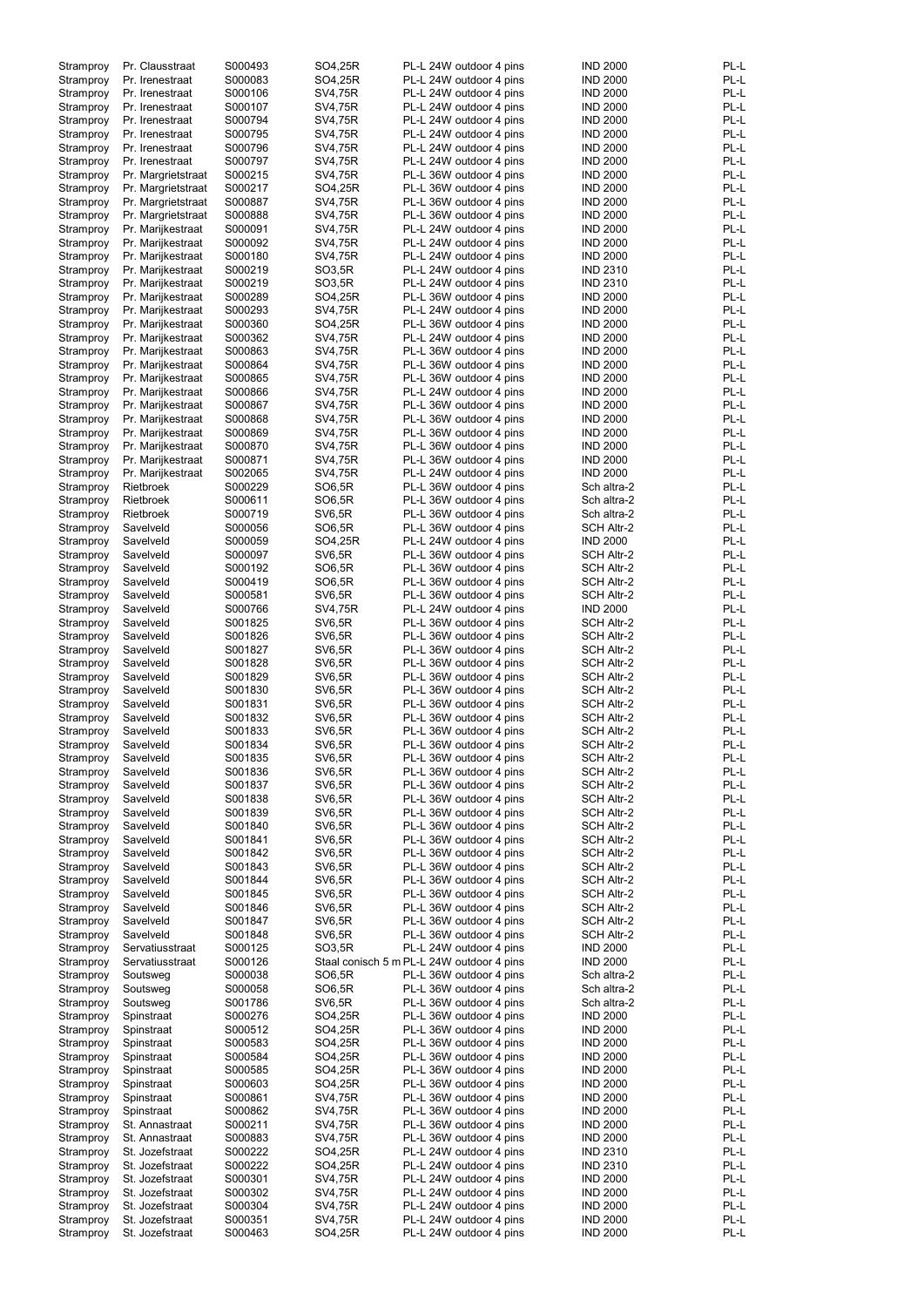| Stramproy | Pr. Clausstraat    | S000493 | SO4,25R       | PL-L 24W outdoor 4 pins                   | <b>IND 2000</b>   | PL-L |
|-----------|--------------------|---------|---------------|-------------------------------------------|-------------------|------|
| Stramproy | Pr. Irenestraat    | S000083 | SO4,25R       | PL-L 24W outdoor 4 pins                   | <b>IND 2000</b>   | PL-L |
| Stramproy | Pr. Irenestraat    | S000106 | SV4,75R       | PL-L 24W outdoor 4 pins                   | <b>IND 2000</b>   | PL-L |
| Stramproy | Pr. Irenestraat    | S000107 | SV4,75R       | PL-L 24W outdoor 4 pins                   | <b>IND 2000</b>   | PL-L |
| Stramproy | Pr. Irenestraat    | S000794 | SV4,75R       | PL-L 24W outdoor 4 pins                   | <b>IND 2000</b>   | PL-L |
| Stramproy | Pr. Irenestraat    | S000795 | SV4,75R       | PL-L 24W outdoor 4 pins                   | <b>IND 2000</b>   | PL-L |
| Stramproy | Pr. Irenestraat    | S000796 | SV4,75R       | PL-L 24W outdoor 4 pins                   | <b>IND 2000</b>   | PL-L |
| Stramproy | Pr. Irenestraat    | S000797 | SV4,75R       | PL-L 24W outdoor 4 pins                   | <b>IND 2000</b>   | PL-L |
| Stramproy | Pr. Margrietstraat | S000215 | SV4,75R       | PL-L 36W outdoor 4 pins                   | <b>IND 2000</b>   | PL-L |
| Stramproy | Pr. Margrietstraat | S000217 | SO4,25R       | PL-L 36W outdoor 4 pins                   | <b>IND 2000</b>   | PL-L |
| Stramproy | Pr. Margrietstraat | S000887 | SV4,75R       | PL-L 36W outdoor 4 pins                   | <b>IND 2000</b>   | PL-L |
| Stramproy | Pr. Margrietstraat | S000888 | SV4,75R       | PL-L 36W outdoor 4 pins                   | <b>IND 2000</b>   | PL-L |
| Stramproy | Pr. Marijkestraat  | S000091 | SV4,75R       | PL-L 24W outdoor 4 pins                   | <b>IND 2000</b>   | PL-L |
| Stramproy | Pr. Marijkestraat  | S000092 | SV4,75R       | PL-L 24W outdoor 4 pins                   | <b>IND 2000</b>   | PL-L |
| Stramproy | Pr. Marijkestraat  | S000180 | SV4,75R       | PL-L 24W outdoor 4 pins                   | <b>IND 2000</b>   | PL-L |
| Stramproy | Pr. Marijkestraat  | S000219 | SO3,5R        | PL-L 24W outdoor 4 pins                   | <b>IND 2310</b>   | PL-L |
| Stramproy | Pr. Marijkestraat  | S000219 | SO3,5R        | PL-L 24W outdoor 4 pins                   | <b>IND 2310</b>   | PL-L |
| Stramproy | Pr. Marijkestraat  | S000289 | SO4,25R       | PL-L 36W outdoor 4 pins                   | <b>IND 2000</b>   | PL-L |
|           | Pr. Marijkestraat  | S000293 | SV4,75R       | PL-L 24W outdoor 4 pins                   | <b>IND 2000</b>   | PL-L |
| Stramproy |                    | S000360 |               |                                           |                   | PL-L |
| Stramproy | Pr. Marijkestraat  |         | SO4,25R       | PL-L 36W outdoor 4 pins                   | <b>IND 2000</b>   |      |
| Stramproy | Pr. Marijkestraat  | S000362 | SV4,75R       | PL-L 24W outdoor 4 pins                   | <b>IND 2000</b>   | PL-L |
| Stramproy | Pr. Marijkestraat  | S000863 | SV4,75R       | PL-L 36W outdoor 4 pins                   | <b>IND 2000</b>   | PL-L |
| Stramproy | Pr. Marijkestraat  | S000864 | SV4,75R       | PL-L 36W outdoor 4 pins                   | <b>IND 2000</b>   | PL-L |
| Stramproy | Pr. Marijkestraat  | S000865 | SV4,75R       | PL-L 36W outdoor 4 pins                   | <b>IND 2000</b>   | PL-L |
| Stramproy | Pr. Marijkestraat  | S000866 | SV4,75R       | PL-L 24W outdoor 4 pins                   | <b>IND 2000</b>   | PL-L |
| Stramproy | Pr. Marijkestraat  | S000867 | SV4,75R       | PL-L 36W outdoor 4 pins                   | <b>IND 2000</b>   | PL-L |
| Stramproy | Pr. Marijkestraat  | S000868 | SV4,75R       | PL-L 36W outdoor 4 pins                   | <b>IND 2000</b>   | PL-L |
| Stramproy | Pr. Marijkestraat  | S000869 | SV4,75R       | PL-L 36W outdoor 4 pins                   | <b>IND 2000</b>   | PL-L |
| Stramproy | Pr. Marijkestraat  | S000870 | SV4,75R       | PL-L 36W outdoor 4 pins                   | <b>IND 2000</b>   | PL-L |
| Stramproy | Pr. Marijkestraat  | S000871 | SV4,75R       | PL-L 36W outdoor 4 pins                   | <b>IND 2000</b>   | PL-L |
| Stramproy | Pr. Marijkestraat  | S002065 | SV4,75R       | PL-L 24W outdoor 4 pins                   | <b>IND 2000</b>   | PL-L |
| Stramproy | Rietbroek          | S000229 | SO6,5R        | PL-L 36W outdoor 4 pins                   | Sch altra-2       | PL-L |
| Stramproy | Rietbroek          | S000611 | SO6,5R        | PL-L 36W outdoor 4 pins                   | Sch altra-2       | PL-L |
| Stramproy | Rietbroek          | S000719 | <b>SV6,5R</b> | PL-L 36W outdoor 4 pins                   | Sch altra-2       | PL-L |
|           | Savelveld          | S000056 |               |                                           | <b>SCH Altr-2</b> | PL-L |
| Stramproy |                    |         | SO6,5R        | PL-L 36W outdoor 4 pins                   |                   |      |
| Stramproy | Savelveld          | S000059 | SO4,25R       | PL-L 24W outdoor 4 pins                   | <b>IND 2000</b>   | PL-L |
| Stramproy | Savelveld          | S000097 | <b>SV6,5R</b> | PL-L 36W outdoor 4 pins                   | <b>SCH Altr-2</b> | PL-L |
| Stramproy | Savelveld          | S000192 | SO6,5R        | PL-L 36W outdoor 4 pins                   | <b>SCH Altr-2</b> | PL-L |
| Stramproy | Savelveld          | S000419 | SO6,5R        | PL-L 36W outdoor 4 pins                   | <b>SCH Altr-2</b> | PL-L |
| Stramproy | Savelveld          | S000581 | <b>SV6,5R</b> | PL-L 36W outdoor 4 pins                   | <b>SCH Altr-2</b> | PL-L |
| Stramproy | Savelveld          | S000766 | SV4,75R       | PL-L 24W outdoor 4 pins                   | <b>IND 2000</b>   | PL-L |
| Stramproy | Savelveld          | S001825 | <b>SV6,5R</b> | PL-L 36W outdoor 4 pins                   | <b>SCH Altr-2</b> | PL-L |
| Stramproy | Savelveld          | S001826 | <b>SV6,5R</b> | PL-L 36W outdoor 4 pins                   | SCH Altr-2        | PL-L |
| Stramproy | Savelveld          | S001827 | <b>SV6,5R</b> | PL-L 36W outdoor 4 pins                   | <b>SCH Altr-2</b> | PL-L |
| Stramproy | Savelveld          | S001828 | <b>SV6,5R</b> | PL-L 36W outdoor 4 pins                   | <b>SCH Altr-2</b> | PL-L |
| Stramproy | Savelveld          | S001829 | <b>SV6,5R</b> | PL-L 36W outdoor 4 pins                   | SCH Altr-2        | PL-L |
| Stramproy | Savelveld          | S001830 | <b>SV6,5R</b> | PL-L 36W outdoor 4 pins                   | <b>SCH Altr-2</b> | PL-L |
| Stramproy | Savelveld          | S001831 | <b>SV6,5R</b> | PL-L 36W outdoor 4 pins                   | <b>SCH Altr-2</b> | PL-L |
| Stramproy | Savelveld          | S001832 | <b>SV6,5R</b> | PL-L 36W outdoor 4 pins                   | <b>SCH Altr-2</b> | PL-L |
| Stramproy | Savelveld          | S001833 | <b>SV6,5R</b> | PL-L 36W outdoor 4 pins                   | <b>SCH Altr-2</b> | PL-L |
| Stramproy | Savelveld          | S001834 | <b>SV6,5R</b> | PL-L 36W outdoor 4 pins                   | <b>SCH Altr-2</b> | PL-L |
|           |                    | S001835 | <b>SV6,5R</b> |                                           |                   | PL-L |
| Stramproy | Savelveld          |         |               | PL-L 36W outdoor 4 pins                   | <b>SCH Altr-2</b> |      |
| Stramproy | Savelveld          | S001836 | <b>SV6,5R</b> | PL-L 36W outdoor 4 pins                   | SCH Altr-2        | PL-L |
| Stramproy | Savelveld          | S001837 | <b>SV6,5R</b> | PL-L 36W outdoor 4 pins                   | <b>SCH Altr-2</b> | PL-L |
| Stramproy | Savelveld          | S001838 | <b>SV6,5R</b> | PL-L 36W outdoor 4 pins                   | <b>SCH Altr-2</b> | PL-L |
| Stramproy | Savelveld          | S001839 | <b>SV6,5R</b> | PL-L 36W outdoor 4 pins                   | SCH Altr-2        | PL-L |
| Stramproy | Savelveld          | S001840 | <b>SV6,5R</b> | PL-L 36W outdoor 4 pins                   | SCH Altr-2        | PL-L |
| Stramproy | Savelveld          | S001841 | <b>SV6,5R</b> | PL-L 36W outdoor 4 pins                   | SCH Altr-2        | PL-L |
| Stramproy | Savelveld          | S001842 | <b>SV6,5R</b> | PL-L 36W outdoor 4 pins                   | SCH Altr-2        | PL-L |
| Stramproy | Savelveld          | S001843 | <b>SV6,5R</b> | PL-L 36W outdoor 4 pins                   | SCH Altr-2        | PL-L |
| Stramproy | Savelveld          | S001844 | <b>SV6,5R</b> | PL-L 36W outdoor 4 pins                   | SCH Altr-2        | PL-L |
| Stramproy | Savelveld          | S001845 | <b>SV6,5R</b> | PL-L 36W outdoor 4 pins                   | SCH Altr-2        | PL-L |
| Stramproy | Savelveld          | S001846 | <b>SV6,5R</b> | PL-L 36W outdoor 4 pins                   | SCH Altr-2        | PL-L |
| Stramproy | Savelveld          | S001847 | <b>SV6,5R</b> | PL-L 36W outdoor 4 pins                   | SCH Altr-2        | PL-L |
| Stramproy | Savelveld          | S001848 | <b>SV6,5R</b> | PL-L 36W outdoor 4 pins                   | <b>SCH Altr-2</b> | PL-L |
| Stramproy | Servatiusstraat    | S000125 | SO3,5R        | PL-L 24W outdoor 4 pins                   | <b>IND 2000</b>   | PL-L |
| Stramproy | Servatiusstraat    | S000126 |               | Staal conisch 5 m PL-L 24W outdoor 4 pins | <b>IND 2000</b>   | PL-L |
| Stramproy | Soutsweg           | S000038 | SO6,5R        | PL-L 36W outdoor 4 pins                   | Sch altra-2       | PL-L |
| Stramproy | Soutsweg           | S000058 | SO6,5R        | PL-L 36W outdoor 4 pins                   | Sch altra-2       | PL-L |
| Stramproy | Soutsweg           | S001786 | SV6,5R        | PL-L 36W outdoor 4 pins                   | Sch altra-2       | PL-L |
| Stramproy | Spinstraat         | S000276 | SO4,25R       | PL-L 36W outdoor 4 pins                   | <b>IND 2000</b>   | PL-L |
| Stramproy | Spinstraat         | S000512 | SO4,25R       | PL-L 36W outdoor 4 pins                   | <b>IND 2000</b>   | PL-L |
|           | Spinstraat         | S000583 | SO4,25R       | PL-L 36W outdoor 4 pins                   | <b>IND 2000</b>   | PL-L |
| Stramproy |                    |         | SO4,25R       |                                           | <b>IND 2000</b>   | PL-L |
| Stramproy | Spinstraat         | S000584 |               | PL-L 36W outdoor 4 pins                   |                   |      |
| Stramproy | Spinstraat         | S000585 | SO4,25R       | PL-L 36W outdoor 4 pins                   | <b>IND 2000</b>   | PL-L |
| Stramproy | Spinstraat         | S000603 | SO4,25R       | PL-L 36W outdoor 4 pins                   | <b>IND 2000</b>   | PL-L |
| Stramproy | Spinstraat         | S000861 | SV4,75R       | PL-L 36W outdoor 4 pins                   | <b>IND 2000</b>   | PL-L |
| Stramproy | Spinstraat         | S000862 | SV4,75R       | PL-L 36W outdoor 4 pins                   | <b>IND 2000</b>   | PL-L |
| Stramproy | St. Annastraat     | S000211 | SV4,75R       | PL-L 36W outdoor 4 pins                   | <b>IND 2000</b>   | PL-L |
| Stramproy | St. Annastraat     | S000883 | SV4,75R       | PL-L 36W outdoor 4 pins                   | <b>IND 2000</b>   | PL-L |
| Stramproy | St. Jozefstraat    | S000222 | SO4,25R       | PL-L 24W outdoor 4 pins                   | <b>IND 2310</b>   | PL-L |
| Stramproy | St. Jozefstraat    | S000222 | SO4,25R       | PL-L 24W outdoor 4 pins                   | <b>IND 2310</b>   | PL-L |
| Stramproy | St. Jozefstraat    | S000301 | SV4,75R       | PL-L 24W outdoor 4 pins                   | <b>IND 2000</b>   | PL-L |
| Stramproy | St. Jozefstraat    | S000302 | SV4,75R       | PL-L 24W outdoor 4 pins                   | <b>IND 2000</b>   | PL-L |
| Stramproy | St. Jozefstraat    | S000304 | SV4,75R       | PL-L 24W outdoor 4 pins                   | <b>IND 2000</b>   | PL-L |
| Stramproy | St. Jozefstraat    | S000351 | SV4,75R       | PL-L 24W outdoor 4 pins                   | <b>IND 2000</b>   | PL-L |
| Stramproy | St. Jozefstraat    | S000463 | SO4,25R       | PL-L 24W outdoor 4 pins                   | <b>IND 2000</b>   | PL-L |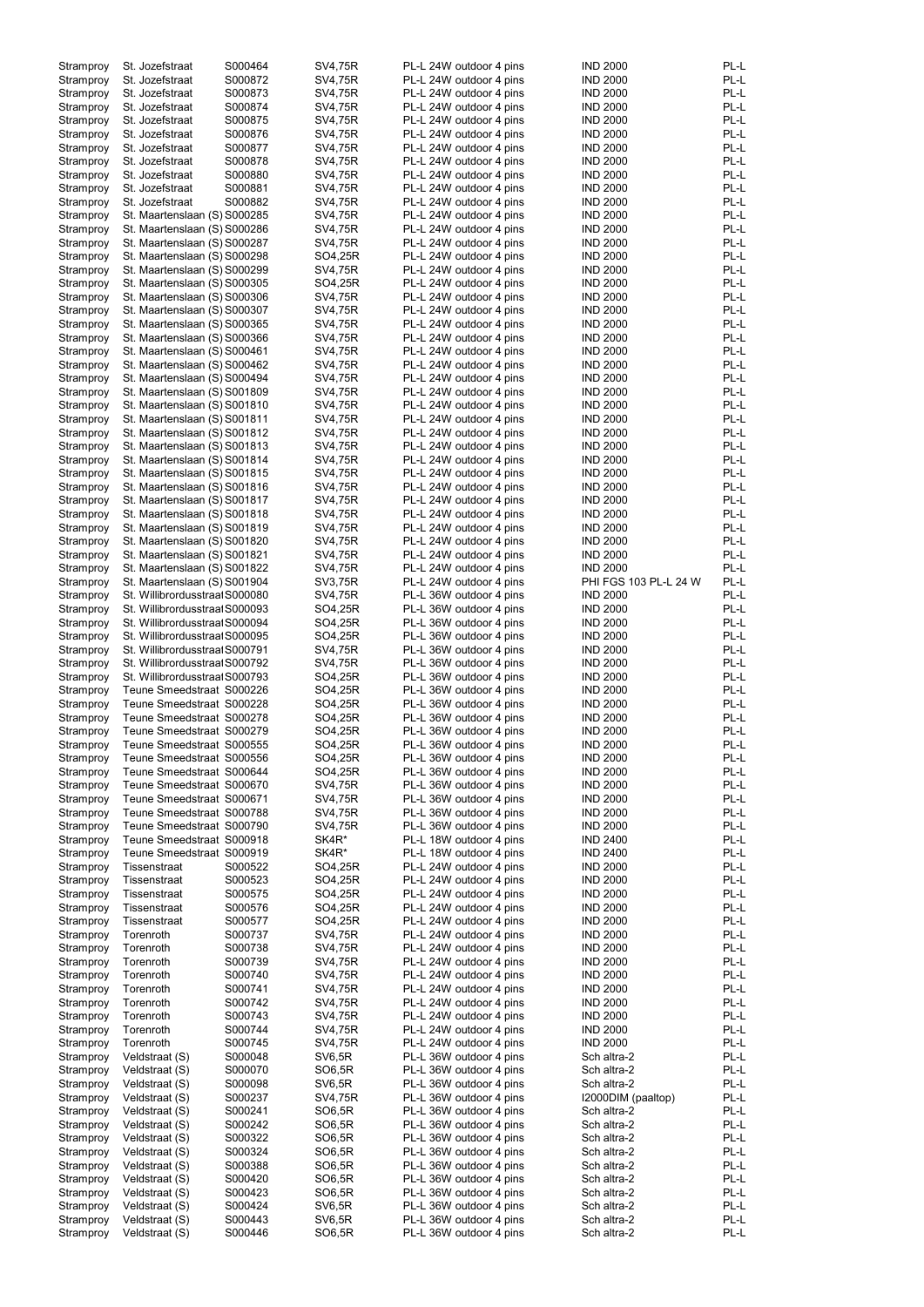| Stramproy |                                |         |                |                         |                       |      |
|-----------|--------------------------------|---------|----------------|-------------------------|-----------------------|------|
|           | St. Jozefstraat                | S000464 | SV4,75R        | PL-L 24W outdoor 4 pins | <b>IND 2000</b>       | PL-L |
|           |                                |         |                |                         |                       | PL-L |
| Stramproy | St. Jozefstraat                | S000872 | SV4,75R        | PL-L 24W outdoor 4 pins | <b>IND 2000</b>       |      |
| Stramproy | St. Jozefstraat                | S000873 | SV4,75R        | PL-L 24W outdoor 4 pins | <b>IND 2000</b>       | PL-L |
| Stramproy | St. Jozefstraat                | S000874 | SV4,75R        | PL-L 24W outdoor 4 pins | <b>IND 2000</b>       | PL-L |
|           |                                |         |                |                         |                       |      |
| Stramproy | St. Jozefstraat                | S000875 | SV4,75R        | PL-L 24W outdoor 4 pins | <b>IND 2000</b>       | PL-L |
| Stramproy | St. Jozefstraat                | S000876 | SV4,75R        | PL-L 24W outdoor 4 pins | <b>IND 2000</b>       | PL-L |
|           |                                |         |                |                         |                       |      |
| Stramproy | St. Jozefstraat                | S000877 | SV4,75R        | PL-L 24W outdoor 4 pins | <b>IND 2000</b>       | PL-L |
| Stramproy | St. Jozefstraat                | S000878 | SV4,75R        | PL-L 24W outdoor 4 pins | <b>IND 2000</b>       | PL-L |
|           |                                |         |                |                         |                       |      |
| Stramproy | St. Jozefstraat                | S000880 | SV4,75R        | PL-L 24W outdoor 4 pins | <b>IND 2000</b>       | PL-L |
| Stramproy | St. Jozefstraat                | S000881 | SV4,75R        | PL-L 24W outdoor 4 pins | <b>IND 2000</b>       | PL-L |
|           |                                |         |                |                         |                       |      |
| Stramproy | St. Jozefstraat                | S000882 | SV4,75R        | PL-L 24W outdoor 4 pins | <b>IND 2000</b>       | PL-L |
| Stramproy | St. Maartenslaan (S) S000285   |         | SV4,75R        | PL-L 24W outdoor 4 pins | <b>IND 2000</b>       | PL-L |
|           |                                |         |                |                         |                       |      |
| Stramproy | St. Maartenslaan (S) S000286   |         | SV4,75R        | PL-L 24W outdoor 4 pins | <b>IND 2000</b>       | PL-L |
|           |                                |         |                |                         |                       | PL-L |
| Stramproy | St. Maartenslaan (S) S000287   |         | SV4,75R        | PL-L 24W outdoor 4 pins | <b>IND 2000</b>       |      |
| Stramproy | St. Maartenslaan (S) S000298   |         | SO4,25R        | PL-L 24W outdoor 4 pins | <b>IND 2000</b>       | PL-L |
|           |                                |         |                |                         |                       |      |
| Stramproy | St. Maartenslaan (S) S000299   |         | <b>SV4,75R</b> | PL-L 24W outdoor 4 pins | <b>IND 2000</b>       | PL-L |
| Stramproy | St. Maartenslaan (S) S000305   |         | SO4,25R        | PL-L 24W outdoor 4 pins | <b>IND 2000</b>       | PL-L |
|           |                                |         |                |                         |                       |      |
| Stramproy | St. Maartenslaan (S) S000306   |         | SV4,75R        | PL-L 24W outdoor 4 pins | <b>IND 2000</b>       | PL-L |
| Stramproy | St. Maartenslaan (S) S000307   |         | SV4,75R        | PL-L 24W outdoor 4 pins | <b>IND 2000</b>       | PL-L |
|           | St. Maartenslaan (S) S000365   |         |                |                         |                       | PL-L |
| Stramproy |                                |         | SV4,75R        | PL-L 24W outdoor 4 pins | <b>IND 2000</b>       |      |
| Stramproy | St. Maartenslaan (S) S000366   |         | SV4,75R        | PL-L 24W outdoor 4 pins | <b>IND 2000</b>       | PL-L |
| Stramproy |                                |         | SV4,75R        | PL-L 24W outdoor 4 pins | <b>IND 2000</b>       | PL-L |
|           | St. Maartenslaan (S) S000461   |         |                |                         |                       |      |
| Stramproy | St. Maartenslaan (S) S000462   |         | SV4,75R        | PL-L 24W outdoor 4 pins | <b>IND 2000</b>       | PL-L |
| Stramproy | St. Maartenslaan (S) S000494   |         | SV4,75R        | PL-L 24W outdoor 4 pins | <b>IND 2000</b>       | PL-L |
|           |                                |         |                |                         |                       |      |
| Stramproy | St. Maartenslaan (S) S001809   |         | SV4,75R        | PL-L 24W outdoor 4 pins | <b>IND 2000</b>       | PL-L |
| Stramproy | St. Maartenslaan (S) S001810   |         | SV4,75R        | PL-L 24W outdoor 4 pins | <b>IND 2000</b>       | PL-L |
|           |                                |         |                |                         |                       |      |
| Stramproy | St. Maartenslaan (S) S001811   |         | SV4,75R        | PL-L 24W outdoor 4 pins | <b>IND 2000</b>       | PL-L |
| Stramproy | St. Maartenslaan (S) S001812   |         | SV4,75R        | PL-L 24W outdoor 4 pins | <b>IND 2000</b>       | PL-L |
|           |                                |         |                |                         |                       |      |
| Stramproy | St. Maartenslaan (S) S001813   |         | SV4,75R        | PL-L 24W outdoor 4 pins | <b>IND 2000</b>       | PL-L |
| Stramproy | St. Maartenslaan (S) S001814   |         | SV4,75R        | PL-L 24W outdoor 4 pins | <b>IND 2000</b>       | PL-L |
|           |                                |         |                |                         |                       |      |
| Stramproy | St. Maartenslaan (S) S001815   |         | SV4,75R        | PL-L 24W outdoor 4 pins | <b>IND 2000</b>       | PL-L |
| Stramproy | St. Maartenslaan (S) S001816   |         | SV4,75R        | PL-L 24W outdoor 4 pins | <b>IND 2000</b>       | PL-L |
|           |                                |         |                |                         |                       |      |
| Stramproy | St. Maartenslaan (S) S001817   |         | SV4,75R        | PL-L 24W outdoor 4 pins | <b>IND 2000</b>       | PL-L |
| Stramproy | St. Maartenslaan (S) S001818   |         | <b>SV4,75R</b> | PL-L 24W outdoor 4 pins | <b>IND 2000</b>       | PL-L |
|           |                                |         |                |                         |                       |      |
| Stramproy | St. Maartenslaan (S) S001819   |         | SV4,75R        | PL-L 24W outdoor 4 pins | <b>IND 2000</b>       | PL-L |
| Stramproy | St. Maartenslaan (S) S001820   |         | <b>SV4,75R</b> | PL-L 24W outdoor 4 pins | <b>IND 2000</b>       | PL-L |
|           |                                |         |                |                         |                       |      |
| Stramproy | St. Maartenslaan (S) S001821   |         | SV4,75R        | PL-L 24W outdoor 4 pins | <b>IND 2000</b>       | PL-L |
| Stramproy | St. Maartenslaan (S) S001822   |         | SV4,75R        | PL-L 24W outdoor 4 pins | <b>IND 2000</b>       | PL-L |
|           |                                |         |                |                         |                       |      |
| Stramproy | St. Maartenslaan (S) S001904   |         | SV3,75R        | PL-L 24W outdoor 4 pins | PHI FGS 103 PL-L 24 W | PL-L |
| Stramproy | St. Willibrordusstraal S000080 |         | SV4,75R        | PL-L 36W outdoor 4 pins | <b>IND 2000</b>       | PL-L |
|           |                                |         |                |                         |                       |      |
| Stramproy | St. Willibrordusstraal S000093 |         | SO4,25R        | PL-L 36W outdoor 4 pins | <b>IND 2000</b>       | PL-L |
| Stramproy | St. Willibrordusstraal S000094 |         | SO4,25R        | PL-L 36W outdoor 4 pins | <b>IND 2000</b>       | PL-L |
|           |                                |         |                |                         |                       |      |
| Stramproy | St. Willibrordusstraal S000095 |         | SO4,25R        | PL-L 36W outdoor 4 pins | <b>IND 2000</b>       | PL-L |
| Stramproy | St. Willibrordusstraal S000791 |         | SV4,75R        | PL-L 36W outdoor 4 pins | <b>IND 2000</b>       | PL-L |
|           |                                |         |                |                         |                       |      |
|           |                                |         |                |                         |                       |      |
| Stramproy | St. Willibrordusstraal S000792 |         | <b>SV4,75R</b> | PL-L 36W outdoor 4 pins | <b>IND 2000</b>       | PL-L |
|           |                                |         |                |                         |                       |      |
| Stramproy | St. Willibrordusstraal S000793 |         | SO4,25R        | PL-L 36W outdoor 4 pins | <b>IND 2000</b>       | PL-L |
| Stramproy | Teune Smeedstraat S000226      |         | SO4,25R        | PL-L 36W outdoor 4 pins | <b>IND 2000</b>       | PL-L |
|           |                                |         |                |                         |                       |      |
| Stramproy | Teune Smeedstraat S000228      |         | SO4,25R        | PL-L 36W outdoor 4 pins | <b>IND 2000</b>       | PL-L |
| Stramproy | Teune Smeedstraat S000278      |         | SO4,25R        | PL-L 36W outdoor 4 pins | <b>IND 2000</b>       | PL-L |
|           |                                |         |                |                         |                       |      |
| Stramproy | Teune Smeedstraat S000279      |         | SO4,25R        | PL-L 36W outdoor 4 pins | <b>IND 2000</b>       | PL-L |
| Stramproy | Teune Smeedstraat S000555      |         | SO4,25R        | PL-L 36W outdoor 4 pins | <b>IND 2000</b>       | PL-L |
|           |                                |         |                |                         |                       |      |
| Stramproy | Teune Smeedstraat S000556      |         | SO4,25R        | PL-L 36W outdoor 4 pins | <b>IND 2000</b>       | PL-L |
| Stramproy | Teune Smeedstraat S000644      |         | SO4,25R        | PL-L 36W outdoor 4 pins | <b>IND 2000</b>       | PL-L |
|           |                                |         |                |                         |                       |      |
| Stramproy | Teune Smeedstraat S000670      |         | SV4,75R        | PL-L 36W outdoor 4 pins | <b>IND 2000</b>       | PL-L |
| Stramproy | Teune Smeedstraat S000671      |         | SV4,75R        | PL-L 36W outdoor 4 pins | <b>IND 2000</b>       | PL-L |
|           |                                |         |                |                         |                       | PL-L |
| Stramproy | Teune Smeedstraat S000788      |         | SV4,75R        | PL-L 36W outdoor 4 pins | <b>IND 2000</b>       |      |
| Stramproy | Teune Smeedstraat S000790      |         | SV4,75R        | PL-L 36W outdoor 4 pins | <b>IND 2000</b>       | PL-L |
| Stramproy | Teune Smeedstraat S000918      |         | SK4R*          | PL-L 18W outdoor 4 pins | <b>IND 2400</b>       | PL-L |
|           |                                |         |                |                         |                       |      |
| Stramproy | Teune Smeedstraat S000919      |         | SK4R*          | PL-L 18W outdoor 4 pins | <b>IND 2400</b>       | PL-L |
| Stramproy | Tissenstraat                   | S000522 | SO4,25R        | PL-L 24W outdoor 4 pins | <b>IND 2000</b>       | PL-L |
|           |                                |         |                |                         |                       |      |
| Stramproy | Tissenstraat                   | S000523 | SO4,25R        | PL-L 24W outdoor 4 pins | <b>IND 2000</b>       | PL-L |
| Stramproy | Tissenstraat                   | S000575 | SO4,25R        | PL-L 24W outdoor 4 pins | <b>IND 2000</b>       | PL-L |
|           |                                |         |                |                         |                       |      |
| Stramproy | Tissenstraat                   | S000576 | SO4,25R        | PL-L 24W outdoor 4 pins | <b>IND 2000</b>       | PL-L |
| Stramproy | Tissenstraat                   | S000577 | SO4,25R        | PL-L 24W outdoor 4 pins | <b>IND 2000</b>       | PL-L |
|           |                                | S000737 |                |                         |                       | PL-L |
| Stramproy | Torenroth                      |         | SV4,75R        | PL-L 24W outdoor 4 pins | <b>IND 2000</b>       |      |
| Stramproy | Torenroth                      | S000738 | SV4,75R        | PL-L 24W outdoor 4 pins | <b>IND 2000</b>       | PL-L |
|           |                                | S000739 | SV4,75R        |                         | <b>IND 2000</b>       | PL-L |
| Stramproy | Torenroth                      |         |                | PL-L 24W outdoor 4 pins |                       |      |
| Stramproy | Torenroth                      | S000740 | SV4,75R        | PL-L 24W outdoor 4 pins | <b>IND 2000</b>       | PL-L |
| Stramproy | Torenroth                      | S000741 | SV4,75R        | PL-L 24W outdoor 4 pins | <b>IND 2000</b>       | PL-L |
|           |                                |         |                |                         |                       |      |
| Stramproy | Torenroth                      | S000742 | SV4,75R        | PL-L 24W outdoor 4 pins | <b>IND 2000</b>       | PL-L |
| Stramproy | Torenroth                      | S000743 | SV4,75R        | PL-L 24W outdoor 4 pins | <b>IND 2000</b>       | PL-L |
|           |                                |         |                |                         |                       |      |
| Stramproy | Torenroth                      | S000744 | SV4,75R        | PL-L 24W outdoor 4 pins | <b>IND 2000</b>       | PL-L |
| Stramproy | Torenroth                      | S000745 | SV4,75R        | PL-L 24W outdoor 4 pins | <b>IND 2000</b>       | PL-L |
|           |                                |         |                |                         |                       |      |
| Stramproy | Veldstraat (S)                 | S000048 | SV6,5R         | PL-L 36W outdoor 4 pins | Sch altra-2           | PL-L |
| Stramproy | Veldstraat (S)                 | S000070 | SO6,5R         | PL-L 36W outdoor 4 pins | Sch altra-2           | PL-L |
|           |                                |         |                |                         |                       |      |
| Stramproy | Veldstraat (S)                 | S000098 | SV6,5R         | PL-L 36W outdoor 4 pins | Sch altra-2           | PL-L |
| Stramproy | Veldstraat (S)                 | S000237 | SV4,75R        | PL-L 36W outdoor 4 pins | I2000DIM (paaltop)    | PL-L |
|           |                                |         |                |                         |                       |      |
| Stramproy | Veldstraat (S)                 | S000241 | SO6,5R         | PL-L 36W outdoor 4 pins | Sch altra-2           | PL-L |
| Stramproy | Veldstraat (S)                 | S000242 | SO6,5R         | PL-L 36W outdoor 4 pins | Sch altra-2           | PL-L |
|           |                                | S000322 |                | PL-L 36W outdoor 4 pins | Sch altra-2           | PL-L |
| Stramproy | Veldstraat (S)                 |         | SO6,5R         |                         |                       |      |
| Stramproy | Veldstraat (S)                 | S000324 | SO6,5R         | PL-L 36W outdoor 4 pins | Sch altra-2           | PL-L |
|           |                                |         |                | PL-L 36W outdoor 4 pins |                       |      |
| Stramproy | Veldstraat (S)                 | S000388 | SO6,5R         |                         | Sch altra-2           | PL-L |
| Stramproy | Veldstraat (S)                 | S000420 | SO6,5R         | PL-L 36W outdoor 4 pins | Sch altra-2           | PL-L |
| Stramproy | Veldstraat (S)                 | S000423 | SO6,5R         | PL-L 36W outdoor 4 pins | Sch altra-2           | PL-L |
|           |                                |         |                |                         |                       |      |
| Stramproy | Veldstraat (S)                 | S000424 | SV6,5R         | PL-L 36W outdoor 4 pins | Sch altra-2           | PL-L |
| Stramproy | Veldstraat (S)                 | S000443 | SV6,5R         | PL-L 36W outdoor 4 pins | Sch altra-2           | PL-L |
| Stramproy | Veldstraat (S)                 | S000446 | SO6,5R         | PL-L 36W outdoor 4 pins | Sch altra-2           | PL-L |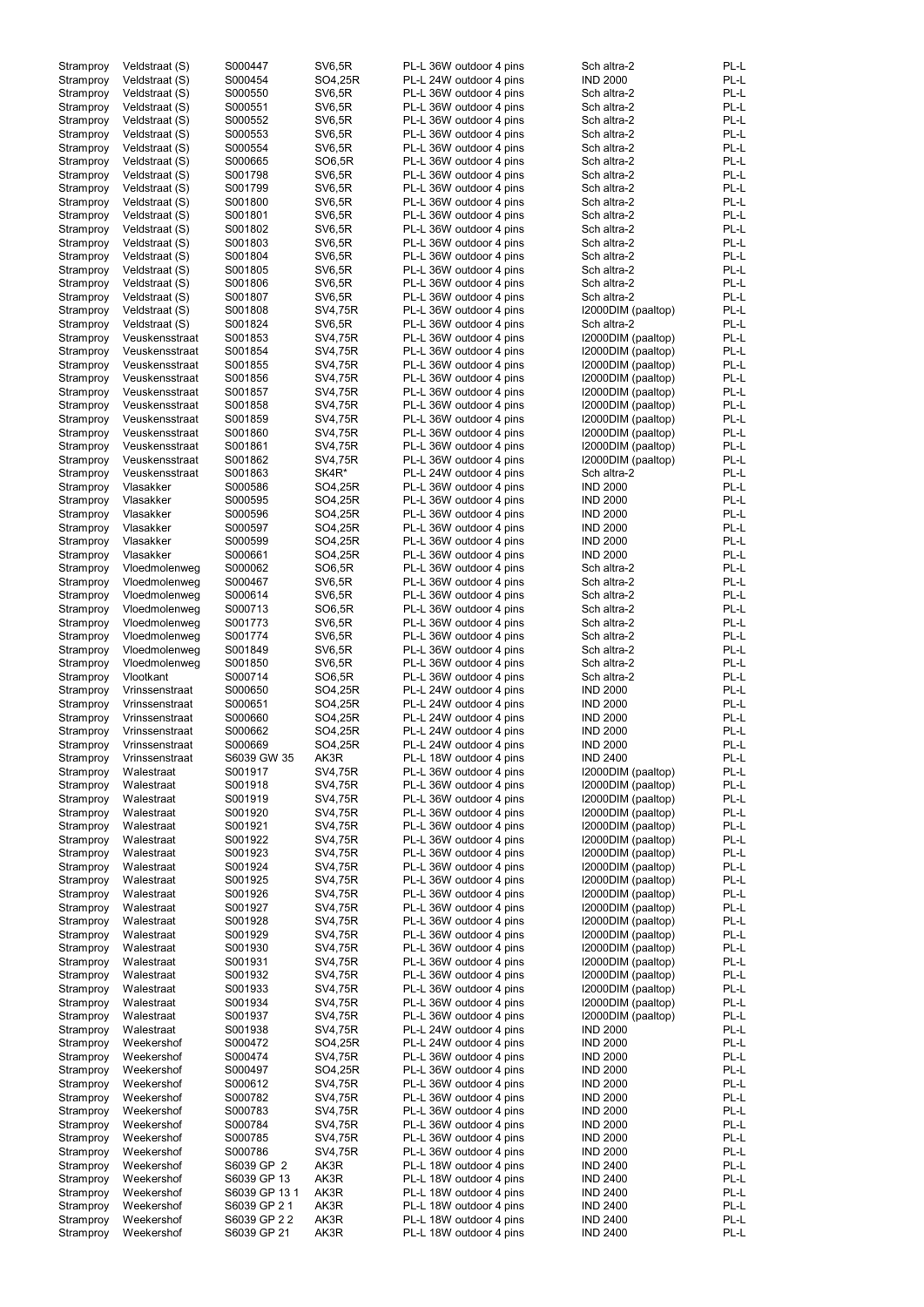| Stramproy | Veldstraat (S) | S000447      | <b>SV6,5R</b> | PL-L 36W outdoor 4 pins | Sch altra-2        | PL-L |
|-----------|----------------|--------------|---------------|-------------------------|--------------------|------|
| Stramproy | Veldstraat (S) | S000454      | SO4,25R       | PL-L 24W outdoor 4 pins | <b>IND 2000</b>    | PL-L |
|           |                |              |               |                         | Sch altra-2        | PL-L |
| Stramproy | Veldstraat (S) | S000550      | <b>SV6,5R</b> | PL-L 36W outdoor 4 pins |                    |      |
| Stramproy | Veldstraat (S) | S000551      | <b>SV6,5R</b> | PL-L 36W outdoor 4 pins | Sch altra-2        | PL-L |
| Stramproy | Veldstraat (S) | S000552      | <b>SV6,5R</b> | PL-L 36W outdoor 4 pins | Sch altra-2        | PL-L |
| Stramproy | Veldstraat (S) | S000553      | <b>SV6,5R</b> | PL-L 36W outdoor 4 pins | Sch altra-2        | PL-L |
| Stramproy | Veldstraat (S) | S000554      | SV6,5R        | PL-L 36W outdoor 4 pins | Sch altra-2        | PL-L |
|           |                |              |               |                         |                    |      |
| Stramproy | Veldstraat (S) | S000665      | SO6,5R        | PL-L 36W outdoor 4 pins | Sch altra-2        | PL-L |
| Stramproy | Veldstraat (S) | S001798      | <b>SV6,5R</b> | PL-L 36W outdoor 4 pins | Sch altra-2        | PL-L |
| Stramproy | Veldstraat (S) | S001799      | <b>SV6,5R</b> | PL-L 36W outdoor 4 pins | Sch altra-2        | PL-L |
| Stramproy | Veldstraat (S) | S001800      | <b>SV6,5R</b> | PL-L 36W outdoor 4 pins | Sch altra-2        | PL-L |
|           |                |              |               |                         |                    |      |
| Stramproy | Veldstraat (S) | S001801      | <b>SV6,5R</b> | PL-L 36W outdoor 4 pins | Sch altra-2        | PL-L |
| Stramproy | Veldstraat (S) | S001802      | <b>SV6,5R</b> | PL-L 36W outdoor 4 pins | Sch altra-2        | PL-L |
| Stramproy | Veldstraat (S) | S001803      | <b>SV6,5R</b> | PL-L 36W outdoor 4 pins | Sch altra-2        | PL-L |
| Stramproy | Veldstraat (S) | S001804      | <b>SV6,5R</b> | PL-L 36W outdoor 4 pins | Sch altra-2        | PL-L |
|           |                |              |               |                         |                    |      |
| Stramproy | Veldstraat (S) | S001805      | <b>SV6,5R</b> | PL-L 36W outdoor 4 pins | Sch altra-2        | PL-L |
| Stramproy | Veldstraat (S) | S001806      | <b>SV6,5R</b> | PL-L 36W outdoor 4 pins | Sch altra-2        | PL-L |
| Stramproy | Veldstraat (S) | S001807      | <b>SV6,5R</b> | PL-L 36W outdoor 4 pins | Sch altra-2        | PL-L |
| Stramproy | Veldstraat (S) | S001808      | SV4,75R       | PL-L 36W outdoor 4 pins | I2000DIM (paaltop) | PL-L |
|           |                |              |               |                         |                    |      |
| Stramproy | Veldstraat (S) | S001824      | <b>SV6,5R</b> | PL-L 36W outdoor 4 pins | Sch altra-2        | PL-L |
| Stramproy | Veuskensstraat | S001853      | SV4,75R       | PL-L 36W outdoor 4 pins | I2000DIM (paaltop) | PL-L |
| Stramproy | Veuskensstraat | S001854      | SV4,75R       | PL-L 36W outdoor 4 pins | I2000DIM (paaltop) | PL-L |
| Stramproy | Veuskensstraat | S001855      | SV4,75R       | PL-L 36W outdoor 4 pins | I2000DIM (paaltop) | PL-L |
|           |                |              |               |                         |                    |      |
| Stramproy | Veuskensstraat | S001856      | SV4,75R       | PL-L 36W outdoor 4 pins | I2000DIM (paaltop) | PL-L |
| Stramproy | Veuskensstraat | S001857      | SV4,75R       | PL-L 36W outdoor 4 pins | I2000DIM (paaltop) | PL-L |
| Stramproy | Veuskensstraat | S001858      | SV4,75R       | PL-L 36W outdoor 4 pins | I2000DIM (paaltop) | PL-L |
| Stramproy | Veuskensstraat | S001859      | SV4,75R       | PL-L 36W outdoor 4 pins | I2000DIM (paaltop) | PL-L |
|           |                |              |               |                         |                    |      |
| Stramproy | Veuskensstraat | S001860      | SV4,75R       | PL-L 36W outdoor 4 pins | I2000DIM (paaltop) | PL-L |
| Stramproy | Veuskensstraat | S001861      | SV4,75R       | PL-L 36W outdoor 4 pins | I2000DIM (paaltop) | PL-L |
| Stramproy | Veuskensstraat | S001862      | SV4,75R       | PL-L 36W outdoor 4 pins | I2000DIM (paaltop) | PL-L |
|           | Veuskensstraat | S001863      | SK4R*         |                         |                    | PL-L |
| Stramproy |                |              |               | PL-L 24W outdoor 4 pins | Sch altra-2        |      |
| Stramproy | Vlasakker      | S000586      | SO4,25R       | PL-L 36W outdoor 4 pins | <b>IND 2000</b>    | PL-L |
| Stramproy | Vlasakker      | S000595      | SO4,25R       | PL-L 36W outdoor 4 pins | <b>IND 2000</b>    | PL-L |
| Stramproy | Vlasakker      | S000596      | SO4,25R       | PL-L 36W outdoor 4 pins | <b>IND 2000</b>    | PL-L |
|           |                |              |               |                         |                    |      |
| Stramproy | Vlasakker      | S000597      | SO4,25R       | PL-L 36W outdoor 4 pins | <b>IND 2000</b>    | PL-L |
| Stramproy | Vlasakker      | S000599      | SO4,25R       | PL-L 36W outdoor 4 pins | <b>IND 2000</b>    | PL-L |
| Stramproy | Vlasakker      | S000661      | SO4,25R       | PL-L 36W outdoor 4 pins | <b>IND 2000</b>    | PL-L |
| Stramproy | Vloedmolenweg  | S000062      | SO6,5R        | PL-L 36W outdoor 4 pins | Sch altra-2        | PL-L |
|           |                |              |               |                         |                    |      |
| Stramproy | Vloedmolenweg  | S000467      | <b>SV6,5R</b> | PL-L 36W outdoor 4 pins | Sch altra-2        | PL-L |
| Stramproy | Vloedmolenweg  | S000614      | SV6,5R        | PL-L 36W outdoor 4 pins | Sch altra-2        | PL-L |
| Stramproy | Vloedmolenweg  | S000713      | SO6,5R        | PL-L 36W outdoor 4 pins | Sch altra-2        | PL-L |
| Stramproy | Vloedmolenweg  | S001773      | SV6,5R        | PL-L 36W outdoor 4 pins | Sch altra-2        | PL-L |
|           |                |              |               |                         |                    |      |
| Stramproy | Vloedmolenweg  | S001774      | <b>SV6,5R</b> | PL-L 36W outdoor 4 pins | Sch altra-2        | PL-L |
| Stramproy | Vloedmolenweg  | S001849      | <b>SV6,5R</b> | PL-L 36W outdoor 4 pins | Sch altra-2        | PL-L |
| Stramproy | Vloedmolenweg  | S001850      | <b>SV6,5R</b> | PL-L 36W outdoor 4 pins | Sch altra-2        | PL-L |
|           |                | S000714      | SO6,5R        |                         |                    | PL-L |
| Stramproy | Vlootkant      |              |               | PL-L 36W outdoor 4 pins | Sch altra-2        |      |
| Stramproy | Vrinssenstraat | S000650      | SO4,25R       | PL-L 24W outdoor 4 pins | <b>IND 2000</b>    | PL-L |
| Stramproy | Vrinssenstraat | S000651      | SO4,25R       | PL-L 24W outdoor 4 pins | <b>IND 2000</b>    | PL-L |
| Stramproy | Vrinssenstraat | S000660      | SO4,25R       | PL-L 24W outdoor 4 pins | <b>IND 2000</b>    | PL-L |
|           |                |              |               |                         |                    |      |
| Stramproy | Vrinssenstraat | S000662      | SO4,25R       | PL-L 24W outdoor 4 pins | <b>IND 2000</b>    | PL-L |
| Stramproy | Vrinssenstraat | S000669      | SO4,25R       | PL-L 24W outdoor 4 pins | <b>IND 2000</b>    | PL-L |
| Stramproy | Vrinssenstraat | S6039 GW 35  | AK3R          | PL-L 18W outdoor 4 pins | <b>IND 2400</b>    | PL-L |
| Stramproy | Walestraat     | S001917      | SV4,75R       | PL-L 36W outdoor 4 pins | I2000DIM (paaltop) | PL-L |
|           |                |              |               |                         |                    |      |
| Stramproy | Walestraat     | S001918      | SV4,75R       | PL-L 36W outdoor 4 pins | I2000DIM (paaltop) | PL-L |
| Stramproy | Walestraat     | S001919      | SV4,75R       | PL-L 36W outdoor 4 pins | I2000DIM (paaltop) | PL-L |
| Stramproy | Walestraat     | S001920      | SV4,75R       | PL-L 36W outdoor 4 pins | I2000DIM (paaltop) | PL-L |
| Stramproy | Walestraat     | S001921      | SV4,75R       | PL-L 36W outdoor 4 pins | I2000DIM (paaltop) | PL-L |
|           |                |              |               |                         |                    | PL-L |
| Stramproy | Walestraat     | S001922      | SV4,75R       | PL-L 36W outdoor 4 pins | I2000DIM (paaltop) |      |
| Stramproy | Walestraat     | S001923      | SV4,75R       | PL-L 36W outdoor 4 pins | I2000DIM (paaltop) | PL-L |
| Stramproy | Walestraat     | S001924      | SV4,75R       | PL-L 36W outdoor 4 pins | I2000DIM (paaltop) | PL-L |
| Stramproy | Walestraat     | S001925      | SV4,75R       | PL-L 36W outdoor 4 pins | I2000DIM (paaltop) | PL-L |
| Stramproy | Walestraat     | S001926      | SV4,75R       | PL-L 36W outdoor 4 pins | I2000DIM (paaltop) | PL-L |
|           |                |              |               |                         |                    |      |
| Stramproy | Walestraat     | S001927      | SV4,75R       | PL-L 36W outdoor 4 pins | I2000DIM (paaltop) | PL-L |
| Stramproy | Walestraat     | S001928      | SV4,75R       | PL-L 36W outdoor 4 pins | I2000DIM (paaltop) | PL-L |
| Stramproy | Walestraat     | S001929      | SV4,75R       | PL-L 36W outdoor 4 pins | I2000DIM (paaltop) | PL-L |
| Stramproy | Walestraat     | S001930      | SV4,75R       | PL-L 36W outdoor 4 pins | I2000DIM (paaltop) | PL-L |
|           |                |              |               |                         |                    |      |
| Stramproy | Walestraat     | S001931      | SV4,75R       | PL-L 36W outdoor 4 pins | I2000DIM (paaltop) | PL-L |
| Stramproy | Walestraat     | S001932      | SV4,75R       | PL-L 36W outdoor 4 pins | I2000DIM (paaltop) | PL-L |
| Stramproy | Walestraat     | S001933      | SV4,75R       | PL-L 36W outdoor 4 pins | I2000DIM (paaltop) | PL-L |
| Stramproy | Walestraat     | S001934      | SV4,75R       | PL-L 36W outdoor 4 pins | I2000DIM (paaltop) | PL-L |
|           |                |              |               |                         |                    |      |
| Stramproy | Walestraat     | S001937      | SV4,75R       | PL-L 36W outdoor 4 pins | I2000DIM (paaltop) | PL-L |
| Stramproy | Walestraat     | S001938      | SV4,75R       | PL-L 24W outdoor 4 pins | <b>IND 2000</b>    | PL-L |
| Stramproy | Weekershof     | S000472      | SO4,25R       | PL-L 24W outdoor 4 pins | <b>IND 2000</b>    | PL-L |
| Stramproy | Weekershof     | S000474      | SV4,75R       | PL-L 36W outdoor 4 pins | <b>IND 2000</b>    | PL-L |
|           |                |              |               |                         |                    |      |
| Stramproy | Weekershof     | S000497      | SO4,25R       | PL-L 36W outdoor 4 pins | <b>IND 2000</b>    | PL-L |
| Stramproy | Weekershof     | S000612      | SV4,75R       | PL-L 36W outdoor 4 pins | <b>IND 2000</b>    | PL-L |
| Stramproy | Weekershof     | S000782      | SV4,75R       | PL-L 36W outdoor 4 pins | <b>IND 2000</b>    | PL-L |
| Stramproy | Weekershof     | S000783      | SV4,75R       | PL-L 36W outdoor 4 pins | <b>IND 2000</b>    | PL-L |
|           |                |              |               |                         |                    |      |
| Stramproy | Weekershof     | S000784      | SV4,75R       | PL-L 36W outdoor 4 pins | <b>IND 2000</b>    | PL-L |
| Stramproy | Weekershof     | S000785      | SV4,75R       | PL-L 36W outdoor 4 pins | <b>IND 2000</b>    | PL-L |
| Stramproy | Weekershof     | S000786      | SV4,75R       | PL-L 36W outdoor 4 pins | <b>IND 2000</b>    | PL-L |
| Stramproy | Weekershof     | S6039 GP 2   | AK3R          | PL-L 18W outdoor 4 pins | <b>IND 2400</b>    | PL-L |
|           |                |              |               |                         |                    |      |
| Stramproy | Weekershof     | S6039 GP 13  | AK3R          | PL-L 18W outdoor 4 pins | <b>IND 2400</b>    | PL-L |
| Stramproy | Weekershof     | S6039 GP 131 | AK3R          | PL-L 18W outdoor 4 pins | <b>IND 2400</b>    | PL-L |
| Stramproy | Weekershof     | S6039 GP 21  | AK3R          | PL-L 18W outdoor 4 pins | <b>IND 2400</b>    | PL-L |
| Stramproy | Weekershof     | S6039 GP 22  | AK3R          | PL-L 18W outdoor 4 pins | <b>IND 2400</b>    | PL-L |
|           |                |              |               |                         |                    |      |
| Stramproy | Weekershof     | S6039 GP 21  | AK3R          | PL-L 18W outdoor 4 pins | <b>IND 2400</b>    | PL-L |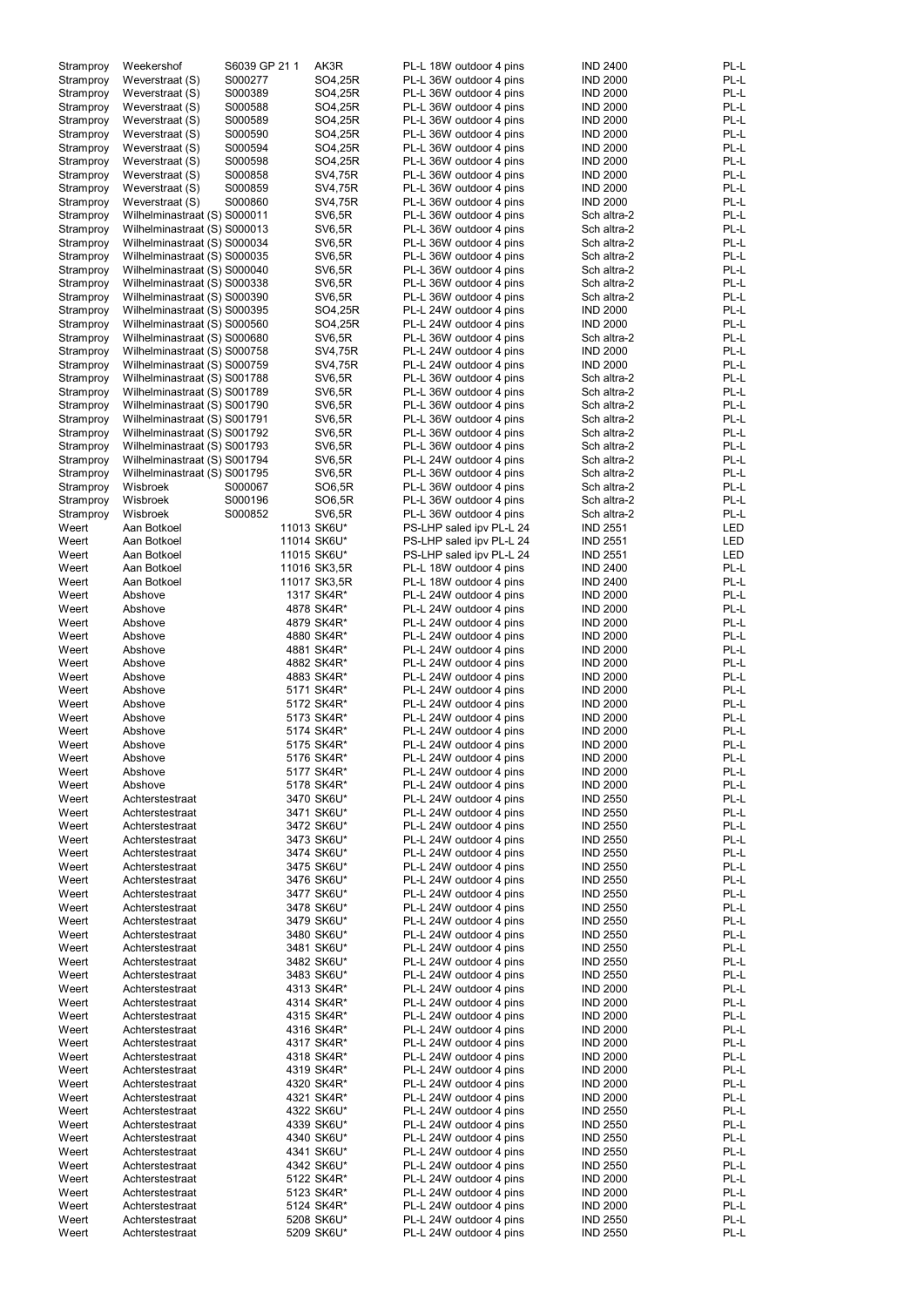| Stramproy | Weekershof                   | S6039 GP 21 1 | AK3R          | PL-L 18W outdoor 4 pins  | <b>IND 2400</b> | PL-L       |
|-----------|------------------------------|---------------|---------------|--------------------------|-----------------|------------|
| Stramproy | Weverstraat (S)              | S000277       | SO4,25R       | PL-L 36W outdoor 4 pins  | <b>IND 2000</b> | PL-L       |
| Stramproy | Weverstraat (S)              | S000389       | SO4,25R       | PL-L 36W outdoor 4 pins  | <b>IND 2000</b> | PL-L       |
| Stramproy | Weverstraat (S)              | S000588       | SO4,25R       | PL-L 36W outdoor 4 pins  | <b>IND 2000</b> | PL-L       |
|           |                              | S000589       |               |                          |                 | PL-L       |
| Stramproy | Weverstraat (S)              |               | SO4,25R       | PL-L 36W outdoor 4 pins  | <b>IND 2000</b> |            |
| Stramproy | Weverstraat (S)              | S000590       | SO4,25R       | PL-L 36W outdoor 4 pins  | <b>IND 2000</b> | PL-L       |
| Stramproy | Weverstraat (S)              | S000594       | SO4,25R       | PL-L 36W outdoor 4 pins  | <b>IND 2000</b> | PL-L       |
| Stramproy | Weverstraat (S)              | S000598       | SO4,25R       | PL-L 36W outdoor 4 pins  | <b>IND 2000</b> | PL-L       |
|           |                              |               |               |                          |                 |            |
| Stramproy | Weverstraat (S)              | S000858       | SV4,75R       | PL-L 36W outdoor 4 pins  | <b>IND 2000</b> | PL-L       |
| Stramproy | Weverstraat (S)              | S000859       | SV4,75R       | PL-L 36W outdoor 4 pins  | <b>IND 2000</b> | PL-L       |
| Stramproy | Weverstraat (S)              | S000860       | SV4,75R       | PL-L 36W outdoor 4 pins  | <b>IND 2000</b> | PL-L       |
| Stramproy | Wilhelminastraat (S) S000011 |               | <b>SV6,5R</b> | PL-L 36W outdoor 4 pins  | Sch altra-2     | PL-L       |
|           |                              |               |               |                          |                 |            |
| Stramproy | Wilhelminastraat (S) S000013 |               | <b>SV6,5R</b> | PL-L 36W outdoor 4 pins  | Sch altra-2     | PL-L       |
| Stramproy | Wilhelminastraat (S) S000034 |               | <b>SV6,5R</b> | PL-L 36W outdoor 4 pins  | Sch altra-2     | PL-L       |
| Stramproy | Wilhelminastraat (S) S000035 |               | <b>SV6,5R</b> | PL-L 36W outdoor 4 pins  | Sch altra-2     | PL-L       |
| Stramproy | Wilhelminastraat (S) S000040 |               | <b>SV6,5R</b> | PL-L 36W outdoor 4 pins  | Sch altra-2     | PL-L       |
|           |                              |               |               |                          |                 |            |
| Stramproy | Wilhelminastraat (S) S000338 |               | <b>SV6,5R</b> | PL-L 36W outdoor 4 pins  | Sch altra-2     | PL-L       |
| Stramproy | Wilhelminastraat (S) S000390 |               | <b>SV6,5R</b> | PL-L 36W outdoor 4 pins  | Sch altra-2     | PL-L       |
| Stramproy | Wilhelminastraat (S) S000395 |               | SO4,25R       | PL-L 24W outdoor 4 pins  | <b>IND 2000</b> | PL-L       |
| Stramproy | Wilhelminastraat (S) S000560 |               | SO4,25R       | PL-L 24W outdoor 4 pins  | <b>IND 2000</b> | PL-L       |
|           |                              |               |               |                          |                 |            |
| Stramproy | Wilhelminastraat (S) S000680 |               | <b>SV6,5R</b> | PL-L 36W outdoor 4 pins  | Sch altra-2     | PL-L       |
| Stramproy | Wilhelminastraat (S) S000758 |               | SV4,75R       | PL-L 24W outdoor 4 pins  | <b>IND 2000</b> | PL-L       |
| Stramproy | Wilhelminastraat (S) S000759 |               | SV4,75R       | PL-L 24W outdoor 4 pins  | <b>IND 2000</b> | PL-L       |
|           | Wilhelminastraat (S) S001788 |               | <b>SV6,5R</b> | PL-L 36W outdoor 4 pins  | Sch altra-2     | PL-L       |
| Stramproy |                              |               |               |                          |                 |            |
| Stramproy | Wilhelminastraat (S) S001789 |               | <b>SV6,5R</b> | PL-L 36W outdoor 4 pins  | Sch altra-2     | PL-L       |
| Stramproy | Wilhelminastraat (S) S001790 |               | <b>SV6,5R</b> | PL-L 36W outdoor 4 pins  | Sch altra-2     | PL-L       |
| Stramproy | Wilhelminastraat (S) S001791 |               | <b>SV6,5R</b> | PL-L 36W outdoor 4 pins  | Sch altra-2     | PL-L       |
|           | Wilhelminastraat (S) S001792 |               | <b>SV6,5R</b> | PL-L 36W outdoor 4 pins  | Sch altra-2     | PL-L       |
| Stramproy |                              |               |               |                          |                 |            |
| Stramproy | Wilhelminastraat (S) S001793 |               | <b>SV6,5R</b> | PL-L 36W outdoor 4 pins  | Sch altra-2     | PL-L       |
| Stramproy | Wilhelminastraat (S) S001794 |               | <b>SV6,5R</b> | PL-L 24W outdoor 4 pins  | Sch altra-2     | PL-L       |
| Stramproy | Wilhelminastraat (S) S001795 |               | <b>SV6,5R</b> | PL-L 36W outdoor 4 pins  | Sch altra-2     | PL-L       |
|           |                              |               |               |                          |                 |            |
| Stramproy | Wisbroek                     | S000067       | SO6,5R        | PL-L 36W outdoor 4 pins  | Sch altra-2     | PL-L       |
| Stramproy | Wisbroek                     | S000196       | SO6,5R        | PL-L 36W outdoor 4 pins  | Sch altra-2     | PL-L       |
| Stramproy | Wisbroek                     | S000852       | <b>SV6,5R</b> | PL-L 36W outdoor 4 pins  | Sch altra-2     | PL-L       |
| Weert     | Aan Botkoel                  |               | 11013 SK6U*   | PS-LHP saled ipv PL-L 24 | <b>IND 2551</b> | LED        |
|           |                              |               |               |                          |                 |            |
| Weert     | Aan Botkoel                  |               | 11014 SK6U*   | PS-LHP saled ipv PL-L 24 | <b>IND 2551</b> | <b>LED</b> |
| Weert     | Aan Botkoel                  |               | 11015 SK6U*   | PS-LHP saled ipv PL-L 24 | <b>IND 2551</b> | LED        |
| Weert     | Aan Botkoel                  |               | 11016 SK3,5R  | PL-L 18W outdoor 4 pins  | <b>IND 2400</b> | PL-L       |
| Weert     | Aan Botkoel                  |               | 11017 SK3,5R  | PL-L 18W outdoor 4 pins  | <b>IND 2400</b> | PL-L       |
|           |                              |               |               |                          |                 |            |
| Weert     | Abshove                      |               | 1317 SK4R*    | PL-L 24W outdoor 4 pins  | <b>IND 2000</b> | PL-L       |
| Weert     | Abshove                      |               | 4878 SK4R*    | PL-L 24W outdoor 4 pins  | <b>IND 2000</b> | PL-L       |
| Weert     | Abshove                      |               | 4879 SK4R*    | PL-L 24W outdoor 4 pins  | <b>IND 2000</b> | PL-L       |
| Weert     | Abshove                      |               | 4880 SK4R*    | PL-L 24W outdoor 4 pins  | <b>IND 2000</b> | PL-L       |
|           |                              |               |               |                          |                 |            |
| Weert     | Abshove                      |               | 4881 SK4R*    | PL-L 24W outdoor 4 pins  | <b>IND 2000</b> | PL-L       |
| Weert     | Abshove                      |               | 4882 SK4R*    | PL-L 24W outdoor 4 pins  | <b>IND 2000</b> | PL-L       |
| Weert     | Abshove                      |               | 4883 SK4R*    | PL-L 24W outdoor 4 pins  | <b>IND 2000</b> | PL-L       |
|           | Abshove                      |               |               |                          |                 | PL-L       |
| Weert     |                              |               | 5171 SK4R*    | PL-L 24W outdoor 4 pins  | <b>IND 2000</b> |            |
| Weert     | Abshove                      |               | 5172 SK4R*    | PL-L 24W outdoor 4 pins  | <b>IND 2000</b> | PL-L       |
| Weert     | Abshove                      |               | 5173 SK4R*    | PL-L 24W outdoor 4 pins  | <b>IND 2000</b> | PL-L       |
| Weert     | Abshove                      |               | 5174 SK4R*    | PL-L 24W outdoor 4 pins  | <b>IND 2000</b> | PL-L       |
|           |                              |               |               |                          |                 |            |
| Weert     | Abshove                      |               | 5175 SK4R*    | PL-L 24W outdoor 4 pins  | <b>IND 2000</b> | PL-L       |
| Weert     | Abshove                      |               | 5176 SK4R*    | PL-L 24W outdoor 4 pins  | <b>IND 2000</b> | PL-L       |
| Weert     | Abshove                      |               | 5177 SK4R*    | PL-L 24W outdoor 4 pins  | <b>IND 2000</b> | PL-L       |
| Weert     | Abshove                      |               | 5178 SK4R*    | PL-L 24W outdoor 4 pins  | <b>IND 2000</b> | PL-L       |
|           |                              |               |               |                          |                 |            |
| Weert     | Achterstestraat              |               | 3470 SK6U*    | PL-L 24W outdoor 4 pins  | <b>IND 2550</b> | PL-L       |
| Weert     | Achterstestraat              |               | 3471 SK6U*    | PL-L 24W outdoor 4 pins  | <b>IND 2550</b> | PL-L       |
| Weert     | Achterstestraat              |               | 3472 SK6U*    | PL-L 24W outdoor 4 pins  | <b>IND 2550</b> | PL-L       |
| Weert     | Achterstestraat              |               | 3473 SK6U*    | PL-L 24W outdoor 4 pins  | <b>IND 2550</b> | PL-L       |
|           |                              |               |               |                          |                 |            |
| Weert     | Achterstestraat              |               | 3474 SK6U*    | PL-L 24W outdoor 4 pins  | <b>IND 2550</b> | PL-L       |
| Weert     | Achterstestraat              |               | 3475 SK6U*    | PL-L 24W outdoor 4 pins  | <b>IND 2550</b> | PL-L       |
| Weert     | Achterstestraat              |               | 3476 SK6U*    | PL-L 24W outdoor 4 pins  | <b>IND 2550</b> | PL-L       |
| Weert     | Achterstestraat              |               | 3477 SK6U*    | PL-L 24W outdoor 4 pins  | <b>IND 2550</b> | PL-L       |
| Weert     | Achterstestraat              |               | 3478 SK6U*    | PL-L 24W outdoor 4 pins  | <b>IND 2550</b> | PL-L       |
|           |                              |               |               |                          |                 |            |
| Weert     | Achterstestraat              |               | 3479 SK6U*    | PL-L 24W outdoor 4 pins  | <b>IND 2550</b> | PL-L       |
| Weert     | Achterstestraat              |               | 3480 SK6U*    | PL-L 24W outdoor 4 pins  | <b>IND 2550</b> | PL-L       |
| Weert     | Achterstestraat              |               | 3481 SK6U*    | PL-L 24W outdoor 4 pins  | <b>IND 2550</b> | PL-L       |
| Weert     | Achterstestraat              |               | 3482 SK6U*    | PL-L 24W outdoor 4 pins  | <b>IND 2550</b> | PL-L       |
|           |                              |               |               |                          |                 |            |
| Weert     | Achterstestraat              |               | 3483 SK6U*    | PL-L 24W outdoor 4 pins  | <b>IND 2550</b> | PL-L       |
| Weert     | Achterstestraat              |               | 4313 SK4R*    | PL-L 24W outdoor 4 pins  | <b>IND 2000</b> | PL-L       |
| Weert     | Achterstestraat              |               | 4314 SK4R*    | PL-L 24W outdoor 4 pins  | <b>IND 2000</b> | PL-L       |
| Weert     | Achterstestraat              |               | 4315 SK4R*    | PL-L 24W outdoor 4 pins  | <b>IND 2000</b> | PL-L       |
|           |                              |               |               |                          |                 |            |
| Weert     | Achterstestraat              |               | 4316 SK4R*    | PL-L 24W outdoor 4 pins  | <b>IND 2000</b> | PL-L       |
| Weert     | Achterstestraat              |               | 4317 SK4R*    | PL-L 24W outdoor 4 pins  | <b>IND 2000</b> | PL-L       |
| Weert     | Achterstestraat              |               | 4318 SK4R*    | PL-L 24W outdoor 4 pins  | <b>IND 2000</b> | PL-L       |
| Weert     | Achterstestraat              |               | 4319 SK4R*    | PL-L 24W outdoor 4 pins  | <b>IND 2000</b> | PL-L       |
|           |                              |               |               |                          |                 |            |
| Weert     | Achterstestraat              |               | 4320 SK4R*    | PL-L 24W outdoor 4 pins  | <b>IND 2000</b> | PL-L       |
| Weert     | Achterstestraat              |               | 4321 SK4R*    | PL-L 24W outdoor 4 pins  | <b>IND 2000</b> | PL-L       |
| Weert     | Achterstestraat              |               | 4322 SK6U*    | PL-L 24W outdoor 4 pins  | <b>IND 2550</b> | PL-L       |
| Weert     | Achterstestraat              |               | 4339 SK6U*    | PL-L 24W outdoor 4 pins  | <b>IND 2550</b> | PL-L       |
|           |                              |               |               |                          |                 |            |
| Weert     | Achterstestraat              |               | 4340 SK6U*    | PL-L 24W outdoor 4 pins  | <b>IND 2550</b> | PL-L       |
| Weert     | Achterstestraat              |               | 4341 SK6U*    | PL-L 24W outdoor 4 pins  | <b>IND 2550</b> | PL-L       |
| Weert     | Achterstestraat              |               | 4342 SK6U*    | PL-L 24W outdoor 4 pins  | <b>IND 2550</b> | PL-L       |
| Weert     | Achterstestraat              |               | 5122 SK4R*    | PL-L 24W outdoor 4 pins  | <b>IND 2000</b> | PL-L       |
|           |                              |               |               |                          |                 |            |
| Weert     | Achterstestraat              |               | 5123 SK4R*    | PL-L 24W outdoor 4 pins  | <b>IND 2000</b> | PL-L       |
| Weert     | Achterstestraat              |               | 5124 SK4R*    | PL-L 24W outdoor 4 pins  | <b>IND 2000</b> | PL-L       |
| Weert     | Achterstestraat              |               | 5208 SK6U*    | PL-L 24W outdoor 4 pins  | <b>IND 2550</b> | PL-L       |
| Weert     | Achterstestraat              |               | 5209 SK6U*    | PL-L 24W outdoor 4 pins  | <b>IND 2550</b> | PL-L       |
|           |                              |               |               |                          |                 |            |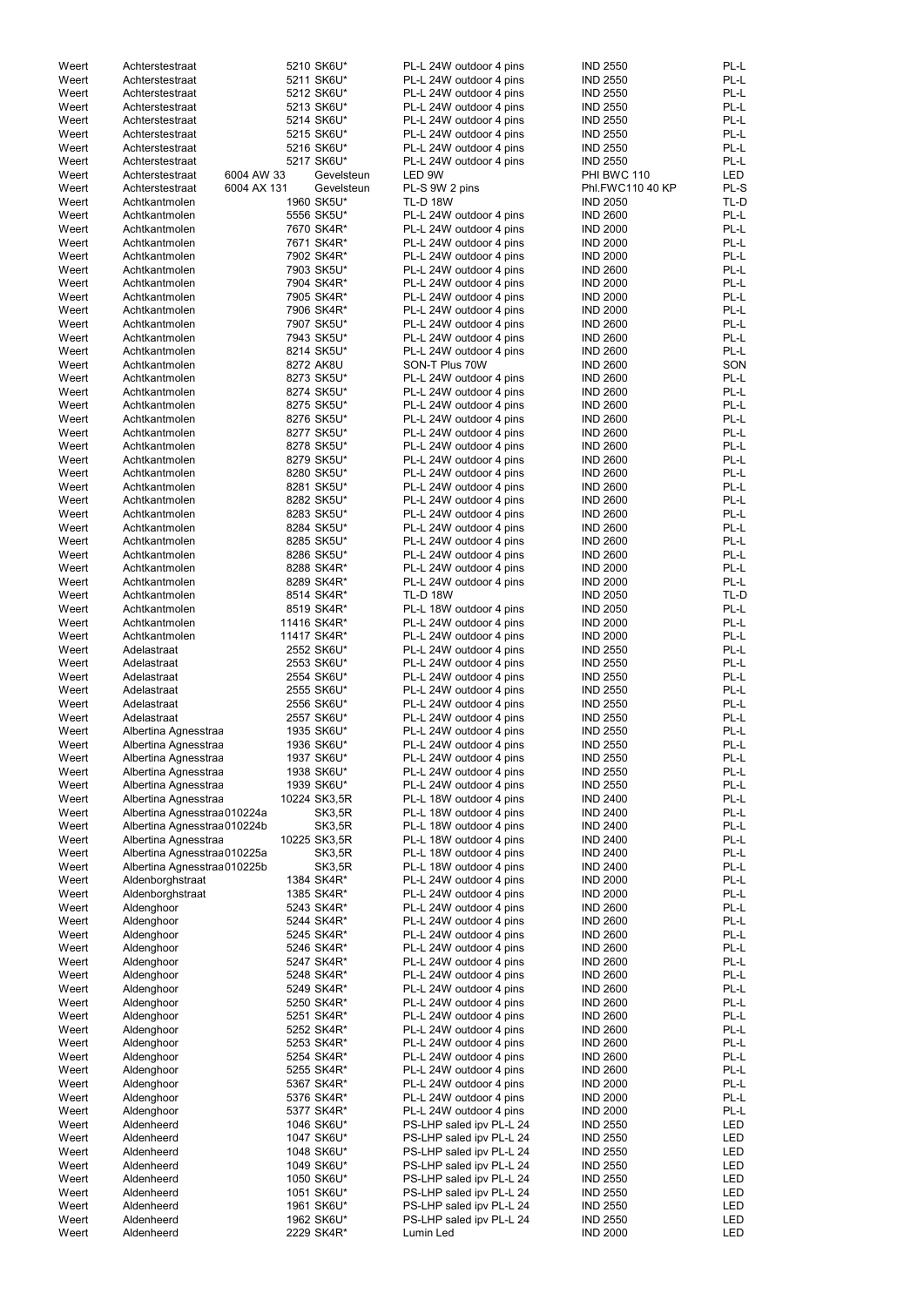| Weert | Achterstestraat                | 5210 SK6U*    | PL-L 24W outdoor 4 pins  | <b>IND 2550</b>  | PL-L |
|-------|--------------------------------|---------------|--------------------------|------------------|------|
| Weert | Achterstestraat                | 5211 SK6U*    | PL-L 24W outdoor 4 pins  | <b>IND 2550</b>  | PL-L |
| Weert | Achterstestraat                | 5212 SK6U*    | PL-L 24W outdoor 4 pins  | <b>IND 2550</b>  | PL-L |
| Weert | Achterstestraat                | 5213 SK6U*    | PL-L 24W outdoor 4 pins  | <b>IND 2550</b>  | PL-L |
|       |                                |               |                          |                  |      |
| Weert | Achterstestraat                | 5214 SK6U*    | PL-L 24W outdoor 4 pins  | <b>IND 2550</b>  | PL-L |
| Weert | Achterstestraat                | 5215 SK6U*    | PL-L 24W outdoor 4 pins  | <b>IND 2550</b>  | PL-L |
| Weert | Achterstestraat                | 5216 SK6U*    | PL-L 24W outdoor 4 pins  | <b>IND 2550</b>  | PL-L |
| Weert | Achterstestraat                | 5217 SK6U*    | PL-L 24W outdoor 4 pins  | <b>IND 2550</b>  | PL-L |
| Weert | 6004 AW 33<br>Achterstestraat  | Gevelsteun    | LED 9W                   | PHI BWC 110      | LED  |
|       |                                |               |                          |                  |      |
| Weert | 6004 AX 131<br>Achterstestraat | Gevelsteun    | PL-S 9W 2 pins           | Phl.FWC110 40 KP | PL-S |
| Weert | Achtkantmolen                  | 1960 SK5U*    | <b>TL-D 18W</b>          | <b>IND 2050</b>  | TL-D |
| Weert | Achtkantmolen                  | 5556 SK5U*    | PL-L 24W outdoor 4 pins  | <b>IND 2600</b>  | PL-L |
| Weert | Achtkantmolen                  | 7670 SK4R*    | PL-L 24W outdoor 4 pins  | <b>IND 2000</b>  | PL-L |
|       |                                |               |                          |                  |      |
| Weert | Achtkantmolen                  | 7671 SK4R*    | PL-L 24W outdoor 4 pins  | <b>IND 2000</b>  | PL-L |
| Weert | Achtkantmolen                  | 7902 SK4R*    | PL-L 24W outdoor 4 pins  | <b>IND 2000</b>  | PL-L |
| Weert | Achtkantmolen                  | 7903 SK5U*    | PL-L 24W outdoor 4 pins  | <b>IND 2600</b>  | PL-L |
| Weert | Achtkantmolen                  | 7904 SK4R*    | PL-L 24W outdoor 4 pins  | <b>IND 2000</b>  | PL-L |
| Weert | Achtkantmolen                  | 7905 SK4R*    | PL-L 24W outdoor 4 pins  | <b>IND 2000</b>  | PL-L |
|       |                                |               |                          |                  |      |
| Weert | Achtkantmolen                  | 7906 SK4R*    | PL-L 24W outdoor 4 pins  | <b>IND 2000</b>  | PL-L |
| Weert | Achtkantmolen                  | 7907 SK5U*    | PL-L 24W outdoor 4 pins  | <b>IND 2600</b>  | PL-L |
| Weert | Achtkantmolen                  | 7943 SK5U*    | PL-L 24W outdoor 4 pins  | <b>IND 2600</b>  | PL-L |
| Weert | Achtkantmolen                  | 8214 SK5U*    | PL-L 24W outdoor 4 pins  | <b>IND 2600</b>  | PL-L |
|       |                                |               |                          |                  |      |
| Weert | Achtkantmolen                  | 8272 AK8U     | SON-T Plus 70W           | <b>IND 2600</b>  | SON  |
| Weert | Achtkantmolen                  | 8273 SK5U*    | PL-L 24W outdoor 4 pins  | <b>IND 2600</b>  | PL-L |
| Weert | Achtkantmolen                  | 8274 SK5U*    | PL-L 24W outdoor 4 pins  | <b>IND 2600</b>  | PL-L |
| Weert | Achtkantmolen                  | 8275 SK5U*    | PL-L 24W outdoor 4 pins  | <b>IND 2600</b>  | PL-L |
| Weert | Achtkantmolen                  | 8276 SK5U*    | PL-L 24W outdoor 4 pins  | <b>IND 2600</b>  | PL-L |
|       |                                |               |                          |                  |      |
| Weert | Achtkantmolen                  | 8277 SK5U*    | PL-L 24W outdoor 4 pins  | <b>IND 2600</b>  | PL-L |
| Weert | Achtkantmolen                  | 8278 SK5U*    | PL-L 24W outdoor 4 pins  | <b>IND 2600</b>  | PL-L |
| Weert | Achtkantmolen                  | 8279 SK5U*    | PL-L 24W outdoor 4 pins  | <b>IND 2600</b>  | PL-L |
| Weert | Achtkantmolen                  | 8280 SK5U*    | PL-L 24W outdoor 4 pins  | <b>IND 2600</b>  | PL-L |
|       |                                |               |                          |                  |      |
| Weert | Achtkantmolen                  | 8281 SK5U*    | PL-L 24W outdoor 4 pins  | <b>IND 2600</b>  | PL-L |
| Weert | Achtkantmolen                  | 8282 SK5U*    | PL-L 24W outdoor 4 pins  | <b>IND 2600</b>  | PL-L |
| Weert | Achtkantmolen                  | 8283 SK5U*    | PL-L 24W outdoor 4 pins  | <b>IND 2600</b>  | PL-L |
| Weert | Achtkantmolen                  | 8284 SK5U*    | PL-L 24W outdoor 4 pins  | <b>IND 2600</b>  | PL-L |
| Weert | Achtkantmolen                  | 8285 SK5U*    | PL-L 24W outdoor 4 pins  | <b>IND 2600</b>  | PL-L |
|       |                                |               |                          |                  |      |
| Weert | Achtkantmolen                  | 8286 SK5U*    | PL-L 24W outdoor 4 pins  | <b>IND 2600</b>  | PL-L |
| Weert | Achtkantmolen                  | 8288 SK4R*    | PL-L 24W outdoor 4 pins  | <b>IND 2000</b>  | PL-L |
| Weert | Achtkantmolen                  | 8289 SK4R*    | PL-L 24W outdoor 4 pins  | <b>IND 2000</b>  | PL-L |
| Weert | Achtkantmolen                  | 8514 SK4R*    | <b>TL-D 18W</b>          | <b>IND 2050</b>  | TL-D |
|       |                                |               |                          |                  |      |
| Weert | Achtkantmolen                  | 8519 SK4R*    | PL-L 18W outdoor 4 pins  | <b>IND 2050</b>  | PL-L |
| Weert | Achtkantmolen                  | 11416 SK4R*   | PL-L 24W outdoor 4 pins  | <b>IND 2000</b>  | PL-L |
| Weert | Achtkantmolen                  | 11417 SK4R*   | PL-L 24W outdoor 4 pins  | <b>IND 2000</b>  | PL-L |
| Weert | Adelastraat                    | 2552 SK6U*    | PL-L 24W outdoor 4 pins  | <b>IND 2550</b>  | PL-L |
|       |                                |               |                          |                  |      |
| Weert | Adelastraat                    | 2553 SK6U*    | PL-L 24W outdoor 4 pins  | <b>IND 2550</b>  | PL-L |
| Weert | Adelastraat                    | 2554 SK6U*    | PL-L 24W outdoor 4 pins  | <b>IND 2550</b>  | PL-L |
| Weert | Adelastraat                    | 2555 SK6U*    | PL-L 24W outdoor 4 pins  | <b>IND 2550</b>  | PL-L |
| Weert | Adelastraat                    | 2556 SK6U*    | PL-L 24W outdoor 4 pins  | <b>IND 2550</b>  | PL-L |
|       |                                |               |                          |                  | PL-L |
| Weert | Adelastraat                    | 2557 SK6U*    | PL-L 24W outdoor 4 pins  | <b>IND 2550</b>  |      |
| Weert | Albertina Agnesstraa           | 1935 SK6U*    | PL-L 24W outdoor 4 pins  | <b>IND 2550</b>  | PL-L |
| Weert | Albertina Agnesstraa           | 1936 SK6U*    | PL-L 24W outdoor 4 pins  | <b>IND 2550</b>  | PL-L |
| Weert | Albertina Agnesstraa           | 1937 SK6U*    | PL-L 24W outdoor 4 pins  | <b>IND 2550</b>  | PL-L |
| Weert | Albertina Agnesstraa           | 1938 SK6U*    | PL-L 24W outdoor 4 pins  | <b>IND 2550</b>  | PL-L |
|       |                                |               |                          |                  |      |
| Weert | Albertina Agnesstraa           | 1939 SK6U*    | PL-L 24W outdoor 4 pins  | <b>IND 2550</b>  | PL-L |
| Weert | Albertina Agnesstraa           | 10224 SK3,5R  | PL-L 18W outdoor 4 pins  | <b>IND 2400</b>  | PL-L |
| Weert | Albertina Agnesstraa 010224a   | <b>SK3,5R</b> | PL-L 18W outdoor 4 pins  | <b>IND 2400</b>  | PL-L |
| Weert | Albertina Agnesstraa 010224b   | SK3,5R        | PL-L 18W outdoor 4 pins  | <b>IND 2400</b>  | PL-L |
| Weert |                                | 10225 SK3,5R  |                          | <b>IND 2400</b>  | PL-L |
|       | Albertina Agnesstraa           |               | PL-L 18W outdoor 4 pins  |                  |      |
| Weert | Albertina Agnesstraa 010225a   | <b>SK3,5R</b> | PL-L 18W outdoor 4 pins  | <b>IND 2400</b>  | PL-L |
| Weert | Albertina Agnesstraa 010225b   | <b>SK3,5R</b> | PL-L 18W outdoor 4 pins  | <b>IND 2400</b>  | PL-L |
| Weert | Aldenborghstraat               | 1384 SK4R*    | PL-L 24W outdoor 4 pins  | <b>IND 2000</b>  | PL-L |
| Weert | Aldenborghstraat               | 1385 SK4R*    | PL-L 24W outdoor 4 pins  | <b>IND 2000</b>  | PL-L |
| Weert | Aldenghoor                     | 5243 SK4R*    | PL-L 24W outdoor 4 pins  | <b>IND 2600</b>  | PL-L |
|       |                                |               |                          |                  | PL-L |
| Weert | Aldenghoor                     | 5244 SK4R*    | PL-L 24W outdoor 4 pins  | <b>IND 2600</b>  |      |
| Weert | Aldenghoor                     | 5245 SK4R*    | PL-L 24W outdoor 4 pins  | <b>IND 2600</b>  | PL-L |
| Weert | Aldenghoor                     | 5246 SK4R*    | PL-L 24W outdoor 4 pins  | <b>IND 2600</b>  | PL-L |
| Weert | Aldenghoor                     | 5247 SK4R*    | PL-L 24W outdoor 4 pins  | <b>IND 2600</b>  | PL-L |
| Weert | Aldenghoor                     | 5248 SK4R*    | PL-L 24W outdoor 4 pins  | <b>IND 2600</b>  | PL-L |
|       |                                |               |                          |                  |      |
| Weert | Aldenghoor                     | 5249 SK4R*    | PL-L 24W outdoor 4 pins  | <b>IND 2600</b>  | PL-L |
| Weert | Aldenghoor                     | 5250 SK4R*    | PL-L 24W outdoor 4 pins  | <b>IND 2600</b>  | PL-L |
| Weert | Aldenghoor                     | 5251 SK4R*    | PL-L 24W outdoor 4 pins  | <b>IND 2600</b>  | PL-L |
| Weert | Aldenghoor                     | 5252 SK4R*    | PL-L 24W outdoor 4 pins  | <b>IND 2600</b>  | PL-L |
| Weert | Aldenghoor                     | 5253 SK4R*    | PL-L 24W outdoor 4 pins  | <b>IND 2600</b>  | PL-L |
|       |                                |               |                          |                  |      |
| Weert | Aldenghoor                     | 5254 SK4R*    | PL-L 24W outdoor 4 pins  | <b>IND 2600</b>  | PL-L |
| Weert | Aldenghoor                     | 5255 SK4R*    | PL-L 24W outdoor 4 pins  | <b>IND 2600</b>  | PL-L |
| Weert | Aldenghoor                     | 5367 SK4R*    | PL-L 24W outdoor 4 pins  | <b>IND 2000</b>  | PL-L |
| Weert | Aldenghoor                     | 5376 SK4R*    | PL-L 24W outdoor 4 pins  | <b>IND 2000</b>  | PL-L |
|       |                                |               | PL-L 24W outdoor 4 pins  |                  |      |
| Weert | Aldenghoor                     | 5377 SK4R*    |                          | <b>IND 2000</b>  | PL-L |
| Weert | Aldenheerd                     | 1046 SK6U*    | PS-LHP saled ipv PL-L 24 | <b>IND 2550</b>  | LED  |
| Weert | Aldenheerd                     | 1047 SK6U*    | PS-LHP saled ipv PL-L 24 | <b>IND 2550</b>  | LED  |
| Weert | Aldenheerd                     | 1048 SK6U*    | PS-LHP saled ipv PL-L 24 | <b>IND 2550</b>  | LED  |
| Weert | Aldenheerd                     | 1049 SK6U*    | PS-LHP saled ipv PL-L 24 | <b>IND 2550</b>  | LED  |
|       |                                |               |                          |                  |      |
| Weert | Aldenheerd                     | 1050 SK6U*    | PS-LHP saled ipv PL-L 24 | <b>IND 2550</b>  | LED  |
| Weert | Aldenheerd                     | 1051 SK6U*    | PS-LHP saled ipv PL-L 24 | <b>IND 2550</b>  | LED  |
| Weert | Aldenheerd                     | 1961 SK6U*    | PS-LHP saled ipv PL-L 24 | <b>IND 2550</b>  | LED  |
| Weert | Aldenheerd                     | 1962 SK6U*    | PS-LHP saled ipv PL-L 24 | <b>IND 2550</b>  | LED  |
| Weert | Aldenheerd                     | 2229 SK4R*    | Lumin Led                | <b>IND 2000</b>  | LED  |
|       |                                |               |                          |                  |      |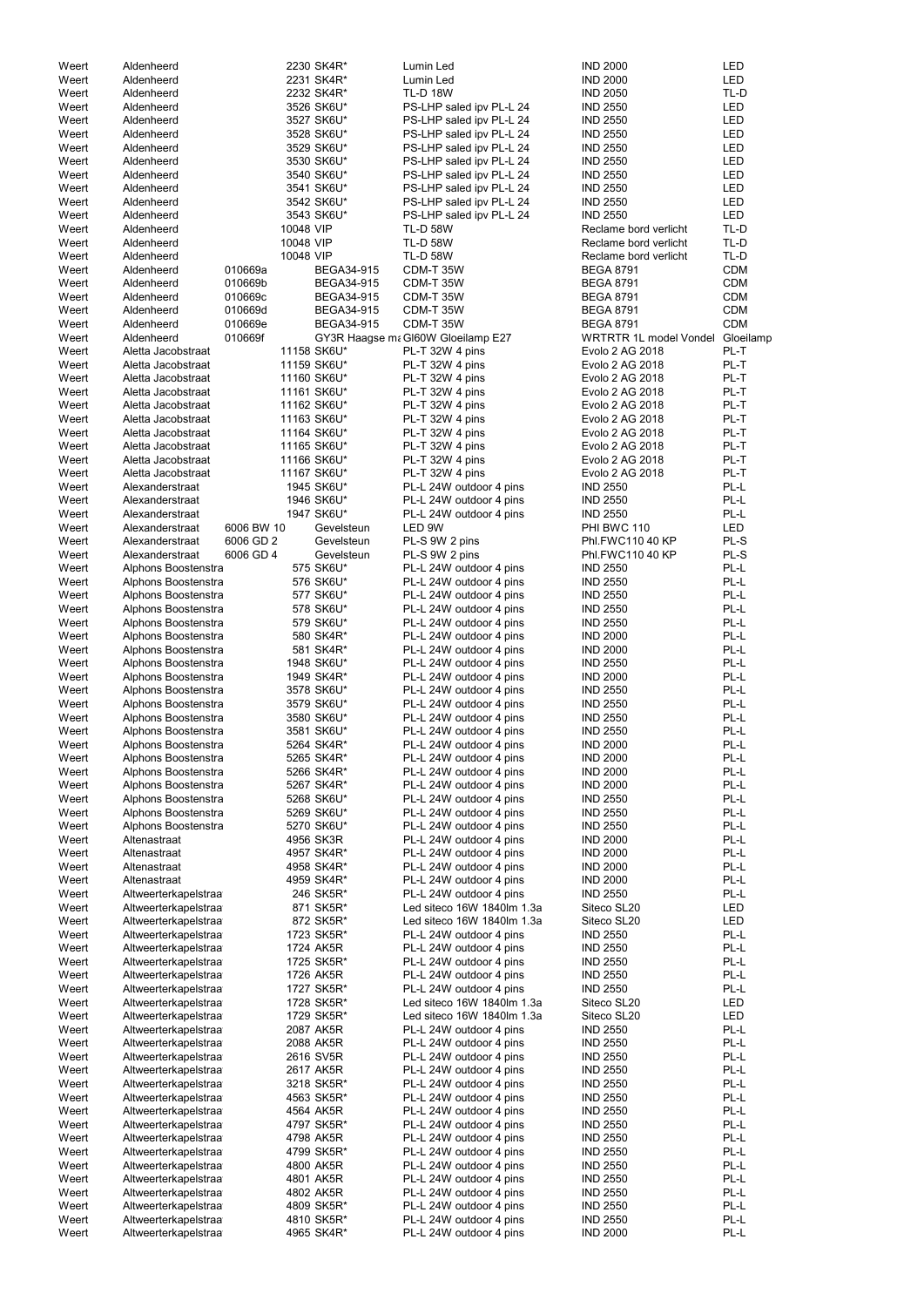|       | Aldenheerd           |            |           | 2230 SK4R*        | Lumin Led                          | <b>IND 2000</b>                  | <b>LED</b> |
|-------|----------------------|------------|-----------|-------------------|------------------------------------|----------------------------------|------------|
| Weert |                      |            |           |                   |                                    |                                  |            |
| Weert | Aldenheerd           |            |           | 2231 SK4R*        | Lumin Led                          | <b>IND 2000</b>                  | <b>LED</b> |
| Weert | Aldenheerd           |            |           | 2232 SK4R*        | <b>TL-D 18W</b>                    | <b>IND 2050</b>                  | TL-D       |
| Weert | Aldenheerd           |            |           | 3526 SK6U*        | PS-LHP saled ipv PL-L 24           | <b>IND 2550</b>                  | LED        |
| Weert | Aldenheerd           |            |           | 3527 SK6U*        | PS-LHP saled ipv PL-L 24           | <b>IND 2550</b>                  | <b>LED</b> |
| Weert | Aldenheerd           |            |           | 3528 SK6U*        | PS-LHP saled ipv PL-L 24           | <b>IND 2550</b>                  | <b>LED</b> |
| Weert | Aldenheerd           |            |           | 3529 SK6U*        | PS-LHP saled ipv PL-L 24           | <b>IND 2550</b>                  | <b>LED</b> |
|       |                      |            |           |                   |                                    |                                  |            |
| Weert | Aldenheerd           |            |           | 3530 SK6U*        | PS-LHP saled ipv PL-L 24           | <b>IND 2550</b>                  | <b>LED</b> |
| Weert | Aldenheerd           |            |           | 3540 SK6U*        | PS-LHP saled ipv PL-L 24           | <b>IND 2550</b>                  | <b>LED</b> |
| Weert | Aldenheerd           |            |           | 3541 SK6U*        | PS-LHP saled ipv PL-L 24           | <b>IND 2550</b>                  | <b>LED</b> |
| Weert | Aldenheerd           |            |           | 3542 SK6U*        | PS-LHP saled ipv PL-L 24           | <b>IND 2550</b>                  | <b>LED</b> |
|       | Aldenheerd           |            |           |                   |                                    |                                  |            |
| Weert |                      |            |           | 3543 SK6U*        | PS-LHP saled ipv PL-L 24           | <b>IND 2550</b>                  | <b>LED</b> |
| Weert | Aldenheerd           |            | 10048 VIP |                   | <b>TL-D 58W</b>                    | Reclame bord verlicht            | TL-D       |
| Weert | Aldenheerd           |            | 10048 VIP |                   | <b>TL-D 58W</b>                    | Reclame bord verlicht            | TL-D       |
| Weert | Aldenheerd           |            | 10048 VIP |                   | <b>TL-D 58W</b>                    | Reclame bord verlicht            | TL-D       |
| Weert | Aldenheerd           | 010669a    |           | <b>BEGA34-915</b> | CDM-T 35W                          | <b>BEGA 8791</b>                 | <b>CDM</b> |
|       |                      |            |           |                   |                                    |                                  |            |
| Weert | Aldenheerd           | 010669b    |           | <b>BEGA34-915</b> | CDM-T 35W                          | <b>BEGA 8791</b>                 | <b>CDM</b> |
| Weert | Aldenheerd           | 010669c    |           | <b>BEGA34-915</b> | CDM-T 35W                          | <b>BEGA 8791</b>                 | <b>CDM</b> |
| Weert | Aldenheerd           | 010669d    |           | <b>BEGA34-915</b> | CDM-T 35W                          | <b>BEGA 8791</b>                 | <b>CDM</b> |
| Weert | Aldenheerd           | 010669e    |           | BEGA34-915        | CDM-T 35W                          | <b>BEGA 8791</b>                 | <b>CDM</b> |
|       |                      | 010669f    |           |                   |                                    | WRTRTR 1L model Vondel Gloeilamp |            |
| Weert | Aldenheerd           |            |           |                   | GY3R Haagse ma GI60W Gloeilamp E27 |                                  |            |
| Weert | Aletta Jacobstraat   |            |           | 11158 SK6U*       | PL-T 32W 4 pins                    | Evolo 2 AG 2018                  | PL-T       |
| Weert | Aletta Jacobstraat   |            |           | 11159 SK6U*       | PL-T 32W 4 pins                    | Evolo 2 AG 2018                  | PL-T       |
| Weert | Aletta Jacobstraat   |            |           | 11160 SK6U*       | PL-T 32W 4 pins                    | Evolo 2 AG 2018                  | PL-T       |
| Weert | Aletta Jacobstraat   |            |           | 11161 SK6U*       | PL-T 32W 4 pins                    | Evolo 2 AG 2018                  | PL-T       |
|       |                      |            |           |                   |                                    |                                  |            |
| Weert | Aletta Jacobstraat   |            |           | 11162 SK6U*       | PL-T 32W 4 pins                    | Evolo 2 AG 2018                  | PL-T       |
| Weert | Aletta Jacobstraat   |            |           | 11163 SK6U*       | PL-T 32W 4 pins                    | Evolo 2 AG 2018                  | PL-T       |
| Weert | Aletta Jacobstraat   |            |           | 11164 SK6U*       | PL-T 32W 4 pins                    | Evolo 2 AG 2018                  | PL-T       |
| Weert | Aletta Jacobstraat   |            |           | 11165 SK6U*       | PL-T 32W 4 pins                    | Evolo 2 AG 2018                  | PL-T       |
|       |                      |            |           |                   |                                    |                                  |            |
| Weert | Aletta Jacobstraat   |            |           | 11166 SK6U*       | PL-T 32W 4 pins                    | Evolo 2 AG 2018                  | PL-T       |
| Weert | Aletta Jacobstraat   |            |           | 11167 SK6U*       | PL-T 32W 4 pins                    | Evolo 2 AG 2018                  | PL-T       |
| Weert | Alexanderstraat      |            |           | 1945 SK6U*        | PL-L 24W outdoor 4 pins            | <b>IND 2550</b>                  | PL-L       |
| Weert | Alexanderstraat      |            |           | 1946 SK6U*        | PL-L 24W outdoor 4 pins            | <b>IND 2550</b>                  | PL-L       |
|       |                      |            |           |                   |                                    |                                  |            |
| Weert | Alexanderstraat      |            |           | 1947 SK6U*        | PL-L 24W outdoor 4 pins            | <b>IND 2550</b>                  | PL-L       |
| Weert | Alexanderstraat      | 6006 BW 10 |           | Gevelsteun        | LED 9W                             | PHI BWC 110                      | <b>LED</b> |
| Weert | Alexanderstraat      | 6006 GD 2  |           | Gevelsteun        | PL-S 9W 2 pins                     | Phl.FWC110 40 KP                 | PL-S       |
| Weert | Alexanderstraat      | 6006 GD 4  |           | Gevelsteun        | PL-S 9W 2 pins                     | Phl.FWC110 40 KP                 | PL-S       |
|       |                      |            |           |                   |                                    |                                  |            |
| Weert | Alphons Boostenstra  |            |           | 575 SK6U*         | PL-L 24W outdoor 4 pins            | <b>IND 2550</b>                  | PL-L       |
| Weert | Alphons Boostenstra  |            |           | 576 SK6U*         | PL-L 24W outdoor 4 pins            | <b>IND 2550</b>                  | PL-L       |
| Weert | Alphons Boostenstra  |            |           | 577 SK6U*         | PL-L 24W outdoor 4 pins            | <b>IND 2550</b>                  | PL-L       |
| Weert | Alphons Boostenstra  |            |           | 578 SK6U*         | PL-L 24W outdoor 4 pins            | <b>IND 2550</b>                  | PL-L       |
|       |                      |            |           |                   |                                    |                                  |            |
| Weert | Alphons Boostenstra  |            |           | 579 SK6U*         | PL-L 24W outdoor 4 pins            | <b>IND 2550</b>                  | PL-L       |
| Weert | Alphons Boostenstra  |            |           | 580 SK4R*         | PL-L 24W outdoor 4 pins            | <b>IND 2000</b>                  | PL-L       |
| Weert | Alphons Boostenstra  |            |           | 581 SK4R*         | PL-L 24W outdoor 4 pins            | <b>IND 2000</b>                  | PL-L       |
| Weert | Alphons Boostenstra  |            |           | 1948 SK6U*        | PL-L 24W outdoor 4 pins            | <b>IND 2550</b>                  | PL-L       |
| Weert |                      |            |           |                   |                                    | <b>IND 2000</b>                  | PL-L       |
|       | Alphons Boostenstra  |            |           | 1949 SK4R*        | PL-L 24W outdoor 4 pins            |                                  |            |
| Weert | Alphons Boostenstra  |            |           | 3578 SK6U*        | PL-L 24W outdoor 4 pins            | <b>IND 2550</b>                  | PL-L       |
| Weert | Alphons Boostenstra  |            |           | 3579 SK6U*        | PL-L 24W outdoor 4 pins            | <b>IND 2550</b>                  | PL-L       |
| Weert | Alphons Boostenstra  |            |           | 3580 SK6U*        | PL-L 24W outdoor 4 pins            | <b>IND 2550</b>                  | PL-L       |
| Weert | Alphons Boostenstra  |            |           | 3581 SK6U*        | PL-L 24W outdoor 4 pins            | <b>IND 2550</b>                  | PL-L       |
|       |                      |            |           |                   |                                    |                                  |            |
| Weert | Alphons Boostenstra  |            |           | 5264 SK4R*        | PL-L 24W outdoor 4 pins            | <b>IND 2000</b>                  | PL-L       |
| Weert | Alphons Boostenstra  |            |           | 5265 SK4R*        | PL-L 24W outdoor 4 pins            | <b>IND 2000</b>                  | PL-L       |
| Weert | Alphons Boostenstra  |            |           | 5266 SK4R*        | PL-L 24W outdoor 4 pins            | <b>IND 2000</b>                  | PL-L       |
| Weert | Alphons Boostenstra  |            |           | 5267 SK4R*        | PL-L 24W outdoor 4 pins            | <b>IND 2000</b>                  | PL-L       |
|       |                      |            |           |                   |                                    |                                  |            |
| Weert | Alphons Boostenstra  |            |           | 5268 SK6U*        | PL-L 24W outdoor 4 pins            | <b>IND 2550</b>                  | PL-L       |
| Weert | Alphons Boostenstra  |            |           | 5269 SK6U*        | PL-L 24W outdoor 4 pins            | <b>IND 2550</b>                  | PL-L       |
| Weert | Alphons Boostenstra  |            |           | 5270 SK6U*        | PL-L 24W outdoor 4 pins            | <b>IND 2550</b>                  | PL-L       |
| Weert | Altenastraat         |            |           | 4956 SK3R         | PL-L 24W outdoor 4 pins            | <b>IND 2000</b>                  | PL-L       |
| Weert | Altenastraat         |            |           | 4957 SK4R*        | PL-L 24W outdoor 4 pins            | <b>IND 2000</b>                  | PL-L       |
|       |                      |            |           |                   |                                    |                                  |            |
| Weert | Altenastraat         |            |           | 4958 SK4R*        | PL-L 24W outdoor 4 pins            | <b>IND 2000</b>                  | PL-L       |
| Weert | Altenastraat         |            |           | 4959 SK4R*        | PL-L 24W outdoor 4 pins            | <b>IND 2000</b>                  | PL-L       |
| Weert | Altweerterkapelstraa |            |           | 246 SK5R*         | PL-L 24W outdoor 4 pins            | <b>IND 2550</b>                  | PL-L       |
| Weert | Altweerterkapelstraa |            |           | 871 SK5R*         | Led siteco 16W 1840lm 1.3a         | Siteco SL20                      | LED        |
| Weert | Altweerterkapelstraa |            |           | 872 SK5R*         | Led siteco 16W 1840lm 1.3a         | Siteco SL20                      | LED        |
|       |                      |            |           |                   |                                    |                                  |            |
| Weert | Altweerterkapelstraa |            |           | 1723 SK5R*        | PL-L 24W outdoor 4 pins            | <b>IND 2550</b>                  | PL-L       |
| Weert | Altweerterkapelstraa |            |           | 1724 AK5R         | PL-L 24W outdoor 4 pins            | <b>IND 2550</b>                  | PL-L       |
| Weert | Altweerterkapelstraa |            |           | 1725 SK5R*        | PL-L 24W outdoor 4 pins            | <b>IND 2550</b>                  | PL-L       |
| Weert | Altweerterkapelstraa |            |           | 1726 AK5R         | PL-L 24W outdoor 4 pins            | <b>IND 2550</b>                  | PL-L       |
| Weert | Altweerterkapelstraa |            |           | 1727 SK5R*        | PL-L 24W outdoor 4 pins            | <b>IND 2550</b>                  | PL-L       |
|       |                      |            |           |                   |                                    |                                  |            |
| Weert | Altweerterkapelstraa |            |           | 1728 SK5R*        | Led siteco 16W 1840lm 1.3a         | Siteco SL20                      | LED        |
| Weert | Altweerterkapelstraa |            |           | 1729 SK5R*        | Led siteco 16W 1840lm 1.3a         | Siteco SL20                      | LED        |
| Weert | Altweerterkapelstraa |            |           | 2087 AK5R         | PL-L 24W outdoor 4 pins            | <b>IND 2550</b>                  | PL-L       |
| Weert | Altweerterkapelstraa |            |           | 2088 AK5R         | PL-L 24W outdoor 4 pins            | <b>IND 2550</b>                  | PL-L       |
|       |                      |            |           |                   |                                    |                                  |            |
| Weert | Altweerterkapelstraa |            |           | 2616 SV5R         | PL-L 24W outdoor 4 pins            | <b>IND 2550</b>                  | PL-L       |
| Weert | Altweerterkapelstraa |            |           | 2617 AK5R         | PL-L 24W outdoor 4 pins            | <b>IND 2550</b>                  | PL-L       |
| Weert | Altweerterkapelstraa |            |           | 3218 SK5R*        | PL-L 24W outdoor 4 pins            | <b>IND 2550</b>                  | PL-L       |
| Weert | Altweerterkapelstraa |            |           | 4563 SK5R*        | PL-L 24W outdoor 4 pins            | <b>IND 2550</b>                  | PL-L       |
|       |                      |            |           |                   |                                    |                                  |            |
| Weert | Altweerterkapelstraa |            |           | 4564 AK5R         | PL-L 24W outdoor 4 pins            | <b>IND 2550</b>                  | PL-L       |
| Weert | Altweerterkapelstraa |            |           | 4797 SK5R*        | PL-L 24W outdoor 4 pins            | <b>IND 2550</b>                  | PL-L       |
| Weert | Altweerterkapelstraa |            |           | 4798 AK5R         | PL-L 24W outdoor 4 pins            | <b>IND 2550</b>                  | PL-L       |
| Weert | Altweerterkapelstraa |            |           | 4799 SK5R*        | PL-L 24W outdoor 4 pins            | <b>IND 2550</b>                  | PL-L       |
|       |                      |            |           |                   |                                    |                                  |            |
| Weert | Altweerterkapelstraa |            |           | 4800 AK5R         | PL-L 24W outdoor 4 pins            | <b>IND 2550</b>                  | PL-L       |
| Weert | Altweerterkapelstraa |            |           | 4801 AK5R         | PL-L 24W outdoor 4 pins            | <b>IND 2550</b>                  | PL-L       |
| Weert | Altweerterkapelstraa |            |           | 4802 AK5R         | PL-L 24W outdoor 4 pins            | <b>IND 2550</b>                  | PL-L       |
| Weert | Altweerterkapelstraa |            |           | 4809 SK5R*        | PL-L 24W outdoor 4 pins            | <b>IND 2550</b>                  | PL-L       |
| Weert | Altweerterkapelstraa |            |           |                   |                                    |                                  |            |
|       |                      |            |           | 4810 SK5R*        | PL-L 24W outdoor 4 pins            | <b>IND 2550</b>                  | PL-L       |
| Weert | Altweerterkapelstraa |            |           | 4965 SK4R*        | PL-L 24W outdoor 4 pins            | <b>IND 2000</b>                  | PL-L       |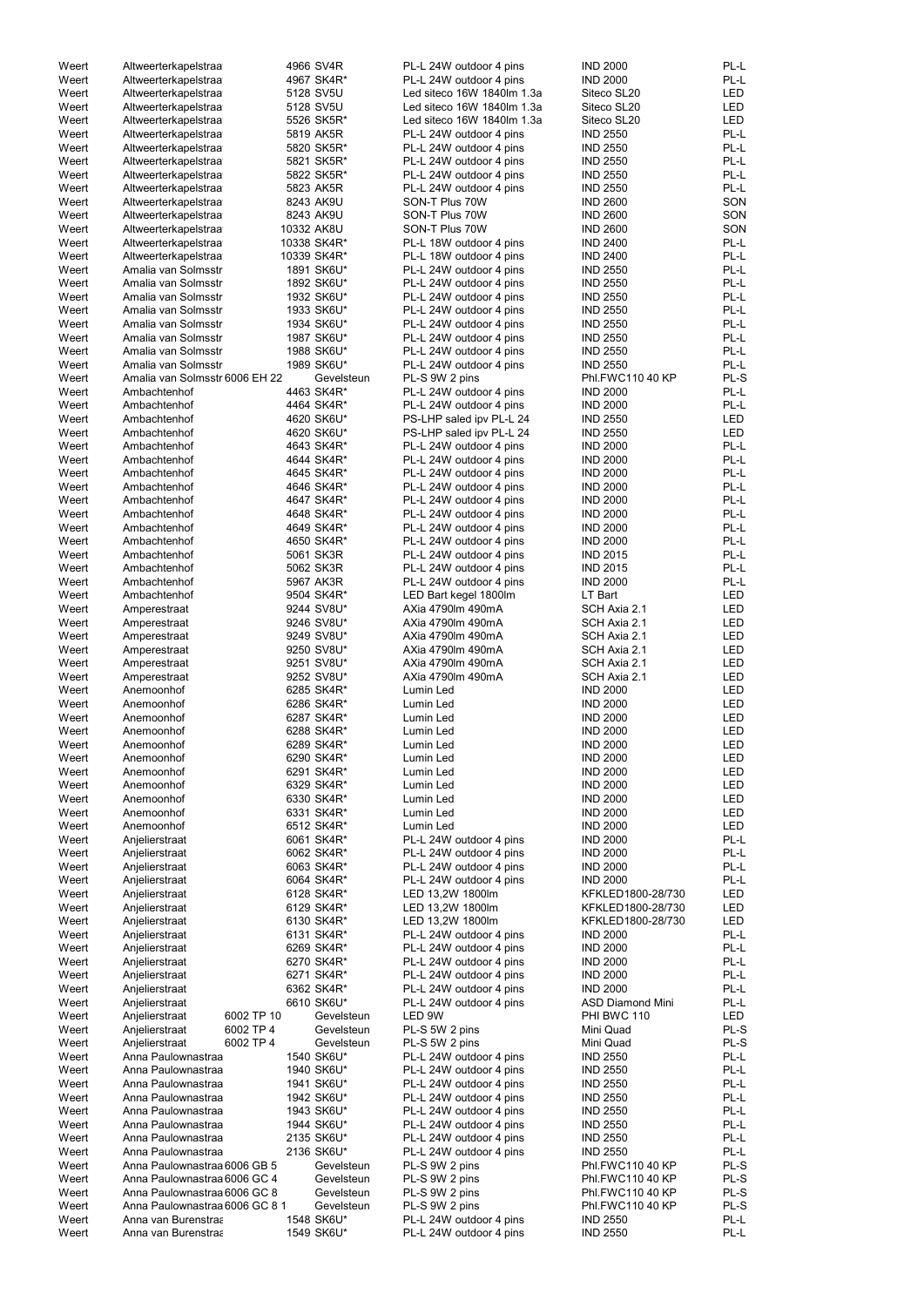| Weert          | Altweerterkapelstraa             | 4966 SV4R   | PL-L 24W outdoor 4 pins    | <b>IND 2000</b>         | PL-L       |
|----------------|----------------------------------|-------------|----------------------------|-------------------------|------------|
| Weert          | Altweerterkapelstraa             | 4967 SK4R*  | PL-L 24W outdoor 4 pins    | <b>IND 2000</b>         | PL-L       |
| Weert          | Altweerterkapelstraa             | 5128 SV5U   | Led siteco 16W 1840lm 1.3a | Siteco SL20             | <b>LED</b> |
| Weert          | Altweerterkapelstraa             | 5128 SV5U   | Led siteco 16W 1840lm 1.3a | Siteco SL20             | <b>LED</b> |
| Weert          | Altweerterkapelstraa             | 5526 SK5R*  | Led siteco 16W 1840lm 1.3a | Siteco SL20             | <b>LED</b> |
| Weert          | Altweerterkapelstraa             | 5819 AK5R   | PL-L 24W outdoor 4 pins    | <b>IND 2550</b>         | PL-L       |
| Weert          | Altweerterkapelstraa             | 5820 SK5R*  | PL-L 24W outdoor 4 pins    | <b>IND 2550</b>         | PL-L       |
| Weert          | Altweerterkapelstraa             | 5821 SK5R*  | PL-L 24W outdoor 4 pins    | <b>IND 2550</b>         | PL-L       |
| Weert          | Altweerterkapelstraa             | 5822 SK5R*  | PL-L 24W outdoor 4 pins    | <b>IND 2550</b>         | PL-L       |
| Weert          | Altweerterkapelstraa             | 5823 AK5R   | PL-L 24W outdoor 4 pins    | <b>IND 2550</b>         | PL-L       |
| Weert          | Altweerterkapelstraa             | 8243 AK9U   | SON-T Plus 70W             | <b>IND 2600</b>         | SON        |
|                |                                  |             | SON-T Plus 70W             |                         | SON        |
| Weert          | Altweerterkapelstraa             | 8243 AK9U   |                            | <b>IND 2600</b>         |            |
| Weert          | Altweerterkapelstraa             | 10332 AK8U  | SON-T Plus 70W             | <b>IND 2600</b>         | SON        |
| Weert          | Altweerterkapelstraa             | 10338 SK4R* | PL-L 18W outdoor 4 pins    | <b>IND 2400</b>         | PL-L       |
| Weert          | Altweerterkapelstraa             | 10339 SK4R* | PL-L 18W outdoor 4 pins    | <b>IND 2400</b>         | PL-L       |
| Weert          | Amalia van Solmsstr              | 1891 SK6U*  | PL-L 24W outdoor 4 pins    | <b>IND 2550</b>         | PL-L       |
| Weert          | Amalia van Solmsstr              | 1892 SK6U*  | PL-L 24W outdoor 4 pins    | <b>IND 2550</b>         | PL-L       |
| Weert          | Amalia van Solmsstr              | 1932 SK6U*  | PL-L 24W outdoor 4 pins    | <b>IND 2550</b>         | PL-L       |
| Weert          | Amalia van Solmsstr              | 1933 SK6U*  | PL-L 24W outdoor 4 pins    | <b>IND 2550</b>         | PL-L       |
| Weert          | Amalia van Solmsstr              | 1934 SK6U*  | PL-L 24W outdoor 4 pins    | <b>IND 2550</b>         | PL-L       |
| Weert          | Amalia van Solmsstr              | 1987 SK6U*  | PL-L 24W outdoor 4 pins    | <b>IND 2550</b>         | PL-L       |
| Weert          | Amalia van Solmsstr              | 1988 SK6U*  | PL-L 24W outdoor 4 pins    | <b>IND 2550</b>         | PL-L       |
| Weert          | Amalia van Solmsstr              | 1989 SK6U*  | PL-L 24W outdoor 4 pins    | <b>IND 2550</b>         | PL-L       |
| Weert          | Amalia van Solmsstr 6006 EH 22   | Gevelsteun  | PL-S 9W 2 pins             | Phl.FWC110 40 KP        | PL-S       |
| Weert          | Ambachtenhof                     | 4463 SK4R*  | PL-L 24W outdoor 4 pins    | <b>IND 2000</b>         | PL-L       |
| Weert          | Ambachtenhof                     | 4464 SK4R*  | PL-L 24W outdoor 4 pins    | <b>IND 2000</b>         | PL-L       |
| Weert          | Ambachtenhof                     | 4620 SK6U*  | PS-LHP saled ipv PL-L 24   | <b>IND 2550</b>         | LED        |
| Weert          | Ambachtenhof                     | 4620 SK6U*  |                            | <b>IND 2550</b>         | <b>LED</b> |
|                |                                  |             | PS-LHP saled ipv PL-L 24   |                         |            |
| Weert          | Ambachtenhof                     | 4643 SK4R*  | PL-L 24W outdoor 4 pins    | <b>IND 2000</b>         | PL-L       |
| Weert          | Ambachtenhof                     | 4644 SK4R*  | PL-L 24W outdoor 4 pins    | <b>IND 2000</b>         | PL-L       |
| Weert          | Ambachtenhof                     | 4645 SK4R*  | PL-L 24W outdoor 4 pins    | <b>IND 2000</b>         | PL-L       |
| Weert          | Ambachtenhof                     | 4646 SK4R*  | PL-L 24W outdoor 4 pins    | <b>IND 2000</b>         | PL-L       |
| Weert          | Ambachtenhof                     | 4647 SK4R*  | PL-L 24W outdoor 4 pins    | <b>IND 2000</b>         | PL-L       |
| Weert          | Ambachtenhof                     | 4648 SK4R*  | PL-L 24W outdoor 4 pins    | <b>IND 2000</b>         | PL-L       |
| Weert          | Ambachtenhof                     | 4649 SK4R*  | PL-L 24W outdoor 4 pins    | <b>IND 2000</b>         | PL-L       |
| Weert          | Ambachtenhof                     | 4650 SK4R*  | PL-L 24W outdoor 4 pins    | <b>IND 2000</b>         | PL-L       |
| Weert          | Ambachtenhof                     | 5061 SK3R   | PL-L 24W outdoor 4 pins    | <b>IND 2015</b>         | PL-L       |
| Weert          | Ambachtenhof                     | 5062 SK3R   | PL-L 24W outdoor 4 pins    | <b>IND 2015</b>         | PL-L       |
| Weert          | Ambachtenhof                     | 5967 AK3R   | PL-L 24W outdoor 4 pins    | <b>IND 2000</b>         | PL-L       |
| Weert          | Ambachtenhof                     | 9504 SK4R*  | LED Bart kegel 1800lm      | LT Bart                 | <b>LED</b> |
| Weert          | Amperestraat                     | 9244 SV8U*  | AXia 4790lm 490mA          | SCH Axia 2.1            | LED        |
| Weert          | Amperestraat                     | 9246 SV8U*  | AXia 4790lm 490mA          | SCH Axia 2.1            | LED        |
| Weert          |                                  | 9249 SV8U*  | AXia 4790lm 490mA          | SCH Axia 2.1            | LED        |
|                | Amperestraat                     |             |                            |                         |            |
| Weert          | Amperestraat                     | 9250 SV8U*  | AXia 4790lm 490mA          | SCH Axia 2.1            | LED        |
| Weert          | Amperestraat                     | 9251 SV8U*  | AXia 4790lm 490mA          | SCH Axia 2.1            | LED        |
| Weert          | Amperestraat                     | 9252 SV8U*  | AXia 4790lm 490mA          | SCH Axia 2.1            | LED        |
| Weert          | Anemoonhof                       | 6285 SK4R*  | Lumin Led                  | <b>IND 2000</b>         | LED        |
| Weert          | Anemoonhof                       | 6286 SK4R*  | Lumin Led                  | <b>IND 2000</b>         | <b>LED</b> |
| Weert          | Anemoonhof                       | 6287 SK4R*  | Lumin Led                  | <b>IND 2000</b>         | LED        |
| Weert          | Anemoonhof                       | 6288 SK4R*  | Lumin Led                  | <b>IND 2000</b>         | <b>LED</b> |
| Weert          | Anemoonhof                       | 6289 SK4R*  | Lumin Led                  | <b>IND 2000</b>         | LED        |
| Weert          | Anemoonhof                       | 6290 SK4R*  | Lumin Led                  | <b>IND 2000</b>         | LED        |
| Weert          | Anemoonhof                       | 6291 SK4R*  | Lumin Led                  | <b>IND 2000</b>         | LED        |
| Weert          | Anemoonhof                       | 6329 SK4R*  | Lumin Led                  | <b>IND 2000</b>         | <b>LED</b> |
| Weert          | Anemoonhof                       | 6330 SK4R*  | Lumin Led                  | <b>IND 2000</b>         | LED        |
| Weert          | Anemoonhof                       | 6331 SK4R*  | Lumin Led                  | <b>IND 2000</b>         | <b>LED</b> |
| Weert          | Anemoonhof                       | 6512 SK4R*  | Lumin Led                  | <b>IND 2000</b>         | <b>LED</b> |
|                |                                  | 6061 SK4R*  | PL-L 24W outdoor 4 pins    | <b>IND 2000</b>         | PL-L       |
| Weert<br>Weert | Anjelierstraat<br>Anjelierstraat | 6062 SK4R*  | PL-L 24W outdoor 4 pins    | <b>IND 2000</b>         | PL-L       |
|                |                                  |             |                            |                         |            |
| Weert          | Anjelierstraat                   | 6063 SK4R*  | PL-L 24W outdoor 4 pins    | <b>IND 2000</b>         | PL-L       |
| Weert          | Anjelierstraat                   | 6064 SK4R*  | PL-L 24W outdoor 4 pins    | <b>IND 2000</b>         | PL-L       |
| Weert          | Anjelierstraat                   | 6128 SK4R*  | LED 13,2W 1800lm           | KFKLED1800-28/730       | LED        |
| Weert          | Anjelierstraat                   | 6129 SK4R*  | LED 13,2W 1800lm           | KFKLED1800-28/730       | <b>LED</b> |
| Weert          | Anjelierstraat                   | 6130 SK4R*  | LED 13,2W 1800lm           | KFKLED1800-28/730       | <b>LED</b> |
| Weert          | Anjelierstraat                   | 6131 SK4R*  | PL-L 24W outdoor 4 pins    | <b>IND 2000</b>         | PL-L       |
| Weert          | Anjelierstraat                   | 6269 SK4R*  | PL-L 24W outdoor 4 pins    | <b>IND 2000</b>         | PL-L       |
| Weert          | Anjelierstraat                   | 6270 SK4R*  | PL-L 24W outdoor 4 pins    | <b>IND 2000</b>         | PL-L       |
| Weert          | Anjelierstraat                   | 6271 SK4R*  | PL-L 24W outdoor 4 pins    | <b>IND 2000</b>         | PL-L       |
| Weert          | Anjelierstraat                   | 6362 SK4R*  | PL-L 24W outdoor 4 pins    | <b>IND 2000</b>         | PL-L       |
| Weert          | Anjelierstraat                   | 6610 SK6U*  | PL-L 24W outdoor 4 pins    | <b>ASD Diamond Mini</b> | PL-L       |
| Weert          | 6002 TP 10<br>Anjelierstraat     | Gevelsteun  | LED 9W                     | PHI BWC 110             | <b>LED</b> |
| Weert          | 6002 TP 4<br>Anjelierstraat      | Gevelsteun  | PL-S 5W 2 pins             | Mini Quad               | PL-S       |
| Weert          | 6002 TP 4<br>Anjelierstraat      | Gevelsteun  | PL-S 5W 2 pins             | Mini Quad               | PL-S       |
| Weert          | Anna Paulownastraa               | 1540 SK6U*  | PL-L 24W outdoor 4 pins    | <b>IND 2550</b>         | PL-L       |
|                |                                  |             |                            |                         |            |
| Weert          | Anna Paulownastraa               | 1940 SK6U*  | PL-L 24W outdoor 4 pins    | <b>IND 2550</b>         | PL-L       |
| Weert          | Anna Paulownastraa               | 1941 SK6U*  | PL-L 24W outdoor 4 pins    | <b>IND 2550</b>         | PL-L       |
| Weert          | Anna Paulownastraa               | 1942 SK6U*  | PL-L 24W outdoor 4 pins    | <b>IND 2550</b>         | PL-L       |
| Weert          | Anna Paulownastraa               | 1943 SK6U*  | PL-L 24W outdoor 4 pins    | <b>IND 2550</b>         | PL-L       |
| Weert          | Anna Paulownastraa               | 1944 SK6U*  | PL-L 24W outdoor 4 pins    | <b>IND 2550</b>         | PL-L       |
| Weert          | Anna Paulownastraa               | 2135 SK6U*  | PL-L 24W outdoor 4 pins    | <b>IND 2550</b>         | PL-L       |
| Weert          | Anna Paulownastraa               | 2136 SK6U*  | PL-L 24W outdoor 4 pins    | <b>IND 2550</b>         | PL-L       |
| Weert          | Anna Paulownastraa 6006 GB 5     | Gevelsteun  | PL-S 9W 2 pins             | Phl.FWC110 40 KP        | PL-S       |
| Weert          | Anna Paulownastraa 6006 GC 4     | Gevelsteun  | PL-S 9W 2 pins             | Phl.FWC110 40 KP        | PL-S       |
| Weert          | Anna Paulownastraa 6006 GC 8     | Gevelsteun  | PL-S 9W 2 pins             | Phl.FWC110 40 KP        | PL-S       |
| Weert          | Anna Paulownastraa 6006 GC 8 1   | Gevelsteun  | PL-S 9W 2 pins             | Phl.FWC110 40 KP        | PL-S       |
| Weert          | Anna van Burenstraa              | 1548 SK6U*  | PL-L 24W outdoor 4 pins    | <b>IND 2550</b>         | PL-L       |
| Weert          | Anna van Burenstraa              | 1549 SK6U*  | PL-L 24W outdoor 4 pins    | <b>IND 2550</b>         | PL-L       |
|                |                                  |             |                            |                         |            |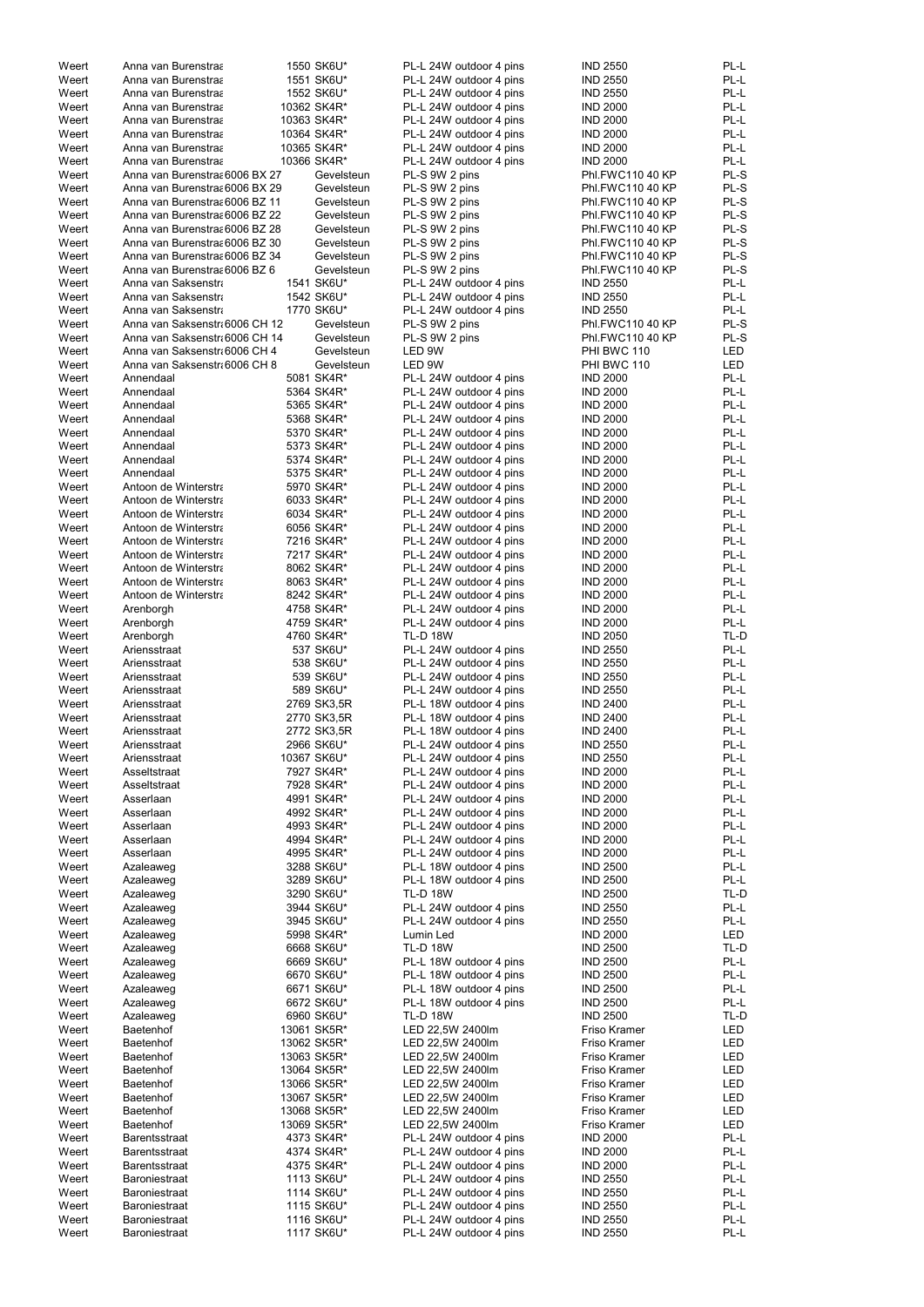| Weert | Anna van Burenstraa            | 1550 SK6U*  | PL-L 24W outdoor 4 pins | <b>IND 2550</b>  | PL-L       |
|-------|--------------------------------|-------------|-------------------------|------------------|------------|
| Weert | Anna van Burenstraa            | 1551 SK6U*  | PL-L 24W outdoor 4 pins | <b>IND 2550</b>  | PL-L       |
| Weert | Anna van Burenstraa            | 1552 SK6U*  | PL-L 24W outdoor 4 pins | <b>IND 2550</b>  | PL-L       |
| Weert | Anna van Burenstraa            | 10362 SK4R* | PL-L 24W outdoor 4 pins | <b>IND 2000</b>  | PL-L       |
| Weert | Anna van Burenstraa            | 10363 SK4R* | PL-L 24W outdoor 4 pins | <b>IND 2000</b>  | PL-L       |
| Weert | Anna van Burenstraa            | 10364 SK4R* | PL-L 24W outdoor 4 pins | <b>IND 2000</b>  | PL-L       |
| Weert | Anna van Burenstraa            | 10365 SK4R* | PL-L 24W outdoor 4 pins | <b>IND 2000</b>  | PL-L       |
| Weert | Anna van Burenstraa            | 10366 SK4R* | PL-L 24W outdoor 4 pins | <b>IND 2000</b>  | PL-L       |
| Weert | Anna van Burenstras 6006 BX 27 | Gevelsteun  | PL-S 9W 2 pins          | Phl.FWC110 40 KP | PL-S       |
| Weert | Anna van Burenstraa 6006 BX 29 | Gevelsteun  | PL-S 9W 2 pins          | Phl.FWC110 40 KP | PL-S       |
| Weert | Anna van Burenstras 6006 BZ 11 | Gevelsteun  | PL-S 9W 2 pins          | Phl.FWC110 40 KP | PL-S       |
| Weert | Anna van Burenstras 6006 BZ 22 | Gevelsteun  | PL-S 9W 2 pins          | Phl.FWC110 40 KP | PL-S       |
| Weert | Anna van Burenstras 6006 BZ 28 | Gevelsteun  | PL-S 9W 2 pins          | Phl.FWC110 40 KP | PL-S       |
| Weert | Anna van Burenstras 6006 BZ 30 | Gevelsteun  | PL-S 9W 2 pins          | Phl.FWC110 40 KP | PL-S       |
|       |                                |             |                         |                  | PL-S       |
| Weert | Anna van Burenstras 6006 BZ 34 | Gevelsteun  | PL-S 9W 2 pins          | Phl.FWC110 40 KP |            |
| Weert | Anna van Burenstra 6006 BZ 6   | Gevelsteun  | PL-S 9W 2 pins          | Phl.FWC110 40 KP | PL-S       |
| Weert | Anna van Saksenstra            | 1541 SK6U*  | PL-L 24W outdoor 4 pins | <b>IND 2550</b>  | PL-L       |
| Weert | Anna van Saksenstra            | 1542 SK6U*  | PL-L 24W outdoor 4 pins | <b>IND 2550</b>  | PL-L       |
| Weert | Anna van Saksenstra            | 1770 SK6U*  | PL-L 24W outdoor 4 pins | <b>IND 2550</b>  | PL-L       |
| Weert | Anna van Saksenstr 6006 CH 12  | Gevelsteun  | PL-S 9W 2 pins          | Phl.FWC110 40 KP | PL-S       |
| Weert | Anna van Saksenstr 6006 CH 14  | Gevelsteun  | PL-S 9W 2 pins          | Phl.FWC110 40 KP | PL-S       |
| Weert | Anna van Saksenstr 6006 CH 4   | Gevelsteun  | LED 9W                  | PHI BWC 110      | <b>LED</b> |
| Weert | Anna van Saksenstr 6006 CH 8   | Gevelsteun  | LED 9W                  | PHI BWC 110      | <b>LED</b> |
| Weert | Annendaal                      | 5081 SK4R*  | PL-L 24W outdoor 4 pins | <b>IND 2000</b>  | PL-L       |
| Weert | Annendaal                      | 5364 SK4R*  | PL-L 24W outdoor 4 pins | <b>IND 2000</b>  | PL-L       |
| Weert | Annendaal                      | 5365 SK4R*  | PL-L 24W outdoor 4 pins | <b>IND 2000</b>  | PL-L       |
| Weert | Annendaal                      | 5368 SK4R*  | PL-L 24W outdoor 4 pins | <b>IND 2000</b>  | PL-L       |
| Weert | Annendaal                      | 5370 SK4R*  | PL-L 24W outdoor 4 pins | <b>IND 2000</b>  | PL-L       |
| Weert | Annendaal                      | 5373 SK4R*  | PL-L 24W outdoor 4 pins | <b>IND 2000</b>  | PL-L       |
| Weert | Annendaal                      | 5374 SK4R*  | PL-L 24W outdoor 4 pins | <b>IND 2000</b>  | PL-L       |
| Weert | Annendaal                      | 5375 SK4R*  | PL-L 24W outdoor 4 pins | <b>IND 2000</b>  | PL-L       |
| Weert | Antoon de Winterstra           | 5970 SK4R*  | PL-L 24W outdoor 4 pins | <b>IND 2000</b>  | PL-L       |
| Weert | Antoon de Winterstra           | 6033 SK4R*  | PL-L 24W outdoor 4 pins | <b>IND 2000</b>  | PL-L       |
| Weert | Antoon de Winterstra           | 6034 SK4R*  | PL-L 24W outdoor 4 pins | <b>IND 2000</b>  | PL-L       |
|       |                                | 6056 SK4R*  |                         | <b>IND 2000</b>  | PL-L       |
| Weert | Antoon de Winterstra           |             | PL-L 24W outdoor 4 pins |                  |            |
| Weert | Antoon de Winterstra           | 7216 SK4R*  | PL-L 24W outdoor 4 pins | <b>IND 2000</b>  | PL-L       |
| Weert | Antoon de Winterstra           | 7217 SK4R*  | PL-L 24W outdoor 4 pins | <b>IND 2000</b>  | PL-L       |
| Weert | Antoon de Winterstra           | 8062 SK4R*  | PL-L 24W outdoor 4 pins | <b>IND 2000</b>  | PL-L       |
| Weert | Antoon de Winterstra           | 8063 SK4R*  | PL-L 24W outdoor 4 pins | <b>IND 2000</b>  | PL-L       |
| Weert | Antoon de Winterstra           | 8242 SK4R*  | PL-L 24W outdoor 4 pins | <b>IND 2000</b>  | PL-L       |
| Weert | Arenborgh                      | 4758 SK4R*  | PL-L 24W outdoor 4 pins | <b>IND 2000</b>  | PL-L       |
| Weert | Arenborgh                      | 4759 SK4R*  | PL-L 24W outdoor 4 pins | <b>IND 2000</b>  | PL-L       |
| Weert | Arenborgh                      | 4760 SK4R*  | <b>TL-D 18W</b>         | <b>IND 2050</b>  | TL-D       |
| Weert | Ariensstraat                   | 537 SK6U*   | PL-L 24W outdoor 4 pins | <b>IND 2550</b>  | PL-L       |
| Weert | Ariensstraat                   | 538 SK6U*   | PL-L 24W outdoor 4 pins | <b>IND 2550</b>  | PL-L       |
| Weert | Ariensstraat                   | 539 SK6U*   | PL-L 24W outdoor 4 pins | <b>IND 2550</b>  | PL-L       |
| Weert | Ariensstraat                   | 589 SK6U*   | PL-L 24W outdoor 4 pins | <b>IND 2550</b>  | PL-L       |
| Weert | Ariensstraat                   | 2769 SK3,5R | PL-L 18W outdoor 4 pins | <b>IND 2400</b>  | PL-L       |
| Weert | Ariensstraat                   | 2770 SK3,5R | PL-L 18W outdoor 4 pins | <b>IND 2400</b>  | PL-L       |
| Weert | Ariensstraat                   | 2772 SK3,5R | PL-L 18W outdoor 4 pins | <b>IND 2400</b>  | PL-L       |
| Weert | Ariensstraat                   | 2966 SK6U*  | PL-L 24W outdoor 4 pins | <b>IND 2550</b>  | PL-L       |
| Weert | Ariensstraat                   | 10367 SK6U* | PL-L 24W outdoor 4 pins | <b>IND 2550</b>  | PL-L       |
|       |                                |             |                         |                  | PL-L       |
| Weert | Asseltstraat                   | 7927 SK4R*  | PL-L 24W outdoor 4 pins | <b>IND 2000</b>  |            |
| Weert | Asseltstraat                   | 7928 SK4R*  | PL-L 24W outdoor 4 pins | <b>IND 2000</b>  | PL-L       |
| Weert | Asserlaan                      | 4991 SK4R*  | PL-L 24W outdoor 4 pins | <b>IND 2000</b>  | PL-L       |
| Weert | Asserlaan                      | 4992 SK4R*  | PL-L 24W outdoor 4 pins | <b>IND 2000</b>  | PL-L       |
| Weert | Asserlaan                      | 4993 SK4R*  | PL-L 24W outdoor 4 pins | <b>IND 2000</b>  | PL-L       |
| Weert | Asserlaan                      | 4994 SK4R*  | PL-L 24W outdoor 4 pins | <b>IND 2000</b>  | PL-L       |
| Weert | Asserlaan                      | 4995 SK4R*  | PL-L 24W outdoor 4 pins | <b>IND 2000</b>  | PL-L       |
| Weert | Azaleaweg                      | 3288 SK6U*  | PL-L 18W outdoor 4 pins | <b>IND 2500</b>  | PL-L       |
| Weert | Azaleaweg                      | 3289 SK6U*  | PL-L 18W outdoor 4 pins | <b>IND 2500</b>  | PL-L       |
| Weert | Azaleaweg                      | 3290 SK6U*  | <b>TL-D 18W</b>         | <b>IND 2500</b>  | TL-D       |
| Weert | Azaleaweg                      | 3944 SK6U*  | PL-L 24W outdoor 4 pins | <b>IND 2550</b>  | PL-L       |
| Weert | Azaleaweg                      | 3945 SK6U*  | PL-L 24W outdoor 4 pins | <b>IND 2550</b>  | PL-L       |
| Weert | Azaleaweg                      | 5998 SK4R*  | Lumin Led               | <b>IND 2000</b>  | <b>LED</b> |
| Weert | Azaleaweg                      | 6668 SK6U*  | <b>TL-D 18W</b>         | <b>IND 2500</b>  | TL-D       |
| Weert | Azaleaweg                      | 6669 SK6U*  | PL-L 18W outdoor 4 pins | <b>IND 2500</b>  | PL-L       |
| Weert | Azaleaweg                      | 6670 SK6U*  | PL-L 18W outdoor 4 pins | <b>IND 2500</b>  | PL-L       |
| Weert | Azaleaweg                      | 6671 SK6U*  | PL-L 18W outdoor 4 pins | <b>IND 2500</b>  | PL-L       |
| Weert | Azaleaweg                      | 6672 SK6U*  | PL-L 18W outdoor 4 pins | <b>IND 2500</b>  | PL-L       |
| Weert | Azaleaweg                      | 6960 SK6U*  | <b>TL-D 18W</b>         | <b>IND 2500</b>  | TL-D       |
| Weert | <b>Baetenhof</b>               | 13061 SK5R* | LED 22,5W 2400lm        | Friso Kramer     | <b>LED</b> |
| Weert | Baetenhof                      | 13062 SK5R* | LED 22,5W 2400lm        | Friso Kramer     | LED        |
| Weert | Baetenhof                      | 13063 SK5R* | LED 22,5W 2400lm        | Friso Kramer     | LED        |
| Weert | Baetenhof                      | 13064 SK5R* | LED 22,5W 2400lm        | Friso Kramer     | LED        |
|       |                                |             |                         |                  |            |
| Weert | <b>Baetenhof</b>               | 13066 SK5R* | LED 22,5W 2400lm        | Friso Kramer     | LED        |
| Weert | Baetenhof                      | 13067 SK5R* | LED 22,5W 2400lm        | Friso Kramer     | LED        |
| Weert | Baetenhof                      | 13068 SK5R* | LED 22,5W 2400lm        | Friso Kramer     | LED        |
| Weert | Baetenhof                      | 13069 SK5R* | LED 22,5W 2400lm        | Friso Kramer     | LED        |
| Weert | <b>Barentsstraat</b>           | 4373 SK4R*  | PL-L 24W outdoor 4 pins | <b>IND 2000</b>  | PL-L       |
| Weert | <b>Barentsstraat</b>           | 4374 SK4R*  | PL-L 24W outdoor 4 pins | <b>IND 2000</b>  | PL-L       |
| Weert | Barentsstraat                  | 4375 SK4R*  | PL-L 24W outdoor 4 pins | <b>IND 2000</b>  | PL-L       |
| Weert | Baroniestraat                  | 1113 SK6U*  | PL-L 24W outdoor 4 pins | <b>IND 2550</b>  | PL-L       |
| Weert | Baroniestraat                  | 1114 SK6U*  | PL-L 24W outdoor 4 pins | <b>IND 2550</b>  | PL-L       |
| Weert | Baroniestraat                  | 1115 SK6U*  | PL-L 24W outdoor 4 pins | <b>IND 2550</b>  | PL-L       |
| Weert | Baroniestraat                  | 1116 SK6U*  | PL-L 24W outdoor 4 pins | <b>IND 2550</b>  | PL-L       |
| Weert | Baroniestraat                  | 1117 SK6U*  | PL-L 24W outdoor 4 pins | <b>IND 2550</b>  | PL-L       |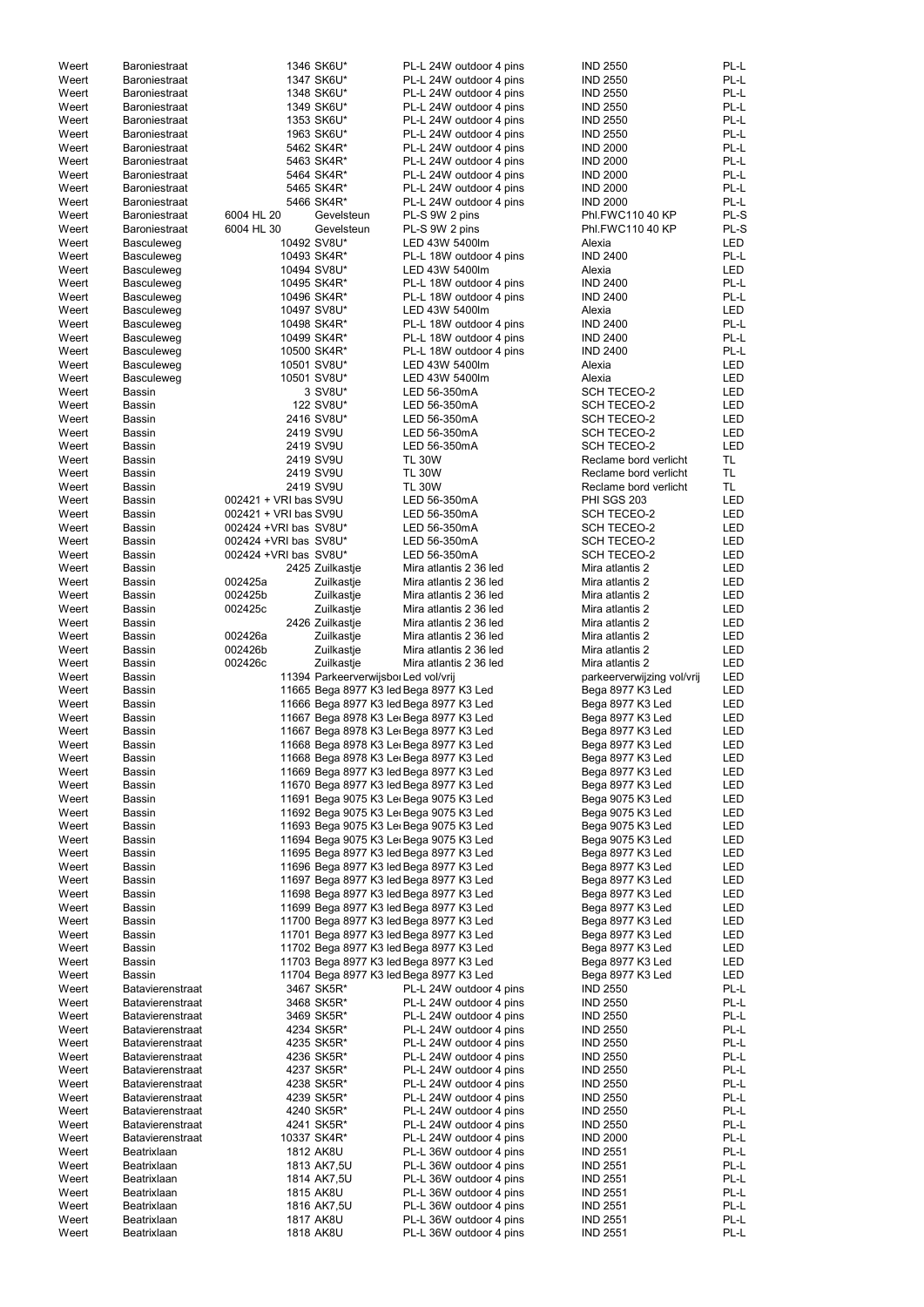| Weert          | <b>Baroniestraat</b>       |                        | 1346 SK6U*                           | PL-L 24W outdoor 4 pins                            | <b>IND 2550</b>                    | PL-L         |
|----------------|----------------------------|------------------------|--------------------------------------|----------------------------------------------------|------------------------------------|--------------|
| Weert          | Baroniestraat              |                        | 1347 SK6U*                           | PL-L 24W outdoor 4 pins                            | <b>IND 2550</b>                    | PL-L         |
| Weert          | Baroniestraat              |                        | 1348 SK6U*                           | PL-L 24W outdoor 4 pins                            | <b>IND 2550</b>                    | PL-L         |
| Weert          | <b>Baroniestraat</b>       |                        | 1349 SK6U*                           | PL-L 24W outdoor 4 pins                            | <b>IND 2550</b>                    | PL-L         |
| Weert          |                            |                        | 1353 SK6U*                           | PL-L 24W outdoor 4 pins                            | <b>IND 2550</b>                    | PL-L         |
|                | <b>Baroniestraat</b>       |                        |                                      |                                                    |                                    |              |
| Weert          | <b>Baroniestraat</b>       |                        | 1963 SK6U*                           | PL-L 24W outdoor 4 pins                            | <b>IND 2550</b>                    | PL-L         |
| Weert          | <b>Baroniestraat</b>       |                        | 5462 SK4R*                           | PL-L 24W outdoor 4 pins                            | <b>IND 2000</b>                    | PL-L         |
| Weert          | <b>Baroniestraat</b>       |                        | 5463 SK4R*                           | PL-L 24W outdoor 4 pins                            | <b>IND 2000</b>                    | PL-L         |
| Weert          | Baroniestraat              |                        | 5464 SK4R*                           | PL-L 24W outdoor 4 pins                            | <b>IND 2000</b>                    | PL-L         |
| Weert          | Baroniestraat              |                        | 5465 SK4R*                           | PL-L 24W outdoor 4 pins                            | <b>IND 2000</b>                    | PL-L         |
| Weert          | Baroniestraat              |                        | 5466 SK4R*                           | PL-L 24W outdoor 4 pins                            | <b>IND 2000</b>                    | PL-L         |
| Weert          | Baroniestraat              | 6004 HL 20             | Gevelsteun                           | PL-S 9W 2 pins                                     | Phl.FWC110 40 KP                   | PL-S         |
|                |                            |                        |                                      |                                                    |                                    |              |
| Weert          | Baroniestraat              | 6004 HL 30             | Gevelsteun                           | PL-S 9W 2 pins                                     | Phl.FWC110 40 KP                   | PL-S         |
| Weert          | Basculeweg                 |                        | 10492 SV8U*                          | LED 43W 5400lm                                     | Alexia                             | <b>LED</b>   |
| Weert          | <b>Basculeweg</b>          |                        | 10493 SK4R*                          | PL-L 18W outdoor 4 pins                            | <b>IND 2400</b>                    | PL-L         |
| Weert          | Basculeweg                 |                        | 10494 SV8U*                          | LED 43W 5400lm                                     | Alexia                             | <b>LED</b>   |
| Weert          | <b>Basculeweg</b>          |                        | 10495 SK4R*                          | PL-L 18W outdoor 4 pins                            | <b>IND 2400</b>                    | PL-L         |
| Weert          | <b>Basculeweg</b>          |                        | 10496 SK4R*                          | PL-L 18W outdoor 4 pins                            | <b>IND 2400</b>                    | PL-L         |
| Weert          | <b>Basculeweg</b>          |                        | 10497 SV8U*                          | LED 43W 5400lm                                     | Alexia                             | <b>LED</b>   |
|                |                            |                        |                                      |                                                    |                                    | PL-L         |
| Weert          | <b>Basculeweg</b>          |                        | 10498 SK4R*                          | PL-L 18W outdoor 4 pins                            | <b>IND 2400</b>                    |              |
| Weert          | Basculeweg                 |                        | 10499 SK4R*                          | PL-L 18W outdoor 4 pins                            | <b>IND 2400</b>                    | PL-L         |
| Weert          | <b>Basculeweg</b>          |                        | 10500 SK4R*                          | PL-L 18W outdoor 4 pins                            | <b>IND 2400</b>                    | PL-L         |
| Weert          | <b>Basculeweg</b>          |                        | 10501 SV8U*                          | LED 43W 5400lm                                     | Alexia                             | <b>LED</b>   |
| Weert          | Basculeweg                 |                        | 10501 SV8U*                          | LED 43W 5400lm                                     | Alexia                             | <b>LED</b>   |
| Weert          | <b>Bassin</b>              |                        | 3 SV8U*                              | LED 56-350mA                                       | <b>SCH TECEO-2</b>                 | <b>LED</b>   |
| Weert          | Bassin                     |                        | 122 SV8U*                            | LED 56-350mA                                       | <b>SCH TECEO-2</b>                 | <b>LED</b>   |
| Weert          | Bassin                     |                        | 2416 SV8U*                           | LED 56-350mA                                       | <b>SCH TECEO-2</b>                 | <b>LED</b>   |
|                |                            |                        |                                      |                                                    |                                    |              |
| Weert          | Bassin                     |                        | 2419 SV9U                            | LED 56-350mA                                       | <b>SCH TECEO-2</b>                 | <b>LED</b>   |
| Weert          | Bassin                     |                        | 2419 SV9U                            | LED 56-350mA                                       | <b>SCH TECEO-2</b>                 | <b>LED</b>   |
| Weert          | Bassin                     |                        | 2419 SV9U                            | <b>TL 30W</b>                                      | Reclame bord verlicht              | TL.          |
| Weert          | Bassin                     |                        | 2419 SV9U                            | <b>TL 30W</b>                                      | Reclame bord verlicht              | TL.          |
| Weert          | <b>Bassin</b>              |                        | 2419 SV9U                            | <b>TL 30W</b>                                      | Reclame bord verlicht              | TL.          |
| Weert          | <b>Bassin</b>              | 002421 + VRI bas SV9U  |                                      | LED 56-350mA                                       | <b>PHI SGS 203</b>                 | <b>LED</b>   |
|                |                            | 002421 + VRI bas SV9U  |                                      |                                                    |                                    |              |
| Weert          | <b>Bassin</b>              |                        |                                      | LED 56-350mA                                       | <b>SCH TECEO-2</b>                 | <b>LED</b>   |
| Weert          | <b>Bassin</b>              | 002424 + VRI bas SV8U* |                                      | LED 56-350mA                                       | <b>SCH TECEO-2</b>                 | <b>LED</b>   |
| Weert          | <b>Bassin</b>              | 002424 + VRI bas SV8U* |                                      | LED 56-350mA                                       | <b>SCH TECEO-2</b>                 | <b>LED</b>   |
| Weert          | Bassin                     | 002424 + VRI bas SV8U* |                                      | LED 56-350mA                                       | <b>SCH TECEO-2</b>                 | LED          |
| Weert          | <b>Bassin</b>              |                        | 2425 Zuilkastje                      | Mira atlantis 2 36 led                             | Mira atlantis 2                    | LED          |
| Weert          | <b>Bassin</b>              | 002425a                | Zuilkastje                           | Mira atlantis 2 36 led                             | Mira atlantis 2                    | <b>LED</b>   |
| Weert          | Bassin                     | 002425b                | Zuilkastje                           | Mira atlantis 2 36 led                             | Mira atlantis 2                    | LED          |
|                |                            |                        |                                      |                                                    |                                    |              |
| Weert          | Bassin                     | 002425c                | Zuilkastje                           | Mira atlantis 2 36 led                             | Mira atlantis 2                    | <b>LED</b>   |
| Weert          | Bassin                     |                        | 2426 Zuilkastje                      | Mira atlantis 2 36 led                             | Mira atlantis 2                    | LED          |
| Weert          | Bassin                     | 002426a                | Zuilkastje                           | Mira atlantis 2 36 led                             | Mira atlantis 2                    | LED          |
|                |                            |                        |                                      |                                                    |                                    |              |
| Weert          | <b>Bassin</b>              | 002426b                | Zuilkastje                           | Mira atlantis 2 36 led                             | Mira atlantis 2                    | LED          |
|                |                            |                        |                                      |                                                    |                                    |              |
| Weert          | <b>Bassin</b>              | 002426c                | Zuilkastje                           | Mira atlantis 2 36 led                             | Mira atlantis 2                    | LED          |
| Weert          | <b>Bassin</b>              |                        | 11394 Parkeerverwijsbor Led vol/vrij |                                                    | parkeerverwijzing vol/vrij         | LED          |
| Weert          | Bassin                     |                        |                                      | 11665 Bega 8977 K3 led Bega 8977 K3 Led            | Bega 8977 K3 Led                   | LED          |
| Weert          | Bassin                     |                        |                                      | 11666 Bega 8977 K3 led Bega 8977 K3 Led            | Bega 8977 K3 Led                   | LED          |
| Weert          | <b>Bassin</b>              |                        |                                      | 11667 Bega 8978 K3 Le Bega 8977 K3 Led             | Bega 8977 K3 Led                   | LED          |
| Weert          | <b>Bassin</b>              |                        |                                      | 11667 Bega 8978 K3 Le Bega 8977 K3 Led             | Bega 8977 K3 Led                   | LED          |
|                |                            |                        |                                      |                                                    |                                    | LED          |
| Weert          | Bassin                     |                        |                                      | 11668 Bega 8978 K3 Le Bega 8977 K3 Led             | Bega 8977 K3 Led                   |              |
| Weert          | Bassin                     |                        |                                      | 11668 Bega 8978 K3 Le Bega 8977 K3 Led             | Bega 8977 K3 Led                   | LED          |
| Weert          | <b>Bassin</b>              |                        |                                      | 11669 Bega 8977 K3 led Bega 8977 K3 Led            | Bega 8977 K3 Led                   | <b>LED</b>   |
| Weert          | Bassin                     |                        |                                      | 11670 Bega 8977 K3 led Bega 8977 K3 Led            | Bega 8977 K3 Led                   | <b>LED</b>   |
| Weert          | <b>Bassin</b>              |                        |                                      | 11691 Bega 9075 K3 Le Bega 9075 K3 Led             | Bega 9075 K3 Led                   | <b>LED</b>   |
| Weert          | <b>Bassin</b>              |                        |                                      | 11692 Bega 9075 K3 Le Bega 9075 K3 Led             | Bega 9075 K3 Led                   | <b>LED</b>   |
| Weert          | Bassin                     |                        |                                      | 11693 Bega 9075 K3 Le Bega 9075 K3 Led             | Bega 9075 K3 Led                   | LED          |
| Weert          | Bassin                     |                        |                                      | 11694 Bega 9075 K3 Ler Bega 9075 K3 Led            | Bega 9075 K3 Led                   | LED          |
| Weert          | <b>Bassin</b>              |                        |                                      | 11695 Bega 8977 K3 led Bega 8977 K3 Led            | Bega 8977 K3 Led                   | LED          |
|                |                            |                        |                                      |                                                    |                                    |              |
| Weert          | Bassin                     |                        |                                      | 11696 Bega 8977 K3 led Bega 8977 K3 Led            | Bega 8977 K3 Led                   | LED          |
| Weert          | Bassin                     |                        |                                      | 11697 Bega 8977 K3 led Bega 8977 K3 Led            | Bega 8977 K3 Led                   | LED          |
| Weert          | Bassin                     |                        |                                      | 11698 Bega 8977 K3 led Bega 8977 K3 Led            | Bega 8977 K3 Led                   | LED          |
| Weert          | Bassin                     |                        |                                      | 11699 Bega 8977 K3 led Bega 8977 K3 Led            | Bega 8977 K3 Led                   | LED          |
| Weert          | Bassin                     |                        |                                      | 11700 Bega 8977 K3 led Bega 8977 K3 Led            | Bega 8977 K3 Led                   | <b>LED</b>   |
| Weert          | <b>Bassin</b>              |                        |                                      | 11701 Bega 8977 K3 led Bega 8977 K3 Led            | Bega 8977 K3 Led                   | LED          |
| Weert          | <b>Bassin</b>              |                        |                                      | 11702 Bega 8977 K3 led Bega 8977 K3 Led            | Bega 8977 K3 Led                   | LED          |
| Weert          | <b>Bassin</b>              |                        |                                      | 11703 Bega 8977 K3 led Bega 8977 K3 Led            | Bega 8977 K3 Led                   | LED          |
|                |                            |                        |                                      |                                                    |                                    |              |
| Weert          | <b>Bassin</b>              |                        |                                      | 11704 Bega 8977 K3 led Bega 8977 K3 Led            | Bega 8977 K3 Led                   | LED          |
| Weert          | Batavierenstraat           |                        | 3467 SK5R*                           | PL-L 24W outdoor 4 pins                            | <b>IND 2550</b>                    | PL-L         |
| Weert          | <b>Batavierenstraat</b>    |                        | 3468 SK5R*                           | PL-L 24W outdoor 4 pins                            | <b>IND 2550</b>                    | PL-L         |
| Weert          | <b>Batavierenstraat</b>    |                        | 3469 SK5R*                           | PL-L 24W outdoor 4 pins                            | <b>IND 2550</b>                    | PL-L         |
| Weert          | <b>Batavierenstraat</b>    |                        | 4234 SK5R*                           | PL-L 24W outdoor 4 pins                            | <b>IND 2550</b>                    | PL-L         |
| Weert          | <b>Batavierenstraat</b>    |                        | 4235 SK5R*                           | PL-L 24W outdoor 4 pins                            | <b>IND 2550</b>                    | PL-L         |
| Weert          | <b>Batavierenstraat</b>    |                        | 4236 SK5R*                           | PL-L 24W outdoor 4 pins                            | <b>IND 2550</b>                    | PL-L         |
| Weert          | <b>Batavierenstraat</b>    |                        |                                      | PL-L 24W outdoor 4 pins                            | <b>IND 2550</b>                    | PL-L         |
|                |                            |                        | 4237 SK5R*                           |                                                    |                                    |              |
| Weert          | <b>Batavierenstraat</b>    |                        | 4238 SK5R*                           | PL-L 24W outdoor 4 pins                            | <b>IND 2550</b>                    | PL-L         |
| Weert          | <b>Batavierenstraat</b>    |                        | 4239 SK5R*                           | PL-L 24W outdoor 4 pins                            | <b>IND 2550</b>                    | PL-L         |
| Weert          | <b>Batavierenstraat</b>    |                        | 4240 SK5R*                           | PL-L 24W outdoor 4 pins                            | <b>IND 2550</b>                    | PL-L         |
| Weert          | <b>Batavierenstraat</b>    |                        | 4241 SK5R*                           | PL-L 24W outdoor 4 pins                            | <b>IND 2550</b>                    | PL-L         |
| Weert          | Batavierenstraat           |                        | 10337 SK4R*                          | PL-L 24W outdoor 4 pins                            | <b>IND 2000</b>                    | PL-L         |
| Weert          | Beatrixlaan                |                        | 1812 AK8U                            | PL-L 36W outdoor 4 pins                            | <b>IND 2551</b>                    | PL-L         |
|                |                            |                        |                                      |                                                    |                                    |              |
| Weert          | Beatrixlaan                |                        | 1813 AK7,5U                          | PL-L 36W outdoor 4 pins                            | <b>IND 2551</b>                    | PL-L         |
| Weert          | Beatrixlaan                |                        | 1814 AK7,5U                          | PL-L 36W outdoor 4 pins                            | <b>IND 2551</b>                    | PL-L         |
| Weert          | Beatrixlaan                |                        | 1815 AK8U                            | PL-L 36W outdoor 4 pins                            | <b>IND 2551</b>                    | PL-L         |
| Weert          | Beatrixlaan                |                        | 1816 AK7,5U                          | PL-L 36W outdoor 4 pins                            | <b>IND 2551</b>                    | PL-L         |
| Weert<br>Weert | Beatrixlaan<br>Beatrixlaan |                        | 1817 AK8U<br>1818 AK8U               | PL-L 36W outdoor 4 pins<br>PL-L 36W outdoor 4 pins | <b>IND 2551</b><br><b>IND 2551</b> | PL-L<br>PL-L |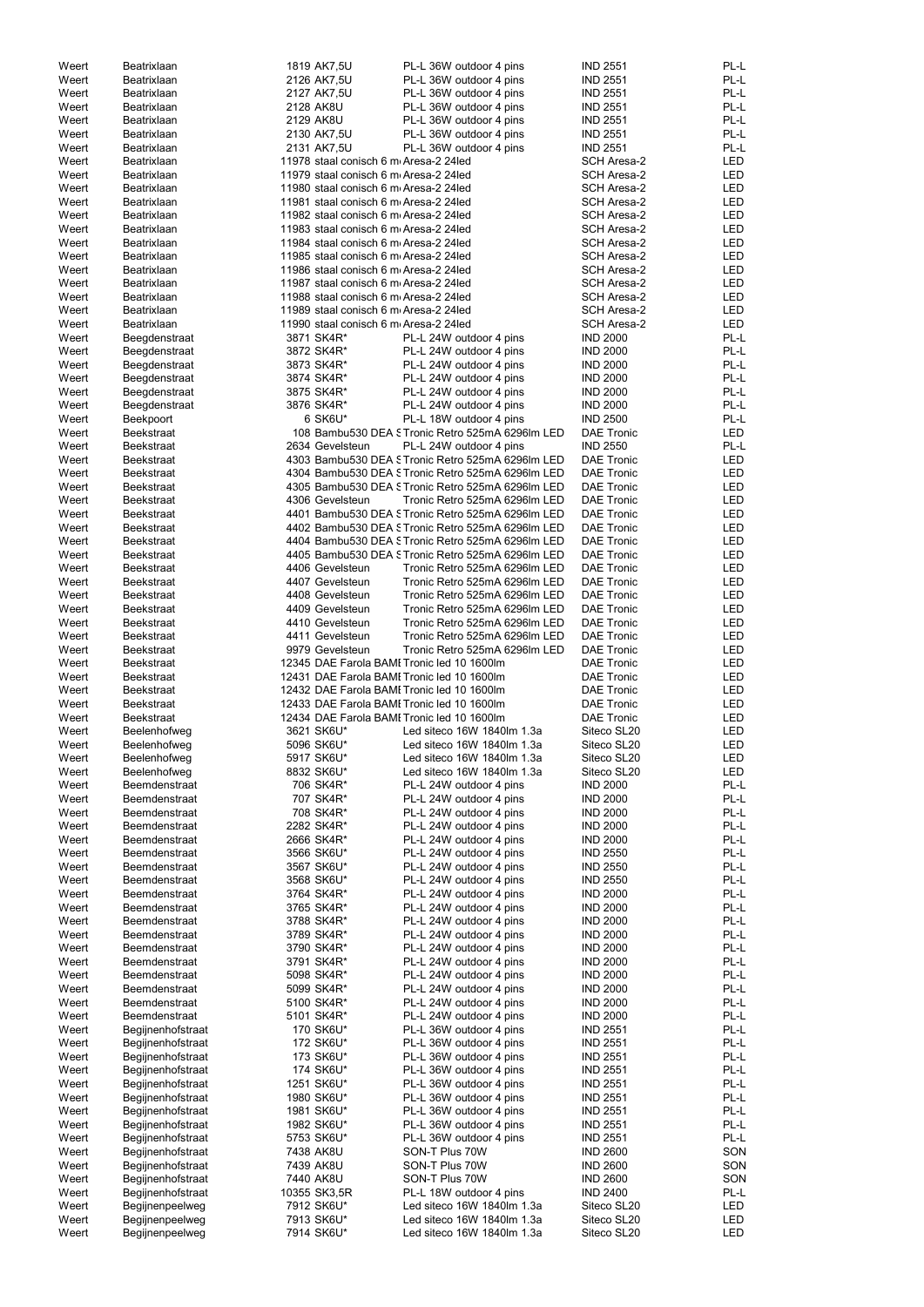| Weert<br>Weert |                                |                          |                                                    |                                    |            |
|----------------|--------------------------------|--------------------------|----------------------------------------------------|------------------------------------|------------|
|                | Beatrixlaan                    | 1819 AK7,5U              | PL-L 36W outdoor 4 pins                            | <b>IND 2551</b>                    | PL-L       |
|                | Beatrixlaan                    | 2126 AK7,5U              | PL-L 36W outdoor 4 pins                            | <b>IND 2551</b>                    | PL-L       |
| Weert          | Beatrixlaan                    | 2127 AK7,5U              | PL-L 36W outdoor 4 pins                            | <b>IND 2551</b>                    | PL-L       |
| Weert          | Beatrixlaan                    | 2128 AK8U                | PL-L 36W outdoor 4 pins                            | <b>IND 2551</b>                    | PL-L       |
| Weert          | Beatrixlaan                    | 2129 AK8U                | PL-L 36W outdoor 4 pins                            | <b>IND 2551</b>                    | PL-L       |
| Weert          | Beatrixlaan                    | 2130 AK7,5U              | PL-L 36W outdoor 4 pins                            | <b>IND 2551</b>                    | PL-L       |
| Weert          | Beatrixlaan                    | 2131 AK7,5U              | PL-L 36W outdoor 4 pins                            | <b>IND 2551</b>                    | PL-L       |
| Weert          | Beatrixlaan                    |                          | 11978 staal conisch 6 m Aresa-2 24led              | <b>SCH Aresa-2</b>                 | LED        |
| Weert          | Beatrixlaan                    |                          | 11979 staal conisch 6 m Aresa-2 24led              | <b>SCH Aresa-2</b>                 | <b>LED</b> |
| Weert          | Beatrixlaan                    |                          | 11980 staal conisch 6 m Aresa-2 24led              | <b>SCH Aresa-2</b>                 | <b>LED</b> |
| Weert          | Beatrixlaan                    |                          | 11981 staal conisch 6 m Aresa-2 24led              | <b>SCH Aresa-2</b>                 | <b>LED</b> |
| Weert          | Beatrixlaan                    |                          | 11982 staal conisch 6 m Aresa-2 24led              | <b>SCH Aresa-2</b>                 | <b>LED</b> |
| Weert          | Beatrixlaan                    |                          | 11983 staal conisch 6 m Aresa-2 24led              | <b>SCH Aresa-2</b>                 | <b>LED</b> |
| Weert          | Beatrixlaan                    |                          | 11984 staal conisch 6 m Aresa-2 24led              | <b>SCH Aresa-2</b>                 | <b>LED</b> |
| Weert          | Beatrixlaan                    |                          | 11985 staal conisch 6 m Aresa-2 24led              | <b>SCH Aresa-2</b>                 | <b>LED</b> |
| Weert          | Beatrixlaan                    |                          | 11986 staal conisch 6 m Aresa-2 24led              | <b>SCH Aresa-2</b>                 | <b>LED</b> |
| Weert          | Beatrixlaan                    |                          | 11987 staal conisch 6 m Aresa-2 24led              | <b>SCH Aresa-2</b>                 | <b>LED</b> |
|                |                                |                          | 11988 staal conisch 6 m Aresa-2 24led              |                                    | <b>LED</b> |
| Weert          | Beatrixlaan                    |                          |                                                    | <b>SCH Aresa-2</b>                 |            |
| Weert          | Beatrixlaan                    |                          | 11989 staal conisch 6 m Aresa-2 24led              | <b>SCH Aresa-2</b>                 | <b>LED</b> |
| Weert          | Beatrixlaan                    |                          | 11990 staal conisch 6 m Aresa-2 24led              | <b>SCH Aresa-2</b>                 | <b>LED</b> |
| Weert          | Beegdenstraat                  | 3871 SK4R*               | PL-L 24W outdoor 4 pins                            | <b>IND 2000</b>                    | PL-L       |
| Weert          | Beegdenstraat                  | 3872 SK4R*               | PL-L 24W outdoor 4 pins                            | <b>IND 2000</b>                    | PL-L       |
| Weert          | Beegdenstraat                  | 3873 SK4R*               | PL-L 24W outdoor 4 pins                            | <b>IND 2000</b>                    | PL-L       |
| Weert          | Beegdenstraat                  | 3874 SK4R*               | PL-L 24W outdoor 4 pins                            | <b>IND 2000</b>                    | PL-L       |
| Weert          | Beegdenstraat                  | 3875 SK4R*               | PL-L 24W outdoor 4 pins                            | <b>IND 2000</b>                    | PL-L       |
| Weert          | Beegdenstraat                  | 3876 SK4R*               | PL-L 24W outdoor 4 pins                            | <b>IND 2000</b>                    | PL-L       |
| Weert          | Beekpoort                      | 6 SK6U*                  | PL-L 18W outdoor 4 pins                            | <b>IND 2500</b>                    | PL-L       |
| Weert          | <b>Beekstraat</b>              |                          | 108 Bambu530 DEA STronic Retro 525mA 6296lm LED    | <b>DAE Tronic</b>                  | <b>LED</b> |
| Weert          | <b>Beekstraat</b>              | 2634 Gevelsteun          | PL-L 24W outdoor 4 pins                            | <b>IND 2550</b>                    | PL-L       |
| Weert          | <b>Beekstraat</b>              |                          | 4303 Bambu530 DEA STronic Retro 525mA 6296Im LED   | <b>DAE Tronic</b>                  | <b>LED</b> |
| Weert          | <b>Beekstraat</b>              |                          | 4304 Bambu530 DEA STronic Retro 525mA 6296lm LED   | <b>DAE Tronic</b>                  | <b>LED</b> |
| Weert          | <b>Beekstraat</b>              |                          | 4305 Bambu530 DEA STronic Retro 525mA 6296lm LED   | <b>DAE Tronic</b>                  | <b>LED</b> |
| Weert          | <b>Beekstraat</b>              | 4306 Gevelsteun          | Tronic Retro 525mA 6296lm LED                      | <b>DAE Tronic</b>                  | <b>LED</b> |
| Weert          | <b>Beekstraat</b>              |                          | 4401 Bambu530 DEA STronic Retro 525mA 6296lm LED   | <b>DAE Tronic</b>                  | <b>LED</b> |
| Weert          | <b>Beekstraat</b>              |                          | 4402 Bambu530 DEA S Tronic Retro 525mA 6296lm LED  | <b>DAE Tronic</b>                  | <b>LED</b> |
| Weert          | <b>Beekstraat</b>              |                          | 4404 Bambu530 DEA STronic Retro 525mA 6296lm LED   | <b>DAE Tronic</b>                  | <b>LED</b> |
| Weert          | <b>Beekstraat</b>              |                          | 4405 Bambu530 DEA STronic Retro 525mA 6296Im LED   | <b>DAE Tronic</b>                  | LED        |
| Weert          | <b>Beekstraat</b>              | 4406 Gevelsteun          | Tronic Retro 525mA 6296lm LED                      | <b>DAE Tronic</b>                  | <b>LED</b> |
| Weert          | <b>Beekstraat</b>              | 4407 Gevelsteun          | Tronic Retro 525mA 6296lm LED                      | <b>DAE Tronic</b>                  | <b>LED</b> |
| Weert          | <b>Beekstraat</b>              | 4408 Gevelsteun          | Tronic Retro 525mA 6296lm LED                      | <b>DAE Tronic</b>                  | <b>LED</b> |
| Weert          | <b>Beekstraat</b>              | 4409 Gevelsteun          | Tronic Retro 525mA 6296lm LED                      | <b>DAE Tronic</b>                  | <b>LED</b> |
| Weert          |                                | 4410 Gevelsteun          | Tronic Retro 525mA 6296lm LED                      | <b>DAE Tronic</b>                  | <b>LED</b> |
|                | <b>Beekstraat</b>              |                          |                                                    |                                    |            |
| Weert          | <b>Beekstraat</b>              | 4411 Gevelsteun          | Tronic Retro 525mA 6296lm LED                      | <b>DAE Tronic</b>                  | <b>LED</b> |
| Weert          | <b>Beekstraat</b>              | 9979 Gevelsteun          | Tronic Retro 525mA 6296lm LED                      | <b>DAE Tronic</b>                  | <b>LED</b> |
| Weert          | <b>Beekstraat</b>              |                          | 12345 DAE Farola BAMI Tronic led 10 1600lm         | <b>DAE Tronic</b>                  | <b>LED</b> |
| Weert          | <b>Beekstraat</b>              |                          | 12431 DAE Farola BAMI Tronic led 10 1600lm         | <b>DAE Tronic</b>                  | <b>LED</b> |
| Weert          | <b>Beekstraat</b>              |                          | 12432 DAE Farola BAMI Tronic led 10 1600lm         | <b>DAE Tronic</b>                  | <b>LED</b> |
|                |                                |                          | 12433 DAE Farola BAMI Tronic led 10 1600lm         | <b>DAE Tronic</b>                  | LED        |
| Weert          | <b>Beekstraat</b>              |                          |                                                    |                                    |            |
| Weert          | <b>Beekstraat</b>              |                          | 12434 DAE Farola BAMI Tronic led 10 1600lm         | <b>DAE Tronic</b>                  | LED        |
| Weert          | Beelenhofweg                   | 3621 SK6U*               | Led siteco 16W 1840lm 1.3a                         | Siteco SL20                        | <b>LED</b> |
| Weert          | Beelenhofweg                   | 5096 SK6U*               | Led siteco 16W 1840lm 1.3a                         | Siteco SL20                        | <b>LED</b> |
| Weert          | Beelenhofweg                   | 5917 SK6U*               | Led siteco 16W 1840lm 1.3a                         | Siteco SL20                        | <b>LED</b> |
| Weert          | Beelenhofweg                   | 8832 SK6U*               | Led siteco 16W 1840lm 1.3a                         | Siteco SL20                        | <b>LED</b> |
| Weert          | Beemdenstraat                  | 706 SK4R*                | PL-L 24W outdoor 4 pins                            | <b>IND 2000</b>                    | PL-L       |
| Weert          | Beemdenstraat                  | 707 SK4R*                | PL-L 24W outdoor 4 pins                            | <b>IND 2000</b>                    | PL-L       |
| Weert          | Beemdenstraat                  | 708 SK4R*                | PL-L 24W outdoor 4 pins                            | <b>IND 2000</b>                    | PL-L       |
| Weert          | Beemdenstraat                  | 2282 SK4R*               | PL-L 24W outdoor 4 pins                            | <b>IND 2000</b>                    | PL-L       |
| Weert          |                                |                          |                                                    |                                    | PL-L       |
| Weert          | Beemdenstraat<br>Beemdenstraat | 2666 SK4R*<br>3566 SK6U* | PL-L 24W outdoor 4 pins<br>PL-L 24W outdoor 4 pins | <b>IND 2000</b><br><b>IND 2550</b> | PL-L       |
| Weert          | Beemdenstraat                  | 3567 SK6U*               | PL-L 24W outdoor 4 pins                            | <b>IND 2550</b>                    | PL-L       |
| Weert          | Beemdenstraat                  | 3568 SK6U*               | PL-L 24W outdoor 4 pins                            | <b>IND 2550</b>                    | PL-L       |
| Weert          | Beemdenstraat                  |                          |                                                    |                                    | PL-L       |
|                |                                | 3764 SK4R*               | PL-L 24W outdoor 4 pins                            | <b>IND 2000</b>                    |            |
| Weert          | Beemdenstraat                  | 3765 SK4R*               | PL-L 24W outdoor 4 pins                            | <b>IND 2000</b>                    | PL-L       |
| Weert          | Beemdenstraat                  | 3788 SK4R*               | PL-L 24W outdoor 4 pins                            | <b>IND 2000</b>                    | PL-L       |
| Weert          | Beemdenstraat                  | 3789 SK4R*               | PL-L 24W outdoor 4 pins                            | <b>IND 2000</b>                    | PL-L       |
| Weert          | Beemdenstraat                  | 3790 SK4R*               | PL-L 24W outdoor 4 pins                            | <b>IND 2000</b>                    | PL-L       |
| Weert          | Beemdenstraat                  | 3791 SK4R*               | PL-L 24W outdoor 4 pins                            | <b>IND 2000</b>                    | PL-L       |
| Weert          | Beemdenstraat                  | 5098 SK4R*               | PL-L 24W outdoor 4 pins                            | <b>IND 2000</b>                    | PL-L       |
| Weert          | Beemdenstraat                  | 5099 SK4R*               | PL-L 24W outdoor 4 pins                            | <b>IND 2000</b>                    | PL-L       |
| Weert          | Beemdenstraat                  | 5100 SK4R*               | PL-L 24W outdoor 4 pins                            | <b>IND 2000</b>                    | PL-L       |
| Weert          | Beemdenstraat                  | 5101 SK4R*               | PL-L 24W outdoor 4 pins                            | <b>IND 2000</b>                    | PL-L       |
| Weert          | Begijnenhofstraat              | 170 SK6U*                | PL-L 36W outdoor 4 pins                            | <b>IND 2551</b>                    | PL-L       |
| Weert          | Begijnenhofstraat              | 172 SK6U*                | PL-L 36W outdoor 4 pins                            | <b>IND 2551</b>                    | PL-L       |
| Weert          | Begijnenhofstraat              | 173 SK6U*                | PL-L 36W outdoor 4 pins                            | <b>IND 2551</b>                    | PL-L       |
| Weert          | Begijnenhofstraat              | 174 SK6U*                | PL-L 36W outdoor 4 pins                            | <b>IND 2551</b>                    | PL-L       |
| Weert          | Begijnenhofstraat              | 1251 SK6U*               | PL-L 36W outdoor 4 pins                            | <b>IND 2551</b>                    | PL-L       |
| Weert          | Begijnenhofstraat              | 1980 SK6U*               | PL-L 36W outdoor 4 pins                            | <b>IND 2551</b>                    | PL-L       |
| Weert          | Begijnenhofstraat              | 1981 SK6U*               | PL-L 36W outdoor 4 pins                            | <b>IND 2551</b>                    | PL-L       |
| Weert          | Begijnenhofstraat              | 1982 SK6U*               | PL-L 36W outdoor 4 pins                            | <b>IND 2551</b>                    | PL-L       |
| Weert          | Begijnenhofstraat              | 5753 SK6U*               | PL-L 36W outdoor 4 pins                            | <b>IND 2551</b>                    | PL-L       |
| Weert          | Begijnenhofstraat              | 7438 AK8U                | SON-T Plus 70W                                     | <b>IND 2600</b>                    | SON        |
| Weert          | Begijnenhofstraat              | 7439 AK8U                | SON-T Plus 70W                                     | <b>IND 2600</b>                    | SON        |
| Weert          | Begijnenhofstraat              | 7440 AK8U                | SON-T Plus 70W                                     | <b>IND 2600</b>                    | SON        |
| Weert          | Begijnenhofstraat              | 10355 SK3,5R             | PL-L 18W outdoor 4 pins                            | <b>IND 2400</b>                    | PL-L       |
| Weert          | Begijnenpeelweg                | 7912 SK6U*               | Led siteco 16W 1840lm 1.3a                         | Siteco SL20                        | LED        |
| Weert          | Begijnenpeelweg                | 7913 SK6U*               | Led siteco 16W 1840lm 1.3a                         | Siteco SL20                        | <b>LED</b> |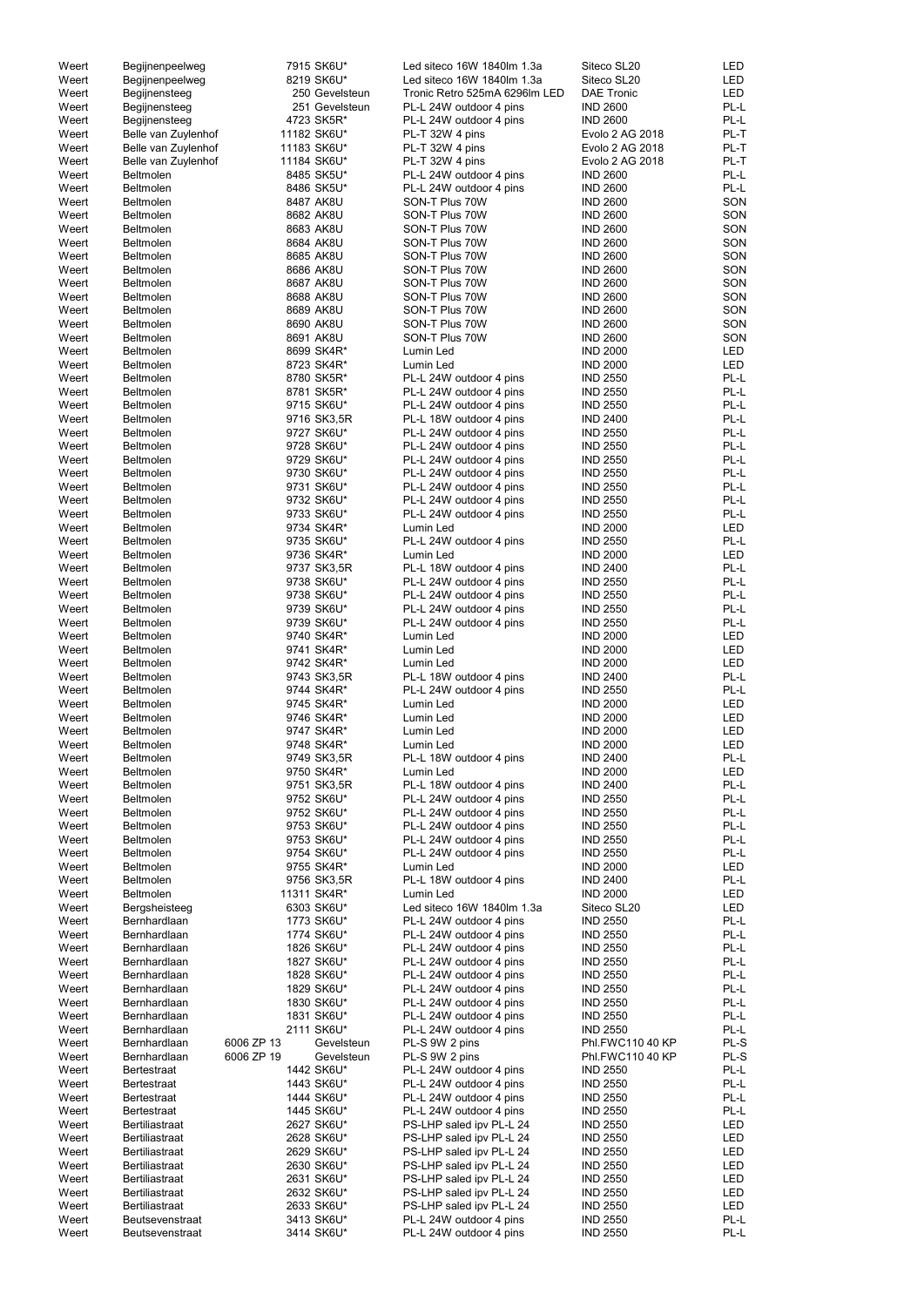| Weert | Begijnenpeelweg        |            | 7915 SK6U*     | Led siteco 16W 1840lm 1.3a    | Siteco SL20       | LED        |
|-------|------------------------|------------|----------------|-------------------------------|-------------------|------------|
| Weert | Begijnenpeelweg        |            | 8219 SK6U*     | Led siteco 16W 1840lm 1.3a    | Siteco SL20       | <b>LED</b> |
| Weert | Begijnensteeg          |            | 250 Gevelsteun | Tronic Retro 525mA 6296lm LED | <b>DAE Tronic</b> | <b>LED</b> |
| Weert | Begijnensteeg          |            | 251 Gevelsteun | PL-L 24W outdoor 4 pins       | <b>IND 2600</b>   | PL-L       |
| Weert | Begijnensteeg          |            | 4723 SK5R*     | PL-L 24W outdoor 4 pins       | <b>IND 2600</b>   | PL-L       |
| Weert | Belle van Zuylenhof    |            | 11182 SK6U*    | PL-T 32W 4 pins               | Evolo 2 AG 2018   | PL-T       |
| Weert | Belle van Zuylenhof    |            | 11183 SK6U*    | PL-T 32W 4 pins               | Evolo 2 AG 2018   | PL-T       |
| Weert | Belle van Zuylenhof    |            | 11184 SK6U*    | PL-T 32W 4 pins               | Evolo 2 AG 2018   | PL-T       |
| Weert | <b>Beltmolen</b>       |            | 8485 SK5U*     | PL-L 24W outdoor 4 pins       | <b>IND 2600</b>   | PL-L       |
|       |                        |            |                |                               |                   | PL-L       |
| Weert | Beltmolen              |            | 8486 SK5U*     | PL-L 24W outdoor 4 pins       | <b>IND 2600</b>   |            |
| Weert | <b>Beltmolen</b>       |            | 8487 AK8U      | SON-T Plus 70W                | <b>IND 2600</b>   | SON        |
| Weert | Beltmolen              |            | 8682 AK8U      | SON-T Plus 70W                | <b>IND 2600</b>   | SON        |
| Weert | <b>Beltmolen</b>       |            | 8683 AK8U      | SON-T Plus 70W                | <b>IND 2600</b>   | SON        |
| Weert | Beltmolen              |            | 8684 AK8U      | SON-T Plus 70W                | <b>IND 2600</b>   | SON        |
| Weert | Beltmolen              |            | 8685 AK8U      | SON-T Plus 70W                | <b>IND 2600</b>   | SON        |
| Weert | Beltmolen              |            | 8686 AK8U      | SON-T Plus 70W                | <b>IND 2600</b>   | SON        |
| Weert | <b>Beltmolen</b>       |            | 8687 AK8U      | SON-T Plus 70W                | <b>IND 2600</b>   | SON        |
| Weert | Beltmolen              |            | 8688 AK8U      | SON-T Plus 70W                | <b>IND 2600</b>   | SON        |
| Weert | Beltmolen              |            | 8689 AK8U      | SON-T Plus 70W                | <b>IND 2600</b>   | SON        |
| Weert | Beltmolen              |            | 8690 AK8U      | SON-T Plus 70W                | <b>IND 2600</b>   | SON        |
| Weert | Beltmolen              |            | 8691 AK8U      | SON-T Plus 70W                | <b>IND 2600</b>   | SON        |
| Weert | Beltmolen              |            | 8699 SK4R*     | Lumin Led                     | <b>IND 2000</b>   | LED        |
| Weert | Beltmolen              |            | 8723 SK4R*     | Lumin Led                     | <b>IND 2000</b>   | <b>LED</b> |
| Weert | Beltmolen              |            | 8780 SK5R*     | PL-L 24W outdoor 4 pins       | <b>IND 2550</b>   | PL-L       |
| Weert | <b>Beltmolen</b>       |            | 8781 SK5R*     | PL-L 24W outdoor 4 pins       | <b>IND 2550</b>   | PL-L       |
| Weert | Beltmolen              |            | 9715 SK6U*     | PL-L 24W outdoor 4 pins       | <b>IND 2550</b>   | PL-L       |
| Weert | Beltmolen              |            | 9716 SK3,5R    | PL-L 18W outdoor 4 pins       | <b>IND 2400</b>   | PL-L       |
| Weert | Beltmolen              |            | 9727 SK6U*     | PL-L 24W outdoor 4 pins       | <b>IND 2550</b>   | PL-L       |
| Weert | Beltmolen              |            | 9728 SK6U*     | PL-L 24W outdoor 4 pins       | <b>IND 2550</b>   | PL-L       |
| Weert | Beltmolen              |            | 9729 SK6U*     | PL-L 24W outdoor 4 pins       | <b>IND 2550</b>   | PL-L       |
| Weert | Beltmolen              |            | 9730 SK6U*     | PL-L 24W outdoor 4 pins       | <b>IND 2550</b>   | PL-L       |
| Weert | Beltmolen              |            | 9731 SK6U*     | PL-L 24W outdoor 4 pins       | <b>IND 2550</b>   | PL-L       |
|       |                        |            |                |                               |                   |            |
| Weert | Beltmolen              |            | 9732 SK6U*     | PL-L 24W outdoor 4 pins       | <b>IND 2550</b>   | PL-L       |
| Weert | Beltmolen              |            | 9733 SK6U*     | PL-L 24W outdoor 4 pins       | <b>IND 2550</b>   | PL-L       |
| Weert | Beltmolen              |            | 9734 SK4R*     | Lumin Led                     | <b>IND 2000</b>   | LED        |
| Weert | Beltmolen              |            | 9735 SK6U*     | PL-L 24W outdoor 4 pins       | <b>IND 2550</b>   | PL-L       |
| Weert | Beltmolen              |            | 9736 SK4R*     | Lumin Led                     | <b>IND 2000</b>   | LED        |
| Weert | <b>Beltmolen</b>       |            | 9737 SK3,5R    | PL-L 18W outdoor 4 pins       | <b>IND 2400</b>   | PL-L       |
| Weert | Beltmolen              |            | 9738 SK6U*     | PL-L 24W outdoor 4 pins       | <b>IND 2550</b>   | PL-L       |
| Weert | Beltmolen              |            | 9738 SK6U*     | PL-L 24W outdoor 4 pins       | <b>IND 2550</b>   | PL-L       |
| Weert | Beltmolen              |            | 9739 SK6U*     | PL-L 24W outdoor 4 pins       | <b>IND 2550</b>   | PL-L       |
| Weert | <b>Beltmolen</b>       |            | 9739 SK6U*     | PL-L 24W outdoor 4 pins       | <b>IND 2550</b>   | PL-L       |
| Weert | Beltmolen              |            | 9740 SK4R*     | Lumin Led                     | <b>IND 2000</b>   | LED        |
| Weert | Beltmolen              |            | 9741 SK4R*     | Lumin Led                     | <b>IND 2000</b>   | <b>LED</b> |
| Weert | Beltmolen              |            | 9742 SK4R*     | Lumin Led                     | <b>IND 2000</b>   | LED        |
| Weert | Beltmolen              |            | 9743 SK3,5R    | PL-L 18W outdoor 4 pins       | <b>IND 2400</b>   | PL-L       |
| Weert | Beltmolen              |            | 9744 SK4R*     | PL-L 24W outdoor 4 pins       | <b>IND 2550</b>   | PL-L       |
| Weert | Beltmolen              |            | 9745 SK4R*     | Lumin Led                     | <b>IND 2000</b>   | LED        |
| Weert | Beltmolen              |            | 9746 SK4R*     | Lumin Led                     | <b>IND 2000</b>   | <b>LED</b> |
| Weert | Beltmolen              |            | 9747 SK4R*     | Lumin Led                     | <b>IND 2000</b>   | LED        |
| Weert | Beltmolen              |            | 9748 SK4R*     | Lumin Led                     | <b>IND 2000</b>   | <b>LED</b> |
| Weert | Beltmolen              |            | 9749 SK3,5R    | PL-L 18W outdoor 4 pins       | <b>IND 2400</b>   | PL-L       |
| Weert | Beltmolen              |            | 9750 SK4R*     | Lumin Led                     | <b>IND 2000</b>   | <b>LED</b> |
|       | Beltmolen              |            |                | PL-L 18W outdoor 4 pins       | <b>IND 2400</b>   | PL-L       |
| Weert |                        |            | 9751 SK3,5R    |                               |                   |            |
| Weert | Beltmolen              |            | 9752 SK6U*     | PL-L 24W outdoor 4 pins       | <b>IND 2550</b>   | PL-L       |
| Weert | Beltmolen              |            | 9752 SK6U*     | PL-L 24W outdoor 4 pins       | <b>IND 2550</b>   | PL-L       |
| Weert | Beltmolen              |            | 9753 SK6U*     | PL-L 24W outdoor 4 pins       | <b>IND 2550</b>   | PL-L       |
| Weert | Beltmolen              |            | 9753 SK6U*     | PL-L 24W outdoor 4 pins       | <b>IND 2550</b>   | PL-L       |
| Weert | <b>Beltmolen</b>       |            | 9754 SK6U*     | PL-L 24W outdoor 4 pins       | <b>IND 2550</b>   | PL-L       |
| Weert | Beltmolen              |            | 9755 SK4R*     | Lumin Led                     | <b>IND 2000</b>   | <b>LED</b> |
| Weert | Beltmolen              |            | 9756 SK3,5R    | PL-L 18W outdoor 4 pins       | <b>IND 2400</b>   | PL-L       |
| Weert | Beltmolen              |            | 11311 SK4R*    | Lumin Led                     | <b>IND 2000</b>   | LED        |
| Weert | Bergsheisteeg          |            | 6303 SK6U*     | Led siteco 16W 1840lm 1.3a    | Siteco SL20       | LED        |
| Weert | Bernhardlaan           |            | 1773 SK6U*     | PL-L 24W outdoor 4 pins       | <b>IND 2550</b>   | PL-L       |
| Weert | Bernhardlaan           |            | 1774 SK6U*     | PL-L 24W outdoor 4 pins       | <b>IND 2550</b>   | PL-L       |
| Weert | Bernhardlaan           |            | 1826 SK6U*     | PL-L 24W outdoor 4 pins       | <b>IND 2550</b>   | PL-L       |
| Weert | Bernhardlaan           |            | 1827 SK6U*     | PL-L 24W outdoor 4 pins       | <b>IND 2550</b>   | PL-L       |
| Weert | Bernhardlaan           |            | 1828 SK6U*     | PL-L 24W outdoor 4 pins       | <b>IND 2550</b>   | PL-L       |
| Weert | Bernhardlaan           |            | 1829 SK6U*     | PL-L 24W outdoor 4 pins       | <b>IND 2550</b>   | PL-L       |
| Weert | Bernhardlaan           |            | 1830 SK6U*     | PL-L 24W outdoor 4 pins       | <b>IND 2550</b>   | PL-L       |
| Weert | Bernhardlaan           |            | 1831 SK6U*     | PL-L 24W outdoor 4 pins       | <b>IND 2550</b>   | PL-L       |
| Weert | Bernhardlaan           |            | 2111 SK6U*     | PL-L 24W outdoor 4 pins       | <b>IND 2550</b>   | PL-L       |
| Weert | Bernhardlaan           | 6006 ZP 13 | Gevelsteun     | PL-S 9W 2 pins                | Phl.FWC110 40 KP  | PL-S       |
| Weert | Bernhardlaan           | 6006 ZP 19 | Gevelsteun     | PL-S 9W 2 pins                | Phl.FWC110 40 KP  | PL-S       |
| Weert | <b>Bertestraat</b>     |            | 1442 SK6U*     | PL-L 24W outdoor 4 pins       | <b>IND 2550</b>   | PL-L       |
| Weert | Bertestraat            |            | 1443 SK6U*     | PL-L 24W outdoor 4 pins       | <b>IND 2550</b>   | PL-L       |
| Weert | <b>Bertestraat</b>     |            | 1444 SK6U*     | PL-L 24W outdoor 4 pins       | <b>IND 2550</b>   | PL-L       |
| Weert | <b>Bertestraat</b>     |            | 1445 SK6U*     | PL-L 24W outdoor 4 pins       | <b>IND 2550</b>   | PL-L       |
| Weert | <b>Bertiliastraat</b>  |            | 2627 SK6U*     | PS-LHP saled ipv PL-L 24      | <b>IND 2550</b>   | LED        |
| Weert | Bertiliastraat         |            | 2628 SK6U*     | PS-LHP saled ipv PL-L 24      | <b>IND 2550</b>   | LED        |
| Weert | Bertiliastraat         |            | 2629 SK6U*     | PS-LHP saled ipv PL-L 24      | <b>IND 2550</b>   | LED        |
| Weert | <b>Bertiliastraat</b>  |            | 2630 SK6U*     | PS-LHP saled ipv PL-L 24      | <b>IND 2550</b>   | LED        |
| Weert | <b>Bertiliastraat</b>  |            | 2631 SK6U*     | PS-LHP saled ipv PL-L 24      | <b>IND 2550</b>   | LED        |
| Weert | <b>Bertiliastraat</b>  |            | 2632 SK6U*     | PS-LHP saled ipv PL-L 24      | <b>IND 2550</b>   | LED        |
| Weert | <b>Bertiliastraat</b>  |            | 2633 SK6U*     | PS-LHP saled ipv PL-L 24      | <b>IND 2550</b>   | LED        |
|       |                        |            |                |                               |                   |            |
| Weert | <b>Beutsevenstraat</b> |            | 3413 SK6U*     | PL-L 24W outdoor 4 pins       | <b>IND 2550</b>   | PL-L       |
| Weert | Beutsevenstraat        |            | 3414 SK6U*     | PL-L 24W outdoor 4 pins       | <b>IND 2550</b>   | PL-L       |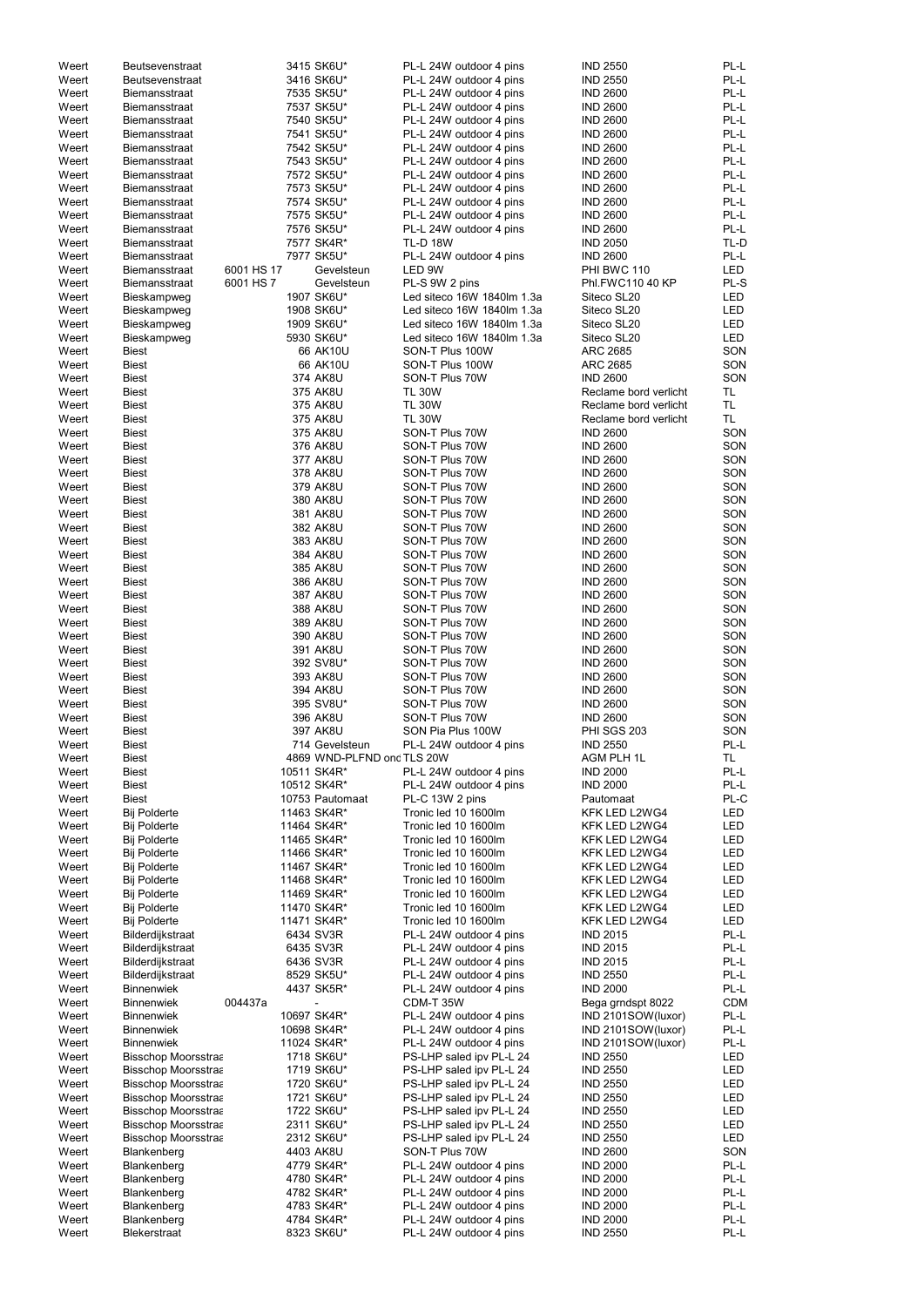| Weert          | <b>Beutsevenstraat</b>                     |            | 3415 SK6U*                 | PL-L 24W outdoor 4 pins                      | <b>IND 2550</b>                | PL-L        |
|----------------|--------------------------------------------|------------|----------------------------|----------------------------------------------|--------------------------------|-------------|
| Weert          | <b>Beutsevenstraat</b>                     |            | 3416 SK6U*                 | PL-L 24W outdoor 4 pins                      | <b>IND 2550</b>                | PL-L        |
| Weert          | <b>Biemansstraat</b>                       |            | 7535 SK5U*                 | PL-L 24W outdoor 4 pins                      | <b>IND 2600</b>                | PL-L        |
| Weert          | <b>Biemansstraat</b>                       |            | 7537 SK5U*                 | PL-L 24W outdoor 4 pins                      | <b>IND 2600</b>                | PL-L        |
| Weert          | <b>Biemansstraat</b>                       |            | 7540 SK5U*                 | PL-L 24W outdoor 4 pins                      | <b>IND 2600</b>                | PL-L        |
| Weert          | <b>Biemansstraat</b>                       |            | 7541 SK5U*                 | PL-L 24W outdoor 4 pins                      | <b>IND 2600</b>                | PL-L        |
| Weert          | Biemansstraat                              |            | 7542 SK5U*                 | PL-L 24W outdoor 4 pins                      | <b>IND 2600</b>                | PL-L        |
| Weert          | Biemansstraat                              |            | 7543 SK5U*                 | PL-L 24W outdoor 4 pins                      | <b>IND 2600</b>                | PL-L        |
| Weert          | Biemansstraat                              |            | 7572 SK5U*                 | PL-L 24W outdoor 4 pins                      | <b>IND 2600</b>                | PL-L        |
| Weert          | Biemansstraat                              |            | 7573 SK5U*                 | PL-L 24W outdoor 4 pins                      | <b>IND 2600</b>                | PL-L        |
| Weert          | Biemansstraat                              |            | 7574 SK5U*                 | PL-L 24W outdoor 4 pins                      | <b>IND 2600</b>                | PL-L        |
| Weert          | Biemansstraat                              |            | 7575 SK5U*                 | PL-L 24W outdoor 4 pins                      | <b>IND 2600</b>                | PL-L        |
| Weert          | <b>Biemansstraat</b>                       |            | 7576 SK5U*                 | PL-L 24W outdoor 4 pins                      | <b>IND 2600</b>                | PL-L        |
| Weert          | Biemansstraat                              |            | 7577 SK4R*                 | <b>TL-D 18W</b>                              | <b>IND 2050</b>                | TL-D        |
| Weert          | Biemansstraat                              |            | 7977 SK5U*                 | PL-L 24W outdoor 4 pins                      | <b>IND 2600</b>                | PL-L        |
| Weert          | Biemansstraat                              | 6001 HS 17 | Gevelsteun                 | LED 9W                                       | PHI BWC 110                    | <b>LED</b>  |
| Weert          | Biemansstraat                              | 6001 HS 7  | Gevelsteun                 | PL-S 9W 2 pins                               | Phl.FWC110 40 KP               | PL-S        |
| Weert          | Bieskampweg                                |            | 1907 SK6U*                 | Led siteco 16W 1840lm 1.3a                   | Siteco SL20                    | <b>LED</b>  |
| Weert          | Bieskampweg                                |            | 1908 SK6U*                 | Led siteco 16W 1840lm 1.3a                   | Siteco SL20                    | <b>LED</b>  |
| Weert          | Bieskampweg                                |            | 1909 SK6U*                 | Led siteco 16W 1840lm 1.3a                   | Siteco SL20                    | <b>LED</b>  |
| Weert          | Bieskampweg                                |            | 5930 SK6U*                 | Led siteco 16W 1840lm 1.3a                   | Siteco SL20                    | <b>LED</b>  |
| Weert          | <b>Biest</b>                               |            | 66 AK10U                   | SON-T Plus 100W                              | <b>ARC 2685</b>                | SON         |
| Weert          | <b>Biest</b>                               |            | 66 AK10U                   | SON-T Plus 100W                              | <b>ARC 2685</b>                | SON         |
| Weert          | <b>Biest</b>                               |            | 374 AK8U                   | SON-T Plus 70W                               | <b>IND 2600</b>                | SON         |
| Weert          | <b>Biest</b>                               |            | 375 AK8U                   | <b>TL 30W</b>                                | Reclame bord verlicht          | TL          |
| Weert          | <b>Biest</b>                               |            | 375 AK8U                   | <b>TL 30W</b>                                | Reclame bord verlicht          | <b>TL</b>   |
| Weert          | <b>Biest</b>                               |            | 375 AK8U                   | <b>TL 30W</b>                                | Reclame bord verlicht          | TL.         |
| Weert          | <b>Biest</b>                               |            | 375 AK8U                   | SON-T Plus 70W                               | <b>IND 2600</b>                | SON         |
| Weert          | <b>Biest</b>                               |            | 376 AK8U                   | SON-T Plus 70W                               | <b>IND 2600</b>                | SON         |
| Weert          | <b>Biest</b>                               |            | 377 AK8U                   | SON-T Plus 70W                               | <b>IND 2600</b>                | SON         |
| Weert          | <b>Biest</b>                               |            | 378 AK8U                   | SON-T Plus 70W                               | <b>IND 2600</b>                | SON         |
| Weert          | <b>Biest</b>                               |            | 379 AK8U                   | SON-T Plus 70W                               | <b>IND 2600</b>                | SON         |
| Weert          | <b>Biest</b>                               |            | 380 AK8U                   | SON-T Plus 70W                               | <b>IND 2600</b>                | SON         |
| Weert          | <b>Biest</b>                               |            | 381 AK8U                   | SON-T Plus 70W                               | <b>IND 2600</b>                | SON         |
| Weert          | <b>Biest</b>                               |            | 382 AK8U                   | SON-T Plus 70W                               | <b>IND 2600</b>                | SON         |
| Weert          | <b>Biest</b>                               |            | 383 AK8U                   | SON-T Plus 70W                               | <b>IND 2600</b>                | SON         |
| Weert          | <b>Biest</b>                               |            | 384 AK8U                   | SON-T Plus 70W                               | <b>IND 2600</b>                | SON         |
| Weert          | <b>Biest</b>                               |            | 385 AK8U                   | SON-T Plus 70W                               | <b>IND 2600</b>                | SON         |
| Weert          | <b>Biest</b>                               |            | 386 AK8U                   | SON-T Plus 70W                               | <b>IND 2600</b>                | SON         |
| Weert          | <b>Biest</b>                               |            | 387 AK8U                   | SON-T Plus 70W                               | <b>IND 2600</b>                | SON         |
| Weert          | <b>Biest</b>                               |            | 388 AK8U                   | SON-T Plus 70W                               | <b>IND 2600</b>                | SON         |
| Weert          | <b>Biest</b>                               |            | 389 AK8U                   | SON-T Plus 70W                               | <b>IND 2600</b>                | SON         |
| Weert          | <b>Biest</b>                               |            | 390 AK8U                   | SON-T Plus 70W                               | <b>IND 2600</b>                | SON         |
| Weert          | <b>Biest</b>                               |            | 391 AK8U                   | SON-T Plus 70W                               | <b>IND 2600</b>                | SON         |
| Weert          | <b>Biest</b>                               |            | 392 SV8U*                  | SON-T Plus 70W                               | <b>IND 2600</b>                | SON         |
| Weert          | <b>Biest</b>                               |            | 393 AK8U                   | SON-T Plus 70W                               | <b>IND 2600</b>                | SON         |
| Weert          | <b>Biest</b>                               |            | 394 AK8U                   | SON-T Plus 70W                               | <b>IND 2600</b>                | SON         |
| Weert          | <b>Biest</b>                               |            | 395 SV8U*                  | SON-T Plus 70W                               | <b>IND 2600</b>                | SON         |
| Weert          | <b>Biest</b>                               |            | 396 AK8U                   | SON-T Plus 70W                               | <b>IND 2600</b>                | SON         |
| Weert          | <b>Biest</b>                               |            | 397 AK8U                   | SON Pia Plus 100W                            | <b>PHI SGS 203</b>             | SON         |
| Weert          | <b>Biest</b>                               |            | 714 Gevelsteun             | PL-L 24W outdoor 4 pins                      | <b>IND 2550</b>                | PL-L        |
| Weert          | <b>Biest</b>                               |            | 4869 WND-PLFND ond TLS 20W |                                              | AGM PLH 1L                     | TL.         |
| Weert          | <b>Biest</b>                               |            | 10511 SK4R*                | PL-L 24W outdoor 4 pins                      | <b>IND 2000</b>                | PL-L        |
| Weert          | <b>Biest</b>                               |            | 10512 SK4R*                | PL-L 24W outdoor 4 pins                      | <b>IND 2000</b>                | PL-L        |
| Weert          | <b>Biest</b>                               |            | 10753 Pautomaat            | PL-C 13W 2 pins                              | Pautomaat                      | PL-C<br>LED |
| Weert<br>Weert | <b>Bij Polderte</b><br><b>Bij Polderte</b> |            | 11463 SK4R*<br>11464 SK4R* | Tronic led 10 1600lm<br>Tronic led 10 1600lm | KFK LED L2WG4<br>KFK LED L2WG4 | LED         |
| Weert          | <b>Bij Polderte</b>                        |            | 11465 SK4R*                | Tronic led 10 1600lm                         | KFK LED L2WG4                  | <b>LED</b>  |
| Weert          | <b>Bij Polderte</b>                        |            | 11466 SK4R*                | Tronic led 10 1600lm                         | KFK LED L2WG4                  | <b>LED</b>  |
| Weert          | <b>Bij Polderte</b>                        |            | 11467 SK4R*                | Tronic led 10 1600lm                         | KFK LED L2WG4                  | <b>LED</b>  |
| Weert          | <b>Bij Polderte</b>                        |            | 11468 SK4R*                | Tronic led 10 1600lm                         | KFK LED L2WG4                  | <b>LED</b>  |
| Weert          | <b>Bij Polderte</b>                        |            | 11469 SK4R*                | Tronic led 10 1600lm                         | KFK LED L2WG4                  | <b>LED</b>  |
| Weert          | <b>Bij Polderte</b>                        |            | 11470 SK4R*                | Tronic led 10 1600lm                         | KFK LED L2WG4                  | <b>LED</b>  |
| Weert          | <b>Bij Polderte</b>                        |            | 11471 SK4R*                | Tronic led 10 1600lm                         | KFK LED L2WG4                  | <b>LED</b>  |
| Weert          | Bilderdijkstraat                           |            | 6434 SV3R                  | PL-L 24W outdoor 4 pins                      | <b>IND 2015</b>                | PL-L        |
| Weert          | Bilderdijkstraat                           |            | 6435 SV3R                  | PL-L 24W outdoor 4 pins                      | <b>IND 2015</b>                | PL-L        |
| Weert          | Bilderdijkstraat                           |            | 6436 SV3R                  | PL-L 24W outdoor 4 pins                      | <b>IND 2015</b>                | PL-L        |
| Weert          | Bilderdijkstraat                           |            | 8529 SK5U*                 | PL-L 24W outdoor 4 pins                      | <b>IND 2550</b>                | PL-L        |
| Weert          | <b>Binnenwiek</b>                          |            | 4437 SK5R*                 | PL-L 24W outdoor 4 pins                      | <b>IND 2000</b>                | PL-L        |
| Weert          | <b>Binnenwiek</b>                          | 004437a    |                            | CDM-T 35W                                    | Bega grndspt 8022              | <b>CDM</b>  |
| Weert          | <b>Binnenwiek</b>                          |            | 10697 SK4R*                | PL-L 24W outdoor 4 pins                      | IND 2101SOW(luxor)             | PL-L        |
| Weert          | <b>Binnenwiek</b>                          |            | 10698 SK4R*                | PL-L 24W outdoor 4 pins                      | IND 2101SOW(luxor)             | PL-L        |
| Weert          | Binnenwiek                                 |            | 11024 SK4R*                | PL-L 24W outdoor 4 pins                      | IND 2101SOW(luxor)             | PL-L        |
| Weert          | <b>Bisschop Moorsstraa</b>                 |            | 1718 SK6U*                 | PS-LHP saled ipv PL-L 24                     | <b>IND 2550</b>                | LED         |
| Weert          | <b>Bisschop Moorsstraa</b>                 |            | 1719 SK6U*                 | PS-LHP saled ipv PL-L 24                     | <b>IND 2550</b>                | LED         |
| Weert          | <b>Bisschop Moorsstraa</b>                 |            | 1720 SK6U*                 | PS-LHP saled ipv PL-L 24                     | <b>IND 2550</b>                | LED         |
| Weert          | <b>Bisschop Moorsstraa</b>                 |            | 1721 SK6U*                 | PS-LHP saled ipv PL-L 24                     | <b>IND 2550</b>                | LED         |
| Weert          | <b>Bisschop Moorsstraa</b>                 |            | 1722 SK6U*                 | PS-LHP saled ipv PL-L 24                     | <b>IND 2550</b>                | LED         |
| Weert          | <b>Bisschop Moorsstraa</b>                 |            | 2311 SK6U*                 | PS-LHP saled ipv PL-L 24                     | <b>IND 2550</b>                | LED         |
| Weert          | <b>Bisschop Moorsstraa</b>                 |            | 2312 SK6U*                 | PS-LHP saled ipv PL-L 24                     | <b>IND 2550</b>                | <b>LED</b>  |
| Weert          | Blankenberg                                |            | 4403 AK8U                  | SON-T Plus 70W                               | <b>IND 2600</b>                | SON         |
| Weert          | Blankenberg                                |            | 4779 SK4R*                 | PL-L 24W outdoor 4 pins                      | <b>IND 2000</b>                | PL-L        |
| Weert          | Blankenberg                                |            | 4780 SK4R*                 | PL-L 24W outdoor 4 pins                      | <b>IND 2000</b>                | PL-L        |
| Weert          | Blankenberg                                |            | 4782 SK4R*                 | PL-L 24W outdoor 4 pins                      | <b>IND 2000</b>                | PL-L        |
| Weert          | Blankenberg                                |            | 4783 SK4R*                 | PL-L 24W outdoor 4 pins                      | <b>IND 2000</b>                | PL-L        |
| Weert          | Blankenberg                                |            | 4784 SK4R*                 | PL-L 24W outdoor 4 pins                      | <b>IND 2000</b>                | PL-L        |
| Weert          | Blekerstraat                               |            | 8323 SK6U*                 | PL-L 24W outdoor 4 pins                      | <b>IND 2550</b>                | PL-L        |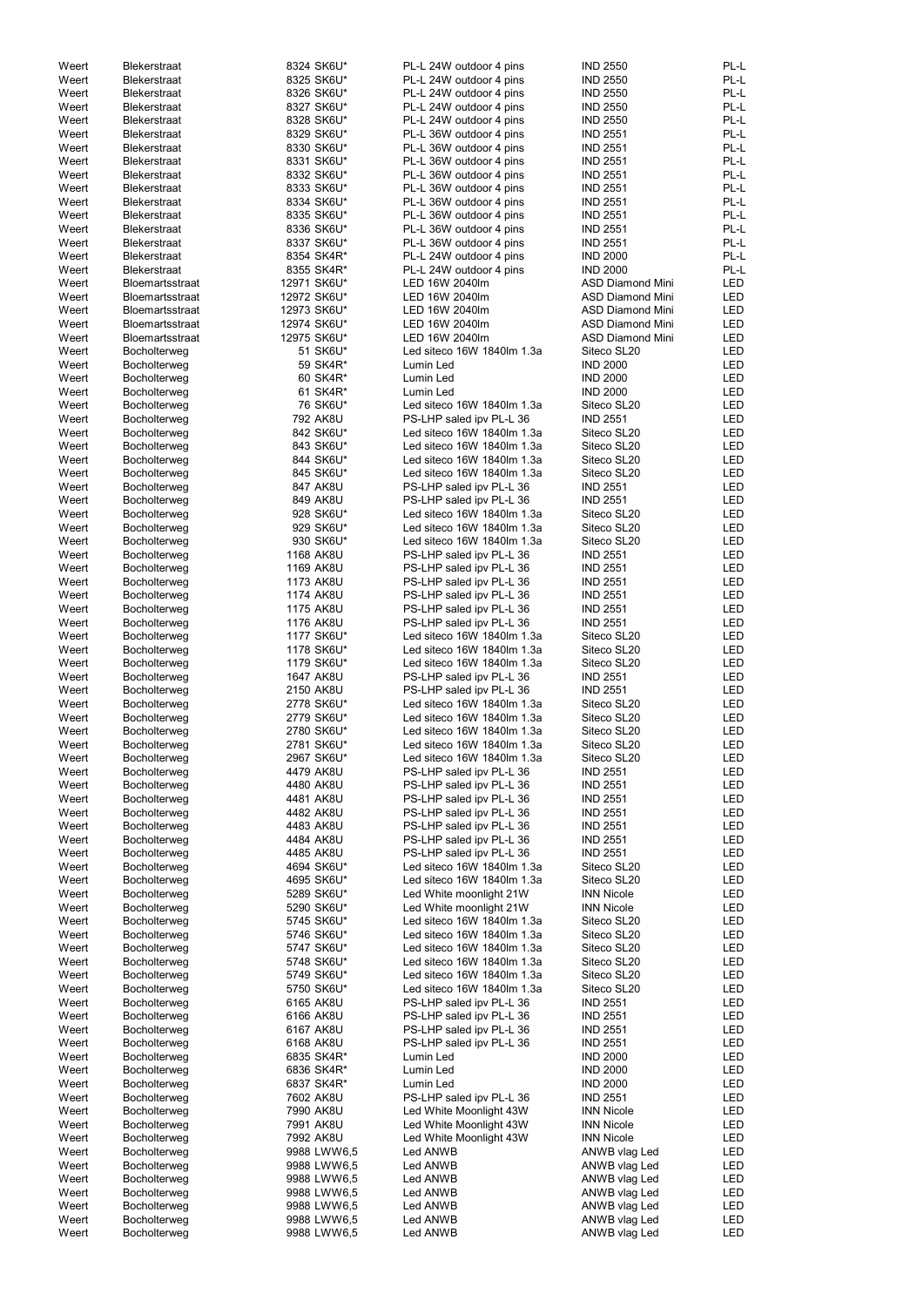| Weert | <b>Blekerstraat</b>    | 8324 SK6U*  | PL-L 24W outdoor 4 pins    | <b>IND 2550</b>         | PL-L       |
|-------|------------------------|-------------|----------------------------|-------------------------|------------|
| Weert | <b>Blekerstraat</b>    | 8325 SK6U*  | PL-L 24W outdoor 4 pins    | <b>IND 2550</b>         | PL-L       |
| Weert | <b>Blekerstraat</b>    | 8326 SK6U*  | PL-L 24W outdoor 4 pins    | <b>IND 2550</b>         | PL-L       |
| Weert | Blekerstraat           | 8327 SK6U*  | PL-L 24W outdoor 4 pins    | <b>IND 2550</b>         | PL-L       |
| Weert | <b>Blekerstraat</b>    | 8328 SK6U*  | PL-L 24W outdoor 4 pins    | <b>IND 2550</b>         | PL-L       |
| Weert | <b>Blekerstraat</b>    | 8329 SK6U*  | PL-L 36W outdoor 4 pins    | <b>IND 2551</b>         | PL-L       |
| Weert | <b>Blekerstraat</b>    | 8330 SK6U*  | PL-L 36W outdoor 4 pins    | <b>IND 2551</b>         | PL-L       |
| Weert | <b>Blekerstraat</b>    | 8331 SK6U*  | PL-L 36W outdoor 4 pins    | <b>IND 2551</b>         | PL-L       |
| Weert | <b>Blekerstraat</b>    | 8332 SK6U*  | PL-L 36W outdoor 4 pins    | <b>IND 2551</b>         | PL-L       |
| Weert | <b>Blekerstraat</b>    | 8333 SK6U*  | PL-L 36W outdoor 4 pins    | <b>IND 2551</b>         | PL-L       |
| Weert | <b>Blekerstraat</b>    | 8334 SK6U*  | PL-L 36W outdoor 4 pins    | <b>IND 2551</b>         | PL-L       |
| Weert | <b>Blekerstraat</b>    | 8335 SK6U*  | PL-L 36W outdoor 4 pins    | <b>IND 2551</b>         | PL-L       |
| Weert | <b>Blekerstraat</b>    | 8336 SK6U*  | PL-L 36W outdoor 4 pins    | <b>IND 2551</b>         | PL-L       |
| Weert | <b>Blekerstraat</b>    | 8337 SK6U*  | PL-L 36W outdoor 4 pins    | <b>IND 2551</b>         | PL-L       |
| Weert | <b>Blekerstraat</b>    | 8354 SK4R*  | PL-L 24W outdoor 4 pins    | <b>IND 2000</b>         | PL-L       |
| Weert | <b>Blekerstraat</b>    | 8355 SK4R*  | PL-L 24W outdoor 4 pins    | <b>IND 2000</b>         | PL-L       |
| Weert | <b>Bloemartsstraat</b> | 12971 SK6U* | LED 16W 2040lm             | <b>ASD Diamond Mini</b> | <b>LED</b> |
| Weert |                        | 12972 SK6U* | LED 16W 2040lm             | <b>ASD Diamond Mini</b> | LED        |
|       | <b>Bloemartsstraat</b> | 12973 SK6U* | LED 16W 2040lm             | <b>ASD Diamond Mini</b> | LED        |
| Weert | <b>Bloemartsstraat</b> | 12974 SK6U* |                            |                         |            |
| Weert | Bloemartsstraat        |             | LED 16W 2040lm             | <b>ASD Diamond Mini</b> | LED        |
| Weert | <b>Bloemartsstraat</b> | 12975 SK6U* | LED 16W 2040lm             | <b>ASD Diamond Mini</b> | LED        |
| Weert | Bocholterweg           | 51 SK6U*    | Led siteco 16W 1840lm 1.3a | Siteco SL20             | LED        |
| Weert | Bocholterweg           | 59 SK4R*    | Lumin Led                  | <b>IND 2000</b>         | <b>LED</b> |
| Weert | Bocholterweg           | 60 SK4R*    | Lumin Led                  | <b>IND 2000</b>         | <b>LED</b> |
| Weert | Bocholterweg           | 61 SK4R*    | Lumin Led                  | <b>IND 2000</b>         | <b>LED</b> |
| Weert | Bocholterweg           | 76 SK6U*    | Led siteco 16W 1840lm 1.3a | Siteco SL20             | LED        |
| Weert | Bocholterweg           | 792 AK8U    | PS-LHP saled ipv PL-L 36   | <b>IND 2551</b>         | LED        |
| Weert | Bocholterweg           | 842 SK6U*   | Led siteco 16W 1840lm 1.3a | Siteco SL20             | LED        |
| Weert | Bocholterweg           | 843 SK6U*   | Led siteco 16W 1840lm 1.3a | Siteco SL20             | <b>LED</b> |
| Weert | Bocholterweg           | 844 SK6U*   | Led siteco 16W 1840lm 1.3a | Siteco SL20             | <b>LED</b> |
| Weert | Bocholterweg           | 845 SK6U*   | Led siteco 16W 1840lm 1.3a | Siteco SL20             | <b>LED</b> |
| Weert | Bocholterweg           | 847 AK8U    | PS-LHP saled ipv PL-L 36   | <b>IND 2551</b>         | <b>LED</b> |
| Weert | Bocholterweg           | 849 AK8U    | PS-LHP saled ipv PL-L 36   | <b>IND 2551</b>         | <b>LED</b> |
| Weert | Bocholterweg           | 928 SK6U*   | Led siteco 16W 1840lm 1.3a | Siteco SL20             | <b>LED</b> |
| Weert | Bocholterweg           | 929 SK6U*   | Led siteco 16W 1840lm 1.3a | Siteco SL20             | LED        |
| Weert | Bocholterweg           | 930 SK6U*   | Led siteco 16W 1840lm 1.3a | Siteco SL20             | <b>LED</b> |
| Weert | Bocholterweg           | 1168 AK8U   | PS-LHP saled ipv PL-L 36   | <b>IND 2551</b>         | LED        |
| Weert | Bocholterweg           | 1169 AK8U   | PS-LHP saled ipv PL-L 36   | <b>IND 2551</b>         | LED        |
| Weert | Bocholterweg           | 1173 AK8U   | PS-LHP saled ipv PL-L 36   | <b>IND 2551</b>         | <b>LED</b> |
| Weert | Bocholterweg           | 1174 AK8U   | PS-LHP saled ipv PL-L 36   | <b>IND 2551</b>         | <b>LED</b> |
| Weert | Bocholterweg           | 1175 AK8U   | PS-LHP saled ipv PL-L 36   | <b>IND 2551</b>         | <b>LED</b> |
| Weert | Bocholterweg           | 1176 AK8U   | PS-LHP saled ipv PL-L 36   | <b>IND 2551</b>         | <b>LED</b> |
| Weert | Bocholterweg           | 1177 SK6U*  | Led siteco 16W 1840lm 1.3a | Siteco SL20             | LED        |
| Weert | Bocholterweg           | 1178 SK6U*  | Led siteco 16W 1840lm 1.3a | Siteco SL20             | <b>LED</b> |
| Weert | Bocholterweg           | 1179 SK6U*  | Led siteco 16W 1840lm 1.3a | Siteco SL20             | <b>LED</b> |
| Weert | Bocholterweg           | 1647 AK8U   | PS-LHP saled ipv PL-L 36   | <b>IND 2551</b>         | <b>LED</b> |
| Weert | Bocholterweg           | 2150 AK8U   | PS-LHP saled ipv PL-L 36   | <b>IND 2551</b>         | <b>LED</b> |
| Weert | Bocholterweg           | 2778 SK6U*  | Led siteco 16W 1840lm 1.3a | Siteco SL20             | <b>LED</b> |
|       |                        |             | Led siteco 16W 1840lm 1.3a | Siteco SL20             | <b>LED</b> |
| Weert | Bocholterweg           | 2779 SK6U*  |                            |                         |            |
| Weert | Bocholterweg           | 2780 SK6U*  | Led siteco 16W 1840lm 1.3a | Siteco SL20             | <b>LED</b> |
| Weert | Bocholterweg           | 2781 SK6U*  | Led siteco 16W 1840lm 1.3a | Siteco SL20             | LED        |
| Weert | Bocholterweg           | 2967 SK6U*  | Led siteco 16W 1840lm 1.3a | Siteco SL20             | <b>LED</b> |
| Weert | Bocholterweg           | 4479 AK8U   | PS-LHP saled ipv PL-L 36   | <b>IND 2551</b>         | LED        |
| Weert | Bocholterweg           | 4480 AK8U   | PS-LHP saled ipv PL-L 36   | <b>IND 2551</b>         | LED        |
| Weert | Bocholterweg           | 4481 AK8U   | PS-LHP saled ipv PL-L 36   | <b>IND 2551</b>         | LED        |
| Weert | Bocholterweg           | 4482 AK8U   | PS-LHP saled ipv PL-L 36   | <b>IND 2551</b>         | LED        |
| Weert | Bocholterweg           | 4483 AK8U   | PS-LHP saled ipv PL-L 36   | <b>IND 2551</b>         | LED        |
| Weert | Bocholterweg           | 4484 AK8U   | PS-LHP saled ipv PL-L 36   | <b>IND 2551</b>         | <b>LED</b> |
| Weert | Bocholterweg           | 4485 AK8U   | PS-LHP saled ipv PL-L 36   | <b>IND 2551</b>         | <b>LED</b> |
| Weert | Bocholterweg           | 4694 SK6U*  | Led siteco 16W 1840lm 1.3a | Siteco SL20             | <b>LED</b> |
| Weert | Bocholterweg           | 4695 SK6U*  | Led siteco 16W 1840lm 1.3a | Siteco SL20             | <b>LED</b> |
| Weert | Bocholterweg           | 5289 SK6U*  | Led White moonlight 21W    | <b>INN Nicole</b>       | <b>LED</b> |
| Weert | Bocholterweg           | 5290 SK6U*  | Led White moonlight 21W    | <b>INN Nicole</b>       | <b>LED</b> |
| Weert | Bocholterweg           | 5745 SK6U*  | Led siteco 16W 1840lm 1.3a | Siteco SL20             | <b>LED</b> |
| Weert | Bocholterweg           | 5746 SK6U*  | Led siteco 16W 1840lm 1.3a | Siteco SL20             | <b>LED</b> |
| Weert | Bocholterweg           | 5747 SK6U*  | Led siteco 16W 1840lm 1.3a | Siteco SL20             | <b>LED</b> |
| Weert | Bocholterweg           | 5748 SK6U*  | Led siteco 16W 1840lm 1.3a | Siteco SL20             | <b>LED</b> |
| Weert | Bocholterweg           | 5749 SK6U*  | Led siteco 16W 1840lm 1.3a | Siteco SL20             | LED        |
| Weert | Bocholterweg           | 5750 SK6U*  | Led siteco 16W 1840lm 1.3a | Siteco SL20             | LED        |
| Weert | Bocholterweg           | 6165 AK8U   | PS-LHP saled ipv PL-L 36   | <b>IND 2551</b>         | LED        |
| Weert | Bocholterweg           | 6166 AK8U   | PS-LHP saled ipv PL-L 36   | <b>IND 2551</b>         | LED        |
| Weert | Bocholterweg           | 6167 AK8U   | PS-LHP saled ipv PL-L 36   | <b>IND 2551</b>         | LED        |
| Weert | Bocholterweg           | 6168 AK8U   | PS-LHP saled ipv PL-L 36   | <b>IND 2551</b>         | LED        |
| Weert | Bocholterweg           | 6835 SK4R*  | Lumin Led                  | <b>IND 2000</b>         | LED        |
| Weert | Bocholterweg           | 6836 SK4R*  | Lumin Led                  | <b>IND 2000</b>         | LED        |
| Weert | Bocholterweg           | 6837 SK4R*  | Lumin Led                  | <b>IND 2000</b>         | LED        |
| Weert | Bocholterweg           | 7602 AK8U   | PS-LHP saled ipv PL-L 36   | <b>IND 2551</b>         | LED        |
| Weert | Bocholterweg           | 7990 AK8U   | Led White Moonlight 43W    | <b>INN Nicole</b>       | LED        |
| Weert | Bocholterweg           | 7991 AK8U   | Led White Moonlight 43W    | <b>INN Nicole</b>       | LED        |
| Weert | Bocholterweg           | 7992 AK8U   | Led White Moonlight 43W    | <b>INN Nicole</b>       | LED        |
| Weert | Bocholterweg           | 9988 LWW6,5 | Led ANWB                   | ANWB vlag Led           | LED        |
| Weert | Bocholterweg           | 9988 LWW6,5 | Led ANWB                   | ANWB vlag Led           | LED        |
| Weert | Bocholterweg           | 9988 LWW6,5 | Led ANWB                   | ANWB vlag Led           | LED        |
| Weert | Bocholterweg           | 9988 LWW6,5 | Led ANWB                   | ANWB vlag Led           | LED        |
| Weert | Bocholterweg           | 9988 LWW6,5 | Led ANWB                   | ANWB vlag Led           | LED        |
| Weert | Bocholterweg           | 9988 LWW6,5 | Led ANWB                   | ANWB vlag Led           | LED        |
| Weert | Bocholterweg           | 9988 LWW6,5 | Led ANWB                   | ANWB vlag Led           | LED        |
|       |                        |             |                            |                         |            |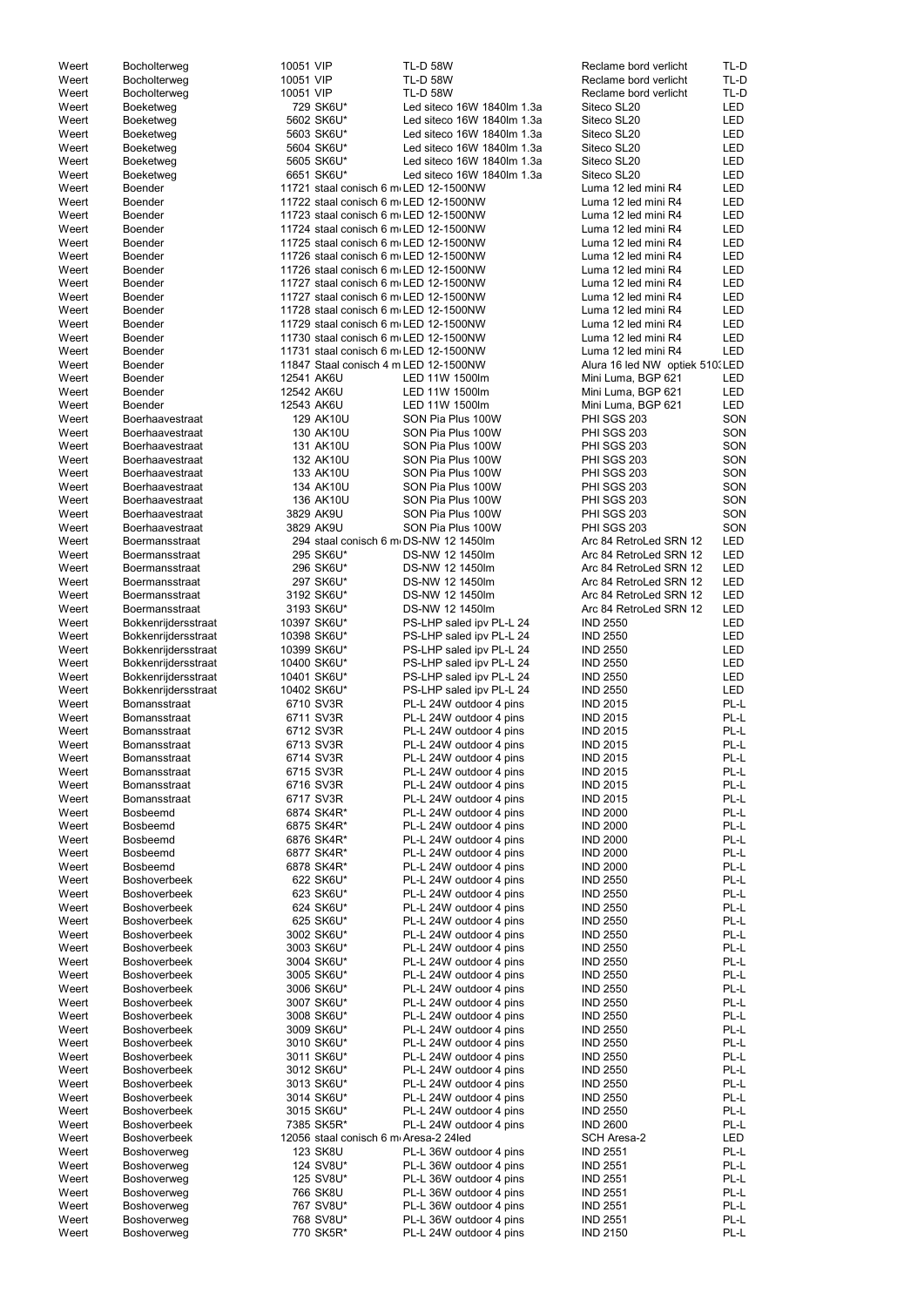| Weert          | Bocholterweg                               | 10051 VIP |                                       | <b>TL-D 58W</b>                                    | Reclame bord verlicht              | TL-D         |
|----------------|--------------------------------------------|-----------|---------------------------------------|----------------------------------------------------|------------------------------------|--------------|
| Weert          | Bocholterweg                               | 10051 VIP |                                       | <b>TL-D 58W</b>                                    | Reclame bord verlicht              | TL-D         |
| Weert          | Bocholterweg                               | 10051 VIP |                                       | <b>TL-D 58W</b>                                    | Reclame bord verlicht              | TL-D         |
| Weert          | Boeketweg                                  |           | 729 SK6U*                             | Led siteco 16W 1840lm 1.3a                         | Siteco SL20                        | LED          |
| Weert          | Boeketweg                                  |           | 5602 SK6U*                            | Led siteco 16W 1840lm 1.3a                         | Siteco SL20                        | LED          |
| Weert          | Boeketweg                                  |           | 5603 SK6U*                            | Led siteco 16W 1840lm 1.3a                         | Siteco SL20                        | LED          |
| Weert          | Boeketweg                                  |           | 5604 SK6U*                            | Led siteco 16W 1840lm 1.3a                         | Siteco SL20                        | LED          |
| Weert          | Boeketweg                                  |           | 5605 SK6U*                            | Led siteco 16W 1840lm 1.3a                         | Siteco SL20                        | LED          |
| Weert          | Boeketweg                                  |           | 6651 SK6U*                            | Led siteco 16W 1840lm 1.3a                         | Siteco SL20                        | LED          |
| Weert          | Boender                                    |           | 11721 staal conisch 6 m LED 12-1500NW |                                                    | Luma 12 led mini R4                | LED          |
| Weert          | <b>Boender</b>                             |           | 11722 staal conisch 6 m LED 12-1500NW |                                                    | Luma 12 led mini R4                | LED          |
| Weert          | Boender                                    |           | 11723 staal conisch 6 m LED 12-1500NW |                                                    | Luma 12 led mini R4                | LED          |
| Weert          | Boender                                    |           | 11724 staal conisch 6 m LED 12-1500NW |                                                    | Luma 12 led mini R4                | LED          |
| Weert          | Boender                                    |           | 11725 staal conisch 6 m LED 12-1500NW |                                                    | Luma 12 led mini R4                | LED          |
| Weert          | <b>Boender</b>                             |           | 11726 staal conisch 6 m LED 12-1500NW |                                                    | Luma 12 led mini R4                | <b>LED</b>   |
| Weert          | Boender                                    |           | 11726 staal conisch 6 m LED 12-1500NW |                                                    | Luma 12 led mini R4                | LED          |
| Weert          | Boender                                    |           | 11727 staal conisch 6 m LED 12-1500NW |                                                    | Luma 12 led mini R4                | LED          |
| Weert          | Boender                                    |           | 11727 staal conisch 6 m LED 12-1500NW |                                                    | Luma 12 led mini R4                | LED          |
| Weert          | <b>Boender</b>                             |           | 11728 staal conisch 6 m LED 12-1500NW |                                                    | Luma 12 led mini R4                | LED          |
| Weert          | Boender                                    |           | 11729 staal conisch 6 m LED 12-1500NW |                                                    | Luma 12 led mini R4                | LED          |
| Weert          | Boender                                    |           | 11730 staal conisch 6 m LED 12-1500NW |                                                    | Luma 12 led mini R4                | LED          |
| Weert          | Boender                                    |           | 11731 staal conisch 6 m LED 12-1500NW |                                                    | Luma 12 led mini R4                | <b>LED</b>   |
| Weert          | <b>Boender</b>                             |           | 11847 Staal conisch 4 m LED 12-1500NW |                                                    | Alura 16 led NW optiek 510. LED    |              |
| Weert          | <b>Boender</b>                             |           | 12541 AK6U                            | LED 11W 1500lm                                     | Mini Luma, BGP 621                 | LED          |
| Weert          | Boender                                    |           | 12542 AK6U                            | LED 11W 1500lm                                     | Mini Luma, BGP 621                 | LED          |
| Weert          | <b>Boender</b>                             |           | 12543 AK6U                            | LED 11W 1500lm                                     | Mini Luma, BGP 621                 | LED          |
| Weert          | Boerhaavestraat                            |           | 129 AK10U                             | SON Pia Plus 100W                                  | PHI SGS 203                        | SON          |
| Weert          | <b>Boerhaavestraat</b>                     |           | 130 AK10U                             | SON Pia Plus 100W                                  | PHI SGS 203                        | SON          |
| Weert          | Boerhaavestraat                            |           | 131 AK10U                             | SON Pia Plus 100W                                  | PHI SGS 203                        | SON          |
| Weert          | Boerhaavestraat                            |           | 132 AK10U                             | SON Pia Plus 100W                                  | <b>PHI SGS 203</b>                 | SON          |
| Weert          | <b>Boerhaavestraat</b>                     |           | 133 AK10U                             | SON Pia Plus 100W                                  | <b>PHI SGS 203</b>                 | SON          |
| Weert          | <b>Boerhaavestraat</b>                     |           | 134 AK10U                             | SON Pia Plus 100W                                  | <b>PHI SGS 203</b>                 | SON          |
| Weert          | <b>Boerhaavestraat</b>                     |           | 136 AK10U                             | SON Pia Plus 100W                                  | <b>PHI SGS 203</b>                 | SON          |
| Weert          | Boerhaavestraat                            |           | 3829 AK9U                             | SON Pia Plus 100W                                  | PHI SGS 203                        | SON          |
| Weert          | <b>Boerhaavestraat</b>                     |           | 3829 AK9U                             | SON Pia Plus 100W                                  | PHI SGS 203                        | SON          |
| Weert          | <b>Boermansstraat</b>                      |           |                                       | 294 staal conisch 6 m DS-NW 12 1450lm              | Arc 84 RetroLed SRN 12             | LED          |
| Weert          | Boermansstraat                             |           | 295 SK6U*                             | DS-NW 12 1450lm                                    | Arc 84 RetroLed SRN 12             | LED          |
| Weert          | <b>Boermansstraat</b>                      |           | 296 SK6U*                             | DS-NW 12 1450lm                                    | Arc 84 RetroLed SRN 12             | LED          |
| Weert          | Boermansstraat                             |           | 297 SK6U*                             | DS-NW 12 1450lm                                    | Arc 84 RetroLed SRN 12             | LED          |
| Weert          | <b>Boermansstraat</b>                      |           | 3192 SK6U*                            | DS-NW 12 1450lm                                    | Arc 84 RetroLed SRN 12             | LED          |
| Weert          | <b>Boermansstraat</b>                      |           | 3193 SK6U*                            | DS-NW 12 1450lm                                    | Arc 84 RetroLed SRN 12             | LED          |
| Weert          | Bokkenrijdersstraat                        |           | 10397 SK6U*                           | PS-LHP saled ipv PL-L 24                           | <b>IND 2550</b>                    | LED          |
| Weert          | Bokkenrijdersstraat                        |           | 10398 SK6U*                           | PS-LHP saled ipv PL-L 24                           | <b>IND 2550</b>                    | LED          |
| Weert          | Bokkenrijdersstraat                        |           | 10399 SK6U*                           | PS-LHP saled ipv PL-L 24                           | <b>IND 2550</b>                    | LED          |
| Weert          | Bokkenrijdersstraat                        |           | 10400 SK6U*                           | PS-LHP saled ipv PL-L 24                           | <b>IND 2550</b>                    | LED          |
| Weert          |                                            |           | 10401 SK6U*                           | PS-LHP saled ipv PL-L 24                           | <b>IND 2550</b>                    | LED          |
| Weert          | Bokkenrijdersstraat                        |           |                                       |                                                    |                                    | LED          |
|                | Bokkenrijdersstraat                        |           | 10402 SK6U*                           | PS-LHP saled ipv PL-L 24                           | <b>IND 2550</b>                    | PL-L         |
| Weert          | <b>Bomansstraat</b>                        |           | 6710 SV3R                             | PL-L 24W outdoor 4 pins                            | <b>IND 2015</b>                    |              |
| Weert          | Bomansstraat                               |           | 6711 SV3R                             | PL-L 24W outdoor 4 pins                            | <b>IND 2015</b>                    | PL-L         |
| Weert          | Bomansstraat                               |           | 6712 SV3R                             | PL-L 24W outdoor 4 pins                            | <b>IND 2015</b>                    | PL-L         |
| Weert          | Bomansstraat                               |           | 6713 SV3R                             | PL-L 24W outdoor 4 pins                            | <b>IND 2015</b>                    | PL-L         |
| Weert          | Bomansstraat                               |           | 6714 SV3R                             | PL-L 24W outdoor 4 pins                            | <b>IND 2015</b>                    | PL-L         |
| Weert          | <b>Bomansstraat</b>                        |           | 6715 SV3R                             | PL-L 24W outdoor 4 pins                            | <b>IND 2015</b>                    | PL-L         |
| Weert          | <b>Bomansstraat</b>                        |           | 6716 SV3R                             | PL-L 24W outdoor 4 pins                            | <b>IND 2015</b>                    | PL-L         |
| Weert          | <b>Bomansstraat</b>                        |           | 6717 SV3R                             | PL-L 24W outdoor 4 pins                            | <b>IND 2015</b>                    | PL-L         |
| Weert          | Bosbeemd                                   |           | 6874 SK4R*                            | PL-L 24W outdoor 4 pins                            | <b>IND 2000</b>                    | PL-L         |
| Weert          | <b>Bosbeemd</b>                            |           | 6875 SK4R*                            | PL-L 24W outdoor 4 pins                            | <b>IND 2000</b>                    | PL-L         |
| Weert          | <b>Bosbeemd</b>                            |           | 6876 SK4R*                            | PL-L 24W outdoor 4 pins                            | <b>IND 2000</b>                    | PL-L         |
| Weert          | <b>Bosbeemd</b>                            |           | 6877 SK4R*                            | PL-L 24W outdoor 4 pins                            | <b>IND 2000</b>                    | PL-L         |
| Weert          | <b>Bosbeemd</b><br><b>Boshoverbeek</b>     |           | 6878 SK4R*                            | PL-L 24W outdoor 4 pins                            | <b>IND 2000</b>                    | PL-L<br>PL-L |
| Weert          |                                            |           | 622 SK6U*                             | PL-L 24W outdoor 4 pins                            | <b>IND 2550</b>                    |              |
| Weert          | <b>Boshoverbeek</b><br><b>Boshoverbeek</b> |           | 623 SK6U*                             | PL-L 24W outdoor 4 pins                            | <b>IND 2550</b>                    | PL-L<br>PL-L |
| Weert<br>Weert | <b>Boshoverbeek</b>                        |           | 624 SK6U*<br>625 SK6U*                | PL-L 24W outdoor 4 pins<br>PL-L 24W outdoor 4 pins | <b>IND 2550</b><br><b>IND 2550</b> | PL-L         |
|                |                                            |           |                                       |                                                    |                                    |              |
| Weert          | <b>Boshoverbeek</b><br><b>Boshoverbeek</b> |           | 3002 SK6U*<br>3003 SK6U*              | PL-L 24W outdoor 4 pins<br>PL-L 24W outdoor 4 pins | <b>IND 2550</b>                    | PL-L<br>PL-L |
| Weert          |                                            |           |                                       |                                                    | <b>IND 2550</b>                    |              |
| Weert          | <b>Boshoverbeek</b>                        |           | 3004 SK6U*                            | PL-L 24W outdoor 4 pins                            | <b>IND 2550</b>                    | PL-L         |
| Weert          | <b>Boshoverbeek</b>                        |           | 3005 SK6U*                            | PL-L 24W outdoor 4 pins                            | <b>IND 2550</b>                    | PL-L         |
| Weert          | <b>Boshoverbeek</b>                        |           | 3006 SK6U*                            | PL-L 24W outdoor 4 pins                            | <b>IND 2550</b>                    | PL-L         |
| Weert          | <b>Boshoverbeek</b>                        |           | 3007 SK6U*                            | PL-L 24W outdoor 4 pins                            | <b>IND 2550</b>                    | PL-L         |
| Weert          | <b>Boshoverbeek</b>                        |           | 3008 SK6U*                            | PL-L 24W outdoor 4 pins                            | <b>IND 2550</b>                    | PL-L         |
| Weert          | <b>Boshoverbeek</b>                        |           | 3009 SK6U*                            | PL-L 24W outdoor 4 pins                            | <b>IND 2550</b>                    | PL-L         |
| Weert          | <b>Boshoverbeek</b>                        |           | 3010 SK6U*                            | PL-L 24W outdoor 4 pins                            | <b>IND 2550</b>                    | PL-L         |
| Weert          | <b>Boshoverbeek</b>                        |           | 3011 SK6U*                            | PL-L 24W outdoor 4 pins                            | <b>IND 2550</b>                    | PL-L         |
| Weert          | <b>Boshoverbeek</b>                        |           | 3012 SK6U*                            | PL-L 24W outdoor 4 pins                            | <b>IND 2550</b>                    | PL-L         |
| Weert          | <b>Boshoverbeek</b>                        |           | 3013 SK6U*                            | PL-L 24W outdoor 4 pins                            | <b>IND 2550</b>                    | PL-L         |
| Weert          | <b>Boshoverbeek</b>                        |           | 3014 SK6U*                            | PL-L 24W outdoor 4 pins                            | <b>IND 2550</b>                    | PL-L         |
| Weert          | <b>Boshoverbeek</b>                        |           | 3015 SK6U*                            | PL-L 24W outdoor 4 pins                            | <b>IND 2550</b>                    | PL-L         |
| Weert          | <b>Boshoverbeek</b>                        |           | 7385 SK5R*                            | PL-L 24W outdoor 4 pins                            | <b>IND 2600</b>                    | PL-L         |
| Weert          | <b>Boshoverbeek</b>                        |           | 12056 staal conisch 6 m Aresa-2 24led |                                                    | <b>SCH Aresa-2</b>                 | LED          |
| Weert          | Boshoverweg                                |           | 123 SK8U                              | PL-L 36W outdoor 4 pins                            | <b>IND 2551</b>                    | PL-L         |
| Weert          | Boshoverweg                                |           | 124 SV8U*                             | PL-L 36W outdoor 4 pins                            | <b>IND 2551</b>                    | PL-L         |
| Weert          | Boshoverweg                                |           | 125 SV8U*                             | PL-L 36W outdoor 4 pins                            | <b>IND 2551</b>                    | PL-L         |
| Weert          | Boshoverweg                                |           | 766 SK8U                              | PL-L 36W outdoor 4 pins                            | <b>IND 2551</b>                    | PL-L         |
| Weert          | Boshoverweg                                |           | 767 SV8U*                             | PL-L 36W outdoor 4 pins                            | <b>IND 2551</b>                    | PL-L         |
| Weert          | Boshoverweg                                |           | 768 SV8U*                             | PL-L 36W outdoor 4 pins                            | <b>IND 2551</b>                    | PL-L         |
| Weert          | Boshoverweg                                |           | 770 SK5R*                             | PL-L 24W outdoor 4 pins                            | <b>IND 2150</b>                    | PL-L         |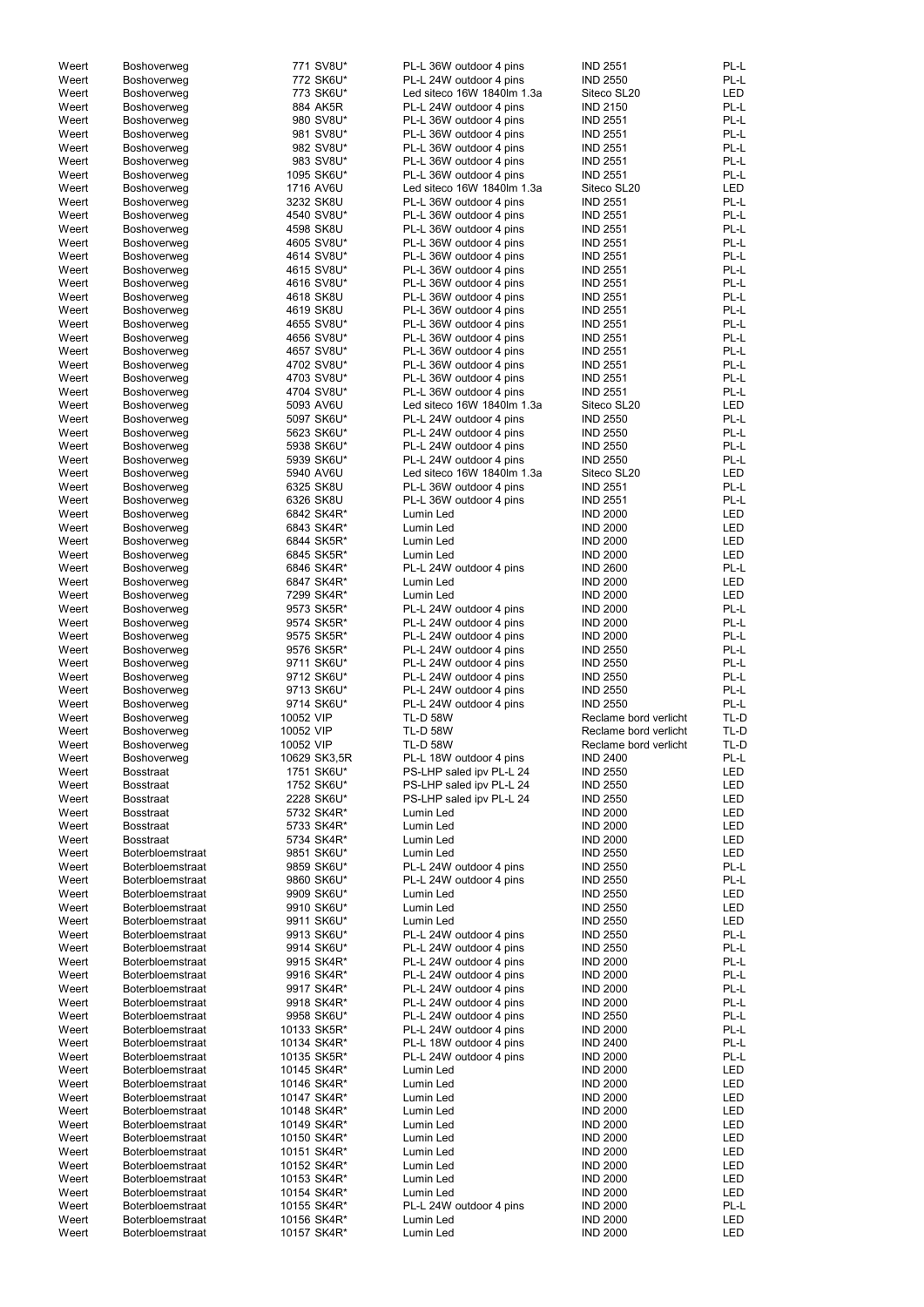| Weert          | Boshoverweg                          | 771 SV8U*                  | PL-L 36W outdoor 4 pins    | <b>IND 2551</b>                    | PL-L       |
|----------------|--------------------------------------|----------------------------|----------------------------|------------------------------------|------------|
| Weert          | Boshoverweg                          | 772 SK6U*                  | PL-L 24W outdoor 4 pins    | <b>IND 2550</b>                    | PL-L       |
| Weert          | Boshoverweg                          | 773 SK6U*                  | Led siteco 16W 1840lm 1.3a | Siteco SL20                        | <b>LED</b> |
| Weert          | Boshoverweg                          | 884 AK5R                   | PL-L 24W outdoor 4 pins    | <b>IND 2150</b>                    | PL-L       |
| Weert          | Boshoverweg                          | 980 SV8U*                  | PL-L 36W outdoor 4 pins    | <b>IND 2551</b>                    | PL-L       |
|                |                                      |                            |                            |                                    |            |
| Weert          | Boshoverweg                          | 981 SV8U*                  | PL-L 36W outdoor 4 pins    | <b>IND 2551</b>                    | PL-L       |
| Weert          | Boshoverweg                          | 982 SV8U*                  | PL-L 36W outdoor 4 pins    | <b>IND 2551</b>                    | PL-L       |
| Weert          | Boshoverweg                          | 983 SV8U*                  | PL-L 36W outdoor 4 pins    | <b>IND 2551</b>                    | PL-L       |
| Weert          | Boshoverweg                          | 1095 SK6U*                 | PL-L 36W outdoor 4 pins    | <b>IND 2551</b>                    | PL-L       |
| Weert          | Boshoverweg                          | 1716 AV6U                  | Led siteco 16W 1840lm 1.3a | Siteco SL20                        | <b>LED</b> |
| Weert          | Boshoverweg                          | 3232 SK8U                  | PL-L 36W outdoor 4 pins    | <b>IND 2551</b>                    | PL-L       |
|                |                                      |                            |                            |                                    |            |
| Weert          | Boshoverweg                          | 4540 SV8U*                 | PL-L 36W outdoor 4 pins    | <b>IND 2551</b>                    | PL-L       |
| Weert          | Boshoverweg                          | 4598 SK8U                  | PL-L 36W outdoor 4 pins    | <b>IND 2551</b>                    | PL-L       |
| Weert          | Boshoverweg                          | 4605 SV8U*                 | PL-L 36W outdoor 4 pins    | <b>IND 2551</b>                    | PL-L       |
| Weert          | Boshoverweg                          | 4614 SV8U*                 | PL-L 36W outdoor 4 pins    | <b>IND 2551</b>                    | PL-L       |
| Weert          | Boshoverweg                          | 4615 SV8U*                 | PL-L 36W outdoor 4 pins    | <b>IND 2551</b>                    | PL-L       |
| Weert          | Boshoverweg                          | 4616 SV8U*                 | PL-L 36W outdoor 4 pins    | <b>IND 2551</b>                    | PL-L       |
|                |                                      |                            | PL-L 36W outdoor 4 pins    | <b>IND 2551</b>                    | PL-L       |
| Weert          | Boshoverweg                          | 4618 SK8U                  |                            |                                    |            |
| Weert          | Boshoverweg                          | 4619 SK8U                  | PL-L 36W outdoor 4 pins    | <b>IND 2551</b>                    | PL-L       |
| Weert          | Boshoverweg                          | 4655 SV8U*                 | PL-L 36W outdoor 4 pins    | <b>IND 2551</b>                    | PL-L       |
| Weert          | Boshoverweg                          | 4656 SV8U*                 | PL-L 36W outdoor 4 pins    | <b>IND 2551</b>                    | PL-L       |
| Weert          | Boshoverweg                          | 4657 SV8U*                 | PL-L 36W outdoor 4 pins    | <b>IND 2551</b>                    | PL-L       |
| Weert          | Boshoverweg                          | 4702 SV8U*                 | PL-L 36W outdoor 4 pins    | <b>IND 2551</b>                    | PL-L       |
| Weert          | Boshoverweg                          | 4703 SV8U*                 | PL-L 36W outdoor 4 pins    | <b>IND 2551</b>                    | PL-L       |
| Weert          | Boshoverweg                          | 4704 SV8U*                 | PL-L 36W outdoor 4 pins    | <b>IND 2551</b>                    | PL-L       |
|                |                                      |                            |                            |                                    |            |
| Weert          | Boshoverweg                          | 5093 AV6U                  | Led siteco 16W 1840lm 1.3a | Siteco SL20                        | <b>LED</b> |
| Weert          | Boshoverweg                          | 5097 SK6U*                 | PL-L 24W outdoor 4 pins    | <b>IND 2550</b>                    | PL-L       |
| Weert          | Boshoverweg                          | 5623 SK6U*                 | PL-L 24W outdoor 4 pins    | <b>IND 2550</b>                    | PL-L       |
| Weert          | Boshoverweg                          | 5938 SK6U*                 | PL-L 24W outdoor 4 pins    | <b>IND 2550</b>                    | PL-L       |
| Weert          | Boshoverweg                          | 5939 SK6U*                 | PL-L 24W outdoor 4 pins    | <b>IND 2550</b>                    | PL-L       |
| Weert          | Boshoverweg                          | 5940 AV6U                  | Led siteco 16W 1840lm 1.3a | Siteco SL20                        | <b>LED</b> |
|                |                                      |                            | PL-L 36W outdoor 4 pins    |                                    | PL-L       |
| Weert          | Boshoverweg                          | 6325 SK8U                  |                            | <b>IND 2551</b>                    |            |
| Weert          | Boshoverweg                          | 6326 SK8U                  | PL-L 36W outdoor 4 pins    | <b>IND 2551</b>                    | PL-L       |
| Weert          | Boshoverweg                          | 6842 SK4R*                 | Lumin Led                  | <b>IND 2000</b>                    | <b>LED</b> |
| Weert          | Boshoverweg                          | 6843 SK4R*                 | Lumin Led                  | <b>IND 2000</b>                    | <b>LED</b> |
| Weert          | Boshoverweg                          | 6844 SK5R*                 | Lumin Led                  | <b>IND 2000</b>                    | <b>LED</b> |
| Weert          | Boshoverweg                          | 6845 SK5R*                 | Lumin Led                  | <b>IND 2000</b>                    | LED        |
| Weert          | Boshoverweg                          | 6846 SK4R*                 | PL-L 24W outdoor 4 pins    | <b>IND 2600</b>                    | PL-L       |
|                |                                      |                            |                            |                                    |            |
| Weert          | Boshoverweg                          | 6847 SK4R*                 | Lumin Led                  | <b>IND 2000</b>                    | LED        |
| Weert          | Boshoverweg                          | 7299 SK4R*                 | Lumin Led                  | <b>IND 2000</b>                    | LED        |
| Weert          | Boshoverweg                          | 9573 SK5R*                 | PL-L 24W outdoor 4 pins    | <b>IND 2000</b>                    | PL-L       |
| Weert          | Boshoverweg                          | 9574 SK5R*                 | PL-L 24W outdoor 4 pins    | <b>IND 2000</b>                    | PL-L       |
| Weert          | Boshoverweg                          | 9575 SK5R*                 | PL-L 24W outdoor 4 pins    | <b>IND 2000</b>                    | PL-L       |
| Weert          | Boshoverweg                          | 9576 SK5R*                 | PL-L 24W outdoor 4 pins    | <b>IND 2550</b>                    | PL-L       |
|                |                                      |                            |                            |                                    |            |
|                |                                      |                            |                            |                                    |            |
| Weert          | Boshoverweg                          | 9711 SK6U*                 | PL-L 24W outdoor 4 pins    | <b>IND 2550</b>                    | PL-L       |
| Weert          | Boshoverweg                          | 9712 SK6U*                 | PL-L 24W outdoor 4 pins    | <b>IND 2550</b>                    | PL-L       |
| Weert          | Boshoverweg                          | 9713 SK6U*                 | PL-L 24W outdoor 4 pins    | <b>IND 2550</b>                    | PL-L       |
| Weert          | Boshoverweg                          | 9714 SK6U*                 | PL-L 24W outdoor 4 pins    | <b>IND 2550</b>                    | PL-L       |
|                |                                      |                            |                            |                                    |            |
| Weert          | Boshoverweg                          | 10052 VIP                  | <b>TL-D 58W</b>            | Reclame bord verlicht              | TL-D       |
| Weert          | Boshoverweg                          | 10052 VIP                  | <b>TL-D 58W</b>            | Reclame bord verlicht              | TL-D       |
| Weert          | Boshoverweg                          | 10052 VIP                  | <b>TL-D 58W</b>            | Reclame bord verlicht              | TL-D       |
| Weert          | Boshoverweg                          | 10629 SK3,5R               | PL-L 18W outdoor 4 pins    | <b>IND 2400</b>                    | PL-L       |
| Weert          | <b>Bosstraat</b>                     | 1751 SK6U*                 | PS-LHP saled ipv PL-L 24   | <b>IND 2550</b>                    | LED        |
| Weert          | <b>Bosstraat</b>                     | 1752 SK6U*                 | PS-LHP saled ipv PL-L 24   | <b>IND 2550</b>                    | LED        |
| Weert          | <b>Bosstraat</b>                     | 2228 SK6U*                 | PS-LHP saled ipv PL-L 24   | <b>IND 2550</b>                    | LED        |
|                |                                      |                            |                            |                                    |            |
| Weert          | <b>Bosstraat</b>                     | 5732 SK4R*                 | Lumin Led                  | <b>IND 2000</b>                    | <b>LED</b> |
| Weert          | <b>Bosstraat</b>                     | 5733 SK4R*                 | Lumin Led                  | <b>IND 2000</b>                    | LED        |
| Weert          | <b>Bosstraat</b>                     | 5734 SK4R*                 | Lumin Led                  | <b>IND 2000</b>                    | LED        |
| Weert          | Boterbloemstraat                     | 9851 SK6U*                 | Lumin Led                  | <b>IND 2550</b>                    | LED        |
| Weert          | Boterbloemstraat                     | 9859 SK6U*                 | PL-L 24W outdoor 4 pins    | <b>IND 2550</b>                    | PL-L       |
| Weert          | Boterbloemstraat                     | 9860 SK6U*                 | PL-L 24W outdoor 4 pins    | <b>IND 2550</b>                    | PL-L       |
| Weert          | Boterbloemstraat                     | 9909 SK6U*                 | Lumin Led                  | <b>IND 2550</b>                    | LED        |
| Weert          | Boterbloemstraat                     | 9910 SK6U*                 | Lumin Led                  | <b>IND 2550</b>                    | LED        |
|                |                                      |                            |                            |                                    |            |
| Weert          | Boterbloemstraat                     | 9911 SK6U*                 | Lumin Led                  | <b>IND 2550</b>                    | LED        |
| Weert          | Boterbloemstraat                     | 9913 SK6U*                 | PL-L 24W outdoor 4 pins    | <b>IND 2550</b>                    | PL-L       |
| Weert          | Boterbloemstraat                     | 9914 SK6U*                 | PL-L 24W outdoor 4 pins    | <b>IND 2550</b>                    | PL-L       |
| Weert          | Boterbloemstraat                     | 9915 SK4R*                 | PL-L 24W outdoor 4 pins    | <b>IND 2000</b>                    | PL-L       |
| Weert          | Boterbloemstraat                     | 9916 SK4R*                 | PL-L 24W outdoor 4 pins    | <b>IND 2000</b>                    | PL-L       |
| Weert          | Boterbloemstraat                     | 9917 SK4R*                 | PL-L 24W outdoor 4 pins    | <b>IND 2000</b>                    | PL-L       |
| Weert          | Boterbloemstraat                     | 9918 SK4R*                 |                            | <b>IND 2000</b>                    | PL-L       |
|                |                                      |                            | PL-L 24W outdoor 4 pins    |                                    |            |
| Weert          | Boterbloemstraat                     | 9958 SK6U*                 | PL-L 24W outdoor 4 pins    | <b>IND 2550</b>                    | PL-L       |
| Weert          | <b>Boterbloemstraat</b>              | 10133 SK5R*                | PL-L 24W outdoor 4 pins    | <b>IND 2000</b>                    | PL-L       |
| Weert          | Boterbloemstraat                     | 10134 SK4R*                | PL-L 18W outdoor 4 pins    | <b>IND 2400</b>                    | PL-L       |
| Weert          | <b>Boterbloemstraat</b>              | 10135 SK5R*                | PL-L 24W outdoor 4 pins    | <b>IND 2000</b>                    | PL-L       |
| Weert          | <b>Boterbloemstraat</b>              | 10145 SK4R*                | Lumin Led                  | <b>IND 2000</b>                    | LED        |
| Weert          | <b>Boterbloemstraat</b>              | 10146 SK4R*                | Lumin Led                  | <b>IND 2000</b>                    | LED        |
|                |                                      |                            |                            |                                    |            |
| Weert          | <b>Boterbloemstraat</b>              | 10147 SK4R*                | Lumin Led                  | <b>IND 2000</b>                    | <b>LED</b> |
| Weert          | <b>Boterbloemstraat</b>              | 10148 SK4R*                | Lumin Led                  | <b>IND 2000</b>                    | <b>LED</b> |
| Weert          | <b>Boterbloemstraat</b>              | 10149 SK4R*                | Lumin Led                  | <b>IND 2000</b>                    | <b>LED</b> |
| Weert          | <b>Boterbloemstraat</b>              | 10150 SK4R*                | Lumin Led                  | <b>IND 2000</b>                    | <b>LED</b> |
| Weert          | <b>Boterbloemstraat</b>              | 10151 SK4R*                | Lumin Led                  | <b>IND 2000</b>                    | <b>LED</b> |
| Weert          | <b>Boterbloemstraat</b>              | 10152 SK4R*                | Lumin Led                  | <b>IND 2000</b>                    | <b>LED</b> |
|                | <b>Boterbloemstraat</b>              | 10153 SK4R*                | Lumin Led                  | <b>IND 2000</b>                    | <b>LED</b> |
| Weert          |                                      |                            |                            |                                    |            |
| Weert          | <b>Boterbloemstraat</b>              | 10154 SK4R*                | Lumin Led                  | <b>IND 2000</b>                    | LED        |
| Weert          | <b>Boterbloemstraat</b>              | 10155 SK4R*                | PL-L 24W outdoor 4 pins    | <b>IND 2000</b>                    | PL-L       |
| Weert<br>Weert | Boterbloemstraat<br>Boterbloemstraat | 10156 SK4R*<br>10157 SK4R* | Lumin Led<br>Lumin Led     | <b>IND 2000</b><br><b>IND 2000</b> | LED<br>LED |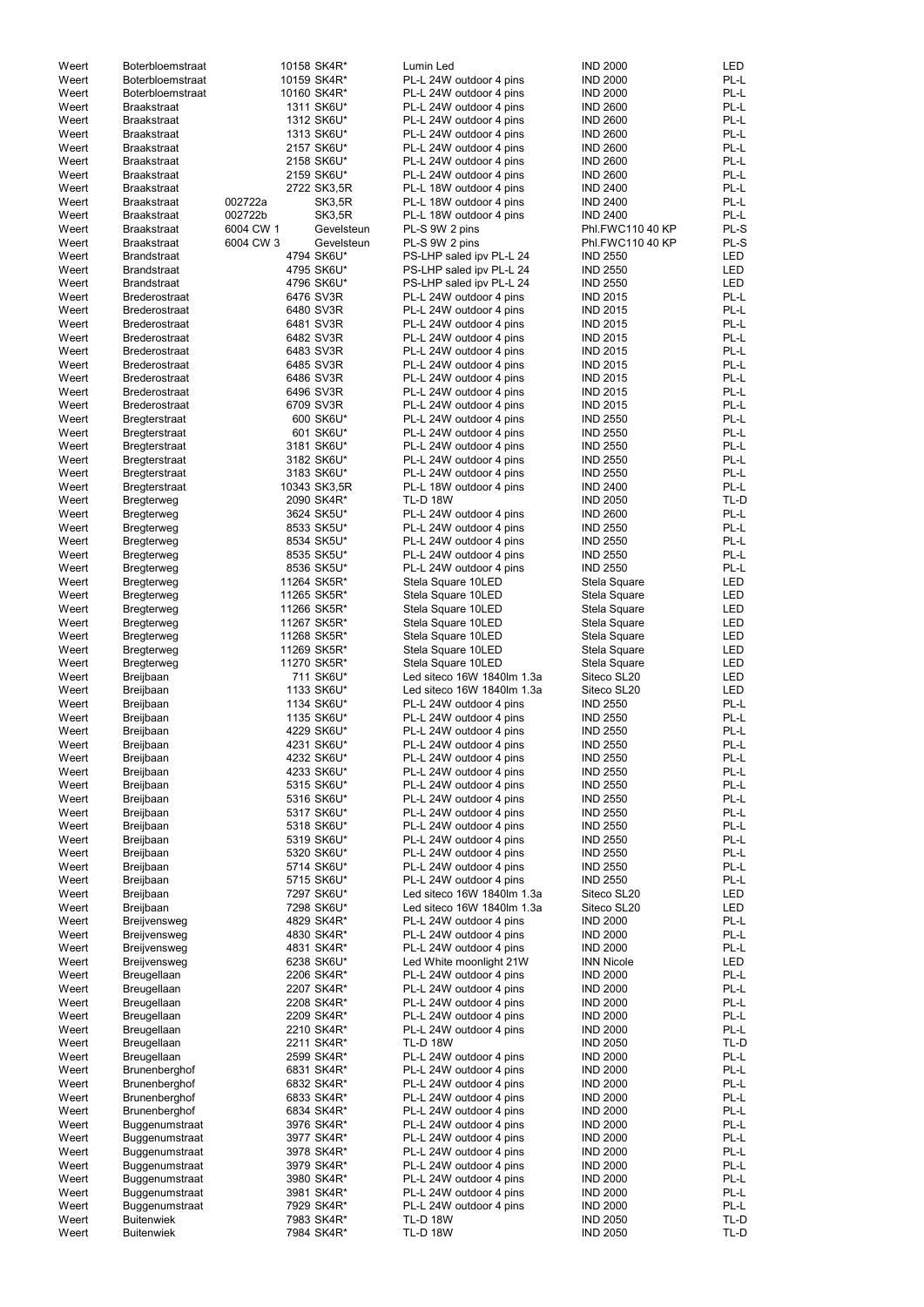| Weert | <b>Boterbloemstraat</b> |           | 10158 SK4R*   | Lumin Led                  | <b>IND 2000</b>   | LED        |
|-------|-------------------------|-----------|---------------|----------------------------|-------------------|------------|
| Weert | <b>Boterbloemstraat</b> |           | 10159 SK4R*   | PL-L 24W outdoor 4 pins    | <b>IND 2000</b>   | PL-L       |
| Weert | <b>Boterbloemstraat</b> |           | 10160 SK4R*   | PL-L 24W outdoor 4 pins    | <b>IND 2000</b>   | PL-L       |
| Weert | <b>Braakstraat</b>      |           | 1311 SK6U*    | PL-L 24W outdoor 4 pins    | <b>IND 2600</b>   | PL-L       |
|       |                         |           |               |                            |                   |            |
| Weert | <b>Braakstraat</b>      |           | 1312 SK6U*    | PL-L 24W outdoor 4 pins    | <b>IND 2600</b>   | PL-L       |
| Weert | <b>Braakstraat</b>      |           | 1313 SK6U*    | PL-L 24W outdoor 4 pins    | <b>IND 2600</b>   | PL-L       |
| Weert | <b>Braakstraat</b>      |           | 2157 SK6U*    | PL-L 24W outdoor 4 pins    | <b>IND 2600</b>   | PL-L       |
| Weert | <b>Braakstraat</b>      |           | 2158 SK6U*    | PL-L 24W outdoor 4 pins    | <b>IND 2600</b>   | PL-L       |
|       |                         |           |               |                            |                   |            |
| Weert | <b>Braakstraat</b>      |           | 2159 SK6U*    | PL-L 24W outdoor 4 pins    | <b>IND 2600</b>   | PL-L       |
| Weert | <b>Braakstraat</b>      |           | 2722 SK3,5R   | PL-L 18W outdoor 4 pins    | <b>IND 2400</b>   | PL-L       |
| Weert | <b>Braakstraat</b>      | 002722a   | SK3,5R        | PL-L 18W outdoor 4 pins    | <b>IND 2400</b>   | PL-L       |
|       |                         |           |               |                            |                   |            |
| Weert | <b>Braakstraat</b>      | 002722b   | <b>SK3,5R</b> | PL-L 18W outdoor 4 pins    | <b>IND 2400</b>   | PL-L       |
| Weert | <b>Braakstraat</b>      | 6004 CW 1 | Gevelsteun    | PL-S 9W 2 pins             | Phl.FWC110 40 KP  | PL-S       |
| Weert | <b>Braakstraat</b>      | 6004 CW 3 | Gevelsteun    | PL-S 9W 2 pins             | Phl.FWC110 40 KP  | PL-S       |
| Weert | <b>Brandstraat</b>      |           | 4794 SK6U*    | PS-LHP saled ipv PL-L 24   | <b>IND 2550</b>   | LED        |
|       |                         |           |               |                            |                   |            |
| Weert | <b>Brandstraat</b>      |           | 4795 SK6U*    | PS-LHP saled ipv PL-L 24   | <b>IND 2550</b>   | <b>LED</b> |
| Weert | <b>Brandstraat</b>      |           | 4796 SK6U*    | PS-LHP saled ipv PL-L 24   | <b>IND 2550</b>   | <b>LED</b> |
| Weert | <b>Brederostraat</b>    |           | 6476 SV3R     | PL-L 24W outdoor 4 pins    | <b>IND 2015</b>   | PL-L       |
|       |                         |           |               |                            |                   |            |
| Weert | <b>Brederostraat</b>    |           | 6480 SV3R     | PL-L 24W outdoor 4 pins    | <b>IND 2015</b>   | PL-L       |
| Weert | <b>Brederostraat</b>    |           | 6481 SV3R     | PL-L 24W outdoor 4 pins    | <b>IND 2015</b>   | PL-L       |
| Weert | <b>Brederostraat</b>    |           | 6482 SV3R     | PL-L 24W outdoor 4 pins    | <b>IND 2015</b>   | PL-L       |
| Weert |                         |           | 6483 SV3R     |                            | <b>IND 2015</b>   | PL-L       |
|       | <b>Brederostraat</b>    |           |               | PL-L 24W outdoor 4 pins    |                   |            |
| Weert | <b>Brederostraat</b>    |           | 6485 SV3R     | PL-L 24W outdoor 4 pins    | <b>IND 2015</b>   | PL-L       |
| Weert | <b>Brederostraat</b>    |           | 6486 SV3R     | PL-L 24W outdoor 4 pins    | <b>IND 2015</b>   | PL-L       |
| Weert | <b>Brederostraat</b>    |           | 6496 SV3R     | PL-L 24W outdoor 4 pins    | <b>IND 2015</b>   | PL-L       |
|       |                         |           |               |                            |                   |            |
| Weert | <b>Brederostraat</b>    |           | 6709 SV3R     | PL-L 24W outdoor 4 pins    | <b>IND 2015</b>   | PL-L       |
| Weert | <b>Bregterstraat</b>    |           | 600 SK6U*     | PL-L 24W outdoor 4 pins    | <b>IND 2550</b>   | PL-L       |
| Weert | Bregterstraat           |           | 601 SK6U*     | PL-L 24W outdoor 4 pins    | <b>IND 2550</b>   | PL-L       |
|       |                         |           |               |                            |                   | PL-L       |
| Weert | <b>Bregterstraat</b>    |           | 3181 SK6U*    | PL-L 24W outdoor 4 pins    | <b>IND 2550</b>   |            |
| Weert | <b>Bregterstraat</b>    |           | 3182 SK6U*    | PL-L 24W outdoor 4 pins    | <b>IND 2550</b>   | PL-L       |
| Weert | <b>Bregterstraat</b>    |           | 3183 SK6U*    | PL-L 24W outdoor 4 pins    | <b>IND 2550</b>   | PL-L       |
| Weert | <b>Bregterstraat</b>    |           | 10343 SK3,5R  | PL-L 18W outdoor 4 pins    | <b>IND 2400</b>   | PL-L       |
|       |                         |           |               |                            |                   |            |
| Weert | <b>Bregterweg</b>       |           | 2090 SK4R*    | <b>TL-D 18W</b>            | <b>IND 2050</b>   | TL-D       |
| Weert | Bregterweg              |           | 3624 SK5U*    | PL-L 24W outdoor 4 pins    | <b>IND 2600</b>   | PL-L       |
| Weert | <b>Bregterweg</b>       |           | 8533 SK5U*    | PL-L 24W outdoor 4 pins    | <b>IND 2550</b>   | PL-L       |
|       |                         |           |               |                            |                   |            |
| Weert | Bregterweg              |           | 8534 SK5U*    | PL-L 24W outdoor 4 pins    | <b>IND 2550</b>   | PL-L       |
| Weert | <b>Bregterweg</b>       |           | 8535 SK5U*    | PL-L 24W outdoor 4 pins    | <b>IND 2550</b>   | PL-L       |
| Weert | <b>Bregterweg</b>       |           | 8536 SK5U*    | PL-L 24W outdoor 4 pins    | <b>IND 2550</b>   | PL-L       |
| Weert | <b>Bregterweg</b>       |           | 11264 SK5R*   | Stela Square 10LED         | Stela Square      | LED        |
|       |                         |           |               |                            |                   |            |
| Weert | <b>Bregterweg</b>       |           | 11265 SK5R*   | Stela Square 10LED         | Stela Square      | LED        |
| Weert | <b>Bregterweg</b>       |           | 11266 SK5R*   | Stela Square 10LED         | Stela Square      | LED        |
| Weert | <b>Bregterweg</b>       |           | 11267 SK5R*   | Stela Square 10LED         | Stela Square      | LED        |
|       |                         |           |               |                            |                   |            |
| Weert | <b>Bregterweg</b>       |           | 11268 SK5R*   | Stela Square 10LED         | Stela Square      | <b>LED</b> |
| Weert | <b>Bregterweg</b>       |           | 11269 SK5R*   | Stela Square 10LED         | Stela Square      | LED        |
| Weert | <b>Bregterweg</b>       |           | 11270 SK5R*   | Stela Square 10LED         | Stela Square      | <b>LED</b> |
|       |                         |           | 711 SK6U*     | Led siteco 16W 1840lm 1.3a |                   | LED        |
| Weert | Breijbaan               |           |               |                            | Siteco SL20       |            |
| Weert | Breijbaan               |           | 1133 SK6U*    | Led siteco 16W 1840lm 1.3a | Siteco SL20       | LED        |
| Weert | Breijbaan               |           | 1134 SK6U*    | PL-L 24W outdoor 4 pins    | <b>IND 2550</b>   | PL-L       |
| Weert | Breijbaan               |           | 1135 SK6U*    | PL-L 24W outdoor 4 pins    | <b>IND 2550</b>   | PL-L       |
|       |                         |           |               |                            |                   |            |
| Weert | Breijbaan               |           | 4229 SK6U*    | PL-L 24W outdoor 4 pins    | <b>IND 2550</b>   | PL-L       |
| Weert | Breijbaan               |           | 4231 SK6U*    | PL-L 24W outdoor 4 pins    | <b>IND 2550</b>   | PL-L       |
| Weert | Breijbaan               |           | 4232 SK6U*    | PL-L 24W outdoor 4 pins    | <b>IND 2550</b>   | PL-L       |
| Weert | Breijbaan               |           | 4233 SK6U*    | PL-L 24W outdoor 4 pins    | <b>IND 2550</b>   | PL-L       |
|       |                         |           |               |                            |                   |            |
| Weert | Breijbaan               |           | 5315 SK6U*    | PL-L 24W outdoor 4 pins    | <b>IND 2550</b>   | PL-L       |
| Weert | Breijbaan               |           | 5316 SK6U*    | PL-L 24W outdoor 4 pins    | <b>IND 2550</b>   | PL-L       |
| Weert | Breijbaan               |           | 5317 SK6U*    | PL-L 24W outdoor 4 pins    | <b>IND 2550</b>   | PL-L       |
|       |                         |           |               |                            |                   |            |
| Weert | <b>Breijbaan</b>        |           | 5318 SK6U*    | PL-L 24W outdoor 4 pins    | <b>IND 2550</b>   | PL-L       |
| Weert | <b>Breijbaan</b>        |           | 5319 SK6U*    | PL-L 24W outdoor 4 pins    | <b>IND 2550</b>   | PL-L       |
| Weert | Breijbaan               |           | 5320 SK6U*    | PL-L 24W outdoor 4 pins    | <b>IND 2550</b>   | PL-L       |
| Weert | Breijbaan               |           | 5714 SK6U*    | PL-L 24W outdoor 4 pins    | <b>IND 2550</b>   | PL-L       |
|       |                         |           |               |                            |                   |            |
| Weert | Breijbaan               |           | 5715 SK6U*    | PL-L 24W outdoor 4 pins    | <b>IND 2550</b>   | PL-L       |
| Weert | Breijbaan               |           | 7297 SK6U*    | Led siteco 16W 1840lm 1.3a | Siteco SL20       | <b>LED</b> |
| Weert | Breijbaan               |           | 7298 SK6U*    | Led siteco 16W 1840lm 1.3a | Siteco SL20       | LED        |
| Weert | Breijvensweg            |           | 4829 SK4R*    | PL-L 24W outdoor 4 pins    | <b>IND 2000</b>   | PL-L       |
|       |                         |           |               |                            |                   |            |
| Weert | Breijvensweg            |           | 4830 SK4R*    | PL-L 24W outdoor 4 pins    | <b>IND 2000</b>   | PL-L       |
| Weert | Breijvensweg            |           | 4831 SK4R*    | PL-L 24W outdoor 4 pins    | <b>IND 2000</b>   | PL-L       |
| Weert | Breijvensweg            |           | 6238 SK6U*    | Led White moonlight 21W    | <b>INN Nicole</b> | <b>LED</b> |
|       |                         |           |               |                            |                   |            |
| Weert | Breugellaan             |           | 2206 SK4R*    | PL-L 24W outdoor 4 pins    | <b>IND 2000</b>   | PL-L       |
| Weert | Breugellaan             |           | 2207 SK4R*    | PL-L 24W outdoor 4 pins    | <b>IND 2000</b>   | PL-L       |
| Weert | Breugellaan             |           | 2208 SK4R*    | PL-L 24W outdoor 4 pins    | <b>IND 2000</b>   | PL-L       |
|       |                         |           |               |                            |                   |            |
| Weert | Breugellaan             |           | 2209 SK4R*    | PL-L 24W outdoor 4 pins    | <b>IND 2000</b>   | PL-L       |
| Weert | Breugellaan             |           | 2210 SK4R*    | PL-L 24W outdoor 4 pins    | <b>IND 2000</b>   | PL-L       |
| Weert | Breugellaan             |           | 2211 SK4R*    | <b>TL-D 18W</b>            | <b>IND 2050</b>   | TL-D       |
|       |                         |           | 2599 SK4R*    |                            | <b>IND 2000</b>   | PL-L       |
| Weert | Breugellaan             |           |               | PL-L 24W outdoor 4 pins    |                   |            |
| Weert | Brunenberghof           |           | 6831 SK4R*    | PL-L 24W outdoor 4 pins    | <b>IND 2000</b>   | PL-L       |
| Weert | Brunenberghof           |           | 6832 SK4R*    | PL-L 24W outdoor 4 pins    | <b>IND 2000</b>   | PL-L       |
| Weert | Brunenberghof           |           | 6833 SK4R*    | PL-L 24W outdoor 4 pins    | <b>IND 2000</b>   | PL-L       |
|       |                         |           |               |                            |                   |            |
| Weert | Brunenberghof           |           | 6834 SK4R*    | PL-L 24W outdoor 4 pins    | <b>IND 2000</b>   | PL-L       |
| Weert | Buggenumstraat          |           | 3976 SK4R*    | PL-L 24W outdoor 4 pins    | <b>IND 2000</b>   | PL-L       |
| Weert | Buggenumstraat          |           | 3977 SK4R*    | PL-L 24W outdoor 4 pins    | <b>IND 2000</b>   | PL-L       |
|       |                         |           |               |                            |                   |            |
| Weert | Buggenumstraat          |           | 3978 SK4R*    | PL-L 24W outdoor 4 pins    | <b>IND 2000</b>   | PL-L       |
| Weert | Buggenumstraat          |           | 3979 SK4R*    | PL-L 24W outdoor 4 pins    | <b>IND 2000</b>   | PL-L       |
| Weert | Buggenumstraat          |           | 3980 SK4R*    | PL-L 24W outdoor 4 pins    | <b>IND 2000</b>   | PL-L       |
|       |                         |           |               |                            | <b>IND 2000</b>   | PL-L       |
| Weert | Buggenumstraat          |           | 3981 SK4R*    | PL-L 24W outdoor 4 pins    |                   |            |
| Weert | Buggenumstraat          |           | 7929 SK4R*    | PL-L 24W outdoor 4 pins    | <b>IND 2000</b>   | PL-L       |
| Weert | <b>Buitenwiek</b>       |           | 7983 SK4R*    | <b>TL-D 18W</b>            | <b>IND 2050</b>   | TL-D       |
| Weert | <b>Buitenwiek</b>       |           | 7984 SK4R*    | <b>TL-D 18W</b>            | <b>IND 2050</b>   | TL-D       |
|       |                         |           |               |                            |                   |            |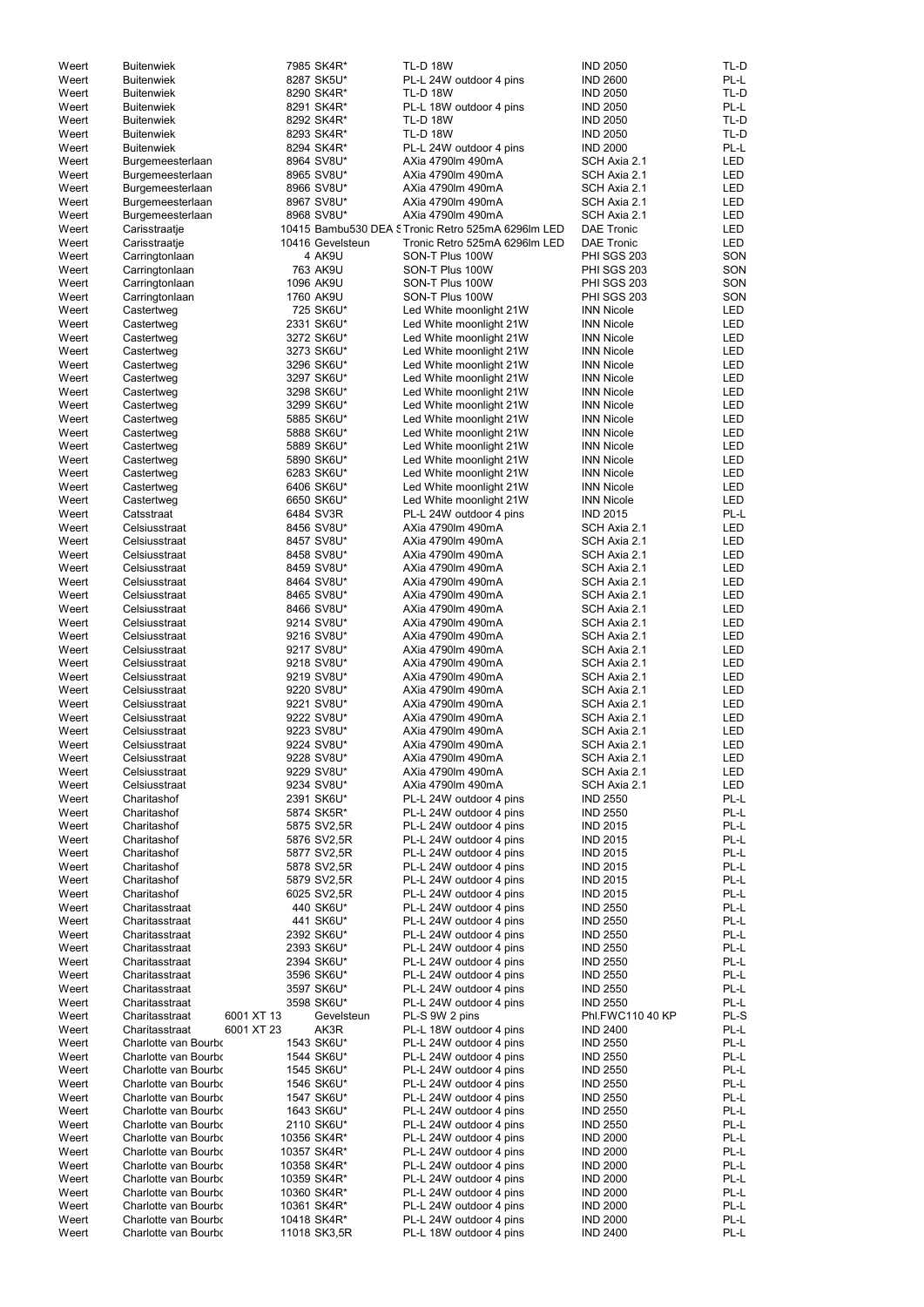| Weert | <b>Buitenwiek</b>            | 7985 SK4R*       | <b>TL-D 18W</b>                                   | <b>IND 2050</b>    | TL-D       |
|-------|------------------------------|------------------|---------------------------------------------------|--------------------|------------|
| Weert | <b>Buitenwiek</b>            | 8287 SK5U*       | PL-L 24W outdoor 4 pins                           | <b>IND 2600</b>    | PL-L       |
| Weert | <b>Buitenwiek</b>            | 8290 SK4R*       | <b>TL-D 18W</b>                                   | <b>IND 2050</b>    | TL-D       |
|       |                              | 8291 SK4R*       | PL-L 18W outdoor 4 pins                           | <b>IND 2050</b>    | PL-L       |
| Weert | <b>Buitenwiek</b>            |                  |                                                   |                    |            |
| Weert | <b>Buitenwiek</b>            | 8292 SK4R*       | <b>TL-D 18W</b>                                   | <b>IND 2050</b>    | TL-D       |
| Weert | <b>Buitenwiek</b>            | 8293 SK4R*       | <b>TL-D 18W</b>                                   | <b>IND 2050</b>    | TL-D       |
| Weert | <b>Buitenwiek</b>            | 8294 SK4R*       | PL-L 24W outdoor 4 pins                           | <b>IND 2000</b>    | PL-L       |
| Weert | Burgemeesterlaan             | 8964 SV8U*       | AXia 4790lm 490mA                                 | SCH Axia 2.1       | <b>LED</b> |
| Weert | Burgemeesterlaan             | 8965 SV8U*       | AXia 4790lm 490mA                                 | SCH Axia 2.1       | <b>LED</b> |
| Weert | Burgemeesterlaan             | 8966 SV8U*       | AXia 4790lm 490mA                                 | SCH Axia 2.1       | <b>LED</b> |
| Weert | Burgemeesterlaan             | 8967 SV8U*       | AXia 4790lm 490mA                                 | SCH Axia 2.1       | <b>LED</b> |
| Weert | Burgemeesterlaan             | 8968 SV8U*       | AXia 4790lm 490mA                                 | SCH Axia 2.1       | <b>LED</b> |
| Weert | Carisstraatje                |                  | 10415 Bambu530 DEA STronic Retro 525mA 6296lm LED | <b>DAE Tronic</b>  | <b>LED</b> |
| Weert | Carisstraatje                | 10416 Gevelsteun | Tronic Retro 525mA 6296lm LED                     | <b>DAE Tronic</b>  | <b>LED</b> |
| Weert | Carringtonlaan               | 4 AK9U           | SON-T Plus 100W                                   | <b>PHI SGS 203</b> | SON        |
| Weert | Carringtonlaan               | 763 AK9U         | SON-T Plus 100W                                   | PHI SGS 203        | SON        |
| Weert | Carringtonlaan               | 1096 AK9U        | SON-T Plus 100W                                   | <b>PHI SGS 203</b> | SON        |
| Weert | Carringtonlaan               | 1760 AK9U        | SON-T Plus 100W                                   | PHI SGS 203        | SON        |
| Weert | Castertweg                   | 725 SK6U*        | Led White moonlight 21W                           | <b>INN Nicole</b>  | LED        |
| Weert |                              | 2331 SK6U*       | Led White moonlight 21W                           | <b>INN Nicole</b>  | <b>LED</b> |
|       | Castertweg                   |                  |                                                   |                    |            |
| Weert | Castertweg                   | 3272 SK6U*       | Led White moonlight 21W                           | <b>INN Nicole</b>  | <b>LED</b> |
| Weert | Castertweg                   | 3273 SK6U*       | Led White moonlight 21W                           | <b>INN Nicole</b>  | <b>LED</b> |
| Weert | Castertweg                   | 3296 SK6U*       | Led White moonlight 21W                           | <b>INN Nicole</b>  | <b>LED</b> |
| Weert | Castertweg                   | 3297 SK6U*       | Led White moonlight 21W                           | <b>INN Nicole</b>  | <b>LED</b> |
| Weert | Castertweg                   | 3298 SK6U*       | Led White moonlight 21W                           | <b>INN Nicole</b>  | <b>LED</b> |
| Weert | Castertweg                   | 3299 SK6U*       | Led White moonlight 21W                           | <b>INN Nicole</b>  | <b>LED</b> |
| Weert | Castertweg                   | 5885 SK6U*       | Led White moonlight 21W                           | <b>INN Nicole</b>  | <b>LED</b> |
| Weert | Castertweg                   | 5888 SK6U*       | Led White moonlight 21W                           | <b>INN Nicole</b>  | <b>LED</b> |
| Weert | Castertweg                   | 5889 SK6U*       | Led White moonlight 21W                           | <b>INN Nicole</b>  | <b>LED</b> |
| Weert | Castertweg                   | 5890 SK6U*       | Led White moonlight 21W                           | <b>INN Nicole</b>  | LED        |
| Weert | Castertweg                   | 6283 SK6U*       | Led White moonlight 21W                           | <b>INN Nicole</b>  | <b>LED</b> |
| Weert | Castertweg                   | 6406 SK6U*       | Led White moonlight 21W                           | <b>INN Nicole</b>  | <b>LED</b> |
| Weert | Castertweg                   | 6650 SK6U*       | Led White moonlight 21W                           | <b>INN Nicole</b>  | <b>LED</b> |
| Weert | Catsstraat                   | 6484 SV3R        | PL-L 24W outdoor 4 pins                           | <b>IND 2015</b>    | PL-L       |
| Weert | Celsiusstraat                | 8456 SV8U*       | AXia 4790lm 490mA                                 | SCH Axia 2.1       | <b>LED</b> |
|       |                              |                  |                                                   |                    |            |
| Weert | Celsiusstraat                | 8457 SV8U*       | AXia 4790lm 490mA                                 | SCH Axia 2.1       | <b>LED</b> |
| Weert | Celsiusstraat                | 8458 SV8U*       | AXia 4790lm 490mA                                 | SCH Axia 2.1       | LED        |
| Weert | Celsiusstraat                | 8459 SV8U*       | AXia 4790lm 490mA                                 | SCH Axia 2.1       | LED        |
| Weert | Celsiusstraat                | 8464 SV8U*       | AXia 4790lm 490mA                                 | SCH Axia 2.1       | LED        |
| Weert | Celsiusstraat                | 8465 SV8U*       | AXia 4790lm 490mA                                 | SCH Axia 2.1       | <b>LED</b> |
| Weert | Celsiusstraat                | 8466 SV8U*       | AXia 4790lm 490mA                                 | SCH Axia 2.1       | <b>LED</b> |
| Weert | Celsiusstraat                | 9214 SV8U*       | AXia 4790lm 490mA                                 | SCH Axia 2.1       | LED        |
| Weert | Celsiusstraat                | 9216 SV8U*       | AXia 4790lm 490mA                                 | SCH Axia 2.1       | LED        |
| Weert | Celsiusstraat                | 9217 SV8U*       | AXia 4790lm 490mA                                 | SCH Axia 2.1       | LED        |
| Weert | Celsiusstraat                | 9218 SV8U*       | AXia 4790lm 490mA                                 | SCH Axia 2.1       | LED        |
| Weert | Celsiusstraat                | 9219 SV8U*       | AXia 4790lm 490mA                                 | SCH Axia 2.1       | LED        |
| Weert | Celsiusstraat                | 9220 SV8U*       | AXia 4790lm 490mA                                 | SCH Axia 2.1       | LED        |
| Weert | Celsiusstraat                | 9221 SV8U*       | AXia 4790lm 490mA                                 | SCH Axia 2.1       | LED        |
| Weert | Celsiusstraat                | 9222 SV8U*       | AXia 4790lm 490mA                                 | SCH Axia 2.1       | LED        |
| Weert | Celsiusstraat                | 9223 SV8U*       | AXia 4790lm 490mA                                 | SCH Axia 2.1       | LED        |
|       |                              |                  |                                                   |                    |            |
| Weert | Celsiusstraat                | 9224 SV8U*       | AXia 4790lm 490mA                                 | SCH Axia 2.1       | LED        |
| Weert | Celsiusstraat                | 9228 SV8U*       | AXia 4790lm 490mA                                 | SCH Axia 2.1       | LED        |
| Weert | Celsiusstraat                | 9229 SV8U*       | AXia 4790lm 490mA                                 | SCH Axia 2.1       | LED        |
| Weert | Celsiusstraat                | 9234 SV8U*       | AXia 4790lm 490mA                                 | SCH Axia 2.1       | LED        |
| Weert | Charitashof                  | 2391 SK6U*       | PL-L 24W outdoor 4 pins                           | <b>IND 2550</b>    | PL-L       |
| Weert | Charitashof                  | 5874 SK5R*       | PL-L 24W outdoor 4 pins                           | <b>IND 2550</b>    | PL-L       |
| Weert | Charitashof                  | 5875 SV2,5R      | PL-L 24W outdoor 4 pins                           | <b>IND 2015</b>    | PL-L       |
| Weert | Charitashof                  | 5876 SV2,5R      | PL-L 24W outdoor 4 pins                           | <b>IND 2015</b>    | PL-L       |
| Weert | Charitashof                  | 5877 SV2,5R      | PL-L 24W outdoor 4 pins                           | <b>IND 2015</b>    | PL-L       |
| Weert | Charitashof                  | 5878 SV2,5R      | PL-L 24W outdoor 4 pins                           | <b>IND 2015</b>    | PL-L       |
| Weert | Charitashof                  | 5879 SV2,5R      | PL-L 24W outdoor 4 pins                           | <b>IND 2015</b>    | PL-L       |
| Weert | Charitashof                  | 6025 SV2,5R      | PL-L 24W outdoor 4 pins                           | <b>IND 2015</b>    | PL-L       |
| Weert | Charitasstraat               | 440 SK6U*        | PL-L 24W outdoor 4 pins                           | <b>IND 2550</b>    | PL-L       |
| Weert | Charitasstraat               | 441 SK6U*        | PL-L 24W outdoor 4 pins                           | <b>IND 2550</b>    | PL-L       |
|       |                              |                  |                                                   |                    | PL-L       |
| Weert | Charitasstraat               | 2392 SK6U*       | PL-L 24W outdoor 4 pins                           | <b>IND 2550</b>    |            |
| Weert | Charitasstraat               | 2393 SK6U*       | PL-L 24W outdoor 4 pins                           | <b>IND 2550</b>    | PL-L       |
| Weert | Charitasstraat               | 2394 SK6U*       | PL-L 24W outdoor 4 pins                           | <b>IND 2550</b>    | PL-L       |
| Weert | Charitasstraat               | 3596 SK6U*       | PL-L 24W outdoor 4 pins                           | <b>IND 2550</b>    | PL-L       |
| Weert | Charitasstraat               | 3597 SK6U*       | PL-L 24W outdoor 4 pins                           | <b>IND 2550</b>    | PL-L       |
| Weert | Charitasstraat               | 3598 SK6U*       | PL-L 24W outdoor 4 pins                           | <b>IND 2550</b>    | PL-L       |
| Weert | Charitasstraat<br>6001 XT 13 | Gevelsteun       | PL-S 9W 2 pins                                    | Phl.FWC110 40 KP   | PL-S       |
| Weert | 6001 XT 23<br>Charitasstraat | AK3R             | PL-L 18W outdoor 4 pins                           | <b>IND 2400</b>    | PL-L       |
| Weert | Charlotte van Bourbo         | 1543 SK6U*       | PL-L 24W outdoor 4 pins                           | <b>IND 2550</b>    | $PL-L$     |
| Weert | Charlotte van Bourbo         | 1544 SK6U*       | PL-L 24W outdoor 4 pins                           | <b>IND 2550</b>    | PL-L       |
| Weert | Charlotte van Bourbo         | 1545 SK6U*       | PL-L 24W outdoor 4 pins                           | <b>IND 2550</b>    | PL-L       |
| Weert | Charlotte van Bourbo         | 1546 SK6U*       | PL-L 24W outdoor 4 pins                           | <b>IND 2550</b>    | PL-L       |
| Weert | Charlotte van Bourbo         | 1547 SK6U*       | PL-L 24W outdoor 4 pins                           | <b>IND 2550</b>    | PL-L       |
| Weert | Charlotte van Bourbo         | 1643 SK6U*       | PL-L 24W outdoor 4 pins                           | <b>IND 2550</b>    | PL-L       |
|       | Charlotte van Bourbo         |                  |                                                   |                    |            |
| Weert |                              | 2110 SK6U*       | PL-L 24W outdoor 4 pins                           | <b>IND 2550</b>    | PL-L       |
| Weert | Charlotte van Bourbo         | 10356 SK4R*      | PL-L 24W outdoor 4 pins                           | <b>IND 2000</b>    | PL-L       |
| Weert | Charlotte van Bourbo         | 10357 SK4R*      | PL-L 24W outdoor 4 pins                           | <b>IND 2000</b>    | PL-L       |
| Weert | Charlotte van Bourbo         | 10358 SK4R*      | PL-L 24W outdoor 4 pins                           | <b>IND 2000</b>    | PL-L       |
| Weert | Charlotte van Bourbo         | 10359 SK4R*      | PL-L 24W outdoor 4 pins                           | <b>IND 2000</b>    | PL-L       |
| Weert | Charlotte van Bourbo         | 10360 SK4R*      | PL-L 24W outdoor 4 pins                           | <b>IND 2000</b>    | PL-L       |
| Weert | Charlotte van Bourbo         | 10361 SK4R*      | PL-L 24W outdoor 4 pins                           | <b>IND 2000</b>    | PL-L       |
| Weert | Charlotte van Bourbo         | 10418 SK4R*      | PL-L 24W outdoor 4 pins                           | <b>IND 2000</b>    | PL-L       |
| Weert | Charlotte van Bourbo         | 11018 SK3,5R     | PL-L 18W outdoor 4 pins                           | <b>IND 2400</b>    | PL-L       |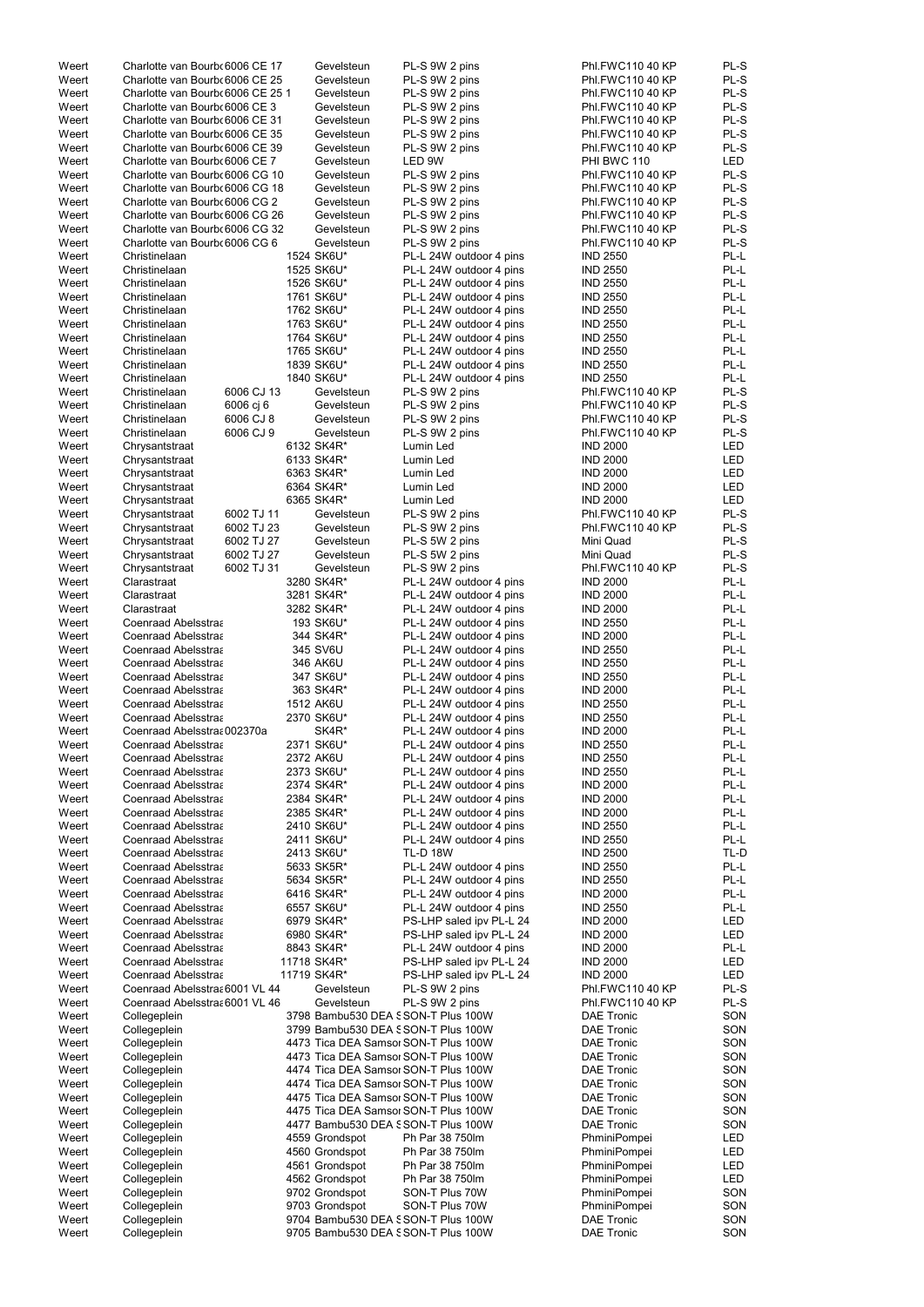| Weert | Charlotte van Bourb 6006 CE 17                 | Gevelsteun               | PL-S 9W 2 pins                       | Phl.FWC110 40 KP        | PL-S       |
|-------|------------------------------------------------|--------------------------|--------------------------------------|-------------------------|------------|
| Weert | Charlotte van Bourb 6006 CE 25                 | Gevelsteun               | PL-S 9W 2 pins                       | Phl.FWC110 40 KP        | PL-S       |
| Weert | Charlotte van Bourb 6006 CE 25 1               | Gevelsteun               | PL-S 9W 2 pins                       | Phl.FWC110 40 KP        | PL-S       |
| Weert | Charlotte van Bourb 6006 CE 3                  | Gevelsteun               | PL-S 9W 2 pins                       | Phl.FWC110 40 KP        | PL-S       |
| Weert | Charlotte van Bourb 6006 CE 31                 | Gevelsteun               | PL-S 9W 2 pins                       | Phl.FWC110 40 KP        | PL-S       |
| Weert | Charlotte van Bourb 6006 CE 35                 | Gevelsteun               | PL-S 9W 2 pins                       | Phl.FWC110 40 KP        | PL-S       |
| Weert | Charlotte van Bourb 6006 CE 39                 | Gevelsteun               | PL-S 9W 2 pins                       | Phl.FWC110 40 KP        | PL-S       |
| Weert | Charlotte van Bourb 6006 CE 7                  | Gevelsteun               | LED 9W                               | PHI BWC 110             | <b>LED</b> |
| Weert | Charlotte van Bourb 6006 CG 10                 | Gevelsteun               | PL-S 9W 2 pins                       | <b>Phl.FWC110 40 KP</b> | PL-S       |
| Weert | Charlotte van Bourb 6006 CG 18                 | Gevelsteun               | PL-S 9W 2 pins                       | <b>Phl.FWC110 40 KP</b> | PL-S       |
| Weert | Charlotte van Bourb 6006 CG 2                  | Gevelsteun               | PL-S 9W 2 pins                       | <b>Phl.FWC110 40 KP</b> | PL-S       |
| Weert | Charlotte van Bourb 6006 CG 26                 | Gevelsteun               | PL-S 9W 2 pins                       | Phl.FWC110 40 KP        | PL-S       |
| Weert | Charlotte van Bourb 6006 CG 32                 | Gevelsteun               | PL-S 9W 2 pins                       | Phl.FWC110 40 KP        | PL-S       |
| Weert | Charlotte van Bourb 6006 CG 6                  | Gevelsteun               | PL-S 9W 2 pins                       | Phl.FWC110 40 KP        | PL-S       |
| Weert | Christinelaan                                  | 1524 SK6U*               | PL-L 24W outdoor 4 pins              | <b>IND 2550</b>         | PL-L       |
| Weert | Christinelaan                                  | 1525 SK6U*               | PL-L 24W outdoor 4 pins              | <b>IND 2550</b>         | PL-L       |
| Weert | Christinelaan                                  | 1526 SK6U*               | PL-L 24W outdoor 4 pins              | <b>IND 2550</b>         | PL-L       |
| Weert | Christinelaan                                  | 1761 SK6U*               | PL-L 24W outdoor 4 pins              | <b>IND 2550</b>         | PL-L       |
| Weert | Christinelaan                                  | 1762 SK6U*               | PL-L 24W outdoor 4 pins              | <b>IND 2550</b>         | PL-L       |
| Weert | Christinelaan                                  | 1763 SK6U*               | PL-L 24W outdoor 4 pins              | <b>IND 2550</b>         | PL-L       |
| Weert | Christinelaan                                  | 1764 SK6U*               | PL-L 24W outdoor 4 pins              | <b>IND 2550</b>         | PL-L       |
| Weert | Christinelaan                                  | 1765 SK6U*               | PL-L 24W outdoor 4 pins              | <b>IND 2550</b>         | PL-L       |
| Weert | Christinelaan                                  | 1839 SK6U*               | PL-L 24W outdoor 4 pins              | <b>IND 2550</b>         | PL-L       |
| Weert | Christinelaan                                  | 1840 SK6U*               | PL-L 24W outdoor 4 pins              | <b>IND 2550</b>         | PL-L       |
| Weert | 6006 CJ 13<br>Christinelaan                    | Gevelsteun               | PL-S 9W 2 pins                       | Phl.FWC110 40 KP        | PL-S       |
| Weert | 6006 cj 6<br>Christinelaan                     | Gevelsteun               | PL-S 9W 2 pins                       | Phl.FWC110 40 KP        | PL-S       |
| Weert | Christinelaan<br>6006 CJ 8                     | Gevelsteun               | PL-S 9W 2 pins                       | Phl.FWC110 40 KP        | PL-S       |
| Weert | 6006 CJ 9<br>Christinelaan                     | Gevelsteun               | PL-S 9W 2 pins                       | Phl.FWC110 40 KP        | PL-S       |
| Weert | Chrysantstraat                                 | 6132 SK4R*               | Lumin Led                            | <b>IND 2000</b>         | <b>LED</b> |
| Weert | Chrysantstraat                                 | 6133 SK4R*               | Lumin Led                            | <b>IND 2000</b>         | <b>LED</b> |
| Weert | Chrysantstraat                                 | 6363 SK4R*               | Lumin Led                            | <b>IND 2000</b>         | <b>LED</b> |
| Weert | Chrysantstraat                                 | 6364 SK4R*               | Lumin Led                            | <b>IND 2000</b>         | <b>LED</b> |
| Weert | Chrysantstraat                                 | 6365 SK4R*               | Lumin Led                            | <b>IND 2000</b>         | <b>LED</b> |
| Weert | 6002 TJ 11<br>Chrysantstraat                   | Gevelsteun               | PL-S 9W 2 pins                       | Phl.FWC110 40 KP        | PL-S       |
| Weert | 6002 TJ 23<br>Chrysantstraat                   | Gevelsteun               | PL-S 9W 2 pins                       | <b>Phl.FWC110 40 KP</b> | PL-S       |
| Weert | 6002 TJ 27                                     |                          | PL-S 5W 2 pins                       | Mini Quad               | PL-S       |
| Weert | Chrysantstraat<br>6002 TJ 27<br>Chrysantstraat | Gevelsteun<br>Gevelsteun | PL-S 5W 2 pins                       | Mini Quad               | PL-S       |
| Weert | 6002 TJ 31                                     | Gevelsteun               | PL-S 9W 2 pins                       | Phl.FWC110 40 KP        | PL-S       |
|       | Chrysantstraat<br>Clarastraat                  |                          |                                      |                         | PL-L       |
| Weert |                                                | 3280 SK4R*               | PL-L 24W outdoor 4 pins              | <b>IND 2000</b>         | PL-L       |
| Weert | Clarastraat                                    | 3281 SK4R*               | PL-L 24W outdoor 4 pins              | <b>IND 2000</b>         |            |
| Weert | Clarastraat                                    | 3282 SK4R*               | PL-L 24W outdoor 4 pins              | <b>IND 2000</b>         | PL-L       |
| Weert | Coenraad Abelsstraa                            | 193 SK6U*                | PL-L 24W outdoor 4 pins              | <b>IND 2550</b>         | PL-L       |
| Weert | Coenraad Abelsstraa                            | 344 SK4R*                | PL-L 24W outdoor 4 pins              | <b>IND 2000</b>         | PL-L       |
| Weert | Coenraad Abelsstraa                            | 345 SV6U                 | PL-L 24W outdoor 4 pins              | <b>IND 2550</b>         | PL-L       |
| Weert | Coenraad Abelsstraa                            | 346 AK6U                 | PL-L 24W outdoor 4 pins              | <b>IND 2550</b>         | PL-L       |
| Weert | Coenraad Abelsstraa                            | 347 SK6U*                | PL-L 24W outdoor 4 pins              | <b>IND 2550</b>         | PL-L       |
| Weert | Coenraad Abelsstraa                            | 363 SK4R*                | PL-L 24W outdoor 4 pins              | <b>IND 2000</b>         | PL-L       |
| Weert | Coenraad Abelsstraa                            | 1512 AK6U                | PL-L 24W outdoor 4 pins              | <b>IND 2550</b>         | PL-L       |
| Weert | Coenraad Abelsstraa                            | 2370 SK6U*               | PL-L 24W outdoor 4 pins              | <b>IND 2550</b>         | PL-L       |
| Weert | Coenraad Abelsstraa 002370a                    | SK4R*                    | PL-L 24W outdoor 4 pins              | <b>IND 2000</b>         | PL-L       |
| Weert | Coenraad Abelsstraa                            | 2371 SK6U*               | PL-L 24W outdoor 4 pins              | <b>IND 2550</b>         | PL-L       |
| Weert | Coenraad Abelsstraa                            | 2372 AK6U                | PL-L 24W outdoor 4 pins              | <b>IND 2550</b>         | PL-L       |
| Weert | Coenraad Abelsstraa                            | 2373 SK6U*               | PL-L 24W outdoor 4 pins              | <b>IND 2550</b>         | PL-L       |
| Weert | Coenraad Abelsstraa                            | 2374 SK4R*               | PL-L 24W outdoor 4 pins              | <b>IND 2000</b>         | PL-L       |
| Weert | Coenraad Abelsstraa                            | 2384 SK4R*               | PL-L 24W outdoor 4 pins              | <b>IND 2000</b>         | PL-L       |
| Weert | Coenraad Abelsstraa                            | 2385 SK4R*               | PL-L 24W outdoor 4 pins              | <b>IND 2000</b>         | PL-L       |
| Weert | Coenraad Abelsstraa                            | 2410 SK6U*               | PL-L 24W outdoor 4 pins              | <b>IND 2550</b>         | PL-L       |
| Weert | Coenraad Abelsstraa                            | 2411 SK6U*               | PL-L 24W outdoor 4 pins              | <b>IND 2550</b>         | PL-L       |
| Weert | Coenraad Abelsstraa                            | 2413 SK6U*               | <b>TL-D 18W</b>                      | <b>IND 2500</b>         | TL-D       |
| Weert | Coenraad Abelsstraa                            | 5633 SK5R*               | PL-L 24W outdoor 4 pins              | <b>IND 2550</b>         | PL-L       |
| Weert | Coenraad Abelsstraa                            | 5634 SK5R*               | PL-L 24W outdoor 4 pins              | <b>IND 2550</b>         | PL-L       |
| Weert | Coenraad Abelsstraa                            | 6416 SK4R*               | PL-L 24W outdoor 4 pins              | <b>IND 2000</b>         | PL-L       |
| Weert | Coenraad Abelsstraa                            | 6557 SK6U*               | PL-L 24W outdoor 4 pins              | <b>IND 2550</b>         | PL-L       |
| Weert | Coenraad Abelsstraa                            | 6979 SK4R*               | PS-LHP saled ipv PL-L 24             | <b>IND 2000</b>         | <b>LED</b> |
| Weert | Coenraad Abelsstraa                            | 6980 SK4R*               | PS-LHP saled ipv PL-L 24             | <b>IND 2000</b>         | <b>LED</b> |
| Weert | Coenraad Abelsstraa                            | 8843 SK4R*               | PL-L 24W outdoor 4 pins              | <b>IND 2000</b>         | PL-L       |
| Weert | Coenraad Abelsstraa                            | 11718 SK4R*              | PS-LHP saled ipv PL-L 24             | <b>IND 2000</b>         | <b>LED</b> |
| Weert | Coenraad Abelsstraa                            | 11719 SK4R*              | PS-LHP saled ipv PL-L 24             | <b>IND 2000</b>         | <b>LED</b> |
| Weert | Coenraad Abelsstra: 6001 VL 44                 | Gevelsteun               | PL-S 9W 2 pins                       | Phl.FWC110 40 KP        | PL-S       |
| Weert | Coenraad Abelsstra 6001 VL 46                  | Gevelsteun               | PL-S 9W 2 pins                       | Phl.FWC110 40 KP        | PL-S       |
| Weert | Collegeplein                                   |                          | 3798 Bambu530 DEA SSON-T Plus 100W   | <b>DAE Tronic</b>       | SON        |
| Weert | Collegeplein                                   |                          | 3799 Bambu530 DEA SSON-T Plus 100W   | <b>DAE Tronic</b>       | SON        |
| Weert | Collegeplein                                   |                          | 4473 Tica DEA Samsor SON-T Plus 100W | <b>DAE Tronic</b>       | SON        |
| Weert | Collegeplein                                   |                          | 4473 Tica DEA Samsor SON-T Plus 100W | <b>DAE Tronic</b>       | SON        |
| Weert | Collegeplein                                   |                          | 4474 Tica DEA Samsor SON-T Plus 100W | <b>DAE Tronic</b>       | SON        |
| Weert | Collegeplein                                   |                          | 4474 Tica DEA Samsor SON-T Plus 100W | <b>DAE Tronic</b>       | SON        |
| Weert | Collegeplein                                   |                          | 4475 Tica DEA Samsor SON-T Plus 100W | <b>DAE Tronic</b>       | SON        |
| Weert | Collegeplein                                   |                          | 4475 Tica DEA Samsor SON-T Plus 100W | <b>DAE Tronic</b>       | SON        |
| Weert | Collegeplein                                   |                          | 4477 Bambu530 DEA SSON-T Plus 100W   | <b>DAE Tronic</b>       | SON        |
| Weert | Collegeplein                                   | 4559 Grondspot           | Ph Par 38 750lm                      | PhminiPompei            | LED        |
| Weert | Collegeplein                                   | 4560 Grondspot           | Ph Par 38 750lm                      | PhminiPompei            | <b>LED</b> |
| Weert | Collegeplein                                   | 4561 Grondspot           | Ph Par 38 750lm                      | PhminiPompei            | <b>LED</b> |
| Weert | Collegeplein                                   | 4562 Grondspot           | Ph Par 38 750lm                      | PhminiPompei            | <b>LED</b> |
| Weert | Collegeplein                                   | 9702 Grondspot           | SON-T Plus 70W                       | PhminiPompei            | SON        |
| Weert | Collegeplein                                   | 9703 Grondspot           | SON-T Plus 70W                       | PhminiPompei            | SON        |
|       |                                                |                          |                                      |                         |            |
| Weert | Collegeplein                                   |                          | 9704 Bambu530 DEA SSON-T Plus 100W   | <b>DAE Tronic</b>       | SON        |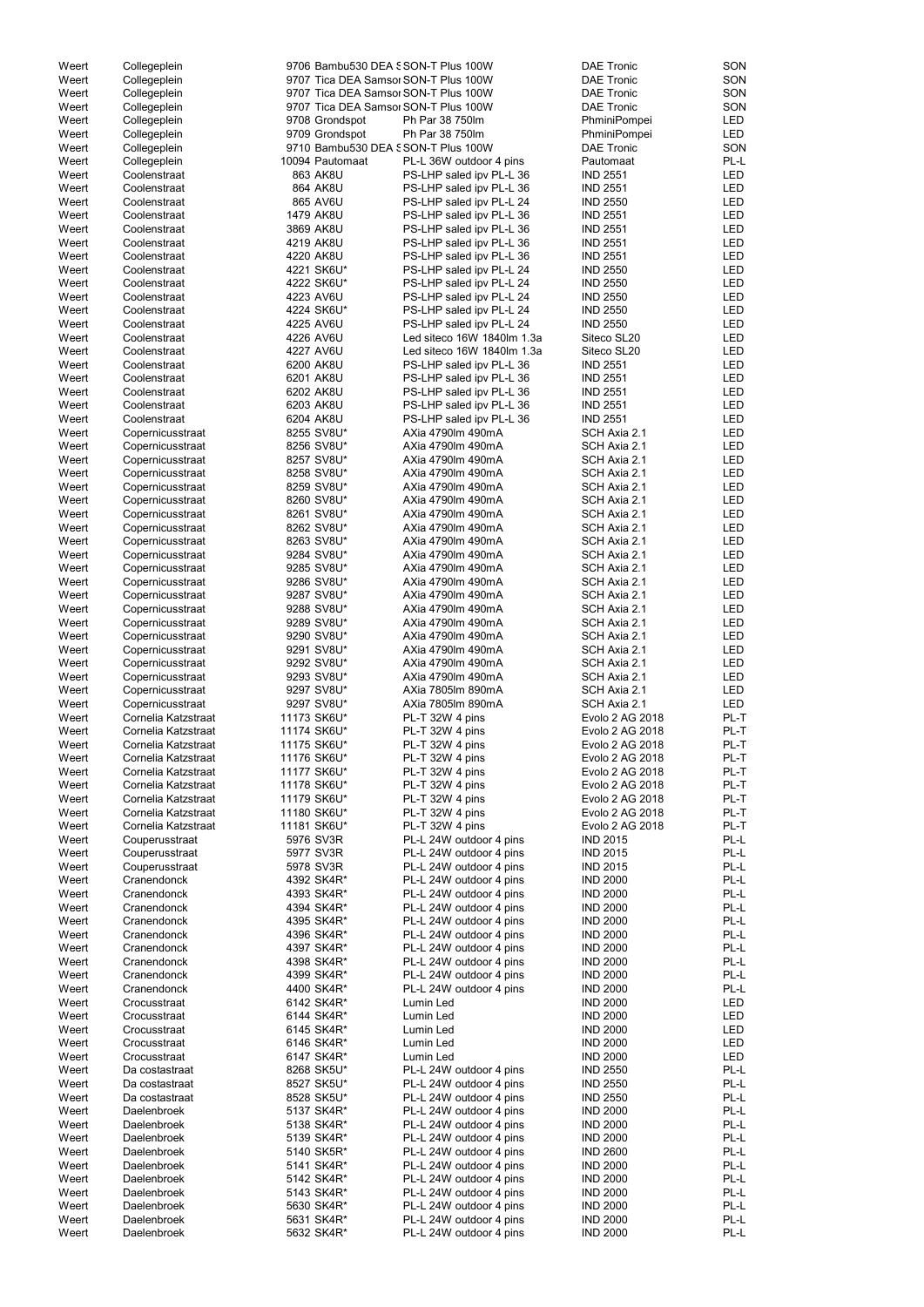| Weert | Collegeplein        |                 | 9706 Bambu530 DEA SSON-T Plus 100W   | <b>DAE Tronic</b> | SON        |
|-------|---------------------|-----------------|--------------------------------------|-------------------|------------|
| Weert | Collegeplein        |                 | 9707 Tica DEA Samsor SON-T Plus 100W | <b>DAE Tronic</b> | SON        |
| Weert | Collegeplein        |                 | 9707 Tica DEA Samsor SON-T Plus 100W | <b>DAE Tronic</b> | SON        |
| Weert | Collegeplein        |                 | 9707 Tica DEA Samsor SON-T Plus 100W | <b>DAE Tronic</b> | SON        |
| Weert | Collegeplein        | 9708 Grondspot  | Ph Par 38 750lm                      | PhminiPompei      | LED        |
| Weert |                     | 9709 Grondspot  | Ph Par 38 750lm                      |                   | LED        |
|       | Collegeplein        |                 |                                      | PhminiPompei      |            |
| Weert | Collegeplein        |                 | 9710 Bambu530 DEA SSON-T Plus 100W   | <b>DAE Tronic</b> | SON        |
| Weert | Collegeplein        | 10094 Pautomaat | PL-L 36W outdoor 4 pins              | Pautomaat         | PL-L       |
| Weert | Coolenstraat        | 863 AK8U        | PS-LHP saled ipv PL-L 36             | <b>IND 2551</b>   | <b>LED</b> |
| Weert | Coolenstraat        | 864 AK8U        | PS-LHP saled ipv PL-L 36             | <b>IND 2551</b>   | LED        |
| Weert | Coolenstraat        | 865 AV6U        | PS-LHP saled ipv PL-L 24             | <b>IND 2550</b>   | <b>LED</b> |
| Weert | Coolenstraat        | 1479 AK8U       | PS-LHP saled ipv PL-L 36             | <b>IND 2551</b>   | LED        |
| Weert | Coolenstraat        | 3869 AK8U       | PS-LHP saled ipv PL-L 36             | <b>IND 2551</b>   | LED        |
| Weert | Coolenstraat        | 4219 AK8U       | PS-LHP saled ipv PL-L 36             | <b>IND 2551</b>   | <b>LED</b> |
| Weert | Coolenstraat        | 4220 AK8U       | PS-LHP saled ipv PL-L 36             | <b>IND 2551</b>   | LED        |
| Weert | Coolenstraat        | 4221 SK6U*      | PS-LHP saled ipv PL-L 24             | <b>IND 2550</b>   | LED        |
| Weert | Coolenstraat        | 4222 SK6U*      | PS-LHP saled ipv PL-L 24             | <b>IND 2550</b>   | <b>LED</b> |
| Weert | Coolenstraat        | 4223 AV6U       | PS-LHP saled ipv PL-L 24             | <b>IND 2550</b>   | LED        |
| Weert | Coolenstraat        | 4224 SK6U*      | PS-LHP saled ipv PL-L 24             | <b>IND 2550</b>   | LED        |
| Weert | Coolenstraat        | 4225 AV6U       | PS-LHP saled ipv PL-L 24             | <b>IND 2550</b>   | LED        |
| Weert | Coolenstraat        | 4226 AV6U       | Led siteco 16W 1840lm 1.3a           | Siteco SL20       | LED        |
| Weert | Coolenstraat        | 4227 AV6U       | Led siteco 16W 1840lm 1.3a           | Siteco SL20       | LED        |
| Weert | Coolenstraat        | 6200 AK8U       | PS-LHP saled ipv PL-L 36             | <b>IND 2551</b>   | LED        |
| Weert | Coolenstraat        | 6201 AK8U       | PS-LHP saled ipv PL-L 36             | <b>IND 2551</b>   | LED        |
| Weert | Coolenstraat        | 6202 AK8U       | PS-LHP saled ipv PL-L 36             | <b>IND 2551</b>   | <b>LED</b> |
|       |                     |                 |                                      | <b>IND 2551</b>   |            |
| Weert | Coolenstraat        | 6203 AK8U       | PS-LHP saled ipv PL-L 36             |                   | <b>LED</b> |
| Weert | Coolenstraat        | 6204 AK8U       | PS-LHP saled ipv PL-L 36             | <b>IND 2551</b>   | <b>LED</b> |
| Weert | Copernicusstraat    | 8255 SV8U*      | AXia 4790lm 490mA                    | SCH Axia 2.1      | LED        |
| Weert | Copernicusstraat    | 8256 SV8U*      | AXia 4790lm 490mA                    | SCH Axia 2.1      | <b>LED</b> |
| Weert | Copernicusstraat    | 8257 SV8U*      | AXia 4790lm 490mA                    | SCH Axia 2.1      | <b>LED</b> |
| Weert | Copernicusstraat    | 8258 SV8U*      | AXia 4790lm 490mA                    | SCH Axia 2.1      | LED        |
| Weert | Copernicusstraat    | 8259 SV8U*      | AXia 4790lm 490mA                    | SCH Axia 2.1      | LED        |
| Weert | Copernicusstraat    | 8260 SV8U*      | AXia 4790lm 490mA                    | SCH Axia 2.1      | <b>LED</b> |
| Weert | Copernicusstraat    | 8261 SV8U*      | AXia 4790lm 490mA                    | SCH Axia 2.1      | LED        |
| Weert | Copernicusstraat    | 8262 SV8U*      | AXia 4790lm 490mA                    | SCH Axia 2.1      | <b>LED</b> |
| Weert | Copernicusstraat    | 8263 SV8U*      | AXia 4790lm 490mA                    | SCH Axia 2.1      | <b>LED</b> |
| Weert | Copernicusstraat    | 9284 SV8U*      | AXia 4790lm 490mA                    | SCH Axia 2.1      | LED        |
| Weert | Copernicusstraat    | 9285 SV8U*      | AXia 4790lm 490mA                    | SCH Axia 2.1      | LED        |
| Weert | Copernicusstraat    | 9286 SV8U*      | AXia 4790lm 490mA                    | SCH Axia 2.1      | LED        |
| Weert | Copernicusstraat    | 9287 SV8U*      | AXia 4790lm 490mA                    | SCH Axia 2.1      | LED        |
| Weert | Copernicusstraat    | 9288 SV8U*      | AXia 4790lm 490mA                    | SCH Axia 2.1      | LED        |
| Weert | Copernicusstraat    | 9289 SV8U*      | AXia 4790lm 490mA                    | SCH Axia 2.1      | LED        |
| Weert | Copernicusstraat    | 9290 SV8U*      | AXia 4790lm 490mA                    | SCH Axia 2.1      | LED        |
| Weert | Copernicusstraat    | 9291 SV8U*      | AXia 4790lm 490mA                    | SCH Axia 2.1      | LED        |
|       |                     |                 |                                      |                   |            |
| Weert | Copernicusstraat    | 9292 SV8U*      | AXia 4790lm 490mA                    | SCH Axia 2.1      | LED        |
| Weert | Copernicusstraat    | 9293 SV8U*      | AXia 4790lm 490mA                    | SCH Axia 2.1      | <b>LED</b> |
| Weert | Copernicusstraat    | 9297 SV8U*      | AXia 7805lm 890mA                    | SCH Axia 2.1      | LED        |
| Weert | Copernicusstraat    | 9297 SV8U*      | AXia 7805lm 890mA                    | SCH Axia 2.1      | LED        |
| Weert | Cornelia Katzstraat | 11173 SK6U*     | PL-T 32W 4 pins                      | Evolo 2 AG 2018   | PL-T       |
| Weert | Cornelia Katzstraat | 11174 SK6U*     | PL-T 32W 4 pins                      | Evolo 2 AG 2018   | PL-T       |
| Weert | Cornelia Katzstraat | 11175 SK6U*     | PL-T 32W 4 pins                      | Evolo 2 AG 2018   | PL-T       |
| Weert | Cornelia Katzstraat | 11176 SK6U*     | PL-T 32W 4 pins                      | Evolo 2 AG 2018   | PL-T       |
| Weert | Cornelia Katzstraat | 11177 SK6U*     | PL-T 32W 4 pins                      | Evolo 2 AG 2018   | PL-T       |
| Weert | Cornelia Katzstraat | 11178 SK6U*     | PL-T 32W 4 pins                      | Evolo 2 AG 2018   | PL-T       |
| Weert | Cornelia Katzstraat | 11179 SK6U*     | PL-T 32W 4 pins                      | Evolo 2 AG 2018   | PL-T       |
| Weert | Cornelia Katzstraat | 11180 SK6U*     | PL-T 32W 4 pins                      | Evolo 2 AG 2018   | PL-T       |
| Weert | Cornelia Katzstraat | 11181 SK6U*     | PL-T 32W 4 pins                      | Evolo 2 AG 2018   | PL-T       |
| Weert | Couperusstraat      | 5976 SV3R       | PL-L 24W outdoor 4 pins              | <b>IND 2015</b>   | PL-L       |
| Weert | Couperusstraat      | 5977 SV3R       | PL-L 24W outdoor 4 pins              | <b>IND 2015</b>   | PL-L       |
| Weert | Couperusstraat      | 5978 SV3R       | PL-L 24W outdoor 4 pins              | <b>IND 2015</b>   | PL-L       |
| Weert | Cranendonck         | 4392 SK4R*      | PL-L 24W outdoor 4 pins              | <b>IND 2000</b>   | PL-L       |
| Weert | Cranendonck         | 4393 SK4R*      | PL-L 24W outdoor 4 pins              | <b>IND 2000</b>   | PL-L       |
| Weert | Cranendonck         | 4394 SK4R*      | PL-L 24W outdoor 4 pins              | <b>IND 2000</b>   | PL-L       |
| Weert | Cranendonck         | 4395 SK4R*      | PL-L 24W outdoor 4 pins              | <b>IND 2000</b>   | PL-L       |
| Weert | Cranendonck         | 4396 SK4R*      | PL-L 24W outdoor 4 pins              | <b>IND 2000</b>   | PL-L       |
|       | Cranendonck         | 4397 SK4R*      |                                      | <b>IND 2000</b>   | PL-L       |
| Weert | Cranendonck         | 4398 SK4R*      | PL-L 24W outdoor 4 pins              | <b>IND 2000</b>   | PL-L       |
| Weert |                     |                 | PL-L 24W outdoor 4 pins              |                   |            |
| Weert | Cranendonck         | 4399 SK4R*      | PL-L 24W outdoor 4 pins              | <b>IND 2000</b>   | PL-L       |
| Weert | Cranendonck         | 4400 SK4R*      | PL-L 24W outdoor 4 pins              | <b>IND 2000</b>   | PL-L       |
| Weert | Crocusstraat        | 6142 SK4R*      | Lumin Led                            | <b>IND 2000</b>   | LED        |
| Weert | Crocusstraat        | 6144 SK4R*      | Lumin Led                            | <b>IND 2000</b>   | LED        |
| Weert | Crocusstraat        | 6145 SK4R*      | Lumin Led                            | <b>IND 2000</b>   | LED        |
| Weert | Crocusstraat        | 6146 SK4R*      | Lumin Led                            | <b>IND 2000</b>   | LED        |
| Weert | Crocusstraat        | 6147 SK4R*      | Lumin Led                            | <b>IND 2000</b>   | LED        |
| Weert | Da costastraat      | 8268 SK5U*      | PL-L 24W outdoor 4 pins              | <b>IND 2550</b>   | PL-L       |
| Weert | Da costastraat      | 8527 SK5U*      | PL-L 24W outdoor 4 pins              | <b>IND 2550</b>   | PL-L       |
| Weert | Da costastraat      | 8528 SK5U*      | PL-L 24W outdoor 4 pins              | <b>IND 2550</b>   | PL-L       |
| Weert | Daelenbroek         | 5137 SK4R*      | PL-L 24W outdoor 4 pins              | <b>IND 2000</b>   | PL-L       |
| Weert | <b>Daelenbroek</b>  | 5138 SK4R*      | PL-L 24W outdoor 4 pins              | <b>IND 2000</b>   | PL-L       |
| Weert | <b>Daelenbroek</b>  | 5139 SK4R*      | PL-L 24W outdoor 4 pins              | <b>IND 2000</b>   | PL-L       |
| Weert | Daelenbroek         | 5140 SK5R*      | PL-L 24W outdoor 4 pins              | <b>IND 2600</b>   | PL-L       |
| Weert | <b>Daelenbroek</b>  | 5141 SK4R*      | PL-L 24W outdoor 4 pins              | <b>IND 2000</b>   | PL-L       |
| Weert | <b>Daelenbroek</b>  | 5142 SK4R*      | PL-L 24W outdoor 4 pins              | <b>IND 2000</b>   | PL-L       |
| Weert | <b>Daelenbroek</b>  | 5143 SK4R*      | PL-L 24W outdoor 4 pins              | <b>IND 2000</b>   | PL-L       |
| Weert | <b>Daelenbroek</b>  | 5630 SK4R*      | PL-L 24W outdoor 4 pins              | <b>IND 2000</b>   | PL-L       |
| Weert | Daelenbroek         | 5631 SK4R*      | PL-L 24W outdoor 4 pins              | <b>IND 2000</b>   | PL-L       |
| Weert | Daelenbroek         | 5632 SK4R*      | PL-L 24W outdoor 4 pins              | <b>IND 2000</b>   | PL-L       |
|       |                     |                 |                                      |                   |            |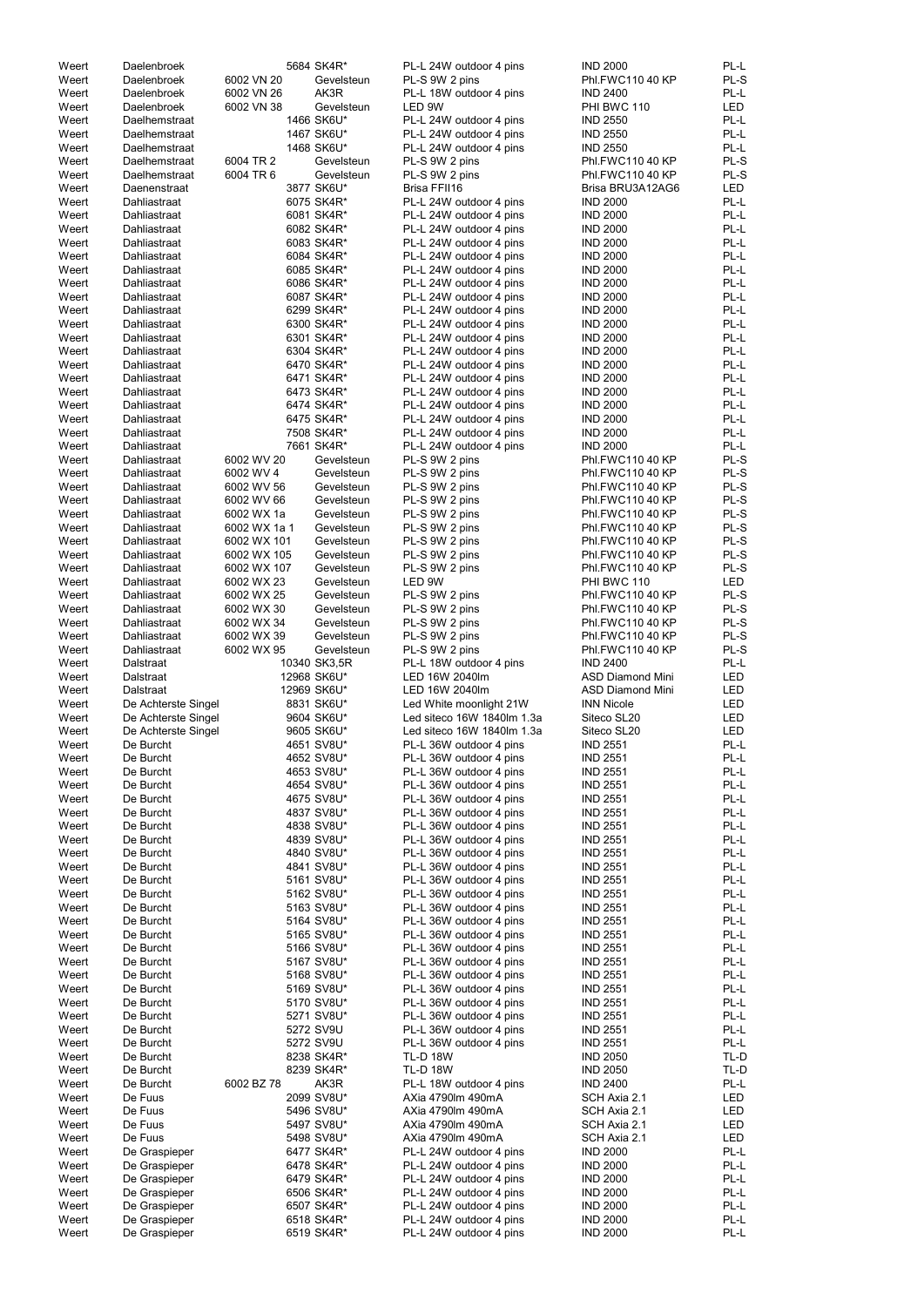| Weert          | Daelenbroek                                |                          | 5684 SK4R*                | PL-L 24W outdoor 4 pins                            | <b>IND 2000</b>                              | PL-L         |
|----------------|--------------------------------------------|--------------------------|---------------------------|----------------------------------------------------|----------------------------------------------|--------------|
| Weert          | Daelenbroek                                | 6002 VN 20               | Gevelsteun                | PL-S 9W 2 pins                                     | Phl.FWC110 40 KP                             | PL-S         |
| Weert          | Daelenbroek                                | 6002 VN 26               | AK3R                      | PL-L 18W outdoor 4 pins                            | <b>IND 2400</b>                              | PL-L         |
| Weert          | Daelenbroek                                | 6002 VN 38               | Gevelsteun                | LED 9W                                             | PHI BWC 110                                  | LED          |
| Weert<br>Weert | Daelhemstraat<br>Daelhemstraat             |                          | 1466 SK6U*<br>1467 SK6U*  | PL-L 24W outdoor 4 pins<br>PL-L 24W outdoor 4 pins | <b>IND 2550</b><br><b>IND 2550</b>           | PL-L<br>PL-L |
| Weert          | Daelhemstraat                              |                          | 1468 SK6U*                | PL-L 24W outdoor 4 pins                            | <b>IND 2550</b>                              | PL-L         |
| Weert          | Daelhemstraat                              | 6004 TR 2                | Gevelsteun                | PL-S 9W 2 pins                                     | Phl.FWC110 40 KP                             | PL-S         |
| Weert          | Daelhemstraat                              | 6004 TR 6                | Gevelsteun                | PL-S 9W 2 pins                                     | Phl.FWC110 40 KP                             | PL-S         |
| Weert          | Daenenstraat                               |                          | 3877 SK6U*                | Brisa FFII16                                       | Brisa BRU3A12AG6                             | <b>LED</b>   |
| Weert          | Dahliastraat                               |                          | 6075 SK4R*                | PL-L 24W outdoor 4 pins                            | <b>IND 2000</b>                              | PL-L         |
| Weert<br>Weert | Dahliastraat<br>Dahliastraat               |                          | 6081 SK4R*<br>6082 SK4R*  | PL-L 24W outdoor 4 pins<br>PL-L 24W outdoor 4 pins | <b>IND 2000</b><br><b>IND 2000</b>           | PL-L<br>PL-L |
| Weert          | Dahliastraat                               |                          | 6083 SK4R*                | PL-L 24W outdoor 4 pins                            | <b>IND 2000</b>                              | PL-L         |
| Weert          | Dahliastraat                               |                          | 6084 SK4R*                | PL-L 24W outdoor 4 pins                            | <b>IND 2000</b>                              | PL-L         |
| Weert          | Dahliastraat                               |                          | 6085 SK4R*                | PL-L 24W outdoor 4 pins                            | <b>IND 2000</b>                              | PL-L         |
| Weert          | Dahliastraat                               |                          | 6086 SK4R*                | PL-L 24W outdoor 4 pins                            | <b>IND 2000</b>                              | PL-L         |
| Weert          | Dahliastraat                               |                          | 6087 SK4R*                | PL-L 24W outdoor 4 pins                            | <b>IND 2000</b>                              | PL-L         |
| Weert<br>Weert | Dahliastraat<br>Dahliastraat               |                          | 6299 SK4R*<br>6300 SK4R*  | PL-L 24W outdoor 4 pins<br>PL-L 24W outdoor 4 pins | <b>IND 2000</b><br><b>IND 2000</b>           | PL-L<br>PL-L |
| Weert          | Dahliastraat                               |                          | 6301 SK4R*                | PL-L 24W outdoor 4 pins                            | <b>IND 2000</b>                              | PL-L         |
| Weert          | Dahliastraat                               |                          | 6304 SK4R*                | PL-L 24W outdoor 4 pins                            | <b>IND 2000</b>                              | PL-L         |
| Weert          | Dahliastraat                               |                          | 6470 SK4R*                | PL-L 24W outdoor 4 pins                            | <b>IND 2000</b>                              | PL-L         |
| Weert          | Dahliastraat                               |                          | 6471 SK4R*                | PL-L 24W outdoor 4 pins                            | <b>IND 2000</b>                              | PL-L         |
| Weert          | Dahliastraat                               |                          | 6473 SK4R*                | PL-L 24W outdoor 4 pins                            | <b>IND 2000</b>                              | PL-L         |
| Weert<br>Weert | Dahliastraat<br>Dahliastraat               |                          | 6474 SK4R*<br>6475 SK4R*  | PL-L 24W outdoor 4 pins<br>PL-L 24W outdoor 4 pins | <b>IND 2000</b><br><b>IND 2000</b>           | PL-L<br>PL-L |
| Weert          | Dahliastraat                               |                          | 7508 SK4R*                | PL-L 24W outdoor 4 pins                            | <b>IND 2000</b>                              | PL-L         |
| Weert          | Dahliastraat                               |                          | 7661 SK4R*                | PL-L 24W outdoor 4 pins                            | <b>IND 2000</b>                              | PL-L         |
| Weert          | Dahliastraat                               | 6002 WV 20               | Gevelsteun                | PL-S 9W 2 pins                                     | Phl.FWC110 40 KP                             | PL-S         |
| Weert          | Dahliastraat                               | 6002 WV 4                | Gevelsteun                | PL-S 9W 2 pins                                     | Phl.FWC110 40 KP                             | PL-S         |
| Weert          | Dahliastraat                               | 6002 WV 56               | Gevelsteun                | PL-S 9W 2 pins                                     | <b>Phl.FWC110 40 KP</b>                      | PL-S         |
| Weert<br>Weert | Dahliastraat<br>Dahliastraat               | 6002 WV 66<br>6002 WX 1a | Gevelsteun<br>Gevelsteun  | PL-S 9W 2 pins<br>PL-S 9W 2 pins                   | Phl.FWC110 40 KP<br>Phl.FWC110 40 KP         | PL-S<br>PL-S |
| Weert          | Dahliastraat                               | 6002 WX 1a 1             | Gevelsteun                | PL-S 9W 2 pins                                     | <b>Phl.FWC110 40 KP</b>                      | PL-S         |
| Weert          | Dahliastraat                               | 6002 WX 101              | Gevelsteun                | PL-S 9W 2 pins                                     | Phl.FWC110 40 KP                             | PL-S         |
| Weert          | Dahliastraat                               | 6002 WX 105              | Gevelsteun                | PL-S 9W 2 pins                                     | Phl.FWC110 40 KP                             | PL-S         |
| Weert          | Dahliastraat                               | 6002 WX 107              | Gevelsteun                | PL-S 9W 2 pins                                     | Phl.FWC110 40 KP                             | PL-S         |
| Weert          | Dahliastraat                               | 6002 WX 23               | Gevelsteun                | LED 9W                                             | PHI BWC 110                                  | LED          |
| Weert<br>Weert | Dahliastraat<br>Dahliastraat               | 6002 WX 25<br>6002 WX 30 | Gevelsteun<br>Gevelsteun  | PL-S 9W 2 pins<br>PL-S 9W 2 pins                   | Phl.FWC110 40 KP<br>Phl.FWC110 40 KP         | PL-S<br>PL-S |
| Weert          | Dahliastraat                               | 6002 WX 34               | Gevelsteun                | PL-S 9W 2 pins                                     | Phl.FWC110 40 KP                             | PL-S         |
| Weert          | Dahliastraat                               | 6002 WX 39               | Gevelsteun                | PL-S 9W 2 pins                                     | Phl.FWC110 40 KP                             | PL-S         |
| Weert          | Dahliastraat                               | 6002 WX 95               | Gevelsteun                | PL-S 9W 2 pins                                     | Phl.FWC110 40 KP                             | PL-S         |
| Weert          | <b>Dalstraat</b>                           |                          | 10340 SK3,5R              | PL-L 18W outdoor 4 pins                            | <b>IND 2400</b>                              | PL-L         |
| Weert          | Dalstraat                                  |                          | 12968 SK6U*               | LED 16W 2040lm                                     | <b>ASD Diamond Mini</b>                      | LED          |
| Weert<br>Weert | Dalstraat                                  |                          | 12969 SK6U*<br>8831 SK6U* | LED 16W 2040lm<br>Led White moonlight 21W          | <b>ASD Diamond Mini</b><br><b>INN Nicole</b> | LED<br>LED   |
| Weert          | De Achterste Singel<br>De Achterste Singel |                          | 9604 SK6U*                | Led siteco 16W 1840lm 1.3a                         | Siteco SL20                                  | LED          |
| Weert          | De Achterste Singel                        |                          | 9605 SK6U*                | Led siteco 16W 1840lm 1.3a                         | Siteco SL20                                  | LED          |
| Weert          | De Burcht                                  |                          | 4651 SV8U*                | PL-L 36W outdoor 4 pins                            | <b>IND 2551</b>                              | PL-L         |
| Weert          |                                            |                          |                           |                                                    |                                              |              |
| Weert          | De Burcht                                  |                          | 4652 SV8U*                | PL-L 36W outdoor 4 pins                            | <b>IND 2551</b>                              | PL-L         |
|                | De Burcht                                  |                          | 4653 SV8U*                | PL-L 36W outdoor 4 pins                            | <b>IND 2551</b>                              | PL-L         |
| Weert          | De Burcht                                  |                          | 4654 SV8U*                | PL-L 36W outdoor 4 pins                            | <b>IND 2551</b>                              | PL-L         |
| Weert          | De Burcht                                  |                          | 4675 SV8U*                | PL-L 36W outdoor 4 pins                            | <b>IND 2551</b>                              | PL-L         |
| Weert<br>Weert | De Burcht<br>De Burcht                     |                          | 4837 SV8U*<br>4838 SV8U*  | PL-L 36W outdoor 4 pins<br>PL-L 36W outdoor 4 pins | <b>IND 2551</b><br><b>IND 2551</b>           | PL-L<br>PL-L |
| Weert          | De Burcht                                  |                          | 4839 SV8U*                | PL-L 36W outdoor 4 pins                            | <b>IND 2551</b>                              | PL-L         |
| Weert          | De Burcht                                  |                          | 4840 SV8U*                | PL-L 36W outdoor 4 pins                            | <b>IND 2551</b>                              | PL-L         |
| Weert          | De Burcht                                  |                          | 4841 SV8U*                | PL-L 36W outdoor 4 pins                            | <b>IND 2551</b>                              | PL-L         |
| Weert          | De Burcht                                  |                          | 5161 SV8U*                | PL-L 36W outdoor 4 pins                            | <b>IND 2551</b>                              | PL-L         |
| Weert<br>Weert | De Burcht<br>De Burcht                     |                          | 5162 SV8U*<br>5163 SV8U*  | PL-L 36W outdoor 4 pins<br>PL-L 36W outdoor 4 pins | <b>IND 2551</b><br><b>IND 2551</b>           | PL-L<br>PL-L |
| Weert          | De Burcht                                  |                          | 5164 SV8U*                | PL-L 36W outdoor 4 pins                            | <b>IND 2551</b>                              | PL-L         |
| Weert          | De Burcht                                  |                          | 5165 SV8U*                | PL-L 36W outdoor 4 pins                            | <b>IND 2551</b>                              | PL-L         |
| Weert          | De Burcht                                  |                          | 5166 SV8U*                | PL-L 36W outdoor 4 pins                            | <b>IND 2551</b>                              | PL-L         |
| Weert          | De Burcht                                  |                          | 5167 SV8U*                | PL-L 36W outdoor 4 pins                            | <b>IND 2551</b>                              | PL-L         |
| Weert          | De Burcht                                  |                          | 5168 SV8U*                | PL-L 36W outdoor 4 pins                            | <b>IND 2551</b>                              | PL-L         |
| Weert<br>Weert | De Burcht<br>De Burcht                     |                          | 5169 SV8U*<br>5170 SV8U*  | PL-L 36W outdoor 4 pins                            | <b>IND 2551</b>                              | PL-L<br>PL-L |
| Weert          | De Burcht                                  |                          | 5271 SV8U*                | PL-L 36W outdoor 4 pins<br>PL-L 36W outdoor 4 pins | <b>IND 2551</b><br><b>IND 2551</b>           | PL-L         |
| Weert          | De Burcht                                  |                          | 5272 SV9U                 | PL-L 36W outdoor 4 pins                            | <b>IND 2551</b>                              | PL-L         |
| Weert          | De Burcht                                  |                          | 5272 SV9U                 | PL-L 36W outdoor 4 pins                            | <b>IND 2551</b>                              | PL-L         |
| Weert          | De Burcht                                  |                          | 8238 SK4R*                | <b>TL-D 18W</b>                                    | <b>IND 2050</b>                              | TL-D         |
| Weert          | De Burcht                                  |                          | 8239 SK4R*                | <b>TL-D 18W</b>                                    | <b>IND 2050</b>                              | TL-D         |
| Weert<br>Weert | De Burcht<br>De Fuus                       | 6002 BZ 78               | AK3R<br>2099 SV8U*        | PL-L 18W outdoor 4 pins<br>AXia 4790lm 490mA       | <b>IND 2400</b><br>SCH Axia 2.1              | PL-L<br>LED  |
| Weert          | De Fuus                                    |                          | 5496 SV8U*                | AXia 4790lm 490mA                                  | SCH Axia 2.1                                 | LED          |
| Weert          | De Fuus                                    |                          | 5497 SV8U*                | AXia 4790lm 490mA                                  | SCH Axia 2.1                                 | LED          |
| Weert          | De Fuus                                    |                          | 5498 SV8U*                | AXia 4790lm 490mA                                  | SCH Axia 2.1                                 | LED          |
| Weert          | De Graspieper                              |                          | 6477 SK4R*                | PL-L 24W outdoor 4 pins                            | <b>IND 2000</b>                              | PL-L         |
| Weert          | De Graspieper                              |                          | 6478 SK4R*                | PL-L 24W outdoor 4 pins                            | <b>IND 2000</b>                              | PL-L         |
| Weert<br>Weert | De Graspieper<br>De Graspieper             |                          | 6479 SK4R*<br>6506 SK4R*  | PL-L 24W outdoor 4 pins<br>PL-L 24W outdoor 4 pins | <b>IND 2000</b><br><b>IND 2000</b>           | PL-L<br>PL-L |
| Weert          | De Graspieper                              |                          | 6507 SK4R*                | PL-L 24W outdoor 4 pins                            | <b>IND 2000</b>                              | PL-L         |
| Weert<br>Weert | De Graspieper<br>De Graspieper             |                          | 6518 SK4R*<br>6519 SK4R*  | PL-L 24W outdoor 4 pins<br>PL-L 24W outdoor 4 pins | <b>IND 2000</b><br><b>IND 2000</b>           | PL-L<br>PL-L |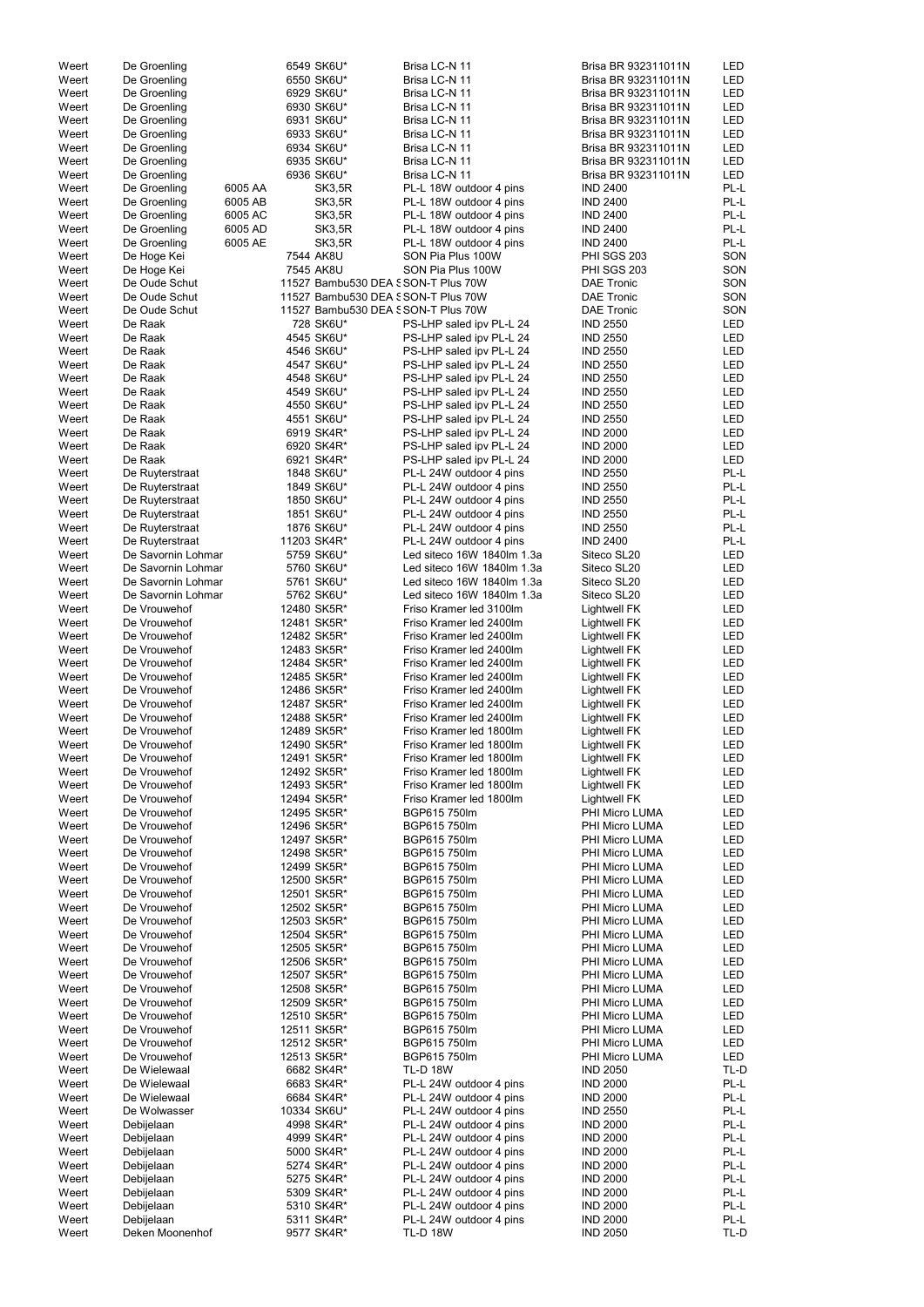| Weert | De Groenling       |         | 6549 SK6U*                         | Brisa LC-N 11              | Brisa BR 932311011N | LED        |
|-------|--------------------|---------|------------------------------------|----------------------------|---------------------|------------|
| Weert | De Groenling       |         | 6550 SK6U*                         | Brisa LC-N 11              | Brisa BR 932311011N | <b>LED</b> |
| Weert | De Groenling       |         | 6929 SK6U*                         | Brisa LC-N 11              | Brisa BR 932311011N | <b>LED</b> |
| Weert | De Groenling       |         | 6930 SK6U*                         | Brisa LC-N 11              | Brisa BR 932311011N | <b>LED</b> |
|       |                    |         |                                    |                            |                     |            |
| Weert | De Groenling       |         | 6931 SK6U*                         | Brisa LC-N 11              | Brisa BR 932311011N | LED        |
| Weert | De Groenling       |         | 6933 SK6U*                         | Brisa LC-N 11              | Brisa BR 932311011N | LED        |
| Weert | De Groenling       |         | 6934 SK6U*                         | Brisa LC-N 11              | Brisa BR 932311011N | <b>LED</b> |
| Weert | De Groenling       |         | 6935 SK6U*                         | Brisa LC-N 11              | Brisa BR 932311011N | LED        |
| Weert | De Groenling       |         | 6936 SK6U*                         | Brisa LC-N 11              | Brisa BR 932311011N | LED        |
| Weert | De Groenling       | 6005 AA | SK3,5R                             | PL-L 18W outdoor 4 pins    | <b>IND 2400</b>     | PL-L       |
|       |                    |         |                                    |                            |                     |            |
| Weert | De Groenling       | 6005 AB | SK3,5R                             | PL-L 18W outdoor 4 pins    | <b>IND 2400</b>     | PL-L       |
| Weert | De Groenling       | 6005 AC | SK3,5R                             | PL-L 18W outdoor 4 pins    | <b>IND 2400</b>     | PL-L       |
| Weert | De Groenling       | 6005 AD | SK3,5R                             | PL-L 18W outdoor 4 pins    | <b>IND 2400</b>     | PL-L       |
| Weert | De Groenling       | 6005 AE | SK3,5R                             | PL-L 18W outdoor 4 pins    | <b>IND 2400</b>     | PL-L       |
| Weert | De Hoge Kei        |         | 7544 AK8U                          | SON Pia Plus 100W          | <b>PHI SGS 203</b>  | SON        |
| Weert | De Hoge Kei        |         | 7545 AK8U                          | SON Pia Plus 100W          | <b>PHI SGS 203</b>  | SON        |
|       |                    |         |                                    |                            |                     |            |
| Weert | De Oude Schut      |         | 11527 Bambu530 DEA SSON-T Plus 70W |                            | <b>DAE Tronic</b>   | SON        |
| Weert | De Oude Schut      |         | 11527 Bambu530 DEA SSON-T Plus 70W |                            | <b>DAE Tronic</b>   | SON        |
| Weert | De Oude Schut      |         | 11527 Bambu530 DEA SSON-T Plus 70W |                            | <b>DAE Tronic</b>   | SON        |
| Weert | De Raak            |         | 728 SK6U*                          | PS-LHP saled ipv PL-L 24   | <b>IND 2550</b>     | LED        |
| Weert | De Raak            |         | 4545 SK6U*                         | PS-LHP saled ipv PL-L 24   | <b>IND 2550</b>     | LED        |
| Weert | De Raak            |         | 4546 SK6U*                         | PS-LHP saled ipv PL-L 24   | <b>IND 2550</b>     | <b>LED</b> |
|       |                    |         |                                    |                            |                     |            |
| Weert | De Raak            |         | 4547 SK6U*                         | PS-LHP saled ipv PL-L 24   | <b>IND 2550</b>     | LED        |
| Weert | De Raak            |         | 4548 SK6U*                         | PS-LHP saled ipv PL-L 24   | <b>IND 2550</b>     | LED        |
| Weert | De Raak            |         | 4549 SK6U*                         | PS-LHP saled ipv PL-L 24   | <b>IND 2550</b>     | LED        |
| Weert | De Raak            |         | 4550 SK6U*                         | PS-LHP saled ipv PL-L 24   | <b>IND 2550</b>     | <b>LED</b> |
| Weert | De Raak            |         | 4551 SK6U*                         | PS-LHP saled ipv PL-L 24   | <b>IND 2550</b>     | <b>LED</b> |
| Weert | De Raak            |         | 6919 SK4R*                         | PS-LHP saled ipv PL-L 24   | <b>IND 2000</b>     | <b>LED</b> |
|       |                    |         |                                    |                            |                     |            |
| Weert | De Raak            |         | 6920 SK4R*                         | PS-LHP saled ipv PL-L 24   | <b>IND 2000</b>     | <b>LED</b> |
| Weert | De Raak            |         | 6921 SK4R*                         | PS-LHP saled ipv PL-L 24   | <b>IND 2000</b>     | LED        |
| Weert | De Ruyterstraat    |         | 1848 SK6U*                         | PL-L 24W outdoor 4 pins    | <b>IND 2550</b>     | PL-L       |
| Weert | De Ruyterstraat    |         | 1849 SK6U*                         | PL-L 24W outdoor 4 pins    | <b>IND 2550</b>     | PL-L       |
| Weert | De Ruyterstraat    |         | 1850 SK6U*                         | PL-L 24W outdoor 4 pins    | <b>IND 2550</b>     | PL-L       |
| Weert | De Ruyterstraat    |         | 1851 SK6U*                         | PL-L 24W outdoor 4 pins    | <b>IND 2550</b>     | PL-L       |
|       |                    |         |                                    |                            |                     |            |
| Weert | De Ruyterstraat    |         | 1876 SK6U*                         | PL-L 24W outdoor 4 pins    | <b>IND 2550</b>     | PL-L       |
| Weert | De Ruyterstraat    |         | 11203 SK4R*                        | PL-L 24W outdoor 4 pins    | <b>IND 2400</b>     | PL-L       |
| Weert | De Savornin Lohmar |         | 5759 SK6U*                         | Led siteco 16W 1840lm 1.3a | Siteco SL20         | LED        |
| Weert | De Savornin Lohmar |         | 5760 SK6U*                         | Led siteco 16W 1840lm 1.3a | Siteco SL20         | LED        |
| Weert | De Savornin Lohmar |         | 5761 SK6U*                         | Led siteco 16W 1840lm 1.3a | Siteco SL20         | <b>LED</b> |
| Weert | De Savornin Lohmar |         | 5762 SK6U*                         | Led siteco 16W 1840lm 1.3a | Siteco SL20         | <b>LED</b> |
|       |                    |         |                                    |                            |                     |            |
| Weert | De Vrouwehof       |         | 12480 SK5R*                        | Friso Kramer led 3100lm    | <b>Lightwell FK</b> | <b>LED</b> |
| Weert | De Vrouwehof       |         | 12481 SK5R*                        | Friso Kramer led 2400lm    | <b>Lightwell FK</b> | LED        |
| Weert | De Vrouwehof       |         | 12482 SK5R*                        | Friso Kramer led 2400lm    | <b>Lightwell FK</b> | <b>LED</b> |
| Weert | De Vrouwehof       |         | 12483 SK5R*                        | Friso Kramer led 2400lm    | <b>Lightwell FK</b> | <b>LED</b> |
| Weert | De Vrouwehof       |         | 12484 SK5R*                        | Friso Kramer led 2400lm    | <b>Lightwell FK</b> | LED        |
|       |                    |         |                                    | Friso Kramer led 2400lm    |                     |            |
| Weert | De Vrouwehof       |         | 12485 SK5R*                        |                            | <b>Lightwell FK</b> | <b>LED</b> |
| Weert | De Vrouwehof       |         | 12486 SK5R*                        | Friso Kramer led 2400lm    | <b>Lightwell FK</b> | <b>LED</b> |
| Weert | De Vrouwehof       |         | 12487 SK5R*                        | Friso Kramer led 2400lm    | <b>Lightwell FK</b> | LED        |
| Weert | De Vrouwehof       |         | 12488 SK5R*                        | Friso Kramer led 2400lm    | <b>Lightwell FK</b> | <b>LED</b> |
| Weert | De Vrouwehof       |         | 12489 SK5R*                        | Friso Kramer led 1800lm    | <b>Lightwell FK</b> | <b>LED</b> |
| Weert | De Vrouwehof       |         | 12490 SK5R*                        | Friso Kramer led 1800lm    | <b>Lightwell FK</b> | <b>LED</b> |
|       |                    |         |                                    |                            |                     |            |
| Weert | De Vrouwehof       |         | 12491 SK5R*                        | Friso Kramer led 1800lm    | <b>Lightwell FK</b> | <b>LED</b> |
| Weert | De Vrouwehof       |         | 12492 SK5R*                        | Friso Kramer led 1800lm    | <b>Lightwell FK</b> | <b>LED</b> |
| Weert | De Vrouwehof       |         | 12493 SK5R*                        | Friso Kramer led 1800lm    | <b>Lightwell FK</b> | LED        |
| Weert | De Vrouwehof       |         | 12494 SK5R*                        | Friso Kramer led 1800lm    | <b>Lightwell FK</b> | <b>LED</b> |
| Weert | De Vrouwehof       |         | 12495 SK5R*                        | BGP615 750lm               | PHI Micro LUMA      | <b>LED</b> |
| Weert | De Vrouwehof       |         | 12496 SK5R*                        | BGP615 750lm               | PHI Micro LUMA      | <b>LED</b> |
|       |                    |         |                                    |                            |                     |            |
| Weert | De Vrouwehof       |         | 12497 SK5R*                        | BGP615 750lm               | PHI Micro LUMA      | LED        |
| Weert | De Vrouwehof       |         | 12498 SK5R*                        | BGP615 750lm               | PHI Micro LUMA      | <b>LED</b> |
| Weert | De Vrouwehof       |         | 12499 SK5R*                        | BGP615 750lm               | PHI Micro LUMA      | <b>LED</b> |
| Weert | De Vrouwehof       |         | 12500 SK5R*                        | BGP615 750lm               | PHI Micro LUMA      | <b>LED</b> |
| Weert | De Vrouwehof       |         | 12501 SK5R*                        | BGP615 750lm               | PHI Micro LUMA      | <b>LED</b> |
| Weert | De Vrouwehof       |         | 12502 SK5R*                        | BGP615 750lm               | PHI Micro LUMA      | <b>LED</b> |
|       |                    |         |                                    |                            |                     |            |
| Weert | De Vrouwehof       |         | 12503 SK5R*                        | BGP615 750lm               | PHI Micro LUMA      | <b>LED</b> |
| Weert | De Vrouwehof       |         | 12504 SK5R*                        | BGP615 750lm               | PHI Micro LUMA      | <b>LED</b> |
| Weert | De Vrouwehof       |         | 12505 SK5R*                        | BGP615 750lm               | PHI Micro LUMA      | <b>LED</b> |
| Weert | De Vrouwehof       |         | 12506 SK5R*                        | BGP615 750lm               | PHI Micro LUMA      | <b>LED</b> |
| Weert | De Vrouwehof       |         | 12507 SK5R*                        | BGP615 750lm               | PHI Micro LUMA      | <b>LED</b> |
| Weert | De Vrouwehof       |         | 12508 SK5R*                        | BGP615 750lm               | PHI Micro LUMA      | LED        |
|       |                    |         |                                    |                            |                     |            |
| Weert | De Vrouwehof       |         | 12509 SK5R*                        | BGP615 750lm               | PHI Micro LUMA      | <b>LED</b> |
| Weert | De Vrouwehof       |         | 12510 SK5R*                        | BGP615 750lm               | PHI Micro LUMA      | LED        |
| Weert | De Vrouwehof       |         | 12511 SK5R*                        | BGP615 750lm               | PHI Micro LUMA      | <b>LED</b> |
| Weert | De Vrouwehof       |         | 12512 SK5R*                        | BGP615 750lm               | PHI Micro LUMA      | LED        |
| Weert | De Vrouwehof       |         | 12513 SK5R*                        | BGP615 750lm               | PHI Micro LUMA      | LED        |
|       |                    |         |                                    |                            |                     |            |
| Weert | De Wielewaal       |         | 6682 SK4R*                         | <b>TL-D 18W</b>            | <b>IND 2050</b>     | TL-D       |
| Weert | De Wielewaal       |         | 6683 SK4R*                         | PL-L 24W outdoor 4 pins    | <b>IND 2000</b>     | PL-L       |
| Weert | De Wielewaal       |         | 6684 SK4R*                         | PL-L 24W outdoor 4 pins    | <b>IND 2000</b>     | PL-L       |
| Weert | De Wolwasser       |         | 10334 SK6U*                        | PL-L 24W outdoor 4 pins    | <b>IND 2550</b>     | PL-L       |
| Weert | Debijelaan         |         | 4998 SK4R*                         | PL-L 24W outdoor 4 pins    | <b>IND 2000</b>     | PL-L       |
| Weert | Debijelaan         |         | 4999 SK4R*                         | PL-L 24W outdoor 4 pins    | <b>IND 2000</b>     | PL-L       |
|       |                    |         |                                    |                            |                     |            |
| Weert | Debijelaan         |         | 5000 SK4R*                         | PL-L 24W outdoor 4 pins    | <b>IND 2000</b>     | PL-L       |
| Weert | Debijelaan         |         | 5274 SK4R*                         | PL-L 24W outdoor 4 pins    | <b>IND 2000</b>     | PL-L       |
| Weert | Debijelaan         |         | 5275 SK4R*                         | PL-L 24W outdoor 4 pins    | <b>IND 2000</b>     | PL-L       |
| Weert | Debijelaan         |         | 5309 SK4R*                         | PL-L 24W outdoor 4 pins    | <b>IND 2000</b>     | PL-L       |
| Weert | Debijelaan         |         | 5310 SK4R*                         | PL-L 24W outdoor 4 pins    | <b>IND 2000</b>     | PL-L       |
|       |                    |         |                                    |                            |                     |            |
| Weert | Debijelaan         |         | 5311 SK4R*                         | PL-L 24W outdoor 4 pins    | <b>IND 2000</b>     | PL-L       |
| Weert | Deken Moonenhof    |         | 9577 SK4R*                         | <b>TL-D 18W</b>            | <b>IND 2050</b>     | TL-D       |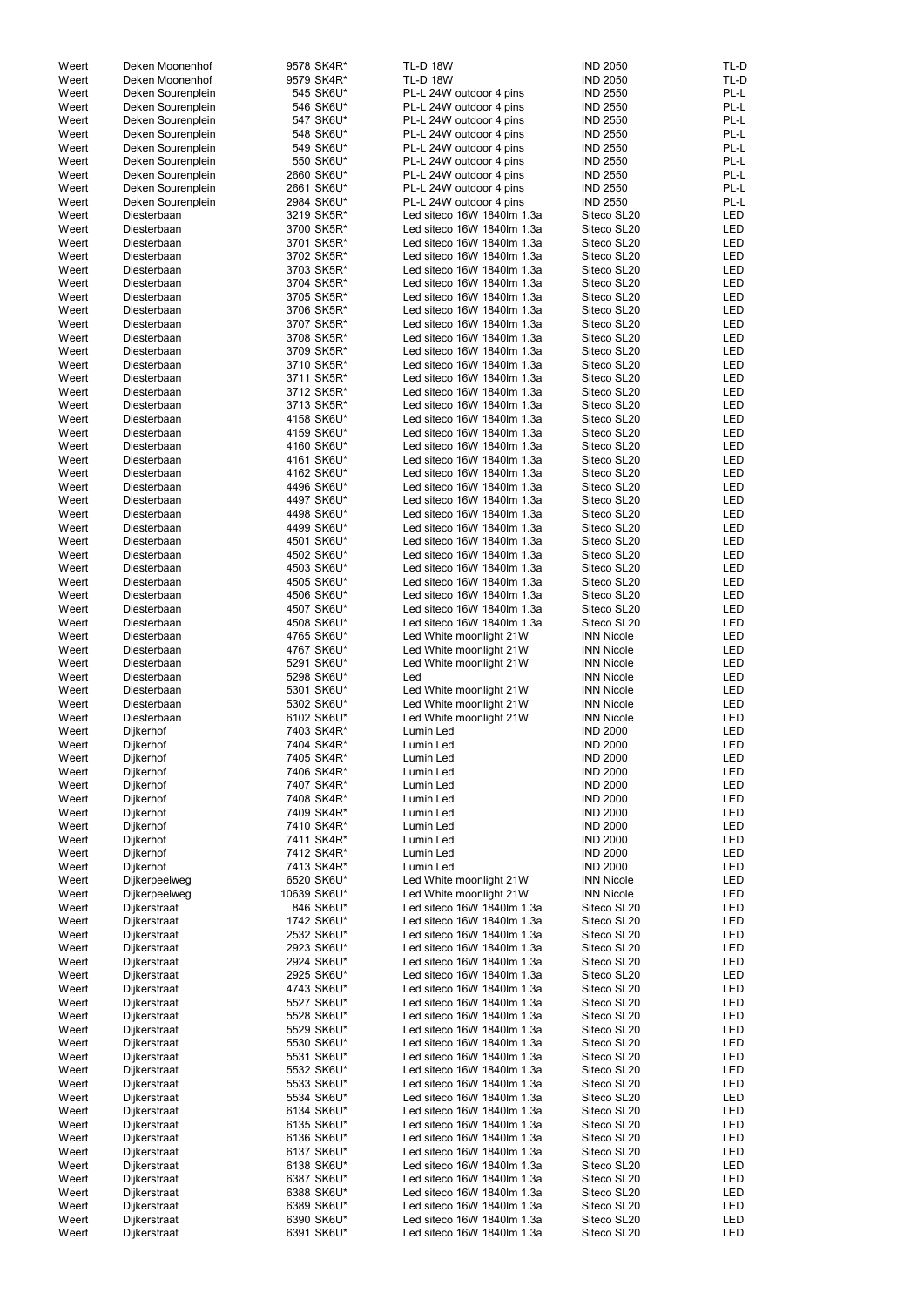| Weert | Deken Moonenhof   | 9578 SK4R*  | <b>TL-D 18W</b>            | <b>IND 2050</b>   | TL-D       |
|-------|-------------------|-------------|----------------------------|-------------------|------------|
| Weert | Deken Moonenhof   | 9579 SK4R*  | <b>TL-D 18W</b>            | <b>IND 2050</b>   | TL-D       |
| Weert | Deken Sourenplein | 545 SK6U*   | PL-L 24W outdoor 4 pins    | <b>IND 2550</b>   | PL-L       |
| Weert | Deken Sourenplein | 546 SK6U*   | PL-L 24W outdoor 4 pins    | <b>IND 2550</b>   | PL-L       |
| Weert | Deken Sourenplein | 547 SK6U*   | PL-L 24W outdoor 4 pins    | <b>IND 2550</b>   | PL-L       |
| Weert | Deken Sourenplein | 548 SK6U*   | PL-L 24W outdoor 4 pins    | <b>IND 2550</b>   | PL-L       |
| Weert | Deken Sourenplein | 549 SK6U*   | PL-L 24W outdoor 4 pins    | <b>IND 2550</b>   | PL-L       |
| Weert | Deken Sourenplein | 550 SK6U*   | PL-L 24W outdoor 4 pins    | <b>IND 2550</b>   | PL-L       |
| Weert | Deken Sourenplein | 2660 SK6U*  | PL-L 24W outdoor 4 pins    | <b>IND 2550</b>   | PL-L       |
| Weert | Deken Sourenplein | 2661 SK6U*  | PL-L 24W outdoor 4 pins    | <b>IND 2550</b>   | PL-L       |
| Weert | Deken Sourenplein | 2984 SK6U*  | PL-L 24W outdoor 4 pins    | <b>IND 2550</b>   | PL-L       |
|       |                   |             |                            |                   |            |
| Weert | Diesterbaan       | 3219 SK5R*  | Led siteco 16W 1840lm 1.3a | Siteco SL20       | LED        |
| Weert | Diesterbaan       | 3700 SK5R*  | Led siteco 16W 1840lm 1.3a | Siteco SL20       | LED        |
| Weert | Diesterbaan       | 3701 SK5R*  | Led siteco 16W 1840lm 1.3a | Siteco SL20       | LED        |
| Weert | Diesterbaan       | 3702 SK5R*  | Led siteco 16W 1840lm 1.3a | Siteco SL20       | LED        |
| Weert | Diesterbaan       | 3703 SK5R*  | Led siteco 16W 1840lm 1.3a | Siteco SL20       | LED        |
| Weert | Diesterbaan       | 3704 SK5R*  | Led siteco 16W 1840lm 1.3a | Siteco SL20       | LED        |
| Weert | Diesterbaan       | 3705 SK5R*  | Led siteco 16W 1840lm 1.3a | Siteco SL20       | LED        |
| Weert | Diesterbaan       | 3706 SK5R*  | Led siteco 16W 1840lm 1.3a | Siteco SL20       | LED        |
| Weert | Diesterbaan       | 3707 SK5R*  | Led siteco 16W 1840lm 1.3a | Siteco SL20       | LED        |
| Weert | Diesterbaan       | 3708 SK5R*  | Led siteco 16W 1840lm 1.3a | Siteco SL20       | LED        |
| Weert | Diesterbaan       | 3709 SK5R*  | Led siteco 16W 1840lm 1.3a | Siteco SL20       | LED        |
| Weert | Diesterbaan       | 3710 SK5R*  | Led siteco 16W 1840lm 1.3a | Siteco SL20       | LED        |
| Weert | Diesterbaan       | 3711 SK5R*  | Led siteco 16W 1840lm 1.3a | Siteco SL20       | LED        |
| Weert | Diesterbaan       | 3712 SK5R*  | Led siteco 16W 1840lm 1.3a | Siteco SL20       | LED        |
| Weert | Diesterbaan       | 3713 SK5R*  | Led siteco 16W 1840lm 1.3a | Siteco SL20       | LED        |
| Weert | Diesterbaan       | 4158 SK6U*  | Led siteco 16W 1840lm 1.3a | Siteco SL20       | LED        |
|       | Diesterbaan       |             | Led siteco 16W 1840lm 1.3a | Siteco SL20       | LED        |
| Weert |                   | 4159 SK6U*  |                            |                   |            |
| Weert | Diesterbaan       | 4160 SK6U*  | Led siteco 16W 1840lm 1.3a | Siteco SL20       | LED        |
| Weert | Diesterbaan       | 4161 SK6U*  | Led siteco 16W 1840lm 1.3a | Siteco SL20       | LED        |
| Weert | Diesterbaan       | 4162 SK6U*  | Led siteco 16W 1840lm 1.3a | Siteco SL20       | LED        |
| Weert | Diesterbaan       | 4496 SK6U*  | Led siteco 16W 1840lm 1.3a | Siteco SL20       | LED        |
| Weert | Diesterbaan       | 4497 SK6U*  | Led siteco 16W 1840lm 1.3a | Siteco SL20       | LED        |
| Weert | Diesterbaan       | 4498 SK6U*  | Led siteco 16W 1840lm 1.3a | Siteco SL20       | LED        |
| Weert | Diesterbaan       | 4499 SK6U*  | Led siteco 16W 1840lm 1.3a | Siteco SL20       | LED        |
| Weert | Diesterbaan       | 4501 SK6U*  | Led siteco 16W 1840lm 1.3a | Siteco SL20       | LED        |
| Weert | Diesterbaan       | 4502 SK6U*  | Led siteco 16W 1840lm 1.3a | Siteco SL20       | LED        |
| Weert | Diesterbaan       | 4503 SK6U*  | Led siteco 16W 1840lm 1.3a | Siteco SL20       | LED        |
| Weert | Diesterbaan       | 4505 SK6U*  | Led siteco 16W 1840lm 1.3a | Siteco SL20       | LED        |
| Weert | Diesterbaan       | 4506 SK6U*  | Led siteco 16W 1840lm 1.3a | Siteco SL20       | LED        |
| Weert | Diesterbaan       | 4507 SK6U*  | Led siteco 16W 1840lm 1.3a | Siteco SL20       | LED        |
| Weert | Diesterbaan       | 4508 SK6U*  | Led siteco 16W 1840lm 1.3a | Siteco SL20       | LED        |
| Weert | Diesterbaan       | 4765 SK6U*  | Led White moonlight 21W    | <b>INN Nicole</b> | LED        |
| Weert | Diesterbaan       | 4767 SK6U*  | Led White moonlight 21W    | <b>INN Nicole</b> | LED        |
|       |                   |             |                            |                   |            |
| Weert | Diesterbaan       | 5291 SK6U*  | Led White moonlight 21W    | <b>INN Nicole</b> | LED        |
| Weert | Diesterbaan       | 5298 SK6U*  | Led                        | <b>INN Nicole</b> | LED        |
| Weert | Diesterbaan       | 5301 SK6U*  | Led White moonlight 21W    | <b>INN Nicole</b> | LED        |
| Weert | Diesterbaan       | 5302 SK6U*  | Led White moonlight 21W    | <b>INN Nicole</b> | <b>LED</b> |
| Weert | Diesterbaan       | 6102 SK6U*  | Led White moonlight 21W    | <b>INN Nicole</b> | <b>LED</b> |
| Weert | Dijkerhof         | 7403 SK4R*  | Lumin Led                  | <b>IND 2000</b>   | <b>LED</b> |
| Weert | Dijkerhof         | 7404 SK4R*  | Lumin Led                  | <b>IND 2000</b>   | <b>LED</b> |
| Weert | Dijkerhof         | 7405 SK4R*  | Lumin Led                  | <b>IND 2000</b>   | <b>LED</b> |
| Weert | Dijkerhof         | 7406 SK4R*  | Lumin Led                  | <b>IND 2000</b>   | <b>LED</b> |
| Weert | Dijkerhof         | 7407 SK4R*  | Lumin Led                  | <b>IND 2000</b>   | LED        |
| Weert | Dijkerhof         | 7408 SK4R*  | Lumin Led                  | <b>IND 2000</b>   | LED        |
| Weert | Dijkerhof         | 7409 SK4R*  | Lumin Led                  | <b>IND 2000</b>   | <b>LED</b> |
| Weert | Dijkerhof         | 7410 SK4R*  | Lumin Led                  | <b>IND 2000</b>   | <b>LED</b> |
| Weert | Dijkerhof         | 7411 SK4R*  | Lumin Led                  | <b>IND 2000</b>   | <b>LED</b> |
| Weert | Dijkerhof         | 7412 SK4R*  | Lumin Led                  | <b>IND 2000</b>   | LED        |
| Weert |                   | 7413 SK4R*  | Lumin Led                  | <b>IND 2000</b>   | LED        |
|       | Dijkerhof         |             |                            |                   |            |
| Weert | Dijkerpeelweg     | 6520 SK6U*  | Led White moonlight 21W    | <b>INN Nicole</b> | LED        |
| Weert | Dijkerpeelweg     | 10639 SK6U* | Led White moonlight 21W    | <b>INN Nicole</b> | LED        |
| Weert | Dijkerstraat      | 846 SK6U*   | Led siteco 16W 1840lm 1.3a | Siteco SL20       | LED        |
| Weert | Dijkerstraat      | 1742 SK6U*  | Led siteco 16W 1840lm 1.3a | Siteco SL20       | LED        |
| Weert | Dijkerstraat      | 2532 SK6U*  | Led siteco 16W 1840lm 1.3a | Siteco SL20       | <b>LED</b> |
| Weert | Dijkerstraat      | 2923 SK6U*  | Led siteco 16W 1840lm 1.3a | Siteco SL20       | LED        |
| Weert | Dijkerstraat      | 2924 SK6U*  | Led siteco 16W 1840lm 1.3a | Siteco SL20       | <b>LED</b> |
| Weert | Dijkerstraat      | 2925 SK6U*  | Led siteco 16W 1840lm 1.3a | Siteco SL20       | LED        |
| Weert | Dijkerstraat      | 4743 SK6U*  | Led siteco 16W 1840lm 1.3a | Siteco SL20       | LED        |
| Weert | Dijkerstraat      | 5527 SK6U*  | Led siteco 16W 1840lm 1.3a | Siteco SL20       | LED        |
| Weert | Dijkerstraat      | 5528 SK6U*  | Led siteco 16W 1840lm 1.3a | Siteco SL20       | LED        |
| Weert | Dijkerstraat      | 5529 SK6U*  | Led siteco 16W 1840lm 1.3a | Siteco SL20       | LED        |
| Weert | Dijkerstraat      | 5530 SK6U*  | Led siteco 16W 1840lm 1.3a | Siteco SL20       | LED        |
| Weert | Dijkerstraat      | 5531 SK6U*  | Led siteco 16W 1840lm 1.3a | Siteco SL20       | LED        |
| Weert | Dijkerstraat      | 5532 SK6U*  | Led siteco 16W 1840lm 1.3a | Siteco SL20       | LED        |
| Weert |                   | 5533 SK6U*  | Led siteco 16W 1840lm 1.3a | Siteco SL20       | LED        |
|       | Dijkerstraat      |             | Led siteco 16W 1840lm 1.3a |                   |            |
| Weert | Dijkerstraat      | 5534 SK6U*  |                            | Siteco SL20       | LED        |
| Weert | Dijkerstraat      | 6134 SK6U*  | Led siteco 16W 1840lm 1.3a | Siteco SL20       | LED        |
| Weert | Dijkerstraat      | 6135 SK6U*  | Led siteco 16W 1840lm 1.3a | Siteco SL20       | LED        |
| Weert | Dijkerstraat      | 6136 SK6U*  | Led siteco 16W 1840lm 1.3a | Siteco SL20       | LED        |
| Weert | Dijkerstraat      | 6137 SK6U*  | Led siteco 16W 1840lm 1.3a | Siteco SL20       | LED        |
| Weert | Dijkerstraat      | 6138 SK6U*  | Led siteco 16W 1840lm 1.3a | Siteco SL20       | LED        |
| Weert | Dijkerstraat      | 6387 SK6U*  | Led siteco 16W 1840lm 1.3a | Siteco SL20       | LED        |
| Weert | Dijkerstraat      | 6388 SK6U*  | Led siteco 16W 1840lm 1.3a | Siteco SL20       | LED        |
| Weert | Dijkerstraat      | 6389 SK6U*  | Led siteco 16W 1840lm 1.3a | Siteco SL20       | LED        |
| Weert | Dijkerstraat      | 6390 SK6U*  | Led siteco 16W 1840lm 1.3a | Siteco SL20       | LED        |
| Weert | Dijkerstraat      | 6391 SK6U*  | Led siteco 16W 1840lm 1.3a | Siteco SL20       | LED        |
|       |                   |             |                            |                   |            |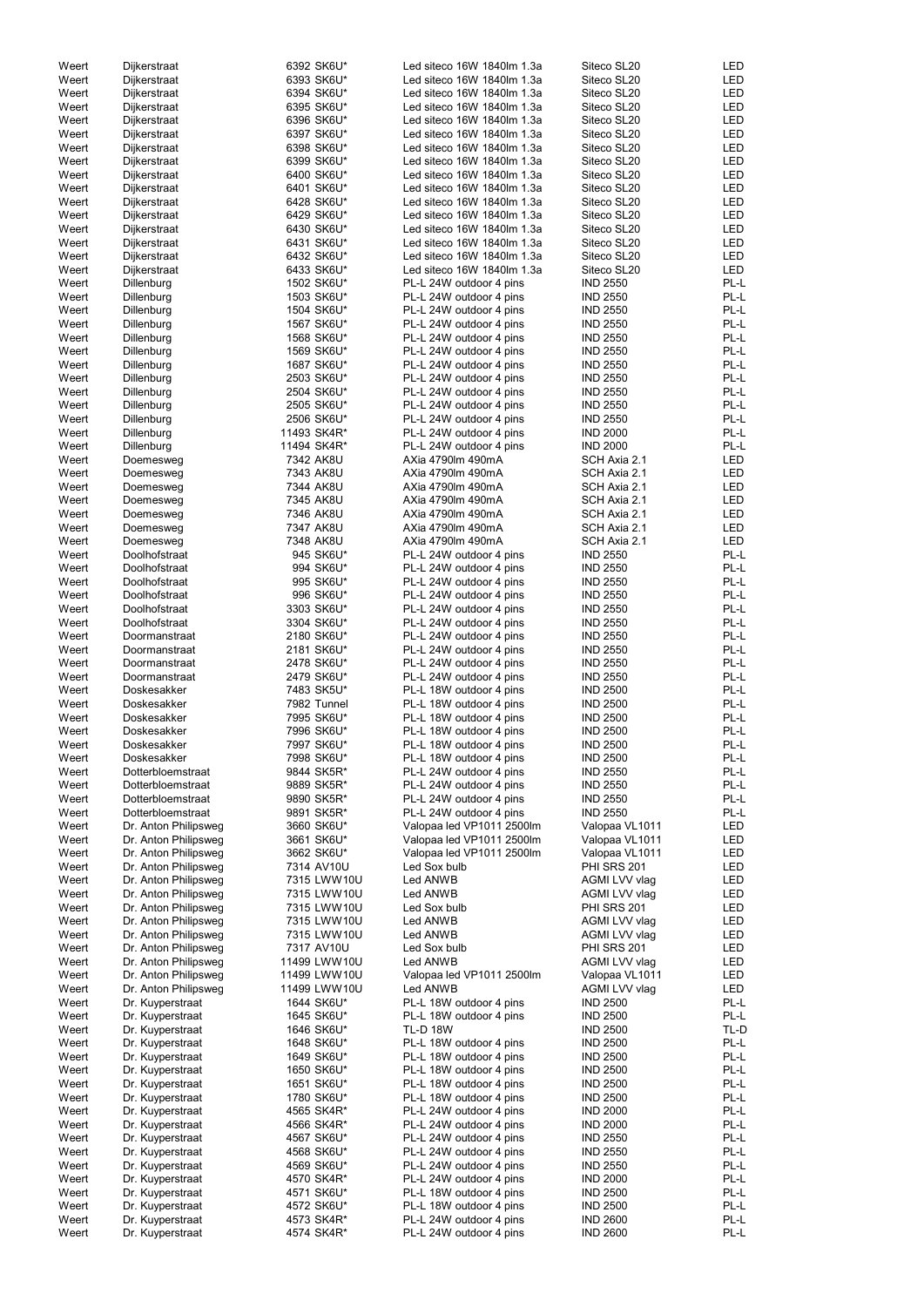| Weert          | Dijkerstraat                         | 6392 SK6U*               | Led siteco 16W 1840lm 1.3a                         | Siteco SL20                        | LED          |
|----------------|--------------------------------------|--------------------------|----------------------------------------------------|------------------------------------|--------------|
| Weert          | Dijkerstraat                         | 6393 SK6U*               | Led siteco 16W 1840lm 1.3a                         | Siteco SL20                        | LED          |
| Weert          | Dijkerstraat                         | 6394 SK6U*               | Led siteco 16W 1840lm 1.3a                         | Siteco SL20                        | LED          |
| Weert          | Dijkerstraat                         | 6395 SK6U*               | Led siteco 16W 1840lm 1.3a                         | Siteco SL20                        | LED          |
| Weert          | Dijkerstraat                         | 6396 SK6U*               | Led siteco 16W 1840lm 1.3a                         | Siteco SL20                        | LED          |
| Weert          | Dijkerstraat                         | 6397 SK6U*               | Led siteco 16W 1840lm 1.3a                         | Siteco SL20                        | LED          |
| Weert          | Dijkerstraat                         | 6398 SK6U*               | Led siteco 16W 1840lm 1.3a                         | Siteco SL20                        | LED          |
| Weert          | Dijkerstraat                         | 6399 SK6U*               | Led siteco 16W 1840lm 1.3a                         | Siteco SL20                        | LED          |
| Weert          | Dijkerstraat                         | 6400 SK6U*               | Led siteco 16W 1840lm 1.3a                         | Siteco SL20                        | LED          |
| Weert          | Dijkerstraat                         | 6401 SK6U*               | Led siteco 16W 1840lm 1.3a                         | Siteco SL20                        | LED          |
| Weert          | Dijkerstraat                         | 6428 SK6U*               | Led siteco 16W 1840lm 1.3a                         | Siteco SL20                        | LED          |
| Weert          | Dijkerstraat                         | 6429 SK6U*               | Led siteco 16W 1840lm 1.3a                         | Siteco SL20                        | LED          |
| Weert          | Dijkerstraat                         | 6430 SK6U*               | Led siteco 16W 1840lm 1.3a                         | Siteco SL20                        | LED          |
| Weert          | Dijkerstraat                         | 6431 SK6U*               | Led siteco 16W 1840lm 1.3a                         | Siteco SL20                        | LED          |
| Weert          | Dijkerstraat                         | 6432 SK6U*               | Led siteco 16W 1840lm 1.3a                         | Siteco SL20                        | LED          |
| Weert          | Dijkerstraat                         | 6433 SK6U*               | Led siteco 16W 1840lm 1.3a                         | Siteco SL20                        | <b>LED</b>   |
| Weert          | Dillenburg                           | 1502 SK6U*               | PL-L 24W outdoor 4 pins                            | <b>IND 2550</b>                    | PL-L         |
| Weert          | Dillenburg                           | 1503 SK6U*               | PL-L 24W outdoor 4 pins                            | <b>IND 2550</b>                    | PL-L         |
| Weert          | Dillenburg                           | 1504 SK6U*               | PL-L 24W outdoor 4 pins                            | <b>IND 2550</b>                    | PL-L         |
| Weert          | Dillenburg                           | 1567 SK6U*               | PL-L 24W outdoor 4 pins                            | <b>IND 2550</b>                    | PL-L         |
| Weert          | Dillenburg                           | 1568 SK6U*               | PL-L 24W outdoor 4 pins                            | <b>IND 2550</b>                    | PL-L         |
| Weert          | Dillenburg                           | 1569 SK6U*               | PL-L 24W outdoor 4 pins                            | <b>IND 2550</b>                    | PL-L         |
| Weert          | Dillenburg                           | 1687 SK6U*               | PL-L 24W outdoor 4 pins                            | <b>IND 2550</b>                    | PL-L         |
| Weert          | Dillenburg                           | 2503 SK6U*               | PL-L 24W outdoor 4 pins                            | <b>IND 2550</b>                    | PL-L         |
| Weert          | Dillenburg                           | 2504 SK6U*               | PL-L 24W outdoor 4 pins                            | <b>IND 2550</b>                    | PL-L         |
| Weert          | Dillenburg                           | 2505 SK6U*               | PL-L 24W outdoor 4 pins                            | <b>IND 2550</b>                    | PL-L         |
| Weert          | Dillenburg                           | 2506 SK6U*               | PL-L 24W outdoor 4 pins                            | <b>IND 2550</b>                    | PL-L         |
| Weert          | Dillenburg                           | 11493 SK4R*              | PL-L 24W outdoor 4 pins                            | <b>IND 2000</b>                    | PL-L         |
| Weert          | Dillenburg                           | 11494 SK4R*              | PL-L 24W outdoor 4 pins                            | <b>IND 2000</b>                    | PL-L         |
| Weert          | Doemesweg                            | 7342 AK8U                | AXia 4790lm 490mA                                  | SCH Axia 2.1                       | LED          |
| Weert<br>Weert | Doemesweg                            | 7343 AK8U                | AXia 4790lm 490mA<br>AXia 4790lm 490mA             | SCH Axia 2.1<br>SCH Axia 2.1       | LED<br>LED   |
| Weert          | Doemesweg                            | 7344 AK8U<br>7345 AK8U   | AXia 4790lm 490mA                                  | SCH Axia 2.1                       | LED          |
| Weert          | Doemesweg<br>Doemesweg               | 7346 AK8U                | AXia 4790lm 490mA                                  | SCH Axia 2.1                       | LED          |
| Weert          | Doemesweg                            | 7347 AK8U                | AXia 4790lm 490mA                                  | SCH Axia 2.1                       | LED          |
| Weert          | Doemesweg                            | 7348 AK8U                | AXia 4790lm 490mA                                  | SCH Axia 2.1                       | <b>LED</b>   |
| Weert          | Doolhofstraat                        | 945 SK6U*                | PL-L 24W outdoor 4 pins                            | <b>IND 2550</b>                    | PL-L         |
| Weert          | Doolhofstraat                        | 994 SK6U*                | PL-L 24W outdoor 4 pins                            | <b>IND 2550</b>                    | PL-L         |
| Weert          | Doolhofstraat                        | 995 SK6U*                | PL-L 24W outdoor 4 pins                            | <b>IND 2550</b>                    | PL-L         |
| Weert          | Doolhofstraat                        | 996 SK6U*                | PL-L 24W outdoor 4 pins                            | <b>IND 2550</b>                    | PL-L         |
| Weert          | Doolhofstraat                        | 3303 SK6U*               | PL-L 24W outdoor 4 pins                            | <b>IND 2550</b>                    | PL-L         |
| Weert          | Doolhofstraat                        | 3304 SK6U*               | PL-L 24W outdoor 4 pins                            | <b>IND 2550</b>                    | PL-L         |
| Weert          | Doormanstraat                        | 2180 SK6U*               | PL-L 24W outdoor 4 pins                            | <b>IND 2550</b>                    | PL-L         |
| Weert          | Doormanstraat                        | 2181 SK6U*               | PL-L 24W outdoor 4 pins                            | <b>IND 2550</b>                    | PL-L         |
| Weert          | Doormanstraat                        | 2478 SK6U*               | PL-L 24W outdoor 4 pins                            | <b>IND 2550</b>                    | PL-L         |
| Weert          | Doormanstraat                        | 2479 SK6U*               | PL-L 24W outdoor 4 pins                            | <b>IND 2550</b>                    | PL-L         |
| Weert          | Doskesakker                          | 7483 SK5U*               | PL-L 18W outdoor 4 pins                            | <b>IND 2500</b>                    | PL-L         |
| Weert          | Doskesakker                          | 7982 Tunnel              | PL-L 18W outdoor 4 pins                            | <b>IND 2500</b>                    | PL-L         |
| Weert          | Doskesakker                          | 7995 SK6U*               | PL-L 18W outdoor 4 pins                            | <b>IND 2500</b>                    | PL-L         |
| Weert          | Doskesakker                          | 7996 SK6U*               | PL-L 18W outdoor 4 pins                            | <b>IND 2500</b>                    | PL-L         |
| Weert          | Doskesakker                          | 7997 SK6U*               | PL-L 18W outdoor 4 pins                            | <b>IND 2500</b>                    | PL-L         |
| Weert          | Doskesakker                          | 7998 SK6U*               | PL-L 18W outdoor 4 pins                            | <b>IND 2500</b>                    | PL-L         |
| Weert          | Dotterbloemstraat                    | 9844 SK5R*               | PL-L 24W outdoor 4 pins                            | <b>IND 2550</b>                    | PL-L         |
| Weert          | Dotterbloemstraat                    | 9889 SK5R*               | PL-L 24W outdoor 4 pins                            | <b>IND 2550</b>                    | PL-L         |
| Weert          | Dotterbloemstraat                    | 9890 SK5R*               | PL-L 24W outdoor 4 pins                            | <b>IND 2550</b>                    | PL-L         |
| Weert          | Dotterbloemstraat                    | 9891 SK5R*               | PL-L 24W outdoor 4 pins                            | <b>IND 2550</b>                    | PL-L         |
| Weert          | Dr. Anton Philipsweg                 | 3660 SK6U*               | Valopaa led VP1011 2500lm                          | Valopaa VL1011                     | LED          |
| Weert          | Dr. Anton Philipsweg                 | 3661 SK6U*               | Valopaa led VP1011 2500lm                          | Valopaa VL1011                     | LED          |
| Weert          | Dr. Anton Philipsweg                 | 3662 SK6U*               | Valopaa led VP1011 2500lm                          | Valopaa VL1011                     | <b>LED</b>   |
| Weert          | Dr. Anton Philipsweg                 | 7314 AV10U               | Led Sox bulb                                       | <b>PHI SRS 201</b>                 | <b>LED</b>   |
| Weert          | Dr. Anton Philipsweg                 | 7315 LWW10U              | Led ANWB                                           | AGMI LVV vlag                      | LED          |
| Weert          | Dr. Anton Philipsweg                 | 7315 LWW10U              | Led ANWB                                           | AGMI LVV vlag                      | LED          |
| Weert          | Dr. Anton Philipsweg                 | 7315 LWW10U              | Led Sox bulb                                       | PHI SRS 201                        | LED          |
| Weert          | Dr. Anton Philipsweg                 | 7315 LWW10U              | Led ANWB                                           | AGMI LVV vlag                      | LED          |
| Weert          | Dr. Anton Philipsweg                 | 7315 LWW10U              | Led ANWB                                           | AGMI LVV vlag                      | LED          |
| Weert          | Dr. Anton Philipsweg                 | 7317 AV10U               | Led Sox bulb                                       | <b>PHI SRS 201</b>                 | <b>LED</b>   |
| Weert          | Dr. Anton Philipsweg                 | 11499 LWW10U             | Led ANWB                                           | AGMI LVV vlag                      | LED          |
| Weert          | Dr. Anton Philipsweg                 | 11499 LWW10U             | Valopaa led VP1011 2500lm                          | Valopaa VL1011                     | LED          |
| Weert          | Dr. Anton Philipsweg                 | 11499 LWW10U             | Led ANWB                                           | AGMI LVV vlag                      | <b>LED</b>   |
| Weert          | Dr. Kuyperstraat                     | 1644 SK6U*               | PL-L 18W outdoor 4 pins                            | <b>IND 2500</b>                    | PL-L         |
| Weert          | Dr. Kuyperstraat                     | 1645 SK6U*               | PL-L 18W outdoor 4 pins                            | <b>IND 2500</b>                    | PL-L         |
| Weert          | Dr. Kuyperstraat                     | 1646 SK6U*               | <b>TL-D 18W</b>                                    | <b>IND 2500</b>                    | TL-D         |
| Weert          | Dr. Kuyperstraat                     | 1648 SK6U*               | PL-L 18W outdoor 4 pins                            | <b>IND 2500</b>                    | PL-L         |
| Weert          | Dr. Kuyperstraat                     | 1649 SK6U*               | PL-L 18W outdoor 4 pins                            | <b>IND 2500</b>                    | PL-L         |
| Weert          | Dr. Kuyperstraat                     | 1650 SK6U*               | PL-L 18W outdoor 4 pins                            | <b>IND 2500</b>                    | PL-L<br>PL-L |
| Weert          | Dr. Kuyperstraat                     | 1651 SK6U*<br>1780 SK6U* | PL-L 18W outdoor 4 pins                            | <b>IND 2500</b>                    | PL-L         |
| Weert<br>Weert | Dr. Kuyperstraat                     | 4565 SK4R*               | PL-L 18W outdoor 4 pins<br>PL-L 24W outdoor 4 pins | <b>IND 2500</b><br><b>IND 2000</b> | PL-L         |
| Weert          | Dr. Kuyperstraat<br>Dr. Kuyperstraat | 4566 SK4R*               | PL-L 24W outdoor 4 pins                            | <b>IND 2000</b>                    | PL-L         |
| Weert          | Dr. Kuyperstraat                     | 4567 SK6U*               | PL-L 24W outdoor 4 pins                            | <b>IND 2550</b>                    | PL-L         |
| Weert          | Dr. Kuyperstraat                     | 4568 SK6U*               | PL-L 24W outdoor 4 pins                            | <b>IND 2550</b>                    | PL-L         |
| Weert          | Dr. Kuyperstraat                     | 4569 SK6U*               | PL-L 24W outdoor 4 pins                            | <b>IND 2550</b>                    | PL-L         |
| Weert          | Dr. Kuyperstraat                     | 4570 SK4R*               | PL-L 24W outdoor 4 pins                            | <b>IND 2000</b>                    | PL-L         |
| Weert          | Dr. Kuyperstraat                     | 4571 SK6U*               | PL-L 18W outdoor 4 pins                            | <b>IND 2500</b>                    | PL-L         |
| Weert          | Dr. Kuyperstraat                     | 4572 SK6U*               | PL-L 18W outdoor 4 pins                            | <b>IND 2500</b>                    | PL-L         |
| Weert          | Dr. Kuyperstraat                     | 4573 SK4R*               | PL-L 24W outdoor 4 pins                            | <b>IND 2600</b>                    | PL-L         |
| Weert          | Dr. Kuyperstraat                     | 4574 SK4R*               | PL-L 24W outdoor 4 pins                            | <b>IND 2600</b>                    | PL-L         |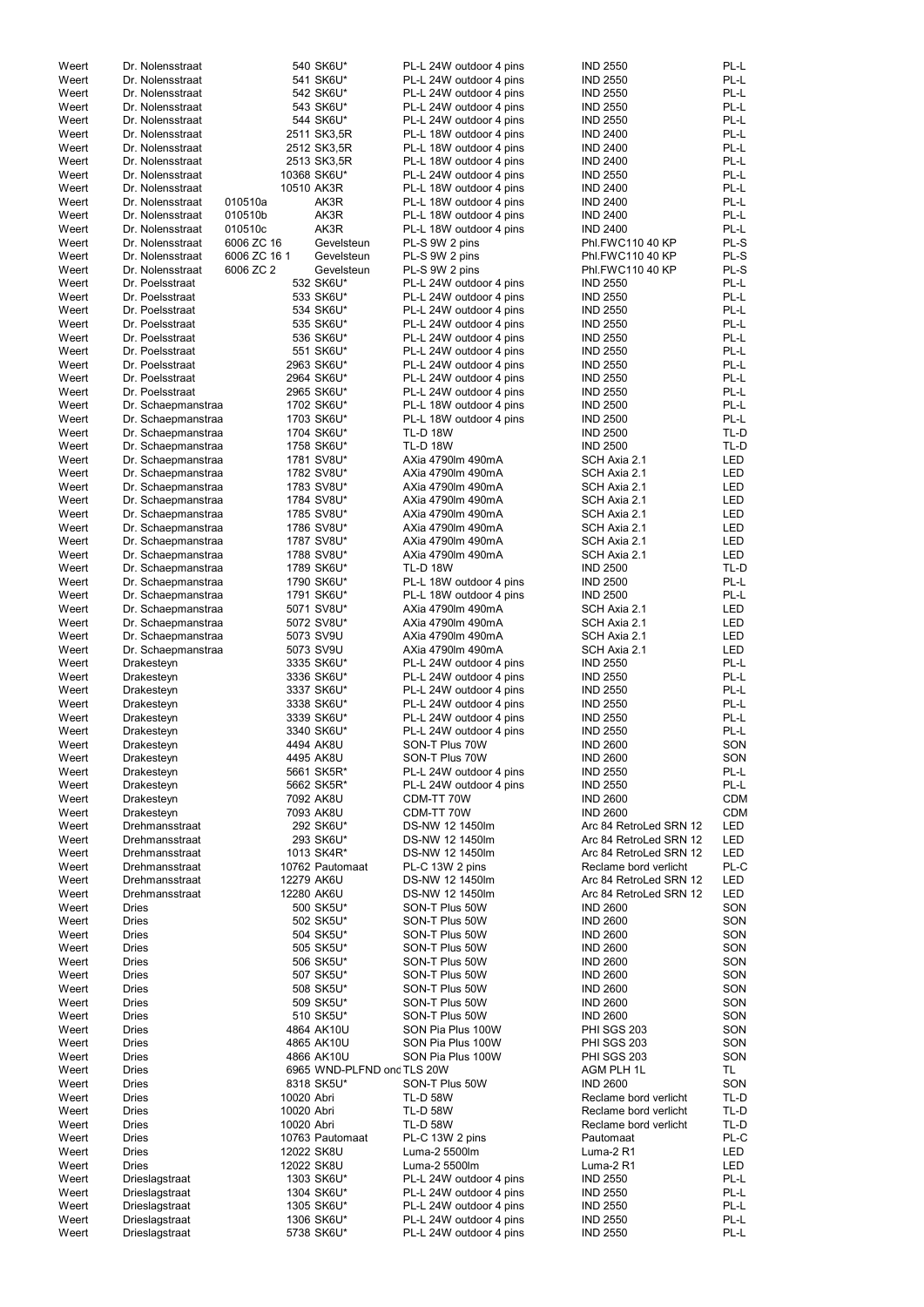| Weert          | Dr. Nolensstraat                         |                          | 540 SK6U*                  | PL-L 24W outdoor 4 pins                            | <b>IND 2550</b>                                | PL-L                     |
|----------------|------------------------------------------|--------------------------|----------------------------|----------------------------------------------------|------------------------------------------------|--------------------------|
| Weert          | Dr. Nolensstraat                         |                          | 541 SK6U*                  | PL-L 24W outdoor 4 pins                            | <b>IND 2550</b>                                | PL-L                     |
| Weert          | Dr. Nolensstraat                         |                          | 542 SK6U*                  | PL-L 24W outdoor 4 pins                            | <b>IND 2550</b>                                | PL-L                     |
| Weert          | Dr. Nolensstraat                         |                          | 543 SK6U*                  | PL-L 24W outdoor 4 pins                            | <b>IND 2550</b>                                | PL-L                     |
| Weert          | Dr. Nolensstraat                         |                          | 544 SK6U*                  | PL-L 24W outdoor 4 pins                            | <b>IND 2550</b>                                | PL-L                     |
| Weert<br>Weert | Dr. Nolensstraat<br>Dr. Nolensstraat     |                          | 2511 SK3,5R<br>2512 SK3,5R | PL-L 18W outdoor 4 pins<br>PL-L 18W outdoor 4 pins | <b>IND 2400</b><br><b>IND 2400</b>             | PL-L<br>PL-L             |
| Weert          | Dr. Nolensstraat                         |                          | 2513 SK3,5R                | PL-L 18W outdoor 4 pins                            | <b>IND 2400</b>                                | PL-L                     |
| Weert          | Dr. Nolensstraat                         |                          | 10368 SK6U*                | PL-L 24W outdoor 4 pins                            | <b>IND 2550</b>                                | PL-L                     |
| Weert          | Dr. Nolensstraat                         | 10510 AK3R               |                            | PL-L 18W outdoor 4 pins                            | <b>IND 2400</b>                                | PL-L                     |
| Weert          | Dr. Nolensstraat                         | 010510a                  | AK3R                       | PL-L 18W outdoor 4 pins                            | <b>IND 2400</b>                                | PL-L                     |
| Weert          | Dr. Nolensstraat                         | 010510b                  | AK3R                       | PL-L 18W outdoor 4 pins                            | <b>IND 2400</b>                                | PL-L                     |
| Weert          | Dr. Nolensstraat                         | 010510c                  | AK3R                       | PL-L 18W outdoor 4 pins                            | <b>IND 2400</b>                                | PL-L                     |
| Weert          | Dr. Nolensstraat                         | 6006 ZC 16               | Gevelsteun                 | PL-S 9W 2 pins                                     | Phl.FWC110 40 KP                               | PL-S                     |
| Weert          | Dr. Nolensstraat                         | 6006 ZC 16 1             | Gevelsteun                 | PL-S 9W 2 pins                                     | Phl.FWC110 40 KP                               | PL-S                     |
| Weert          | Dr. Nolensstraat                         | 6006 ZC 2                | Gevelsteun                 | PL-S 9W 2 pins                                     | Phl.FWC110 40 KP                               | PL-S                     |
| Weert          | Dr. Poelsstraat                          |                          | 532 SK6U*                  | PL-L 24W outdoor 4 pins                            | <b>IND 2550</b>                                | PL-L                     |
| Weert<br>Weert | Dr. Poelsstraat<br>Dr. Poelsstraat       |                          | 533 SK6U*<br>534 SK6U*     | PL-L 24W outdoor 4 pins                            | <b>IND 2550</b><br><b>IND 2550</b>             | PL-L<br>PL-L             |
| Weert          | Dr. Poelsstraat                          |                          | 535 SK6U*                  | PL-L 24W outdoor 4 pins<br>PL-L 24W outdoor 4 pins | <b>IND 2550</b>                                | PL-L                     |
| Weert          | Dr. Poelsstraat                          |                          | 536 SK6U*                  | PL-L 24W outdoor 4 pins                            | <b>IND 2550</b>                                | PL-L                     |
| Weert          | Dr. Poelsstraat                          |                          | 551 SK6U*                  | PL-L 24W outdoor 4 pins                            | <b>IND 2550</b>                                | PL-L                     |
| Weert          | Dr. Poelsstraat                          |                          | 2963 SK6U*                 | PL-L 24W outdoor 4 pins                            | <b>IND 2550</b>                                | PL-L                     |
| Weert          | Dr. Poelsstraat                          |                          | 2964 SK6U*                 | PL-L 24W outdoor 4 pins                            | <b>IND 2550</b>                                | PL-L                     |
| Weert          | Dr. Poelsstraat                          |                          | 2965 SK6U*                 | PL-L 24W outdoor 4 pins                            | <b>IND 2550</b>                                | PL-L                     |
| Weert          | Dr. Schaepmanstraa                       |                          | 1702 SK6U*                 | PL-L 18W outdoor 4 pins                            | <b>IND 2500</b>                                | PL-L                     |
| Weert          | Dr. Schaepmanstraa                       |                          | 1703 SK6U*                 | PL-L 18W outdoor 4 pins                            | <b>IND 2500</b>                                | PL-L                     |
| Weert          | Dr. Schaepmanstraa                       |                          | 1704 SK6U*                 | <b>TL-D 18W</b>                                    | <b>IND 2500</b>                                | TL-D                     |
| Weert          | Dr. Schaepmanstraa                       |                          | 1758 SK6U*                 | <b>TL-D 18W</b>                                    | <b>IND 2500</b>                                | TL-D                     |
| Weert          | Dr. Schaepmanstraa                       |                          | 1781 SV8U*                 | AXia 4790lm 490mA                                  | SCH Axia 2.1                                   | <b>LED</b>               |
| Weert<br>Weert | Dr. Schaepmanstraa<br>Dr. Schaepmanstraa |                          | 1782 SV8U*<br>1783 SV8U*   | AXia 4790lm 490mA<br>AXia 4790lm 490mA             | SCH Axia 2.1<br>SCH Axia 2.1                   | <b>LED</b><br>LED        |
| Weert          | Dr. Schaepmanstraa                       |                          | 1784 SV8U*                 | AXia 4790lm 490mA                                  | SCH Axia 2.1                                   | LED                      |
| Weert          | Dr. Schaepmanstraa                       |                          | 1785 SV8U*                 | AXia 4790lm 490mA                                  | SCH Axia 2.1                                   | LED                      |
| Weert          | Dr. Schaepmanstraa                       |                          | 1786 SV8U*                 | AXia 4790lm 490mA                                  | SCH Axia 2.1                                   | <b>LED</b>               |
| Weert          | Dr. Schaepmanstraa                       |                          | 1787 SV8U*                 | AXia 4790lm 490mA                                  | SCH Axia 2.1                                   | <b>LED</b>               |
| Weert          | Dr. Schaepmanstraa                       |                          | 1788 SV8U*                 | AXia 4790lm 490mA                                  | SCH Axia 2.1                                   | <b>LED</b>               |
| Weert          | Dr. Schaepmanstraa                       |                          | 1789 SK6U*                 | <b>TL-D 18W</b>                                    | <b>IND 2500</b>                                | TL-D                     |
| Weert          | Dr. Schaepmanstraa                       |                          | 1790 SK6U*                 | PL-L 18W outdoor 4 pins                            | <b>IND 2500</b>                                | PL-L                     |
| Weert          | Dr. Schaepmanstraa                       |                          | 1791 SK6U*                 | PL-L 18W outdoor 4 pins                            | <b>IND 2500</b>                                | PL-L                     |
| Weert          | Dr. Schaepmanstraa                       |                          | 5071 SV8U*                 | AXia 4790lm 490mA                                  | SCH Axia 2.1                                   | <b>LED</b>               |
| Weert          | Dr. Schaepmanstraa                       |                          | 5072 SV8U*                 | AXia 4790lm 490mA                                  | SCH Axia 2.1                                   | <b>LED</b>               |
| Weert<br>Weert | Dr. Schaepmanstraa                       |                          | 5073 SV9U<br>5073 SV9U     | AXia 4790lm 490mA<br>AXia 4790lm 490mA             | SCH Axia 2.1<br>SCH Axia 2.1                   | <b>LED</b><br><b>LED</b> |
| Weert          | Dr. Schaepmanstraa<br>Drakesteyn         |                          | 3335 SK6U*                 | PL-L 24W outdoor 4 pins                            | <b>IND 2550</b>                                | PL-L                     |
| Weert          | Drakesteyn                               |                          | 3336 SK6U*                 | PL-L 24W outdoor 4 pins                            | <b>IND 2550</b>                                | PL-L                     |
| Weert          | Drakesteyn                               |                          | 3337 SK6U*                 | PL-L 24W outdoor 4 pins                            | <b>IND 2550</b>                                | PL-L                     |
| Weert          | Drakesteyn                               |                          | 3338 SK6U*                 | PL-L 24W outdoor 4 pins                            | <b>IND 2550</b>                                | PL-L                     |
| Weert          | Drakesteyn                               |                          | 3339 SK6U*                 | PL-L 24W outdoor 4 pins                            | <b>IND 2550</b>                                | PL-L                     |
| Weert          | Drakesteyn                               |                          | 3340 SK6U*                 | PL-L 24W outdoor 4 pins                            | <b>IND 2550</b>                                | PL-L                     |
| Weert          | Drakesteyn                               |                          | 4494 AK8U                  | SON-T Plus 70W                                     | <b>IND 2600</b>                                | SON                      |
| Weert          | Drakesteyn                               |                          | 4495 AK8U                  | SON-T Plus 70W                                     | <b>IND 2600</b>                                | SON                      |
| Weert          | Drakesteyn                               |                          | 5661 SK5R*                 | PL-L 24W outdoor 4 pins                            | <b>IND 2550</b>                                | PL-L                     |
| Weert          | Drakesteyn                               |                          | 5662 SK5R*                 | PL-L 24W outdoor 4 pins                            | <b>IND 2550</b>                                | PL-L                     |
| Weert          | Drakesteyn                               |                          | 7092 AK8U<br>7093 AK8U     | CDM-TT 70W<br>CDM-TT 70W                           | <b>IND 2600</b><br><b>IND 2600</b>             | <b>CDM</b><br><b>CDM</b> |
| Weert<br>Weert | Drakesteyn<br>Drehmansstraat             |                          | 292 SK6U*                  | DS-NW 12 1450lm                                    | Arc 84 RetroLed SRN 12                         | LED                      |
| Weert          | Drehmansstraat                           |                          | 293 SK6U*                  | DS-NW 12 1450lm                                    | Arc 84 RetroLed SRN 12                         | <b>LED</b>               |
| Weert          | Drehmansstraat                           |                          | 1013 SK4R*                 | DS-NW 12 1450lm                                    | Arc 84 RetroLed SRN 12                         | <b>LED</b>               |
| Weert          | Drehmansstraat                           |                          | 10762 Pautomaat            | PL-C 13W 2 pins                                    | Reclame bord verlicht                          | PL-C                     |
| Weert          | Drehmansstraat                           | 12279 AK6U               |                            | DS-NW 12 1450lm                                    | Arc 84 RetroLed SRN 12                         | LED                      |
| Weert          | Drehmansstraat                           | 12280 AK6U               |                            | DS-NW 12 1450lm                                    | Arc 84 RetroLed SRN 12                         | <b>LED</b>               |
| Weert          | <b>Dries</b>                             |                          | 500 SK5U*                  | SON-T Plus 50W                                     | <b>IND 2600</b>                                | SON                      |
| Weert          | <b>Dries</b>                             |                          | 502 SK5U*                  | SON-T Plus 50W                                     | <b>IND 2600</b>                                | SON                      |
| Weert          | <b>Dries</b><br><b>Dries</b>             |                          | 504 SK5U*                  | SON-T Plus 50W<br>SON-T Plus 50W                   | <b>IND 2600</b><br><b>IND 2600</b>             | SON<br>SON               |
| Weert<br>Weert | <b>Dries</b>                             |                          | 505 SK5U*<br>506 SK5U*     | SON-T Plus 50W                                     | <b>IND 2600</b>                                | SON                      |
| Weert          | <b>Dries</b>                             |                          | 507 SK5U*                  | SON-T Plus 50W                                     | <b>IND 2600</b>                                | SON                      |
| Weert          | <b>Dries</b>                             |                          | 508 SK5U*                  | SON-T Plus 50W                                     | <b>IND 2600</b>                                | SON                      |
| Weert          | <b>Dries</b>                             |                          | 509 SK5U*                  | SON-T Plus 50W                                     | <b>IND 2600</b>                                | SON                      |
| Weert          | <b>Dries</b>                             |                          | 510 SK5U*                  | SON-T Plus 50W                                     | <b>IND 2600</b>                                | SON                      |
| Weert          | <b>Dries</b>                             |                          | 4864 AK10U                 | SON Pia Plus 100W                                  | PHI SGS 203                                    | SON                      |
| Weert          | <b>Dries</b>                             |                          | 4865 AK10U                 | SON Pia Plus 100W                                  | PHI SGS 203                                    | SON                      |
| Weert          | <b>Dries</b>                             |                          | 4866 AK10U                 | SON Pia Plus 100W                                  | <b>PHI SGS 203</b>                             | SON                      |
| Weert          | <b>Dries</b>                             |                          | 6965 WND-PLFND ond TLS 20W |                                                    | AGM PLH 1L                                     | TL                       |
| Weert          | <b>Dries</b>                             |                          | 8318 SK5U*                 | SON-T Plus 50W                                     | <b>IND 2600</b>                                | SON                      |
| Weert          | <b>Dries</b><br><b>Dries</b>             | 10020 Abri<br>10020 Abri |                            | <b>TL-D 58W</b>                                    | Reclame bord verlicht<br>Reclame bord verlicht | TL-D<br>TL-D             |
| Weert<br>Weert | <b>Dries</b>                             | 10020 Abri               |                            | <b>TL-D 58W</b><br><b>TL-D 58W</b>                 | Reclame bord verlicht                          | TL-D                     |
| Weert          | <b>Dries</b>                             |                          | 10763 Pautomaat            | PL-C 13W 2 pins                                    | Pautomaat                                      | PL-C                     |
| Weert          | <b>Dries</b>                             | 12022 SK8U               |                            | Luma-2 5500lm                                      | Luma-2 R1                                      | LED                      |
| Weert          | <b>Dries</b>                             | 12022 SK8U               |                            | Luma-2 5500lm                                      | Luma-2 R1                                      | LED                      |
| Weert          | Drieslagstraat                           |                          | 1303 SK6U*                 | PL-L 24W outdoor 4 pins                            | <b>IND 2550</b>                                | PL-L                     |
| Weert          | Drieslagstraat                           |                          | 1304 SK6U*                 | PL-L 24W outdoor 4 pins                            | <b>IND 2550</b>                                | PL-L                     |
| Weert          | Drieslagstraat                           |                          | 1305 SK6U*                 | PL-L 24W outdoor 4 pins                            | <b>IND 2550</b>                                | PL-L                     |
| Weert          | Drieslagstraat                           |                          | 1306 SK6U*                 | PL-L 24W outdoor 4 pins                            | <b>IND 2550</b>                                | PL-L                     |
| Weert          | Drieslagstraat                           |                          | 5738 SK6U*                 | PL-L 24W outdoor 4 pins                            | <b>IND 2550</b>                                | PL-L                     |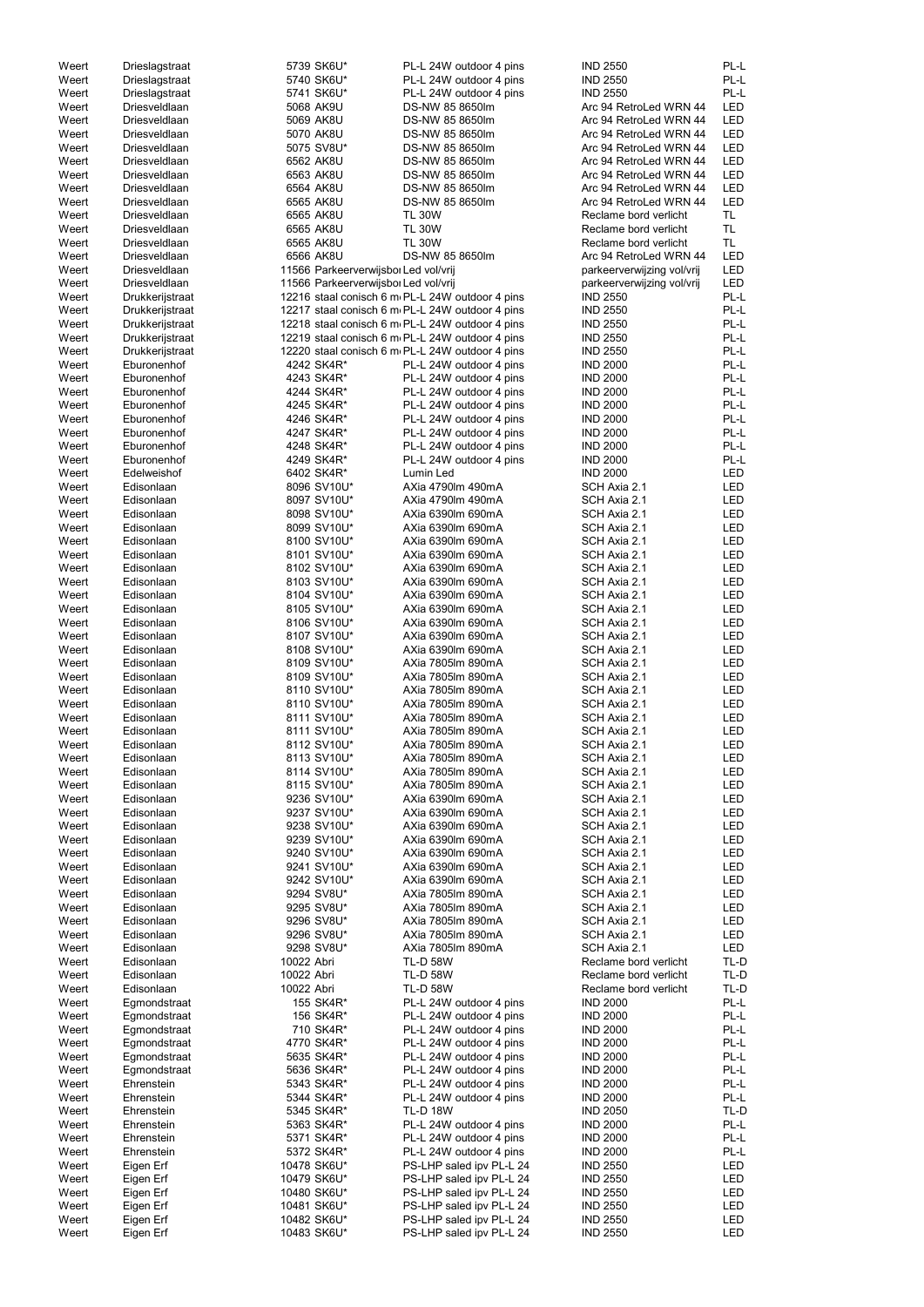| Weert | Drieslagstraat  |            | 5739 SK6U*                           | PL-L 24W outdoor 4 pins                          | <b>IND 2550</b>            | PL-L       |
|-------|-----------------|------------|--------------------------------------|--------------------------------------------------|----------------------------|------------|
|       |                 |            |                                      |                                                  |                            |            |
| Weert | Drieslagstraat  |            | 5740 SK6U*                           | PL-L 24W outdoor 4 pins                          | <b>IND 2550</b>            | PL-L       |
| Weert | Drieslagstraat  |            | 5741 SK6U*                           | PL-L 24W outdoor 4 pins                          | <b>IND 2550</b>            | PL-L       |
| Weert | Driesveldlaan   |            | 5068 AK9U                            | DS-NW 85 8650lm                                  | Arc 94 RetroLed WRN 44     | LED        |
| Weert | Driesveldlaan   |            | 5069 AK8U                            | DS-NW 85 8650lm                                  | Arc 94 RetroLed WRN 44     | <b>LED</b> |
|       |                 |            |                                      |                                                  |                            |            |
| Weert | Driesveldlaan   |            | 5070 AK8U                            | DS-NW 85 8650lm                                  | Arc 94 RetroLed WRN 44     | <b>LED</b> |
| Weert | Driesveldlaan   |            | 5075 SV8U*                           | DS-NW 85 8650lm                                  | Arc 94 RetroLed WRN 44     | <b>LED</b> |
| Weert | Driesveldlaan   |            | 6562 AK8U                            | DS-NW 85 8650lm                                  | Arc 94 RetroLed WRN 44     | LED        |
| Weert | Driesveldlaan   |            | 6563 AK8U                            | DS-NW 85 8650lm                                  | Arc 94 RetroLed WRN 44     | LED        |
|       |                 |            |                                      |                                                  |                            |            |
| Weert | Driesveldlaan   |            | 6564 AK8U                            | DS-NW 85 8650lm                                  | Arc 94 RetroLed WRN 44     | <b>LED</b> |
| Weert | Driesveldlaan   |            | 6565 AK8U                            | DS-NW 85 8650lm                                  | Arc 94 RetroLed WRN 44     | LED        |
| Weert | Driesveldlaan   |            | 6565 AK8U                            | <b>TL 30W</b>                                    | Reclame bord verlicht      | <b>TL</b>  |
|       |                 |            |                                      |                                                  |                            |            |
| Weert | Driesveldlaan   |            | 6565 AK8U                            | <b>TL 30W</b>                                    | Reclame bord verlicht      | <b>TL</b>  |
| Weert | Driesveldlaan   |            | 6565 AK8U                            | <b>TL 30W</b>                                    | Reclame bord verlicht      | <b>TL</b>  |
| Weert | Driesveldlaan   |            | 6566 AK8U                            | DS-NW 85 8650lm                                  | Arc 94 RetroLed WRN 44     | <b>LED</b> |
| Weert | Driesveldlaan   |            | 11566 Parkeerverwijsbor Led vol/vrij |                                                  | parkeerverwijzing vol/vrij | <b>LED</b> |
|       |                 |            |                                      |                                                  |                            |            |
| Weert | Driesveldlaan   |            | 11566 Parkeerverwijsbol Led vol/vrij |                                                  | parkeerverwijzing vol/vrij | <b>LED</b> |
| Weert | Drukkerijstraat |            |                                      | 12216 staal conisch 6 m PL-L 24W outdoor 4 pins  | <b>IND 2550</b>            | PL-L       |
| Weert | Drukkerijstraat |            |                                      | 12217 staal conisch 6 m PL-L 24W outdoor 4 pins  | <b>IND 2550</b>            | PL-L       |
| Weert | Drukkerijstraat |            |                                      | 12218 staal conisch 6 m. PL-L 24W outdoor 4 pins | <b>IND 2550</b>            | PL-L       |
|       |                 |            |                                      |                                                  |                            |            |
| Weert | Drukkerijstraat |            |                                      | 12219 staal conisch 6 m. PL-L 24W outdoor 4 pins | <b>IND 2550</b>            | PL-L       |
| Weert | Drukkerijstraat |            |                                      | 12220 staal conisch 6 m PL-L 24W outdoor 4 pins  | <b>IND 2550</b>            | PL-L       |
| Weert | Eburonenhof     |            | 4242 SK4R*                           | PL-L 24W outdoor 4 pins                          | <b>IND 2000</b>            | PL-L       |
|       |                 |            |                                      |                                                  |                            |            |
| Weert | Eburonenhof     |            | 4243 SK4R*                           | PL-L 24W outdoor 4 pins                          | <b>IND 2000</b>            | PL-L       |
| Weert | Eburonenhof     |            | 4244 SK4R*                           | PL-L 24W outdoor 4 pins                          | <b>IND 2000</b>            | PL-L       |
| Weert | Eburonenhof     |            | 4245 SK4R*                           | PL-L 24W outdoor 4 pins                          | <b>IND 2000</b>            | PL-L       |
| Weert | Eburonenhof     |            | 4246 SK4R*                           | PL-L 24W outdoor 4 pins                          | <b>IND 2000</b>            | PL-L       |
|       |                 |            |                                      |                                                  |                            |            |
| Weert | Eburonenhof     |            | 4247 SK4R*                           | PL-L 24W outdoor 4 pins                          | <b>IND 2000</b>            | PL-L       |
| Weert | Eburonenhof     |            | 4248 SK4R*                           | PL-L 24W outdoor 4 pins                          | <b>IND 2000</b>            | PL-L       |
| Weert | Eburonenhof     |            | 4249 SK4R*                           | PL-L 24W outdoor 4 pins                          | <b>IND 2000</b>            | PL-L       |
| Weert | Edelweishof     |            | 6402 SK4R*                           | Lumin Led                                        | <b>IND 2000</b>            | LED        |
|       |                 |            |                                      |                                                  |                            |            |
| Weert | Edisonlaan      |            | 8096 SV10U*                          | AXia 4790lm 490mA                                | SCH Axia 2.1               | <b>LED</b> |
| Weert | Edisonlaan      |            | 8097 SV10U*                          | AXia 4790lm 490mA                                | SCH Axia 2.1               | LED        |
| Weert | Edisonlaan      |            | 8098 SV10U*                          | AXia 6390lm 690mA                                | SCH Axia 2.1               | <b>LED</b> |
|       |                 |            |                                      |                                                  |                            |            |
| Weert | Edisonlaan      |            | 8099 SV10U*                          | AXia 6390lm 690mA                                | SCH Axia 2.1               | <b>LED</b> |
| Weert | Edisonlaan      |            | 8100 SV10U*                          | AXia 6390lm 690mA                                | SCH Axia 2.1               | LED        |
| Weert | Edisonlaan      |            | 8101 SV10U*                          | AXia 6390lm 690mA                                | SCH Axia 2.1               | <b>LED</b> |
| Weert | Edisonlaan      |            | 8102 SV10U*                          | AXia 6390Im 690mA                                | SCH Axia 2.1               | LED        |
|       |                 |            |                                      |                                                  |                            |            |
| Weert | Edisonlaan      |            | 8103 SV10U*                          | AXia 6390lm 690mA                                | SCH Axia 2.1               | LED        |
| Weert | Edisonlaan      |            | 8104 SV10U*                          | AXia 6390lm 690mA                                | SCH Axia 2.1               | LED        |
| Weert | Edisonlaan      |            | 8105 SV10U*                          | AXia 6390lm 690mA                                | SCH Axia 2.1               | LED        |
|       |                 |            |                                      | AXia 6390lm 690mA                                |                            |            |
| Weert | Edisonlaan      |            | 8106 SV10U*                          |                                                  | SCH Axia 2.1               | LED        |
| Weert | Edisonlaan      |            | 8107 SV10U*                          | AXia 6390lm 690mA                                | SCH Axia 2.1               | LED        |
| Weert | Edisonlaan      |            | 8108 SV10U*                          | AXia 6390lm 690mA                                | SCH Axia 2.1               | LED        |
| Weert | Edisonlaan      |            | 8109 SV10U*                          | AXia 7805lm 890mA                                | SCH Axia 2.1               | <b>LED</b> |
|       |                 |            |                                      |                                                  |                            |            |
| Weert | Edisonlaan      |            | 8109 SV10U*                          | AXia 7805lm 890mA                                | SCH Axia 2.1               | LED        |
| Weert | Edisonlaan      |            | 8110 SV10U*                          | AXia 7805lm 890mA                                | SCH Axia 2.1               | LED        |
| Weert | Edisonlaan      |            | 8110 SV10U*                          | AXia 7805lm 890mA                                | SCH Axia 2.1               | <b>LED</b> |
|       |                 |            |                                      |                                                  |                            |            |
| Weert | Edisonlaan      |            | 8111 SV10U*                          | AXia 7805lm 890mA                                | SCH Axia 2.1               | LED        |
| Weert | Edisonlaan      |            | 8111 SV10U*                          | AXia 7805lm 890mA                                | SCH Axia 2.1               | LED        |
| Weert | Edisonlaan      |            | 8112 SV10U*                          | AXia 7805lm 890mA                                | SCH Axia 2.1               | <b>LED</b> |
|       |                 |            |                                      |                                                  |                            |            |
| Weert | Edisonlaan      |            | 8113 SV10U*                          | AXia 7805lm 890mA                                | SCH Axia 2.1               | <b>LED</b> |
| Weert | Edisonlaan      |            | 8114 SV10U*                          | AXia 7805lm 890mA                                | SCH Axia 2.1               | <b>LED</b> |
| Weert | Edisonlaan      |            | 8115 SV10U*                          | AXia 7805lm 890mA                                | SCH Axia 2.1               | <b>LED</b> |
| Weert | Edisonlaan      |            | 9236 SV10U*                          | AXia 6390lm 690mA                                | SCH Axia 2.1               | <b>LED</b> |
|       |                 |            |                                      |                                                  |                            |            |
| Weert | Edisonlaan      |            | 9237 SV10U*                          | AXia 6390lm 690mA                                | SCH Axia 2.1               | <b>LED</b> |
| Weert | Edisonlaan      |            | 9238 SV10U*                          | AXia 6390lm 690mA                                | SCH Axia 2.1               | <b>LED</b> |
| Weert | Edisonlaan      |            | 9239 SV10U*                          | AXia 6390lm 690mA                                | SCH Axia 2.1               | LED        |
|       |                 |            |                                      |                                                  |                            |            |
| Weert | Edisonlaan      |            | 9240 SV10U*                          | AXia 6390lm 690mA                                | SCH Axia 2.1               | LED        |
| Weert | Edisonlaan      |            | 9241 SV10U*                          | AXia 6390lm 690mA                                | SCH Axia 2.1               | LED        |
| Weert | Edisonlaan      |            | 9242 SV10U*                          | AXia 6390lm 690mA                                | SCH Axia 2.1               | LED        |
| Weert | Edisonlaan      |            | 9294 SV8U*                           | AXia 7805lm 890mA                                | SCH Axia 2.1               | <b>LED</b> |
| Weert | Edisonlaan      |            | 9295 SV8U*                           | AXia 7805lm 890mA                                | SCH Axia 2.1               | <b>LED</b> |
|       |                 |            |                                      |                                                  |                            |            |
| Weert | Edisonlaan      |            | 9296 SV8U*                           | AXia 7805lm 890mA                                | SCH Axia 2.1               | <b>LED</b> |
| Weert | Edisonlaan      |            | 9296 SV8U*                           | AXia 7805lm 890mA                                | SCH Axia 2.1               | LED        |
| Weert | Edisonlaan      |            | 9298 SV8U*                           | AXia 7805lm 890mA                                | SCH Axia 2.1               | <b>LED</b> |
|       | Edisonlaan      | 10022 Abri |                                      | <b>TL-D 58W</b>                                  | Reclame bord verlicht      | TL-D       |
| Weert |                 |            |                                      |                                                  |                            |            |
| Weert | Edisonlaan      | 10022 Abri |                                      | <b>TL-D 58W</b>                                  | Reclame bord verlicht      | TL-D       |
| Weert | Edisonlaan      | 10022 Abri |                                      | <b>TL-D 58W</b>                                  | Reclame bord verlicht      | TL-D       |
| Weert | Egmondstraat    |            | 155 SK4R*                            | PL-L 24W outdoor 4 pins                          | <b>IND 2000</b>            | PL-L       |
|       |                 |            |                                      |                                                  |                            |            |
| Weert | Egmondstraat    |            | 156 SK4R*                            | PL-L 24W outdoor 4 pins                          | <b>IND 2000</b>            | PL-L       |
| Weert | Egmondstraat    |            | 710 SK4R*                            | PL-L 24W outdoor 4 pins                          | <b>IND 2000</b>            | PL-L       |
| Weert | Egmondstraat    |            | 4770 SK4R*                           | PL-L 24W outdoor 4 pins                          | <b>IND 2000</b>            | PL-L       |
| Weert | Egmondstraat    |            | 5635 SK4R*                           | PL-L 24W outdoor 4 pins                          | <b>IND 2000</b>            | PL-L       |
|       |                 |            |                                      |                                                  |                            |            |
| Weert | Egmondstraat    |            | 5636 SK4R*                           | PL-L 24W outdoor 4 pins                          | <b>IND 2000</b>            | PL-L       |
| Weert | Ehrenstein      |            | 5343 SK4R*                           | PL-L 24W outdoor 4 pins                          | <b>IND 2000</b>            | PL-L       |
| Weert | Ehrenstein      |            | 5344 SK4R*                           | PL-L 24W outdoor 4 pins                          | <b>IND 2000</b>            | PL-L       |
|       |                 |            |                                      |                                                  |                            |            |
| Weert | Ehrenstein      |            | 5345 SK4R*                           | <b>TL-D 18W</b>                                  | <b>IND 2050</b>            | TL-D       |
| Weert | Ehrenstein      |            | 5363 SK4R*                           | PL-L 24W outdoor 4 pins                          | <b>IND 2000</b>            | PL-L       |
| Weert | Ehrenstein      |            | 5371 SK4R*                           | PL-L 24W outdoor 4 pins                          | <b>IND 2000</b>            | PL-L       |
| Weert | Ehrenstein      |            | 5372 SK4R*                           | PL-L 24W outdoor 4 pins                          | <b>IND 2000</b>            | PL-L       |
|       |                 |            |                                      |                                                  |                            |            |
| Weert | Eigen Erf       |            | 10478 SK6U*                          | PS-LHP saled ipv PL-L 24                         | <b>IND 2550</b>            | LED        |
| Weert | Eigen Erf       |            | 10479 SK6U*                          | PS-LHP saled ipv PL-L 24                         | <b>IND 2550</b>            | LED        |
| Weert | Eigen Erf       |            | 10480 SK6U*                          | PS-LHP saled ipv PL-L 24                         | <b>IND 2550</b>            | LED        |
|       |                 |            |                                      |                                                  |                            |            |
| Weert | Eigen Erf       |            | 10481 SK6U*                          | PS-LHP saled ipv PL-L 24                         | <b>IND 2550</b>            | LED        |
| Weert | Eigen Erf       |            | 10482 SK6U*                          | PS-LHP saled ipv PL-L 24                         | <b>IND 2550</b>            | LED        |
| Weert | Eigen Erf       |            | 10483 SK6U*                          | PS-LHP saled ipv PL-L 24                         | <b>IND 2550</b>            | <b>LED</b> |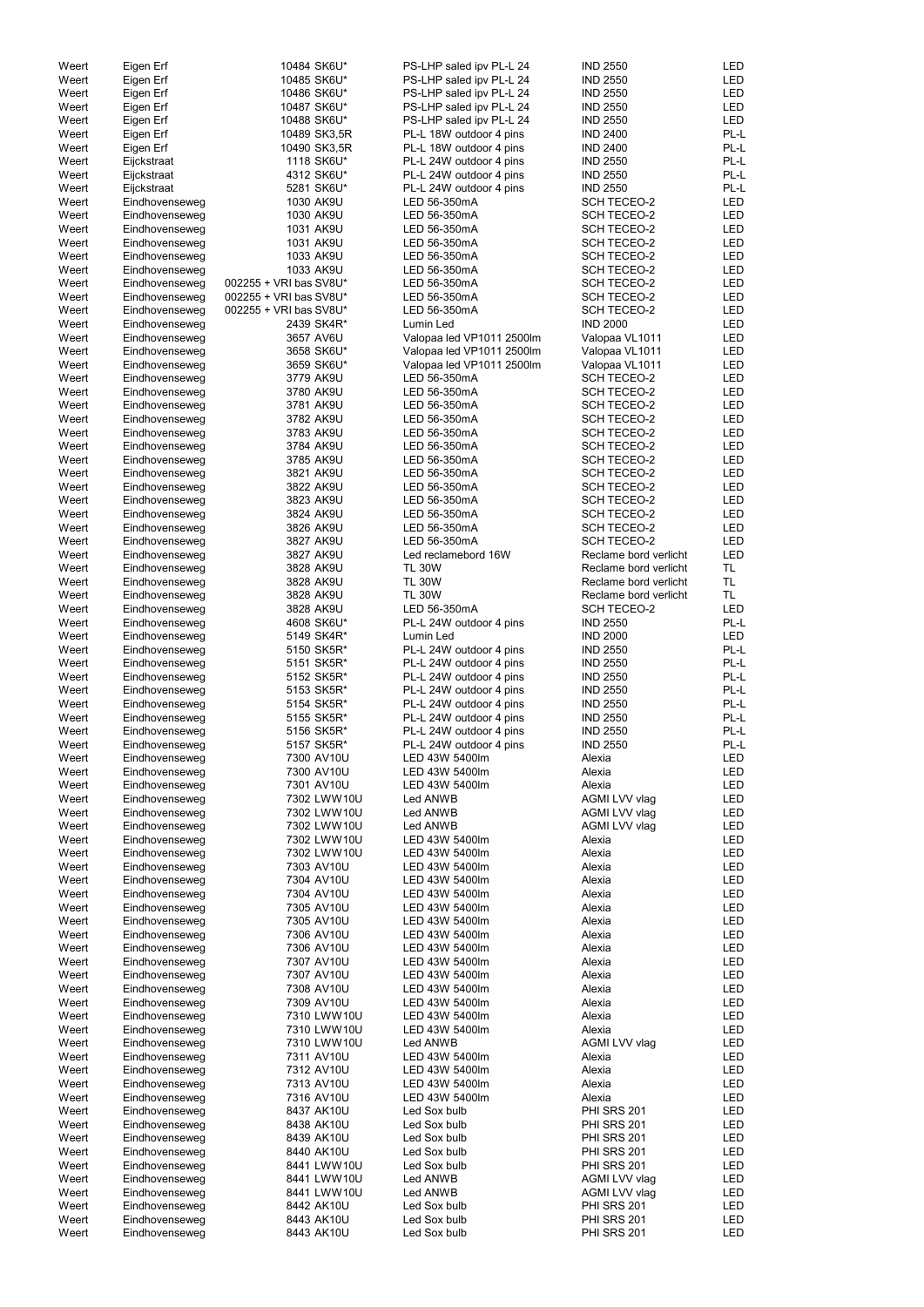| Weert          |                                  |                          |                              |                                   |            |
|----------------|----------------------------------|--------------------------|------------------------------|-----------------------------------|------------|
|                | Eigen Erf                        | 10484 SK6U*              | PS-LHP saled ipv PL-L 24     | <b>IND 2550</b>                   | <b>LED</b> |
| Weert          | Eigen Erf                        | 10485 SK6U*              | PS-LHP saled ipv PL-L 24     | <b>IND 2550</b>                   | LED        |
|                |                                  |                          |                              |                                   |            |
| Weert          | Eigen Erf                        | 10486 SK6U*              | PS-LHP saled ipv PL-L 24     | <b>IND 2550</b>                   | <b>LED</b> |
| Weert          | Eigen Erf                        | 10487 SK6U*              | PS-LHP saled ipv PL-L 24     | <b>IND 2550</b>                   | LED        |
| Weert          | Eigen Erf                        | 10488 SK6U*              | PS-LHP saled ipv PL-L 24     | <b>IND 2550</b>                   | <b>LED</b> |
| Weert          | Eigen Erf                        | 10489 SK3,5R             | PL-L 18W outdoor 4 pins      | <b>IND 2400</b>                   | PL-L       |
| Weert          | Eigen Erf                        | 10490 SK3,5R             | PL-L 18W outdoor 4 pins      | <b>IND 2400</b>                   | PL-L       |
| Weert          | Eijckstraat                      | 1118 SK6U*               | PL-L 24W outdoor 4 pins      | <b>IND 2550</b>                   | PL-L       |
| Weert          | Eijckstraat                      | 4312 SK6U*               | PL-L 24W outdoor 4 pins      | <b>IND 2550</b>                   | PL-L       |
| Weert          | Eijckstraat                      | 5281 SK6U*               | PL-L 24W outdoor 4 pins      | <b>IND 2550</b>                   | PL-L       |
|                |                                  |                          |                              |                                   |            |
| Weert          | Eindhovenseweg                   | 1030 AK9U                | LED 56-350mA                 | <b>SCH TECEO-2</b>                | <b>LED</b> |
| Weert          | Eindhovenseweg                   | 1030 AK9U                | LED 56-350mA                 | SCH TECEO-2                       | <b>LED</b> |
| Weert          | Eindhovenseweg                   | 1031 AK9U                | LED 56-350mA                 | <b>SCH TECEO-2</b>                | <b>LED</b> |
| Weert          | Eindhovenseweg                   | 1031 AK9U                | LED 56-350mA                 | <b>SCH TECEO-2</b>                | <b>LED</b> |
| Weert          | Eindhovenseweg                   | 1033 AK9U                | LED 56-350mA                 | <b>SCH TECEO-2</b>                | <b>LED</b> |
| Weert          | Eindhovenseweg                   | 1033 AK9U                | LED 56-350mA                 | SCH TECEO-2                       | LED        |
| Weert          | Eindhovenseweg                   | 002255 + VRI bas SV8U*   | LED 56-350mA                 | SCH TECEO-2                       | LED        |
| Weert          | Eindhovenseweg                   | 002255 + VRI bas SV8U*   | LED 56-350mA                 | <b>SCH TECEO-2</b>                | LED        |
| Weert          | Eindhovenseweg                   | 002255 + VRI bas SV8U*   | LED 56-350mA                 | <b>SCH TECEO-2</b>                | <b>LED</b> |
|                |                                  |                          |                              |                                   |            |
| Weert          | Eindhovenseweg                   | 2439 SK4R*               | Lumin Led                    | <b>IND 2000</b>                   | <b>LED</b> |
| Weert          | Eindhovenseweg                   | 3657 AV6U                | Valopaa led VP1011 2500lm    | Valopaa VL1011                    | LED        |
| Weert          | Eindhovenseweg                   | 3658 SK6U*               | Valopaa led VP1011 2500lm    | Valopaa VL1011                    | LED        |
| Weert          | Eindhovenseweg                   | 3659 SK6U*               | Valopaa led VP1011 2500lm    | Valopaa VL1011                    | LED        |
| Weert          | Eindhovenseweg                   | 3779 AK9U                | LED 56-350mA                 | <b>SCH TECEO-2</b>                | LED        |
| Weert          | Eindhovenseweg                   | 3780 AK9U                | LED 56-350mA                 | <b>SCH TECEO-2</b>                | LED        |
| Weert          | Eindhovenseweg                   | 3781 AK9U                | LED 56-350mA                 | <b>SCH TECEO-2</b>                | LED        |
| Weert          | Eindhovenseweg                   | 3782 AK9U                | LED 56-350mA                 | <b>SCH TECEO-2</b>                | <b>LED</b> |
| Weert          | Eindhovenseweg                   | 3783 AK9U                | LED 56-350mA                 | <b>SCH TECEO-2</b>                | <b>LED</b> |
|                |                                  |                          |                              |                                   |            |
| Weert          | Eindhovenseweg                   | 3784 AK9U                | LED 56-350mA                 | <b>SCH TECEO-2</b>                | <b>LED</b> |
| Weert          | Eindhovenseweg                   | 3785 AK9U                | LED 56-350mA                 | SCH TECEO-2                       | <b>LED</b> |
| Weert          | Eindhovenseweg                   | 3821 AK9U                | LED 56-350mA                 | <b>SCH TECEO-2</b>                | LED        |
| Weert          | Eindhovenseweg                   | 3822 AK9U                | LED 56-350mA                 | <b>SCH TECEO-2</b>                | LED        |
| Weert          | Eindhovenseweg                   | 3823 AK9U                | LED 56-350mA                 | <b>SCH TECEO-2</b>                | <b>LED</b> |
| Weert          | Eindhovenseweg                   | 3824 AK9U                | LED 56-350mA                 | SCH TECEO-2                       | LED        |
| Weert          | Eindhovenseweg                   | 3826 AK9U                | LED 56-350mA                 | <b>SCH TECEO-2</b>                | LED        |
| Weert          | Eindhovenseweg                   | 3827 AK9U                | LED 56-350mA                 | <b>SCH TECEO-2</b>                | <b>LED</b> |
|                |                                  | 3827 AK9U                | Led reclamebord 16W          | Reclame bord verlicht             | LED        |
| Weert          | Eindhovenseweg                   |                          |                              |                                   |            |
| Weert          | Eindhovenseweg                   | 3828 AK9U                | <b>TL 30W</b>                | Reclame bord verlicht             | TL         |
| Weert          | Eindhovenseweg                   | 3828 AK9U                | <b>TL 30W</b>                | Reclame bord verlicht             | TL.        |
| Weert          | Eindhovenseweg                   | 3828 AK9U                | <b>TL 30W</b>                | Reclame bord verlicht             | TL.        |
| Weert          | Eindhovenseweg                   | 3828 AK9U                | LED 56-350mA                 | <b>SCH TECEO-2</b>                | <b>LED</b> |
| Weert          | Eindhovenseweg                   | 4608 SK6U*               | PL-L 24W outdoor 4 pins      | <b>IND 2550</b>                   | PL-L       |
| Weert          | Eindhovenseweg                   | 5149 SK4R*               | Lumin Led                    | <b>IND 2000</b>                   | <b>LED</b> |
| Weert          | Eindhovenseweg                   | 5150 SK5R*               | PL-L 24W outdoor 4 pins      | <b>IND 2550</b>                   | PL-L       |
| Weert          | Eindhovenseweg                   | 5151 SK5R*               | PL-L 24W outdoor 4 pins      | <b>IND 2550</b>                   | PL-L       |
|                |                                  |                          |                              |                                   |            |
| Weert          | Eindhovenseweg                   | 5152 SK5R*               | PL-L 24W outdoor 4 pins      | <b>IND 2550</b>                   | PL-L       |
| Weert          | Eindhovenseweg                   | 5153 SK5R*               | PL-L 24W outdoor 4 pins      | <b>IND 2550</b>                   | PL-L       |
| Weert          | Eindhovenseweg                   | 5154 SK5R*               | PL-L 24W outdoor 4 pins      | <b>IND 2550</b>                   | PL-L       |
| Weert          | Eindhovenseweg                   | 5155 SK5R*               | PL-L 24W outdoor 4 pins      | <b>IND 2550</b>                   | PL-L       |
| Weert          | Eindhovenseweg                   | 5156 SK5R*               | PL-L 24W outdoor 4 pins      | <b>IND 2550</b>                   | PL-L       |
| Weert          | Eindhovenseweg                   | 5157 SK5R*               | PL-L 24W outdoor 4 pins      | <b>IND 2550</b>                   | PL-L       |
| Weert          | Eindhovenseweg                   | 7300 AV10U               | LED 43W 5400lm               | Alexia                            | LED        |
| Weert          | Eindhovenseweg                   | 7300 AV10U               | LED 43W 5400lm               | Alexia                            | LED        |
|                |                                  |                          | LED 43W 5400lm               | Alexia                            | LED        |
| Weert          |                                  |                          |                              |                                   |            |
|                | Eindhovenseweg                   | 7301 AV10U               |                              |                                   |            |
| Weert          | Eindhovenseweg                   | 7302 LWW10U              | Led ANWB                     | AGMI LVV vlag                     | LED        |
| Weert          | Eindhovenseweg                   | 7302 LWW10U              | Led ANWB                     | AGMI LVV vlag                     | LED        |
| Weert          | Eindhovenseweg                   | 7302 LWW10U              | Led ANWB                     | AGMI LVV vlag                     | LED        |
| Weert          | Eindhovenseweg                   | 7302 LWW10U              | LED 43W 5400lm               | Alexia                            | LED        |
| Weert          | Eindhovenseweg                   | 7302 LWW10U              | LED 43W 5400lm               | Alexia                            | LED        |
| Weert          | Eindhovenseweg                   | 7303 AV10U               | LED 43W 5400lm               | Alexia                            | LED        |
| Weert          | Eindhovenseweg                   | 7304 AV10U               | LED 43W 5400lm               | Alexia                            | <b>LED</b> |
|                |                                  |                          |                              |                                   |            |
| Weert          | Eindhovenseweg                   | 7304 AV10U               | LED 43W 5400lm               | Alexia                            | <b>LED</b> |
| Weert          | Eindhovenseweg                   | 7305 AV10U               | LED 43W 5400lm               | Alexia                            | <b>LED</b> |
| Weert          | Eindhovenseweg                   | 7305 AV10U               | LED 43W 5400lm               | Alexia                            | <b>LED</b> |
| Weert          | Eindhovenseweg                   | 7306 AV10U               | LED 43W 5400lm               | Alexia                            | <b>LED</b> |
| Weert          | Eindhovenseweg                   | 7306 AV10U               | LED 43W 5400lm               | Alexia                            | <b>LED</b> |
| Weert          | Eindhovenseweg                   | 7307 AV10U               | LED 43W 5400lm               | Alexia                            | LED        |
| Weert          | Eindhovenseweg                   | 7307 AV10U               | LED 43W 5400lm               | Alexia                            | LED        |
| Weert          | Eindhovenseweg                   | 7308 AV10U               | LED 43W 5400lm               | Alexia                            | LED        |
| Weert          |                                  | 7309 AV10U               | LED 43W 5400lm               | Alexia                            | LED        |
|                | Eindhovenseweg                   | 7310 LWW10U              | LED 43W 5400lm               |                                   | <b>LED</b> |
| Weert          | Eindhovenseweg                   |                          |                              | Alexia                            |            |
| Weert          | Eindhovenseweg                   | 7310 LWW10U              | LED 43W 5400lm               | Alexia                            | <b>LED</b> |
| Weert          | Eindhovenseweg                   | 7310 LWW10U              | Led ANWB                     | AGMI LVV vlag                     | <b>LED</b> |
| Weert          | Eindhovenseweg                   | 7311 AV10U               | LED 43W 5400lm               | Alexia                            | LED        |
| Weert          | Eindhovenseweg                   | 7312 AV10U               | LED 43W 5400lm               | Alexia                            | LED        |
| Weert          | Eindhovenseweg                   | 7313 AV10U               | LED 43W 5400lm               | Alexia                            | LED        |
| Weert          | Eindhovenseweg                   | 7316 AV10U               | LED 43W 5400lm               | Alexia                            | LED        |
| Weert          | Eindhovenseweg                   | 8437 AK10U               | Led Sox bulb                 | <b>PHI SRS 201</b>                | LED        |
| Weert          | Eindhovenseweg                   | 8438 AK10U               | Led Sox bulb                 | <b>PHI SRS 201</b>                | LED        |
|                |                                  |                          |                              |                                   |            |
| Weert          | Eindhovenseweg                   | 8439 AK10U               | Led Sox bulb                 | <b>PHI SRS 201</b>                | LED        |
| Weert          | Eindhovenseweg                   | 8440 AK10U               | Led Sox bulb                 | <b>PHI SRS 201</b>                | LED        |
| Weert          | Eindhovenseweg                   | 8441 LWW10U              | Led Sox bulb                 | <b>PHI SRS 201</b>                | LED        |
| Weert          | Eindhovenseweg                   | 8441 LWW10U              | Led ANWB                     | AGMI LVV vlag                     | LED        |
| Weert          | Eindhovenseweg                   | 8441 LWW10U              | Led ANWB                     | AGMI LVV vlag                     | LED        |
| Weert          | Eindhovenseweg                   | 8442 AK10U               | Led Sox bulb                 | <b>PHI SRS 201</b>                | LED        |
| Weert<br>Weert | Eindhovenseweg<br>Eindhovenseweg | 8443 AK10U<br>8443 AK10U | Led Sox bulb<br>Led Sox bulb | <b>PHI SRS 201</b><br>PHI SRS 201 | LED<br>LED |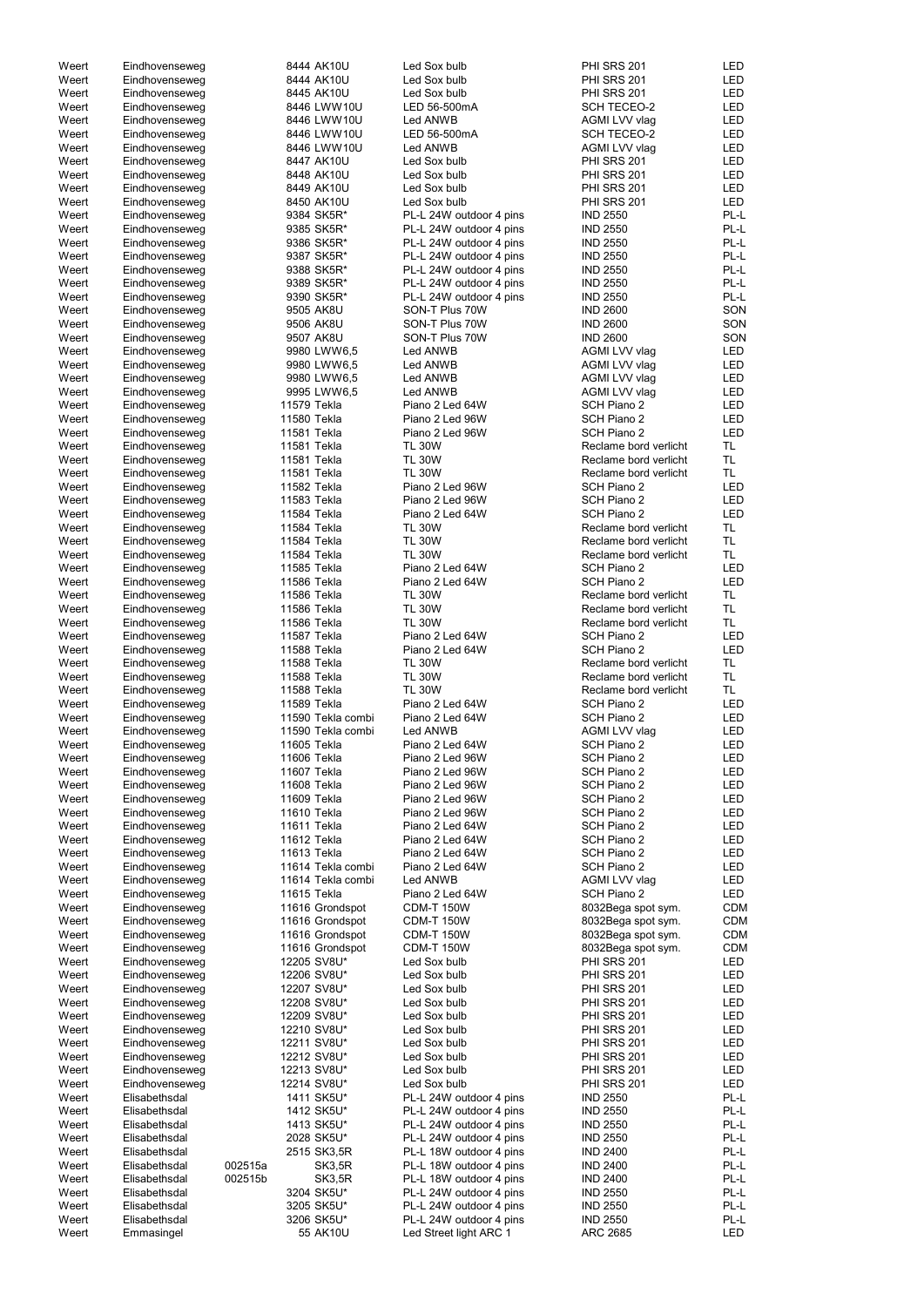| Weert          | Eindhovenseweg              |         | 8444 AK10U             | Led Sox bulb                                      | <b>PHI SRS 201</b>                 | LED         |
|----------------|-----------------------------|---------|------------------------|---------------------------------------------------|------------------------------------|-------------|
|                |                             |         |                        |                                                   |                                    |             |
| Weert          | Eindhovenseweg              |         | 8444 AK10U             | Led Sox bulb                                      | <b>PHI SRS 201</b>                 | <b>LED</b>  |
| Weert          | Eindhovenseweg              |         | 8445 AK10U             | Led Sox bulb                                      | <b>PHI SRS 201</b>                 | <b>LED</b>  |
| Weert          | Eindhovenseweg              |         | 8446 LWW10U            | LED 56-500mA                                      | <b>SCH TECEO-2</b>                 | <b>LED</b>  |
| Weert          | Eindhovenseweg              |         | 8446 LWW10U            | Led ANWB                                          | AGMI LVV vlag                      | <b>LED</b>  |
| Weert          | Eindhovenseweg              |         | 8446 LWW10U            | LED 56-500mA                                      | <b>SCH TECEO-2</b>                 | <b>LED</b>  |
| Weert          | Eindhovenseweg              |         | 8446 LWW10U            | Led ANWB                                          | AGMI LVV vlag                      | <b>LED</b>  |
| Weert          | Eindhovenseweg              |         | 8447 AK10U             | Led Sox bulb                                      | <b>PHI SRS 201</b>                 | <b>LED</b>  |
| Weert          |                             |         | 8448 AK10U             | Led Sox bulb                                      | <b>PHI SRS 201</b>                 | <b>LED</b>  |
|                | Eindhovenseweg              |         |                        |                                                   |                                    |             |
| Weert          | Eindhovenseweg              |         | 8449 AK10U             | Led Sox bulb                                      | <b>PHI SRS 201</b>                 | <b>LED</b>  |
| Weert          | Eindhovenseweg              |         | 8450 AK10U             | Led Sox bulb                                      | <b>PHI SRS 201</b>                 | <b>LED</b>  |
| Weert          | Eindhovenseweg              |         | 9384 SK5R*             | PL-L 24W outdoor 4 pins                           | <b>IND 2550</b>                    | PL-L        |
| Weert          | Eindhovenseweg              |         | 9385 SK5R*             | PL-L 24W outdoor 4 pins                           | <b>IND 2550</b>                    | PL-L        |
| Weert          | Eindhovenseweg              |         | 9386 SK5R*             | PL-L 24W outdoor 4 pins                           | <b>IND 2550</b>                    | PL-L        |
| Weert          | Eindhovenseweg              |         | 9387 SK5R*             | PL-L 24W outdoor 4 pins                           | <b>IND 2550</b>                    | PL-L        |
|                |                             |         |                        |                                                   |                                    |             |
| Weert          | Eindhovenseweg              |         | 9388 SK5R*             | PL-L 24W outdoor 4 pins                           | <b>IND 2550</b>                    | PL-L        |
| Weert          | Eindhovenseweg              |         | 9389 SK5R*             | PL-L 24W outdoor 4 pins                           | <b>IND 2550</b>                    | PL-L        |
| Weert          | Eindhovenseweg              |         | 9390 SK5R*             | PL-L 24W outdoor 4 pins                           | <b>IND 2550</b>                    | PL-L        |
| Weert          | Eindhovenseweg              |         | 9505 AK8U              | SON-T Plus 70W                                    | <b>IND 2600</b>                    | SON         |
| Weert          | Eindhovenseweg              |         | 9506 AK8U              | SON-T Plus 70W                                    | <b>IND 2600</b>                    | SON         |
| Weert          |                             |         | 9507 AK8U              | SON-T Plus 70W                                    | <b>IND 2600</b>                    | SON         |
|                | Eindhovenseweg              |         |                        |                                                   |                                    |             |
| Weert          | Eindhovenseweg              |         | 9980 LWW6,5            | Led ANWB                                          | AGMI LVV vlag                      | <b>LED</b>  |
| Weert          | Eindhovenseweg              |         | 9980 LWW6,5            | Led ANWB                                          | AGMI LVV vlag                      | <b>LED</b>  |
| Weert          | Eindhovenseweg              |         | 9980 LWW6,5            | Led ANWB                                          | AGMI LVV vlag                      | <b>LED</b>  |
| Weert          | Eindhovenseweg              |         | 9995 LWW6,5            | Led ANWB                                          | AGMI LVV vlag                      | <b>LED</b>  |
| Weert          | Eindhovenseweg              |         | 11579 Tekla            | Piano 2 Led 64W                                   | SCH Piano 2                        | <b>LED</b>  |
| Weert          |                             |         | 11580 Tekla            | Piano 2 Led 96W                                   | SCH Piano 2                        | <b>LED</b>  |
|                | Eindhovenseweg              |         |                        |                                                   |                                    |             |
| Weert          | Eindhovenseweg              |         | 11581 Tekla            | Piano 2 Led 96W                                   | SCH Piano 2                        | <b>LED</b>  |
| Weert          | Eindhovenseweg              |         | 11581 Tekla            | <b>TL 30W</b>                                     | Reclame bord verlicht              | TL.         |
| Weert          | Eindhovenseweg              |         | 11581 Tekla            | <b>TL 30W</b>                                     | Reclame bord verlicht              | <b>TL</b>   |
| Weert          | Eindhovenseweg              |         | 11581 Tekla            | <b>TL 30W</b>                                     | Reclame bord verlicht              | TL.         |
| Weert          | Eindhovenseweg              |         | 11582 Tekla            | Piano 2 Led 96W                                   | SCH Piano 2                        | <b>LED</b>  |
| Weert          | Eindhovenseweg              |         | 11583 Tekla            | Piano 2 Led 96W                                   | SCH Piano 2                        | <b>LED</b>  |
|                |                             |         |                        |                                                   |                                    |             |
| Weert          | Eindhovenseweg              |         | 11584 Tekla            | Piano 2 Led 64W                                   | SCH Piano 2                        | <b>LED</b>  |
| Weert          | Eindhovenseweg              |         | 11584 Tekla            | <b>TL 30W</b>                                     | Reclame bord verlicht              | <b>TL</b>   |
| Weert          | Eindhovenseweg              |         | 11584 Tekla            | <b>TL 30W</b>                                     | Reclame bord verlicht              | <b>TL</b>   |
| Weert          | Eindhovenseweg              |         | 11584 Tekla            | <b>TL 30W</b>                                     | Reclame bord verlicht              | <b>TL</b>   |
| Weert          | Eindhovenseweg              |         | 11585 Tekla            | Piano 2 Led 64W                                   | SCH Piano 2                        | <b>LED</b>  |
| Weert          | Eindhovenseweg              |         | 11586 Tekla            | Piano 2 Led 64W                                   | SCH Piano 2                        | <b>LED</b>  |
|                |                             |         |                        |                                                   |                                    |             |
| Weert          | Eindhovenseweg              |         | 11586 Tekla            | <b>TL 30W</b>                                     | Reclame bord verlicht              | TL.         |
| Weert          | Eindhovenseweg              |         | 11586 Tekla            | <b>TL 30W</b>                                     | Reclame bord verlicht              | TL.         |
| Weert          | Eindhovenseweg              |         | 11586 Tekla            | <b>TL 30W</b>                                     | Reclame bord verlicht              | TL.         |
| Weert          | Eindhovenseweg              |         | 11587 Tekla            | Piano 2 Led 64W                                   | SCH Piano 2                        | LED         |
| Weert          | Eindhovenseweg              |         | 11588 Tekla            | Piano 2 Led 64W                                   | SCH Piano 2                        | <b>LED</b>  |
| Weert          | Eindhovenseweg              |         | 11588 Tekla            | <b>TL 30W</b>                                     | Reclame bord verlicht              | TL.         |
|                |                             |         |                        |                                                   |                                    |             |
| Weert          | Eindhovenseweg              |         | 11588 Tekla            | <b>TL 30W</b>                                     | Reclame bord verlicht              | <b>TL</b>   |
| Weert          | Eindhovenseweg              |         | 11588 Tekla            | <b>TL 30W</b>                                     | Reclame bord verlicht              | <b>TL</b>   |
| Weert          | Eindhovenseweg              |         | 11589 Tekla            | Piano 2 Led 64W                                   | SCH Piano 2                        | <b>LED</b>  |
| Weert          | Eindhovenseweg              |         | 11590 Tekla combi      | Piano 2 Led 64W                                   | SCH Piano 2                        | <b>LED</b>  |
| Weert          | Eindhovenseweg              |         | 11590 Tekla combi      | Led ANWB                                          | AGMI LVV vlag                      | <b>LED</b>  |
| Weert          | Eindhovenseweg              |         | 11605 Tekla            | Piano 2 Led 64W                                   | SCH Piano 2                        | <b>LED</b>  |
|                |                             |         |                        |                                                   |                                    |             |
| Weert          | Eindhovenseweg              |         | 11606 Tekla            | Piano 2 Led 96W                                   | SCH Piano 2                        | <b>LED</b>  |
| Weert          | Eindhovenseweg              |         | 11607 Tekla            | Piano 2 Led 96W                                   | SCH Piano 2                        | <b>LED</b>  |
| Weert          | Eindhovenseweg              |         | 11608 Tekla            | Piano 2 Led 96W                                   | SCH Piano 2                        | <b>LED</b>  |
| Weert          | Eindhovenseweg              |         | 11609 Tekla            | Piano 2 Led 96W                                   | SCH Piano 2                        | <b>LED</b>  |
| Weert          | Eindhovenseweg              |         | 11610 Tekla            | Piano 2 Led 96W                                   | SCH Piano 2                        | <b>LED</b>  |
| Weert          | Eindhovenseweg              |         | 11611 Tekla            | Piano 2 Led 64W                                   | SCH Piano 2                        | <b>LED</b>  |
|                |                             |         |                        |                                                   |                                    |             |
| Weert          | Eindhovenseweg              |         | 11612 Tekla            | Piano 2 Led 64W                                   | SCH Piano 2                        | <b>LED</b>  |
| Weert          | Eindhovenseweg              |         | 11613 Tekla            | Piano 2 Led 64W                                   | SCH Piano 2                        | <b>LED</b>  |
| Weert          | Eindhovenseweg              |         | 11614 Tekla combi      | Piano 2 Led 64W                                   | SCH Piano 2                        | <b>LED</b>  |
| Weert          | Eindhovenseweg              |         | 11614 Tekla combi      | Led ANWB                                          | AGMI LVV vlag                      | <b>LED</b>  |
| Weert          | Eindhovenseweg              |         | 11615 Tekla            | Piano 2 Led 64W                                   | SCH Piano 2                        | <b>LED</b>  |
| Weert          | Eindhovenseweg              |         | 11616 Grondspot        | <b>CDM-T 150W</b>                                 | 8032Bega spot sym.                 | <b>CDM</b>  |
| Weert          | Eindhovenseweg              |         | 11616 Grondspot        | <b>CDM-T 150W</b>                                 | 8032Bega spot sym.                 | <b>CDM</b>  |
|                |                             |         |                        |                                                   |                                    |             |
| Weert          | Eindhovenseweg              |         | 11616 Grondspot        | <b>CDM-T 150W</b>                                 | 8032Bega spot sym.                 | <b>CDM</b>  |
| Weert          | Eindhovenseweg              |         | 11616 Grondspot        | <b>CDM-T 150W</b>                                 | 8032Bega spot sym.                 | <b>CDM</b>  |
| Weert          | Eindhovenseweg              |         | 12205 SV8U*            | Led Sox bulb                                      | <b>PHI SRS 201</b>                 | <b>LED</b>  |
| Weert          | Eindhovenseweg              |         | 12206 SV8U*            | Led Sox bulb                                      | <b>PHI SRS 201</b>                 | <b>LED</b>  |
| Weert          | Eindhovenseweg              |         | 12207 SV8U*            | Led Sox bulb                                      | <b>PHI SRS 201</b>                 | <b>LED</b>  |
| Weert          | Eindhovenseweg              |         | 12208 SV8U*            | Led Sox bulb                                      | <b>PHI SRS 201</b>                 | <b>LED</b>  |
|                |                             |         |                        |                                                   |                                    |             |
| Weert          | Eindhovenseweg              |         | 12209 SV8U*            | Led Sox bulb                                      | <b>PHI SRS 201</b>                 | <b>LED</b>  |
| Weert          | Eindhovenseweg              |         | 12210 SV8U*            | Led Sox bulb                                      | PHI SRS 201                        | <b>LED</b>  |
| Weert          | Eindhovenseweg              |         | 12211 SV8U*            | Led Sox bulb                                      | PHI SRS 201                        | LED         |
| Weert          | Eindhovenseweg              |         | 12212 SV8U*            | Led Sox bulb                                      | <b>PHI SRS 201</b>                 | LED         |
| Weert          | Eindhovenseweg              |         | 12213 SV8U*            | Led Sox bulb                                      | <b>PHI SRS 201</b>                 | LED         |
|                |                             |         | 12214 SV8U*            | Led Sox bulb                                      | <b>PHI SRS 201</b>                 | LED         |
|                |                             |         |                        |                                                   |                                    |             |
| Weert          | Eindhovenseweg              |         | 1411 SK5U*             | PL-L 24W outdoor 4 pins                           | <b>IND 2550</b>                    | PL-L        |
| Weert          | Elisabethsdal               |         |                        | PL-L 24W outdoor 4 pins                           | <b>IND 2550</b>                    | PL-L        |
| Weert          | Elisabethsdal               |         | 1412 SK5U*             |                                                   |                                    |             |
| Weert          | Elisabethsdal               |         | 1413 SK5U*             | PL-L 24W outdoor 4 pins                           | <b>IND 2550</b>                    | PL-L        |
|                |                             |         |                        |                                                   |                                    |             |
| Weert          | Elisabethsdal               |         | 2028 SK5U*             | PL-L 24W outdoor 4 pins                           | <b>IND 2550</b>                    | PL-L        |
| Weert          | Elisabethsdal               |         | 2515 SK3,5R            | PL-L 18W outdoor 4 pins                           | <b>IND 2400</b>                    | PL-L        |
| Weert          | Elisabethsdal               | 002515a | SK3,5R                 | PL-L 18W outdoor 4 pins                           | <b>IND 2400</b>                    | PL-L        |
| Weert          | Elisabethsdal               | 002515b | SK3,5R                 | PL-L 18W outdoor 4 pins                           | <b>IND 2400</b>                    | PL-L        |
| Weert          | Elisabethsdal               |         | 3204 SK5U*             | PL-L 24W outdoor 4 pins                           | <b>IND 2550</b>                    | PL-L        |
| Weert          | Elisabethsdal               |         | 3205 SK5U*             | PL-L 24W outdoor 4 pins                           | <b>IND 2550</b>                    | PL-L        |
|                |                             |         |                        |                                                   |                                    |             |
| Weert<br>Weert | Elisabethsdal<br>Emmasingel |         | 3206 SK5U*<br>55 AK10U | PL-L 24W outdoor 4 pins<br>Led Street light ARC 1 | <b>IND 2550</b><br><b>ARC 2685</b> | PL-L<br>LED |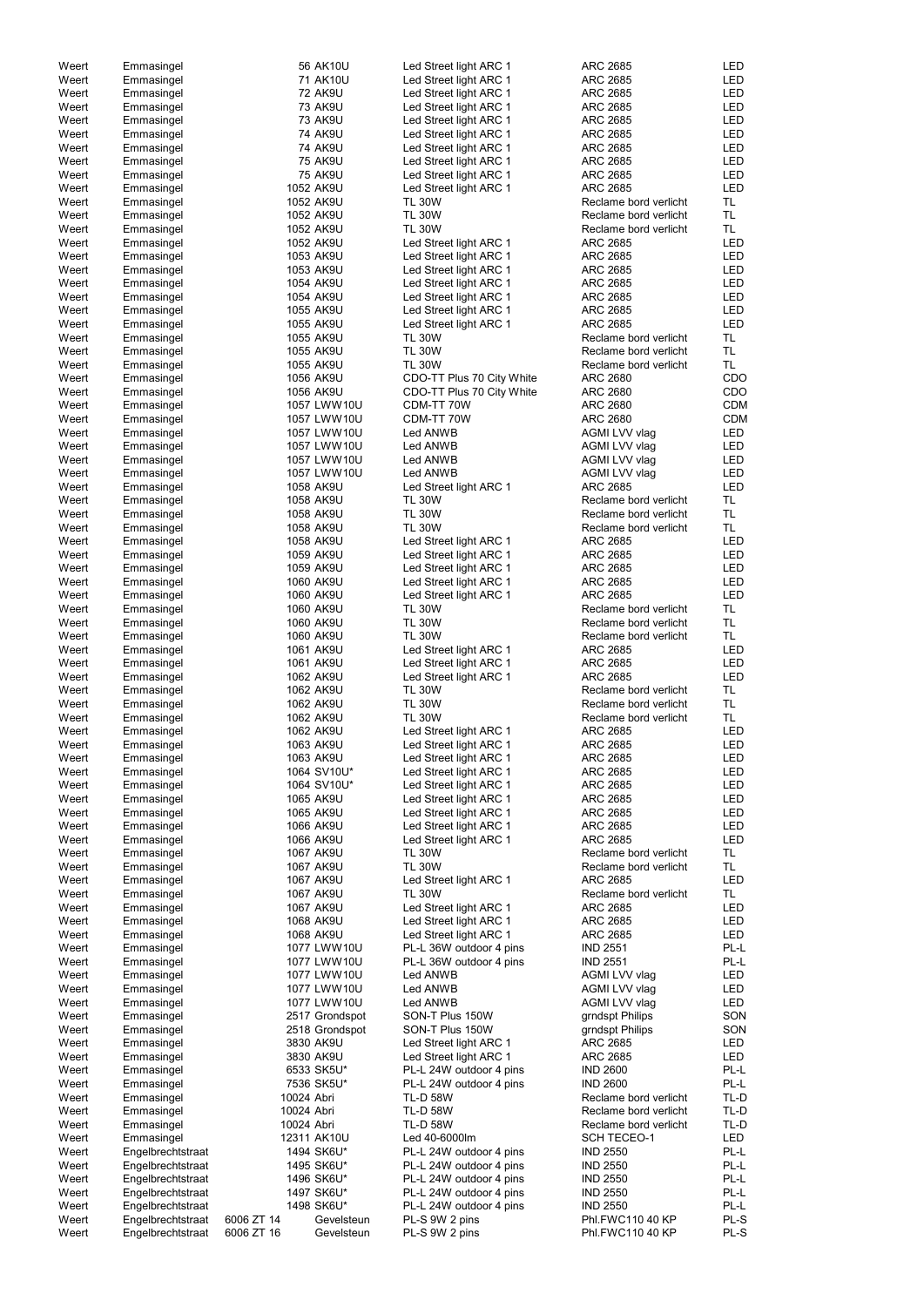| Weert | Emmasingel        |            | 56 AK10U       | Led Street light ARC 1    | ARC 2685              | LED        |
|-------|-------------------|------------|----------------|---------------------------|-----------------------|------------|
| Weert | Emmasingel        |            | 71 AK10U       | Led Street light ARC 1    | <b>ARC 2685</b>       | <b>LED</b> |
| Weert | Emmasingel        |            | <b>72 AK9U</b> | Led Street light ARC 1    | <b>ARC 2685</b>       | <b>LED</b> |
| Weert |                   |            | <b>73 AK9U</b> | Led Street light ARC 1    | <b>ARC 2685</b>       | <b>LED</b> |
|       | Emmasingel        |            |                |                           |                       |            |
| Weert | Emmasingel        |            | <b>73 AK9U</b> | Led Street light ARC 1    | <b>ARC 2685</b>       | <b>LED</b> |
| Weert | Emmasingel        |            | <b>74 AK9U</b> | Led Street light ARC 1    | <b>ARC 2685</b>       | <b>LED</b> |
| Weert | Emmasingel        |            | <b>74 AK9U</b> | Led Street light ARC 1    | <b>ARC 2685</b>       | <b>LED</b> |
| Weert | Emmasingel        |            | <b>75 AK9U</b> | Led Street light ARC 1    | <b>ARC 2685</b>       | <b>LED</b> |
|       |                   |            |                |                           |                       |            |
| Weert | Emmasingel        |            | <b>75 AK9U</b> | Led Street light ARC 1    | <b>ARC 2685</b>       | <b>LED</b> |
| Weert | Emmasingel        |            | 1052 AK9U      | Led Street light ARC 1    | <b>ARC 2685</b>       | <b>LED</b> |
| Weert | Emmasingel        |            | 1052 AK9U      | <b>TL 30W</b>             | Reclame bord verlicht | TL.        |
| Weert | Emmasingel        |            | 1052 AK9U      | <b>TL 30W</b>             | Reclame bord verlicht | <b>TL</b>  |
|       |                   |            |                |                           |                       |            |
| Weert | Emmasingel        |            | 1052 AK9U      | <b>TL 30W</b>             | Reclame bord verlicht | <b>TL</b>  |
| Weert | Emmasingel        |            | 1052 AK9U      | Led Street light ARC 1    | <b>ARC 2685</b>       | <b>LED</b> |
| Weert | Emmasingel        |            | 1053 AK9U      | Led Street light ARC 1    | <b>ARC 2685</b>       | <b>LED</b> |
| Weert | Emmasingel        |            | 1053 AK9U      | Led Street light ARC 1    | <b>ARC 2685</b>       | <b>LED</b> |
| Weert | Emmasingel        |            | 1054 AK9U      | Led Street light ARC 1    | <b>ARC 2685</b>       | <b>LED</b> |
|       |                   |            |                |                           |                       |            |
| Weert | Emmasingel        |            | 1054 AK9U      | Led Street light ARC 1    | <b>ARC 2685</b>       | <b>LED</b> |
| Weert | Emmasingel        |            | 1055 AK9U      | Led Street light ARC 1    | <b>ARC 2685</b>       | <b>LED</b> |
| Weert | Emmasingel        |            | 1055 AK9U      | Led Street light ARC 1    | <b>ARC 2685</b>       | <b>LED</b> |
| Weert | Emmasingel        |            | 1055 AK9U      | <b>TL 30W</b>             | Reclame bord verlicht | TL.        |
|       |                   |            |                |                           |                       | <b>TL</b>  |
| Weert | Emmasingel        |            | 1055 AK9U      | <b>TL 30W</b>             | Reclame bord verlicht |            |
| Weert | Emmasingel        |            | 1055 AK9U      | <b>TL 30W</b>             | Reclame bord verlicht | TL.        |
| Weert | Emmasingel        |            | 1056 AK9U      | CDO-TT Plus 70 City White | <b>ARC 2680</b>       | CDO        |
| Weert | Emmasingel        |            | 1056 AK9U      | CDO-TT Plus 70 City White | <b>ARC 2680</b>       | CDO        |
| Weert | Emmasingel        |            | 1057 LWW10U    | CDM-TT 70W                | ARC 2680              | <b>CDM</b> |
|       |                   |            |                |                           |                       |            |
| Weert | Emmasingel        |            | 1057 LWW10U    | CDM-TT 70W                | <b>ARC 2680</b>       | <b>CDM</b> |
| Weert | Emmasingel        |            | 1057 LWW10U    | Led ANWB                  | AGMI LVV vlag         | LED        |
| Weert | Emmasingel        |            | 1057 LWW10U    | Led ANWB                  | AGMI LVV vlag         | LED        |
| Weert | Emmasingel        |            | 1057 LWW10U    | Led ANWB                  | AGMI LVV vlag         | <b>LED</b> |
|       |                   |            | 1057 LWW10U    |                           |                       | <b>LED</b> |
| Weert | Emmasingel        |            |                | Led ANWB                  | AGMI LVV vlag         |            |
| Weert | Emmasingel        |            | 1058 AK9U      | Led Street light ARC 1    | <b>ARC 2685</b>       | <b>LED</b> |
| Weert | Emmasingel        |            | 1058 AK9U      | <b>TL 30W</b>             | Reclame bord verlicht | <b>TL</b>  |
| Weert | Emmasingel        |            | 1058 AK9U      | <b>TL 30W</b>             | Reclame bord verlicht | <b>TL</b>  |
| Weert | Emmasingel        |            | 1058 AK9U      | <b>TL 30W</b>             | Reclame bord verlicht | <b>TL</b>  |
|       |                   |            |                |                           |                       |            |
| Weert | Emmasingel        |            | 1058 AK9U      | Led Street light ARC 1    | <b>ARC 2685</b>       | <b>LED</b> |
| Weert | Emmasingel        |            | 1059 AK9U      | Led Street light ARC 1    | <b>ARC 2685</b>       | <b>LED</b> |
| Weert | Emmasingel        |            | 1059 AK9U      | Led Street light ARC 1    | <b>ARC 2685</b>       | <b>LED</b> |
| Weert | Emmasingel        |            | 1060 AK9U      | Led Street light ARC 1    | ARC 2685              | <b>LED</b> |
|       |                   |            |                |                           |                       |            |
| Weert | Emmasingel        |            | 1060 AK9U      | Led Street light ARC 1    | <b>ARC 2685</b>       | <b>LED</b> |
| Weert | Emmasingel        |            | 1060 AK9U      | <b>TL 30W</b>             | Reclame bord verlicht | TL.        |
| Weert | Emmasingel        |            | 1060 AK9U      | <b>TL 30W</b>             | Reclame bord verlicht | TL.        |
| Weert | Emmasingel        |            | 1060 AK9U      | <b>TL 30W</b>             | Reclame bord verlicht | TL.        |
|       |                   |            |                |                           |                       |            |
| Weert | Emmasingel        |            | 1061 AK9U      | Led Street light ARC 1    | <b>ARC 2685</b>       | <b>LED</b> |
| Weert | Emmasingel        |            | 1061 AK9U      | Led Street light ARC 1    | <b>ARC 2685</b>       | LED        |
| Weert | Emmasingel        |            | 1062 AK9U      | Led Street light ARC 1    | <b>ARC 2685</b>       | <b>LED</b> |
| Weert | Emmasingel        |            | 1062 AK9U      | <b>TL 30W</b>             | Reclame bord verlicht | <b>TL</b>  |
|       |                   |            | 1062 AK9U      | <b>TL 30W</b>             |                       | <b>TL</b>  |
| Weert | Emmasingel        |            |                |                           | Reclame bord verlicht |            |
| Weert | Emmasingel        |            | 1062 AK9U      | <b>TL 30W</b>             | Reclame bord verlicht | TL.        |
| Weert | Emmasingel        |            | 1062 AK9U      | Led Street light ARC 1    | ARC 2685              | <b>LED</b> |
| Weert | Emmasingel        |            | 1063 AK9U      | Led Street light ARC 1    | ARC 2685              | <b>LED</b> |
| Weert | Emmasingel        |            | 1063 AK9U      | Led Street light ARC 1    | <b>ARC 2685</b>       | <b>LED</b> |
|       |                   |            |                |                           |                       |            |
| Weert | Emmasingel        |            | 1064 SV10U*    | Led Street light ARC 1    | ARC 2685              | <b>LED</b> |
| Weert | Emmasingel        |            | 1064 SV10U*    | Led Street light ARC 1    | ARC 2685              | <b>LED</b> |
| Weert | Emmasingel        |            | 1065 AK9U      | Led Street light ARC 1    | ARC 2685              | <b>LED</b> |
| Weert | Emmasingel        |            | 1065 AK9U      | Led Street light ARC 1    | ARC 2685              | <b>LED</b> |
|       |                   |            |                |                           |                       | <b>LED</b> |
| Weert | Emmasingel        |            | 1066 AK9U      | Led Street light ARC 1    | ARC 2685              |            |
| Weert | Emmasingel        |            | 1066 AK9U      | Led Street light ARC 1    | <b>ARC 2685</b>       | <b>LED</b> |
| Weert | Emmasingel        |            | 1067 AK9U      | <b>TL 30W</b>             | Reclame bord verlicht | TL.        |
| Weert | Emmasingel        |            | 1067 AK9U      | <b>TL 30W</b>             | Reclame bord verlicht | TL.        |
| Weert | Emmasingel        |            | 1067 AK9U      | Led Street light ARC 1    | <b>ARC 2685</b>       | <b>LED</b> |
| Weert | Emmasingel        |            | 1067 AK9U      | <b>TL 30W</b>             | Reclame bord verlicht | TL.        |
|       |                   |            |                |                           |                       |            |
| Weert | Emmasingel        |            | 1067 AK9U      | Led Street light ARC 1    | <b>ARC 2685</b>       | <b>LED</b> |
| Weert | Emmasingel        |            | 1068 AK9U      | Led Street light ARC 1    | ARC 2685              | <b>LED</b> |
| Weert | Emmasingel        |            | 1068 AK9U      | Led Street light ARC 1    | ARC 2685              | <b>LED</b> |
| Weert | Emmasingel        |            | 1077 LWW10U    | PL-L 36W outdoor 4 pins   | <b>IND 2551</b>       | PL-L       |
| Weert |                   |            | 1077 LWW10U    | PL-L 36W outdoor 4 pins   | <b>IND 2551</b>       | PL-L       |
|       | Emmasingel        |            |                |                           |                       |            |
| Weert | Emmasingel        |            | 1077 LWW10U    | Led ANWB                  | AGMI LVV vlag         | <b>LED</b> |
| Weert | Emmasingel        |            | 1077 LWW10U    | Led ANWB                  | AGMI LVV vlag         | <b>LED</b> |
| Weert | Emmasingel        |            | 1077 LWW10U    | Led ANWB                  | AGMI LVV vlag         | <b>LED</b> |
| Weert | Emmasingel        |            | 2517 Grondspot | SON-T Plus 150W           | grndspt Philips       | SON        |
| Weert |                   |            |                |                           |                       | SON        |
|       | Emmasingel        |            | 2518 Grondspot | SON-T Plus 150W           | grndspt Philips       |            |
| Weert | Emmasingel        |            | 3830 AK9U      | Led Street light ARC 1    | <b>ARC 2685</b>       | LED        |
| Weert | Emmasingel        |            | 3830 AK9U      | Led Street light ARC 1    | <b>ARC 2685</b>       | LED        |
| Weert | Emmasingel        |            | 6533 SK5U*     | PL-L 24W outdoor 4 pins   | <b>IND 2600</b>       | PL-L       |
| Weert | Emmasingel        |            | 7536 SK5U*     | PL-L 24W outdoor 4 pins   | <b>IND 2600</b>       | PL-L       |
|       |                   |            |                |                           |                       |            |
| Weert | Emmasingel        | 10024 Abri |                | <b>TL-D 58W</b>           | Reclame bord verlicht | TL-D       |
| Weert | Emmasingel        | 10024 Abri |                | <b>TL-D 58W</b>           | Reclame bord verlicht | TL-D       |
| Weert | Emmasingel        | 10024 Abri |                | <b>TL-D 58W</b>           | Reclame bord verlicht | TL-D       |
| Weert | Emmasingel        |            | 12311 AK10U    | Led 40-6000lm             | SCH TECEO-1           | LED        |
|       |                   |            |                |                           |                       | PL-L       |
| Weert | Engelbrechtstraat |            | 1494 SK6U*     | PL-L 24W outdoor 4 pins   | <b>IND 2550</b>       |            |
| Weert | Engelbrechtstraat |            | 1495 SK6U*     | PL-L 24W outdoor 4 pins   | <b>IND 2550</b>       | PL-L       |
| Weert | Engelbrechtstraat |            | 1496 SK6U*     | PL-L 24W outdoor 4 pins   | <b>IND 2550</b>       | PL-L       |
| Weert | Engelbrechtstraat |            | 1497 SK6U*     | PL-L 24W outdoor 4 pins   | <b>IND 2550</b>       | PL-L       |
| Weert | Engelbrechtstraat |            | 1498 SK6U*     | PL-L 24W outdoor 4 pins   | <b>IND 2550</b>       | PL-L       |
| Weert | Engelbrechtstraat |            |                |                           |                       |            |
|       |                   | 6006 ZT 14 | Gevelsteun     | PL-S 9W 2 pins            | Phl.FWC110 40 KP      | PL-S       |
| Weert | Engelbrechtstraat | 6006 ZT 16 | Gevelsteun     | PL-S 9W 2 pins            | Phl.FWC110 40 KP      | PL-S       |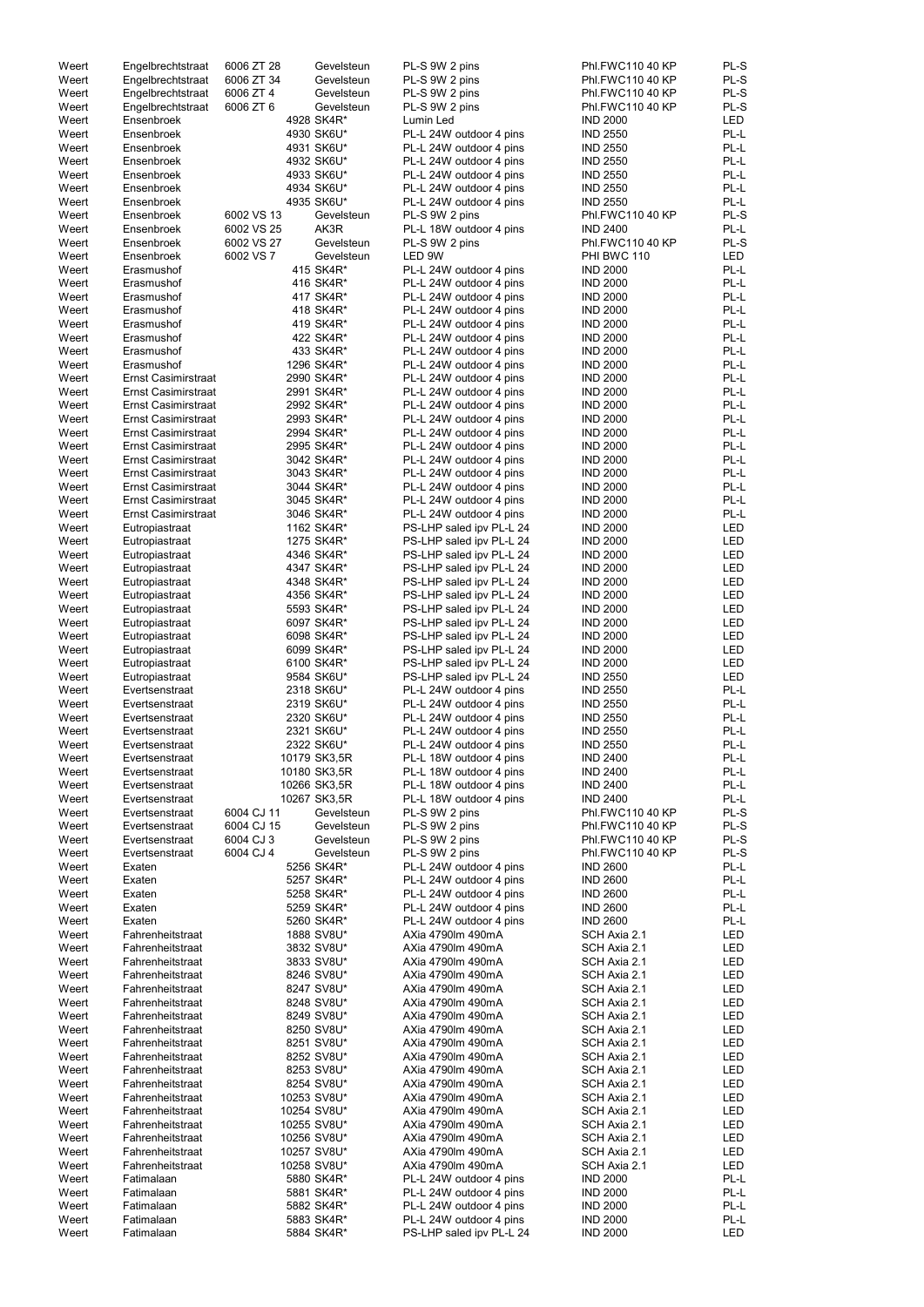| Weert | Engelbrechtstraat          | 6006 ZT 28 | Gevelsteun   | PL-S 9W 2 pins           | Phl.FWC110 40 KP | PL-S       |
|-------|----------------------------|------------|--------------|--------------------------|------------------|------------|
| Weert | Engelbrechtstraat          | 6006 ZT 34 | Gevelsteun   | PL-S 9W 2 pins           | Phl.FWC110 40 KP | PL-S       |
| Weert | Engelbrechtstraat          | 6006 ZT 4  | Gevelsteun   | PL-S 9W 2 pins           | Phl.FWC110 40 KP | PL-S       |
| Weert | Engelbrechtstraat          | 6006 ZT 6  | Gevelsteun   | PL-S 9W 2 pins           | Phl.FWC110 40 KP | PL-S       |
|       |                            |            |              |                          |                  |            |
| Weert | Ensenbroek                 |            | 4928 SK4R*   | Lumin Led                | <b>IND 2000</b>  | <b>LED</b> |
| Weert | Ensenbroek                 |            | 4930 SK6U*   | PL-L 24W outdoor 4 pins  | <b>IND 2550</b>  | PL-L       |
| Weert | Ensenbroek                 |            | 4931 SK6U*   | PL-L 24W outdoor 4 pins  | <b>IND 2550</b>  | PL-L       |
| Weert | Ensenbroek                 |            | 4932 SK6U*   | PL-L 24W outdoor 4 pins  | <b>IND 2550</b>  | PL-L       |
|       |                            |            |              |                          |                  |            |
| Weert | Ensenbroek                 |            | 4933 SK6U*   | PL-L 24W outdoor 4 pins  | <b>IND 2550</b>  | PL-L       |
| Weert | Ensenbroek                 |            | 4934 SK6U*   | PL-L 24W outdoor 4 pins  | <b>IND 2550</b>  | PL-L       |
| Weert | Ensenbroek                 |            | 4935 SK6U*   | PL-L 24W outdoor 4 pins  | <b>IND 2550</b>  | PL-L       |
|       |                            | 6002 VS 13 |              |                          |                  |            |
| Weert | Ensenbroek                 |            | Gevelsteun   | PL-S 9W 2 pins           | Phl.FWC110 40 KP | PL-S       |
| Weert | Ensenbroek                 | 6002 VS 25 | AK3R         | PL-L 18W outdoor 4 pins  | <b>IND 2400</b>  | PL-L       |
| Weert | Ensenbroek                 | 6002 VS 27 | Gevelsteun   | PL-S 9W 2 pins           | Phl.FWC110 40 KP | PL-S       |
| Weert | Ensenbroek                 | 6002 VS 7  | Gevelsteun   | LED 9W                   | PHI BWC 110      | <b>LED</b> |
|       |                            |            |              |                          |                  |            |
| Weert | Erasmushof                 |            | 415 SK4R*    | PL-L 24W outdoor 4 pins  | <b>IND 2000</b>  | PL-L       |
| Weert | Erasmushof                 |            | 416 SK4R*    | PL-L 24W outdoor 4 pins  | <b>IND 2000</b>  | PL-L       |
| Weert | Erasmushof                 |            | 417 SK4R*    | PL-L 24W outdoor 4 pins  | <b>IND 2000</b>  | PL-L       |
| Weert | Erasmushof                 |            | 418 SK4R*    | PL-L 24W outdoor 4 pins  | <b>IND 2000</b>  | PL-L       |
|       |                            |            |              |                          |                  |            |
| Weert | Erasmushof                 |            | 419 SK4R*    | PL-L 24W outdoor 4 pins  | <b>IND 2000</b>  | PL-L       |
| Weert | Erasmushof                 |            | 422 SK4R*    | PL-L 24W outdoor 4 pins  | <b>IND 2000</b>  | PL-L       |
| Weert | Erasmushof                 |            | 433 SK4R*    | PL-L 24W outdoor 4 pins  | <b>IND 2000</b>  | PL-L       |
|       |                            |            |              |                          |                  |            |
| Weert | Erasmushof                 |            | 1296 SK4R*   | PL-L 24W outdoor 4 pins  | <b>IND 2000</b>  | PL-L       |
| Weert | <b>Ernst Casimirstraat</b> |            | 2990 SK4R*   | PL-L 24W outdoor 4 pins  | <b>IND 2000</b>  | PL-L       |
| Weert | <b>Ernst Casimirstraat</b> |            | 2991 SK4R*   | PL-L 24W outdoor 4 pins  | <b>IND 2000</b>  | PL-L       |
| Weert | <b>Ernst Casimirstraat</b> |            | 2992 SK4R*   | PL-L 24W outdoor 4 pins  | <b>IND 2000</b>  | PL-L       |
|       |                            |            |              |                          |                  |            |
| Weert | <b>Ernst Casimirstraat</b> |            | 2993 SK4R*   | PL-L 24W outdoor 4 pins  | <b>IND 2000</b>  | PL-L       |
| Weert | <b>Ernst Casimirstraat</b> |            | 2994 SK4R*   | PL-L 24W outdoor 4 pins  | <b>IND 2000</b>  | PL-L       |
| Weert | <b>Ernst Casimirstraat</b> |            | 2995 SK4R*   | PL-L 24W outdoor 4 pins  | <b>IND 2000</b>  | PL-L       |
|       |                            |            |              |                          |                  |            |
| Weert | <b>Ernst Casimirstraat</b> |            | 3042 SK4R*   | PL-L 24W outdoor 4 pins  | <b>IND 2000</b>  | PL-L       |
| Weert | <b>Ernst Casimirstraat</b> |            | 3043 SK4R*   | PL-L 24W outdoor 4 pins  | <b>IND 2000</b>  | PL-L       |
| Weert | <b>Ernst Casimirstraat</b> |            | 3044 SK4R*   | PL-L 24W outdoor 4 pins  | <b>IND 2000</b>  | PL-L       |
| Weert | <b>Ernst Casimirstraat</b> |            | 3045 SK4R*   | PL-L 24W outdoor 4 pins  | <b>IND 2000</b>  | PL-L       |
|       |                            |            |              |                          |                  |            |
| Weert | <b>Ernst Casimirstraat</b> |            | 3046 SK4R*   | PL-L 24W outdoor 4 pins  | <b>IND 2000</b>  | PL-L       |
| Weert | Eutropiastraat             |            | 1162 SK4R*   | PS-LHP saled ipv PL-L 24 | <b>IND 2000</b>  | LED        |
| Weert | Eutropiastraat             |            | 1275 SK4R*   | PS-LHP saled ipv PL-L 24 | <b>IND 2000</b>  | <b>LED</b> |
|       |                            |            |              |                          |                  |            |
| Weert | Eutropiastraat             |            | 4346 SK4R*   | PS-LHP saled ipv PL-L 24 | <b>IND 2000</b>  | LED        |
| Weert | Eutropiastraat             |            | 4347 SK4R*   | PS-LHP saled ipv PL-L 24 | <b>IND 2000</b>  | LED        |
| Weert | Eutropiastraat             |            | 4348 SK4R*   | PS-LHP saled ipv PL-L 24 | <b>IND 2000</b>  | LED        |
|       |                            |            |              |                          |                  |            |
| Weert | Eutropiastraat             |            | 4356 SK4R*   | PS-LHP saled ipv PL-L 24 | <b>IND 2000</b>  | LED        |
| Weert | Eutropiastraat             |            | 5593 SK4R*   | PS-LHP saled ipv PL-L 24 | <b>IND 2000</b>  | LED        |
| Weert | Eutropiastraat             |            | 6097 SK4R*   | PS-LHP saled ipv PL-L 24 | <b>IND 2000</b>  | LED        |
| Weert |                            |            | 6098 SK4R*   | PS-LHP saled ipv PL-L 24 | <b>IND 2000</b>  | LED        |
|       | Eutropiastraat             |            |              |                          |                  |            |
| Weert | Eutropiastraat             |            | 6099 SK4R*   | PS-LHP saled ipv PL-L 24 | <b>IND 2000</b>  | LED        |
| Weert | Eutropiastraat             |            | 6100 SK4R*   | PS-LHP saled ipv PL-L 24 | <b>IND 2000</b>  | LED        |
| Weert | Eutropiastraat             |            | 9584 SK6U*   | PS-LHP saled ipv PL-L 24 | <b>IND 2550</b>  | LED        |
|       |                            |            |              |                          |                  |            |
| Weert | Evertsenstraat             |            | 2318 SK6U*   | PL-L 24W outdoor 4 pins  | <b>IND 2550</b>  | PL-L       |
| Weert | Evertsenstraat             |            | 2319 SK6U*   | PL-L 24W outdoor 4 pins  | <b>IND 2550</b>  | PL-L       |
| Weert | Evertsenstraat             |            | 2320 SK6U*   | PL-L 24W outdoor 4 pins  | <b>IND 2550</b>  | PL-L       |
|       |                            |            |              |                          |                  |            |
| Weert | Evertsenstraat             |            | 2321 SK6U*   | PL-L 24W outdoor 4 pins  | <b>IND 2550</b>  | PL-L       |
| Weert | Evertsenstraat             |            | 2322 SK6U*   | PL-L 24W outdoor 4 pins  | <b>IND 2550</b>  | PL-L       |
| Weert | Evertsenstraat             |            | 10179 SK3,5R | PL-L 18W outdoor 4 pins  | <b>IND 2400</b>  | PL-L       |
| Weert | Evertsenstraat             |            | 10180 SK3,5R | PL-L 18W outdoor 4 pins  | <b>IND 2400</b>  | PL-L       |
|       |                            |            |              |                          |                  |            |
| Weert | Evertsenstraat             |            | 10266 SK3,5R | PL-L 18W outdoor 4 pins  | <b>IND 2400</b>  | PL-L       |
| Weert | Evertsenstraat             |            | 10267 SK3,5R | PL-L 18W outdoor 4 pins  | <b>IND 2400</b>  | PL-L       |
| Weert | Evertsenstraat             | 6004 CJ 11 | Gevelsteun   | PL-S 9W 2 pins           | Phl.FWC110 40 KP | PL-S       |
|       |                            |            |              |                          |                  |            |
| Weert | Evertsenstraat             | 6004 CJ 15 | Gevelsteun   | PL-S 9W 2 pins           | Phl.FWC110 40 KP | PL-S       |
| Weert | Evertsenstraat             | 6004 CJ 3  | Gevelsteun   | PL-S 9W 2 pins           | Phl.FWC110 40 KP | PL-S       |
| Weert | Evertsenstraat             | 6004 CJ 4  | Gevelsteun   | PL-S 9W 2 pins           | Phl.FWC110 40 KP | PL-S       |
| Weert | Exaten                     |            | 5256 SK4R*   | PL-L 24W outdoor 4 pins  | <b>IND 2600</b>  | PL-L       |
|       |                            |            |              |                          |                  |            |
| Weert | Exaten                     |            | 5257 SK4R*   | PL-L 24W outdoor 4 pins  | <b>IND 2600</b>  | PL-L       |
| Weert | Exaten                     |            | 5258 SK4R*   | PL-L 24W outdoor 4 pins  | <b>IND 2600</b>  | PL-L       |
| Weert | Exaten                     |            | 5259 SK4R*   | PL-L 24W outdoor 4 pins  | <b>IND 2600</b>  | PL-L       |
| Weert | Exaten                     |            | 5260 SK4R*   | PL-L 24W outdoor 4 pins  | <b>IND 2600</b>  | PL-L       |
|       |                            |            |              |                          |                  |            |
| Weert | Fahrenheitstraat           |            | 1888 SV8U*   | AXia 4790lm 490mA        | SCH Axia 2.1     | LED        |
| Weert | Fahrenheitstraat           |            | 3832 SV8U*   | AXia 4790lm 490mA        | SCH Axia 2.1     | LED        |
| Weert | Fahrenheitstraat           |            | 3833 SV8U*   | AXia 4790lm 490mA        | SCH Axia 2.1     | LED        |
| Weert | Fahrenheitstraat           |            | 8246 SV8U*   | AXia 4790lm 490mA        | SCH Axia 2.1     | LED        |
|       |                            |            |              |                          |                  |            |
| Weert | Fahrenheitstraat           |            | 8247 SV8U*   | AXia 4790lm 490mA        | SCH Axia 2.1     | LED        |
| Weert | Fahrenheitstraat           |            | 8248 SV8U*   | AXia 4790lm 490mA        | SCH Axia 2.1     | <b>LED</b> |
| Weert | Fahrenheitstraat           |            | 8249 SV8U*   | AXia 4790lm 490mA        | SCH Axia 2.1     | LED        |
|       |                            |            |              |                          |                  |            |
| Weert | Fahrenheitstraat           |            | 8250 SV8U*   | AXia 4790lm 490mA        | SCH Axia 2.1     | LED        |
| Weert | Fahrenheitstraat           |            | 8251 SV8U*   | AXia 4790lm 490mA        | SCH Axia 2.1     | LED        |
| Weert | Fahrenheitstraat           |            | 8252 SV8U*   | AXia 4790lm 490mA        | SCH Axia 2.1     | LED        |
| Weert | Fahrenheitstraat           |            | 8253 SV8U*   |                          |                  |            |
|       |                            |            |              | AXia 4790lm 490mA        | SCH Axia 2.1     | LED        |
| Weert | Fahrenheitstraat           |            | 8254 SV8U*   | AXia 4790lm 490mA        | SCH Axia 2.1     | LED        |
| Weert | Fahrenheitstraat           |            | 10253 SV8U*  | AXia 4790lm 490mA        | SCH Axia 2.1     | LED        |
| Weert | Fahrenheitstraat           |            | 10254 SV8U*  | AXia 4790lm 490mA        | SCH Axia 2.1     | LED        |
|       |                            |            |              |                          |                  |            |
| Weert | Fahrenheitstraat           |            | 10255 SV8U*  | AXia 4790lm 490mA        | SCH Axia 2.1     | LED        |
| Weert | Fahrenheitstraat           |            | 10256 SV8U*  | AXia 4790lm 490mA        | SCH Axia 2.1     | LED        |
| Weert | Fahrenheitstraat           |            | 10257 SV8U*  | AXia 4790lm 490mA        | SCH Axia 2.1     | LED        |
|       |                            |            |              |                          |                  |            |
| Weert | Fahrenheitstraat           |            | 10258 SV8U*  | AXia 4790lm 490mA        | SCH Axia 2.1     | LED        |
| Weert | Fatimalaan                 |            | 5880 SK4R*   | PL-L 24W outdoor 4 pins  | <b>IND 2000</b>  | PL-L       |
| Weert | Fatimalaan                 |            | 5881 SK4R*   | PL-L 24W outdoor 4 pins  | <b>IND 2000</b>  | PL-L       |
| Weert | Fatimalaan                 |            | 5882 SK4R*   | PL-L 24W outdoor 4 pins  | <b>IND 2000</b>  | PL-L       |
|       |                            |            |              |                          |                  |            |
| Weert |                            |            |              |                          | <b>IND 2000</b>  |            |
|       | Fatimalaan                 |            | 5883 SK4R*   | PL-L 24W outdoor 4 pins  |                  | PL-L       |
| Weert | Fatimalaan                 |            | 5884 SK4R*   | PS-LHP saled ipv PL-L 24 | <b>IND 2000</b>  | LED        |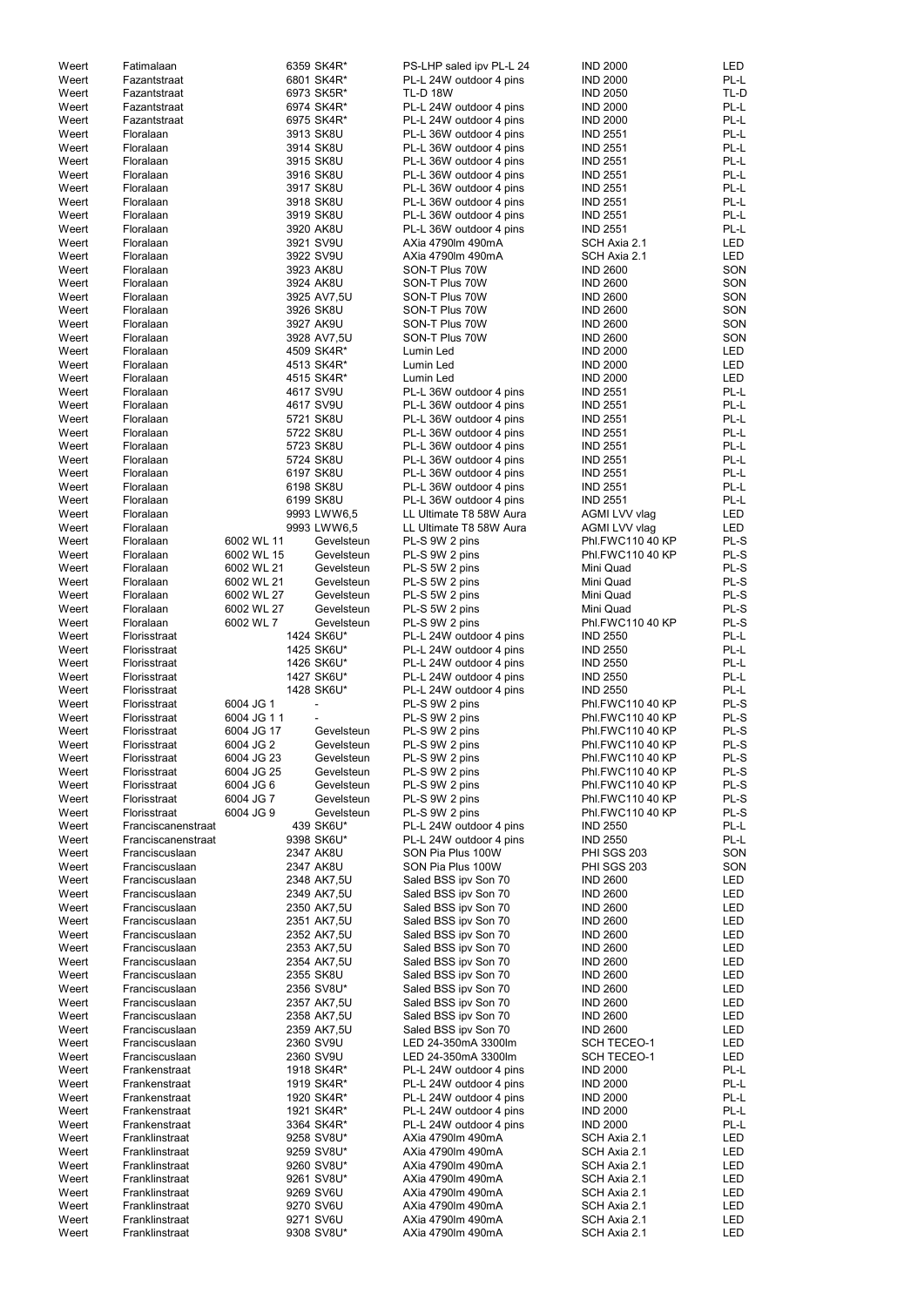| Weert | Fatimalaan         |            | 6359 SK4R*  | PS-LHP saled ipv PL-L 24 | <b>IND 2000</b>                    | LED        |
|-------|--------------------|------------|-------------|--------------------------|------------------------------------|------------|
| Weert | Fazantstraat       |            | 6801 SK4R*  | PL-L 24W outdoor 4 pins  | <b>IND 2000</b>                    | PL-L       |
| Weert | Fazantstraat       |            | 6973 SK5R*  | <b>TL-D 18W</b>          | <b>IND 2050</b>                    | TL-D       |
| Weert | Fazantstraat       |            | 6974 SK4R*  | PL-L 24W outdoor 4 pins  | <b>IND 2000</b>                    | PL-L       |
|       |                    |            |             |                          |                                    |            |
| Weert | Fazantstraat       |            | 6975 SK4R*  | PL-L 24W outdoor 4 pins  | <b>IND 2000</b>                    | PL-L       |
| Weert | Floralaan          |            | 3913 SK8U   | PL-L 36W outdoor 4 pins  | <b>IND 2551</b>                    | PL-L       |
| Weert | Floralaan          |            | 3914 SK8U   | PL-L 36W outdoor 4 pins  | <b>IND 2551</b>                    | PL-L       |
| Weert | Floralaan          |            | 3915 SK8U   | PL-L 36W outdoor 4 pins  | <b>IND 2551</b>                    | PL-L       |
| Weert | Floralaan          |            | 3916 SK8U   | PL-L 36W outdoor 4 pins  | <b>IND 2551</b>                    | PL-L       |
| Weert | Floralaan          |            | 3917 SK8U   | PL-L 36W outdoor 4 pins  | <b>IND 2551</b>                    | PL-L       |
|       |                    |            |             | PL-L 36W outdoor 4 pins  |                                    | PL-L       |
| Weert | Floralaan          |            | 3918 SK8U   |                          | <b>IND 2551</b>                    |            |
| Weert | Floralaan          |            | 3919 SK8U   | PL-L 36W outdoor 4 pins  | <b>IND 2551</b>                    | PL-L       |
| Weert | Floralaan          |            | 3920 AK8U   | PL-L 36W outdoor 4 pins  | <b>IND 2551</b>                    | PL-L       |
| Weert | Floralaan          |            | 3921 SV9U   | AXia 4790lm 490mA        | SCH Axia 2.1                       | <b>LED</b> |
| Weert | Floralaan          |            | 3922 SV9U   | AXia 4790lm 490mA        | SCH Axia 2.1                       | <b>LED</b> |
| Weert | Floralaan          |            | 3923 AK8U   | SON-T Plus 70W           | <b>IND 2600</b>                    | SON        |
| Weert | Floralaan          |            | 3924 AK8U   | SON-T Plus 70W           | <b>IND 2600</b>                    | SON        |
| Weert | Floralaan          |            | 3925 AV7,5U | SON-T Plus 70W           | <b>IND 2600</b>                    | SON        |
|       |                    |            |             |                          |                                    |            |
| Weert | Floralaan          |            | 3926 SK8U   | SON-T Plus 70W           | <b>IND 2600</b>                    | SON        |
| Weert | Floralaan          |            | 3927 AK9U   | SON-T Plus 70W           | <b>IND 2600</b>                    | SON        |
| Weert | Floralaan          |            | 3928 AV7,5U | SON-T Plus 70W           | <b>IND 2600</b>                    | SON        |
| Weert | Floralaan          |            | 4509 SK4R*  | Lumin Led                | <b>IND 2000</b>                    | LED        |
| Weert | Floralaan          |            | 4513 SK4R*  | Lumin Led                | <b>IND 2000</b>                    | <b>LED</b> |
| Weert | Floralaan          |            | 4515 SK4R*  | Lumin Led                | <b>IND 2000</b>                    | <b>LED</b> |
| Weert | Floralaan          |            | 4617 SV9U   | PL-L 36W outdoor 4 pins  | <b>IND 2551</b>                    | PL-L       |
| Weert | Floralaan          |            | 4617 SV9U   | PL-L 36W outdoor 4 pins  | <b>IND 2551</b>                    | PL-L       |
|       |                    |            |             |                          |                                    |            |
| Weert | Floralaan          |            | 5721 SK8U   | PL-L 36W outdoor 4 pins  | <b>IND 2551</b>                    | PL-L       |
| Weert | Floralaan          |            | 5722 SK8U   | PL-L 36W outdoor 4 pins  | <b>IND 2551</b>                    | PL-L       |
| Weert | Floralaan          |            | 5723 SK8U   | PL-L 36W outdoor 4 pins  | <b>IND 2551</b>                    | PL-L       |
| Weert | Floralaan          |            | 5724 SK8U   | PL-L 36W outdoor 4 pins  | <b>IND 2551</b>                    | PL-L       |
| Weert | Floralaan          |            | 6197 SK8U   | PL-L 36W outdoor 4 pins  | <b>IND 2551</b>                    | PL-L       |
| Weert | Floralaan          |            | 6198 SK8U   | PL-L 36W outdoor 4 pins  | <b>IND 2551</b>                    | PL-L       |
| Weert | Floralaan          |            | 6199 SK8U   | PL-L 36W outdoor 4 pins  | <b>IND 2551</b>                    | PL-L       |
|       |                    |            |             | LL Ultimate T8 58W Aura  |                                    |            |
| Weert | Floralaan          |            | 9993 LWW6,5 |                          | AGMI LVV vlag                      | LED        |
| Weert | Floralaan          |            | 9993 LWW6,5 | LL Ultimate T8 58W Aura  | AGMI LVV vlag                      | LED        |
| Weert | Floralaan          | 6002 WL 11 | Gevelsteun  | PL-S 9W 2 pins           | Phl.FWC110 40 KP                   | PL-S       |
| Weert | Floralaan          | 6002 WL 15 | Gevelsteun  | PL-S 9W 2 pins           | Phl.FWC110 40 KP                   | PL-S       |
| Weert | Floralaan          | 6002 WL 21 | Gevelsteun  | PL-S 5W 2 pins           | Mini Quad                          | PL-S       |
| Weert | Floralaan          | 6002 WL 21 | Gevelsteun  | PL-S 5W 2 pins           | Mini Quad                          | PL-S       |
| Weert | Floralaan          | 6002 WL 27 | Gevelsteun  | PL-S 5W 2 pins           | Mini Quad                          | PL-S       |
| Weert | Floralaan          | 6002 WL 27 | Gevelsteun  | PL-S 5W 2 pins           | Mini Quad                          | PL-S       |
|       |                    |            |             |                          |                                    |            |
| Weert | Floralaan          | 6002 WL 7  | Gevelsteun  | PL-S 9W 2 pins           | Phl.FWC110 40 KP                   | PL-S       |
| Weert | Florisstraat       |            | 1424 SK6U*  | PL-L 24W outdoor 4 pins  | <b>IND 2550</b>                    | PL-L       |
| Weert | Florisstraat       |            | 1425 SK6U*  | PL-L 24W outdoor 4 pins  | <b>IND 2550</b>                    | PL-L       |
| Weert | Florisstraat       |            | 1426 SK6U*  | PL-L 24W outdoor 4 pins  | <b>IND 2550</b>                    | PL-L       |
| Weert | Florisstraat       |            | 1427 SK6U*  | PL-L 24W outdoor 4 pins  | <b>IND 2550</b>                    | PL-L       |
| Weert | Florisstraat       |            | 1428 SK6U*  | PL-L 24W outdoor 4 pins  | <b>IND 2550</b>                    | PL-L       |
| Weert |                    | 6004 JG 1  |             |                          | Phl.FWC110 40 KP                   | PL-S       |
|       | Florisstraat       |            |             | PL-S 9W 2 pins           |                                    |            |
| Weert | Florisstraat       | 6004 JG 11 |             | PL-S 9W 2 pins           | Phl.FWC110 40 KP                   | PL-S       |
| Weert | Florisstraat       | 6004 JG 17 | Gevelsteun  | PL-S 9W 2 pins           | Phl.FWC110 40 KP                   | PL-S       |
| Weert | Florisstraat       | 6004 JG 2  | Gevelsteun  | PL-S 9W 2 pins           | Phl.FWC110 40 KP                   | PL-S       |
| Weert | Florisstraat       | 6004 JG 23 | Gevelsteun  | PL-S 9W 2 pins           | Phl.FWC110 40 KP                   | PL-S       |
| Weert | Florisstraat       | 6004 JG 25 | Gevelsteun  | PL-S 9W 2 pins           | Phl.FWC110 40 KP                   | PL-S       |
| Weert | Florisstraat       | 6004 JG 6  | Gevelsteun  | PL-S 9W 2 pins           | Phl.FWC110 40 KP                   | PL-S       |
| Weert | Florisstraat       | 6004 JG 7  | Gevelsteun  | PL-S 9W 2 pins           | Phl.FWC110 40 KP                   | PL-S       |
|       | Florisstraat       | 6004 JG 9  |             |                          |                                    | PL-S       |
| Weert |                    |            | Gevelsteun  | PL-S 9W 2 pins           | Phl.FWC110 40 KP                   |            |
| Weert | Franciscanenstraat |            | 439 SK6U*   | PL-L 24W outdoor 4 pins  | <b>IND 2550</b>                    | PL-L       |
| Weert | Franciscanenstraat |            | 9398 SK6U*  | PL-L 24W outdoor 4 pins  | <b>IND 2550</b>                    | PL-L       |
| Weert | Franciscuslaan     |            | 2347 AK8U   | SON Pia Plus 100W        | <b>PHI SGS 203</b>                 | SON        |
| Weert | Franciscuslaan     |            | 2347 AK8U   | SON Pia Plus 100W        | <b>PHI SGS 203</b>                 | SON        |
| Weert | Franciscuslaan     |            | 2348 AK7,5U | Saled BSS ipv Son 70     | <b>IND 2600</b>                    | LED        |
| Weert | Franciscuslaan     |            | 2349 AK7,5U | Saled BSS ipv Son 70     | <b>IND 2600</b>                    | LED        |
| Weert | Franciscuslaan     |            | 2350 AK7,5U | Saled BSS ipv Son 70     | <b>IND 2600</b>                    | <b>LED</b> |
| Weert | Franciscuslaan     |            |             |                          | <b>IND 2600</b>                    | <b>LED</b> |
|       |                    |            | 2351 AK7,5U | Saled BSS ipv Son 70     |                                    |            |
| Weert | Franciscuslaan     |            | 2352 AK7,5U | Saled BSS ipv Son 70     | <b>IND 2600</b>                    | <b>LED</b> |
| Weert | Franciscuslaan     |            | 2353 AK7,5U | Saled BSS ipv Son 70     | <b>IND 2600</b>                    | <b>LED</b> |
| Weert | Franciscuslaan     |            | 2354 AK7,5U | Saled BSS ipv Son 70     | <b>IND 2600</b>                    | <b>LED</b> |
| Weert | Franciscuslaan     |            | 2355 SK8U   | Saled BSS ipv Son 70     | <b>IND 2600</b>                    | <b>LED</b> |
| Weert | Franciscuslaan     |            | 2356 SV8U*  | Saled BSS ipv Son 70     | <b>IND 2600</b>                    | LED        |
| Weert | Franciscuslaan     |            | 2357 AK7,5U | Saled BSS ipv Son 70     | <b>IND 2600</b>                    | LED        |
|       | Franciscuslaan     |            |             |                          |                                    |            |
| Weert |                    |            | 2358 AK7,5U | Saled BSS ipv Son 70     | <b>IND 2600</b><br><b>IND 2600</b> | LED        |
| Weert | Franciscuslaan     |            | 2359 AK7,5U | Saled BSS ipv Son 70     |                                    | <b>LED</b> |
| Weert | Franciscuslaan     |            | 2360 SV9U   | LED 24-350mA 3300lm      | <b>SCH TECEO-1</b>                 | <b>LED</b> |
| Weert | Franciscuslaan     |            | 2360 SV9U   | LED 24-350mA 3300lm      | <b>SCH TECEO-1</b>                 | LED        |
| Weert | Frankenstraat      |            | 1918 SK4R*  | PL-L 24W outdoor 4 pins  | <b>IND 2000</b>                    | PL-L       |
| Weert | Frankenstraat      |            | 1919 SK4R*  | PL-L 24W outdoor 4 pins  | <b>IND 2000</b>                    | PL-L       |
| Weert | Frankenstraat      |            | 1920 SK4R*  | PL-L 24W outdoor 4 pins  | <b>IND 2000</b>                    | PL-L       |
| Weert | Frankenstraat      |            | 1921 SK4R*  | PL-L 24W outdoor 4 pins  | <b>IND 2000</b>                    | PL-L       |
|       |                    |            |             |                          |                                    |            |
| Weert | Frankenstraat      |            | 3364 SK4R*  | PL-L 24W outdoor 4 pins  | <b>IND 2000</b>                    | PL-L       |
| Weert | Franklinstraat     |            | 9258 SV8U*  | AXia 4790lm 490mA        | SCH Axia 2.1                       | LED        |
| Weert | Franklinstraat     |            | 9259 SV8U*  | AXia 4790lm 490mA        | SCH Axia 2.1                       | LED        |
| Weert | Franklinstraat     |            | 9260 SV8U*  | AXia 4790lm 490mA        | SCH Axia 2.1                       | LED        |
| Weert | Franklinstraat     |            | 9261 SV8U*  | AXia 4790lm 490mA        | SCH Axia 2.1                       | LED        |
| Weert | Franklinstraat     |            | 9269 SV6U   | AXia 4790lm 490mA        | SCH Axia 2.1                       | LED        |
| Weert | Franklinstraat     |            | 9270 SV6U   | AXia 4790lm 490mA        | SCH Axia 2.1                       | LED        |
| Weert | Franklinstraat     |            | 9271 SV6U   | AXia 4790lm 490mA        | SCH Axia 2.1                       |            |
|       |                    |            |             |                          |                                    | LED        |
| Weert | Franklinstraat     |            | 9308 SV8U*  | AXia 4790lm 490mA        | SCH Axia 2.1                       | LED        |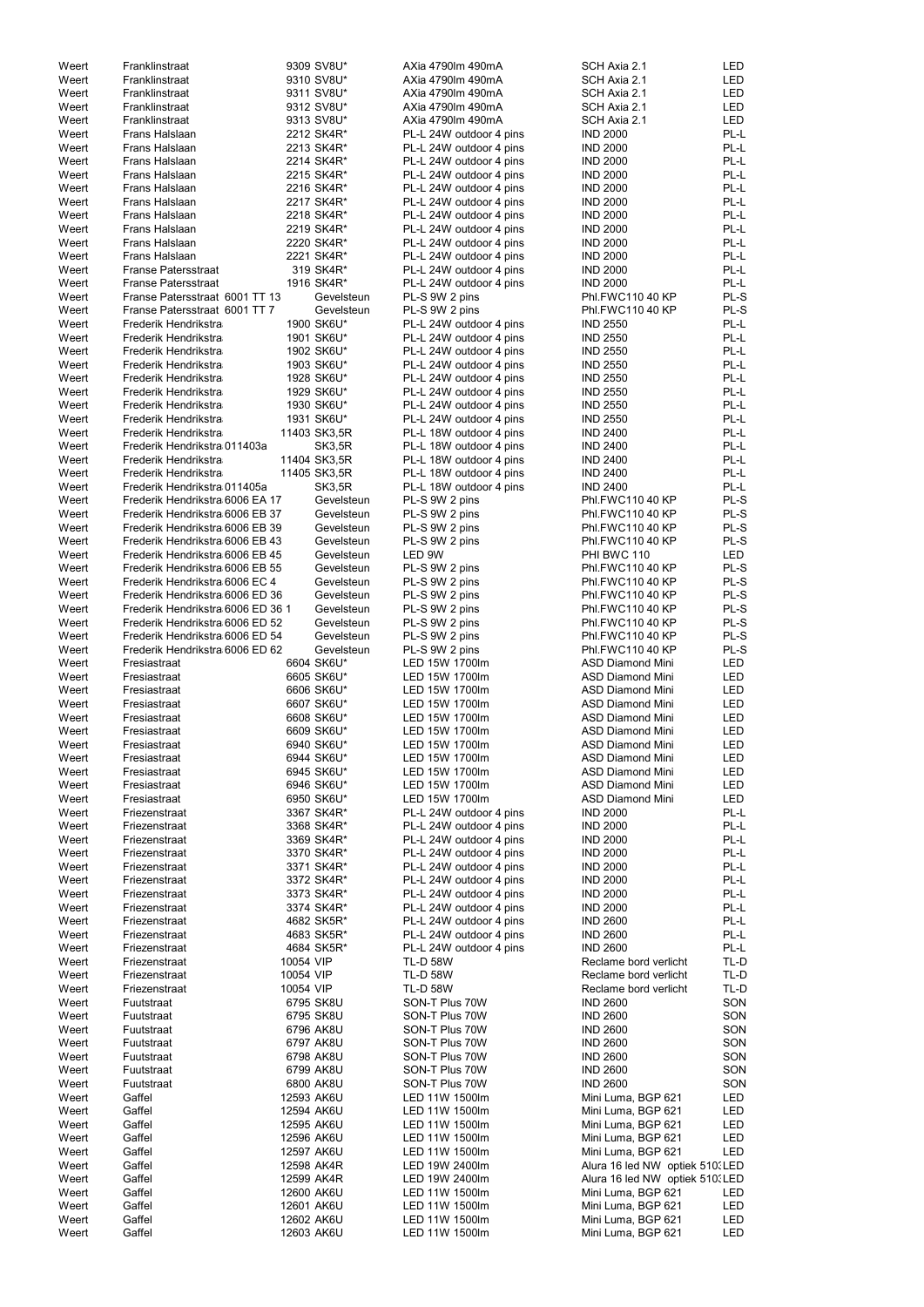| Weert          | Franklinstraat                    |           | 9309 SV8U*               | AXia 4790lm 490mA                | SCH Axia 2.1                             | LED        |
|----------------|-----------------------------------|-----------|--------------------------|----------------------------------|------------------------------------------|------------|
| Weert          | Franklinstraat                    |           | 9310 SV8U*               | AXia 4790lm 490mA                | SCH Axia 2.1                             | LED        |
| Weert          | Franklinstraat                    |           | 9311 SV8U*               | AXia 4790lm 490mA                | SCH Axia 2.1                             | LED        |
| Weert          | Franklinstraat                    |           | 9312 SV8U*               | AXia 4790lm 490mA                | SCH Axia 2.1                             | <b>LED</b> |
| Weert          | Franklinstraat                    |           | 9313 SV8U*               | AXia 4790lm 490mA                | SCH Axia 2.1                             | <b>LED</b> |
| Weert          | Frans Halslaan                    |           |                          |                                  | <b>IND 2000</b>                          | PL-L       |
|                |                                   |           | 2212 SK4R*               | PL-L 24W outdoor 4 pins          |                                          |            |
| Weert          | Frans Halslaan                    |           | 2213 SK4R*               | PL-L 24W outdoor 4 pins          | <b>IND 2000</b>                          | PL-L       |
| Weert          | Frans Halslaan                    |           | 2214 SK4R*               | PL-L 24W outdoor 4 pins          | <b>IND 2000</b>                          | PL-L       |
| Weert          | Frans Halslaan                    |           | 2215 SK4R*               | PL-L 24W outdoor 4 pins          | <b>IND 2000</b>                          | PL-L       |
| Weert          | Frans Halslaan                    |           | 2216 SK4R*               | PL-L 24W outdoor 4 pins          | <b>IND 2000</b>                          | PL-L       |
| Weert          | Frans Halslaan                    |           | 2217 SK4R*               | PL-L 24W outdoor 4 pins          | <b>IND 2000</b>                          | PL-L       |
|                | Frans Halslaan                    |           | 2218 SK4R*               |                                  | <b>IND 2000</b>                          | PL-L       |
| Weert          |                                   |           |                          | PL-L 24W outdoor 4 pins          |                                          |            |
| Weert          | Frans Halslaan                    |           | 2219 SK4R*               | PL-L 24W outdoor 4 pins          | <b>IND 2000</b>                          | PL-L       |
| Weert          | Frans Halslaan                    |           | 2220 SK4R*               | PL-L 24W outdoor 4 pins          | <b>IND 2000</b>                          | PL-L       |
| Weert          | Frans Halslaan                    |           | 2221 SK4R*               | PL-L 24W outdoor 4 pins          | <b>IND 2000</b>                          | PL-L       |
| Weert          | <b>Franse Patersstraat</b>        |           | 319 SK4R*                | PL-L 24W outdoor 4 pins          | <b>IND 2000</b>                          | PL-L       |
| Weert          | <b>Franse Patersstraat</b>        |           | 1916 SK4R*               | PL-L 24W outdoor 4 pins          | <b>IND 2000</b>                          | PL-L       |
|                |                                   |           |                          |                                  | Phl.FWC110 40 KP                         | PL-S       |
| Weert          | Franse Patersstraat 6001 TT 13    |           | Gevelsteun               | PL-S 9W 2 pins                   |                                          |            |
| Weert          | Franse Patersstraat 6001 TT 7     |           | Gevelsteun               | PL-S 9W 2 pins                   | Phl.FWC110 40 KP                         | PL-S       |
| Weert          | Frederik Hendrikstra              |           | 1900 SK6U*               | PL-L 24W outdoor 4 pins          | <b>IND 2550</b>                          | PL-L       |
| Weert          | Frederik Hendrikstra              |           | 1901 SK6U*               | PL-L 24W outdoor 4 pins          | <b>IND 2550</b>                          | PL-L       |
| Weert          | Frederik Hendrikstra              |           | 1902 SK6U*               | PL-L 24W outdoor 4 pins          | <b>IND 2550</b>                          | PL-L       |
| Weert          | Frederik Hendrikstra              |           | 1903 SK6U*               | PL-L 24W outdoor 4 pins          | <b>IND 2550</b>                          | PL-L       |
| Weert          | Frederik Hendrikstra              |           | 1928 SK6U*               | PL-L 24W outdoor 4 pins          | <b>IND 2550</b>                          | PL-L       |
|                |                                   |           |                          |                                  |                                          |            |
| Weert          | Frederik Hendrikstra              |           | 1929 SK6U*               | PL-L 24W outdoor 4 pins          | <b>IND 2550</b>                          | PL-L       |
| Weert          | Frederik Hendrikstra              |           | 1930 SK6U*               | PL-L 24W outdoor 4 pins          | <b>IND 2550</b>                          | PL-L       |
| Weert          | Frederik Hendrikstra              |           | 1931 SK6U*               | PL-L 24W outdoor 4 pins          | <b>IND 2550</b>                          | PL-L       |
| Weert          | Frederik Hendrikstra              |           | 11403 SK3,5R             | PL-L 18W outdoor 4 pins          | <b>IND 2400</b>                          | PL-L       |
| Weert          | Frederik Hendrikstra 011403a      |           | SK3,5R                   | PL-L 18W outdoor 4 pins          | <b>IND 2400</b>                          | PL-L       |
|                |                                   |           |                          |                                  |                                          | PL-L       |
| Weert          | Frederik Hendrikstra              |           | 11404 SK3,5R             | PL-L 18W outdoor 4 pins          | <b>IND 2400</b>                          |            |
| Weert          | Frederik Hendrikstra              |           | 11405 SK3,5R             | PL-L 18W outdoor 4 pins          | <b>IND 2400</b>                          | PL-L       |
| Weert          | Frederik Hendrikstra 011405a      |           | <b>SK3,5R</b>            | PL-L 18W outdoor 4 pins          | <b>IND 2400</b>                          | PL-L       |
| Weert          | Frederik Hendrikstra 6006 EA 17   |           | Gevelsteun               | PL-S 9W 2 pins                   | Phl.FWC110 40 KP                         | PL-S       |
| Weert          | Frederik Hendrikstra 6006 EB 37   |           | Gevelsteun               | PL-S 9W 2 pins                   | Phl.FWC110 40 KP                         | PL-S       |
| Weert          | Frederik Hendrikstra 6006 EB 39   |           | Gevelsteun               | PL-S 9W 2 pins                   | Phl.FWC110 40 KP                         | PL-S       |
|                |                                   |           | Gevelsteun               |                                  |                                          | PL-S       |
| Weert          | Frederik Hendrikstra 6006 EB 43   |           |                          | PL-S 9W 2 pins                   | Phl.FWC110 40 KP                         |            |
| Weert          | Frederik Hendrikstra 6006 EB 45   |           | Gevelsteun               | LED 9W                           | PHI BWC 110                              | <b>LED</b> |
| Weert          | Frederik Hendrikstra 6006 EB 55   |           | Gevelsteun               | PL-S 9W 2 pins                   | Phl.FWC110 40 KP                         | PL-S       |
| Weert          | Frederik Hendrikstra 6006 EC 4    |           | Gevelsteun               | PL-S 9W 2 pins                   | Phl.FWC110 40 KP                         | PL-S       |
| Weert          | Frederik Hendrikstra 6006 ED 36   |           | Gevelsteun               | PL-S 9W 2 pins                   | Phl.FWC110 40 KP                         | PL-S       |
| Weert          | Frederik Hendrikstra 6006 ED 36 1 |           | Gevelsteun               | PL-S 9W 2 pins                   | Phl.FWC110 40 KP                         | PL-S       |
|                | Frederik Hendrikstra 6006 ED 52   |           | Gevelsteun               | PL-S 9W 2 pins                   |                                          | PL-S       |
| Weert          |                                   |           |                          |                                  | Phl.FWC110 40 KP                         |            |
| Weert          | Frederik Hendrikstra 6006 ED 54   |           | Gevelsteun               | PL-S 9W 2 pins                   | Phl.FWC110 40 KP                         | PL-S       |
| Weert          | Frederik Hendrikstra 6006 ED 62   |           | Gevelsteun               | PL-S 9W 2 pins                   | Phl.FWC110 40 KP                         | PL-S       |
| Weert          | Fresiastraat                      |           | 6604 SK6U*               | LED 15W 1700lm                   | <b>ASD Diamond Mini</b>                  | <b>LED</b> |
| Weert          | Fresiastraat                      |           | 6605 SK6U*               | LED 15W 1700lm                   | <b>ASD Diamond Mini</b>                  | LED        |
| Weert          | Fresiastraat                      |           | 6606 SK6U*               | LED 15W 1700lm                   | <b>ASD Diamond Mini</b>                  | LED        |
| Weert          |                                   |           | 6607 SK6U*               | LED 15W 1700lm                   | <b>ASD Diamond Mini</b>                  | LED        |
|                | Fresiastraat                      |           |                          |                                  |                                          |            |
| Weert          | Fresiastraat                      |           | 6608 SK6U*               | LED 15W 1700lm                   | <b>ASD Diamond Mini</b>                  | <b>LED</b> |
| Weert          | Fresiastraat                      |           | 6609 SK6U*               | LED 15W 1700lm                   | <b>ASD Diamond Mini</b>                  | <b>LED</b> |
| Weert          | Fresiastraat                      |           | 6940 SK6U*               | LED 15W 1700lm                   | <b>ASD Diamond Mini</b>                  | <b>LED</b> |
| Weert          | Fresiastraat                      |           | 6944 SK6U*               | LED 15W 1700lm                   | <b>ASD Diamond Mini</b>                  | LED        |
| Weert          | Fresiastraat                      |           | 6945 SK6U*               | LED 15W 1700lm                   | <b>ASD Diamond Mini</b>                  | LED        |
| Weert          | Fresiastraat                      |           | 6946 SK6U*               | LED 15W 1700lm                   | <b>ASD Diamond Mini</b>                  | LED        |
|                |                                   |           |                          |                                  |                                          |            |
| Weert          | Fresiastraat                      |           | 6950 SK6U*               | LED 15W 1700lm                   | <b>ASD Diamond Mini</b>                  | <b>LED</b> |
| Weert          | Friezenstraat                     |           | 3367 SK4R*               | PL-L 24W outdoor 4 pins          | <b>IND 2000</b>                          | PL-L       |
| Weert          | Friezenstraat                     |           | 3368 SK4R*               | PL-L 24W outdoor 4 pins          | <b>IND 2000</b>                          | PL-L       |
| Weert          | Friezenstraat                     |           | 3369 SK4R*               | PL-L 24W outdoor 4 pins          | <b>IND 2000</b>                          | PL-L       |
| Weert          | Friezenstraat                     |           | 3370 SK4R*               | PL-L 24W outdoor 4 pins          | <b>IND 2000</b>                          | PL-L       |
| Weert          | Friezenstraat                     |           | 3371 SK4R*               | PL-L 24W outdoor 4 pins          | <b>IND 2000</b>                          | PL-L       |
| Weert          | Friezenstraat                     |           | 3372 SK4R*               | PL-L 24W outdoor 4 pins          | <b>IND 2000</b>                          | PL-L       |
|                |                                   |           |                          |                                  |                                          |            |
| Weert          | Friezenstraat                     |           | 3373 SK4R*               | PL-L 24W outdoor 4 pins          | <b>IND 2000</b>                          | PL-L       |
| Weert          | Friezenstraat                     |           | 3374 SK4R*               | PL-L 24W outdoor 4 pins          | <b>IND 2000</b>                          | PL-L       |
| Weert          | Friezenstraat                     |           | 4682 SK5R*               | PL-L 24W outdoor 4 pins          | <b>IND 2600</b>                          | PL-L       |
| Weert          | Friezenstraat                     |           | 4683 SK5R*               | PL-L 24W outdoor 4 pins          | <b>IND 2600</b>                          | PL-L       |
| Weert          | Friezenstraat                     |           | 4684 SK5R*               | PL-L 24W outdoor 4 pins          | <b>IND 2600</b>                          | PL-L       |
| Weert          | Friezenstraat                     | 10054 VIP |                          | <b>TL-D 58W</b>                  | Reclame bord verlicht                    | TL-D       |
|                | Friezenstraat                     |           |                          |                                  |                                          |            |
| Weert          |                                   | 10054 VIP |                          | <b>TL-D 58W</b>                  | Reclame bord verlicht                    | TL-D       |
| Weert          | Friezenstraat                     | 10054 VIP |                          | <b>TL-D 58W</b>                  | Reclame bord verlicht                    | TL-D       |
| Weert          | Fuutstraat                        |           | 6795 SK8U                | SON-T Plus 70W                   | <b>IND 2600</b>                          | SON        |
| Weert          | Fuutstraat                        |           | 6795 SK8U                | SON-T Plus 70W                   | <b>IND 2600</b>                          | SON        |
| Weert          | Fuutstraat                        |           | 6796 AK8U                | SON-T Plus 70W                   | <b>IND 2600</b>                          | SON        |
| Weert          | Fuutstraat                        |           | 6797 AK8U                | SON-T Plus 70W                   | <b>IND 2600</b>                          | SON        |
|                |                                   |           |                          |                                  |                                          |            |
| Weert          | Fuutstraat                        |           | 6798 AK8U                | SON-T Plus 70W                   | <b>IND 2600</b>                          | SON        |
| Weert          | Fuutstraat                        |           | 6799 AK8U                | SON-T Plus 70W                   | <b>IND 2600</b>                          | SON        |
| Weert          | Fuutstraat                        |           | 6800 AK8U                | SON-T Plus 70W                   | <b>IND 2600</b>                          | SON        |
| Weert          | Gaffel                            |           | 12593 AK6U               | LED 11W 1500lm                   | Mini Luma, BGP 621                       | LED        |
| Weert          | Gaffel                            |           | 12594 AK6U               | LED 11W 1500lm                   | Mini Luma, BGP 621                       | LED        |
| Weert          |                                   |           | 12595 AK6U               | LED 11W 1500lm                   | Mini Luma, BGP 621                       | LED        |
|                |                                   |           |                          |                                  |                                          |            |
|                | Gaffel                            |           |                          |                                  |                                          |            |
| Weert          | Gaffel                            |           | 12596 AK6U               | LED 11W 1500lm                   | Mini Luma, BGP 621                       | LED        |
| Weert          | Gaffel                            |           | 12597 AK6U               | LED 11W 1500lm                   | Mini Luma, BGP 621                       | LED        |
| Weert          | Gaffel                            |           | 12598 AK4R               | LED 19W 2400lm                   | Alura 16 led NW optiek 510. LED          |            |
| Weert          | Gaffel                            |           | 12599 AK4R               | LED 19W 2400lm                   | Alura 16 led NW optiek 510. LED          |            |
|                |                                   |           |                          |                                  |                                          |            |
| Weert          | Gaffel                            |           | 12600 AK6U               | LED 11W 1500lm                   | Mini Luma, BGP 621                       | LED        |
| Weert          | Gaffel                            |           | 12601 AK6U               | LED 11W 1500lm                   | Mini Luma, BGP 621                       | LED        |
| Weert<br>Weert | Gaffel<br>Gaffel                  |           | 12602 AK6U<br>12603 AK6U | LED 11W 1500lm<br>LED 11W 1500lm | Mini Luma, BGP 621<br>Mini Luma, BGP 621 | LED<br>LED |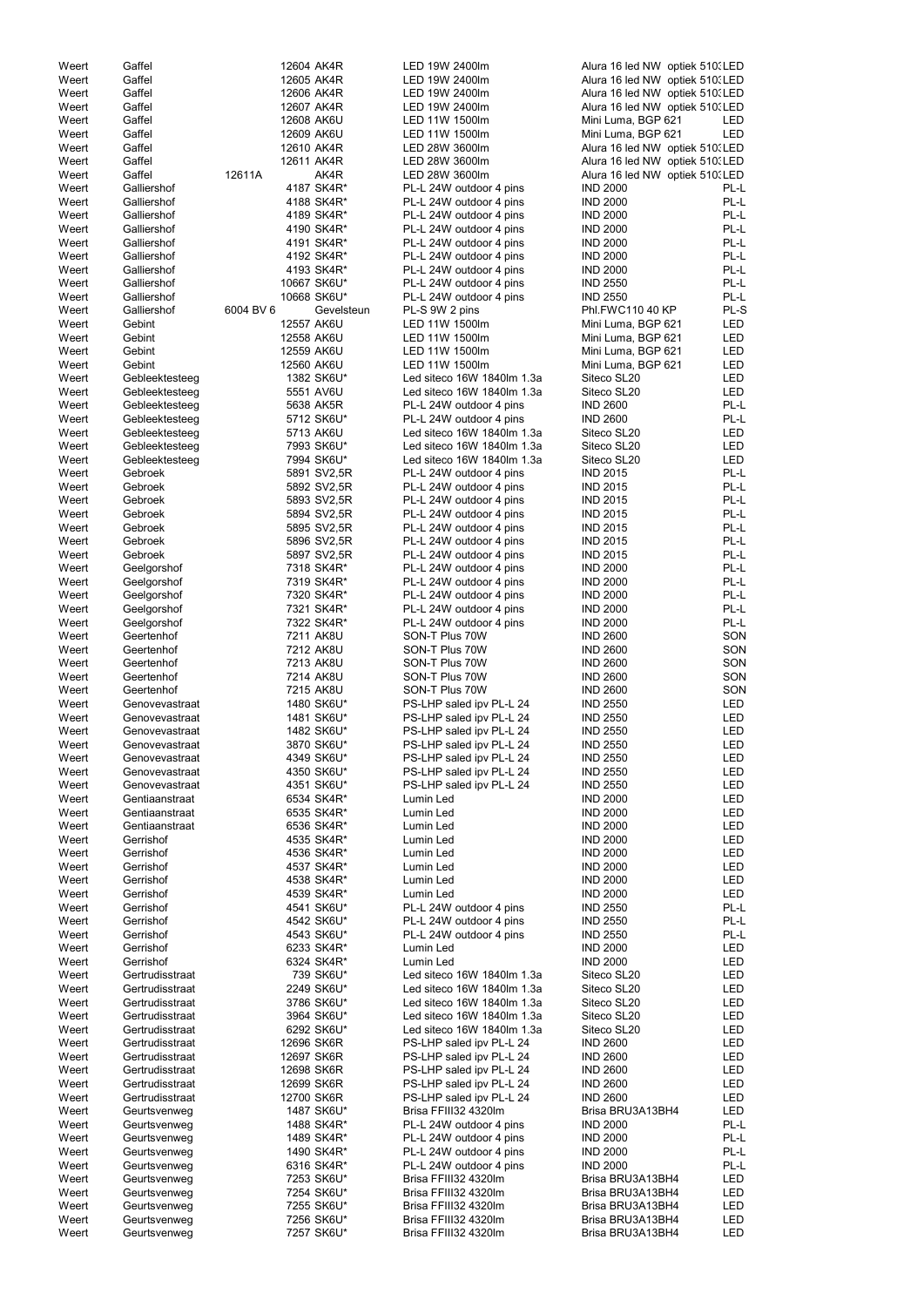| Weert | Gaffel          | 12604 AK4R  |             | LED 19W 2400lm             | Alura 16 led NW optiek 510. LED |            |
|-------|-----------------|-------------|-------------|----------------------------|---------------------------------|------------|
| Weert | Gaffel          | 12605 AK4R  |             | LED 19W 2400lm             | Alura 16 led NW optiek 510. LED |            |
|       |                 |             |             |                            |                                 |            |
| Weert | Gaffel          | 12606 AK4R  |             | LED 19W 2400lm             | Alura 16 led NW optiek 510. LED |            |
| Weert | Gaffel          | 12607 AK4R  |             | LED 19W 2400lm             | Alura 16 led NW optiek 510. LED |            |
| Weert | Gaffel          | 12608 AK6U  |             | LED 11W 1500lm             | Mini Luma, BGP 621              | LED        |
|       |                 |             |             |                            |                                 |            |
| Weert | Gaffel          | 12609 AK6U  |             | LED 11W 1500lm             | Mini Luma, BGP 621              | <b>LED</b> |
| Weert | Gaffel          | 12610 AK4R  |             | LED 28W 3600lm             | Alura 16 led NW optiek 510. LED |            |
| Weert | Gaffel          | 12611 AK4R  |             | LED 28W 3600lm             | Alura 16 led NW optiek 510. LED |            |
|       |                 |             |             |                            |                                 |            |
| Weert | Gaffel          | 12611A      | AK4R        | LED 28W 3600lm             | Alura 16 led NW optiek 510. LED |            |
| Weert | Galliershof     | 4187 SK4R*  |             | PL-L 24W outdoor 4 pins    | <b>IND 2000</b>                 | PL-L       |
|       |                 |             |             |                            |                                 |            |
| Weert | Galliershof     | 4188 SK4R*  |             | PL-L 24W outdoor 4 pins    | <b>IND 2000</b>                 | PL-L       |
| Weert | Galliershof     | 4189 SK4R*  |             | PL-L 24W outdoor 4 pins    | <b>IND 2000</b>                 | PL-L       |
| Weert | Galliershof     | 4190 SK4R*  |             | PL-L 24W outdoor 4 pins    | <b>IND 2000</b>                 | PL-L       |
|       |                 |             |             |                            |                                 |            |
| Weert | Galliershof     | 4191 SK4R*  |             | PL-L 24W outdoor 4 pins    | <b>IND 2000</b>                 | PL-L       |
| Weert | Galliershof     | 4192 SK4R*  |             | PL-L 24W outdoor 4 pins    | <b>IND 2000</b>                 | PL-L       |
|       |                 |             |             |                            |                                 | PL-L       |
| Weert | Galliershof     | 4193 SK4R*  |             | PL-L 24W outdoor 4 pins    | <b>IND 2000</b>                 |            |
| Weert | Galliershof     | 10667 SK6U* |             | PL-L 24W outdoor 4 pins    | <b>IND 2550</b>                 | PL-L       |
| Weert | Galliershof     | 10668 SK6U* |             | PL-L 24W outdoor 4 pins    | <b>IND 2550</b>                 | PL-L       |
|       |                 |             |             |                            |                                 |            |
| Weert | Galliershof     | 6004 BV 6   | Gevelsteun  | PL-S 9W 2 pins             | Phl.FWC110 40 KP                | PL-S       |
| Weert | Gebint          | 12557 AK6U  |             | LED 11W 1500lm             | Mini Luma, BGP 621              | <b>LED</b> |
| Weert | Gebint          | 12558 AK6U  |             | LED 11W 1500lm             | Mini Luma, BGP 621              | LED        |
|       |                 |             |             |                            |                                 |            |
| Weert | Gebint          | 12559 AK6U  |             | LED 11W 1500lm             | Mini Luma, BGP 621              | LED        |
| Weert | Gebint          | 12560 AK6U  |             | LED 11W 1500lm             | Mini Luma, BGP 621              | LED        |
| Weert |                 |             |             | Led siteco 16W 1840lm 1.3a | Siteco SL20                     | <b>LED</b> |
|       | Gebleektesteeg  | 1382 SK6U*  |             |                            |                                 |            |
| Weert | Gebleektesteeg  | 5551 AV6U   |             | Led siteco 16W 1840lm 1.3a | Siteco SL20                     | <b>LED</b> |
| Weert | Gebleektesteeg  | 5638 AK5R   |             | PL-L 24W outdoor 4 pins    | <b>IND 2600</b>                 | PL-L       |
|       |                 |             |             |                            |                                 |            |
| Weert | Gebleektesteeg  | 5712 SK6U*  |             | PL-L 24W outdoor 4 pins    | <b>IND 2600</b>                 | PL-L       |
| Weert | Gebleektesteeg  | 5713 AK6U   |             | Led siteco 16W 1840lm 1.3a | Siteco SL20                     | LED        |
| Weert | Gebleektesteeg  | 7993 SK6U*  |             | Led siteco 16W 1840lm 1.3a | Siteco SL20                     | LED        |
|       |                 |             |             |                            |                                 |            |
| Weert | Gebleektesteeg  | 7994 SK6U*  |             | Led siteco 16W 1840lm 1.3a | Siteco SL20                     | <b>LED</b> |
| Weert | Gebroek         |             | 5891 SV2,5R | PL-L 24W outdoor 4 pins    | <b>IND 2015</b>                 | PL-L       |
|       |                 |             |             |                            |                                 |            |
| Weert | Gebroek         |             | 5892 SV2,5R | PL-L 24W outdoor 4 pins    | <b>IND 2015</b>                 | PL-L       |
| Weert | Gebroek         |             | 5893 SV2,5R | PL-L 24W outdoor 4 pins    | <b>IND 2015</b>                 | PL-L       |
| Weert | Gebroek         |             | 5894 SV2,5R | PL-L 24W outdoor 4 pins    | <b>IND 2015</b>                 | PL-L       |
|       |                 |             |             |                            |                                 |            |
| Weert | Gebroek         |             | 5895 SV2,5R | PL-L 24W outdoor 4 pins    | <b>IND 2015</b>                 | PL-L       |
| Weert | Gebroek         |             | 5896 SV2,5R | PL-L 24W outdoor 4 pins    | <b>IND 2015</b>                 | PL-L       |
|       | Gebroek         |             |             |                            | <b>IND 2015</b>                 | PL-L       |
| Weert |                 |             | 5897 SV2,5R | PL-L 24W outdoor 4 pins    |                                 |            |
| Weert | Geelgorshof     | 7318 SK4R*  |             | PL-L 24W outdoor 4 pins    | <b>IND 2000</b>                 | PL-L       |
| Weert | Geelgorshof     | 7319 SK4R*  |             | PL-L 24W outdoor 4 pins    | <b>IND 2000</b>                 | PL-L       |
|       |                 |             |             |                            |                                 |            |
| Weert | Geelgorshof     | 7320 SK4R*  |             | PL-L 24W outdoor 4 pins    | <b>IND 2000</b>                 | PL-L       |
| Weert | Geelgorshof     | 7321 SK4R*  |             | PL-L 24W outdoor 4 pins    | <b>IND 2000</b>                 | PL-L       |
| Weert | Geelgorshof     | 7322 SK4R*  |             | PL-L 24W outdoor 4 pins    | <b>IND 2000</b>                 | PL-L       |
|       |                 |             |             |                            |                                 |            |
| Weert | Geertenhof      | 7211 AK8U   |             | SON-T Plus 70W             | <b>IND 2600</b>                 | SON        |
| Weert | Geertenhof      | 7212 AK8U   |             | SON-T Plus 70W             | <b>IND 2600</b>                 | SON        |
|       |                 |             |             |                            |                                 |            |
| Weert | Geertenhof      | 7213 AK8U   |             | SON-T Plus 70W             | <b>IND 2600</b>                 | SON        |
| Weert | Geertenhof      | 7214 AK8U   |             | SON-T Plus 70W             | <b>IND 2600</b>                 | SON        |
| Weert | Geertenhof      | 7215 AK8U   |             | SON-T Plus 70W             | <b>IND 2600</b>                 | SON        |
|       |                 |             |             |                            |                                 |            |
| Weert | Genovevastraat  | 1480 SK6U*  |             | PS-LHP saled ipv PL-L 24   | <b>IND 2550</b>                 | LED        |
| Weert | Genovevastraat  | 1481 SK6U*  |             | PS-LHP saled ipv PL-L 24   | <b>IND 2550</b>                 | <b>LED</b> |
| Weert | Genovevastraat  | 1482 SK6U*  |             | PS-LHP saled ipv PL-L 24   | <b>IND 2550</b>                 | <b>LED</b> |
|       |                 |             |             |                            |                                 |            |
| Weert | Genovevastraat  | 3870 SK6U*  |             | PS-LHP saled ipv PL-L 24   | <b>IND 2550</b>                 | <b>LED</b> |
| Weert | Genovevastraat  | 4349 SK6U*  |             | PS-LHP saled ipv PL-L 24   | <b>IND 2550</b>                 | <b>LED</b> |
|       |                 |             |             |                            |                                 |            |
| Weert | Genovevastraat  | 4350 SK6U*  |             | PS-LHP saled ipv PL-L 24   | <b>IND 2550</b>                 | <b>LED</b> |
| Weert | Genovevastraat  | 4351 SK6U*  |             | PS-LHP saled ipv PL-L 24   | <b>IND 2550</b>                 | <b>LED</b> |
| Weert | Gentiaanstraat  | 6534 SK4R*  |             | Lumin Led                  | <b>IND 2000</b>                 | <b>LED</b> |
|       |                 |             |             |                            |                                 |            |
| Weert | Gentiaanstraat  | 6535 SK4R*  |             | Lumin Led                  | <b>IND 2000</b>                 | <b>LED</b> |
| Weert | Gentiaanstraat  | 6536 SK4R*  |             | Lumin Led                  | <b>IND 2000</b>                 | <b>LED</b> |
| Weert | Gerrishof       | 4535 SK4R*  |             | Lumin Led                  | <b>IND 2000</b>                 | <b>LED</b> |
|       |                 |             |             |                            |                                 |            |
| Weert | Gerrishof       | 4536 SK4R*  |             | Lumin Led                  | <b>IND 2000</b>                 | LED        |
| Weert | Gerrishof       | 4537 SK4R*  |             | Lumin Led                  | <b>IND 2000</b>                 | <b>LED</b> |
| Weert | Gerrishof       | 4538 SK4R*  |             | Lumin Led                  | <b>IND 2000</b>                 | LED        |
|       |                 |             |             |                            |                                 |            |
| Weert | Gerrishof       | 4539 SK4R*  |             | Lumin Led                  | <b>IND 2000</b>                 | <b>LED</b> |
| Weert | Gerrishof       | 4541 SK6U*  |             | PL-L 24W outdoor 4 pins    | <b>IND 2550</b>                 | PL-L       |
| Weert | Gerrishof       | 4542 SK6U*  |             | PL-L 24W outdoor 4 pins    | <b>IND 2550</b>                 | PL-L       |
|       |                 |             |             |                            |                                 |            |
| Weert | Gerrishof       | 4543 SK6U*  |             | PL-L 24W outdoor 4 pins    | <b>IND 2550</b>                 | PL-L       |
| Weert | Gerrishof       | 6233 SK4R*  |             | Lumin Led                  | <b>IND 2000</b>                 | LED        |
| Weert | Gerrishof       | 6324 SK4R*  |             | Lumin Led                  | <b>IND 2000</b>                 | <b>LED</b> |
|       |                 |             |             |                            |                                 |            |
| Weert | Gertrudisstraat |             | 739 SK6U*   | Led siteco 16W 1840lm 1.3a | Siteco SL20                     | <b>LED</b> |
| Weert | Gertrudisstraat | 2249 SK6U*  |             | Led siteco 16W 1840lm 1.3a | Siteco SL20                     | <b>LED</b> |
|       |                 |             |             | Led siteco 16W 1840lm 1.3a |                                 |            |
| Weert | Gertrudisstraat | 3786 SK6U*  |             |                            | Siteco SL20                     | <b>LED</b> |
| Weert | Gertrudisstraat | 3964 SK6U*  |             | Led siteco 16W 1840lm 1.3a | Siteco SL20                     | <b>LED</b> |
| Weert | Gertrudisstraat | 6292 SK6U*  |             | Led siteco 16W 1840lm 1.3a | Siteco SL20                     | <b>LED</b> |
|       |                 |             |             |                            |                                 |            |
| Weert | Gertrudisstraat | 12696 SK6R  |             | PS-LHP saled ipv PL-L 24   | <b>IND 2600</b>                 | <b>LED</b> |
| Weert | Gertrudisstraat | 12697 SK6R  |             | PS-LHP saled ipv PL-L 24   | <b>IND 2600</b>                 | LED        |
| Weert | Gertrudisstraat | 12698 SK6R  |             | PS-LHP saled ipv PL-L 24   | <b>IND 2600</b>                 | LED        |
|       |                 |             |             |                            |                                 |            |
| Weert | Gertrudisstraat | 12699 SK6R  |             | PS-LHP saled ipv PL-L 24   | <b>IND 2600</b>                 | LED        |
| Weert | Gertrudisstraat | 12700 SK6R  |             | PS-LHP saled ipv PL-L 24   | <b>IND 2600</b>                 | LED        |
|       |                 |             |             |                            |                                 |            |
| Weert | Geurtsvenweg    | 1487 SK6U*  |             | Brisa FFIII32 4320Im       | Brisa BRU3A13BH4                | LED        |
| Weert | Geurtsvenweg    | 1488 SK4R*  |             | PL-L 24W outdoor 4 pins    | <b>IND 2000</b>                 | PL-L       |
| Weert | Geurtsvenweg    | 1489 SK4R*  |             | PL-L 24W outdoor 4 pins    | <b>IND 2000</b>                 | PL-L       |
|       |                 |             |             |                            |                                 |            |
| Weert | Geurtsvenweg    | 1490 SK4R*  |             | PL-L 24W outdoor 4 pins    | <b>IND 2000</b>                 | PL-L       |
| Weert | Geurtsvenweg    | 6316 SK4R*  |             | PL-L 24W outdoor 4 pins    | <b>IND 2000</b>                 | PL-L       |
| Weert | Geurtsvenweg    | 7253 SK6U*  |             | Brisa FFIII32 4320Im       | Brisa BRU3A13BH4                | LED        |
|       |                 |             |             |                            |                                 |            |
| Weert | Geurtsvenweg    | 7254 SK6U*  |             | Brisa FFIII32 4320Im       | Brisa BRU3A13BH4                | LED        |
| Weert | Geurtsvenweg    | 7255 SK6U*  |             | Brisa FFIII32 4320Im       | Brisa BRU3A13BH4                | LED        |
|       | Geurtsvenweg    |             |             |                            |                                 |            |
| Weert |                 | 7256 SK6U*  |             | Brisa FFIII32 4320Im       | Brisa BRU3A13BH4                | LED        |
| Weert | Geurtsvenweg    | 7257 SK6U*  |             | Brisa FFIII32 4320Im       | Brisa BRU3A13BH4                | LED        |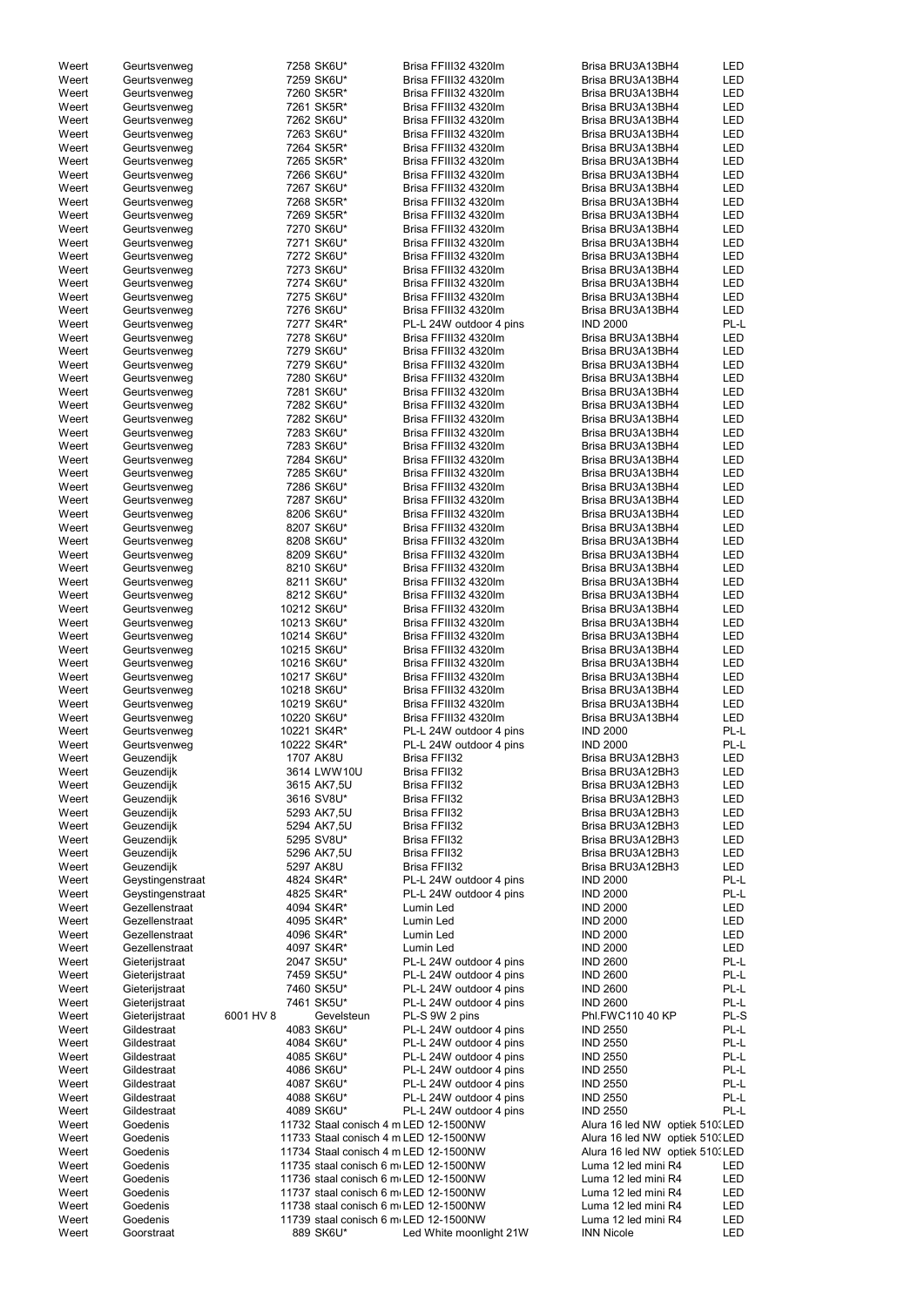| Weert | Geurtsvenweg     |           | 7258 SK6U*                            | Brisa FFIII32 4320Im    | Brisa BRU3A13BH4                | LED        |
|-------|------------------|-----------|---------------------------------------|-------------------------|---------------------------------|------------|
| Weert | Geurtsvenweg     |           | 7259 SK6U*                            | Brisa FFIII32 4320Im    | Brisa BRU3A13BH4                | <b>LED</b> |
| Weert | Geurtsvenweg     |           | 7260 SK5R*                            | Brisa FFIII32 4320Im    | Brisa BRU3A13BH4                | <b>LED</b> |
| Weert | Geurtsvenweg     |           | 7261 SK5R*                            | Brisa FFIII32 4320Im    | Brisa BRU3A13BH4                | <b>LED</b> |
| Weert | Geurtsvenweg     |           | 7262 SK6U*                            | Brisa FFIII32 4320Im    | Brisa BRU3A13BH4                | <b>LED</b> |
| Weert | Geurtsvenweg     |           | 7263 SK6U*                            | Brisa FFIII32 4320Im    | Brisa BRU3A13BH4                | LED        |
| Weert |                  |           | 7264 SK5R*                            | Brisa FFIII32 4320Im    | Brisa BRU3A13BH4                | <b>LED</b> |
|       | Geurtsvenweg     |           |                                       | Brisa FFIII32 4320Im    |                                 | LED        |
| Weert | Geurtsvenweg     |           | 7265 SK5R*                            |                         | Brisa BRU3A13BH4                |            |
| Weert | Geurtsvenweg     |           | 7266 SK6U*                            | Brisa FFIII32 4320Im    | Brisa BRU3A13BH4                | <b>LED</b> |
| Weert | Geurtsvenweg     |           | 7267 SK6U*                            | Brisa FFIII32 4320Im    | Brisa BRU3A13BH4                | <b>LED</b> |
| Weert | Geurtsvenweg     |           | 7268 SK5R*                            | Brisa FFIII32 4320Im    | Brisa BRU3A13BH4                | <b>LED</b> |
| Weert | Geurtsvenweg     |           | 7269 SK5R*                            | Brisa FFIII32 4320Im    | Brisa BRU3A13BH4                | <b>LED</b> |
| Weert | Geurtsvenweg     |           | 7270 SK6U*                            | Brisa FFIII32 4320Im    | Brisa BRU3A13BH4                | LED        |
| Weert | Geurtsvenweg     |           | 7271 SK6U*                            | Brisa FFIII32 4320Im    | Brisa BRU3A13BH4                | <b>LED</b> |
| Weert | Geurtsvenweg     |           | 7272 SK6U*                            | Brisa FFIII32 4320Im    | Brisa BRU3A13BH4                | <b>LED</b> |
| Weert | Geurtsvenweg     |           | 7273 SK6U*                            | Brisa FFIII32 4320Im    | Brisa BRU3A13BH4                | <b>LED</b> |
| Weert | Geurtsvenweg     |           | 7274 SK6U*                            | Brisa FFIII32 4320Im    | Brisa BRU3A13BH4                | <b>LED</b> |
| Weert | Geurtsvenweg     |           | 7275 SK6U*                            | Brisa FFIII32 4320Im    | Brisa BRU3A13BH4                | <b>LED</b> |
| Weert | Geurtsvenweg     |           | 7276 SK6U*                            | Brisa FFIII32 4320Im    | Brisa BRU3A13BH4                | <b>LED</b> |
| Weert | Geurtsvenweg     |           | 7277 SK4R*                            | PL-L 24W outdoor 4 pins | <b>IND 2000</b>                 | PL-L       |
| Weert | Geurtsvenweg     |           | 7278 SK6U*                            | Brisa FFIII32 4320Im    | Brisa BRU3A13BH4                | LED        |
| Weert | Geurtsvenweg     |           | 7279 SK6U*                            | Brisa FFIII32 4320Im    | Brisa BRU3A13BH4                | <b>LED</b> |
| Weert | Geurtsvenweg     |           | 7279 SK6U*                            | Brisa FFIII32 4320Im    | Brisa BRU3A13BH4                | <b>LED</b> |
|       |                  |           |                                       | Brisa FFIII32 4320Im    | Brisa BRU3A13BH4                | <b>LED</b> |
| Weert | Geurtsvenweg     |           | 7280 SK6U*                            |                         |                                 |            |
| Weert | Geurtsvenweg     |           | 7281 SK6U*                            | Brisa FFIII32 4320Im    | Brisa BRU3A13BH4                | <b>LED</b> |
| Weert | Geurtsvenweg     |           | 7282 SK6U*                            | Brisa FFIII32 4320Im    | Brisa BRU3A13BH4                | <b>LED</b> |
| Weert | Geurtsvenweg     |           | 7282 SK6U*                            | Brisa FFIII32 4320Im    | Brisa BRU3A13BH4                | <b>LED</b> |
| Weert | Geurtsvenweg     |           | 7283 SK6U*                            | Brisa FFIII32 4320Im    | Brisa BRU3A13BH4                | <b>LED</b> |
| Weert | Geurtsvenweg     |           | 7283 SK6U*                            | Brisa FFIII32 4320Im    | Brisa BRU3A13BH4                | <b>LED</b> |
| Weert | Geurtsvenweg     |           | 7284 SK6U*                            | Brisa FFIII32 4320Im    | Brisa BRU3A13BH4                | LED        |
| Weert | Geurtsvenweg     |           | 7285 SK6U*                            | Brisa FFIII32 4320Im    | Brisa BRU3A13BH4                | <b>LED</b> |
| Weert | Geurtsvenweg     |           | 7286 SK6U*                            | Brisa FFIII32 4320Im    | Brisa BRU3A13BH4                | <b>LED</b> |
| Weert | Geurtsvenweg     |           | 7287 SK6U*                            | Brisa FFIII32 4320Im    | Brisa BRU3A13BH4                | <b>LED</b> |
| Weert | Geurtsvenweg     |           | 8206 SK6U*                            | Brisa FFIII32 4320Im    | Brisa BRU3A13BH4                | <b>LED</b> |
| Weert | Geurtsvenweg     |           | 8207 SK6U*                            | Brisa FFIII32 4320Im    | Brisa BRU3A13BH4                | <b>LED</b> |
| Weert | Geurtsvenweg     |           | 8208 SK6U*                            | Brisa FFIII32 4320Im    | Brisa BRU3A13BH4                | <b>LED</b> |
| Weert | Geurtsvenweg     |           | 8209 SK6U*                            | Brisa FFIII32 4320Im    | Brisa BRU3A13BH4                | LED        |
| Weert | Geurtsvenweg     |           | 8210 SK6U*                            | Brisa FFIII32 4320Im    | Brisa BRU3A13BH4                | LED        |
|       |                  |           |                                       |                         |                                 | <b>LED</b> |
| Weert | Geurtsvenweg     |           | 8211 SK6U*                            | Brisa FFIII32 4320Im    | Brisa BRU3A13BH4                |            |
| Weert | Geurtsvenweg     |           | 8212 SK6U*                            | Brisa FFIII32 4320Im    | Brisa BRU3A13BH4                | <b>LED</b> |
| Weert | Geurtsvenweg     |           | 10212 SK6U*                           | Brisa FFIII32 4320Im    | Brisa BRU3A13BH4                | <b>LED</b> |
| Weert | Geurtsvenweg     |           | 10213 SK6U*                           | Brisa FFIII32 4320Im    | Brisa BRU3A13BH4                | <b>LED</b> |
| Weert | Geurtsvenweg     |           | 10214 SK6U*                           | Brisa FFIII32 4320Im    | Brisa BRU3A13BH4                | <b>LED</b> |
| Weert | Geurtsvenweg     |           | 10215 SK6U*                           | Brisa FFIII32 4320Im    | Brisa BRU3A13BH4                | <b>LED</b> |
| Weert | Geurtsvenweg     |           | 10216 SK6U*                           | Brisa FFIII32 4320Im    | Brisa BRU3A13BH4                | <b>LED</b> |
| Weert | Geurtsvenweg     |           | 10217 SK6U*                           | Brisa FFIII32 4320Im    | Brisa BRU3A13BH4                | LED        |
| Weert | Geurtsvenweg     |           | 10218 SK6U*                           | Brisa FFIII32 4320Im    | Brisa BRU3A13BH4                | LED        |
| Weert | Geurtsvenweg     |           | 10219 SK6U*                           | Brisa FFIII32 4320Im    | Brisa BRU3A13BH4                | <b>LED</b> |
| Weert | Geurtsvenweg     |           | 10220 SK6U*                           | Brisa FFIII32 4320Im    | Brisa BRU3A13BH4                | <b>LED</b> |
| Weert | Geurtsvenweg     |           | 10221 SK4R*                           | PL-L 24W outdoor 4 pins | <b>IND 2000</b>                 | PL-L       |
| Weert | Geurtsvenweg     |           | 10222 SK4R*                           | PL-L 24W outdoor 4 pins | <b>IND 2000</b>                 | PL-L       |
| Weert | Geuzendijk       |           | 1707 AK8U                             | Brisa FFII32            | Brisa BRU3A12BH3                | <b>LED</b> |
|       |                  |           | 3614 LWW10U                           |                         | Brisa BRU3A12BH3                | <b>LED</b> |
| Weert | Geuzendijk       |           |                                       | Brisa FFII32            |                                 |            |
| Weert | Geuzendijk       |           | 3615 AK7,5U                           | Brisa FFII32            | Brisa BRU3A12BH3                | <b>LED</b> |
| Weert | Geuzendijk       |           | 3616 SV8U*                            | Brisa FFII32            | Brisa BRU3A12BH3                | <b>LED</b> |
| Weert | Geuzendijk       |           | 5293 AK7,5U                           | Brisa FFII32            | Brisa BRU3A12BH3                | <b>LED</b> |
| Weert | Geuzendijk       |           | 5294 AK7,5U                           | Brisa FFII32            | Brisa BRU3A12BH3                | <b>LED</b> |
| Weert | Geuzendijk       |           | 5295 SV8U*                            | Brisa FFII32            | Brisa BRU3A12BH3                | LED        |
| Weert | Geuzendijk       |           | 5296 AK7,5U                           | Brisa FFII32            | Brisa BRU3A12BH3                | <b>LED</b> |
| Weert | Geuzendijk       |           | 5297 AK8U                             | Brisa FFII32            | Brisa BRU3A12BH3                | <b>LED</b> |
| Weert | Geystingenstraat |           | 4824 SK4R*                            | PL-L 24W outdoor 4 pins | <b>IND 2000</b>                 | PL-L       |
| Weert | Geystingenstraat |           | 4825 SK4R*                            | PL-L 24W outdoor 4 pins | <b>IND 2000</b>                 | PL-L       |
| Weert | Gezellenstraat   |           | 4094 SK4R*                            | Lumin Led               | <b>IND 2000</b>                 | LED        |
| Weert | Gezellenstraat   |           | 4095 SK4R*                            | Lumin Led               | <b>IND 2000</b>                 | LED        |
| Weert | Gezellenstraat   |           | 4096 SK4R*                            | Lumin Led               | <b>IND 2000</b>                 | <b>LED</b> |
| Weert | Gezellenstraat   |           | 4097 SK4R*                            | Lumin Led               | <b>IND 2000</b>                 | <b>LED</b> |
| Weert | Gieterijstraat   |           | 2047 SK5U*                            | PL-L 24W outdoor 4 pins | <b>IND 2600</b>                 | PL-L       |
| Weert | Gieterijstraat   |           | 7459 SK5U*                            | PL-L 24W outdoor 4 pins | <b>IND 2600</b>                 | PL-L       |
| Weert | Gieterijstraat   |           | 7460 SK5U*                            | PL-L 24W outdoor 4 pins | <b>IND 2600</b>                 | PL-L       |
|       |                  |           | 7461 SK5U*                            |                         | <b>IND 2600</b>                 | PL-L       |
| Weert | Gieterijstraat   |           |                                       | PL-L 24W outdoor 4 pins |                                 | PL-S       |
| Weert | Gieterijstraat   | 6001 HV 8 | Gevelsteun                            | PL-S 9W 2 pins          | Phl.FWC110 40 KP                |            |
| Weert | Gildestraat      |           | 4083 SK6U*                            | PL-L 24W outdoor 4 pins | <b>IND 2550</b>                 | PL-L       |
| Weert | Gildestraat      |           | 4084 SK6U*                            | PL-L 24W outdoor 4 pins | <b>IND 2550</b>                 | PL-L       |
| Weert | Gildestraat      |           | 4085 SK6U*                            | PL-L 24W outdoor 4 pins | <b>IND 2550</b>                 | PL-L       |
| Weert | Gildestraat      |           | 4086 SK6U*                            | PL-L 24W outdoor 4 pins | <b>IND 2550</b>                 | PL-L       |
| Weert | Gildestraat      |           | 4087 SK6U*                            | PL-L 24W outdoor 4 pins | <b>IND 2550</b>                 | PL-L       |
| Weert | Gildestraat      |           | 4088 SK6U*                            | PL-L 24W outdoor 4 pins | <b>IND 2550</b>                 | PL-L       |
| Weert | Gildestraat      |           | 4089 SK6U*                            | PL-L 24W outdoor 4 pins | <b>IND 2550</b>                 | PL-L       |
| Weert | Goedenis         |           | 11732 Staal conisch 4 m LED 12-1500NW |                         | Alura 16 led NW optiek 510. LED |            |
| Weert | Goedenis         |           | 11733 Staal conisch 4 m LED 12-1500NW |                         | Alura 16 led NW optiek 510. LED |            |
| Weert | Goedenis         |           | 11734 Staal conisch 4 m LED 12-1500NW |                         | Alura 16 led NW optiek 510. LED |            |
| Weert | Goedenis         |           | 11735 staal conisch 6 m LED 12-1500NW |                         | Luma 12 led mini R4             | LED        |
| Weert | Goedenis         |           | 11736 staal conisch 6 m LED 12-1500NW |                         | Luma 12 led mini R4             | LED        |
| Weert | Goedenis         |           | 11737 staal conisch 6 m LED 12-1500NW |                         | Luma 12 led mini R4             | LED        |
| Weert | Goedenis         |           | 11738 staal conisch 6 m LED 12-1500NW |                         | Luma 12 led mini R4             | LED        |
| Weert | Goedenis         |           | 11739 staal conisch 6 m LED 12-1500NW |                         | Luma 12 led mini R4             | LED        |
| Weert | Goorstraat       |           | 889 SK6U*                             | Led White moonlight 21W | <b>INN Nicole</b>               | <b>LED</b> |
|       |                  |           |                                       |                         |                                 |            |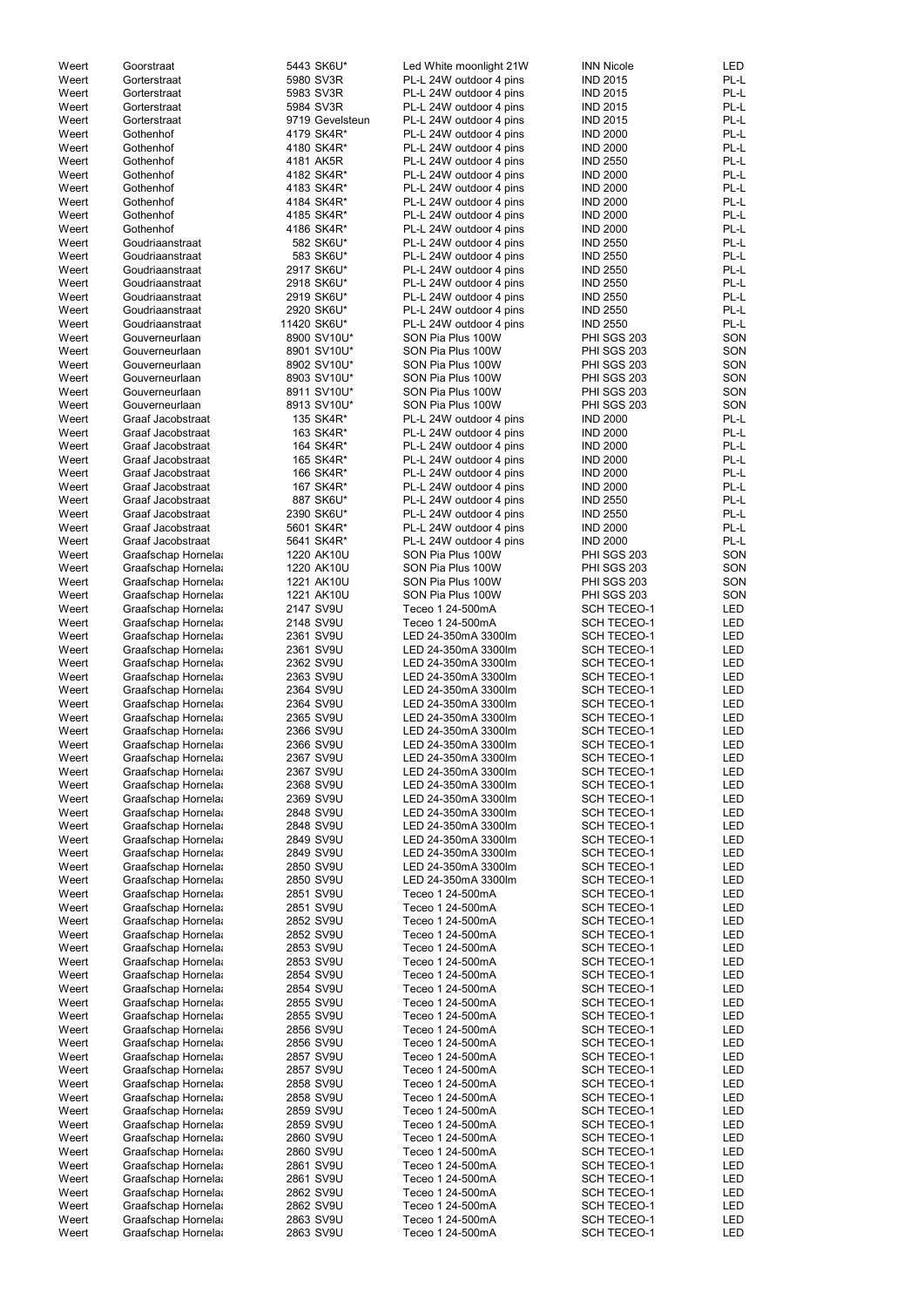| Weert | Goorstraat         | 5443 SK6U*      | Led White moonlight 21W | <b>INN Nicole</b>  | LED        |
|-------|--------------------|-----------------|-------------------------|--------------------|------------|
| Weert | Gorterstraat       | 5980 SV3R       | PL-L 24W outdoor 4 pins | <b>IND 2015</b>    | PL-L       |
| Weert | Gorterstraat       | 5983 SV3R       | PL-L 24W outdoor 4 pins | <b>IND 2015</b>    | PL-L       |
| Weert | Gorterstraat       | 5984 SV3R       | PL-L 24W outdoor 4 pins | <b>IND 2015</b>    | PL-L       |
| Weert | Gorterstraat       | 9719 Gevelsteun | PL-L 24W outdoor 4 pins | <b>IND 2015</b>    | PL-L       |
| Weert | Gothenhof          | 4179 SK4R*      | PL-L 24W outdoor 4 pins | <b>IND 2000</b>    | PL-L       |
| Weert | Gothenhof          | 4180 SK4R*      | PL-L 24W outdoor 4 pins | <b>IND 2000</b>    | PL-L       |
| Weert | Gothenhof          | 4181 AK5R       | PL-L 24W outdoor 4 pins | <b>IND 2550</b>    | PL-L       |
| Weert | Gothenhof          | 4182 SK4R*      | PL-L 24W outdoor 4 pins | <b>IND 2000</b>    | PL-L       |
|       |                    |                 |                         |                    |            |
| Weert | Gothenhof          | 4183 SK4R*      | PL-L 24W outdoor 4 pins | <b>IND 2000</b>    | PL-L       |
| Weert | Gothenhof          | 4184 SK4R*      | PL-L 24W outdoor 4 pins | <b>IND 2000</b>    | PL-L       |
| Weert | Gothenhof          | 4185 SK4R*      | PL-L 24W outdoor 4 pins | <b>IND 2000</b>    | PL-L       |
| Weert | Gothenhof          | 4186 SK4R*      | PL-L 24W outdoor 4 pins | <b>IND 2000</b>    | PL-L       |
| Weert | Goudriaanstraat    | 582 SK6U*       | PL-L 24W outdoor 4 pins | <b>IND 2550</b>    | PL-L       |
| Weert | Goudriaanstraat    | 583 SK6U*       | PL-L 24W outdoor 4 pins | <b>IND 2550</b>    | PL-L       |
| Weert | Goudriaanstraat    | 2917 SK6U*      | PL-L 24W outdoor 4 pins | <b>IND 2550</b>    | PL-L       |
| Weert | Goudriaanstraat    | 2918 SK6U*      | PL-L 24W outdoor 4 pins | <b>IND 2550</b>    | PL-L       |
| Weert | Goudriaanstraat    | 2919 SK6U*      | PL-L 24W outdoor 4 pins | <b>IND 2550</b>    | PL-L       |
| Weert | Goudriaanstraat    | 2920 SK6U*      | PL-L 24W outdoor 4 pins | <b>IND 2550</b>    | PL-L       |
| Weert | Goudriaanstraat    | 11420 SK6U*     | PL-L 24W outdoor 4 pins | <b>IND 2550</b>    | PL-L       |
| Weert | Gouverneurlaan     | 8900 SV10U*     | SON Pia Plus 100W       | <b>PHI SGS 203</b> | SON        |
| Weert | Gouverneurlaan     | 8901 SV10U*     | SON Pia Plus 100W       | <b>PHI SGS 203</b> | SON        |
| Weert | Gouverneurlaan     | 8902 SV10U*     | SON Pia Plus 100W       | PHI SGS 203        | SON        |
| Weert | Gouverneurlaan     | 8903 SV10U*     | SON Pia Plus 100W       | <b>PHI SGS 203</b> | SON        |
| Weert | Gouverneurlaan     | 8911 SV10U*     | SON Pia Plus 100W       | <b>PHI SGS 203</b> | SON        |
| Weert | Gouverneurlaan     | 8913 SV10U*     | SON Pia Plus 100W       | <b>PHI SGS 203</b> | SON        |
| Weert | Graaf Jacobstraat  | 135 SK4R*       | PL-L 24W outdoor 4 pins | <b>IND 2000</b>    | PL-L       |
| Weert | Graaf Jacobstraat  | 163 SK4R*       | PL-L 24W outdoor 4 pins | <b>IND 2000</b>    | PL-L       |
| Weert | Graaf Jacobstraat  | 164 SK4R*       | PL-L 24W outdoor 4 pins | <b>IND 2000</b>    | PL-L       |
|       |                    |                 |                         |                    | PL-L       |
| Weert | Graaf Jacobstraat  | 165 SK4R*       | PL-L 24W outdoor 4 pins | <b>IND 2000</b>    |            |
| Weert | Graaf Jacobstraat  | 166 SK4R*       | PL-L 24W outdoor 4 pins | <b>IND 2000</b>    | PL-L       |
| Weert | Graaf Jacobstraat  | 167 SK4R*       | PL-L 24W outdoor 4 pins | <b>IND 2000</b>    | PL-L       |
| Weert | Graaf Jacobstraat  | 887 SK6U*       | PL-L 24W outdoor 4 pins | <b>IND 2550</b>    | PL-L       |
| Weert | Graaf Jacobstraat  | 2390 SK6U*      | PL-L 24W outdoor 4 pins | <b>IND 2550</b>    | PL-L       |
| Weert | Graaf Jacobstraat  | 5601 SK4R*      | PL-L 24W outdoor 4 pins | <b>IND 2000</b>    | PL-L       |
| Weert | Graaf Jacobstraat  | 5641 SK4R*      | PL-L 24W outdoor 4 pins | <b>IND 2000</b>    | PL-L       |
| Weert | Graafschap Hornela | 1220 AK10U      | SON Pia Plus 100W       | PHI SGS 203        | SON        |
| Weert | Graafschap Hornela | 1220 AK10U      | SON Pia Plus 100W       | PHI SGS 203        | SON        |
| Weert | Graafschap Hornela | 1221 AK10U      | SON Pia Plus 100W       | PHI SGS 203        | SON        |
| Weert | Graafschap Hornela | 1221 AK10U      | SON Pia Plus 100W       | PHI SGS 203        | SON        |
| Weert | Graafschap Hornela | 2147 SV9U       | Teceo 1 24-500mA        | <b>SCH TECEO-1</b> | LED        |
| Weert | Graafschap Hornela | 2148 SV9U       | Teceo 1 24-500mA        | <b>SCH TECEO-1</b> | LED        |
| Weert | Graafschap Hornela | 2361 SV9U       | LED 24-350mA 3300lm     | <b>SCH TECEO-1</b> | <b>LED</b> |
| Weert | Graafschap Hornela | 2361 SV9U       | LED 24-350mA 3300lm     | <b>SCH TECEO-1</b> | <b>LED</b> |
| Weert | Graafschap Hornela | 2362 SV9U       | LED 24-350mA 3300lm     | <b>SCH TECEO-1</b> | <b>LED</b> |
| Weert |                    | 2363 SV9U       | LED 24-350mA 3300lm     | <b>SCH TECEO-1</b> | <b>LED</b> |
|       | Graafschap Hornela |                 |                         |                    |            |
| Weert | Graafschap Hornela | 2364 SV9U       | LED 24-350mA 3300lm     | <b>SCH TECEO-1</b> | LED        |
| Weert | Graafschap Hornela | 2364 SV9U       | LED 24-350mA 3300lm     | <b>SCH TECEO-1</b> | LED        |
| Weert | Graafschap Hornela | 2365 SV9U       | LED 24-350mA 3300lm     | <b>SCH TECEO-1</b> | LED        |
| Weert | Graafschap Hornela | 2366 SV9U       | LED 24-350mA 3300lm     | <b>SCH TECEO-1</b> | LED        |
| Weert | Graafschap Hornela | 2366 SV9U       | LED 24-350mA 3300lm     | <b>SCH TECEO-1</b> | LED        |
| Weert | Graafschap Hornela | 2367 SV9U       | LED 24-350mA 3300lm     | <b>SCH TECEO-1</b> | LED        |
| Weert | Graafschap Hornela | 2367 SV9U       | LED 24-350mA 3300lm     | <b>SCH TECEO-1</b> | LED        |
| Weert | Graafschap Hornela | 2368 SV9U       | LED 24-350mA 3300lm     | <b>SCH TECEO-1</b> | LED        |
| Weert | Graafschap Hornela | 2369 SV9U       | LED 24-350mA 3300lm     | <b>SCH TECEO-1</b> | LED        |
| Weert | Graafschap Hornela | 2848 SV9U       | LED 24-350mA 3300lm     | <b>SCH TECEO-1</b> | LED        |
| Weert | Graafschap Hornela | 2848 SV9U       | LED 24-350mA 3300lm     | <b>SCH TECEO-1</b> | LED        |
| Weert | Graafschap Hornela | 2849 SV9U       | LED 24-350mA 3300lm     | <b>SCH TECEO-1</b> | LED        |
| Weert | Graafschap Hornela | 2849 SV9U       | LED 24-350mA 3300lm     | <b>SCH TECEO-1</b> | LED        |
| Weert | Graafschap Hornela | 2850 SV9U       | LED 24-350mA 3300lm     | <b>SCH TECEO-1</b> | LED        |
| Weert | Graafschap Hornela | 2850 SV9U       | LED 24-350mA 3300lm     | <b>SCH TECEO-1</b> | LED        |
| Weert | Graafschap Hornela | 2851 SV9U       | Teceo 1 24-500mA        | <b>SCH TECEO-1</b> | LED        |
| Weert | Graafschap Hornela | 2851 SV9U       | Teceo 1 24-500mA        | <b>SCH TECEO-1</b> | LED        |
| Weert | Graafschap Hornela | 2852 SV9U       | Teceo 1 24-500mA        | <b>SCH TECEO-1</b> | LED        |
| Weert | Graafschap Hornela | 2852 SV9U       | Teceo 1 24-500mA        | <b>SCH TECEO-1</b> | LED        |
| Weert |                    | 2853 SV9U       | Teceo 1 24-500mA        | <b>SCH TECEO-1</b> | LED        |
|       | Graafschap Hornela |                 |                         |                    |            |
| Weert | Graafschap Hornela | 2853 SV9U       | Teceo 1 24-500mA        | <b>SCH TECEO-1</b> | LED        |
| Weert | Graafschap Hornela | 2854 SV9U       | Teceo 1 24-500mA        | <b>SCH TECEO-1</b> | <b>LED</b> |
| Weert | Graafschap Hornela | 2854 SV9U       | Teceo 1 24-500mA        | <b>SCH TECEO-1</b> | LED        |
| Weert | Graafschap Hornela | 2855 SV9U       | Teceo 1 24-500mA        | <b>SCH TECEO-1</b> | LED        |
| Weert | Graafschap Hornela | 2855 SV9U       | Teceo 1 24-500mA        | <b>SCH TECEO-1</b> | LED        |
| Weert | Graafschap Hornela | 2856 SV9U       | Teceo 1 24-500mA        | <b>SCH TECEO-1</b> | LED        |
| Weert | Graafschap Hornela | 2856 SV9U       | Teceo 1 24-500mA        | <b>SCH TECEO-1</b> | LED        |
| Weert | Graafschap Hornela | 2857 SV9U       | Teceo 1 24-500mA        | <b>SCH TECEO-1</b> | LED        |
| Weert | Graafschap Hornela | 2857 SV9U       | Teceo 1 24-500mA        | <b>SCH TECEO-1</b> | LED        |
| Weert | Graafschap Hornela | 2858 SV9U       | Teceo 1 24-500mA        | <b>SCH TECEO-1</b> | LED        |
| Weert | Graafschap Hornela | 2858 SV9U       | Teceo 1 24-500mA        | <b>SCH TECEO-1</b> | LED        |
| Weert | Graafschap Hornela | 2859 SV9U       | Teceo 1 24-500mA        | <b>SCH TECEO-1</b> | LED        |
| Weert | Graafschap Hornela | 2859 SV9U       | Teceo 1 24-500mA        | <b>SCH TECEO-1</b> | LED        |
| Weert | Graafschap Hornela | 2860 SV9U       | Teceo 1 24-500mA        | <b>SCH TECEO-1</b> | LED        |
| Weert | Graafschap Hornela | 2860 SV9U       | Teceo 1 24-500mA        | <b>SCH TECEO-1</b> | LED        |
| Weert | Graafschap Hornela | 2861 SV9U       | Teceo 1 24-500mA        | <b>SCH TECEO-1</b> | LED        |
| Weert | Graafschap Hornela | 2861 SV9U       | Teceo 1 24-500mA        | <b>SCH TECEO-1</b> | LED        |
| Weert | Graafschap Hornela | 2862 SV9U       | Teceo 1 24-500mA        | <b>SCH TECEO-1</b> | LED        |
|       |                    |                 | Teceo 1 24-500mA        |                    |            |
| Weert | Graafschap Hornela | 2862 SV9U       |                         | <b>SCH TECEO-1</b> | LED        |
| Weert | Graafschap Hornela | 2863 SV9U       | Teceo 1 24-500mA        | <b>SCH TECEO-1</b> | LED        |
| Weert | Graafschap Hornela | 2863 SV9U       | Teceo 1 24-500mA        | <b>SCH TECEO-1</b> | LED        |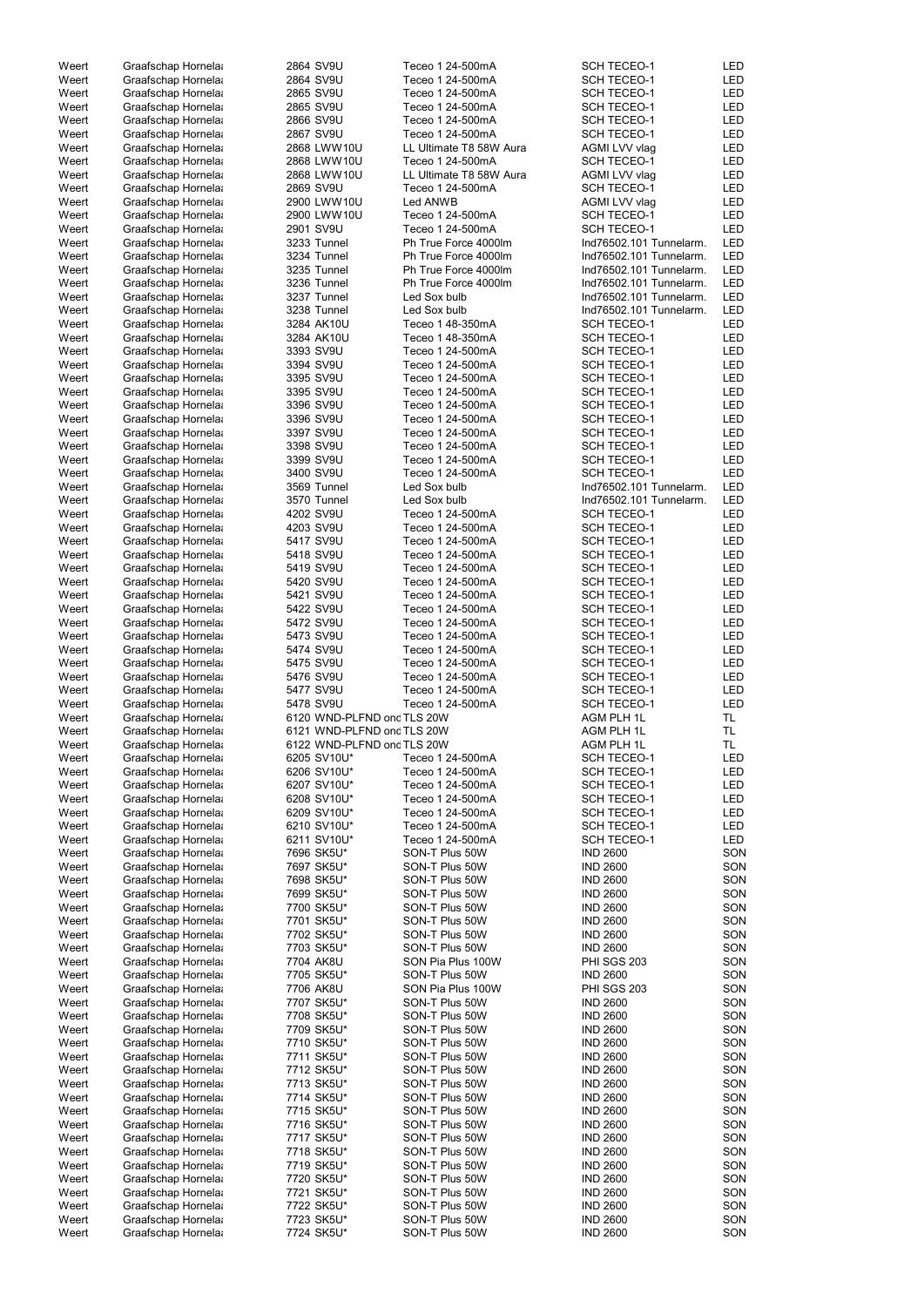| Weert | Graafschap Hornela | 2864 SV9U                  | Teceo 1 24-500mA                 | <b>SCH TECEO-1</b>                 | <b>LED</b> |
|-------|--------------------|----------------------------|----------------------------------|------------------------------------|------------|
| Weert | Graafschap Hornela | 2864 SV9U                  | Teceo 1 24-500mA                 | <b>SCH TECEO-1</b>                 | <b>LED</b> |
| Weert | Graafschap Hornela | 2865 SV9U                  | Teceo 1 24-500mA                 | <b>SCH TECEO-1</b>                 | <b>LED</b> |
|       |                    |                            |                                  |                                    |            |
| Weert | Graafschap Hornela | 2865 SV9U                  | Teceo 1 24-500mA                 | <b>SCH TECEO-1</b>                 | <b>LED</b> |
| Weert | Graafschap Hornela | 2866 SV9U                  | Teceo 1 24-500mA                 | <b>SCH TECEO-1</b>                 | <b>LED</b> |
| Weert | Graafschap Hornela | 2867 SV9U                  | Teceo 1 24-500mA                 | <b>SCH TECEO-1</b>                 | <b>LED</b> |
| Weert | Graafschap Hornela | 2868 LWW10U                | LL Ultimate T8 58W Aura          | <b>AGMI LVV vlag</b>               | <b>LED</b> |
|       |                    |                            |                                  |                                    |            |
| Weert | Graafschap Hornela | 2868 LWW10U                | Teceo 1 24-500mA                 | <b>SCH TECEO-1</b>                 | <b>LED</b> |
| Weert | Graafschap Hornela | 2868 LWW10U                | LL Ultimate T8 58W Aura          | <b>AGMI LVV vlag</b>               | <b>LED</b> |
| Weert | Graafschap Hornela | 2869 SV9U                  | Teceo 1 24-500mA                 | <b>SCH TECEO-1</b>                 | <b>LED</b> |
| Weert | Graafschap Hornela | 2900 LWW10U                | Led ANWB                         | <b>AGMI LVV vlag</b>               | <b>LED</b> |
|       |                    |                            |                                  |                                    |            |
| Weert | Graafschap Hornela | 2900 LWW10U                | Teceo 1 24-500mA                 | <b>SCH TECEO-1</b>                 | <b>LED</b> |
| Weert | Graafschap Hornela | 2901 SV9U                  | Teceo 1 24-500mA                 | <b>SCH TECEO-1</b>                 | <b>LED</b> |
| Weert | Graafschap Hornela | 3233 Tunnel                | Ph True Force 4000lm             | Ind76502.101 Tunnelarm.            | <b>LED</b> |
| Weert | Graafschap Hornela | 3234 Tunnel                | Ph True Force 4000lm             | Ind76502.101 Tunnelarm.            | <b>LED</b> |
|       |                    |                            |                                  |                                    |            |
| Weert | Graafschap Hornela | 3235 Tunnel                | Ph True Force 4000lm             | Ind76502.101 Tunnelarm.            | <b>LED</b> |
| Weert | Graafschap Hornela | 3236 Tunnel                | Ph True Force 4000lm             | Ind76502.101 Tunnelarm.            | <b>LED</b> |
| Weert | Graafschap Hornela | 3237 Tunnel                | Led Sox bulb                     | Ind76502.101 Tunnelarm.            | <b>LED</b> |
|       |                    |                            |                                  |                                    |            |
| Weert | Graafschap Hornela | 3238 Tunnel                | Led Sox bulb                     | Ind76502.101 Tunnelarm.            | <b>LED</b> |
| Weert | Graafschap Hornela | 3284 AK10U                 | Teceo 1 48-350mA                 | <b>SCH TECEO-1</b>                 | <b>LED</b> |
| Weert | Graafschap Hornela | 3284 AK10U                 | Teceo 1 48-350mA                 | <b>SCH TECEO-1</b>                 | <b>LED</b> |
| Weert | Graafschap Hornela | 3393 SV9U                  | Teceo 1 24-500mA                 | <b>SCH TECEO-1</b>                 | <b>LED</b> |
|       |                    |                            |                                  |                                    |            |
| Weert | Graafschap Hornela | 3394 SV9U                  | Teceo 1 24-500mA                 | <b>SCH TECEO-1</b>                 | <b>LED</b> |
| Weert | Graafschap Hornela | 3395 SV9U                  | Teceo 1 24-500mA                 | <b>SCH TECEO-1</b>                 | <b>LED</b> |
| Weert | Graafschap Hornela | 3395 SV9U                  | Teceo 1 24-500mA                 | <b>SCH TECEO-1</b>                 | <b>LED</b> |
| Weert |                    |                            | Teceo 1 24-500mA                 | <b>SCH TECEO-1</b>                 | <b>LED</b> |
|       | Graafschap Hornela | 3396 SV9U                  |                                  |                                    |            |
| Weert | Graafschap Hornela | 3396 SV9U                  | Teceo 1 24-500mA                 | <b>SCH TECEO-1</b>                 | <b>LED</b> |
| Weert | Graafschap Hornela | 3397 SV9U                  | Teceo 1 24-500mA                 | <b>SCH TECEO-1</b>                 | <b>LED</b> |
| Weert | Graafschap Hornela | 3398 SV9U                  | Teceo 1 24-500mA                 | <b>SCH TECEO-1</b>                 | <b>LED</b> |
|       |                    |                            |                                  |                                    | <b>LED</b> |
| Weert | Graafschap Hornela | 3399 SV9U                  | Teceo 1 24-500mA                 | <b>SCH TECEO-1</b>                 |            |
| Weert | Graafschap Hornela | 3400 SV9U                  | Teceo 1 24-500mA                 | <b>SCH TECEO-1</b>                 | <b>LED</b> |
| Weert | Graafschap Hornela | 3569 Tunnel                | Led Sox bulb                     | Ind76502.101 Tunnelarm.            | <b>LED</b> |
| Weert | Graafschap Hornela | 3570 Tunnel                | Led Sox bulb                     | Ind76502.101 Tunnelarm.            | <b>LED</b> |
|       |                    |                            |                                  |                                    |            |
| Weert | Graafschap Hornela | 4202 SV9U                  | Teceo 1 24-500mA                 | <b>SCH TECEO-1</b>                 | <b>LED</b> |
| Weert | Graafschap Hornela | 4203 SV9U                  | Teceo 1 24-500mA                 | <b>SCH TECEO-1</b>                 | <b>LED</b> |
| Weert | Graafschap Hornela | 5417 SV9U                  | Teceo 1 24-500mA                 | <b>SCH TECEO-1</b>                 | <b>LED</b> |
| Weert |                    | 5418 SV9U                  | Teceo 1 24-500mA                 | <b>SCH TECEO-1</b>                 | LED        |
|       | Graafschap Hornela |                            |                                  |                                    |            |
| Weert | Graafschap Hornela | 5419 SV9U                  | Teceo 1 24-500mA                 | <b>SCH TECEO-1</b>                 | LED        |
| Weert | Graafschap Hornela | 5420 SV9U                  | Teceo 1 24-500mA                 | <b>SCH TECEO-1</b>                 | LED        |
| Weert | Graafschap Hornela | 5421 SV9U                  | Teceo 1 24-500mA                 | <b>SCH TECEO-1</b>                 | <b>LED</b> |
|       |                    | 5422 SV9U                  |                                  |                                    |            |
| Weert | Graafschap Hornela |                            | Teceo 1 24-500mA                 | <b>SCH TECEO-1</b>                 | <b>LED</b> |
| Weert | Graafschap Hornela | 5472 SV9U                  | Teceo 1 24-500mA                 | <b>SCH TECEO-1</b>                 | <b>LED</b> |
| Weert | Graafschap Hornela | 5473 SV9U                  | Teceo 1 24-500mA                 | <b>SCH TECEO-1</b>                 | <b>LED</b> |
| Weert | Graafschap Hornela | 5474 SV9U                  | Teceo 1 24-500mA                 | <b>SCH TECEO-1</b>                 | <b>LED</b> |
|       |                    |                            |                                  |                                    |            |
| Weert | Graafschap Hornela | 5475 SV9U                  | Teceo 1 24-500mA                 | <b>SCH TECEO-1</b>                 | <b>LED</b> |
| Weert | Graafschap Hornela | 5476 SV9U                  | Teceo 1 24-500mA                 | <b>SCH TECEO-1</b>                 | LED        |
| Weert | Graafschap Hornela | 5477 SV9U                  | Teceo 1 24-500mA                 | <b>SCH TECEO-1</b>                 | <b>LED</b> |
|       |                    |                            |                                  |                                    |            |
| Weert | Graafschap Hornela | 5478 SV9U                  | Teceo 1 24-500mA                 | <b>SCH TECEO-1</b>                 | <b>LED</b> |
| Weert | Graafschap Hornela | 6120 WND-PLFND ond TLS 20W |                                  | AGM PLH 1L                         | TL.        |
| Weert | Graafschap Hornela | 6121 WND-PLFND ond TLS 20W |                                  | AGM PLH 1L                         | TL.        |
| Weert | Graafschap Hornela | 6122 WND-PLFND ond TLS 20W |                                  | AGM PLH 1L                         | TL.        |
|       |                    |                            |                                  |                                    |            |
| Weert | Graafschap Hornela | 6205 SV10U*                | Teceo 1 24-500mA                 | <b>SCH TECEO-1</b>                 | <b>LED</b> |
| Weert | Graafschap Hornela | 6206 SV10U*                | Teceo 1 24-500mA                 | <b>SCH TECEO-1</b>                 | <b>LED</b> |
| Weert | Graafschap Hornela | 6207 SV10U*                | Teceo 1 24-500mA                 | <b>SCH TECEO-1</b>                 | LED        |
|       |                    |                            |                                  |                                    |            |
| Weert | Graafschap Hornela | 6208 SV10U*                | Teceo 1 24-500mA                 | <b>SCH TECEO-1</b>                 | <b>LED</b> |
| Weert | Graafschap Hornela | 6209 SV10U*                | Teceo 1 24-500mA                 | <b>SCH TECEO-1</b>                 | LED        |
| Weert | Graafschap Hornela | 6210 SV10U*                | Teceo 1 24-500mA                 | <b>SCH TECEO-1</b>                 | <b>LED</b> |
| Weert | Graafschap Hornela | 6211 SV10U*                | Teceo 1 24-500mA                 | <b>SCH TECEO-1</b>                 | <b>LED</b> |
|       |                    | 7696 SK5U*                 | SON-T Plus 50W                   | <b>IND 2600</b>                    | SON        |
| Weert | Graafschap Hornela |                            |                                  |                                    |            |
| Weert | Graafschap Hornela | 7697 SK5U*                 | SON-T Plus 50W                   | <b>IND 2600</b>                    | SON        |
| Weert | Graafschap Hornela | 7698 SK5U*                 | SON-T Plus 50W                   | <b>IND 2600</b>                    | SON        |
| Weert | Graafschap Hornela | 7699 SK5U*                 | SON-T Plus 50W                   | <b>IND 2600</b>                    | SON        |
| Weert |                    | 7700 SK5U*                 | SON-T Plus 50W                   | <b>IND 2600</b>                    | SON        |
|       | Graafschap Hornela |                            |                                  |                                    |            |
| Weert | Graafschap Hornela | 7701 SK5U*                 | SON-T Plus 50W                   | <b>IND 2600</b>                    | SON        |
| Weert | Graafschap Hornela | 7702 SK5U*                 | SON-T Plus 50W                   | <b>IND 2600</b>                    | SON        |
| Weert | Graafschap Hornela | 7703 SK5U*                 | SON-T Plus 50W                   | <b>IND 2600</b>                    | SON        |
|       |                    |                            |                                  |                                    |            |
| Weert | Graafschap Hornela | 7704 AK8U                  | SON Pia Plus 100W                | PHI SGS 203                        | SON        |
| Weert | Graafschap Hornela | 7705 SK5U*                 | SON-T Plus 50W                   | <b>IND 2600</b>                    | SON        |
| Weert | Graafschap Hornela | 7706 AK8U                  | SON Pia Plus 100W                | <b>PHI SGS 203</b>                 | SON        |
| Weert | Graafschap Hornela | 7707 SK5U*                 | SON-T Plus 50W                   | <b>IND 2600</b>                    | SON        |
|       |                    |                            |                                  |                                    |            |
| Weert | Graafschap Hornela | 7708 SK5U*                 | SON-T Plus 50W                   | <b>IND 2600</b>                    | SON        |
| Weert | Graafschap Hornela | 7709 SK5U*                 | SON-T Plus 50W                   | <b>IND 2600</b>                    | SON        |
| Weert | Graafschap Hornela | 7710 SK5U*                 | SON-T Plus 50W                   | <b>IND 2600</b>                    | SON        |
| Weert | Graafschap Hornela | 7711 SK5U*                 | SON-T Plus 50W                   | <b>IND 2600</b>                    | SON        |
|       |                    |                            |                                  |                                    |            |
| Weert | Graafschap Hornela | 7712 SK5U*                 | SON-T Plus 50W                   | <b>IND 2600</b>                    | SON        |
| Weert | Graafschap Hornela | 7713 SK5U*                 | SON-T Plus 50W                   | <b>IND 2600</b>                    | SON        |
| Weert | Graafschap Hornela | 7714 SK5U*                 | SON-T Plus 50W                   | <b>IND 2600</b>                    | SON        |
|       |                    |                            |                                  |                                    |            |
| Weert | Graafschap Hornela | 7715 SK5U*                 | SON-T Plus 50W                   | <b>IND 2600</b>                    | SON        |
| Weert | Graafschap Hornela | 7716 SK5U*                 | SON-T Plus 50W                   | <b>IND 2600</b>                    | SON        |
| Weert | Graafschap Hornela | 7717 SK5U*                 | SON-T Plus 50W                   | <b>IND 2600</b>                    | SON        |
| Weert | Graafschap Hornela | 7718 SK5U*                 | SON-T Plus 50W                   | <b>IND 2600</b>                    | SON        |
|       |                    |                            |                                  |                                    |            |
| Weert | Graafschap Hornela | 7719 SK5U*                 | SON-T Plus 50W                   | <b>IND 2600</b>                    | SON        |
| Weert | Graafschap Hornela | 7720 SK5U*                 | SON-T Plus 50W                   | <b>IND 2600</b>                    | SON        |
| Weert | Graafschap Hornela | 7721 SK5U*                 | SON-T Plus 50W                   | <b>IND 2600</b>                    | SON        |
| Weert | Graafschap Hornela | 7722 SK5U*                 | SON-T Plus 50W                   | <b>IND 2600</b>                    | SON        |
|       |                    |                            |                                  |                                    |            |
| Weert | Graafschap Hornela | 7723 SK5U*                 | SON-T Plus 50W<br>SON-T Plus 50W | <b>IND 2600</b><br><b>IND 2600</b> | SON        |
| Weert | Graafschap Hornela | 7724 SK5U*                 |                                  |                                    | SON        |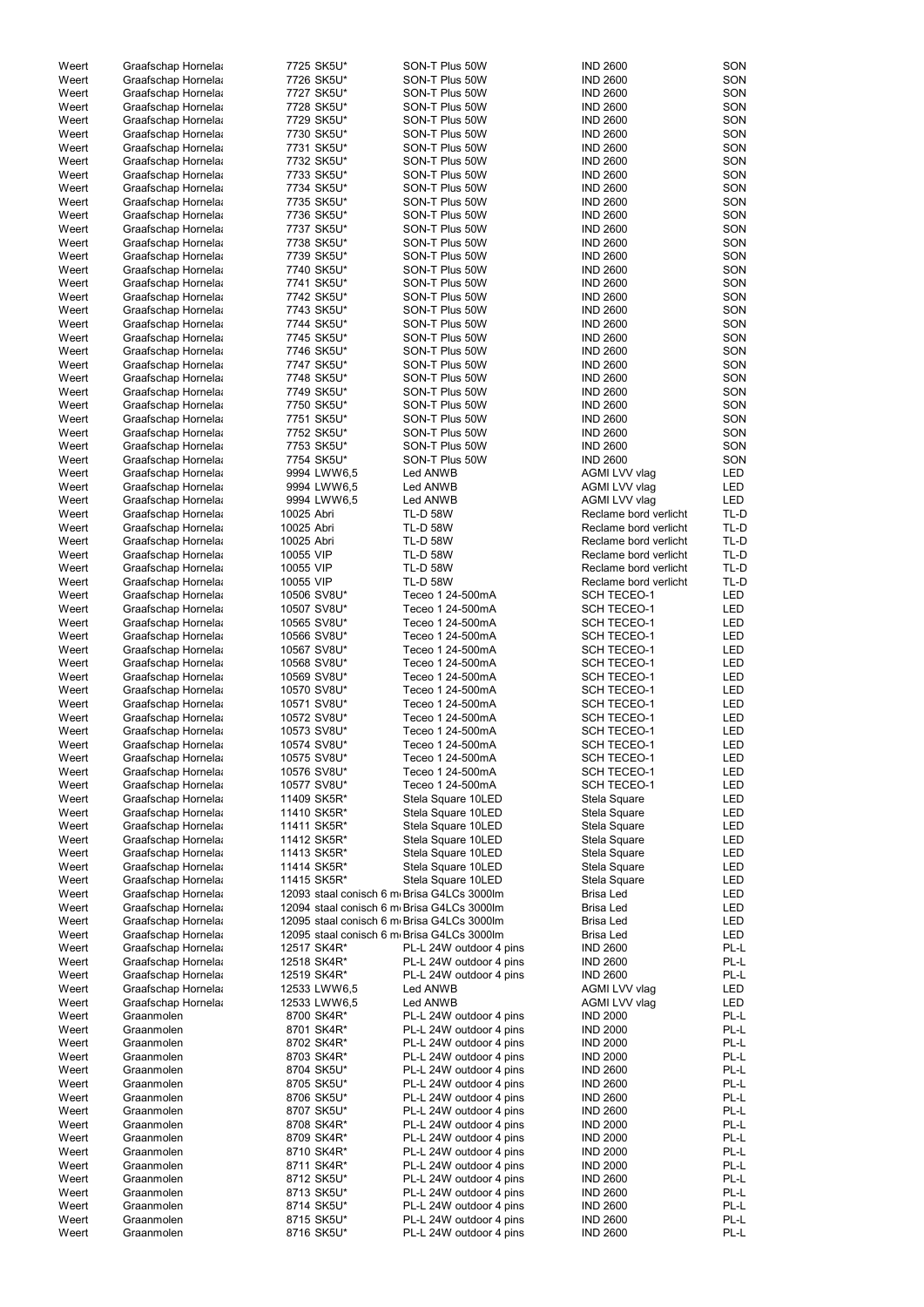| Weert | Graafschap Hornela | 7725 SK5U*   | SON-T Plus 50W                             | <b>IND 2600</b>       | SON        |
|-------|--------------------|--------------|--------------------------------------------|-----------------------|------------|
| Weert | Graafschap Hornela | 7726 SK5U*   | SON-T Plus 50W                             | <b>IND 2600</b>       | SON        |
| Weert | Graafschap Hornela | 7727 SK5U*   | SON-T Plus 50W                             | <b>IND 2600</b>       | SON        |
| Weert | Graafschap Hornela | 7728 SK5U*   | SON-T Plus 50W                             | <b>IND 2600</b>       | SON        |
| Weert |                    | 7729 SK5U*   | SON-T Plus 50W                             | <b>IND 2600</b>       | SON        |
|       | Graafschap Hornela |              |                                            |                       |            |
| Weert | Graafschap Hornela | 7730 SK5U*   | SON-T Plus 50W                             | <b>IND 2600</b>       | SON        |
| Weert | Graafschap Hornela | 7731 SK5U*   | SON-T Plus 50W                             | <b>IND 2600</b>       | SON        |
| Weert | Graafschap Hornela | 7732 SK5U*   | SON-T Plus 50W                             | <b>IND 2600</b>       | SON        |
| Weert | Graafschap Hornela | 7733 SK5U*   | SON-T Plus 50W                             | <b>IND 2600</b>       | SON        |
| Weert | Graafschap Hornela | 7734 SK5U*   | SON-T Plus 50W                             | <b>IND 2600</b>       | SON        |
|       |                    |              | SON-T Plus 50W                             |                       | SON        |
| Weert | Graafschap Hornela | 7735 SK5U*   |                                            | <b>IND 2600</b>       |            |
| Weert | Graafschap Hornela | 7736 SK5U*   | SON-T Plus 50W                             | <b>IND 2600</b>       | SON        |
| Weert | Graafschap Hornela | 7737 SK5U*   | SON-T Plus 50W                             | <b>IND 2600</b>       | SON        |
| Weert | Graafschap Hornela | 7738 SK5U*   | SON-T Plus 50W                             | <b>IND 2600</b>       | SON        |
| Weert | Graafschap Hornela | 7739 SK5U*   | SON-T Plus 50W                             | <b>IND 2600</b>       | SON        |
| Weert | Graafschap Hornela | 7740 SK5U*   | SON-T Plus 50W                             | <b>IND 2600</b>       | SON        |
|       |                    |              |                                            |                       |            |
| Weert | Graafschap Hornela | 7741 SK5U*   | SON-T Plus 50W                             | <b>IND 2600</b>       | SON        |
| Weert | Graafschap Hornela | 7742 SK5U*   | SON-T Plus 50W                             | <b>IND 2600</b>       | SON        |
| Weert | Graafschap Hornela | 7743 SK5U*   | SON-T Plus 50W                             | <b>IND 2600</b>       | SON        |
| Weert | Graafschap Hornela | 7744 SK5U*   | SON-T Plus 50W                             | <b>IND 2600</b>       | SON        |
| Weert | Graafschap Hornela | 7745 SK5U*   | SON-T Plus 50W                             | <b>IND 2600</b>       | SON        |
| Weert | Graafschap Hornela | 7746 SK5U*   | SON-T Plus 50W                             | <b>IND 2600</b>       | SON        |
|       |                    | 7747 SK5U*   | SON-T Plus 50W                             | <b>IND 2600</b>       | SON        |
| Weert | Graafschap Hornela |              |                                            |                       |            |
| Weert | Graafschap Hornela | 7748 SK5U*   | SON-T Plus 50W                             | <b>IND 2600</b>       | SON        |
| Weert | Graafschap Hornela | 7749 SK5U*   | SON-T Plus 50W                             | <b>IND 2600</b>       | SON        |
| Weert | Graafschap Hornela | 7750 SK5U*   | SON-T Plus 50W                             | <b>IND 2600</b>       | SON        |
| Weert | Graafschap Hornela | 7751 SK5U*   | SON-T Plus 50W                             | <b>IND 2600</b>       | SON        |
| Weert | Graafschap Hornela | 7752 SK5U*   | SON-T Plus 50W                             | <b>IND 2600</b>       | SON        |
|       |                    |              |                                            |                       |            |
| Weert | Graafschap Hornela | 7753 SK5U*   | SON-T Plus 50W                             | <b>IND 2600</b>       | SON        |
| Weert | Graafschap Hornela | 7754 SK5U*   | SON-T Plus 50W                             | <b>IND 2600</b>       | SON        |
| Weert | Graafschap Hornela | 9994 LWW6,5  | Led ANWB                                   | AGMI LVV vlag         | LED        |
| Weert | Graafschap Hornela | 9994 LWW6,5  | Led ANWB                                   | AGMI LVV vlag         | LED        |
| Weert | Graafschap Hornela | 9994 LWW6,5  | Led ANWB                                   | AGMI LVV vlag         | <b>LED</b> |
| Weert | Graafschap Hornela | 10025 Abri   | <b>TL-D 58W</b>                            | Reclame bord verlicht | TL-D       |
|       |                    |              |                                            |                       |            |
| Weert | Graafschap Hornela | 10025 Abri   | <b>TL-D 58W</b>                            | Reclame bord verlicht | TL-D       |
| Weert | Graafschap Hornela | 10025 Abri   | <b>TL-D 58W</b>                            | Reclame bord verlicht | TL-D       |
| Weert | Graafschap Hornela | 10055 VIP    | <b>TL-D 58W</b>                            | Reclame bord verlicht | TL-D       |
| Weert | Graafschap Hornela | 10055 VIP    | <b>TL-D 58W</b>                            | Reclame bord verlicht | TL-D       |
| Weert | Graafschap Hornela | 10055 VIP    | <b>TL-D 58W</b>                            | Reclame bord verlicht | TL-D       |
| Weert | Graafschap Hornela | 10506 SV8U*  | Teceo 1 24-500mA                           | <b>SCH TECEO-1</b>    | <b>LED</b> |
|       |                    |              |                                            |                       |            |
| Weert | Graafschap Hornela | 10507 SV8U*  | Teceo 1 24-500mA                           | <b>SCH TECEO-1</b>    | <b>LED</b> |
| Weert | Graafschap Hornela | 10565 SV8U*  | Teceo 1 24-500mA                           | <b>SCH TECEO-1</b>    | <b>LED</b> |
| Weert | Graafschap Hornela | 10566 SV8U*  | Teceo 1 24-500mA                           | <b>SCH TECEO-1</b>    | LED        |
| Weert | Graafschap Hornela | 10567 SV8U*  | Teceo 1 24-500mA                           | <b>SCH TECEO-1</b>    | LED        |
| Weert | Graafschap Hornela | 10568 SV8U*  | Teceo 1 24-500mA                           | <b>SCH TECEO-1</b>    | LED        |
|       |                    |              |                                            |                       |            |
| Weert | Graafschap Hornela | 10569 SV8U*  | Teceo 1 24-500mA                           | <b>SCH TECEO-1</b>    | LED        |
| Weert | Graafschap Hornela | 10570 SV8U*  | Teceo 1 24-500mA                           | <b>SCH TECEO-1</b>    | LED        |
| Weert | Graafschap Hornela | 10571 SV8U*  | Teceo 1 24-500mA                           | <b>SCH TECEO-1</b>    | LED        |
| Weert | Graafschap Hornela | 10572 SV8U*  | Teceo 1 24-500mA                           | <b>SCH TECEO-1</b>    | <b>LED</b> |
| Weert | Graafschap Hornela | 10573 SV8U*  | Teceo 1 24-500mA                           | <b>SCH TECEO-1</b>    | LED        |
| Weert | Graafschap Hornela | 10574 SV8U*  | Teceo 1 24-500mA                           | <b>SCH TECEO-1</b>    | LED        |
|       |                    |              |                                            |                       |            |
| Weert | Graafschap Hornela | 10575 SV8U*  | Teceo 1 24-500mA                           | <b>SCH TECEO-1</b>    | LED        |
| Weert | Graafschap Hornela | 10576 SV8U*  | Teceo 1 24-500mA                           | <b>SCH TECEO-1</b>    | LED        |
| Weert | Graafschap Hornela | 10577 SV8U*  | Teceo 1 24-500mA                           | <b>SCH TECEO-1</b>    | LED        |
| Weert | Graafschap Hornela | 11409 SK5R*  | Stela Square 10LED                         | Stela Square          | LED        |
| Weert | Graafschap Hornela | 11410 SK5R*  | Stela Square 10LED                         | Stela Square          | LED        |
| Weert | Graafschap Hornela | 11411 SK5R*  | Stela Square 10LED                         | Stela Square          | LED        |
|       |                    | 11412 SK5R*  |                                            |                       | LED        |
| Weert | Graafschap Hornela |              | Stela Square 10LED                         | Stela Square          |            |
| Weert | Graafschap Hornela | 11413 SK5R*  | Stela Square 10LED                         | Stela Square          | LED        |
| Weert | Graafschap Hornela | 11414 SK5R*  | Stela Square 10LED                         | Stela Square          | LED        |
| Weert | Graafschap Hornela | 11415 SK5R*  | Stela Square 10LED                         | Stela Square          | LED        |
| Weert | Graafschap Hornela |              | 12093 staal conisch 6 m Brisa G4LCs 3000lm | Brisa Led             | LED        |
| Weert | Graafschap Hornela |              | 12094 staal conisch 6 m Brisa G4LCs 3000lm | <b>Brisa Led</b>      | LED        |
|       |                    |              |                                            |                       |            |
| Weert | Graafschap Hornela |              | 12095 staal conisch 6 m Brisa G4LCs 3000lm | <b>Brisa Led</b>      | LED        |
| Weert | Graafschap Hornela |              | 12095 staal conisch 6 m Brisa G4LCs 3000lm | Brisa Led             | LED        |
| Weert | Graafschap Hornela | 12517 SK4R*  | PL-L 24W outdoor 4 pins                    | <b>IND 2600</b>       | PL-L       |
| Weert | Graafschap Hornela | 12518 SK4R*  | PL-L 24W outdoor 4 pins                    | <b>IND 2600</b>       | PL-L       |
| Weert | Graafschap Hornela | 12519 SK4R*  | PL-L 24W outdoor 4 pins                    | <b>IND 2600</b>       | PL-L       |
| Weert |                    | 12533 LWW6,5 | Led ANWB                                   | AGMI LVV vlag         | LED        |
|       | Graafschap Hornela |              |                                            |                       |            |
| Weert | Graafschap Hornela | 12533 LWW6,5 | Led ANWB                                   | AGMI LVV vlag         | LED        |
| Weert | Graanmolen         | 8700 SK4R*   | PL-L 24W outdoor 4 pins                    | <b>IND 2000</b>       | PL-L       |
| Weert | Graanmolen         | 8701 SK4R*   | PL-L 24W outdoor 4 pins                    | <b>IND 2000</b>       | PL-L       |
| Weert | Graanmolen         | 8702 SK4R*   | PL-L 24W outdoor 4 pins                    | <b>IND 2000</b>       | PL-L       |
| Weert | Graanmolen         | 8703 SK4R*   | PL-L 24W outdoor 4 pins                    | <b>IND 2000</b>       | PL-L       |
|       | Graanmolen         |              | PL-L 24W outdoor 4 pins                    |                       | PL-L       |
| Weert |                    | 8704 SK5U*   |                                            | <b>IND 2600</b>       |            |
| Weert | Graanmolen         | 8705 SK5U*   | PL-L 24W outdoor 4 pins                    | <b>IND 2600</b>       | PL-L       |
| Weert | Graanmolen         | 8706 SK5U*   | PL-L 24W outdoor 4 pins                    | <b>IND 2600</b>       | PL-L       |
| Weert | Graanmolen         | 8707 SK5U*   | PL-L 24W outdoor 4 pins                    | <b>IND 2600</b>       | PL-L       |
| Weert | Graanmolen         | 8708 SK4R*   | PL-L 24W outdoor 4 pins                    | <b>IND 2000</b>       | PL-L       |
| Weert | Graanmolen         | 8709 SK4R*   | PL-L 24W outdoor 4 pins                    | <b>IND 2000</b>       | PL-L       |
|       |                    |              |                                            |                       |            |
| Weert | Graanmolen         | 8710 SK4R*   | PL-L 24W outdoor 4 pins                    | <b>IND 2000</b>       | PL-L       |
| Weert | Graanmolen         | 8711 SK4R*   | PL-L 24W outdoor 4 pins                    | <b>IND 2000</b>       | PL-L       |
| Weert | Graanmolen         | 8712 SK5U*   | PL-L 24W outdoor 4 pins                    | <b>IND 2600</b>       | PL-L       |
| Weert | Graanmolen         | 8713 SK5U*   | PL-L 24W outdoor 4 pins                    | <b>IND 2600</b>       | PL-L       |
| Weert | Graanmolen         | 8714 SK5U*   | PL-L 24W outdoor 4 pins                    | <b>IND 2600</b>       | PL-L       |
| Weert | Graanmolen         | 8715 SK5U*   | PL-L 24W outdoor 4 pins                    | <b>IND 2600</b>       | PL-L       |
|       | Graanmolen         | 8716 SK5U*   | PL-L 24W outdoor 4 pins                    | <b>IND 2600</b>       | PL-L       |
| Weert |                    |              |                                            |                       |            |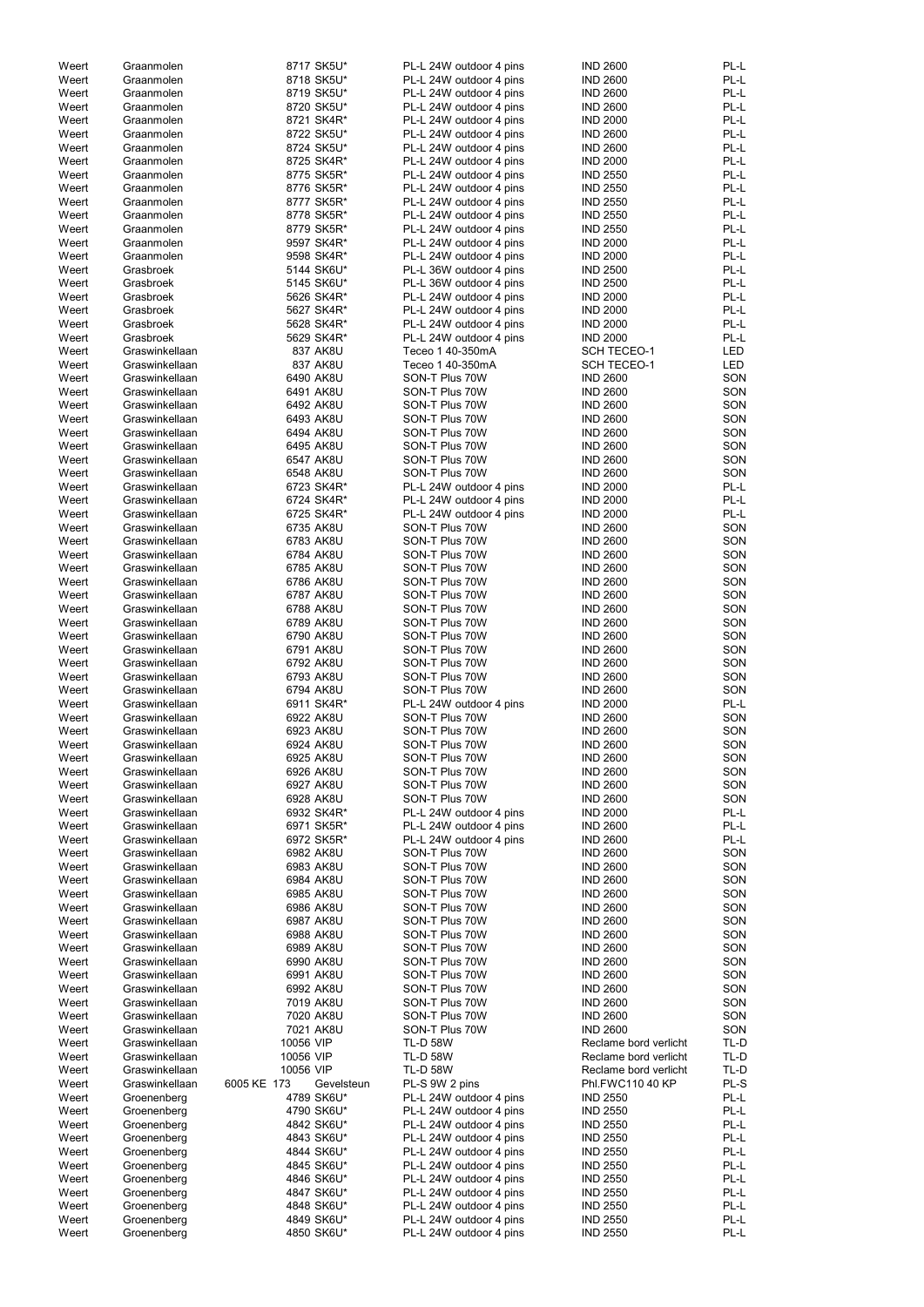| Weert | Graanmolen     | 8717 SK5U*                | PL-L 24W outdoor 4 pins | <b>IND 2600</b>       | PL-L       |
|-------|----------------|---------------------------|-------------------------|-----------------------|------------|
| Weert | Graanmolen     | 8718 SK5U*                | PL-L 24W outdoor 4 pins | <b>IND 2600</b>       | PL-L       |
| Weert | Graanmolen     | 8719 SK5U*                | PL-L 24W outdoor 4 pins | <b>IND 2600</b>       | PL-L       |
| Weert | Graanmolen     | 8720 SK5U*                | PL-L 24W outdoor 4 pins | <b>IND 2600</b>       | PL-L       |
|       | Graanmolen     |                           |                         |                       | PL-L       |
| Weert |                | 8721 SK4R*                | PL-L 24W outdoor 4 pins | <b>IND 2000</b>       |            |
| Weert | Graanmolen     | 8722 SK5U*                | PL-L 24W outdoor 4 pins | <b>IND 2600</b>       | PL-L       |
| Weert | Graanmolen     | 8724 SK5U*                | PL-L 24W outdoor 4 pins | <b>IND 2600</b>       | PL-L       |
| Weert | Graanmolen     | 8725 SK4R*                | PL-L 24W outdoor 4 pins | <b>IND 2000</b>       | PL-L       |
| Weert | Graanmolen     | 8775 SK5R*                | PL-L 24W outdoor 4 pins | <b>IND 2550</b>       | PL-L       |
|       |                |                           |                         |                       |            |
| Weert | Graanmolen     | 8776 SK5R*                | PL-L 24W outdoor 4 pins | <b>IND 2550</b>       | PL-L       |
| Weert | Graanmolen     | 8777 SK5R*                | PL-L 24W outdoor 4 pins | <b>IND 2550</b>       | PL-L       |
| Weert | Graanmolen     | 8778 SK5R*                | PL-L 24W outdoor 4 pins | <b>IND 2550</b>       | PL-L       |
| Weert | Graanmolen     | 8779 SK5R*                | PL-L 24W outdoor 4 pins | <b>IND 2550</b>       | PL-L       |
|       |                |                           |                         |                       |            |
| Weert | Graanmolen     | 9597 SK4R*                | PL-L 24W outdoor 4 pins | <b>IND 2000</b>       | PL-L       |
| Weert | Graanmolen     | 9598 SK4R*                | PL-L 24W outdoor 4 pins | <b>IND 2000</b>       | PL-L       |
| Weert | Grasbroek      | 5144 SK6U*                | PL-L 36W outdoor 4 pins | <b>IND 2500</b>       | PL-L       |
| Weert | Grasbroek      | 5145 SK6U*                | PL-L 36W outdoor 4 pins | <b>IND 2500</b>       | PL-L       |
| Weert | Grasbroek      | 5626 SK4R*                | PL-L 24W outdoor 4 pins | <b>IND 2000</b>       | PL-L       |
|       |                |                           |                         |                       |            |
| Weert | Grasbroek      | 5627 SK4R*                | PL-L 24W outdoor 4 pins | <b>IND 2000</b>       | PL-L       |
| Weert | Grasbroek      | 5628 SK4R*                | PL-L 24W outdoor 4 pins | <b>IND 2000</b>       | PL-L       |
| Weert | Grasbroek      | 5629 SK4R*                | PL-L 24W outdoor 4 pins | <b>IND 2000</b>       | PL-L       |
| Weert | Graswinkellaan | 837 AK8U                  | Teceo 1 40-350mA        | <b>SCH TECEO-1</b>    | <b>LED</b> |
|       |                |                           |                         |                       |            |
| Weert | Graswinkellaan | 837 AK8U                  | Teceo 1 40-350mA        | <b>SCH TECEO-1</b>    | LED        |
| Weert | Graswinkellaan | 6490 AK8U                 | SON-T Plus 70W          | <b>IND 2600</b>       | SON        |
| Weert | Graswinkellaan | 6491 AK8U                 | SON-T Plus 70W          | <b>IND 2600</b>       | SON        |
| Weert | Graswinkellaan | 6492 AK8U                 | SON-T Plus 70W          | <b>IND 2600</b>       | SON        |
| Weert | Graswinkellaan | 6493 AK8U                 | SON-T Plus 70W          | <b>IND 2600</b>       | SON        |
|       |                |                           |                         |                       |            |
| Weert | Graswinkellaan | 6494 AK8U                 | SON-T Plus 70W          | <b>IND 2600</b>       | SON        |
| Weert | Graswinkellaan | 6495 AK8U                 | SON-T Plus 70W          | <b>IND 2600</b>       | SON        |
| Weert | Graswinkellaan | 6547 AK8U                 | SON-T Plus 70W          | <b>IND 2600</b>       | SON        |
| Weert | Graswinkellaan | 6548 AK8U                 | SON-T Plus 70W          | <b>IND 2600</b>       | SON        |
|       |                |                           |                         |                       |            |
| Weert | Graswinkellaan | 6723 SK4R*                | PL-L 24W outdoor 4 pins | <b>IND 2000</b>       | PL-L       |
| Weert | Graswinkellaan | 6724 SK4R*                | PL-L 24W outdoor 4 pins | <b>IND 2000</b>       | PL-L       |
| Weert | Graswinkellaan | 6725 SK4R*                | PL-L 24W outdoor 4 pins | <b>IND 2000</b>       | PL-L       |
| Weert | Graswinkellaan | 6735 AK8U                 | SON-T Plus 70W          | <b>IND 2600</b>       | SON        |
|       |                | 6783 AK8U                 | SON-T Plus 70W          | <b>IND 2600</b>       | SON        |
| Weert | Graswinkellaan |                           |                         |                       |            |
| Weert | Graswinkellaan | 6784 AK8U                 | SON-T Plus 70W          | <b>IND 2600</b>       | SON        |
| Weert | Graswinkellaan | 6785 AK8U                 | SON-T Plus 70W          | <b>IND 2600</b>       | SON        |
| Weert | Graswinkellaan | 6786 AK8U                 | SON-T Plus 70W          | <b>IND 2600</b>       | SON        |
| Weert | Graswinkellaan | 6787 AK8U                 | SON-T Plus 70W          | <b>IND 2600</b>       | SON        |
|       |                |                           |                         |                       |            |
| Weert | Graswinkellaan | 6788 AK8U                 | SON-T Plus 70W          | <b>IND 2600</b>       | SON        |
| Weert | Graswinkellaan | 6789 AK8U                 | SON-T Plus 70W          | <b>IND 2600</b>       | SON        |
| Weert | Graswinkellaan | 6790 AK8U                 | SON-T Plus 70W          | <b>IND 2600</b>       | SON        |
| Weert | Graswinkellaan | 6791 AK8U                 | SON-T Plus 70W          | <b>IND 2600</b>       | SON        |
|       |                |                           |                         |                       |            |
| Weert | Graswinkellaan | 6792 AK8U                 | SON-T Plus 70W          | <b>IND 2600</b>       | SON        |
| Weert | Graswinkellaan | 6793 AK8U                 | SON-T Plus 70W          | <b>IND 2600</b>       | SON        |
| Weert | Graswinkellaan | 6794 AK8U                 | SON-T Plus 70W          | <b>IND 2600</b>       | SON        |
| Weert | Graswinkellaan | 6911 SK4R*                | PL-L 24W outdoor 4 pins | <b>IND 2000</b>       | PL-L       |
|       |                |                           |                         |                       |            |
| Weert | Graswinkellaan | 6922 AK8U                 | SON-T Plus 70W          | <b>IND 2600</b>       | SON        |
| Weert | Graswinkellaan | 6923 AK8U                 | SON-T Plus 70W          | <b>IND 2600</b>       | SON        |
| Weert | Graswinkellaan | 6924 AK8U                 | SON-T Plus 70W          | <b>IND 2600</b>       | SON        |
| Weert | Graswinkellaan | 6925 AK8U                 | SON-T Plus 70W          | <b>IND 2600</b>       | SON        |
|       |                |                           |                         | <b>IND 2600</b>       | SON        |
| Weert | Graswinkellaan | 6926 AK8U                 | SON-T Plus 70W          |                       |            |
| Weert | Graswinkellaan | 6927 AK8U                 | SON-T Plus 70W          | <b>IND 2600</b>       | SON        |
| Weert | Graswinkellaan | 6928 AK8U                 | SON-T Plus 70W          | <b>IND 2600</b>       | SON        |
| Weert | Graswinkellaan | 6932 SK4R*                | PL-L 24W outdoor 4 pins | <b>IND 2000</b>       | PL-L       |
| Weert | Graswinkellaan | 6971 SK5R*                | PL-L 24W outdoor 4 pins | <b>IND 2600</b>       | PL-L       |
|       |                |                           |                         |                       |            |
| Weert | Graswinkellaan | 6972 SK5R*                | PL-L 24W outdoor 4 pins | <b>IND 2600</b>       | PL-L       |
| Weert | Graswinkellaan | 6982 AK8U                 | SON-T Plus 70W          | <b>IND 2600</b>       | SON        |
| Weert | Graswinkellaan | 6983 AK8U                 | SON-T Plus 70W          | <b>IND 2600</b>       | SON        |
| Weert | Graswinkellaan | 6984 AK8U                 | SON-T Plus 70W          | <b>IND 2600</b>       | SON        |
| Weert | Graswinkellaan | 6985 AK8U                 | SON-T Plus 70W          | <b>IND 2600</b>       | SON        |
| Weert | Graswinkellaan | 6986 AK8U                 | SON-T Plus 70W          | <b>IND 2600</b>       | SON        |
|       |                |                           |                         |                       |            |
| Weert | Graswinkellaan | 6987 AK8U                 | SON-T Plus 70W          | <b>IND 2600</b>       | SON        |
| Weert | Graswinkellaan | 6988 AK8U                 | SON-T Plus 70W          | <b>IND 2600</b>       | SON        |
| Weert | Graswinkellaan | 6989 AK8U                 | SON-T Plus 70W          | <b>IND 2600</b>       | SON        |
| Weert | Graswinkellaan | 6990 AK8U                 | SON-T Plus 70W          | <b>IND 2600</b>       | SON        |
| Weert | Graswinkellaan | 6991 AK8U                 | SON-T Plus 70W          | <b>IND 2600</b>       | SON        |
|       |                |                           |                         |                       |            |
| Weert | Graswinkellaan | 6992 AK8U                 | SON-T Plus 70W          | <b>IND 2600</b>       | SON        |
| Weert | Graswinkellaan | 7019 AK8U                 | SON-T Plus 70W          | <b>IND 2600</b>       | SON        |
| Weert | Graswinkellaan | 7020 AK8U                 | SON-T Plus 70W          | <b>IND 2600</b>       | SON        |
| Weert | Graswinkellaan | 7021 AK8U                 | SON-T Plus 70W          | <b>IND 2600</b>       | SON        |
|       | Graswinkellaan |                           | TL-D 58W                | Reclame bord verlicht |            |
| Weert |                | 10056 VIP                 |                         |                       | TL-D       |
| Weert | Graswinkellaan | 10056 VIP                 | <b>TL-D 58W</b>         | Reclame bord verlicht | TL-D       |
| Weert | Graswinkellaan | 10056 VIP                 | <b>TL-D 58W</b>         | Reclame bord verlicht | TL-D       |
| Weert | Graswinkellaan | 6005 KE 173<br>Gevelsteun | PL-S 9W 2 pins          | Phl.FWC110 40 KP      | PL-S       |
| Weert | Groenenberg    | 4789 SK6U*                | PL-L 24W outdoor 4 pins | <b>IND 2550</b>       | PL-L       |
|       |                |                           |                         |                       |            |
| Weert | Groenenberg    | 4790 SK6U*                | PL-L 24W outdoor 4 pins | <b>IND 2550</b>       | PL-L       |
| Weert | Groenenberg    | 4842 SK6U*                | PL-L 24W outdoor 4 pins | <b>IND 2550</b>       | PL-L       |
| Weert | Groenenberg    | 4843 SK6U*                | PL-L 24W outdoor 4 pins | <b>IND 2550</b>       | PL-L       |
| Weert | Groenenberg    | 4844 SK6U*                | PL-L 24W outdoor 4 pins | <b>IND 2550</b>       | PL-L       |
|       |                |                           |                         |                       |            |
| Weert | Groenenberg    | 4845 SK6U*                | PL-L 24W outdoor 4 pins | <b>IND 2550</b>       | PL-L       |
| Weert | Groenenberg    | 4846 SK6U*                | PL-L 24W outdoor 4 pins | <b>IND 2550</b>       | PL-L       |
| Weert | Groenenberg    | 4847 SK6U*                | PL-L 24W outdoor 4 pins | <b>IND 2550</b>       | PL-L       |
| Weert | Groenenberg    | 4848 SK6U*                | PL-L 24W outdoor 4 pins | <b>IND 2550</b>       | PL-L       |
| Weert | Groenenberg    | 4849 SK6U*                | PL-L 24W outdoor 4 pins | <b>IND 2550</b>       | PL-L       |
|       |                |                           |                         |                       |            |
| Weert | Groenenberg    | 4850 SK6U*                | PL-L 24W outdoor 4 pins | <b>IND 2550</b>       | PL-L       |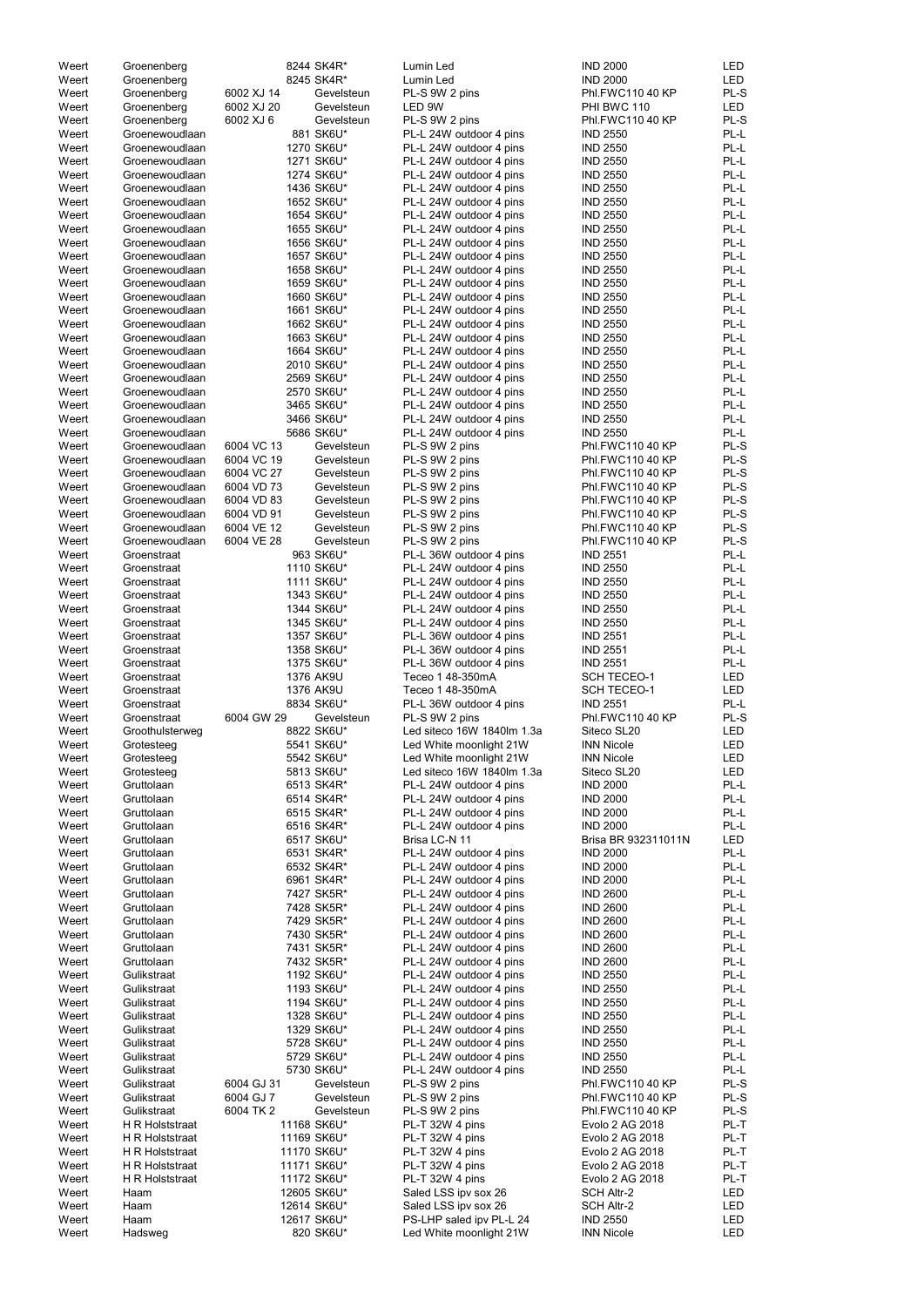| Weert          | Groenenberg     |            | 8244 SK4R*  | Lumin Led                  | <b>IND 2000</b>     | LED        |
|----------------|-----------------|------------|-------------|----------------------------|---------------------|------------|
| Weert          | Groenenberg     |            | 8245 SK4R*  | Lumin Led                  | <b>IND 2000</b>     | <b>LED</b> |
| Weert          | Groenenberg     | 6002 XJ 14 | Gevelsteun  | PL-S 9W 2 pins             | Phl.FWC110 40 KP    | PL-S       |
| Weert          | Groenenberg     | 6002 XJ 20 | Gevelsteun  | LED 9W                     | PHI BWC 110         | LED        |
| Weert          | Groenenberg     | 6002 XJ 6  | Gevelsteun  | PL-S 9W 2 pins             | Phl.FWC110 40 KP    | PL-S       |
| Weert          | Groenewoudlaan  |            | 881 SK6U*   | PL-L 24W outdoor 4 pins    | <b>IND 2550</b>     | PL-L       |
| Weert          | Groenewoudlaan  |            | 1270 SK6U*  | PL-L 24W outdoor 4 pins    | <b>IND 2550</b>     | PL-L       |
| Weert          | Groenewoudlaan  |            | 1271 SK6U*  | PL-L 24W outdoor 4 pins    | <b>IND 2550</b>     | PL-L       |
|                |                 |            | 1274 SK6U*  |                            | <b>IND 2550</b>     | PL-L       |
| Weert          | Groenewoudlaan  |            |             | PL-L 24W outdoor 4 pins    |                     |            |
| Weert          | Groenewoudlaan  |            | 1436 SK6U*  | PL-L 24W outdoor 4 pins    | <b>IND 2550</b>     | PL-L       |
| Weert          | Groenewoudlaan  |            | 1652 SK6U*  | PL-L 24W outdoor 4 pins    | <b>IND 2550</b>     | PL-L       |
| Weert          | Groenewoudlaan  |            | 1654 SK6U*  | PL-L 24W outdoor 4 pins    | <b>IND 2550</b>     | PL-L       |
| Weert          | Groenewoudlaan  |            | 1655 SK6U*  | PL-L 24W outdoor 4 pins    | <b>IND 2550</b>     | PL-L       |
| Weert          | Groenewoudlaan  |            | 1656 SK6U*  | PL-L 24W outdoor 4 pins    | <b>IND 2550</b>     | PL-L       |
| Weert          | Groenewoudlaan  |            | 1657 SK6U*  | PL-L 24W outdoor 4 pins    | <b>IND 2550</b>     | PL-L       |
| Weert          | Groenewoudlaan  |            | 1658 SK6U*  | PL-L 24W outdoor 4 pins    | <b>IND 2550</b>     | PL-L       |
| Weert          | Groenewoudlaan  |            | 1659 SK6U*  | PL-L 24W outdoor 4 pins    | <b>IND 2550</b>     | PL-L       |
|                | Groenewoudlaan  |            | 1660 SK6U*  |                            | <b>IND 2550</b>     | PL-L       |
| Weert          |                 |            |             | PL-L 24W outdoor 4 pins    |                     |            |
| Weert          | Groenewoudlaan  |            | 1661 SK6U*  | PL-L 24W outdoor 4 pins    | <b>IND 2550</b>     | PL-L       |
| Weert          | Groenewoudlaan  |            | 1662 SK6U*  | PL-L 24W outdoor 4 pins    | <b>IND 2550</b>     | PL-L       |
| Weert          | Groenewoudlaan  |            | 1663 SK6U*  | PL-L 24W outdoor 4 pins    | <b>IND 2550</b>     | PL-L       |
| Weert          | Groenewoudlaan  |            | 1664 SK6U*  | PL-L 24W outdoor 4 pins    | <b>IND 2550</b>     | PL-L       |
| Weert          | Groenewoudlaan  |            | 2010 SK6U*  | PL-L 24W outdoor 4 pins    | <b>IND 2550</b>     | PL-L       |
| Weert          | Groenewoudlaan  |            | 2569 SK6U*  | PL-L 24W outdoor 4 pins    | <b>IND 2550</b>     | PL-L       |
| Weert          | Groenewoudlaan  |            | 2570 SK6U*  | PL-L 24W outdoor 4 pins    | <b>IND 2550</b>     | PL-L       |
| Weert          | Groenewoudlaan  |            | 3465 SK6U*  | PL-L 24W outdoor 4 pins    | <b>IND 2550</b>     | PL-L       |
| Weert          | Groenewoudlaan  |            | 3466 SK6U*  | PL-L 24W outdoor 4 pins    | <b>IND 2550</b>     | PL-L       |
| Weert          | Groenewoudlaan  |            | 5686 SK6U*  | PL-L 24W outdoor 4 pins    | <b>IND 2550</b>     | PL-L       |
| Weert          | Groenewoudlaan  | 6004 VC 13 |             | PL-S 9W 2 pins             | Phl.FWC110 40 KP    | PL-S       |
|                |                 |            | Gevelsteun  |                            |                     |            |
| Weert          | Groenewoudlaan  | 6004 VC 19 | Gevelsteun  | PL-S 9W 2 pins             | Phl.FWC110 40 KP    | PL-S       |
| Weert          | Groenewoudlaan  | 6004 VC 27 | Gevelsteun  | PL-S 9W 2 pins             | Phl.FWC110 40 KP    | PL-S       |
| Weert          | Groenewoudlaan  | 6004 VD 73 | Gevelsteun  | PL-S 9W 2 pins             | Phl.FWC110 40 KP    | PL-S       |
| Weert          | Groenewoudlaan  | 6004 VD 83 | Gevelsteun  | PL-S 9W 2 pins             | Phl.FWC110 40 KP    | PL-S       |
| Weert          | Groenewoudlaan  | 6004 VD 91 | Gevelsteun  | PL-S 9W 2 pins             | Phl.FWC110 40 KP    | PL-S       |
| Weert          | Groenewoudlaan  | 6004 VE 12 | Gevelsteun  | PL-S 9W 2 pins             | Phl.FWC110 40 KP    | PL-S       |
| Weert          | Groenewoudlaan  | 6004 VE 28 | Gevelsteun  | PL-S 9W 2 pins             | Phl.FWC110 40 KP    | PL-S       |
| Weert          | Groenstraat     |            | 963 SK6U*   | PL-L 36W outdoor 4 pins    | <b>IND 2551</b>     | PL-L       |
| Weert          | Groenstraat     |            | 1110 SK6U*  | PL-L 24W outdoor 4 pins    | <b>IND 2550</b>     | PL-L       |
| Weert          | Groenstraat     |            | 1111 SK6U*  | PL-L 24W outdoor 4 pins    | <b>IND 2550</b>     | PL-L       |
|                |                 |            |             |                            |                     |            |
| Weert          | Groenstraat     |            | 1343 SK6U*  | PL-L 24W outdoor 4 pins    | <b>IND 2550</b>     | PL-L       |
| Weert          | Groenstraat     |            | 1344 SK6U*  | PL-L 24W outdoor 4 pins    | <b>IND 2550</b>     | PL-L       |
| Weert          | Groenstraat     |            | 1345 SK6U*  | PL-L 24W outdoor 4 pins    | <b>IND 2550</b>     | PL-L       |
| Weert          | Groenstraat     |            | 1357 SK6U*  | PL-L 36W outdoor 4 pins    | <b>IND 2551</b>     | PL-L       |
| Weert          | Groenstraat     |            | 1358 SK6U*  | PL-L 36W outdoor 4 pins    | <b>IND 2551</b>     | PL-L       |
| Weert          | Groenstraat     |            | 1375 SK6U*  | PL-L 36W outdoor 4 pins    | <b>IND 2551</b>     | PL-L       |
| Weert          | Groenstraat     |            | 1376 AK9U   | Teceo 1 48-350mA           | <b>SCH TECEO-1</b>  | LED        |
| Weert          | Groenstraat     |            | 1376 AK9U   | Teceo 1 48-350mA           | <b>SCH TECEO-1</b>  | LED        |
| Weert          | Groenstraat     |            | 8834 SK6U*  | PL-L 36W outdoor 4 pins    | <b>IND 2551</b>     | PL-L       |
| Weert          | Groenstraat     | 6004 GW 29 | Gevelsteun  | PL-S 9W 2 pins             | Phl.FWC110 40 KP    | PL-S       |
| Weert          |                 |            | 8822 SK6U*  | Led siteco 16W 1840lm 1.3a | Siteco SL20         | LED        |
|                | Groothulsterweg |            |             |                            |                     |            |
| Weert          | Grotesteeg      |            | 5541 SK6U*  | Led White moonlight 21W    | <b>INN Nicole</b>   | LED        |
| Weert          | Grotesteeg      |            | 5542 SK6U*  | Led White moonlight 21W    | <b>INN Nicole</b>   | LED        |
| Weert          | Grotesteeg      |            | 5813 SK6U*  | Led siteco 16W 1840lm 1.3a | Siteco SL20         | LED        |
| Weert          | Gruttolaan      |            | 6513 SK4R*  | PL-L 24W outdoor 4 pins    | <b>IND 2000</b>     | PL-L       |
| Weert          | Gruttolaan      |            | 6514 SK4R*  | PL-L 24W outdoor 4 pins    | <b>IND 2000</b>     | PL-L       |
| Weert          | Gruttolaan      |            | 6515 SK4R*  | PL-L 24W outdoor 4 pins    | <b>IND 2000</b>     | PL-L       |
| Weert          | Gruttolaan      |            | 6516 SK4R*  | PL-L 24W outdoor 4 pins    | <b>IND 2000</b>     | PL-L       |
| Weert          | Gruttolaan      |            | 6517 SK6U*  | Brisa LC-N 11              | Brisa BR 932311011N | LED        |
| Weert          | Gruttolaan      |            | 6531 SK4R*  | PL-L 24W outdoor 4 pins    | <b>IND 2000</b>     | PL-L       |
| Weert          | Gruttolaan      |            | 6532 SK4R*  | PL-L 24W outdoor 4 pins    | <b>IND 2000</b>     | PL-L       |
| Weert          | Gruttolaan      |            | 6961 SK4R*  | PL-L 24W outdoor 4 pins    | <b>IND 2000</b>     | PL-L       |
| Weert          | Gruttolaan      |            | 7427 SK5R*  | PL-L 24W outdoor 4 pins    | <b>IND 2600</b>     | PL-L       |
| Weert          | Gruttolaan      |            | 7428 SK5R*  | PL-L 24W outdoor 4 pins    | <b>IND 2600</b>     | PL-L       |
| Weert          | Gruttolaan      |            | 7429 SK5R*  | PL-L 24W outdoor 4 pins    | <b>IND 2600</b>     | PL-L       |
| Weert          | Gruttolaan      |            | 7430 SK5R*  | PL-L 24W outdoor 4 pins    | <b>IND 2600</b>     | PL-L       |
|                |                 |            |             |                            |                     |            |
| Weert          | Gruttolaan      |            | 7431 SK5R*  | PL-L 24W outdoor 4 pins    | <b>IND 2600</b>     | PL-L       |
| Weert          | Gruttolaan      |            | 7432 SK5R*  | PL-L 24W outdoor 4 pins    | <b>IND 2600</b>     | PL-L       |
| Weert          | Gulikstraat     |            | 1192 SK6U*  | PL-L 24W outdoor 4 pins    | <b>IND 2550</b>     | PL-L       |
| Weert          | Gulikstraat     |            | 1193 SK6U*  | PL-L 24W outdoor 4 pins    | <b>IND 2550</b>     | PL-L       |
| Weert          | Gulikstraat     |            | 1194 SK6U*  | PL-L 24W outdoor 4 pins    | <b>IND 2550</b>     | PL-L       |
| Weert          | Gulikstraat     |            | 1328 SK6U*  | PL-L 24W outdoor 4 pins    | <b>IND 2550</b>     | PL-L       |
| Weert          | Gulikstraat     |            | 1329 SK6U*  | PL-L 24W outdoor 4 pins    | <b>IND 2550</b>     | PL-L       |
| Weert          | Gulikstraat     |            | 5728 SK6U*  | PL-L 24W outdoor 4 pins    | <b>IND 2550</b>     | PL-L       |
| Weert          | Gulikstraat     |            | 5729 SK6U*  | PL-L 24W outdoor 4 pins    | <b>IND 2550</b>     | PL-L       |
| Weert          | Gulikstraat     |            | 5730 SK6U*  | PL-L 24W outdoor 4 pins    | <b>IND 2550</b>     | PL-L       |
| Weert          | Gulikstraat     | 6004 GJ 31 | Gevelsteun  | PL-S 9W 2 pins             | Phl.FWC110 40 KP    | PL-S       |
|                |                 |            |             |                            |                     |            |
| Weert          | Gulikstraat     | 6004 GJ 7  | Gevelsteun  | PL-S 9W 2 pins             | Phl.FWC110 40 KP    | PL-S       |
| Weert          | Gulikstraat     | 6004 TK 2  | Gevelsteun  | PL-S 9W 2 pins             | Phl.FWC110 40 KP    | PL-S       |
| Weert          | H R Holststraat |            | 11168 SK6U* | PL-T 32W 4 pins            | Evolo 2 AG 2018     | PL-T       |
| Weert          | H R Holststraat |            | 11169 SK6U* | PL-T 32W 4 pins            | Evolo 2 AG 2018     | PL-T       |
| Weert          | H R Holststraat |            | 11170 SK6U* | PL-T 32W 4 pins            | Evolo 2 AG 2018     | PL-T       |
| Weert          | H R Holststraat |            | 11171 SK6U* | PL-T 32W 4 pins            | Evolo 2 AG 2018     | PL-T       |
| Weert          | H R Holststraat |            | 11172 SK6U* | PL-T 32W 4 pins            | Evolo 2 AG 2018     | PL-T       |
| Weert          | Haam            |            | 12605 SK6U* | Saled LSS ipv sox 26       | <b>SCH Altr-2</b>   | LED        |
| Weert          | Haam            |            | 12614 SK6U* | Saled LSS ipv sox 26       | <b>SCH Altr-2</b>   | LED        |
|                |                 |            | 12617 SK6U* | PS-LHP saled ipv PL-L 24   | <b>IND 2550</b>     | LED        |
|                |                 |            |             |                            |                     |            |
| Weert<br>Weert | Haam<br>Hadsweg |            | 820 SK6U*   | Led White moonlight 21W    | <b>INN Nicole</b>   | LED        |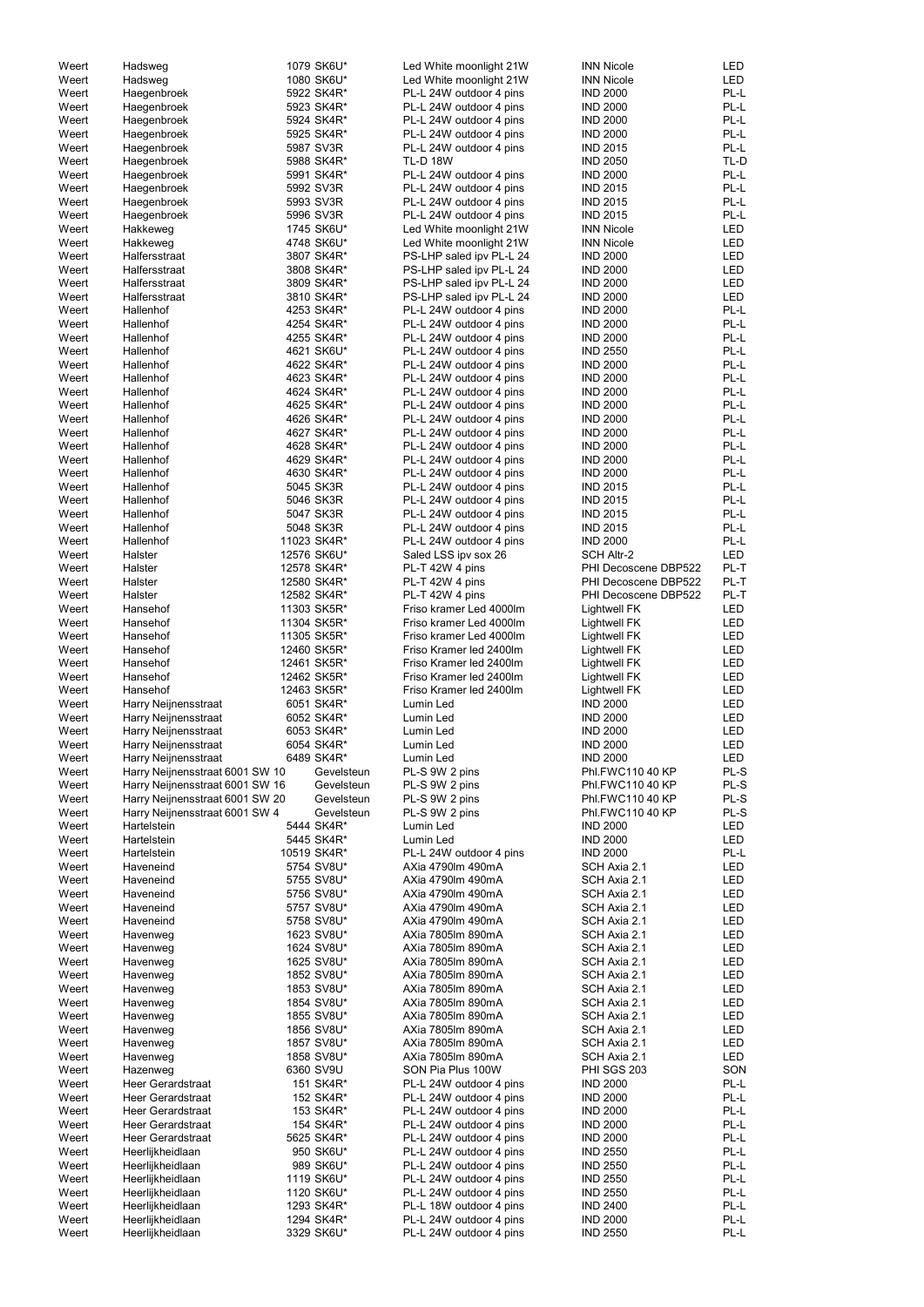| Weert          | Hadsweg                                      | 1079 SK6U*                 | Led White moonlight 21W                              | <b>INN Nicole</b>                    | LED                      |
|----------------|----------------------------------------------|----------------------------|------------------------------------------------------|--------------------------------------|--------------------------|
| Weert          | Hadsweg                                      | 1080 SK6U*                 | Led White moonlight 21W                              | <b>INN Nicole</b>                    | LED                      |
| Weert          | Haegenbroek                                  | 5922 SK4R*                 | PL-L 24W outdoor 4 pins                              | <b>IND 2000</b>                      | PL-L                     |
| Weert          | Haegenbroek                                  | 5923 SK4R*                 | PL-L 24W outdoor 4 pins                              | <b>IND 2000</b>                      | PL-L                     |
| Weert          | Haegenbroek                                  | 5924 SK4R*<br>5925 SK4R*   | PL-L 24W outdoor 4 pins                              | <b>IND 2000</b><br><b>IND 2000</b>   | PL-L<br>PL-L             |
| Weert<br>Weert | Haegenbroek<br>Haegenbroek                   | 5987 SV3R                  | PL-L 24W outdoor 4 pins<br>PL-L 24W outdoor 4 pins   | <b>IND 2015</b>                      | PL-L                     |
| Weert          | Haegenbroek                                  | 5988 SK4R*                 | <b>TL-D 18W</b>                                      | <b>IND 2050</b>                      | TL-D                     |
| Weert          | Haegenbroek                                  | 5991 SK4R*                 | PL-L 24W outdoor 4 pins                              | <b>IND 2000</b>                      | PL-L                     |
| Weert          | Haegenbroek                                  | 5992 SV3R                  | PL-L 24W outdoor 4 pins                              | <b>IND 2015</b>                      | PL-L                     |
| Weert          | Haegenbroek                                  | 5993 SV3R                  | PL-L 24W outdoor 4 pins                              | <b>IND 2015</b>                      | PL-L                     |
| Weert          | Haegenbroek                                  | 5996 SV3R                  | PL-L 24W outdoor 4 pins                              | <b>IND 2015</b>                      | PL-L                     |
| Weert          | Hakkeweg                                     | 1745 SK6U*                 | Led White moonlight 21W                              | <b>INN Nicole</b>                    | <b>LED</b>               |
| Weert<br>Weert | Hakkeweg<br>Halfersstraat                    | 4748 SK6U*<br>3807 SK4R*   | Led White moonlight 21W                              | <b>INN Nicole</b><br><b>IND 2000</b> | <b>LED</b><br><b>LED</b> |
| Weert          | Halfersstraat                                | 3808 SK4R*                 | PS-LHP saled ipv PL-L 24<br>PS-LHP saled ipv PL-L 24 | <b>IND 2000</b>                      | LED                      |
| Weert          | Halfersstraat                                | 3809 SK4R*                 | PS-LHP saled ipv PL-L 24                             | <b>IND 2000</b>                      | LED                      |
| Weert          | Halfersstraat                                | 3810 SK4R*                 | PS-LHP saled ipv PL-L 24                             | <b>IND 2000</b>                      | LED                      |
| Weert          | Hallenhof                                    | 4253 SK4R*                 | PL-L 24W outdoor 4 pins                              | <b>IND 2000</b>                      | PL-L                     |
| Weert          | Hallenhof                                    | 4254 SK4R*                 | PL-L 24W outdoor 4 pins                              | <b>IND 2000</b>                      | PL-L                     |
| Weert          | Hallenhof                                    | 4255 SK4R*                 | PL-L 24W outdoor 4 pins                              | <b>IND 2000</b>                      | PL-L                     |
| Weert          | Hallenhof                                    | 4621 SK6U*                 | PL-L 24W outdoor 4 pins                              | <b>IND 2550</b>                      | PL-L                     |
| Weert          | Hallenhof                                    | 4622 SK4R*                 | PL-L 24W outdoor 4 pins                              | <b>IND 2000</b>                      | PL-L                     |
| Weert<br>Weert | Hallenhof<br>Hallenhof                       | 4623 SK4R*<br>4624 SK4R*   | PL-L 24W outdoor 4 pins<br>PL-L 24W outdoor 4 pins   | <b>IND 2000</b><br><b>IND 2000</b>   | PL-L<br>PL-L             |
| Weert          | Hallenhof                                    | 4625 SK4R*                 | PL-L 24W outdoor 4 pins                              | <b>IND 2000</b>                      | PL-L                     |
| Weert          | Hallenhof                                    | 4626 SK4R*                 | PL-L 24W outdoor 4 pins                              | <b>IND 2000</b>                      | PL-L                     |
| Weert          | Hallenhof                                    | 4627 SK4R*                 | PL-L 24W outdoor 4 pins                              | <b>IND 2000</b>                      | PL-L                     |
| Weert          | Hallenhof                                    | 4628 SK4R*                 | PL-L 24W outdoor 4 pins                              | <b>IND 2000</b>                      | PL-L                     |
| Weert          | Hallenhof                                    | 4629 SK4R*                 | PL-L 24W outdoor 4 pins                              | <b>IND 2000</b>                      | PL-L                     |
| Weert          | Hallenhof                                    | 4630 SK4R*                 | PL-L 24W outdoor 4 pins                              | <b>IND 2000</b>                      | PL-L                     |
| Weert          | Hallenhof                                    | 5045 SK3R                  | PL-L 24W outdoor 4 pins                              | <b>IND 2015</b>                      | PL-L                     |
| Weert          | Hallenhof                                    | 5046 SK3R                  | PL-L 24W outdoor 4 pins                              | <b>IND 2015</b>                      | PL-L                     |
| Weert          | Hallenhof                                    | 5047 SK3R                  | PL-L 24W outdoor 4 pins                              | <b>IND 2015</b>                      | PL-L<br>PL-L             |
| Weert<br>Weert | Hallenhof<br>Hallenhof                       | 5048 SK3R<br>11023 SK4R*   | PL-L 24W outdoor 4 pins<br>PL-L 24W outdoor 4 pins   | <b>IND 2015</b><br><b>IND 2000</b>   | PL-L                     |
| Weert          | Halster                                      | 12576 SK6U*                | Saled LSS ipv sox 26                                 | <b>SCH Altr-2</b>                    | <b>LED</b>               |
| Weert          | Halster                                      | 12578 SK4R*                | PL-T 42W 4 pins                                      | PHI Decoscene DBP522                 | PL-T                     |
| Weert          | Halster                                      | 12580 SK4R*                | PL-T 42W 4 pins                                      | PHI Decoscene DBP522                 | PL-T                     |
| Weert          | Halster                                      | 12582 SK4R*                | PL-T 42W 4 pins                                      | PHI Decoscene DBP522                 | PL-T                     |
| Weert          | Hansehof                                     | 11303 SK5R*                | Friso kramer Led 4000lm                              | <b>Lightwell FK</b>                  | LED                      |
| Weert          | Hansehof                                     | 11304 SK5R*                | Friso kramer Led 4000lm                              | <b>Lightwell FK</b>                  | LED                      |
| Weert          | Hansehof                                     | 11305 SK5R*                | Friso kramer Led 4000lm                              | Lightwell FK                         | LED                      |
| Weert          | Hansehof                                     | 12460 SK5R*                | Friso Kramer led 2400lm                              | Lightwell FK                         | <b>LED</b>               |
| Weert          | Hansehof                                     | 12461 SK5R*                | Friso Kramer led 2400lm                              | Lightwell FK                         | <b>LED</b>               |
| Weert<br>Weert | Hansehof<br>Hansehof                         | 12462 SK5R*<br>12463 SK5R* | Friso Kramer led 2400lm<br>Friso Kramer led 2400lm   | Lightwell FK                         | <b>LED</b><br><b>LED</b> |
| Weert          | Harry Neijnensstraat                         | 6051 SK4R*                 | Lumin Led                                            | Lightwell FK<br><b>IND 2000</b>      | LED                      |
| Weert          | Harry Neijnensstraat                         | 6052 SK4R*                 | Lumin Led                                            | <b>IND 2000</b>                      | LED                      |
| Weert          | Harry Neijnensstraat                         | 6053 SK4R*                 | Lumin Led                                            | <b>IND 2000</b>                      | LED                      |
| Weert          | Harry Neijnensstraat                         | 6054 SK4R*                 | Lumin Led                                            | <b>IND 2000</b>                      | LED                      |
| Weert          | Harry Neijnensstraat                         | 6489 SK4R*                 | Lumin Led                                            | <b>IND 2000</b>                      | LED                      |
| Weert          | Harry Neijnensstraat 6001 SW 10              | Gevelsteun                 | PL-S 9W 2 pins                                       | Phl.FWC110 40 KP                     | PL-S                     |
| Weert          | Harry Neijnensstraat 6001 SW 16              | Gevelsteun                 | PL-S 9W 2 pins                                       | Phl.FWC110 40 KP                     | PL-S                     |
| Weert          | Harry Neijnensstraat 6001 SW 20              | Gevelsteun                 | PL-S 9W 2 pins                                       | Phl.FWC110 40 KP                     | PL-S                     |
| Weert          | Harry Neijnensstraat 6001 SW 4               | Gevelsteun<br>5444 SK4R*   | PL-S 9W 2 pins                                       | Phl.FWC110 40 KP<br><b>IND 2000</b>  | PL-S<br><b>LED</b>       |
| Weert<br>Weert | Hartelstein<br>Hartelstein                   | 5445 SK4R*                 | Lumin Led<br>Lumin Led                               | <b>IND 2000</b>                      | <b>LED</b>               |
| Weert          | Hartelstein                                  | 10519 SK4R*                | PL-L 24W outdoor 4 pins                              | <b>IND 2000</b>                      | PL-L                     |
| Weert          | Haveneind                                    | 5754 SV8U*                 | AXia 4790lm 490mA                                    | SCH Axia 2.1                         | LED                      |
| Weert          | Haveneind                                    | 5755 SV8U*                 | AXia 4790lm 490mA                                    | SCH Axia 2.1                         | LED                      |
| Weert          | Haveneind                                    | 5756 SV8U*                 | AXia 4790lm 490mA                                    | SCH Axia 2.1                         | LED                      |
| Weert          | Haveneind                                    | 5757 SV8U*                 | AXia 4790lm 490mA                                    | SCH Axia 2.1                         | LED                      |
| Weert          | Haveneind                                    | 5758 SV8U*                 | AXia 4790lm 490mA                                    | SCH Axia 2.1                         | LED                      |
| Weert          | Havenweg                                     | 1623 SV8U*                 | AXia 7805lm 890mA<br>AXia 7805lm 890mA               | SCH Axia 2.1                         | LED                      |
| Weert<br>Weert | Havenweg<br>Havenweg                         | 1624 SV8U*<br>1625 SV8U*   | AXia 7805lm 890mA                                    | SCH Axia 2.1<br>SCH Axia 2.1         | LED<br>LED               |
| Weert          | Havenweg                                     | 1852 SV8U*                 | AXia 7805lm 890mA                                    | SCH Axia 2.1                         | LED                      |
| Weert          | Havenweg                                     | 1853 SV8U*                 | AXia 7805lm 890mA                                    | SCH Axia 2.1                         | LED                      |
| Weert          | Havenweg                                     | 1854 SV8U*                 | AXia 7805lm 890mA                                    | SCH Axia 2.1                         | LED                      |
| Weert          | Havenweg                                     | 1855 SV8U*                 | AXia 7805lm 890mA                                    | SCH Axia 2.1                         | <b>LED</b>               |
| Weert          | Havenweg                                     | 1856 SV8U*                 | AXia 7805lm 890mA                                    | SCH Axia 2.1                         | <b>LED</b>               |
| Weert          | Havenweg                                     | 1857 SV8U*                 | AXia 7805lm 890mA                                    | SCH Axia 2.1                         | LED                      |
| Weert          | Havenweg                                     | 1858 SV8U*                 | AXia 7805lm 890mA                                    | SCH Axia 2.1                         | LED                      |
| Weert          | Hazenweg                                     | 6360 SV9U                  | SON Pia Plus 100W                                    | <b>PHI SGS 203</b>                   | SON                      |
| Weert          | Heer Gerardstraat                            | 151 SK4R*                  | PL-L 24W outdoor 4 pins                              | <b>IND 2000</b>                      | PL-L                     |
| Weert<br>Weert | <b>Heer Gerardstraat</b>                     | 152 SK4R*                  | PL-L 24W outdoor 4 pins<br>PL-L 24W outdoor 4 pins   | <b>IND 2000</b><br><b>IND 2000</b>   | PL-L<br>PL-L             |
| Weert          |                                              |                            |                                                      |                                      |                          |
|                | <b>Heer Gerardstraat</b>                     | 153 SK4R*                  |                                                      |                                      |                          |
|                | <b>Heer Gerardstraat</b>                     | 154 SK4R*                  | PL-L 24W outdoor 4 pins                              | <b>IND 2000</b>                      | PL-L                     |
| Weert<br>Weert | <b>Heer Gerardstraat</b><br>Heerlijkheidlaan | 5625 SK4R*<br>950 SK6U*    | PL-L 24W outdoor 4 pins<br>PL-L 24W outdoor 4 pins   | <b>IND 2000</b><br><b>IND 2550</b>   | PL-L<br>PL-L             |
| Weert          | Heerlijkheidlaan                             | 989 SK6U*                  | PL-L 24W outdoor 4 pins                              | <b>IND 2550</b>                      | PL-L                     |
| Weert          | Heerlijkheidlaan                             | 1119 SK6U*                 | PL-L 24W outdoor 4 pins                              | <b>IND 2550</b>                      | PL-L                     |
| Weert          | Heerlijkheidlaan                             | 1120 SK6U*                 | PL-L 24W outdoor 4 pins                              | <b>IND 2550</b>                      | PL-L                     |
| Weert          | Heerlijkheidlaan                             | 1293 SK4R*                 | PL-L 18W outdoor 4 pins                              | <b>IND 2400</b>                      | PL-L                     |
| Weert<br>Weert | Heerlijkheidlaan<br>Heerlijkheidlaan         | 1294 SK4R*<br>3329 SK6U*   | PL-L 24W outdoor 4 pins<br>PL-L 24W outdoor 4 pins   | <b>IND 2000</b><br><b>IND 2550</b>   | PL-L<br>PL-L             |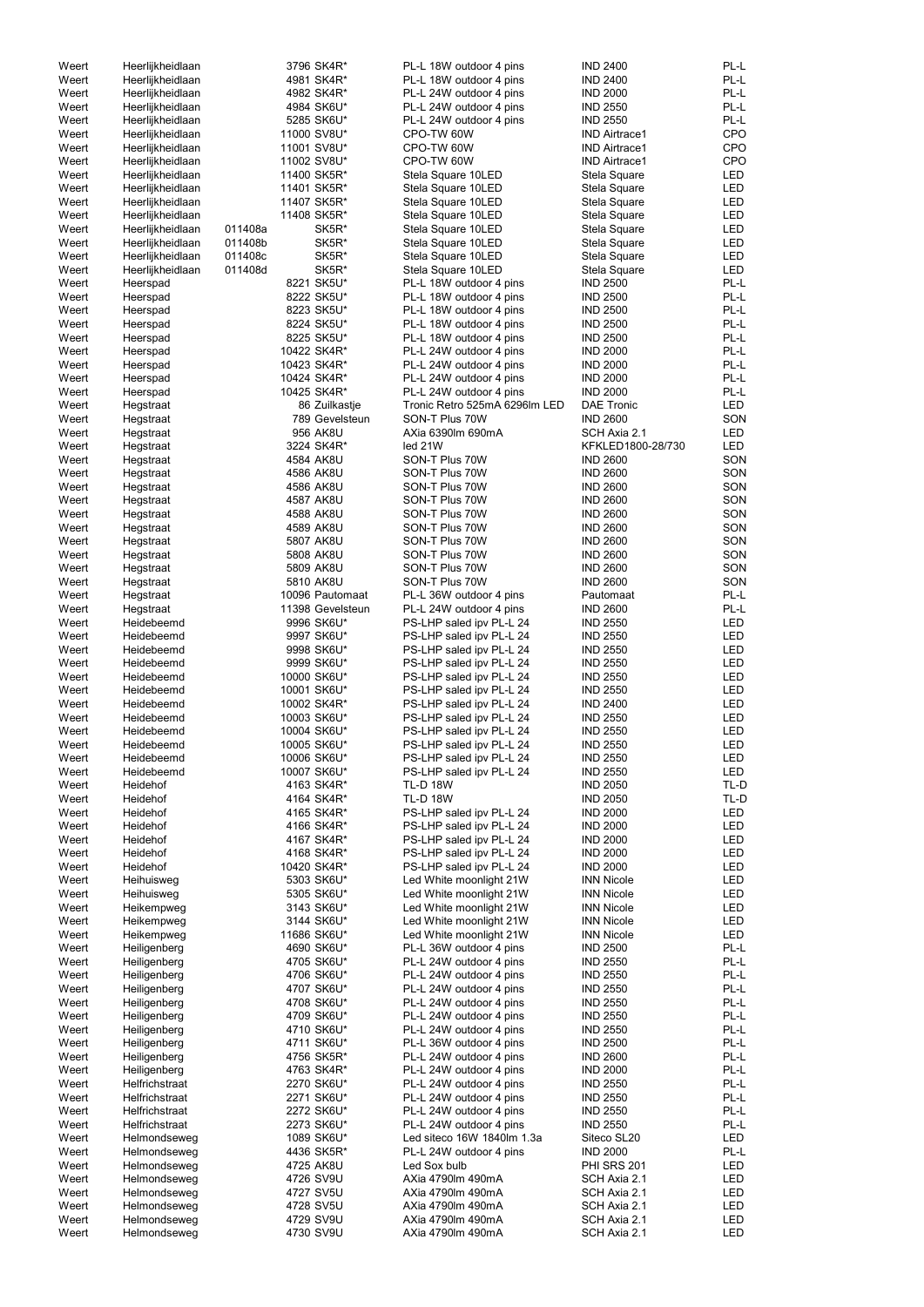| Weert | Heerlijkheidlaan |         | 3796 SK4R*       | PL-L 18W outdoor 4 pins       | <b>IND 2400</b>      | PL-L       |
|-------|------------------|---------|------------------|-------------------------------|----------------------|------------|
| Weert | Heerlijkheidlaan |         | 4981 SK4R*       | PL-L 18W outdoor 4 pins       | <b>IND 2400</b>      | PL-L       |
| Weert | Heerlijkheidlaan |         | 4982 SK4R*       | PL-L 24W outdoor 4 pins       | <b>IND 2000</b>      | PL-L       |
|       |                  |         |                  |                               |                      | PL-L       |
| Weert | Heerlijkheidlaan |         | 4984 SK6U*       | PL-L 24W outdoor 4 pins       | <b>IND 2550</b>      |            |
| Weert | Heerlijkheidlaan |         | 5285 SK6U*       | PL-L 24W outdoor 4 pins       | <b>IND 2550</b>      | PL-L       |
| Weert | Heerlijkheidlaan |         | 11000 SV8U*      | CPO-TW 60W                    | <b>IND Airtrace1</b> | <b>CPO</b> |
| Weert | Heerlijkheidlaan |         | 11001 SV8U*      | CPO-TW 60W                    | <b>IND Airtrace1</b> | <b>CPO</b> |
| Weert | Heerlijkheidlaan |         | 11002 SV8U*      | CPO-TW 60W                    | <b>IND Airtrace1</b> | <b>CPO</b> |
|       |                  |         |                  |                               |                      |            |
| Weert | Heerlijkheidlaan |         | 11400 SK5R*      | Stela Square 10LED            | Stela Square         | <b>LED</b> |
| Weert | Heerlijkheidlaan |         | 11401 SK5R*      | Stela Square 10LED            | Stela Square         | <b>LED</b> |
| Weert | Heerlijkheidlaan |         | 11407 SK5R*      | Stela Square 10LED            | Stela Square         | <b>LED</b> |
| Weert | Heerlijkheidlaan |         | 11408 SK5R*      | Stela Square 10LED            | Stela Square         | <b>LED</b> |
| Weert | Heerlijkheidlaan | 011408a | SK5R*            | Stela Square 10LED            | Stela Square         | <b>LED</b> |
|       |                  |         |                  |                               |                      |            |
| Weert | Heerlijkheidlaan | 011408b | SK5R*            | Stela Square 10LED            | Stela Square         | <b>LED</b> |
| Weert | Heerlijkheidlaan | 011408c | SK5R*            | Stela Square 10LED            | Stela Square         | <b>LED</b> |
| Weert | Heerlijkheidlaan | 011408d | SK5R*            | Stela Square 10LED            | Stela Square         | <b>LED</b> |
| Weert | Heerspad         |         | 8221 SK5U*       | PL-L 18W outdoor 4 pins       | <b>IND 2500</b>      | PL-L       |
|       |                  |         | 8222 SK5U*       | PL-L 18W outdoor 4 pins       | <b>IND 2500</b>      | PL-L       |
| Weert | Heerspad         |         |                  |                               |                      |            |
| Weert | Heerspad         |         | 8223 SK5U*       | PL-L 18W outdoor 4 pins       | <b>IND 2500</b>      | PL-L       |
| Weert | Heerspad         |         | 8224 SK5U*       | PL-L 18W outdoor 4 pins       | <b>IND 2500</b>      | PL-L       |
| Weert | Heerspad         |         | 8225 SK5U*       | PL-L 18W outdoor 4 pins       | <b>IND 2500</b>      | PL-L       |
| Weert | Heerspad         |         | 10422 SK4R*      | PL-L 24W outdoor 4 pins       | <b>IND 2000</b>      | PL-L       |
|       |                  |         | 10423 SK4R*      | PL-L 24W outdoor 4 pins       | <b>IND 2000</b>      | PL-L       |
| Weert | Heerspad         |         |                  |                               |                      |            |
| Weert | Heerspad         |         | 10424 SK4R*      | PL-L 24W outdoor 4 pins       | <b>IND 2000</b>      | PL-L       |
| Weert | Heerspad         |         | 10425 SK4R*      | PL-L 24W outdoor 4 pins       | <b>IND 2000</b>      | PL-L       |
| Weert | Hegstraat        |         | 86 Zuilkastje    | Tronic Retro 525mA 6296lm LED | <b>DAE Tronic</b>    | <b>LED</b> |
| Weert | Hegstraat        |         | 789 Gevelsteun   | SON-T Plus 70W                | <b>IND 2600</b>      | SON        |
| Weert |                  |         | 956 AK8U         | AXia 6390Im 690mA             | SCH Axia 2.1         | <b>LED</b> |
|       | Hegstraat        |         |                  |                               |                      |            |
| Weert | Hegstraat        |         | 3224 SK4R*       | led 21W                       | KFKLED1800-28/730    | <b>LED</b> |
| Weert | Hegstraat        |         | 4584 AK8U        | SON-T Plus 70W                | <b>IND 2600</b>      | SON        |
| Weert | Hegstraat        |         | 4586 AK8U        | SON-T Plus 70W                | <b>IND 2600</b>      | SON        |
| Weert | Hegstraat        |         | 4586 AK8U        | SON-T Plus 70W                | <b>IND 2600</b>      | SON        |
|       |                  |         |                  |                               |                      |            |
| Weert | Hegstraat        |         | 4587 AK8U        | SON-T Plus 70W                | <b>IND 2600</b>      | SON        |
| Weert | Hegstraat        |         | 4588 AK8U        | SON-T Plus 70W                | <b>IND 2600</b>      | SON        |
| Weert | Hegstraat        |         | 4589 AK8U        | SON-T Plus 70W                | <b>IND 2600</b>      | SON        |
| Weert | Hegstraat        |         | 5807 AK8U        | SON-T Plus 70W                | <b>IND 2600</b>      | SON        |
| Weert | Hegstraat        |         | 5808 AK8U        | SON-T Plus 70W                | <b>IND 2600</b>      | SON        |
|       |                  |         |                  |                               |                      |            |
| Weert | Hegstraat        |         | 5809 AK8U        | SON-T Plus 70W                | <b>IND 2600</b>      | SON        |
| Weert | Hegstraat        |         | 5810 AK8U        | SON-T Plus 70W                | <b>IND 2600</b>      | SON        |
| Weert | Hegstraat        |         | 10096 Pautomaat  | PL-L 36W outdoor 4 pins       | Pautomaat            | PL-L       |
| Weert | Hegstraat        |         | 11398 Gevelsteun | PL-L 24W outdoor 4 pins       | <b>IND 2600</b>      | PL-L       |
| Weert | Heidebeemd       |         | 9996 SK6U*       | PS-LHP saled ipv PL-L 24      | <b>IND 2550</b>      | <b>LED</b> |
|       |                  |         |                  |                               |                      |            |
| Weert | Heidebeemd       |         | 9997 SK6U*       | PS-LHP saled ipv PL-L 24      | <b>IND 2550</b>      | <b>LED</b> |
| Weert | Heidebeemd       |         | 9998 SK6U*       | PS-LHP saled ipv PL-L 24      | <b>IND 2550</b>      | <b>LED</b> |
| Weert | Heidebeemd       |         | 9999 SK6U*       | PS-LHP saled ipv PL-L 24      | <b>IND 2550</b>      | <b>LED</b> |
| Weert | Heidebeemd       |         | 10000 SK6U*      | PS-LHP saled ipv PL-L 24      | <b>IND 2550</b>      | <b>LED</b> |
|       | Heidebeemd       |         |                  |                               | <b>IND 2550</b>      |            |
| Weert |                  |         | 10001 SK6U*      | PS-LHP saled ipv PL-L 24      |                      | LED        |
| Weert | Heidebeemd       |         | 10002 SK4R*      | PS-LHP saled ipv PL-L 24      | <b>IND 2400</b>      | LED        |
| Weert | Heidebeemd       |         | 10003 SK6U*      | PS-LHP saled ipv PL-L 24      | <b>IND 2550</b>      | <b>LED</b> |
| Weert | Heidebeemd       |         | 10004 SK6U*      | PS-LHP saled ipv PL-L 24      | <b>IND 2550</b>      | <b>LED</b> |
| Weert | Heidebeemd       |         | 10005 SK6U*      | PS-LHP saled ipv PL-L 24      | <b>IND 2550</b>      | <b>LED</b> |
|       | Heidebeemd       |         |                  |                               |                      |            |
| Weert |                  |         | 10006 SK6U*      | PS-LHP saled ipv PL-L 24      | <b>IND 2550</b>      | <b>LED</b> |
| Weert | Heidebeemd       |         | 10007 SK6U*      | PS-LHP saled ipv PL-L 24      | <b>IND 2550</b>      | LED        |
| Weert | Heidehof         |         | 4163 SK4R*       | <b>TL-D 18W</b>               | <b>IND 2050</b>      | TL-D       |
| Weert | Heidehof         |         | 4164 SK4R*       | <b>TL-D 18W</b>               | <b>IND 2050</b>      | TL-D       |
| Weert | Heidehof         |         | 4165 SK4R*       | PS-LHP saled ipv PL-L 24      | <b>IND 2000</b>      | <b>LED</b> |
| Weert | Heidehof         |         | 4166 SK4R*       | PS-LHP saled ipv PL-L 24      | <b>IND 2000</b>      | LED        |
| Weert | Heidehof         |         | 4167 SK4R*       | PS-LHP saled ipv PL-L 24      | <b>IND 2000</b>      | <b>LED</b> |
|       |                  |         |                  |                               |                      |            |
| Weert | Heidehof         |         | 4168 SK4R*       | PS-LHP saled ipv PL-L 24      | <b>IND 2000</b>      | <b>LED</b> |
| Weert | Heidehof         |         | 10420 SK4R*      | PS-LHP saled ipv PL-L 24      | <b>IND 2000</b>      | <b>LED</b> |
| Weert | Heihuisweg       |         | 5303 SK6U*       | Led White moonlight 21W       | <b>INN Nicole</b>    | <b>LED</b> |
| Weert | Heihuisweg       |         | 5305 SK6U*       | Led White moonlight 21W       | <b>INN Nicole</b>    | <b>LED</b> |
| Weert | Heikempweg       |         | 3143 SK6U*       | Led White moonlight 21W       | <b>INN Nicole</b>    | LED        |
|       |                  |         |                  |                               | <b>INN Nicole</b>    | LED        |
| Weert | Heikempweg       |         | 3144 SK6U*       | Led White moonlight 21W       |                      |            |
| Weert | Heikempweg       |         | 11686 SK6U*      | Led White moonlight 21W       | <b>INN Nicole</b>    | LED        |
| Weert | Heiligenberg     |         | 4690 SK6U*       | PL-L 36W outdoor 4 pins       | <b>IND 2500</b>      | PL-L       |
| Weert | Heiligenberg     |         | 4705 SK6U*       | PL-L 24W outdoor 4 pins       | <b>IND 2550</b>      | PL-L       |
| Weert | Heiligenberg     |         | 4706 SK6U*       | PL-L 24W outdoor 4 pins       | <b>IND 2550</b>      | PL-L       |
|       |                  |         |                  |                               |                      | PL-L       |
| Weert | Heiligenberg     |         | 4707 SK6U*       | PL-L 24W outdoor 4 pins       | <b>IND 2550</b>      |            |
| Weert | Heiligenberg     |         | 4708 SK6U*       | PL-L 24W outdoor 4 pins       | <b>IND 2550</b>      | PL-L       |
| Weert | Heiligenberg     |         | 4709 SK6U*       | PL-L 24W outdoor 4 pins       | <b>IND 2550</b>      | PL-L       |
| Weert | Heiligenberg     |         | 4710 SK6U*       | PL-L 24W outdoor 4 pins       | <b>IND 2550</b>      | PL-L       |
| Weert | Heiligenberg     |         | 4711 SK6U*       | PL-L 36W outdoor 4 pins       | <b>IND 2500</b>      | PL-L       |
| Weert | Heiligenberg     |         | 4756 SK5R*       | PL-L 24W outdoor 4 pins       | <b>IND 2600</b>      | PL-L       |
|       |                  |         |                  |                               |                      |            |
| Weert | Heiligenberg     |         | 4763 SK4R*       | PL-L 24W outdoor 4 pins       | <b>IND 2000</b>      | PL-L       |
| Weert | Helfrichstraat   |         | 2270 SK6U*       | PL-L 24W outdoor 4 pins       | <b>IND 2550</b>      | PL-L       |
| Weert | Helfrichstraat   |         | 2271 SK6U*       | PL-L 24W outdoor 4 pins       | <b>IND 2550</b>      | PL-L       |
| Weert | Helfrichstraat   |         | 2272 SK6U*       | PL-L 24W outdoor 4 pins       | <b>IND 2550</b>      | PL-L       |
| Weert | Helfrichstraat   |         | 2273 SK6U*       | PL-L 24W outdoor 4 pins       | <b>IND 2550</b>      | PL-L       |
|       |                  |         |                  |                               |                      |            |
| Weert | Helmondseweg     |         | 1089 SK6U*       | Led siteco 16W 1840lm 1.3a    | Siteco SL20          | LED        |
| Weert | Helmondseweg     |         | 4436 SK5R*       | PL-L 24W outdoor 4 pins       | <b>IND 2000</b>      | PL-L       |
| Weert | Helmondseweg     |         | 4725 AK8U        | Led Sox bulb                  | <b>PHI SRS 201</b>   | LED        |
| Weert | Helmondseweg     |         | 4726 SV9U        | AXia 4790lm 490mA             | SCH Axia 2.1         | LED        |
| Weert | Helmondseweg     |         | 4727 SV5U        | AXia 4790lm 490mA             | SCH Axia 2.1         | LED        |
|       |                  |         |                  |                               |                      |            |
| Weert | Helmondseweg     |         | 4728 SV5U        | AXia 4790lm 490mA             | SCH Axia 2.1         | LED        |
| Weert | Helmondseweg     |         | 4729 SV9U        | AXia 4790lm 490mA             | SCH Axia 2.1         | LED        |
| Weert | Helmondseweg     |         | 4730 SV9U        | AXia 4790lm 490mA             | SCH Axia 2.1         | LED        |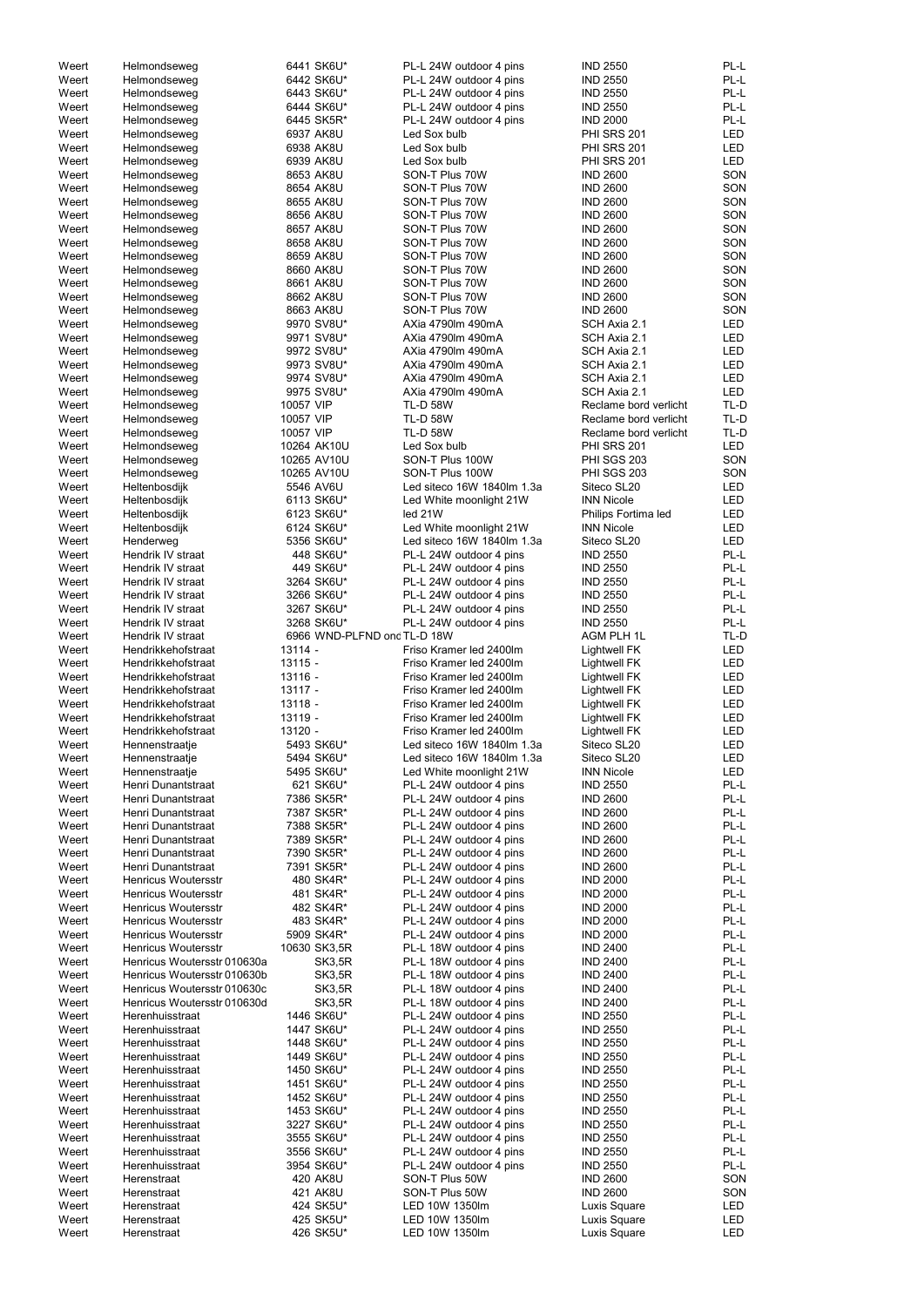| Weert | Helmondseweg                             | 6441 SK6U*                  | PL-L 24W outdoor 4 pins    | <b>IND 2550</b>              | PL-L         |
|-------|------------------------------------------|-----------------------------|----------------------------|------------------------------|--------------|
| Weert | Helmondseweg                             | 6442 SK6U*                  | PL-L 24W outdoor 4 pins    | <b>IND 2550</b>              | PL-L         |
| Weert | Helmondseweg                             | 6443 SK6U*                  | PL-L 24W outdoor 4 pins    | <b>IND 2550</b>              | PL-L         |
| Weert | Helmondseweg                             | 6444 SK6U*                  | PL-L 24W outdoor 4 pins    | <b>IND 2550</b>              | PL-L         |
| Weert | Helmondseweg                             | 6445 SK5R*                  | PL-L 24W outdoor 4 pins    | <b>IND 2000</b>              | PL-L         |
| Weert | Helmondseweg                             | 6937 AK8U                   | Led Sox bulb               | <b>PHI SRS 201</b>           | <b>LED</b>   |
| Weert | Helmondseweg                             | 6938 AK8U                   | Led Sox bulb               | PHI SRS 201                  | LED          |
| Weert | Helmondseweg                             | 6939 AK8U                   | Led Sox bulb               | PHI SRS 201                  | LED          |
| Weert | Helmondseweg                             | 8653 AK8U                   | SON-T Plus 70W             | <b>IND 2600</b>              | SON          |
| Weert | Helmondseweg                             | 8654 AK8U                   | SON-T Plus 70W             | <b>IND 2600</b>              | SON          |
| Weert | Helmondseweg                             | 8655 AK8U                   | SON-T Plus 70W             | <b>IND 2600</b>              | SON          |
| Weert | Helmondseweg                             | 8656 AK8U                   | SON-T Plus 70W             | <b>IND 2600</b>              | SON          |
| Weert | Helmondseweg                             | 8657 AK8U                   | SON-T Plus 70W             | <b>IND 2600</b>              | SON          |
| Weert | Helmondseweg                             | 8658 AK8U                   | SON-T Plus 70W             | <b>IND 2600</b>              | SON          |
| Weert | Helmondseweg                             | 8659 AK8U                   | SON-T Plus 70W             | <b>IND 2600</b>              | SON          |
| Weert | Helmondseweg                             | 8660 AK8U                   | SON-T Plus 70W             | <b>IND 2600</b>              | SON          |
| Weert | Helmondseweg                             | 8661 AK8U                   | SON-T Plus 70W             | <b>IND 2600</b>              | SON          |
| Weert | Helmondseweg                             | 8662 AK8U                   | SON-T Plus 70W             | <b>IND 2600</b>              | SON          |
| Weert |                                          | 8663 AK8U                   | SON-T Plus 70W             | <b>IND 2600</b>              | SON          |
| Weert | Helmondseweg                             | 9970 SV8U*                  | AXia 4790lm 490mA          | SCH Axia 2.1                 | LED          |
|       | Helmondseweg                             | 9971 SV8U*                  | AXia 4790lm 490mA          |                              | <b>LED</b>   |
| Weert | Helmondseweg                             |                             |                            | SCH Axia 2.1<br>SCH Axia 2.1 |              |
| Weert | Helmondseweg                             | 9972 SV8U*                  | AXia 4790lm 490mA          |                              | <b>LED</b>   |
| Weert | Helmondseweg                             | 9973 SV8U*                  | AXia 4790lm 490mA          | SCH Axia 2.1                 | LED          |
| Weert | Helmondseweg                             | 9974 SV8U*                  | AXia 4790lm 490mA          | SCH Axia 2.1                 | <b>LED</b>   |
| Weert | Helmondseweg                             | 9975 SV8U*                  | AXia 4790lm 490mA          | SCH Axia 2.1                 | <b>LED</b>   |
| Weert | Helmondseweg                             | 10057 VIP                   | <b>TL-D 58W</b>            | Reclame bord verlicht        | TL-D         |
| Weert | Helmondseweg                             | 10057 VIP                   | <b>TL-D 58W</b>            | Reclame bord verlicht        | TL-D         |
| Weert | Helmondseweg                             | 10057 VIP                   | <b>TL-D 58W</b>            | Reclame bord verlicht        | TL-D         |
| Weert | Helmondseweg                             | 10264 AK10U                 | Led Sox bulb               | <b>PHI SRS 201</b>           | <b>LED</b>   |
| Weert | Helmondseweg                             | 10265 AV10U                 | SON-T Plus 100W            | <b>PHI SGS 203</b>           | SON          |
| Weert | Helmondseweg                             | 10265 AV10U                 | SON-T Plus 100W            | <b>PHI SGS 203</b>           | SON          |
| Weert | Heltenbosdijk                            | 5546 AV6U                   | Led siteco 16W 1840lm 1.3a | Siteco SL20                  | LED          |
| Weert | Heltenbosdijk                            | 6113 SK6U*                  | Led White moonlight 21W    | <b>INN Nicole</b>            | LED          |
| Weert | Heltenbosdijk                            | 6123 SK6U*                  | led 21W                    | Philips Fortima led          | <b>LED</b>   |
| Weert | Heltenbosdijk                            | 6124 SK6U*                  | Led White moonlight 21W    | <b>INN Nicole</b>            | <b>LED</b>   |
| Weert | Henderweg                                | 5356 SK6U*                  | Led siteco 16W 1840lm 1.3a | Siteco SL20                  | <b>LED</b>   |
| Weert | Hendrik IV straat                        | 448 SK6U*                   | PL-L 24W outdoor 4 pins    | <b>IND 2550</b>              | PL-L         |
| Weert | Hendrik IV straat                        | 449 SK6U*                   | PL-L 24W outdoor 4 pins    | <b>IND 2550</b>              | PL-L         |
| Weert | Hendrik IV straat                        | 3264 SK6U*                  | PL-L 24W outdoor 4 pins    | <b>IND 2550</b>              | PL-L         |
| Weert | Hendrik IV straat                        | 3266 SK6U*                  | PL-L 24W outdoor 4 pins    | <b>IND 2550</b>              | PL-L         |
| Weert | Hendrik IV straat                        | 3267 SK6U*                  | PL-L 24W outdoor 4 pins    | <b>IND 2550</b>              | PL-L         |
| Weert | Hendrik IV straat                        | 3268 SK6U*                  | PL-L 24W outdoor 4 pins    | <b>IND 2550</b>              | PL-L         |
| Weert | Hendrik IV straat                        | 6966 WND-PLFND ond TL-D 18W |                            | AGM PLH 1L                   | TL-D         |
| Weert | Hendrikkehofstraat                       | 13114 -                     | Friso Kramer led 2400lm    | Lightwell FK                 | <b>LED</b>   |
| Weert | Hendrikkehofstraat                       | $13115 -$                   | Friso Kramer led 2400lm    | Lightwell FK                 | LED          |
| Weert | Hendrikkehofstraat                       | $13116 -$                   | Friso Kramer led 2400lm    | Lightwell FK                 | LED          |
| Weert | Hendrikkehofstraat                       | $13117 -$                   | Friso Kramer led 2400lm    | Lightwell FK                 | LED          |
| Weert | Hendrikkehofstraat                       | $13118 -$                   | Friso Kramer led 2400lm    | Lightwell FK                 | <b>LED</b>   |
| Weert | Hendrikkehofstraat                       | 13119 -                     | Friso Kramer led 2400lm    | Lightwell FK                 | <b>LED</b>   |
| Weert | Hendrikkehofstraat                       | $13120 -$                   | Friso Kramer led 2400lm    | <b>Lightwell FK</b>          | LED          |
| Weert | Hennenstraatje                           | 5493 SK6U*                  | Led siteco 16W 1840lm 1.3a | Siteco SL20                  | <b>LED</b>   |
| Weert | Hennenstraatje                           | 5494 SK6U*                  | Led siteco 16W 1840lm 1.3a | Siteco SL20                  | LED          |
| Weert | Hennenstraatje                           | 5495 SK6U*                  | Led White moonlight 21W    | <b>INN Nicole</b>            | <b>LED</b>   |
| Weert | Henri Dunantstraat                       | 621 SK6U*                   | PL-L 24W outdoor 4 pins    | <b>IND 2550</b>              | PL-L         |
| Weert | Henri Dunantstraat                       | 7386 SK5R*                  | PL-L 24W outdoor 4 pins    | <b>IND 2600</b>              | PL-L         |
|       | Henri Dunantstraat                       |                             |                            | <b>IND 2600</b>              | PL-L         |
| Weert |                                          | 7387 SK5R*<br>7388 SK5R*    | PL-L 24W outdoor 4 pins    | <b>IND 2600</b>              | PL-L         |
| Weert | Henri Dunantstraat                       |                             | PL-L 24W outdoor 4 pins    |                              | PL-L         |
| Weert | Henri Dunantstraat                       | 7389 SK5R*                  | PL-L 24W outdoor 4 pins    | <b>IND 2600</b>              |              |
| Weert | Henri Dunantstraat<br>Henri Dunantstraat | 7390 SK5R*                  | PL-L 24W outdoor 4 pins    | <b>IND 2600</b>              | PL-L<br>PL-L |
| Weert |                                          | 7391 SK5R*                  | PL-L 24W outdoor 4 pins    | <b>IND 2600</b>              |              |
| Weert | <b>Henricus Woutersstr</b>               | 480 SK4R*                   | PL-L 24W outdoor 4 pins    | <b>IND 2000</b>              | PL-L         |
| Weert | Henricus Woutersstr                      | 481 SK4R*                   | PL-L 24W outdoor 4 pins    | <b>IND 2000</b>              | PL-L         |
| Weert | Henricus Woutersstr                      | 482 SK4R*                   | PL-L 24W outdoor 4 pins    | <b>IND 2000</b>              | PL-L         |
| Weert | <b>Henricus Woutersstr</b>               | 483 SK4R*                   | PL-L 24W outdoor 4 pins    | <b>IND 2000</b>              | PL-L         |
| Weert | <b>Henricus Woutersstr</b>               | 5909 SK4R*                  | PL-L 24W outdoor 4 pins    | <b>IND 2000</b>              | PL-L         |
| Weert | <b>Henricus Woutersstr</b>               | 10630 SK3,5R                | PL-L 18W outdoor 4 pins    | <b>IND 2400</b>              | PL-L         |
| Weert | Henricus Woutersstr 010630a              | <b>SK3,5R</b>               | PL-L 18W outdoor 4 pins    | <b>IND 2400</b>              | PL-L         |
| Weert | Henricus Woutersstr 010630b              | <b>SK3,5R</b>               | PL-L 18W outdoor 4 pins    | <b>IND 2400</b>              | PL-L         |
| Weert | Henricus Woutersstr 010630c              | <b>SK3,5R</b>               | PL-L 18W outdoor 4 pins    | <b>IND 2400</b>              | PL-L         |
| Weert | Henricus Woutersstr 010630d              | <b>SK3,5R</b>               | PL-L 18W outdoor 4 pins    | <b>IND 2400</b>              | PL-L         |
| Weert | Herenhuisstraat                          | 1446 SK6U*                  | PL-L 24W outdoor 4 pins    | <b>IND 2550</b>              | PL-L         |
| Weert | Herenhuisstraat                          | 1447 SK6U*                  | PL-L 24W outdoor 4 pins    | <b>IND 2550</b>              | PL-L         |
| Weert | Herenhuisstraat                          | 1448 SK6U*                  | PL-L 24W outdoor 4 pins    | <b>IND 2550</b>              | PL-L         |
| Weert | Herenhuisstraat                          | 1449 SK6U*                  | PL-L 24W outdoor 4 pins    | <b>IND 2550</b>              | PL-L         |
| Weert | Herenhuisstraat                          | 1450 SK6U*                  | PL-L 24W outdoor 4 pins    | <b>IND 2550</b>              | PL-L         |
| Weert | Herenhuisstraat                          | 1451 SK6U*                  | PL-L 24W outdoor 4 pins    | <b>IND 2550</b>              | PL-L         |
| Weert | Herenhuisstraat                          | 1452 SK6U*                  | PL-L 24W outdoor 4 pins    | <b>IND 2550</b>              | PL-L         |
| Weert | Herenhuisstraat                          | 1453 SK6U*                  | PL-L 24W outdoor 4 pins    | <b>IND 2550</b>              | PL-L         |
| Weert | Herenhuisstraat                          | 3227 SK6U*                  | PL-L 24W outdoor 4 pins    | <b>IND 2550</b>              | PL-L         |
| Weert | Herenhuisstraat                          | 3555 SK6U*                  | PL-L 24W outdoor 4 pins    | <b>IND 2550</b>              | PL-L         |
| Weert | Herenhuisstraat                          | 3556 SK6U*                  | PL-L 24W outdoor 4 pins    | <b>IND 2550</b>              | PL-L         |
| Weert | Herenhuisstraat                          | 3954 SK6U*                  | PL-L 24W outdoor 4 pins    | <b>IND 2550</b>              | PL-L         |
| Weert | Herenstraat                              | 420 AK8U                    | SON-T Plus 50W             | <b>IND 2600</b>              | SON          |
| Weert | Herenstraat                              | 421 AK8U                    | SON-T Plus 50W             | <b>IND 2600</b>              | SON          |
| Weert | Herenstraat                              | 424 SK5U*                   | LED 10W 1350lm             | Luxis Square                 | LED          |
| Weert | Herenstraat                              | 425 SK5U*                   | LED 10W 1350lm             | Luxis Square                 | LED          |
| Weert | Herenstraat                              | 426 SK5U*                   | LED 10W 1350lm             | Luxis Square                 | LED          |
|       |                                          |                             |                            |                              |              |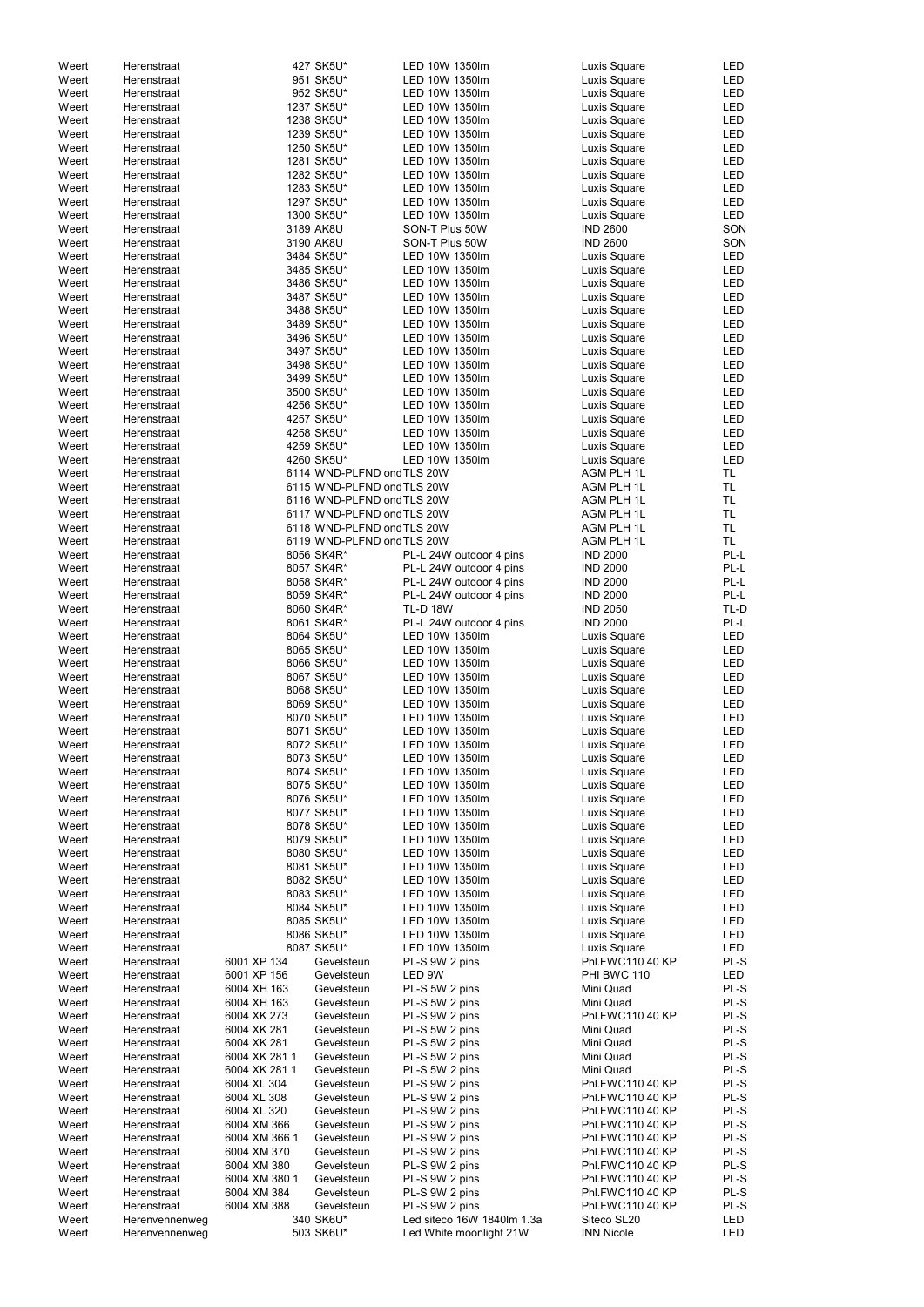| Weert | Herenstraat    |               | 427 SK5U*                  | LED 10W 1350lm             | Luxis Square      | LED        |
|-------|----------------|---------------|----------------------------|----------------------------|-------------------|------------|
| Weert | Herenstraat    |               | 951 SK5U*                  | LED 10W 1350lm             | Luxis Square      | LED        |
| Weert | Herenstraat    |               | 952 SK5U*                  | LED 10W 1350lm             | Luxis Square      | LED        |
| Weert | Herenstraat    |               | 1237 SK5U*                 | LED 10W 1350lm             | Luxis Square      | LED        |
| Weert | Herenstraat    |               | 1238 SK5U*                 | LED 10W 1350lm             | Luxis Square      | <b>LED</b> |
|       |                |               | 1239 SK5U*                 | LED 10W 1350lm             | Luxis Square      | LED        |
| Weert | Herenstraat    |               |                            |                            |                   |            |
| Weert | Herenstraat    |               | 1250 SK5U*                 | LED 10W 1350lm             | Luxis Square      | LED        |
| Weert | Herenstraat    |               | 1281 SK5U*                 | LED 10W 1350lm             | Luxis Square      | LED        |
| Weert | Herenstraat    |               | 1282 SK5U*                 | LED 10W 1350lm             | Luxis Square      | LED        |
| Weert | Herenstraat    |               | 1283 SK5U*                 | LED 10W 1350lm             | Luxis Square      | LED        |
| Weert | Herenstraat    |               | 1297 SK5U*                 | LED 10W 1350lm             | Luxis Square      | LED        |
| Weert | Herenstraat    |               | 1300 SK5U*                 | LED 10W 1350lm             | Luxis Square      | LED        |
|       |                |               |                            |                            |                   |            |
| Weert | Herenstraat    |               | 3189 AK8U                  | SON-T Plus 50W             | <b>IND 2600</b>   | SON        |
| Weert | Herenstraat    |               | 3190 AK8U                  | SON-T Plus 50W             | <b>IND 2600</b>   | SON        |
| Weert | Herenstraat    |               | 3484 SK5U*                 | LED 10W 1350lm             | Luxis Square      | LED        |
| Weert | Herenstraat    |               | 3485 SK5U*                 | LED 10W 1350lm             | Luxis Square      | LED        |
| Weert | Herenstraat    |               | 3486 SK5U*                 | LED 10W 1350lm             | Luxis Square      | LED        |
| Weert | Herenstraat    |               | 3487 SK5U*                 | LED 10W 1350lm             | Luxis Square      | LED        |
|       | Herenstraat    |               | 3488 SK5U*                 | LED 10W 1350lm             |                   | LED        |
| Weert |                |               |                            |                            | Luxis Square      |            |
| Weert | Herenstraat    |               | 3489 SK5U*                 | LED 10W 1350lm             | Luxis Square      | LED        |
| Weert | Herenstraat    |               | 3496 SK5U*                 | LED 10W 1350lm             | Luxis Square      | LED        |
| Weert | Herenstraat    |               | 3497 SK5U*                 | LED 10W 1350lm             | Luxis Square      | LED        |
| Weert | Herenstraat    |               | 3498 SK5U*                 | LED 10W 1350lm             | Luxis Square      | LED        |
| Weert | Herenstraat    |               | 3499 SK5U*                 | LED 10W 1350lm             | Luxis Square      | LED        |
| Weert | Herenstraat    |               | 3500 SK5U*                 | LED 10W 1350lm             | Luxis Square      | LED        |
|       |                |               |                            |                            |                   |            |
| Weert | Herenstraat    |               | 4256 SK5U*                 | LED 10W 1350lm             | Luxis Square      | LED        |
| Weert | Herenstraat    |               | 4257 SK5U*                 | LED 10W 1350lm             | Luxis Square      | LED        |
| Weert | Herenstraat    |               | 4258 SK5U*                 | LED 10W 1350lm             | Luxis Square      | LED        |
| Weert | Herenstraat    |               | 4259 SK5U*                 | LED 10W 1350lm             | Luxis Square      | LED        |
| Weert | Herenstraat    |               | 4260 SK5U*                 | LED 10W 1350lm             | Luxis Square      | LED        |
| Weert | Herenstraat    |               | 6114 WND-PLFND ond TLS 20W |                            | <b>AGM PLH 1L</b> | <b>TL</b>  |
| Weert | Herenstraat    |               | 6115 WND-PLFND ond TLS 20W |                            | <b>AGM PLH 1L</b> | <b>TL</b>  |
|       |                |               |                            |                            |                   |            |
| Weert | Herenstraat    |               | 6116 WND-PLFND ond TLS 20W |                            | AGM PLH 1L        | TL         |
| Weert | Herenstraat    |               | 6117 WND-PLFND ond TLS 20W |                            | AGM PLH 1L        | TL         |
| Weert | Herenstraat    |               | 6118 WND-PLFND ond TLS 20W |                            | AGM PLH 1L        | <b>TL</b>  |
| Weert | Herenstraat    |               | 6119 WND-PLFND ond TLS 20W |                            | <b>AGM PLH 1L</b> | <b>TL</b>  |
| Weert | Herenstraat    |               | 8056 SK4R*                 | PL-L 24W outdoor 4 pins    | <b>IND 2000</b>   | PL-L       |
| Weert | Herenstraat    |               | 8057 SK4R*                 | PL-L 24W outdoor 4 pins    | <b>IND 2000</b>   | PL-L       |
|       |                |               |                            |                            |                   |            |
| Weert | Herenstraat    |               | 8058 SK4R*                 | PL-L 24W outdoor 4 pins    | <b>IND 2000</b>   | PL-L       |
| Weert | Herenstraat    |               | 8059 SK4R*                 | PL-L 24W outdoor 4 pins    | <b>IND 2000</b>   | PL-L       |
| Weert | Herenstraat    |               | 8060 SK4R*                 | <b>TL-D 18W</b>            | <b>IND 2050</b>   | TL-D       |
| Weert | Herenstraat    |               | 8061 SK4R*                 | PL-L 24W outdoor 4 pins    | <b>IND 2000</b>   | PL-L       |
| Weert | Herenstraat    |               | 8064 SK5U*                 | LED 10W 1350lm             | Luxis Square      | LED        |
| Weert | Herenstraat    |               | 8065 SK5U*                 | LED 10W 1350lm             | Luxis Square      | LED        |
|       |                |               |                            |                            |                   |            |
| Weert | Herenstraat    |               | 8066 SK5U*                 | LED 10W 1350lm             | Luxis Square      | LED        |
| Weert | Herenstraat    |               | 8067 SK5U*                 | LED 10W 1350lm             | Luxis Square      | LED        |
| Weert | Herenstraat    |               | 8068 SK5U*                 | LED 10W 1350lm             | Luxis Square      | LED        |
| Weert | Herenstraat    |               | 8069 SK5U*                 | LED 10W 1350lm             | Luxis Square      | LED        |
| Weert | Herenstraat    |               | 8070 SK5U*                 | LED 10W 1350lm             | Luxis Square      | <b>LED</b> |
| Weert | Herenstraat    |               | 8071 SK5U*                 | LED 10W 1350lm             | Luxis Square      | LED        |
|       |                |               |                            |                            |                   |            |
| Weert | Herenstraat    |               | 8072 SK5U*                 | LED 10W 1350lm             | Luxis Square      | LED        |
| Weert | Herenstraat    |               | 8073 SK5U*                 | LED 10W 1350lm             | Luxis Square      | LED        |
| Weert | Herenstraat    |               | 8074 SK5U*                 | LED 10W 1350lm             | Luxis Square      | LED        |
| Weert | Herenstraat    |               | 8075 SK5U*                 | LED 10W 1350lm             | Luxis Square      | LED        |
| Weert | Herenstraat    |               | 8076 SK5U*                 | LED 10W 1350lm             | Luxis Square      | LED        |
| Weert | Herenstraat    |               | 8077 SK5U*                 | LED 10W 1350lm             | Luxis Square      | LED        |
| Weert | Herenstraat    |               | 8078 SK5U*                 | LED 10W 1350lm             |                   | LED        |
|       |                |               |                            |                            | Luxis Square      |            |
| Weert | Herenstraat    |               | 8079 SK5U*                 | LED 10W 1350lm             | Luxis Square      | LED        |
| Weert | Herenstraat    |               | 8080 SK5U*                 | LED 10W 1350lm             | Luxis Square      | LED        |
| Weert | Herenstraat    |               | 8081 SK5U*                 | LED 10W 1350lm             | Luxis Square      | LED        |
| Weert | Herenstraat    |               | 8082 SK5U*                 | LED 10W 1350lm             | Luxis Square      | LED        |
| Weert | Herenstraat    |               | 8083 SK5U*                 | LED 10W 1350lm             | Luxis Square      | LED        |
| Weert | Herenstraat    |               | 8084 SK5U*                 | LED 10W 1350lm             | Luxis Square      | LED        |
|       |                |               |                            | LED 10W 1350lm             |                   |            |
| Weert | Herenstraat    |               | 8085 SK5U*                 |                            | Luxis Square      | <b>LED</b> |
| Weert | Herenstraat    |               | 8086 SK5U*                 | LED 10W 1350lm             | Luxis Square      | <b>LED</b> |
| Weert | Herenstraat    |               | 8087 SK5U*                 | LED 10W 1350lm             | Luxis Square      | LED        |
| Weert | Herenstraat    | 6001 XP 134   | Gevelsteun                 | PL-S 9W 2 pins             | Phl.FWC110 40 KP  | PL-S       |
| Weert | Herenstraat    | 6001 XP 156   | Gevelsteun                 | LED 9W                     | PHI BWC 110       | <b>LED</b> |
| Weert | Herenstraat    | 6004 XH 163   | Gevelsteun                 | PL-S 5W 2 pins             | Mini Quad         | PL-S       |
| Weert | Herenstraat    | 6004 XH 163   | Gevelsteun                 | PL-S 5W 2 pins             | Mini Quad         | PL-S       |
|       |                |               |                            |                            |                   |            |
| Weert | Herenstraat    | 6004 XK 273   | Gevelsteun                 | PL-S 9W 2 pins             | Phl.FWC110 40 KP  | PL-S       |
| Weert | Herenstraat    | 6004 XK 281   | Gevelsteun                 | PL-S 5W 2 pins             | Mini Quad         | PL-S       |
| Weert | Herenstraat    | 6004 XK 281   | Gevelsteun                 | PL-S 5W 2 pins             | Mini Quad         | $PL-S$     |
| Weert | Herenstraat    | 6004 XK 281 1 | Gevelsteun                 | PL-S 5W 2 pins             | Mini Quad         | PL-S       |
| Weert | Herenstraat    | 6004 XK 281 1 | Gevelsteun                 | PL-S 5W 2 pins             | Mini Quad         | PL-S       |
| Weert | Herenstraat    | 6004 XL 304   | Gevelsteun                 | PL-S 9W 2 pins             | Phl.FWC110 40 KP  | PL-S       |
|       |                |               |                            |                            |                   |            |
| Weert | Herenstraat    | 6004 XL 308   | Gevelsteun                 | PL-S 9W 2 pins             | Phl.FWC110 40 KP  | PL-S       |
| Weert | Herenstraat    | 6004 XL 320   | Gevelsteun                 | PL-S 9W 2 pins             | Phl.FWC110 40 KP  | PL-S       |
| Weert | Herenstraat    | 6004 XM 366   | Gevelsteun                 | PL-S 9W 2 pins             | Phl.FWC110 40 KP  | PL-S       |
| Weert | Herenstraat    | 6004 XM 366 1 | Gevelsteun                 | PL-S 9W 2 pins             | Phl.FWC110 40 KP  | PL-S       |
| Weert | Herenstraat    | 6004 XM 370   | Gevelsteun                 | PL-S 9W 2 pins             | Phl.FWC110 40 KP  | PL-S       |
| Weert | Herenstraat    | 6004 XM 380   | Gevelsteun                 | PL-S 9W 2 pins             | Phl.FWC110 40 KP  | PL-S       |
|       |                |               |                            |                            |                   |            |
| Weert | Herenstraat    | 6004 XM 380 1 | Gevelsteun                 | PL-S 9W 2 pins             | Phl.FWC110 40 KP  | PL-S       |
| Weert | Herenstraat    | 6004 XM 384   | Gevelsteun                 | PL-S 9W 2 pins             | Phl.FWC110 40 KP  | PL-S       |
| Weert | Herenstraat    | 6004 XM 388   | Gevelsteun                 | PL-S 9W 2 pins             | Phl.FWC110 40 KP  | PL-S       |
| Weert | Herenvennenweg |               | 340 SK6U*                  | Led siteco 16W 1840lm 1.3a | Siteco SL20       | LED        |
| Weert | Herenvennenweg |               | 503 SK6U*                  | Led White moonlight 21W    | <b>INN Nicole</b> | LED        |
|       |                |               |                            |                            |                   |            |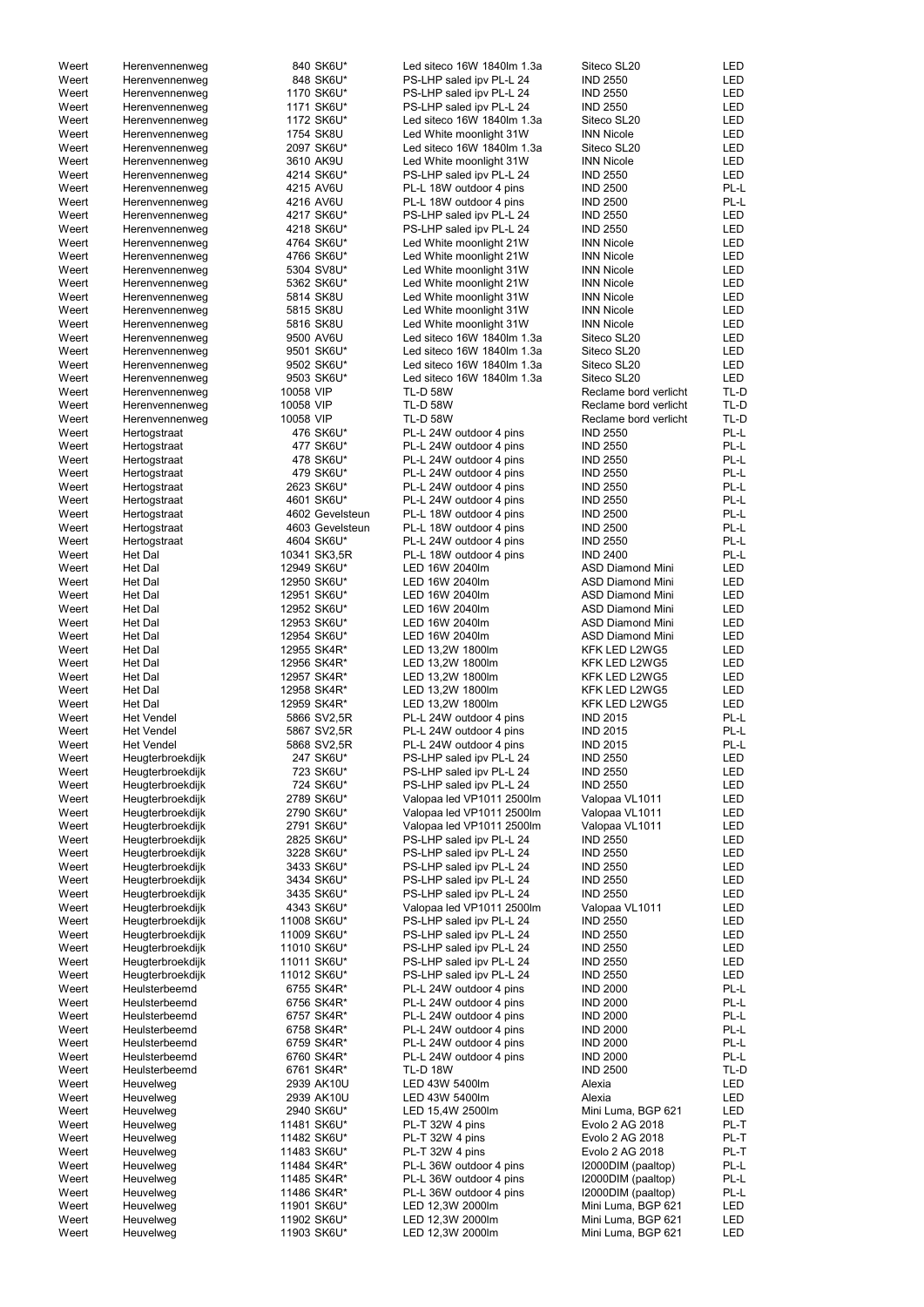| Weert | Herenvennenweg    | 840 SK6U*       | Led siteco 16W 1840lm 1.3a | Siteco SL20             | LED        |
|-------|-------------------|-----------------|----------------------------|-------------------------|------------|
|       |                   |                 |                            |                         |            |
| Weert | Herenvennenweg    | 848 SK6U*       | PS-LHP saled ipv PL-L 24   | <b>IND 2550</b>         | LED        |
| Weert | Herenvennenweg    | 1170 SK6U*      | PS-LHP saled ipv PL-L 24   | <b>IND 2550</b>         | <b>LED</b> |
| Weert | Herenvennenweg    | 1171 SK6U*      | PS-LHP saled ipv PL-L 24   | <b>IND 2550</b>         | <b>LED</b> |
| Weert | Herenvennenweg    | 1172 SK6U*      | Led siteco 16W 1840lm 1.3a | Siteco SL20             | <b>LED</b> |
| Weert | Herenvennenweg    | 1754 SK8U       | Led White moonlight 31W    | <b>INN Nicole</b>       | <b>LED</b> |
| Weert | Herenvennenweg    | 2097 SK6U*      | Led siteco 16W 1840lm 1.3a | Siteco SL20             | LED        |
| Weert | Herenvennenweg    | 3610 AK9U       | Led White moonlight 31W    | <b>INN Nicole</b>       | LED        |
| Weert |                   | 4214 SK6U*      | PS-LHP saled ipv PL-L 24   |                         | <b>LED</b> |
|       | Herenvennenweg    |                 |                            | <b>IND 2550</b>         |            |
| Weert | Herenvennenweg    | 4215 AV6U       | PL-L 18W outdoor 4 pins    | <b>IND 2500</b>         | PL-L       |
| Weert | Herenvennenweg    | 4216 AV6U       | PL-L 18W outdoor 4 pins    | <b>IND 2500</b>         | PL-L       |
| Weert | Herenvennenweg    | 4217 SK6U*      | PS-LHP saled ipv PL-L 24   | <b>IND 2550</b>         | LED        |
| Weert | Herenvennenweg    | 4218 SK6U*      | PS-LHP saled ipv PL-L 24   | <b>IND 2550</b>         | <b>LED</b> |
| Weert | Herenvennenweg    | 4764 SK6U*      | Led White moonlight 21W    | <b>INN Nicole</b>       | <b>LED</b> |
| Weert | Herenvennenweg    | 4766 SK6U*      | Led White moonlight 21W    | <b>INN Nicole</b>       | <b>LED</b> |
|       |                   |                 |                            |                         |            |
| Weert | Herenvennenweg    | 5304 SV8U*      | Led White moonlight 31W    | <b>INN Nicole</b>       | <b>LED</b> |
| Weert | Herenvennenweg    | 5362 SK6U*      | Led White moonlight 21W    | <b>INN Nicole</b>       | LED        |
| Weert | Herenvennenweg    | 5814 SK8U       | Led White moonlight 31W    | <b>INN Nicole</b>       | <b>LED</b> |
| Weert | Herenvennenweg    | 5815 SK8U       | Led White moonlight 31W    | <b>INN Nicole</b>       | LED        |
| Weert | Herenvennenweg    | 5816 SK8U       | Led White moonlight 31W    | <b>INN Nicole</b>       | <b>LED</b> |
| Weert | Herenvennenweg    | 9500 AV6U       | Led siteco 16W 1840lm 1.3a | Siteco SL20             | LED        |
| Weert | Herenvennenweg    | 9501 SK6U*      | Led siteco 16W 1840lm 1.3a | Siteco SL20             | LED        |
|       |                   |                 |                            |                         |            |
| Weert | Herenvennenweg    | 9502 SK6U*      | Led siteco 16W 1840lm 1.3a | Siteco SL20             | LED        |
| Weert | Herenvennenweg    | 9503 SK6U*      | Led siteco 16W 1840lm 1.3a | Siteco SL20             | LED        |
| Weert | Herenvennenweg    | 10058 VIP       | <b>TL-D 58W</b>            | Reclame bord verlicht   | TL-D       |
| Weert | Herenvennenweg    | 10058 VIP       | <b>TL-D 58W</b>            | Reclame bord verlicht   | TL-D       |
| Weert | Herenvennenweg    | 10058 VIP       | <b>TL-D 58W</b>            | Reclame bord verlicht   | TL-D       |
| Weert | Hertogstraat      | 476 SK6U*       | PL-L 24W outdoor 4 pins    | <b>IND 2550</b>         | PL-L       |
| Weert | Hertogstraat      | 477 SK6U*       | PL-L 24W outdoor 4 pins    | <b>IND 2550</b>         | PL-L       |
|       |                   |                 |                            |                         |            |
| Weert | Hertogstraat      | 478 SK6U*       | PL-L 24W outdoor 4 pins    | <b>IND 2550</b>         | PL-L       |
| Weert | Hertogstraat      | 479 SK6U*       | PL-L 24W outdoor 4 pins    | <b>IND 2550</b>         | PL-L       |
| Weert | Hertogstraat      | 2623 SK6U*      | PL-L 24W outdoor 4 pins    | <b>IND 2550</b>         | PL-L       |
| Weert | Hertogstraat      | 4601 SK6U*      | PL-L 24W outdoor 4 pins    | <b>IND 2550</b>         | PL-L       |
| Weert | Hertogstraat      | 4602 Gevelsteun | PL-L 18W outdoor 4 pins    | <b>IND 2500</b>         | PL-L       |
| Weert | Hertogstraat      | 4603 Gevelsteun | PL-L 18W outdoor 4 pins    | <b>IND 2500</b>         | PL-L       |
|       |                   |                 |                            |                         |            |
| Weert | Hertogstraat      | 4604 SK6U*      | PL-L 24W outdoor 4 pins    | <b>IND 2550</b>         | PL-L       |
| Weert | Het Dal           | 10341 SK3,5R    | PL-L 18W outdoor 4 pins    | <b>IND 2400</b>         | PL-L       |
| Weert | Het Dal           | 12949 SK6U*     | LED 16W 2040lm             | <b>ASD Diamond Mini</b> | LED        |
| Weert | Het Dal           | 12950 SK6U*     | LED 16W 2040lm             | <b>ASD Diamond Mini</b> | LED        |
| Weert | Het Dal           | 12951 SK6U*     | LED 16W 2040lm             | <b>ASD Diamond Mini</b> | LED        |
| Weert | <b>Het Dal</b>    | 12952 SK6U*     | LED 16W 2040lm             | <b>ASD Diamond Mini</b> | LED        |
|       |                   |                 |                            |                         |            |
| Weert | Het Dal           | 12953 SK6U*     | LED 16W 2040lm             | <b>ASD Diamond Mini</b> | LED        |
| Weert | Het Dal           | 12954 SK6U*     | LED 16W 2040lm             | <b>ASD Diamond Mini</b> | LED        |
| Weert | Het Dal           | 12955 SK4R*     | LED 13,2W 1800lm           | KFK LED L2WG5           | LED        |
| Weert | Het Dal           | 12956 SK4R*     | LED 13,2W 1800lm           | KFK LED L2WG5           | LED        |
| Weert | Het Dal           | 12957 SK4R*     | LED 13,2W 1800lm           | KFK LED L2WG5           | LED        |
| Weert | <b>Het Dal</b>    | 12958 SK4R*     | LED 13,2W 1800lm           | KFK LED L2WG5           | <b>LED</b> |
|       |                   |                 |                            |                         |            |
| Weert | <b>Het Dal</b>    | 12959 SK4R*     | LED 13,2W 1800lm           | KFK LED L2WG5           | <b>LED</b> |
| Weert | <b>Het Vendel</b> | 5866 SV2,5R     | PL-L 24W outdoor 4 pins    | <b>IND 2015</b>         | PL-L       |
| Weert | <b>Het Vendel</b> | 5867 SV2,5R     | PL-L 24W outdoor 4 pins    | <b>IND 2015</b>         | PL-L       |
| Weert | <b>Het Vendel</b> | 5868 SV2,5R     | PL-L 24W outdoor 4 pins    | <b>IND 2015</b>         | PL-L       |
| Weert | Heugterbroekdijk  | 247 SK6U*       | PS-LHP saled ipv PL-L 24   | <b>IND 2550</b>         | LED        |
| Weert | Heugterbroekdijk  | 723 SK6U*       | PS-LHP saled ipv PL-L 24   | <b>IND 2550</b>         | LED        |
| Weert | Heugterbroekdijk  | 724 SK6U*       | PS-LHP saled ipv PL-L 24   | <b>IND 2550</b>         | LED        |
|       |                   |                 |                            |                         |            |
| Weert | Heugterbroekdijk  | 2789 SK6U*      | Valopaa led VP1011 2500lm  | Valopaa VL1011          | LED        |
| Weert | Heugterbroekdijk  | 2790 SK6U*      | Valopaa led VP1011 2500lm  | Valopaa VL1011          | LED        |
| Weert | Heugterbroekdijk  | 2791 SK6U*      | Valopaa led VP1011 2500lm  | Valopaa VL1011          | LED        |
| Weert | Heugterbroekdijk  | 2825 SK6U*      | PS-LHP saled ipv PL-L 24   | <b>IND 2550</b>         | LED        |
| Weert | Heugterbroekdijk  | 3228 SK6U*      | PS-LHP saled ipv PL-L 24   | <b>IND 2550</b>         | LED        |
| Weert | Heugterbroekdijk  | 3433 SK6U*      | PS-LHP saled ipv PL-L 24   | <b>IND 2550</b>         | LED        |
|       |                   |                 |                            |                         |            |
| Weert | Heugterbroekdijk  | 3434 SK6U*      | PS-LHP saled ipv PL-L 24   | <b>IND 2550</b>         | LED        |
| Weert | Heugterbroekdijk  | 3435 SK6U*      | PS-LHP saled ipv PL-L 24   | <b>IND 2550</b>         | LED        |
| Weert | Heugterbroekdijk  | 4343 SK6U*      | Valopaa led VP1011 2500lm  | Valopaa VL1011          | LED        |
| Weert | Heugterbroekdijk  | 11008 SK6U*     | PS-LHP saled ipv PL-L 24   | <b>IND 2550</b>         | LED        |
| Weert | Heugterbroekdijk  | 11009 SK6U*     | PS-LHP saled ipv PL-L 24   | <b>IND 2550</b>         | LED        |
| Weert | Heugterbroekdijk  | 11010 SK6U*     | PS-LHP saled ipv PL-L 24   | <b>IND 2550</b>         | LED        |
| Weert | Heugterbroekdijk  | 11011 SK6U*     | PS-LHP saled ipv PL-L 24   | <b>IND 2550</b>         | LED        |
| Weert | Heugterbroekdijk  | 11012 SK6U*     |                            | <b>IND 2550</b>         | LED        |
|       |                   |                 | PS-LHP saled ipv PL-L 24   |                         |            |
| Weert | Heulsterbeemd     | 6755 SK4R*      | PL-L 24W outdoor 4 pins    | <b>IND 2000</b>         | PL-L       |
| Weert | Heulsterbeemd     | 6756 SK4R*      | PL-L 24W outdoor 4 pins    | <b>IND 2000</b>         | PL-L       |
| Weert | Heulsterbeemd     | 6757 SK4R*      | PL-L 24W outdoor 4 pins    | <b>IND 2000</b>         | PL-L       |
| Weert | Heulsterbeemd     | 6758 SK4R*      | PL-L 24W outdoor 4 pins    | <b>IND 2000</b>         | PL-L       |
| Weert | Heulsterbeemd     | 6759 SK4R*      | PL-L 24W outdoor 4 pins    | <b>IND 2000</b>         | PL-L       |
| Weert | Heulsterbeemd     | 6760 SK4R*      | PL-L 24W outdoor 4 pins    | <b>IND 2000</b>         | PL-L       |
|       |                   |                 |                            |                         |            |
| Weert | Heulsterbeemd     | 6761 SK4R*      | <b>TL-D 18W</b>            | <b>IND 2500</b>         | TL-D       |
| Weert | Heuvelweg         | 2939 AK10U      | LED 43W 5400lm             | Alexia                  | LED        |
| Weert | Heuvelweg         | 2939 AK10U      | LED 43W 5400lm             | Alexia                  | LED        |
| Weert | Heuvelweg         | 2940 SK6U*      | LED 15,4W 2500lm           | Mini Luma, BGP 621      | LED        |
| Weert | Heuvelweg         | 11481 SK6U*     | PL-T 32W 4 pins            | Evolo 2 AG 2018         | PL-T       |
| Weert | Heuvelweg         | 11482 SK6U*     | PL-T 32W 4 pins            | Evolo 2 AG 2018         | PL-T       |
|       |                   |                 |                            |                         |            |
| Weert | Heuvelweg         | 11483 SK6U*     | PL-T 32W 4 pins            | Evolo 2 AG 2018         | PL-T       |
| Weert | Heuvelweg         | 11484 SK4R*     | PL-L 36W outdoor 4 pins    | I2000DIM (paaltop)      | PL-L       |
| Weert | Heuvelweg         | 11485 SK4R*     | PL-L 36W outdoor 4 pins    | I2000DIM (paaltop)      | PL-L       |
| Weert | Heuvelweg         | 11486 SK4R*     | PL-L 36W outdoor 4 pins    | I2000DIM (paaltop)      | PL-L       |
| Weert | Heuvelweg         | 11901 SK6U*     | LED 12,3W 2000lm           | Mini Luma, BGP 621      | LED        |
| Weert | Heuvelweg         | 11902 SK6U*     | LED 12,3W 2000lm           | Mini Luma, BGP 621      | LED        |
| Weert | Heuvelweg         | 11903 SK6U*     | LED 12,3W 2000lm           | Mini Luma, BGP 621      | LED        |
|       |                   |                 |                            |                         |            |
|       |                   |                 |                            |                         |            |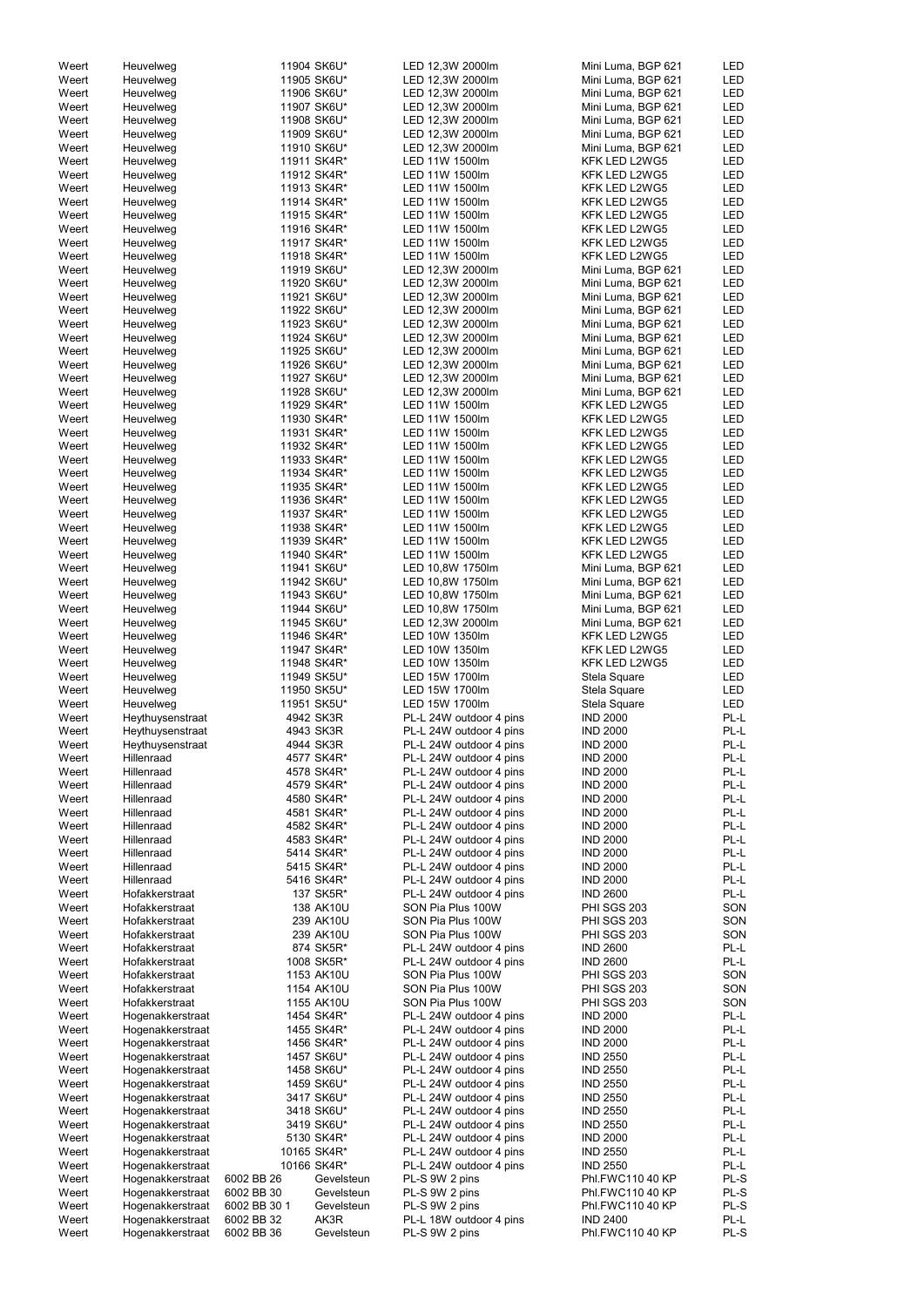| Weert | Heuvelweg        |              | 11904 SK6U* | LED 12,3W 2000lm        | Mini Luma, BGP 621 | LED        |
|-------|------------------|--------------|-------------|-------------------------|--------------------|------------|
| Weert | Heuvelweg        |              | 11905 SK6U* | LED 12,3W 2000lm        | Mini Luma, BGP 621 | <b>LED</b> |
|       |                  |              |             | LED 12,3W 2000lm        |                    | <b>LED</b> |
| Weert | Heuvelweg        |              | 11906 SK6U* |                         | Mini Luma, BGP 621 |            |
| Weert | Heuvelweg        |              | 11907 SK6U* | LED 12,3W 2000lm        | Mini Luma, BGP 621 | <b>LED</b> |
| Weert | Heuvelweg        |              | 11908 SK6U* | LED 12,3W 2000lm        | Mini Luma, BGP 621 | <b>LED</b> |
| Weert | Heuvelweg        |              | 11909 SK6U* | LED 12,3W 2000lm        | Mini Luma, BGP 621 | <b>LED</b> |
| Weert | Heuvelweg        |              | 11910 SK6U* | LED 12,3W 2000lm        | Mini Luma, BGP 621 | LED        |
|       |                  |              |             |                         |                    |            |
| Weert | Heuvelweg        |              | 11911 SK4R* | LED 11W 1500lm          | KFK LED L2WG5      | <b>LED</b> |
| Weert | Heuvelweg        |              | 11912 SK4R* | LED 11W 1500lm          | KFK LED L2WG5      | <b>LED</b> |
| Weert | Heuvelweg        |              | 11913 SK4R* | LED 11W 1500lm          | KFK LED L2WG5      | LED        |
| Weert | Heuvelweg        |              | 11914 SK4R* | LED 11W 1500lm          | KFK LED L2WG5      | LED        |
|       |                  |              |             |                         |                    |            |
| Weert | Heuvelweg        |              | 11915 SK4R* | LED 11W 1500lm          | KFK LED L2WG5      | <b>LED</b> |
| Weert | Heuvelweg        |              | 11916 SK4R* | LED 11W 1500lm          | KFK LED L2WG5      | <b>LED</b> |
| Weert | Heuvelweg        |              | 11917 SK4R* | LED 11W 1500lm          | KFK LED L2WG5      | <b>LED</b> |
| Weert | Heuvelweg        |              | 11918 SK4R* | LED 11W 1500lm          | KFK LED L2WG5      | <b>LED</b> |
|       |                  |              |             |                         |                    |            |
| Weert | Heuvelweg        |              | 11919 SK6U* | LED 12,3W 2000lm        | Mini Luma, BGP 621 | <b>LED</b> |
| Weert | Heuvelweg        |              | 11920 SK6U* | LED 12,3W 2000lm        | Mini Luma, BGP 621 | <b>LED</b> |
| Weert | Heuvelweg        |              | 11921 SK6U* | LED 12,3W 2000lm        | Mini Luma, BGP 621 | <b>LED</b> |
| Weert | Heuvelweg        |              | 11922 SK6U* | LED 12,3W 2000lm        | Mini Luma, BGP 621 | <b>LED</b> |
| Weert | Heuvelweg        |              | 11923 SK6U* | LED 12,3W 2000lm        | Mini Luma, BGP 621 | <b>LED</b> |
|       |                  |              |             |                         |                    |            |
| Weert | Heuvelweg        |              | 11924 SK6U* | LED 12,3W 2000lm        | Mini Luma, BGP 621 | <b>LED</b> |
| Weert | Heuvelweg        |              | 11925 SK6U* | LED 12,3W 2000lm        | Mini Luma, BGP 621 | <b>LED</b> |
| Weert | Heuvelweg        |              | 11926 SK6U* | LED 12,3W 2000lm        | Mini Luma, BGP 621 | LED        |
| Weert | Heuvelweg        |              | 11927 SK6U* | LED 12,3W 2000lm        | Mini Luma, BGP 621 | <b>LED</b> |
|       |                  |              |             |                         |                    |            |
| Weert | Heuvelweg        |              | 11928 SK6U* | LED 12,3W 2000lm        | Mini Luma, BGP 621 | <b>LED</b> |
| Weert | Heuvelweg        |              | 11929 SK4R* | LED 11W 1500lm          | KFK LED L2WG5      | <b>LED</b> |
| Weert | Heuvelweg        |              | 11930 SK4R* | LED 11W 1500lm          | KFK LED L2WG5      | <b>LED</b> |
| Weert | Heuvelweg        |              | 11931 SK4R* | LED 11W 1500lm          | KFK LED L2WG5      | <b>LED</b> |
|       |                  |              |             |                         |                    |            |
| Weert | Heuvelweg        |              | 11932 SK4R* | LED 11W 1500lm          | KFK LED L2WG5      | <b>LED</b> |
| Weert | Heuvelweg        |              | 11933 SK4R* | LED 11W 1500lm          | KFK LED L2WG5      | LED        |
| Weert | Heuvelweg        |              | 11934 SK4R* | LED 11W 1500lm          | KFK LED L2WG5      | <b>LED</b> |
| Weert | Heuvelweg        |              | 11935 SK4R* | LED 11W 1500lm          | KFK LED L2WG5      | <b>LED</b> |
|       |                  |              |             |                         |                    |            |
| Weert | Heuvelweg        |              | 11936 SK4R* | LED 11W 1500lm          | KFK LED L2WG5      | <b>LED</b> |
| Weert | Heuvelweg        |              | 11937 SK4R* | LED 11W 1500lm          | KFK LED L2WG5      | LED        |
| Weert | Heuvelweg        |              | 11938 SK4R* | LED 11W 1500lm          | KFK LED L2WG5      | <b>LED</b> |
| Weert | Heuvelweg        |              | 11939 SK4R* | LED 11W 1500lm          | KFK LED L2WG5      | <b>LED</b> |
|       |                  |              |             |                         |                    |            |
| Weert | Heuvelweg        |              | 11940 SK4R* | LED 11W 1500lm          | KFK LED L2WG5      | <b>LED</b> |
| Weert | Heuvelweg        |              | 11941 SK6U* | LED 10,8W 1750lm        | Mini Luma, BGP 621 | <b>LED</b> |
| Weert | Heuvelweg        |              | 11942 SK6U* | LED 10,8W 1750lm        | Mini Luma, BGP 621 | <b>LED</b> |
| Weert | Heuvelweg        |              | 11943 SK6U* | LED 10,8W 1750lm        | Mini Luma, BGP 621 | <b>LED</b> |
|       |                  |              |             |                         |                    |            |
| Weert | Heuvelweg        |              | 11944 SK6U* | LED 10,8W 1750lm        | Mini Luma, BGP 621 | <b>LED</b> |
| Weert | Heuvelweg        |              | 11945 SK6U* | LED 12,3W 2000lm        | Mini Luma, BGP 621 | LED        |
| Weert | Heuvelweg        |              | 11946 SK4R* | LED 10W 1350lm          | KFK LED L2WG5      | LED        |
| Weert | Heuvelweg        |              | 11947 SK4R* | LED 10W 1350lm          | KFK LED L2WG5      | LED        |
|       |                  |              |             |                         |                    |            |
| Weert | Heuvelweg        |              | 11948 SK4R* | LED 10W 1350lm          | KFK LED L2WG5      | LED        |
| Weert | Heuvelweg        |              | 11949 SK5U* | LED 15W 1700lm          | Stela Square       | <b>LED</b> |
| Weert | Heuvelweg        |              | 11950 SK5U* | LED 15W 1700lm          | Stela Square       | <b>LED</b> |
| Weert | Heuvelweg        |              | 11951 SK5U* | LED 15W 1700lm          | Stela Square       | <b>LED</b> |
|       |                  |              |             |                         |                    |            |
| Weert | Heythuysenstraat |              | 4942 SK3R   | PL-L 24W outdoor 4 pins | <b>IND 2000</b>    | PL-L       |
| Weert | Heythuysenstraat |              | 4943 SK3R   | PL-L 24W outdoor 4 pins | <b>IND 2000</b>    | PL-L       |
| Weert | Heythuysenstraat |              | 4944 SK3R   | PL-L 24W outdoor 4 pins | <b>IND 2000</b>    | PL-L       |
| Weert | Hillenraad       |              | 4577 SK4R*  | PL-L 24W outdoor 4 pins | <b>IND 2000</b>    | PL-L       |
|       |                  |              |             |                         |                    |            |
| Weert | Hillenraad       |              | 4578 SK4R*  | PL-L 24W outdoor 4 pins | <b>IND 2000</b>    | PL-L       |
| Weert | Hillenraad       |              | 4579 SK4R*  | PL-L 24W outdoor 4 pins | <b>IND 2000</b>    | PL-L       |
| Weert | Hillenraad       |              | 4580 SK4R*  | PL-L 24W outdoor 4 pins | <b>IND 2000</b>    | PL-L       |
| Weert | Hillenraad       |              | 4581 SK4R*  | PL-L 24W outdoor 4 pins | <b>IND 2000</b>    | PL-L       |
|       |                  |              | 4582 SK4R*  |                         | <b>IND 2000</b>    | PL-L       |
| Weert | Hillenraad       |              |             | PL-L 24W outdoor 4 pins |                    |            |
| Weert | Hillenraad       |              | 4583 SK4R*  | PL-L 24W outdoor 4 pins | <b>IND 2000</b>    | PL-L       |
| Weert | Hillenraad       |              | 5414 SK4R*  | PL-L 24W outdoor 4 pins | <b>IND 2000</b>    | PL-L       |
| Weert | Hillenraad       |              | 5415 SK4R*  | PL-L 24W outdoor 4 pins | <b>IND 2000</b>    | PL-L       |
| Weert | Hillenraad       |              | 5416 SK4R*  | PL-L 24W outdoor 4 pins | <b>IND 2000</b>    | PL-L       |
| Weert | Hofakkerstraat   |              | 137 SK5R*   | PL-L 24W outdoor 4 pins | <b>IND 2600</b>    | PL-L       |
|       |                  |              |             |                         |                    |            |
| Weert | Hofakkerstraat   |              | 138 AK10U   | SON Pia Plus 100W       | <b>PHI SGS 203</b> | SON        |
| Weert | Hofakkerstraat   |              | 239 AK10U   | SON Pia Plus 100W       | <b>PHI SGS 203</b> | SON        |
| Weert | Hofakkerstraat   |              | 239 AK10U   | SON Pia Plus 100W       | <b>PHI SGS 203</b> | SON        |
| Weert | Hofakkerstraat   |              | 874 SK5R*   | PL-L 24W outdoor 4 pins | <b>IND 2600</b>    | PL-L       |
| Weert | Hofakkerstraat   |              | 1008 SK5R*  | PL-L 24W outdoor 4 pins | <b>IND 2600</b>    | PL-L       |
|       |                  |              |             |                         |                    |            |
| Weert | Hofakkerstraat   |              | 1153 AK10U  | SON Pia Plus 100W       | <b>PHI SGS 203</b> | SON        |
| Weert | Hofakkerstraat   |              | 1154 AK10U  | SON Pia Plus 100W       | PHI SGS 203        | SON        |
| Weert | Hofakkerstraat   |              | 1155 AK10U  | SON Pia Plus 100W       | PHI SGS 203        | SON        |
|       | Hogenakkerstraat |              | 1454 SK4R*  | PL-L 24W outdoor 4 pins | <b>IND 2000</b>    | PL-L       |
| Weert |                  |              |             |                         |                    |            |
| Weert | Hogenakkerstraat |              | 1455 SK4R*  | PL-L 24W outdoor 4 pins | <b>IND 2000</b>    | PL-L       |
| Weert | Hogenakkerstraat |              | 1456 SK4R*  | PL-L 24W outdoor 4 pins | <b>IND 2000</b>    | PL-L       |
| Weert | Hogenakkerstraat |              | 1457 SK6U*  | PL-L 24W outdoor 4 pins | <b>IND 2550</b>    | PL-L       |
| Weert | Hogenakkerstraat |              | 1458 SK6U*  | PL-L 24W outdoor 4 pins | <b>IND 2550</b>    | PL-L       |
|       |                  |              |             |                         |                    |            |
| Weert | Hogenakkerstraat |              | 1459 SK6U*  | PL-L 24W outdoor 4 pins | <b>IND 2550</b>    | PL-L       |
| Weert | Hogenakkerstraat |              | 3417 SK6U*  | PL-L 24W outdoor 4 pins | <b>IND 2550</b>    | PL-L       |
| Weert | Hogenakkerstraat |              | 3418 SK6U*  | PL-L 24W outdoor 4 pins | <b>IND 2550</b>    | PL-L       |
| Weert | Hogenakkerstraat |              | 3419 SK6U*  | PL-L 24W outdoor 4 pins | <b>IND 2550</b>    | PL-L       |
|       |                  |              |             |                         |                    |            |
| Weert | Hogenakkerstraat |              | 5130 SK4R*  | PL-L 24W outdoor 4 pins | <b>IND 2000</b>    | PL-L       |
| Weert | Hogenakkerstraat |              | 10165 SK4R* | PL-L 24W outdoor 4 pins | <b>IND 2550</b>    | PL-L       |
| Weert | Hogenakkerstraat |              | 10166 SK4R* | PL-L 24W outdoor 4 pins | <b>IND 2550</b>    | PL-L       |
| Weert | Hogenakkerstraat | 6002 BB 26   | Gevelsteun  | PL-S 9W 2 pins          | Phl.FWC110 40 KP   | PL-S       |
|       |                  |              |             |                         |                    |            |
| Weert | Hogenakkerstraat | 6002 BB 30   | Gevelsteun  | PL-S 9W 2 pins          | Phl.FWC110 40 KP   | PL-S       |
| Weert | Hogenakkerstraat | 6002 BB 30 1 | Gevelsteun  | PL-S 9W 2 pins          | Phl.FWC110 40 KP   | PL-S       |
| Weert | Hogenakkerstraat | 6002 BB 32   | AK3R        | PL-L 18W outdoor 4 pins | <b>IND 2400</b>    | PL-L       |
| Weert | Hogenakkerstraat | 6002 BB 36   | Gevelsteun  | PL-S 9W 2 pins          | Phl.FWC110 40 KP   | PL-S       |
|       |                  |              |             |                         |                    |            |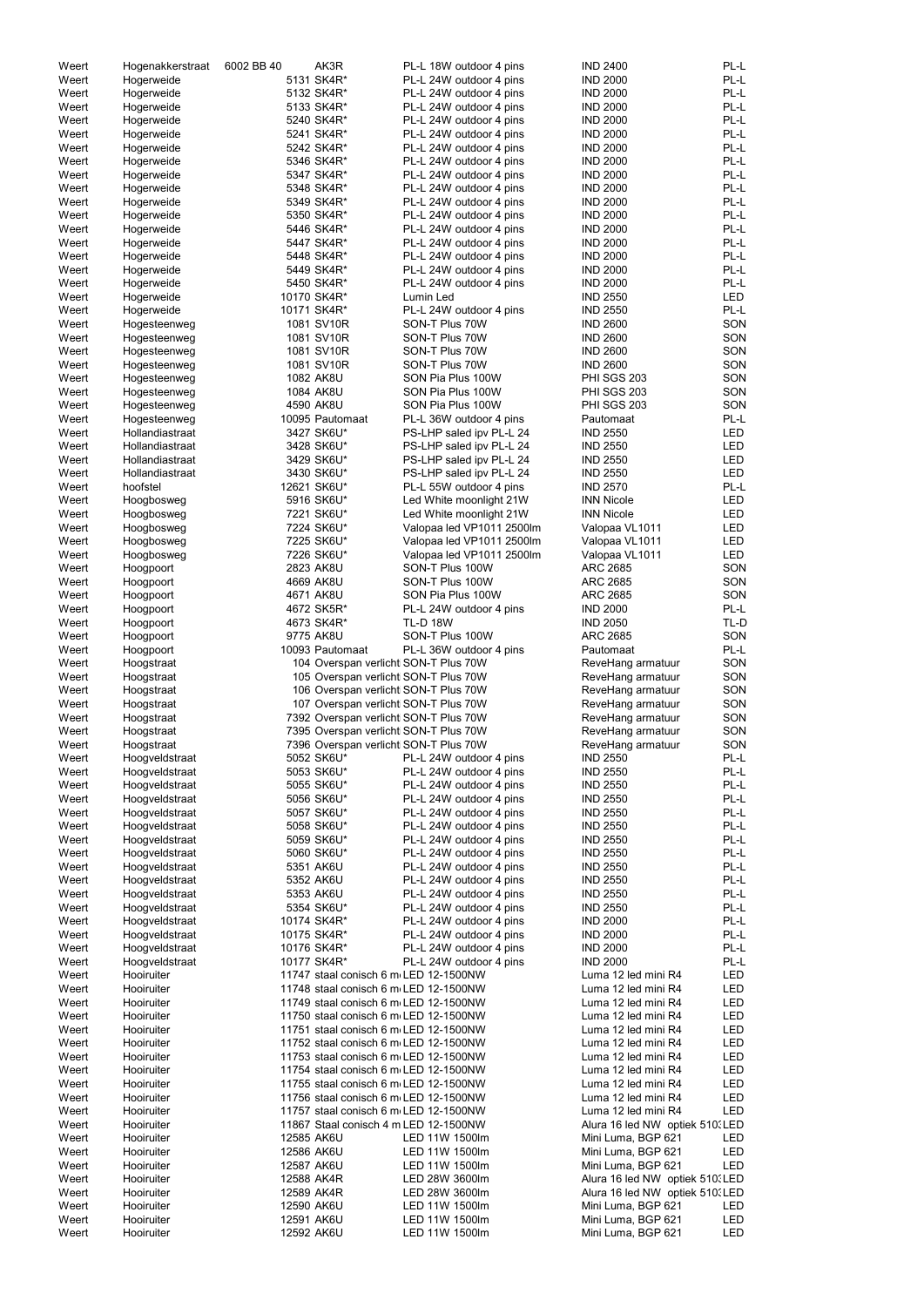| Weert          | Hogenakkerstraat                 | 6002 BB 40 | AK3R                                                                           | PL-L 18W outdoor 4 pins                                         | <b>IND 2400</b><br>PL-L                                    |
|----------------|----------------------------------|------------|--------------------------------------------------------------------------------|-----------------------------------------------------------------|------------------------------------------------------------|
| Weert          | Hogerweide                       |            | 5131 SK4R*                                                                     | PL-L 24W outdoor 4 pins                                         | PL-L<br><b>IND 2000</b>                                    |
| Weert          | Hogerweide                       |            | 5132 SK4R*                                                                     | PL-L 24W outdoor 4 pins                                         | PL-L<br><b>IND 2000</b>                                    |
| Weert          | Hogerweide                       |            | 5133 SK4R*                                                                     | PL-L 24W outdoor 4 pins                                         | PL-L<br><b>IND 2000</b>                                    |
| Weert          | Hogerweide                       |            | 5240 SK4R*                                                                     | PL-L 24W outdoor 4 pins                                         | PL-L<br><b>IND 2000</b>                                    |
| Weert          | Hogerweide                       |            | 5241 SK4R*                                                                     | PL-L 24W outdoor 4 pins                                         | PL-L<br><b>IND 2000</b>                                    |
| Weert          | Hogerweide                       |            | 5242 SK4R*<br>5346 SK4R*                                                       | PL-L 24W outdoor 4 pins<br>PL-L 24W outdoor 4 pins              | PL-L<br><b>IND 2000</b><br>PL-L<br><b>IND 2000</b>         |
| Weert<br>Weert | Hogerweide<br>Hogerweide         |            | 5347 SK4R*                                                                     | PL-L 24W outdoor 4 pins                                         | PL-L<br><b>IND 2000</b>                                    |
| Weert          | Hogerweide                       |            | 5348 SK4R*                                                                     | PL-L 24W outdoor 4 pins                                         | PL-L<br><b>IND 2000</b>                                    |
| Weert          | Hogerweide                       |            | 5349 SK4R*                                                                     | PL-L 24W outdoor 4 pins                                         | PL-L<br><b>IND 2000</b>                                    |
| Weert          | Hogerweide                       |            | 5350 SK4R*                                                                     | PL-L 24W outdoor 4 pins                                         | PL-L<br><b>IND 2000</b>                                    |
| Weert          | Hogerweide                       |            | 5446 SK4R*                                                                     | PL-L 24W outdoor 4 pins                                         | PL-L<br><b>IND 2000</b>                                    |
| Weert          | Hogerweide                       |            | 5447 SK4R*                                                                     | PL-L 24W outdoor 4 pins                                         | <b>IND 2000</b><br>PL-L                                    |
| Weert          | Hogerweide                       |            | 5448 SK4R*                                                                     | PL-L 24W outdoor 4 pins                                         | PL-L<br><b>IND 2000</b>                                    |
| Weert          | Hogerweide                       |            | 5449 SK4R*                                                                     | PL-L 24W outdoor 4 pins                                         | PL-L<br><b>IND 2000</b>                                    |
| Weert          | Hogerweide                       |            | 5450 SK4R*                                                                     | PL-L 24W outdoor 4 pins                                         | <b>IND 2000</b><br>PL-L                                    |
| Weert          | Hogerweide                       |            | 10170 SK4R*                                                                    | Lumin Led                                                       | <b>LED</b><br><b>IND 2550</b>                              |
| Weert<br>Weert | Hogerweide                       |            | 10171 SK4R*<br>1081 SV10R                                                      | PL-L 24W outdoor 4 pins<br>SON-T Plus 70W                       | PL-L<br><b>IND 2550</b><br><b>IND 2600</b><br>SON          |
| Weert          | Hogesteenweg<br>Hogesteenweg     |            | 1081 SV10R                                                                     | SON-T Plus 70W                                                  | <b>IND 2600</b><br>SON                                     |
| Weert          | Hogesteenweg                     |            | 1081 SV10R                                                                     | SON-T Plus 70W                                                  | <b>IND 2600</b><br>SON                                     |
| Weert          | Hogesteenweg                     |            | 1081 SV10R                                                                     | SON-T Plus 70W                                                  | SON<br><b>IND 2600</b>                                     |
| Weert          | Hogesteenweg                     |            | 1082 AK8U                                                                      | SON Pia Plus 100W                                               | PHI SGS 203<br>SON                                         |
| Weert          | Hogesteenweg                     |            | 1084 AK8U                                                                      | SON Pia Plus 100W                                               | SON<br>PHI SGS 203                                         |
| Weert          | Hogesteenweg                     |            | 4590 AK8U                                                                      | SON Pia Plus 100W                                               | PHI SGS 203<br>SON                                         |
| Weert          | Hogesteenweg                     |            | 10095 Pautomaat                                                                | PL-L 36W outdoor 4 pins                                         | PL-L<br>Pautomaat                                          |
| Weert          | Hollandiastraat                  |            | 3427 SK6U*                                                                     | PS-LHP saled ipv PL-L 24                                        | <b>IND 2550</b><br><b>LED</b>                              |
| Weert          | Hollandiastraat                  |            | 3428 SK6U*                                                                     | PS-LHP saled ipv PL-L 24                                        | <b>LED</b><br><b>IND 2550</b>                              |
| Weert          | Hollandiastraat                  |            | 3429 SK6U*                                                                     | PS-LHP saled ipv PL-L 24                                        | <b>LED</b><br><b>IND 2550</b>                              |
| Weert          | Hollandiastraat                  |            | 3430 SK6U*                                                                     | PS-LHP saled ipv PL-L 24                                        | <b>LED</b><br><b>IND 2550</b>                              |
| Weert<br>Weert | hoofstel                         |            | 12621 SK6U*<br>5916 SK6U*                                                      | PL-L 55W outdoor 4 pins<br>Led White moonlight 21W              | PL-L<br><b>IND 2570</b><br><b>INN Nicole</b><br><b>LED</b> |
| Weert          | Hoogbosweg<br>Hoogbosweg         |            | 7221 SK6U*                                                                     | Led White moonlight 21W                                         | <b>LED</b><br><b>INN Nicole</b>                            |
| Weert          | Hoogbosweg                       |            | 7224 SK6U*                                                                     | Valopaa led VP1011 2500lm                                       | LED<br>Valopaa VL1011                                      |
| Weert          | Hoogbosweg                       |            | 7225 SK6U*                                                                     | Valopaa led VP1011 2500lm                                       | <b>LED</b><br>Valopaa VL1011                               |
| Weert          | Hoogbosweg                       |            | 7226 SK6U*                                                                     | Valopaa led VP1011 2500lm                                       | LED<br>Valopaa VL1011                                      |
| Weert          | Hoogpoort                        |            | 2823 AK8U                                                                      | SON-T Plus 100W                                                 | SON<br><b>ARC 2685</b>                                     |
| Weert          | Hoogpoort                        |            | 4669 AK8U                                                                      | SON-T Plus 100W                                                 | SON<br><b>ARC 2685</b>                                     |
| Weert          | Hoogpoort                        |            | 4671 AK8U                                                                      | SON Pia Plus 100W                                               | SON<br><b>ARC 2685</b>                                     |
| Weert          | Hoogpoort                        |            | 4672 SK5R*                                                                     | PL-L 24W outdoor 4 pins                                         | PL-L<br><b>IND 2000</b>                                    |
| Weert          | Hoogpoort                        |            | 4673 SK4R*                                                                     | <b>TL-D 18W</b>                                                 | TL-D<br><b>IND 2050</b>                                    |
| Weert          | Hoogpoort                        |            | 9775 AK8U                                                                      | SON-T Plus 100W                                                 | SON<br>ARC 2685                                            |
| Weert<br>Weert | Hoogpoort                        |            | 10093 Pautomaat                                                                | PL-L 36W outdoor 4 pins<br>104 Overspan verlicht SON-T Plus 70W | PL-L<br>Pautomaat<br>SON<br>ReveHang armatuur              |
| Weert          | Hoogstraat<br>Hoogstraat         |            |                                                                                | 105 Overspan verlicht SON-T Plus 70W                            | SON<br>ReveHang armatuur                                   |
| Weert          | Hoogstraat                       |            |                                                                                | 106 Overspan verlicht SON-T Plus 70W                            | SON<br>ReveHang armatuur                                   |
| Weert          | Hoogstraat                       |            |                                                                                | 107 Overspan verlicht SON-T Plus 70W                            | SON<br>ReveHang armatuur                                   |
| Weert          | Hoogstraat                       |            |                                                                                | 7392 Overspan verlicht SON-T Plus 70W                           | SON<br>ReveHang armatuur                                   |
| Weert          | Hoogstraat                       |            |                                                                                | 7395 Overspan verlichti SON-T Plus 70W                          | SON<br>ReveHang armatuur                                   |
| Weert          | Hoogstraat                       |            |                                                                                | 7396 Overspan verlicht SON-T Plus 70W                           | SON<br>ReveHang armatuur                                   |
| Weert          | Hoogveldstraat                   |            | 5052 SK6U*                                                                     | PL-L 24W outdoor 4 pins                                         | PL-L<br><b>IND 2550</b>                                    |
| Weert          | Hoogveldstraat                   |            | 5053 SK6U*                                                                     | PL-L 24W outdoor 4 pins                                         | PL-L<br><b>IND 2550</b>                                    |
| Weert          | Hoogveldstraat                   |            | 5055 SK6U*                                                                     | PL-L 24W outdoor 4 pins                                         | PL-L<br><b>IND 2550</b>                                    |
| Weert          | Hoogveldstraat                   |            | 5056 SK6U*<br>5057 SK6U*                                                       | PL-L 24W outdoor 4 pins                                         | PL-L<br><b>IND 2550</b><br>PL-L<br><b>IND 2550</b>         |
| Weert<br>Weert | Hoogveldstraat<br>Hoogveldstraat |            | 5058 SK6U*                                                                     | PL-L 24W outdoor 4 pins<br>PL-L 24W outdoor 4 pins              | PL-L<br><b>IND 2550</b>                                    |
| Weert          | Hoogveldstraat                   |            | 5059 SK6U*                                                                     | PL-L 24W outdoor 4 pins                                         | PL-L<br><b>IND 2550</b>                                    |
| Weert          | Hoogveldstraat                   |            | 5060 SK6U*                                                                     | PL-L 24W outdoor 4 pins                                         | PL-L<br><b>IND 2550</b>                                    |
| Weert          | Hoogveldstraat                   |            | 5351 AK6U                                                                      | PL-L 24W outdoor 4 pins                                         | PL-L<br><b>IND 2550</b>                                    |
| Weert          | Hoogveldstraat                   |            | 5352 AK6U                                                                      | PL-L 24W outdoor 4 pins                                         | PL-L<br><b>IND 2550</b>                                    |
| Weert          | Hoogveldstraat                   |            | 5353 AK6U                                                                      | PL-L 24W outdoor 4 pins                                         | PL-L<br><b>IND 2550</b>                                    |
| Weert          | Hoogveldstraat                   |            | 5354 SK6U*                                                                     | PL-L 24W outdoor 4 pins                                         | PL-L<br><b>IND 2550</b>                                    |
| Weert          | Hoogveldstraat                   |            | 10174 SK4R*                                                                    | PL-L 24W outdoor 4 pins                                         | PL-L<br><b>IND 2000</b>                                    |
| Weert          | Hoogveldstraat                   |            | 10175 SK4R*                                                                    | PL-L 24W outdoor 4 pins                                         | PL-L<br><b>IND 2000</b><br><b>IND 2000</b><br>PL-L         |
| Weert<br>Weert | Hoogveldstraat<br>Hoogveldstraat |            | 10176 SK4R*<br>10177 SK4R*                                                     | PL-L 24W outdoor 4 pins<br>PL-L 24W outdoor 4 pins              | PL-L<br><b>IND 2000</b>                                    |
| Weert          | Hooiruiter                       |            | 11747 staal conisch 6 m LED 12-1500NW                                          |                                                                 | Luma 12 led mini R4<br>LED                                 |
| Weert          | Hooiruiter                       |            | 11748 staal conisch 6 m LED 12-1500NW                                          |                                                                 | LED<br>Luma 12 led mini R4                                 |
| Weert          | Hooiruiter                       |            | 11749 staal conisch 6 m LED 12-1500NW                                          |                                                                 | Luma 12 led mini R4<br>LED                                 |
| Weert          | Hooiruiter                       |            | 11750 staal conisch 6 m LED 12-1500NW                                          |                                                                 | LED<br>Luma 12 led mini R4                                 |
| Weert          | Hooiruiter                       |            | 11751 staal conisch 6 m LED 12-1500NW                                          |                                                                 | LED<br>Luma 12 led mini R4                                 |
| Weert          | Hooiruiter                       |            | 11752 staal conisch 6 m LED 12-1500NW                                          |                                                                 | LED<br>Luma 12 led mini R4                                 |
| Weert          | Hooiruiter                       |            | 11753 staal conisch 6 m LED 12-1500NW                                          |                                                                 | LED<br>Luma 12 led mini R4                                 |
| Weert          | Hooiruiter                       |            | 11754 staal conisch 6 m LED 12-1500NW                                          |                                                                 | LED<br>Luma 12 led mini R4                                 |
| Weert          | Hooiruiter                       |            | 11755 staal conisch 6 m LED 12-1500NW                                          |                                                                 | LED<br>Luma 12 led mini R4                                 |
| Weert          | Hooiruiter                       |            | 11756 staal conisch 6 m LED 12-1500NW<br>11757 staal conisch 6 m LED 12-1500NW |                                                                 | Luma 12 led mini R4<br>LED<br>Luma 12 led mini R4<br>LED   |
| Weert<br>Weert | Hooiruiter<br>Hooiruiter         |            | 11867 Staal conisch 4 m LED 12-1500NW                                          |                                                                 | Alura 16 led NW optiek 510. LED                            |
|                |                                  |            |                                                                                | LED 11W 1500lm                                                  | Mini Luma, BGP 621<br>LED                                  |
|                |                                  |            |                                                                                |                                                                 |                                                            |
| Weert<br>Weert | Hooiruiter<br>Hooiruiter         | 12585 AK6U | 12586 AK6U                                                                     | LED 11W 1500lm                                                  | Mini Luma, BGP 621<br>LED                                  |
| Weert          | Hooiruiter                       |            | 12587 AK6U                                                                     | LED 11W 1500lm                                                  | Mini Luma, BGP 621<br>LED                                  |
| Weert          | Hooiruiter                       |            | 12588 AK4R                                                                     | LED 28W 3600lm                                                  | Alura 16 led NW optiek 510. LED                            |
| Weert          | Hooiruiter                       |            | 12589 AK4R                                                                     | LED 28W 3600lm                                                  | Alura 16 led NW optiek 510. LED                            |
| Weert          | Hooiruiter                       |            | 12590 AK6U                                                                     | LED 11W 1500lm                                                  | Mini Luma, BGP 621<br>LED                                  |
| Weert<br>Weert | Hooiruiter<br>Hooiruiter         |            | 12591 AK6U<br>12592 AK6U                                                       | LED 11W 1500lm<br>LED 11W 1500lm                                | Mini Luma, BGP 621<br>LED<br>Mini Luma, BGP 621<br>LED     |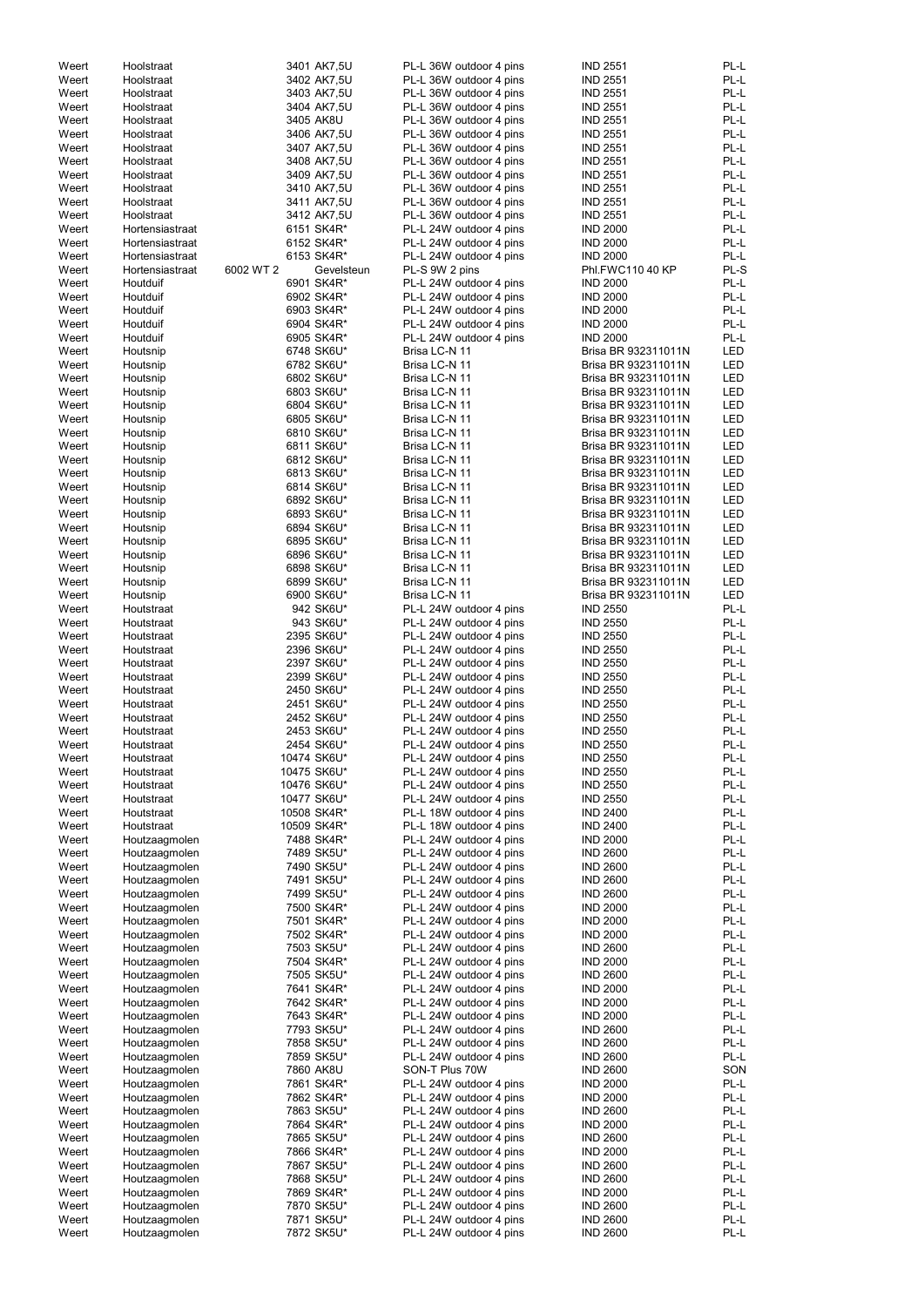| Weert | Hoolstraat      |           | 3401 AK7,5U | PL-L 36W outdoor 4 pins | <b>IND 2551</b>     | PL-L       |
|-------|-----------------|-----------|-------------|-------------------------|---------------------|------------|
| Weert | Hoolstraat      |           | 3402 AK7,5U | PL-L 36W outdoor 4 pins | <b>IND 2551</b>     | PL-L       |
| Weert | Hoolstraat      |           | 3403 AK7,5U | PL-L 36W outdoor 4 pins | <b>IND 2551</b>     | PL-L       |
| Weert | Hoolstraat      |           | 3404 AK7,5U | PL-L 36W outdoor 4 pins | <b>IND 2551</b>     | PL-L       |
| Weert | Hoolstraat      |           | 3405 AK8U   | PL-L 36W outdoor 4 pins | <b>IND 2551</b>     | PL-L       |
|       |                 |           |             |                         |                     |            |
| Weert | Hoolstraat      |           | 3406 AK7,5U | PL-L 36W outdoor 4 pins | <b>IND 2551</b>     | PL-L       |
| Weert | Hoolstraat      |           | 3407 AK7,5U | PL-L 36W outdoor 4 pins | <b>IND 2551</b>     | PL-L       |
| Weert | Hoolstraat      |           | 3408 AK7,5U | PL-L 36W outdoor 4 pins | <b>IND 2551</b>     | PL-L       |
| Weert | Hoolstraat      |           | 3409 AK7,5U | PL-L 36W outdoor 4 pins | <b>IND 2551</b>     | PL-L       |
| Weert | Hoolstraat      |           | 3410 AK7,5U | PL-L 36W outdoor 4 pins | <b>IND 2551</b>     | PL-L       |
| Weert | Hoolstraat      |           | 3411 AK7,5U | PL-L 36W outdoor 4 pins | <b>IND 2551</b>     | PL-L       |
| Weert | Hoolstraat      |           | 3412 AK7,5U | PL-L 36W outdoor 4 pins | <b>IND 2551</b>     | PL-L       |
| Weert | Hortensiastraat |           | 6151 SK4R*  | PL-L 24W outdoor 4 pins | <b>IND 2000</b>     | PL-L       |
| Weert | Hortensiastraat |           | 6152 SK4R*  |                         | <b>IND 2000</b>     | PL-L       |
|       |                 |           |             | PL-L 24W outdoor 4 pins |                     |            |
| Weert | Hortensiastraat |           | 6153 SK4R*  | PL-L 24W outdoor 4 pins | <b>IND 2000</b>     | PL-L       |
| Weert | Hortensiastraat | 6002 WT 2 | Gevelsteun  | PL-S 9W 2 pins          | Phl.FWC110 40 KP    | PL-S       |
| Weert | Houtduif        |           | 6901 SK4R*  | PL-L 24W outdoor 4 pins | <b>IND 2000</b>     | PL-L       |
| Weert | Houtduif        |           | 6902 SK4R*  | PL-L 24W outdoor 4 pins | <b>IND 2000</b>     | PL-L       |
| Weert | Houtduif        |           | 6903 SK4R*  | PL-L 24W outdoor 4 pins | <b>IND 2000</b>     | PL-L       |
| Weert | Houtduif        |           | 6904 SK4R*  | PL-L 24W outdoor 4 pins | <b>IND 2000</b>     | PL-L       |
| Weert | Houtduif        |           | 6905 SK4R*  | PL-L 24W outdoor 4 pins | <b>IND 2000</b>     | PL-L       |
| Weert | Houtsnip        |           | 6748 SK6U*  | Brisa LC-N 11           | Brisa BR 932311011N | LED        |
| Weert |                 |           |             | Brisa LC-N 11           | Brisa BR 932311011N | <b>LED</b> |
|       | Houtsnip        |           | 6782 SK6U*  |                         |                     |            |
| Weert | Houtsnip        |           | 6802 SK6U*  | Brisa LC-N 11           | Brisa BR 932311011N | <b>LED</b> |
| Weert | Houtsnip        |           | 6803 SK6U*  | Brisa LC-N 11           | Brisa BR 932311011N | <b>LED</b> |
| Weert | Houtsnip        |           | 6804 SK6U*  | Brisa LC-N 11           | Brisa BR 932311011N | <b>LED</b> |
| Weert | Houtsnip        |           | 6805 SK6U*  | Brisa LC-N 11           | Brisa BR 932311011N | LED        |
| Weert | Houtsnip        |           | 6810 SK6U*  | Brisa LC-N 11           | Brisa BR 932311011N | <b>LED</b> |
| Weert | Houtsnip        |           | 6811 SK6U*  | Brisa LC-N 11           | Brisa BR 932311011N | <b>LED</b> |
| Weert | Houtsnip        |           | 6812 SK6U*  | Brisa LC-N 11           | Brisa BR 932311011N | LED        |
| Weert | Houtsnip        |           | 6813 SK6U*  | Brisa LC-N 11           | Brisa BR 932311011N | LED        |
|       |                 |           |             |                         |                     |            |
| Weert | Houtsnip        |           | 6814 SK6U*  | Brisa LC-N 11           | Brisa BR 932311011N | LED        |
| Weert | Houtsnip        |           | 6892 SK6U*  | Brisa LC-N 11           | Brisa BR 932311011N | <b>LED</b> |
| Weert | Houtsnip        |           | 6893 SK6U*  | Brisa LC-N 11           | Brisa BR 932311011N | <b>LED</b> |
| Weert | Houtsnip        |           | 6894 SK6U*  | Brisa LC-N 11           | Brisa BR 932311011N | <b>LED</b> |
| Weert | Houtsnip        |           | 6895 SK6U*  | Brisa LC-N 11           | Brisa BR 932311011N | <b>LED</b> |
| Weert | Houtsnip        |           | 6896 SK6U*  | Brisa LC-N 11           | Brisa BR 932311011N | <b>LED</b> |
| Weert | Houtsnip        |           | 6898 SK6U*  | Brisa LC-N 11           | Brisa BR 932311011N | <b>LED</b> |
| Weert | Houtsnip        |           | 6899 SK6U*  | Brisa LC-N 11           | Brisa BR 932311011N | <b>LED</b> |
| Weert | Houtsnip        |           | 6900 SK6U*  | Brisa LC-N 11           | Brisa BR 932311011N | <b>LED</b> |
|       |                 |           |             |                         |                     |            |
| Weert | Houtstraat      |           | 942 SK6U*   | PL-L 24W outdoor 4 pins | <b>IND 2550</b>     | PL-L       |
| Weert | Houtstraat      |           | 943 SK6U*   | PL-L 24W outdoor 4 pins | <b>IND 2550</b>     | PL-L       |
| Weert | Houtstraat      |           | 2395 SK6U*  | PL-L 24W outdoor 4 pins | <b>IND 2550</b>     | PL-L       |
| Weert | Houtstraat      |           | 2396 SK6U*  | PL-L 24W outdoor 4 pins | <b>IND 2550</b>     | PL-L       |
| Weert | Houtstraat      |           | 2397 SK6U*  | PL-L 24W outdoor 4 pins | <b>IND 2550</b>     | PL-L       |
| Weert | Houtstraat      |           | 2399 SK6U*  | PL-L 24W outdoor 4 pins | <b>IND 2550</b>     | PL-L       |
| Weert | Houtstraat      |           | 2450 SK6U*  | PL-L 24W outdoor 4 pins | <b>IND 2550</b>     | PL-L       |
| Weert | Houtstraat      |           | 2451 SK6U*  | PL-L 24W outdoor 4 pins | <b>IND 2550</b>     | PL-L       |
| Weert |                 |           |             |                         | <b>IND 2550</b>     | PL-L       |
|       | Houtstraat      |           | 2452 SK6U*  | PL-L 24W outdoor 4 pins |                     |            |
| Weert | Houtstraat      |           | 2453 SK6U*  | PL-L 24W outdoor 4 pins | <b>IND 2550</b>     | PL-L       |
| Weert | Houtstraat      |           | 2454 SK6U*  | PL-L 24W outdoor 4 pins | <b>IND 2550</b>     | PL-L       |
| Weert | Houtstraat      |           | 10474 SK6U* | PL-L 24W outdoor 4 pins | <b>IND 2550</b>     | PL-L       |
| Weert | Houtstraat      |           | 10475 SK6U* | PL-L 24W outdoor 4 pins | <b>IND 2550</b>     | PL-L       |
| Weert | Houtstraat      |           | 10476 SK6U* | PL-L 24W outdoor 4 pins | <b>IND 2550</b>     | PL-L       |
| Weert | Houtstraat      |           | 10477 SK6U* | PL-L 24W outdoor 4 pins | <b>IND 2550</b>     | PL-L       |
| Weert | Houtstraat      |           | 10508 SK4R* | PL-L 18W outdoor 4 pins | <b>IND 2400</b>     | PL-L       |
| Weert | Houtstraat      |           | 10509 SK4R* | PL-L 18W outdoor 4 pins | <b>IND 2400</b>     | PL-L       |
| Weert | Houtzaagmolen   |           | 7488 SK4R*  | PL-L 24W outdoor 4 pins | <b>IND 2000</b>     | PL-L       |
|       |                 |           |             |                         |                     |            |
| Weert | Houtzaagmolen   |           | 7489 SK5U*  | PL-L 24W outdoor 4 pins | <b>IND 2600</b>     | PL-L       |
| Weert | Houtzaagmolen   |           | 7490 SK5U*  | PL-L 24W outdoor 4 pins | <b>IND 2600</b>     | PL-L       |
| Weert | Houtzaagmolen   |           | 7491 SK5U*  | PL-L 24W outdoor 4 pins | <b>IND 2600</b>     | PL-L       |
| Weert | Houtzaagmolen   |           | 7499 SK5U*  | PL-L 24W outdoor 4 pins | <b>IND 2600</b>     | PL-L       |
| Weert | Houtzaagmolen   |           | 7500 SK4R*  | PL-L 24W outdoor 4 pins | <b>IND 2000</b>     | PL-L       |
| Weert | Houtzaagmolen   |           | 7501 SK4R*  | PL-L 24W outdoor 4 pins | <b>IND 2000</b>     | PL-L       |
| Weert | Houtzaagmolen   |           | 7502 SK4R*  | PL-L 24W outdoor 4 pins | <b>IND 2000</b>     | PL-L       |
| Weert | Houtzaagmolen   |           | 7503 SK5U*  | PL-L 24W outdoor 4 pins | <b>IND 2600</b>     | PL-L       |
| Weert | Houtzaagmolen   |           | 7504 SK4R*  | PL-L 24W outdoor 4 pins | <b>IND 2000</b>     | PL-L       |
| Weert | Houtzaagmolen   |           | 7505 SK5U*  | PL-L 24W outdoor 4 pins | <b>IND 2600</b>     | PL-L       |
| Weert | Houtzaagmolen   |           | 7641 SK4R*  | PL-L 24W outdoor 4 pins | <b>IND 2000</b>     | PL-L       |
|       |                 |           |             |                         |                     |            |
| Weert | Houtzaagmolen   |           | 7642 SK4R*  | PL-L 24W outdoor 4 pins | <b>IND 2000</b>     | PL-L       |
| Weert | Houtzaagmolen   |           | 7643 SK4R*  | PL-L 24W outdoor 4 pins | <b>IND 2000</b>     | PL-L       |
| Weert | Houtzaagmolen   |           | 7793 SK5U*  | PL-L 24W outdoor 4 pins | <b>IND 2600</b>     | PL-L       |
| Weert | Houtzaagmolen   |           | 7858 SK5U*  | PL-L 24W outdoor 4 pins | <b>IND 2600</b>     | PL-L       |
| Weert | Houtzaagmolen   |           | 7859 SK5U*  | PL-L 24W outdoor 4 pins | <b>IND 2600</b>     | PL-L       |
| Weert | Houtzaagmolen   |           | 7860 AK8U   | SON-T Plus 70W          | <b>IND 2600</b>     | SON        |
| Weert | Houtzaagmolen   |           | 7861 SK4R*  | PL-L 24W outdoor 4 pins | <b>IND 2000</b>     | PL-L       |
| Weert | Houtzaagmolen   |           | 7862 SK4R*  | PL-L 24W outdoor 4 pins | <b>IND 2000</b>     | PL-L       |
| Weert | Houtzaagmolen   |           | 7863 SK5U*  | PL-L 24W outdoor 4 pins | <b>IND 2600</b>     | PL-L       |
|       |                 |           |             |                         |                     |            |
| Weert | Houtzaagmolen   |           | 7864 SK4R*  | PL-L 24W outdoor 4 pins | <b>IND 2000</b>     | PL-L       |
| Weert | Houtzaagmolen   |           | 7865 SK5U*  | PL-L 24W outdoor 4 pins | <b>IND 2600</b>     | PL-L       |
| Weert | Houtzaagmolen   |           | 7866 SK4R*  | PL-L 24W outdoor 4 pins | <b>IND 2000</b>     | PL-L       |
| Weert | Houtzaagmolen   |           | 7867 SK5U*  | PL-L 24W outdoor 4 pins | <b>IND 2600</b>     | PL-L       |
| Weert | Houtzaagmolen   |           | 7868 SK5U*  | PL-L 24W outdoor 4 pins | <b>IND 2600</b>     | PL-L       |
| Weert | Houtzaagmolen   |           | 7869 SK4R*  | PL-L 24W outdoor 4 pins | <b>IND 2000</b>     | PL-L       |
| Weert | Houtzaagmolen   |           | 7870 SK5U*  | PL-L 24W outdoor 4 pins | <b>IND 2600</b>     | PL-L       |
| Weert | Houtzaagmolen   |           | 7871 SK5U*  | PL-L 24W outdoor 4 pins | <b>IND 2600</b>     | PL-L       |
| Weert | Houtzaagmolen   |           | 7872 SK5U*  | PL-L 24W outdoor 4 pins | <b>IND 2600</b>     | PL-L       |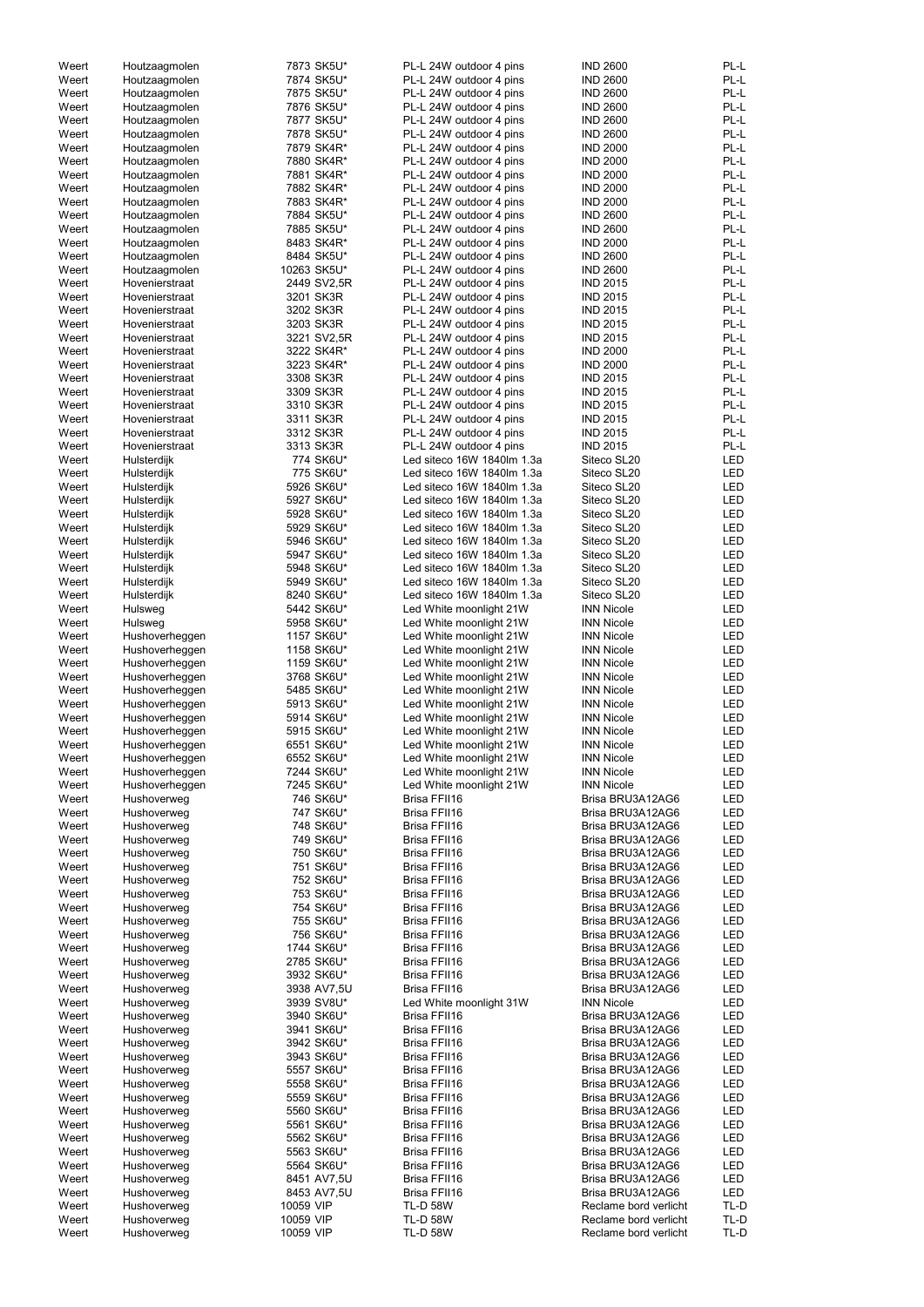| Weert          | Houtzaagmolen              | 7873 SK5U*             | PL-L 24W outdoor 4 pins            | <b>IND 2600</b>                                | PL-L         |
|----------------|----------------------------|------------------------|------------------------------------|------------------------------------------------|--------------|
| Weert          | Houtzaagmolen              | 7874 SK5U*             | PL-L 24W outdoor 4 pins            | <b>IND 2600</b>                                | PL-L         |
|                |                            |                        |                                    |                                                |              |
| Weert          | Houtzaagmolen              | 7875 SK5U*             | PL-L 24W outdoor 4 pins            | <b>IND 2600</b>                                | PL-L         |
| Weert          | Houtzaagmolen              | 7876 SK5U*             | PL-L 24W outdoor 4 pins            | <b>IND 2600</b>                                | PL-L         |
| Weert          | Houtzaagmolen              | 7877 SK5U*             | PL-L 24W outdoor 4 pins            | <b>IND 2600</b>                                | PL-L         |
| Weert          | Houtzaagmolen              | 7878 SK5U*             | PL-L 24W outdoor 4 pins            | <b>IND 2600</b>                                | PL-L         |
| Weert          |                            | 7879 SK4R*             | PL-L 24W outdoor 4 pins            | <b>IND 2000</b>                                | PL-L         |
|                | Houtzaagmolen              |                        |                                    |                                                |              |
| Weert          | Houtzaagmolen              | 7880 SK4R*             | PL-L 24W outdoor 4 pins            | <b>IND 2000</b>                                | PL-L         |
| Weert          | Houtzaagmolen              | 7881 SK4R*             | PL-L 24W outdoor 4 pins            | <b>IND 2000</b>                                | PL-L         |
| Weert          | Houtzaagmolen              | 7882 SK4R*             | PL-L 24W outdoor 4 pins            | <b>IND 2000</b>                                | PL-L         |
| Weert          | Houtzaagmolen              | 7883 SK4R*             | PL-L 24W outdoor 4 pins            | <b>IND 2000</b>                                | PL-L         |
|                |                            |                        |                                    |                                                |              |
| Weert          | Houtzaagmolen              | 7884 SK5U*             | PL-L 24W outdoor 4 pins            | <b>IND 2600</b>                                | PL-L         |
| Weert          | Houtzaagmolen              | 7885 SK5U*             | PL-L 24W outdoor 4 pins            | <b>IND 2600</b>                                | PL-L         |
| Weert          | Houtzaagmolen              | 8483 SK4R*             | PL-L 24W outdoor 4 pins            | <b>IND 2000</b>                                | PL-L         |
| Weert          | Houtzaagmolen              | 8484 SK5U*             | PL-L 24W outdoor 4 pins            | <b>IND 2600</b>                                | PL-L         |
| Weert          | Houtzaagmolen              | 10263 SK5U*            | PL-L 24W outdoor 4 pins            | <b>IND 2600</b>                                | PL-L         |
|                |                            |                        |                                    |                                                |              |
| Weert          | Hovenierstraat             | 2449 SV2,5R            | PL-L 24W outdoor 4 pins            | <b>IND 2015</b>                                | PL-L         |
| Weert          | Hovenierstraat             | 3201 SK3R              | PL-L 24W outdoor 4 pins            | <b>IND 2015</b>                                | PL-L         |
| Weert          | Hovenierstraat             | 3202 SK3R              | PL-L 24W outdoor 4 pins            | <b>IND 2015</b>                                | PL-L         |
| Weert          | Hovenierstraat             | 3203 SK3R              | PL-L 24W outdoor 4 pins            | <b>IND 2015</b>                                | PL-L         |
| Weert          |                            |                        |                                    |                                                | PL-L         |
|                | Hovenierstraat             | 3221 SV2,5R            | PL-L 24W outdoor 4 pins            | <b>IND 2015</b>                                |              |
| Weert          | Hovenierstraat             | 3222 SK4R*             | PL-L 24W outdoor 4 pins            | <b>IND 2000</b>                                | PL-L         |
| Weert          | Hovenierstraat             | 3223 SK4R*             | PL-L 24W outdoor 4 pins            | <b>IND 2000</b>                                | PL-L         |
| Weert          | Hovenierstraat             | 3308 SK3R              | PL-L 24W outdoor 4 pins            | <b>IND 2015</b>                                | PL-L         |
| Weert          | Hovenierstraat             | 3309 SK3R              | PL-L 24W outdoor 4 pins            | <b>IND 2015</b>                                | PL-L         |
|                |                            |                        |                                    |                                                |              |
| Weert          | Hovenierstraat             | 3310 SK3R              | PL-L 24W outdoor 4 pins            | <b>IND 2015</b>                                | PL-L         |
| Weert          | Hovenierstraat             | 3311 SK3R              | PL-L 24W outdoor 4 pins            | <b>IND 2015</b>                                | PL-L         |
| Weert          | Hovenierstraat             | 3312 SK3R              | PL-L 24W outdoor 4 pins            | <b>IND 2015</b>                                | PL-L         |
| Weert          | Hovenierstraat             | 3313 SK3R              | PL-L 24W outdoor 4 pins            | <b>IND 2015</b>                                | PL-L         |
|                |                            | 774 SK6U*              | Led siteco 16W 1840lm 1.3a         | Siteco SL20                                    | <b>LED</b>   |
| Weert          | Hulsterdijk                |                        |                                    |                                                |              |
| Weert          | Hulsterdijk                | 775 SK6U*              | Led siteco 16W 1840lm 1.3a         | Siteco SL20                                    | <b>LED</b>   |
| Weert          | Hulsterdijk                | 5926 SK6U*             | Led siteco 16W 1840lm 1.3a         | Siteco SL20                                    | <b>LED</b>   |
| Weert          | Hulsterdijk                | 5927 SK6U*             | Led siteco 16W 1840lm 1.3a         | Siteco SL20                                    | <b>LED</b>   |
| Weert          | Hulsterdijk                | 5928 SK6U*             | Led siteco 16W 1840lm 1.3a         | Siteco SL20                                    | <b>LED</b>   |
|                |                            |                        |                                    |                                                |              |
| Weert          | Hulsterdijk                | 5929 SK6U*             | Led siteco 16W 1840lm 1.3a         | Siteco SL20                                    | <b>LED</b>   |
| Weert          | Hulsterdijk                | 5946 SK6U*             | Led siteco 16W 1840lm 1.3a         | Siteco SL20                                    | <b>LED</b>   |
| Weert          | Hulsterdijk                | 5947 SK6U*             | Led siteco 16W 1840lm 1.3a         | Siteco SL20                                    | <b>LED</b>   |
| Weert          | Hulsterdijk                | 5948 SK6U*             | Led siteco 16W 1840lm 1.3a         | Siteco SL20                                    | LED          |
|                |                            |                        |                                    |                                                |              |
| Weert          | Hulsterdijk                | 5949 SK6U*             | Led siteco 16W 1840lm 1.3a         | Siteco SL20                                    | <b>LED</b>   |
| Weert          | Hulsterdijk                | 8240 SK6U*             | Led siteco 16W 1840lm 1.3a         | Siteco SL20                                    | <b>LED</b>   |
| Weert          | Hulsweg                    | 5442 SK6U*             | Led White moonlight 21W            | <b>INN Nicole</b>                              | <b>LED</b>   |
| Weert          | Hulsweg                    | 5958 SK6U*             | Led White moonlight 21W            | <b>INN Nicole</b>                              | LED          |
|                |                            |                        | Led White moonlight 21W            |                                                | <b>LED</b>   |
| Weert          | Hushoverheggen             | 1157 SK6U*             |                                    | <b>INN Nicole</b>                              |              |
| Weert          | Hushoverheggen             | 1158 SK6U*             | Led White moonlight 21W            | <b>INN Nicole</b>                              | LED          |
| Weert          | Hushoverheggen             | 1159 SK6U*             | Led White moonlight 21W            | <b>INN Nicole</b>                              | <b>LED</b>   |
| Weert          | Hushoverheggen             | 3768 SK6U*             | Led White moonlight 21W            | <b>INN Nicole</b>                              | <b>LED</b>   |
| Weert          | Hushoverheggen             | 5485 SK6U*             | Led White moonlight 21W            | <b>INN Nicole</b>                              | <b>LED</b>   |
|                |                            |                        |                                    |                                                |              |
| Weert          | Hushoverheggen             | 5913 SK6U*             | Led White moonlight 21W            | <b>INN Nicole</b>                              | <b>LED</b>   |
| Weert          | Hushoverheggen             | 5914 SK6U*             | Led White moonlight 21W            | <b>INN Nicole</b>                              | <b>LED</b>   |
| Weert          | Hushoverheggen             | 5915 SK6U*             | Led White moonlight 21W            | <b>INN Nicole</b>                              | <b>LED</b>   |
| Weert          | Hushoverheggen             | 6551 SK6U*             | Led White moonlight 21W            | <b>INN Nicole</b>                              | <b>LED</b>   |
|                |                            |                        |                                    |                                                | <b>LED</b>   |
| Weert          | Hushoverheggen             | 6552 SK6U*             | Led White moonlight 21W            | <b>INN Nicole</b>                              |              |
| Weert          | Hushoverheggen             | 7244 SK6U*             | Led White moonlight 21W            | <b>INN Nicole</b>                              | <b>LED</b>   |
| Weert          | Hushoverheggen             | 7245 SK6U*             | Led White moonlight 21W            | <b>INN Nicole</b>                              | <b>LED</b>   |
| Weert          | Hushoverweg                | 746 SK6U*              | Brisa FFII16                       | Brisa BRU3A12AG6                               | <b>LED</b>   |
| Weert          | Hushoverweg                | 747 SK6U*              | Brisa FFII16                       | Brisa BRU3A12AG6                               | <b>LED</b>   |
|                |                            |                        |                                    |                                                |              |
| Weert          | Hushoverweg                | 748 SK6U*              | Brisa FFII16                       | Brisa BRU3A12AG6                               | LED          |
| Weert          | Hushoverweg                | 749 SK6U*              | Brisa FFII16                       | Brisa BRU3A12AG6                               | <b>LED</b>   |
| Weert          | Hushoverweg                | 750 SK6U*              | Brisa FFII16                       | Brisa BRU3A12AG6                               | LED          |
| Weert          | Hushoverweg                | 751 SK6U*              | Brisa FFII16                       | Brisa BRU3A12AG6                               | <b>LED</b>   |
| Weert          | Hushoverweg                | 752 SK6U*              | Brisa FFII16                       | Brisa BRU3A12AG6                               | <b>LED</b>   |
|                |                            |                        |                                    |                                                |              |
| Weert          | Hushoverweg                | 753 SK6U*              | Brisa FFII16                       | Brisa BRU3A12AG6                               | <b>LED</b>   |
| Weert          | Hushoverweg                | 754 SK6U*              | Brisa FFII16                       | Brisa BRU3A12AG6                               | <b>LED</b>   |
| Weert          | Hushoverweg                | 755 SK6U*              | Brisa FFII16                       | Brisa BRU3A12AG6                               | <b>LED</b>   |
| Weert          | Hushoverweg                | 756 SK6U*              | Brisa FFII16                       | Brisa BRU3A12AG6                               | <b>LED</b>   |
| Weert          | Hushoverweg                | 1744 SK6U*             | Brisa FFII16                       | Brisa BRU3A12AG6                               | <b>LED</b>   |
|                |                            |                        |                                    |                                                |              |
| Weert          | Hushoverweg                | 2785 SK6U*             | Brisa FFII16                       | Brisa BRU3A12AG6                               | <b>LED</b>   |
| Weert          | Hushoverweg                | 3932 SK6U*             | <b>Brisa FFII16</b>                | Brisa BRU3A12AG6                               | <b>LED</b>   |
| Weert          | Hushoverweg                | 3938 AV7,5U            | Brisa FFII16                       | Brisa BRU3A12AG6                               | <b>LED</b>   |
| Weert          | Hushoverweg                | 3939 SV8U*             | Led White moonlight 31W            | <b>INN Nicole</b>                              | <b>LED</b>   |
| Weert          |                            |                        |                                    | Brisa BRU3A12AG6                               | <b>LED</b>   |
|                |                            |                        |                                    |                                                |              |
|                | Hushoverweg                | 3940 SK6U*             | Brisa FFII16                       |                                                |              |
| Weert          | Hushoverweg                | 3941 SK6U*             | Brisa FFII16                       | Brisa BRU3A12AG6                               | <b>LED</b>   |
| Weert          | Hushoverweg                | 3942 SK6U*             | Brisa FFII16                       | Brisa BRU3A12AG6                               | <b>LED</b>   |
| Weert          | Hushoverweg                | 3943 SK6U*             | Brisa FFII16                       | Brisa BRU3A12AG6                               | LED          |
|                |                            |                        |                                    |                                                |              |
| Weert          | Hushoverweg                | 5557 SK6U*             | Brisa FFII16                       | Brisa BRU3A12AG6                               | LED          |
| Weert          | Hushoverweg                | 5558 SK6U*             | Brisa FFII16                       | Brisa BRU3A12AG6                               | LED          |
| Weert          | Hushoverweg                | 5559 SK6U*             | Brisa FFII16                       | Brisa BRU3A12AG6                               | LED          |
| Weert          | Hushoverweg                | 5560 SK6U*             | Brisa FFII16                       | Brisa BRU3A12AG6                               | LED          |
|                |                            |                        |                                    |                                                |              |
| Weert          | Hushoverweg                | 5561 SK6U*             | Brisa FFII16                       | Brisa BRU3A12AG6                               | LED          |
| Weert          | Hushoverweg                | 5562 SK6U*             | Brisa FFII16                       | Brisa BRU3A12AG6                               | LED          |
| Weert          | Hushoverweg                | 5563 SK6U*             | Brisa FFII16                       | Brisa BRU3A12AG6                               | LED          |
| Weert          | Hushoverweg                | 5564 SK6U*             | Brisa FFII16                       | Brisa BRU3A12AG6                               | LED          |
| Weert          | Hushoverweg                | 8451 AV7,5U            | Brisa FFII16                       | Brisa BRU3A12AG6                               | LED          |
|                |                            |                        |                                    |                                                |              |
| Weert          | Hushoverweg                | 8453 AV7,5U            | Brisa FFII16                       | Brisa BRU3A12AG6                               | LED          |
| Weert          | Hushoverweg                | 10059 VIP              | <b>TL-D 58W</b>                    | Reclame bord verlicht                          | TL-D         |
| Weert<br>Weert | Hushoverweg<br>Hushoverweg | 10059 VIP<br>10059 VIP | <b>TL-D 58W</b><br><b>TL-D 58W</b> | Reclame bord verlicht<br>Reclame bord verlicht | TL-D<br>TL-D |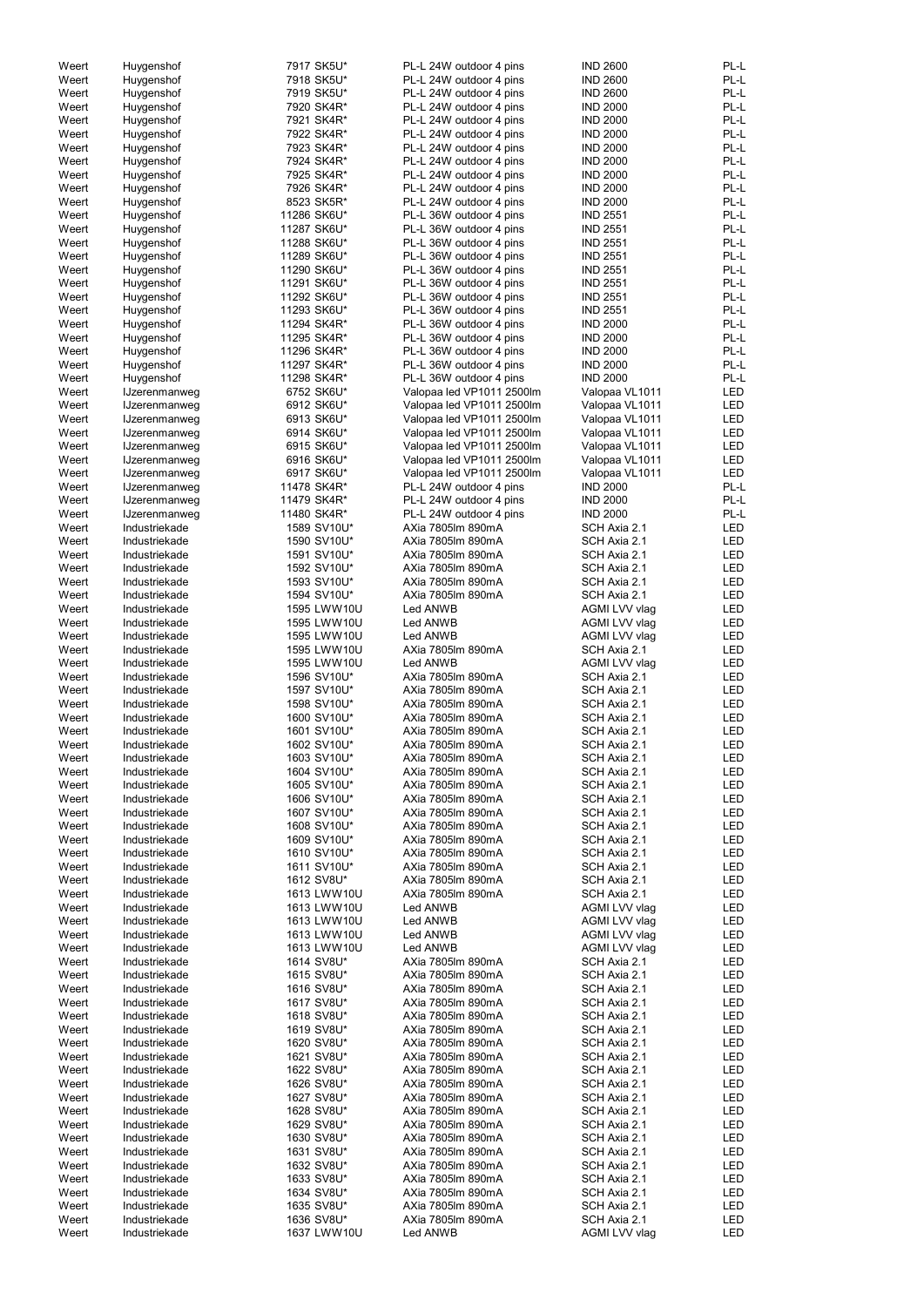| Weert | Huygenshof           | 7917 SK5U*  | PL-L 24W outdoor 4 pins   | <b>IND 2600</b> | PL-L       |
|-------|----------------------|-------------|---------------------------|-----------------|------------|
| Weert | Huygenshof           | 7918 SK5U*  | PL-L 24W outdoor 4 pins   | <b>IND 2600</b> | PL-L       |
| Weert | Huygenshof           | 7919 SK5U*  | PL-L 24W outdoor 4 pins   | <b>IND 2600</b> | PL-L       |
|       |                      |             |                           |                 |            |
| Weert | Huygenshof           | 7920 SK4R*  | PL-L 24W outdoor 4 pins   | <b>IND 2000</b> | PL-L       |
| Weert | Huygenshof           | 7921 SK4R*  | PL-L 24W outdoor 4 pins   | <b>IND 2000</b> | PL-L       |
| Weert | Huygenshof           | 7922 SK4R*  | PL-L 24W outdoor 4 pins   | <b>IND 2000</b> | PL-L       |
| Weert | Huygenshof           | 7923 SK4R*  | PL-L 24W outdoor 4 pins   | <b>IND 2000</b> | PL-L       |
| Weert | Huygenshof           | 7924 SK4R*  | PL-L 24W outdoor 4 pins   | <b>IND 2000</b> | PL-L       |
|       |                      |             |                           |                 |            |
| Weert | Huygenshof           | 7925 SK4R*  | PL-L 24W outdoor 4 pins   | <b>IND 2000</b> | PL-L       |
| Weert | Huygenshof           | 7926 SK4R*  | PL-L 24W outdoor 4 pins   | <b>IND 2000</b> | PL-L       |
| Weert | Huygenshof           | 8523 SK5R*  | PL-L 24W outdoor 4 pins   | <b>IND 2000</b> | PL-L       |
| Weert | Huygenshof           | 11286 SK6U* | PL-L 36W outdoor 4 pins   | <b>IND 2551</b> | PL-L       |
| Weert | Huygenshof           | 11287 SK6U* | PL-L 36W outdoor 4 pins   | <b>IND 2551</b> | PL-L       |
|       |                      |             |                           |                 |            |
| Weert | Huygenshof           | 11288 SK6U* | PL-L 36W outdoor 4 pins   | <b>IND 2551</b> | PL-L       |
| Weert | Huygenshof           | 11289 SK6U* | PL-L 36W outdoor 4 pins   | <b>IND 2551</b> | PL-L       |
| Weert | Huygenshof           | 11290 SK6U* | PL-L 36W outdoor 4 pins   | <b>IND 2551</b> | PL-L       |
| Weert | Huygenshof           | 11291 SK6U* | PL-L 36W outdoor 4 pins   | <b>IND 2551</b> | PL-L       |
| Weert | Huygenshof           | 11292 SK6U* | PL-L 36W outdoor 4 pins   | <b>IND 2551</b> | PL-L       |
| Weert | Huygenshof           | 11293 SK6U* | PL-L 36W outdoor 4 pins   | <b>IND 2551</b> | PL-L       |
|       |                      |             |                           |                 |            |
| Weert | Huygenshof           | 11294 SK4R* | PL-L 36W outdoor 4 pins   | <b>IND 2000</b> | PL-L       |
| Weert | Huygenshof           | 11295 SK4R* | PL-L 36W outdoor 4 pins   | <b>IND 2000</b> | PL-L       |
| Weert | Huygenshof           | 11296 SK4R* | PL-L 36W outdoor 4 pins   | <b>IND 2000</b> | PL-L       |
| Weert | Huygenshof           | 11297 SK4R* | PL-L 36W outdoor 4 pins   | <b>IND 2000</b> | PL-L       |
| Weert | Huygenshof           | 11298 SK4R* | PL-L 36W outdoor 4 pins   | <b>IND 2000</b> | PL-L       |
|       |                      | 6752 SK6U*  |                           |                 | <b>LED</b> |
| Weert | <b>IJzerenmanweg</b> |             | Valopaa led VP1011 2500lm | Valopaa VL1011  |            |
| Weert | <b>IJzerenmanweg</b> | 6912 SK6U*  | Valopaa led VP1011 2500lm | Valopaa VL1011  | <b>LED</b> |
| Weert | <b>IJzerenmanweg</b> | 6913 SK6U*  | Valopaa led VP1011 2500lm | Valopaa VL1011  | <b>LED</b> |
| Weert | <b>IJzerenmanweg</b> | 6914 SK6U*  | Valopaa led VP1011 2500lm | Valopaa VL1011  | <b>LED</b> |
| Weert | <b>IJzerenmanweg</b> | 6915 SK6U*  | Valopaa led VP1011 2500lm | Valopaa VL1011  | <b>LED</b> |
| Weert | <b>IJzerenmanweg</b> | 6916 SK6U*  | Valopaa led VP1011 2500lm | Valopaa VL1011  | <b>LED</b> |
|       |                      |             |                           |                 | <b>LED</b> |
| Weert | <b>IJzerenmanweg</b> | 6917 SK6U*  | Valopaa led VP1011 2500lm | Valopaa VL1011  |            |
| Weert | <b>IJzerenmanweg</b> | 11478 SK4R* | PL-L 24W outdoor 4 pins   | <b>IND 2000</b> | PL-L       |
| Weert | <b>IJzerenmanweg</b> | 11479 SK4R* | PL-L 24W outdoor 4 pins   | <b>IND 2000</b> | PL-L       |
| Weert | <b>IJzerenmanweg</b> | 11480 SK4R* | PL-L 24W outdoor 4 pins   | <b>IND 2000</b> | PL-L       |
| Weert | Industriekade        | 1589 SV10U* | AXia 7805lm 890mA         | SCH Axia 2.1    | <b>LED</b> |
| Weert | Industriekade        | 1590 SV10U* | AXia 7805lm 890mA         | SCH Axia 2.1    | <b>LED</b> |
|       |                      |             |                           |                 |            |
| Weert | Industriekade        | 1591 SV10U* | AXia 7805lm 890mA         | SCH Axia 2.1    | LED        |
| Weert | Industriekade        | 1592 SV10U* | AXia 7805lm 890mA         | SCH Axia 2.1    | LED        |
| Weert | Industriekade        | 1593 SV10U* | AXia 7805lm 890mA         | SCH Axia 2.1    | LED        |
| Weert | Industriekade        | 1594 SV10U* | AXia 7805lm 890mA         | SCH Axia 2.1    | LED        |
| Weert | Industriekade        | 1595 LWW10U | Led ANWB                  | AGMI LVV vlag   | LED        |
| Weert | Industriekade        | 1595 LWW10U | Led ANWB                  | AGMI LVV vlag   | LED        |
| Weert | Industriekade        | 1595 LWW10U | Led ANWB                  | AGMI LVV vlag   | <b>LED</b> |
|       |                      |             |                           |                 |            |
| Weert | Industriekade        | 1595 LWW10U | AXia 7805lm 890mA         | SCH Axia 2.1    | <b>LED</b> |
| Weert | Industriekade        | 1595 LWW10U | Led ANWB                  | AGMI LVV vlag   | <b>LED</b> |
| Weert | Industriekade        | 1596 SV10U* | AXia 7805lm 890mA         | SCH Axia 2.1    | <b>LED</b> |
| Weert | Industriekade        | 1597 SV10U* | AXia 7805lm 890mA         | SCH Axia 2.1    | LED        |
| Weert | Industriekade        | 1598 SV10U* | AXia 7805lm 890mA         | SCH Axia 2.1    | <b>LED</b> |
| Weert | Industriekade        | 1600 SV10U* | AXia 7805lm 890mA         | SCH Axia 2.1    | <b>LED</b> |
|       |                      |             |                           |                 |            |
| Weert | Industriekade        | 1601 SV10U* | AXia 7805lm 890mA         | SCH Axia 2.1    | <b>LED</b> |
| Weert | Industriekade        | 1602 SV10U* | AXia 7805lm 890mA         | SCH Axia 2.1    | <b>LED</b> |
| Weert | Industriekade        | 1603 SV10U* | AXia 7805lm 890mA         | SCH Axia 2.1    | <b>LED</b> |
| Weert | Industriekade        | 1604 SV10U* | AXia 7805lm 890mA         | SCH Axia 2.1    | LED        |
| Weert | Industriekade        | 1605 SV10U* | AXia 7805lm 890mA         | SCH Axia 2.1    | <b>LED</b> |
| Weert | Industriekade        | 1606 SV10U* | AXia 7805lm 890mA         | SCH Axia 2.1    | LED        |
|       |                      |             |                           |                 |            |
| Weert | Industriekade        | 1607 SV10U* | AXia 7805lm 890mA         | SCH Axia 2.1    | LED        |
| Weert | Industriekade        | 1608 SV10U* | AXia 7805lm 890mA         | SCH Axia 2.1    | <b>LED</b> |
| Weert | Industriekade        | 1609 SV10U* | AXia 7805lm 890mA         | SCH Axia 2.1    | LED        |
| Weert | Industriekade        | 1610 SV10U* | AXia 7805lm 890mA         | SCH Axia 2.1    | LED        |
| Weert | Industriekade        | 1611 SV10U* | AXia 7805lm 890mA         | SCH Axia 2.1    | <b>LED</b> |
| Weert | Industriekade        | 1612 SV8U*  | AXia 7805lm 890mA         | SCH Axia 2.1    | <b>LED</b> |
|       |                      |             |                           |                 |            |
| Weert | Industriekade        | 1613 LWW10U | AXia 7805lm 890mA         | SCH Axia 2.1    | <b>LED</b> |
| Weert | Industriekade        | 1613 LWW10U | Led ANWB                  | AGMI LVV vlag   | <b>LED</b> |
| Weert | Industriekade        | 1613 LWW10U | Led ANWB                  | AGMI LVV vlag   | <b>LED</b> |
| Weert | Industriekade        | 1613 LWW10U | Led ANWB                  | AGMI LVV vlag   | <b>LED</b> |
| Weert | Industriekade        | 1613 LWW10U | Led ANWB                  | AGMI LVV vlag   | <b>LED</b> |
| Weert | Industriekade        | 1614 SV8U*  | AXia 7805lm 890mA         | SCH Axia 2.1    | <b>LED</b> |
| Weert |                      | 1615 SV8U*  | AXia 7805lm 890mA         | SCH Axia 2.1    | <b>LED</b> |
|       | Industriekade        |             |                           |                 |            |
| Weert | Industriekade        | 1616 SV8U*  | AXia 7805lm 890mA         | SCH Axia 2.1    | <b>LED</b> |
| Weert | Industriekade        | 1617 SV8U*  | AXia 7805lm 890mA         | SCH Axia 2.1    | <b>LED</b> |
| Weert | Industriekade        | 1618 SV8U*  | AXia 7805lm 890mA         | SCH Axia 2.1    | <b>LED</b> |
| Weert | Industriekade        | 1619 SV8U*  | AXia 7805lm 890mA         | SCH Axia 2.1    | <b>LED</b> |
| Weert | Industriekade        | 1620 SV8U*  | AXia 7805lm 890mA         | SCH Axia 2.1    | LED        |
|       |                      | 1621 SV8U*  | AXia 7805lm 890mA         | SCH Axia 2.1    | LED        |
| Weert | Industriekade        |             |                           |                 |            |
| Weert | Industriekade        | 1622 SV8U*  | AXia 7805lm 890mA         | SCH Axia 2.1    | LED        |
| Weert | Industriekade        | 1626 SV8U*  | AXia 7805lm 890mA         | SCH Axia 2.1    | LED        |
| Weert | Industriekade        | 1627 SV8U*  | AXia 7805lm 890mA         | SCH Axia 2.1    | LED        |
| Weert | Industriekade        | 1628 SV8U*  | AXia 7805lm 890mA         | SCH Axia 2.1    | LED        |
| Weert | Industriekade        | 1629 SV8U*  | AXia 7805lm 890mA         | SCH Axia 2.1    | LED        |
|       |                      | 1630 SV8U*  | AXia 7805lm 890mA         |                 | LED        |
| Weert | Industriekade        |             |                           | SCH Axia 2.1    |            |
| Weert | Industriekade        | 1631 SV8U*  | AXia 7805lm 890mA         | SCH Axia 2.1    | LED        |
| Weert | Industriekade        | 1632 SV8U*  | AXia 7805lm 890mA         | SCH Axia 2.1    | LED        |
| Weert | Industriekade        | 1633 SV8U*  | AXia 7805lm 890mA         | SCH Axia 2.1    | LED        |
| Weert | Industriekade        | 1634 SV8U*  | AXia 7805lm 890mA         | SCH Axia 2.1    | LED        |
| Weert | Industriekade        | 1635 SV8U*  | AXia 7805lm 890mA         | SCH Axia 2.1    | LED        |
| Weert | Industriekade        | 1636 SV8U*  | AXia 7805lm 890mA         | SCH Axia 2.1    | LED        |
|       |                      |             |                           |                 |            |
| Weert | Industriekade        | 1637 LWW10U | Led ANWB                  | AGMI LVV vlag   | LED        |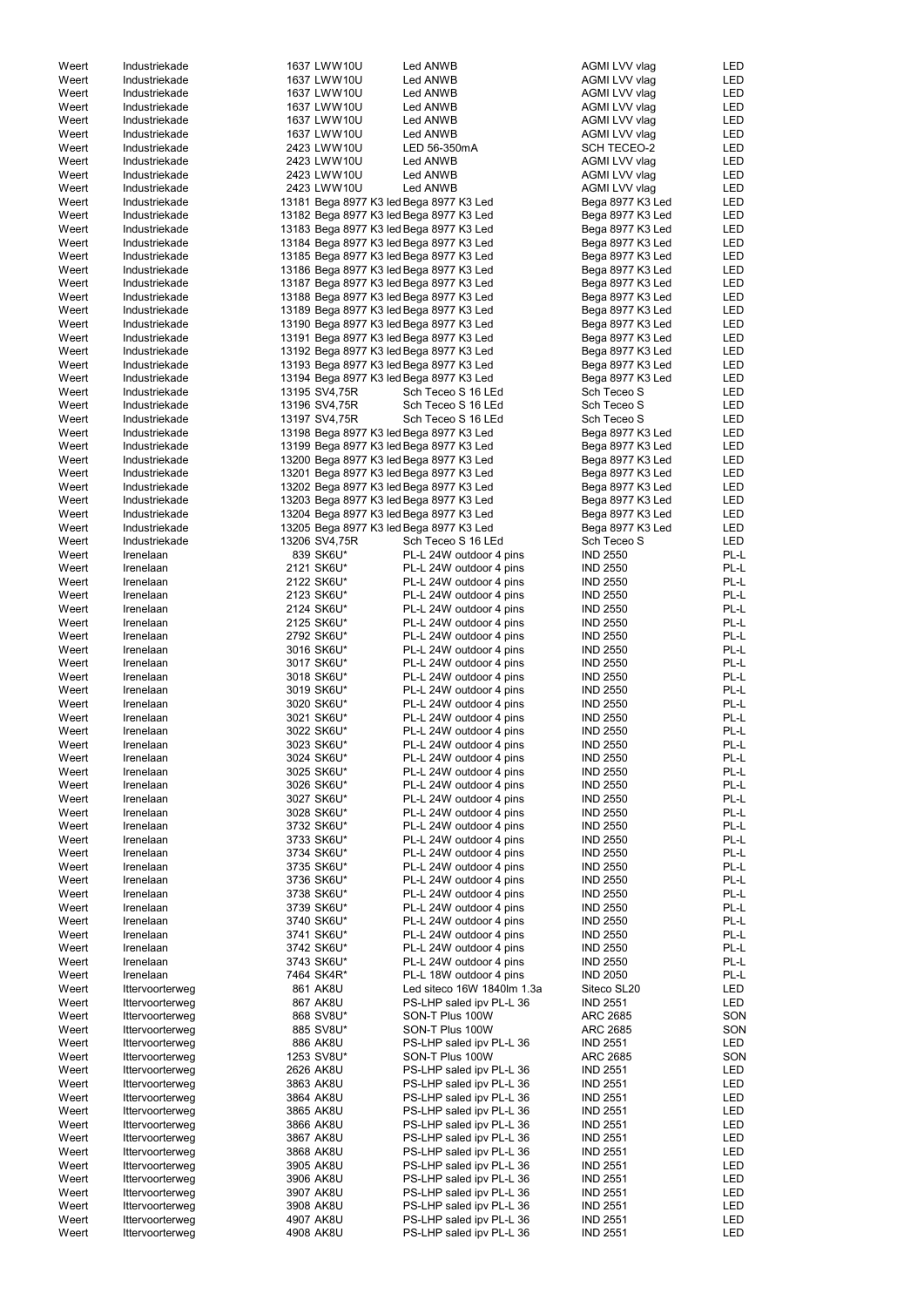| Weert | Industriekade   | 1637 LWW10U                             | Led ANWB                   | AGMI LVV vlag    | LED        |
|-------|-----------------|-----------------------------------------|----------------------------|------------------|------------|
| Weert | Industriekade   | 1637 LWW10U                             | Led ANWB                   | AGMI LVV vlag    | LED        |
| Weert | Industriekade   | 1637 LWW10U                             | Led ANWB                   | AGMI LVV vlag    | LED        |
|       |                 |                                         |                            |                  |            |
| Weert | Industriekade   | 1637 LWW10U                             | Led ANWB                   | AGMI LVV vlag    | LED        |
| Weert | Industriekade   | 1637 LWW10U                             | Led ANWB                   | AGMI LVV vlag    | LED        |
| Weert | Industriekade   | 1637 LWW10U                             | Led ANWB                   | AGMI LVV vlag    | LED        |
| Weert | Industriekade   | 2423 LWW10U                             | LED 56-350mA               | SCH TECEO-2      | LED        |
| Weert | Industriekade   | 2423 LWW10U                             | Led ANWB                   | AGMI LVV vlag    | LED        |
|       |                 |                                         |                            |                  |            |
| Weert | Industriekade   | 2423 LWW10U                             | Led ANWB                   | AGMI LVV vlag    | <b>LED</b> |
| Weert | Industriekade   | 2423 LWW10U                             | Led ANWB                   | AGMI LVV vlag    | LED        |
| Weert | Industriekade   | 13181 Bega 8977 K3 led Bega 8977 K3 Led |                            | Bega 8977 K3 Led | LED        |
| Weert | Industriekade   | 13182 Bega 8977 K3 led Bega 8977 K3 Led |                            | Bega 8977 K3 Led | LED        |
| Weert | Industriekade   | 13183 Bega 8977 K3 led Bega 8977 K3 Led |                            | Bega 8977 K3 Led | LED        |
|       |                 |                                         |                            |                  |            |
| Weert | Industriekade   | 13184 Bega 8977 K3 led Bega 8977 K3 Led |                            | Bega 8977 K3 Led | <b>LED</b> |
| Weert | Industriekade   | 13185 Bega 8977 K3 led Bega 8977 K3 Led |                            | Bega 8977 K3 Led | <b>LED</b> |
| Weert | Industriekade   | 13186 Bega 8977 K3 led Bega 8977 K3 Led |                            | Bega 8977 K3 Led | <b>LED</b> |
| Weert | Industriekade   | 13187 Bega 8977 K3 led Bega 8977 K3 Led |                            | Bega 8977 K3 Led | <b>LED</b> |
|       |                 |                                         |                            |                  |            |
| Weert | Industriekade   | 13188 Bega 8977 K3 led Bega 8977 K3 Led |                            | Bega 8977 K3 Led | LED        |
| Weert | Industriekade   | 13189 Bega 8977 K3 led Bega 8977 K3 Led |                            | Bega 8977 K3 Led | LED        |
| Weert | Industriekade   | 13190 Bega 8977 K3 led Bega 8977 K3 Led |                            | Bega 8977 K3 Led | LED        |
| Weert | Industriekade   | 13191 Bega 8977 K3 led Bega 8977 K3 Led |                            | Bega 8977 K3 Led | LED        |
| Weert | Industriekade   | 13192 Bega 8977 K3 led Bega 8977 K3 Led |                            | Bega 8977 K3 Led | LED        |
|       |                 |                                         |                            |                  |            |
| Weert | Industriekade   | 13193 Bega 8977 K3 led Bega 8977 K3 Led |                            | Bega 8977 K3 Led | LED        |
| Weert | Industriekade   | 13194 Bega 8977 K3 led Bega 8977 K3 Led |                            | Bega 8977 K3 Led | LED        |
| Weert | Industriekade   | 13195 SV4,75R                           | Sch Teceo S 16 LEd         | Sch Teceo S      | <b>LED</b> |
| Weert | Industriekade   | 13196 SV4,75R                           | Sch Teceo S 16 LEd         | Sch Teceo S      | LED        |
| Weert | Industriekade   | 13197 SV4,75R                           | Sch Teceo S 16 LEd         | Sch Teceo S      | LED        |
|       |                 |                                         |                            |                  |            |
| Weert | Industriekade   | 13198 Bega 8977 K3 led Bega 8977 K3 Led |                            | Bega 8977 K3 Led | LED        |
| Weert | Industriekade   | 13199 Bega 8977 K3 led Bega 8977 K3 Led |                            | Bega 8977 K3 Led | LED        |
| Weert | Industriekade   | 13200 Bega 8977 K3 led Bega 8977 K3 Led |                            | Bega 8977 K3 Led | LED        |
| Weert | Industriekade   | 13201 Bega 8977 K3 led Bega 8977 K3 Led |                            | Bega 8977 K3 Led | <b>LED</b> |
| Weert | Industriekade   | 13202 Bega 8977 K3 led Bega 8977 K3 Led |                            | Bega 8977 K3 Led | LED        |
|       |                 |                                         |                            |                  |            |
| Weert | Industriekade   | 13203 Bega 8977 K3 led Bega 8977 K3 Led |                            | Bega 8977 K3 Led | <b>LED</b> |
| Weert | Industriekade   | 13204 Bega 8977 K3 led Bega 8977 K3 Led |                            | Bega 8977 K3 Led | LED        |
| Weert | Industriekade   | 13205 Bega 8977 K3 led Bega 8977 K3 Led |                            | Bega 8977 K3 Led | LED        |
| Weert | Industriekade   | 13206 SV4,75R                           | Sch Teceo S 16 LEd         | Sch Teceo S      | <b>LED</b> |
|       |                 |                                         | PL-L 24W outdoor 4 pins    |                  | PL-L       |
| Weert | Irenelaan       | 839 SK6U*                               |                            | <b>IND 2550</b>  |            |
| Weert | Irenelaan       | 2121 SK6U*                              | PL-L 24W outdoor 4 pins    | <b>IND 2550</b>  | PL-L       |
| Weert | Irenelaan       | 2122 SK6U*                              | PL-L 24W outdoor 4 pins    | <b>IND 2550</b>  | PL-L       |
| Weert | Irenelaan       | 2123 SK6U*                              | PL-L 24W outdoor 4 pins    | <b>IND 2550</b>  | PL-L       |
| Weert | Irenelaan       | 2124 SK6U*                              | PL-L 24W outdoor 4 pins    | <b>IND 2550</b>  | PL-L       |
|       |                 |                                         | PL-L 24W outdoor 4 pins    | <b>IND 2550</b>  | PL-L       |
| Weert | Irenelaan       | 2125 SK6U*                              |                            |                  |            |
| Weert | Irenelaan       | 2792 SK6U*                              | PL-L 24W outdoor 4 pins    | <b>IND 2550</b>  | PL-L       |
| Weert | Irenelaan       | 3016 SK6U*                              | PL-L 24W outdoor 4 pins    | <b>IND 2550</b>  | PL-L       |
| Weert | Irenelaan       | 3017 SK6U*                              | PL-L 24W outdoor 4 pins    | <b>IND 2550</b>  | PL-L       |
| Weert | Irenelaan       | 3018 SK6U*                              | PL-L 24W outdoor 4 pins    | <b>IND 2550</b>  | PL-L       |
|       |                 |                                         |                            |                  |            |
| Weert | Irenelaan       | 3019 SK6U*                              | PL-L 24W outdoor 4 pins    | <b>IND 2550</b>  | PL-L       |
| Weert | Irenelaan       | 3020 SK6U*                              | PL-L 24W outdoor 4 pins    | <b>IND 2550</b>  | PL-L       |
| Weert | Irenelaan       | 3021 SK6U*                              | PL-L 24W outdoor 4 pins    | <b>IND 2550</b>  | PL-L       |
| Weert | Irenelaan       | 3022 SK6U*                              | PL-L 24W outdoor 4 pins    | <b>IND 2550</b>  | PL-L       |
|       |                 |                                         |                            |                  | PL-L       |
| Weert | Irenelaan       | 3023 SK6U*                              | PL-L 24W outdoor 4 pins    | <b>IND 2550</b>  |            |
| Weert | Irenelaan       | 3024 SK6U*                              | PL-L 24W outdoor 4 pins    | <b>IND 2550</b>  | PL-L       |
| Weert | Irenelaan       | 3025 SK6U*                              | PL-L 24W outdoor 4 pins    | <b>IND 2550</b>  | PL-L       |
| Weert | Irenelaan       | 3026 SK6U*                              | PL-L 24W outdoor 4 pins    | <b>IND 2550</b>  | PL-L       |
| Weert | Irenelaan       | 3027 SK6U*                              | PL-L 24W outdoor 4 pins    | <b>IND 2550</b>  | PL-L       |
|       | Irenelaan       |                                         |                            |                  | PL-L       |
| Weert |                 | 3028 SK6U*                              | PL-L 24W outdoor 4 pins    | <b>IND 2550</b>  |            |
| Weert | Irenelaan       | 3732 SK6U*                              | PL-L 24W outdoor 4 pins    | <b>IND 2550</b>  | PL-L       |
| Weert | Irenelaan       | 3733 SK6U*                              | PL-L 24W outdoor 4 pins    | <b>IND 2550</b>  | PL-L       |
| Weert | Irenelaan       | 3734 SK6U*                              | PL-L 24W outdoor 4 pins    | <b>IND 2550</b>  | PL-L       |
| Weert | Irenelaan       | 3735 SK6U*                              | PL-L 24W outdoor 4 pins    | <b>IND 2550</b>  | PL-L       |
| Weert | Irenelaan       | 3736 SK6U*                              | PL-L 24W outdoor 4 pins    | <b>IND 2550</b>  | PL-L       |
|       |                 |                                         |                            |                  |            |
| Weert | Irenelaan       | 3738 SK6U*                              | PL-L 24W outdoor 4 pins    | <b>IND 2550</b>  | PL-L       |
| Weert | Irenelaan       | 3739 SK6U*                              | PL-L 24W outdoor 4 pins    | <b>IND 2550</b>  | PL-L       |
| Weert | Irenelaan       | 3740 SK6U*                              | PL-L 24W outdoor 4 pins    | <b>IND 2550</b>  | PL-L       |
| Weert | Irenelaan       | 3741 SK6U*                              | PL-L 24W outdoor 4 pins    | <b>IND 2550</b>  | PL-L       |
| Weert | Irenelaan       | 3742 SK6U*                              | PL-L 24W outdoor 4 pins    | <b>IND 2550</b>  | PL-L       |
| Weert | Irenelaan       | 3743 SK6U*                              | PL-L 24W outdoor 4 pins    | <b>IND 2550</b>  | PL-L       |
|       |                 |                                         |                            |                  |            |
| Weert | Irenelaan       | 7464 SK4R*                              | PL-L 18W outdoor 4 pins    | <b>IND 2050</b>  | PL-L       |
| Weert | Ittervoorterweg | 861 AK8U                                | Led siteco 16W 1840lm 1.3a | Siteco SL20      | LED        |
| Weert | Ittervoorterweg | 867 AK8U                                | PS-LHP saled ipv PL-L 36   | <b>IND 2551</b>  | <b>LED</b> |
| Weert | Ittervoorterweg | 868 SV8U*                               | SON-T Plus 100W            | ARC 2685         | SON        |
|       |                 |                                         |                            |                  |            |
| Weert | Ittervoorterweg | 885 SV8U*                               | SON-T Plus 100W            | <b>ARC 2685</b>  | SON        |
| Weert | Ittervoorterweg | 886 AK8U                                | PS-LHP saled ipv PL-L 36   | <b>IND 2551</b>  | <b>LED</b> |
| Weert | Ittervoorterweg | 1253 SV8U*                              | SON-T Plus 100W            | ARC 2685         | SON        |
| Weert | Ittervoorterweg | 2626 AK8U                               | PS-LHP saled ipv PL-L 36   | <b>IND 2551</b>  | LED        |
| Weert | Ittervoorterweg | 3863 AK8U                               | PS-LHP saled ipv PL-L 36   | <b>IND 2551</b>  | LED        |
|       |                 |                                         |                            |                  |            |
| Weert | Ittervoorterweg | 3864 AK8U                               | PS-LHP saled ipv PL-L 36   | <b>IND 2551</b>  | LED        |
| Weert | Ittervoorterweg | 3865 AK8U                               | PS-LHP saled ipv PL-L 36   | <b>IND 2551</b>  | LED        |
| Weert | Ittervoorterweg | 3866 AK8U                               | PS-LHP saled ipv PL-L 36   | <b>IND 2551</b>  | LED        |
| Weert | Ittervoorterweg | 3867 AK8U                               | PS-LHP saled ipv PL-L 36   | <b>IND 2551</b>  | LED        |
| Weert | Ittervoorterweg | 3868 AK8U                               | PS-LHP saled ipv PL-L 36   | <b>IND 2551</b>  | LED        |
|       |                 |                                         |                            |                  |            |
| Weert | Ittervoorterweg | 3905 AK8U                               | PS-LHP saled ipv PL-L 36   | <b>IND 2551</b>  | LED        |
| Weert | Ittervoorterweg | 3906 AK8U                               | PS-LHP saled ipv PL-L 36   | <b>IND 2551</b>  | LED        |
| Weert | Ittervoorterweg | 3907 AK8U                               | PS-LHP saled ipv PL-L 36   | <b>IND 2551</b>  | LED        |
| Weert | Ittervoorterweg | 3908 AK8U                               | PS-LHP saled ipv PL-L 36   | <b>IND 2551</b>  | LED        |
| Weert | Ittervoorterweg | 4907 AK8U                               | PS-LHP saled ipv PL-L 36   | <b>IND 2551</b>  | LED        |
|       |                 |                                         |                            | <b>IND 2551</b>  | <b>LED</b> |
| Weert | Ittervoorterweg | 4908 AK8U                               | PS-LHP saled ipv PL-L 36   |                  |            |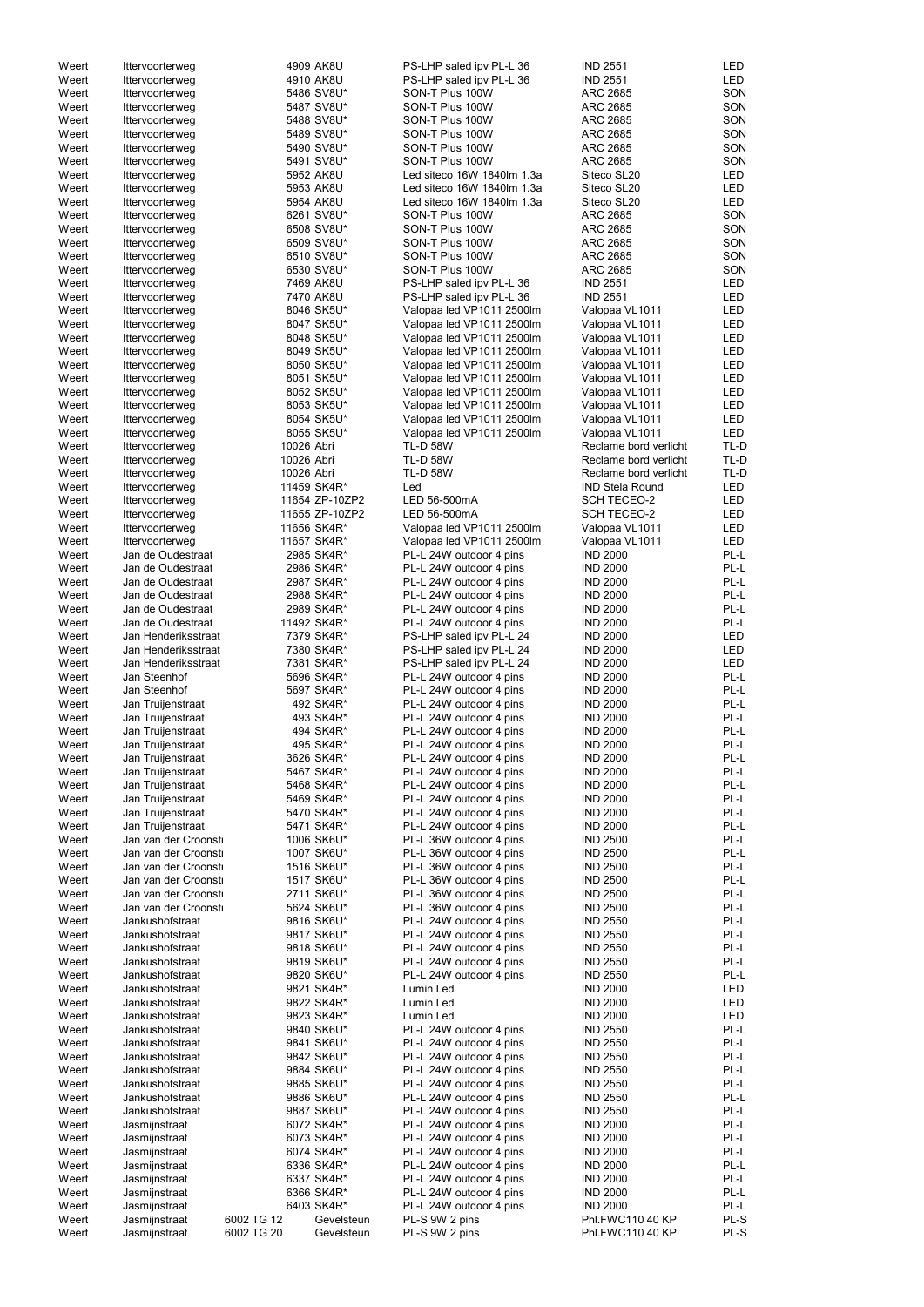| Weert          | Ittervoorterweg      |                          | 4909 AK8U      | PS-LHP saled ipv PL-L 36           | <b>IND 2551</b>        | LED          |
|----------------|----------------------|--------------------------|----------------|------------------------------------|------------------------|--------------|
| Weert          | Ittervoorterweg      |                          | 4910 AK8U      | PS-LHP saled ipv PL-L 36           | <b>IND 2551</b>        | <b>LED</b>   |
| Weert          | Ittervoorterweg      |                          | 5486 SV8U*     | SON-T Plus 100W                    | <b>ARC 2685</b>        | SON          |
| Weert          | Ittervoorterweg      |                          | 5487 SV8U*     | SON-T Plus 100W                    | <b>ARC 2685</b>        | SON          |
| Weert          | Ittervoorterweg      |                          | 5488 SV8U*     | SON-T Plus 100W                    | ARC 2685               | SON          |
| Weert          | Ittervoorterweg      |                          | 5489 SV8U*     | SON-T Plus 100W                    | <b>ARC 2685</b>        | SON          |
| Weert          | Ittervoorterweg      |                          | 5490 SV8U*     | SON-T Plus 100W                    | ARC 2685               | SON          |
| Weert          | Ittervoorterweg      |                          | 5491 SV8U*     | SON-T Plus 100W                    | <b>ARC 2685</b>        | SON          |
| Weert          | Ittervoorterweg      |                          | 5952 AK8U      | Led siteco 16W 1840lm 1.3a         | Siteco SL20            | <b>LED</b>   |
| Weert          | Ittervoorterweg      |                          | 5953 AK8U      | Led siteco 16W 1840lm 1.3a         | Siteco SL20            | <b>LED</b>   |
|                |                      |                          |                |                                    |                        |              |
| Weert          | Ittervoorterweg      |                          | 5954 AK8U      | Led siteco 16W 1840lm 1.3a         | Siteco SL20            | <b>LED</b>   |
| Weert          | Ittervoorterweg      |                          | 6261 SV8U*     | SON-T Plus 100W                    | <b>ARC 2685</b>        | SON          |
| Weert          | Ittervoorterweg      |                          | 6508 SV8U*     | SON-T Plus 100W                    | ARC 2685               | SON          |
| Weert          | Ittervoorterweg      |                          | 6509 SV8U*     | SON-T Plus 100W                    | ARC 2685               | SON          |
| Weert          | Ittervoorterweg      |                          | 6510 SV8U*     | SON-T Plus 100W                    | ARC 2685               | SON          |
| Weert          | Ittervoorterweg      |                          | 6530 SV8U*     | SON-T Plus 100W                    | ARC 2685               | SON          |
| Weert          | Ittervoorterweg      |                          | 7469 AK8U      | PS-LHP saled ipv PL-L 36           | <b>IND 2551</b>        | <b>LED</b>   |
| Weert          | Ittervoorterweg      |                          | 7470 AK8U      | PS-LHP saled ipv PL-L 36           | <b>IND 2551</b>        | <b>LED</b>   |
| Weert          | Ittervoorterweg      |                          | 8046 SK5U*     | Valopaa led VP1011 2500lm          | Valopaa VL1011         | <b>LED</b>   |
| Weert          | Ittervoorterweg      |                          | 8047 SK5U*     | Valopaa led VP1011 2500lm          | Valopaa VL1011         | <b>LED</b>   |
| Weert          | Ittervoorterweg      |                          | 8048 SK5U*     | Valopaa led VP1011 2500lm          | Valopaa VL1011         | <b>LED</b>   |
| Weert          | Ittervoorterweg      |                          | 8049 SK5U*     | Valopaa led VP1011 2500lm          | Valopaa VL1011         | LED          |
| Weert          | Ittervoorterweg      |                          | 8050 SK5U*     | Valopaa led VP1011 2500lm          | Valopaa VL1011         | <b>LED</b>   |
| Weert          | Ittervoorterweg      |                          | 8051 SK5U*     | Valopaa led VP1011 2500lm          | Valopaa VL1011         | <b>LED</b>   |
| Weert          | Ittervoorterweg      |                          | 8052 SK5U*     | Valopaa led VP1011 2500lm          | Valopaa VL1011         | <b>LED</b>   |
| Weert          | Ittervoorterweg      |                          | 8053 SK5U*     | Valopaa led VP1011 2500lm          | Valopaa VL1011         | <b>LED</b>   |
| Weert          | Ittervoorterweg      |                          | 8054 SK5U*     | Valopaa led VP1011 2500lm          | Valopaa VL1011         | <b>LED</b>   |
| Weert          | Ittervoorterweg      |                          | 8055 SK5U*     | Valopaa led VP1011 2500lm          | Valopaa VL1011         | <b>LED</b>   |
|                |                      |                          |                |                                    |                        |              |
| Weert<br>Weert | Ittervoorterweg      | 10026 Abri<br>10026 Abri |                | <b>TL-D 58W</b><br><b>TL-D 58W</b> | Reclame bord verlicht  | TL-D<br>TL-D |
|                | Ittervoorterweg      |                          |                |                                    | Reclame bord verlicht  |              |
| Weert          | Ittervoorterweg      | 10026 Abri               |                | <b>TL-D 58W</b>                    | Reclame bord verlicht  | TL-D         |
| Weert          | Ittervoorterweg      |                          | 11459 SK4R*    | Led                                | <b>IND Stela Round</b> | LED          |
| Weert          | Ittervoorterweg      |                          | 11654 ZP-10ZP2 | LED 56-500mA                       | <b>SCH TECEO-2</b>     | <b>LED</b>   |
| Weert          | Ittervoorterweg      |                          | 11655 ZP-10ZP2 | LED 56-500mA                       | <b>SCH TECEO-2</b>     | <b>LED</b>   |
| Weert          | Ittervoorterweg      |                          | 11656 SK4R*    | Valopaa led VP1011 2500lm          | Valopaa VL1011         | <b>LED</b>   |
| Weert          | Ittervoorterweg      |                          | 11657 SK4R*    | Valopaa led VP1011 2500lm          | Valopaa VL1011         | <b>LED</b>   |
| Weert          | Jan de Oudestraat    |                          | 2985 SK4R*     | PL-L 24W outdoor 4 pins            | <b>IND 2000</b>        | PL-L         |
| Weert          | Jan de Oudestraat    |                          | 2986 SK4R*     | PL-L 24W outdoor 4 pins            | <b>IND 2000</b>        | PL-L         |
| Weert          | Jan de Oudestraat    |                          | 2987 SK4R*     | PL-L 24W outdoor 4 pins            | <b>IND 2000</b>        | PL-L         |
| Weert          | Jan de Oudestraat    |                          | 2988 SK4R*     | PL-L 24W outdoor 4 pins            | <b>IND 2000</b>        | PL-L         |
| Weert          | Jan de Oudestraat    |                          | 2989 SK4R*     | PL-L 24W outdoor 4 pins            | <b>IND 2000</b>        | PL-L         |
| Weert          | Jan de Oudestraat    |                          | 11492 SK4R*    | PL-L 24W outdoor 4 pins            | <b>IND 2000</b>        | PL-L         |
| Weert          | Jan Henderiksstraat  |                          | 7379 SK4R*     | PS-LHP saled ipv PL-L 24           | <b>IND 2000</b>        | LED          |
| Weert          | Jan Henderiksstraat  |                          | 7380 SK4R*     | PS-LHP saled ipv PL-L 24           | <b>IND 2000</b>        | <b>LED</b>   |
| Weert          | Jan Henderiksstraat  |                          | 7381 SK4R*     | PS-LHP saled ipv PL-L 24           | <b>IND 2000</b>        | <b>LED</b>   |
| Weert          | Jan Steenhof         |                          | 5696 SK4R*     | PL-L 24W outdoor 4 pins            | <b>IND 2000</b>        | PL-L         |
|                |                      |                          |                |                                    |                        |              |
| Weert          | Jan Steenhof         |                          | 5697 SK4R*     | PL-L 24W outdoor 4 pins            | <b>IND 2000</b>        | PL-L         |
| Weert          | Jan Truijenstraat    |                          | 492 SK4R*      | PL-L 24W outdoor 4 pins            | <b>IND 2000</b>        | PL-L         |
| Weert          | Jan Truijenstraat    |                          | 493 SK4R*      | PL-L 24W outdoor 4 pins            | <b>IND 2000</b>        | PL-L         |
| Weert          | Jan Truijenstraat    |                          | 494 SK4R*      | PL-L 24W outdoor 4 pins            | <b>IND 2000</b>        | PL-L         |
| Weert          | Jan Truijenstraat    |                          | 495 SK4R*      | PL-L 24W outdoor 4 pins            | <b>IND 2000</b>        | PL-L         |
| Weert          | Jan Truijenstraat    |                          | 3626 SK4R*     | PL-L 24W outdoor 4 pins            | <b>IND 2000</b>        | PL-L         |
| Weert          | Jan Truijenstraat    |                          | 5467 SK4R*     | PL-L 24W outdoor 4 pins            | <b>IND 2000</b>        | PL-L         |
| Weert          | Jan Truijenstraat    |                          | 5468 SK4R*     | PL-L 24W outdoor 4 pins            | <b>IND 2000</b>        | PL-L         |
| Weert          | Jan Truijenstraat    |                          | 5469 SK4R*     | PL-L 24W outdoor 4 pins            | <b>IND 2000</b>        | PL-L         |
| Weert          | Jan Truijenstraat    |                          | 5470 SK4R*     | PL-L 24W outdoor 4 pins            | <b>IND 2000</b>        | PL-L         |
| Weert          | Jan Truijenstraat    |                          | 5471 SK4R*     | PL-L 24W outdoor 4 pins            | <b>IND 2000</b>        | PL-L         |
| Weert          | Jan van der Croonsti |                          | 1006 SK6U*     | PL-L 36W outdoor 4 pins            | <b>IND 2500</b>        | PL-L         |
| Weert          | Jan van der Croonsti |                          | 1007 SK6U*     | PL-L 36W outdoor 4 pins            | <b>IND 2500</b>        | PL-L         |
| Weert          | Jan van der Croonsti |                          | 1516 SK6U*     | PL-L 36W outdoor 4 pins            | <b>IND 2500</b>        | PL-L         |
| Weert          | Jan van der Croonst  |                          | 1517 SK6U*     | PL-L 36W outdoor 4 pins            | <b>IND 2500</b>        | PL-L         |
| Weert          | Jan van der Croonsti |                          | 2711 SK6U*     | PL-L 36W outdoor 4 pins            | <b>IND 2500</b>        | PL-L         |
| Weert          | Jan van der Croonsti |                          | 5624 SK6U*     | PL-L 36W outdoor 4 pins            | <b>IND 2500</b>        | PL-L         |
| Weert          | Jankushofstraat      |                          | 9816 SK6U*     | PL-L 24W outdoor 4 pins            | <b>IND 2550</b>        | PL-L         |
| Weert          | Jankushofstraat      |                          | 9817 SK6U*     | PL-L 24W outdoor 4 pins            | <b>IND 2550</b>        | PL-L         |
| Weert          | Jankushofstraat      |                          | 9818 SK6U*     | PL-L 24W outdoor 4 pins            | <b>IND 2550</b>        | PL-L         |
|                |                      |                          |                |                                    |                        | PL-L         |
| Weert          | Jankushofstraat      |                          | 9819 SK6U*     | PL-L 24W outdoor 4 pins            | <b>IND 2550</b>        |              |
| Weert          | Jankushofstraat      |                          | 9820 SK6U*     | PL-L 24W outdoor 4 pins            | <b>IND 2550</b>        | PL-L         |
| Weert          | Jankushofstraat      |                          | 9821 SK4R*     | Lumin Led                          | <b>IND 2000</b>        | LED          |
| Weert          | Jankushofstraat      |                          | 9822 SK4R*     | Lumin Led                          | <b>IND 2000</b>        | <b>LED</b>   |
| Weert          | Jankushofstraat      |                          | 9823 SK4R*     | Lumin Led                          | <b>IND 2000</b>        | <b>LED</b>   |
| Weert          | Jankushofstraat      |                          | 9840 SK6U*     | PL-L 24W outdoor 4 pins            | <b>IND 2550</b>        | PL-L         |
| Weert          | Jankushofstraat      |                          | 9841 SK6U*     | PL-L 24W outdoor 4 pins            | <b>IND 2550</b>        | $PL-L$       |
| Weert          | Jankushofstraat      |                          | 9842 SK6U*     | PL-L 24W outdoor 4 pins            | <b>IND 2550</b>        | PL-L         |
| Weert          | Jankushofstraat      |                          | 9884 SK6U*     | PL-L 24W outdoor 4 pins            | <b>IND 2550</b>        | PL-L         |
| Weert          | Jankushofstraat      |                          | 9885 SK6U*     | PL-L 24W outdoor 4 pins            | <b>IND 2550</b>        | PL-L         |
| Weert          | Jankushofstraat      |                          | 9886 SK6U*     | PL-L 24W outdoor 4 pins            | <b>IND 2550</b>        | PL-L         |
| Weert          | Jankushofstraat      |                          | 9887 SK6U*     | PL-L 24W outdoor 4 pins            | <b>IND 2550</b>        | PL-L         |
| Weert          | Jasmijnstraat        |                          | 6072 SK4R*     | PL-L 24W outdoor 4 pins            | <b>IND 2000</b>        | PL-L         |
| Weert          | Jasmijnstraat        |                          | 6073 SK4R*     | PL-L 24W outdoor 4 pins            | <b>IND 2000</b>        | PL-L         |
| Weert          | Jasmijnstraat        |                          | 6074 SK4R*     | PL-L 24W outdoor 4 pins            | <b>IND 2000</b>        | PL-L         |
| Weert          | Jasmijnstraat        |                          | 6336 SK4R*     | PL-L 24W outdoor 4 pins            | <b>IND 2000</b>        | PL-L         |
| Weert          | Jasmijnstraat        |                          | 6337 SK4R*     | PL-L 24W outdoor 4 pins            | <b>IND 2000</b>        | PL-L         |
| Weert          | Jasmijnstraat        |                          | 6366 SK4R*     | PL-L 24W outdoor 4 pins            | <b>IND 2000</b>        | PL-L         |
| Weert          | Jasmijnstraat        |                          | 6403 SK4R*     | PL-L 24W outdoor 4 pins            | <b>IND 2000</b>        | PL-L         |
| Weert          |                      | 6002 TG 12               |                | PL-S 9W 2 pins                     | Phl.FWC110 40 KP       | PL-S         |
|                | Jasmijnstraat        |                          | Gevelsteun     |                                    |                        |              |
| Weert          | Jasmijnstraat        | 6002 TG 20               | Gevelsteun     | PL-S 9W 2 pins                     | Phl.FWC110 40 KP       | PL-S         |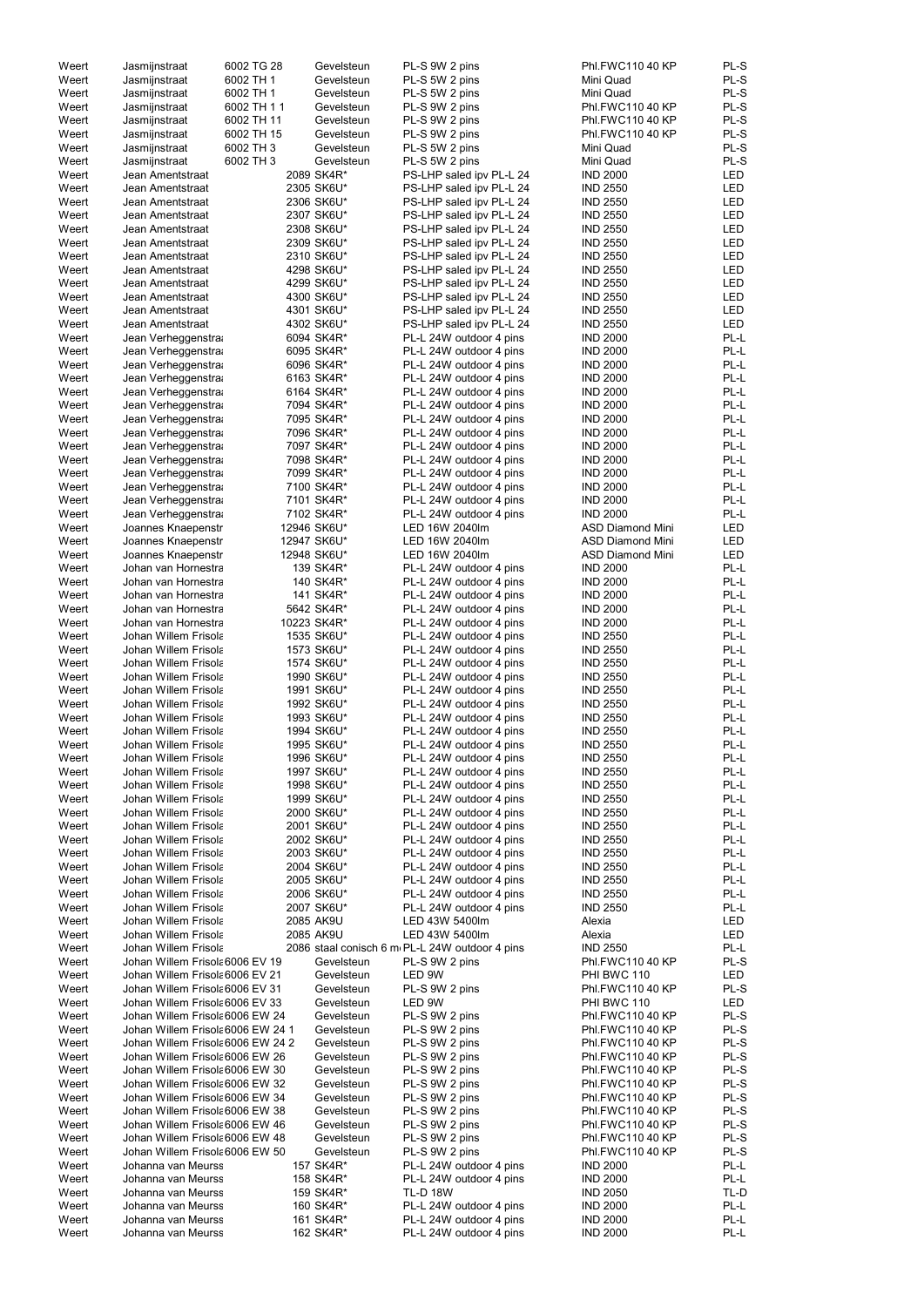| Weert          | Jasmijnstraat                                | 6002 TG 28  | Gevelsteun               | PL-S 9W 2 pins                                     | Phl.FWC110 40 KP                   | PL-S         |
|----------------|----------------------------------------------|-------------|--------------------------|----------------------------------------------------|------------------------------------|--------------|
| Weert          | Jasmijnstraat                                | 6002 TH 1   | Gevelsteun               | PL-S 5W 2 pins                                     | Mini Quad                          | PL-S         |
| Weert          | Jasmijnstraat                                | 6002 TH 1   | Gevelsteun               | PL-S 5W 2 pins                                     | Mini Quad                          | PL-S         |
| Weert          | Jasmijnstraat                                | 6002 TH 1 1 | Gevelsteun               | PL-S 9W 2 pins                                     | Phl.FWC110 40 KP                   | PL-S         |
| Weert          | Jasmijnstraat                                | 6002 TH 11  | Gevelsteun               | PL-S 9W 2 pins                                     | Phl.FWC110 40 KP                   | PL-S         |
| Weert          | Jasmijnstraat                                | 6002 TH 15  | Gevelsteun               | PL-S 9W 2 pins                                     | Phl.FWC110 40 KP                   | PL-S         |
| Weert          | Jasmijnstraat                                | 6002 TH 3   | Gevelsteun               | PL-S 5W 2 pins                                     | Mini Quad                          | PL-S         |
| Weert          | Jasmijnstraat                                | 6002 TH 3   | Gevelsteun               | PL-S 5W 2 pins                                     | Mini Quad                          | PL-S         |
| Weert          | Jean Amentstraat                             |             | 2089 SK4R*               | PS-LHP saled ipv PL-L 24                           | <b>IND 2000</b>                    | LED          |
| Weert          | Jean Amentstraat                             |             | 2305 SK6U*               | PS-LHP saled ipv PL-L 24                           | <b>IND 2550</b>                    | LED          |
| Weert          | Jean Amentstraat                             |             | 2306 SK6U*               | PS-LHP saled ipv PL-L 24                           | <b>IND 2550</b>                    | LED          |
| Weert          | Jean Amentstraat                             |             | 2307 SK6U*               | PS-LHP saled ipv PL-L 24                           | <b>IND 2550</b>                    | LED          |
| Weert          | Jean Amentstraat                             |             | 2308 SK6U*               | PS-LHP saled ipv PL-L 24                           | <b>IND 2550</b>                    | LED          |
| Weert          | Jean Amentstraat                             |             | 2309 SK6U*               | PS-LHP saled ipv PL-L 24                           | <b>IND 2550</b>                    | LED          |
| Weert          | Jean Amentstraat                             |             | 2310 SK6U*               | PS-LHP saled ipv PL-L 24                           | <b>IND 2550</b>                    | <b>LED</b>   |
| Weert          | Jean Amentstraat                             |             | 4298 SK6U*               | PS-LHP saled ipv PL-L 24                           | <b>IND 2550</b>                    | LED          |
| Weert          | Jean Amentstraat                             |             | 4299 SK6U*               | PS-LHP saled ipv PL-L 24                           | <b>IND 2550</b>                    | LED          |
| Weert          | Jean Amentstraat                             |             | 4300 SK6U*               | PS-LHP saled ipv PL-L 24                           | <b>IND 2550</b>                    | LED          |
| Weert          | Jean Amentstraat                             |             | 4301 SK6U*               | PS-LHP saled ipv PL-L 24                           | <b>IND 2550</b>                    | LED          |
| Weert          | Jean Amentstraat                             |             | 4302 SK6U*               | PS-LHP saled ipv PL-L 24                           | <b>IND 2550</b>                    | LED          |
| Weert          | Jean Verheggenstra                           |             | 6094 SK4R*               | PL-L 24W outdoor 4 pins                            | <b>IND 2000</b>                    | PL-L         |
| Weert          | Jean Verheggenstra                           |             | 6095 SK4R*               | PL-L 24W outdoor 4 pins                            | <b>IND 2000</b>                    | PL-L         |
| Weert          | Jean Verheggenstra                           |             | 6096 SK4R*               | PL-L 24W outdoor 4 pins                            | <b>IND 2000</b>                    | PL-L         |
| Weert          | Jean Verheggenstra                           |             | 6163 SK4R*               | PL-L 24W outdoor 4 pins                            | <b>IND 2000</b>                    | PL-L         |
| Weert          | Jean Verheggenstra                           |             | 6164 SK4R*               | PL-L 24W outdoor 4 pins                            | <b>IND 2000</b>                    | PL-L         |
| Weert          | Jean Verheggenstra                           |             | 7094 SK4R*               | PL-L 24W outdoor 4 pins                            | <b>IND 2000</b>                    | PL-L         |
| Weert          | Jean Verheggenstra                           |             | 7095 SK4R*               | PL-L 24W outdoor 4 pins                            | <b>IND 2000</b>                    | PL-L         |
| Weert          | Jean Verheggenstra                           |             | 7096 SK4R*               | PL-L 24W outdoor 4 pins                            | <b>IND 2000</b>                    | PL-L         |
| Weert          | Jean Verheggenstra                           |             | 7097 SK4R*               | PL-L 24W outdoor 4 pins                            | <b>IND 2000</b>                    | PL-L         |
| Weert          | Jean Verheggenstra                           |             | 7098 SK4R*               | PL-L 24W outdoor 4 pins                            | <b>IND 2000</b>                    | PL-L         |
| Weert          | Jean Verheggenstra                           |             | 7099 SK4R*               | PL-L 24W outdoor 4 pins                            | <b>IND 2000</b>                    | PL-L         |
| Weert          | Jean Verheggenstra                           |             | 7100 SK4R*               | PL-L 24W outdoor 4 pins                            | <b>IND 2000</b>                    | PL-L         |
| Weert          | Jean Verheggenstra                           |             | 7101 SK4R*               | PL-L 24W outdoor 4 pins                            | <b>IND 2000</b>                    | PL-L         |
| Weert          | Jean Verheggenstra                           |             | 7102 SK4R*               | PL-L 24W outdoor 4 pins                            | <b>IND 2000</b>                    | PL-L         |
| Weert          | Joannes Knaepenstr                           |             | 12946 SK6U*              | LED 16W 2040lm                                     | <b>ASD Diamond Mini</b>            | LED          |
| Weert          | Joannes Knaepenstr                           |             | 12947 SK6U*              | LED 16W 2040lm                                     | <b>ASD Diamond Mini</b>            | <b>LED</b>   |
| Weert          | Joannes Knaepenstr                           |             | 12948 SK6U*              | LED 16W 2040lm                                     | <b>ASD Diamond Mini</b>            | LED          |
| Weert          | Johan van Hornestra                          |             | 139 SK4R*                | PL-L 24W outdoor 4 pins                            | <b>IND 2000</b>                    | PL-L         |
| Weert          | Johan van Hornestra                          |             | 140 SK4R*                | PL-L 24W outdoor 4 pins                            | <b>IND 2000</b>                    | PL-L         |
| Weert          | Johan van Hornestra                          |             | 141 SK4R*                | PL-L 24W outdoor 4 pins                            | <b>IND 2000</b>                    | PL-L         |
| Weert          | Johan van Hornestra                          |             | 5642 SK4R*               | PL-L 24W outdoor 4 pins                            | <b>IND 2000</b>                    | PL-L         |
| Weert          | Johan van Hornestra                          |             | 10223 SK4R*              | PL-L 24W outdoor 4 pins                            | <b>IND 2000</b>                    | PL-L         |
| Weert          | Johan Willem Frisola                         |             | 1535 SK6U*               | PL-L 24W outdoor 4 pins                            | <b>IND 2550</b>                    | PL-L<br>PL-L |
| Weert          | Johan Willem Frisola                         |             | 1573 SK6U*               | PL-L 24W outdoor 4 pins                            | <b>IND 2550</b>                    |              |
| Weert          | Johan Willem Frisola<br>Johan Willem Frisola |             | 1574 SK6U*               | PL-L 24W outdoor 4 pins<br>PL-L 24W outdoor 4 pins | <b>IND 2550</b>                    | PL-L<br>PL-L |
| Weert<br>Weert | Johan Willem Frisola                         |             | 1990 SK6U*<br>1991 SK6U* | PL-L 24W outdoor 4 pins                            | <b>IND 2550</b><br><b>IND 2550</b> | PL-L         |
| Weert          | Johan Willem Frisola                         |             | 1992 SK6U*               | PL-L 24W outdoor 4 pins                            | <b>IND 2550</b>                    | PL-L         |
| Weert          | Johan Willem Frisola                         |             | 1993 SK6U*               | PL-L 24W outdoor 4 pins                            | <b>IND 2550</b>                    | PL-L         |
| Weert          | Johan Willem Frisola                         |             | 1994 SK6U*               | PL-L 24W outdoor 4 pins                            | <b>IND 2550</b>                    | PL-L         |
| Weert          | Johan Willem Frisola                         |             | 1995 SK6U*               | PL-L 24W outdoor 4 pins                            | <b>IND 2550</b>                    | PL-L         |
| Weert          | Johan Willem Frisola                         |             | 1996 SK6U*               | PL-L 24W outdoor 4 pins                            | <b>IND 2550</b>                    | PL-L         |
| Weert          | Johan Willem Frisola                         |             | 1997 SK6U*               | PL-L 24W outdoor 4 pins                            | <b>IND 2550</b>                    | PL-L         |
| Weert          | Johan Willem Frisola                         |             | 1998 SK6U*               | PL-L 24W outdoor 4 pins                            | <b>IND 2550</b>                    | PL-L         |
| Weert          | Johan Willem Frisola                         |             | 1999 SK6U*               | PL-L 24W outdoor 4 pins                            | <b>IND 2550</b>                    | PL-L         |
| Weert          | Johan Willem Frisola                         |             | 2000 SK6U*               | PL-L 24W outdoor 4 pins                            | <b>IND 2550</b>                    | PL-L         |
| Weert          | Johan Willem Frisola                         |             | 2001 SK6U*               | PL-L 24W outdoor 4 pins                            | <b>IND 2550</b>                    | PL-L         |
| Weert          | Johan Willem Frisola                         |             | 2002 SK6U*               | PL-L 24W outdoor 4 pins                            | <b>IND 2550</b>                    | PL-L         |
| Weert          | Johan Willem Frisola                         |             | 2003 SK6U*               | PL-L 24W outdoor 4 pins                            | <b>IND 2550</b>                    | PL-L         |
| Weert          | Johan Willem Frisola                         |             | 2004 SK6U*               | PL-L 24W outdoor 4 pins                            | <b>IND 2550</b>                    | PL-L         |
| Weert          | Johan Willem Frisola                         |             | 2005 SK6U*               | PL-L 24W outdoor 4 pins                            | <b>IND 2550</b>                    | PL-L         |
| Weert          | Johan Willem Frisola                         |             | 2006 SK6U*               | PL-L 24W outdoor 4 pins                            | <b>IND 2550</b>                    | PL-L         |
| Weert          | Johan Willem Frisola                         |             | 2007 SK6U*               | PL-L 24W outdoor 4 pins                            | <b>IND 2550</b>                    | PL-L         |
| Weert          | Johan Willem Frisola                         |             | 2085 AK9U                | LED 43W 5400lm                                     | Alexia                             | LED          |
| Weert          | Johan Willem Frisola                         |             | 2085 AK9U                | LED 43W 5400lm                                     | Alexia                             | <b>LED</b>   |
| Weert          | Johan Willem Frisola                         |             |                          | 2086 staal conisch 6 m PL-L 24W outdoor 4 pins     | <b>IND 2550</b>                    | PL-L         |
| Weert          | Johan Willem Frisola 6006 EV 19              |             | Gevelsteun               | PL-S 9W 2 pins                                     | Phl.FWC110 40 KP                   | PL-S         |
| Weert          | Johan Willem Frisola 6006 EV 21              |             | Gevelsteun               | LED 9W                                             | PHI BWC 110                        | LED          |
| Weert          | Johan Willem Frisola 6006 EV 31              |             | Gevelsteun               | PL-S 9W 2 pins                                     | Phl.FWC110 40 KP                   | PL-S         |
| Weert          | Johan Willem Frisola 6006 EV 33              |             | Gevelsteun               | LED 9W                                             | PHI BWC 110                        | LED          |
| Weert          | Johan Willem Frisola 6006 EW 24              |             | Gevelsteun               | PL-S 9W 2 pins                                     | Phl.FWC110 40 KP                   | PL-S         |
| Weert          | Johan Willem Frisola 6006 EW 24 1            |             | Gevelsteun               | PL-S 9W 2 pins                                     | Phl.FWC110 40 KP                   | PL-S         |
| Weert          | Johan Willem Frisola 6006 EW 24 2            |             | Gevelsteun               | PL-S 9W 2 pins                                     | Phl.FWC110 40 KP                   | PL-S         |
| Weert          | Johan Willem Frisola 6006 EW 26              |             | Gevelsteun               | PL-S 9W 2 pins                                     | Phl.FWC110 40 KP                   | PL-S         |
| Weert          | Johan Willem Frisola 6006 EW 30              |             | Gevelsteun               | PL-S 9W 2 pins                                     | Phl.FWC110 40 KP                   | PL-S         |
| Weert          | Johan Willem Frisola 6006 EW 32              |             | Gevelsteun               | PL-S 9W 2 pins                                     | Phl.FWC110 40 KP                   | PL-S         |
| Weert          | Johan Willem Frisola 6006 EW 34              |             | Gevelsteun               | PL-S 9W 2 pins                                     | Phl.FWC110 40 KP                   | PL-S         |
| Weert          | Johan Willem Frisola 6006 EW 38              |             | Gevelsteun               | PL-S 9W 2 pins                                     | Phl.FWC110 40 KP                   | PL-S         |
| Weert          | Johan Willem Frisola 6006 EW 46              |             | Gevelsteun               | PL-S 9W 2 pins                                     | Phl.FWC110 40 KP                   | PL-S         |
| Weert          | Johan Willem Frisola 6006 EW 48              |             | Gevelsteun               | PL-S 9W 2 pins                                     | Phl.FWC110 40 KP                   | PL-S         |
| Weert          | Johan Willem Frisola 6006 EW 50              |             | Gevelsteun               | PL-S 9W 2 pins                                     | Phl.FWC110 40 KP                   | PL-S         |
| Weert          | Johanna van Meurss                           |             | 157 SK4R*                | PL-L 24W outdoor 4 pins                            | <b>IND 2000</b>                    | PL-L         |
| Weert          | Johanna van Meurss                           |             | 158 SK4R*                | PL-L 24W outdoor 4 pins                            | <b>IND 2000</b>                    | PL-L         |
| Weert          | Johanna van Meurss                           |             | 159 SK4R*                | <b>TL-D 18W</b>                                    | <b>IND 2050</b>                    | TL-D         |
| Weert          | Johanna van Meurss                           |             | 160 SK4R*                | PL-L 24W outdoor 4 pins                            | <b>IND 2000</b>                    | PL-L         |
| Weert          | Johanna van Meurss                           |             | 161 SK4R*                | PL-L 24W outdoor 4 pins                            | <b>IND 2000</b>                    | PL-L         |
| Weert          | Johanna van Meurss                           |             | 162 SK4R*                | PL-L 24W outdoor 4 pins                            | <b>IND 2000</b>                    | PL-L         |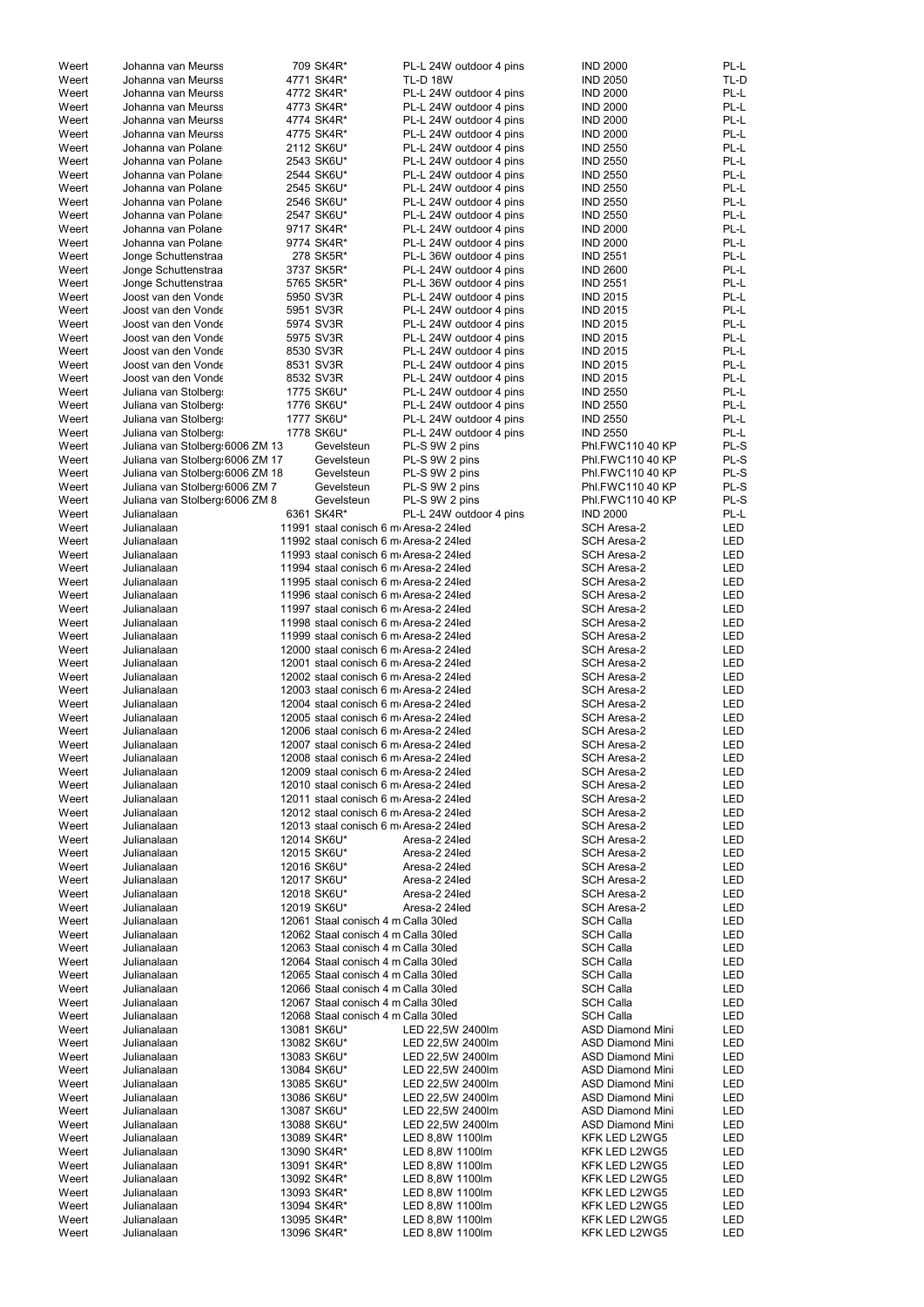| Weert | Johanna van Meurss              | 709 SK4R*                             | PL-L 24W outdoor 4 pins | <b>IND 2000</b>         | PL-L       |
|-------|---------------------------------|---------------------------------------|-------------------------|-------------------------|------------|
| Weert | Johanna van Meurss              | 4771 SK4R*                            | <b>TL-D 18W</b>         | <b>IND 2050</b>         | TL-D       |
| Weert | Johanna van Meurss              | 4772 SK4R*                            | PL-L 24W outdoor 4 pins | <b>IND 2000</b>         | PL-L       |
| Weert | Johanna van Meurss              | 4773 SK4R*                            | PL-L 24W outdoor 4 pins | <b>IND 2000</b>         | PL-L       |
| Weert | Johanna van Meurss              | 4774 SK4R*                            | PL-L 24W outdoor 4 pins | <b>IND 2000</b>         | PL-L       |
| Weert | Johanna van Meurss              | 4775 SK4R*                            | PL-L 24W outdoor 4 pins | <b>IND 2000</b>         | PL-L       |
| Weert | Johanna van Polane              | 2112 SK6U*                            | PL-L 24W outdoor 4 pins | <b>IND 2550</b>         | PL-L       |
|       |                                 |                                       |                         |                         |            |
| Weert | Johanna van Polane              | 2543 SK6U*                            | PL-L 24W outdoor 4 pins | <b>IND 2550</b>         | PL-L       |
| Weert | Johanna van Polane              | 2544 SK6U*                            | PL-L 24W outdoor 4 pins | <b>IND 2550</b>         | PL-L       |
| Weert | Johanna van Polane              | 2545 SK6U*                            | PL-L 24W outdoor 4 pins | <b>IND 2550</b>         | PL-L       |
| Weert | Johanna van Polane              | 2546 SK6U*                            | PL-L 24W outdoor 4 pins | <b>IND 2550</b>         | PL-L       |
| Weert | Johanna van Polane              | 2547 SK6U*                            | PL-L 24W outdoor 4 pins | <b>IND 2550</b>         | PL-L       |
|       |                                 |                                       |                         |                         | PL-L       |
| Weert | Johanna van Polane              | 9717 SK4R*                            | PL-L 24W outdoor 4 pins | <b>IND 2000</b>         |            |
| Weert | Johanna van Polane              | 9774 SK4R*                            | PL-L 24W outdoor 4 pins | <b>IND 2000</b>         | PL-L       |
| Weert | Jonge Schuttenstraa             | 278 SK5R*                             | PL-L 36W outdoor 4 pins | <b>IND 2551</b>         | PL-L       |
| Weert | Jonge Schuttenstraa             | 3737 SK5R*                            | PL-L 24W outdoor 4 pins | <b>IND 2600</b>         | PL-L       |
| Weert | Jonge Schuttenstraa             | 5765 SK5R*                            | PL-L 36W outdoor 4 pins | <b>IND 2551</b>         | PL-L       |
| Weert | Joost van den Vonde             | 5950 SV3R                             |                         | <b>IND 2015</b>         | PL-L       |
|       |                                 |                                       | PL-L 24W outdoor 4 pins |                         |            |
| Weert | Joost van den Vonde             | 5951 SV3R                             | PL-L 24W outdoor 4 pins | <b>IND 2015</b>         | PL-L       |
| Weert | Joost van den Vonde             | 5974 SV3R                             | PL-L 24W outdoor 4 pins | <b>IND 2015</b>         | PL-L       |
| Weert | Joost van den Vonde             | 5975 SV3R                             | PL-L 24W outdoor 4 pins | <b>IND 2015</b>         | PL-L       |
| Weert | Joost van den Vonde             | 8530 SV3R                             | PL-L 24W outdoor 4 pins | <b>IND 2015</b>         | PL-L       |
| Weert | Joost van den Vonde             | 8531 SV3R                             | PL-L 24W outdoor 4 pins | <b>IND 2015</b>         | PL-L       |
|       |                                 |                                       |                         |                         |            |
| Weert | Joost van den Vonde             | 8532 SV3R                             | PL-L 24W outdoor 4 pins | <b>IND 2015</b>         | PL-L       |
| Weert | Juliana van Stolberg            | 1775 SK6U*                            | PL-L 24W outdoor 4 pins | <b>IND 2550</b>         | PL-L       |
| Weert | Juliana van Stolberg            | 1776 SK6U*                            | PL-L 24W outdoor 4 pins | <b>IND 2550</b>         | PL-L       |
| Weert | Juliana van Stolberg:           | 1777 SK6U*                            | PL-L 24W outdoor 4 pins | <b>IND 2550</b>         | PL-L       |
| Weert | Juliana van Stolberg            | 1778 SK6U*                            | PL-L 24W outdoor 4 pins | <b>IND 2550</b>         | PL-L       |
|       |                                 |                                       |                         |                         |            |
| Weert | Juliana van Stolberg 6006 ZM 13 | Gevelsteun                            | PL-S 9W 2 pins          | Phl.FWC110 40 KP        | PL-S       |
| Weert | Juliana van Stolberg 6006 ZM 17 | Gevelsteun                            | PL-S 9W 2 pins          | Phl.FWC110 40 KP        | PL-S       |
| Weert | Juliana van Stolberg 6006 ZM 18 | Gevelsteun                            | PL-S 9W 2 pins          | Phl.FWC110 40 KP        | PL-S       |
| Weert | Juliana van Stolberg 6006 ZM 7  | Gevelsteun                            | PL-S 9W 2 pins          | Phl.FWC110 40 KP        | PL-S       |
| Weert | Juliana van Stolberg 6006 ZM 8  | Gevelsteun                            | PL-S 9W 2 pins          | Phl.FWC110 40 KP        | PL-S       |
|       |                                 |                                       |                         |                         |            |
| Weert | Julianalaan                     | 6361 SK4R*                            | PL-L 24W outdoor 4 pins | <b>IND 2000</b>         | PL-L       |
| Weert | Julianalaan                     | 11991 staal conisch 6 m Aresa-2 24led |                         | SCH Aresa-2             | <b>LED</b> |
| Weert | Julianalaan                     | 11992 staal conisch 6 m Aresa-2 24led |                         | <b>SCH Aresa-2</b>      | <b>LED</b> |
| Weert | Julianalaan                     | 11993 staal conisch 6 m Aresa-2 24led |                         | <b>SCH Aresa-2</b>      | LED        |
| Weert | Julianalaan                     | 11994 staal conisch 6 m Aresa-2 24led |                         | <b>SCH Aresa-2</b>      | LED        |
|       |                                 |                                       |                         |                         |            |
| Weert | Julianalaan                     | 11995 staal conisch 6 m Aresa-2 24led |                         | SCH Aresa-2             | LED        |
| Weert | Julianalaan                     | 11996 staal conisch 6 m Aresa-2 24led |                         | <b>SCH Aresa-2</b>      | LED        |
| Weert | Julianalaan                     | 11997 staal conisch 6 m Aresa-2 24led |                         | <b>SCH Aresa-2</b>      | LED        |
| Weert | Julianalaan                     | 11998 staal conisch 6 m Aresa-2 24led |                         | <b>SCH Aresa-2</b>      | <b>LED</b> |
| Weert | Julianalaan                     | 11999 staal conisch 6 m Aresa-2 24led |                         | <b>SCH Aresa-2</b>      | <b>LED</b> |
|       |                                 |                                       |                         |                         |            |
| Weert | Julianalaan                     | 12000 staal conisch 6 m Aresa-2 24led |                         | <b>SCH Aresa-2</b>      | LED        |
| Weert | Julianalaan                     | 12001 staal conisch 6 m Aresa-2 24led |                         | <b>SCH Aresa-2</b>      | <b>LED</b> |
| Weert | Julianalaan                     | 12002 staal conisch 6 m Aresa-2 24led |                         | <b>SCH Aresa-2</b>      | LED        |
| Weert | Julianalaan                     | 12003 staal conisch 6 m Aresa-2 24led |                         | <b>SCH Aresa-2</b>      | LED        |
| Weert | Julianalaan                     | 12004 staal conisch 6 m Aresa-2 24led |                         | SCH Aresa-2             | LED        |
|       |                                 |                                       |                         |                         |            |
| Weert | Julianalaan                     | 12005 staal conisch 6 m Aresa-2 24led |                         | SCH Aresa-2             | <b>LED</b> |
| Weert | Julianalaan                     | 12006 staal conisch 6 m Aresa-2 24led |                         | <b>SCH Aresa-2</b>      | LED        |
| Weert | Julianalaan                     | 12007 staal conisch 6 m Aresa-2 24led |                         | SCH Aresa-2             | LED        |
| Weert | Julianalaan                     | 12008 staal conisch 6 m Aresa-2 24led |                         | <b>SCH Aresa-2</b>      | LED        |
| Weert | Julianalaan                     | 12009 staal conisch 6 m Aresa-2 24led |                         | SCH Aresa-2             | LED        |
|       |                                 |                                       |                         |                         |            |
| Weert | Julianalaan                     | 12010 staal conisch 6 m Aresa-2 24led |                         | <b>SCH Aresa-2</b>      | LED        |
| Weert | Julianalaan                     | 12011 staal conisch 6 m Aresa-2 24led |                         | SCH Aresa-2             | LED        |
| Weert | Julianalaan                     | 12012 staal conisch 6 m Aresa-2 24led |                         | <b>SCH Aresa-2</b>      | LED        |
| Weert | Julianalaan                     | 12013 staal conisch 6 m Aresa-2 24led |                         | <b>SCH Aresa-2</b>      | LED        |
| Weert | Julianalaan                     | 12014 SK6U*                           | Aresa-2 24led           | <b>SCH Aresa-2</b>      | LED        |
| Weert | Julianalaan                     | 12015 SK6U*                           | Aresa-2 24led           | <b>SCH Aresa-2</b>      | LED        |
|       |                                 |                                       |                         |                         |            |
| Weert | Julianalaan                     | 12016 SK6U*                           | Aresa-2 24led           | <b>SCH Aresa-2</b>      | <b>LED</b> |
| Weert | Julianalaan                     | 12017 SK6U*                           | Aresa-2 24led           | <b>SCH Aresa-2</b>      | LED        |
| Weert | Julianalaan                     | 12018 SK6U*                           | Aresa-2 24led           | <b>SCH Aresa-2</b>      | <b>LED</b> |
| Weert | Julianalaan                     | 12019 SK6U*                           | Aresa-2 24led           | SCH Aresa-2             | LED        |
| Weert | Julianalaan                     | 12061 Staal conisch 4 m Calla 30led   |                         | <b>SCH Calla</b>        | LED        |
| Weert | Julianalaan                     | 12062 Staal conisch 4 m Calla 30led   |                         | <b>SCH Calla</b>        | LED        |
|       |                                 |                                       |                         |                         |            |
| Weert | Julianalaan                     | 12063 Staal conisch 4 m Calla 30led   |                         | <b>SCH Calla</b>        | LED        |
| Weert | Julianalaan                     | 12064 Staal conisch 4 m Calla 30led   |                         | <b>SCH Calla</b>        | LED        |
| Weert | Julianalaan                     | 12065 Staal conisch 4 m Calla 30led   |                         | <b>SCH Calla</b>        | LED        |
| Weert | Julianalaan                     | 12066 Staal conisch 4 m Calla 30led   |                         | <b>SCH Calla</b>        | LED        |
| Weert | Julianalaan                     | 12067 Staal conisch 4 m Calla 30led   |                         | <b>SCH Calla</b>        | LED        |
|       |                                 |                                       |                         |                         |            |
| Weert | Julianalaan                     | 12068 Staal conisch 4 m Calla 30led   |                         | <b>SCH Calla</b>        | LED        |
| Weert | Julianalaan                     | 13081 SK6U*                           | LED 22,5W 2400lm        | <b>ASD Diamond Mini</b> | LED        |
| Weert | Julianalaan                     | 13082 SK6U*                           | LED 22,5W 2400lm        | <b>ASD Diamond Mini</b> | <b>LED</b> |
| Weert | Julianalaan                     | 13083 SK6U*                           | LED 22,5W 2400lm        | <b>ASD Diamond Mini</b> | LED        |
| Weert | Julianalaan                     | 13084 SK6U*                           | LED 22,5W 2400lm        | <b>ASD Diamond Mini</b> | LED        |
| Weert | Julianalaan                     | 13085 SK6U*                           | LED 22,5W 2400lm        | <b>ASD Diamond Mini</b> | <b>LED</b> |
|       |                                 |                                       |                         |                         |            |
| Weert | Julianalaan                     | 13086 SK6U*                           | LED 22,5W 2400lm        | <b>ASD Diamond Mini</b> | <b>LED</b> |
| Weert | Julianalaan                     | 13087 SK6U*                           | LED 22,5W 2400lm        | <b>ASD Diamond Mini</b> | <b>LED</b> |
| Weert | Julianalaan                     | 13088 SK6U*                           | LED 22,5W 2400lm        | <b>ASD Diamond Mini</b> | <b>LED</b> |
| Weert | Julianalaan                     | 13089 SK4R*                           | LED 8,8W 1100lm         | KFK LED L2WG5           | LED        |
| Weert | Julianalaan                     | 13090 SK4R*                           | LED 8,8W 1100lm         | KFK LED L2WG5           | LED        |
|       |                                 |                                       |                         |                         |            |
| Weert | Julianalaan                     | 13091 SK4R*                           | LED 8,8W 1100lm         | KFK LED L2WG5           | <b>LED</b> |
| Weert | Julianalaan                     | 13092 SK4R*                           | LED 8,8W 1100lm         | KFK LED L2WG5           | LED        |
| Weert | Julianalaan                     | 13093 SK4R*                           | LED 8,8W 1100lm         | KFK LED L2WG5           | LED        |
| Weert | Julianalaan                     | 13094 SK4R*                           | LED 8,8W 1100lm         | KFK LED L2WG5           | LED        |
| Weert | Julianalaan                     | 13095 SK4R*                           | LED 8,8W 1100lm         | KFK LED L2WG5           | LED        |
| Weert | Julianalaan                     | 13096 SK4R*                           | LED 8,8W 1100lm         | KFK LED L2WG5           | LED        |
|       |                                 |                                       |                         |                         |            |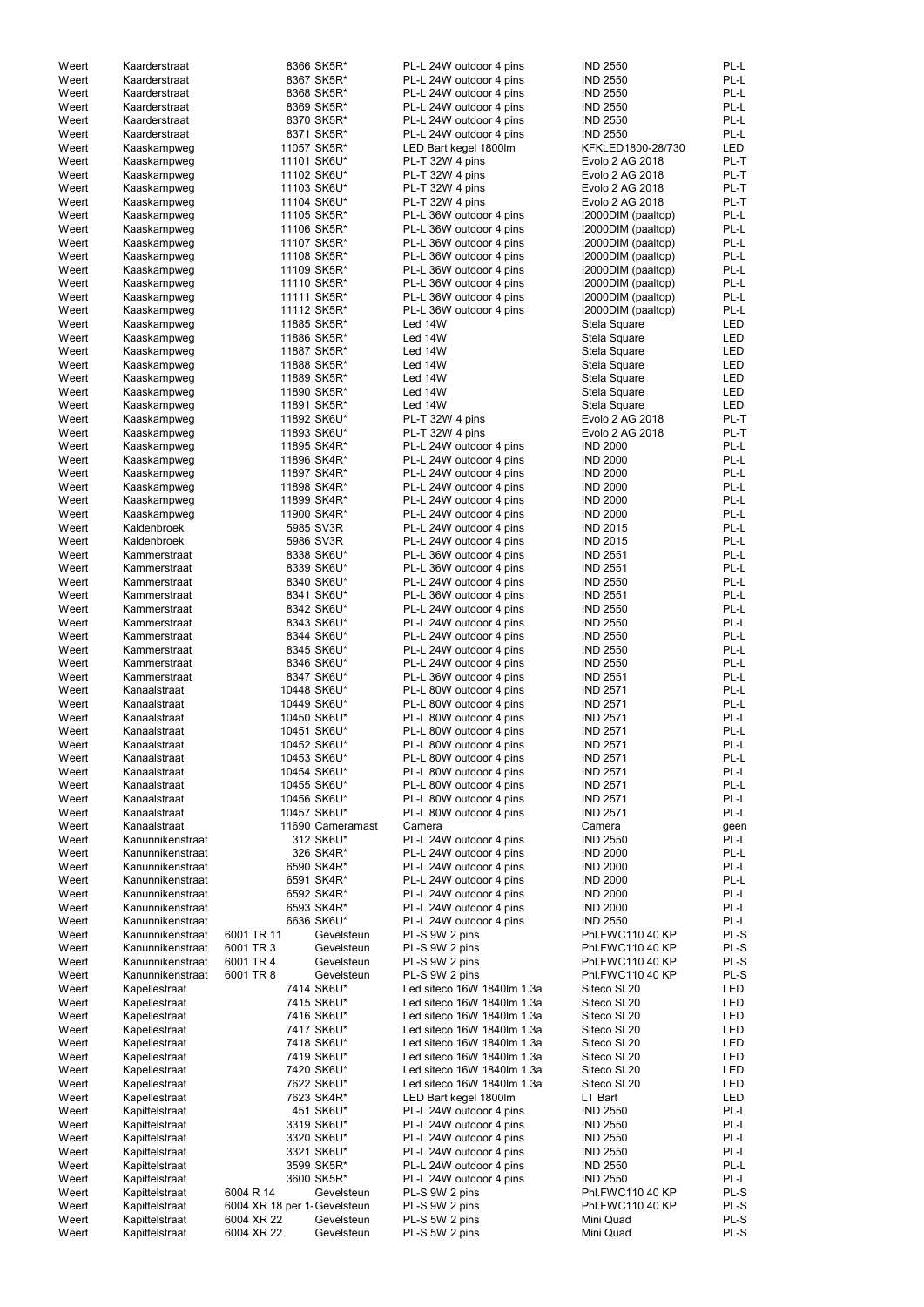| Weert | Kaarderstraat    |                              | 8366 SK5R*       | PL-L 24W outdoor 4 pins    | <b>IND 2550</b>    | PL-L       |
|-------|------------------|------------------------------|------------------|----------------------------|--------------------|------------|
| Weert | Kaarderstraat    |                              | 8367 SK5R*       | PL-L 24W outdoor 4 pins    | <b>IND 2550</b>    | PL-L       |
| Weert | Kaarderstraat    |                              | 8368 SK5R*       | PL-L 24W outdoor 4 pins    | <b>IND 2550</b>    | PL-L       |
| Weert | Kaarderstraat    |                              | 8369 SK5R*       | PL-L 24W outdoor 4 pins    | <b>IND 2550</b>    | PL-L       |
|       |                  |                              | 8370 SK5R*       |                            | <b>IND 2550</b>    | PL-L       |
| Weert | Kaarderstraat    |                              |                  | PL-L 24W outdoor 4 pins    |                    |            |
| Weert | Kaarderstraat    |                              | 8371 SK5R*       | PL-L 24W outdoor 4 pins    | <b>IND 2550</b>    | PL-L       |
| Weert | Kaaskampweg      |                              | 11057 SK5R*      | LED Bart kegel 1800lm      | KFKLED1800-28/730  | <b>LED</b> |
| Weert | Kaaskampweg      |                              | 11101 SK6U*      | PL-T 32W 4 pins            | Evolo 2 AG 2018    | PL-T       |
| Weert | Kaaskampweg      |                              | 11102 SK6U*      | PL-T 32W 4 pins            | Evolo 2 AG 2018    | PL-T       |
| Weert | Kaaskampweg      |                              | 11103 SK6U*      | PL-T 32W 4 pins            | Evolo 2 AG 2018    | PL-T       |
| Weert | Kaaskampweg      |                              | 11104 SK6U*      | PL-T 32W 4 pins            | Evolo 2 AG 2018    | PL-T       |
|       |                  |                              |                  |                            |                    | PL-L       |
| Weert | Kaaskampweg      |                              | 11105 SK5R*      | PL-L 36W outdoor 4 pins    | I2000DIM (paaltop) |            |
| Weert | Kaaskampweg      |                              | 11106 SK5R*      | PL-L 36W outdoor 4 pins    | I2000DIM (paaltop) | PL-L       |
| Weert | Kaaskampweg      |                              | 11107 SK5R*      | PL-L 36W outdoor 4 pins    | I2000DIM (paaltop) | PL-L       |
| Weert | Kaaskampweg      |                              | 11108 SK5R*      | PL-L 36W outdoor 4 pins    | I2000DIM (paaltop) | PL-L       |
| Weert | Kaaskampweg      |                              | 11109 SK5R*      | PL-L 36W outdoor 4 pins    | I2000DIM (paaltop) | PL-L       |
| Weert | Kaaskampweg      |                              | 11110 SK5R*      | PL-L 36W outdoor 4 pins    | I2000DIM (paaltop) | PL-L       |
| Weert | Kaaskampweg      |                              | 11111 SK5R*      | PL-L 36W outdoor 4 pins    | I2000DIM (paaltop) | PL-L       |
| Weert | Kaaskampweg      |                              | 11112 SK5R*      | PL-L 36W outdoor 4 pins    | I2000DIM (paaltop) | PL-L       |
|       |                  |                              |                  |                            |                    |            |
| Weert | Kaaskampweg      |                              | 11885 SK5R*      | Led 14W                    | Stela Square       | <b>LED</b> |
| Weert | Kaaskampweg      |                              | 11886 SK5R*      | Led 14W                    | Stela Square       | <b>LED</b> |
| Weert | Kaaskampweg      |                              | 11887 SK5R*      | Led 14W                    | Stela Square       | <b>LED</b> |
| Weert | Kaaskampweg      |                              | 11888 SK5R*      | Led 14W                    | Stela Square       | <b>LED</b> |
| Weert | Kaaskampweg      |                              | 11889 SK5R*      | Led 14W                    | Stela Square       | <b>LED</b> |
| Weert | Kaaskampweg      |                              | 11890 SK5R*      | Led 14W                    | Stela Square       | <b>LED</b> |
| Weert | Kaaskampweg      |                              | 11891 SK5R*      | Led 14W                    | Stela Square       | <b>LED</b> |
| Weert |                  |                              |                  | PL-T 32W 4 pins            | Evolo 2 AG 2018    | PL-T       |
|       | Kaaskampweg      |                              | 11892 SK6U*      |                            |                    |            |
| Weert | Kaaskampweg      |                              | 11893 SK6U*      | PL-T 32W 4 pins            | Evolo 2 AG 2018    | PL-T       |
| Weert | Kaaskampweg      |                              | 11895 SK4R*      | PL-L 24W outdoor 4 pins    | <b>IND 2000</b>    | PL-L       |
| Weert | Kaaskampweg      |                              | 11896 SK4R*      | PL-L 24W outdoor 4 pins    | <b>IND 2000</b>    | PL-L       |
| Weert | Kaaskampweg      |                              | 11897 SK4R*      | PL-L 24W outdoor 4 pins    | <b>IND 2000</b>    | PL-L       |
| Weert | Kaaskampweg      |                              | 11898 SK4R*      | PL-L 24W outdoor 4 pins    | <b>IND 2000</b>    | PL-L       |
| Weert | Kaaskampweg      |                              | 11899 SK4R*      | PL-L 24W outdoor 4 pins    | <b>IND 2000</b>    | PL-L       |
| Weert |                  |                              | 11900 SK4R*      | PL-L 24W outdoor 4 pins    | <b>IND 2000</b>    | PL-L       |
|       | Kaaskampweg      |                              |                  |                            |                    |            |
| Weert | Kaldenbroek      |                              | 5985 SV3R        | PL-L 24W outdoor 4 pins    | <b>IND 2015</b>    | PL-L       |
| Weert | Kaldenbroek      |                              | 5986 SV3R        | PL-L 24W outdoor 4 pins    | <b>IND 2015</b>    | PL-L       |
| Weert | Kammerstraat     |                              | 8338 SK6U*       | PL-L 36W outdoor 4 pins    | <b>IND 2551</b>    | PL-L       |
| Weert | Kammerstraat     |                              | 8339 SK6U*       | PL-L 36W outdoor 4 pins    | <b>IND 2551</b>    | PL-L       |
| Weert | Kammerstraat     |                              | 8340 SK6U*       | PL-L 24W outdoor 4 pins    | <b>IND 2550</b>    | PL-L       |
| Weert | Kammerstraat     |                              | 8341 SK6U*       | PL-L 36W outdoor 4 pins    | <b>IND 2551</b>    | PL-L       |
| Weert |                  |                              |                  | PL-L 24W outdoor 4 pins    |                    | PL-L       |
|       | Kammerstraat     |                              | 8342 SK6U*       |                            | <b>IND 2550</b>    |            |
| Weert | Kammerstraat     |                              | 8343 SK6U*       | PL-L 24W outdoor 4 pins    | <b>IND 2550</b>    | PL-L       |
| Weert | Kammerstraat     |                              | 8344 SK6U*       | PL-L 24W outdoor 4 pins    | <b>IND 2550</b>    | PL-L       |
| Weert | Kammerstraat     |                              | 8345 SK6U*       | PL-L 24W outdoor 4 pins    | <b>IND 2550</b>    | PL-L       |
| Weert | Kammerstraat     |                              | 8346 SK6U*       | PL-L 24W outdoor 4 pins    | <b>IND 2550</b>    | PL-L       |
| Weert | Kammerstraat     |                              | 8347 SK6U*       | PL-L 36W outdoor 4 pins    | <b>IND 2551</b>    | PL-L       |
| Weert | Kanaalstraat     |                              | 10448 SK6U*      | PL-L 80W outdoor 4 pins    | <b>IND 2571</b>    | PL-L       |
|       |                  |                              |                  |                            |                    |            |
| Weert | Kanaalstraat     |                              | 10449 SK6U*      | PL-L 80W outdoor 4 pins    | <b>IND 2571</b>    | PL-L       |
| Weert | Kanaalstraat     |                              | 10450 SK6U*      | PL-L 80W outdoor 4 pins    | <b>IND 2571</b>    | PL-L       |
| Weert | Kanaalstraat     |                              | 10451 SK6U*      | PL-L 80W outdoor 4 pins    | <b>IND 2571</b>    | PL-L       |
| Weert | Kanaalstraat     |                              | 10452 SK6U*      | PL-L 80W outdoor 4 pins    | <b>IND 2571</b>    | PL-L       |
| Weert | Kanaalstraat     |                              | 10453 SK6U*      | PL-L 80W outdoor 4 pins    | <b>IND 2571</b>    | PL-L       |
| Weert | Kanaalstraat     |                              | 10454 SK6U*      | PL-L 80W outdoor 4 pins    | <b>IND 2571</b>    | PL-L       |
| Weert | Kanaalstraat     |                              | 10455 SK6U*      | PL-L 80W outdoor 4 pins    | <b>IND 2571</b>    | PL-L       |
|       |                  |                              |                  |                            |                    |            |
| Weert | Kanaalstraat     |                              | 10456 SK6U*      | PL-L 80W outdoor 4 pins    | <b>IND 2571</b>    | PL-L       |
| Weert | Kanaalstraat     |                              | 10457 SK6U*      | PL-L 80W outdoor 4 pins    | <b>IND 2571</b>    | PL-L       |
| Weert | Kanaalstraat     |                              | 11690 Cameramast | Camera                     | Camera             | geen       |
| Weert | Kanunnikenstraat |                              | 312 SK6U*        | PL-L 24W outdoor 4 pins    | <b>IND 2550</b>    | PL-L       |
| Weert | Kanunnikenstraat |                              | 326 SK4R*        | PL-L 24W outdoor 4 pins    | <b>IND 2000</b>    | PL-L       |
| Weert | Kanunnikenstraat |                              | 6590 SK4R*       | PL-L 24W outdoor 4 pins    | <b>IND 2000</b>    | PL-L       |
| Weert | Kanunnikenstraat |                              | 6591 SK4R*       | PL-L 24W outdoor 4 pins    | <b>IND 2000</b>    | PL-L       |
| Weert | Kanunnikenstraat |                              | 6592 SK4R*       | PL-L 24W outdoor 4 pins    | <b>IND 2000</b>    | PL-L       |
| Weert | Kanunnikenstraat |                              | 6593 SK4R*       | PL-L 24W outdoor 4 pins    | <b>IND 2000</b>    | PL-L       |
|       |                  |                              |                  |                            |                    |            |
| Weert | Kanunnikenstraat |                              | 6636 SK6U*       | PL-L 24W outdoor 4 pins    | <b>IND 2550</b>    | PL-L       |
| Weert | Kanunnikenstraat | 6001 TR 11                   | Gevelsteun       | PL-S 9W 2 pins             | Phl.FWC110 40 KP   | PL-S       |
| Weert | Kanunnikenstraat | 6001 TR 3                    | Gevelsteun       | PL-S 9W 2 pins             | Phl.FWC110 40 KP   | PL-S       |
| Weert | Kanunnikenstraat | 6001 TR 4                    | Gevelsteun       | PL-S 9W 2 pins             | Phl.FWC110 40 KP   | PL-S       |
| Weert | Kanunnikenstraat | 6001 TR 8                    | Gevelsteun       | PL-S 9W 2 pins             | Phl.FWC110 40 KP   | PL-S       |
| Weert | Kapellestraat    |                              | 7414 SK6U*       | Led siteco 16W 1840lm 1.3a | Siteco SL20        | <b>LED</b> |
| Weert | Kapellestraat    |                              | 7415 SK6U*       | Led siteco 16W 1840lm 1.3a | Siteco SL20        | <b>LED</b> |
| Weert | Kapellestraat    |                              | 7416 SK6U*       | Led siteco 16W 1840lm 1.3a | Siteco SL20        | <b>LED</b> |
|       |                  |                              | 7417 SK6U*       |                            |                    | <b>LED</b> |
| Weert | Kapellestraat    |                              |                  | Led siteco 16W 1840lm 1.3a | Siteco SL20        |            |
| Weert | Kapellestraat    |                              | 7418 SK6U*       | Led siteco 16W 1840lm 1.3a | Siteco SL20        | <b>LED</b> |
| Weert | Kapellestraat    |                              | 7419 SK6U*       | Led siteco 16W 1840lm 1.3a | Siteco SL20        | LED        |
| Weert | Kapellestraat    |                              | 7420 SK6U*       | Led siteco 16W 1840lm 1.3a | Siteco SL20        | LED        |
| Weert | Kapellestraat    |                              | 7622 SK6U*       | Led siteco 16W 1840lm 1.3a | Siteco SL20        | LED        |
| Weert | Kapellestraat    |                              | 7623 SK4R*       | LED Bart kegel 1800lm      | LT Bart            | LED        |
| Weert | Kapittelstraat   |                              | 451 SK6U*        | PL-L 24W outdoor 4 pins    | <b>IND 2550</b>    | PL-L       |
| Weert | Kapittelstraat   |                              | 3319 SK6U*       | PL-L 24W outdoor 4 pins    | <b>IND 2550</b>    | PL-L       |
|       |                  |                              |                  |                            |                    |            |
| Weert | Kapittelstraat   |                              | 3320 SK6U*       | PL-L 24W outdoor 4 pins    | <b>IND 2550</b>    | PL-L       |
| Weert | Kapittelstraat   |                              | 3321 SK6U*       | PL-L 24W outdoor 4 pins    | <b>IND 2550</b>    | PL-L       |
| Weert | Kapittelstraat   |                              | 3599 SK5R*       | PL-L 24W outdoor 4 pins    | <b>IND 2550</b>    | PL-L       |
| Weert | Kapittelstraat   |                              | 3600 SK5R*       | PL-L 24W outdoor 4 pins    | <b>IND 2550</b>    | PL-L       |
| Weert | Kapittelstraat   | 6004 R 14                    | Gevelsteun       | PL-S 9W 2 pins             | Phl.FWC110 40 KP   | PL-S       |
| Weert | Kapittelstraat   | 6004 XR 18 per 1- Gevelsteun |                  | PL-S 9W 2 pins             | Phl.FWC110 40 KP   | PL-S       |
| Weert | Kapittelstraat   | 6004 XR 22                   | Gevelsteun       | PL-S 5W 2 pins             | Mini Quad          | PL-S       |
| Weert |                  | 6004 XR 22                   |                  |                            | Mini Quad          | PL-S       |
|       | Kapittelstraat   |                              | Gevelsteun       | PL-S 5W 2 pins             |                    |            |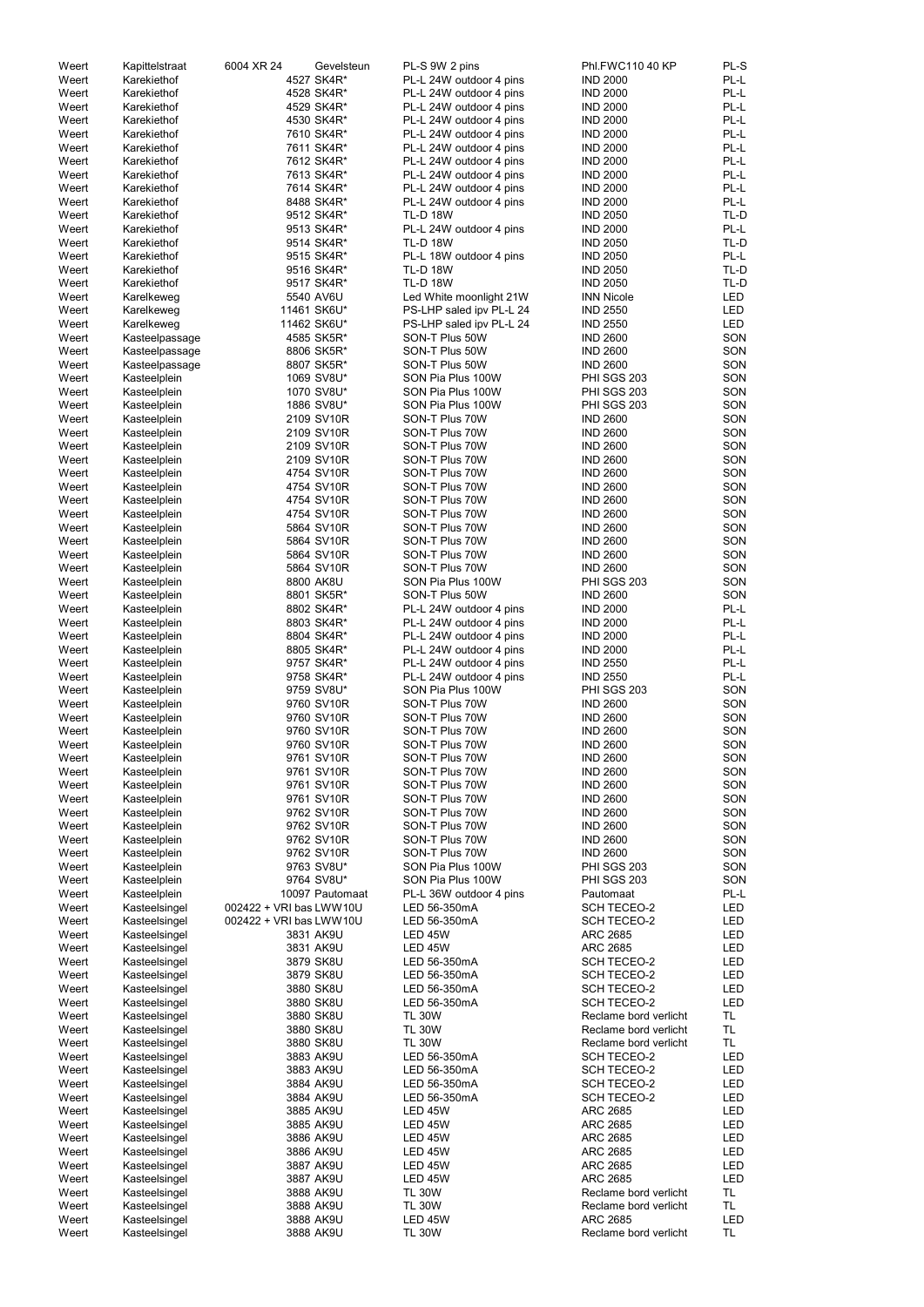| Weert          | Kapittelstraat                 | 6004 XR 24<br>Gevelsteun | PL-S 9W 2 pins                                     | Phl.FWC110 40 KP                         | PL-S                     |
|----------------|--------------------------------|--------------------------|----------------------------------------------------|------------------------------------------|--------------------------|
| Weert          | Karekiethof                    | 4527 SK4R*               | PL-L 24W outdoor 4 pins                            | <b>IND 2000</b>                          | PL-L                     |
| Weert          | Karekiethof                    | 4528 SK4R*               | PL-L 24W outdoor 4 pins                            | <b>IND 2000</b>                          | PL-L                     |
| Weert<br>Weert | Karekiethof<br>Karekiethof     | 4529 SK4R*<br>4530 SK4R* | PL-L 24W outdoor 4 pins<br>PL-L 24W outdoor 4 pins | <b>IND 2000</b><br><b>IND 2000</b>       | PL-L<br>PL-L             |
| Weert          | Karekiethof                    | 7610 SK4R*               | PL-L 24W outdoor 4 pins                            | <b>IND 2000</b>                          | PL-L                     |
| Weert          | Karekiethof                    | 7611 SK4R*               | PL-L 24W outdoor 4 pins                            | <b>IND 2000</b>                          | PL-L                     |
| Weert          | Karekiethof                    | 7612 SK4R*               | PL-L 24W outdoor 4 pins                            | <b>IND 2000</b>                          | PL-L                     |
| Weert          | Karekiethof                    | 7613 SK4R*               | PL-L 24W outdoor 4 pins                            | <b>IND 2000</b>                          | PL-L                     |
| Weert          | Karekiethof                    | 7614 SK4R*               | PL-L 24W outdoor 4 pins                            | <b>IND 2000</b>                          | PL-L                     |
| Weert          | Karekiethof                    | 8488 SK4R*               | PL-L 24W outdoor 4 pins                            | <b>IND 2000</b>                          | PL-L                     |
| Weert          | Karekiethof                    | 9512 SK4R*               | <b>TL-D 18W</b>                                    | <b>IND 2050</b>                          | TL-D                     |
| Weert          | Karekiethof                    | 9513 SK4R*               | PL-L 24W outdoor 4 pins                            | <b>IND 2000</b>                          | PL-L                     |
| Weert          | Karekiethof                    | 9514 SK4R*               | <b>TL-D 18W</b>                                    | <b>IND 2050</b>                          | TL-D                     |
| Weert<br>Weert | Karekiethof<br>Karekiethof     | 9515 SK4R*<br>9516 SK4R* | PL-L 18W outdoor 4 pins<br><b>TL-D 18W</b>         | <b>IND 2050</b><br><b>IND 2050</b>       | PL-L<br>TL-D             |
| Weert          | Karekiethof                    | 9517 SK4R*               | <b>TL-D 18W</b>                                    | <b>IND 2050</b>                          | TL-D                     |
| Weert          | Karelkeweg                     | 5540 AV6U                | Led White moonlight 21W                            | <b>INN Nicole</b>                        | LED                      |
| Weert          | Karelkeweg                     | 11461 SK6U*              | PS-LHP saled ipv PL-L 24                           | <b>IND 2550</b>                          | LED                      |
| Weert          | Karelkeweg                     | 11462 SK6U*              | PS-LHP saled ipv PL-L 24                           | <b>IND 2550</b>                          | <b>LED</b>               |
| Weert          | Kasteelpassage                 | 4585 SK5R*               | SON-T Plus 50W                                     | <b>IND 2600</b>                          | SON                      |
| Weert          | Kasteelpassage                 | 8806 SK5R*               | SON-T Plus 50W                                     | <b>IND 2600</b>                          | SON                      |
| Weert          | Kasteelpassage                 | 8807 SK5R*               | SON-T Plus 50W                                     | <b>IND 2600</b>                          | SON                      |
| Weert          | Kasteelplein                   | 1069 SV8U*               | SON Pia Plus 100W                                  | PHI SGS 203                              | SON                      |
| Weert          | Kasteelplein                   | 1070 SV8U*               | SON Pia Plus 100W                                  | PHI SGS 203                              | SON                      |
| Weert          | Kasteelplein                   | 1886 SV8U*               | SON Pia Plus 100W                                  | PHI SGS 203                              | SON                      |
| Weert          | Kasteelplein                   | 2109 SV10R               | SON-T Plus 70W                                     | <b>IND 2600</b>                          | SON                      |
| Weert          | Kasteelplein                   | 2109 SV10R               | SON-T Plus 70W<br>SON-T Plus 70W                   | <b>IND 2600</b>                          | SON<br>SON               |
| Weert<br>Weert | Kasteelplein<br>Kasteelplein   | 2109 SV10R<br>2109 SV10R | SON-T Plus 70W                                     | <b>IND 2600</b><br><b>IND 2600</b>       | SON                      |
| Weert          | Kasteelplein                   | 4754 SV10R               | SON-T Plus 70W                                     | <b>IND 2600</b>                          | SON                      |
| Weert          | Kasteelplein                   | 4754 SV10R               | SON-T Plus 70W                                     | <b>IND 2600</b>                          | SON                      |
| Weert          | Kasteelplein                   | 4754 SV10R               | SON-T Plus 70W                                     | <b>IND 2600</b>                          | SON                      |
| Weert          | Kasteelplein                   | 4754 SV10R               | SON-T Plus 70W                                     | <b>IND 2600</b>                          | SON                      |
| Weert          | Kasteelplein                   | 5864 SV10R               | SON-T Plus 70W                                     | <b>IND 2600</b>                          | SON                      |
| Weert          | Kasteelplein                   | 5864 SV10R               | SON-T Plus 70W                                     | <b>IND 2600</b>                          | SON                      |
| Weert          | Kasteelplein                   | 5864 SV10R               | SON-T Plus 70W                                     | <b>IND 2600</b>                          | SON                      |
| Weert          | Kasteelplein                   | 5864 SV10R               | SON-T Plus 70W                                     | <b>IND 2600</b>                          | SON                      |
| Weert          | Kasteelplein                   | 8800 AK8U                | SON Pia Plus 100W                                  | PHI SGS 203                              | SON                      |
| Weert          | Kasteelplein                   | 8801 SK5R*               | SON-T Plus 50W                                     | <b>IND 2600</b>                          | SON                      |
| Weert          | Kasteelplein                   | 8802 SK4R*               | PL-L 24W outdoor 4 pins                            | <b>IND 2000</b>                          | PL-L                     |
| Weert          | Kasteelplein                   | 8803 SK4R*               | PL-L 24W outdoor 4 pins                            | <b>IND 2000</b>                          | PL-L<br>PL-L             |
| Weert<br>Weert | Kasteelplein<br>Kasteelplein   | 8804 SK4R*<br>8805 SK4R* | PL-L 24W outdoor 4 pins<br>PL-L 24W outdoor 4 pins | <b>IND 2000</b><br><b>IND 2000</b>       | PL-L                     |
| Weert          | Kasteelplein                   | 9757 SK4R*               | PL-L 24W outdoor 4 pins                            | <b>IND 2550</b>                          | PL-L                     |
| Weert          | Kasteelplein                   | 9758 SK4R*               | PL-L 24W outdoor 4 pins                            | <b>IND 2550</b>                          | PL-L                     |
| Weert          | Kasteelplein                   | 9759 SV8U*               | SON Pia Plus 100W                                  | PHI SGS 203                              | SON                      |
| Weert          | Kasteelplein                   | 9760 SV10R               | SON-T Plus 70W                                     | <b>IND 2600</b>                          | SON                      |
| Weert          | Kasteelplein                   | 9760 SV10R               | SON-T Plus 70W                                     | <b>IND 2600</b>                          | SON                      |
| Weert          | Kasteelplein                   | 9760 SV10R               | SON-T Plus 70W                                     | <b>IND 2600</b>                          | SON                      |
| Weert          | Kasteelplein                   | 9760 SV10R               | SON-T Plus 70W                                     | <b>IND 2600</b>                          | SON                      |
| Weert          | Kasteelplein                   | 9761 SV10R               | SON-T Plus 70W                                     | <b>IND 2600</b>                          | SON                      |
| Weert          | Kasteelplein                   | 9761 SV10R               | SON-T Plus 70W                                     | <b>IND 2600</b>                          | SON                      |
| Weert          | Kasteelplein                   | 9761 SV10R               | SON-T Plus 70W                                     | <b>IND 2600</b>                          | SON                      |
| Weert          | Kasteelplein                   | 9761 SV10R               | SON-T Plus 70W                                     | <b>IND 2600</b>                          | SON                      |
| Weert<br>Weert | Kasteelplein<br>Kasteelplein   | 9762 SV10R<br>9762 SV10R | SON-T Plus 70W<br>SON-T Plus 70W                   | <b>IND 2600</b><br><b>IND 2600</b>       | SON<br>SON               |
| Weert          | Kasteelplein                   | 9762 SV10R               | SON-T Plus 70W                                     | <b>IND 2600</b>                          | SON                      |
| Weert          | Kasteelplein                   | 9762 SV10R               | SON-T Plus 70W                                     | <b>IND 2600</b>                          | SON                      |
| Weert          | Kasteelplein                   | 9763 SV8U*               | SON Pia Plus 100W                                  | PHI SGS 203                              | SON                      |
| Weert          | Kasteelplein                   | 9764 SV8U*               | SON Pia Plus 100W                                  | <b>PHI SGS 203</b>                       | SON                      |
| Weert          | Kasteelplein                   | 10097 Pautomaat          | PL-L 36W outdoor 4 pins                            | Pautomaat                                | PL-L                     |
| Weert          | Kasteelsingel                  | 002422 + VRI bas LWW10U  | LED 56-350mA                                       | <b>SCH TECEO-2</b>                       | <b>LED</b>               |
| Weert          | Kasteelsingel                  | 002422 + VRI bas LWW10U  | LED 56-350mA                                       | <b>SCH TECEO-2</b>                       | <b>LED</b>               |
| Weert          | Kasteelsingel                  | 3831 AK9U                | <b>LED 45W</b>                                     | <b>ARC 2685</b>                          | <b>LED</b>               |
| Weert          | Kasteelsingel                  | 3831 AK9U                | LED 45W                                            | <b>ARC 2685</b>                          | <b>LED</b>               |
| Weert          | Kasteelsingel                  | 3879 SK8U                | LED 56-350mA                                       | <b>SCH TECEO-2</b>                       | <b>LED</b>               |
| Weert          | Kasteelsingel                  | 3879 SK8U                | LED 56-350mA                                       | <b>SCH TECEO-2</b>                       | LED                      |
| Weert<br>Weert | Kasteelsingel                  | 3880 SK8U<br>3880 SK8U   | LED 56-350mA<br>LED 56-350mA                       | <b>SCH TECEO-2</b><br><b>SCH TECEO-2</b> | <b>LED</b><br><b>LED</b> |
| Weert          | Kasteelsingel<br>Kasteelsingel | 3880 SK8U                | <b>TL 30W</b>                                      | Reclame bord verlicht                    | <b>TL</b>                |
| Weert          | Kasteelsingel                  | 3880 SK8U                | <b>TL 30W</b>                                      | Reclame bord verlicht                    | TL                       |
| Weert          | Kasteelsingel                  | 3880 SK8U                | <b>TL 30W</b>                                      | Reclame bord verlicht                    | <b>TL</b>                |
| Weert          | Kasteelsingel                  | 3883 AK9U                | LED 56-350mA                                       | <b>SCH TECEO-2</b>                       | LED                      |
| Weert          | Kasteelsingel                  | 3883 AK9U                | LED 56-350mA                                       | <b>SCH TECEO-2</b>                       | LED                      |
| Weert          | Kasteelsingel                  | 3884 AK9U                | LED 56-350mA                                       | <b>SCH TECEO-2</b>                       | LED                      |
| Weert          | Kasteelsingel                  | 3884 AK9U                | LED 56-350mA                                       | <b>SCH TECEO-2</b>                       | LED                      |
| Weert          | Kasteelsingel                  | 3885 AK9U                | <b>LED 45W</b>                                     | <b>ARC 2685</b>                          | LED                      |
| Weert          | Kasteelsingel                  | 3885 AK9U                | <b>LED 45W</b>                                     | ARC 2685                                 | LED                      |
| Weert          | Kasteelsingel                  | 3886 AK9U                | <b>LED 45W</b>                                     | ARC 2685                                 | LED                      |
| Weert          | Kasteelsingel                  | 3886 AK9U                | LED 45W                                            | ARC 2685                                 | LED                      |
| Weert          | Kasteelsingel                  | 3887 AK9U                | LED 45W                                            | <b>ARC 2685</b>                          | <b>LED</b>               |
| Weert<br>Weert | Kasteelsingel<br>Kasteelsingel | 3887 AK9U<br>3888 AK9U   | LED 45W<br><b>TL 30W</b>                           | <b>ARC 2685</b><br>Reclame bord verlicht | LED<br><b>TL</b>         |
| Weert          | Kasteelsingel                  | 3888 AK9U                | <b>TL 30W</b>                                      | Reclame bord verlicht                    | <b>TL</b>                |
| Weert          | Kasteelsingel                  | 3888 AK9U                | LED 45W                                            | <b>ARC 2685</b>                          | <b>LED</b>               |
| Weert          | Kasteelsingel                  | 3888 AK9U                | <b>TL 30W</b>                                      | Reclame bord verlicht                    | <b>TL</b>                |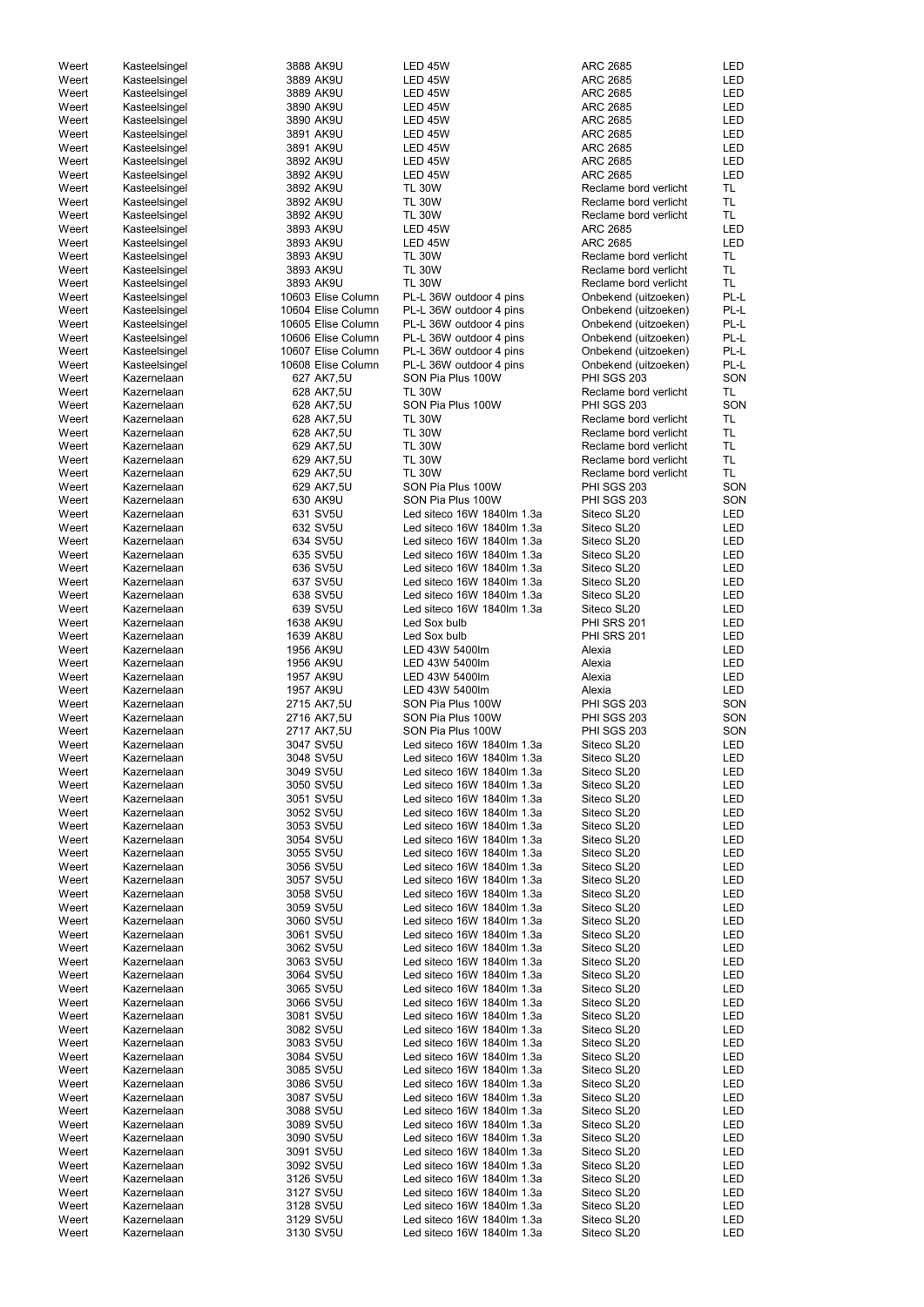| Weert | Kasteelsingel | 3888 AK9U          | LED 45W                    | <b>ARC 2685</b>       | LED        |
|-------|---------------|--------------------|----------------------------|-----------------------|------------|
| Weert | Kasteelsingel | 3889 AK9U          | <b>LED 45W</b>             | <b>ARC 2685</b>       | LED        |
|       |               |                    |                            |                       |            |
| Weert | Kasteelsingel | 3889 AK9U          | LED 45W                    | <b>ARC 2685</b>       | <b>LED</b> |
| Weert | Kasteelsingel | 3890 AK9U          | LED 45W                    | <b>ARC 2685</b>       | <b>LED</b> |
| Weert | Kasteelsingel | 3890 AK9U          | <b>LED 45W</b>             | <b>ARC 2685</b>       | <b>LED</b> |
| Weert | Kasteelsingel | 3891 AK9U          | LED 45W                    | <b>ARC 2685</b>       | <b>LED</b> |
| Weert | Kasteelsingel | 3891 AK9U          | <b>LED 45W</b>             | <b>ARC 2685</b>       | <b>LED</b> |
|       |               |                    |                            |                       |            |
| Weert | Kasteelsingel | 3892 AK9U          | <b>LED 45W</b>             | <b>ARC 2685</b>       | <b>LED</b> |
| Weert | Kasteelsingel | 3892 AK9U          | <b>LED 45W</b>             | <b>ARC 2685</b>       | <b>LED</b> |
| Weert | Kasteelsingel | 3892 AK9U          | <b>TL 30W</b>              | Reclame bord verlicht | <b>TL</b>  |
| Weert | Kasteelsingel | 3892 AK9U          | <b>TL 30W</b>              | Reclame bord verlicht | <b>TL</b>  |
| Weert | Kasteelsingel | 3892 AK9U          | <b>TL 30W</b>              | Reclame bord verlicht | <b>TL</b>  |
|       |               |                    |                            |                       |            |
| Weert | Kasteelsingel | 3893 AK9U          | LED 45W                    | <b>ARC 2685</b>       | LED        |
| Weert | Kasteelsingel | 3893 AK9U          | LED 45W                    | <b>ARC 2685</b>       | <b>LED</b> |
| Weert | Kasteelsingel | 3893 AK9U          | <b>TL 30W</b>              | Reclame bord verlicht | <b>TL</b>  |
| Weert | Kasteelsingel | 3893 AK9U          | <b>TL 30W</b>              | Reclame bord verlicht | <b>TL</b>  |
|       |               | 3893 AK9U          |                            | Reclame bord verlicht | <b>TL</b>  |
| Weert | Kasteelsingel |                    | <b>TL 30W</b>              |                       |            |
| Weert | Kasteelsingel | 10603 Elise Column | PL-L 36W outdoor 4 pins    | Onbekend (uitzoeken)  | PL-L       |
| Weert | Kasteelsingel | 10604 Elise Column | PL-L 36W outdoor 4 pins    | Onbekend (uitzoeken)  | PL-L       |
| Weert | Kasteelsingel | 10605 Elise Column | PL-L 36W outdoor 4 pins    | Onbekend (uitzoeken)  | PL-L       |
| Weert | Kasteelsingel | 10606 Elise Column | PL-L 36W outdoor 4 pins    | Onbekend (uitzoeken)  | PL-L       |
| Weert |               | 10607 Elise Column |                            |                       | PL-L       |
|       | Kasteelsingel |                    | PL-L 36W outdoor 4 pins    | Onbekend (uitzoeken)  |            |
| Weert | Kasteelsingel | 10608 Elise Column | PL-L 36W outdoor 4 pins    | Onbekend (uitzoeken)  | PL-L       |
| Weert | Kazernelaan   | 627 AK7,5U         | SON Pia Plus 100W          | PHI SGS 203           | SON        |
| Weert | Kazernelaan   | 628 AK7,5U         | <b>TL 30W</b>              | Reclame bord verlicht | <b>TL</b>  |
| Weert | Kazernelaan   | 628 AK7,5U         | SON Pia Plus 100W          | PHI SGS 203           | SON        |
| Weert | Kazernelaan   | 628 AK7,5U         | <b>TL 30W</b>              | Reclame bord verlicht | <b>TL</b>  |
|       |               |                    |                            |                       |            |
| Weert | Kazernelaan   | 628 AK7,5U         | <b>TL 30W</b>              | Reclame bord verlicht | <b>TL</b>  |
| Weert | Kazernelaan   | 629 AK7,5U         | <b>TL 30W</b>              | Reclame bord verlicht | <b>TL</b>  |
| Weert | Kazernelaan   | 629 AK7,5U         | <b>TL 30W</b>              | Reclame bord verlicht | <b>TL</b>  |
| Weert | Kazernelaan   | 629 AK7,5U         | <b>TL 30W</b>              | Reclame bord verlicht | <b>TL</b>  |
|       |               |                    | SON Pia Plus 100W          | PHI SGS 203           | SON        |
| Weert | Kazernelaan   | 629 AK7,5U         |                            |                       |            |
| Weert | Kazernelaan   | 630 AK9U           | SON Pia Plus 100W          | PHI SGS 203           | SON        |
| Weert | Kazernelaan   | 631 SV5U           | Led siteco 16W 1840lm 1.3a | Siteco SL20           | LED        |
| Weert | Kazernelaan   | 632 SV5U           | Led siteco 16W 1840lm 1.3a | Siteco SL20           | LED        |
| Weert | Kazernelaan   | 634 SV5U           | Led siteco 16W 1840lm 1.3a | Siteco SL20           | <b>LED</b> |
|       |               |                    |                            |                       |            |
| Weert | Kazernelaan   | 635 SV5U           | Led siteco 16W 1840lm 1.3a | Siteco SL20           | LED        |
| Weert | Kazernelaan   | 636 SV5U           | Led siteco 16W 1840lm 1.3a | Siteco SL20           | LED        |
| Weert | Kazernelaan   | 637 SV5U           | Led siteco 16W 1840lm 1.3a | Siteco SL20           | LED        |
| Weert | Kazernelaan   | 638 SV5U           | Led siteco 16W 1840lm 1.3a | Siteco SL20           | LED        |
| Weert | Kazernelaan   | 639 SV5U           | Led siteco 16W 1840lm 1.3a | Siteco SL20           | LED        |
|       |               |                    |                            |                       |            |
| Weert | Kazernelaan   | 1638 AK9U          | Led Sox bulb               | <b>PHI SRS 201</b>    | LED        |
| Weert | Kazernelaan   | 1639 AK8U          | Led Sox bulb               | PHI SRS 201           | <b>LED</b> |
| Weert | Kazernelaan   | 1956 AK9U          | LED 43W 5400lm             | Alexia                | LED        |
| Weert | Kazernelaan   | 1956 AK9U          | LED 43W 5400lm             | Alexia                | <b>LED</b> |
|       |               |                    |                            |                       |            |
| Weert | Kazernelaan   | 1957 AK9U          | LED 43W 5400lm             | Alexia                | LED        |
| Weert | Kazernelaan   | 1957 AK9U          | LED 43W 5400lm             | Alexia                | <b>LED</b> |
| Weert | Kazernelaan   | 2715 AK7,5U        | SON Pia Plus 100W          | <b>PHI SGS 203</b>    | SON        |
| Weert | Kazernelaan   | 2716 AK7,5U        | SON Pia Plus 100W          | <b>PHI SGS 203</b>    | SON        |
| Weert | Kazernelaan   | 2717 AK7,5U        | SON Pia Plus 100W          | <b>PHI SGS 203</b>    | SON        |
|       |               |                    |                            |                       |            |
| Weert | Kazernelaan   | 3047 SV5U          | Led siteco 16W 1840lm 1.3a | Siteco SL20           | LED        |
| Weert | Kazernelaan   | 3048 SV5U          | Led siteco 16W 1840lm 1.3a | Siteco SL20           | LED        |
| Weert | Kazernelaan   | 3049 SV5U          | Led siteco 16W 1840lm 1.3a | Siteco SL20           | LED        |
| Weert | Kazernelaan   | 3050 SV5U          | Led siteco 16W 1840lm 1.3a | Siteco SL20           | LED        |
| Weert |               | 3051 SV5U          | Led siteco 16W 1840lm 1.3a |                       | LED        |
|       | Kazernelaan   |                    |                            | Siteco SL20           |            |
| Weert | Kazernelaan   | 3052 SV5U          | Led siteco 16W 1840lm 1.3a | Siteco SL20           | LED        |
| Weert | Kazernelaan   | 3053 SV5U          | Led siteco 16W 1840lm 1.3a | Siteco SL20           | LED        |
| Weert | Kazernelaan   | 3054 SV5U          | Led siteco 16W 1840lm 1.3a | Siteco SL20           | LED        |
| Weert | Kazernelaan   | 3055 SV5U          | Led siteco 16W 1840lm 1.3a | Siteco SL20           | LED        |
|       |               |                    |                            |                       |            |
| Weert | Kazernelaan   | 3056 SV5U          | Led siteco 16W 1840lm 1.3a | Siteco SL20           | LED        |
| Weert | Kazernelaan   | 3057 SV5U          | Led siteco 16W 1840lm 1.3a | Siteco SL20           | LED        |
| Weert | Kazernelaan   | 3058 SV5U          | Led siteco 16W 1840lm 1.3a | Siteco SL20           | LED        |
| Weert | Kazernelaan   | 3059 SV5U          | Led siteco 16W 1840lm 1.3a | Siteco SL20           | LED        |
| Weert | Kazernelaan   | 3060 SV5U          | Led siteco 16W 1840lm 1.3a | Siteco SL20           | LED        |
| Weert | Kazernelaan   | 3061 SV5U          | Led siteco 16W 1840lm 1.3a | Siteco SL20           | LED        |
|       |               |                    | Led siteco 16W 1840lm 1.3a |                       | <b>LED</b> |
| Weert | Kazernelaan   | 3062 SV5U          |                            | Siteco SL20           |            |
| Weert | Kazernelaan   | 3063 SV5U          | Led siteco 16W 1840lm 1.3a | Siteco SL20           | LED        |
| Weert | Kazernelaan   | 3064 SV5U          | Led siteco 16W 1840lm 1.3a | Siteco SL20           | LED        |
| Weert | Kazernelaan   | 3065 SV5U          | Led siteco 16W 1840lm 1.3a | Siteco SL20           | LED        |
| Weert | Kazernelaan   | 3066 SV5U          | Led siteco 16W 1840lm 1.3a | Siteco SL20           | LED        |
| Weert |               | 3081 SV5U          | Led siteco 16W 1840lm 1.3a | Siteco SL20           | LED        |
|       | Kazernelaan   |                    |                            |                       |            |
| Weert | Kazernelaan   | 3082 SV5U          | Led siteco 16W 1840lm 1.3a | Siteco SL20           | LED        |
| Weert | Kazernelaan   | 3083 SV5U          | Led siteco 16W 1840lm 1.3a | Siteco SL20           | LED        |
| Weert | Kazernelaan   | 3084 SV5U          | Led siteco 16W 1840lm 1.3a | Siteco SL20           | LED        |
| Weert | Kazernelaan   | 3085 SV5U          | Led siteco 16W 1840lm 1.3a | Siteco SL20           | LED        |
|       |               |                    |                            |                       |            |
| Weert | Kazernelaan   | 3086 SV5U          | Led siteco 16W 1840lm 1.3a | Siteco SL20           | LED        |
| Weert | Kazernelaan   | 3087 SV5U          | Led siteco 16W 1840lm 1.3a | Siteco SL20           | LED        |
| Weert | Kazernelaan   | 3088 SV5U          | Led siteco 16W 1840lm 1.3a | Siteco SL20           | <b>LED</b> |
| Weert | Kazernelaan   | 3089 SV5U          | Led siteco 16W 1840lm 1.3a | Siteco SL20           | LED        |
| Weert | Kazernelaan   | 3090 SV5U          | Led siteco 16W 1840lm 1.3a | Siteco SL20           | LED        |
|       |               |                    |                            |                       |            |
| Weert | Kazernelaan   | 3091 SV5U          | Led siteco 16W 1840lm 1.3a | Siteco SL20           | LED        |
| Weert | Kazernelaan   | 3092 SV5U          | Led siteco 16W 1840lm 1.3a | Siteco SL20           | LED        |
| Weert | Kazernelaan   | 3126 SV5U          | Led siteco 16W 1840lm 1.3a | Siteco SL20           | LED        |
| Weert | Kazernelaan   | 3127 SV5U          | Led siteco 16W 1840lm 1.3a | Siteco SL20           | LED        |
| Weert | Kazernelaan   | 3128 SV5U          | Led siteco 16W 1840lm 1.3a | Siteco SL20           | LED        |
|       |               |                    |                            |                       |            |
| Weert | Kazernelaan   | 3129 SV5U          | Led siteco 16W 1840lm 1.3a | Siteco SL20           | LED        |
| Weert | Kazernelaan   | 3130 SV5U          | Led siteco 16W 1840lm 1.3a | Siteco SL20           | LED        |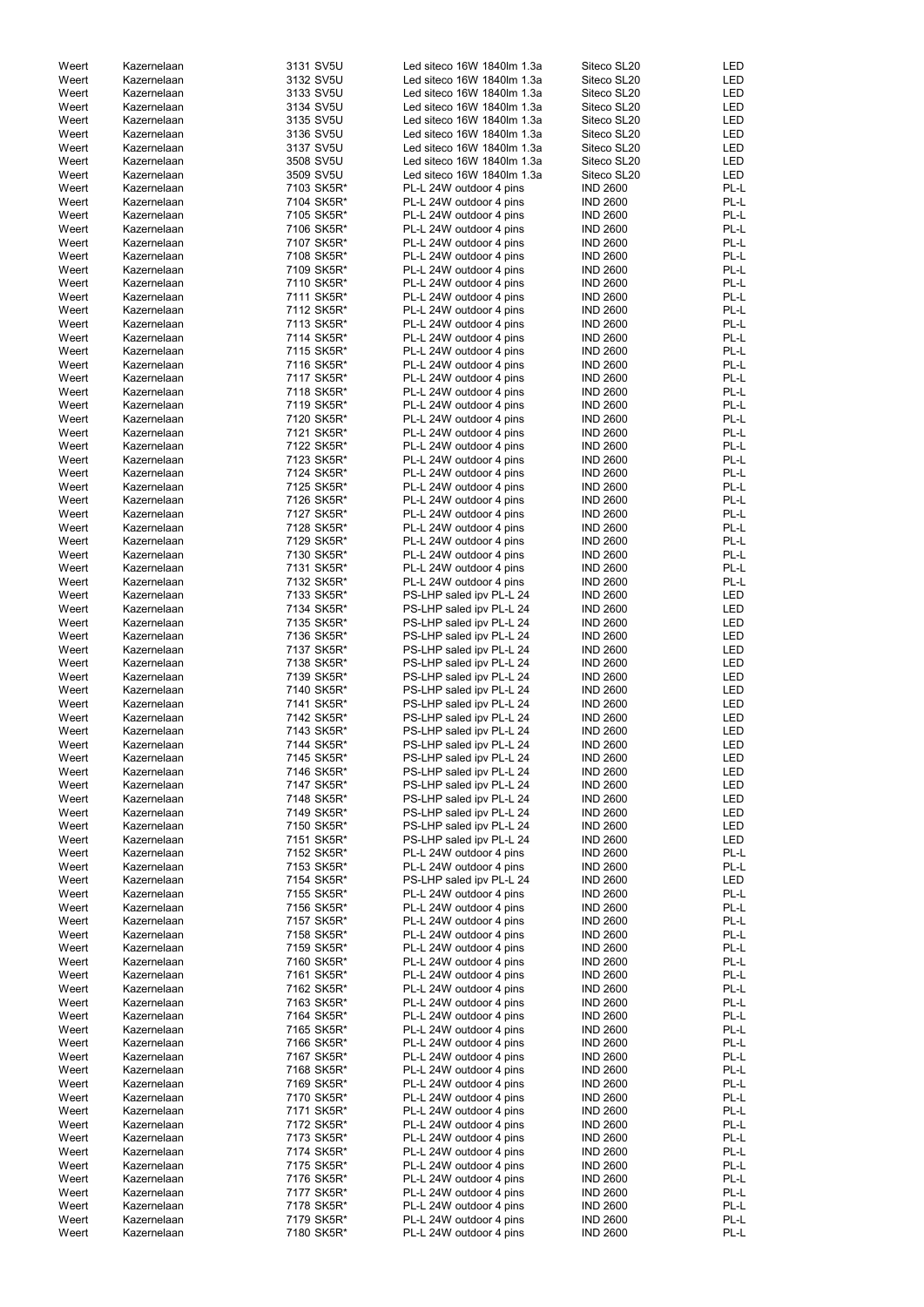| Weert | Kazernelaan | 3131 SV5U  | Led siteco 16W 1840lm 1.3a | Siteco SL20     | <b>LED</b> |
|-------|-------------|------------|----------------------------|-----------------|------------|
| Weert | Kazernelaan | 3132 SV5U  | Led siteco 16W 1840lm 1.3a | Siteco SL20     | <b>LED</b> |
| Weert | Kazernelaan | 3133 SV5U  | Led siteco 16W 1840lm 1.3a | Siteco SL20     | <b>LED</b> |
| Weert | Kazernelaan | 3134 SV5U  | Led siteco 16W 1840lm 1.3a | Siteco SL20     | <b>LED</b> |
|       |             |            |                            |                 |            |
| Weert | Kazernelaan | 3135 SV5U  | Led siteco 16W 1840lm 1.3a | Siteco SL20     | <b>LED</b> |
| Weert | Kazernelaan | 3136 SV5U  | Led siteco 16W 1840lm 1.3a | Siteco SL20     | <b>LED</b> |
| Weert | Kazernelaan | 3137 SV5U  | Led siteco 16W 1840lm 1.3a | Siteco SL20     | <b>LED</b> |
|       |             |            |                            |                 |            |
| Weert | Kazernelaan | 3508 SV5U  | Led siteco 16W 1840lm 1.3a | Siteco SL20     | <b>LED</b> |
| Weert | Kazernelaan | 3509 SV5U  | Led siteco 16W 1840lm 1.3a | Siteco SL20     | <b>LED</b> |
| Weert | Kazernelaan | 7103 SK5R* | PL-L 24W outdoor 4 pins    | <b>IND 2600</b> | PL-L       |
| Weert | Kazernelaan | 7104 SK5R* |                            | <b>IND 2600</b> | PL-L       |
|       |             |            | PL-L 24W outdoor 4 pins    |                 |            |
| Weert | Kazernelaan | 7105 SK5R* | PL-L 24W outdoor 4 pins    | <b>IND 2600</b> | PL-L       |
| Weert | Kazernelaan | 7106 SK5R* | PL-L 24W outdoor 4 pins    | <b>IND 2600</b> | PL-L       |
| Weert | Kazernelaan | 7107 SK5R* | PL-L 24W outdoor 4 pins    | <b>IND 2600</b> | PL-L       |
|       |             |            |                            |                 |            |
| Weert | Kazernelaan | 7108 SK5R* | PL-L 24W outdoor 4 pins    | <b>IND 2600</b> | PL-L       |
| Weert | Kazernelaan | 7109 SK5R* | PL-L 24W outdoor 4 pins    | <b>IND 2600</b> | PL-L       |
| Weert | Kazernelaan | 7110 SK5R* | PL-L 24W outdoor 4 pins    | <b>IND 2600</b> | PL-L       |
| Weert | Kazernelaan | 7111 SK5R* |                            | <b>IND 2600</b> | PL-L       |
|       |             |            | PL-L 24W outdoor 4 pins    |                 |            |
| Weert | Kazernelaan | 7112 SK5R* | PL-L 24W outdoor 4 pins    | <b>IND 2600</b> | PL-L       |
| Weert | Kazernelaan | 7113 SK5R* | PL-L 24W outdoor 4 pins    | <b>IND 2600</b> | PL-L       |
| Weert | Kazernelaan | 7114 SK5R* | PL-L 24W outdoor 4 pins    | <b>IND 2600</b> | PL-L       |
|       |             |            |                            |                 |            |
| Weert | Kazernelaan | 7115 SK5R* | PL-L 24W outdoor 4 pins    | <b>IND 2600</b> | PL-L       |
| Weert | Kazernelaan | 7116 SK5R* | PL-L 24W outdoor 4 pins    | <b>IND 2600</b> | PL-L       |
| Weert | Kazernelaan | 7117 SK5R* | PL-L 24W outdoor 4 pins    | <b>IND 2600</b> | PL-L       |
| Weert | Kazernelaan | 7118 SK5R* | PL-L 24W outdoor 4 pins    | <b>IND 2600</b> | PL-L       |
|       |             |            |                            |                 |            |
| Weert | Kazernelaan | 7119 SK5R* | PL-L 24W outdoor 4 pins    | <b>IND 2600</b> | PL-L       |
| Weert | Kazernelaan | 7120 SK5R* | PL-L 24W outdoor 4 pins    | <b>IND 2600</b> | PL-L       |
| Weert | Kazernelaan | 7121 SK5R* | PL-L 24W outdoor 4 pins    | <b>IND 2600</b> | PL-L       |
|       |             |            |                            |                 |            |
| Weert | Kazernelaan | 7122 SK5R* | PL-L 24W outdoor 4 pins    | <b>IND 2600</b> | PL-L       |
| Weert | Kazernelaan | 7123 SK5R* | PL-L 24W outdoor 4 pins    | <b>IND 2600</b> | PL-L       |
| Weert | Kazernelaan | 7124 SK5R* | PL-L 24W outdoor 4 pins    | <b>IND 2600</b> | PL-L       |
| Weert | Kazernelaan | 7125 SK5R* | PL-L 24W outdoor 4 pins    | <b>IND 2600</b> | PL-L       |
|       |             |            |                            |                 |            |
| Weert | Kazernelaan | 7126 SK5R* | PL-L 24W outdoor 4 pins    | <b>IND 2600</b> | PL-L       |
| Weert | Kazernelaan | 7127 SK5R* | PL-L 24W outdoor 4 pins    | <b>IND 2600</b> | PL-L       |
| Weert | Kazernelaan | 7128 SK5R* | PL-L 24W outdoor 4 pins    | <b>IND 2600</b> | PL-L       |
|       |             |            |                            |                 |            |
| Weert | Kazernelaan | 7129 SK5R* | PL-L 24W outdoor 4 pins    | <b>IND 2600</b> | PL-L       |
| Weert | Kazernelaan | 7130 SK5R* | PL-L 24W outdoor 4 pins    | <b>IND 2600</b> | PL-L       |
| Weert | Kazernelaan | 7131 SK5R* | PL-L 24W outdoor 4 pins    | <b>IND 2600</b> | PL-L       |
|       |             |            |                            |                 | PL-L       |
| Weert | Kazernelaan | 7132 SK5R* | PL-L 24W outdoor 4 pins    | <b>IND 2600</b> |            |
| Weert | Kazernelaan | 7133 SK5R* | PS-LHP saled ipv PL-L 24   | <b>IND 2600</b> | <b>LED</b> |
| Weert | Kazernelaan | 7134 SK5R* | PS-LHP saled ipv PL-L 24   | <b>IND 2600</b> | <b>LED</b> |
| Weert | Kazernelaan | 7135 SK5R* | PS-LHP saled ipv PL-L 24   | <b>IND 2600</b> | <b>LED</b> |
|       |             |            |                            |                 |            |
| Weert | Kazernelaan | 7136 SK5R* | PS-LHP saled ipv PL-L 24   | <b>IND 2600</b> | <b>LED</b> |
| Weert | Kazernelaan | 7137 SK5R* | PS-LHP saled ipv PL-L 24   | <b>IND 2600</b> | <b>LED</b> |
| Weert | Kazernelaan | 7138 SK5R* | PS-LHP saled ipv PL-L 24   | <b>IND 2600</b> | <b>LED</b> |
|       |             |            |                            |                 |            |
| Weert | Kazernelaan | 7139 SK5R* | PS-LHP saled ipv PL-L 24   | <b>IND 2600</b> | <b>LED</b> |
| Weert | Kazernelaan | 7140 SK5R* | PS-LHP saled ipv PL-L 24   | <b>IND 2600</b> | LED        |
| Weert | Kazernelaan | 7141 SK5R* | PS-LHP saled ipv PL-L 24   | <b>IND 2600</b> | LED        |
|       |             |            |                            |                 |            |
| Weert | Kazernelaan | 7142 SK5R* | PS-LHP saled ipv PL-L 24   | <b>IND 2600</b> | LED        |
| Weert | Kazernelaan | 7143 SK5R* | PS-LHP saled ipv PL-L 24   | <b>IND 2600</b> | LED        |
| Weert | Kazernelaan | 7144 SK5R* | PS-LHP saled ipv PL-L 24   | <b>IND 2600</b> | <b>LED</b> |
| Weert | Kazernelaan | 7145 SK5R* | PS-LHP saled ipv PL-L 24   | <b>IND 2600</b> | <b>LED</b> |
|       |             |            |                            |                 |            |
| Weert | Kazernelaan | 7146 SK5R* | PS-LHP saled ipv PL-L 24   | <b>IND 2600</b> | <b>LED</b> |
| Weert | Kazernelaan | 7147 SK5R* | PS-LHP saled ipv PL-L 24   | <b>IND 2600</b> | LED        |
| Weert | Kazernelaan | 7148 SK5R* | PS-LHP saled ipv PL-L 24   | <b>IND 2600</b> | <b>LED</b> |
| Weert | Kazernelaan |            |                            | <b>IND 2600</b> | <b>LED</b> |
|       |             | 7149 SK5R* | PS-LHP saled ipv PL-L 24   |                 |            |
| Weert | Kazernelaan | 7150 SK5R* | PS-LHP saled ipv PL-L 24   | <b>IND 2600</b> | <b>LED</b> |
| Weert | Kazernelaan | 7151 SK5R* | PS-LHP saled ipv PL-L 24   | <b>IND 2600</b> | <b>LED</b> |
| Weert | Kazernelaan | 7152 SK5R* | PL-L 24W outdoor 4 pins    | <b>IND 2600</b> | PL-L       |
|       |             |            |                            |                 |            |
| Weert | Kazernelaan | 7153 SK5R* | PL-L 24W outdoor 4 pins    | <b>IND 2600</b> | PL-L       |
| Weert | Kazernelaan | 7154 SK5R* | PS-LHP saled ipv PL-L 24   | <b>IND 2600</b> | LED        |
| Weert | Kazernelaan | 7155 SK5R* | PL-L 24W outdoor 4 pins    | <b>IND 2600</b> | PL-L       |
| Weert | Kazernelaan | 7156 SK5R* | PL-L 24W outdoor 4 pins    | <b>IND 2600</b> | PL-L       |
|       |             |            |                            |                 |            |
| Weert | Kazernelaan | 7157 SK5R* | PL-L 24W outdoor 4 pins    | <b>IND 2600</b> | PL-L       |
| Weert | Kazernelaan | 7158 SK5R* | PL-L 24W outdoor 4 pins    | <b>IND 2600</b> | PL-L       |
| Weert | Kazernelaan | 7159 SK5R* | PL-L 24W outdoor 4 pins    | <b>IND 2600</b> | PL-L       |
| Weert | Kazernelaan | 7160 SK5R* | PL-L 24W outdoor 4 pins    | <b>IND 2600</b> | PL-L       |
|       |             |            |                            |                 |            |
| Weert | Kazernelaan | 7161 SK5R* | PL-L 24W outdoor 4 pins    | <b>IND 2600</b> | PL-L       |
| Weert | Kazernelaan | 7162 SK5R* | PL-L 24W outdoor 4 pins    | <b>IND 2600</b> | PL-L       |
| Weert | Kazernelaan | 7163 SK5R* | PL-L 24W outdoor 4 pins    | <b>IND 2600</b> | PL-L       |
|       |             |            |                            |                 |            |
| Weert | Kazernelaan | 7164 SK5R* | PL-L 24W outdoor 4 pins    | <b>IND 2600</b> | PL-L       |
| Weert | Kazernelaan | 7165 SK5R* | PL-L 24W outdoor 4 pins    | <b>IND 2600</b> | PL-L       |
| Weert | Kazernelaan | 7166 SK5R* | PL-L 24W outdoor 4 pins    | <b>IND 2600</b> | $PL-L$     |
| Weert | Kazernelaan | 7167 SK5R* | PL-L 24W outdoor 4 pins    | <b>IND 2600</b> | PL-L       |
|       |             |            |                            |                 |            |
| Weert | Kazernelaan | 7168 SK5R* | PL-L 24W outdoor 4 pins    | <b>IND 2600</b> | PL-L       |
| Weert | Kazernelaan | 7169 SK5R* | PL-L 24W outdoor 4 pins    | <b>IND 2600</b> | PL-L       |
| Weert | Kazernelaan | 7170 SK5R* | PL-L 24W outdoor 4 pins    | <b>IND 2600</b> | PL-L       |
|       |             |            |                            |                 |            |
| Weert | Kazernelaan | 7171 SK5R* | PL-L 24W outdoor 4 pins    | <b>IND 2600</b> | PL-L       |
| Weert | Kazernelaan | 7172 SK5R* | PL-L 24W outdoor 4 pins    | <b>IND 2600</b> | PL-L       |
| Weert | Kazernelaan | 7173 SK5R* | PL-L 24W outdoor 4 pins    | <b>IND 2600</b> | PL-L       |
|       | Kazernelaan |            |                            |                 |            |
| Weert |             | 7174 SK5R* | PL-L 24W outdoor 4 pins    | <b>IND 2600</b> | PL-L       |
| Weert | Kazernelaan | 7175 SK5R* | PL-L 24W outdoor 4 pins    | <b>IND 2600</b> | PL-L       |
| Weert | Kazernelaan | 7176 SK5R* | PL-L 24W outdoor 4 pins    | <b>IND 2600</b> | PL-L       |
| Weert | Kazernelaan | 7177 SK5R* | PL-L 24W outdoor 4 pins    | <b>IND 2600</b> | PL-L       |
|       |             |            |                            |                 |            |
| Weert | Kazernelaan | 7178 SK5R* | PL-L 24W outdoor 4 pins    | <b>IND 2600</b> | PL-L       |
| Weert | Kazernelaan | 7179 SK5R* | PL-L 24W outdoor 4 pins    | <b>IND 2600</b> | PL-L       |
| Weert | Kazernelaan | 7180 SK5R* | PL-L 24W outdoor 4 pins    | <b>IND 2600</b> | PL-L       |
|       |             |            |                            |                 |            |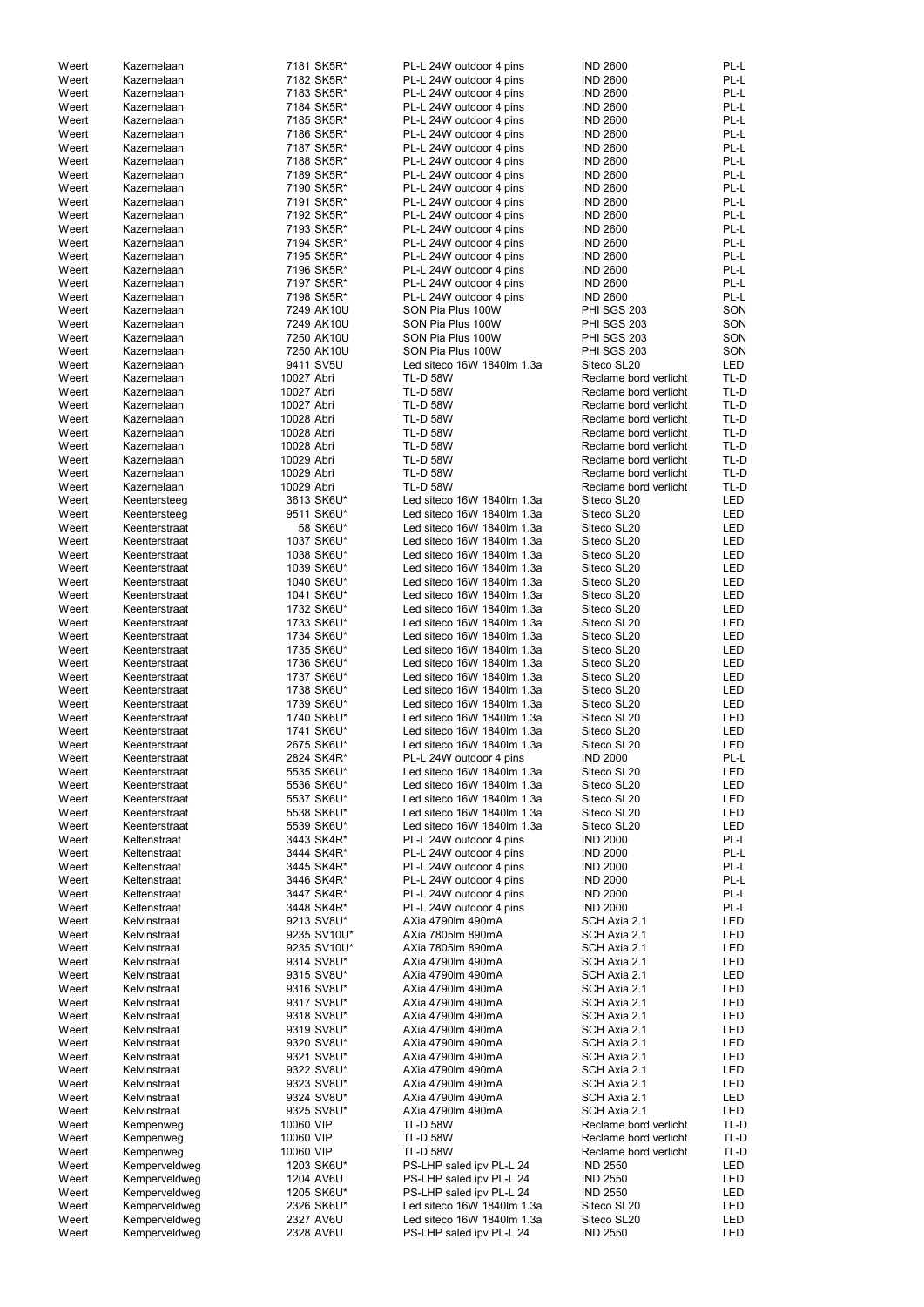| Weert | Kazernelaan   | 7181 SK5R*  | PL-L 24W outdoor 4 pins    | <b>IND 2600</b>       | PL-L       |
|-------|---------------|-------------|----------------------------|-----------------------|------------|
| Weert | Kazernelaan   | 7182 SK5R*  | PL-L 24W outdoor 4 pins    | <b>IND 2600</b>       | PL-L       |
| Weert | Kazernelaan   | 7183 SK5R*  | PL-L 24W outdoor 4 pins    | <b>IND 2600</b>       | PL-L       |
| Weert | Kazernelaan   | 7184 SK5R*  | PL-L 24W outdoor 4 pins    | <b>IND 2600</b>       | PL-L       |
|       |               |             |                            |                       |            |
| Weert | Kazernelaan   | 7185 SK5R*  | PL-L 24W outdoor 4 pins    | <b>IND 2600</b>       | PL-L       |
| Weert | Kazernelaan   | 7186 SK5R*  | PL-L 24W outdoor 4 pins    | <b>IND 2600</b>       | PL-L       |
| Weert | Kazernelaan   | 7187 SK5R*  | PL-L 24W outdoor 4 pins    | <b>IND 2600</b>       | PL-L       |
| Weert | Kazernelaan   | 7188 SK5R*  | PL-L 24W outdoor 4 pins    | <b>IND 2600</b>       | PL-L       |
|       |               |             |                            |                       |            |
| Weert | Kazernelaan   | 7189 SK5R*  | PL-L 24W outdoor 4 pins    | <b>IND 2600</b>       | PL-L       |
| Weert | Kazernelaan   | 7190 SK5R*  | PL-L 24W outdoor 4 pins    | <b>IND 2600</b>       | PL-L       |
| Weert | Kazernelaan   | 7191 SK5R*  | PL-L 24W outdoor 4 pins    | <b>IND 2600</b>       | PL-L       |
|       |               |             |                            |                       | PL-L       |
| Weert | Kazernelaan   | 7192 SK5R*  | PL-L 24W outdoor 4 pins    | <b>IND 2600</b>       |            |
| Weert | Kazernelaan   | 7193 SK5R*  | PL-L 24W outdoor 4 pins    | <b>IND 2600</b>       | PL-L       |
| Weert | Kazernelaan   | 7194 SK5R*  | PL-L 24W outdoor 4 pins    | <b>IND 2600</b>       | PL-L       |
| Weert | Kazernelaan   | 7195 SK5R*  | PL-L 24W outdoor 4 pins    | <b>IND 2600</b>       | PL-L       |
|       | Kazernelaan   |             |                            | <b>IND 2600</b>       |            |
| Weert |               | 7196 SK5R*  | PL-L 24W outdoor 4 pins    |                       | PL-L       |
| Weert | Kazernelaan   | 7197 SK5R*  | PL-L 24W outdoor 4 pins    | <b>IND 2600</b>       | PL-L       |
| Weert | Kazernelaan   | 7198 SK5R*  | PL-L 24W outdoor 4 pins    | <b>IND 2600</b>       | PL-L       |
| Weert | Kazernelaan   | 7249 AK10U  | SON Pia Plus 100W          | PHI SGS 203           | SON        |
|       |               |             |                            |                       |            |
| Weert | Kazernelaan   | 7249 AK10U  | SON Pia Plus 100W          | PHI SGS 203           | SON        |
| Weert | Kazernelaan   | 7250 AK10U  | SON Pia Plus 100W          | <b>PHI SGS 203</b>    | SON        |
| Weert | Kazernelaan   | 7250 AK10U  | SON Pia Plus 100W          | PHI SGS 203           | SON        |
| Weert | Kazernelaan   | 9411 SV5U   | Led siteco 16W 1840lm 1.3a | Siteco SL20           | <b>LED</b> |
|       |               |             |                            |                       |            |
| Weert | Kazernelaan   | 10027 Abri  | <b>TL-D 58W</b>            | Reclame bord verlicht | TL-D       |
| Weert | Kazernelaan   | 10027 Abri  | <b>TL-D 58W</b>            | Reclame bord verlicht | TL-D       |
| Weert | Kazernelaan   | 10027 Abri  | <b>TL-D 58W</b>            | Reclame bord verlicht | TL-D       |
| Weert | Kazernelaan   | 10028 Abri  | <b>TL-D 58W</b>            | Reclame bord verlicht | TL-D       |
|       |               |             |                            |                       |            |
| Weert | Kazernelaan   | 10028 Abri  | <b>TL-D 58W</b>            | Reclame bord verlicht | TL-D       |
| Weert | Kazernelaan   | 10028 Abri  | <b>TL-D 58W</b>            | Reclame bord verlicht | TL-D       |
| Weert | Kazernelaan   | 10029 Abri  | <b>TL-D 58W</b>            | Reclame bord verlicht | TL-D       |
| Weert | Kazernelaan   | 10029 Abri  | <b>TL-D 58W</b>            | Reclame bord verlicht | TL-D       |
|       |               |             |                            |                       |            |
| Weert | Kazernelaan   | 10029 Abri  | <b>TL-D 58W</b>            | Reclame bord verlicht | TL-D       |
| Weert | Keentersteeg  | 3613 SK6U*  | Led siteco 16W 1840lm 1.3a | Siteco SL20           | <b>LED</b> |
| Weert | Keentersteeg  | 9511 SK6U*  | Led siteco 16W 1840lm 1.3a | Siteco SL20           | LED        |
|       |               |             |                            |                       |            |
| Weert | Keenterstraat | 58 SK6U*    | Led siteco 16W 1840lm 1.3a | Siteco SL20           | LED        |
| Weert | Keenterstraat | 1037 SK6U*  | Led siteco 16W 1840lm 1.3a | Siteco SL20           | <b>LED</b> |
| Weert | Keenterstraat | 1038 SK6U*  | Led siteco 16W 1840lm 1.3a | Siteco SL20           | LED        |
| Weert | Keenterstraat | 1039 SK6U*  | Led siteco 16W 1840lm 1.3a | Siteco SL20           | LED        |
|       |               |             |                            |                       |            |
| Weert | Keenterstraat | 1040 SK6U*  | Led siteco 16W 1840lm 1.3a | Siteco SL20           | LED        |
| Weert | Keenterstraat | 1041 SK6U*  | Led siteco 16W 1840lm 1.3a | Siteco SL20           | LED        |
| Weert | Keenterstraat | 1732 SK6U*  | Led siteco 16W 1840lm 1.3a | Siteco SL20           | LED        |
| Weert | Keenterstraat | 1733 SK6U*  | Led siteco 16W 1840lm 1.3a | Siteco SL20           | LED        |
|       |               |             |                            |                       |            |
| Weert | Keenterstraat | 1734 SK6U*  | Led siteco 16W 1840lm 1.3a | Siteco SL20           | LED        |
| Weert | Keenterstraat | 1735 SK6U*  | Led siteco 16W 1840lm 1.3a | Siteco SL20           | LED        |
| Weert | Keenterstraat | 1736 SK6U*  | Led siteco 16W 1840lm 1.3a | Siteco SL20           | LED        |
|       |               |             |                            |                       |            |
| Weert | Keenterstraat | 1737 SK6U*  | Led siteco 16W 1840lm 1.3a | Siteco SL20           | LED        |
| Weert | Keenterstraat | 1738 SK6U*  | Led siteco 16W 1840lm 1.3a | Siteco SL20           | LED        |
| Weert | Keenterstraat | 1739 SK6U*  | Led siteco 16W 1840lm 1.3a | Siteco SL20           | LED        |
|       |               |             |                            |                       |            |
| Weert | Keenterstraat | 1740 SK6U*  | Led siteco 16W 1840lm 1.3a | Siteco SL20           | LED        |
| Weert | Keenterstraat | 1741 SK6U*  | Led siteco 16W 1840lm 1.3a | Siteco SL20           | LED        |
| Weert | Keenterstraat | 2675 SK6U*  | Led siteco 16W 1840lm 1.3a | Siteco SL20           | LED        |
| Weert | Keenterstraat | 2824 SK4R*  | PL-L 24W outdoor 4 pins    | <b>IND 2000</b>       | PL-L       |
|       |               |             |                            |                       |            |
| Weert | Keenterstraat | 5535 SK6U*  | Led siteco 16W 1840lm 1.3a | Siteco SL20           | LED        |
| Weert | Keenterstraat | 5536 SK6U*  | Led siteco 16W 1840lm 1.3a | Siteco SL20           | LED        |
| Weert | Keenterstraat | 5537 SK6U*  | Led siteco 16W 1840lm 1.3a | Siteco SL20           | LED        |
| Weert | Keenterstraat | 5538 SK6U*  | Led siteco 16W 1840lm 1.3a | Siteco SL20           | LED        |
|       |               |             |                            |                       |            |
| Weert | Keenterstraat | 5539 SK6U*  | Led siteco 16W 1840lm 1.3a | Siteco SL20           | LED        |
| Weert | Keltenstraat  | 3443 SK4R*  | PL-L 24W outdoor 4 pins    | <b>IND 2000</b>       | PL-L       |
| Weert | Keltenstraat  | 3444 SK4R*  | PL-L 24W outdoor 4 pins    | <b>IND 2000</b>       | PL-L       |
| Weert | Keltenstraat  | 3445 SK4R*  | PL-L 24W outdoor 4 pins    | <b>IND 2000</b>       | PL-L       |
|       |               |             |                            |                       |            |
| Weert | Keltenstraat  | 3446 SK4R*  | PL-L 24W outdoor 4 pins    | <b>IND 2000</b>       | PL-L       |
| Weert | Keltenstraat  | 3447 SK4R*  | PL-L 24W outdoor 4 pins    | <b>IND 2000</b>       | PL-L       |
| Weert | Keltenstraat  | 3448 SK4R*  | PL-L 24W outdoor 4 pins    | <b>IND 2000</b>       | PL-L       |
| Weert | Kelvinstraat  | 9213 SV8U*  | AXia 4790lm 490mA          | SCH Axia 2.1          | LED        |
|       |               |             | AXia 7805lm 890mA          |                       | LED        |
| Weert | Kelvinstraat  | 9235 SV10U* |                            | SCH Axia 2.1          |            |
| Weert | Kelvinstraat  | 9235 SV10U* | AXia 7805lm 890mA          | SCH Axia 2.1          | LED        |
| Weert | Kelvinstraat  | 9314 SV8U*  | AXia 4790lm 490mA          | SCH Axia 2.1          | LED        |
| Weert | Kelvinstraat  | 9315 SV8U*  | AXia 4790lm 490mA          | SCH Axia 2.1          | LED        |
|       |               |             |                            |                       |            |
| Weert | Kelvinstraat  | 9316 SV8U*  | AXia 4790lm 490mA          | SCH Axia 2.1          | LED        |
| Weert | Kelvinstraat  | 9317 SV8U*  | AXia 4790lm 490mA          | SCH Axia 2.1          | LED        |
| Weert | Kelvinstraat  | 9318 SV8U*  | AXia 4790lm 490mA          | SCH Axia 2.1          | LED        |
|       |               | 9319 SV8U*  | AXia 4790lm 490mA          | SCH Axia 2.1          | LED        |
| Weert | Kelvinstraat  |             |                            |                       |            |
| Weert | Kelvinstraat  | 9320 SV8U*  | AXia 4790lm 490mA          | SCH Axia 2.1          | LED        |
| Weert | Kelvinstraat  | 9321 SV8U*  | AXia 4790lm 490mA          | SCH Axia 2.1          | LED        |
| Weert | Kelvinstraat  | 9322 SV8U*  | AXia 4790lm 490mA          | SCH Axia 2.1          | LED        |
|       |               |             |                            |                       |            |
| Weert | Kelvinstraat  | 9323 SV8U*  | AXia 4790lm 490mA          | SCH Axia 2.1          | LED        |
| Weert | Kelvinstraat  | 9324 SV8U*  | AXia 4790lm 490mA          | SCH Axia 2.1          | LED        |
| Weert | Kelvinstraat  | 9325 SV8U*  | AXia 4790lm 490mA          | SCH Axia 2.1          | LED        |
|       |               |             |                            |                       |            |
| Weert | Kempenweg     | 10060 VIP   | <b>TL-D 58W</b>            | Reclame bord verlicht | TL-D       |
| Weert | Kempenweg     | 10060 VIP   | <b>TL-D 58W</b>            | Reclame bord verlicht | TL-D       |
| Weert | Kempenweg     | 10060 VIP   | <b>TL-D 58W</b>            | Reclame bord verlicht | TL-D       |
| Weert | Kemperveldweg | 1203 SK6U*  | PS-LHP saled ipv PL-L 24   | <b>IND 2550</b>       | LED        |
|       |               |             |                            |                       |            |
| Weert | Kemperveldweg | 1204 AV6U   | PS-LHP saled ipv PL-L 24   | <b>IND 2550</b>       | LED        |
| Weert | Kemperveldweg | 1205 SK6U*  | PS-LHP saled ipv PL-L 24   | <b>IND 2550</b>       | LED        |
| Weert | Kemperveldweg | 2326 SK6U*  | Led siteco 16W 1840lm 1.3a | Siteco SL20           | LED        |
|       |               |             |                            |                       |            |
|       |               |             |                            |                       |            |
| Weert | Kemperveldweg | 2327 AV6U   | Led siteco 16W 1840lm 1.3a | Siteco SL20           | LED        |
| Weert | Kemperveldweg | 2328 AV6U   | PS-LHP saled ipv PL-L 24   | <b>IND 2550</b>       | LED        |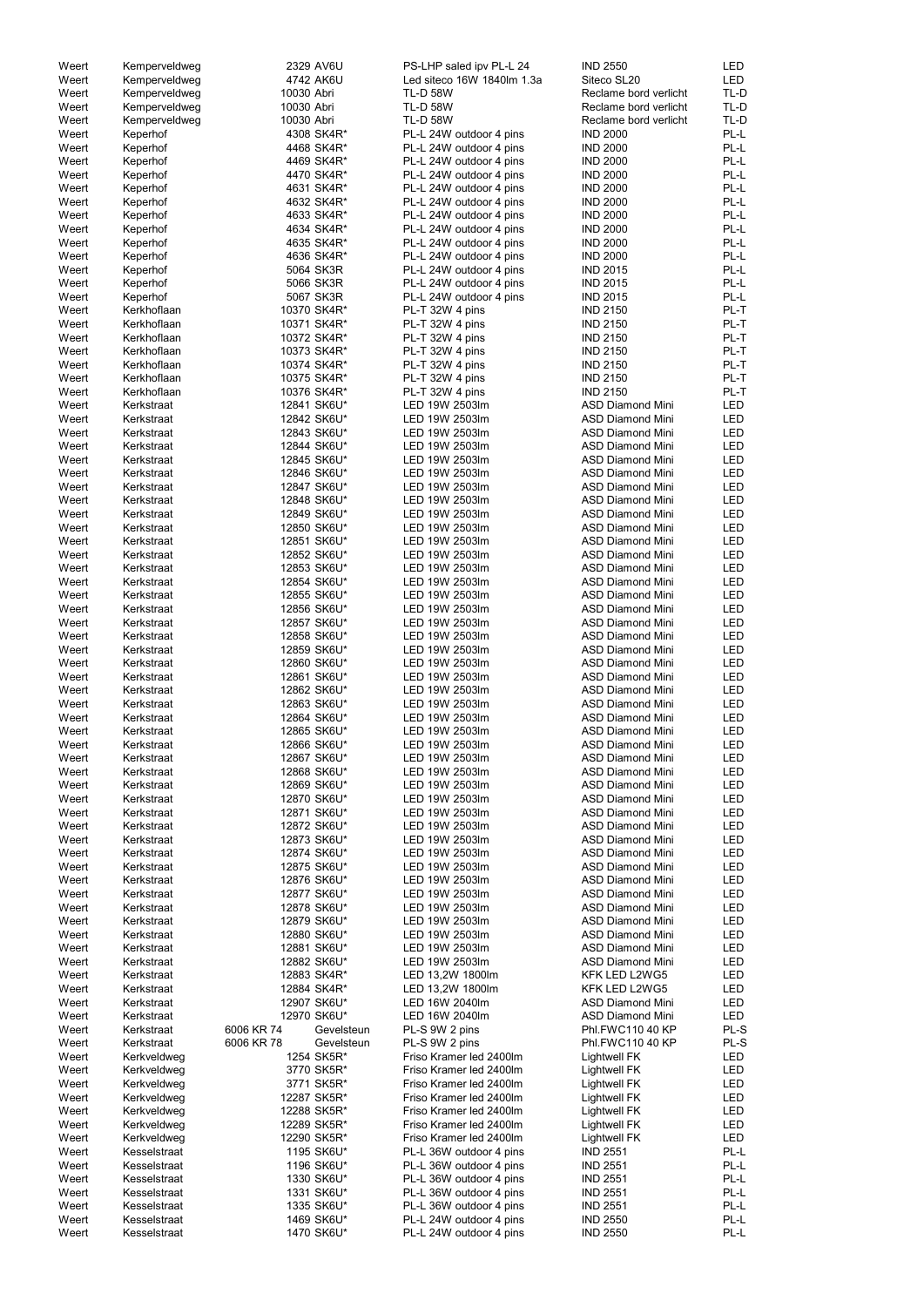| Weert | Kemperveldweg | 2329 AV6U                | PS-LHP saled ipv PL-L 24   | <b>IND 2550</b>         | <b>LED</b> |
|-------|---------------|--------------------------|----------------------------|-------------------------|------------|
| Weert | Kemperveldweg | 4742 AK6U                | Led siteco 16W 1840lm 1.3a | Siteco SL20             | <b>LED</b> |
| Weert | Kemperveldweg | 10030 Abri               | <b>TL-D 58W</b>            | Reclame bord verlicht   | TL-D       |
| Weert | Kemperveldweg | 10030 Abri               | <b>TL-D 58W</b>            | Reclame bord verlicht   | TL-D       |
|       |               |                          |                            |                         |            |
| Weert | Kemperveldweg | 10030 Abri               | <b>TL-D 58W</b>            | Reclame bord verlicht   | TL-D       |
| Weert | Keperhof      | 4308 SK4R*               | PL-L 24W outdoor 4 pins    | <b>IND 2000</b>         | PL-L       |
| Weert | Keperhof      | 4468 SK4R*               | PL-L 24W outdoor 4 pins    | <b>IND 2000</b>         | PL-L       |
| Weert | Keperhof      | 4469 SK4R*               | PL-L 24W outdoor 4 pins    | <b>IND 2000</b>         | PL-L       |
| Weert | Keperhof      | 4470 SK4R*               | PL-L 24W outdoor 4 pins    | <b>IND 2000</b>         | PL-L       |
|       |               | 4631 SK4R*               | PL-L 24W outdoor 4 pins    | <b>IND 2000</b>         | PL-L       |
| Weert | Keperhof      |                          |                            |                         |            |
| Weert | Keperhof      | 4632 SK4R*               | PL-L 24W outdoor 4 pins    | <b>IND 2000</b>         | PL-L       |
| Weert | Keperhof      | 4633 SK4R*               | PL-L 24W outdoor 4 pins    | <b>IND 2000</b>         | PL-L       |
| Weert | Keperhof      | 4634 SK4R*               | PL-L 24W outdoor 4 pins    | <b>IND 2000</b>         | PL-L       |
| Weert | Keperhof      | 4635 SK4R*               | PL-L 24W outdoor 4 pins    | <b>IND 2000</b>         | PL-L       |
| Weert | Keperhof      | 4636 SK4R*               | PL-L 24W outdoor 4 pins    | <b>IND 2000</b>         | PL-L       |
| Weert | Keperhof      | 5064 SK3R                | PL-L 24W outdoor 4 pins    | <b>IND 2015</b>         | PL-L       |
|       |               |                          |                            |                         |            |
| Weert | Keperhof      | 5066 SK3R                | PL-L 24W outdoor 4 pins    | <b>IND 2015</b>         | PL-L       |
| Weert | Keperhof      | 5067 SK3R                | PL-L 24W outdoor 4 pins    | <b>IND 2015</b>         | PL-L       |
| Weert | Kerkhoflaan   | 10370 SK4R*              | PL-T 32W 4 pins            | <b>IND 2150</b>         | PL-T       |
| Weert | Kerkhoflaan   | 10371 SK4R*              | PL-T 32W 4 pins            | <b>IND 2150</b>         | PL-T       |
| Weert | Kerkhoflaan   | 10372 SK4R*              | PL-T 32W 4 pins            | <b>IND 2150</b>         | PL-T       |
| Weert | Kerkhoflaan   | 10373 SK4R*              | PL-T 32W 4 pins            | <b>IND 2150</b>         | PL-T       |
|       |               |                          |                            |                         | PL-T       |
| Weert | Kerkhoflaan   | 10374 SK4R*              | PL-T 32W 4 pins            | <b>IND 2150</b>         |            |
| Weert | Kerkhoflaan   | 10375 SK4R*              | PL-T 32W 4 pins            | <b>IND 2150</b>         | PL-T       |
| Weert | Kerkhoflaan   | 10376 SK4R*              | PL-T 32W 4 pins            | <b>IND 2150</b>         | PL-T       |
| Weert | Kerkstraat    | 12841 SK6U*              | LED 19W 2503lm             | <b>ASD Diamond Mini</b> | <b>LED</b> |
| Weert | Kerkstraat    | 12842 SK6U*              | LED 19W 2503lm             | <b>ASD Diamond Mini</b> | <b>LED</b> |
| Weert | Kerkstraat    | 12843 SK6U*              | LED 19W 2503lm             | <b>ASD Diamond Mini</b> | <b>LED</b> |
|       |               |                          |                            |                         |            |
| Weert | Kerkstraat    | 12844 SK6U*              | LED 19W 2503lm             | <b>ASD Diamond Mini</b> | <b>LED</b> |
| Weert | Kerkstraat    | 12845 SK6U*              | LED 19W 2503lm             | <b>ASD Diamond Mini</b> | <b>LED</b> |
| Weert | Kerkstraat    | 12846 SK6U*              | LED 19W 2503lm             | <b>ASD Diamond Mini</b> | <b>LED</b> |
| Weert | Kerkstraat    | 12847 SK6U*              | LED 19W 2503lm             | <b>ASD Diamond Mini</b> | <b>LED</b> |
| Weert | Kerkstraat    | 12848 SK6U*              | LED 19W 2503lm             | <b>ASD Diamond Mini</b> | <b>LED</b> |
| Weert | Kerkstraat    | 12849 SK6U*              | LED 19W 2503lm             | <b>ASD Diamond Mini</b> | <b>LED</b> |
|       |               |                          |                            |                         |            |
| Weert | Kerkstraat    | 12850 SK6U*              | LED 19W 2503lm             | <b>ASD Diamond Mini</b> | <b>LED</b> |
| Weert | Kerkstraat    | 12851 SK6U*              | LED 19W 2503lm             | <b>ASD Diamond Mini</b> | <b>LED</b> |
| Weert | Kerkstraat    | 12852 SK6U*              | LED 19W 2503lm             | <b>ASD Diamond Mini</b> | LED        |
| Weert | Kerkstraat    | 12853 SK6U*              | LED 19W 2503lm             | <b>ASD Diamond Mini</b> | LED        |
| Weert | Kerkstraat    | 12854 SK6U*              | LED 19W 2503lm             | <b>ASD Diamond Mini</b> | LED        |
| Weert | Kerkstraat    | 12855 SK6U*              | LED 19W 2503lm             | <b>ASD Diamond Mini</b> | LED        |
|       |               |                          |                            |                         |            |
| Weert | Kerkstraat    | 12856 SK6U*              | LED 19W 2503lm             | <b>ASD Diamond Mini</b> | LED        |
| Weert | Kerkstraat    | 12857 SK6U*              | LED 19W 2503lm             | <b>ASD Diamond Mini</b> | <b>LED</b> |
| Weert | Kerkstraat    | 12858 SK6U*              | LED 19W 2503lm             | <b>ASD Diamond Mini</b> | LED        |
| Weert | Kerkstraat    | 12859 SK6U*              | LED 19W 2503lm             | <b>ASD Diamond Mini</b> | <b>LED</b> |
| Weert | Kerkstraat    | 12860 SK6U*              | LED 19W 2503lm             | <b>ASD Diamond Mini</b> | LED        |
| Weert | Kerkstraat    | 12861 SK6U*              | LED 19W 2503lm             | <b>ASD Diamond Mini</b> | LED        |
|       |               |                          |                            |                         |            |
| Weert | Kerkstraat    | 12862 SK6U*              | LED 19W 2503lm             | <b>ASD Diamond Mini</b> | LED        |
| Weert | Kerkstraat    | 12863 SK6U*              | LED 19W 2503lm             | <b>ASD Diamond Mini</b> | LED        |
| Weert | Kerkstraat    | 12864 SK6U*              | LED 19W 2503lm             | <b>ASD Diamond Mini</b> | LED        |
| Weert | Kerkstraat    | 12865 SK6U*              | LED 19W 2503lm             | <b>ASD Diamond Mini</b> | LED        |
| Weert | Kerkstraat    | 12866 SK6U*              | LED 19W 2503lm             | <b>ASD Diamond Mini</b> | LED        |
| Weert | Kerkstraat    | 12867 SK6U*              | LED 19W 2503lm             | <b>ASD Diamond Mini</b> | LED        |
|       |               |                          |                            |                         |            |
| Weert | Kerkstraat    | 12868 SK6U*              | LED 19W 2503lm             | <b>ASD Diamond Mini</b> | LED        |
| Weert | Kerkstraat    | 12869 SK6U*              | LED 19W 2503lm             | <b>ASD Diamond Mini</b> | LED        |
| Weert | Kerkstraat    | 12870 SK6U*              | LED 19W 2503lm             | <b>ASD Diamond Mini</b> | LED        |
| Weert | Kerkstraat    | 12871 SK6U*              | LED 19W 2503lm             | <b>ASD Diamond Mini</b> | LED        |
| Weert | Kerkstraat    | 12872 SK6U*              | LED 19W 2503lm             | <b>ASD Diamond Mini</b> | LED        |
| Weert | Kerkstraat    | 12873 SK6U*              | LED 19W 2503lm             | <b>ASD Diamond Mini</b> | <b>LED</b> |
|       |               |                          |                            |                         |            |
| Weert | Kerkstraat    | 12874 SK6U*              | LED 19W 2503lm             | <b>ASD Diamond Mini</b> | <b>LED</b> |
| Weert | Kerkstraat    | 12875 SK6U*              | LED 19W 2503lm             | <b>ASD Diamond Mini</b> | <b>LED</b> |
| Weert | Kerkstraat    | 12876 SK6U*              | LED 19W 2503lm             | <b>ASD Diamond Mini</b> | <b>LED</b> |
| Weert | Kerkstraat    | 12877 SK6U*              | LED 19W 2503lm             | <b>ASD Diamond Mini</b> | <b>LED</b> |
| Weert | Kerkstraat    | 12878 SK6U*              | LED 19W 2503lm             | <b>ASD Diamond Mini</b> | LED        |
| Weert | Kerkstraat    | 12879 SK6U*              | LED 19W 2503lm             | <b>ASD Diamond Mini</b> | LED        |
|       |               |                          |                            |                         |            |
| Weert | Kerkstraat    | 12880 SK6U*              | LED 19W 2503lm             | <b>ASD Diamond Mini</b> | LED        |
| Weert | Kerkstraat    | 12881 SK6U*              | LED 19W 2503lm             | <b>ASD Diamond Mini</b> | LED        |
| Weert | Kerkstraat    | 12882 SK6U*              | LED 19W 2503lm             | <b>ASD Diamond Mini</b> | LED        |
| Weert | Kerkstraat    | 12883 SK4R*              | LED 13,2W 1800lm           | KFK LED L2WG5           | LED        |
| Weert | Kerkstraat    | 12884 SK4R*              | LED 13,2W 1800lm           | KFK LED L2WG5           | LED        |
|       |               |                          |                            |                         |            |
| Weert | Kerkstraat    | 12907 SK6U*              | LED 16W 2040lm             | <b>ASD Diamond Mini</b> | LED        |
| Weert | Kerkstraat    | 12970 SK6U*              | LED 16W 2040lm             | <b>ASD Diamond Mini</b> | LED        |
| Weert | Kerkstraat    | 6006 KR 74<br>Gevelsteun | PL-S 9W 2 pins             | Phl.FWC110 40 KP        | PL-S       |
| Weert | Kerkstraat    | 6006 KR 78<br>Gevelsteun | PL-S 9W 2 pins             | Phl.FWC110 40 KP        | PL-S       |
| Weert | Kerkveldweg   | 1254 SK5R*               | Friso Kramer led 2400lm    | <b>Lightwell FK</b>     | LED        |
| Weert | Kerkveldweg   | 3770 SK5R*               | Friso Kramer led 2400lm    | <b>Lightwell FK</b>     | LED        |
|       |               |                          |                            |                         |            |
| Weert | Kerkveldweg   | 3771 SK5R*               | Friso Kramer led 2400lm    | <b>Lightwell FK</b>     | LED        |
| Weert | Kerkveldweg   | 12287 SK5R*              | Friso Kramer led 2400lm    | <b>Lightwell FK</b>     | LED        |
| Weert | Kerkveldweg   | 12288 SK5R*              | Friso Kramer led 2400lm    | <b>Lightwell FK</b>     | LED        |
| Weert | Kerkveldweg   | 12289 SK5R*              | Friso Kramer led 2400lm    | <b>Lightwell FK</b>     | LED        |
| Weert | Kerkveldweg   | 12290 SK5R*              | Friso Kramer led 2400lm    | <b>Lightwell FK</b>     | LED        |
| Weert | Kesselstraat  | 1195 SK6U*               | PL-L 36W outdoor 4 pins    | <b>IND 2551</b>         | PL-L       |
|       |               |                          |                            |                         |            |
| Weert | Kesselstraat  | 1196 SK6U*               | PL-L 36W outdoor 4 pins    | <b>IND 2551</b>         | PL-L       |
| Weert | Kesselstraat  | 1330 SK6U*               | PL-L 36W outdoor 4 pins    | <b>IND 2551</b>         | PL-L       |
| Weert | Kesselstraat  | 1331 SK6U*               | PL-L 36W outdoor 4 pins    | <b>IND 2551</b>         | PL-L       |
| Weert | Kesselstraat  | 1335 SK6U*               | PL-L 36W outdoor 4 pins    | <b>IND 2551</b>         | PL-L       |
| Weert | Kesselstraat  | 1469 SK6U*               | PL-L 24W outdoor 4 pins    | <b>IND 2550</b>         | PL-L       |
| Weert | Kesselstraat  | 1470 SK6U*               | PL-L 24W outdoor 4 pins    | <b>IND 2550</b>         | PL-L       |
|       |               |                          |                            |                         |            |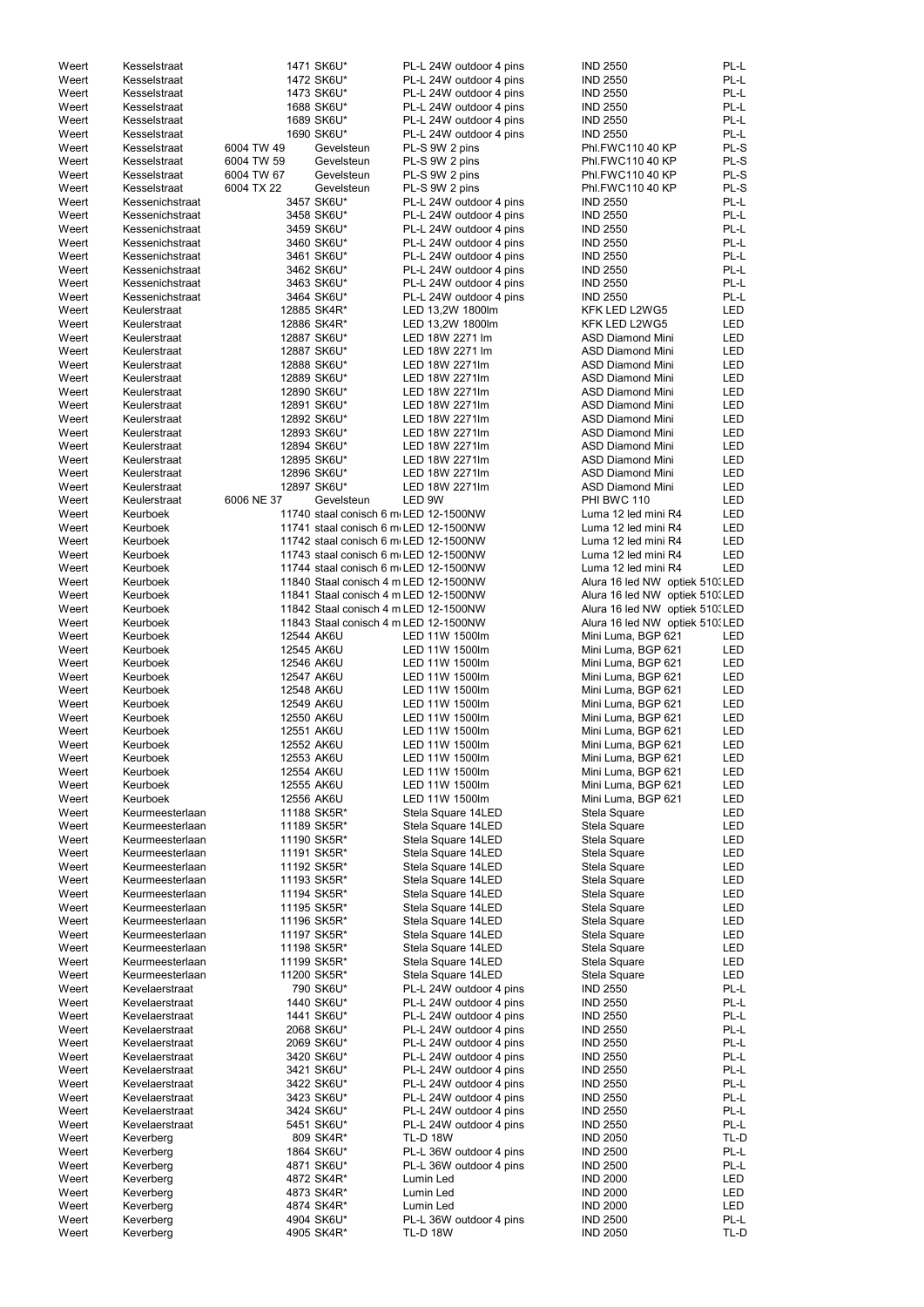| Weert |                 |            | 1471 SK6U*                            | PL-L 24W outdoor 4 pins |                                 | PL-L       |
|-------|-----------------|------------|---------------------------------------|-------------------------|---------------------------------|------------|
|       | Kesselstraat    |            |                                       |                         | <b>IND 2550</b>                 | PL-L       |
| Weert | Kesselstraat    |            | 1472 SK6U*                            | PL-L 24W outdoor 4 pins | <b>IND 2550</b>                 |            |
| Weert | Kesselstraat    |            | 1473 SK6U*                            | PL-L 24W outdoor 4 pins | <b>IND 2550</b>                 | PL-L       |
| Weert | Kesselstraat    |            | 1688 SK6U*                            | PL-L 24W outdoor 4 pins | <b>IND 2550</b>                 | PL-L       |
| Weert | Kesselstraat    |            | 1689 SK6U*                            | PL-L 24W outdoor 4 pins | <b>IND 2550</b>                 | PL-L       |
| Weert | Kesselstraat    |            | 1690 SK6U*                            | PL-L 24W outdoor 4 pins | <b>IND 2550</b>                 | PL-L       |
| Weert | Kesselstraat    | 6004 TW 49 | Gevelsteun                            | PL-S 9W 2 pins          | Phl.FWC110 40 KP                | PL-S       |
| Weert | Kesselstraat    | 6004 TW 59 | Gevelsteun                            | PL-S 9W 2 pins          | Phl.FWC110 40 KP                | PL-S       |
| Weert | Kesselstraat    | 6004 TW 67 | Gevelsteun                            | PL-S 9W 2 pins          | Phl.FWC110 40 KP                | PL-S       |
| Weert | Kesselstraat    | 6004 TX 22 | Gevelsteun                            | PL-S 9W 2 pins          | Phl.FWC110 40 KP                | PL-S       |
| Weert | Kessenichstraat |            | 3457 SK6U*                            | PL-L 24W outdoor 4 pins | <b>IND 2550</b>                 | PL-L       |
| Weert | Kessenichstraat |            | 3458 SK6U*                            | PL-L 24W outdoor 4 pins | <b>IND 2550</b>                 | PL-L       |
|       |                 |            |                                       |                         |                                 | PL-L       |
| Weert | Kessenichstraat |            | 3459 SK6U*                            | PL-L 24W outdoor 4 pins | <b>IND 2550</b>                 |            |
| Weert | Kessenichstraat |            | 3460 SK6U*                            | PL-L 24W outdoor 4 pins | <b>IND 2550</b>                 | PL-L       |
| Weert | Kessenichstraat |            | 3461 SK6U*                            | PL-L 24W outdoor 4 pins | <b>IND 2550</b>                 | PL-L       |
| Weert | Kessenichstraat |            | 3462 SK6U*                            | PL-L 24W outdoor 4 pins | <b>IND 2550</b>                 | PL-L       |
| Weert | Kessenichstraat |            | 3463 SK6U*                            | PL-L 24W outdoor 4 pins | <b>IND 2550</b>                 | PL-L       |
| Weert | Kessenichstraat |            | 3464 SK6U*                            | PL-L 24W outdoor 4 pins | <b>IND 2550</b>                 | PL-L       |
| Weert | Keulerstraat    |            | 12885 SK4R*                           | LED 13,2W 1800lm        | KFK LED L2WG5                   | LED        |
| Weert | Keulerstraat    |            | 12886 SK4R*                           | LED 13,2W 1800lm        | KFK LED L2WG5                   | LED        |
| Weert | Keulerstraat    |            | 12887 SK6U*                           | LED 18W 2271 lm         | <b>ASD Diamond Mini</b>         | LED        |
| Weert | Keulerstraat    |            | 12887 SK6U*                           | LED 18W 2271 lm         | <b>ASD Diamond Mini</b>         | <b>LED</b> |
| Weert | Keulerstraat    |            | 12888 SK6U*                           | LED 18W 2271lm          | <b>ASD Diamond Mini</b>         | <b>LED</b> |
| Weert | Keulerstraat    |            | 12889 SK6U*                           | LED 18W 2271lm          | <b>ASD Diamond Mini</b>         | <b>LED</b> |
| Weert | Keulerstraat    |            | 12890 SK6U*                           | LED 18W 2271lm          | <b>ASD Diamond Mini</b>         | <b>LED</b> |
|       |                 |            |                                       | LED 18W 2271lm          |                                 |            |
| Weert | Keulerstraat    |            | 12891 SK6U*                           |                         | <b>ASD Diamond Mini</b>         | LED        |
| Weert | Keulerstraat    |            | 12892 SK6U*                           | LED 18W 2271lm          | <b>ASD Diamond Mini</b>         | <b>LED</b> |
| Weert | Keulerstraat    |            | 12893 SK6U*                           | LED 18W 2271lm          | <b>ASD Diamond Mini</b>         | <b>LED</b> |
| Weert | Keulerstraat    |            | 12894 SK6U*                           | LED 18W 2271lm          | <b>ASD Diamond Mini</b>         | <b>LED</b> |
| Weert | Keulerstraat    |            | 12895 SK6U*                           | LED 18W 2271lm          | <b>ASD Diamond Mini</b>         | <b>LED</b> |
| Weert | Keulerstraat    |            | 12896 SK6U*                           | LED 18W 2271lm          | <b>ASD Diamond Mini</b>         | LED        |
| Weert | Keulerstraat    |            | 12897 SK6U*                           | LED 18W 2271lm          | <b>ASD Diamond Mini</b>         | LED        |
| Weert | Keulerstraat    | 6006 NE 37 | Gevelsteun                            | LED 9W                  | PHI BWC 110                     | <b>LED</b> |
| Weert | Keurboek        |            | 11740 staal conisch 6 m LED 12-1500NW |                         | Luma 12 led mini R4             | <b>LED</b> |
| Weert | Keurboek        |            | 11741 staal conisch 6 m LED 12-1500NW |                         | Luma 12 led mini R4             | <b>LED</b> |
| Weert | Keurboek        |            | 11742 staal conisch 6 m LED 12-1500NW |                         | Luma 12 led mini R4             | <b>LED</b> |
| Weert | Keurboek        |            | 11743 staal conisch 6 m LED 12-1500NW |                         | Luma 12 led mini R4             | <b>LED</b> |
|       |                 |            |                                       |                         |                                 |            |
| Weert | Keurboek        |            | 11744 staal conisch 6 m LED 12-1500NW |                         | Luma 12 led mini R4             | <b>LED</b> |
| Weert | Keurboek        |            | 11840 Staal conisch 4 m LED 12-1500NW |                         | Alura 16 led NW optiek 510. LED |            |
| Weert | Keurboek        |            | 11841 Staal conisch 4 m LED 12-1500NW |                         | Alura 16 led NW optiek 510. LED |            |
| Weert | Keurboek        |            | 11842 Staal conisch 4 m LED 12-1500NW |                         | Alura 16 led NW optiek 510. LED |            |
| Weert | Keurboek        |            | 11843 Staal conisch 4 m LED 12-1500NW |                         | Alura 16 led NW optiek 510. LED |            |
| Weert | Keurboek        | 12544 AK6U |                                       | LED 11W 1500lm          | Mini Luma, BGP 621              | LED        |
| Weert | Keurboek        | 12545 AK6U |                                       | LED 11W 1500lm          | Mini Luma, BGP 621              | LED        |
| Weert | Keurboek        | 12546 AK6U |                                       | LED 11W 1500lm          | Mini Luma, BGP 621              | LED        |
| Weert | Keurboek        | 12547 AK6U |                                       | LED 11W 1500lm          | Mini Luma, BGP 621              | <b>LED</b> |
| Weert | Keurboek        | 12548 AK6U |                                       | LED 11W 1500lm          | Mini Luma, BGP 621              | <b>LED</b> |
| Weert | Keurboek        | 12549 AK6U |                                       | LED 11W 1500lm          | Mini Luma, BGP 621              | LED        |
| Weert | Keurboek        | 12550 AK6U |                                       | LED 11W 1500lm          | Mini Luma, BGP 621              | LED        |
| Weert | Keurboek        | 12551 AK6U |                                       | LED 11W 1500lm          |                                 | LED        |
|       |                 |            |                                       |                         | Mini Luma, BGP 621              |            |
| Weert | Keurboek        | 12552 AK6U |                                       | LED 11W 1500lm          | Mini Luma, BGP 621              | LED        |
| Weert | Keurboek        | 12553 AK6U |                                       | LED 11W 1500lm          | Mini Luma, BGP 621              | LED        |
| Weert | Keurboek        | 12554 AK6U |                                       | LED 11W 1500lm          | Mini Luma, BGP 621              | LED        |
| Weert | Keurboek        | 12555 AK6U |                                       | LED 11W 1500lm          | Mini Luma, BGP 621              | LED        |
| Weert | Keurboek        | 12556 AK6U |                                       | LED 11W 1500lm          | Mini Luma, BGP 621              | LED        |
| Weert | Keurmeesterlaan |            | 11188 SK5R*                           | Stela Square 14LED      | Stela Square                    | LED        |
| Weert | Keurmeesterlaan |            | 11189 SK5R*                           | Stela Square 14LED      | Stela Square                    | LED        |
| Weert | Keurmeesterlaan |            | 11190 SK5R*                           | Stela Square 14LED      | Stela Square                    | LED        |
| Weert | Keurmeesterlaan |            | 11191 SK5R*                           | Stela Square 14LED      | Stela Square                    | LED        |
| Weert | Keurmeesterlaan |            | 11192 SK5R*                           | Stela Square 14LED      | Stela Square                    | LED        |
| Weert | Keurmeesterlaan |            | 11193 SK5R*                           | Stela Square 14LED      | Stela Square                    | LED        |
| Weert | Keurmeesterlaan |            | 11194 SK5R*                           | Stela Square 14LED      | Stela Square                    | LED        |
| Weert | Keurmeesterlaan |            | 11195 SK5R*                           | Stela Square 14LED      | Stela Square                    | LED        |
| Weert | Keurmeesterlaan |            | 11196 SK5R*                           | Stela Square 14LED      | Stela Square                    | <b>LED</b> |
| Weert | Keurmeesterlaan |            | 11197 SK5R*                           | Stela Square 14LED      | Stela Square                    | LED        |
|       |                 |            |                                       |                         |                                 |            |
| Weert | Keurmeesterlaan |            | 11198 SK5R*                           | Stela Square 14LED      | Stela Square                    | LED        |
| Weert | Keurmeesterlaan |            | 11199 SK5R*                           | Stela Square 14LED      | Stela Square                    | LED        |
| Weert | Keurmeesterlaan |            | 11200 SK5R*                           | Stela Square 14LED      | Stela Square                    | LED        |
| Weert | Kevelaerstraat  |            | 790 SK6U*                             | PL-L 24W outdoor 4 pins | <b>IND 2550</b>                 | PL-L       |
| Weert | Kevelaerstraat  |            | 1440 SK6U*                            | PL-L 24W outdoor 4 pins | <b>IND 2550</b>                 | PL-L       |
| Weert | Kevelaerstraat  |            | 1441 SK6U*                            | PL-L 24W outdoor 4 pins | <b>IND 2550</b>                 | PL-L       |
| Weert | Kevelaerstraat  |            | 2068 SK6U*                            | PL-L 24W outdoor 4 pins | <b>IND 2550</b>                 | PL-L       |
| Weert | Kevelaerstraat  |            | 2069 SK6U*                            | PL-L 24W outdoor 4 pins | <b>IND 2550</b>                 | PL-L       |
| Weert | Kevelaerstraat  |            | 3420 SK6U*                            | PL-L 24W outdoor 4 pins | <b>IND 2550</b>                 | PL-L       |
| Weert | Kevelaerstraat  |            | 3421 SK6U*                            | PL-L 24W outdoor 4 pins | <b>IND 2550</b>                 | PL-L       |
| Weert | Kevelaerstraat  |            | 3422 SK6U*                            | PL-L 24W outdoor 4 pins | <b>IND 2550</b>                 | PL-L       |
| Weert | Kevelaerstraat  |            | 3423 SK6U*                            | PL-L 24W outdoor 4 pins | <b>IND 2550</b>                 | PL-L       |
| Weert | Kevelaerstraat  |            | 3424 SK6U*                            | PL-L 24W outdoor 4 pins | <b>IND 2550</b>                 | PL-L       |
| Weert | Kevelaerstraat  |            | 5451 SK6U*                            | PL-L 24W outdoor 4 pins | <b>IND 2550</b>                 | PL-L       |
|       |                 |            |                                       | <b>TL-D 18W</b>         |                                 |            |
| Weert | Keverberg       |            | 809 SK4R*                             |                         | <b>IND 2050</b>                 | TL-D       |
| Weert | Keverberg       |            | 1864 SK6U*                            | PL-L 36W outdoor 4 pins | <b>IND 2500</b>                 | PL-L       |
| Weert | Keverberg       |            | 4871 SK6U*                            | PL-L 36W outdoor 4 pins | <b>IND 2500</b>                 | PL-L       |
| Weert | Keverberg       |            | 4872 SK4R*                            | Lumin Led               | <b>IND 2000</b>                 | LED        |
| Weert | Keverberg       |            | 4873 SK4R*                            | Lumin Led               | <b>IND 2000</b>                 | LED        |
| Weert | Keverberg       |            | 4874 SK4R*                            | Lumin Led               | <b>IND 2000</b>                 | LED        |
| Weert | Keverberg       |            | 4904 SK6U*                            | PL-L 36W outdoor 4 pins | <b>IND 2500</b>                 | PL-L       |
| Weert | Keverberg       |            | 4905 SK4R*                            | <b>TL-D 18W</b>         | <b>IND 2050</b>                 | TL-D       |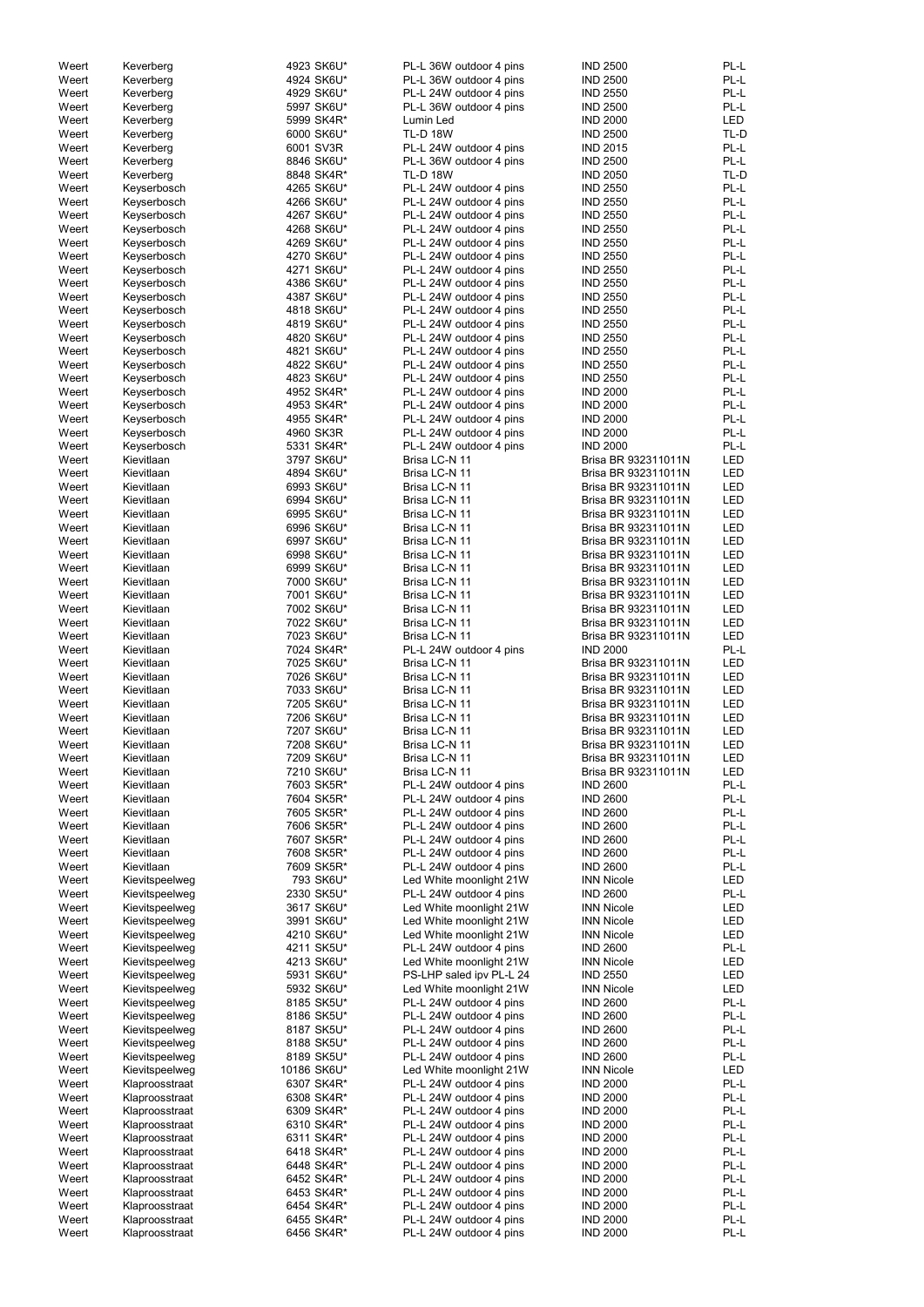| Weert          | Keverberg                        | 4923 SK6U*                | PL-L 36W outdoor 4 pins                            | <b>IND 2500</b>                            | PL-L              |
|----------------|----------------------------------|---------------------------|----------------------------------------------------|--------------------------------------------|-------------------|
| Weert          | Keverberg                        | 4924 SK6U*                | PL-L 36W outdoor 4 pins                            | <b>IND 2500</b>                            | PL-L              |
| Weert          | Keverberg                        | 4929 SK6U*                | PL-L 24W outdoor 4 pins                            | <b>IND 2550</b>                            | PL-L              |
| Weert          | Keverberg                        | 5997 SK6U*                | PL-L 36W outdoor 4 pins                            | <b>IND 2500</b>                            | PL-L              |
| Weert          | Keverberg                        | 5999 SK4R*                | Lumin Led                                          | <b>IND 2000</b>                            | <b>LED</b>        |
| Weert          | Keverberg                        | 6000 SK6U*                | <b>TL-D 18W</b>                                    | <b>IND 2500</b>                            | TL-D              |
| Weert          | Keverberg                        | 6001 SV3R                 | PL-L 24W outdoor 4 pins                            | <b>IND 2015</b>                            | PL-L              |
| Weert          | Keverberg                        | 8846 SK6U*                | PL-L 36W outdoor 4 pins                            | <b>IND 2500</b>                            | PL-L              |
| Weert          | Keverberg                        | 8848 SK4R*                | <b>TL-D 18W</b>                                    | <b>IND 2050</b>                            | TL-D              |
| Weert          | Keyserbosch                      | 4265 SK6U*                | PL-L 24W outdoor 4 pins                            | <b>IND 2550</b>                            | PL-L              |
| Weert          | Keyserbosch                      | 4266 SK6U*                | PL-L 24W outdoor 4 pins                            | <b>IND 2550</b>                            | PL-L              |
| Weert          | Keyserbosch                      | 4267 SK6U*                | PL-L 24W outdoor 4 pins                            | <b>IND 2550</b>                            | PL-L              |
| Weert          | Keyserbosch                      | 4268 SK6U*                | PL-L 24W outdoor 4 pins                            | <b>IND 2550</b>                            | PL-L              |
| Weert          | Keyserbosch                      | 4269 SK6U*                | PL-L 24W outdoor 4 pins                            | <b>IND 2550</b>                            | PL-L              |
| Weert          | Keyserbosch                      | 4270 SK6U*                | PL-L 24W outdoor 4 pins                            | <b>IND 2550</b>                            | PL-L              |
| Weert          | Keyserbosch                      | 4271 SK6U*                | PL-L 24W outdoor 4 pins                            | <b>IND 2550</b>                            | PL-L              |
| Weert          | Keyserbosch                      | 4386 SK6U*                | PL-L 24W outdoor 4 pins                            | <b>IND 2550</b>                            | PL-L              |
| Weert          | Keyserbosch                      | 4387 SK6U*                | PL-L 24W outdoor 4 pins                            | <b>IND 2550</b>                            | PL-L              |
| Weert          | Keyserbosch                      | 4818 SK6U*                | PL-L 24W outdoor 4 pins                            | <b>IND 2550</b>                            | PL-L              |
| Weert          | Keyserbosch                      | 4819 SK6U*                | PL-L 24W outdoor 4 pins                            | <b>IND 2550</b>                            | PL-L              |
| Weert<br>Weert | Keyserbosch                      | 4820 SK6U*<br>4821 SK6U*  | PL-L 24W outdoor 4 pins                            | <b>IND 2550</b><br><b>IND 2550</b>         | PL-L<br>PL-L      |
| Weert          | Keyserbosch                      | 4822 SK6U*                | PL-L 24W outdoor 4 pins<br>PL-L 24W outdoor 4 pins | <b>IND 2550</b>                            | PL-L              |
| Weert          | Keyserbosch<br>Keyserbosch       | 4823 SK6U*                | PL-L 24W outdoor 4 pins                            | <b>IND 2550</b>                            | PL-L              |
| Weert          | Keyserbosch                      | 4952 SK4R*                | PL-L 24W outdoor 4 pins                            | <b>IND 2000</b>                            | PL-L              |
| Weert          | Keyserbosch                      | 4953 SK4R*                | PL-L 24W outdoor 4 pins                            | <b>IND 2000</b>                            | PL-L              |
| Weert          | Keyserbosch                      | 4955 SK4R*                | PL-L 24W outdoor 4 pins                            | <b>IND 2000</b>                            | PL-L              |
| Weert          | Keyserbosch                      | 4960 SK3R                 | PL-L 24W outdoor 4 pins                            | <b>IND 2000</b>                            | PL-L              |
| Weert          | Keyserbosch                      | 5331 SK4R*                | PL-L 24W outdoor 4 pins                            | <b>IND 2000</b>                            | PL-L              |
| Weert          | Kievitlaan                       | 3797 SK6U*                | Brisa LC-N 11                                      | Brisa BR 932311011N                        | <b>LED</b>        |
| Weert          | Kievitlaan                       | 4894 SK6U*                | Brisa LC-N 11                                      | Brisa BR 932311011N                        | <b>LED</b>        |
| Weert          | Kievitlaan                       | 6993 SK6U*                | Brisa LC-N 11                                      | Brisa BR 932311011N                        | <b>LED</b>        |
| Weert          | Kievitlaan                       | 6994 SK6U*                | Brisa LC-N 11                                      | Brisa BR 932311011N                        | <b>LED</b>        |
| Weert          | Kievitlaan                       | 6995 SK6U*                | Brisa LC-N 11                                      | Brisa BR 932311011N                        | <b>LED</b>        |
| Weert          | Kievitlaan                       | 6996 SK6U*                | Brisa LC-N 11                                      | Brisa BR 932311011N                        | <b>LED</b>        |
| Weert          | Kievitlaan                       | 6997 SK6U*                | Brisa LC-N 11                                      | Brisa BR 932311011N                        | <b>LED</b>        |
| Weert          | Kievitlaan                       | 6998 SK6U*                | Brisa LC-N 11                                      | Brisa BR 932311011N                        | LED               |
| Weert          | Kievitlaan                       | 6999 SK6U*                | Brisa LC-N 11<br>Brisa LC-N 11                     | Brisa BR 932311011N<br>Brisa BR 932311011N | LED<br><b>LED</b> |
| Weert<br>Weert | Kievitlaan<br>Kievitlaan         | 7000 SK6U*<br>7001 SK6U*  | Brisa LC-N 11                                      | Brisa BR 932311011N                        | <b>LED</b>        |
| Weert          | Kievitlaan                       | 7002 SK6U*                | Brisa LC-N 11                                      | Brisa BR 932311011N                        | <b>LED</b>        |
| Weert          | Kievitlaan                       | 7022 SK6U*                | Brisa LC-N 11                                      | Brisa BR 932311011N                        | <b>LED</b>        |
| Weert          | Kievitlaan                       | 7023 SK6U*                | Brisa LC-N 11                                      | Brisa BR 932311011N                        | <b>LED</b>        |
| Weert          | Kievitlaan                       | 7024 SK4R*                | PL-L 24W outdoor 4 pins                            | <b>IND 2000</b>                            | PL-L              |
| Weert          | Kievitlaan                       | 7025 SK6U*                | Brisa LC-N 11                                      | Brisa BR 932311011N                        | <b>LED</b>        |
| Weert          | Kievitlaan                       | 7026 SK6U*                | Brisa LC-N 11                                      | Brisa BR 932311011N                        | <b>LED</b>        |
| Weert          | Kievitlaan                       | 7033 SK6U*                | Brisa LC-N 11                                      | Brisa BR 932311011N                        | <b>LED</b>        |
| Weert          | Kievitlaan                       | 7205 SK6U*                | Brisa LC-N 11                                      | Brisa BR 932311011N                        | LED               |
| Weert          | Kievitlaan                       | 7206 SK6U*                | Brisa LC-N 11                                      | Brisa BR 932311011N                        | <b>LED</b>        |
| Weert          | Kievitlaan                       | 7207 SK6U*                | Brisa LC-N 11                                      | Brisa BR 932311011N                        | LED               |
| Weert          | Kievitlaan                       | 7208 SK6U*                | Brisa LC-N 11                                      | Brisa BR 932311011N                        | LED               |
| Weert          | Kievitlaan                       | 7209 SK6U*                | Brisa LC-N 11                                      | Brisa BR 932311011N                        | LED               |
| Weert          | Kievitlaan                       | 7210 SK6U*                | Brisa LC-N 11                                      | Brisa BR 932311011N                        | LED               |
| Weert          | Kievitlaan                       | 7603 SK5R*                | PL-L 24W outdoor 4 pins                            | <b>IND 2600</b>                            | PL-L              |
| Weert          | Kievitlaan                       | 7604 SK5R*                | PL-L 24W outdoor 4 pins                            | <b>IND 2600</b>                            | PL-L              |
| Weert          | Kievitlaan                       | 7605 SK5R*                | PL-L 24W outdoor 4 pins                            | <b>IND 2600</b>                            | PL-L              |
| Weert          | Kievitlaan<br>Kievitlaan         | 7606 SK5R*                | PL-L 24W outdoor 4 pins                            | <b>IND 2600</b><br><b>IND 2600</b>         | PL-L<br>PL-L      |
| Weert          | Kievitlaan                       | 7607 SK5R*                | PL-L 24W outdoor 4 pins<br>PL-L 24W outdoor 4 pins | <b>IND 2600</b>                            | PL-L              |
| Weert<br>Weert | Kievitlaan                       | 7608 SK5R*<br>7609 SK5R*  | PL-L 24W outdoor 4 pins                            | <b>IND 2600</b>                            | PL-L              |
| Weert          | Kievitspeelweg                   | 793 SK6U*                 | Led White moonlight 21W                            | <b>INN Nicole</b>                          | LED               |
| Weert          | Kievitspeelweg                   | 2330 SK5U*                | PL-L 24W outdoor 4 pins                            | <b>IND 2600</b>                            | PL-L              |
| Weert          | Kievitspeelweg                   | 3617 SK6U*                | Led White moonlight 21W                            | <b>INN Nicole</b>                          | LED               |
| Weert          | Kievitspeelweg                   | 3991 SK6U*                | Led White moonlight 21W                            | <b>INN Nicole</b>                          | LED               |
| Weert          | Kievitspeelweg                   | 4210 SK6U*                | Led White moonlight 21W                            | <b>INN Nicole</b>                          | LED               |
| Weert          | Kievitspeelweg                   | 4211 SK5U*                | PL-L 24W outdoor 4 pins                            | <b>IND 2600</b>                            | PL-L              |
| Weert          | Kievitspeelweg                   | 4213 SK6U*                | Led White moonlight 21W                            | <b>INN Nicole</b>                          | LED               |
| Weert          | Kievitspeelweg                   | 5931 SK6U*                | PS-LHP saled ipv PL-L 24                           | <b>IND 2550</b>                            | LED               |
| Weert          | Kievitspeelweg                   | 5932 SK6U*                | Led White moonlight 21W                            | <b>INN Nicole</b>                          | LED               |
| Weert          | Kievitspeelweg                   | 8185 SK5U*                | PL-L 24W outdoor 4 pins                            | <b>IND 2600</b>                            | PL-L              |
| Weert          | Kievitspeelweg                   | 8186 SK5U*                | PL-L 24W outdoor 4 pins                            | <b>IND 2600</b>                            | PL-L              |
| Weert          | Kievitspeelweg                   | 8187 SK5U*                | PL-L 24W outdoor 4 pins                            | <b>IND 2600</b>                            | PL-L              |
| Weert          | Kievitspeelweg                   | 8188 SK5U*                | PL-L 24W outdoor 4 pins                            | <b>IND 2600</b>                            | PL-L              |
| Weert<br>Weert | Kievitspeelweg<br>Kievitspeelweg | 8189 SK5U*<br>10186 SK6U* | PL-L 24W outdoor 4 pins<br>Led White moonlight 21W | <b>IND 2600</b><br><b>INN Nicole</b>       | PL-L<br>LED       |
| Weert          | Klaproosstraat                   | 6307 SK4R*                | PL-L 24W outdoor 4 pins                            | <b>IND 2000</b>                            | PL-L              |
| Weert          | Klaproosstraat                   | 6308 SK4R*                | PL-L 24W outdoor 4 pins                            | <b>IND 2000</b>                            | PL-L              |
| Weert          | Klaproosstraat                   | 6309 SK4R*                | PL-L 24W outdoor 4 pins                            | <b>IND 2000</b>                            | PL-L              |
| Weert          | Klaproosstraat                   | 6310 SK4R*                | PL-L 24W outdoor 4 pins                            | <b>IND 2000</b>                            | PL-L              |
| Weert          | Klaproosstraat                   | 6311 SK4R*                | PL-L 24W outdoor 4 pins                            | <b>IND 2000</b>                            | PL-L              |
| Weert          | Klaproosstraat                   | 6418 SK4R*                | PL-L 24W outdoor 4 pins                            | <b>IND 2000</b>                            | PL-L              |
| Weert          | Klaproosstraat                   | 6448 SK4R*                | PL-L 24W outdoor 4 pins                            | <b>IND 2000</b>                            | PL-L              |
| Weert          | Klaproosstraat                   | 6452 SK4R*                | PL-L 24W outdoor 4 pins                            | <b>IND 2000</b>                            | PL-L              |
| Weert          | Klaproosstraat                   | 6453 SK4R*                | PL-L 24W outdoor 4 pins                            | <b>IND 2000</b>                            | PL-L              |
| Weert          | Klaproosstraat                   | 6454 SK4R*                | PL-L 24W outdoor 4 pins                            | <b>IND 2000</b>                            | PL-L              |
| Weert          | Klaproosstraat                   | 6455 SK4R*                | PL-L 24W outdoor 4 pins                            | <b>IND 2000</b>                            | PL-L              |
| Weert          | Klaproosstraat                   | 6456 SK4R*                | PL-L 24W outdoor 4 pins                            | <b>IND 2000</b>                            | PL-L              |
|                |                                  |                           |                                                    |                                            |                   |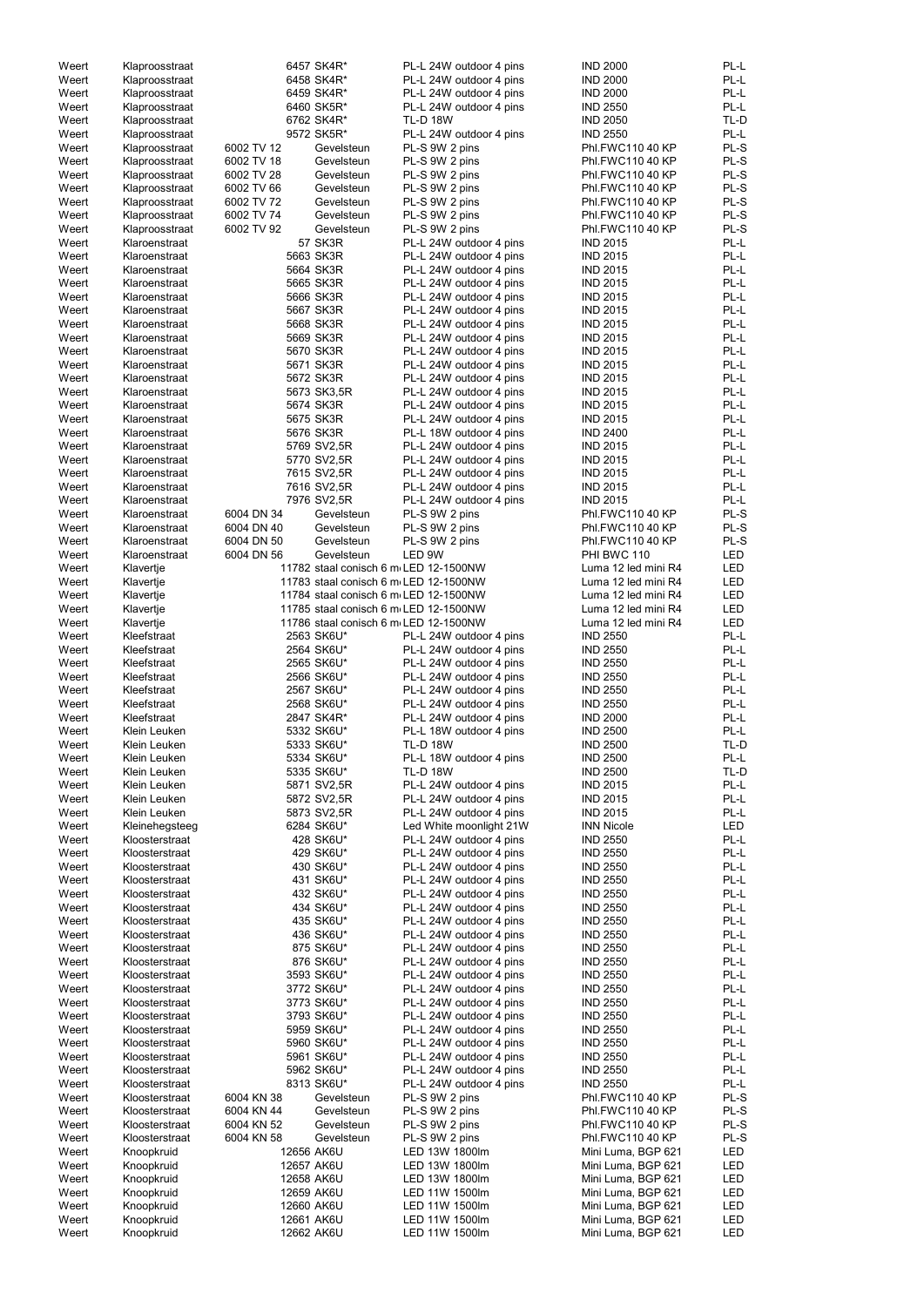| Weert | Klaproosstraat |            | 6457 SK4R*                            | PL-L 24W outdoor 4 pins | <b>IND 2000</b>                          | PL-L       |
|-------|----------------|------------|---------------------------------------|-------------------------|------------------------------------------|------------|
| Weert | Klaproosstraat |            | 6458 SK4R*                            | PL-L 24W outdoor 4 pins | <b>IND 2000</b>                          | PL-L       |
| Weert | Klaproosstraat |            | 6459 SK4R*                            | PL-L 24W outdoor 4 pins | <b>IND 2000</b>                          | PL-L       |
| Weert | Klaproosstraat |            | 6460 SK5R*                            | PL-L 24W outdoor 4 pins | <b>IND 2550</b>                          | PL-L       |
| Weert | Klaproosstraat |            | 6762 SK4R*                            | <b>TL-D 18W</b>         | <b>IND 2050</b>                          | TL-D       |
| Weert | Klaproosstraat |            | 9572 SK5R*                            | PL-L 24W outdoor 4 pins | <b>IND 2550</b>                          | PL-L       |
| Weert | Klaproosstraat | 6002 TV 12 | Gevelsteun                            | PL-S 9W 2 pins          | Phl.FWC110 40 KP                         | PL-S       |
| Weert | Klaproosstraat | 6002 TV 18 | Gevelsteun                            | PL-S 9W 2 pins          | Phl.FWC110 40 KP                         | PL-S       |
|       |                | 6002 TV 28 |                                       |                         | <b>Phl.FWC110 40 KP</b>                  | PL-S       |
| Weert | Klaproosstraat |            | Gevelsteun                            | PL-S 9W 2 pins          |                                          |            |
| Weert | Klaproosstraat | 6002 TV 66 | Gevelsteun                            | PL-S 9W 2 pins          | Phl.FWC110 40 KP                         | PL-S       |
| Weert | Klaproosstraat | 6002 TV 72 | Gevelsteun                            | PL-S 9W 2 pins          | Phl.FWC110 40 KP                         | PL-S       |
| Weert | Klaproosstraat | 6002 TV 74 | Gevelsteun                            | PL-S 9W 2 pins          | <b>Phl.FWC110 40 KP</b>                  | PL-S       |
| Weert | Klaproosstraat | 6002 TV 92 | Gevelsteun                            | PL-S 9W 2 pins          | Phl.FWC110 40 KP                         | PL-S       |
| Weert | Klaroenstraat  |            | 57 SK3R                               | PL-L 24W outdoor 4 pins | <b>IND 2015</b>                          | PL-L       |
| Weert | Klaroenstraat  |            | 5663 SK3R                             | PL-L 24W outdoor 4 pins | <b>IND 2015</b>                          | PL-L       |
| Weert | Klaroenstraat  |            | 5664 SK3R                             | PL-L 24W outdoor 4 pins | <b>IND 2015</b>                          | PL-L       |
| Weert | Klaroenstraat  |            | 5665 SK3R                             | PL-L 24W outdoor 4 pins | <b>IND 2015</b>                          | PL-L       |
|       |                |            |                                       |                         |                                          |            |
| Weert | Klaroenstraat  |            | 5666 SK3R                             | PL-L 24W outdoor 4 pins | <b>IND 2015</b>                          | PL-L       |
| Weert | Klaroenstraat  |            | 5667 SK3R                             | PL-L 24W outdoor 4 pins | <b>IND 2015</b>                          | PL-L       |
| Weert | Klaroenstraat  |            | 5668 SK3R                             | PL-L 24W outdoor 4 pins | <b>IND 2015</b>                          | PL-L       |
| Weert | Klaroenstraat  |            | 5669 SK3R                             | PL-L 24W outdoor 4 pins | <b>IND 2015</b>                          | PL-L       |
| Weert | Klaroenstraat  |            | 5670 SK3R                             | PL-L 24W outdoor 4 pins | <b>IND 2015</b>                          | PL-L       |
| Weert | Klaroenstraat  |            | 5671 SK3R                             | PL-L 24W outdoor 4 pins | <b>IND 2015</b>                          | PL-L       |
| Weert | Klaroenstraat  |            | 5672 SK3R                             | PL-L 24W outdoor 4 pins | <b>IND 2015</b>                          | PL-L       |
| Weert | Klaroenstraat  |            | 5673 SK3,5R                           | PL-L 24W outdoor 4 pins | <b>IND 2015</b>                          | PL-L       |
| Weert | Klaroenstraat  |            | 5674 SK3R                             | PL-L 24W outdoor 4 pins | <b>IND 2015</b>                          | PL-L       |
|       |                |            |                                       |                         |                                          |            |
| Weert | Klaroenstraat  |            | 5675 SK3R                             | PL-L 24W outdoor 4 pins | <b>IND 2015</b>                          | PL-L       |
| Weert | Klaroenstraat  |            | 5676 SK3R                             | PL-L 18W outdoor 4 pins | <b>IND 2400</b>                          | PL-L       |
| Weert | Klaroenstraat  |            | 5769 SV2,5R                           | PL-L 24W outdoor 4 pins | <b>IND 2015</b>                          | PL-L       |
| Weert | Klaroenstraat  |            | 5770 SV2,5R                           | PL-L 24W outdoor 4 pins | <b>IND 2015</b>                          | PL-L       |
| Weert | Klaroenstraat  |            | 7615 SV2,5R                           | PL-L 24W outdoor 4 pins | <b>IND 2015</b>                          | PL-L       |
| Weert | Klaroenstraat  |            | 7616 SV2,5R                           | PL-L 24W outdoor 4 pins | <b>IND 2015</b>                          | PL-L       |
| Weert | Klaroenstraat  |            | 7976 SV2,5R                           | PL-L 24W outdoor 4 pins | <b>IND 2015</b>                          | PL-L       |
| Weert | Klaroenstraat  | 6004 DN 34 | Gevelsteun                            | PL-S 9W 2 pins          | Phl.FWC110 40 KP                         | PL-S       |
|       |                |            |                                       |                         |                                          |            |
| Weert | Klaroenstraat  | 6004 DN 40 | Gevelsteun                            | PL-S 9W 2 pins          | Phl.FWC110 40 KP                         | PL-S       |
| Weert | Klaroenstraat  | 6004 DN 50 | Gevelsteun                            | PL-S 9W 2 pins          | Phl.FWC110 40 KP                         | PL-S       |
| Weert | Klaroenstraat  | 6004 DN 56 | Gevelsteun                            | LED 9W                  | PHI BWC 110                              | <b>LED</b> |
| Weert | Klavertje      |            | 11782 staal conisch 6 m LED 12-1500NW |                         | Luma 12 led mini R4                      | <b>LED</b> |
| Weert | Klavertje      |            | 11783 staal conisch 6 m LED 12-1500NW |                         | Luma 12 led mini R4                      | LED        |
| Weert | Klavertje      |            | 11784 staal conisch 6 m LED 12-1500NW |                         | Luma 12 led mini R4                      | <b>LED</b> |
| Weert | Klavertje      |            | 11785 staal conisch 6 m LED 12-1500NW |                         | Luma 12 led mini R4                      | <b>LED</b> |
| Weert | Klavertje      |            | 11786 staal conisch 6 m LED 12-1500NW |                         | Luma 12 led mini R4                      | <b>LED</b> |
| Weert | Kleefstraat    |            | 2563 SK6U*                            | PL-L 24W outdoor 4 pins | <b>IND 2550</b>                          | PL-L       |
|       |                |            |                                       |                         |                                          |            |
| Weert | Kleefstraat    |            | 2564 SK6U*                            | PL-L 24W outdoor 4 pins | <b>IND 2550</b>                          | PL-L       |
| Weert | Kleefstraat    |            | 2565 SK6U*                            | PL-L 24W outdoor 4 pins | <b>IND 2550</b>                          | PL-L       |
| Weert | Kleefstraat    |            | 2566 SK6U*                            | PL-L 24W outdoor 4 pins | <b>IND 2550</b>                          | PL-L       |
| Weert | Kleefstraat    |            | 2567 SK6U*                            | PL-L 24W outdoor 4 pins | <b>IND 2550</b>                          | PL-L       |
| Weert | Kleefstraat    |            | 2568 SK6U*                            | PL-L 24W outdoor 4 pins | <b>IND 2550</b>                          | PL-L       |
| Weert | Kleefstraat    |            | 2847 SK4R*                            | PL-L 24W outdoor 4 pins | <b>IND 2000</b>                          | PL-L       |
| Weert | Klein Leuken   |            | 5332 SK6U*                            | PL-L 18W outdoor 4 pins | <b>IND 2500</b>                          | PL-L       |
| Weert | Klein Leuken   |            | 5333 SK6U*                            | <b>TL-D 18W</b>         | <b>IND 2500</b>                          | TL-D       |
|       |                |            |                                       |                         |                                          | PL-L       |
| Weert | Klein Leuken   |            | 5334 SK6U*                            | PL-L 18W outdoor 4 pins | <b>IND 2500</b>                          |            |
| Weert | Klein Leuken   |            | 5335 SK6U*                            | <b>TL-D 18W</b>         | <b>IND 2500</b>                          | TL-D       |
| Weert | Klein Leuken   |            | 5871 SV2,5R                           | PL-L 24W outdoor 4 pins | <b>IND 2015</b>                          | PL-L       |
| Weert | Klein Leuken   |            | 5872 SV2,5R                           | PL-L 24W outdoor 4 pins | <b>IND 2015</b>                          | PL-L       |
| Weert | Klein Leuken   |            | 5873 SV2,5R                           | PL-L 24W outdoor 4 pins | <b>IND 2015</b>                          | PL-L       |
| Weert | Kleinehegsteeg |            | 6284 SK6U*                            | Led White moonlight 21W | <b>INN Nicole</b>                        | LED        |
| Weert | Kloosterstraat |            | 428 SK6U*                             | PL-L 24W outdoor 4 pins | <b>IND 2550</b>                          | PL-L       |
| Weert | Kloosterstraat |            | 429 SK6U*                             | PL-L 24W outdoor 4 pins | <b>IND 2550</b>                          | PL-L       |
| Weert | Kloosterstraat |            | 430 SK6U*                             | PL-L 24W outdoor 4 pins | <b>IND 2550</b>                          | PL-L       |
| Weert | Kloosterstraat |            | 431 SK6U*                             | PL-L 24W outdoor 4 pins | <b>IND 2550</b>                          | PL-L       |
| Weert | Kloosterstraat |            | 432 SK6U*                             | PL-L 24W outdoor 4 pins | <b>IND 2550</b>                          | PL-L       |
| Weert | Kloosterstraat |            | 434 SK6U*                             |                         | <b>IND 2550</b>                          | PL-L       |
|       |                |            |                                       | PL-L 24W outdoor 4 pins |                                          |            |
| Weert | Kloosterstraat |            | 435 SK6U*                             | PL-L 24W outdoor 4 pins | <b>IND 2550</b>                          | PL-L       |
| Weert | Kloosterstraat |            | 436 SK6U*                             | PL-L 24W outdoor 4 pins | <b>IND 2550</b>                          | PL-L       |
| Weert | Kloosterstraat |            | 875 SK6U*                             | PL-L 24W outdoor 4 pins | <b>IND 2550</b>                          | PL-L       |
| Weert | Kloosterstraat |            | 876 SK6U*                             | PL-L 24W outdoor 4 pins | <b>IND 2550</b>                          | PL-L       |
| Weert | Kloosterstraat |            | 3593 SK6U*                            | PL-L 24W outdoor 4 pins | <b>IND 2550</b>                          | PL-L       |
| Weert | Kloosterstraat |            | 3772 SK6U*                            | PL-L 24W outdoor 4 pins | <b>IND 2550</b>                          | PL-L       |
| Weert | Kloosterstraat |            | 3773 SK6U*                            | PL-L 24W outdoor 4 pins | <b>IND 2550</b>                          | PL-L       |
| Weert | Kloosterstraat |            | 3793 SK6U*                            | PL-L 24W outdoor 4 pins | <b>IND 2550</b>                          | PL-L       |
| Weert | Kloosterstraat |            | 5959 SK6U*                            | PL-L 24W outdoor 4 pins | <b>IND 2550</b>                          | PL-L       |
|       |                |            |                                       |                         |                                          |            |
| Weert | Kloosterstraat |            | 5960 SK6U*                            | PL-L 24W outdoor 4 pins | <b>IND 2550</b>                          | $PL-L$     |
| Weert | Kloosterstraat |            | 5961 SK6U*                            | PL-L 24W outdoor 4 pins | <b>IND 2550</b>                          | PL-L       |
| Weert | Kloosterstraat |            | 5962 SK6U*                            | PL-L 24W outdoor 4 pins | <b>IND 2550</b>                          | PL-L       |
| Weert | Kloosterstraat |            | 8313 SK6U*                            | PL-L 24W outdoor 4 pins | <b>IND 2550</b>                          | PL-L       |
| Weert | Kloosterstraat | 6004 KN 38 | Gevelsteun                            | PL-S 9W 2 pins          | Phl.FWC110 40 KP                         | PL-S       |
| Weert | Kloosterstraat | 6004 KN 44 | Gevelsteun                            | PL-S 9W 2 pins          | Phl.FWC110 40 KP                         | PL-S       |
| Weert | Kloosterstraat | 6004 KN 52 | Gevelsteun                            | PL-S 9W 2 pins          | Phl.FWC110 40 KP                         | PL-S       |
| Weert | Kloosterstraat | 6004 KN 58 | Gevelsteun                            | PL-S 9W 2 pins          | Phl.FWC110 40 KP                         | PL-S       |
|       |                |            |                                       |                         |                                          |            |
| Weert | Knoopkruid     |            | 12656 AK6U                            | LED 13W 1800lm          | Mini Luma, BGP 621                       | LED        |
| Weert | Knoopkruid     |            | 12657 AK6U                            | LED 13W 1800lm          | Mini Luma, BGP 621                       | LED        |
| Weert | Knoopkruid     |            | 12658 AK6U                            | LED 13W 1800lm          | Mini Luma, BGP 621                       | LED        |
| Weert | Knoopkruid     |            | 12659 AK6U                            | LED 11W 1500lm          | Mini Luma, BGP 621                       | LED        |
| Weert |                |            |                                       |                         |                                          |            |
|       | Knoopkruid     |            | 12660 AK6U                            | LED 11W 1500lm          | Mini Luma, BGP 621                       | LED        |
| Weert | Knoopkruid     |            | 12661 AK6U<br>12662 AK6U              | LED 11W 1500lm          | Mini Luma, BGP 621<br>Mini Luma, BGP 621 | LED        |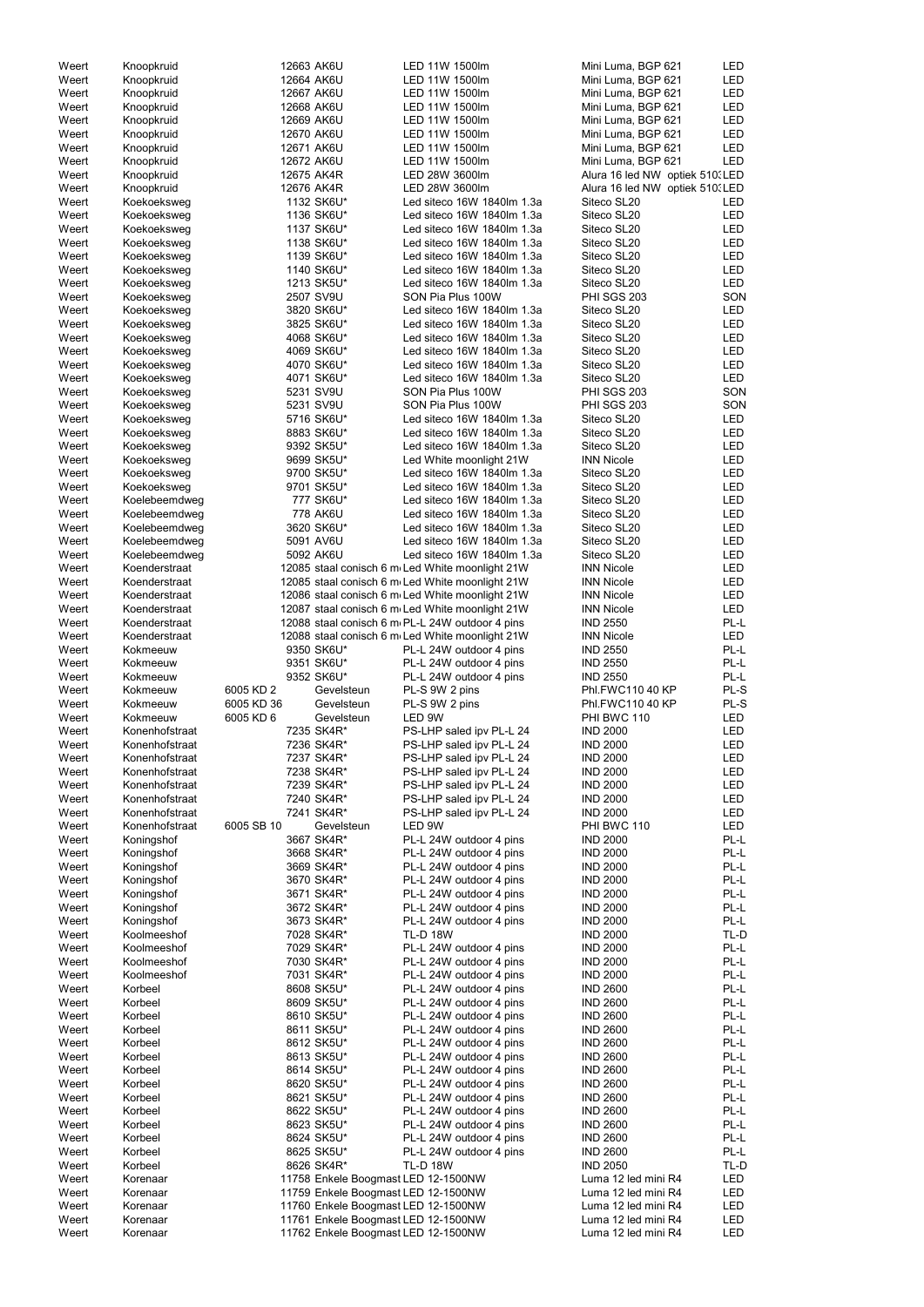| Weert | Knoopkruid     |            | 12663 AK6U                          | LED 11W 1500lm                                  | Mini Luma, BGP 621              | LED        |
|-------|----------------|------------|-------------------------------------|-------------------------------------------------|---------------------------------|------------|
| Weert | Knoopkruid     |            | 12664 AK6U                          | LED 11W 1500lm                                  | Mini Luma, BGP 621              | LED        |
| Weert | Knoopkruid     |            | 12667 AK6U                          | LED 11W 1500lm                                  | Mini Luma, BGP 621              | LED        |
| Weert | Knoopkruid     |            | 12668 AK6U                          | LED 11W 1500lm                                  | Mini Luma, BGP 621              | LED        |
| Weert | Knoopkruid     |            | 12669 AK6U                          | LED 11W 1500lm                                  | Mini Luma, BGP 621              | LED        |
|       |                |            |                                     |                                                 |                                 |            |
| Weert | Knoopkruid     |            | 12670 AK6U                          | LED 11W 1500lm                                  | Mini Luma, BGP 621              | LED        |
| Weert | Knoopkruid     |            | 12671 AK6U                          | LED 11W 1500lm                                  | Mini Luma, BGP 621              | LED        |
| Weert | Knoopkruid     |            | 12672 AK6U                          | LED 11W 1500lm                                  | Mini Luma, BGP 621              | <b>LED</b> |
| Weert | Knoopkruid     |            | 12675 AK4R                          | LED 28W 3600lm                                  | Alura 16 led NW optiek 510. LED |            |
|       |                |            |                                     |                                                 |                                 |            |
| Weert | Knoopkruid     |            | 12676 AK4R                          | LED 28W 3600lm                                  | Alura 16 led NW optiek 510. LED |            |
| Weert | Koekoeksweg    |            | 1132 SK6U*                          | Led siteco 16W 1840lm 1.3a                      | Siteco SL20                     | LED        |
| Weert | Koekoeksweg    |            | 1136 SK6U*                          | Led siteco 16W 1840lm 1.3a                      | Siteco SL20                     | LED        |
| Weert | Koekoeksweg    |            | 1137 SK6U*                          | Led siteco 16W 1840lm 1.3a                      | Siteco SL20                     | LED        |
|       |                |            |                                     |                                                 |                                 |            |
| Weert | Koekoeksweg    |            | 1138 SK6U*                          | Led siteco 16W 1840lm 1.3a                      | Siteco SL20                     | LED        |
| Weert | Koekoeksweg    |            | 1139 SK6U*                          | Led siteco 16W 1840lm 1.3a                      | Siteco SL20                     | LED        |
| Weert | Koekoeksweg    |            | 1140 SK6U*                          | Led siteco 16W 1840lm 1.3a                      | Siteco SL20                     | LED        |
| Weert | Koekoeksweg    |            | 1213 SK5U*                          | Led siteco 16W 1840lm 1.3a                      | Siteco SL20                     | LED        |
|       |                |            |                                     |                                                 |                                 |            |
| Weert | Koekoeksweg    |            | 2507 SV9U                           | SON Pia Plus 100W                               | <b>PHI SGS 203</b>              | SON        |
| Weert | Koekoeksweg    |            | 3820 SK6U*                          | Led siteco 16W 1840lm 1.3a                      | Siteco SL20                     | LED        |
| Weert | Koekoeksweg    |            | 3825 SK6U*                          | Led siteco 16W 1840lm 1.3a                      | Siteco SL20                     | LED        |
| Weert | Koekoeksweg    |            | 4068 SK6U*                          | Led siteco 16W 1840lm 1.3a                      | Siteco SL20                     | LED        |
|       |                |            |                                     |                                                 |                                 |            |
| Weert | Koekoeksweg    |            | 4069 SK6U*                          | Led siteco 16W 1840lm 1.3a                      | Siteco SL20                     | LED        |
| Weert | Koekoeksweg    |            | 4070 SK6U*                          | Led siteco 16W 1840lm 1.3a                      | Siteco SL20                     | LED        |
| Weert | Koekoeksweg    |            | 4071 SK6U*                          | Led siteco 16W 1840lm 1.3a                      | Siteco SL20                     | LED        |
| Weert | Koekoeksweg    |            | 5231 SV9U                           | SON Pia Plus 100W                               | PHI SGS 203                     | SON        |
|       |                |            |                                     |                                                 |                                 |            |
| Weert | Koekoeksweg    |            | 5231 SV9U                           | SON Pia Plus 100W                               | PHI SGS 203                     | SON        |
| Weert | Koekoeksweg    |            | 5716 SK6U*                          | Led siteco 16W 1840lm 1.3a                      | Siteco SL20                     | LED        |
| Weert | Koekoeksweg    |            | 8883 SK6U*                          | Led siteco 16W 1840lm 1.3a                      | Siteco SL20                     | LED        |
|       |                |            |                                     |                                                 |                                 |            |
| Weert | Koekoeksweg    |            | 9392 SK5U*                          | Led siteco 16W 1840lm 1.3a                      | Siteco SL20                     | LED        |
| Weert | Koekoeksweg    |            | 9699 SK5U*                          | Led White moonlight 21W                         | <b>INN Nicole</b>               | LED        |
| Weert | Koekoeksweg    |            | 9700 SK5U*                          | Led siteco 16W 1840lm 1.3a                      | Siteco SL20                     | LED        |
| Weert | Koekoeksweg    |            | 9701 SK5U*                          | Led siteco 16W 1840lm 1.3a                      | Siteco SL20                     | LED        |
|       |                |            |                                     |                                                 |                                 |            |
| Weert | Koelebeemdweg  |            | 777 SK6U*                           | Led siteco 16W 1840lm 1.3a                      | Siteco SL20                     | <b>LED</b> |
| Weert | Koelebeemdweg  |            | 778 AK6U                            | Led siteco 16W 1840lm 1.3a                      | Siteco SL20                     | LED        |
| Weert | Koelebeemdweg  |            | 3620 SK6U*                          | Led siteco 16W 1840lm 1.3a                      | Siteco SL20                     | LED        |
| Weert | Koelebeemdweg  |            | 5091 AV6U                           | Led siteco 16W 1840lm 1.3a                      | Siteco SL20                     | <b>LED</b> |
|       |                |            |                                     |                                                 |                                 |            |
| Weert | Koelebeemdweg  |            | 5092 AK6U                           | Led siteco 16W 1840lm 1.3a                      | Siteco SL20                     | LED        |
| Weert | Koenderstraat  |            |                                     | 12085 staal conisch 6 m Led White moonlight 21W | <b>INN Nicole</b>               | LED        |
| Weert | Koenderstraat  |            |                                     | 12085 staal conisch 6 m Led White moonlight 21W | <b>INN Nicole</b>               | LED        |
| Weert | Koenderstraat  |            |                                     | 12086 staal conisch 6 m Led White moonlight 21W | <b>INN Nicole</b>               | LED        |
|       |                |            |                                     |                                                 |                                 |            |
| Weert | Koenderstraat  |            |                                     | 12087 staal conisch 6 m Led White moonlight 21W | <b>INN Nicole</b>               | <b>LED</b> |
| Weert | Koenderstraat  |            |                                     | 12088 staal conisch 6 m PL-L 24W outdoor 4 pins | <b>IND 2550</b>                 | PL-L       |
| Weert | Koenderstraat  |            |                                     | 12088 staal conisch 6 m Led White moonlight 21W | <b>INN Nicole</b>               | <b>LED</b> |
|       |                |            |                                     |                                                 |                                 |            |
| Weert | Kokmeeuw       |            | 9350 SK6U*                          | PL-L 24W outdoor 4 pins                         | <b>IND 2550</b>                 | PL-L       |
| Weert | Kokmeeuw       |            | 9351 SK6U*                          | PL-L 24W outdoor 4 pins                         | <b>IND 2550</b>                 | PL-L       |
| Weert | Kokmeeuw       |            | 9352 SK6U*                          | PL-L 24W outdoor 4 pins                         | <b>IND 2550</b>                 | PL-L       |
| Weert | Kokmeeuw       | 6005 KD 2  | Gevelsteun                          | PL-S 9W 2 pins                                  | Phl.FWC110 40 KP                | PL-S       |
|       |                |            |                                     |                                                 |                                 |            |
| Weert | Kokmeeuw       | 6005 KD 36 | Gevelsteun                          | PL-S 9W 2 pins                                  | Phl.FWC110 40 KP                | PL-S       |
| Weert | Kokmeeuw       | 6005 KD 6  | Gevelsteun                          | LED 9W                                          | PHI BWC 110                     | <b>LED</b> |
| Weert | Konenhofstraat |            | 7235 SK4R*                          | PS-LHP saled ipv PL-L 24                        | <b>IND 2000</b>                 | <b>LED</b> |
|       | Konenhofstraat |            | 7236 SK4R*                          | PS-LHP saled ipv PL-L 24                        | <b>IND 2000</b>                 | <b>LED</b> |
| Weert |                |            |                                     |                                                 |                                 |            |
| Weert | Konenhofstraat |            | 7237 SK4R*                          | PS-LHP saled ipv PL-L 24                        | <b>IND 2000</b>                 | <b>LED</b> |
| Weert | Konenhofstraat |            | 7238 SK4R*                          | PS-LHP saled ipv PL-L 24                        | <b>IND 2000</b>                 | LED        |
| Weert | Konenhofstraat |            | 7239 SK4R*                          | PS-LHP saled ipv PL-L 24                        | <b>IND 2000</b>                 | LED        |
| Weert | Konenhofstraat |            |                                     | PS-LHP saled ipv PL-L 24                        | <b>IND 2000</b>                 | LED        |
|       |                |            | 7240 SK4R*                          |                                                 |                                 |            |
| Weert | Konenhofstraat |            | 7241 SK4R*                          |                                                 |                                 |            |
| Weert | Konenhofstraat |            |                                     | PS-LHP saled ipv PL-L 24                        | <b>IND 2000</b>                 | LED        |
| Weert |                | 6005 SB 10 | Gevelsteun                          | LED 9W                                          | PHI BWC 110                     | <b>LED</b> |
|       |                |            |                                     |                                                 |                                 |            |
|       | Koningshof     |            | 3667 SK4R*                          | PL-L 24W outdoor 4 pins                         | <b>IND 2000</b>                 | PL-L       |
| Weert | Koningshof     |            | 3668 SK4R*                          | PL-L 24W outdoor 4 pins                         | <b>IND 2000</b>                 | PL-L       |
| Weert | Koningshof     |            | 3669 SK4R*                          | PL-L 24W outdoor 4 pins                         | <b>IND 2000</b>                 | PL-L       |
| Weert | Koningshof     |            | 3670 SK4R*                          | PL-L 24W outdoor 4 pins                         | <b>IND 2000</b>                 | PL-L       |
| Weert | Koningshof     |            | 3671 SK4R*                          | PL-L 24W outdoor 4 pins                         | <b>IND 2000</b>                 | PL-L       |
|       |                |            |                                     |                                                 |                                 |            |
| Weert | Koningshof     |            | 3672 SK4R*                          | PL-L 24W outdoor 4 pins                         | <b>IND 2000</b>                 | PL-L       |
| Weert | Koningshof     |            | 3673 SK4R*                          | PL-L 24W outdoor 4 pins                         | <b>IND 2000</b>                 | PL-L       |
| Weert | Koolmeeshof    |            | 7028 SK4R*                          | <b>TL-D 18W</b>                                 | <b>IND 2000</b>                 | TL-D       |
|       | Koolmeeshof    |            |                                     |                                                 |                                 | PL-L       |
| Weert |                |            | 7029 SK4R*                          | PL-L 24W outdoor 4 pins                         | <b>IND 2000</b>                 |            |
| Weert | Koolmeeshof    |            | 7030 SK4R*                          | PL-L 24W outdoor 4 pins                         | <b>IND 2000</b>                 | PL-L       |
| Weert | Koolmeeshof    |            | 7031 SK4R*                          | PL-L 24W outdoor 4 pins                         | <b>IND 2000</b>                 | PL-L       |
| Weert | Korbeel        |            | 8608 SK5U*                          | PL-L 24W outdoor 4 pins                         | <b>IND 2600</b>                 | PL-L       |
| Weert | Korbeel        |            | 8609 SK5U*                          | PL-L 24W outdoor 4 pins                         | <b>IND 2600</b>                 | PL-L       |
|       |                |            |                                     |                                                 |                                 |            |
| Weert | Korbeel        |            | 8610 SK5U*                          | PL-L 24W outdoor 4 pins                         | <b>IND 2600</b>                 | PL-L       |
| Weert | Korbeel        |            | 8611 SK5U*                          | PL-L 24W outdoor 4 pins                         | <b>IND 2600</b>                 | PL-L       |
| Weert | Korbeel        |            | 8612 SK5U*                          | PL-L 24W outdoor 4 pins                         | <b>IND 2600</b>                 | PL-L       |
| Weert | Korbeel        |            | 8613 SK5U*                          | PL-L 24W outdoor 4 pins                         | <b>IND 2600</b>                 | PL-L       |
|       |                |            |                                     |                                                 |                                 |            |
| Weert | Korbeel        |            | 8614 SK5U*                          | PL-L 24W outdoor 4 pins                         | <b>IND 2600</b>                 | PL-L       |
| Weert | Korbeel        |            | 8620 SK5U*                          | PL-L 24W outdoor 4 pins                         | <b>IND 2600</b>                 | PL-L       |
| Weert | Korbeel        |            | 8621 SK5U*                          | PL-L 24W outdoor 4 pins                         | <b>IND 2600</b>                 | PL-L       |
| Weert | Korbeel        |            |                                     | PL-L 24W outdoor 4 pins                         | <b>IND 2600</b>                 | PL-L       |
|       |                |            | 8622 SK5U*                          |                                                 |                                 |            |
| Weert | Korbeel        |            | 8623 SK5U*                          | PL-L 24W outdoor 4 pins                         | <b>IND 2600</b>                 | PL-L       |
| Weert | Korbeel        |            | 8624 SK5U*                          | PL-L 24W outdoor 4 pins                         | <b>IND 2600</b>                 | PL-L       |
| Weert | Korbeel        |            | 8625 SK5U*                          | PL-L 24W outdoor 4 pins                         | <b>IND 2600</b>                 | PL-L       |
| Weert | Korbeel        |            | 8626 SK4R*                          | <b>TL-D 18W</b>                                 | <b>IND 2050</b>                 | TL-D       |
|       |                |            |                                     |                                                 |                                 |            |
| Weert | Korenaar       |            | 11758 Enkele Boogmast LED 12-1500NW |                                                 | Luma 12 led mini R4             | LED        |
| Weert | Korenaar       |            | 11759 Enkele Boogmast LED 12-1500NW |                                                 | Luma 12 led mini R4             | LED        |
| Weert | Korenaar       |            | 11760 Enkele Boogmast LED 12-1500NW |                                                 | Luma 12 led mini R4             | LED        |
| Weert | Korenaar       |            | 11761 Enkele Boogmast LED 12-1500NW |                                                 | Luma 12 led mini R4             | LED        |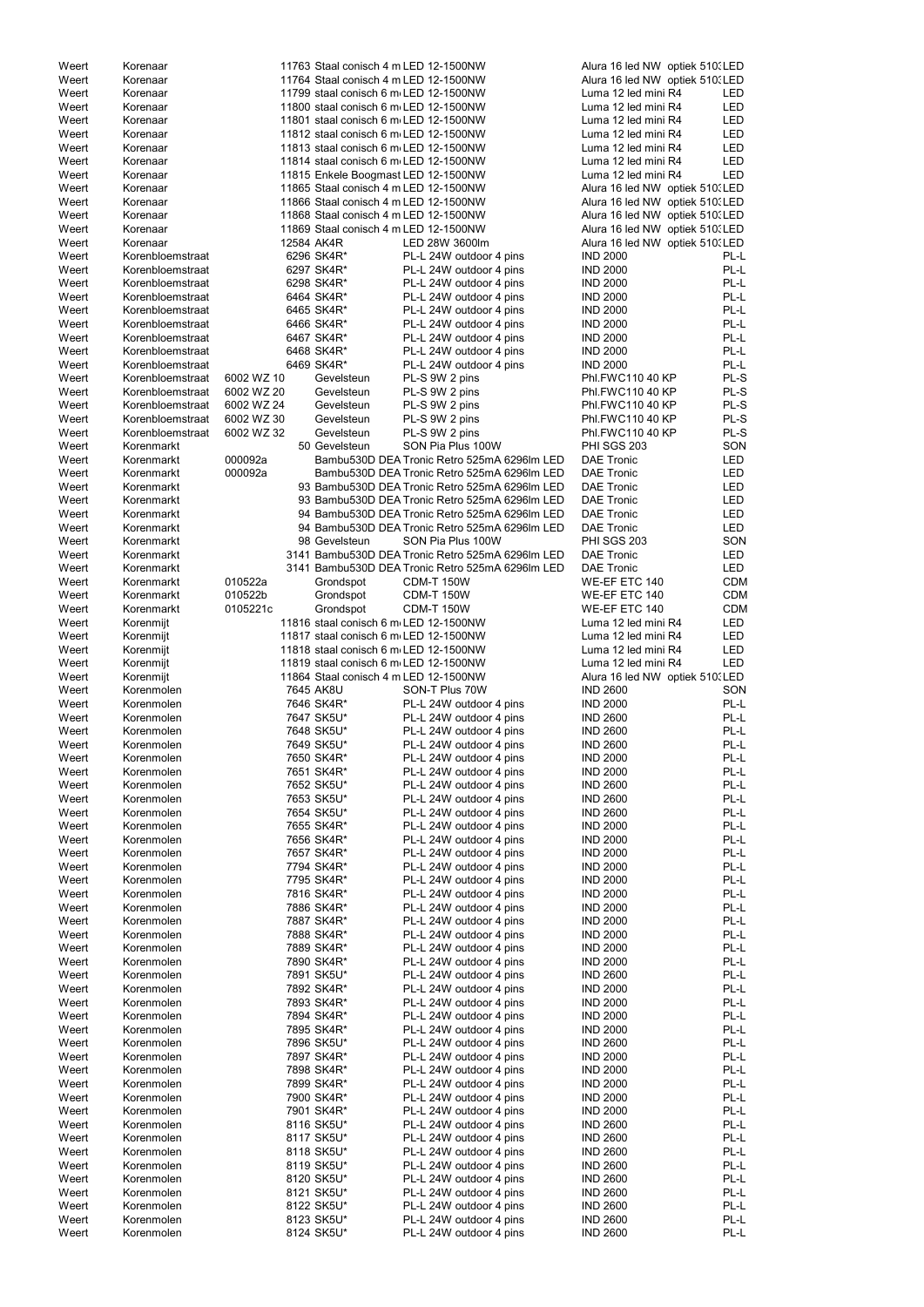| Weert          | Korenaar                 |            | 11763 Staal conisch 4 m LED 12-1500NW |                                                    | Alura 16 led NW optiek 510. LED    |              |
|----------------|--------------------------|------------|---------------------------------------|----------------------------------------------------|------------------------------------|--------------|
| Weert          | Korenaar                 |            | 11764 Staal conisch 4 m LED 12-1500NW |                                                    | Alura 16 led NW optiek 510. LED    |              |
| Weert          | Korenaar                 |            | 11799 staal conisch 6 m LED 12-1500NW |                                                    | Luma 12 led mini R4                | <b>LED</b>   |
| Weert          | Korenaar                 |            | 11800 staal conisch 6 m LED 12-1500NW |                                                    | Luma 12 led mini R4                | <b>LED</b>   |
|                |                          |            |                                       |                                                    |                                    |              |
| Weert          | Korenaar                 |            | 11801 staal conisch 6 m LED 12-1500NW |                                                    | Luma 12 led mini R4                | <b>LED</b>   |
| Weert          | Korenaar                 |            | 11812 staal conisch 6 m LED 12-1500NW |                                                    | Luma 12 led mini R4                | <b>LED</b>   |
| Weert          | Korenaar                 |            | 11813 staal conisch 6 m LED 12-1500NW |                                                    | Luma 12 led mini R4                | <b>LED</b>   |
| Weert          | Korenaar                 |            | 11814 staal conisch 6 m LED 12-1500NW |                                                    | Luma 12 led mini R4                | <b>LED</b>   |
|                |                          |            |                                       |                                                    |                                    |              |
| Weert          | Korenaar                 |            | 11815 Enkele Boogmast LED 12-1500NW   |                                                    | Luma 12 led mini R4                | LED          |
| Weert          | Korenaar                 |            | 11865 Staal conisch 4 m LED 12-1500NW |                                                    | Alura 16 led NW optiek 510. LED    |              |
| Weert          | Korenaar                 |            | 11866 Staal conisch 4 m LED 12-1500NW |                                                    | Alura 16 led NW optiek 510. LED    |              |
|                |                          |            |                                       |                                                    |                                    |              |
| Weert          | Korenaar                 |            | 11868 Staal conisch 4 m LED 12-1500NW |                                                    | Alura 16 led NW optiek 510. LED    |              |
| Weert          | Korenaar                 |            | 11869 Staal conisch 4 m LED 12-1500NW |                                                    | Alura 16 led NW optiek 510. LED    |              |
| Weert          | Korenaar                 | 12584 AK4R |                                       | LED 28W 3600lm                                     | Alura 16 led NW optiek 510. LED    |              |
| Weert          | Korenbloemstraat         |            | 6296 SK4R*                            | PL-L 24W outdoor 4 pins                            | <b>IND 2000</b>                    | PL-L         |
|                |                          |            |                                       |                                                    |                                    |              |
| Weert          | Korenbloemstraat         |            | 6297 SK4R*                            | PL-L 24W outdoor 4 pins                            | <b>IND 2000</b>                    | PL-L         |
| Weert          | Korenbloemstraat         |            | 6298 SK4R*                            | PL-L 24W outdoor 4 pins                            | <b>IND 2000</b>                    | PL-L         |
| Weert          | Korenbloemstraat         |            | 6464 SK4R*                            | PL-L 24W outdoor 4 pins                            | <b>IND 2000</b>                    | PL-L         |
|                |                          |            |                                       |                                                    |                                    |              |
| Weert          | Korenbloemstraat         |            | 6465 SK4R*                            | PL-L 24W outdoor 4 pins                            | <b>IND 2000</b>                    | PL-L         |
| Weert          | Korenbloemstraat         |            | 6466 SK4R*                            | PL-L 24W outdoor 4 pins                            | <b>IND 2000</b>                    | PL-L         |
| Weert          | Korenbloemstraat         |            | 6467 SK4R*                            | PL-L 24W outdoor 4 pins                            | <b>IND 2000</b>                    | PL-L         |
| Weert          | Korenbloemstraat         |            | 6468 SK4R*                            | PL-L 24W outdoor 4 pins                            | <b>IND 2000</b>                    | PL-L         |
|                |                          |            |                                       |                                                    |                                    |              |
| Weert          | Korenbloemstraat         |            | 6469 SK4R*                            | PL-L 24W outdoor 4 pins                            | <b>IND 2000</b>                    | PL-L         |
| Weert          | Korenbloemstraat         | 6002 WZ 10 | Gevelsteun                            | PL-S 9W 2 pins                                     | Phl.FWC110 40 KP                   | PL-S         |
| Weert          | Korenbloemstraat         | 6002 WZ 20 | Gevelsteun                            | PL-S 9W 2 pins                                     | Phl.FWC110 40 KP                   | PL-S         |
|                |                          |            |                                       |                                                    |                                    |              |
| Weert          | Korenbloemstraat         | 6002 WZ 24 | Gevelsteun                            | PL-S 9W 2 pins                                     | Phl.FWC110 40 KP                   | PL-S         |
| Weert          | Korenbloemstraat         | 6002 WZ 30 | Gevelsteun                            | PL-S 9W 2 pins                                     | Phl.FWC110 40 KP                   | PL-S         |
| Weert          | Korenbloemstraat         | 6002 WZ 32 | Gevelsteun                            | PL-S 9W 2 pins                                     | Phl.FWC110 40 KP                   | PL-S         |
|                |                          |            |                                       |                                                    |                                    |              |
| Weert          | Korenmarkt               |            | 50 Gevelsteun                         | SON Pia Plus 100W                                  | <b>PHI SGS 203</b>                 | SON          |
| Weert          | Korenmarkt               | 000092a    |                                       | Bambu530D DEA Tronic Retro 525mA 6296lm LED        | <b>DAE Tronic</b>                  | <b>LED</b>   |
| Weert          | Korenmarkt               | 000092a    |                                       | Bambu530D DEA Tronic Retro 525mA 6296lm LED        | <b>DAE Tronic</b>                  | <b>LED</b>   |
| Weert          | Korenmarkt               |            |                                       | 93 Bambu530D DEA Tronic Retro 525mA 6296lm LED     | <b>DAE Tronic</b>                  | <b>LED</b>   |
|                |                          |            |                                       |                                                    |                                    |              |
| Weert          | Korenmarkt               |            |                                       | 93 Bambu530D DEA Tronic Retro 525mA 6296lm LED     | <b>DAE Tronic</b>                  | <b>LED</b>   |
| Weert          | Korenmarkt               |            |                                       | 94 Bambu530D DEA Tronic Retro 525mA 6296lm LED     | <b>DAE Tronic</b>                  | <b>LED</b>   |
| Weert          | Korenmarkt               |            |                                       | 94 Bambu530D DEA Tronic Retro 525mA 6296lm LED     | <b>DAE Tronic</b>                  | LED          |
|                |                          |            |                                       |                                                    |                                    |              |
| Weert          | Korenmarkt               |            | 98 Gevelsteun                         | SON Pia Plus 100W                                  | PHI SGS 203                        | SON          |
| Weert          | Korenmarkt               |            |                                       | 3141 Bambu530D DEA Tronic Retro 525mA 6296lm LED   | <b>DAE Tronic</b>                  | LED          |
| Weert          | Korenmarkt               |            |                                       | 3141 Bambu530D DEA Tronic Retro 525mA 6296lm LED   | <b>DAE Tronic</b>                  | LED          |
|                |                          | 010522a    |                                       | <b>CDM-T 150W</b>                                  |                                    |              |
| Weert          | Korenmarkt               |            | Grondspot                             |                                                    | WE-EF ETC 140                      | <b>CDM</b>   |
| Weert          | Korenmarkt               | 010522b    | Grondspot                             | <b>CDM-T 150W</b>                                  | WE-EF ETC 140                      | <b>CDM</b>   |
| Weert          | Korenmarkt               | 0105221c   | Grondspot                             | <b>CDM-T 150W</b>                                  | WE-EF ETC 140                      | <b>CDM</b>   |
| Weert          |                          |            | 11816 staal conisch 6 m LED 12-1500NW |                                                    | Luma 12 led mini R4                | <b>LED</b>   |
|                | Korenmijt                |            |                                       |                                                    |                                    |              |
| Weert          | Korenmijt                |            | 11817 staal conisch 6 m LED 12-1500NW |                                                    | Luma 12 led mini R4                | <b>LED</b>   |
| Weert          | Korenmijt                |            | 11818 staal conisch 6 m LED 12-1500NW |                                                    | Luma 12 led mini R4                | <b>LED</b>   |
| Weert          | Korenmijt                |            | 11819 staal conisch 6 m LED 12-1500NW |                                                    | Luma 12 led mini R4                | <b>LED</b>   |
|                |                          |            |                                       |                                                    |                                    |              |
| Weert          | Korenmijt                |            | 11864 Staal conisch 4 m LED 12-1500NW |                                                    | Alura 16 led NW optiek 510. LED    |              |
| Weert          | Korenmolen               |            | 7645 AK8U                             | SON-T Plus 70W                                     | <b>IND 2600</b>                    | SON          |
| Weert          | Korenmolen               |            | 7646 SK4R*                            | PL-L 24W outdoor 4 pins                            | <b>IND 2000</b>                    | PL-L         |
|                |                          |            |                                       |                                                    |                                    |              |
| Weert          | Korenmolen               |            | 7647 SK5U*                            | PL-L 24W outdoor 4 pins                            | <b>IND 2600</b>                    | PL-L         |
| Weert          | Korenmolen               |            | 7648 SK5U*                            | PL-L 24W outdoor 4 pins                            | <b>IND 2600</b>                    | PL-L         |
| Weert          | Korenmolen               |            | 7649 SK5U*                            | PL-L 24W outdoor 4 pins                            | <b>IND 2600</b>                    | PL-L         |
| Weert          | Korenmolen               |            | 7650 SK4R*                            | PL-L 24W outdoor 4 pins                            | <b>IND 2000</b>                    | PL-L         |
|                |                          |            |                                       |                                                    |                                    |              |
| Weert          | Korenmolen               |            | 7651 SK4R*                            | PL-L 24W outdoor 4 pins                            | <b>IND 2000</b>                    | PL-L         |
| Weert          | Korenmolen               |            | 7652 SK5U*                            | PL-L 24W outdoor 4 pins                            | <b>IND 2600</b>                    | PL-L         |
| Weert          | Korenmolen               |            | 7653 SK5U*                            | PL-L 24W outdoor 4 pins                            | <b>IND 2600</b>                    | PL-L         |
|                | Korenmolen               |            |                                       |                                                    | <b>IND 2600</b>                    | PL-L         |
| Weert          |                          |            | 7654 SK5U*                            | PL-L 24W outdoor 4 pins                            |                                    |              |
| Weert          | Korenmolen               |            | 7655 SK4R*                            | PL-L 24W outdoor 4 pins                            | <b>IND 2000</b>                    | PL-L         |
| Weert          | Korenmolen               |            | 7656 SK4R*                            | PL-L 24W outdoor 4 pins                            | <b>IND 2000</b>                    | PL-L         |
| Weert          | Korenmolen               |            | 7657 SK4R*                            | PL-L 24W outdoor 4 pins                            | <b>IND 2000</b>                    | PL-L         |
|                |                          |            |                                       |                                                    |                                    |              |
| Weert          | Korenmolen               |            | 7794 SK4R*                            | PL-L 24W outdoor 4 pins                            | <b>IND 2000</b>                    | PL-L         |
| Weert          | Korenmolen               |            | 7795 SK4R*                            | PL-L 24W outdoor 4 pins                            | <b>IND 2000</b>                    | PL-L         |
| Weert          | Korenmolen               |            | 7816 SK4R*                            | PL-L 24W outdoor 4 pins                            | <b>IND 2000</b>                    | PL-L         |
| Weert          | Korenmolen               |            | 7886 SK4R*                            | PL-L 24W outdoor 4 pins                            | <b>IND 2000</b>                    | PL-L         |
|                |                          |            |                                       |                                                    |                                    |              |
| Weert          | Korenmolen               |            | 7887 SK4R*                            | PL-L 24W outdoor 4 pins                            | <b>IND 2000</b>                    | PL-L         |
| Weert          | Korenmolen               |            | 7888 SK4R*                            | PL-L 24W outdoor 4 pins                            | <b>IND 2000</b>                    | PL-L         |
| Weert          | Korenmolen               |            | 7889 SK4R*                            | PL-L 24W outdoor 4 pins                            | <b>IND 2000</b>                    | PL-L         |
|                |                          |            |                                       |                                                    |                                    |              |
| Weert          | Korenmolen               |            | 7890 SK4R*                            | PL-L 24W outdoor 4 pins                            | <b>IND 2000</b>                    | PL-L         |
| Weert          | Korenmolen               |            | 7891 SK5U*                            | PL-L 24W outdoor 4 pins                            | <b>IND 2600</b>                    | PL-L         |
| Weert          | Korenmolen               |            | 7892 SK4R*                            | PL-L 24W outdoor 4 pins                            | <b>IND 2000</b>                    | PL-L         |
|                | Korenmolen               |            | 7893 SK4R*                            |                                                    |                                    | PL-L         |
| Weert          |                          |            |                                       | PL-L 24W outdoor 4 pins                            | <b>IND 2000</b>                    |              |
| Weert          | Korenmolen               |            | 7894 SK4R*                            | PL-L 24W outdoor 4 pins                            | <b>IND 2000</b>                    | PL-L         |
| Weert          | Korenmolen               |            | 7895 SK4R*                            | PL-L 24W outdoor 4 pins                            | <b>IND 2000</b>                    | PL-L         |
| Weert          | Korenmolen               |            | 7896 SK5U*                            | PL-L 24W outdoor 4 pins                            | <b>IND 2600</b>                    | PL-L         |
|                |                          |            |                                       |                                                    |                                    |              |
| Weert          | Korenmolen               |            | 7897 SK4R*                            | PL-L 24W outdoor 4 pins                            | <b>IND 2000</b>                    | PL-L         |
| Weert          | Korenmolen               |            | 7898 SK4R*                            | PL-L 24W outdoor 4 pins                            | <b>IND 2000</b>                    | PL-L         |
| Weert          |                          |            | 7899 SK4R*                            | PL-L 24W outdoor 4 pins                            | <b>IND 2000</b>                    | PL-L         |
|                |                          |            |                                       |                                                    |                                    |              |
|                | Korenmolen               |            |                                       |                                                    |                                    |              |
| Weert          | Korenmolen               |            | 7900 SK4R*                            | PL-L 24W outdoor 4 pins                            | <b>IND 2000</b>                    | PL-L         |
| Weert          | Korenmolen               |            | 7901 SK4R*                            | PL-L 24W outdoor 4 pins                            | <b>IND 2000</b>                    | PL-L         |
|                |                          |            |                                       |                                                    |                                    |              |
| Weert          | Korenmolen               |            | 8116 SK5U*                            | PL-L 24W outdoor 4 pins                            | <b>IND 2600</b>                    | PL-L         |
| Weert          | Korenmolen               |            | 8117 SK5U*                            | PL-L 24W outdoor 4 pins                            | <b>IND 2600</b>                    | PL-L         |
| Weert          | Korenmolen               |            | 8118 SK5U*                            | PL-L 24W outdoor 4 pins                            | <b>IND 2600</b>                    | PL-L         |
|                |                          |            |                                       |                                                    |                                    |              |
| Weert          | Korenmolen               |            | 8119 SK5U*                            | PL-L 24W outdoor 4 pins                            | <b>IND 2600</b>                    | PL-L         |
| Weert          | Korenmolen               |            | 8120 SK5U*                            | PL-L 24W outdoor 4 pins                            | <b>IND 2600</b>                    | PL-L         |
| Weert          | Korenmolen               |            | 8121 SK5U*                            | PL-L 24W outdoor 4 pins                            | <b>IND 2600</b>                    | PL-L         |
| Weert          | Korenmolen               |            | 8122 SK5U*                            | PL-L 24W outdoor 4 pins                            | <b>IND 2600</b>                    | PL-L         |
|                |                          |            |                                       |                                                    |                                    |              |
| Weert<br>Weert | Korenmolen<br>Korenmolen |            | 8123 SK5U*<br>8124 SK5U*              | PL-L 24W outdoor 4 pins<br>PL-L 24W outdoor 4 pins | <b>IND 2600</b><br><b>IND 2600</b> | PL-L<br>PL-L |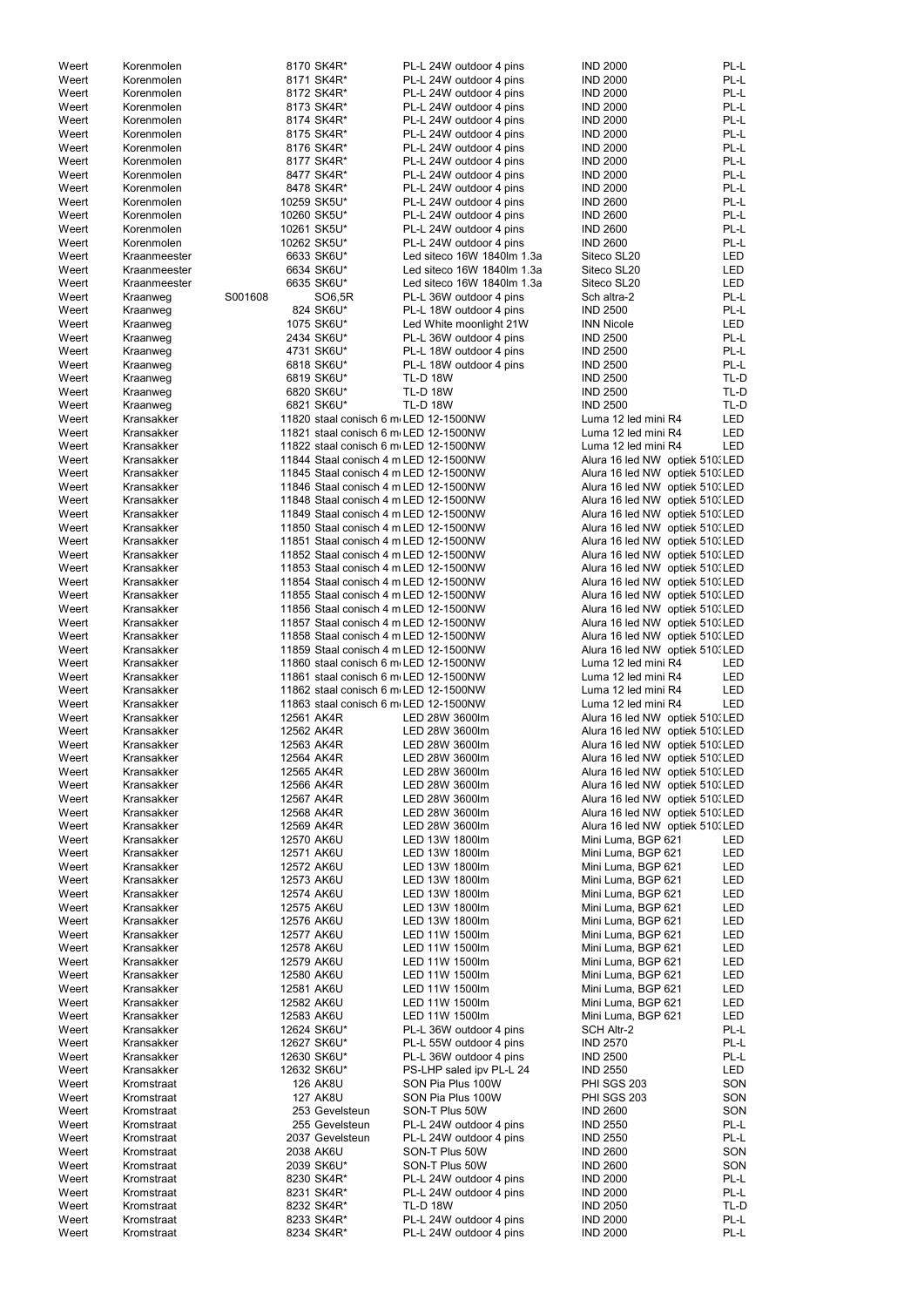| Weert          | Korenmolen               |         |            | 8170 SK4R*                            | PL-L 24W outdoor 4 pins                            | <b>IND 2000</b>                    | PL-L         |
|----------------|--------------------------|---------|------------|---------------------------------------|----------------------------------------------------|------------------------------------|--------------|
| Weert          | Korenmolen               |         |            | 8171 SK4R*                            | PL-L 24W outdoor 4 pins                            | <b>IND 2000</b>                    | PL-L         |
| Weert          | Korenmolen               |         |            | 8172 SK4R*                            | PL-L 24W outdoor 4 pins                            | <b>IND 2000</b>                    | PL-L         |
| Weert          | Korenmolen               |         |            | 8173 SK4R*                            | PL-L 24W outdoor 4 pins                            | <b>IND 2000</b>                    | PL-L         |
| Weert          | Korenmolen               |         |            | 8174 SK4R*                            | PL-L 24W outdoor 4 pins                            | <b>IND 2000</b>                    | PL-L         |
|                |                          |         |            |                                       |                                                    |                                    |              |
| Weert          | Korenmolen               |         |            | 8175 SK4R*                            | PL-L 24W outdoor 4 pins                            | <b>IND 2000</b>                    | PL-L         |
| Weert          | Korenmolen               |         |            | 8176 SK4R*                            | PL-L 24W outdoor 4 pins                            | <b>IND 2000</b>                    | PL-L         |
| Weert          | Korenmolen               |         |            | 8177 SK4R*                            | PL-L 24W outdoor 4 pins                            | <b>IND 2000</b>                    | PL-L         |
| Weert          | Korenmolen               |         |            | 8477 SK4R*                            | PL-L 24W outdoor 4 pins                            | <b>IND 2000</b>                    | PL-L         |
| Weert          | Korenmolen               |         |            | 8478 SK4R*                            | PL-L 24W outdoor 4 pins                            | <b>IND 2000</b>                    | PL-L         |
|                |                          |         |            |                                       |                                                    |                                    |              |
| Weert          | Korenmolen               |         |            | 10259 SK5U*                           | PL-L 24W outdoor 4 pins                            | <b>IND 2600</b>                    | PL-L         |
| Weert          | Korenmolen               |         |            | 10260 SK5U*                           | PL-L 24W outdoor 4 pins                            | <b>IND 2600</b>                    | PL-L         |
| Weert          | Korenmolen               |         |            | 10261 SK5U*                           | PL-L 24W outdoor 4 pins                            | <b>IND 2600</b>                    | PL-L         |
| Weert          | Korenmolen               |         |            | 10262 SK5U*                           | PL-L 24W outdoor 4 pins                            | <b>IND 2600</b>                    | PL-L         |
| Weert          | Kraanmeester             |         |            | 6633 SK6U*                            | Led siteco 16W 1840lm 1.3a                         | Siteco SL20                        | LED          |
|                |                          |         |            |                                       |                                                    |                                    |              |
| Weert          | Kraanmeester             |         |            | 6634 SK6U*                            | Led siteco 16W 1840lm 1.3a                         | Siteco SL20                        | LED          |
| Weert          | Kraanmeester             |         |            | 6635 SK6U*                            | Led siteco 16W 1840lm 1.3a                         | Siteco SL20                        | <b>LED</b>   |
| Weert          | Kraanweg                 | S001608 |            | SO6,5R                                | PL-L 36W outdoor 4 pins                            | Sch altra-2                        | PL-L         |
| Weert          | Kraanweg                 |         |            | 824 SK6U*                             | PL-L 18W outdoor 4 pins                            | <b>IND 2500</b>                    | PL-L         |
| Weert          | Kraanweg                 |         |            | 1075 SK6U*                            | Led White moonlight 21W                            | <b>INN Nicole</b>                  | LED          |
|                |                          |         |            |                                       |                                                    |                                    |              |
| Weert          | Kraanweg                 |         |            | 2434 SK6U*                            | PL-L 36W outdoor 4 pins                            | <b>IND 2500</b>                    | PL-L         |
| Weert          | Kraanweg                 |         |            | 4731 SK6U*                            | PL-L 18W outdoor 4 pins                            | <b>IND 2500</b>                    | PL-L         |
| Weert          | Kraanweg                 |         |            | 6818 SK6U*                            | PL-L 18W outdoor 4 pins                            | <b>IND 2500</b>                    | PL-L         |
| Weert          | Kraanweg                 |         |            | 6819 SK6U*                            | <b>TL-D 18W</b>                                    | <b>IND 2500</b>                    | TL-D         |
| Weert          | Kraanweg                 |         |            | 6820 SK6U*                            | <b>TL-D 18W</b>                                    | <b>IND 2500</b>                    | TL-D         |
|                |                          |         |            |                                       |                                                    |                                    |              |
| Weert          | Kraanweg                 |         |            | 6821 SK6U*                            | <b>TL-D 18W</b>                                    | <b>IND 2500</b>                    | TL-D         |
| Weert          | Kransakker               |         |            | 11820 staal conisch 6 m LED 12-1500NW |                                                    | Luma 12 led mini R4                | <b>LED</b>   |
| Weert          | Kransakker               |         |            | 11821 staal conisch 6 m LED 12-1500NW |                                                    | Luma 12 led mini R4                | <b>LED</b>   |
| Weert          | Kransakker               |         |            | 11822 staal conisch 6 m LED 12-1500NW |                                                    | Luma 12 led mini R4                | LED          |
| Weert          | Kransakker               |         |            | 11844 Staal conisch 4 m LED 12-1500NW |                                                    | Alura 16 led NW optiek 510. LED    |              |
| Weert          | Kransakker               |         |            | 11845 Staal conisch 4 m LED 12-1500NW |                                                    | Alura 16 led NW optiek 510. LED    |              |
|                |                          |         |            |                                       |                                                    |                                    |              |
| Weert          | Kransakker               |         |            | 11846 Staal conisch 4 m LED 12-1500NW |                                                    | Alura 16 led NW optiek 510. LED    |              |
| Weert          | Kransakker               |         |            | 11848 Staal conisch 4 m LED 12-1500NW |                                                    | Alura 16 led NW optiek 510. LED    |              |
| Weert          | Kransakker               |         |            | 11849 Staal conisch 4 m LED 12-1500NW |                                                    | Alura 16 led NW optiek 510. LED    |              |
| Weert          | Kransakker               |         |            | 11850 Staal conisch 4 m LED 12-1500NW |                                                    | Alura 16 led NW optiek 510. LED    |              |
|                |                          |         |            |                                       |                                                    |                                    |              |
| Weert          | Kransakker               |         |            | 11851 Staal conisch 4 m LED 12-1500NW |                                                    | Alura 16 led NW optiek 510. LED    |              |
| Weert          | Kransakker               |         |            | 11852 Staal conisch 4 m LED 12-1500NW |                                                    | Alura 16 led NW optiek 510. LED    |              |
| Weert          | Kransakker               |         |            | 11853 Staal conisch 4 m LED 12-1500NW |                                                    | Alura 16 led NW optiek 510. LED    |              |
| Weert          | Kransakker               |         |            | 11854 Staal conisch 4 m LED 12-1500NW |                                                    | Alura 16 led NW optiek 510. LED    |              |
| Weert          | Kransakker               |         |            | 11855 Staal conisch 4 m LED 12-1500NW |                                                    | Alura 16 led NW optiek 510. LED    |              |
|                | Kransakker               |         |            |                                       |                                                    |                                    |              |
| Weert          |                          |         |            | 11856 Staal conisch 4 m LED 12-1500NW |                                                    | Alura 16 led NW optiek 510. LED    |              |
| Weert          | Kransakker               |         |            | 11857 Staal conisch 4 m LED 12-1500NW |                                                    | Alura 16 led NW optiek 510. LED    |              |
| Weert          | Kransakker               |         |            | 11858 Staal conisch 4 m LED 12-1500NW |                                                    | Alura 16 led NW optiek 510. LED    |              |
| Weert          | Kransakker               |         |            | 11859 Staal conisch 4 m LED 12-1500NW |                                                    | Alura 16 led NW optiek 510. LED    |              |
| Weert          | Kransakker               |         |            | 11860 staal conisch 6 m LED 12-1500NW |                                                    | Luma 12 led mini R4                | LED          |
|                |                          |         |            |                                       |                                                    |                                    |              |
| Weert          | Kransakker               |         |            | 11861 staal conisch 6 m LED 12-1500NW |                                                    | Luma 12 led mini R4                | <b>LED</b>   |
| Weert          | Kransakker               |         |            | 11862 staal conisch 6 m LED 12-1500NW |                                                    | Luma 12 led mini R4                | <b>LED</b>   |
| Weert          | Kransakker               |         |            | 11863 staal conisch 6 m LED 12-1500NW |                                                    | Luma 12 led mini R4                | <b>LED</b>   |
| Weert          | Kransakker               |         |            | 12561 AK4R                            | LED 28W 3600lm                                     | Alura 16 led NW optiek 510. LED    |              |
| Weert          | Kransakker               |         |            | 12562 AK4R                            | LED 28W 3600lm                                     | Alura 16 led NW optiek 510. LED    |              |
|                |                          |         |            |                                       |                                                    |                                    |              |
| Weert          | Kransakker               |         |            | 12563 AK4R                            | LED 28W 3600lm                                     | Alura 16 led NW optiek 510. LED    |              |
| Weert          | Kransakker               |         |            | 12564 AK4R                            | LED 28W 3600lm                                     | Alura 16 led NW optiek 510. LED    |              |
| Weert          | Kransakker               |         |            | 12565 AK4R                            | LED 28W 3600lm                                     | Alura 16 led NW optiek 510. LED    |              |
| Weert          | Kransakker               |         |            | 12566 AK4R                            | LED 28W 3600lm                                     | Alura 16 led NW optiek 510. LED    |              |
| Weert          | Kransakker               |         |            | 12567 AK4R                            | LED 28W 3600lm                                     | Alura 16 led NW optiek 510. LED    |              |
| Weert          | Kransakker               |         |            | 12568 AK4R                            | LED 28W 3600lm                                     | Alura 16 led NW optiek 510. LED    |              |
|                |                          |         |            |                                       |                                                    |                                    |              |
| Weert          | Kransakker               |         |            | 12569 AK4R                            | LED 28W 3600lm                                     | Alura 16 led NW optiek 510. LED    |              |
| Weert          | Kransakker               |         | 12570 AK6U |                                       | LED 13W 1800lm                                     | Mini Luma, BGP 621                 | <b>LED</b>   |
| Weert          | Kransakker               |         |            | 12571 AK6U                            | LED 13W 1800lm                                     | Mini Luma, BGP 621                 | <b>LED</b>   |
| Weert          | Kransakker               |         |            | 12572 AK6U                            | LED 13W 1800lm                                     | Mini Luma, BGP 621                 | <b>LED</b>   |
| Weert          | Kransakker               |         |            | 12573 AK6U                            | LED 13W 1800lm                                     | Mini Luma, BGP 621                 | <b>LED</b>   |
| Weert          | Kransakker               |         |            | 12574 AK6U                            | LED 13W 1800lm                                     | Mini Luma, BGP 621                 | <b>LED</b>   |
|                |                          |         |            |                                       |                                                    |                                    |              |
| Weert          | Kransakker               |         |            | 12575 AK6U                            | LED 13W 1800lm                                     | Mini Luma, BGP 621                 | <b>LED</b>   |
| Weert          | Kransakker               |         | 12576 AK6U |                                       | LED 13W 1800lm                                     | Mini Luma, BGP 621                 | <b>LED</b>   |
| Weert          | Kransakker               |         | 12577 AK6U |                                       | LED 11W 1500lm                                     | Mini Luma, BGP 621                 | <b>LED</b>   |
| Weert          | Kransakker               |         | 12578 AK6U |                                       | LED 11W 1500lm                                     | Mini Luma, BGP 621                 | <b>LED</b>   |
| Weert          |                          |         |            | 12579 AK6U                            | LED 11W 1500lm                                     | Mini Luma, BGP 621                 | <b>LED</b>   |
| Weert          |                          |         |            |                                       |                                                    |                                    |              |
|                | Kransakker               |         |            |                                       |                                                    |                                    |              |
|                | Kransakker               |         |            | 12580 AK6U                            | LED 11W 1500lm                                     | Mini Luma, BGP 621                 | LED          |
| Weert          | Kransakker               |         |            | 12581 AK6U                            | LED 11W 1500lm                                     | Mini Luma, BGP 621                 | <b>LED</b>   |
| Weert          | Kransakker               |         |            | 12582 AK6U                            | LED 11W 1500lm                                     | Mini Luma, BGP 621                 | LED          |
|                | Kransakker               |         |            |                                       | LED 11W 1500lm                                     |                                    |              |
| Weert          |                          |         |            | 12583 AK6U                            |                                                    | Mini Luma, BGP 621                 | LED          |
| Weert          | Kransakker               |         |            | 12624 SK6U*                           | PL-L 36W outdoor 4 pins                            | <b>SCH Altr-2</b>                  | PL-L         |
| Weert          | Kransakker               |         |            | 12627 SK6U*                           | PL-L 55W outdoor 4 pins                            | <b>IND 2570</b>                    | PL-L         |
| Weert          | Kransakker               |         |            | 12630 SK6U*                           | PL-L 36W outdoor 4 pins                            | <b>IND 2500</b>                    | PL-L         |
| Weert          | Kransakker               |         |            | 12632 SK6U*                           | PS-LHP saled ipv PL-L 24                           | <b>IND 2550</b>                    | LED          |
| Weert          | Kromstraat               |         |            | <b>126 AK8U</b>                       | SON Pia Plus 100W                                  | <b>PHI SGS 203</b>                 | SON          |
|                |                          |         |            |                                       |                                                    |                                    |              |
| Weert          | Kromstraat               |         |            | <b>127 AK8U</b>                       | SON Pia Plus 100W                                  | PHI SGS 203                        | SON          |
| Weert          | Kromstraat               |         |            | 253 Gevelsteun                        | SON-T Plus 50W                                     | <b>IND 2600</b>                    | SON          |
| Weert          | Kromstraat               |         |            | 255 Gevelsteun                        | PL-L 24W outdoor 4 pins                            | <b>IND 2550</b>                    | PL-L         |
| Weert          | Kromstraat               |         |            | 2037 Gevelsteun                       | PL-L 24W outdoor 4 pins                            | <b>IND 2550</b>                    | PL-L         |
| Weert          | Kromstraat               |         |            | 2038 AK6U                             | SON-T Plus 50W                                     | <b>IND 2600</b>                    | SON          |
|                |                          |         |            |                                       |                                                    |                                    |              |
| Weert          | Kromstraat               |         |            | 2039 SK6U*                            | SON-T Plus 50W                                     | <b>IND 2600</b>                    | SON          |
| Weert          | Kromstraat               |         |            | 8230 SK4R*                            | PL-L 24W outdoor 4 pins                            | <b>IND 2000</b>                    | PL-L         |
| Weert          | Kromstraat               |         |            | 8231 SK4R*                            | PL-L 24W outdoor 4 pins                            | <b>IND 2000</b>                    | PL-L         |
| Weert          | Kromstraat               |         |            | 8232 SK4R*                            | <b>TL-D 18W</b>                                    | <b>IND 2050</b>                    | TL-D         |
| Weert<br>Weert | Kromstraat<br>Kromstraat |         |            | 8233 SK4R*<br>8234 SK4R*              | PL-L 24W outdoor 4 pins<br>PL-L 24W outdoor 4 pins | <b>IND 2000</b><br><b>IND 2000</b> | PL-L<br>PL-L |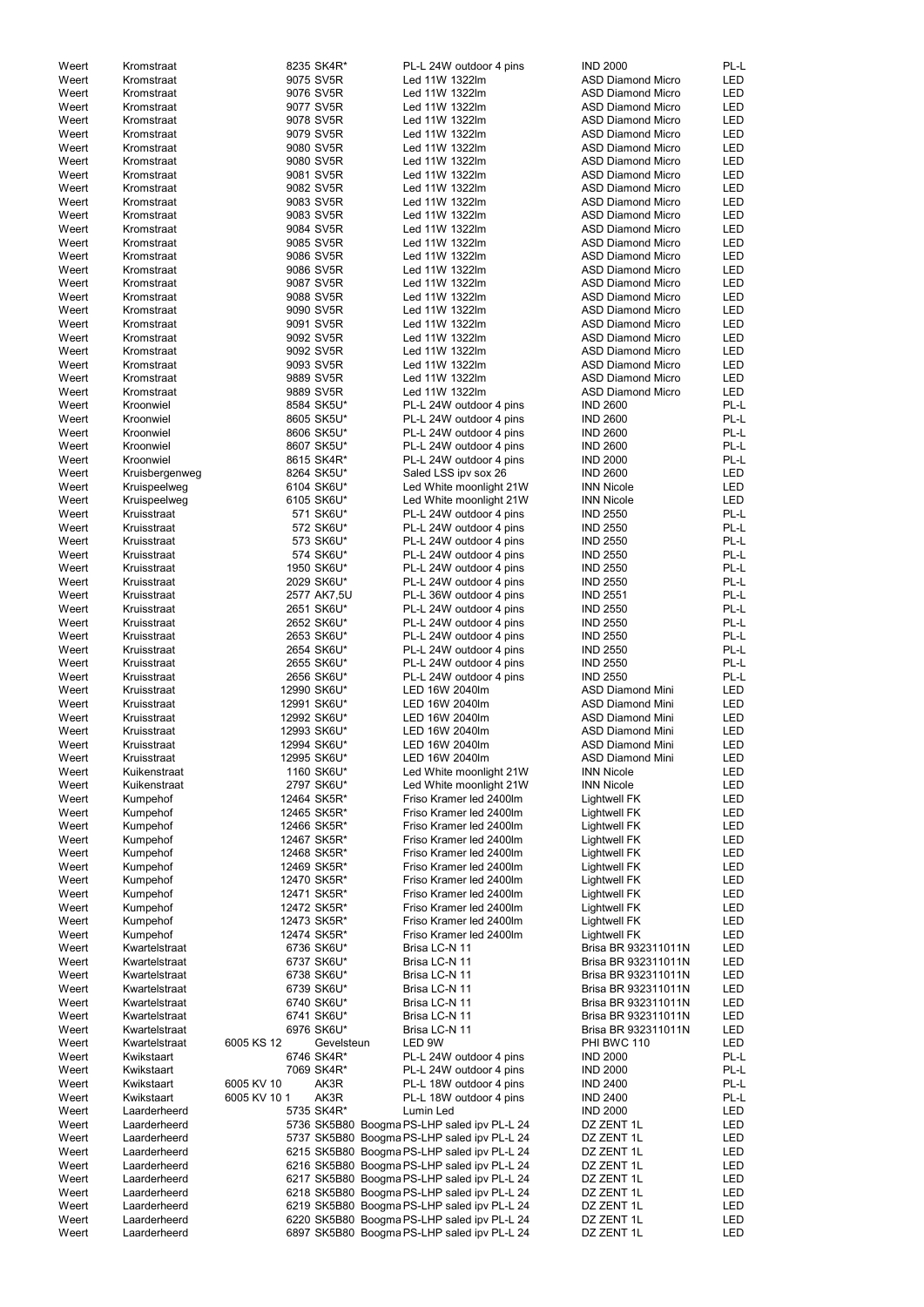| Weert          | Kromstraat                   |              | 8235 SK4R*                 | PL-L 24W outdoor 4 pins                                                                    | <b>IND 2000</b>                                      | PL-L              |
|----------------|------------------------------|--------------|----------------------------|--------------------------------------------------------------------------------------------|------------------------------------------------------|-------------------|
| Weert          | Kromstraat                   |              | 9075 SV5R                  | Led 11W 1322lm                                                                             | <b>ASD Diamond Micro</b>                             | LED               |
| Weert          | Kromstraat                   |              | 9076 SV5R                  | Led 11W 1322lm                                                                             | <b>ASD Diamond Micro</b>                             | LED               |
| Weert          | Kromstraat                   |              | 9077 SV5R                  | Led 11W 1322lm                                                                             | <b>ASD Diamond Micro</b>                             | LED               |
| Weert          | Kromstraat                   |              | 9078 SV5R                  | Led 11W 1322lm                                                                             | <b>ASD Diamond Micro</b>                             | LED               |
| Weert          | Kromstraat                   |              | 9079 SV5R                  | Led 11W 1322lm                                                                             | <b>ASD Diamond Micro</b>                             | LED               |
| Weert          | Kromstraat                   |              | 9080 SV5R                  | Led 11W 1322lm                                                                             | <b>ASD Diamond Micro</b>                             | LED               |
| Weert          | Kromstraat                   |              | 9080 SV5R                  | Led 11W 1322lm                                                                             | <b>ASD Diamond Micro</b>                             | LED               |
| Weert          | Kromstraat                   |              | 9081 SV5R                  | Led 11W 1322lm                                                                             | <b>ASD Diamond Micro</b>                             | LED               |
| Weert          | Kromstraat                   |              | 9082 SV5R                  | Led 11W 1322lm                                                                             | <b>ASD Diamond Micro</b>                             | LED               |
| Weert          | Kromstraat                   |              | 9083 SV5R                  | Led 11W 1322lm                                                                             | <b>ASD Diamond Micro</b>                             | <b>LED</b>        |
| Weert          | Kromstraat                   |              | 9083 SV5R                  | Led 11W 1322lm                                                                             | <b>ASD Diamond Micro</b>                             | LED               |
| Weert          | Kromstraat                   |              | 9084 SV5R                  | Led 11W 1322lm                                                                             | <b>ASD Diamond Micro</b>                             | <b>LED</b>        |
| Weert          | Kromstraat                   |              | 9085 SV5R                  | Led 11W 1322lm                                                                             | <b>ASD Diamond Micro</b>                             | LED               |
| Weert          | Kromstraat                   |              | 9086 SV5R                  | Led 11W 1322lm                                                                             | <b>ASD Diamond Micro</b>                             | <b>LED</b>        |
| Weert          | Kromstraat                   |              | 9086 SV5R                  | Led 11W 1322lm                                                                             | <b>ASD Diamond Micro</b>                             | LED               |
| Weert          | Kromstraat                   |              | 9087 SV5R                  | Led 11W 1322lm                                                                             | <b>ASD Diamond Micro</b>                             | LED               |
| Weert          | Kromstraat                   |              | 9088 SV5R                  | Led 11W 1322lm                                                                             | <b>ASD Diamond Micro</b>                             | LED               |
| Weert          | Kromstraat                   |              | 9090 SV5R<br>9091 SV5R     | Led 11W 1322lm<br>Led 11W 1322lm                                                           | <b>ASD Diamond Micro</b><br><b>ASD Diamond Micro</b> | LED               |
| Weert<br>Weert | Kromstraat<br>Kromstraat     |              | 9092 SV5R                  | Led 11W 1322lm                                                                             | <b>ASD Diamond Micro</b>                             | LED<br><b>LED</b> |
| Weert          | Kromstraat                   |              | 9092 SV5R                  | Led 11W 1322lm                                                                             | <b>ASD Diamond Micro</b>                             | LED               |
| Weert          | Kromstraat                   |              | 9093 SV5R                  | Led 11W 1322lm                                                                             | <b>ASD Diamond Micro</b>                             | LED               |
| Weert          | Kromstraat                   |              | 9889 SV5R                  | Led 11W 1322lm                                                                             | <b>ASD Diamond Micro</b>                             | LED               |
| Weert          | Kromstraat                   |              | 9889 SV5R                  | Led 11W 1322lm                                                                             | <b>ASD Diamond Micro</b>                             | <b>LED</b>        |
| Weert          | Kroonwiel                    |              | 8584 SK5U*                 | PL-L 24W outdoor 4 pins                                                                    | <b>IND 2600</b>                                      | PL-L              |
| Weert          | Kroonwiel                    |              | 8605 SK5U*                 | PL-L 24W outdoor 4 pins                                                                    | <b>IND 2600</b>                                      | PL-L              |
| Weert          | Kroonwiel                    |              | 8606 SK5U*                 | PL-L 24W outdoor 4 pins                                                                    | <b>IND 2600</b>                                      | PL-L              |
| Weert          | Kroonwiel                    |              | 8607 SK5U*                 | PL-L 24W outdoor 4 pins                                                                    | <b>IND 2600</b>                                      | PL-L              |
| Weert          | Kroonwiel                    |              | 8615 SK4R*                 | PL-L 24W outdoor 4 pins                                                                    | <b>IND 2000</b>                                      | PL-L              |
| Weert          | Kruisbergenweg               |              | 8264 SK5U*                 | Saled LSS ipv sox 26                                                                       | <b>IND 2600</b>                                      | <b>LED</b>        |
| Weert          | Kruispeelweg                 |              | 6104 SK6U*                 | Led White moonlight 21W                                                                    | <b>INN Nicole</b>                                    | LED               |
| Weert          | Kruispeelweg                 |              | 6105 SK6U*                 | Led White moonlight 21W                                                                    | <b>INN Nicole</b>                                    | <b>LED</b>        |
| Weert          | Kruisstraat                  |              | 571 SK6U*                  | PL-L 24W outdoor 4 pins                                                                    | <b>IND 2550</b>                                      | PL-L              |
| Weert          | Kruisstraat                  |              | 572 SK6U*                  | PL-L 24W outdoor 4 pins                                                                    | <b>IND 2550</b>                                      | PL-L              |
| Weert          | Kruisstraat                  |              | 573 SK6U*                  | PL-L 24W outdoor 4 pins                                                                    | <b>IND 2550</b>                                      | PL-L              |
| Weert          | Kruisstraat                  |              | 574 SK6U*                  | PL-L 24W outdoor 4 pins                                                                    | <b>IND 2550</b>                                      | PL-L              |
| Weert          | Kruisstraat                  |              | 1950 SK6U*                 | PL-L 24W outdoor 4 pins                                                                    | <b>IND 2550</b>                                      | PL-L              |
| Weert          | Kruisstraat                  |              | 2029 SK6U*                 | PL-L 24W outdoor 4 pins                                                                    | <b>IND 2550</b>                                      | PL-L              |
| Weert          | Kruisstraat                  |              | 2577 AK7,5U                | PL-L 36W outdoor 4 pins                                                                    | <b>IND 2551</b>                                      | PL-L              |
| Weert          | Kruisstraat                  |              | 2651 SK6U*                 | PL-L 24W outdoor 4 pins                                                                    | <b>IND 2550</b>                                      | PL-L              |
| Weert          | Kruisstraat                  |              | 2652 SK6U*                 | PL-L 24W outdoor 4 pins                                                                    | <b>IND 2550</b>                                      | PL-L              |
| Weert          | Kruisstraat                  |              | 2653 SK6U*                 | PL-L 24W outdoor 4 pins                                                                    | <b>IND 2550</b>                                      | PL-L              |
| Weert          | Kruisstraat                  |              | 2654 SK6U*                 | PL-L 24W outdoor 4 pins                                                                    | <b>IND 2550</b>                                      | PL-L              |
| Weert          | Kruisstraat                  |              | 2655 SK6U*                 | PL-L 24W outdoor 4 pins                                                                    | <b>IND 2550</b>                                      | PL-L              |
| Weert          | Kruisstraat                  |              | 2656 SK6U*                 | PL-L 24W outdoor 4 pins                                                                    | <b>IND 2550</b>                                      | PL-L              |
| Weert          | Kruisstraat                  |              | 12990 SK6U*                | LED 16W 2040lm                                                                             | <b>ASD Diamond Mini</b>                              | LED               |
| Weert          | Kruisstraat                  |              | 12991 SK6U*                | LED 16W 2040lm                                                                             | <b>ASD Diamond Mini</b>                              | LED               |
| Weert          | Kruisstraat                  |              | 12992 SK6U*                | LED 16W 2040lm                                                                             | <b>ASD Diamond Mini</b>                              | LED               |
| Weert          | Kruisstraat                  |              | 12993 SK6U*                | LED 16W 2040lm                                                                             | <b>ASD Diamond Mini</b>                              | LED               |
| Weert<br>Weert | Kruisstraat                  |              | 12994 SK6U*<br>12995 SK6U* | LED 16W 2040lm<br>LED 16W 2040lm                                                           | <b>ASD Diamond Mini</b><br><b>ASD Diamond Mini</b>   | LED               |
|                | Kruisstraat                  |              | 1160 SK6U*                 |                                                                                            | <b>INN Nicole</b>                                    | LED<br>LED        |
| Weert<br>Weert | Kuikenstraat<br>Kuikenstraat |              | 2797 SK6U*                 | Led White moonlight 21W<br>Led White moonlight 21W                                         | <b>INN Nicole</b>                                    | <b>LED</b>        |
| Weert          | Kumpehof                     |              | 12464 SK5R*                | Friso Kramer led 2400lm                                                                    | <b>Lightwell FK</b>                                  | LED               |
| Weert          | Kumpehof                     |              | 12465 SK5R*                | Friso Kramer led 2400lm                                                                    | <b>Lightwell FK</b>                                  | <b>LED</b>        |
| Weert          | Kumpehof                     |              | 12466 SK5R*                | Friso Kramer led 2400lm                                                                    | <b>Lightwell FK</b>                                  | <b>LED</b>        |
| Weert          | Kumpehof                     |              | 12467 SK5R*                | Friso Kramer led 2400lm                                                                    | <b>Lightwell FK</b>                                  | LED               |
| Weert          | Kumpehof                     |              | 12468 SK5R*                | Friso Kramer led 2400lm                                                                    | <b>Lightwell FK</b>                                  | LED               |
| Weert          | Kumpehof                     |              | 12469 SK5R*                | Friso Kramer led 2400lm                                                                    | <b>Lightwell FK</b>                                  | LED               |
| Weert          | Kumpehof                     |              | 12470 SK5R*                | Friso Kramer led 2400lm                                                                    | <b>Lightwell FK</b>                                  | LED               |
| Weert          | Kumpehof                     |              | 12471 SK5R*                | Friso Kramer led 2400lm                                                                    | <b>Lightwell FK</b>                                  | LED               |
| Weert          | Kumpehof                     |              | 12472 SK5R*                | Friso Kramer led 2400lm                                                                    | <b>Lightwell FK</b>                                  | LED               |
| Weert          | Kumpehof                     |              | 12473 SK5R*                | Friso Kramer led 2400lm                                                                    | <b>Lightwell FK</b>                                  | LED               |
| Weert          | Kumpehof                     |              | 12474 SK5R*                | Friso Kramer led 2400lm                                                                    | <b>Lightwell FK</b>                                  | LED               |
| Weert          | Kwartelstraat                |              | 6736 SK6U*                 | Brisa LC-N 11                                                                              | Brisa BR 932311011N                                  | LED               |
| Weert          | Kwartelstraat                |              | 6737 SK6U*                 | Brisa LC-N 11                                                                              | Brisa BR 932311011N                                  | LED               |
| Weert          | Kwartelstraat                |              | 6738 SK6U*                 | Brisa LC-N 11                                                                              | Brisa BR 932311011N                                  | LED               |
| Weert          | Kwartelstraat                |              | 6739 SK6U*                 | Brisa LC-N 11                                                                              | Brisa BR 932311011N                                  | LED               |
| Weert          | Kwartelstraat                |              | 6740 SK6U*                 | Brisa LC-N 11                                                                              | Brisa BR 932311011N                                  | <b>LED</b>        |
| Weert          | Kwartelstraat                |              | 6741 SK6U*                 | Brisa LC-N 11                                                                              | Brisa BR 932311011N                                  | LED               |
| Weert          | Kwartelstraat                |              | 6976 SK6U*                 | Brisa LC-N 11                                                                              | Brisa BR 932311011N                                  | LED               |
| Weert          | Kwartelstraat                | 6005 KS 12   | Gevelsteun                 | LED 9W                                                                                     | PHI BWC 110                                          | LED               |
| Weert          | Kwikstaart                   |              | 6746 SK4R*                 | PL-L 24W outdoor 4 pins                                                                    | <b>IND 2000</b>                                      | PL-L              |
| Weert          | Kwikstaart                   |              | 7069 SK4R*                 | PL-L 24W outdoor 4 pins                                                                    | <b>IND 2000</b>                                      | PL-L              |
| Weert          | Kwikstaart                   | 6005 KV 10   | AK3R                       | PL-L 18W outdoor 4 pins                                                                    | <b>IND 2400</b>                                      | PL-L              |
| Weert          | Kwikstaart                   | 6005 KV 10 1 | AK3R                       | PL-L 18W outdoor 4 pins                                                                    | <b>IND 2400</b>                                      | PL-L              |
| Weert          | Laarderheerd                 |              | 5735 SK4R*                 | Lumin Led                                                                                  | <b>IND 2000</b>                                      | LED               |
| Weert          | Laarderheerd                 |              |                            | 5736 SK5B80 Boogma PS-LHP saled ipv PL-L 24                                                | DZ ZENT 1L                                           | LED               |
| Weert<br>Weert | Laarderheerd<br>Laarderheerd |              |                            | 5737 SK5B80 Boogma PS-LHP saled ipv PL-L 24<br>6215 SK5B80 Boogma PS-LHP saled ipv PL-L 24 | DZ ZENT 1L<br>DZ ZENT 1L                             | LED<br>LED        |
| Weert          | Laarderheerd                 |              |                            | 6216 SK5B80 Boogma PS-LHP saled ipv PL-L 24                                                | DZ ZENT 1L                                           | LED               |
| Weert          | Laarderheerd                 |              |                            | 6217 SK5B80 Boogma PS-LHP saled ipv PL-L 24                                                | DZ ZENT 1L                                           | LED               |
| Weert          | Laarderheerd                 |              |                            | 6218 SK5B80 Boogma PS-LHP saled ipv PL-L 24                                                | DZ ZENT 1L                                           | LED               |
| Weert          | Laarderheerd                 |              |                            | 6219 SK5B80 Boogma PS-LHP saled ipv PL-L 24                                                | DZ ZENT 1L                                           | LED               |
| Weert          | Laarderheerd                 |              |                            | 6220 SK5B80 Boogma PS-LHP saled ipv PL-L 24                                                | DZ ZENT 1L                                           | LED               |
| Weert          | Laarderheerd                 |              |                            | 6897 SK5B80 Boogma PS-LHP saled ipv PL-L 24                                                | DZ ZENT 1L                                           | LED               |
|                |                              |              |                            |                                                                                            |                                                      |                   |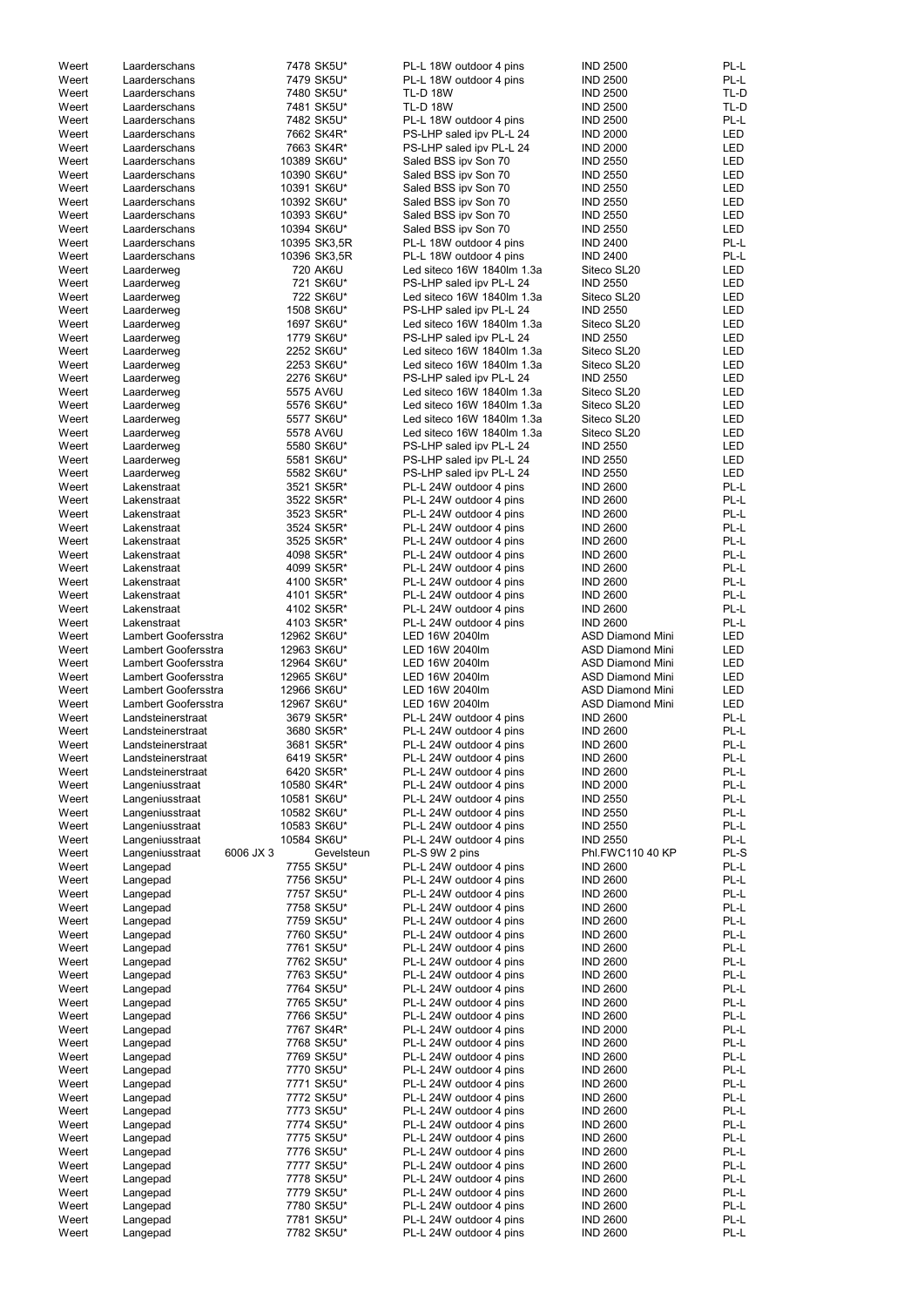|                | Laarderschans                              | 7478 SK5U*                 | PL-L 18W outdoor 4 pins                                  | <b>IND 2500</b>                                    | PL-L                     |
|----------------|--------------------------------------------|----------------------------|----------------------------------------------------------|----------------------------------------------------|--------------------------|
| Weert          | Laarderschans                              | 7479 SK5U*                 | PL-L 18W outdoor 4 pins                                  | <b>IND 2500</b>                                    | PL-L                     |
| Weert          | Laarderschans                              | 7480 SK5U*                 | <b>TL-D 18W</b>                                          | <b>IND 2500</b>                                    | TL-D                     |
| Weert<br>Weert | Laarderschans<br>Laarderschans             | 7481 SK5U*<br>7482 SK5U*   | <b>TL-D 18W</b><br>PL-L 18W outdoor 4 pins               | <b>IND 2500</b><br><b>IND 2500</b>                 | TL-D<br>PL-L             |
| Weert          | Laarderschans                              | 7662 SK4R*                 | PS-LHP saled ipv PL-L 24                                 | <b>IND 2000</b>                                    | LED                      |
| Weert          | Laarderschans                              | 7663 SK4R*                 | PS-LHP saled ipv PL-L 24                                 | <b>IND 2000</b>                                    | LED                      |
| Weert          | Laarderschans                              | 10389 SK6U*                | Saled BSS ipv Son 70                                     | <b>IND 2550</b>                                    | LED                      |
| Weert          | Laarderschans                              | 10390 SK6U*                | Saled BSS ipv Son 70                                     | <b>IND 2550</b>                                    | LED                      |
| Weert          | Laarderschans                              | 10391 SK6U*                | Saled BSS ipv Son 70                                     | <b>IND 2550</b>                                    | <b>LED</b>               |
| Weert          | Laarderschans                              | 10392 SK6U*                | Saled BSS ipv Son 70                                     | <b>IND 2550</b>                                    | <b>LED</b>               |
| Weert<br>Weert | Laarderschans<br>Laarderschans             | 10393 SK6U*<br>10394 SK6U* | Saled BSS ipv Son 70<br>Saled BSS ipv Son 70             | <b>IND 2550</b><br><b>IND 2550</b>                 | <b>LED</b><br><b>LED</b> |
| Weert          | Laarderschans                              | 10395 SK3,5R               | PL-L 18W outdoor 4 pins                                  | <b>IND 2400</b>                                    | PL-L                     |
| Weert          | Laarderschans                              | 10396 SK3,5R               | PL-L 18W outdoor 4 pins                                  | <b>IND 2400</b>                                    | PL-L                     |
| Weert          | Laarderweg                                 | 720 AK6U                   | Led siteco 16W 1840lm 1.3a                               | Siteco SL20                                        | LED                      |
| Weert          | Laarderweg                                 | 721 SK6U*                  | PS-LHP saled ipv PL-L 24                                 | <b>IND 2550</b>                                    | <b>LED</b>               |
| Weert          | Laarderweg                                 | 722 SK6U*                  | Led siteco 16W 1840lm 1.3a                               | Siteco SL20                                        | <b>LED</b>               |
| Weert<br>Weert | Laarderweg<br>Laarderweg                   | 1508 SK6U*<br>1697 SK6U*   | PS-LHP saled ipv PL-L 24<br>Led siteco 16W 1840lm 1.3a   | <b>IND 2550</b><br>Siteco SL20                     | <b>LED</b><br><b>LED</b> |
| Weert          | Laarderweg                                 | 1779 SK6U*                 | PS-LHP saled ipv PL-L 24                                 | <b>IND 2550</b>                                    | LED                      |
| Weert          | Laarderweg                                 | 2252 SK6U*                 | Led siteco 16W 1840lm 1.3a                               | Siteco SL20                                        | LED                      |
| Weert          | Laarderweg                                 | 2253 SK6U*                 | Led siteco 16W 1840lm 1.3a                               | Siteco SL20                                        | LED                      |
| Weert          | Laarderweg                                 | 2276 SK6U*                 | PS-LHP saled ipv PL-L 24                                 | <b>IND 2550</b>                                    | LED                      |
| Weert          | Laarderweg                                 | 5575 AV6U                  | Led siteco 16W 1840lm 1.3a<br>Led siteco 16W 1840lm 1.3a | Siteco SL20<br>Siteco SL20                         | LED                      |
| Weert<br>Weert | Laarderweg<br>Laarderweg                   | 5576 SK6U*<br>5577 SK6U*   | Led siteco 16W 1840lm 1.3a                               | Siteco SL20                                        | <b>LED</b><br><b>LED</b> |
| Weert          | Laarderweg                                 | 5578 AV6U                  | Led siteco 16W 1840lm 1.3a                               | Siteco SL20                                        | <b>LED</b>               |
| Weert          | Laarderweg                                 | 5580 SK6U*                 | PS-LHP saled ipv PL-L 24                                 | <b>IND 2550</b>                                    | <b>LED</b>               |
| Weert          | Laarderweg                                 | 5581 SK6U*                 | PS-LHP saled ipv PL-L 24                                 | <b>IND 2550</b>                                    | <b>LED</b>               |
| Weert          | Laarderweg                                 | 5582 SK6U*                 | PS-LHP saled ipv PL-L 24                                 | <b>IND 2550</b>                                    | <b>LED</b>               |
| Weert          | Lakenstraat                                | 3521 SK5R*                 | PL-L 24W outdoor 4 pins                                  | <b>IND 2600</b>                                    | PL-L                     |
| Weert<br>Weert | Lakenstraat<br>Lakenstraat                 | 3522 SK5R*<br>3523 SK5R*   | PL-L 24W outdoor 4 pins<br>PL-L 24W outdoor 4 pins       | <b>IND 2600</b><br><b>IND 2600</b>                 | PL-L<br>PL-L             |
| Weert          | Lakenstraat                                | 3524 SK5R*                 | PL-L 24W outdoor 4 pins                                  | <b>IND 2600</b>                                    | PL-L                     |
| Weert          | Lakenstraat                                | 3525 SK5R*                 | PL-L 24W outdoor 4 pins                                  | <b>IND 2600</b>                                    | PL-L                     |
| Weert          | Lakenstraat                                | 4098 SK5R*                 | PL-L 24W outdoor 4 pins                                  | <b>IND 2600</b>                                    | PL-L                     |
| Weert          | Lakenstraat                                | 4099 SK5R*                 | PL-L 24W outdoor 4 pins                                  | <b>IND 2600</b>                                    | PL-L                     |
| Weert<br>Weert | Lakenstraat<br>Lakenstraat                 | 4100 SK5R*<br>4101 SK5R*   | PL-L 24W outdoor 4 pins<br>PL-L 24W outdoor 4 pins       | <b>IND 2600</b><br><b>IND 2600</b>                 | PL-L<br>PL-L             |
| Weert          | Lakenstraat                                | 4102 SK5R*                 | PL-L 24W outdoor 4 pins                                  | <b>IND 2600</b>                                    | PL-L                     |
| Weert          | Lakenstraat                                | 4103 SK5R*                 | PL-L 24W outdoor 4 pins                                  | <b>IND 2600</b>                                    | PL-L                     |
| Weert          | Lambert Goofersstra                        | 12962 SK6U*                | LED 16W 2040lm                                           | <b>ASD Diamond Mini</b>                            | LED                      |
| Weert          | Lambert Goofersstra                        | 12963 SK6U*                | LED 16W 2040lm                                           | <b>ASD Diamond Mini</b>                            | <b>LED</b>               |
| Weert          | Lambert Goofersstra                        | 12964 SK6U*                | LED 16W 2040lm                                           | <b>ASD Diamond Mini</b>                            | <b>LED</b>               |
| Weert          | Lambert Goofersstra<br>Lambert Goofersstra | 12965 SK6U*                | LED 16W 2040lm<br>LED 16W 2040lm                         | <b>ASD Diamond Mini</b><br><b>ASD Diamond Mini</b> | <b>LED</b><br>LED        |
| Weert<br>Weert | Lambert Goofersstra                        | 12966 SK6U*<br>12967 SK6U* | LED 16W 2040lm                                           | <b>ASD Diamond Mini</b>                            | <b>LED</b>               |
| Weert          | Landsteinerstraat                          | 3679 SK5R*                 | PL-L 24W outdoor 4 pins                                  | <b>IND 2600</b>                                    | PL-L                     |
| Weert          | Landsteinerstraat                          | 3680 SK5R*                 | PL-L 24W outdoor 4 pins                                  | <b>IND 2600</b>                                    | PL-L                     |
| Weert          | Landsteinerstraat                          | 3681 SK5R*                 | PL-L 24W outdoor 4 pins                                  | <b>IND 2600</b>                                    | PL-L                     |
| Weert          | Landsteinerstraat                          | 6419 SK5R*                 | PL-L 24W outdoor 4 pins                                  | <b>IND 2600</b>                                    | PL-L                     |
| Weert          |                                            |                            |                                                          |                                                    |                          |
|                | Landsteinerstraat                          | 6420 SK5R*                 | PL-L 24W outdoor 4 pins                                  | <b>IND 2600</b>                                    | PL-L                     |
| Weert          | Langeniusstraat                            | 10580 SK4R*                | PL-L 24W outdoor 4 pins                                  | <b>IND 2000</b>                                    | PL-L                     |
| Weert<br>Weert | Langeniusstraat<br>Langeniusstraat         | 10581 SK6U*<br>10582 SK6U* | PL-L 24W outdoor 4 pins<br>PL-L 24W outdoor 4 pins       | <b>IND 2550</b><br><b>IND 2550</b>                 | PL-L<br>PL-L             |
| Weert          | Langeniusstraat                            | 10583 SK6U*                | PL-L 24W outdoor 4 pins                                  | <b>IND 2550</b>                                    | PL-L                     |
| Weert          | Langeniusstraat                            | 10584 SK6U*                | PL-L 24W outdoor 4 pins                                  | <b>IND 2550</b>                                    | PL-L                     |
| Weert          | 6006 JX 3<br>Langeniusstraat               | Gevelsteun                 | PL-S 9W 2 pins                                           | Phl.FWC110 40 KP                                   | PL-S                     |
| Weert          | Langepad                                   | 7755 SK5U*                 | PL-L 24W outdoor 4 pins                                  | <b>IND 2600</b>                                    | PL-L                     |
| Weert<br>Weert | Langepad                                   | 7756 SK5U*<br>7757 SK5U*   | PL-L 24W outdoor 4 pins<br>PL-L 24W outdoor 4 pins       | <b>IND 2600</b><br><b>IND 2600</b>                 | PL-L<br>PL-L             |
| Weert          | Langepad<br>Langepad                       | 7758 SK5U*                 | PL-L 24W outdoor 4 pins                                  | <b>IND 2600</b>                                    | PL-L                     |
| Weert          | Langepad                                   | 7759 SK5U*                 | PL-L 24W outdoor 4 pins                                  | <b>IND 2600</b>                                    | PL-L                     |
| Weert          | Langepad                                   | 7760 SK5U*                 | PL-L 24W outdoor 4 pins                                  | <b>IND 2600</b>                                    | PL-L                     |
| Weert          | Langepad                                   | 7761 SK5U*                 | PL-L 24W outdoor 4 pins                                  | <b>IND 2600</b>                                    | PL-L                     |
| Weert          | Langepad                                   | 7762 SK5U*                 | PL-L 24W outdoor 4 pins                                  | <b>IND 2600</b>                                    | PL-L                     |
| Weert<br>Weert | Langepad<br>Langepad                       | 7763 SK5U*<br>7764 SK5U*   | PL-L 24W outdoor 4 pins<br>PL-L 24W outdoor 4 pins       | <b>IND 2600</b><br><b>IND 2600</b>                 | PL-L<br>PL-L             |
| Weert          | Langepad                                   | 7765 SK5U*                 | PL-L 24W outdoor 4 pins                                  | <b>IND 2600</b>                                    | PL-L                     |
| Weert          | Langepad                                   | 7766 SK5U*                 | PL-L 24W outdoor 4 pins                                  | <b>IND 2600</b>                                    | PL-L                     |
| Weert          | Langepad                                   | 7767 SK4R*                 | PL-L 24W outdoor 4 pins                                  | <b>IND 2000</b>                                    | PL-L                     |
| Weert          | Langepad                                   | 7768 SK5U*                 | PL-L 24W outdoor 4 pins                                  | <b>IND 2600</b>                                    | PL-L                     |
| Weert<br>Weert | Langepad                                   | 7769 SK5U*<br>7770 SK5U*   | PL-L 24W outdoor 4 pins<br>PL-L 24W outdoor 4 pins       | <b>IND 2600</b><br><b>IND 2600</b>                 | PL-L<br>PL-L             |
| Weert          | Langepad<br>Langepad                       | 7771 SK5U*                 | PL-L 24W outdoor 4 pins                                  | <b>IND 2600</b>                                    | PL-L                     |
| Weert          | Langepad                                   | 7772 SK5U*                 | PL-L 24W outdoor 4 pins                                  | <b>IND 2600</b>                                    | PL-L                     |
| Weert          | Langepad                                   | 7773 SK5U*                 | PL-L 24W outdoor 4 pins                                  | <b>IND 2600</b>                                    | PL-L                     |
| Weert          | Langepad                                   | 7774 SK5U*                 | PL-L 24W outdoor 4 pins                                  | <b>IND 2600</b>                                    | PL-L                     |
| Weert          | Langepad                                   | 7775 SK5U*                 | PL-L 24W outdoor 4 pins                                  | <b>IND 2600</b>                                    | PL-L                     |
| Weert<br>Weert | Langepad                                   | 7776 SK5U*                 | PL-L 24W outdoor 4 pins<br>PL-L 24W outdoor 4 pins       | <b>IND 2600</b><br><b>IND 2600</b>                 | PL-L<br>PL-L             |
| Weert          | Langepad<br>Langepad                       | 7777 SK5U*<br>7778 SK5U*   | PL-L 24W outdoor 4 pins                                  | <b>IND 2600</b>                                    | PL-L                     |
| Weert          | Langepad                                   | 7779 SK5U*                 | PL-L 24W outdoor 4 pins                                  | <b>IND 2600</b>                                    | PL-L                     |
| Weert          | Langepad                                   | 7780 SK5U*                 | PL-L 24W outdoor 4 pins                                  | <b>IND 2600</b>                                    | PL-L                     |
| Weert<br>Weert | Langepad<br>Langepad                       | 7781 SK5U*<br>7782 SK5U*   | PL-L 24W outdoor 4 pins<br>PL-L 24W outdoor 4 pins       | <b>IND 2600</b><br><b>IND 2600</b>                 | PL-L<br>PL-L             |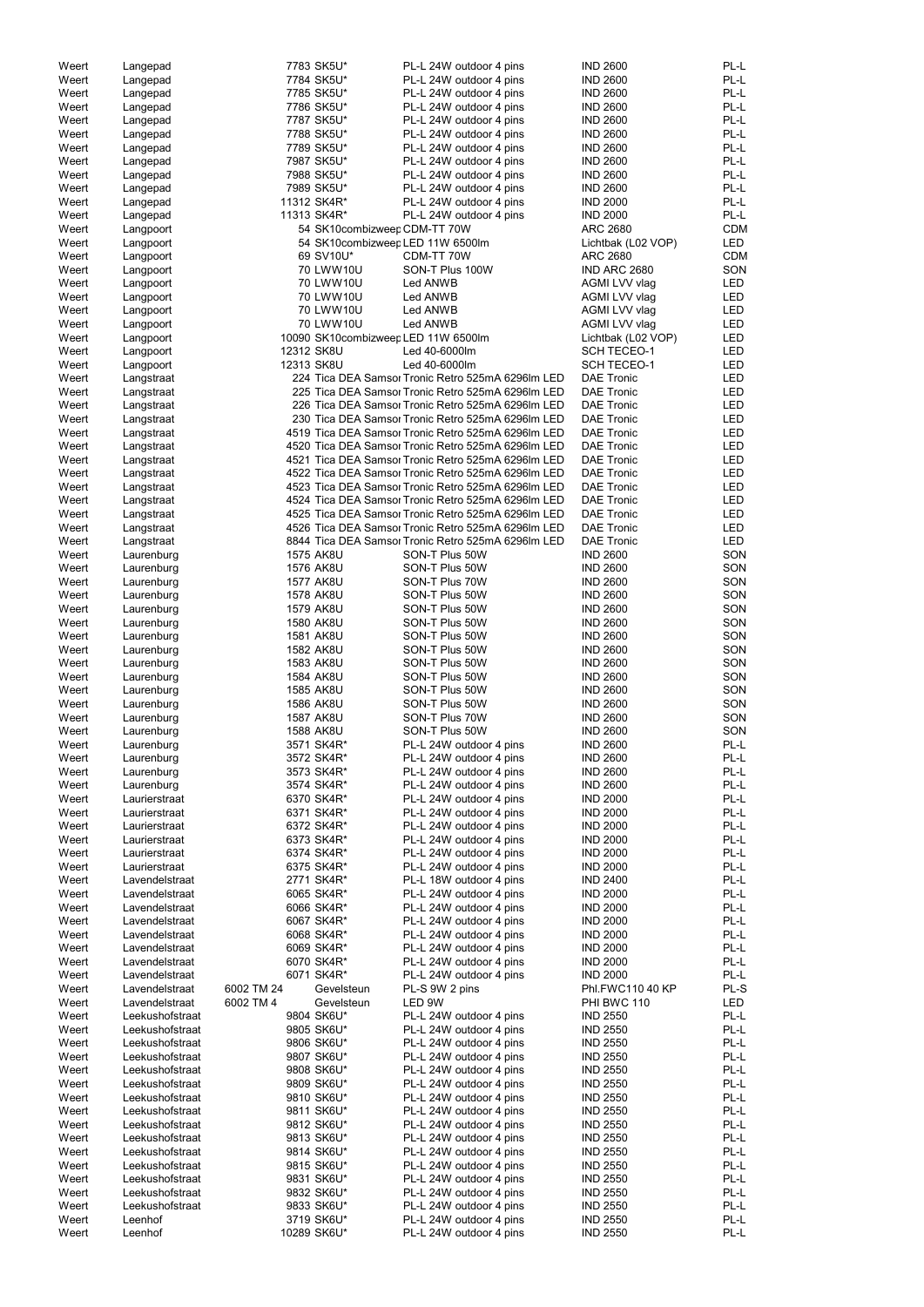| Weert |                 |            | 7783 SK5U*                   |                                                    | <b>IND 2600</b>                    | PL-L       |
|-------|-----------------|------------|------------------------------|----------------------------------------------------|------------------------------------|------------|
|       | Langepad        |            |                              | PL-L 24W outdoor 4 pins                            |                                    | PL-L       |
| Weert | Langepad        |            | 7784 SK5U*                   | PL-L 24W outdoor 4 pins<br>PL-L 24W outdoor 4 pins | <b>IND 2600</b><br><b>IND 2600</b> | PL-L       |
| Weert | Langepad        |            | 7785 SK5U*                   |                                                    |                                    | PL-L       |
| Weert | Langepad        |            | 7786 SK5U*                   | PL-L 24W outdoor 4 pins                            | <b>IND 2600</b>                    |            |
| Weert | Langepad        |            | 7787 SK5U*                   | PL-L 24W outdoor 4 pins                            | <b>IND 2600</b>                    | PL-L       |
| Weert | Langepad        |            | 7788 SK5U*                   | PL-L 24W outdoor 4 pins                            | <b>IND 2600</b>                    | PL-L       |
| Weert | Langepad        |            | 7789 SK5U*                   | PL-L 24W outdoor 4 pins                            | <b>IND 2600</b>                    | PL-L       |
| Weert | Langepad        |            | 7987 SK5U*                   | PL-L 24W outdoor 4 pins                            | <b>IND 2600</b>                    | PL-L       |
| Weert | Langepad        |            | 7988 SK5U*                   | PL-L 24W outdoor 4 pins                            | <b>IND 2600</b>                    | PL-L       |
| Weert | Langepad        |            | 7989 SK5U*                   | PL-L 24W outdoor 4 pins                            | <b>IND 2600</b>                    | PL-L       |
| Weert | Langepad        |            | 11312 SK4R*                  | PL-L 24W outdoor 4 pins                            | <b>IND 2000</b>                    | PL-L       |
| Weert | Langepad        |            | 11313 SK4R*                  | PL-L 24W outdoor 4 pins                            | <b>IND 2000</b>                    | PL-L       |
| Weert | Langpoort       |            | 54 SK10combizweep CDM-TT 70W |                                                    | <b>ARC 2680</b>                    | <b>CDM</b> |
| Weert | Langpoort       |            |                              | 54 SK10combizweep LED 11W 6500lm                   | Lichtbak (L02 VOP)                 | <b>LED</b> |
| Weert | Langpoort       |            | 69 SV10U*                    | CDM-TT 70W                                         | <b>ARC 2680</b>                    | <b>CDM</b> |
| Weert | Langpoort       |            | 70 LWW10U                    | SON-T Plus 100W                                    | IND ARC 2680                       | SON        |
| Weert | Langpoort       |            | 70 LWW10U                    | Led ANWB                                           | AGMI LVV vlag                      | LED        |
| Weert | Langpoort       |            | 70 LWW10U                    | Led ANWB                                           | AGMI LVV vlag                      | <b>LED</b> |
| Weert | Langpoort       |            | 70 LWW10U                    | Led ANWB                                           | AGMI LVV vlag                      | <b>LED</b> |
| Weert | Langpoort       |            | 70 LWW10U                    | Led ANWB                                           | AGMI LVV vlag                      | <b>LED</b> |
| Weert |                 |            |                              | 10090 SK10combizweep LED 11W 6500lm                | Lichtbak (L02 VOP)                 | <b>LED</b> |
|       | Langpoort       |            |                              |                                                    |                                    |            |
| Weert | Langpoort       |            | 12312 SK8U                   | Led 40-6000lm                                      | <b>SCH TECEO-1</b>                 | <b>LED</b> |
| Weert | Langpoort       |            | 12313 SK8U                   | Led 40-6000lm                                      | <b>SCH TECEO-1</b>                 | <b>LED</b> |
| Weert | Langstraat      |            |                              | 224 Tica DEA Samsor Tronic Retro 525mA 6296Im LED  | <b>DAE Tronic</b>                  | <b>LED</b> |
| Weert | Langstraat      |            |                              | 225 Tica DEA Samsor Tronic Retro 525mA 6296Im LED  | <b>DAE Tronic</b>                  | <b>LED</b> |
| Weert | Langstraat      |            |                              | 226 Tica DEA Samsor Tronic Retro 525mA 6296Im LED  | <b>DAE Tronic</b>                  | <b>LED</b> |
| Weert | Langstraat      |            |                              | 230 Tica DEA Samsor Tronic Retro 525mA 6296lm LED  | <b>DAE Tronic</b>                  | <b>LED</b> |
| Weert | Langstraat      |            |                              | 4519 Tica DEA Samsor Tronic Retro 525mA 6296Im LED | <b>DAE Tronic</b>                  | <b>LED</b> |
| Weert | Langstraat      |            |                              | 4520 Tica DEA Samsor Tronic Retro 525mA 6296Im LED | <b>DAE Tronic</b>                  | <b>LED</b> |
| Weert | Langstraat      |            |                              | 4521 Tica DEA Samsor Tronic Retro 525mA 6296Im LED | <b>DAE Tronic</b>                  | <b>LED</b> |
| Weert | Langstraat      |            |                              | 4522 Tica DEA Samsor Tronic Retro 525mA 6296Im LED | <b>DAE Tronic</b>                  | <b>LED</b> |
| Weert | Langstraat      |            |                              | 4523 Tica DEA Samsor Tronic Retro 525mA 6296Im LED | <b>DAE Tronic</b>                  | <b>LED</b> |
| Weert | Langstraat      |            |                              | 4524 Tica DEA Samsor Tronic Retro 525mA 6296Im LED | <b>DAE Tronic</b>                  | <b>LED</b> |
| Weert | Langstraat      |            |                              | 4525 Tica DEA Samsor Tronic Retro 525mA 6296Im LED | <b>DAE Tronic</b>                  | LED        |
| Weert | Langstraat      |            |                              | 4526 Tica DEA Samsor Tronic Retro 525mA 6296Im LED | <b>DAE Tronic</b>                  | <b>LED</b> |
| Weert | Langstraat      |            |                              | 8844 Tica DEA Samsor Tronic Retro 525mA 6296Im LED | <b>DAE Tronic</b>                  | LED        |
|       |                 |            |                              |                                                    |                                    |            |
| Weert | Laurenburg      |            | <b>1575 AK8U</b>             | SON-T Plus 50W                                     | <b>IND 2600</b>                    | SON        |
| Weert | Laurenburg      |            | 1576 AK8U                    | SON-T Plus 50W                                     | <b>IND 2600</b>                    | SON        |
| Weert | Laurenburg      |            | <b>1577 AK8U</b>             | SON-T Plus 70W                                     | <b>IND 2600</b>                    | SON        |
| Weert | Laurenburg      |            | 1578 AK8U                    | SON-T Plus 50W                                     | <b>IND 2600</b>                    | SON        |
| Weert | Laurenburg      |            | 1579 AK8U                    | SON-T Plus 50W                                     | <b>IND 2600</b>                    | SON        |
| Weert | Laurenburg      |            | 1580 AK8U                    | SON-T Plus 50W                                     | <b>IND 2600</b>                    | SON        |
| Weert | Laurenburg      |            | 1581 AK8U                    | SON-T Plus 50W                                     | <b>IND 2600</b>                    | SON        |
| Weert | Laurenburg      |            | 1582 AK8U                    | SON-T Plus 50W                                     | <b>IND 2600</b>                    | SON        |
| Weert | Laurenburg      |            | 1583 AK8U                    | SON-T Plus 50W                                     | <b>IND 2600</b>                    | SON        |
| Weert | Laurenburg      |            | 1584 AK8U                    | SON-T Plus 50W                                     | <b>IND 2600</b>                    | SON        |
| Weert | Laurenburg      |            | 1585 AK8U                    | SON-T Plus 50W                                     | <b>IND 2600</b>                    | SON        |
| Weert | Laurenburg      |            | 1586 AK8U                    | SON-T Plus 50W                                     | <b>IND 2600</b>                    | SON        |
| Weert | Laurenburg      |            | 1587 AK8U                    | SON-T Plus 70W                                     | <b>IND 2600</b>                    | SON        |
| Weert | Laurenburg      |            | 1588 AK8U                    | SON-T Plus 50W                                     | <b>IND 2600</b>                    | SON        |
| Weert | Laurenburg      |            | 3571 SK4R*                   | PL-L 24W outdoor 4 pins                            | <b>IND 2600</b>                    | PL-L       |
|       |                 |            |                              |                                                    |                                    | PL-L       |
| Weert | Laurenburg      |            | 3572 SK4R*                   | PL-L 24W outdoor 4 pins                            | <b>IND 2600</b>                    |            |
| Weert | Laurenburg      |            | 3573 SK4R*                   | PL-L 24W outdoor 4 pins                            | <b>IND 2600</b>                    | PL-L       |
| Weert | Laurenburg      |            | 3574 SK4R*                   | PL-L 24W outdoor 4 pins                            | <b>IND 2600</b>                    | PL-L       |
| Weert | Laurierstraat   |            | 6370 SK4R*                   | PL-L 24W outdoor 4 pins                            | <b>IND 2000</b>                    | PL-L       |
| Weert | Laurierstraat   |            | 6371 SK4R*                   | PL-L 24W outdoor 4 pins                            | <b>IND 2000</b>                    | PL-L       |
| Weert | Laurierstraat   |            | 6372 SK4R*                   | PL-L 24W outdoor 4 pins                            | <b>IND 2000</b>                    | PL-L       |
| Weert | Laurierstraat   |            | 6373 SK4R*                   | PL-L 24W outdoor 4 pins                            | <b>IND 2000</b>                    | PL-L       |
| Weert | Laurierstraat   |            | 6374 SK4R*                   | PL-L 24W outdoor 4 pins                            | <b>IND 2000</b>                    | PL-L       |
| Weert | Laurierstraat   |            | 6375 SK4R*                   | PL-L 24W outdoor 4 pins                            | <b>IND 2000</b>                    | PL-L       |
| Weert | Lavendelstraat  |            | 2771 SK4R*                   | PL-L 18W outdoor 4 pins                            | <b>IND 2400</b>                    | PL-L       |
| Weert | Lavendelstraat  |            | 6065 SK4R*                   | PL-L 24W outdoor 4 pins                            | <b>IND 2000</b>                    | PL-L       |
| Weert | Lavendelstraat  |            | 6066 SK4R*                   | PL-L 24W outdoor 4 pins                            | <b>IND 2000</b>                    | PL-L       |
| Weert | Lavendelstraat  |            | 6067 SK4R*                   | PL-L 24W outdoor 4 pins                            | <b>IND 2000</b>                    | PL-L       |
| Weert | Lavendelstraat  |            | 6068 SK4R*                   | PL-L 24W outdoor 4 pins                            | <b>IND 2000</b>                    | PL-L       |
| Weert | Lavendelstraat  |            | 6069 SK4R*                   | PL-L 24W outdoor 4 pins                            | <b>IND 2000</b>                    | PL-L       |
| Weert | Lavendelstraat  |            | 6070 SK4R*                   | PL-L 24W outdoor 4 pins                            | <b>IND 2000</b>                    | PL-L       |
| Weert | Lavendelstraat  |            | 6071 SK4R*                   | PL-L 24W outdoor 4 pins                            | <b>IND 2000</b>                    | PL-L       |
|       |                 |            |                              |                                                    |                                    |            |
| Weert | Lavendelstraat  | 6002 TM 24 | Gevelsteun                   | PL-S 9W 2 pins                                     | Phl.FWC110 40 KP                   | PL-S       |
| Weert | Lavendelstraat  | 6002 TM 4  | Gevelsteun                   | LED 9W                                             | PHI BWC 110                        | LED        |
| Weert | Leekushofstraat |            | 9804 SK6U*                   | PL-L 24W outdoor 4 pins                            | <b>IND 2550</b>                    | PL-L       |
| Weert | Leekushofstraat |            | 9805 SK6U*                   | PL-L 24W outdoor 4 pins                            | <b>IND 2550</b>                    | PL-L       |
| Weert | Leekushofstraat |            | 9806 SK6U*                   | PL-L 24W outdoor 4 pins                            | <b>IND 2550</b>                    | PL-L       |
| Weert | Leekushofstraat |            | 9807 SK6U*                   | PL-L 24W outdoor 4 pins                            | <b>IND 2550</b>                    | PL-L       |
| Weert | Leekushofstraat |            | 9808 SK6U*                   | PL-L 24W outdoor 4 pins                            | <b>IND 2550</b>                    | PL-L       |
| Weert | Leekushofstraat |            | 9809 SK6U*                   | PL-L 24W outdoor 4 pins                            | <b>IND 2550</b>                    | PL-L       |
| Weert | Leekushofstraat |            | 9810 SK6U*                   | PL-L 24W outdoor 4 pins                            | <b>IND 2550</b>                    | PL-L       |
| Weert | Leekushofstraat |            | 9811 SK6U*                   | PL-L 24W outdoor 4 pins                            | <b>IND 2550</b>                    | $PL-L$     |
| Weert | Leekushofstraat |            | 9812 SK6U*                   | PL-L 24W outdoor 4 pins                            | <b>IND 2550</b>                    | PL-L       |
| Weert | Leekushofstraat |            | 9813 SK6U*                   | PL-L 24W outdoor 4 pins                            | <b>IND 2550</b>                    | PL-L       |
| Weert | Leekushofstraat |            | 9814 SK6U*                   | PL-L 24W outdoor 4 pins                            | <b>IND 2550</b>                    | PL-L       |
| Weert | Leekushofstraat |            | 9815 SK6U*                   | PL-L 24W outdoor 4 pins                            | <b>IND 2550</b>                    | PL-L       |
| Weert | Leekushofstraat |            | 9831 SK6U*                   | PL-L 24W outdoor 4 pins                            | <b>IND 2550</b>                    | PL-L       |
|       |                 |            |                              | PL-L 24W outdoor 4 pins                            | <b>IND 2550</b>                    | PL-L       |
| Weert | Leekushofstraat |            | 9832 SK6U*                   |                                                    |                                    |            |
| Weert | Leekushofstraat |            | 9833 SK6U*                   | PL-L 24W outdoor 4 pins                            | <b>IND 2550</b>                    | PL-L       |
| Weert | Leenhof         |            | 3719 SK6U*                   | PL-L 24W outdoor 4 pins                            | <b>IND 2550</b>                    | PL-L       |
| Weert | Leenhof         |            | 10289 SK6U*                  | PL-L 24W outdoor 4 pins                            | <b>IND 2550</b>                    | PL-L       |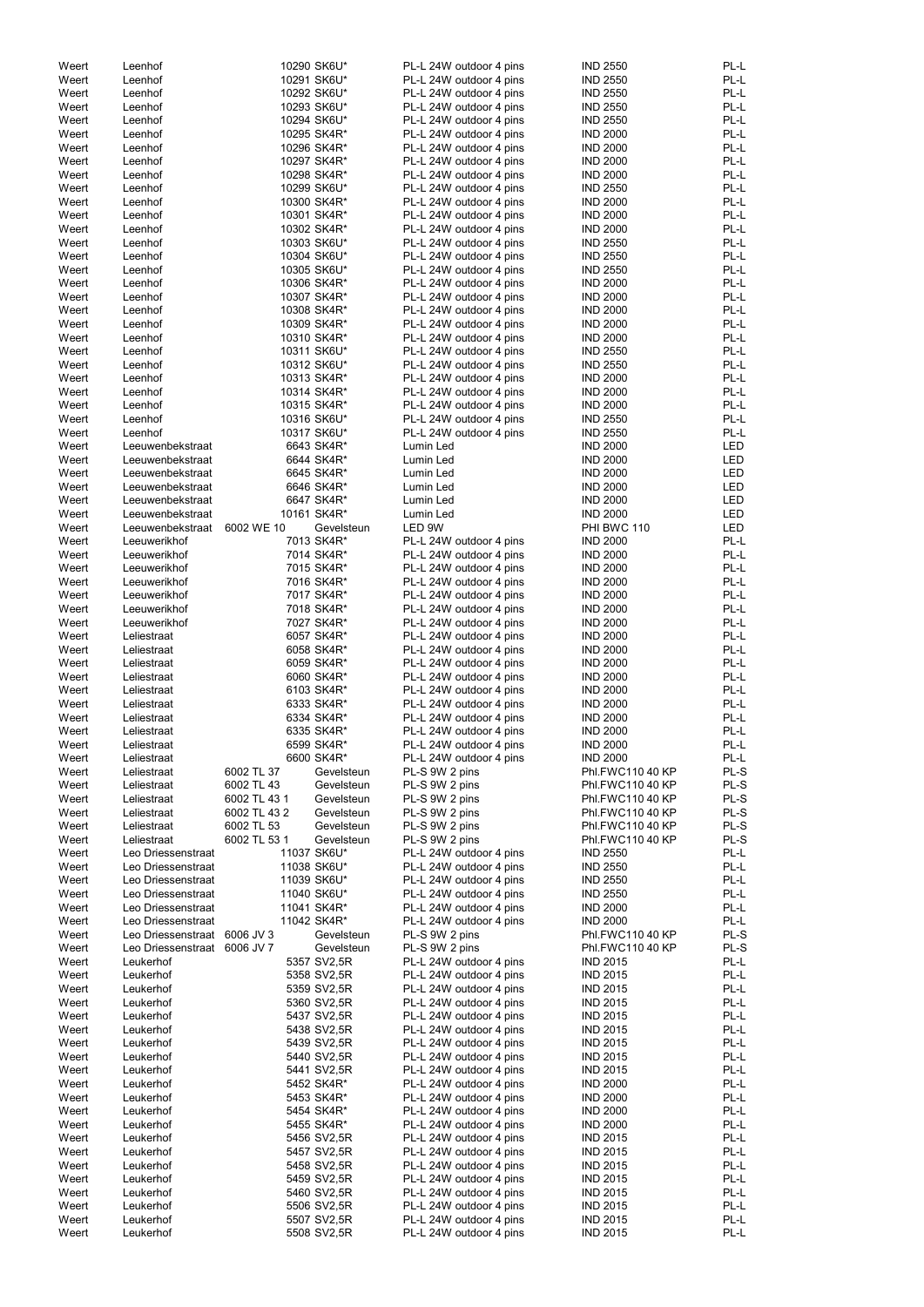| Weert | Leenhof                      |              | 10290 SK6U* | PL-L 24W outdoor 4 pins | <b>IND 2550</b>  | PL-L       |
|-------|------------------------------|--------------|-------------|-------------------------|------------------|------------|
| Weert | Leenhof                      |              | 10291 SK6U* | PL-L 24W outdoor 4 pins | <b>IND 2550</b>  | PL-L       |
| Weert | Leenhof                      |              | 10292 SK6U* | PL-L 24W outdoor 4 pins | <b>IND 2550</b>  | PL-L       |
| Weert | Leenhof                      |              | 10293 SK6U* | PL-L 24W outdoor 4 pins | <b>IND 2550</b>  | PL-L       |
|       |                              |              |             |                         |                  |            |
| Weert | Leenhof                      |              | 10294 SK6U* | PL-L 24W outdoor 4 pins | <b>IND 2550</b>  | PL-L       |
| Weert | Leenhof                      |              | 10295 SK4R* | PL-L 24W outdoor 4 pins | <b>IND 2000</b>  | PL-L       |
| Weert | Leenhof                      |              | 10296 SK4R* | PL-L 24W outdoor 4 pins | <b>IND 2000</b>  | PL-L       |
| Weert | Leenhof                      |              | 10297 SK4R* | PL-L 24W outdoor 4 pins | <b>IND 2000</b>  | PL-L       |
|       |                              |              |             |                         |                  |            |
| Weert | Leenhof                      |              | 10298 SK4R* | PL-L 24W outdoor 4 pins | <b>IND 2000</b>  | PL-L       |
| Weert | Leenhof                      |              | 10299 SK6U* | PL-L 24W outdoor 4 pins | <b>IND 2550</b>  | PL-L       |
| Weert | Leenhof                      |              | 10300 SK4R* | PL-L 24W outdoor 4 pins | <b>IND 2000</b>  | PL-L       |
|       |                              |              |             |                         |                  |            |
| Weert | Leenhof                      |              | 10301 SK4R* | PL-L 24W outdoor 4 pins | <b>IND 2000</b>  | PL-L       |
| Weert | Leenhof                      |              | 10302 SK4R* | PL-L 24W outdoor 4 pins | <b>IND 2000</b>  | PL-L       |
| Weert | Leenhof                      |              | 10303 SK6U* | PL-L 24W outdoor 4 pins | <b>IND 2550</b>  | PL-L       |
| Weert | Leenhof                      |              | 10304 SK6U* | PL-L 24W outdoor 4 pins | <b>IND 2550</b>  | PL-L       |
|       |                              |              |             |                         |                  |            |
| Weert | Leenhof                      |              | 10305 SK6U* | PL-L 24W outdoor 4 pins | <b>IND 2550</b>  | PL-L       |
| Weert | Leenhof                      |              | 10306 SK4R* | PL-L 24W outdoor 4 pins | <b>IND 2000</b>  | PL-L       |
| Weert | Leenhof                      |              | 10307 SK4R* | PL-L 24W outdoor 4 pins | <b>IND 2000</b>  | PL-L       |
| Weert | Leenhof                      |              | 10308 SK4R* | PL-L 24W outdoor 4 pins | <b>IND 2000</b>  | PL-L       |
|       |                              |              |             |                         |                  |            |
| Weert | Leenhof                      |              | 10309 SK4R* | PL-L 24W outdoor 4 pins | <b>IND 2000</b>  | PL-L       |
| Weert | Leenhof                      |              | 10310 SK4R* | PL-L 24W outdoor 4 pins | <b>IND 2000</b>  | PL-L       |
| Weert | Leenhof                      |              | 10311 SK6U* | PL-L 24W outdoor 4 pins | <b>IND 2550</b>  | PL-L       |
| Weert | Leenhof                      |              | 10312 SK6U* | PL-L 24W outdoor 4 pins | <b>IND 2550</b>  | PL-L       |
|       |                              |              |             |                         |                  |            |
| Weert | Leenhof                      |              | 10313 SK4R* | PL-L 24W outdoor 4 pins | <b>IND 2000</b>  | PL-L       |
| Weert | Leenhof                      |              | 10314 SK4R* | PL-L 24W outdoor 4 pins | <b>IND 2000</b>  | PL-L       |
| Weert | Leenhof                      |              | 10315 SK4R* | PL-L 24W outdoor 4 pins | <b>IND 2000</b>  | PL-L       |
| Weert | Leenhof                      |              | 10316 SK6U* | PL-L 24W outdoor 4 pins | <b>IND 2550</b>  | PL-L       |
|       |                              |              |             |                         |                  |            |
| Weert | Leenhof                      |              | 10317 SK6U* | PL-L 24W outdoor 4 pins | <b>IND 2550</b>  | PL-L       |
| Weert | Leeuwenbekstraat             |              | 6643 SK4R*  | Lumin Led               | <b>IND 2000</b>  | LED        |
| Weert | Leeuwenbekstraat             |              | 6644 SK4R*  | Lumin Led               | <b>IND 2000</b>  | <b>LED</b> |
| Weert |                              |              | 6645 SK4R*  |                         | <b>IND 2000</b>  | <b>LED</b> |
|       | Leeuwenbekstraat             |              |             | Lumin Led               |                  |            |
| Weert | Leeuwenbekstraat             |              | 6646 SK4R*  | Lumin Led               | <b>IND 2000</b>  | <b>LED</b> |
| Weert | Leeuwenbekstraat             |              | 6647 SK4R*  | Lumin Led               | <b>IND 2000</b>  | LED        |
| Weert | Leeuwenbekstraat             |              | 10161 SK4R* | Lumin Led               | <b>IND 2000</b>  | LED        |
| Weert |                              | 6002 WE 10   | Gevelsteun  | LED 9W                  | PHI BWC 110      | <b>LED</b> |
|       | Leeuwenbekstraat             |              |             |                         |                  |            |
| Weert | Leeuwerikhof                 |              | 7013 SK4R*  | PL-L 24W outdoor 4 pins | <b>IND 2000</b>  | PL-L       |
| Weert | Leeuwerikhof                 |              | 7014 SK4R*  | PL-L 24W outdoor 4 pins | <b>IND 2000</b>  | PL-L       |
| Weert | Leeuwerikhof                 |              | 7015 SK4R*  | PL-L 24W outdoor 4 pins | <b>IND 2000</b>  | PL-L       |
|       | Leeuwerikhof                 |              |             |                         | <b>IND 2000</b>  | PL-L       |
| Weert |                              |              | 7016 SK4R*  | PL-L 24W outdoor 4 pins |                  |            |
| Weert | Leeuwerikhof                 |              | 7017 SK4R*  | PL-L 24W outdoor 4 pins | <b>IND 2000</b>  | PL-L       |
| Weert | Leeuwerikhof                 |              | 7018 SK4R*  | PL-L 24W outdoor 4 pins | <b>IND 2000</b>  | PL-L       |
| Weert | Leeuwerikhof                 |              | 7027 SK4R*  | PL-L 24W outdoor 4 pins | <b>IND 2000</b>  | PL-L       |
|       |                              |              |             |                         |                  | PL-L       |
| Weert | Leliestraat                  |              | 6057 SK4R*  | PL-L 24W outdoor 4 pins | <b>IND 2000</b>  |            |
| Weert | Leliestraat                  |              | 6058 SK4R*  | PL-L 24W outdoor 4 pins | <b>IND 2000</b>  | PL-L       |
| Weert | Leliestraat                  |              | 6059 SK4R*  | PL-L 24W outdoor 4 pins | <b>IND 2000</b>  | PL-L       |
| Weert | Leliestraat                  |              | 6060 SK4R*  | PL-L 24W outdoor 4 pins | <b>IND 2000</b>  | PL-L       |
|       |                              |              |             |                         |                  |            |
| Weert | Leliestraat                  |              | 6103 SK4R*  | PL-L 24W outdoor 4 pins | <b>IND 2000</b>  | PL-L       |
| Weert | Leliestraat                  |              | 6333 SK4R*  | PL-L 24W outdoor 4 pins | <b>IND 2000</b>  | PL-L       |
| Weert | Leliestraat                  |              | 6334 SK4R*  | PL-L 24W outdoor 4 pins | <b>IND 2000</b>  | PL-L       |
| Weert | Leliestraat                  |              | 6335 SK4R*  | PL-L 24W outdoor 4 pins | <b>IND 2000</b>  | PL-L       |
|       |                              |              |             |                         |                  |            |
| Weert | Leliestraat                  |              | 6599 SK4R*  | PL-L 24W outdoor 4 pins | <b>IND 2000</b>  | PL-L       |
| Weert | Leliestraat                  |              | 6600 SK4R*  | PL-L 24W outdoor 4 pins | <b>IND 2000</b>  | PL-L       |
| Weert | Leliestraat                  | 6002 TL 37   | Gevelsteun  | PL-S 9W 2 pins          | Phl.FWC110 40 KP | PL-S       |
| Weert | Leliestraat                  | 6002 TL 43   | Gevelsteun  | PL-S 9W 2 pins          | Phl.FWC110 40 KP | PL-S       |
|       |                              |              |             |                         |                  |            |
| Weert | Leliestraat                  | 6002 TL 43 1 | Gevelsteun  | PL-S 9W 2 pins          | Phl.FWC110 40 KP | PL-S       |
| Weert | Leliestraat                  | 6002 TL 43 2 | Gevelsteun  | PL-S 9W 2 pins          | Phl.FWC110 40 KP | PL-S       |
| Weert | Leliestraat                  | 6002 TL 53   | Gevelsteun  | PL-S 9W 2 pins          | Phl.FWC110 40 KP | PL-S       |
| Weert | Leliestraat                  | 6002 TL 53 1 | Gevelsteun  | PL-S 9W 2 pins          | Phl.FWC110 40 KP | PL-S       |
|       |                              |              |             |                         |                  |            |
| Weert | Leo Driessenstraat           |              | 11037 SK6U* | PL-L 24W outdoor 4 pins | <b>IND 2550</b>  | PL-L       |
| Weert | Leo Driessenstraat           |              | 11038 SK6U* | PL-L 24W outdoor 4 pins | <b>IND 2550</b>  | PL-L       |
| Weert | Leo Driessenstraat           |              | 11039 SK6U* | PL-L 24W outdoor 4 pins | <b>IND 2550</b>  | PL-L       |
| Weert | Leo Driessenstraat           |              | 11040 SK6U* | PL-L 24W outdoor 4 pins | <b>IND 2550</b>  | PL-L       |
| Weert | Leo Driessenstraat           |              | 11041 SK4R* | PL-L 24W outdoor 4 pins | <b>IND 2000</b>  | PL-L       |
|       |                              |              |             |                         |                  |            |
| Weert | Leo Driessenstraat           |              | 11042 SK4R* | PL-L 24W outdoor 4 pins | <b>IND 2000</b>  | PL-L       |
| Weert | Leo Driessenstraat 6006 JV 3 |              | Gevelsteun  | PL-S 9W 2 pins          | Phl.FWC110 40 KP | PL-S       |
| Weert | Leo Driessenstraat 6006 JV 7 |              | Gevelsteun  | PL-S 9W 2 pins          | Phl.FWC110 40 KP | PL-S       |
| Weert | Leukerhof                    |              | 5357 SV2,5R | PL-L 24W outdoor 4 pins | <b>IND 2015</b>  | PL-L       |
|       |                              |              |             |                         |                  |            |
| Weert | Leukerhof                    |              | 5358 SV2,5R | PL-L 24W outdoor 4 pins | <b>IND 2015</b>  | PL-L       |
| Weert | Leukerhof                    |              | 5359 SV2,5R | PL-L 24W outdoor 4 pins | <b>IND 2015</b>  | PL-L       |
| Weert | Leukerhof                    |              | 5360 SV2,5R | PL-L 24W outdoor 4 pins | <b>IND 2015</b>  | PL-L       |
|       |                              |              |             |                         |                  |            |
| Weert | Leukerhof                    |              | 5437 SV2,5R | PL-L 24W outdoor 4 pins | <b>IND 2015</b>  | PL-L       |
| Weert | Leukerhof                    |              | 5438 SV2,5R | PL-L 24W outdoor 4 pins | <b>IND 2015</b>  | PL-L       |
| Weert | Leukerhof                    |              | 5439 SV2,5R | PL-L 24W outdoor 4 pins | <b>IND 2015</b>  | PL-L       |
| Weert | Leukerhof                    |              | 5440 SV2,5R | PL-L 24W outdoor 4 pins | <b>IND 2015</b>  | PL-L       |
|       |                              |              |             |                         |                  |            |
| Weert | Leukerhof                    |              | 5441 SV2,5R | PL-L 24W outdoor 4 pins | <b>IND 2015</b>  | PL-L       |
| Weert | Leukerhof                    |              | 5452 SK4R*  | PL-L 24W outdoor 4 pins | <b>IND 2000</b>  | PL-L       |
| Weert | Leukerhof                    |              | 5453 SK4R*  | PL-L 24W outdoor 4 pins | <b>IND 2000</b>  | PL-L       |
| Weert | Leukerhof                    |              | 5454 SK4R*  | PL-L 24W outdoor 4 pins | <b>IND 2000</b>  | PL-L       |
|       |                              |              |             |                         |                  |            |
| Weert | Leukerhof                    |              | 5455 SK4R*  | PL-L 24W outdoor 4 pins | <b>IND 2000</b>  | PL-L       |
| Weert | Leukerhof                    |              | 5456 SV2,5R | PL-L 24W outdoor 4 pins | <b>IND 2015</b>  | PL-L       |
| Weert | Leukerhof                    |              | 5457 SV2,5R | PL-L 24W outdoor 4 pins | <b>IND 2015</b>  | PL-L       |
| Weert | Leukerhof                    |              | 5458 SV2,5R | PL-L 24W outdoor 4 pins | <b>IND 2015</b>  | PL-L       |
|       |                              |              |             |                         |                  |            |
| Weert | Leukerhof                    |              | 5459 SV2,5R | PL-L 24W outdoor 4 pins | <b>IND 2015</b>  | PL-L       |
| Weert | Leukerhof                    |              | 5460 SV2,5R | PL-L 24W outdoor 4 pins | <b>IND 2015</b>  | PL-L       |
| Weert | Leukerhof                    |              | 5506 SV2,5R | PL-L 24W outdoor 4 pins | <b>IND 2015</b>  | PL-L       |
| Weert |                              |              | 5507 SV2,5R | PL-L 24W outdoor 4 pins | <b>IND 2015</b>  | PL-L       |
|       |                              |              |             |                         |                  |            |
| Weert | Leukerhof<br>Leukerhof       |              | 5508 SV2,5R | PL-L 24W outdoor 4 pins | <b>IND 2015</b>  | PL-L       |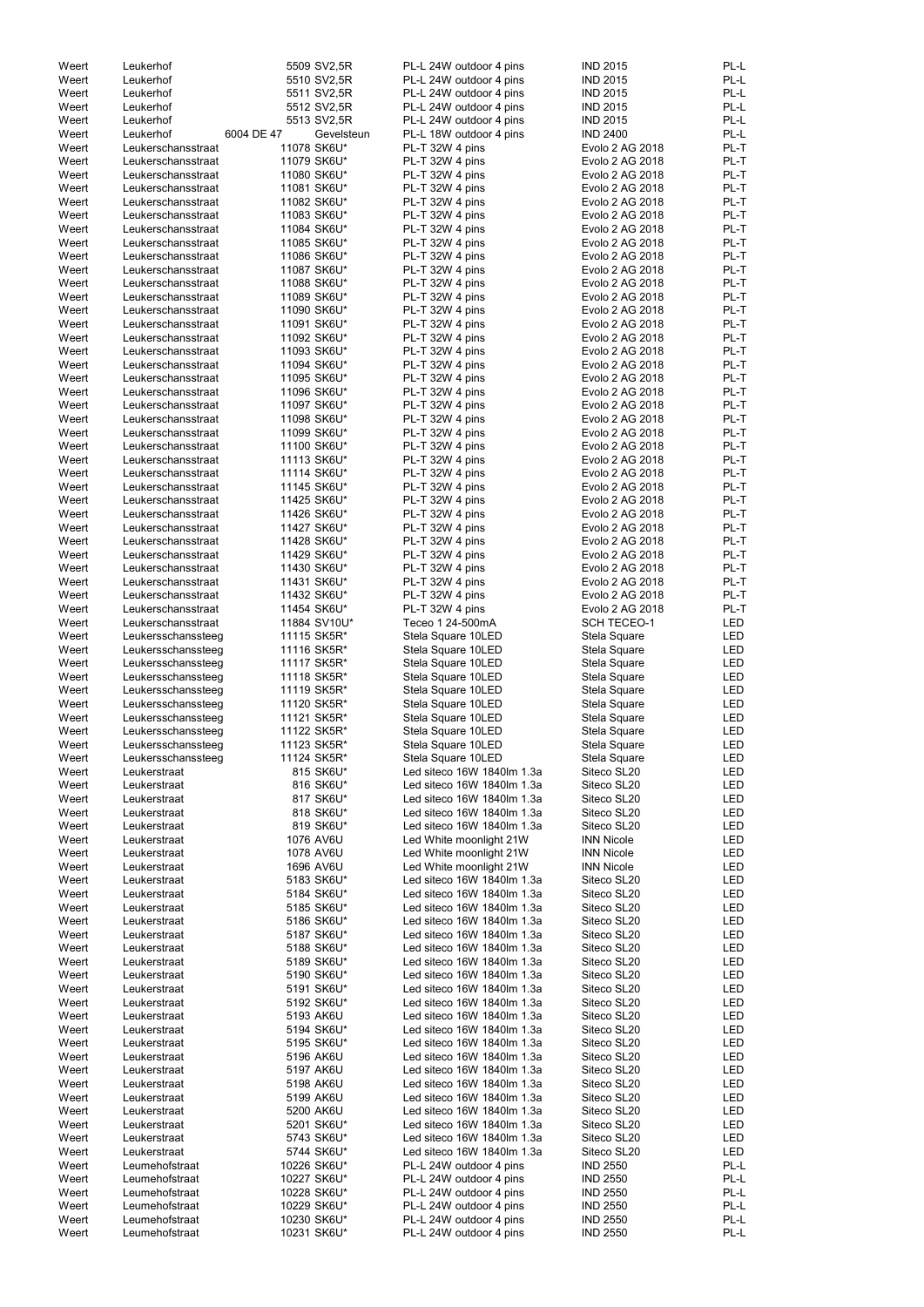| Weert | Leukerhof          |            | 5509 SV2,5R  | PL-L 24W outdoor 4 pins    | <b>IND 2015</b>    | PL-L       |
|-------|--------------------|------------|--------------|----------------------------|--------------------|------------|
| Weert | Leukerhof          |            | 5510 SV2,5R  | PL-L 24W outdoor 4 pins    | <b>IND 2015</b>    | PL-L       |
| Weert | Leukerhof          |            | 5511 SV2,5R  | PL-L 24W outdoor 4 pins    | <b>IND 2015</b>    | PL-L       |
|       |                    |            |              |                            |                    |            |
| Weert | Leukerhof          |            | 5512 SV2,5R  | PL-L 24W outdoor 4 pins    | <b>IND 2015</b>    | PL-L       |
| Weert | Leukerhof          |            | 5513 SV2,5R  | PL-L 24W outdoor 4 pins    | <b>IND 2015</b>    | PL-L       |
| Weert | Leukerhof          | 6004 DE 47 | Gevelsteun   | PL-L 18W outdoor 4 pins    | <b>IND 2400</b>    | PL-L       |
| Weert | Leukerschansstraat |            | 11078 SK6U*  | PL-T 32W 4 pins            | Evolo 2 AG 2018    | PL-T       |
|       |                    |            |              |                            |                    |            |
| Weert | Leukerschansstraat |            | 11079 SK6U*  | PL-T 32W 4 pins            | Evolo 2 AG 2018    | PL-T       |
| Weert | Leukerschansstraat |            | 11080 SK6U*  | PL-T 32W 4 pins            | Evolo 2 AG 2018    | PL-T       |
| Weert | Leukerschansstraat |            | 11081 SK6U*  | PL-T 32W 4 pins            | Evolo 2 AG 2018    | PL-T       |
|       |                    |            |              |                            |                    |            |
| Weert | Leukerschansstraat |            | 11082 SK6U*  | PL-T 32W 4 pins            | Evolo 2 AG 2018    | PL-T       |
| Weert | Leukerschansstraat |            | 11083 SK6U*  | PL-T 32W 4 pins            | Evolo 2 AG 2018    | PL-T       |
| Weert | Leukerschansstraat |            | 11084 SK6U*  | PL-T 32W 4 pins            | Evolo 2 AG 2018    | PL-T       |
|       |                    |            |              |                            |                    |            |
| Weert | Leukerschansstraat |            | 11085 SK6U*  | PL-T 32W 4 pins            | Evolo 2 AG 2018    | PL-T       |
| Weert | Leukerschansstraat |            | 11086 SK6U*  | PL-T 32W 4 pins            | Evolo 2 AG 2018    | PL-T       |
| Weert | Leukerschansstraat |            | 11087 SK6U*  | PL-T 32W 4 pins            | Evolo 2 AG 2018    | PL-T       |
|       |                    |            |              |                            |                    |            |
| Weert | Leukerschansstraat |            | 11088 SK6U*  | PL-T 32W 4 pins            | Evolo 2 AG 2018    | PL-T       |
| Weert | Leukerschansstraat |            | 11089 SK6U*  | PL-T 32W 4 pins            | Evolo 2 AG 2018    | PL-T       |
| Weert | Leukerschansstraat |            | 11090 SK6U*  | PL-T 32W 4 pins            | Evolo 2 AG 2018    | PL-T       |
| Weert | Leukerschansstraat |            | 11091 SK6U*  | PL-T 32W 4 pins            | Evolo 2 AG 2018    | PL-T       |
|       |                    |            |              |                            |                    |            |
| Weert | Leukerschansstraat |            | 11092 SK6U*  | PL-T 32W 4 pins            | Evolo 2 AG 2018    | PL-T       |
| Weert | Leukerschansstraat |            | 11093 SK6U*  | PL-T 32W 4 pins            | Evolo 2 AG 2018    | PL-T       |
| Weert | Leukerschansstraat |            | 11094 SK6U*  | PL-T 32W 4 pins            | Evolo 2 AG 2018    | PL-T       |
|       |                    |            |              |                            |                    |            |
| Weert | Leukerschansstraat |            | 11095 SK6U*  | PL-T 32W 4 pins            | Evolo 2 AG 2018    | PL-T       |
| Weert | Leukerschansstraat |            | 11096 SK6U*  | PL-T 32W 4 pins            | Evolo 2 AG 2018    | PL-T       |
| Weert | Leukerschansstraat |            | 11097 SK6U*  | PL-T 32W 4 pins            | Evolo 2 AG 2018    | PL-T       |
|       |                    |            |              |                            |                    |            |
| Weert | Leukerschansstraat |            | 11098 SK6U*  | PL-T 32W 4 pins            | Evolo 2 AG 2018    | PL-T       |
| Weert | Leukerschansstraat |            | 11099 SK6U*  | PL-T 32W 4 pins            | Evolo 2 AG 2018    | PL-T       |
| Weert | Leukerschansstraat |            | 11100 SK6U*  | PL-T 32W 4 pins            | Evolo 2 AG 2018    | PL-T       |
| Weert |                    |            |              |                            |                    | PL-T       |
|       | Leukerschansstraat |            | 11113 SK6U*  | PL-T 32W 4 pins            | Evolo 2 AG 2018    |            |
| Weert | Leukerschansstraat |            | 11114 SK6U*  | PL-T 32W 4 pins            | Evolo 2 AG 2018    | PL-T       |
| Weert | Leukerschansstraat |            | 11145 SK6U*  | PL-T 32W 4 pins            | Evolo 2 AG 2018    | PL-T       |
| Weert | Leukerschansstraat |            | 11425 SK6U*  | PL-T 32W 4 pins            | Evolo 2 AG 2018    | PL-T       |
|       |                    |            |              |                            |                    |            |
| Weert | Leukerschansstraat |            | 11426 SK6U*  | PL-T 32W 4 pins            | Evolo 2 AG 2018    | PL-T       |
| Weert | Leukerschansstraat |            | 11427 SK6U*  | PL-T 32W 4 pins            | Evolo 2 AG 2018    | PL-T       |
| Weert | Leukerschansstraat |            | 11428 SK6U*  | PL-T 32W 4 pins            | Evolo 2 AG 2018    | PL-T       |
|       |                    |            |              |                            |                    |            |
| Weert | Leukerschansstraat |            | 11429 SK6U*  | PL-T 32W 4 pins            | Evolo 2 AG 2018    | PL-T       |
| Weert | Leukerschansstraat |            | 11430 SK6U*  | PL-T 32W 4 pins            | Evolo 2 AG 2018    | PL-T       |
| Weert | Leukerschansstraat |            | 11431 SK6U*  | PL-T 32W 4 pins            | Evolo 2 AG 2018    | PL-T       |
|       |                    |            |              |                            |                    |            |
| Weert | Leukerschansstraat |            | 11432 SK6U*  | PL-T 32W 4 pins            | Evolo 2 AG 2018    | PL-T       |
| Weert | Leukerschansstraat |            | 11454 SK6U*  | PL-T 32W 4 pins            | Evolo 2 AG 2018    | PL-T       |
| Weert | Leukerschansstraat |            | 11884 SV10U* | Teceo 1 24-500mA           | <b>SCH TECEO-1</b> | LED        |
|       |                    |            | 11115 SK5R*  |                            |                    | <b>LED</b> |
| Weert | Leukersschanssteeg |            |              | Stela Square 10LED         | Stela Square       |            |
| Weert | Leukersschanssteeg |            | 11116 SK5R*  | Stela Square 10LED         | Stela Square       | LED        |
| Weert | Leukersschanssteeg |            | 11117 SK5R*  | Stela Square 10LED         | Stela Square       | LED        |
| Weert | Leukersschanssteeg |            | 11118 SK5R*  | Stela Square 10LED         | Stela Square       | LED        |
|       |                    |            |              |                            |                    |            |
| Weert | Leukersschanssteeg |            | 11119 SK5R*  | Stela Square 10LED         | Stela Square       | LED        |
| Weert | Leukersschanssteeg |            | 11120 SK5R*  | Stela Square 10LED         | Stela Square       | LED        |
| Weert | Leukersschanssteeg |            | 11121 SK5R*  | Stela Square 10LED         | Stela Square       | LED        |
|       |                    |            |              |                            |                    |            |
| Weert | Leukersschanssteeg |            | 11122 SK5R*  | Stela Square 10LED         | Stela Square       | LED        |
| Weert | Leukersschanssteeg |            | 11123 SK5R*  | Stela Square 10LED         | Stela Square       | LED        |
| Weert | Leukersschanssteeg |            | 11124 SK5R*  | Stela Square 10LED         | Stela Square       | LED        |
|       |                    |            |              |                            |                    |            |
| Weert | Leukerstraat       |            | 815 SK6U*    | Led siteco 16W 1840lm 1.3a | Siteco SL20        | LED        |
| Weert | Leukerstraat       |            | 816 SK6U*    | Led siteco 16W 1840lm 1.3a | Siteco SL20        | LED        |
| Weert | Leukerstraat       |            | 817 SK6U*    | Led siteco 16W 1840lm 1.3a | Siteco SL20        | LED        |
| Weert | Leukerstraat       |            | 818 SK6U*    | Led siteco 16W 1840lm 1.3a | Siteco SL20        | LED        |
|       |                    |            |              |                            |                    |            |
| Weert | Leukerstraat       |            | 819 SK6U*    | Led siteco 16W 1840lm 1.3a | Siteco SL20        | LED        |
| Weert | Leukerstraat       |            | 1076 AV6U    | Led White moonlight 21W    | <b>INN Nicole</b>  | <b>LED</b> |
| Weert | Leukerstraat       |            | 1078 AV6U    | Led White moonlight 21W    | <b>INN Nicole</b>  | LED        |
| Weert | Leukerstraat       |            | 1696 AV6U    | Led White moonlight 21W    | <b>INN Nicole</b>  | LED        |
|       |                    |            |              |                            |                    |            |
| Weert | Leukerstraat       |            | 5183 SK6U*   | Led siteco 16W 1840lm 1.3a | Siteco SL20        | LED        |
| Weert | Leukerstraat       |            | 5184 SK6U*   | Led siteco 16W 1840lm 1.3a | Siteco SL20        | <b>LED</b> |
| Weert | Leukerstraat       |            | 5185 SK6U*   | Led siteco 16W 1840lm 1.3a | Siteco SL20        | LED        |
|       |                    |            |              |                            |                    |            |
| Weert | Leukerstraat       |            | 5186 SK6U*   | Led siteco 16W 1840lm 1.3a | Siteco SL20        | LED        |
| Weert | Leukerstraat       |            | 5187 SK6U*   | Led siteco 16W 1840lm 1.3a | Siteco SL20        | LED        |
| Weert | Leukerstraat       |            | 5188 SK6U*   | Led siteco 16W 1840lm 1.3a | Siteco SL20        | LED        |
|       |                    |            |              | Led siteco 16W 1840lm 1.3a | Siteco SL20        |            |
| Weert | Leukerstraat       |            | 5189 SK6U*   |                            |                    | LED        |
| Weert | Leukerstraat       |            | 5190 SK6U*   | Led siteco 16W 1840lm 1.3a | Siteco SL20        | LED        |
| Weert | Leukerstraat       |            | 5191 SK6U*   | Led siteco 16W 1840lm 1.3a | Siteco SL20        | LED        |
| Weert | Leukerstraat       |            | 5192 SK6U*   | Led siteco 16W 1840lm 1.3a | Siteco SL20        | LED        |
|       |                    |            |              |                            |                    |            |
| Weert | Leukerstraat       |            | 5193 AK6U    | Led siteco 16W 1840lm 1.3a | Siteco SL20        | LED        |
| Weert | Leukerstraat       |            | 5194 SK6U*   | Led siteco 16W 1840lm 1.3a | Siteco SL20        | LED        |
| Weert | Leukerstraat       |            | 5195 SK6U*   | Led siteco 16W 1840lm 1.3a | Siteco SL20        | LED        |
|       |                    |            |              |                            |                    |            |
| Weert | Leukerstraat       |            | 5196 AK6U    | Led siteco 16W 1840lm 1.3a | Siteco SL20        | LED        |
| Weert | Leukerstraat       |            | 5197 AK6U    | Led siteco 16W 1840lm 1.3a | Siteco SL20        | LED        |
| Weert | Leukerstraat       |            | 5198 AK6U    | Led siteco 16W 1840lm 1.3a | Siteco SL20        | LED        |
|       |                    |            |              |                            |                    |            |
| Weert | Leukerstraat       |            | 5199 AK6U    | Led siteco 16W 1840lm 1.3a | Siteco SL20        | LED        |
| Weert | Leukerstraat       |            | 5200 AK6U    | Led siteco 16W 1840lm 1.3a | Siteco SL20        | LED        |
| Weert | Leukerstraat       |            | 5201 SK6U*   | Led siteco 16W 1840lm 1.3a | Siteco SL20        | LED        |
|       |                    |            |              |                            |                    |            |
| Weert | Leukerstraat       |            | 5743 SK6U*   | Led siteco 16W 1840lm 1.3a | Siteco SL20        | LED        |
| Weert | Leukerstraat       |            | 5744 SK6U*   | Led siteco 16W 1840lm 1.3a | Siteco SL20        | LED        |
| Weert | Leumehofstraat     |            | 10226 SK6U*  | PL-L 24W outdoor 4 pins    | <b>IND 2550</b>    | PL-L       |
| Weert | Leumehofstraat     |            | 10227 SK6U*  | PL-L 24W outdoor 4 pins    | <b>IND 2550</b>    | PL-L       |
|       |                    |            |              |                            |                    |            |
| Weert | Leumehofstraat     |            | 10228 SK6U*  | PL-L 24W outdoor 4 pins    | <b>IND 2550</b>    | PL-L       |
| Weert | Leumehofstraat     |            | 10229 SK6U*  | PL-L 24W outdoor 4 pins    | <b>IND 2550</b>    | PL-L       |
| Weert | Leumehofstraat     |            | 10230 SK6U*  | PL-L 24W outdoor 4 pins    | <b>IND 2550</b>    | PL-L       |
|       | Leumehofstraat     |            | 10231 SK6U*  | PL-L 24W outdoor 4 pins    | <b>IND 2550</b>    | PL-L       |
| Weert |                    |            |              |                            |                    |            |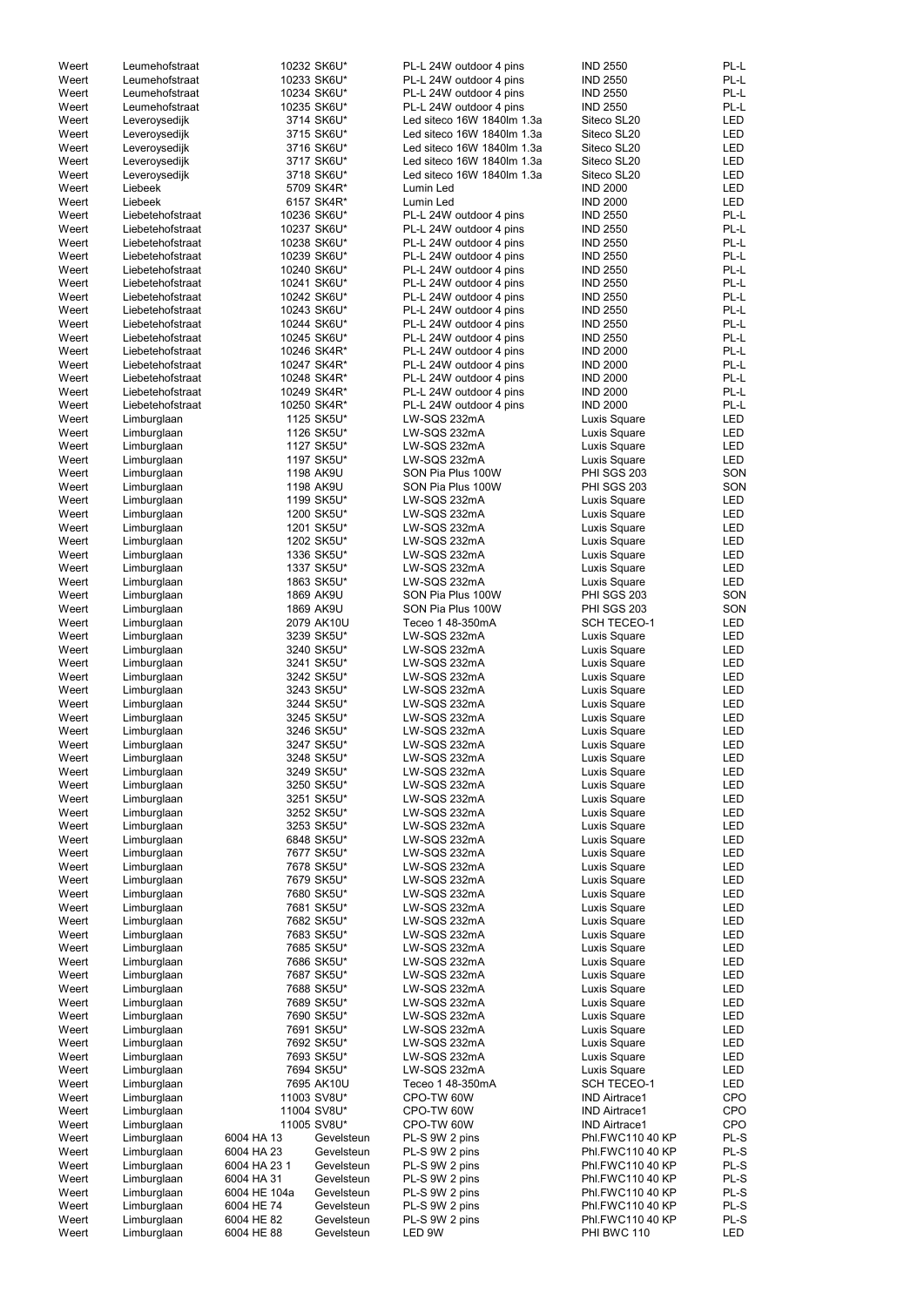| 10232 SK6U*<br>Weert<br>Leumehofstraat<br>10233 SK6U*<br>Weert<br>Leumehofstraat<br>PL-L 24W outdoor 4 pins<br><b>IND 2550</b><br>Weert<br>Leumehofstraat<br>10234 SK6U*<br>PL-L 24W outdoor 4 pins<br><b>IND 2550</b><br>10235 SK6U*<br>Leumehofstraat<br>PL-L 24W outdoor 4 pins<br><b>IND 2550</b><br>Weert<br>3714 SK6U*<br>Weert<br>Led siteco 16W 1840lm 1.3a<br>Siteco SL20<br>Leveroysedijk<br>3715 SK6U*<br>Led siteco 16W 1840lm 1.3a<br>Siteco SL20<br>Weert<br>Leveroysedijk<br>3716 SK6U*<br>Led siteco 16W 1840lm 1.3a<br>Weert<br>Siteco SL20<br>Leveroysedijk<br>3717 SK6U*<br>Led siteco 16W 1840lm 1.3a<br>Siteco SL20<br>Weert<br>Leveroysedijk<br>Led siteco 16W 1840lm 1.3a<br>Siteco SL20<br>Weert<br>Leveroysedijk<br>3718 SK6U*<br><b>IND 2000</b><br>Liebeek<br>5709 SK4R*<br>Lumin Led<br>Weert<br>Liebeek<br>6157 SK4R*<br>Lumin Led<br><b>IND 2000</b><br>Weert<br>Liebetehofstraat<br>10236 SK6U*<br>PL-L 24W outdoor 4 pins<br><b>IND 2550</b><br>Weert<br>Weert<br>Liebetehofstraat<br>10237 SK6U*<br>PL-L 24W outdoor 4 pins<br><b>IND 2550</b><br>Weert<br>Liebetehofstraat<br>10238 SK6U*<br>PL-L 24W outdoor 4 pins<br><b>IND 2550</b><br>Weert<br>Liebetehofstraat<br>10239 SK6U*<br>PL-L 24W outdoor 4 pins<br><b>IND 2550</b><br>Weert<br>Liebetehofstraat<br>10240 SK6U*<br>PL-L 24W outdoor 4 pins<br><b>IND 2550</b><br>Weert<br>Liebetehofstraat<br>10241 SK6U*<br>PL-L 24W outdoor 4 pins<br><b>IND 2550</b><br>10242 SK6U*<br>Weert<br>Liebetehofstraat<br>PL-L 24W outdoor 4 pins<br><b>IND 2550</b><br>10243 SK6U*<br>Weert<br>Liebetehofstraat<br>PL-L 24W outdoor 4 pins<br><b>IND 2550</b><br>10244 SK6U*<br>Weert<br>Liebetehofstraat<br>PL-L 24W outdoor 4 pins<br><b>IND 2550</b><br>10245 SK6U*<br>Weert<br>Liebetehofstraat<br>PL-L 24W outdoor 4 pins<br><b>IND 2550</b><br>10246 SK4R*<br>PL-L 24W outdoor 4 pins<br>Weert<br>Liebetehofstraat<br><b>IND 2000</b><br>Weert<br>Liebetehofstraat<br>10247 SK4R*<br>PL-L 24W outdoor 4 pins<br><b>IND 2000</b><br>Weert<br>Liebetehofstraat<br>10248 SK4R*<br>PL-L 24W outdoor 4 pins<br><b>IND 2000</b><br>Weert<br>Liebetehofstraat<br>10249 SK4R*<br>PL-L 24W outdoor 4 pins<br><b>IND 2000</b><br><b>IND 2000</b><br>Weert<br>Liebetehofstraat<br>10250 SK4R*<br>PL-L 24W outdoor 4 pins<br>1125 SK5U*<br>LW-SQS 232mA<br>Luxis Square<br>Weert<br>Limburglaan<br>Weert<br>Limburglaan<br>1126 SK5U*<br>LW-SQS 232mA<br>Luxis Square<br>Weert<br>Limburglaan<br>1127 SK5U*<br>LW-SQS 232mA<br>Luxis Square<br>1197 SK5U*<br>LW-SQS 232mA<br>Luxis Square<br>Weert<br>Limburglaan<br>PHI SGS 203<br>Weert<br>Limburglaan<br>1198 AK9U<br>SON Pia Plus 100W<br><b>PHI SGS 203</b><br>Weert<br>Limburglaan<br>1198 AK9U<br>SON Pia Plus 100W<br>Weert<br>Limburglaan<br>1199 SK5U*<br>LW-SQS 232mA<br>Luxis Square<br>Weert<br>Limburglaan<br>1200 SK5U*<br>LW-SQS 232mA<br>Luxis Square<br>Weert<br>Limburglaan<br>1201 SK5U*<br>LW-SQS 232mA<br>Luxis Square<br>1202 SK5U*<br>LW-SQS 232mA<br>Weert<br>Luxis Square<br>Limburglaan<br>Weert<br>1336 SK5U*<br>LW-SQS 232mA<br>Luxis Square<br>Limburglaan<br>1337 SK5U*<br>LW-SQS 232mA<br>Weert<br>Luxis Square<br>Limburglaan<br>1863 SK5U*<br>LW-SQS 232mA<br>Weert<br>Luxis Square<br>Limburglaan<br>1869 AK9U<br><b>PHI SGS 203</b><br>Weert<br>SON Pia Plus 100W<br>Limburglaan<br>1869 AK9U<br><b>PHI SGS 203</b><br>Weert<br>SON Pia Plus 100W<br>Limburglaan<br>2079 AK10U<br>Teceo 1 48-350mA<br><b>SCH TECEO-1</b><br>Weert<br>Limburglaan<br>3239 SK5U*<br>LW-SQS 232mA<br>Weert<br>Limburglaan<br>Luxis Square<br>3240 SK5U*<br>Weert<br>Limburglaan<br>LW-SQS 232mA<br>Luxis Square<br>Weert<br>Limburglaan<br>3241 SK5U*<br>LW-SQS 232mA<br>Luxis Square<br>Weert<br>Limburglaan<br>3242 SK5U*<br>LW-SQS 232mA<br>Luxis Square<br>Weert<br>Limburglaan<br>3243 SK5U*<br>LW-SQS 232mA<br>Luxis Square<br>Weert<br>Limburglaan<br>3244 SK5U*<br>LW-SQS 232mA<br>Luxis Square<br>Weert<br>Limburglaan<br>3245 SK5U*<br>LW-SQS 232mA<br>Luxis Square<br>Weert<br>Limburglaan<br>3246 SK5U*<br>LW-SQS 232mA<br>Luxis Square<br>Weert<br>Limburglaan<br>3247 SK5U*<br>LW-SQS 232mA<br>Luxis Square<br>Weert<br>Limburglaan<br>3248 SK5U*<br>LW-SQS 232mA<br>Luxis Square<br>Limburglaan<br>3249 SK5U*<br>LW-SQS 232mA<br>Luxis Square<br>Weert<br>3250 SK5U*<br>Weert<br>LW-SQS 232mA<br>Luxis Square<br>Limburglaan<br>3251 SK5U*<br>Weert<br>Limburglaan<br>LW-SQS 232mA<br>Luxis Square<br>3252 SK5U*<br>Weert<br>Limburglaan<br>LW-SQS 232mA<br>Luxis Square<br>3253 SK5U*<br>Weert<br>LW-SQS 232mA<br>Limburglaan<br>Luxis Square<br>6848 SK5U*<br>LW-SQS 232mA<br>Luxis Square<br>Weert<br>Limburglaan<br>7677 SK5U*<br>LW-SQS 232mA<br>Limburglaan<br>Luxis Square<br>Weert<br>LW-SQS 232mA<br>Limburglaan<br>7678 SK5U*<br>Luxis Square<br>Weert<br>7679 SK5U*<br>LW-SQS 232mA<br>Weert<br>Limburglaan<br>Luxis Square<br>Limburglaan<br>7680 SK5U*<br>LW-SQS 232mA<br>Weert<br>Luxis Square<br>Limburglaan<br>7681 SK5U*<br>LW-SQS 232mA<br>Luxis Square<br>Weert<br>Limburglaan<br>7682 SK5U*<br>LW-SQS 232mA<br>Luxis Square<br>Weert<br>Weert<br>Limburglaan<br>7683 SK5U*<br>LW-SQS 232mA<br>Luxis Square<br>Limburglaan<br>7685 SK5U*<br>LW-SQS 232mA<br>Luxis Square<br>Weert<br>Limburglaan<br>7686 SK5U*<br>LW-SQS 232mA<br>Luxis Square<br>Weert<br>7687 SK5U*<br>LW-SQS 232mA<br>Weert<br>Limburglaan<br>Luxis Square<br>7688 SK5U*<br>Limburglaan<br>LW-SQS 232mA<br>Luxis Square<br>Weert<br>7689 SK5U*<br>LW-SQS 232mA<br>Limburglaan<br>Luxis Square<br>Weert<br>7690 SK5U*<br>LW-SQS 232mA<br>Weert<br>Limburglaan<br>Luxis Square<br>7691 SK5U*<br>LW-SQS 232mA<br>Weert<br>Luxis Square<br>Limburglaan<br>7692 SK5U*<br>LW-SQS 232mA<br>Luxis Square<br>Weert<br>Limburglaan<br>7693 SK5U*<br>LW-SQS 232mA<br>Weert<br>Limburglaan<br>Luxis Square<br>Weert<br>Limburglaan<br>7694 SK5U*<br>LW-SQS 232mA<br>Luxis Square<br>7695 AK10U<br>Teceo 1 48-350mA<br><b>SCH TECEO-1</b><br>Weert<br>Limburglaan<br>Limburglaan<br>11003 SV8U*<br>CPO-TW 60W<br><b>IND Airtrace1</b><br>Weert<br>Limburglaan<br>11004 SV8U*<br><b>IND Airtrace1</b><br>Weert<br>CPO-TW 60W<br>Limburglaan<br>11005 SV8U*<br>CPO-TW 60W<br><b>IND Airtrace1</b><br>Weert<br>Weert<br>Limburglaan<br>6004 HA 13<br><b>Phl.FWC110 40 KP</b><br>Gevelsteun<br>PL-S 9W 2 pins<br>Weert<br>Limburglaan<br>6004 HA 23<br>Gevelsteun<br>PL-S 9W 2 pins<br>Phl.FWC110 40 KP<br>Weert<br>Limburglaan<br>6004 HA 23 1<br>Gevelsteun<br>PL-S 9W 2 pins<br>Phl.FWC110 40 KP<br>Weert<br>Limburglaan<br>6004 HA 31<br>Gevelsteun<br>PL-S 9W 2 pins<br>Phl.FWC110 40 KP<br>Weert<br>Limburglaan<br>6004 HE 104a<br>PL-S 9W 2 pins<br>Phl.FWC110 40 KP<br>Gevelsteun<br>Weert<br>Limburglaan<br>6004 HE 74<br>PL-S 9W 2 pins<br>Phl.FWC110 40 KP<br>Gevelsteun<br>Weert<br>Limburglaan<br>6004 HE 82<br>Phl.FWC110 40 KP<br>Gevelsteun<br>PL-S 9W 2 pins<br>6004 HE 88<br>LED 9W<br>PHI BWC 110 |       |             |            |                         |                 |            |
|---------------------------------------------------------------------------------------------------------------------------------------------------------------------------------------------------------------------------------------------------------------------------------------------------------------------------------------------------------------------------------------------------------------------------------------------------------------------------------------------------------------------------------------------------------------------------------------------------------------------------------------------------------------------------------------------------------------------------------------------------------------------------------------------------------------------------------------------------------------------------------------------------------------------------------------------------------------------------------------------------------------------------------------------------------------------------------------------------------------------------------------------------------------------------------------------------------------------------------------------------------------------------------------------------------------------------------------------------------------------------------------------------------------------------------------------------------------------------------------------------------------------------------------------------------------------------------------------------------------------------------------------------------------------------------------------------------------------------------------------------------------------------------------------------------------------------------------------------------------------------------------------------------------------------------------------------------------------------------------------------------------------------------------------------------------------------------------------------------------------------------------------------------------------------------------------------------------------------------------------------------------------------------------------------------------------------------------------------------------------------------------------------------------------------------------------------------------------------------------------------------------------------------------------------------------------------------------------------------------------------------------------------------------------------------------------------------------------------------------------------------------------------------------------------------------------------------------------------------------------------------------------------------------------------------------------------------------------------------------------------------------------------------------------------------------------------------------------------------------------------------------------------------------------------------------------------------------------------------------------------------------------------------------------------------------------------------------------------------------------------------------------------------------------------------------------------------------------------------------------------------------------------------------------------------------------------------------------------------------------------------------------------------------------------------------------------------------------------------------------------------------------------------------------------------------------------------------------------------------------------------------------------------------------------------------------------------------------------------------------------------------------------------------------------------------------------------------------------------------------------------------------------------------------------------------------------------------------------------------------------------------------------------------------------------------------------------------------------------------------------------------------------------------------------------------------------------------------------------------------------------------------------------------------------------------------------------------------------------------------------------------------------------------------------------------------------------------------------------------------------------------------------------------------------------------------------------------------------------------------------------------------------------------------------------------------------------------------------------------------------------------------------------------------------------------------------------------------------------------------------------------------------------------------------------------------------------------------------------------------------------------------------------------------------------------------------------------------------------------------------------------------------------------------------------------------------------------------------------------------------------------------------------------------------------------------------------------------------------------------------------------------------------------------------------------------------------------------------------------------------------------------------------------------------------------------------------------------------------------------------------------------------------------------------------------------------------------------------------------------------------------------------------------------------------------------------------------------------------------------------------------------------------------------------------------------------------------------------------------------------------------------------------------------------------------------------------------------------------------------------------------------------------------------------------------------------------------------------------------------------------------------------------------------------------------------------------------------------------------------------------------------------------------------------------------------------------------------------------------------------------------------------------------------------------------------------------------------------------------------------------------------------------------------------------------------------|-------|-------------|------------|-------------------------|-----------------|------------|
|                                                                                                                                                                                                                                                                                                                                                                                                                                                                                                                                                                                                                                                                                                                                                                                                                                                                                                                                                                                                                                                                                                                                                                                                                                                                                                                                                                                                                                                                                                                                                                                                                                                                                                                                                                                                                                                                                                                                                                                                                                                                                                                                                                                                                                                                                                                                                                                                                                                                                                                                                                                                                                                                                                                                                                                                                                                                                                                                                                                                                                                                                                                                                                                                                                                                                                                                                                                                                                                                                                                                                                                                                                                                                                                                                                                                                                                                                                                                                                                                                                                                                                                                                                                                                                                                                                                                                                                                                                                                                                                                                                                                                                                                                                                                                                                                                                                                                                                                                                                                                                                                                                                                                                                                                                                                                                                                                                                                                                                                                                                                                                                                                                                                                                                                                                                                                                                                                                                                                                                                                                                                                                                                                                                                                                                                                                                                                                                                                                                                                                                                                                                                                                                                                                                                                                                                                                                                                                                                                   |       |             |            | PL-L 24W outdoor 4 pins | <b>IND 2550</b> | PL-L       |
|                                                                                                                                                                                                                                                                                                                                                                                                                                                                                                                                                                                                                                                                                                                                                                                                                                                                                                                                                                                                                                                                                                                                                                                                                                                                                                                                                                                                                                                                                                                                                                                                                                                                                                                                                                                                                                                                                                                                                                                                                                                                                                                                                                                                                                                                                                                                                                                                                                                                                                                                                                                                                                                                                                                                                                                                                                                                                                                                                                                                                                                                                                                                                                                                                                                                                                                                                                                                                                                                                                                                                                                                                                                                                                                                                                                                                                                                                                                                                                                                                                                                                                                                                                                                                                                                                                                                                                                                                                                                                                                                                                                                                                                                                                                                                                                                                                                                                                                                                                                                                                                                                                                                                                                                                                                                                                                                                                                                                                                                                                                                                                                                                                                                                                                                                                                                                                                                                                                                                                                                                                                                                                                                                                                                                                                                                                                                                                                                                                                                                                                                                                                                                                                                                                                                                                                                                                                                                                                                                   |       |             |            |                         |                 | PL-L       |
|                                                                                                                                                                                                                                                                                                                                                                                                                                                                                                                                                                                                                                                                                                                                                                                                                                                                                                                                                                                                                                                                                                                                                                                                                                                                                                                                                                                                                                                                                                                                                                                                                                                                                                                                                                                                                                                                                                                                                                                                                                                                                                                                                                                                                                                                                                                                                                                                                                                                                                                                                                                                                                                                                                                                                                                                                                                                                                                                                                                                                                                                                                                                                                                                                                                                                                                                                                                                                                                                                                                                                                                                                                                                                                                                                                                                                                                                                                                                                                                                                                                                                                                                                                                                                                                                                                                                                                                                                                                                                                                                                                                                                                                                                                                                                                                                                                                                                                                                                                                                                                                                                                                                                                                                                                                                                                                                                                                                                                                                                                                                                                                                                                                                                                                                                                                                                                                                                                                                                                                                                                                                                                                                                                                                                                                                                                                                                                                                                                                                                                                                                                                                                                                                                                                                                                                                                                                                                                                                                   |       |             |            |                         |                 | PL-L       |
|                                                                                                                                                                                                                                                                                                                                                                                                                                                                                                                                                                                                                                                                                                                                                                                                                                                                                                                                                                                                                                                                                                                                                                                                                                                                                                                                                                                                                                                                                                                                                                                                                                                                                                                                                                                                                                                                                                                                                                                                                                                                                                                                                                                                                                                                                                                                                                                                                                                                                                                                                                                                                                                                                                                                                                                                                                                                                                                                                                                                                                                                                                                                                                                                                                                                                                                                                                                                                                                                                                                                                                                                                                                                                                                                                                                                                                                                                                                                                                                                                                                                                                                                                                                                                                                                                                                                                                                                                                                                                                                                                                                                                                                                                                                                                                                                                                                                                                                                                                                                                                                                                                                                                                                                                                                                                                                                                                                                                                                                                                                                                                                                                                                                                                                                                                                                                                                                                                                                                                                                                                                                                                                                                                                                                                                                                                                                                                                                                                                                                                                                                                                                                                                                                                                                                                                                                                                                                                                                                   |       |             |            |                         |                 |            |
|                                                                                                                                                                                                                                                                                                                                                                                                                                                                                                                                                                                                                                                                                                                                                                                                                                                                                                                                                                                                                                                                                                                                                                                                                                                                                                                                                                                                                                                                                                                                                                                                                                                                                                                                                                                                                                                                                                                                                                                                                                                                                                                                                                                                                                                                                                                                                                                                                                                                                                                                                                                                                                                                                                                                                                                                                                                                                                                                                                                                                                                                                                                                                                                                                                                                                                                                                                                                                                                                                                                                                                                                                                                                                                                                                                                                                                                                                                                                                                                                                                                                                                                                                                                                                                                                                                                                                                                                                                                                                                                                                                                                                                                                                                                                                                                                                                                                                                                                                                                                                                                                                                                                                                                                                                                                                                                                                                                                                                                                                                                                                                                                                                                                                                                                                                                                                                                                                                                                                                                                                                                                                                                                                                                                                                                                                                                                                                                                                                                                                                                                                                                                                                                                                                                                                                                                                                                                                                                                                   |       |             |            |                         |                 | PL-L       |
|                                                                                                                                                                                                                                                                                                                                                                                                                                                                                                                                                                                                                                                                                                                                                                                                                                                                                                                                                                                                                                                                                                                                                                                                                                                                                                                                                                                                                                                                                                                                                                                                                                                                                                                                                                                                                                                                                                                                                                                                                                                                                                                                                                                                                                                                                                                                                                                                                                                                                                                                                                                                                                                                                                                                                                                                                                                                                                                                                                                                                                                                                                                                                                                                                                                                                                                                                                                                                                                                                                                                                                                                                                                                                                                                                                                                                                                                                                                                                                                                                                                                                                                                                                                                                                                                                                                                                                                                                                                                                                                                                                                                                                                                                                                                                                                                                                                                                                                                                                                                                                                                                                                                                                                                                                                                                                                                                                                                                                                                                                                                                                                                                                                                                                                                                                                                                                                                                                                                                                                                                                                                                                                                                                                                                                                                                                                                                                                                                                                                                                                                                                                                                                                                                                                                                                                                                                                                                                                                                   |       |             |            |                         |                 | <b>LED</b> |
|                                                                                                                                                                                                                                                                                                                                                                                                                                                                                                                                                                                                                                                                                                                                                                                                                                                                                                                                                                                                                                                                                                                                                                                                                                                                                                                                                                                                                                                                                                                                                                                                                                                                                                                                                                                                                                                                                                                                                                                                                                                                                                                                                                                                                                                                                                                                                                                                                                                                                                                                                                                                                                                                                                                                                                                                                                                                                                                                                                                                                                                                                                                                                                                                                                                                                                                                                                                                                                                                                                                                                                                                                                                                                                                                                                                                                                                                                                                                                                                                                                                                                                                                                                                                                                                                                                                                                                                                                                                                                                                                                                                                                                                                                                                                                                                                                                                                                                                                                                                                                                                                                                                                                                                                                                                                                                                                                                                                                                                                                                                                                                                                                                                                                                                                                                                                                                                                                                                                                                                                                                                                                                                                                                                                                                                                                                                                                                                                                                                                                                                                                                                                                                                                                                                                                                                                                                                                                                                                                   |       |             |            |                         |                 | <b>LED</b> |
|                                                                                                                                                                                                                                                                                                                                                                                                                                                                                                                                                                                                                                                                                                                                                                                                                                                                                                                                                                                                                                                                                                                                                                                                                                                                                                                                                                                                                                                                                                                                                                                                                                                                                                                                                                                                                                                                                                                                                                                                                                                                                                                                                                                                                                                                                                                                                                                                                                                                                                                                                                                                                                                                                                                                                                                                                                                                                                                                                                                                                                                                                                                                                                                                                                                                                                                                                                                                                                                                                                                                                                                                                                                                                                                                                                                                                                                                                                                                                                                                                                                                                                                                                                                                                                                                                                                                                                                                                                                                                                                                                                                                                                                                                                                                                                                                                                                                                                                                                                                                                                                                                                                                                                                                                                                                                                                                                                                                                                                                                                                                                                                                                                                                                                                                                                                                                                                                                                                                                                                                                                                                                                                                                                                                                                                                                                                                                                                                                                                                                                                                                                                                                                                                                                                                                                                                                                                                                                                                                   |       |             |            |                         |                 | <b>LED</b> |
|                                                                                                                                                                                                                                                                                                                                                                                                                                                                                                                                                                                                                                                                                                                                                                                                                                                                                                                                                                                                                                                                                                                                                                                                                                                                                                                                                                                                                                                                                                                                                                                                                                                                                                                                                                                                                                                                                                                                                                                                                                                                                                                                                                                                                                                                                                                                                                                                                                                                                                                                                                                                                                                                                                                                                                                                                                                                                                                                                                                                                                                                                                                                                                                                                                                                                                                                                                                                                                                                                                                                                                                                                                                                                                                                                                                                                                                                                                                                                                                                                                                                                                                                                                                                                                                                                                                                                                                                                                                                                                                                                                                                                                                                                                                                                                                                                                                                                                                                                                                                                                                                                                                                                                                                                                                                                                                                                                                                                                                                                                                                                                                                                                                                                                                                                                                                                                                                                                                                                                                                                                                                                                                                                                                                                                                                                                                                                                                                                                                                                                                                                                                                                                                                                                                                                                                                                                                                                                                                                   |       |             |            |                         |                 | <b>LED</b> |
|                                                                                                                                                                                                                                                                                                                                                                                                                                                                                                                                                                                                                                                                                                                                                                                                                                                                                                                                                                                                                                                                                                                                                                                                                                                                                                                                                                                                                                                                                                                                                                                                                                                                                                                                                                                                                                                                                                                                                                                                                                                                                                                                                                                                                                                                                                                                                                                                                                                                                                                                                                                                                                                                                                                                                                                                                                                                                                                                                                                                                                                                                                                                                                                                                                                                                                                                                                                                                                                                                                                                                                                                                                                                                                                                                                                                                                                                                                                                                                                                                                                                                                                                                                                                                                                                                                                                                                                                                                                                                                                                                                                                                                                                                                                                                                                                                                                                                                                                                                                                                                                                                                                                                                                                                                                                                                                                                                                                                                                                                                                                                                                                                                                                                                                                                                                                                                                                                                                                                                                                                                                                                                                                                                                                                                                                                                                                                                                                                                                                                                                                                                                                                                                                                                                                                                                                                                                                                                                                                   |       |             |            |                         |                 |            |
|                                                                                                                                                                                                                                                                                                                                                                                                                                                                                                                                                                                                                                                                                                                                                                                                                                                                                                                                                                                                                                                                                                                                                                                                                                                                                                                                                                                                                                                                                                                                                                                                                                                                                                                                                                                                                                                                                                                                                                                                                                                                                                                                                                                                                                                                                                                                                                                                                                                                                                                                                                                                                                                                                                                                                                                                                                                                                                                                                                                                                                                                                                                                                                                                                                                                                                                                                                                                                                                                                                                                                                                                                                                                                                                                                                                                                                                                                                                                                                                                                                                                                                                                                                                                                                                                                                                                                                                                                                                                                                                                                                                                                                                                                                                                                                                                                                                                                                                                                                                                                                                                                                                                                                                                                                                                                                                                                                                                                                                                                                                                                                                                                                                                                                                                                                                                                                                                                                                                                                                                                                                                                                                                                                                                                                                                                                                                                                                                                                                                                                                                                                                                                                                                                                                                                                                                                                                                                                                                                   |       |             |            |                         |                 | <b>LED</b> |
|                                                                                                                                                                                                                                                                                                                                                                                                                                                                                                                                                                                                                                                                                                                                                                                                                                                                                                                                                                                                                                                                                                                                                                                                                                                                                                                                                                                                                                                                                                                                                                                                                                                                                                                                                                                                                                                                                                                                                                                                                                                                                                                                                                                                                                                                                                                                                                                                                                                                                                                                                                                                                                                                                                                                                                                                                                                                                                                                                                                                                                                                                                                                                                                                                                                                                                                                                                                                                                                                                                                                                                                                                                                                                                                                                                                                                                                                                                                                                                                                                                                                                                                                                                                                                                                                                                                                                                                                                                                                                                                                                                                                                                                                                                                                                                                                                                                                                                                                                                                                                                                                                                                                                                                                                                                                                                                                                                                                                                                                                                                                                                                                                                                                                                                                                                                                                                                                                                                                                                                                                                                                                                                                                                                                                                                                                                                                                                                                                                                                                                                                                                                                                                                                                                                                                                                                                                                                                                                                                   |       |             |            |                         |                 | <b>LED</b> |
|                                                                                                                                                                                                                                                                                                                                                                                                                                                                                                                                                                                                                                                                                                                                                                                                                                                                                                                                                                                                                                                                                                                                                                                                                                                                                                                                                                                                                                                                                                                                                                                                                                                                                                                                                                                                                                                                                                                                                                                                                                                                                                                                                                                                                                                                                                                                                                                                                                                                                                                                                                                                                                                                                                                                                                                                                                                                                                                                                                                                                                                                                                                                                                                                                                                                                                                                                                                                                                                                                                                                                                                                                                                                                                                                                                                                                                                                                                                                                                                                                                                                                                                                                                                                                                                                                                                                                                                                                                                                                                                                                                                                                                                                                                                                                                                                                                                                                                                                                                                                                                                                                                                                                                                                                                                                                                                                                                                                                                                                                                                                                                                                                                                                                                                                                                                                                                                                                                                                                                                                                                                                                                                                                                                                                                                                                                                                                                                                                                                                                                                                                                                                                                                                                                                                                                                                                                                                                                                                                   |       |             |            |                         |                 | <b>LED</b> |
|                                                                                                                                                                                                                                                                                                                                                                                                                                                                                                                                                                                                                                                                                                                                                                                                                                                                                                                                                                                                                                                                                                                                                                                                                                                                                                                                                                                                                                                                                                                                                                                                                                                                                                                                                                                                                                                                                                                                                                                                                                                                                                                                                                                                                                                                                                                                                                                                                                                                                                                                                                                                                                                                                                                                                                                                                                                                                                                                                                                                                                                                                                                                                                                                                                                                                                                                                                                                                                                                                                                                                                                                                                                                                                                                                                                                                                                                                                                                                                                                                                                                                                                                                                                                                                                                                                                                                                                                                                                                                                                                                                                                                                                                                                                                                                                                                                                                                                                                                                                                                                                                                                                                                                                                                                                                                                                                                                                                                                                                                                                                                                                                                                                                                                                                                                                                                                                                                                                                                                                                                                                                                                                                                                                                                                                                                                                                                                                                                                                                                                                                                                                                                                                                                                                                                                                                                                                                                                                                                   |       |             |            |                         |                 |            |
|                                                                                                                                                                                                                                                                                                                                                                                                                                                                                                                                                                                                                                                                                                                                                                                                                                                                                                                                                                                                                                                                                                                                                                                                                                                                                                                                                                                                                                                                                                                                                                                                                                                                                                                                                                                                                                                                                                                                                                                                                                                                                                                                                                                                                                                                                                                                                                                                                                                                                                                                                                                                                                                                                                                                                                                                                                                                                                                                                                                                                                                                                                                                                                                                                                                                                                                                                                                                                                                                                                                                                                                                                                                                                                                                                                                                                                                                                                                                                                                                                                                                                                                                                                                                                                                                                                                                                                                                                                                                                                                                                                                                                                                                                                                                                                                                                                                                                                                                                                                                                                                                                                                                                                                                                                                                                                                                                                                                                                                                                                                                                                                                                                                                                                                                                                                                                                                                                                                                                                                                                                                                                                                                                                                                                                                                                                                                                                                                                                                                                                                                                                                                                                                                                                                                                                                                                                                                                                                                                   |       |             |            |                         |                 | PL-L       |
|                                                                                                                                                                                                                                                                                                                                                                                                                                                                                                                                                                                                                                                                                                                                                                                                                                                                                                                                                                                                                                                                                                                                                                                                                                                                                                                                                                                                                                                                                                                                                                                                                                                                                                                                                                                                                                                                                                                                                                                                                                                                                                                                                                                                                                                                                                                                                                                                                                                                                                                                                                                                                                                                                                                                                                                                                                                                                                                                                                                                                                                                                                                                                                                                                                                                                                                                                                                                                                                                                                                                                                                                                                                                                                                                                                                                                                                                                                                                                                                                                                                                                                                                                                                                                                                                                                                                                                                                                                                                                                                                                                                                                                                                                                                                                                                                                                                                                                                                                                                                                                                                                                                                                                                                                                                                                                                                                                                                                                                                                                                                                                                                                                                                                                                                                                                                                                                                                                                                                                                                                                                                                                                                                                                                                                                                                                                                                                                                                                                                                                                                                                                                                                                                                                                                                                                                                                                                                                                                                   |       |             |            |                         |                 | PL-L       |
|                                                                                                                                                                                                                                                                                                                                                                                                                                                                                                                                                                                                                                                                                                                                                                                                                                                                                                                                                                                                                                                                                                                                                                                                                                                                                                                                                                                                                                                                                                                                                                                                                                                                                                                                                                                                                                                                                                                                                                                                                                                                                                                                                                                                                                                                                                                                                                                                                                                                                                                                                                                                                                                                                                                                                                                                                                                                                                                                                                                                                                                                                                                                                                                                                                                                                                                                                                                                                                                                                                                                                                                                                                                                                                                                                                                                                                                                                                                                                                                                                                                                                                                                                                                                                                                                                                                                                                                                                                                                                                                                                                                                                                                                                                                                                                                                                                                                                                                                                                                                                                                                                                                                                                                                                                                                                                                                                                                                                                                                                                                                                                                                                                                                                                                                                                                                                                                                                                                                                                                                                                                                                                                                                                                                                                                                                                                                                                                                                                                                                                                                                                                                                                                                                                                                                                                                                                                                                                                                                   |       |             |            |                         |                 | PL-L       |
|                                                                                                                                                                                                                                                                                                                                                                                                                                                                                                                                                                                                                                                                                                                                                                                                                                                                                                                                                                                                                                                                                                                                                                                                                                                                                                                                                                                                                                                                                                                                                                                                                                                                                                                                                                                                                                                                                                                                                                                                                                                                                                                                                                                                                                                                                                                                                                                                                                                                                                                                                                                                                                                                                                                                                                                                                                                                                                                                                                                                                                                                                                                                                                                                                                                                                                                                                                                                                                                                                                                                                                                                                                                                                                                                                                                                                                                                                                                                                                                                                                                                                                                                                                                                                                                                                                                                                                                                                                                                                                                                                                                                                                                                                                                                                                                                                                                                                                                                                                                                                                                                                                                                                                                                                                                                                                                                                                                                                                                                                                                                                                                                                                                                                                                                                                                                                                                                                                                                                                                                                                                                                                                                                                                                                                                                                                                                                                                                                                                                                                                                                                                                                                                                                                                                                                                                                                                                                                                                                   |       |             |            |                         |                 | PL-L       |
|                                                                                                                                                                                                                                                                                                                                                                                                                                                                                                                                                                                                                                                                                                                                                                                                                                                                                                                                                                                                                                                                                                                                                                                                                                                                                                                                                                                                                                                                                                                                                                                                                                                                                                                                                                                                                                                                                                                                                                                                                                                                                                                                                                                                                                                                                                                                                                                                                                                                                                                                                                                                                                                                                                                                                                                                                                                                                                                                                                                                                                                                                                                                                                                                                                                                                                                                                                                                                                                                                                                                                                                                                                                                                                                                                                                                                                                                                                                                                                                                                                                                                                                                                                                                                                                                                                                                                                                                                                                                                                                                                                                                                                                                                                                                                                                                                                                                                                                                                                                                                                                                                                                                                                                                                                                                                                                                                                                                                                                                                                                                                                                                                                                                                                                                                                                                                                                                                                                                                                                                                                                                                                                                                                                                                                                                                                                                                                                                                                                                                                                                                                                                                                                                                                                                                                                                                                                                                                                                                   |       |             |            |                         |                 | PL-L       |
|                                                                                                                                                                                                                                                                                                                                                                                                                                                                                                                                                                                                                                                                                                                                                                                                                                                                                                                                                                                                                                                                                                                                                                                                                                                                                                                                                                                                                                                                                                                                                                                                                                                                                                                                                                                                                                                                                                                                                                                                                                                                                                                                                                                                                                                                                                                                                                                                                                                                                                                                                                                                                                                                                                                                                                                                                                                                                                                                                                                                                                                                                                                                                                                                                                                                                                                                                                                                                                                                                                                                                                                                                                                                                                                                                                                                                                                                                                                                                                                                                                                                                                                                                                                                                                                                                                                                                                                                                                                                                                                                                                                                                                                                                                                                                                                                                                                                                                                                                                                                                                                                                                                                                                                                                                                                                                                                                                                                                                                                                                                                                                                                                                                                                                                                                                                                                                                                                                                                                                                                                                                                                                                                                                                                                                                                                                                                                                                                                                                                                                                                                                                                                                                                                                                                                                                                                                                                                                                                                   |       |             |            |                         |                 |            |
|                                                                                                                                                                                                                                                                                                                                                                                                                                                                                                                                                                                                                                                                                                                                                                                                                                                                                                                                                                                                                                                                                                                                                                                                                                                                                                                                                                                                                                                                                                                                                                                                                                                                                                                                                                                                                                                                                                                                                                                                                                                                                                                                                                                                                                                                                                                                                                                                                                                                                                                                                                                                                                                                                                                                                                                                                                                                                                                                                                                                                                                                                                                                                                                                                                                                                                                                                                                                                                                                                                                                                                                                                                                                                                                                                                                                                                                                                                                                                                                                                                                                                                                                                                                                                                                                                                                                                                                                                                                                                                                                                                                                                                                                                                                                                                                                                                                                                                                                                                                                                                                                                                                                                                                                                                                                                                                                                                                                                                                                                                                                                                                                                                                                                                                                                                                                                                                                                                                                                                                                                                                                                                                                                                                                                                                                                                                                                                                                                                                                                                                                                                                                                                                                                                                                                                                                                                                                                                                                                   |       |             |            |                         |                 | PL-L       |
|                                                                                                                                                                                                                                                                                                                                                                                                                                                                                                                                                                                                                                                                                                                                                                                                                                                                                                                                                                                                                                                                                                                                                                                                                                                                                                                                                                                                                                                                                                                                                                                                                                                                                                                                                                                                                                                                                                                                                                                                                                                                                                                                                                                                                                                                                                                                                                                                                                                                                                                                                                                                                                                                                                                                                                                                                                                                                                                                                                                                                                                                                                                                                                                                                                                                                                                                                                                                                                                                                                                                                                                                                                                                                                                                                                                                                                                                                                                                                                                                                                                                                                                                                                                                                                                                                                                                                                                                                                                                                                                                                                                                                                                                                                                                                                                                                                                                                                                                                                                                                                                                                                                                                                                                                                                                                                                                                                                                                                                                                                                                                                                                                                                                                                                                                                                                                                                                                                                                                                                                                                                                                                                                                                                                                                                                                                                                                                                                                                                                                                                                                                                                                                                                                                                                                                                                                                                                                                                                                   |       |             |            |                         |                 | PL-L       |
|                                                                                                                                                                                                                                                                                                                                                                                                                                                                                                                                                                                                                                                                                                                                                                                                                                                                                                                                                                                                                                                                                                                                                                                                                                                                                                                                                                                                                                                                                                                                                                                                                                                                                                                                                                                                                                                                                                                                                                                                                                                                                                                                                                                                                                                                                                                                                                                                                                                                                                                                                                                                                                                                                                                                                                                                                                                                                                                                                                                                                                                                                                                                                                                                                                                                                                                                                                                                                                                                                                                                                                                                                                                                                                                                                                                                                                                                                                                                                                                                                                                                                                                                                                                                                                                                                                                                                                                                                                                                                                                                                                                                                                                                                                                                                                                                                                                                                                                                                                                                                                                                                                                                                                                                                                                                                                                                                                                                                                                                                                                                                                                                                                                                                                                                                                                                                                                                                                                                                                                                                                                                                                                                                                                                                                                                                                                                                                                                                                                                                                                                                                                                                                                                                                                                                                                                                                                                                                                                                   |       |             |            |                         |                 | PL-L       |
|                                                                                                                                                                                                                                                                                                                                                                                                                                                                                                                                                                                                                                                                                                                                                                                                                                                                                                                                                                                                                                                                                                                                                                                                                                                                                                                                                                                                                                                                                                                                                                                                                                                                                                                                                                                                                                                                                                                                                                                                                                                                                                                                                                                                                                                                                                                                                                                                                                                                                                                                                                                                                                                                                                                                                                                                                                                                                                                                                                                                                                                                                                                                                                                                                                                                                                                                                                                                                                                                                                                                                                                                                                                                                                                                                                                                                                                                                                                                                                                                                                                                                                                                                                                                                                                                                                                                                                                                                                                                                                                                                                                                                                                                                                                                                                                                                                                                                                                                                                                                                                                                                                                                                                                                                                                                                                                                                                                                                                                                                                                                                                                                                                                                                                                                                                                                                                                                                                                                                                                                                                                                                                                                                                                                                                                                                                                                                                                                                                                                                                                                                                                                                                                                                                                                                                                                                                                                                                                                                   |       |             |            |                         |                 | PL-L       |
|                                                                                                                                                                                                                                                                                                                                                                                                                                                                                                                                                                                                                                                                                                                                                                                                                                                                                                                                                                                                                                                                                                                                                                                                                                                                                                                                                                                                                                                                                                                                                                                                                                                                                                                                                                                                                                                                                                                                                                                                                                                                                                                                                                                                                                                                                                                                                                                                                                                                                                                                                                                                                                                                                                                                                                                                                                                                                                                                                                                                                                                                                                                                                                                                                                                                                                                                                                                                                                                                                                                                                                                                                                                                                                                                                                                                                                                                                                                                                                                                                                                                                                                                                                                                                                                                                                                                                                                                                                                                                                                                                                                                                                                                                                                                                                                                                                                                                                                                                                                                                                                                                                                                                                                                                                                                                                                                                                                                                                                                                                                                                                                                                                                                                                                                                                                                                                                                                                                                                                                                                                                                                                                                                                                                                                                                                                                                                                                                                                                                                                                                                                                                                                                                                                                                                                                                                                                                                                                                                   |       |             |            |                         |                 |            |
|                                                                                                                                                                                                                                                                                                                                                                                                                                                                                                                                                                                                                                                                                                                                                                                                                                                                                                                                                                                                                                                                                                                                                                                                                                                                                                                                                                                                                                                                                                                                                                                                                                                                                                                                                                                                                                                                                                                                                                                                                                                                                                                                                                                                                                                                                                                                                                                                                                                                                                                                                                                                                                                                                                                                                                                                                                                                                                                                                                                                                                                                                                                                                                                                                                                                                                                                                                                                                                                                                                                                                                                                                                                                                                                                                                                                                                                                                                                                                                                                                                                                                                                                                                                                                                                                                                                                                                                                                                                                                                                                                                                                                                                                                                                                                                                                                                                                                                                                                                                                                                                                                                                                                                                                                                                                                                                                                                                                                                                                                                                                                                                                                                                                                                                                                                                                                                                                                                                                                                                                                                                                                                                                                                                                                                                                                                                                                                                                                                                                                                                                                                                                                                                                                                                                                                                                                                                                                                                                                   |       |             |            |                         |                 | PL-L       |
|                                                                                                                                                                                                                                                                                                                                                                                                                                                                                                                                                                                                                                                                                                                                                                                                                                                                                                                                                                                                                                                                                                                                                                                                                                                                                                                                                                                                                                                                                                                                                                                                                                                                                                                                                                                                                                                                                                                                                                                                                                                                                                                                                                                                                                                                                                                                                                                                                                                                                                                                                                                                                                                                                                                                                                                                                                                                                                                                                                                                                                                                                                                                                                                                                                                                                                                                                                                                                                                                                                                                                                                                                                                                                                                                                                                                                                                                                                                                                                                                                                                                                                                                                                                                                                                                                                                                                                                                                                                                                                                                                                                                                                                                                                                                                                                                                                                                                                                                                                                                                                                                                                                                                                                                                                                                                                                                                                                                                                                                                                                                                                                                                                                                                                                                                                                                                                                                                                                                                                                                                                                                                                                                                                                                                                                                                                                                                                                                                                                                                                                                                                                                                                                                                                                                                                                                                                                                                                                                                   |       |             |            |                         |                 | PL-L       |
|                                                                                                                                                                                                                                                                                                                                                                                                                                                                                                                                                                                                                                                                                                                                                                                                                                                                                                                                                                                                                                                                                                                                                                                                                                                                                                                                                                                                                                                                                                                                                                                                                                                                                                                                                                                                                                                                                                                                                                                                                                                                                                                                                                                                                                                                                                                                                                                                                                                                                                                                                                                                                                                                                                                                                                                                                                                                                                                                                                                                                                                                                                                                                                                                                                                                                                                                                                                                                                                                                                                                                                                                                                                                                                                                                                                                                                                                                                                                                                                                                                                                                                                                                                                                                                                                                                                                                                                                                                                                                                                                                                                                                                                                                                                                                                                                                                                                                                                                                                                                                                                                                                                                                                                                                                                                                                                                                                                                                                                                                                                                                                                                                                                                                                                                                                                                                                                                                                                                                                                                                                                                                                                                                                                                                                                                                                                                                                                                                                                                                                                                                                                                                                                                                                                                                                                                                                                                                                                                                   |       |             |            |                         |                 | PL-L       |
|                                                                                                                                                                                                                                                                                                                                                                                                                                                                                                                                                                                                                                                                                                                                                                                                                                                                                                                                                                                                                                                                                                                                                                                                                                                                                                                                                                                                                                                                                                                                                                                                                                                                                                                                                                                                                                                                                                                                                                                                                                                                                                                                                                                                                                                                                                                                                                                                                                                                                                                                                                                                                                                                                                                                                                                                                                                                                                                                                                                                                                                                                                                                                                                                                                                                                                                                                                                                                                                                                                                                                                                                                                                                                                                                                                                                                                                                                                                                                                                                                                                                                                                                                                                                                                                                                                                                                                                                                                                                                                                                                                                                                                                                                                                                                                                                                                                                                                                                                                                                                                                                                                                                                                                                                                                                                                                                                                                                                                                                                                                                                                                                                                                                                                                                                                                                                                                                                                                                                                                                                                                                                                                                                                                                                                                                                                                                                                                                                                                                                                                                                                                                                                                                                                                                                                                                                                                                                                                                                   |       |             |            |                         |                 | PL-L       |
|                                                                                                                                                                                                                                                                                                                                                                                                                                                                                                                                                                                                                                                                                                                                                                                                                                                                                                                                                                                                                                                                                                                                                                                                                                                                                                                                                                                                                                                                                                                                                                                                                                                                                                                                                                                                                                                                                                                                                                                                                                                                                                                                                                                                                                                                                                                                                                                                                                                                                                                                                                                                                                                                                                                                                                                                                                                                                                                                                                                                                                                                                                                                                                                                                                                                                                                                                                                                                                                                                                                                                                                                                                                                                                                                                                                                                                                                                                                                                                                                                                                                                                                                                                                                                                                                                                                                                                                                                                                                                                                                                                                                                                                                                                                                                                                                                                                                                                                                                                                                                                                                                                                                                                                                                                                                                                                                                                                                                                                                                                                                                                                                                                                                                                                                                                                                                                                                                                                                                                                                                                                                                                                                                                                                                                                                                                                                                                                                                                                                                                                                                                                                                                                                                                                                                                                                                                                                                                                                                   |       |             |            |                         |                 |            |
|                                                                                                                                                                                                                                                                                                                                                                                                                                                                                                                                                                                                                                                                                                                                                                                                                                                                                                                                                                                                                                                                                                                                                                                                                                                                                                                                                                                                                                                                                                                                                                                                                                                                                                                                                                                                                                                                                                                                                                                                                                                                                                                                                                                                                                                                                                                                                                                                                                                                                                                                                                                                                                                                                                                                                                                                                                                                                                                                                                                                                                                                                                                                                                                                                                                                                                                                                                                                                                                                                                                                                                                                                                                                                                                                                                                                                                                                                                                                                                                                                                                                                                                                                                                                                                                                                                                                                                                                                                                                                                                                                                                                                                                                                                                                                                                                                                                                                                                                                                                                                                                                                                                                                                                                                                                                                                                                                                                                                                                                                                                                                                                                                                                                                                                                                                                                                                                                                                                                                                                                                                                                                                                                                                                                                                                                                                                                                                                                                                                                                                                                                                                                                                                                                                                                                                                                                                                                                                                                                   |       |             |            |                         |                 | PL-L       |
|                                                                                                                                                                                                                                                                                                                                                                                                                                                                                                                                                                                                                                                                                                                                                                                                                                                                                                                                                                                                                                                                                                                                                                                                                                                                                                                                                                                                                                                                                                                                                                                                                                                                                                                                                                                                                                                                                                                                                                                                                                                                                                                                                                                                                                                                                                                                                                                                                                                                                                                                                                                                                                                                                                                                                                                                                                                                                                                                                                                                                                                                                                                                                                                                                                                                                                                                                                                                                                                                                                                                                                                                                                                                                                                                                                                                                                                                                                                                                                                                                                                                                                                                                                                                                                                                                                                                                                                                                                                                                                                                                                                                                                                                                                                                                                                                                                                                                                                                                                                                                                                                                                                                                                                                                                                                                                                                                                                                                                                                                                                                                                                                                                                                                                                                                                                                                                                                                                                                                                                                                                                                                                                                                                                                                                                                                                                                                                                                                                                                                                                                                                                                                                                                                                                                                                                                                                                                                                                                                   |       |             |            |                         |                 | PL-L       |
|                                                                                                                                                                                                                                                                                                                                                                                                                                                                                                                                                                                                                                                                                                                                                                                                                                                                                                                                                                                                                                                                                                                                                                                                                                                                                                                                                                                                                                                                                                                                                                                                                                                                                                                                                                                                                                                                                                                                                                                                                                                                                                                                                                                                                                                                                                                                                                                                                                                                                                                                                                                                                                                                                                                                                                                                                                                                                                                                                                                                                                                                                                                                                                                                                                                                                                                                                                                                                                                                                                                                                                                                                                                                                                                                                                                                                                                                                                                                                                                                                                                                                                                                                                                                                                                                                                                                                                                                                                                                                                                                                                                                                                                                                                                                                                                                                                                                                                                                                                                                                                                                                                                                                                                                                                                                                                                                                                                                                                                                                                                                                                                                                                                                                                                                                                                                                                                                                                                                                                                                                                                                                                                                                                                                                                                                                                                                                                                                                                                                                                                                                                                                                                                                                                                                                                                                                                                                                                                                                   |       |             |            |                         |                 | LED        |
|                                                                                                                                                                                                                                                                                                                                                                                                                                                                                                                                                                                                                                                                                                                                                                                                                                                                                                                                                                                                                                                                                                                                                                                                                                                                                                                                                                                                                                                                                                                                                                                                                                                                                                                                                                                                                                                                                                                                                                                                                                                                                                                                                                                                                                                                                                                                                                                                                                                                                                                                                                                                                                                                                                                                                                                                                                                                                                                                                                                                                                                                                                                                                                                                                                                                                                                                                                                                                                                                                                                                                                                                                                                                                                                                                                                                                                                                                                                                                                                                                                                                                                                                                                                                                                                                                                                                                                                                                                                                                                                                                                                                                                                                                                                                                                                                                                                                                                                                                                                                                                                                                                                                                                                                                                                                                                                                                                                                                                                                                                                                                                                                                                                                                                                                                                                                                                                                                                                                                                                                                                                                                                                                                                                                                                                                                                                                                                                                                                                                                                                                                                                                                                                                                                                                                                                                                                                                                                                                                   |       |             |            |                         |                 | <b>LED</b> |
|                                                                                                                                                                                                                                                                                                                                                                                                                                                                                                                                                                                                                                                                                                                                                                                                                                                                                                                                                                                                                                                                                                                                                                                                                                                                                                                                                                                                                                                                                                                                                                                                                                                                                                                                                                                                                                                                                                                                                                                                                                                                                                                                                                                                                                                                                                                                                                                                                                                                                                                                                                                                                                                                                                                                                                                                                                                                                                                                                                                                                                                                                                                                                                                                                                                                                                                                                                                                                                                                                                                                                                                                                                                                                                                                                                                                                                                                                                                                                                                                                                                                                                                                                                                                                                                                                                                                                                                                                                                                                                                                                                                                                                                                                                                                                                                                                                                                                                                                                                                                                                                                                                                                                                                                                                                                                                                                                                                                                                                                                                                                                                                                                                                                                                                                                                                                                                                                                                                                                                                                                                                                                                                                                                                                                                                                                                                                                                                                                                                                                                                                                                                                                                                                                                                                                                                                                                                                                                                                                   |       |             |            |                         |                 |            |
|                                                                                                                                                                                                                                                                                                                                                                                                                                                                                                                                                                                                                                                                                                                                                                                                                                                                                                                                                                                                                                                                                                                                                                                                                                                                                                                                                                                                                                                                                                                                                                                                                                                                                                                                                                                                                                                                                                                                                                                                                                                                                                                                                                                                                                                                                                                                                                                                                                                                                                                                                                                                                                                                                                                                                                                                                                                                                                                                                                                                                                                                                                                                                                                                                                                                                                                                                                                                                                                                                                                                                                                                                                                                                                                                                                                                                                                                                                                                                                                                                                                                                                                                                                                                                                                                                                                                                                                                                                                                                                                                                                                                                                                                                                                                                                                                                                                                                                                                                                                                                                                                                                                                                                                                                                                                                                                                                                                                                                                                                                                                                                                                                                                                                                                                                                                                                                                                                                                                                                                                                                                                                                                                                                                                                                                                                                                                                                                                                                                                                                                                                                                                                                                                                                                                                                                                                                                                                                                                                   |       |             |            |                         |                 | <b>LED</b> |
|                                                                                                                                                                                                                                                                                                                                                                                                                                                                                                                                                                                                                                                                                                                                                                                                                                                                                                                                                                                                                                                                                                                                                                                                                                                                                                                                                                                                                                                                                                                                                                                                                                                                                                                                                                                                                                                                                                                                                                                                                                                                                                                                                                                                                                                                                                                                                                                                                                                                                                                                                                                                                                                                                                                                                                                                                                                                                                                                                                                                                                                                                                                                                                                                                                                                                                                                                                                                                                                                                                                                                                                                                                                                                                                                                                                                                                                                                                                                                                                                                                                                                                                                                                                                                                                                                                                                                                                                                                                                                                                                                                                                                                                                                                                                                                                                                                                                                                                                                                                                                                                                                                                                                                                                                                                                                                                                                                                                                                                                                                                                                                                                                                                                                                                                                                                                                                                                                                                                                                                                                                                                                                                                                                                                                                                                                                                                                                                                                                                                                                                                                                                                                                                                                                                                                                                                                                                                                                                                                   |       |             |            |                         |                 | <b>LED</b> |
|                                                                                                                                                                                                                                                                                                                                                                                                                                                                                                                                                                                                                                                                                                                                                                                                                                                                                                                                                                                                                                                                                                                                                                                                                                                                                                                                                                                                                                                                                                                                                                                                                                                                                                                                                                                                                                                                                                                                                                                                                                                                                                                                                                                                                                                                                                                                                                                                                                                                                                                                                                                                                                                                                                                                                                                                                                                                                                                                                                                                                                                                                                                                                                                                                                                                                                                                                                                                                                                                                                                                                                                                                                                                                                                                                                                                                                                                                                                                                                                                                                                                                                                                                                                                                                                                                                                                                                                                                                                                                                                                                                                                                                                                                                                                                                                                                                                                                                                                                                                                                                                                                                                                                                                                                                                                                                                                                                                                                                                                                                                                                                                                                                                                                                                                                                                                                                                                                                                                                                                                                                                                                                                                                                                                                                                                                                                                                                                                                                                                                                                                                                                                                                                                                                                                                                                                                                                                                                                                                   |       |             |            |                         |                 | SON        |
|                                                                                                                                                                                                                                                                                                                                                                                                                                                                                                                                                                                                                                                                                                                                                                                                                                                                                                                                                                                                                                                                                                                                                                                                                                                                                                                                                                                                                                                                                                                                                                                                                                                                                                                                                                                                                                                                                                                                                                                                                                                                                                                                                                                                                                                                                                                                                                                                                                                                                                                                                                                                                                                                                                                                                                                                                                                                                                                                                                                                                                                                                                                                                                                                                                                                                                                                                                                                                                                                                                                                                                                                                                                                                                                                                                                                                                                                                                                                                                                                                                                                                                                                                                                                                                                                                                                                                                                                                                                                                                                                                                                                                                                                                                                                                                                                                                                                                                                                                                                                                                                                                                                                                                                                                                                                                                                                                                                                                                                                                                                                                                                                                                                                                                                                                                                                                                                                                                                                                                                                                                                                                                                                                                                                                                                                                                                                                                                                                                                                                                                                                                                                                                                                                                                                                                                                                                                                                                                                                   |       |             |            |                         |                 | SON        |
|                                                                                                                                                                                                                                                                                                                                                                                                                                                                                                                                                                                                                                                                                                                                                                                                                                                                                                                                                                                                                                                                                                                                                                                                                                                                                                                                                                                                                                                                                                                                                                                                                                                                                                                                                                                                                                                                                                                                                                                                                                                                                                                                                                                                                                                                                                                                                                                                                                                                                                                                                                                                                                                                                                                                                                                                                                                                                                                                                                                                                                                                                                                                                                                                                                                                                                                                                                                                                                                                                                                                                                                                                                                                                                                                                                                                                                                                                                                                                                                                                                                                                                                                                                                                                                                                                                                                                                                                                                                                                                                                                                                                                                                                                                                                                                                                                                                                                                                                                                                                                                                                                                                                                                                                                                                                                                                                                                                                                                                                                                                                                                                                                                                                                                                                                                                                                                                                                                                                                                                                                                                                                                                                                                                                                                                                                                                                                                                                                                                                                                                                                                                                                                                                                                                                                                                                                                                                                                                                                   |       |             |            |                         |                 |            |
|                                                                                                                                                                                                                                                                                                                                                                                                                                                                                                                                                                                                                                                                                                                                                                                                                                                                                                                                                                                                                                                                                                                                                                                                                                                                                                                                                                                                                                                                                                                                                                                                                                                                                                                                                                                                                                                                                                                                                                                                                                                                                                                                                                                                                                                                                                                                                                                                                                                                                                                                                                                                                                                                                                                                                                                                                                                                                                                                                                                                                                                                                                                                                                                                                                                                                                                                                                                                                                                                                                                                                                                                                                                                                                                                                                                                                                                                                                                                                                                                                                                                                                                                                                                                                                                                                                                                                                                                                                                                                                                                                                                                                                                                                                                                                                                                                                                                                                                                                                                                                                                                                                                                                                                                                                                                                                                                                                                                                                                                                                                                                                                                                                                                                                                                                                                                                                                                                                                                                                                                                                                                                                                                                                                                                                                                                                                                                                                                                                                                                                                                                                                                                                                                                                                                                                                                                                                                                                                                                   |       |             |            |                         |                 | <b>LED</b> |
|                                                                                                                                                                                                                                                                                                                                                                                                                                                                                                                                                                                                                                                                                                                                                                                                                                                                                                                                                                                                                                                                                                                                                                                                                                                                                                                                                                                                                                                                                                                                                                                                                                                                                                                                                                                                                                                                                                                                                                                                                                                                                                                                                                                                                                                                                                                                                                                                                                                                                                                                                                                                                                                                                                                                                                                                                                                                                                                                                                                                                                                                                                                                                                                                                                                                                                                                                                                                                                                                                                                                                                                                                                                                                                                                                                                                                                                                                                                                                                                                                                                                                                                                                                                                                                                                                                                                                                                                                                                                                                                                                                                                                                                                                                                                                                                                                                                                                                                                                                                                                                                                                                                                                                                                                                                                                                                                                                                                                                                                                                                                                                                                                                                                                                                                                                                                                                                                                                                                                                                                                                                                                                                                                                                                                                                                                                                                                                                                                                                                                                                                                                                                                                                                                                                                                                                                                                                                                                                                                   |       |             |            |                         |                 | <b>LED</b> |
|                                                                                                                                                                                                                                                                                                                                                                                                                                                                                                                                                                                                                                                                                                                                                                                                                                                                                                                                                                                                                                                                                                                                                                                                                                                                                                                                                                                                                                                                                                                                                                                                                                                                                                                                                                                                                                                                                                                                                                                                                                                                                                                                                                                                                                                                                                                                                                                                                                                                                                                                                                                                                                                                                                                                                                                                                                                                                                                                                                                                                                                                                                                                                                                                                                                                                                                                                                                                                                                                                                                                                                                                                                                                                                                                                                                                                                                                                                                                                                                                                                                                                                                                                                                                                                                                                                                                                                                                                                                                                                                                                                                                                                                                                                                                                                                                                                                                                                                                                                                                                                                                                                                                                                                                                                                                                                                                                                                                                                                                                                                                                                                                                                                                                                                                                                                                                                                                                                                                                                                                                                                                                                                                                                                                                                                                                                                                                                                                                                                                                                                                                                                                                                                                                                                                                                                                                                                                                                                                                   |       |             |            |                         |                 | <b>LED</b> |
|                                                                                                                                                                                                                                                                                                                                                                                                                                                                                                                                                                                                                                                                                                                                                                                                                                                                                                                                                                                                                                                                                                                                                                                                                                                                                                                                                                                                                                                                                                                                                                                                                                                                                                                                                                                                                                                                                                                                                                                                                                                                                                                                                                                                                                                                                                                                                                                                                                                                                                                                                                                                                                                                                                                                                                                                                                                                                                                                                                                                                                                                                                                                                                                                                                                                                                                                                                                                                                                                                                                                                                                                                                                                                                                                                                                                                                                                                                                                                                                                                                                                                                                                                                                                                                                                                                                                                                                                                                                                                                                                                                                                                                                                                                                                                                                                                                                                                                                                                                                                                                                                                                                                                                                                                                                                                                                                                                                                                                                                                                                                                                                                                                                                                                                                                                                                                                                                                                                                                                                                                                                                                                                                                                                                                                                                                                                                                                                                                                                                                                                                                                                                                                                                                                                                                                                                                                                                                                                                                   |       |             |            |                         |                 | <b>LED</b> |
|                                                                                                                                                                                                                                                                                                                                                                                                                                                                                                                                                                                                                                                                                                                                                                                                                                                                                                                                                                                                                                                                                                                                                                                                                                                                                                                                                                                                                                                                                                                                                                                                                                                                                                                                                                                                                                                                                                                                                                                                                                                                                                                                                                                                                                                                                                                                                                                                                                                                                                                                                                                                                                                                                                                                                                                                                                                                                                                                                                                                                                                                                                                                                                                                                                                                                                                                                                                                                                                                                                                                                                                                                                                                                                                                                                                                                                                                                                                                                                                                                                                                                                                                                                                                                                                                                                                                                                                                                                                                                                                                                                                                                                                                                                                                                                                                                                                                                                                                                                                                                                                                                                                                                                                                                                                                                                                                                                                                                                                                                                                                                                                                                                                                                                                                                                                                                                                                                                                                                                                                                                                                                                                                                                                                                                                                                                                                                                                                                                                                                                                                                                                                                                                                                                                                                                                                                                                                                                                                                   |       |             |            |                         |                 |            |
|                                                                                                                                                                                                                                                                                                                                                                                                                                                                                                                                                                                                                                                                                                                                                                                                                                                                                                                                                                                                                                                                                                                                                                                                                                                                                                                                                                                                                                                                                                                                                                                                                                                                                                                                                                                                                                                                                                                                                                                                                                                                                                                                                                                                                                                                                                                                                                                                                                                                                                                                                                                                                                                                                                                                                                                                                                                                                                                                                                                                                                                                                                                                                                                                                                                                                                                                                                                                                                                                                                                                                                                                                                                                                                                                                                                                                                                                                                                                                                                                                                                                                                                                                                                                                                                                                                                                                                                                                                                                                                                                                                                                                                                                                                                                                                                                                                                                                                                                                                                                                                                                                                                                                                                                                                                                                                                                                                                                                                                                                                                                                                                                                                                                                                                                                                                                                                                                                                                                                                                                                                                                                                                                                                                                                                                                                                                                                                                                                                                                                                                                                                                                                                                                                                                                                                                                                                                                                                                                                   |       |             |            |                         |                 | <b>LED</b> |
|                                                                                                                                                                                                                                                                                                                                                                                                                                                                                                                                                                                                                                                                                                                                                                                                                                                                                                                                                                                                                                                                                                                                                                                                                                                                                                                                                                                                                                                                                                                                                                                                                                                                                                                                                                                                                                                                                                                                                                                                                                                                                                                                                                                                                                                                                                                                                                                                                                                                                                                                                                                                                                                                                                                                                                                                                                                                                                                                                                                                                                                                                                                                                                                                                                                                                                                                                                                                                                                                                                                                                                                                                                                                                                                                                                                                                                                                                                                                                                                                                                                                                                                                                                                                                                                                                                                                                                                                                                                                                                                                                                                                                                                                                                                                                                                                                                                                                                                                                                                                                                                                                                                                                                                                                                                                                                                                                                                                                                                                                                                                                                                                                                                                                                                                                                                                                                                                                                                                                                                                                                                                                                                                                                                                                                                                                                                                                                                                                                                                                                                                                                                                                                                                                                                                                                                                                                                                                                                                                   |       |             |            |                         |                 | <b>LED</b> |
|                                                                                                                                                                                                                                                                                                                                                                                                                                                                                                                                                                                                                                                                                                                                                                                                                                                                                                                                                                                                                                                                                                                                                                                                                                                                                                                                                                                                                                                                                                                                                                                                                                                                                                                                                                                                                                                                                                                                                                                                                                                                                                                                                                                                                                                                                                                                                                                                                                                                                                                                                                                                                                                                                                                                                                                                                                                                                                                                                                                                                                                                                                                                                                                                                                                                                                                                                                                                                                                                                                                                                                                                                                                                                                                                                                                                                                                                                                                                                                                                                                                                                                                                                                                                                                                                                                                                                                                                                                                                                                                                                                                                                                                                                                                                                                                                                                                                                                                                                                                                                                                                                                                                                                                                                                                                                                                                                                                                                                                                                                                                                                                                                                                                                                                                                                                                                                                                                                                                                                                                                                                                                                                                                                                                                                                                                                                                                                                                                                                                                                                                                                                                                                                                                                                                                                                                                                                                                                                                                   |       |             |            |                         |                 | <b>LED</b> |
|                                                                                                                                                                                                                                                                                                                                                                                                                                                                                                                                                                                                                                                                                                                                                                                                                                                                                                                                                                                                                                                                                                                                                                                                                                                                                                                                                                                                                                                                                                                                                                                                                                                                                                                                                                                                                                                                                                                                                                                                                                                                                                                                                                                                                                                                                                                                                                                                                                                                                                                                                                                                                                                                                                                                                                                                                                                                                                                                                                                                                                                                                                                                                                                                                                                                                                                                                                                                                                                                                                                                                                                                                                                                                                                                                                                                                                                                                                                                                                                                                                                                                                                                                                                                                                                                                                                                                                                                                                                                                                                                                                                                                                                                                                                                                                                                                                                                                                                                                                                                                                                                                                                                                                                                                                                                                                                                                                                                                                                                                                                                                                                                                                                                                                                                                                                                                                                                                                                                                                                                                                                                                                                                                                                                                                                                                                                                                                                                                                                                                                                                                                                                                                                                                                                                                                                                                                                                                                                                                   |       |             |            |                         |                 | SON        |
|                                                                                                                                                                                                                                                                                                                                                                                                                                                                                                                                                                                                                                                                                                                                                                                                                                                                                                                                                                                                                                                                                                                                                                                                                                                                                                                                                                                                                                                                                                                                                                                                                                                                                                                                                                                                                                                                                                                                                                                                                                                                                                                                                                                                                                                                                                                                                                                                                                                                                                                                                                                                                                                                                                                                                                                                                                                                                                                                                                                                                                                                                                                                                                                                                                                                                                                                                                                                                                                                                                                                                                                                                                                                                                                                                                                                                                                                                                                                                                                                                                                                                                                                                                                                                                                                                                                                                                                                                                                                                                                                                                                                                                                                                                                                                                                                                                                                                                                                                                                                                                                                                                                                                                                                                                                                                                                                                                                                                                                                                                                                                                                                                                                                                                                                                                                                                                                                                                                                                                                                                                                                                                                                                                                                                                                                                                                                                                                                                                                                                                                                                                                                                                                                                                                                                                                                                                                                                                                                                   |       |             |            |                         |                 |            |
|                                                                                                                                                                                                                                                                                                                                                                                                                                                                                                                                                                                                                                                                                                                                                                                                                                                                                                                                                                                                                                                                                                                                                                                                                                                                                                                                                                                                                                                                                                                                                                                                                                                                                                                                                                                                                                                                                                                                                                                                                                                                                                                                                                                                                                                                                                                                                                                                                                                                                                                                                                                                                                                                                                                                                                                                                                                                                                                                                                                                                                                                                                                                                                                                                                                                                                                                                                                                                                                                                                                                                                                                                                                                                                                                                                                                                                                                                                                                                                                                                                                                                                                                                                                                                                                                                                                                                                                                                                                                                                                                                                                                                                                                                                                                                                                                                                                                                                                                                                                                                                                                                                                                                                                                                                                                                                                                                                                                                                                                                                                                                                                                                                                                                                                                                                                                                                                                                                                                                                                                                                                                                                                                                                                                                                                                                                                                                                                                                                                                                                                                                                                                                                                                                                                                                                                                                                                                                                                                                   |       |             |            |                         |                 | SON        |
|                                                                                                                                                                                                                                                                                                                                                                                                                                                                                                                                                                                                                                                                                                                                                                                                                                                                                                                                                                                                                                                                                                                                                                                                                                                                                                                                                                                                                                                                                                                                                                                                                                                                                                                                                                                                                                                                                                                                                                                                                                                                                                                                                                                                                                                                                                                                                                                                                                                                                                                                                                                                                                                                                                                                                                                                                                                                                                                                                                                                                                                                                                                                                                                                                                                                                                                                                                                                                                                                                                                                                                                                                                                                                                                                                                                                                                                                                                                                                                                                                                                                                                                                                                                                                                                                                                                                                                                                                                                                                                                                                                                                                                                                                                                                                                                                                                                                                                                                                                                                                                                                                                                                                                                                                                                                                                                                                                                                                                                                                                                                                                                                                                                                                                                                                                                                                                                                                                                                                                                                                                                                                                                                                                                                                                                                                                                                                                                                                                                                                                                                                                                                                                                                                                                                                                                                                                                                                                                                                   |       |             |            |                         |                 | LED        |
|                                                                                                                                                                                                                                                                                                                                                                                                                                                                                                                                                                                                                                                                                                                                                                                                                                                                                                                                                                                                                                                                                                                                                                                                                                                                                                                                                                                                                                                                                                                                                                                                                                                                                                                                                                                                                                                                                                                                                                                                                                                                                                                                                                                                                                                                                                                                                                                                                                                                                                                                                                                                                                                                                                                                                                                                                                                                                                                                                                                                                                                                                                                                                                                                                                                                                                                                                                                                                                                                                                                                                                                                                                                                                                                                                                                                                                                                                                                                                                                                                                                                                                                                                                                                                                                                                                                                                                                                                                                                                                                                                                                                                                                                                                                                                                                                                                                                                                                                                                                                                                                                                                                                                                                                                                                                                                                                                                                                                                                                                                                                                                                                                                                                                                                                                                                                                                                                                                                                                                                                                                                                                                                                                                                                                                                                                                                                                                                                                                                                                                                                                                                                                                                                                                                                                                                                                                                                                                                                                   |       |             |            |                         |                 | LED        |
|                                                                                                                                                                                                                                                                                                                                                                                                                                                                                                                                                                                                                                                                                                                                                                                                                                                                                                                                                                                                                                                                                                                                                                                                                                                                                                                                                                                                                                                                                                                                                                                                                                                                                                                                                                                                                                                                                                                                                                                                                                                                                                                                                                                                                                                                                                                                                                                                                                                                                                                                                                                                                                                                                                                                                                                                                                                                                                                                                                                                                                                                                                                                                                                                                                                                                                                                                                                                                                                                                                                                                                                                                                                                                                                                                                                                                                                                                                                                                                                                                                                                                                                                                                                                                                                                                                                                                                                                                                                                                                                                                                                                                                                                                                                                                                                                                                                                                                                                                                                                                                                                                                                                                                                                                                                                                                                                                                                                                                                                                                                                                                                                                                                                                                                                                                                                                                                                                                                                                                                                                                                                                                                                                                                                                                                                                                                                                                                                                                                                                                                                                                                                                                                                                                                                                                                                                                                                                                                                                   |       |             |            |                         |                 | <b>LED</b> |
|                                                                                                                                                                                                                                                                                                                                                                                                                                                                                                                                                                                                                                                                                                                                                                                                                                                                                                                                                                                                                                                                                                                                                                                                                                                                                                                                                                                                                                                                                                                                                                                                                                                                                                                                                                                                                                                                                                                                                                                                                                                                                                                                                                                                                                                                                                                                                                                                                                                                                                                                                                                                                                                                                                                                                                                                                                                                                                                                                                                                                                                                                                                                                                                                                                                                                                                                                                                                                                                                                                                                                                                                                                                                                                                                                                                                                                                                                                                                                                                                                                                                                                                                                                                                                                                                                                                                                                                                                                                                                                                                                                                                                                                                                                                                                                                                                                                                                                                                                                                                                                                                                                                                                                                                                                                                                                                                                                                                                                                                                                                                                                                                                                                                                                                                                                                                                                                                                                                                                                                                                                                                                                                                                                                                                                                                                                                                                                                                                                                                                                                                                                                                                                                                                                                                                                                                                                                                                                                                                   |       |             |            |                         |                 |            |
|                                                                                                                                                                                                                                                                                                                                                                                                                                                                                                                                                                                                                                                                                                                                                                                                                                                                                                                                                                                                                                                                                                                                                                                                                                                                                                                                                                                                                                                                                                                                                                                                                                                                                                                                                                                                                                                                                                                                                                                                                                                                                                                                                                                                                                                                                                                                                                                                                                                                                                                                                                                                                                                                                                                                                                                                                                                                                                                                                                                                                                                                                                                                                                                                                                                                                                                                                                                                                                                                                                                                                                                                                                                                                                                                                                                                                                                                                                                                                                                                                                                                                                                                                                                                                                                                                                                                                                                                                                                                                                                                                                                                                                                                                                                                                                                                                                                                                                                                                                                                                                                                                                                                                                                                                                                                                                                                                                                                                                                                                                                                                                                                                                                                                                                                                                                                                                                                                                                                                                                                                                                                                                                                                                                                                                                                                                                                                                                                                                                                                                                                                                                                                                                                                                                                                                                                                                                                                                                                                   |       |             |            |                         |                 | <b>LED</b> |
|                                                                                                                                                                                                                                                                                                                                                                                                                                                                                                                                                                                                                                                                                                                                                                                                                                                                                                                                                                                                                                                                                                                                                                                                                                                                                                                                                                                                                                                                                                                                                                                                                                                                                                                                                                                                                                                                                                                                                                                                                                                                                                                                                                                                                                                                                                                                                                                                                                                                                                                                                                                                                                                                                                                                                                                                                                                                                                                                                                                                                                                                                                                                                                                                                                                                                                                                                                                                                                                                                                                                                                                                                                                                                                                                                                                                                                                                                                                                                                                                                                                                                                                                                                                                                                                                                                                                                                                                                                                                                                                                                                                                                                                                                                                                                                                                                                                                                                                                                                                                                                                                                                                                                                                                                                                                                                                                                                                                                                                                                                                                                                                                                                                                                                                                                                                                                                                                                                                                                                                                                                                                                                                                                                                                                                                                                                                                                                                                                                                                                                                                                                                                                                                                                                                                                                                                                                                                                                                                                   |       |             |            |                         |                 | <b>LED</b> |
|                                                                                                                                                                                                                                                                                                                                                                                                                                                                                                                                                                                                                                                                                                                                                                                                                                                                                                                                                                                                                                                                                                                                                                                                                                                                                                                                                                                                                                                                                                                                                                                                                                                                                                                                                                                                                                                                                                                                                                                                                                                                                                                                                                                                                                                                                                                                                                                                                                                                                                                                                                                                                                                                                                                                                                                                                                                                                                                                                                                                                                                                                                                                                                                                                                                                                                                                                                                                                                                                                                                                                                                                                                                                                                                                                                                                                                                                                                                                                                                                                                                                                                                                                                                                                                                                                                                                                                                                                                                                                                                                                                                                                                                                                                                                                                                                                                                                                                                                                                                                                                                                                                                                                                                                                                                                                                                                                                                                                                                                                                                                                                                                                                                                                                                                                                                                                                                                                                                                                                                                                                                                                                                                                                                                                                                                                                                                                                                                                                                                                                                                                                                                                                                                                                                                                                                                                                                                                                                                                   |       |             |            |                         |                 | <b>LED</b> |
|                                                                                                                                                                                                                                                                                                                                                                                                                                                                                                                                                                                                                                                                                                                                                                                                                                                                                                                                                                                                                                                                                                                                                                                                                                                                                                                                                                                                                                                                                                                                                                                                                                                                                                                                                                                                                                                                                                                                                                                                                                                                                                                                                                                                                                                                                                                                                                                                                                                                                                                                                                                                                                                                                                                                                                                                                                                                                                                                                                                                                                                                                                                                                                                                                                                                                                                                                                                                                                                                                                                                                                                                                                                                                                                                                                                                                                                                                                                                                                                                                                                                                                                                                                                                                                                                                                                                                                                                                                                                                                                                                                                                                                                                                                                                                                                                                                                                                                                                                                                                                                                                                                                                                                                                                                                                                                                                                                                                                                                                                                                                                                                                                                                                                                                                                                                                                                                                                                                                                                                                                                                                                                                                                                                                                                                                                                                                                                                                                                                                                                                                                                                                                                                                                                                                                                                                                                                                                                                                                   |       |             |            |                         |                 |            |
|                                                                                                                                                                                                                                                                                                                                                                                                                                                                                                                                                                                                                                                                                                                                                                                                                                                                                                                                                                                                                                                                                                                                                                                                                                                                                                                                                                                                                                                                                                                                                                                                                                                                                                                                                                                                                                                                                                                                                                                                                                                                                                                                                                                                                                                                                                                                                                                                                                                                                                                                                                                                                                                                                                                                                                                                                                                                                                                                                                                                                                                                                                                                                                                                                                                                                                                                                                                                                                                                                                                                                                                                                                                                                                                                                                                                                                                                                                                                                                                                                                                                                                                                                                                                                                                                                                                                                                                                                                                                                                                                                                                                                                                                                                                                                                                                                                                                                                                                                                                                                                                                                                                                                                                                                                                                                                                                                                                                                                                                                                                                                                                                                                                                                                                                                                                                                                                                                                                                                                                                                                                                                                                                                                                                                                                                                                                                                                                                                                                                                                                                                                                                                                                                                                                                                                                                                                                                                                                                                   |       |             |            |                         |                 | LED        |
|                                                                                                                                                                                                                                                                                                                                                                                                                                                                                                                                                                                                                                                                                                                                                                                                                                                                                                                                                                                                                                                                                                                                                                                                                                                                                                                                                                                                                                                                                                                                                                                                                                                                                                                                                                                                                                                                                                                                                                                                                                                                                                                                                                                                                                                                                                                                                                                                                                                                                                                                                                                                                                                                                                                                                                                                                                                                                                                                                                                                                                                                                                                                                                                                                                                                                                                                                                                                                                                                                                                                                                                                                                                                                                                                                                                                                                                                                                                                                                                                                                                                                                                                                                                                                                                                                                                                                                                                                                                                                                                                                                                                                                                                                                                                                                                                                                                                                                                                                                                                                                                                                                                                                                                                                                                                                                                                                                                                                                                                                                                                                                                                                                                                                                                                                                                                                                                                                                                                                                                                                                                                                                                                                                                                                                                                                                                                                                                                                                                                                                                                                                                                                                                                                                                                                                                                                                                                                                                                                   |       |             |            |                         |                 | LED        |
|                                                                                                                                                                                                                                                                                                                                                                                                                                                                                                                                                                                                                                                                                                                                                                                                                                                                                                                                                                                                                                                                                                                                                                                                                                                                                                                                                                                                                                                                                                                                                                                                                                                                                                                                                                                                                                                                                                                                                                                                                                                                                                                                                                                                                                                                                                                                                                                                                                                                                                                                                                                                                                                                                                                                                                                                                                                                                                                                                                                                                                                                                                                                                                                                                                                                                                                                                                                                                                                                                                                                                                                                                                                                                                                                                                                                                                                                                                                                                                                                                                                                                                                                                                                                                                                                                                                                                                                                                                                                                                                                                                                                                                                                                                                                                                                                                                                                                                                                                                                                                                                                                                                                                                                                                                                                                                                                                                                                                                                                                                                                                                                                                                                                                                                                                                                                                                                                                                                                                                                                                                                                                                                                                                                                                                                                                                                                                                                                                                                                                                                                                                                                                                                                                                                                                                                                                                                                                                                                                   |       |             |            |                         |                 | LED        |
|                                                                                                                                                                                                                                                                                                                                                                                                                                                                                                                                                                                                                                                                                                                                                                                                                                                                                                                                                                                                                                                                                                                                                                                                                                                                                                                                                                                                                                                                                                                                                                                                                                                                                                                                                                                                                                                                                                                                                                                                                                                                                                                                                                                                                                                                                                                                                                                                                                                                                                                                                                                                                                                                                                                                                                                                                                                                                                                                                                                                                                                                                                                                                                                                                                                                                                                                                                                                                                                                                                                                                                                                                                                                                                                                                                                                                                                                                                                                                                                                                                                                                                                                                                                                                                                                                                                                                                                                                                                                                                                                                                                                                                                                                                                                                                                                                                                                                                                                                                                                                                                                                                                                                                                                                                                                                                                                                                                                                                                                                                                                                                                                                                                                                                                                                                                                                                                                                                                                                                                                                                                                                                                                                                                                                                                                                                                                                                                                                                                                                                                                                                                                                                                                                                                                                                                                                                                                                                                                                   |       |             |            |                         |                 | LED        |
|                                                                                                                                                                                                                                                                                                                                                                                                                                                                                                                                                                                                                                                                                                                                                                                                                                                                                                                                                                                                                                                                                                                                                                                                                                                                                                                                                                                                                                                                                                                                                                                                                                                                                                                                                                                                                                                                                                                                                                                                                                                                                                                                                                                                                                                                                                                                                                                                                                                                                                                                                                                                                                                                                                                                                                                                                                                                                                                                                                                                                                                                                                                                                                                                                                                                                                                                                                                                                                                                                                                                                                                                                                                                                                                                                                                                                                                                                                                                                                                                                                                                                                                                                                                                                                                                                                                                                                                                                                                                                                                                                                                                                                                                                                                                                                                                                                                                                                                                                                                                                                                                                                                                                                                                                                                                                                                                                                                                                                                                                                                                                                                                                                                                                                                                                                                                                                                                                                                                                                                                                                                                                                                                                                                                                                                                                                                                                                                                                                                                                                                                                                                                                                                                                                                                                                                                                                                                                                                                                   |       |             |            |                         |                 |            |
|                                                                                                                                                                                                                                                                                                                                                                                                                                                                                                                                                                                                                                                                                                                                                                                                                                                                                                                                                                                                                                                                                                                                                                                                                                                                                                                                                                                                                                                                                                                                                                                                                                                                                                                                                                                                                                                                                                                                                                                                                                                                                                                                                                                                                                                                                                                                                                                                                                                                                                                                                                                                                                                                                                                                                                                                                                                                                                                                                                                                                                                                                                                                                                                                                                                                                                                                                                                                                                                                                                                                                                                                                                                                                                                                                                                                                                                                                                                                                                                                                                                                                                                                                                                                                                                                                                                                                                                                                                                                                                                                                                                                                                                                                                                                                                                                                                                                                                                                                                                                                                                                                                                                                                                                                                                                                                                                                                                                                                                                                                                                                                                                                                                                                                                                                                                                                                                                                                                                                                                                                                                                                                                                                                                                                                                                                                                                                                                                                                                                                                                                                                                                                                                                                                                                                                                                                                                                                                                                                   |       |             |            |                         |                 | LED        |
|                                                                                                                                                                                                                                                                                                                                                                                                                                                                                                                                                                                                                                                                                                                                                                                                                                                                                                                                                                                                                                                                                                                                                                                                                                                                                                                                                                                                                                                                                                                                                                                                                                                                                                                                                                                                                                                                                                                                                                                                                                                                                                                                                                                                                                                                                                                                                                                                                                                                                                                                                                                                                                                                                                                                                                                                                                                                                                                                                                                                                                                                                                                                                                                                                                                                                                                                                                                                                                                                                                                                                                                                                                                                                                                                                                                                                                                                                                                                                                                                                                                                                                                                                                                                                                                                                                                                                                                                                                                                                                                                                                                                                                                                                                                                                                                                                                                                                                                                                                                                                                                                                                                                                                                                                                                                                                                                                                                                                                                                                                                                                                                                                                                                                                                                                                                                                                                                                                                                                                                                                                                                                                                                                                                                                                                                                                                                                                                                                                                                                                                                                                                                                                                                                                                                                                                                                                                                                                                                                   |       |             |            |                         |                 | <b>LED</b> |
|                                                                                                                                                                                                                                                                                                                                                                                                                                                                                                                                                                                                                                                                                                                                                                                                                                                                                                                                                                                                                                                                                                                                                                                                                                                                                                                                                                                                                                                                                                                                                                                                                                                                                                                                                                                                                                                                                                                                                                                                                                                                                                                                                                                                                                                                                                                                                                                                                                                                                                                                                                                                                                                                                                                                                                                                                                                                                                                                                                                                                                                                                                                                                                                                                                                                                                                                                                                                                                                                                                                                                                                                                                                                                                                                                                                                                                                                                                                                                                                                                                                                                                                                                                                                                                                                                                                                                                                                                                                                                                                                                                                                                                                                                                                                                                                                                                                                                                                                                                                                                                                                                                                                                                                                                                                                                                                                                                                                                                                                                                                                                                                                                                                                                                                                                                                                                                                                                                                                                                                                                                                                                                                                                                                                                                                                                                                                                                                                                                                                                                                                                                                                                                                                                                                                                                                                                                                                                                                                                   |       |             |            |                         |                 | LED        |
|                                                                                                                                                                                                                                                                                                                                                                                                                                                                                                                                                                                                                                                                                                                                                                                                                                                                                                                                                                                                                                                                                                                                                                                                                                                                                                                                                                                                                                                                                                                                                                                                                                                                                                                                                                                                                                                                                                                                                                                                                                                                                                                                                                                                                                                                                                                                                                                                                                                                                                                                                                                                                                                                                                                                                                                                                                                                                                                                                                                                                                                                                                                                                                                                                                                                                                                                                                                                                                                                                                                                                                                                                                                                                                                                                                                                                                                                                                                                                                                                                                                                                                                                                                                                                                                                                                                                                                                                                                                                                                                                                                                                                                                                                                                                                                                                                                                                                                                                                                                                                                                                                                                                                                                                                                                                                                                                                                                                                                                                                                                                                                                                                                                                                                                                                                                                                                                                                                                                                                                                                                                                                                                                                                                                                                                                                                                                                                                                                                                                                                                                                                                                                                                                                                                                                                                                                                                                                                                                                   |       |             |            |                         |                 | LED        |
|                                                                                                                                                                                                                                                                                                                                                                                                                                                                                                                                                                                                                                                                                                                                                                                                                                                                                                                                                                                                                                                                                                                                                                                                                                                                                                                                                                                                                                                                                                                                                                                                                                                                                                                                                                                                                                                                                                                                                                                                                                                                                                                                                                                                                                                                                                                                                                                                                                                                                                                                                                                                                                                                                                                                                                                                                                                                                                                                                                                                                                                                                                                                                                                                                                                                                                                                                                                                                                                                                                                                                                                                                                                                                                                                                                                                                                                                                                                                                                                                                                                                                                                                                                                                                                                                                                                                                                                                                                                                                                                                                                                                                                                                                                                                                                                                                                                                                                                                                                                                                                                                                                                                                                                                                                                                                                                                                                                                                                                                                                                                                                                                                                                                                                                                                                                                                                                                                                                                                                                                                                                                                                                                                                                                                                                                                                                                                                                                                                                                                                                                                                                                                                                                                                                                                                                                                                                                                                                                                   |       |             |            |                         |                 |            |
|                                                                                                                                                                                                                                                                                                                                                                                                                                                                                                                                                                                                                                                                                                                                                                                                                                                                                                                                                                                                                                                                                                                                                                                                                                                                                                                                                                                                                                                                                                                                                                                                                                                                                                                                                                                                                                                                                                                                                                                                                                                                                                                                                                                                                                                                                                                                                                                                                                                                                                                                                                                                                                                                                                                                                                                                                                                                                                                                                                                                                                                                                                                                                                                                                                                                                                                                                                                                                                                                                                                                                                                                                                                                                                                                                                                                                                                                                                                                                                                                                                                                                                                                                                                                                                                                                                                                                                                                                                                                                                                                                                                                                                                                                                                                                                                                                                                                                                                                                                                                                                                                                                                                                                                                                                                                                                                                                                                                                                                                                                                                                                                                                                                                                                                                                                                                                                                                                                                                                                                                                                                                                                                                                                                                                                                                                                                                                                                                                                                                                                                                                                                                                                                                                                                                                                                                                                                                                                                                                   |       |             |            |                         |                 | LED        |
|                                                                                                                                                                                                                                                                                                                                                                                                                                                                                                                                                                                                                                                                                                                                                                                                                                                                                                                                                                                                                                                                                                                                                                                                                                                                                                                                                                                                                                                                                                                                                                                                                                                                                                                                                                                                                                                                                                                                                                                                                                                                                                                                                                                                                                                                                                                                                                                                                                                                                                                                                                                                                                                                                                                                                                                                                                                                                                                                                                                                                                                                                                                                                                                                                                                                                                                                                                                                                                                                                                                                                                                                                                                                                                                                                                                                                                                                                                                                                                                                                                                                                                                                                                                                                                                                                                                                                                                                                                                                                                                                                                                                                                                                                                                                                                                                                                                                                                                                                                                                                                                                                                                                                                                                                                                                                                                                                                                                                                                                                                                                                                                                                                                                                                                                                                                                                                                                                                                                                                                                                                                                                                                                                                                                                                                                                                                                                                                                                                                                                                                                                                                                                                                                                                                                                                                                                                                                                                                                                   |       |             |            |                         |                 | LED        |
|                                                                                                                                                                                                                                                                                                                                                                                                                                                                                                                                                                                                                                                                                                                                                                                                                                                                                                                                                                                                                                                                                                                                                                                                                                                                                                                                                                                                                                                                                                                                                                                                                                                                                                                                                                                                                                                                                                                                                                                                                                                                                                                                                                                                                                                                                                                                                                                                                                                                                                                                                                                                                                                                                                                                                                                                                                                                                                                                                                                                                                                                                                                                                                                                                                                                                                                                                                                                                                                                                                                                                                                                                                                                                                                                                                                                                                                                                                                                                                                                                                                                                                                                                                                                                                                                                                                                                                                                                                                                                                                                                                                                                                                                                                                                                                                                                                                                                                                                                                                                                                                                                                                                                                                                                                                                                                                                                                                                                                                                                                                                                                                                                                                                                                                                                                                                                                                                                                                                                                                                                                                                                                                                                                                                                                                                                                                                                                                                                                                                                                                                                                                                                                                                                                                                                                                                                                                                                                                                                   |       |             |            |                         |                 | LED        |
|                                                                                                                                                                                                                                                                                                                                                                                                                                                                                                                                                                                                                                                                                                                                                                                                                                                                                                                                                                                                                                                                                                                                                                                                                                                                                                                                                                                                                                                                                                                                                                                                                                                                                                                                                                                                                                                                                                                                                                                                                                                                                                                                                                                                                                                                                                                                                                                                                                                                                                                                                                                                                                                                                                                                                                                                                                                                                                                                                                                                                                                                                                                                                                                                                                                                                                                                                                                                                                                                                                                                                                                                                                                                                                                                                                                                                                                                                                                                                                                                                                                                                                                                                                                                                                                                                                                                                                                                                                                                                                                                                                                                                                                                                                                                                                                                                                                                                                                                                                                                                                                                                                                                                                                                                                                                                                                                                                                                                                                                                                                                                                                                                                                                                                                                                                                                                                                                                                                                                                                                                                                                                                                                                                                                                                                                                                                                                                                                                                                                                                                                                                                                                                                                                                                                                                                                                                                                                                                                                   |       |             |            |                         |                 | LED        |
|                                                                                                                                                                                                                                                                                                                                                                                                                                                                                                                                                                                                                                                                                                                                                                                                                                                                                                                                                                                                                                                                                                                                                                                                                                                                                                                                                                                                                                                                                                                                                                                                                                                                                                                                                                                                                                                                                                                                                                                                                                                                                                                                                                                                                                                                                                                                                                                                                                                                                                                                                                                                                                                                                                                                                                                                                                                                                                                                                                                                                                                                                                                                                                                                                                                                                                                                                                                                                                                                                                                                                                                                                                                                                                                                                                                                                                                                                                                                                                                                                                                                                                                                                                                                                                                                                                                                                                                                                                                                                                                                                                                                                                                                                                                                                                                                                                                                                                                                                                                                                                                                                                                                                                                                                                                                                                                                                                                                                                                                                                                                                                                                                                                                                                                                                                                                                                                                                                                                                                                                                                                                                                                                                                                                                                                                                                                                                                                                                                                                                                                                                                                                                                                                                                                                                                                                                                                                                                                                                   |       |             |            |                         |                 | LED        |
|                                                                                                                                                                                                                                                                                                                                                                                                                                                                                                                                                                                                                                                                                                                                                                                                                                                                                                                                                                                                                                                                                                                                                                                                                                                                                                                                                                                                                                                                                                                                                                                                                                                                                                                                                                                                                                                                                                                                                                                                                                                                                                                                                                                                                                                                                                                                                                                                                                                                                                                                                                                                                                                                                                                                                                                                                                                                                                                                                                                                                                                                                                                                                                                                                                                                                                                                                                                                                                                                                                                                                                                                                                                                                                                                                                                                                                                                                                                                                                                                                                                                                                                                                                                                                                                                                                                                                                                                                                                                                                                                                                                                                                                                                                                                                                                                                                                                                                                                                                                                                                                                                                                                                                                                                                                                                                                                                                                                                                                                                                                                                                                                                                                                                                                                                                                                                                                                                                                                                                                                                                                                                                                                                                                                                                                                                                                                                                                                                                                                                                                                                                                                                                                                                                                                                                                                                                                                                                                                                   |       |             |            |                         |                 |            |
|                                                                                                                                                                                                                                                                                                                                                                                                                                                                                                                                                                                                                                                                                                                                                                                                                                                                                                                                                                                                                                                                                                                                                                                                                                                                                                                                                                                                                                                                                                                                                                                                                                                                                                                                                                                                                                                                                                                                                                                                                                                                                                                                                                                                                                                                                                                                                                                                                                                                                                                                                                                                                                                                                                                                                                                                                                                                                                                                                                                                                                                                                                                                                                                                                                                                                                                                                                                                                                                                                                                                                                                                                                                                                                                                                                                                                                                                                                                                                                                                                                                                                                                                                                                                                                                                                                                                                                                                                                                                                                                                                                                                                                                                                                                                                                                                                                                                                                                                                                                                                                                                                                                                                                                                                                                                                                                                                                                                                                                                                                                                                                                                                                                                                                                                                                                                                                                                                                                                                                                                                                                                                                                                                                                                                                                                                                                                                                                                                                                                                                                                                                                                                                                                                                                                                                                                                                                                                                                                                   |       |             |            |                         |                 | LED        |
|                                                                                                                                                                                                                                                                                                                                                                                                                                                                                                                                                                                                                                                                                                                                                                                                                                                                                                                                                                                                                                                                                                                                                                                                                                                                                                                                                                                                                                                                                                                                                                                                                                                                                                                                                                                                                                                                                                                                                                                                                                                                                                                                                                                                                                                                                                                                                                                                                                                                                                                                                                                                                                                                                                                                                                                                                                                                                                                                                                                                                                                                                                                                                                                                                                                                                                                                                                                                                                                                                                                                                                                                                                                                                                                                                                                                                                                                                                                                                                                                                                                                                                                                                                                                                                                                                                                                                                                                                                                                                                                                                                                                                                                                                                                                                                                                                                                                                                                                                                                                                                                                                                                                                                                                                                                                                                                                                                                                                                                                                                                                                                                                                                                                                                                                                                                                                                                                                                                                                                                                                                                                                                                                                                                                                                                                                                                                                                                                                                                                                                                                                                                                                                                                                                                                                                                                                                                                                                                                                   |       |             |            |                         |                 | LED        |
|                                                                                                                                                                                                                                                                                                                                                                                                                                                                                                                                                                                                                                                                                                                                                                                                                                                                                                                                                                                                                                                                                                                                                                                                                                                                                                                                                                                                                                                                                                                                                                                                                                                                                                                                                                                                                                                                                                                                                                                                                                                                                                                                                                                                                                                                                                                                                                                                                                                                                                                                                                                                                                                                                                                                                                                                                                                                                                                                                                                                                                                                                                                                                                                                                                                                                                                                                                                                                                                                                                                                                                                                                                                                                                                                                                                                                                                                                                                                                                                                                                                                                                                                                                                                                                                                                                                                                                                                                                                                                                                                                                                                                                                                                                                                                                                                                                                                                                                                                                                                                                                                                                                                                                                                                                                                                                                                                                                                                                                                                                                                                                                                                                                                                                                                                                                                                                                                                                                                                                                                                                                                                                                                                                                                                                                                                                                                                                                                                                                                                                                                                                                                                                                                                                                                                                                                                                                                                                                                                   |       |             |            |                         |                 | LED        |
|                                                                                                                                                                                                                                                                                                                                                                                                                                                                                                                                                                                                                                                                                                                                                                                                                                                                                                                                                                                                                                                                                                                                                                                                                                                                                                                                                                                                                                                                                                                                                                                                                                                                                                                                                                                                                                                                                                                                                                                                                                                                                                                                                                                                                                                                                                                                                                                                                                                                                                                                                                                                                                                                                                                                                                                                                                                                                                                                                                                                                                                                                                                                                                                                                                                                                                                                                                                                                                                                                                                                                                                                                                                                                                                                                                                                                                                                                                                                                                                                                                                                                                                                                                                                                                                                                                                                                                                                                                                                                                                                                                                                                                                                                                                                                                                                                                                                                                                                                                                                                                                                                                                                                                                                                                                                                                                                                                                                                                                                                                                                                                                                                                                                                                                                                                                                                                                                                                                                                                                                                                                                                                                                                                                                                                                                                                                                                                                                                                                                                                                                                                                                                                                                                                                                                                                                                                                                                                                                                   |       |             |            |                         |                 | LED        |
|                                                                                                                                                                                                                                                                                                                                                                                                                                                                                                                                                                                                                                                                                                                                                                                                                                                                                                                                                                                                                                                                                                                                                                                                                                                                                                                                                                                                                                                                                                                                                                                                                                                                                                                                                                                                                                                                                                                                                                                                                                                                                                                                                                                                                                                                                                                                                                                                                                                                                                                                                                                                                                                                                                                                                                                                                                                                                                                                                                                                                                                                                                                                                                                                                                                                                                                                                                                                                                                                                                                                                                                                                                                                                                                                                                                                                                                                                                                                                                                                                                                                                                                                                                                                                                                                                                                                                                                                                                                                                                                                                                                                                                                                                                                                                                                                                                                                                                                                                                                                                                                                                                                                                                                                                                                                                                                                                                                                                                                                                                                                                                                                                                                                                                                                                                                                                                                                                                                                                                                                                                                                                                                                                                                                                                                                                                                                                                                                                                                                                                                                                                                                                                                                                                                                                                                                                                                                                                                                                   |       |             |            |                         |                 |            |
|                                                                                                                                                                                                                                                                                                                                                                                                                                                                                                                                                                                                                                                                                                                                                                                                                                                                                                                                                                                                                                                                                                                                                                                                                                                                                                                                                                                                                                                                                                                                                                                                                                                                                                                                                                                                                                                                                                                                                                                                                                                                                                                                                                                                                                                                                                                                                                                                                                                                                                                                                                                                                                                                                                                                                                                                                                                                                                                                                                                                                                                                                                                                                                                                                                                                                                                                                                                                                                                                                                                                                                                                                                                                                                                                                                                                                                                                                                                                                                                                                                                                                                                                                                                                                                                                                                                                                                                                                                                                                                                                                                                                                                                                                                                                                                                                                                                                                                                                                                                                                                                                                                                                                                                                                                                                                                                                                                                                                                                                                                                                                                                                                                                                                                                                                                                                                                                                                                                                                                                                                                                                                                                                                                                                                                                                                                                                                                                                                                                                                                                                                                                                                                                                                                                                                                                                                                                                                                                                                   |       |             |            |                         |                 | LED        |
|                                                                                                                                                                                                                                                                                                                                                                                                                                                                                                                                                                                                                                                                                                                                                                                                                                                                                                                                                                                                                                                                                                                                                                                                                                                                                                                                                                                                                                                                                                                                                                                                                                                                                                                                                                                                                                                                                                                                                                                                                                                                                                                                                                                                                                                                                                                                                                                                                                                                                                                                                                                                                                                                                                                                                                                                                                                                                                                                                                                                                                                                                                                                                                                                                                                                                                                                                                                                                                                                                                                                                                                                                                                                                                                                                                                                                                                                                                                                                                                                                                                                                                                                                                                                                                                                                                                                                                                                                                                                                                                                                                                                                                                                                                                                                                                                                                                                                                                                                                                                                                                                                                                                                                                                                                                                                                                                                                                                                                                                                                                                                                                                                                                                                                                                                                                                                                                                                                                                                                                                                                                                                                                                                                                                                                                                                                                                                                                                                                                                                                                                                                                                                                                                                                                                                                                                                                                                                                                                                   |       |             |            |                         |                 | LED        |
|                                                                                                                                                                                                                                                                                                                                                                                                                                                                                                                                                                                                                                                                                                                                                                                                                                                                                                                                                                                                                                                                                                                                                                                                                                                                                                                                                                                                                                                                                                                                                                                                                                                                                                                                                                                                                                                                                                                                                                                                                                                                                                                                                                                                                                                                                                                                                                                                                                                                                                                                                                                                                                                                                                                                                                                                                                                                                                                                                                                                                                                                                                                                                                                                                                                                                                                                                                                                                                                                                                                                                                                                                                                                                                                                                                                                                                                                                                                                                                                                                                                                                                                                                                                                                                                                                                                                                                                                                                                                                                                                                                                                                                                                                                                                                                                                                                                                                                                                                                                                                                                                                                                                                                                                                                                                                                                                                                                                                                                                                                                                                                                                                                                                                                                                                                                                                                                                                                                                                                                                                                                                                                                                                                                                                                                                                                                                                                                                                                                                                                                                                                                                                                                                                                                                                                                                                                                                                                                                                   |       |             |            |                         |                 | <b>LED</b> |
|                                                                                                                                                                                                                                                                                                                                                                                                                                                                                                                                                                                                                                                                                                                                                                                                                                                                                                                                                                                                                                                                                                                                                                                                                                                                                                                                                                                                                                                                                                                                                                                                                                                                                                                                                                                                                                                                                                                                                                                                                                                                                                                                                                                                                                                                                                                                                                                                                                                                                                                                                                                                                                                                                                                                                                                                                                                                                                                                                                                                                                                                                                                                                                                                                                                                                                                                                                                                                                                                                                                                                                                                                                                                                                                                                                                                                                                                                                                                                                                                                                                                                                                                                                                                                                                                                                                                                                                                                                                                                                                                                                                                                                                                                                                                                                                                                                                                                                                                                                                                                                                                                                                                                                                                                                                                                                                                                                                                                                                                                                                                                                                                                                                                                                                                                                                                                                                                                                                                                                                                                                                                                                                                                                                                                                                                                                                                                                                                                                                                                                                                                                                                                                                                                                                                                                                                                                                                                                                                                   |       |             |            |                         |                 | <b>LED</b> |
|                                                                                                                                                                                                                                                                                                                                                                                                                                                                                                                                                                                                                                                                                                                                                                                                                                                                                                                                                                                                                                                                                                                                                                                                                                                                                                                                                                                                                                                                                                                                                                                                                                                                                                                                                                                                                                                                                                                                                                                                                                                                                                                                                                                                                                                                                                                                                                                                                                                                                                                                                                                                                                                                                                                                                                                                                                                                                                                                                                                                                                                                                                                                                                                                                                                                                                                                                                                                                                                                                                                                                                                                                                                                                                                                                                                                                                                                                                                                                                                                                                                                                                                                                                                                                                                                                                                                                                                                                                                                                                                                                                                                                                                                                                                                                                                                                                                                                                                                                                                                                                                                                                                                                                                                                                                                                                                                                                                                                                                                                                                                                                                                                                                                                                                                                                                                                                                                                                                                                                                                                                                                                                                                                                                                                                                                                                                                                                                                                                                                                                                                                                                                                                                                                                                                                                                                                                                                                                                                                   |       |             |            |                         |                 | <b>LED</b> |
|                                                                                                                                                                                                                                                                                                                                                                                                                                                                                                                                                                                                                                                                                                                                                                                                                                                                                                                                                                                                                                                                                                                                                                                                                                                                                                                                                                                                                                                                                                                                                                                                                                                                                                                                                                                                                                                                                                                                                                                                                                                                                                                                                                                                                                                                                                                                                                                                                                                                                                                                                                                                                                                                                                                                                                                                                                                                                                                                                                                                                                                                                                                                                                                                                                                                                                                                                                                                                                                                                                                                                                                                                                                                                                                                                                                                                                                                                                                                                                                                                                                                                                                                                                                                                                                                                                                                                                                                                                                                                                                                                                                                                                                                                                                                                                                                                                                                                                                                                                                                                                                                                                                                                                                                                                                                                                                                                                                                                                                                                                                                                                                                                                                                                                                                                                                                                                                                                                                                                                                                                                                                                                                                                                                                                                                                                                                                                                                                                                                                                                                                                                                                                                                                                                                                                                                                                                                                                                                                                   |       |             |            |                         |                 |            |
|                                                                                                                                                                                                                                                                                                                                                                                                                                                                                                                                                                                                                                                                                                                                                                                                                                                                                                                                                                                                                                                                                                                                                                                                                                                                                                                                                                                                                                                                                                                                                                                                                                                                                                                                                                                                                                                                                                                                                                                                                                                                                                                                                                                                                                                                                                                                                                                                                                                                                                                                                                                                                                                                                                                                                                                                                                                                                                                                                                                                                                                                                                                                                                                                                                                                                                                                                                                                                                                                                                                                                                                                                                                                                                                                                                                                                                                                                                                                                                                                                                                                                                                                                                                                                                                                                                                                                                                                                                                                                                                                                                                                                                                                                                                                                                                                                                                                                                                                                                                                                                                                                                                                                                                                                                                                                                                                                                                                                                                                                                                                                                                                                                                                                                                                                                                                                                                                                                                                                                                                                                                                                                                                                                                                                                                                                                                                                                                                                                                                                                                                                                                                                                                                                                                                                                                                                                                                                                                                                   |       |             |            |                         |                 | <b>LED</b> |
|                                                                                                                                                                                                                                                                                                                                                                                                                                                                                                                                                                                                                                                                                                                                                                                                                                                                                                                                                                                                                                                                                                                                                                                                                                                                                                                                                                                                                                                                                                                                                                                                                                                                                                                                                                                                                                                                                                                                                                                                                                                                                                                                                                                                                                                                                                                                                                                                                                                                                                                                                                                                                                                                                                                                                                                                                                                                                                                                                                                                                                                                                                                                                                                                                                                                                                                                                                                                                                                                                                                                                                                                                                                                                                                                                                                                                                                                                                                                                                                                                                                                                                                                                                                                                                                                                                                                                                                                                                                                                                                                                                                                                                                                                                                                                                                                                                                                                                                                                                                                                                                                                                                                                                                                                                                                                                                                                                                                                                                                                                                                                                                                                                                                                                                                                                                                                                                                                                                                                                                                                                                                                                                                                                                                                                                                                                                                                                                                                                                                                                                                                                                                                                                                                                                                                                                                                                                                                                                                                   |       |             |            |                         |                 | LED        |
|                                                                                                                                                                                                                                                                                                                                                                                                                                                                                                                                                                                                                                                                                                                                                                                                                                                                                                                                                                                                                                                                                                                                                                                                                                                                                                                                                                                                                                                                                                                                                                                                                                                                                                                                                                                                                                                                                                                                                                                                                                                                                                                                                                                                                                                                                                                                                                                                                                                                                                                                                                                                                                                                                                                                                                                                                                                                                                                                                                                                                                                                                                                                                                                                                                                                                                                                                                                                                                                                                                                                                                                                                                                                                                                                                                                                                                                                                                                                                                                                                                                                                                                                                                                                                                                                                                                                                                                                                                                                                                                                                                                                                                                                                                                                                                                                                                                                                                                                                                                                                                                                                                                                                                                                                                                                                                                                                                                                                                                                                                                                                                                                                                                                                                                                                                                                                                                                                                                                                                                                                                                                                                                                                                                                                                                                                                                                                                                                                                                                                                                                                                                                                                                                                                                                                                                                                                                                                                                                                   |       |             |            |                         |                 | LED        |
|                                                                                                                                                                                                                                                                                                                                                                                                                                                                                                                                                                                                                                                                                                                                                                                                                                                                                                                                                                                                                                                                                                                                                                                                                                                                                                                                                                                                                                                                                                                                                                                                                                                                                                                                                                                                                                                                                                                                                                                                                                                                                                                                                                                                                                                                                                                                                                                                                                                                                                                                                                                                                                                                                                                                                                                                                                                                                                                                                                                                                                                                                                                                                                                                                                                                                                                                                                                                                                                                                                                                                                                                                                                                                                                                                                                                                                                                                                                                                                                                                                                                                                                                                                                                                                                                                                                                                                                                                                                                                                                                                                                                                                                                                                                                                                                                                                                                                                                                                                                                                                                                                                                                                                                                                                                                                                                                                                                                                                                                                                                                                                                                                                                                                                                                                                                                                                                                                                                                                                                                                                                                                                                                                                                                                                                                                                                                                                                                                                                                                                                                                                                                                                                                                                                                                                                                                                                                                                                                                   |       |             |            |                         |                 | LED        |
|                                                                                                                                                                                                                                                                                                                                                                                                                                                                                                                                                                                                                                                                                                                                                                                                                                                                                                                                                                                                                                                                                                                                                                                                                                                                                                                                                                                                                                                                                                                                                                                                                                                                                                                                                                                                                                                                                                                                                                                                                                                                                                                                                                                                                                                                                                                                                                                                                                                                                                                                                                                                                                                                                                                                                                                                                                                                                                                                                                                                                                                                                                                                                                                                                                                                                                                                                                                                                                                                                                                                                                                                                                                                                                                                                                                                                                                                                                                                                                                                                                                                                                                                                                                                                                                                                                                                                                                                                                                                                                                                                                                                                                                                                                                                                                                                                                                                                                                                                                                                                                                                                                                                                                                                                                                                                                                                                                                                                                                                                                                                                                                                                                                                                                                                                                                                                                                                                                                                                                                                                                                                                                                                                                                                                                                                                                                                                                                                                                                                                                                                                                                                                                                                                                                                                                                                                                                                                                                                                   |       |             |            |                         |                 |            |
|                                                                                                                                                                                                                                                                                                                                                                                                                                                                                                                                                                                                                                                                                                                                                                                                                                                                                                                                                                                                                                                                                                                                                                                                                                                                                                                                                                                                                                                                                                                                                                                                                                                                                                                                                                                                                                                                                                                                                                                                                                                                                                                                                                                                                                                                                                                                                                                                                                                                                                                                                                                                                                                                                                                                                                                                                                                                                                                                                                                                                                                                                                                                                                                                                                                                                                                                                                                                                                                                                                                                                                                                                                                                                                                                                                                                                                                                                                                                                                                                                                                                                                                                                                                                                                                                                                                                                                                                                                                                                                                                                                                                                                                                                                                                                                                                                                                                                                                                                                                                                                                                                                                                                                                                                                                                                                                                                                                                                                                                                                                                                                                                                                                                                                                                                                                                                                                                                                                                                                                                                                                                                                                                                                                                                                                                                                                                                                                                                                                                                                                                                                                                                                                                                                                                                                                                                                                                                                                                                   |       |             |            |                         |                 | LED        |
|                                                                                                                                                                                                                                                                                                                                                                                                                                                                                                                                                                                                                                                                                                                                                                                                                                                                                                                                                                                                                                                                                                                                                                                                                                                                                                                                                                                                                                                                                                                                                                                                                                                                                                                                                                                                                                                                                                                                                                                                                                                                                                                                                                                                                                                                                                                                                                                                                                                                                                                                                                                                                                                                                                                                                                                                                                                                                                                                                                                                                                                                                                                                                                                                                                                                                                                                                                                                                                                                                                                                                                                                                                                                                                                                                                                                                                                                                                                                                                                                                                                                                                                                                                                                                                                                                                                                                                                                                                                                                                                                                                                                                                                                                                                                                                                                                                                                                                                                                                                                                                                                                                                                                                                                                                                                                                                                                                                                                                                                                                                                                                                                                                                                                                                                                                                                                                                                                                                                                                                                                                                                                                                                                                                                                                                                                                                                                                                                                                                                                                                                                                                                                                                                                                                                                                                                                                                                                                                                                   |       |             |            |                         |                 | LED        |
|                                                                                                                                                                                                                                                                                                                                                                                                                                                                                                                                                                                                                                                                                                                                                                                                                                                                                                                                                                                                                                                                                                                                                                                                                                                                                                                                                                                                                                                                                                                                                                                                                                                                                                                                                                                                                                                                                                                                                                                                                                                                                                                                                                                                                                                                                                                                                                                                                                                                                                                                                                                                                                                                                                                                                                                                                                                                                                                                                                                                                                                                                                                                                                                                                                                                                                                                                                                                                                                                                                                                                                                                                                                                                                                                                                                                                                                                                                                                                                                                                                                                                                                                                                                                                                                                                                                                                                                                                                                                                                                                                                                                                                                                                                                                                                                                                                                                                                                                                                                                                                                                                                                                                                                                                                                                                                                                                                                                                                                                                                                                                                                                                                                                                                                                                                                                                                                                                                                                                                                                                                                                                                                                                                                                                                                                                                                                                                                                                                                                                                                                                                                                                                                                                                                                                                                                                                                                                                                                                   |       |             |            |                         |                 | <b>LED</b> |
|                                                                                                                                                                                                                                                                                                                                                                                                                                                                                                                                                                                                                                                                                                                                                                                                                                                                                                                                                                                                                                                                                                                                                                                                                                                                                                                                                                                                                                                                                                                                                                                                                                                                                                                                                                                                                                                                                                                                                                                                                                                                                                                                                                                                                                                                                                                                                                                                                                                                                                                                                                                                                                                                                                                                                                                                                                                                                                                                                                                                                                                                                                                                                                                                                                                                                                                                                                                                                                                                                                                                                                                                                                                                                                                                                                                                                                                                                                                                                                                                                                                                                                                                                                                                                                                                                                                                                                                                                                                                                                                                                                                                                                                                                                                                                                                                                                                                                                                                                                                                                                                                                                                                                                                                                                                                                                                                                                                                                                                                                                                                                                                                                                                                                                                                                                                                                                                                                                                                                                                                                                                                                                                                                                                                                                                                                                                                                                                                                                                                                                                                                                                                                                                                                                                                                                                                                                                                                                                                                   |       |             |            |                         |                 | <b>CPO</b> |
|                                                                                                                                                                                                                                                                                                                                                                                                                                                                                                                                                                                                                                                                                                                                                                                                                                                                                                                                                                                                                                                                                                                                                                                                                                                                                                                                                                                                                                                                                                                                                                                                                                                                                                                                                                                                                                                                                                                                                                                                                                                                                                                                                                                                                                                                                                                                                                                                                                                                                                                                                                                                                                                                                                                                                                                                                                                                                                                                                                                                                                                                                                                                                                                                                                                                                                                                                                                                                                                                                                                                                                                                                                                                                                                                                                                                                                                                                                                                                                                                                                                                                                                                                                                                                                                                                                                                                                                                                                                                                                                                                                                                                                                                                                                                                                                                                                                                                                                                                                                                                                                                                                                                                                                                                                                                                                                                                                                                                                                                                                                                                                                                                                                                                                                                                                                                                                                                                                                                                                                                                                                                                                                                                                                                                                                                                                                                                                                                                                                                                                                                                                                                                                                                                                                                                                                                                                                                                                                                                   |       |             |            |                         |                 |            |
|                                                                                                                                                                                                                                                                                                                                                                                                                                                                                                                                                                                                                                                                                                                                                                                                                                                                                                                                                                                                                                                                                                                                                                                                                                                                                                                                                                                                                                                                                                                                                                                                                                                                                                                                                                                                                                                                                                                                                                                                                                                                                                                                                                                                                                                                                                                                                                                                                                                                                                                                                                                                                                                                                                                                                                                                                                                                                                                                                                                                                                                                                                                                                                                                                                                                                                                                                                                                                                                                                                                                                                                                                                                                                                                                                                                                                                                                                                                                                                                                                                                                                                                                                                                                                                                                                                                                                                                                                                                                                                                                                                                                                                                                                                                                                                                                                                                                                                                                                                                                                                                                                                                                                                                                                                                                                                                                                                                                                                                                                                                                                                                                                                                                                                                                                                                                                                                                                                                                                                                                                                                                                                                                                                                                                                                                                                                                                                                                                                                                                                                                                                                                                                                                                                                                                                                                                                                                                                                                                   |       |             |            |                         |                 | <b>CPO</b> |
|                                                                                                                                                                                                                                                                                                                                                                                                                                                                                                                                                                                                                                                                                                                                                                                                                                                                                                                                                                                                                                                                                                                                                                                                                                                                                                                                                                                                                                                                                                                                                                                                                                                                                                                                                                                                                                                                                                                                                                                                                                                                                                                                                                                                                                                                                                                                                                                                                                                                                                                                                                                                                                                                                                                                                                                                                                                                                                                                                                                                                                                                                                                                                                                                                                                                                                                                                                                                                                                                                                                                                                                                                                                                                                                                                                                                                                                                                                                                                                                                                                                                                                                                                                                                                                                                                                                                                                                                                                                                                                                                                                                                                                                                                                                                                                                                                                                                                                                                                                                                                                                                                                                                                                                                                                                                                                                                                                                                                                                                                                                                                                                                                                                                                                                                                                                                                                                                                                                                                                                                                                                                                                                                                                                                                                                                                                                                                                                                                                                                                                                                                                                                                                                                                                                                                                                                                                                                                                                                                   |       |             |            |                         |                 | <b>CPO</b> |
|                                                                                                                                                                                                                                                                                                                                                                                                                                                                                                                                                                                                                                                                                                                                                                                                                                                                                                                                                                                                                                                                                                                                                                                                                                                                                                                                                                                                                                                                                                                                                                                                                                                                                                                                                                                                                                                                                                                                                                                                                                                                                                                                                                                                                                                                                                                                                                                                                                                                                                                                                                                                                                                                                                                                                                                                                                                                                                                                                                                                                                                                                                                                                                                                                                                                                                                                                                                                                                                                                                                                                                                                                                                                                                                                                                                                                                                                                                                                                                                                                                                                                                                                                                                                                                                                                                                                                                                                                                                                                                                                                                                                                                                                                                                                                                                                                                                                                                                                                                                                                                                                                                                                                                                                                                                                                                                                                                                                                                                                                                                                                                                                                                                                                                                                                                                                                                                                                                                                                                                                                                                                                                                                                                                                                                                                                                                                                                                                                                                                                                                                                                                                                                                                                                                                                                                                                                                                                                                                                   |       |             |            |                         |                 | PL-S       |
|                                                                                                                                                                                                                                                                                                                                                                                                                                                                                                                                                                                                                                                                                                                                                                                                                                                                                                                                                                                                                                                                                                                                                                                                                                                                                                                                                                                                                                                                                                                                                                                                                                                                                                                                                                                                                                                                                                                                                                                                                                                                                                                                                                                                                                                                                                                                                                                                                                                                                                                                                                                                                                                                                                                                                                                                                                                                                                                                                                                                                                                                                                                                                                                                                                                                                                                                                                                                                                                                                                                                                                                                                                                                                                                                                                                                                                                                                                                                                                                                                                                                                                                                                                                                                                                                                                                                                                                                                                                                                                                                                                                                                                                                                                                                                                                                                                                                                                                                                                                                                                                                                                                                                                                                                                                                                                                                                                                                                                                                                                                                                                                                                                                                                                                                                                                                                                                                                                                                                                                                                                                                                                                                                                                                                                                                                                                                                                                                                                                                                                                                                                                                                                                                                                                                                                                                                                                                                                                                                   |       |             |            |                         |                 | PL-S       |
|                                                                                                                                                                                                                                                                                                                                                                                                                                                                                                                                                                                                                                                                                                                                                                                                                                                                                                                                                                                                                                                                                                                                                                                                                                                                                                                                                                                                                                                                                                                                                                                                                                                                                                                                                                                                                                                                                                                                                                                                                                                                                                                                                                                                                                                                                                                                                                                                                                                                                                                                                                                                                                                                                                                                                                                                                                                                                                                                                                                                                                                                                                                                                                                                                                                                                                                                                                                                                                                                                                                                                                                                                                                                                                                                                                                                                                                                                                                                                                                                                                                                                                                                                                                                                                                                                                                                                                                                                                                                                                                                                                                                                                                                                                                                                                                                                                                                                                                                                                                                                                                                                                                                                                                                                                                                                                                                                                                                                                                                                                                                                                                                                                                                                                                                                                                                                                                                                                                                                                                                                                                                                                                                                                                                                                                                                                                                                                                                                                                                                                                                                                                                                                                                                                                                                                                                                                                                                                                                                   |       |             |            |                         |                 |            |
|                                                                                                                                                                                                                                                                                                                                                                                                                                                                                                                                                                                                                                                                                                                                                                                                                                                                                                                                                                                                                                                                                                                                                                                                                                                                                                                                                                                                                                                                                                                                                                                                                                                                                                                                                                                                                                                                                                                                                                                                                                                                                                                                                                                                                                                                                                                                                                                                                                                                                                                                                                                                                                                                                                                                                                                                                                                                                                                                                                                                                                                                                                                                                                                                                                                                                                                                                                                                                                                                                                                                                                                                                                                                                                                                                                                                                                                                                                                                                                                                                                                                                                                                                                                                                                                                                                                                                                                                                                                                                                                                                                                                                                                                                                                                                                                                                                                                                                                                                                                                                                                                                                                                                                                                                                                                                                                                                                                                                                                                                                                                                                                                                                                                                                                                                                                                                                                                                                                                                                                                                                                                                                                                                                                                                                                                                                                                                                                                                                                                                                                                                                                                                                                                                                                                                                                                                                                                                                                                                   |       |             |            |                         |                 | PL-S       |
|                                                                                                                                                                                                                                                                                                                                                                                                                                                                                                                                                                                                                                                                                                                                                                                                                                                                                                                                                                                                                                                                                                                                                                                                                                                                                                                                                                                                                                                                                                                                                                                                                                                                                                                                                                                                                                                                                                                                                                                                                                                                                                                                                                                                                                                                                                                                                                                                                                                                                                                                                                                                                                                                                                                                                                                                                                                                                                                                                                                                                                                                                                                                                                                                                                                                                                                                                                                                                                                                                                                                                                                                                                                                                                                                                                                                                                                                                                                                                                                                                                                                                                                                                                                                                                                                                                                                                                                                                                                                                                                                                                                                                                                                                                                                                                                                                                                                                                                                                                                                                                                                                                                                                                                                                                                                                                                                                                                                                                                                                                                                                                                                                                                                                                                                                                                                                                                                                                                                                                                                                                                                                                                                                                                                                                                                                                                                                                                                                                                                                                                                                                                                                                                                                                                                                                                                                                                                                                                                                   |       |             |            |                         |                 | PL-S       |
|                                                                                                                                                                                                                                                                                                                                                                                                                                                                                                                                                                                                                                                                                                                                                                                                                                                                                                                                                                                                                                                                                                                                                                                                                                                                                                                                                                                                                                                                                                                                                                                                                                                                                                                                                                                                                                                                                                                                                                                                                                                                                                                                                                                                                                                                                                                                                                                                                                                                                                                                                                                                                                                                                                                                                                                                                                                                                                                                                                                                                                                                                                                                                                                                                                                                                                                                                                                                                                                                                                                                                                                                                                                                                                                                                                                                                                                                                                                                                                                                                                                                                                                                                                                                                                                                                                                                                                                                                                                                                                                                                                                                                                                                                                                                                                                                                                                                                                                                                                                                                                                                                                                                                                                                                                                                                                                                                                                                                                                                                                                                                                                                                                                                                                                                                                                                                                                                                                                                                                                                                                                                                                                                                                                                                                                                                                                                                                                                                                                                                                                                                                                                                                                                                                                                                                                                                                                                                                                                                   |       |             |            |                         |                 | PL-S       |
|                                                                                                                                                                                                                                                                                                                                                                                                                                                                                                                                                                                                                                                                                                                                                                                                                                                                                                                                                                                                                                                                                                                                                                                                                                                                                                                                                                                                                                                                                                                                                                                                                                                                                                                                                                                                                                                                                                                                                                                                                                                                                                                                                                                                                                                                                                                                                                                                                                                                                                                                                                                                                                                                                                                                                                                                                                                                                                                                                                                                                                                                                                                                                                                                                                                                                                                                                                                                                                                                                                                                                                                                                                                                                                                                                                                                                                                                                                                                                                                                                                                                                                                                                                                                                                                                                                                                                                                                                                                                                                                                                                                                                                                                                                                                                                                                                                                                                                                                                                                                                                                                                                                                                                                                                                                                                                                                                                                                                                                                                                                                                                                                                                                                                                                                                                                                                                                                                                                                                                                                                                                                                                                                                                                                                                                                                                                                                                                                                                                                                                                                                                                                                                                                                                                                                                                                                                                                                                                                                   |       |             |            |                         |                 | PL-S       |
|                                                                                                                                                                                                                                                                                                                                                                                                                                                                                                                                                                                                                                                                                                                                                                                                                                                                                                                                                                                                                                                                                                                                                                                                                                                                                                                                                                                                                                                                                                                                                                                                                                                                                                                                                                                                                                                                                                                                                                                                                                                                                                                                                                                                                                                                                                                                                                                                                                                                                                                                                                                                                                                                                                                                                                                                                                                                                                                                                                                                                                                                                                                                                                                                                                                                                                                                                                                                                                                                                                                                                                                                                                                                                                                                                                                                                                                                                                                                                                                                                                                                                                                                                                                                                                                                                                                                                                                                                                                                                                                                                                                                                                                                                                                                                                                                                                                                                                                                                                                                                                                                                                                                                                                                                                                                                                                                                                                                                                                                                                                                                                                                                                                                                                                                                                                                                                                                                                                                                                                                                                                                                                                                                                                                                                                                                                                                                                                                                                                                                                                                                                                                                                                                                                                                                                                                                                                                                                                                                   |       |             |            |                         |                 |            |
|                                                                                                                                                                                                                                                                                                                                                                                                                                                                                                                                                                                                                                                                                                                                                                                                                                                                                                                                                                                                                                                                                                                                                                                                                                                                                                                                                                                                                                                                                                                                                                                                                                                                                                                                                                                                                                                                                                                                                                                                                                                                                                                                                                                                                                                                                                                                                                                                                                                                                                                                                                                                                                                                                                                                                                                                                                                                                                                                                                                                                                                                                                                                                                                                                                                                                                                                                                                                                                                                                                                                                                                                                                                                                                                                                                                                                                                                                                                                                                                                                                                                                                                                                                                                                                                                                                                                                                                                                                                                                                                                                                                                                                                                                                                                                                                                                                                                                                                                                                                                                                                                                                                                                                                                                                                                                                                                                                                                                                                                                                                                                                                                                                                                                                                                                                                                                                                                                                                                                                                                                                                                                                                                                                                                                                                                                                                                                                                                                                                                                                                                                                                                                                                                                                                                                                                                                                                                                                                                                   |       |             |            |                         |                 | PL-S       |
|                                                                                                                                                                                                                                                                                                                                                                                                                                                                                                                                                                                                                                                                                                                                                                                                                                                                                                                                                                                                                                                                                                                                                                                                                                                                                                                                                                                                                                                                                                                                                                                                                                                                                                                                                                                                                                                                                                                                                                                                                                                                                                                                                                                                                                                                                                                                                                                                                                                                                                                                                                                                                                                                                                                                                                                                                                                                                                                                                                                                                                                                                                                                                                                                                                                                                                                                                                                                                                                                                                                                                                                                                                                                                                                                                                                                                                                                                                                                                                                                                                                                                                                                                                                                                                                                                                                                                                                                                                                                                                                                                                                                                                                                                                                                                                                                                                                                                                                                                                                                                                                                                                                                                                                                                                                                                                                                                                                                                                                                                                                                                                                                                                                                                                                                                                                                                                                                                                                                                                                                                                                                                                                                                                                                                                                                                                                                                                                                                                                                                                                                                                                                                                                                                                                                                                                                                                                                                                                                                   | Weert | Limburglaan | Gevelsteun |                         |                 | <b>LED</b> |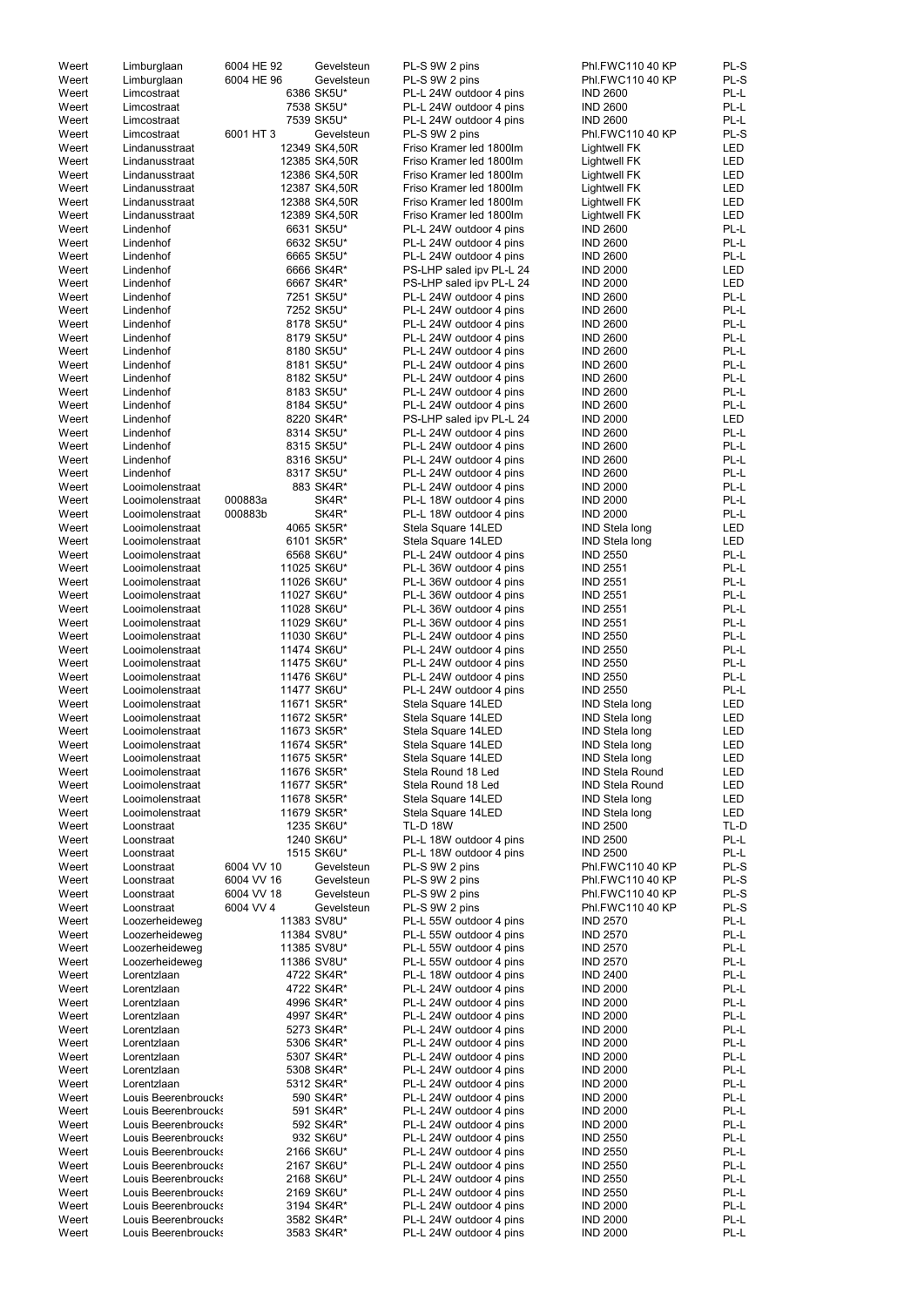| Weert          | Limburglaan                                | 6004 HE 92 | Gevelsteun                 | PL-S 9W 2 pins                                     | Phl.FWC110 40 KP                   | PL-S         |
|----------------|--------------------------------------------|------------|----------------------------|----------------------------------------------------|------------------------------------|--------------|
| Weert          | Limburglaan                                | 6004 HE 96 | Gevelsteun                 | PL-S 9W 2 pins                                     | Phl.FWC110 40 KP                   | PL-S         |
| Weert          | Limcostraat                                |            | 6386 SK5U*                 | PL-L 24W outdoor 4 pins                            | <b>IND 2600</b>                    | PL-L         |
| Weert          | Limcostraat                                |            | 7538 SK5U*                 | PL-L 24W outdoor 4 pins                            | <b>IND 2600</b>                    | PL-L         |
| Weert          | Limcostraat                                |            | 7539 SK5U*                 | PL-L 24W outdoor 4 pins                            | <b>IND 2600</b>                    | PL-L         |
| Weert          | Limcostraat                                | 6001 HT 3  | Gevelsteun                 | PL-S 9W 2 pins                                     | Phl.FWC110 40 KP                   | PL-S         |
| Weert          | Lindanusstraat                             |            | 12349 SK4,50R              | Friso Kramer led 1800lm                            | Lightwell FK                       | LED          |
| Weert          | Lindanusstraat                             |            | 12385 SK4,50R              | Friso Kramer led 1800lm                            | Lightwell FK                       | LED          |
| Weert          | Lindanusstraat                             |            | 12386 SK4,50R              | Friso Kramer led 1800lm                            | Lightwell FK                       | LED          |
| Weert          | Lindanusstraat                             |            | 12387 SK4,50R              | Friso Kramer led 1800lm                            | Lightwell FK                       | LED          |
| Weert          | Lindanusstraat                             |            | 12388 SK4,50R              | Friso Kramer led 1800lm                            | Lightwell FK                       | LED          |
| Weert          | Lindanusstraat                             |            | 12389 SK4,50R              | Friso Kramer led 1800lm                            | Lightwell FK                       | LED          |
| Weert          | Lindenhof                                  |            | 6631 SK5U*                 | PL-L 24W outdoor 4 pins                            | <b>IND 2600</b>                    | PL-L         |
| Weert          | Lindenhof                                  |            | 6632 SK5U*                 | PL-L 24W outdoor 4 pins                            | <b>IND 2600</b>                    | PL-L         |
| Weert          | Lindenhof                                  |            | 6665 SK5U*                 | PL-L 24W outdoor 4 pins                            | <b>IND 2600</b>                    | PL-L         |
| Weert          | Lindenhof                                  |            | 6666 SK4R*                 | PS-LHP saled ipv PL-L 24                           | <b>IND 2000</b>                    | <b>LED</b>   |
| Weert          | Lindenhof                                  |            | 6667 SK4R*                 | PS-LHP saled ipv PL-L 24                           | <b>IND 2000</b>                    | <b>LED</b>   |
| Weert          | Lindenhof                                  |            | 7251 SK5U*                 | PL-L 24W outdoor 4 pins                            | <b>IND 2600</b>                    | PL-L         |
| Weert          | Lindenhof                                  |            | 7252 SK5U*                 | PL-L 24W outdoor 4 pins                            | <b>IND 2600</b>                    | PL-L         |
| Weert          | Lindenhof                                  |            | 8178 SK5U*                 | PL-L 24W outdoor 4 pins                            | <b>IND 2600</b>                    | PL-L         |
| Weert          | Lindenhof                                  |            | 8179 SK5U*                 | PL-L 24W outdoor 4 pins                            | <b>IND 2600</b>                    | PL-L         |
| Weert          | Lindenhof                                  |            | 8180 SK5U*                 | PL-L 24W outdoor 4 pins                            | <b>IND 2600</b>                    | PL-L         |
| Weert          | Lindenhof                                  |            | 8181 SK5U*                 | PL-L 24W outdoor 4 pins                            | <b>IND 2600</b>                    | PL-L         |
| Weert          | Lindenhof                                  |            | 8182 SK5U*                 | PL-L 24W outdoor 4 pins                            | <b>IND 2600</b>                    | PL-L         |
| Weert          | Lindenhof                                  |            | 8183 SK5U*                 | PL-L 24W outdoor 4 pins                            | <b>IND 2600</b>                    | PL-L         |
| Weert          | Lindenhof                                  |            | 8184 SK5U*                 | PL-L 24W outdoor 4 pins                            | <b>IND 2600</b>                    | PL-L         |
| Weert          | Lindenhof                                  |            | 8220 SK4R*                 | PS-LHP saled ipv PL-L 24                           | <b>IND 2000</b>                    | LED          |
| Weert          | Lindenhof                                  |            | 8314 SK5U*                 | PL-L 24W outdoor 4 pins                            | <b>IND 2600</b>                    | PL-L         |
| Weert          | Lindenhof                                  |            | 8315 SK5U*                 | PL-L 24W outdoor 4 pins                            | <b>IND 2600</b>                    | PL-L         |
| Weert          | Lindenhof                                  |            | 8316 SK5U*                 | PL-L 24W outdoor 4 pins                            | <b>IND 2600</b>                    | PL-L         |
| Weert          | Lindenhof                                  |            | 8317 SK5U*                 | PL-L 24W outdoor 4 pins                            | <b>IND 2600</b>                    | PL-L         |
| Weert          | Looimolenstraat                            |            | 883 SK4R*                  | PL-L 24W outdoor 4 pins                            | <b>IND 2000</b>                    | PL-L         |
| Weert          | Looimolenstraat                            | 000883a    | SK4R*                      | PL-L 18W outdoor 4 pins                            | <b>IND 2000</b>                    | PL-L         |
| Weert          | Looimolenstraat                            | 000883b    | SK4R*                      | PL-L 18W outdoor 4 pins                            | <b>IND 2000</b>                    | PL-L         |
| Weert          | Looimolenstraat                            |            | 4065 SK5R*                 | Stela Square 14LED                                 | <b>IND Stela long</b>              | <b>LED</b>   |
| Weert          | Looimolenstraat                            |            | 6101 SK5R*                 | Stela Square 14LED                                 | <b>IND Stela long</b>              | <b>LED</b>   |
| Weert          | Looimolenstraat                            |            | 6568 SK6U*                 | PL-L 24W outdoor 4 pins                            | <b>IND 2550</b>                    | PL-L         |
| Weert          | Looimolenstraat                            |            | 11025 SK6U*                | PL-L 36W outdoor 4 pins                            | <b>IND 2551</b>                    | PL-L         |
| Weert          | Looimolenstraat                            |            | 11026 SK6U*                | PL-L 36W outdoor 4 pins                            | <b>IND 2551</b>                    | PL-L         |
| Weert<br>Weert | Looimolenstraat                            |            | 11027 SK6U*                | PL-L 36W outdoor 4 pins                            | <b>IND 2551</b><br><b>IND 2551</b> | PL-L<br>PL-L |
| Weert          | Looimolenstraat<br>Looimolenstraat         |            | 11028 SK6U*<br>11029 SK6U* | PL-L 36W outdoor 4 pins<br>PL-L 36W outdoor 4 pins | <b>IND 2551</b>                    | PL-L         |
| Weert          | Looimolenstraat                            |            | 11030 SK6U*                | PL-L 24W outdoor 4 pins                            | <b>IND 2550</b>                    | PL-L         |
| Weert          | Looimolenstraat                            |            | 11474 SK6U*                | PL-L 24W outdoor 4 pins                            | <b>IND 2550</b>                    | PL-L         |
| Weert          | Looimolenstraat                            |            | 11475 SK6U*                | PL-L 24W outdoor 4 pins                            | <b>IND 2550</b>                    | PL-L         |
| Weert          | Looimolenstraat                            |            | 11476 SK6U*                | PL-L 24W outdoor 4 pins                            | <b>IND 2550</b>                    | PL-L         |
| Weert          | Looimolenstraat                            |            | 11477 SK6U*                | PL-L 24W outdoor 4 pins                            | <b>IND 2550</b>                    | PL-L         |
| Weert          | Looimolenstraat                            |            | 11671 SK5R*                | Stela Square 14LED                                 | <b>IND Stela long</b>              | LED          |
| Weert          | Looimolenstraat                            |            | 11672 SK5R*                | Stela Square 14LED                                 | <b>IND Stela long</b>              | LED          |
| Weert          | Looimolenstraat                            |            | 11673 SK5R*                | Stela Square 14LED                                 | <b>IND Stela long</b>              | LED          |
| Weert          | Looimolenstraat                            |            | 11674 SK5R*                | Stela Square 14LED                                 | <b>IND Stela long</b>              | LED          |
| Weert          | Looimolenstraat                            |            | 11675 SK5R*                | Stela Square 14LED                                 | <b>IND Stela long</b>              | LED          |
| Weert          | Looimolenstraat                            |            | 11676 SK5R*                | Stela Round 18 Led                                 | <b>IND Stela Round</b>             | LED          |
| Weert          | Looimolenstraat                            |            | 11677 SK5R*                | Stela Round 18 Led                                 | <b>IND Stela Round</b>             | LED          |
| Weert          | Looimolenstraat                            |            | 11678 SK5R*                | Stela Square 14LED                                 | <b>IND Stela long</b>              | LED          |
| Weert          | Looimolenstraat                            |            | 11679 SK5R*                | Stela Square 14LED                                 | <b>IND Stela long</b>              | LED          |
| Weert          | Loonstraat                                 |            | 1235 SK6U*                 | <b>TL-D 18W</b>                                    | <b>IND 2500</b>                    | TL-D         |
| Weert          | Loonstraat                                 |            | 1240 SK6U*                 | PL-L 18W outdoor 4 pins                            | <b>IND 2500</b>                    | PL-L         |
| Weert          | Loonstraat                                 |            | 1515 SK6U*                 | PL-L 18W outdoor 4 pins                            | <b>IND 2500</b>                    | PL-L         |
| Weert          | Loonstraat                                 | 6004 VV 10 | Gevelsteun                 | PL-S 9W 2 pins                                     | Phl.FWC110 40 KP                   | PL-S         |
| Weert          | Loonstraat                                 | 6004 VV 16 | Gevelsteun                 | PL-S 9W 2 pins                                     | Phl.FWC110 40 KP                   | PL-S         |
| Weert          | Loonstraat                                 | 6004 VV 18 | Gevelsteun                 | PL-S 9W 2 pins                                     | Phl.FWC110 40 KP                   | PL-S         |
| Weert          | Loonstraat                                 | 6004 VV 4  | Gevelsteun                 | PL-S 9W 2 pins                                     | Phl.FWC110 40 KP                   | PL-S         |
| Weert          | Loozerheideweg                             |            | 11383 SV8U*                | PL-L 55W outdoor 4 pins                            | <b>IND 2570</b>                    | PL-L         |
| Weert          | Loozerheideweg                             |            | 11384 SV8U*                | PL-L 55W outdoor 4 pins                            | <b>IND 2570</b>                    | PL-L         |
| Weert          | Loozerheideweg                             |            | 11385 SV8U*                | PL-L 55W outdoor 4 pins                            | <b>IND 2570</b>                    | PL-L         |
| Weert          | Loozerheideweg                             |            | 11386 SV8U*                | PL-L 55W outdoor 4 pins                            | <b>IND 2570</b>                    | PL-L         |
| Weert          | Lorentzlaan                                |            | 4722 SK4R*                 | PL-L 18W outdoor 4 pins                            | <b>IND 2400</b>                    | PL-L         |
| Weert          | Lorentzlaan                                |            | 4722 SK4R*                 | PL-L 24W outdoor 4 pins                            | <b>IND 2000</b>                    | PL-L         |
| Weert          | Lorentzlaan                                |            | 4996 SK4R*                 | PL-L 24W outdoor 4 pins                            | <b>IND 2000</b>                    | PL-L         |
| Weert          | Lorentzlaan                                |            | 4997 SK4R*                 | PL-L 24W outdoor 4 pins                            | <b>IND 2000</b>                    | PL-L         |
| Weert          | Lorentzlaan                                |            | 5273 SK4R*                 | PL-L 24W outdoor 4 pins                            | <b>IND 2000</b>                    | PL-L         |
| Weert          | Lorentzlaan                                |            | 5306 SK4R*                 | PL-L 24W outdoor 4 pins                            | <b>IND 2000</b>                    | PL-L         |
| Weert          | Lorentzlaan                                |            | 5307 SK4R*                 | PL-L 24W outdoor 4 pins                            | <b>IND 2000</b>                    | PL-L         |
| Weert          | Lorentzlaan                                |            | 5308 SK4R*                 | PL-L 24W outdoor 4 pins                            | <b>IND 2000</b>                    | PL-L         |
| Weert          | Lorentzlaan                                |            | 5312 SK4R*                 | PL-L 24W outdoor 4 pins                            | <b>IND 2000</b>                    | PL-L         |
| Weert          | Louis Beerenbroucks                        |            | 590 SK4R*                  | PL-L 24W outdoor 4 pins                            | <b>IND 2000</b>                    | PL-L         |
| Weert          | Louis Beerenbroucks                        |            | 591 SK4R*                  | PL-L 24W outdoor 4 pins                            | <b>IND 2000</b>                    | PL-L         |
| Weert          | Louis Beerenbroucks                        |            | 592 SK4R*                  | PL-L 24W outdoor 4 pins                            | <b>IND 2000</b>                    | PL-L         |
| Weert          | Louis Beerenbroucks                        |            | 932 SK6U*                  | PL-L 24W outdoor 4 pins                            | <b>IND 2550</b>                    | PL-L         |
| Weert          | Louis Beerenbroucks                        |            | 2166 SK6U*                 | PL-L 24W outdoor 4 pins                            | <b>IND 2550</b>                    | PL-L         |
| Weert          | Louis Beerenbroucks                        |            | 2167 SK6U*                 | PL-L 24W outdoor 4 pins                            | <b>IND 2550</b>                    | PL-L         |
| Weert          | Louis Beerenbroucks                        |            | 2168 SK6U*                 | PL-L 24W outdoor 4 pins                            | <b>IND 2550</b>                    | PL-L         |
| Weert          | Louis Beerenbroucks<br>Louis Beerenbroucks |            | 2169 SK6U*                 | PL-L 24W outdoor 4 pins                            | <b>IND 2550</b>                    | PL-L<br>PL-L |
| Weert<br>Weert | Louis Beerenbroucks                        |            | 3194 SK4R*<br>3582 SK4R*   | PL-L 24W outdoor 4 pins<br>PL-L 24W outdoor 4 pins | <b>IND 2000</b><br><b>IND 2000</b> | PL-L         |
| Weert          | Louis Beerenbroucks                        |            | 3583 SK4R*                 | PL-L 24W outdoor 4 pins                            | <b>IND 2000</b>                    | PL-L         |
|                |                                            |            |                            |                                                    |                                    |              |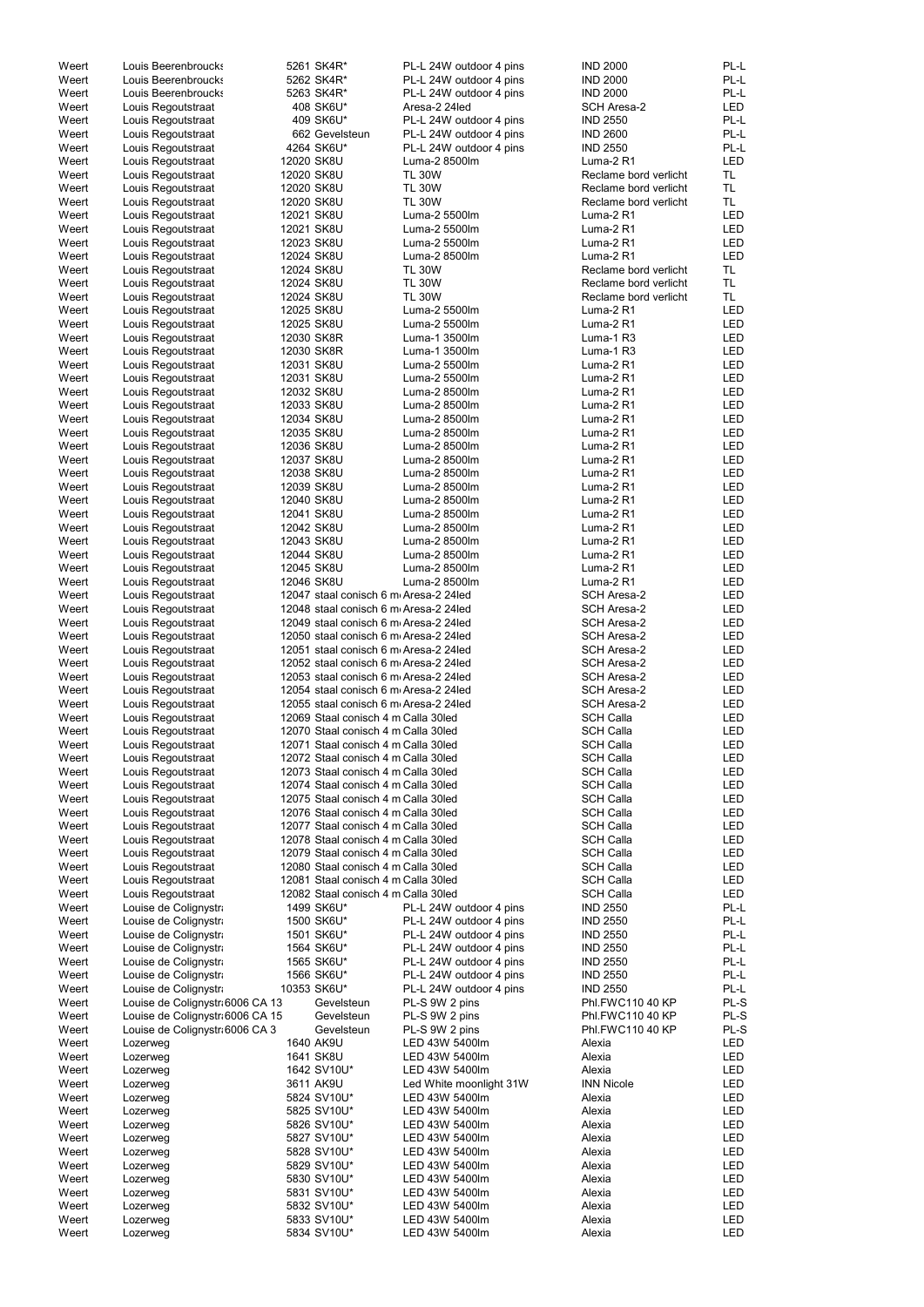| Weert | Louis Beerenbroucks             | 5261 SK4R*                            | PL-L 24W outdoor 4 pins | <b>IND 2000</b>       | PL-L       |
|-------|---------------------------------|---------------------------------------|-------------------------|-----------------------|------------|
| Weert |                                 |                                       |                         | <b>IND 2000</b>       | PL-L       |
|       | Louis Beerenbroucks             | 5262 SK4R*                            | PL-L 24W outdoor 4 pins |                       |            |
| Weert | Louis Beerenbroucks             | 5263 SK4R*                            | PL-L 24W outdoor 4 pins | <b>IND 2000</b>       | PL-L       |
| Weert | Louis Regoutstraat              | 408 SK6U*                             | Aresa-2 24led           | <b>SCH Aresa-2</b>    | <b>LED</b> |
| Weert | Louis Regoutstraat              | 409 SK6U*                             | PL-L 24W outdoor 4 pins | <b>IND 2550</b>       | PL-L       |
| Weert | Louis Regoutstraat              | 662 Gevelsteun                        | PL-L 24W outdoor 4 pins | <b>IND 2600</b>       | PL-L       |
| Weert | Louis Regoutstraat              | 4264 SK6U*                            | PL-L 24W outdoor 4 pins | <b>IND 2550</b>       | PL-L       |
| Weert | Louis Regoutstraat              | 12020 SK8U                            | Luma-2 8500lm           | Luma-2 R1             | <b>LED</b> |
| Weert | Louis Regoutstraat              | 12020 SK8U                            | <b>TL 30W</b>           | Reclame bord verlicht | TL         |
| Weert | Louis Regoutstraat              | 12020 SK8U                            | <b>TL 30W</b>           | Reclame bord verlicht | <b>TL</b>  |
| Weert | Louis Regoutstraat              | 12020 SK8U                            | <b>TL 30W</b>           | Reclame bord verlicht | <b>TL</b>  |
|       |                                 |                                       |                         |                       |            |
| Weert | Louis Regoutstraat              | 12021 SK8U                            | Luma-2 5500lm           | Luma-2 R1             | <b>LED</b> |
| Weert | Louis Regoutstraat              | 12021 SK8U                            | Luma-2 5500lm           | Luma-2 R1             | LED        |
| Weert | Louis Regoutstraat              | 12023 SK8U                            | Luma-2 5500lm           | Luma-2 R1             | <b>LED</b> |
| Weert | Louis Regoutstraat              | 12024 SK8U                            | Luma-2 8500lm           | Luma-2 R1             | <b>LED</b> |
| Weert | Louis Regoutstraat              | 12024 SK8U                            | <b>TL 30W</b>           | Reclame bord verlicht | <b>TL</b>  |
| Weert | Louis Regoutstraat              | 12024 SK8U                            | <b>TL 30W</b>           | Reclame bord verlicht | <b>TL</b>  |
| Weert | Louis Regoutstraat              | 12024 SK8U                            | <b>TL 30W</b>           | Reclame bord verlicht | <b>TL</b>  |
| Weert | Louis Regoutstraat              | 12025 SK8U                            | Luma-2 5500lm           | Luma-2 R1             | LED        |
| Weert | Louis Regoutstraat              | 12025 SK8U                            | Luma-2 5500lm           | Luma-2 R1             | LED        |
| Weert | Louis Regoutstraat              | 12030 SK8R                            | Luma-1 3500lm           | Luma-1 R3             | <b>LED</b> |
|       |                                 | 12030 SK8R                            |                         |                       |            |
| Weert | Louis Regoutstraat              |                                       | Luma-1 3500lm           | Luma-1 R3             | <b>LED</b> |
| Weert | Louis Regoutstraat              | 12031 SK8U                            | Luma-2 5500lm           | Luma-2 R1             | LED        |
| Weert | Louis Regoutstraat              | 12031 SK8U                            | Luma-2 5500lm           | Luma-2 R1             | LED        |
| Weert | Louis Regoutstraat              | 12032 SK8U                            | Luma-2 8500lm           | Luma-2 R1             | LED        |
| Weert | Louis Regoutstraat              | 12033 SK8U                            | Luma-2 8500lm           | Luma-2 R1             | <b>LED</b> |
| Weert | Louis Regoutstraat              | 12034 SK8U                            | Luma-2 8500lm           | Luma-2 R1             | <b>LED</b> |
| Weert | Louis Regoutstraat              | 12035 SK8U                            | Luma-2 8500lm           | Luma-2 R1             | <b>LED</b> |
| Weert | Louis Regoutstraat              | 12036 SK8U                            | Luma-2 8500lm           | Luma-2 R1             | <b>LED</b> |
| Weert | Louis Regoutstraat              | 12037 SK8U                            | Luma-2 8500lm           | Luma-2 R1             | <b>LED</b> |
| Weert | Louis Regoutstraat              | 12038 SK8U                            | Luma-2 8500lm           | Luma-2 R1             | <b>LED</b> |
|       |                                 | 12039 SK8U                            | Luma-2 8500lm           | Luma-2 R1             | <b>LED</b> |
| Weert | Louis Regoutstraat              |                                       |                         |                       |            |
| Weert | Louis Regoutstraat              | 12040 SK8U                            | Luma-2 8500lm           | Luma-2 R1             | <b>LED</b> |
| Weert | Louis Regoutstraat              | 12041 SK8U                            | Luma-2 8500lm           | Luma-2 R1             | <b>LED</b> |
| Weert | Louis Regoutstraat              | 12042 SK8U                            | Luma-2 8500lm           | Luma-2 R1             | <b>LED</b> |
| Weert | Louis Regoutstraat              | 12043 SK8U                            | Luma-2 8500lm           | Luma-2 R1             | LED        |
| Weert | Louis Regoutstraat              | 12044 SK8U                            | Luma-2 8500lm           | Luma-2 R1             | LED        |
| Weert | Louis Regoutstraat              | 12045 SK8U                            | Luma-2 8500lm           | Luma-2 R1             | <b>LED</b> |
| Weert | Louis Regoutstraat              | 12046 SK8U                            | Luma-2 8500lm           | Luma-2 R1             | <b>LED</b> |
| Weert | Louis Regoutstraat              | 12047 staal conisch 6 m Aresa-2 24led |                         | SCH Aresa-2           | <b>LED</b> |
| Weert | Louis Regoutstraat              | 12048 staal conisch 6 m Aresa-2 24led |                         | <b>SCH Aresa-2</b>    | <b>LED</b> |
|       |                                 |                                       |                         |                       |            |
| Weert | Louis Regoutstraat              | 12049 staal conisch 6 m Aresa-2 24led |                         | <b>SCH Aresa-2</b>    | <b>LED</b> |
| Weert | Louis Regoutstraat              | 12050 staal conisch 6 m Aresa-2 24led |                         | <b>SCH Aresa-2</b>    | <b>LED</b> |
| Weert | Louis Regoutstraat              | 12051 staal conisch 6 m Aresa-2 24led |                         | <b>SCH Aresa-2</b>    | LED        |
| Weert | Louis Regoutstraat              | 12052 staal conisch 6 m Aresa-2 24led |                         | SCH Aresa-2           | LED        |
| Weert | Louis Regoutstraat              | 12053 staal conisch 6 m Aresa-2 24led |                         | <b>SCH Aresa-2</b>    | <b>LED</b> |
| Weert | Louis Regoutstraat              | 12054 staal conisch 6 m Aresa-2 24led |                         | SCH Aresa-2           | <b>LED</b> |
| Weert | Louis Regoutstraat              | 12055 staal conisch 6 m Aresa-2 24led |                         | SCH Aresa-2           | LED        |
| Weert | Louis Regoutstraat              | 12069 Staal conisch 4 m Calla 30 led  |                         | <b>SCH Calla</b>      | <b>LED</b> |
| Weert | Louis Regoutstraat              | 12070 Staal conisch 4 m Calla 30 led  |                         | <b>SCH Calla</b>      | <b>LED</b> |
|       |                                 |                                       |                         |                       |            |
| Weert | Louis Regoutstraat              | 12071 Staal conisch 4 m Calla 30 led  |                         | <b>SCH Calla</b>      | <b>LED</b> |
| Weert | Louis Regoutstraat              | 12072 Staal conisch 4 m Calla 30 led  |                         | <b>SCH Calla</b>      | <b>LED</b> |
| Weert | Louis Regoutstraat              | 12073 Staal conisch 4 m Calla 30 led  |                         | <b>SCH Calla</b>      | <b>LED</b> |
| Weert | Louis Regoutstraat              | 12074 Staal conisch 4 m Calla 30 led  |                         | <b>SCH Calla</b>      | <b>LED</b> |
| Weert | Louis Regoutstraat              | 12075 Staal conisch 4 m Calla 30 led  |                         | <b>SCH Calla</b>      | <b>LED</b> |
| Weert | Louis Regoutstraat              | 12076 Staal conisch 4 m Calla 30 led  |                         | <b>SCH Calla</b>      | <b>LED</b> |
| Weert | Louis Regoutstraat              | 12077 Staal conisch 4 m Calla 30 led  |                         | <b>SCH Calla</b>      | <b>LED</b> |
| Weert | Louis Regoutstraat              | 12078 Staal conisch 4 m Calla 30led   |                         | <b>SCH Calla</b>      | <b>LED</b> |
| Weert | Louis Regoutstraat              | 12079 Staal conisch 4 m Calla 30led   |                         | <b>SCH Calla</b>      | <b>LED</b> |
| Weert | Louis Regoutstraat              | 12080 Staal conisch 4 m Calla 30 led  |                         | <b>SCH Calla</b>      | <b>LED</b> |
| Weert | Louis Regoutstraat              | 12081 Staal conisch 4 m Calla 30led   |                         | <b>SCH Calla</b>      | <b>LED</b> |
| Weert | Louis Regoutstraat              | 12082 Staal conisch 4 m Calla 30led   |                         | <b>SCH Calla</b>      | LED        |
| Weert | Louise de Colignystra           | 1499 SK6U*                            | PL-L 24W outdoor 4 pins | <b>IND 2550</b>       | PL-L       |
| Weert | Louise de Colignystra           | 1500 SK6U*                            | PL-L 24W outdoor 4 pins | <b>IND 2550</b>       | PL-L       |
|       |                                 |                                       |                         |                       | PL-L       |
| Weert | Louise de Colignystra           | 1501 SK6U*                            | PL-L 24W outdoor 4 pins | <b>IND 2550</b>       |            |
| Weert | Louise de Colignystra           | 1564 SK6U*                            | PL-L 24W outdoor 4 pins | <b>IND 2550</b>       | PL-L       |
| Weert | Louise de Colignystra           | 1565 SK6U*                            | PL-L 24W outdoor 4 pins | <b>IND 2550</b>       | PL-L       |
| Weert | Louise de Colignystra           | 1566 SK6U*                            | PL-L 24W outdoor 4 pins | <b>IND 2550</b>       | PL-L       |
| Weert | Louise de Colignystra           | 10353 SK6U*                           | PL-L 24W outdoor 4 pins | <b>IND 2550</b>       | PL-L       |
| Weert | Louise de Colignystr 6006 CA 13 | Gevelsteun                            | PL-S 9W 2 pins          | Phl.FWC110 40 KP      | PL-S       |
| Weert | Louise de Colignystr 6006 CA 15 | Gevelsteun                            | PL-S 9W 2 pins          | Phl.FWC110 40 KP      | PL-S       |
| Weert | Louise de Colignystr 6006 CA 3  | Gevelsteun                            | PL-S 9W 2 pins          | Phl.FWC110 40 KP      | PL-S       |
| Weert | Lozerweg                        | 1640 AK9U                             | LED 43W 5400lm          | Alexia                | <b>LED</b> |
| Weert | Lozerweg                        | 1641 SK8U                             | LED 43W 5400lm          | Alexia                | <b>LED</b> |
| Weert | Lozerweg                        | 1642 SV10U*                           | LED 43W 5400lm          | Alexia                | <b>LED</b> |
|       |                                 | 3611 AK9U                             | Led White moonlight 31W | <b>INN Nicole</b>     | <b>LED</b> |
| Weert | Lozerweg                        |                                       |                         |                       |            |
| Weert | Lozerweg                        | 5824 SV10U*                           | LED 43W 5400lm          | Alexia                | <b>LED</b> |
| Weert | Lozerweg                        | 5825 SV10U*                           | LED 43W 5400lm          | Alexia                | <b>LED</b> |
| Weert | Lozerweg                        | 5826 SV10U*                           | LED 43W 5400lm          | Alexia                | <b>LED</b> |
| Weert | Lozerweg                        | 5827 SV10U*                           | LED 43W 5400lm          | Alexia                | <b>LED</b> |
| Weert | Lozerweg                        | 5828 SV10U*                           | LED 43W 5400lm          | Alexia                | <b>LED</b> |
| Weert | Lozerweg                        | 5829 SV10U*                           | LED 43W 5400lm          | Alexia                | <b>LED</b> |
| Weert | Lozerweg                        | 5830 SV10U*                           | LED 43W 5400lm          | Alexia                | <b>LED</b> |
| Weert | Lozerweg                        | 5831 SV10U*                           | LED 43W 5400lm          | Alexia                | <b>LED</b> |
| Weert | Lozerweg                        | 5832 SV10U*                           | LED 43W 5400lm          | Alexia                | <b>LED</b> |
| Weert | Lozerweg                        | 5833 SV10U*                           | LED 43W 5400lm          | Alexia                | <b>LED</b> |
| Weert |                                 | 5834 SV10U*                           | LED 43W 5400lm          | Alexia                | <b>LED</b> |
|       | Lozerweg                        |                                       |                         |                       |            |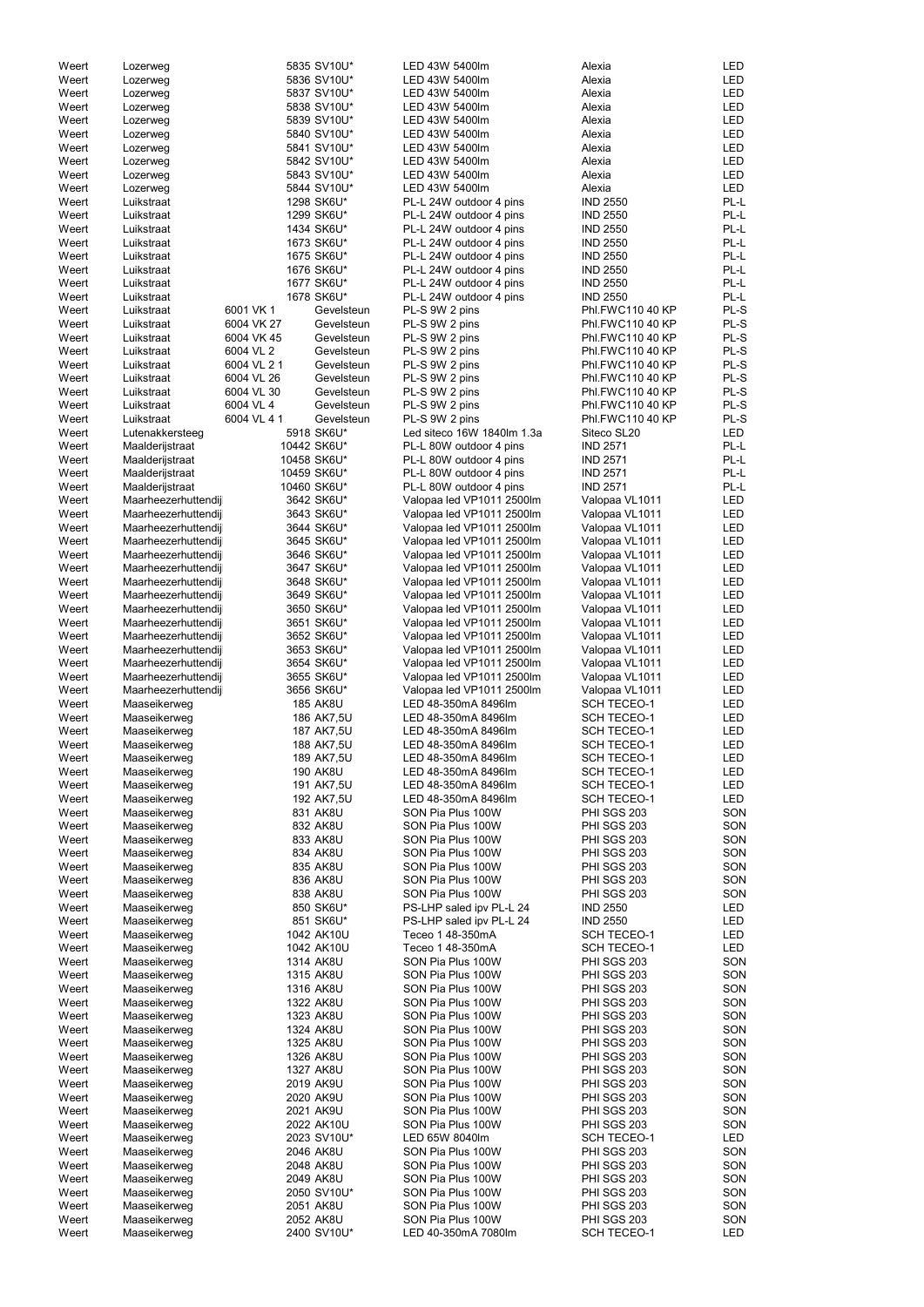| Weert | Lozerweg            |             | 5835 SV10U*     | LED 43W 5400lm             | Alexia                  | LED        |
|-------|---------------------|-------------|-----------------|----------------------------|-------------------------|------------|
| Weert | Lozerweg            |             | 5836 SV10U*     | LED 43W 5400lm             | Alexia                  | LED        |
| Weert | Lozerweg            |             | 5837 SV10U*     | LED 43W 5400lm             | Alexia                  | LED        |
| Weert |                     |             | 5838 SV10U*     | LED 43W 5400lm             | Alexia                  | <b>LED</b> |
|       | Lozerweg            |             |                 |                            |                         |            |
| Weert | Lozerweg            |             | 5839 SV10U*     | LED 43W 5400lm             | Alexia                  | <b>LED</b> |
| Weert | Lozerweg            |             | 5840 SV10U*     | LED 43W 5400lm             | Alexia                  | <b>LED</b> |
| Weert | Lozerweg            |             | 5841 SV10U*     | LED 43W 5400lm             | Alexia                  | <b>LED</b> |
|       |                     |             |                 |                            |                         | <b>LED</b> |
| Weert | Lozerweg            |             | 5842 SV10U*     | LED 43W 5400lm             | Alexia                  |            |
| Weert | Lozerweg            |             | 5843 SV10U*     | LED 43W 5400lm             | Alexia                  | <b>LED</b> |
| Weert | Lozerweg            |             | 5844 SV10U*     | LED 43W 5400lm             | Alexia                  | <b>LED</b> |
| Weert | Luikstraat          |             | 1298 SK6U*      | PL-L 24W outdoor 4 pins    | <b>IND 2550</b>         | PL-L       |
|       |                     |             |                 |                            |                         |            |
| Weert | Luikstraat          |             | 1299 SK6U*      | PL-L 24W outdoor 4 pins    | <b>IND 2550</b>         | PL-L       |
| Weert | Luikstraat          |             | 1434 SK6U*      | PL-L 24W outdoor 4 pins    | <b>IND 2550</b>         | PL-L       |
| Weert | Luikstraat          |             | 1673 SK6U*      | PL-L 24W outdoor 4 pins    | <b>IND 2550</b>         | PL-L       |
|       |                     |             |                 |                            |                         |            |
| Weert | Luikstraat          |             | 1675 SK6U*      | PL-L 24W outdoor 4 pins    | <b>IND 2550</b>         | PL-L       |
| Weert | Luikstraat          |             | 1676 SK6U*      | PL-L 24W outdoor 4 pins    | <b>IND 2550</b>         | PL-L       |
| Weert | Luikstraat          |             | 1677 SK6U*      | PL-L 24W outdoor 4 pins    | <b>IND 2550</b>         | PL-L       |
| Weert | Luikstraat          |             | 1678 SK6U*      | PL-L 24W outdoor 4 pins    | <b>IND 2550</b>         | PL-L       |
|       |                     |             |                 |                            |                         |            |
| Weert | Luikstraat          | 6001 VK 1   | Gevelsteun      | PL-S 9W 2 pins             | Phl.FWC110 40 KP        | PL-S       |
| Weert | Luikstraat          | 6004 VK 27  | Gevelsteun      | PL-S 9W 2 pins             | Phl.FWC110 40 KP        | PL-S       |
| Weert | Luikstraat          | 6004 VK 45  | Gevelsteun      | PL-S 9W 2 pins             | Phl.FWC110 40 KP        | PL-S       |
|       |                     |             |                 |                            |                         |            |
| Weert | Luikstraat          | 6004 VL 2   | Gevelsteun      | PL-S 9W 2 pins             | Phl.FWC110 40 KP        | PL-S       |
| Weert | Luikstraat          | 6004 VL 2 1 | Gevelsteun      | PL-S 9W 2 pins             | <b>Phl.FWC110 40 KP</b> | PL-S       |
| Weert | Luikstraat          | 6004 VL 26  | Gevelsteun      | PL-S 9W 2 pins             | Phl.FWC110 40 KP        | PL-S       |
| Weert | Luikstraat          | 6004 VL 30  | Gevelsteun      | PL-S 9W 2 pins             | <b>Phl.FWC110 40 KP</b> | PL-S       |
|       |                     |             |                 |                            |                         |            |
| Weert | Luikstraat          | 6004 VL 4   | Gevelsteun      | PL-S 9W 2 pins             | Phl.FWC110 40 KP        | PL-S       |
| Weert | Luikstraat          | 6004 VL 41  | Gevelsteun      | PL-S 9W 2 pins             | Phl.FWC110 40 KP        | PL-S       |
| Weert | Lutenakkersteeg     |             | 5918 SK6U*      | Led siteco 16W 1840lm 1.3a | Siteco SL20             | <b>LED</b> |
|       |                     |             |                 |                            |                         |            |
| Weert | Maalderijstraat     |             | 10442 SK6U*     | PL-L 80W outdoor 4 pins    | <b>IND 2571</b>         | PL-L       |
| Weert | Maalderijstraat     |             | 10458 SK6U*     | PL-L 80W outdoor 4 pins    | <b>IND 2571</b>         | PL-L       |
| Weert | Maalderijstraat     |             | 10459 SK6U*     | PL-L 80W outdoor 4 pins    | <b>IND 2571</b>         | PL-L       |
| Weert | Maalderijstraat     |             | 10460 SK6U*     | PL-L 80W outdoor 4 pins    | <b>IND 2571</b>         | PL-L       |
|       |                     |             |                 |                            |                         |            |
| Weert | Maarheezerhuttendij |             | 3642 SK6U*      | Valopaa led VP1011 2500lm  | Valopaa VL1011          | <b>LED</b> |
| Weert | Maarheezerhuttendij |             | 3643 SK6U*      | Valopaa led VP1011 2500lm  | Valopaa VL1011          | <b>LED</b> |
| Weert | Maarheezerhuttendij |             | 3644 SK6U*      | Valopaa led VP1011 2500lm  | Valopaa VL1011          | <b>LED</b> |
|       |                     |             |                 |                            |                         |            |
| Weert | Maarheezerhuttendij |             | 3645 SK6U*      | Valopaa led VP1011 2500lm  | Valopaa VL1011          | <b>LED</b> |
| Weert | Maarheezerhuttendij |             | 3646 SK6U*      | Valopaa led VP1011 2500lm  | Valopaa VL1011          | LED        |
| Weert | Maarheezerhuttendij |             | 3647 SK6U*      | Valopaa led VP1011 2500lm  | Valopaa VL1011          | LED        |
|       |                     |             |                 |                            |                         |            |
| Weert | Maarheezerhuttendij |             | 3648 SK6U*      | Valopaa led VP1011 2500lm  | Valopaa VL1011          | LED        |
| Weert | Maarheezerhuttendij |             | 3649 SK6U*      | Valopaa led VP1011 2500lm  | Valopaa VL1011          | LED        |
| Weert | Maarheezerhuttendij |             | 3650 SK6U*      | Valopaa led VP1011 2500lm  | Valopaa VL1011          | LED        |
|       |                     |             |                 |                            |                         | <b>LED</b> |
| Weert | Maarheezerhuttendij |             | 3651 SK6U*      | Valopaa led VP1011 2500lm  | Valopaa VL1011          |            |
| Weert | Maarheezerhuttendij |             | 3652 SK6U*      | Valopaa led VP1011 2500lm  | Valopaa VL1011          | <b>LED</b> |
| Weert | Maarheezerhuttendij |             | 3653 SK6U*      | Valopaa led VP1011 2500lm  | Valopaa VL1011          | LED        |
| Weert | Maarheezerhuttendij |             | 3654 SK6U*      | Valopaa led VP1011 2500lm  | Valopaa VL1011          | LED        |
|       |                     |             |                 |                            |                         |            |
| Weert | Maarheezerhuttendij |             | 3655 SK6U*      | Valopaa led VP1011 2500lm  | Valopaa VL1011          | <b>LED</b> |
| Weert | Maarheezerhuttendij |             | 3656 SK6U*      | Valopaa led VP1011 2500lm  | Valopaa VL1011          | <b>LED</b> |
| Weert | Maaseikerweg        |             | <b>185 AK8U</b> | LED 48-350mA 8496lm        | <b>SCH TECEO-1</b>      | <b>LED</b> |
|       |                     |             |                 |                            |                         |            |
| Weert | Maaseikerweg        |             | 186 AK7,5U      | LED 48-350mA 8496lm        | <b>SCH TECEO-1</b>      | <b>LED</b> |
| Weert | Maaseikerweg        |             | 187 AK7,5U      | LED 48-350mA 8496lm        | <b>SCH TECEO-1</b>      | <b>LED</b> |
| Weert | Maaseikerweg        |             | 188 AK7,5U      | LED 48-350mA 8496lm        | <b>SCH TECEO-1</b>      | LED        |
|       |                     |             |                 |                            |                         |            |
| Weert | Maaseikerweg        |             | 189 AK7,5U      | LED 48-350mA 8496lm        | <b>SCH TECEO-1</b>      | LED        |
| Weert | Maaseikerweg        |             | <b>190 AK8U</b> | LED 48-350mA 8496lm        | <b>SCH TECEO-1</b>      | LED        |
| Weert | Maaseikerweg        |             | 191 AK7,5U      | LED 48-350mA 8496lm        | <b>SCH TECEO-1</b>      | <b>LED</b> |
| Weert | Maaseikerweg        |             | 192 AK7,5U      | LED 48-350mA 8496lm        | <b>SCH TECEO-1</b>      | <b>LED</b> |
|       |                     |             |                 |                            |                         |            |
| Weert | Maaseikerweg        |             | 831 AK8U        | SON Pia Plus 100W          | <b>PHI SGS 203</b>      | SON        |
| Weert | Maaseikerweg        |             | 832 AK8U        | SON Pia Plus 100W          | <b>PHI SGS 203</b>      | SON        |
| Weert | Maaseikerweg        |             | 833 AK8U        | SON Pia Plus 100W          | <b>PHI SGS 203</b>      | SON        |
|       |                     |             |                 |                            |                         |            |
| Weert | Maaseikerweg        |             | 834 AK8U        | SON Pia Plus 100W          | PHI SGS 203             | SON        |
| Weert | Maaseikerweg        |             | 835 AK8U        | SON Pia Plus 100W          | <b>PHI SGS 203</b>      | SON        |
| Weert | Maaseikerweg        |             | 836 AK8U        | SON Pia Plus 100W          | <b>PHI SGS 203</b>      | SON        |
| Weert | Maaseikerweg        |             | 838 AK8U        | SON Pia Plus 100W          | <b>PHI SGS 203</b>      | SON        |
|       |                     |             |                 |                            |                         | <b>LED</b> |
| Weert | Maaseikerweg        |             | 850 SK6U*       | PS-LHP saled ipv PL-L 24   | <b>IND 2550</b>         |            |
| Weert | Maaseikerweg        |             | 851 SK6U*       | PS-LHP saled ipv PL-L 24   | <b>IND 2550</b>         | <b>LED</b> |
| Weert | Maaseikerweg        |             | 1042 AK10U      | Teceo 1 48-350mA           | <b>SCH TECEO-1</b>      | <b>LED</b> |
| Weert | Maaseikerweg        |             | 1042 AK10U      | Teceo 1 48-350mA           | <b>SCH TECEO-1</b>      | <b>LED</b> |
|       |                     |             |                 |                            |                         |            |
| Weert | Maaseikerweg        |             | 1314 AK8U       | SON Pia Plus 100W          | <b>PHI SGS 203</b>      | SON        |
| Weert | Maaseikerweg        |             | 1315 AK8U       | SON Pia Plus 100W          | <b>PHI SGS 203</b>      | SON        |
| Weert | Maaseikerweg        |             | 1316 AK8U       | SON Pia Plus 100W          | <b>PHI SGS 203</b>      | SON        |
|       |                     |             |                 |                            |                         |            |
| Weert | Maaseikerweg        |             | 1322 AK8U       | SON Pia Plus 100W          | <b>PHI SGS 203</b>      | SON        |
| Weert | Maaseikerweg        |             | 1323 AK8U       | SON Pia Plus 100W          | <b>PHI SGS 203</b>      | SON        |
| Weert | Maaseikerweg        |             | 1324 AK8U       | SON Pia Plus 100W          | <b>PHI SGS 203</b>      | SON        |
|       |                     |             | 1325 AK8U       | SON Pia Plus 100W          | PHI SGS 203             | SON        |
| Weert | Maaseikerweg        |             |                 |                            |                         |            |
| Weert | Maaseikerweg        |             | 1326 AK8U       | SON Pia Plus 100W          | <b>PHI SGS 203</b>      | SON        |
| Weert | Maaseikerweg        |             | 1327 AK8U       | SON Pia Plus 100W          | <b>PHI SGS 203</b>      | SON        |
| Weert | Maaseikerweg        |             | 2019 AK9U       | SON Pia Plus 100W          | <b>PHI SGS 203</b>      | SON        |
|       |                     |             |                 |                            |                         |            |
| Weert | Maaseikerweg        |             | 2020 AK9U       | SON Pia Plus 100W          | <b>PHI SGS 203</b>      | SON        |
| Weert | Maaseikerweg        |             | 2021 AK9U       | SON Pia Plus 100W          | <b>PHI SGS 203</b>      | SON        |
| Weert | Maaseikerweg        |             | 2022 AK10U      | SON Pia Plus 100W          | <b>PHI SGS 203</b>      | SON        |
|       |                     |             |                 |                            |                         |            |
| Weert | Maaseikerweg        |             | 2023 SV10U*     | LED 65W 8040lm             | <b>SCH TECEO-1</b>      | <b>LED</b> |
| Weert | Maaseikerweg        |             | 2046 AK8U       | SON Pia Plus 100W          | PHI SGS 203             | SON        |
| Weert | Maaseikerweg        |             | 2048 AK8U       | SON Pia Plus 100W          | <b>PHI SGS 203</b>      | SON        |
|       |                     |             |                 |                            |                         |            |
| Weert | Maaseikerweg        |             | 2049 AK8U       | SON Pia Plus 100W          | PHI SGS 203             | SON        |
| Weert | Maaseikerweg        |             | 2050 SV10U*     | SON Pia Plus 100W          | <b>PHI SGS 203</b>      | SON        |
| Weert | Maaseikerweg        |             | 2051 AK8U       | SON Pia Plus 100W          | <b>PHI SGS 203</b>      | SON        |
| Weert | Maaseikerweg        |             | 2052 AK8U       | SON Pia Plus 100W          | <b>PHI SGS 203</b>      | SON        |
|       |                     |             |                 |                            |                         |            |
| Weert | Maaseikerweg        |             | 2400 SV10U*     | LED 40-350mA 7080lm        | <b>SCH TECEO-1</b>      | LED        |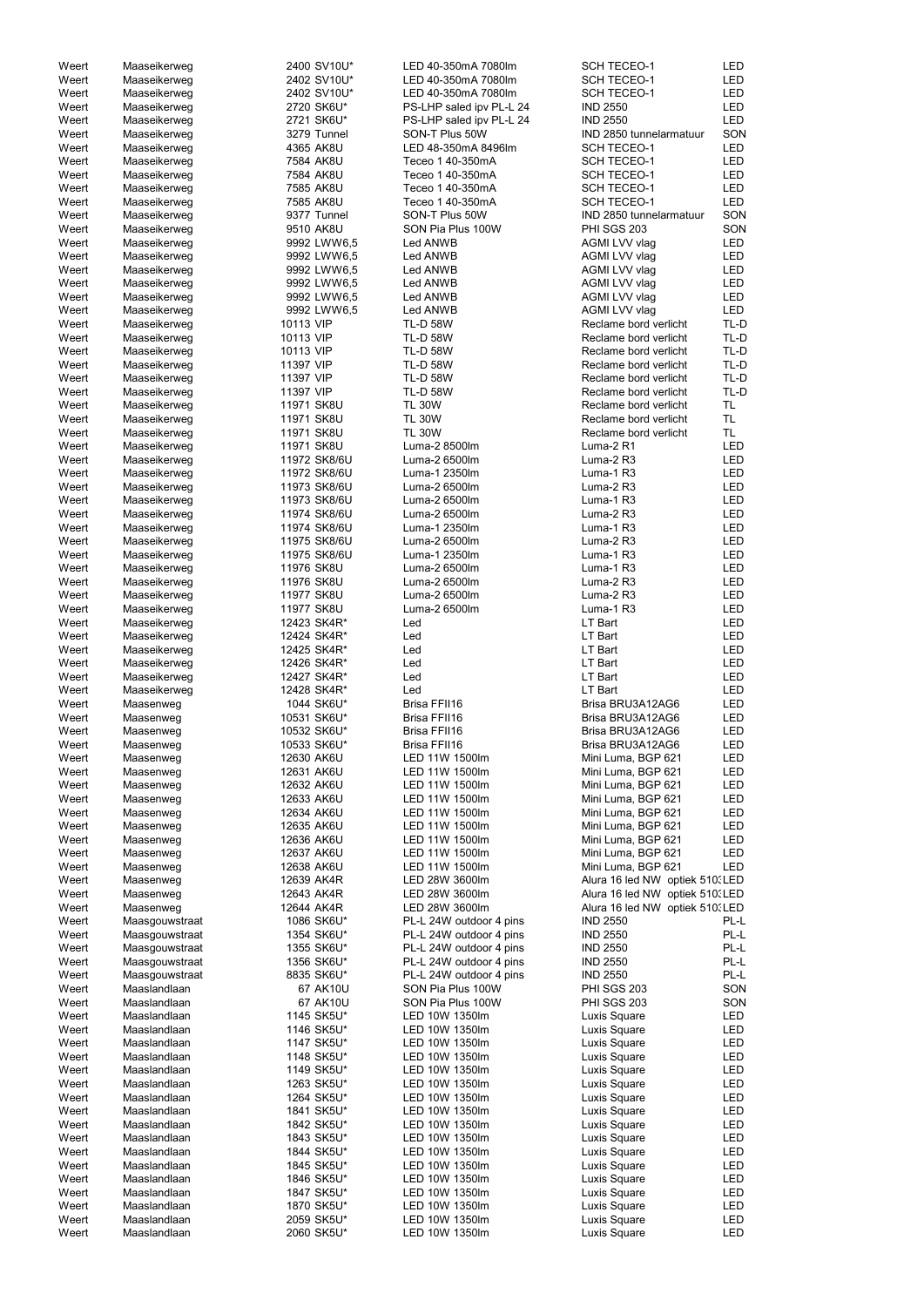| Weert | Maaseikerweg   | 2400 SV10U*  | LED 40-350mA 7080lm      | <b>SCH TECEO-1</b>              | LED        |
|-------|----------------|--------------|--------------------------|---------------------------------|------------|
| Weert | Maaseikerweg   | 2402 SV10U*  | LED 40-350mA 7080lm      | <b>SCH TECEO-1</b>              | <b>LED</b> |
| Weert | Maaseikerweg   | 2402 SV10U*  | LED 40-350mA 7080lm      | <b>SCH TECEO-1</b>              | <b>LED</b> |
| Weert | Maaseikerweg   | 2720 SK6U*   | PS-LHP saled ipv PL-L 24 | <b>IND 2550</b>                 | <b>LED</b> |
|       |                |              |                          |                                 |            |
| Weert | Maaseikerweg   | 2721 SK6U*   | PS-LHP saled ipv PL-L 24 | <b>IND 2550</b>                 | LED        |
| Weert | Maaseikerweg   | 3279 Tunnel  | SON-T Plus 50W           | IND 2850 tunnelarmatuur         | SON        |
| Weert | Maaseikerweg   | 4365 AK8U    | LED 48-350mA 8496lm      | <b>SCH TECEO-1</b>              | <b>LED</b> |
| Weert | Maaseikerweg   | 7584 AK8U    | Teceo 1 40-350mA         | <b>SCH TECEO-1</b>              | LED        |
|       |                | 7584 AK8U    | Teceo 1 40-350mA         |                                 | <b>LED</b> |
| Weert | Maaseikerweg   |              |                          | <b>SCH TECEO-1</b>              |            |
| Weert | Maaseikerweg   | 7585 AK8U    | Teceo 1 40-350mA         | <b>SCH TECEO-1</b>              | <b>LED</b> |
| Weert | Maaseikerweg   | 7585 AK8U    | Teceo 1 40-350mA         | <b>SCH TECEO-1</b>              | LED        |
| Weert | Maaseikerweg   | 9377 Tunnel  | SON-T Plus 50W           | IND 2850 tunnelarmatuur         | SON        |
|       |                |              |                          |                                 |            |
| Weert | Maaseikerweg   | 9510 AK8U    | SON Pia Plus 100W        | PHI SGS 203                     | SON        |
| Weert | Maaseikerweg   | 9992 LWW6,5  | Led ANWB                 | AGMI LVV vlag                   | <b>LED</b> |
| Weert | Maaseikerweg   | 9992 LWW6,5  | Led ANWB                 | AGMI LVV vlag                   | LED        |
| Weert | Maaseikerweg   | 9992 LWW6,5  | Led ANWB                 | AGMI LVV vlag                   | <b>LED</b> |
|       |                |              |                          |                                 |            |
| Weert | Maaseikerweg   | 9992 LWW6,5  | Led ANWB                 | AGMI LVV vlag                   | <b>LED</b> |
| Weert | Maaseikerweg   | 9992 LWW6,5  | Led ANWB                 | AGMI LVV vlag                   | <b>LED</b> |
| Weert | Maaseikerweg   | 9992 LWW6,5  | Led ANWB                 | AGMI LVV vlag                   | <b>LED</b> |
| Weert | Maaseikerweg   | 10113 VIP    | <b>TL-D 58W</b>          | Reclame bord verlicht           | TL-D       |
|       |                | 10113 VIP    |                          |                                 | TL-D       |
| Weert | Maaseikerweg   |              | <b>TL-D 58W</b>          | Reclame bord verlicht           |            |
| Weert | Maaseikerweg   | 10113 VIP    | <b>TL-D 58W</b>          | Reclame bord verlicht           | TL-D       |
| Weert | Maaseikerweg   | 11397 VIP    | <b>TL-D 58W</b>          | Reclame bord verlicht           | TL-D       |
| Weert | Maaseikerweg   | 11397 VIP    | <b>TL-D 58W</b>          | Reclame bord verlicht           | TL-D       |
| Weert | Maaseikerweg   | 11397 VIP    | <b>TL-D 58W</b>          | Reclame bord verlicht           | TL-D       |
|       |                |              |                          |                                 |            |
| Weert | Maaseikerweg   | 11971 SK8U   | <b>TL 30W</b>            | Reclame bord verlicht           | TL.        |
| Weert | Maaseikerweg   | 11971 SK8U   | <b>TL 30W</b>            | Reclame bord verlicht           | TL.        |
| Weert | Maaseikerweg   | 11971 SK8U   | <b>TL 30W</b>            | Reclame bord verlicht           | TL.        |
| Weert |                | 11971 SK8U   | Luma-2 8500lm            | Luma-2 R1                       | LED        |
|       | Maaseikerweg   |              |                          |                                 |            |
| Weert | Maaseikerweg   | 11972 SK8/6U | Luma-2 6500lm            | Luma-2 R3                       | LED        |
| Weert | Maaseikerweg   | 11972 SK8/6U | Luma-1 2350lm            | Luma-1 R3                       | <b>LED</b> |
| Weert | Maaseikerweg   | 11973 SK8/6U | Luma-2 6500lm            | Luma-2 R3                       | <b>LED</b> |
| Weert | Maaseikerweg   | 11973 SK8/6U | Luma-2 6500lm            | Luma-1 R3                       | <b>LED</b> |
|       |                |              |                          |                                 |            |
| Weert | Maaseikerweg   | 11974 SK8/6U | Luma-2 6500lm            | Luma-2 R3                       | <b>LED</b> |
| Weert | Maaseikerweg   | 11974 SK8/6U | Luma-1 2350lm            | Luma-1 R3                       | <b>LED</b> |
| Weert | Maaseikerweg   | 11975 SK8/6U | Luma-2 6500lm            | Luma-2 R3                       | <b>LED</b> |
| Weert |                | 11975 SK8/6U | Luma-1 2350lm            | Luma-1 R3                       | LED        |
|       | Maaseikerweg   |              |                          |                                 |            |
| Weert | Maaseikerweg   | 11976 SK8U   | Luma-2 6500lm            | Luma-1 R3                       | <b>LED</b> |
| Weert | Maaseikerweg   | 11976 SK8U   | Luma-2 6500lm            | Luma-2 R3                       | <b>LED</b> |
| Weert | Maaseikerweg   | 11977 SK8U   | Luma-2 6500lm            | Luma-2 R3                       | <b>LED</b> |
| Weert | Maaseikerweg   | 11977 SK8U   | Luma-2 6500lm            | Luma-1 R3                       | <b>LED</b> |
|       |                |              |                          |                                 |            |
| Weert | Maaseikerweg   | 12423 SK4R*  | Led                      | LT Bart                         | <b>LED</b> |
| Weert | Maaseikerweg   | 12424 SK4R*  | Led                      | LT Bart                         | <b>LED</b> |
| Weert | Maaseikerweg   | 12425 SK4R*  | Led                      | LT Bart                         | <b>LED</b> |
|       |                |              |                          |                                 |            |
| Weert | Maaseikerweg   | 12426 SK4R*  | Led                      | LT Bart                         | <b>LED</b> |
| Weert | Maaseikerweg   | 12427 SK4R*  | Led                      | LT Bart                         | <b>LED</b> |
| Weert | Maaseikerweg   | 12428 SK4R*  | Led                      | <b>LT Bart</b>                  | <b>LED</b> |
| Weert | Maasenweg      | 1044 SK6U*   | Brisa FFII16             | Brisa BRU3A12AG6                | LED        |
|       |                |              |                          |                                 |            |
| Weert | Maasenweg      | 10531 SK6U*  | Brisa FFII16             | Brisa BRU3A12AG6                | <b>LED</b> |
| Weert | Maasenweg      | 10532 SK6U*  | Brisa FFII16             | Brisa BRU3A12AG6                | <b>LED</b> |
| Weert | Maasenweg      | 10533 SK6U*  | Brisa FFII16             | Brisa BRU3A12AG6                | <b>LED</b> |
| Weert | Maasenweg      | 12630 AK6U   | LED 11W 1500lm           | Mini Luma, BGP 621              | <b>LED</b> |
|       |                |              |                          |                                 |            |
| Weert | Maasenweg      | 12631 AK6U   | LED 11W 1500lm           | Mini Luma, BGP 621              | <b>LED</b> |
| Weert | Maasenweg      | 12632 AK6U   | LED 11W 1500lm           | Mini Luma, BGP 621              | <b>LED</b> |
| Weert | Maasenweg      | 12633 AK6U   | LED 11W 1500lm           | Mini Luma, BGP 621              | <b>LED</b> |
| Weert | Maasenweg      | 12634 AK6U   | LED 11W 1500lm           | Mini Luma, BGP 621              | <b>LED</b> |
|       |                | 12635 AK6U   | LED 11W 1500lm           |                                 | <b>LED</b> |
| Weert | Maasenweg      |              |                          | Mini Luma, BGP 621              |            |
| Weert | Maasenweg      | 12636 AK6U   | LED 11W 1500lm           | Mini Luma, BGP 621              | <b>LED</b> |
| Weert | Maasenweg      | 12637 AK6U   | LED 11W 1500lm           | Mini Luma, BGP 621              | <b>LED</b> |
| Weert | Maasenweg      | 12638 AK6U   | LED 11W 1500lm           | Mini Luma, BGP 621              | <b>LED</b> |
| Weert | Maasenweg      | 12639 AK4R   | LED 28W 3600lm           | Alura 16 led NW optiek 510. LED |            |
|       |                |              |                          |                                 |            |
| Weert | Maasenweg      | 12643 AK4R   | LED 28W 3600lm           | Alura 16 led NW optiek 510. LED |            |
| Weert | Maasenweg      | 12644 AK4R   | LED 28W 3600lm           | Alura 16 led NW optiek 510. LED |            |
| Weert | Maasgouwstraat | 1086 SK6U*   | PL-L 24W outdoor 4 pins  | <b>IND 2550</b>                 | PL-L       |
| Weert | Maasgouwstraat | 1354 SK6U*   | PL-L 24W outdoor 4 pins  | <b>IND 2550</b>                 | PL-L       |
| Weert | Maasgouwstraat | 1355 SK6U*   | PL-L 24W outdoor 4 pins  | <b>IND 2550</b>                 | PL-L       |
|       |                |              |                          |                                 |            |
| Weert | Maasgouwstraat | 1356 SK6U*   | PL-L 24W outdoor 4 pins  | <b>IND 2550</b>                 | PL-L       |
| Weert | Maasgouwstraat | 8835 SK6U*   | PL-L 24W outdoor 4 pins  | <b>IND 2550</b>                 | PL-L       |
| Weert | Maaslandlaan   | 67 AK10U     | SON Pia Plus 100W        | <b>PHI SGS 203</b>              | SON        |
| Weert | Maaslandlaan   | 67 AK10U     | SON Pia Plus 100W        | PHI SGS 203                     | SON        |
|       |                |              |                          |                                 |            |
| Weert | Maaslandlaan   | 1145 SK5U*   | LED 10W 1350lm           | Luxis Square                    | <b>LED</b> |
| Weert | Maaslandlaan   | 1146 SK5U*   | LED 10W 1350lm           | Luxis Square                    | <b>LED</b> |
| Weert | Maaslandlaan   | 1147 SK5U*   | LED 10W 1350lm           | Luxis Square                    | LED        |
| Weert | Maaslandlaan   | 1148 SK5U*   | LED 10W 1350lm           | Luxis Square                    | LED        |
|       |                |              |                          |                                 |            |
| Weert | Maaslandlaan   | 1149 SK5U*   | LED 10W 1350lm           | Luxis Square                    | LED        |
| Weert | Maaslandlaan   | 1263 SK5U*   | LED 10W 1350lm           | Luxis Square                    | LED        |
| Weert | Maaslandlaan   | 1264 SK5U*   | LED 10W 1350lm           | Luxis Square                    | LED        |
| Weert | Maaslandlaan   | 1841 SK5U*   | LED 10W 1350lm           | Luxis Square                    | LED        |
|       |                |              |                          |                                 |            |
| Weert | Maaslandlaan   | 1842 SK5U*   | LED 10W 1350lm           | Luxis Square                    | LED        |
| Weert | Maaslandlaan   | 1843 SK5U*   | LED 10W 1350lm           | Luxis Square                    | LED        |
| Weert | Maaslandlaan   | 1844 SK5U*   | LED 10W 1350lm           | Luxis Square                    | LED        |
| Weert | Maaslandlaan   | 1845 SK5U*   | LED 10W 1350lm           | Luxis Square                    | LED        |
|       |                |              |                          |                                 |            |
| Weert | Maaslandlaan   | 1846 SK5U*   | LED 10W 1350lm           | Luxis Square                    | LED        |
| Weert | Maaslandlaan   | 1847 SK5U*   | LED 10W 1350lm           | Luxis Square                    | LED        |
| Weert | Maaslandlaan   | 1870 SK5U*   | LED 10W 1350lm           | Luxis Square                    | LED        |
| Weert | Maaslandlaan   | 2059 SK5U*   | LED 10W 1350lm           | Luxis Square                    | LED        |
|       |                |              |                          |                                 |            |
| Weert | Maaslandlaan   | 2060 SK5U*   | LED 10W 1350lm           | Luxis Square                    | <b>LED</b> |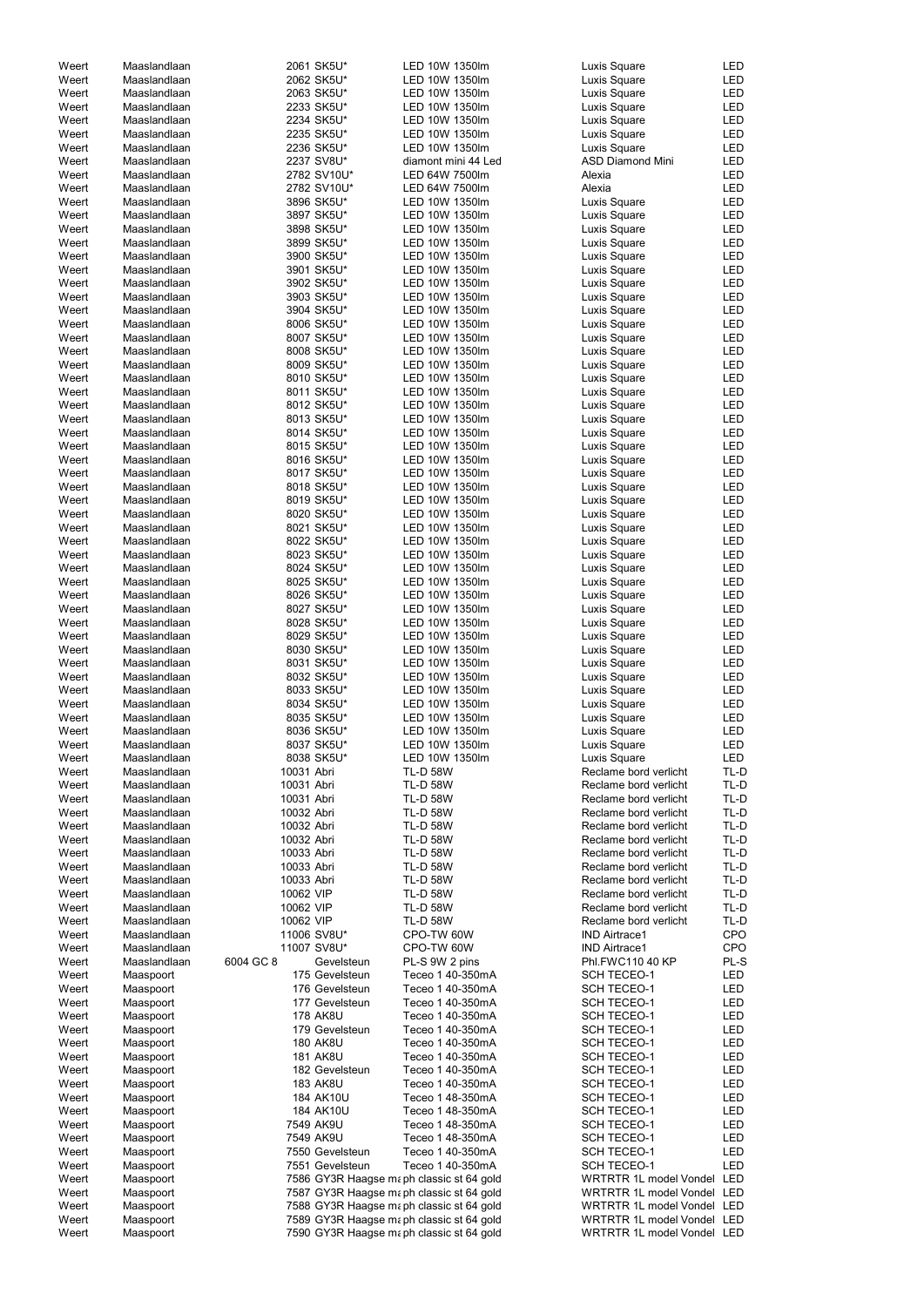| Weert | Maaslandlaan |            | 2061 SK5U*      | LED 10W 1350lm                           | Luxis Square                  | <b>LED</b> |
|-------|--------------|------------|-----------------|------------------------------------------|-------------------------------|------------|
| Weert | Maaslandlaan |            | 2062 SK5U*      | LED 10W 1350lm                           | Luxis Square                  | LED        |
| Weert | Maaslandlaan |            | 2063 SK5U*      | LED 10W 1350lm                           | Luxis Square                  | <b>LED</b> |
| Weert | Maaslandlaan |            | 2233 SK5U*      | LED 10W 1350lm                           | Luxis Square                  | <b>LED</b> |
| Weert | Maaslandlaan |            | 2234 SK5U*      | LED 10W 1350lm                           |                               | <b>LED</b> |
|       |              |            |                 |                                          | Luxis Square                  |            |
| Weert | Maaslandlaan |            | 2235 SK5U*      | LED 10W 1350lm                           | Luxis Square                  | <b>LED</b> |
| Weert | Maaslandlaan |            | 2236 SK5U*      | LED 10W 1350lm                           | Luxis Square                  | <b>LED</b> |
| Weert | Maaslandlaan |            | 2237 SV8U*      | diamont mini 44 Led                      | <b>ASD Diamond Mini</b>       | <b>LED</b> |
| Weert | Maaslandlaan |            | 2782 SV10U*     | LED 64W 7500lm                           | Alexia                        | <b>LED</b> |
| Weert | Maaslandlaan |            | 2782 SV10U*     | LED 64W 7500lm                           | Alexia                        | LED        |
| Weert | Maaslandlaan |            | 3896 SK5U*      | LED 10W 1350lm                           | Luxis Square                  | <b>LED</b> |
|       |              |            |                 |                                          |                               |            |
| Weert | Maaslandlaan |            | 3897 SK5U*      | LED 10W 1350lm                           | Luxis Square                  | <b>LED</b> |
| Weert | Maaslandlaan |            | 3898 SK5U*      | LED 10W 1350lm                           | Luxis Square                  | <b>LED</b> |
| Weert | Maaslandlaan |            | 3899 SK5U*      | LED 10W 1350lm                           | Luxis Square                  | <b>LED</b> |
| Weert | Maaslandlaan |            | 3900 SK5U*      | LED 10W 1350lm                           | Luxis Square                  | <b>LED</b> |
| Weert | Maaslandlaan |            | 3901 SK5U*      | LED 10W 1350lm                           | Luxis Square                  | <b>LED</b> |
|       |              |            | 3902 SK5U*      | LED 10W 1350lm                           |                               | <b>LED</b> |
| Weert | Maaslandlaan |            |                 |                                          | Luxis Square                  |            |
| Weert | Maaslandlaan |            | 3903 SK5U*      | LED 10W 1350lm                           | Luxis Square                  | LED        |
| Weert | Maaslandlaan |            | 3904 SK5U*      | LED 10W 1350lm                           | Luxis Square                  | <b>LED</b> |
| Weert | Maaslandlaan |            | 8006 SK5U*      | LED 10W 1350lm                           | Luxis Square                  | <b>LED</b> |
| Weert | Maaslandlaan |            | 8007 SK5U*      | LED 10W 1350lm                           | Luxis Square                  | <b>LED</b> |
| Weert | Maaslandlaan |            | 8008 SK5U*      | LED 10W 1350lm                           | Luxis Square                  | <b>LED</b> |
| Weert | Maaslandlaan |            | 8009 SK5U*      | LED 10W 1350lm                           |                               | <b>LED</b> |
|       |              |            |                 |                                          | Luxis Square                  |            |
| Weert | Maaslandlaan |            | 8010 SK5U*      | LED 10W 1350lm                           | Luxis Square                  | <b>LED</b> |
| Weert | Maaslandlaan |            | 8011 SK5U*      | LED 10W 1350lm                           | Luxis Square                  | <b>LED</b> |
| Weert | Maaslandlaan |            | 8012 SK5U*      | LED 10W 1350lm                           | Luxis Square                  | LED        |
| Weert | Maaslandlaan |            | 8013 SK5U*      | LED 10W 1350lm                           | Luxis Square                  | LED        |
| Weert | Maaslandlaan |            | 8014 SK5U*      | LED 10W 1350lm                           | Luxis Square                  | LED        |
|       |              |            |                 |                                          |                               |            |
| Weert | Maaslandlaan |            | 8015 SK5U*      | LED 10W 1350lm                           | Luxis Square                  | <b>LED</b> |
| Weert | Maaslandlaan |            | 8016 SK5U*      | LED 10W 1350lm                           | Luxis Square                  | <b>LED</b> |
| Weert | Maaslandlaan |            | 8017 SK5U*      | LED 10W 1350lm                           | Luxis Square                  | <b>LED</b> |
| Weert | Maaslandlaan |            | 8018 SK5U*      | LED 10W 1350lm                           | Luxis Square                  | <b>LED</b> |
| Weert | Maaslandlaan |            | 8019 SK5U*      | LED 10W 1350lm                           | Luxis Square                  | LED        |
| Weert | Maaslandlaan |            | 8020 SK5U*      | LED 10W 1350lm                           | Luxis Square                  | LED        |
|       |              |            |                 |                                          |                               |            |
| Weert | Maaslandlaan |            | 8021 SK5U*      | LED 10W 1350lm                           | Luxis Square                  | <b>LED</b> |
| Weert | Maaslandlaan |            | 8022 SK5U*      | LED 10W 1350lm                           | Luxis Square                  | <b>LED</b> |
| Weert | Maaslandlaan |            | 8023 SK5U*      | LED 10W 1350lm                           | Luxis Square                  | <b>LED</b> |
| Weert | Maaslandlaan |            | 8024 SK5U*      | LED 10W 1350lm                           | Luxis Square                  | <b>LED</b> |
| Weert | Maaslandlaan |            | 8025 SK5U*      | LED 10W 1350lm                           | Luxis Square                  | <b>LED</b> |
| Weert | Maaslandlaan |            | 8026 SK5U*      | LED 10W 1350lm                           | Luxis Square                  | <b>LED</b> |
|       |              |            |                 |                                          |                               |            |
| Weert | Maaslandlaan |            | 8027 SK5U*      | LED 10W 1350lm                           | Luxis Square                  | <b>LED</b> |
| Weert | Maaslandlaan |            | 8028 SK5U*      | LED 10W 1350lm                           | Luxis Square                  | LED        |
| Weert | Maaslandlaan |            | 8029 SK5U*      | LED 10W 1350lm                           | Luxis Square                  | LED        |
| Weert | Maaslandlaan |            | 8030 SK5U*      | LED 10W 1350lm                           | Luxis Square                  | LED        |
| Weert | Maaslandlaan |            | 8031 SK5U*      | LED 10W 1350lm                           | Luxis Square                  | LED        |
| Weert | Maaslandlaan |            | 8032 SK5U*      | LED 10W 1350lm                           | Luxis Square                  | <b>LED</b> |
|       |              |            |                 |                                          |                               |            |
| Weert | Maaslandlaan |            | 8033 SK5U*      | LED 10W 1350lm                           | Luxis Square                  | <b>LED</b> |
| Weert | Maaslandlaan |            | 8034 SK5U*      | LED 10W 1350lm                           | Luxis Square                  | <b>LED</b> |
| Weert | Maaslandlaan |            | 8035 SK5U*      | LED 10W 1350lm                           | Luxis Square                  | <b>LED</b> |
| Weert | Maaslandlaan |            | 8036 SK5U*      | LED 10W 1350lm                           | Luxis Square                  | <b>LED</b> |
| Weert | Maaslandlaan |            | 8037 SK5U*      | LED 10W 1350lm                           | Luxis Square                  | <b>LED</b> |
|       |              |            | 8038 SK5U*      | LED 10W 1350lm                           |                               | <b>LED</b> |
| Weert | Maaslandlaan |            |                 |                                          | Luxis Square                  |            |
| Weert | Maaslandlaan | 10031 Abri |                 | <b>TL-D 58W</b>                          | Reclame bord verlicht         | TL-D       |
| Weert | Maaslandlaan | 10031 Abri |                 | <b>TL-D 58W</b>                          | Reclame bord verlicht         | TL-D       |
| Weert | Maaslandlaan | 10031 Abri |                 | <b>TL-D 58W</b>                          | Reclame bord verlicht         | TL-D       |
| Weert | Maaslandlaan | 10032 Abri |                 | <b>TL-D 58W</b>                          | Reclame bord verlicht         | TL-D       |
| Weert | Maaslandlaan | 10032 Abri |                 | <b>TL-D 58W</b>                          | Reclame bord verlicht         | TL-D       |
|       |              | 10032 Abri |                 | <b>TL-D 58W</b>                          |                               | TL-D       |
| Weert | Maaslandlaan |            |                 |                                          | Reclame bord verlicht         |            |
| Weert | Maaslandlaan | 10033 Abri |                 | <b>TL-D 58W</b>                          | Reclame bord verlicht         | TL-D       |
| Weert | Maaslandlaan | 10033 Abri |                 | <b>TL-D 58W</b>                          | Reclame bord verlicht         | TL-D       |
| Weert | Maaslandlaan | 10033 Abri |                 | <b>TL-D 58W</b>                          | Reclame bord verlicht         | TL-D       |
| Weert | Maaslandlaan | 10062 VIP  |                 | <b>TL-D 58W</b>                          | Reclame bord verlicht         | TL-D       |
| Weert | Maaslandlaan | 10062 VIP  |                 | <b>TL-D 58W</b>                          | Reclame bord verlicht         | TL-D       |
|       |              |            |                 |                                          |                               |            |
| Weert | Maaslandlaan | 10062 VIP  |                 | <b>TL-D 58W</b>                          | Reclame bord verlicht         | TL-D       |
| Weert | Maaslandlaan |            | 11006 SV8U*     | CPO-TW 60W                               | <b>IND Airtrace1</b>          | <b>CPO</b> |
| Weert | Maaslandlaan |            | 11007 SV8U*     | CPO-TW 60W                               | <b>IND Airtrace1</b>          | <b>CPO</b> |
| Weert | Maaslandlaan | 6004 GC 8  | Gevelsteun      | PL-S 9W 2 pins                           | Phl.FWC110 40 KP              | PL-S       |
| Weert | Maaspoort    |            | 175 Gevelsteun  | Teceo 1 40-350mA                         | <b>SCH TECEO-1</b>            | LED        |
| Weert | Maaspoort    |            | 176 Gevelsteun  | Teceo 1 40-350mA                         | SCH TECEO-1                   | <b>LED</b> |
|       |              |            |                 |                                          |                               |            |
| Weert | Maaspoort    |            | 177 Gevelsteun  | Teceo 1 40-350mA                         | <b>SCH TECEO-1</b>            | <b>LED</b> |
| Weert | Maaspoort    |            | <b>178 AK8U</b> | Teceo 1 40-350mA                         | <b>SCH TECEO-1</b>            | <b>LED</b> |
| Weert | Maaspoort    |            | 179 Gevelsteun  | Teceo 1 40-350mA                         | <b>SCH TECEO-1</b>            | <b>LED</b> |
| Weert | Maaspoort    |            | <b>180 AK8U</b> | Teceo 1 40-350mA                         | <b>SCH TECEO-1</b>            | <b>LED</b> |
| Weert | Maaspoort    |            | <b>181 AK8U</b> | Teceo 1 40-350mA                         | <b>SCH TECEO-1</b>            | LED        |
|       |              |            |                 |                                          |                               |            |
| Weert | Maaspoort    |            | 182 Gevelsteun  | Teceo 1 40-350mA                         | <b>SCH TECEO-1</b>            | LED        |
| Weert | Maaspoort    |            | <b>183 AK8U</b> | Teceo 1 40-350mA                         | <b>SCH TECEO-1</b>            | LED        |
| Weert | Maaspoort    |            | 184 AK10U       | Teceo 1 48-350mA                         | <b>SCH TECEO-1</b>            | LED        |
| Weert | Maaspoort    |            | 184 AK10U       | Teceo 1 48-350mA                         | <b>SCH TECEO-1</b>            | LED        |
| Weert | Maaspoort    |            | 7549 AK9U       | Teceo 1 48-350mA                         | <b>SCH TECEO-1</b>            | LED        |
| Weert | Maaspoort    |            | 7549 AK9U       | Teceo 1 48-350mA                         | <b>SCH TECEO-1</b>            | LED        |
|       |              |            |                 |                                          |                               |            |
| Weert | Maaspoort    |            | 7550 Gevelsteun | Teceo 1 40-350mA                         | <b>SCH TECEO-1</b>            | <b>LED</b> |
| Weert | Maaspoort    |            | 7551 Gevelsteun | Teceo 1 40-350mA                         | <b>SCH TECEO-1</b>            | <b>LED</b> |
| Weert | Maaspoort    |            |                 | 7586 GY3R Haagse maph classic st 64 gold | <b>WRTRTR 1L model Vondel</b> | LED        |
| Weert | Maaspoort    |            |                 | 7587 GY3R Haagse maph classic st 64 gold | WRTRTR 1L model Vondel LED    |            |
| Weert | Maaspoort    |            |                 | 7588 GY3R Haagse maph classic st 64 gold | WRTRTR 1L model Vondel LED    |            |
| Weert | Maaspoort    |            |                 | 7589 GY3R Haagse maph classic st 64 gold | WRTRTR 1L model Vondel LED    |            |
|       |              |            |                 |                                          |                               |            |
| Weert | Maaspoort    |            |                 | 7590 GY3R Haagse maph classic st 64 gold | WRTRTR 1L model Vondel LED    |            |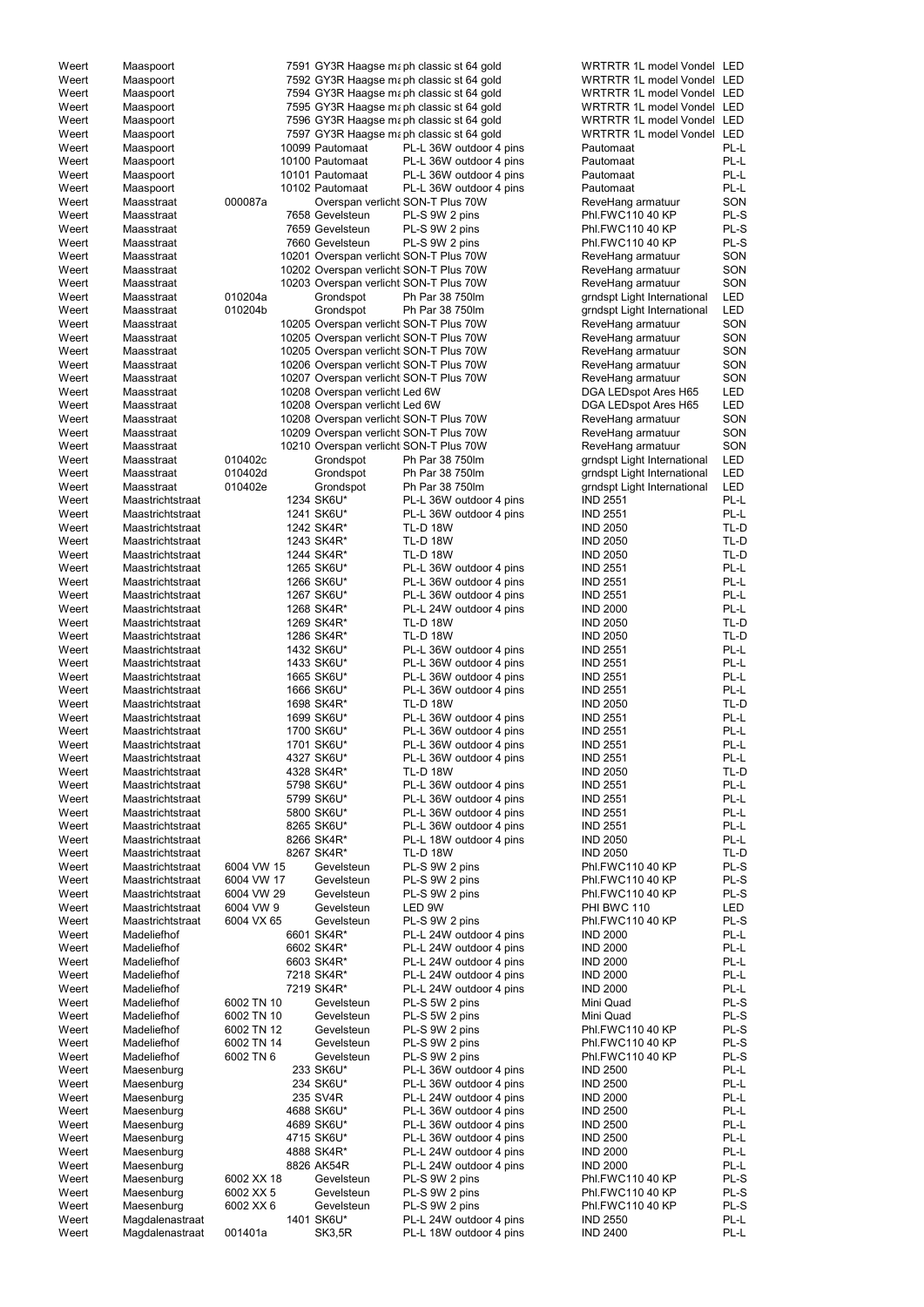| Weert | Maaspoort        |            |                                | 7591 GY3R Haagse maph classic st 64 gold | WRTRTR 1L model Vondel LED  |            |
|-------|------------------|------------|--------------------------------|------------------------------------------|-----------------------------|------------|
| Weert | Maaspoort        |            |                                | 7592 GY3R Haagse maph classic st 64 gold | WRTRTR 1L model Vondel LED  |            |
| Weert | Maaspoort        |            |                                | 7594 GY3R Haagse maph classic st 64 gold | WRTRTR 1L model Vondel LED  |            |
| Weert | Maaspoort        |            |                                | 7595 GY3R Haagse maph classic st 64 gold | WRTRTR 1L model Vondel LED  |            |
| Weert | Maaspoort        |            |                                |                                          | WRTRTR 1L model Vondel LED  |            |
|       |                  |            |                                | 7596 GY3R Haagse maph classic st 64 gold |                             |            |
| Weert | Maaspoort        |            |                                | 7597 GY3R Haagse maph classic st 64 gold | WRTRTR 1L model Vondel LED  |            |
| Weert | Maaspoort        |            | 10099 Pautomaat                | PL-L 36W outdoor 4 pins                  | Pautomaat                   | PL-L       |
| Weert | Maaspoort        |            | 10100 Pautomaat                | PL-L 36W outdoor 4 pins                  | Pautomaat                   | PL-L       |
| Weert | Maaspoort        |            | 10101 Pautomaat                | PL-L 36W outdoor 4 pins                  | Pautomaat                   | PL-L       |
| Weert | Maaspoort        |            | 10102 Pautomaat                | PL-L 36W outdoor 4 pins                  | Pautomaat                   | PL-L       |
| Weert | Maasstraat       | 000087a    |                                | Overspan verlicht SON-T Plus 70W         | ReveHang armatuur           | SON        |
| Weert | Maasstraat       |            | 7658 Gevelsteun                | PL-S 9W 2 pins                           | Phl.FWC110 40 KP            | PL-S       |
| Weert | Maasstraat       |            | 7659 Gevelsteun                | PL-S 9W 2 pins                           | Phl.FWC110 40 KP            | PL-S       |
| Weert | Maasstraat       |            | 7660 Gevelsteun                | PL-S 9W 2 pins                           | Phl.FWC110 40 KP            | PL-S       |
| Weert | Maasstraat       |            |                                | 10201 Overspan verlicht SON-T Plus 70W   | ReveHang armatuur           | SON        |
| Weert | Maasstraat       |            |                                | 10202 Overspan verlicht SON-T Plus 70W   | ReveHang armatuur           | SON        |
| Weert | Maasstraat       |            |                                | 10203 Overspan verlicht SON-T Plus 70W   | ReveHang armatuur           | SON        |
| Weert | Maasstraat       | 010204a    | Grondspot                      | Ph Par 38 750lm                          | grndspt Light International | LED        |
| Weert | Maasstraat       | 010204b    | Grondspot                      | Ph Par 38 750lm                          | grndspt Light International | <b>LED</b> |
| Weert | Maasstraat       |            |                                | 10205 Overspan verlicht SON-T Plus 70W   | ReveHang armatuur           | SON        |
| Weert | Maasstraat       |            |                                | 10205 Overspan verlicht SON-T Plus 70W   | ReveHang armatuur           | SON        |
| Weert | Maasstraat       |            |                                | 10205 Overspan verlicht SON-T Plus 70W   |                             | SON        |
|       |                  |            |                                |                                          | ReveHang armatuur           |            |
| Weert | Maasstraat       |            |                                | 10206 Overspan verlicht SON-T Plus 70W   | ReveHang armatuur           | SON        |
| Weert | Maasstraat       |            |                                | 10207 Overspan verlichti SON-T Plus 70W  | ReveHang armatuur           | SON        |
| Weert | Maasstraat       |            | 10208 Overspan verlicht Led 6W |                                          | DGA LEDspot Ares H65        | LED        |
| Weert | Maasstraat       |            | 10208 Overspan verlicht Led 6W |                                          | DGA LEDspot Ares H65        | <b>LED</b> |
| Weert | Maasstraat       |            |                                | 10208 Overspan verlicht SON-T Plus 70W   | ReveHang armatuur           | SON        |
| Weert | Maasstraat       |            |                                | 10209 Overspan verlicht SON-T Plus 70W   | ReveHang armatuur           | SON        |
| Weert | Maasstraat       |            |                                | 10210 Overspan verlicht SON-T Plus 70W   | ReveHang armatuur           | SON        |
| Weert | Maasstraat       | 010402c    | Grondspot                      | Ph Par 38 750lm                          | grndspt Light International | LED        |
| Weert | Maasstraat       | 010402d    | Grondspot                      | Ph Par 38 750lm                          | grndspt Light International | <b>LED</b> |
| Weert | Maasstraat       | 010402e    | Grondspot                      | Ph Par 38 750lm                          | grndspt Light International | <b>LED</b> |
| Weert | Maastrichtstraat |            | 1234 SK6U*                     | PL-L 36W outdoor 4 pins                  | <b>IND 2551</b>             | $PL-L$     |
| Weert | Maastrichtstraat |            | 1241 SK6U*                     | PL-L 36W outdoor 4 pins                  | <b>IND 2551</b>             | PL-L       |
| Weert | Maastrichtstraat |            | 1242 SK4R*                     | <b>TL-D 18W</b>                          | <b>IND 2050</b>             | TL-D       |
| Weert | Maastrichtstraat |            | 1243 SK4R*                     | <b>TL-D 18W</b>                          | <b>IND 2050</b>             | TL-D       |
|       |                  |            |                                | TL-D 18W                                 |                             |            |
| Weert | Maastrichtstraat |            | 1244 SK4R*                     |                                          | <b>IND 2050</b>             | TL-D       |
| Weert | Maastrichtstraat |            | 1265 SK6U*                     | PL-L 36W outdoor 4 pins                  | <b>IND 2551</b>             | PL-L       |
| Weert | Maastrichtstraat |            | 1266 SK6U*                     | PL-L 36W outdoor 4 pins                  | <b>IND 2551</b>             | PL-L       |
| Weert | Maastrichtstraat |            | 1267 SK6U*                     | PL-L 36W outdoor 4 pins                  | <b>IND 2551</b>             | PL-L       |
| Weert | Maastrichtstraat |            | 1268 SK4R*                     | PL-L 24W outdoor 4 pins                  | <b>IND 2000</b>             | PL-L       |
| Weert | Maastrichtstraat |            | 1269 SK4R*                     | <b>TL-D 18W</b>                          | <b>IND 2050</b>             | TL-D       |
| Weert | Maastrichtstraat |            | 1286 SK4R*                     | <b>TL-D 18W</b>                          | <b>IND 2050</b>             | TL-D       |
| Weert | Maastrichtstraat |            | 1432 SK6U*                     | PL-L 36W outdoor 4 pins                  | <b>IND 2551</b>             | PL-L       |
| Weert | Maastrichtstraat |            | 1433 SK6U*                     | PL-L 36W outdoor 4 pins                  | <b>IND 2551</b>             | PL-L       |
| Weert | Maastrichtstraat |            | 1665 SK6U*                     | PL-L 36W outdoor 4 pins                  | <b>IND 2551</b>             | PL-L       |
| Weert | Maastrichtstraat |            | 1666 SK6U*                     | PL-L 36W outdoor 4 pins                  | <b>IND 2551</b>             | PL-L       |
| Weert | Maastrichtstraat |            | 1698 SK4R*                     | <b>TL-D 18W</b>                          | <b>IND 2050</b>             | TL-D       |
| Weert | Maastrichtstraat |            | 1699 SK6U*                     | PL-L 36W outdoor 4 pins                  | <b>IND 2551</b>             | PL-L       |
| Weert | Maastrichtstraat |            | 1700 SK6U*                     | PL-L 36W outdoor 4 pins                  | <b>IND 2551</b>             | PL-L       |
| Weert | Maastrichtstraat |            | 1701 SK6U*                     | PL-L 36W outdoor 4 pins                  | <b>IND 2551</b>             | PL-L       |
|       |                  |            |                                |                                          |                             | PL-L       |
| Weert | Maastrichtstraat |            | 4327 SK6U*                     | PL-L 36W outdoor 4 pins                  | <b>IND 2551</b>             |            |
| Weert | Maastrichtstraat |            | 4328 SK4R*                     | <b>TL-D 18W</b>                          | <b>IND 2050</b>             | TL-D       |
| Weert | Maastrichtstraat |            | 5798 SK6U*                     | PL-L 36W outdoor 4 pins                  | <b>IND 2551</b>             | PL-L       |
| Weert | Maastrichtstraat |            | 5799 SK6U*                     | PL-L 36W outdoor 4 pins                  | <b>IND 2551</b>             | PL-L       |
| Weert | Maastrichtstraat |            | 5800 SK6U*                     | PL-L 36W outdoor 4 pins                  | <b>IND 2551</b>             | PL-L       |
| Weert | Maastrichtstraat |            | 8265 SK6U*                     | PL-L 36W outdoor 4 pins                  | <b>IND 2551</b>             | PL-L       |
| Weert | Maastrichtstraat |            | 8266 SK4R*                     | PL-L 18W outdoor 4 pins                  | <b>IND 2050</b>             | PL-L       |
| Weert | Maastrichtstraat |            | 8267 SK4R*                     | <b>TL-D 18W</b>                          | <b>IND 2050</b>             | TL-D       |
| Weert | Maastrichtstraat | 6004 VW 15 | Gevelsteun                     | PL-S 9W 2 pins                           | Phl.FWC110 40 KP            | PL-S       |
| Weert | Maastrichtstraat | 6004 VW 17 | Gevelsteun                     | PL-S 9W 2 pins                           | Phl.FWC110 40 KP            | PL-S       |
| Weert | Maastrichtstraat | 6004 VW 29 | Gevelsteun                     | PL-S 9W 2 pins                           | Phl.FWC110 40 KP            | PL-S       |
| Weert | Maastrichtstraat | 6004 VW 9  | Gevelsteun                     | LED 9W                                   | PHI BWC 110                 | <b>LED</b> |
| Weert | Maastrichtstraat | 6004 VX 65 | Gevelsteun                     | PL-S 9W 2 pins                           | Phl.FWC110 40 KP            | PL-S       |
| Weert | Madeliefhof      |            | 6601 SK4R*                     | PL-L 24W outdoor 4 pins                  | <b>IND 2000</b>             | PL-L       |
| Weert | Madeliefhof      |            | 6602 SK4R*                     | PL-L 24W outdoor 4 pins                  | <b>IND 2000</b>             | PL-L       |
| Weert | Madeliefhof      |            |                                |                                          |                             | PL-L       |
|       |                  |            | 6603 SK4R*                     | PL-L 24W outdoor 4 pins                  | <b>IND 2000</b>             | PL-L       |
| Weert | Madeliefhof      |            | 7218 SK4R*                     | PL-L 24W outdoor 4 pins                  | <b>IND 2000</b>             |            |
| Weert | Madeliefhof      |            | 7219 SK4R*                     | PL-L 24W outdoor 4 pins                  | <b>IND 2000</b>             | PL-L       |
| Weert | Madeliefhof      | 6002 TN 10 | Gevelsteun                     | PL-S 5W 2 pins                           | Mini Quad                   | PL-S       |
| Weert | Madeliefhof      | 6002 TN 10 | Gevelsteun                     | PL-S 5W 2 pins                           | Mini Quad                   | PL-S       |
| Weert | Madeliefhof      | 6002 TN 12 | Gevelsteun                     | PL-S 9W 2 pins                           | Phl.FWC110 40 KP            | PL-S       |
| Weert | Madeliefhof      | 6002 TN 14 | Gevelsteun                     | PL-S 9W 2 pins                           | Phl.FWC110 40 KP            | PL-S       |
| Weert | Madeliefhof      | 6002 TN 6  | Gevelsteun                     | PL-S 9W 2 pins                           | Phl.FWC110 40 KP            | PL-S       |
| Weert | Maesenburg       |            | 233 SK6U*                      | PL-L 36W outdoor 4 pins                  | <b>IND 2500</b>             | PL-L       |
| Weert | Maesenburg       |            | 234 SK6U*                      | PL-L 36W outdoor 4 pins                  | <b>IND 2500</b>             | PL-L       |
| Weert | Maesenburg       |            | 235 SV4R                       | PL-L 24W outdoor 4 pins                  | <b>IND 2000</b>             | PL-L       |
| Weert | Maesenburg       |            | 4688 SK6U*                     | PL-L 36W outdoor 4 pins                  | <b>IND 2500</b>             | PL-L       |
| Weert | Maesenburg       |            | 4689 SK6U*                     | PL-L 36W outdoor 4 pins                  | <b>IND 2500</b>             | PL-L       |
| Weert | Maesenburg       |            | 4715 SK6U*                     | PL-L 36W outdoor 4 pins                  | <b>IND 2500</b>             | PL-L       |
| Weert | Maesenburg       |            | 4888 SK4R*                     | PL-L 24W outdoor 4 pins                  | <b>IND 2000</b>             | PL-L       |
|       |                  |            |                                |                                          |                             |            |
| Weert | Maesenburg       |            | 8826 AK54R                     | PL-L 24W outdoor 4 pins                  | <b>IND 2000</b>             | PL-L       |
| Weert | Maesenburg       | 6002 XX 18 | Gevelsteun                     | PL-S 9W 2 pins                           | Phl.FWC110 40 KP            | PL-S       |
| Weert | Maesenburg       | 6002 XX 5  | Gevelsteun                     | PL-S 9W 2 pins                           | Phl.FWC110 40 KP            | PL-S       |
| Weert | Maesenburg       | 6002 XX 6  | Gevelsteun                     | PL-S 9W 2 pins                           | Phl.FWC110 40 KP            | PL-S       |
| Weert | Magdalenastraat  |            | 1401 SK6U*                     | PL-L 24W outdoor 4 pins                  | <b>IND 2550</b>             | PL-L       |
| Weert | Magdalenastraat  | 001401a    | SK3,5R                         | PL-L 18W outdoor 4 pins                  | <b>IND 2400</b>             | PL-L       |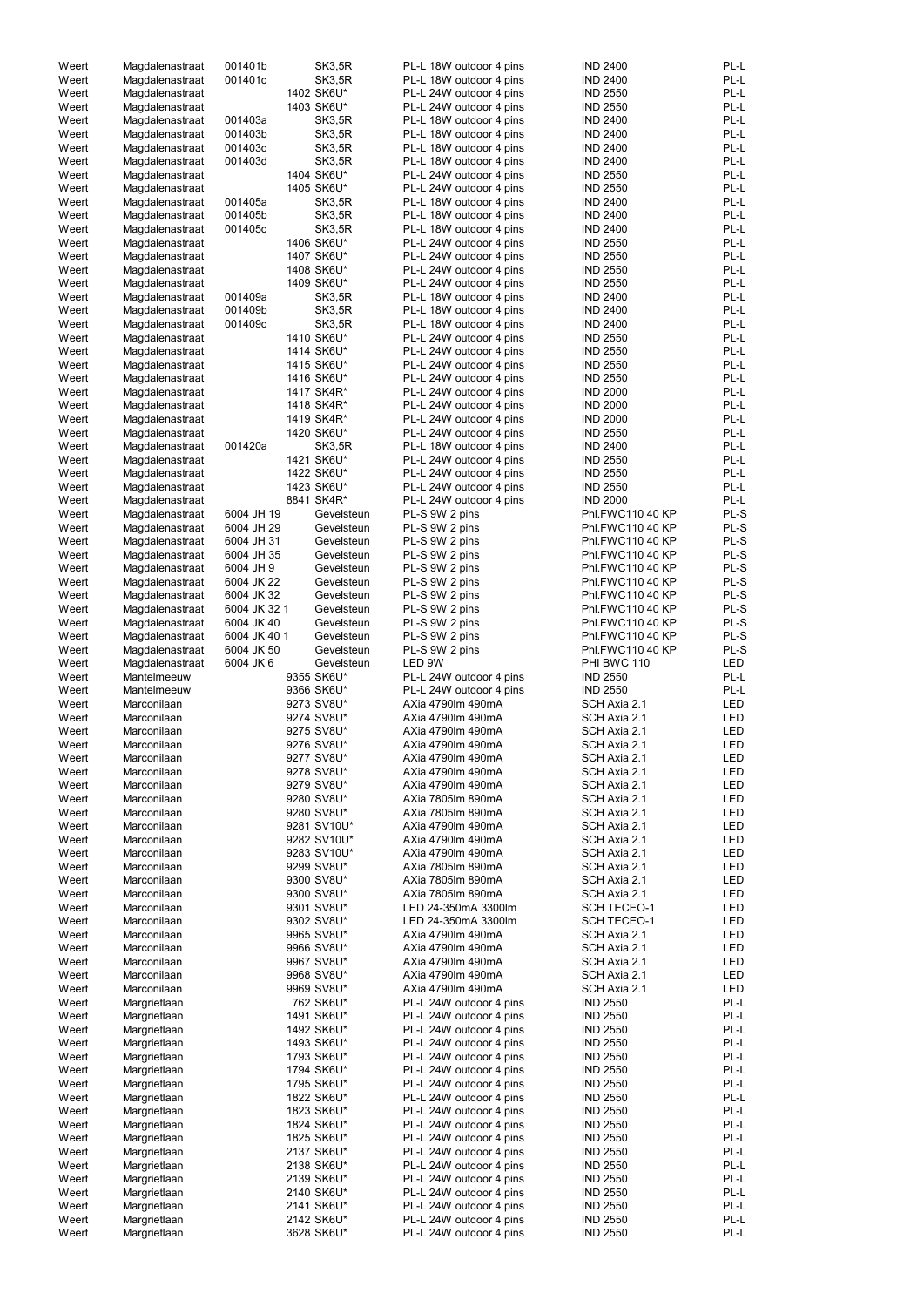| Weert          | Magdalenastraat              | 001401b      |            | <b>SK3,5R</b>            | PL-L 18W outdoor 4 pins                            | <b>IND 2400</b>                    | PL-L<br>PL-L |
|----------------|------------------------------|--------------|------------|--------------------------|----------------------------------------------------|------------------------------------|--------------|
| Weert          | Magdalenastraat              | 001401c      |            | SK3,5R                   | PL-L 18W outdoor 4 pins                            | <b>IND 2400</b>                    |              |
| Weert          | Magdalenastraat              |              |            | 1402 SK6U*               | PL-L 24W outdoor 4 pins                            | <b>IND 2550</b>                    | PL-L         |
| Weert          | Magdalenastraat              |              |            | 1403 SK6U*               | PL-L 24W outdoor 4 pins                            | <b>IND 2550</b>                    | PL-L         |
| Weert          | Magdalenastraat              | 001403a      |            | <b>SK3,5R</b>            | PL-L 18W outdoor 4 pins                            | <b>IND 2400</b>                    | PL-L         |
| Weert          | Magdalenastraat              | 001403b      |            | <b>SK3,5R</b>            | PL-L 18W outdoor 4 pins                            | <b>IND 2400</b>                    | PL-L         |
| Weert          | Magdalenastraat              | 001403c      |            | SK3,5R                   | PL-L 18W outdoor 4 pins                            | <b>IND 2400</b>                    | PL-L         |
| Weert          | Magdalenastraat              | 001403d      |            | SK3,5R                   | PL-L 18W outdoor 4 pins                            | <b>IND 2400</b>                    | PL-L         |
| Weert          | Magdalenastraat              |              |            | 1404 SK6U*               | PL-L 24W outdoor 4 pins                            | <b>IND 2550</b>                    | PL-L         |
| Weert          | Magdalenastraat              |              |            | 1405 SK6U*               | PL-L 24W outdoor 4 pins                            | <b>IND 2550</b>                    | PL-L         |
| Weert          | Magdalenastraat              | 001405a      |            | SK3,5R                   | PL-L 18W outdoor 4 pins                            | <b>IND 2400</b>                    | PL-L         |
| Weert          | Magdalenastraat              | 001405b      |            | <b>SK3,5R</b>            | PL-L 18W outdoor 4 pins                            | <b>IND 2400</b>                    | PL-L         |
| Weert          | Magdalenastraat              | 001405c      |            | <b>SK3,5R</b>            | PL-L 18W outdoor 4 pins                            | <b>IND 2400</b>                    | PL-L         |
| Weert          | Magdalenastraat              |              |            | 1406 SK6U*               | PL-L 24W outdoor 4 pins                            | <b>IND 2550</b>                    | PL-L         |
| Weert          | Magdalenastraat              |              |            | 1407 SK6U*               | PL-L 24W outdoor 4 pins                            | <b>IND 2550</b>                    | PL-L         |
| Weert          | Magdalenastraat              |              |            | 1408 SK6U*               | PL-L 24W outdoor 4 pins                            | <b>IND 2550</b>                    | PL-L         |
| Weert          | Magdalenastraat              |              |            | 1409 SK6U*               | PL-L 24W outdoor 4 pins                            | <b>IND 2550</b>                    | PL-L         |
| Weert          | Magdalenastraat              | 001409a      |            | <b>SK3,5R</b>            | PL-L 18W outdoor 4 pins                            | <b>IND 2400</b>                    | PL-L         |
| Weert          | Magdalenastraat              | 001409b      |            | SK3,5R                   | PL-L 18W outdoor 4 pins                            | <b>IND 2400</b>                    | PL-L         |
| Weert          | Magdalenastraat              | 001409c      |            | SK3,5R                   | PL-L 18W outdoor 4 pins                            | <b>IND 2400</b>                    | PL-L         |
| Weert          | Magdalenastraat              |              |            | 1410 SK6U*               | PL-L 24W outdoor 4 pins                            | <b>IND 2550</b>                    | PL-L         |
| Weert          | Magdalenastraat              |              |            | 1414 SK6U*               | PL-L 24W outdoor 4 pins                            | <b>IND 2550</b>                    | PL-L         |
| Weert          | Magdalenastraat              |              |            | 1415 SK6U*               | PL-L 24W outdoor 4 pins                            | <b>IND 2550</b>                    | PL-L         |
| Weert          | Magdalenastraat              |              |            | 1416 SK6U*               | PL-L 24W outdoor 4 pins                            | <b>IND 2550</b>                    | PL-L         |
| Weert          | Magdalenastraat              |              |            | 1417 SK4R*               | PL-L 24W outdoor 4 pins                            | <b>IND 2000</b>                    | PL-L         |
| Weert          | Magdalenastraat              |              |            | 1418 SK4R*               | PL-L 24W outdoor 4 pins                            | <b>IND 2000</b>                    | PL-L         |
| Weert          | Magdalenastraat              |              |            | 1419 SK4R*               | PL-L 24W outdoor 4 pins                            | <b>IND 2000</b>                    | PL-L         |
| Weert          | Magdalenastraat              |              |            | 1420 SK6U*               | PL-L 24W outdoor 4 pins                            | <b>IND 2550</b>                    | PL-L         |
|                |                              | 001420a      |            | SK3,5R                   |                                                    | <b>IND 2400</b>                    | PL-L         |
| Weert          | Magdalenastraat              |              |            |                          | PL-L 18W outdoor 4 pins                            |                                    |              |
| Weert          | Magdalenastraat              |              |            | 1421 SK6U*               | PL-L 24W outdoor 4 pins                            | <b>IND 2550</b>                    | PL-L<br>PL-L |
| Weert          | Magdalenastraat              |              |            | 1422 SK6U*               | PL-L 24W outdoor 4 pins                            | <b>IND 2550</b>                    |              |
| Weert          | Magdalenastraat              |              |            | 1423 SK6U*               | PL-L 24W outdoor 4 pins                            | <b>IND 2550</b>                    | PL-L         |
| Weert          | Magdalenastraat              |              |            | 8841 SK4R*               | PL-L 24W outdoor 4 pins                            | <b>IND 2000</b>                    | PL-L         |
| Weert          | Magdalenastraat              | 6004 JH 19   |            | Gevelsteun               | PL-S 9W 2 pins                                     | Phl.FWC110 40 KP                   | PL-S         |
| Weert          | Magdalenastraat              | 6004 JH 29   |            | Gevelsteun               | PL-S 9W 2 pins                                     | Phl.FWC110 40 KP                   | PL-S         |
| Weert          | Magdalenastraat              | 6004 JH 31   |            | Gevelsteun               | PL-S 9W 2 pins                                     | Phl.FWC110 40 KP                   | PL-S         |
| Weert          | Magdalenastraat              | 6004 JH 35   |            | Gevelsteun               | PL-S 9W 2 pins                                     | Phl.FWC110 40 KP                   | PL-S         |
| Weert          | Magdalenastraat              | 6004 JH 9    |            | Gevelsteun               | PL-S 9W 2 pins                                     | Phl.FWC110 40 KP                   | PL-S         |
| Weert          | Magdalenastraat              | 6004 JK 22   |            | Gevelsteun               | PL-S 9W 2 pins                                     | Phl.FWC110 40 KP                   | PL-S         |
| Weert          | Magdalenastraat              | 6004 JK 32   |            | Gevelsteun               | PL-S 9W 2 pins                                     | Phl.FWC110 40 KP                   | PL-S         |
| Weert          | Magdalenastraat              | 6004 JK 32 1 |            | Gevelsteun               | PL-S 9W 2 pins                                     | Phl.FWC110 40 KP                   | PL-S         |
| Weert          | Magdalenastraat              | 6004 JK 40   |            | Gevelsteun               | PL-S 9W 2 pins                                     | Phl.FWC110 40 KP                   | PL-S         |
| Weert          | Magdalenastraat              | 6004 JK 40 1 |            | Gevelsteun               | PL-S 9W 2 pins                                     | Phl.FWC110 40 KP                   | PL-S         |
| Weert          | Magdalenastraat              | 6004 JK 50   |            | Gevelsteun               | PL-S 9W 2 pins                                     | Phl.FWC110 40 KP                   | PL-S         |
| Weert          | Magdalenastraat              | 6004 JK 6    |            | Gevelsteun               | LED 9W                                             | PHI BWC 110                        | <b>LED</b>   |
| Weert          | Mantelmeeuw                  |              |            | 9355 SK6U*               | PL-L 24W outdoor 4 pins                            | <b>IND 2550</b>                    | PL-L         |
| Weert          | Mantelmeeuw                  |              |            | 9366 SK6U*               | PL-L 24W outdoor 4 pins                            | <b>IND 2550</b>                    | PL-L         |
| Weert          | Marconilaan                  |              |            | 9273 SV8U*               | AXia 4790lm 490mA                                  | SCH Axia 2.1                       | LED          |
| Weert          | Marconilaan                  |              |            | 9274 SV8U*               | AXia 4790lm 490mA                                  | SCH Axia 2.1                       | LED          |
| Weert          | Marconilaan                  |              |            | 9275 SV8U*               | AXia 4790lm 490mA                                  | SCH Axia 2.1                       | LED          |
| Weert          | Marconilaan                  |              |            | 9276 SV8U*               | AXia 4790lm 490mA                                  | SCH Axia 2.1                       | LED          |
| Weert          | Marconilaan                  |              |            | 9277 SV8U*               | AXia 4790lm 490mA                                  | SCH Axia 2.1                       | LED          |
| Weert          | Marconilaan                  |              |            | 9278 SV8U*               | AXia 4790lm 490mA                                  | SCH Axia 2.1                       | <b>LED</b>   |
| Weert          | Marconilaan                  |              |            | 9279 SV8U*               | AXia 4790lm 490mA                                  | SCH Axia 2.1                       | LED          |
|                |                              |              |            |                          |                                                    |                                    |              |
| Weert          | Marconilaan                  |              |            | 9280 SV8U*               | AXia 7805lm 890mA                                  | SCH Axia 2.1                       | <b>LED</b>   |
| Weert          | Marconilaan                  |              |            | 9280 SV8U*               | AXia 7805lm 890mA                                  | SCH Axia 2.1                       | LED          |
| Weert          | Marconilaan                  |              |            | 9281 SV10U*              | AXia 4790lm 490mA                                  | SCH Axia 2.1                       | LED          |
| Weert          | Marconilaan                  |              |            | 9282 SV10U*              | AXia 4790lm 490mA                                  | SCH Axia 2.1                       | LED          |
| Weert          | Marconilaan                  |              |            | 9283 SV10U*              | AXia 4790lm 490mA                                  | SCH Axia 2.1                       | LED          |
| Weert          | Marconilaan                  |              |            | 9299 SV8U*               | AXia 7805lm 890mA                                  | SCH Axia 2.1                       | LED          |
| Weert          | Marconilaan                  |              |            | 9300 SV8U*               | AXia 7805lm 890mA                                  | SCH Axia 2.1                       | LED          |
| Weert          | Marconilaan                  |              |            | 9300 SV8U*               | AXia 7805lm 890mA                                  | SCH Axia 2.1                       | LED          |
| Weert          | Marconilaan                  |              |            | 9301 SV8U*               | LED 24-350mA 3300lm                                | <b>SCH TECEO-1</b>                 | LED          |
| Weert          | Marconilaan                  |              |            | 9302 SV8U*               | LED 24-350mA 3300lm                                | <b>SCH TECEO-1</b>                 | LED          |
| Weert          | Marconilaan                  |              |            | 9965 SV8U*               | AXia 4790lm 490mA                                  | SCH Axia 2.1                       | LED          |
| Weert          | Marconilaan                  |              |            | 9966 SV8U*               | AXia 4790lm 490mA                                  | SCH Axia 2.1                       | LED          |
| Weert          | Marconilaan                  |              |            | 9967 SV8U*               | AXia 4790lm 490mA                                  | SCH Axia 2.1                       | LED          |
| Weert          |                              |              |            |                          |                                                    | SCH Axia 2.1                       |              |
| Weert          | Marconilaan                  |              | 9968 SV8U* |                          | AXia 4790lm 490mA                                  |                                    | LED          |
|                | Marconilaan                  |              |            | 9969 SV8U*               | AXia 4790lm 490mA                                  | SCH Axia 2.1                       | LED          |
| Weert          | Margrietlaan                 |              |            | 762 SK6U*                | PL-L 24W outdoor 4 pins                            | <b>IND 2550</b>                    | PL-L         |
| Weert          | Margrietlaan                 |              |            | 1491 SK6U*               | PL-L 24W outdoor 4 pins                            | <b>IND 2550</b>                    | PL-L         |
| Weert          | Margrietlaan                 |              |            | 1492 SK6U*               | PL-L 24W outdoor 4 pins                            | <b>IND 2550</b>                    | PL-L         |
| Weert          | Margrietlaan                 |              |            | 1493 SK6U*               | PL-L 24W outdoor 4 pins                            | <b>IND 2550</b>                    | PL-L         |
| Weert          | Margrietlaan                 |              |            | 1793 SK6U*               | PL-L 24W outdoor 4 pins                            | <b>IND 2550</b>                    | PL-L         |
| Weert          | Margrietlaan                 |              |            | 1794 SK6U*               | PL-L 24W outdoor 4 pins                            | <b>IND 2550</b>                    | PL-L         |
| Weert          | Margrietlaan                 |              |            | 1795 SK6U*               | PL-L 24W outdoor 4 pins                            | <b>IND 2550</b>                    | PL-L         |
| Weert          |                              |              |            |                          |                                                    | <b>IND 2550</b>                    | PL-L         |
|                | Margrietlaan                 |              |            | 1822 SK6U*               | PL-L 24W outdoor 4 pins                            |                                    |              |
| Weert          | Margrietlaan                 |              |            | 1823 SK6U*               | PL-L 24W outdoor 4 pins                            | <b>IND 2550</b>                    | PL-L         |
| Weert          | Margrietlaan                 |              |            | 1824 SK6U*               | PL-L 24W outdoor 4 pins                            | <b>IND 2550</b>                    | PL-L         |
| Weert          | Margrietlaan                 |              |            | 1825 SK6U*               | PL-L 24W outdoor 4 pins                            | <b>IND 2550</b>                    | PL-L         |
| Weert          | Margrietlaan                 |              |            | 2137 SK6U*               | PL-L 24W outdoor 4 pins                            | <b>IND 2550</b>                    | PL-L         |
| Weert          | Margrietlaan                 |              |            | 2138 SK6U*               | PL-L 24W outdoor 4 pins                            | <b>IND 2550</b>                    | PL-L         |
| Weert          | Margrietlaan                 |              |            | 2139 SK6U*               | PL-L 24W outdoor 4 pins                            | <b>IND 2550</b>                    | PL-L         |
| Weert          | Margrietlaan                 |              |            | 2140 SK6U*               | PL-L 24W outdoor 4 pins                            | <b>IND 2550</b>                    | PL-L         |
| Weert          | Margrietlaan                 |              |            | 2141 SK6U*               | PL-L 24W outdoor 4 pins                            | <b>IND 2550</b>                    | PL-L         |
| Weert<br>Weert | Margrietlaan<br>Margrietlaan |              |            | 2142 SK6U*<br>3628 SK6U* | PL-L 24W outdoor 4 pins<br>PL-L 24W outdoor 4 pins | <b>IND 2550</b><br><b>IND 2550</b> | PL-L<br>PL-L |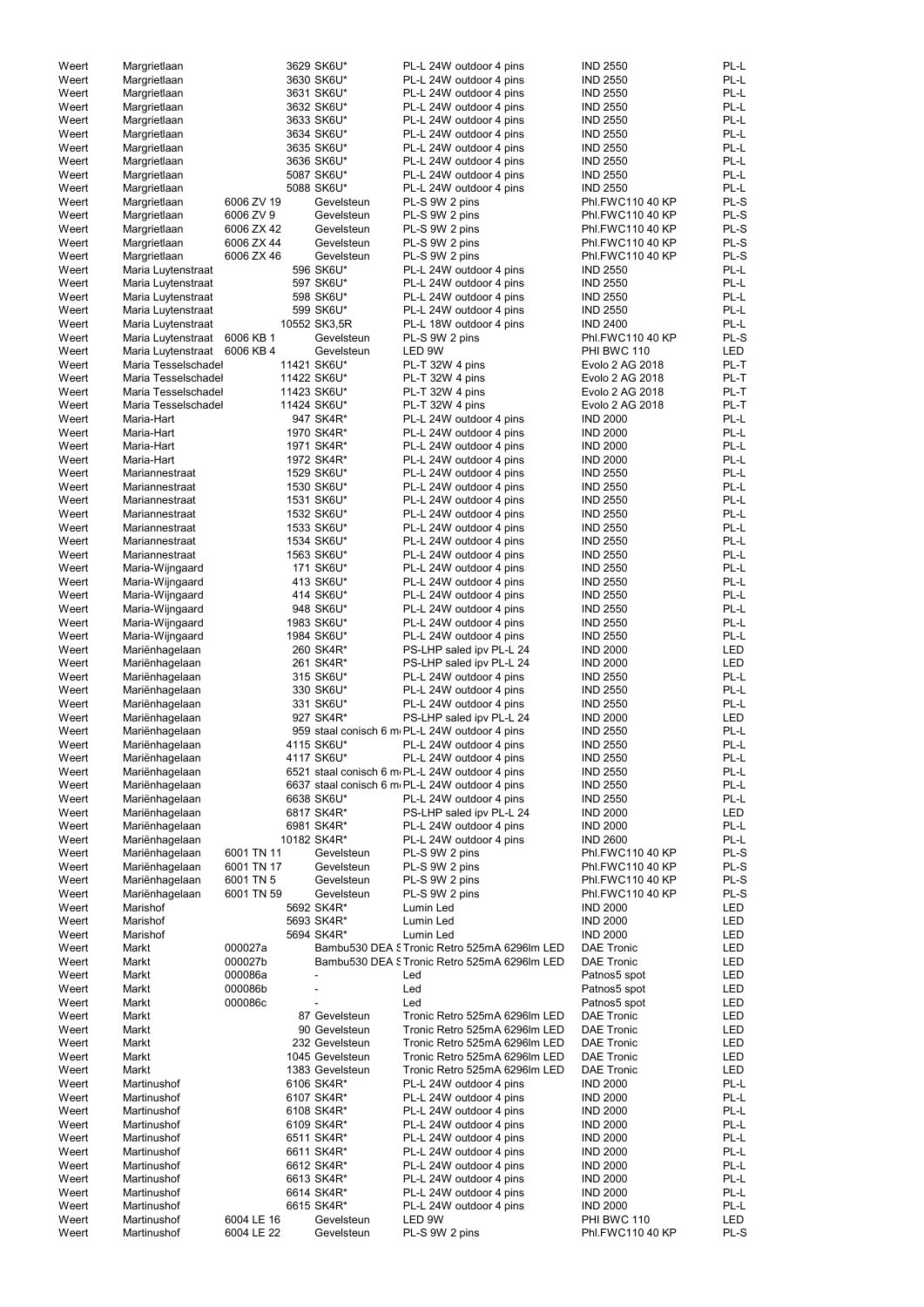|       |                     |            |                 |                                                | <b>IND 2550</b>   |            |
|-------|---------------------|------------|-----------------|------------------------------------------------|-------------------|------------|
| Weert | Margrietlaan        |            | 3629 SK6U*      | PL-L 24W outdoor 4 pins                        |                   | PL-L       |
| Weert | Margrietlaan        |            | 3630 SK6U*      | PL-L 24W outdoor 4 pins                        | <b>IND 2550</b>   | PL-L       |
| Weert | Margrietlaan        |            | 3631 SK6U*      | PL-L 24W outdoor 4 pins                        | <b>IND 2550</b>   | PL-L       |
| Weert | Margrietlaan        |            | 3632 SK6U*      | PL-L 24W outdoor 4 pins                        | <b>IND 2550</b>   | PL-L       |
| Weert | Margrietlaan        |            | 3633 SK6U*      | PL-L 24W outdoor 4 pins                        | <b>IND 2550</b>   | PL-L       |
| Weert | Margrietlaan        |            | 3634 SK6U*      | PL-L 24W outdoor 4 pins                        | <b>IND 2550</b>   | PL-L       |
| Weert | Margrietlaan        |            | 3635 SK6U*      | PL-L 24W outdoor 4 pins                        | <b>IND 2550</b>   | PL-L       |
|       |                     |            |                 |                                                |                   |            |
| Weert | Margrietlaan        |            | 3636 SK6U*      | PL-L 24W outdoor 4 pins                        | <b>IND 2550</b>   | PL-L       |
| Weert | Margrietlaan        |            | 5087 SK6U*      | PL-L 24W outdoor 4 pins                        | <b>IND 2550</b>   | PL-L       |
| Weert | Margrietlaan        |            | 5088 SK6U*      | PL-L 24W outdoor 4 pins                        | <b>IND 2550</b>   | PL-L       |
| Weert | Margrietlaan        | 6006 ZV 19 | Gevelsteun      | PL-S 9W 2 pins                                 | Phl.FWC110 40 KP  | PL-S       |
| Weert | Margrietlaan        | 6006 ZV 9  | Gevelsteun      | PL-S 9W 2 pins                                 | Phl.FWC110 40 KP  | PL-S       |
| Weert | Margrietlaan        | 6006 ZX 42 | Gevelsteun      | PL-S 9W 2 pins                                 | Phl.FWC110 40 KP  | PL-S       |
|       |                     | 6006 ZX 44 | Gevelsteun      |                                                | Phl.FWC110 40 KP  | PL-S       |
| Weert | Margrietlaan        |            |                 | PL-S 9W 2 pins                                 |                   |            |
| Weert | Margrietlaan        | 6006 ZX 46 | Gevelsteun      | PL-S 9W 2 pins                                 | Phl.FWC110 40 KP  | PL-S       |
| Weert | Maria Luytenstraat  |            | 596 SK6U*       | PL-L 24W outdoor 4 pins                        | <b>IND 2550</b>   | PL-L       |
| Weert | Maria Luytenstraat  |            | 597 SK6U*       | PL-L 24W outdoor 4 pins                        | <b>IND 2550</b>   | PL-L       |
| Weert | Maria Luytenstraat  |            | 598 SK6U*       | PL-L 24W outdoor 4 pins                        | <b>IND 2550</b>   | PL-L       |
| Weert | Maria Luytenstraat  |            | 599 SK6U*       | PL-L 24W outdoor 4 pins                        | <b>IND 2550</b>   | PL-L       |
| Weert |                     |            | 10552 SK3,5R    | PL-L 18W outdoor 4 pins                        | <b>IND 2400</b>   | PL-L       |
|       | Maria Luytenstraat  |            |                 |                                                |                   |            |
| Weert | Maria Luytenstraat  | 6006 KB 1  | Gevelsteun      | PL-S 9W 2 pins                                 | Phl.FWC110 40 KP  | PL-S       |
| Weert | Maria Luytenstraat  | 6006 KB 4  | Gevelsteun      | LED 9W                                         | PHI BWC 110       | <b>LED</b> |
| Weert | Maria Tesselschadel |            | 11421 SK6U*     | PL-T 32W 4 pins                                | Evolo 2 AG 2018   | PL-T       |
| Weert | Maria Tesselschadel |            | 11422 SK6U*     | PL-T 32W 4 pins                                | Evolo 2 AG 2018   | PL-T       |
| Weert | Maria Tesselschadel |            | 11423 SK6U*     | PL-T 32W 4 pins                                | Evolo 2 AG 2018   | PL-T       |
|       |                     |            |                 |                                                |                   |            |
| Weert | Maria Tesselschadel |            | 11424 SK6U*     | PL-T 32W 4 pins                                | Evolo 2 AG 2018   | PL-T       |
| Weert | Maria-Hart          |            | 947 SK4R*       | PL-L 24W outdoor 4 pins                        | <b>IND 2000</b>   | PL-L       |
| Weert | Maria-Hart          |            | 1970 SK4R*      | PL-L 24W outdoor 4 pins                        | <b>IND 2000</b>   | PL-L       |
| Weert | Maria-Hart          |            | 1971 SK4R*      | PL-L 24W outdoor 4 pins                        | <b>IND 2000</b>   | PL-L       |
| Weert | Maria-Hart          |            | 1972 SK4R*      | PL-L 24W outdoor 4 pins                        | <b>IND 2000</b>   | PL-L       |
| Weert | Mariannestraat      |            | 1529 SK6U*      | PL-L 24W outdoor 4 pins                        | <b>IND 2550</b>   | PL-L       |
|       |                     |            |                 |                                                |                   |            |
| Weert | Mariannestraat      |            | 1530 SK6U*      | PL-L 24W outdoor 4 pins                        | <b>IND 2550</b>   | PL-L       |
| Weert | Mariannestraat      |            | 1531 SK6U*      | PL-L 24W outdoor 4 pins                        | <b>IND 2550</b>   | PL-L       |
| Weert | Mariannestraat      |            | 1532 SK6U*      | PL-L 24W outdoor 4 pins                        | <b>IND 2550</b>   | PL-L       |
| Weert | Mariannestraat      |            | 1533 SK6U*      | PL-L 24W outdoor 4 pins                        | <b>IND 2550</b>   | PL-L       |
| Weert | Mariannestraat      |            | 1534 SK6U*      | PL-L 24W outdoor 4 pins                        | <b>IND 2550</b>   | PL-L       |
| Weert | Mariannestraat      |            | 1563 SK6U*      | PL-L 24W outdoor 4 pins                        | <b>IND 2550</b>   | PL-L       |
|       |                     |            |                 |                                                |                   |            |
| Weert | Maria-Wijngaard     |            | 171 SK6U*       | PL-L 24W outdoor 4 pins                        | <b>IND 2550</b>   | PL-L       |
| Weert | Maria-Wijngaard     |            | 413 SK6U*       | PL-L 24W outdoor 4 pins                        | <b>IND 2550</b>   | PL-L       |
| Weert | Maria-Wijngaard     |            | 414 SK6U*       | PL-L 24W outdoor 4 pins                        | <b>IND 2550</b>   | PL-L       |
| Weert | Maria-Wijngaard     |            | 948 SK6U*       | PL-L 24W outdoor 4 pins                        | <b>IND 2550</b>   | PL-L       |
| Weert | Maria-Wijngaard     |            | 1983 SK6U*      | PL-L 24W outdoor 4 pins                        | <b>IND 2550</b>   | PL-L       |
| Weert | Maria-Wijngaard     |            | 1984 SK6U*      |                                                | <b>IND 2550</b>   | PL-L       |
|       |                     |            |                 | PL-L 24W outdoor 4 pins                        |                   |            |
| Weert | Mariënhagelaan      |            | 260 SK4R*       | PS-LHP saled ipv PL-L 24                       | <b>IND 2000</b>   | <b>LED</b> |
| Weert | Mariënhagelaan      |            | 261 SK4R*       | PS-LHP saled ipv PL-L 24                       | <b>IND 2000</b>   | <b>LED</b> |
| Weert | Mariënhagelaan      |            | 315 SK6U*       | PL-L 24W outdoor 4 pins                        | <b>IND 2550</b>   | PL-L       |
| Weert | Mariënhagelaan      |            | 330 SK6U*       | PL-L 24W outdoor 4 pins                        | <b>IND 2550</b>   | PL-L       |
| Weert | Mariënhagelaan      |            | 331 SK6U*       | PL-L 24W outdoor 4 pins                        | <b>IND 2550</b>   | PL-L       |
|       |                     |            |                 |                                                |                   |            |
| Weert | Mariënhagelaan      |            | 927 SK4R*       | PS-LHP saled ipv PL-L 24                       | <b>IND 2000</b>   | <b>LED</b> |
| Weert | Mariënhagelaan      |            |                 | 959 staal conisch 6 m PL-L 24W outdoor 4 pins  | <b>IND 2550</b>   | PL-L       |
| Weert | Mariënhagelaan      |            | 4115 SK6U*      | PL-L 24W outdoor 4 pins                        | <b>IND 2550</b>   | PL-L       |
| Weert | Mariënhagelaan      |            | 4117 SK6U*      | PL-L 24W outdoor 4 pins                        | <b>IND 2550</b>   | PL-L       |
| Weert | Mariënhagelaan      |            |                 | 6521 staal conisch 6 m PL-L 24W outdoor 4 pins | <b>IND 2550</b>   | PL-L       |
| Weert | Mariënhagelaan      |            |                 | 6637 staal conisch 6 m PL-L 24W outdoor 4 pins | <b>IND 2550</b>   | PL-L       |
|       |                     |            |                 |                                                |                   |            |
| Weert | Mariënhagelaan      |            | 6638 SK6U*      | PL-L 24W outdoor 4 pins                        | <b>IND 2550</b>   | PL-L       |
| Weert | Mariënhagelaan      |            | 6817 SK4R*      | PS-LHP saled ipv PL-L 24                       | <b>IND 2000</b>   | <b>LED</b> |
| Weert | Mariënhagelaan      |            | 6981 SK4R*      | PL-L 24W outdoor 4 pins                        | <b>IND 2000</b>   | PL-L       |
| Weert | Mariënhagelaan      |            | 10182 SK4R*     | PL-L 24W outdoor 4 pins                        | <b>IND 2600</b>   | PL-L       |
| Weert | Mariënhagelaan      | 6001 TN 11 | Gevelsteun      | PL-S 9W 2 pins                                 | Phl.FWC110 40 KP  | PL-S       |
| Weert | Mariënhagelaan      | 6001 TN 17 | Gevelsteun      | PL-S 9W 2 pins                                 | Phl.FWC110 40 KP  | PL-S       |
| Weert | Mariënhagelaan      | 6001 TN 5  | Gevelsteun      |                                                | Phl.FWC110 40 KP  | PL-S       |
|       |                     |            |                 | PL-S 9W 2 pins                                 |                   |            |
| Weert | Mariënhagelaan      | 6001 TN 59 | Gevelsteun      | PL-S 9W 2 pins                                 | Phl.FWC110 40 KP  | PL-S       |
| Weert | Marishof            |            | 5692 SK4R*      | Lumin Led                                      | <b>IND 2000</b>   | <b>LED</b> |
| Weert | Marishof            |            | 5693 SK4R*      | Lumin Led                                      | <b>IND 2000</b>   | LED        |
| Weert | Marishof            |            | 5694 SK4R*      | Lumin Led                                      | <b>IND 2000</b>   | LED        |
| Weert | Markt               | 000027a    |                 | Bambu530 DEA S Tronic Retro 525mA 6296Im LED   | <b>DAE Tronic</b> | LED        |
| Weert | Markt               | 000027b    |                 | Bambu530 DEA S Tronic Retro 525mA 6296lm LED   | <b>DAE Tronic</b> | <b>LED</b> |
|       |                     |            |                 |                                                |                   |            |
| Weert | Markt               | 000086a    |                 | Led                                            | Patnos5 spot      | <b>LED</b> |
| Weert | Markt               | 000086b    |                 | Led                                            | Patnos5 spot      | <b>LED</b> |
| Weert | Markt               | 000086c    |                 | Led                                            | Patnos5 spot      | <b>LED</b> |
| Weert | Markt               |            | 87 Gevelsteun   | Tronic Retro 525mA 6296lm LED                  | <b>DAE Tronic</b> | LED        |
| Weert | Markt               |            | 90 Gevelsteun   | Tronic Retro 525mA 6296lm LED                  | <b>DAE Tronic</b> | <b>LED</b> |
|       |                     |            |                 |                                                |                   |            |
| Weert | Markt               |            | 232 Gevelsteun  | Tronic Retro 525mA 6296lm LED                  | <b>DAE Tronic</b> | <b>LED</b> |
| Weert | Markt               |            | 1045 Gevelsteun | Tronic Retro 525mA 6296lm LED                  | <b>DAE Tronic</b> | <b>LED</b> |
| Weert | Markt               |            | 1383 Gevelsteun | Tronic Retro 525mA 6296lm LED                  | <b>DAE Tronic</b> | LED        |
| Weert | Martinushof         |            | 6106 SK4R*      | PL-L 24W outdoor 4 pins                        | <b>IND 2000</b>   | PL-L       |
| Weert | Martinushof         |            | 6107 SK4R*      | PL-L 24W outdoor 4 pins                        | <b>IND 2000</b>   | PL-L       |
|       |                     |            |                 | PL-L 24W outdoor 4 pins                        |                   | PL-L       |
| Weert | Martinushof         |            | 6108 SK4R*      |                                                | <b>IND 2000</b>   |            |
| Weert | Martinushof         |            | 6109 SK4R*      | PL-L 24W outdoor 4 pins                        | <b>IND 2000</b>   | PL-L       |
| Weert | Martinushof         |            | 6511 SK4R*      | PL-L 24W outdoor 4 pins                        | <b>IND 2000</b>   | PL-L       |
| Weert | Martinushof         |            | 6611 SK4R*      | PL-L 24W outdoor 4 pins                        | <b>IND 2000</b>   | PL-L       |
| Weert | Martinushof         |            | 6612 SK4R*      | PL-L 24W outdoor 4 pins                        | <b>IND 2000</b>   | PL-L       |
| Weert | Martinushof         |            | 6613 SK4R*      | PL-L 24W outdoor 4 pins                        | <b>IND 2000</b>   | PL-L       |
| Weert | Martinushof         |            | 6614 SK4R*      | PL-L 24W outdoor 4 pins                        | <b>IND 2000</b>   | PL-L       |
|       |                     |            |                 |                                                |                   |            |
| Weert | Martinushof         |            | 6615 SK4R*      | PL-L 24W outdoor 4 pins                        | <b>IND 2000</b>   | PL-L       |
| Weert | Martinushof         | 6004 LE 16 | Gevelsteun      | LED 9W                                         | PHI BWC 110       | LED        |
| Weert | Martinushof         | 6004 LE 22 | Gevelsteun      | PL-S 9W 2 pins                                 | Phl.FWC110 40 KP  | PL-S       |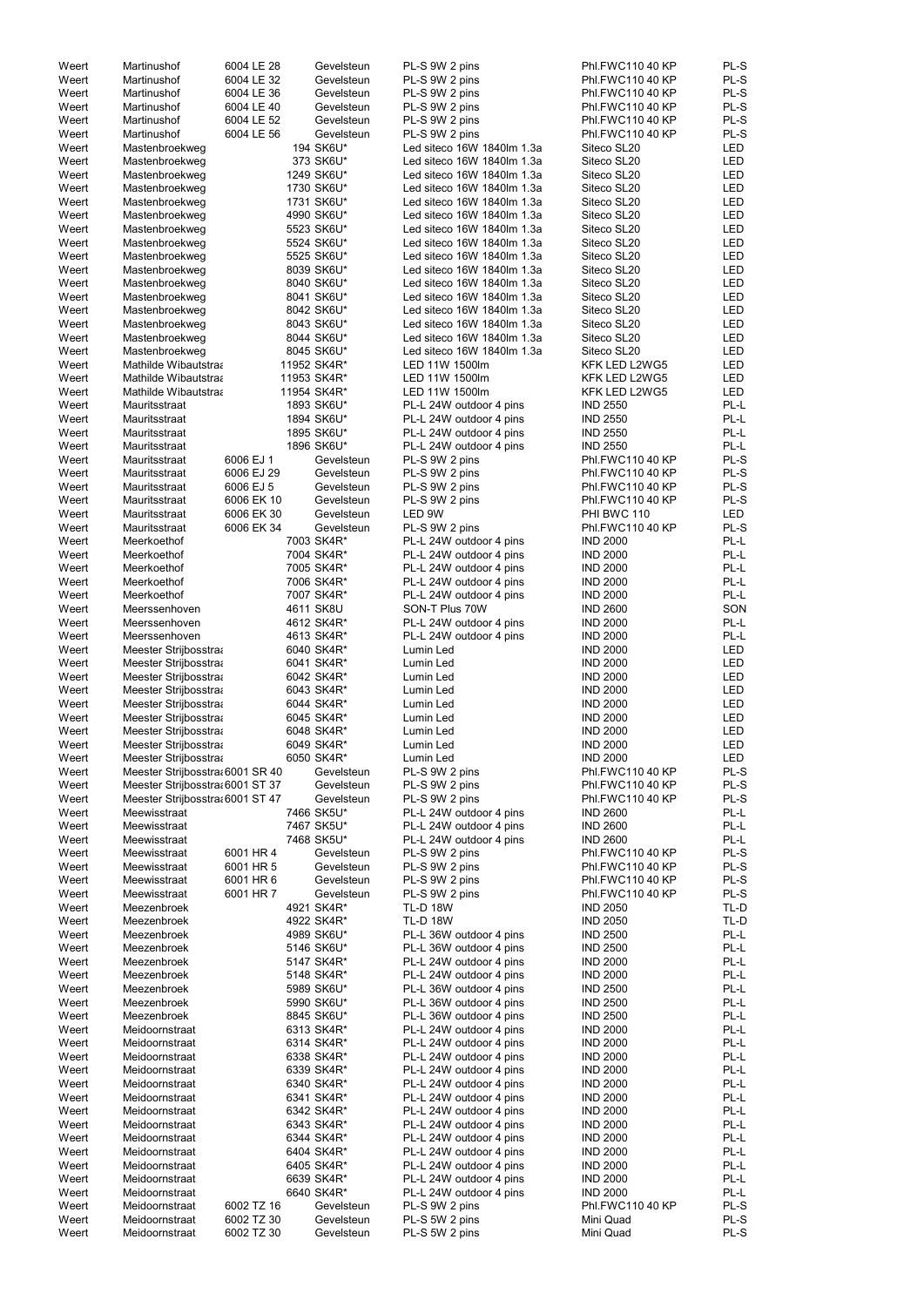| Weert          | Martinushof                      | 6004 LE 28               | Gevelsteun               | PL-S 9W 2 pins                                           | Phl.FWC110 40 KP       | PL-S         |
|----------------|----------------------------------|--------------------------|--------------------------|----------------------------------------------------------|------------------------|--------------|
| Weert          | Martinushof                      | 6004 LE 32               | Gevelsteun               | PL-S 9W 2 pins                                           | Phl.FWC110 40 KP       | PL-S         |
| Weert          | Martinushof                      | 6004 LE 36               | Gevelsteun               | PL-S 9W 2 pins                                           | Phl.FWC110 40 KP       | PL-S         |
| Weert          | Martinushof                      | 6004 LE 40               | Gevelsteun               | PL-S 9W 2 pins                                           | Phl.FWC110 40 KP       | PL-S         |
| Weert          | Martinushof                      | 6004 LE 52               | Gevelsteun               | PL-S 9W 2 pins                                           | Phl.FWC110 40 KP       | PL-S         |
| Weert          | Martinushof                      | 6004 LE 56               | Gevelsteun               | PL-S 9W 2 pins                                           | Phl.FWC110 40 KP       | PL-S         |
| Weert          | Mastenbroekweg                   |                          | 194 SK6U*                | Led siteco 16W 1840lm 1.3a                               | Siteco SL20            | <b>LED</b>   |
| Weert          | Mastenbroekweg                   |                          | 373 SK6U*                | Led siteco 16W 1840lm 1.3a                               | Siteco SL20            | <b>LED</b>   |
| Weert          | Mastenbroekweg                   |                          | 1249 SK6U*               | Led siteco 16W 1840lm 1.3a                               | Siteco SL20            | <b>LED</b>   |
| Weert          | Mastenbroekweg                   |                          | 1730 SK6U*               | Led siteco 16W 1840lm 1.3a                               | Siteco SL20            | <b>LED</b>   |
| Weert          | Mastenbroekweg                   |                          | 1731 SK6U*               | Led siteco 16W 1840lm 1.3a                               | Siteco SL20            | <b>LED</b>   |
| Weert          | Mastenbroekweg                   |                          | 4990 SK6U*               | Led siteco 16W 1840lm 1.3a                               | Siteco SL20            | <b>LED</b>   |
| Weert          | Mastenbroekweg                   |                          | 5523 SK6U*               | Led siteco 16W 1840lm 1.3a                               | Siteco SL20            | <b>LED</b>   |
| Weert          | Mastenbroekweg                   |                          | 5524 SK6U*               | Led siteco 16W 1840lm 1.3a                               | Siteco SL20            | <b>LED</b>   |
| Weert          | Mastenbroekweg                   |                          | 5525 SK6U*               | Led siteco 16W 1840lm 1.3a                               | Siteco SL20            | <b>LED</b>   |
| Weert          |                                  |                          | 8039 SK6U*               | Led siteco 16W 1840lm 1.3a                               | Siteco SL20            | <b>LED</b>   |
| Weert          | Mastenbroekweg                   |                          | 8040 SK6U*               | Led siteco 16W 1840lm 1.3a                               | Siteco SL20            | <b>LED</b>   |
|                | Mastenbroekweg                   |                          |                          |                                                          |                        |              |
| Weert          | Mastenbroekweg                   |                          | 8041 SK6U*               | Led siteco 16W 1840lm 1.3a<br>Led siteco 16W 1840lm 1.3a | Siteco SL20            | <b>LED</b>   |
| Weert          | Mastenbroekweg                   |                          | 8042 SK6U*               |                                                          | Siteco SL20            | <b>LED</b>   |
| Weert          | Mastenbroekweg                   |                          | 8043 SK6U*               | Led siteco 16W 1840lm 1.3a                               | Siteco SL20            | <b>LED</b>   |
| Weert          | Mastenbroekweg                   |                          | 8044 SK6U*               | Led siteco 16W 1840lm 1.3a                               | Siteco SL20            | <b>LED</b>   |
| Weert          | Mastenbroekweg                   |                          | 8045 SK6U*               | Led siteco 16W 1840lm 1.3a                               | Siteco SL20            | <b>LED</b>   |
| Weert          | Mathilde Wibautstraa             |                          | 11952 SK4R*              | LED 11W 1500lm                                           | KFK LED L2WG5          | <b>LED</b>   |
| Weert          | Mathilde Wibautstraa             |                          | 11953 SK4R*              | LED 11W 1500lm                                           | KFK LED L2WG5          | <b>LED</b>   |
| Weert          | Mathilde Wibautstraa             |                          | 11954 SK4R*              | LED 11W 1500lm                                           | KFK LED L2WG5          | <b>LED</b>   |
| Weert          | Mauritsstraat                    |                          | 1893 SK6U*               | PL-L 24W outdoor 4 pins                                  | <b>IND 2550</b>        | PL-L         |
| Weert          | Mauritsstraat                    |                          | 1894 SK6U*               | PL-L 24W outdoor 4 pins                                  | <b>IND 2550</b>        | PL-L         |
| Weert          | Mauritsstraat                    |                          | 1895 SK6U*               | PL-L 24W outdoor 4 pins                                  | <b>IND 2550</b>        | PL-L         |
| Weert          | Mauritsstraat                    |                          | 1896 SK6U*               | PL-L 24W outdoor 4 pins                                  | <b>IND 2550</b>        | PL-L         |
| Weert          | Mauritsstraat                    | 6006 EJ 1                | Gevelsteun               | PL-S 9W 2 pins                                           | Phl.FWC110 40 KP       | PL-S         |
| Weert          | Mauritsstraat                    | 6006 EJ 29               | Gevelsteun               | PL-S 9W 2 pins                                           | Phl.FWC110 40 KP       | PL-S         |
| Weert          | Mauritsstraat                    | 6006 EJ 5                | Gevelsteun               | PL-S 9W 2 pins                                           | Phl.FWC110 40 KP       | PL-S         |
| Weert          | Mauritsstraat                    | 6006 EK 10               | Gevelsteun               | PL-S 9W 2 pins                                           | Phl.FWC110 40 KP       | PL-S         |
| Weert          | Mauritsstraat                    | 6006 EK 30               | Gevelsteun               | LED 9W                                                   | PHI BWC 110            | <b>LED</b>   |
| Weert          | Mauritsstraat                    | 6006 EK 34               | Gevelsteun               | PL-S 9W 2 pins                                           | Phl.FWC110 40 KP       | PL-S         |
| Weert          | Meerkoethof                      |                          | 7003 SK4R*               | PL-L 24W outdoor 4 pins                                  | <b>IND 2000</b>        | PL-L         |
| Weert          | Meerkoethof                      |                          | 7004 SK4R*               | PL-L 24W outdoor 4 pins                                  | <b>IND 2000</b>        | PL-L         |
| Weert          | Meerkoethof                      |                          | 7005 SK4R*               | PL-L 24W outdoor 4 pins                                  | <b>IND 2000</b>        | PL-L         |
| Weert          | Meerkoethof                      |                          | 7006 SK4R*               | PL-L 24W outdoor 4 pins                                  | <b>IND 2000</b>        | PL-L         |
| Weert          | Meerkoethof                      |                          | 7007 SK4R*               | PL-L 24W outdoor 4 pins                                  | <b>IND 2000</b>        | PL-L         |
| Weert          | Meerssenhoven                    |                          | 4611 SK8U                | SON-T Plus 70W                                           | <b>IND 2600</b>        | SON          |
| Weert          | Meerssenhoven                    |                          | 4612 SK4R*               | PL-L 24W outdoor 4 pins                                  | <b>IND 2000</b>        | PL-L         |
| Weert          | Meerssenhoven                    |                          | 4613 SK4R*               | PL-L 24W outdoor 4 pins                                  | <b>IND 2000</b>        | PL-L         |
| Weert          | Meester Strijbosstraa            |                          | 6040 SK4R*               | Lumin Led                                                | <b>IND 2000</b>        | LED          |
|                |                                  |                          |                          |                                                          |                        | <b>LED</b>   |
| Weert          | Meester Strijbosstraa            |                          | 6041 SK4R*               | Lumin Led                                                | <b>IND 2000</b>        |              |
| Weert          | Meester Strijbosstraa            |                          | 6042 SK4R*               | Lumin Led                                                | <b>IND 2000</b>        | <b>LED</b>   |
| Weert          | Meester Strijbosstraa            |                          | 6043 SK4R*               | Lumin Led                                                | <b>IND 2000</b>        | LED          |
| Weert          | Meester Strijbosstraa            |                          | 6044 SK4R*               | Lumin Led                                                | <b>IND 2000</b>        | LED          |
| Weert          | Meester Strijbosstraa            |                          | 6045 SK4R*               | Lumin Led                                                | <b>IND 2000</b>        | <b>LED</b>   |
| Weert          | Meester Strijbosstraa            |                          | 6048 SK4R*               | Lumin Led                                                | <b>IND 2000</b>        | <b>LED</b>   |
| Weert          | Meester Strijbosstraa            |                          | 6049 SK4R*               | Lumin Led                                                | <b>IND 2000</b>        | <b>LED</b>   |
| Weert          | Meester Strijbosstraa            |                          | 6050 SK4R*               | Lumin Led                                                | <b>IND 2000</b>        | <b>LED</b>   |
| Weert          | Meester Strijbosstra: 6001 SR 40 |                          | Gevelsteun               | PL-S 9W 2 pins                                           | Phl.FWC110 40 KP       | PL-S         |
| Weert          | Meester Strijbosstra: 6001 ST 37 |                          | Gevelsteun               | PL-S 9W 2 pins                                           | Phl.FWC110 40 KP       | PL-S         |
| Weert          | Meester Strijbosstra: 6001 ST 47 |                          | Gevelsteun               | PL-S 9W 2 pins                                           | Phl.FWC110 40 KP       | PL-S         |
| Weert          | Meewisstraat                     |                          | 7466 SK5U*               | PL-L 24W outdoor 4 pins                                  | <b>IND 2600</b>        | PL-L         |
| Weert          | Meewisstraat                     |                          | 7467 SK5U*               | PL-L 24W outdoor 4 pins                                  | <b>IND 2600</b>        | PL-L         |
| Weert          | Meewisstraat                     |                          | 7468 SK5U*               | PL-L 24W outdoor 4 pins                                  | <b>IND 2600</b>        | PL-L         |
| Weert          | Meewisstraat                     | 6001 HR 4                | Gevelsteun               | PL-S 9W 2 pins                                           | Phl.FWC110 40 KP       | PL-S         |
| Weert          | Meewisstraat                     | 6001 HR 5                | Gevelsteun               | PL-S 9W 2 pins                                           | Phl.FWC110 40 KP       | PL-S         |
| Weert          | Meewisstraat                     | 6001 HR 6                | Gevelsteun               | PL-S 9W 2 pins                                           | Phl.FWC110 40 KP       | PL-S         |
| Weert          | Meewisstraat                     | 6001 HR 7                | Gevelsteun               | PL-S 9W 2 pins                                           | Phl.FWC110 40 KP       | PL-S         |
| Weert          | Meezenbroek                      |                          | 4921 SK4R*               | <b>TL-D 18W</b>                                          | <b>IND 2050</b>        | TL-D         |
| Weert          | Meezenbroek                      |                          | 4922 SK4R*               | <b>TL-D 18W</b>                                          | <b>IND 2050</b>        | TL-D         |
| Weert          | Meezenbroek                      |                          | 4989 SK6U*               | PL-L 36W outdoor 4 pins                                  | <b>IND 2500</b>        | PL-L         |
| Weert          | Meezenbroek                      |                          | 5146 SK6U*               | PL-L 36W outdoor 4 pins                                  | <b>IND 2500</b>        | PL-L         |
| Weert          | Meezenbroek                      |                          | 5147 SK4R*               | PL-L 24W outdoor 4 pins                                  | <b>IND 2000</b>        | PL-L         |
| Weert          |                                  |                          | 5148 SK4R*               | PL-L 24W outdoor 4 pins                                  | <b>IND 2000</b>        | PL-L         |
|                | Meezenbroek                      |                          |                          |                                                          |                        |              |
| Weert          | Meezenbroek                      |                          | 5989 SK6U*               | PL-L 36W outdoor 4 pins                                  | <b>IND 2500</b>        | PL-L         |
| Weert          | Meezenbroek                      |                          | 5990 SK6U*               | PL-L 36W outdoor 4 pins                                  | <b>IND 2500</b>        | PL-L         |
| Weert          | Meezenbroek                      |                          | 8845 SK6U*               | PL-L 36W outdoor 4 pins                                  | <b>IND 2500</b>        | PL-L         |
| Weert          | Meidoornstraat                   |                          | 6313 SK4R*               |                                                          | <b>IND 2000</b>        | PL-L         |
|                |                                  |                          |                          | PL-L 24W outdoor 4 pins                                  |                        |              |
| Weert          | Meidoornstraat                   |                          | 6314 SK4R*               | PL-L 24W outdoor 4 pins                                  | <b>IND 2000</b>        | PL-L         |
| Weert          | Meidoornstraat                   |                          | 6338 SK4R*               | PL-L 24W outdoor 4 pins                                  | <b>IND 2000</b>        | PL-L         |
| Weert          | Meidoornstraat                   |                          | 6339 SK4R*               | PL-L 24W outdoor 4 pins                                  | <b>IND 2000</b>        | PL-L         |
| Weert          | Meidoornstraat                   |                          | 6340 SK4R*               | PL-L 24W outdoor 4 pins                                  | <b>IND 2000</b>        | PL-L         |
| Weert          | Meidoornstraat                   |                          | 6341 SK4R*               | PL-L 24W outdoor 4 pins                                  | <b>IND 2000</b>        | PL-L         |
| Weert          | Meidoornstraat                   |                          | 6342 SK4R*               | PL-L 24W outdoor 4 pins                                  | <b>IND 2000</b>        | PL-L         |
| Weert          | Meidoornstraat                   |                          | 6343 SK4R*               | PL-L 24W outdoor 4 pins                                  | <b>IND 2000</b>        | PL-L         |
| Weert          | Meidoornstraat                   |                          | 6344 SK4R*               | PL-L 24W outdoor 4 pins                                  | <b>IND 2000</b>        | PL-L         |
| Weert          | Meidoornstraat                   |                          | 6404 SK4R*               | PL-L 24W outdoor 4 pins                                  | <b>IND 2000</b>        | PL-L         |
| Weert          | Meidoornstraat                   |                          | 6405 SK4R*               | PL-L 24W outdoor 4 pins                                  | <b>IND 2000</b>        | PL-L         |
| Weert          | Meidoornstraat                   |                          | 6639 SK4R*               | PL-L 24W outdoor 4 pins                                  | <b>IND 2000</b>        | PL-L         |
| Weert          | Meidoornstraat                   |                          | 6640 SK4R*               | PL-L 24W outdoor 4 pins                                  | <b>IND 2000</b>        | PL-L         |
| Weert          | Meidoornstraat                   | 6002 TZ 16               | Gevelsteun               | PL-S 9W 2 pins                                           | Phl.FWC110 40 KP       | PL-S         |
| Weert<br>Weert | Meidoornstraat<br>Meidoornstraat | 6002 TZ 30<br>6002 TZ 30 | Gevelsteun<br>Gevelsteun | PL-S 5W 2 pins<br>PL-S 5W 2 pins                         | Mini Quad<br>Mini Quad | PL-S<br>PL-S |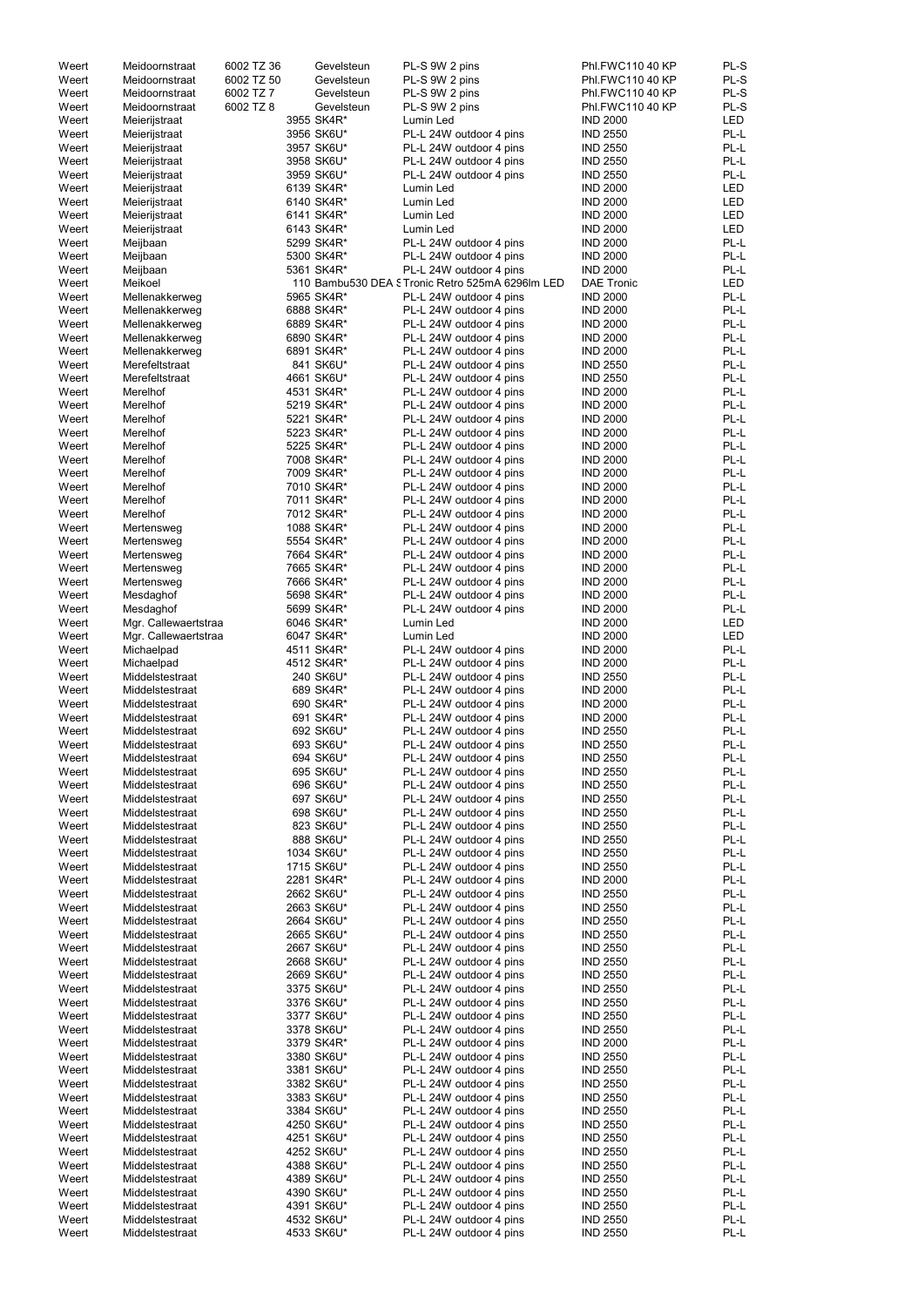| Weert | Meidoornstraat       | 6002 TZ 36 | Gevelsteun | PL-S 9W 2 pins                                  | Phl.FWC110 40 KP  | PL-S       |
|-------|----------------------|------------|------------|-------------------------------------------------|-------------------|------------|
| Weert | Meidoornstraat       | 6002 TZ 50 | Gevelsteun | PL-S 9W 2 pins                                  | Phl.FWC110 40 KP  | PL-S       |
| Weert | Meidoornstraat       | 6002 TZ 7  | Gevelsteun | PL-S 9W 2 pins                                  | Phl.FWC110 40 KP  | PL-S       |
| Weert | Meidoornstraat       | 6002 TZ 8  | Gevelsteun | PL-S 9W 2 pins                                  | Phl.FWC110 40 KP  | PL-S       |
|       |                      |            |            |                                                 |                   | <b>LED</b> |
| Weert | Meierijstraat        |            | 3955 SK4R* | Lumin Led                                       | <b>IND 2000</b>   |            |
| Weert | Meierijstraat        |            | 3956 SK6U* | PL-L 24W outdoor 4 pins                         | <b>IND 2550</b>   | PL-L       |
| Weert | Meierijstraat        |            | 3957 SK6U* | PL-L 24W outdoor 4 pins                         | <b>IND 2550</b>   | PL-L       |
| Weert | Meierijstraat        |            | 3958 SK6U* | PL-L 24W outdoor 4 pins                         | <b>IND 2550</b>   | PL-L       |
| Weert | Meierijstraat        |            | 3959 SK6U* | PL-L 24W outdoor 4 pins                         | <b>IND 2550</b>   | PL-L       |
| Weert | Meierijstraat        |            | 6139 SK4R* | Lumin Led                                       | <b>IND 2000</b>   | <b>LED</b> |
| Weert |                      |            | 6140 SK4R* | Lumin Led                                       | <b>IND 2000</b>   | <b>LED</b> |
|       | Meierijstraat        |            |            |                                                 |                   |            |
| Weert | Meierijstraat        |            | 6141 SK4R* | Lumin Led                                       | <b>IND 2000</b>   | <b>LED</b> |
| Weert | Meierijstraat        |            | 6143 SK4R* | Lumin Led                                       | <b>IND 2000</b>   | <b>LED</b> |
| Weert | Meijbaan             |            | 5299 SK4R* | PL-L 24W outdoor 4 pins                         | <b>IND 2000</b>   | PL-L       |
| Weert | Meijbaan             |            | 5300 SK4R* | PL-L 24W outdoor 4 pins                         | <b>IND 2000</b>   | PL-L       |
| Weert | Meijbaan             |            | 5361 SK4R* | PL-L 24W outdoor 4 pins                         | <b>IND 2000</b>   | PL-L       |
| Weert | Meikoel              |            |            | 110 Bambu530 DEA STronic Retro 525mA 6296lm LED | <b>DAE Tronic</b> | <b>LED</b> |
|       |                      |            |            |                                                 |                   |            |
| Weert | Mellenakkerweg       |            | 5965 SK4R* | PL-L 24W outdoor 4 pins                         | <b>IND 2000</b>   | PL-L       |
| Weert | Mellenakkerweg       |            | 6888 SK4R* | PL-L 24W outdoor 4 pins                         | <b>IND 2000</b>   | PL-L       |
| Weert | Mellenakkerweg       |            | 6889 SK4R* | PL-L 24W outdoor 4 pins                         | <b>IND 2000</b>   | PL-L       |
| Weert | Mellenakkerweg       |            | 6890 SK4R* | PL-L 24W outdoor 4 pins                         | <b>IND 2000</b>   | PL-L       |
| Weert | Mellenakkerweg       |            | 6891 SK4R* | PL-L 24W outdoor 4 pins                         | <b>IND 2000</b>   | PL-L       |
| Weert | Merefeltstraat       |            | 841 SK6U*  | PL-L 24W outdoor 4 pins                         | <b>IND 2550</b>   | PL-L       |
| Weert | Merefeltstraat       |            | 4661 SK6U* |                                                 | <b>IND 2550</b>   | PL-L       |
|       |                      |            |            | PL-L 24W outdoor 4 pins                         |                   |            |
| Weert | Merelhof             |            | 4531 SK4R* | PL-L 24W outdoor 4 pins                         | <b>IND 2000</b>   | PL-L       |
| Weert | Merelhof             |            | 5219 SK4R* | PL-L 24W outdoor 4 pins                         | <b>IND 2000</b>   | PL-L       |
| Weert | Merelhof             |            | 5221 SK4R* | PL-L 24W outdoor 4 pins                         | <b>IND 2000</b>   | PL-L       |
| Weert | Merelhof             |            | 5223 SK4R* | PL-L 24W outdoor 4 pins                         | <b>IND 2000</b>   | PL-L       |
| Weert | Merelhof             |            | 5225 SK4R* | PL-L 24W outdoor 4 pins                         | <b>IND 2000</b>   | PL-L       |
| Weert | Merelhof             |            | 7008 SK4R* | PL-L 24W outdoor 4 pins                         | <b>IND 2000</b>   | PL-L       |
|       |                      |            |            |                                                 |                   |            |
| Weert | Merelhof             |            | 7009 SK4R* | PL-L 24W outdoor 4 pins                         | <b>IND 2000</b>   | PL-L       |
| Weert | Merelhof             |            | 7010 SK4R* | PL-L 24W outdoor 4 pins                         | <b>IND 2000</b>   | PL-L       |
| Weert | Merelhof             |            | 7011 SK4R* | PL-L 24W outdoor 4 pins                         | <b>IND 2000</b>   | PL-L       |
| Weert | Merelhof             |            | 7012 SK4R* | PL-L 24W outdoor 4 pins                         | <b>IND 2000</b>   | PL-L       |
| Weert | Mertensweg           |            | 1088 SK4R* | PL-L 24W outdoor 4 pins                         | <b>IND 2000</b>   | PL-L       |
| Weert |                      |            | 5554 SK4R* |                                                 | <b>IND 2000</b>   | PL-L       |
|       | Mertensweg           |            |            | PL-L 24W outdoor 4 pins                         |                   |            |
| Weert | Mertensweg           |            | 7664 SK4R* | PL-L 24W outdoor 4 pins                         | <b>IND 2000</b>   | PL-L       |
| Weert | Mertensweg           |            | 7665 SK4R* | PL-L 24W outdoor 4 pins                         | <b>IND 2000</b>   | PL-L       |
| Weert | Mertensweg           |            | 7666 SK4R* | PL-L 24W outdoor 4 pins                         | <b>IND 2000</b>   | PL-L       |
| Weert | Mesdaghof            |            | 5698 SK4R* | PL-L 24W outdoor 4 pins                         | <b>IND 2000</b>   | PL-L       |
| Weert | Mesdaghof            |            | 5699 SK4R* | PL-L 24W outdoor 4 pins                         | <b>IND 2000</b>   | PL-L       |
| Weert |                      |            |            |                                                 | <b>IND 2000</b>   | LED        |
|       | Mgr. Callewaertstraa |            | 6046 SK4R* | Lumin Led                                       |                   |            |
| Weert | Mgr. Callewaertstraa |            | 6047 SK4R* | Lumin Led                                       | <b>IND 2000</b>   | LED        |
| Weert | Michaelpad           |            | 4511 SK4R* | PL-L 24W outdoor 4 pins                         | <b>IND 2000</b>   | PL-L       |
| Weert | Michaelpad           |            | 4512 SK4R* | PL-L 24W outdoor 4 pins                         | <b>IND 2000</b>   | PL-L       |
| Weert | Middelstestraat      |            | 240 SK6U*  | PL-L 24W outdoor 4 pins                         | <b>IND 2550</b>   | PL-L       |
| Weert | Middelstestraat      |            | 689 SK4R*  | PL-L 24W outdoor 4 pins                         | <b>IND 2000</b>   | PL-L       |
|       |                      |            |            |                                                 |                   | PL-L       |
| Weert | Middelstestraat      |            | 690 SK4R*  | PL-L 24W outdoor 4 pins                         | <b>IND 2000</b>   |            |
| Weert | Middelstestraat      |            | 691 SK4R*  | PL-L 24W outdoor 4 pins                         | <b>IND 2000</b>   | PL-L       |
| Weert | Middelstestraat      |            | 692 SK6U*  | PL-L 24W outdoor 4 pins                         | <b>IND 2550</b>   | PL-L       |
| Weert | Middelstestraat      |            | 693 SK6U*  | PL-L 24W outdoor 4 pins                         | <b>IND 2550</b>   | PL-L       |
| Weert | Middelstestraat      |            | 694 SK6U*  | PL-L 24W outdoor 4 pins                         | <b>IND 2550</b>   | PL-L       |
| Weert | Middelstestraat      |            | 695 SK6U*  | PL-L 24W outdoor 4 pins                         | <b>IND 2550</b>   | PL-L       |
|       |                      |            |            |                                                 |                   |            |
| Weert | Middelstestraat      |            | 696 SK6U*  | PL-L 24W outdoor 4 pins                         | <b>IND 2550</b>   | PL-L       |
| Weert | Middelstestraat      |            | 697 SK6U*  | PL-L 24W outdoor 4 pins                         | <b>IND 2550</b>   | PL-L       |
| Weert | Middelstestraat      |            | 698 SK6U*  | PL-L 24W outdoor 4 pins                         | <b>IND 2550</b>   | PL-L       |
| Weert | Middelstestraat      |            | 823 SK6U*  | PL-L 24W outdoor 4 pins                         | <b>IND 2550</b>   | PL-L       |
| Weert | Middelstestraat      |            | 888 SK6U*  | PL-L 24W outdoor 4 pins                         | <b>IND 2550</b>   | PL-L       |
| Weert | Middelstestraat      |            | 1034 SK6U* | PL-L 24W outdoor 4 pins                         | <b>IND 2550</b>   | PL-L       |
| Weert | Middelstestraat      |            | 1715 SK6U* | PL-L 24W outdoor 4 pins                         | <b>IND 2550</b>   | PL-L       |
|       |                      |            |            |                                                 |                   |            |
| Weert | Middelstestraat      |            | 2281 SK4R* | PL-L 24W outdoor 4 pins                         | <b>IND 2000</b>   | PL-L       |
| Weert | Middelstestraat      |            | 2662 SK6U* | PL-L 24W outdoor 4 pins                         | <b>IND 2550</b>   | PL-L       |
| Weert | Middelstestraat      |            | 2663 SK6U* | PL-L 24W outdoor 4 pins                         | <b>IND 2550</b>   | PL-L       |
| Weert | Middelstestraat      |            | 2664 SK6U* | PL-L 24W outdoor 4 pins                         | <b>IND 2550</b>   | PL-L       |
| Weert | Middelstestraat      |            | 2665 SK6U* | PL-L 24W outdoor 4 pins                         | <b>IND 2550</b>   | PL-L       |
| Weert | Middelstestraat      |            | 2667 SK6U* | PL-L 24W outdoor 4 pins                         | <b>IND 2550</b>   | PL-L       |
| Weert | Middelstestraat      |            | 2668 SK6U* | PL-L 24W outdoor 4 pins                         | <b>IND 2550</b>   | PL-L       |
| Weert |                      |            |            |                                                 |                   | PL-L       |
|       | Middelstestraat      |            | 2669 SK6U* | PL-L 24W outdoor 4 pins                         | <b>IND 2550</b>   |            |
| Weert | Middelstestraat      |            | 3375 SK6U* | PL-L 24W outdoor 4 pins                         | <b>IND 2550</b>   | PL-L       |
| Weert | Middelstestraat      |            | 3376 SK6U* | PL-L 24W outdoor 4 pins                         | <b>IND 2550</b>   | PL-L       |
| Weert | Middelstestraat      |            | 3377 SK6U* | PL-L 24W outdoor 4 pins                         | <b>IND 2550</b>   | PL-L       |
| Weert | Middelstestraat      |            | 3378 SK6U* | PL-L 24W outdoor 4 pins                         | <b>IND 2550</b>   | PL-L       |
| Weert | Middelstestraat      |            | 3379 SK4R* | PL-L 24W outdoor 4 pins                         | <b>IND 2000</b>   | PL-L       |
|       | Middelstestraat      |            |            | PL-L 24W outdoor 4 pins                         |                   | PL-L       |
| Weert |                      |            | 3380 SK6U* |                                                 | <b>IND 2550</b>   |            |
| Weert | Middelstestraat      |            | 3381 SK6U* | PL-L 24W outdoor 4 pins                         | <b>IND 2550</b>   | PL-L       |
| Weert | Middelstestraat      |            | 3382 SK6U* | PL-L 24W outdoor 4 pins                         | <b>IND 2550</b>   | PL-L       |
| Weert | Middelstestraat      |            | 3383 SK6U* | PL-L 24W outdoor 4 pins                         | <b>IND 2550</b>   | PL-L       |
| Weert | Middelstestraat      |            | 3384 SK6U* | PL-L 24W outdoor 4 pins                         | <b>IND 2550</b>   | PL-L       |
| Weert | Middelstestraat      |            | 4250 SK6U* | PL-L 24W outdoor 4 pins                         | <b>IND 2550</b>   | PL-L       |
|       |                      |            | 4251 SK6U* |                                                 |                   | PL-L       |
| Weert | Middelstestraat      |            |            | PL-L 24W outdoor 4 pins                         | <b>IND 2550</b>   |            |
| Weert | Middelstestraat      |            | 4252 SK6U* | PL-L 24W outdoor 4 pins                         | <b>IND 2550</b>   | PL-L       |
| Weert | Middelstestraat      |            | 4388 SK6U* | PL-L 24W outdoor 4 pins                         | <b>IND 2550</b>   | PL-L       |
| Weert | Middelstestraat      |            | 4389 SK6U* | PL-L 24W outdoor 4 pins                         | <b>IND 2550</b>   | PL-L       |
| Weert | Middelstestraat      |            | 4390 SK6U* | PL-L 24W outdoor 4 pins                         | <b>IND 2550</b>   | PL-L       |
| Weert | Middelstestraat      |            | 4391 SK6U* | PL-L 24W outdoor 4 pins                         | <b>IND 2550</b>   | PL-L       |
|       |                      |            |            |                                                 |                   |            |
| Weert | Middelstestraat      |            | 4532 SK6U* | PL-L 24W outdoor 4 pins                         | <b>IND 2550</b>   | PL-L       |
| Weert | Middelstestraat      |            | 4533 SK6U* | PL-L 24W outdoor 4 pins                         | <b>IND 2550</b>   | PL-L       |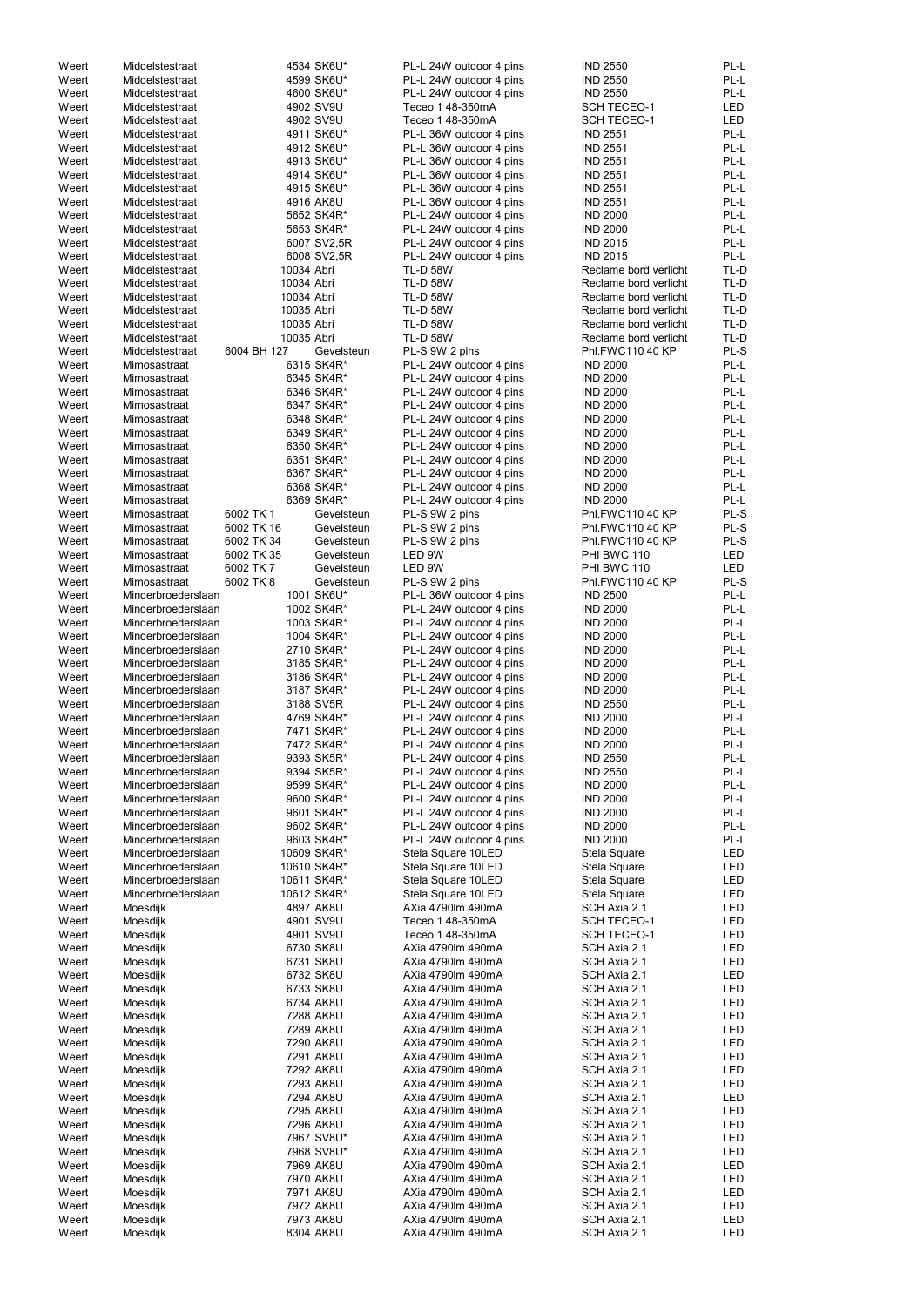| Weert | Middelstestraat    |             | 4534 SK6U*  | PL-L 24W outdoor 4 pins | <b>IND 2550</b>       | PL-L       |
|-------|--------------------|-------------|-------------|-------------------------|-----------------------|------------|
| Weert | Middelstestraat    |             | 4599 SK6U*  | PL-L 24W outdoor 4 pins | <b>IND 2550</b>       | PL-L       |
| Weert | Middelstestraat    |             | 4600 SK6U*  | PL-L 24W outdoor 4 pins | <b>IND 2550</b>       | PL-L       |
|       |                    |             |             |                         |                       |            |
| Weert | Middelstestraat    |             | 4902 SV9U   | Teceo 1 48-350mA        | <b>SCH TECEO-1</b>    | LED        |
| Weert | Middelstestraat    |             | 4902 SV9U   | Teceo 1 48-350mA        | <b>SCH TECEO-1</b>    | <b>LED</b> |
| Weert | Middelstestraat    |             | 4911 SK6U*  | PL-L 36W outdoor 4 pins | <b>IND 2551</b>       | PL-L       |
| Weert | Middelstestraat    |             | 4912 SK6U*  | PL-L 36W outdoor 4 pins | <b>IND 2551</b>       | PL-L       |
| Weert | Middelstestraat    |             | 4913 SK6U*  | PL-L 36W outdoor 4 pins | <b>IND 2551</b>       | PL-L       |
|       |                    |             |             |                         |                       |            |
| Weert | Middelstestraat    |             | 4914 SK6U*  | PL-L 36W outdoor 4 pins | <b>IND 2551</b>       | PL-L       |
| Weert | Middelstestraat    |             | 4915 SK6U*  | PL-L 36W outdoor 4 pins | <b>IND 2551</b>       | PL-L       |
| Weert | Middelstestraat    |             | 4916 AK8U   | PL-L 36W outdoor 4 pins | <b>IND 2551</b>       | PL-L       |
| Weert | Middelstestraat    |             | 5652 SK4R*  | PL-L 24W outdoor 4 pins | <b>IND 2000</b>       | PL-L       |
|       |                    |             |             |                         |                       |            |
| Weert | Middelstestraat    |             | 5653 SK4R*  | PL-L 24W outdoor 4 pins | <b>IND 2000</b>       | PL-L       |
| Weert | Middelstestraat    |             | 6007 SV2,5R | PL-L 24W outdoor 4 pins | <b>IND 2015</b>       | PL-L       |
| Weert | Middelstestraat    |             | 6008 SV2,5R | PL-L 24W outdoor 4 pins | <b>IND 2015</b>       | PL-L       |
| Weert | Middelstestraat    | 10034 Abri  |             | <b>TL-D 58W</b>         | Reclame bord verlicht | TL-D       |
|       |                    |             |             |                         |                       |            |
| Weert | Middelstestraat    | 10034 Abri  |             | <b>TL-D 58W</b>         | Reclame bord verlicht | TL-D       |
| Weert | Middelstestraat    | 10034 Abri  |             | <b>TL-D 58W</b>         | Reclame bord verlicht | TL-D       |
| Weert | Middelstestraat    | 10035 Abri  |             | <b>TL-D 58W</b>         | Reclame bord verlicht | TL-D       |
| Weert | Middelstestraat    | 10035 Abri  |             | <b>TL-D 58W</b>         | Reclame bord verlicht | TL-D       |
| Weert | Middelstestraat    | 10035 Abri  |             | <b>TL-D 58W</b>         | Reclame bord verlicht | TL-D       |
|       |                    |             |             |                         |                       |            |
| Weert | Middelstestraat    | 6004 BH 127 | Gevelsteun  | PL-S 9W 2 pins          | Phl.FWC110 40 KP      | PL-S       |
| Weert | Mimosastraat       |             | 6315 SK4R*  | PL-L 24W outdoor 4 pins | <b>IND 2000</b>       | PL-L       |
| Weert | Mimosastraat       |             | 6345 SK4R*  | PL-L 24W outdoor 4 pins | <b>IND 2000</b>       | PL-L       |
| Weert | Mimosastraat       |             | 6346 SK4R*  | PL-L 24W outdoor 4 pins | <b>IND 2000</b>       | PL-L       |
|       |                    |             |             |                         |                       |            |
| Weert | Mimosastraat       |             | 6347 SK4R*  | PL-L 24W outdoor 4 pins | <b>IND 2000</b>       | PL-L       |
| Weert | Mimosastraat       |             | 6348 SK4R*  | PL-L 24W outdoor 4 pins | <b>IND 2000</b>       | PL-L       |
| Weert | Mimosastraat       |             | 6349 SK4R*  | PL-L 24W outdoor 4 pins | <b>IND 2000</b>       | PL-L       |
| Weert | Mimosastraat       |             | 6350 SK4R*  | PL-L 24W outdoor 4 pins | <b>IND 2000</b>       | PL-L       |
|       |                    |             |             |                         |                       |            |
| Weert | Mimosastraat       |             | 6351 SK4R*  | PL-L 24W outdoor 4 pins | <b>IND 2000</b>       | PL-L       |
| Weert | Mimosastraat       |             | 6367 SK4R*  | PL-L 24W outdoor 4 pins | <b>IND 2000</b>       | PL-L       |
| Weert | Mimosastraat       |             | 6368 SK4R*  | PL-L 24W outdoor 4 pins | <b>IND 2000</b>       | PL-L       |
| Weert | Mimosastraat       |             | 6369 SK4R*  | PL-L 24W outdoor 4 pins | <b>IND 2000</b>       | PL-L       |
|       |                    |             |             |                         |                       |            |
| Weert | Mimosastraat       | 6002 TK 1   | Gevelsteun  | PL-S 9W 2 pins          | Phl.FWC110 40 KP      | PL-S       |
| Weert | Mimosastraat       | 6002 TK 16  | Gevelsteun  | PL-S 9W 2 pins          | Phl.FWC110 40 KP      | PL-S       |
| Weert | Mimosastraat       | 6002 TK 34  | Gevelsteun  | PL-S 9W 2 pins          | Phl.FWC110 40 KP      | PL-S       |
| Weert | Mimosastraat       | 6002 TK 35  | Gevelsteun  | LED 9W                  | PHI BWC 110           | LED        |
| Weert | Mimosastraat       | 6002 TK 7   | Gevelsteun  | LED 9W                  | PHI BWC 110           | LED        |
|       |                    |             |             |                         |                       |            |
| Weert | Mimosastraat       | 6002 TK 8   | Gevelsteun  | PL-S 9W 2 pins          | Phl.FWC110 40 KP      | PL-S       |
| Weert | Minderbroederslaan |             | 1001 SK6U*  | PL-L 36W outdoor 4 pins | <b>IND 2500</b>       | PL-L       |
| Weert | Minderbroederslaan |             | 1002 SK4R*  | PL-L 24W outdoor 4 pins | <b>IND 2000</b>       | PL-L       |
| Weert | Minderbroederslaan |             | 1003 SK4R*  |                         | <b>IND 2000</b>       | PL-L       |
|       |                    |             |             | PL-L 24W outdoor 4 pins |                       |            |
| Weert | Minderbroederslaan |             | 1004 SK4R*  | PL-L 24W outdoor 4 pins | <b>IND 2000</b>       | PL-L       |
| Weert | Minderbroederslaan |             | 2710 SK4R*  | PL-L 24W outdoor 4 pins | <b>IND 2000</b>       | PL-L       |
| Weert | Minderbroederslaan |             | 3185 SK4R*  | PL-L 24W outdoor 4 pins | <b>IND 2000</b>       | PL-L       |
| Weert | Minderbroederslaan |             |             |                         | <b>IND 2000</b>       | PL-L       |
|       |                    |             | 3186 SK4R*  | PL-L 24W outdoor 4 pins |                       |            |
| Weert | Minderbroederslaan |             | 3187 SK4R*  | PL-L 24W outdoor 4 pins | <b>IND 2000</b>       | PL-L       |
| Weert | Minderbroederslaan |             | 3188 SV5R   | PL-L 24W outdoor 4 pins | <b>IND 2550</b>       | PL-L       |
| Weert | Minderbroederslaan |             | 4769 SK4R*  | PL-L 24W outdoor 4 pins | <b>IND 2000</b>       | PL-L       |
|       |                    |             |             |                         |                       |            |
| Weert | Minderbroederslaan |             | 7471 SK4R*  | PL-L 24W outdoor 4 pins | <b>IND 2000</b>       | PL-L       |
| Weert | Minderbroederslaan |             | 7472 SK4R*  | PL-L 24W outdoor 4 pins | <b>IND 2000</b>       | PL-L       |
| Weert | Minderbroederslaan |             | 9393 SK5R*  | PL-L 24W outdoor 4 pins | <b>IND 2550</b>       | PL-L       |
| Weert | Minderbroederslaan |             | 9394 SK5R*  | PL-L 24W outdoor 4 pins | <b>IND 2550</b>       | PL-L       |
| Weert | Minderbroederslaan |             | 9599 SK4R*  |                         | <b>IND 2000</b>       | PL-L       |
|       |                    |             |             | PL-L 24W outdoor 4 pins |                       |            |
| Weert | Minderbroederslaan |             | 9600 SK4R*  | PL-L 24W outdoor 4 pins | <b>IND 2000</b>       | PL-L       |
| Weert | Minderbroederslaan |             | 9601 SK4R*  | PL-L 24W outdoor 4 pins | <b>IND 2000</b>       | PL-L       |
| Weert | Minderbroederslaan |             | 9602 SK4R*  | PL-L 24W outdoor 4 pins | <b>IND 2000</b>       | PL-L       |
| Weert | Minderbroederslaan |             | 9603 SK4R*  | PL-L 24W outdoor 4 pins | <b>IND 2000</b>       | PL-L       |
|       |                    |             |             |                         |                       |            |
| Weert | Minderbroederslaan |             | 10609 SK4R* | Stela Square 10LED      | Stela Square          | LED        |
| Weert | Minderbroederslaan |             | 10610 SK4R* | Stela Square 10LED      | Stela Square          | LED        |
| Weert | Minderbroederslaan |             | 10611 SK4R* | Stela Square 10LED      | Stela Square          | LED        |
| Weert | Minderbroederslaan |             | 10612 SK4R* | Stela Square 10LED      | Stela Square          | LED        |
| Weert | Moesdijk           |             | 4897 AK8U   | AXia 4790lm 490mA       | SCH Axia 2.1          | LED        |
|       |                    |             |             |                         |                       |            |
| Weert | Moesdijk           |             | 4901 SV9U   | Teceo 1 48-350mA        | SCH TECEO-1           | LED        |
| Weert | Moesdijk           |             | 4901 SV9U   | Teceo 1 48-350mA        | SCH TECEO-1           | LED        |
| Weert | Moesdijk           |             | 6730 SK8U   | AXia 4790lm 490mA       | SCH Axia 2.1          | LED        |
| Weert | Moesdijk           |             | 6731 SK8U   | AXia 4790lm 490mA       | SCH Axia 2.1          | LED        |
|       |                    |             |             |                         |                       |            |
| Weert | Moesdijk           |             | 6732 SK8U   | AXia 4790lm 490mA       | SCH Axia 2.1          | LED        |
| Weert | Moesdijk           |             | 6733 SK8U   | AXia 4790lm 490mA       | SCH Axia 2.1          | LED        |
| Weert | Moesdijk           |             | 6734 AK8U   | AXia 4790lm 490mA       | SCH Axia 2.1          | LED        |
| Weert | Moesdijk           |             | 7288 AK8U   | AXia 4790lm 490mA       | SCH Axia 2.1          | LED        |
|       |                    |             | 7289 AK8U   | AXia 4790lm 490mA       | SCH Axia 2.1          | LED        |
| Weert | Moesdijk           |             |             |                         |                       |            |
| Weert | Moesdijk           |             | 7290 AK8U   | AXia 4790lm 490mA       | SCH Axia 2.1          | <b>LED</b> |
| Weert | Moesdijk           |             | 7291 AK8U   | AXia 4790lm 490mA       | SCH Axia 2.1          | <b>LED</b> |
| Weert | Moesdijk           |             | 7292 AK8U   | AXia 4790lm 490mA       | SCH Axia 2.1          | <b>LED</b> |
| Weert | Moesdijk           |             | 7293 AK8U   | AXia 4790lm 490mA       | SCH Axia 2.1          | <b>LED</b> |
|       |                    |             |             |                         |                       |            |
| Weert | Moesdijk           |             | 7294 AK8U   | AXia 4790lm 490mA       | SCH Axia 2.1          | <b>LED</b> |
| Weert | Moesdijk           |             | 7295 AK8U   | AXia 4790lm 490mA       | SCH Axia 2.1          | <b>LED</b> |
| Weert | Moesdijk           |             | 7296 AK8U   | AXia 4790lm 490mA       | SCH Axia 2.1          | LED        |
| Weert | Moesdijk           |             | 7967 SV8U*  | AXia 4790lm 490mA       | SCH Axia 2.1          | LED        |
|       |                    |             |             |                         |                       |            |
| Weert | Moesdijk           |             | 7968 SV8U*  | AXia 4790lm 490mA       | SCH Axia 2.1          | LED        |
| Weert | Moesdijk           |             | 7969 AK8U   | AXia 4790lm 490mA       | SCH Axia 2.1          | <b>LED</b> |
| Weert | Moesdijk           |             | 7970 AK8U   | AXia 4790lm 490mA       | SCH Axia 2.1          | <b>LED</b> |
| Weert | Moesdijk           |             | 7971 AK8U   | AXia 4790lm 490mA       | SCH Axia 2.1          | LED        |
|       |                    |             |             |                         |                       |            |
| Weert | Moesdijk           |             | 7972 AK8U   | AXia 4790lm 490mA       | SCH Axia 2.1          | LED        |
| Weert | Moesdijk           |             | 7973 AK8U   | AXia 4790lm 490mA       | SCH Axia 2.1          | LED        |
| Weert | Moesdijk           |             | 8304 AK8U   | AXia 4790lm 490mA       | SCH Axia 2.1          | <b>LED</b> |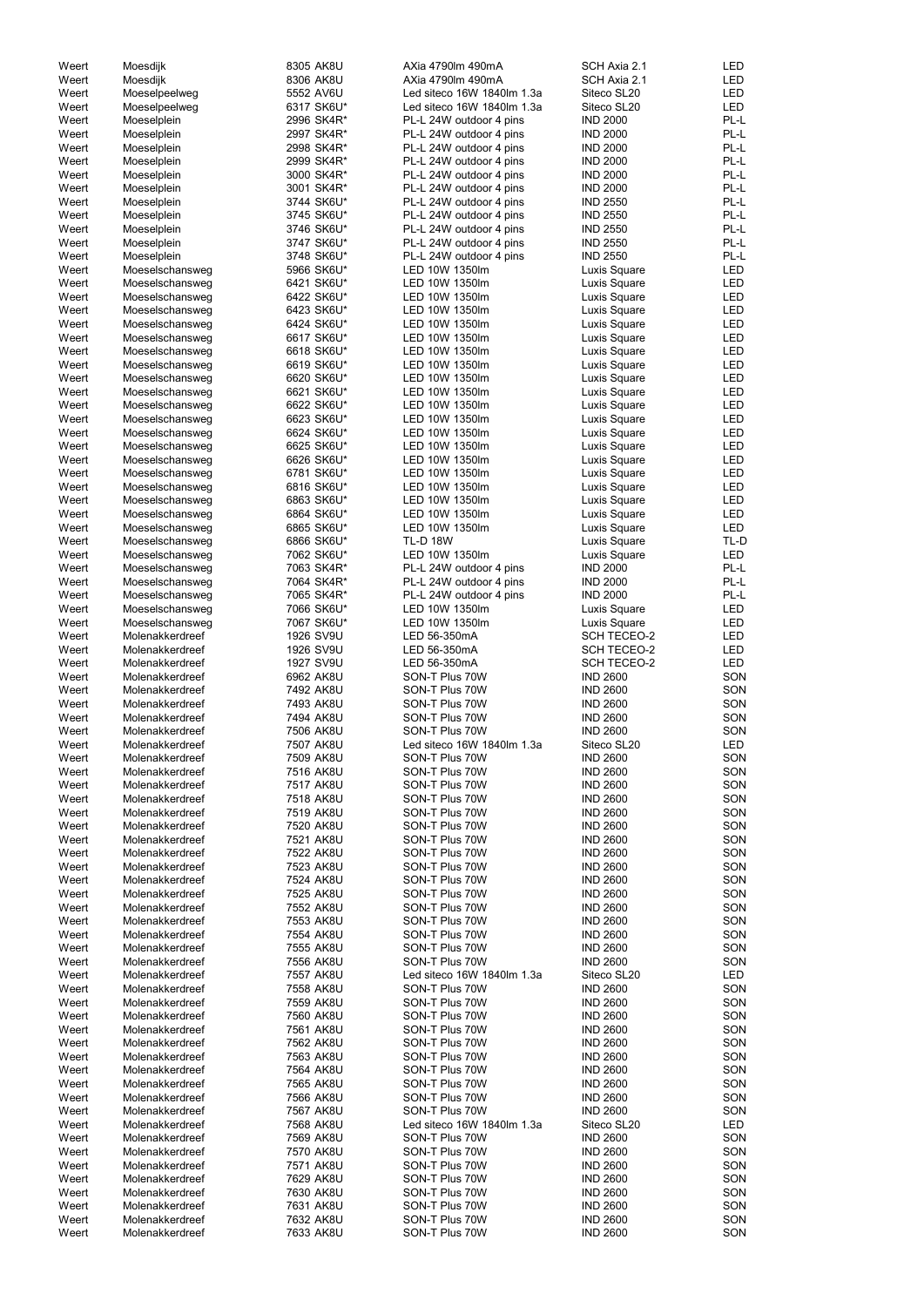| Weert | Moesdijk        | 8305 AK8U  | AXia 4790lm 490mA          | SCH Axia 2.1       | LED        |
|-------|-----------------|------------|----------------------------|--------------------|------------|
| Weert | Moesdijk        | 8306 AK8U  | AXia 4790lm 490mA          | SCH Axia 2.1       | <b>LED</b> |
| Weert | Moeselpeelweg   | 5552 AV6U  | Led siteco 16W 1840lm 1.3a | Siteco SL20        | <b>LED</b> |
| Weert | Moeselpeelweg   | 6317 SK6U* | Led siteco 16W 1840lm 1.3a | Siteco SL20        | <b>LED</b> |
| Weert | Moeselplein     | 2996 SK4R* | PL-L 24W outdoor 4 pins    | <b>IND 2000</b>    | PL-L       |
|       |                 |            |                            |                    |            |
| Weert | Moeselplein     | 2997 SK4R* | PL-L 24W outdoor 4 pins    | <b>IND 2000</b>    | PL-L       |
| Weert | Moeselplein     | 2998 SK4R* | PL-L 24W outdoor 4 pins    | <b>IND 2000</b>    | PL-L       |
| Weert | Moeselplein     | 2999 SK4R* | PL-L 24W outdoor 4 pins    | <b>IND 2000</b>    | PL-L       |
| Weert | Moeselplein     | 3000 SK4R* | PL-L 24W outdoor 4 pins    | <b>IND 2000</b>    | PL-L       |
| Weert | Moeselplein     | 3001 SK4R* | PL-L 24W outdoor 4 pins    | <b>IND 2000</b>    | PL-L       |
| Weert | Moeselplein     | 3744 SK6U* | PL-L 24W outdoor 4 pins    | <b>IND 2550</b>    | PL-L       |
|       |                 |            |                            |                    |            |
| Weert | Moeselplein     | 3745 SK6U* | PL-L 24W outdoor 4 pins    | <b>IND 2550</b>    | PL-L       |
| Weert | Moeselplein     | 3746 SK6U* | PL-L 24W outdoor 4 pins    | <b>IND 2550</b>    | PL-L       |
| Weert | Moeselplein     | 3747 SK6U* | PL-L 24W outdoor 4 pins    | <b>IND 2550</b>    | PL-L       |
| Weert | Moeselplein     | 3748 SK6U* | PL-L 24W outdoor 4 pins    | <b>IND 2550</b>    | PL-L       |
| Weert | Moeselschansweg | 5966 SK6U* | LED 10W 1350lm             | Luxis Square       | <b>LED</b> |
| Weert | Moeselschansweg | 6421 SK6U* | LED 10W 1350lm             | Luxis Square       | <b>LED</b> |
|       |                 |            |                            |                    |            |
| Weert | Moeselschansweg | 6422 SK6U* | LED 10W 1350lm             | Luxis Square       | <b>LED</b> |
| Weert | Moeselschansweg | 6423 SK6U* | LED 10W 1350lm             | Luxis Square       | <b>LED</b> |
| Weert | Moeselschansweg | 6424 SK6U* | LED 10W 1350lm             | Luxis Square       | <b>LED</b> |
| Weert | Moeselschansweg | 6617 SK6U* | LED 10W 1350lm             | Luxis Square       | <b>LED</b> |
| Weert | Moeselschansweg | 6618 SK6U* | LED 10W 1350lm             | Luxis Square       | <b>LED</b> |
| Weert | Moeselschansweg | 6619 SK6U* | LED 10W 1350lm             | Luxis Square       | <b>LED</b> |
|       |                 |            |                            |                    |            |
| Weert | Moeselschansweg | 6620 SK6U* | LED 10W 1350lm             | Luxis Square       | LED        |
| Weert | Moeselschansweg | 6621 SK6U* | LED 10W 1350lm             | Luxis Square       | LED        |
| Weert | Moeselschansweg | 6622 SK6U* | LED 10W 1350lm             | Luxis Square       | <b>LED</b> |
| Weert | Moeselschansweg | 6623 SK6U* | LED 10W 1350lm             | Luxis Square       | <b>LED</b> |
| Weert | Moeselschansweg | 6624 SK6U* | LED 10W 1350lm             | Luxis Square       | <b>LED</b> |
| Weert | Moeselschansweg | 6625 SK6U* | LED 10W 1350lm             | Luxis Square       | <b>LED</b> |
|       |                 |            |                            |                    |            |
| Weert | Moeselschansweg | 6626 SK6U* | LED 10W 1350lm             | Luxis Square       | <b>LED</b> |
| Weert | Moeselschansweg | 6781 SK6U* | LED 10W 1350lm             | Luxis Square       | <b>LED</b> |
| Weert | Moeselschansweg | 6816 SK6U* | LED 10W 1350lm             | Luxis Square       | <b>LED</b> |
| Weert | Moeselschansweg | 6863 SK6U* | LED 10W 1350lm             | Luxis Square       | LED        |
| Weert | Moeselschansweg | 6864 SK6U* | LED 10W 1350lm             | Luxis Square       | <b>LED</b> |
| Weert | Moeselschansweg | 6865 SK6U* | LED 10W 1350lm             | Luxis Square       | <b>LED</b> |
|       |                 |            |                            |                    |            |
| Weert | Moeselschansweg | 6866 SK6U* | <b>TL-D 18W</b>            | Luxis Square       | TL-D       |
| Weert | Moeselschansweg | 7062 SK6U* | LED 10W 1350lm             | Luxis Square       | LED        |
| Weert | Moeselschansweg | 7063 SK4R* | PL-L 24W outdoor 4 pins    | <b>IND 2000</b>    | PL-L       |
| Weert | Moeselschansweg | 7064 SK4R* | PL-L 24W outdoor 4 pins    | <b>IND 2000</b>    | PL-L       |
| Weert | Moeselschansweg | 7065 SK4R* | PL-L 24W outdoor 4 pins    | <b>IND 2000</b>    | PL-L       |
| Weert | Moeselschansweg | 7066 SK6U* | LED 10W 1350lm             | Luxis Square       | LED        |
|       |                 |            |                            |                    |            |
| Weert | Moeselschansweg | 7067 SK6U* | LED 10W 1350lm             | Luxis Square       | LED        |
| Weert | Molenakkerdreef | 1926 SV9U  | LED 56-350mA               | <b>SCH TECEO-2</b> | LED        |
| Weert | Molenakkerdreef | 1926 SV9U  | LED 56-350mA               | <b>SCH TECEO-2</b> | <b>LED</b> |
| Weert | Molenakkerdreef | 1927 SV9U  | LED 56-350mA               | <b>SCH TECEO-2</b> | <b>LED</b> |
| Weert | Molenakkerdreef | 6962 AK8U  | SON-T Plus 70W             | <b>IND 2600</b>    | SON        |
|       |                 |            | SON-T Plus 70W             | <b>IND 2600</b>    | SON        |
| Weert | Molenakkerdreef | 7492 AK8U  |                            |                    |            |
| Weert | Molenakkerdreef | 7493 AK8U  | SON-T Plus 70W             | <b>IND 2600</b>    | SON        |
| Weert | Molenakkerdreef | 7494 AK8U  | SON-T Plus 70W             | <b>IND 2600</b>    | SON        |
| Weert | Molenakkerdreef | 7506 AK8U  | SON-T Plus 70W             | <b>IND 2600</b>    | SON        |
| Weert | Molenakkerdreef | 7507 AK8U  | Led siteco 16W 1840lm 1.3a | Siteco SL20        | LED        |
| Weert | Molenakkerdreef | 7509 AK8U  | SON-T Plus 70W             | <b>IND 2600</b>    | SON        |
|       |                 |            |                            |                    |            |
| Weert | Molenakkerdreef | 7516 AK8U  | SON-T Plus 70W             | <b>IND 2600</b>    | SON        |
| Weert | Molenakkerdreef | 7517 AK8U  | SON-T Plus 70W             | <b>IND 2600</b>    | SON        |
| Weert | Molenakkerdreef | 7518 AK8U  | SON-T Plus 70W             | <b>IND 2600</b>    | SON        |
| Weert | Molenakkerdreef | 7519 AK8U  | SON-T Plus 70W             | <b>IND 2600</b>    | SON        |
| Weert | Molenakkerdreef | 7520 AK8U  | SON-T Plus 70W             | <b>IND 2600</b>    | SON        |
| Weert | Molenakkerdreef | 7521 AK8U  | SON-T Plus 70W             | <b>IND 2600</b>    | SON        |
|       |                 |            |                            |                    |            |
| Weert | Molenakkerdreef | 7522 AK8U  | SON-T Plus 70W             | <b>IND 2600</b>    | SON        |
| Weert | Molenakkerdreef | 7523 AK8U  | SON-T Plus 70W             | <b>IND 2600</b>    | SON        |
| Weert | Molenakkerdreef | 7524 AK8U  | SON-T Plus 70W             | <b>IND 2600</b>    | SON        |
| Weert | Molenakkerdreef | 7525 AK8U  | SON-T Plus 70W             | <b>IND 2600</b>    | SON        |
| Weert | Molenakkerdreef | 7552 AK8U  | SON-T Plus 70W             | <b>IND 2600</b>    | SON        |
| Weert | Molenakkerdreef | 7553 AK8U  | SON-T Plus 70W             | <b>IND 2600</b>    | SON        |
|       |                 |            |                            |                    |            |
| Weert | Molenakkerdreef | 7554 AK8U  | SON-T Plus 70W             | <b>IND 2600</b>    | SON        |
| Weert | Molenakkerdreef | 7555 AK8U  | SON-T Plus 70W             | <b>IND 2600</b>    | SON        |
| Weert | Molenakkerdreef | 7556 AK8U  | SON-T Plus 70W             | <b>IND 2600</b>    | SON        |
| Weert | Molenakkerdreef | 7557 AK8U  | Led siteco 16W 1840lm 1.3a | Siteco SL20        | <b>LED</b> |
| Weert | Molenakkerdreef | 7558 AK8U  | SON-T Plus 70W             | <b>IND 2600</b>    | SON        |
| Weert | Molenakkerdreef | 7559 AK8U  | SON-T Plus 70W             | <b>IND 2600</b>    | SON        |
|       |                 |            |                            |                    |            |
| Weert | Molenakkerdreef | 7560 AK8U  | SON-T Plus 70W             | <b>IND 2600</b>    | SON        |
| Weert | Molenakkerdreef | 7561 AK8U  | SON-T Plus 70W             | <b>IND 2600</b>    | SON        |
| Weert | Molenakkerdreef | 7562 AK8U  | SON-T Plus 70W             | <b>IND 2600</b>    | SON        |
| Weert | Molenakkerdreef | 7563 AK8U  | SON-T Plus 70W             | <b>IND 2600</b>    | SON        |
| Weert | Molenakkerdreef | 7564 AK8U  | SON-T Plus 70W             | <b>IND 2600</b>    | SON        |
|       |                 |            |                            |                    |            |
| Weert | Molenakkerdreef | 7565 AK8U  | SON-T Plus 70W             | <b>IND 2600</b>    | SON        |
| Weert | Molenakkerdreef | 7566 AK8U  | SON-T Plus 70W             | <b>IND 2600</b>    | SON        |
| Weert | Molenakkerdreef | 7567 AK8U  | SON-T Plus 70W             | <b>IND 2600</b>    | SON        |
| Weert | Molenakkerdreef | 7568 AK8U  | Led siteco 16W 1840lm 1.3a | Siteco SL20        | LED        |
| Weert | Molenakkerdreef | 7569 AK8U  | SON-T Plus 70W             | <b>IND 2600</b>    | SON        |
| Weert | Molenakkerdreef | 7570 AK8U  | SON-T Plus 70W             | <b>IND 2600</b>    | SON        |
|       |                 |            |                            |                    |            |
| Weert | Molenakkerdreef | 7571 AK8U  | SON-T Plus 70W             | <b>IND 2600</b>    | SON        |
| Weert | Molenakkerdreef | 7629 AK8U  | SON-T Plus 70W             | <b>IND 2600</b>    | SON        |
| Weert | Molenakkerdreef | 7630 AK8U  | SON-T Plus 70W             | <b>IND 2600</b>    | SON        |
| Weert | Molenakkerdreef | 7631 AK8U  | SON-T Plus 70W             | <b>IND 2600</b>    | SON        |
| Weert | Molenakkerdreef | 7632 AK8U  | SON-T Plus 70W             | <b>IND 2600</b>    | SON        |
| Weert | Molenakkerdreef | 7633 AK8U  | SON-T Plus 70W             | <b>IND 2600</b>    | SON        |
|       |                 |            |                            |                    |            |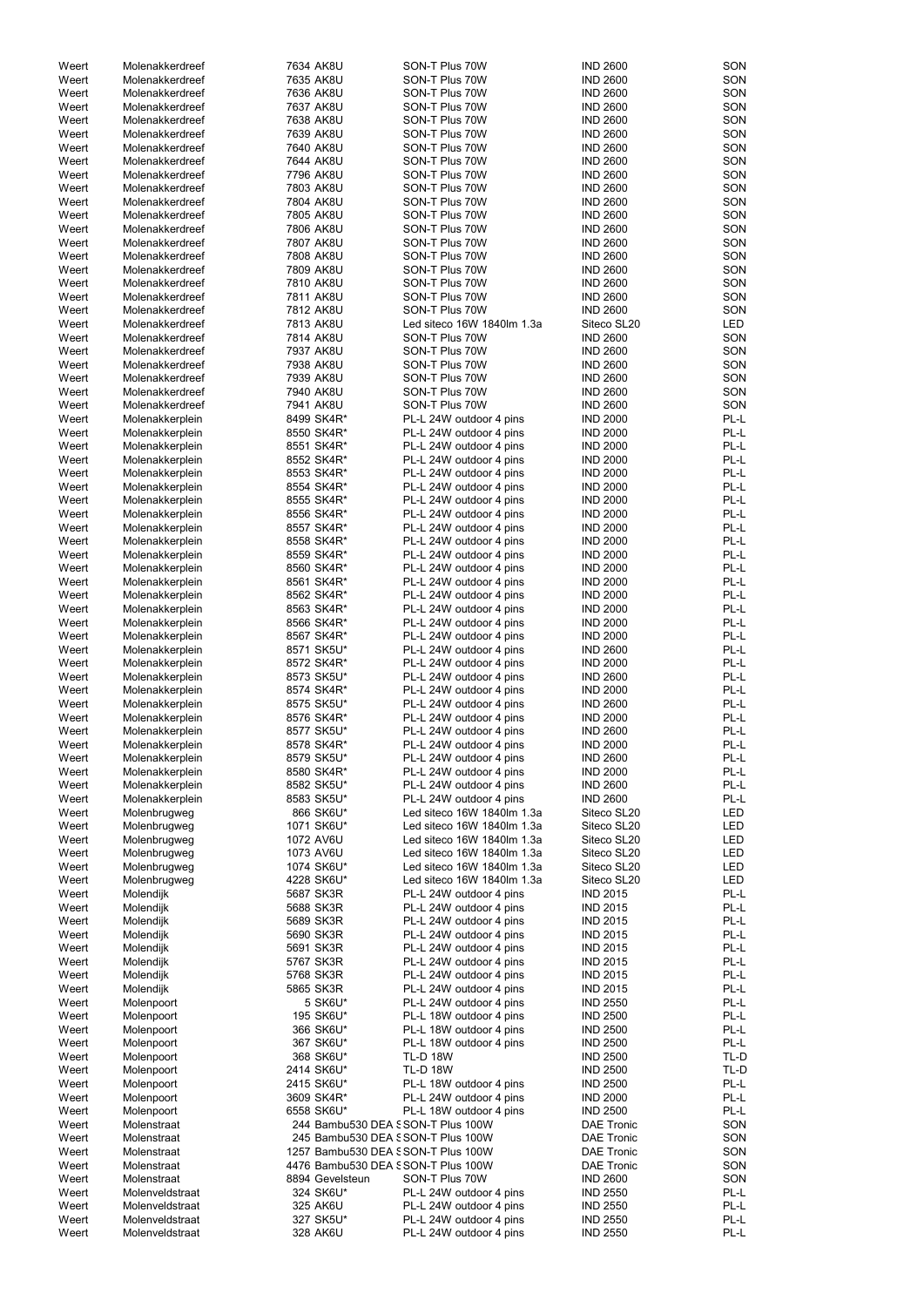| Weert          | Molenakkerdreef              | 7634 AK8U                          | SON-T Plus 70W             | <b>IND 2600</b>   | SON  |
|----------------|------------------------------|------------------------------------|----------------------------|-------------------|------|
| Weert          | Molenakkerdreef              | 7635 AK8U                          | SON-T Plus 70W             | <b>IND 2600</b>   | SON  |
| Weert          | Molenakkerdreef              | 7636 AK8U                          | SON-T Plus 70W             | <b>IND 2600</b>   | SON  |
| Weert          | Molenakkerdreef              | 7637 AK8U                          | SON-T Plus 70W             | <b>IND 2600</b>   | SON  |
|                | Molenakkerdreef              | 7638 AK8U                          | SON-T Plus 70W             | <b>IND 2600</b>   | SON  |
| Weert          |                              |                                    |                            |                   |      |
| Weert          | Molenakkerdreef              | 7639 AK8U                          | SON-T Plus 70W             | <b>IND 2600</b>   | SON  |
| Weert          | Molenakkerdreef              | 7640 AK8U                          | SON-T Plus 70W             | <b>IND 2600</b>   | SON  |
| Weert          | Molenakkerdreef              | 7644 AK8U                          | SON-T Plus 70W             | <b>IND 2600</b>   | SON  |
| Weert          | Molenakkerdreef              | 7796 AK8U                          | SON-T Plus 70W             | <b>IND 2600</b>   | SON  |
| Weert          | Molenakkerdreef              | 7803 AK8U                          | SON-T Plus 70W             | <b>IND 2600</b>   | SON  |
| Weert          | Molenakkerdreef              | 7804 AK8U                          | SON-T Plus 70W             | <b>IND 2600</b>   | SON  |
| Weert          | Molenakkerdreef              | 7805 AK8U                          | SON-T Plus 70W             | <b>IND 2600</b>   | SON  |
| Weert          | Molenakkerdreef              | 7806 AK8U                          | SON-T Plus 70W             | <b>IND 2600</b>   | SON  |
| Weert          | Molenakkerdreef              | 7807 AK8U                          | SON-T Plus 70W             | <b>IND 2600</b>   | SON  |
| Weert          | Molenakkerdreef              | 7808 AK8U                          | SON-T Plus 70W             | <b>IND 2600</b>   | SON  |
| Weert          | Molenakkerdreef              | 7809 AK8U                          | SON-T Plus 70W             | <b>IND 2600</b>   | SON  |
| Weert          | Molenakkerdreef              | 7810 AK8U                          | SON-T Plus 70W             | <b>IND 2600</b>   | SON  |
| Weert          | Molenakkerdreef              | 7811 AK8U                          | SON-T Plus 70W             | <b>IND 2600</b>   | SON  |
| Weert          | Molenakkerdreef              | 7812 AK8U                          | SON-T Plus 70W             | <b>IND 2600</b>   | SON  |
| Weert          | Molenakkerdreef              | 7813 AK8U                          | Led siteco 16W 1840lm 1.3a | Siteco SL20       | LED  |
| Weert          | Molenakkerdreef              | 7814 AK8U                          | SON-T Plus 70W             | <b>IND 2600</b>   | SON  |
| Weert          | Molenakkerdreef              | 7937 AK8U                          | SON-T Plus 70W             | <b>IND 2600</b>   | SON  |
| Weert          | Molenakkerdreef              | 7938 AK8U                          | SON-T Plus 70W             | <b>IND 2600</b>   | SON  |
|                |                              |                                    |                            |                   |      |
| Weert          | Molenakkerdreef              | 7939 AK8U                          | SON-T Plus 70W             | <b>IND 2600</b>   | SON  |
| Weert          | Molenakkerdreef              | 7940 AK8U                          | SON-T Plus 70W             | <b>IND 2600</b>   | SON  |
| Weert          | Molenakkerdreef              | 7941 AK8U                          | SON-T Plus 70W             | <b>IND 2600</b>   | SON  |
| Weert          | Molenakkerplein              | 8499 SK4R*                         | PL-L 24W outdoor 4 pins    | <b>IND 2000</b>   | PL-L |
| Weert          | Molenakkerplein              | 8550 SK4R*                         | PL-L 24W outdoor 4 pins    | <b>IND 2000</b>   | PL-L |
| Weert          | Molenakkerplein              | 8551 SK4R*                         | PL-L 24W outdoor 4 pins    | <b>IND 2000</b>   | PL-L |
| Weert          | Molenakkerplein              | 8552 SK4R*                         | PL-L 24W outdoor 4 pins    | <b>IND 2000</b>   | PL-L |
| Weert          | Molenakkerplein              | 8553 SK4R*                         | PL-L 24W outdoor 4 pins    | <b>IND 2000</b>   | PL-L |
| Weert          | Molenakkerplein              | 8554 SK4R*                         | PL-L 24W outdoor 4 pins    | <b>IND 2000</b>   | PL-L |
| Weert          | Molenakkerplein              | 8555 SK4R*                         | PL-L 24W outdoor 4 pins    | <b>IND 2000</b>   | PL-L |
| Weert          | Molenakkerplein              | 8556 SK4R*                         | PL-L 24W outdoor 4 pins    | <b>IND 2000</b>   | PL-L |
| Weert          | Molenakkerplein              | 8557 SK4R*                         | PL-L 24W outdoor 4 pins    | <b>IND 2000</b>   | PL-L |
| Weert          | Molenakkerplein              | 8558 SK4R*                         | PL-L 24W outdoor 4 pins    | <b>IND 2000</b>   | PL-L |
| Weert          | Molenakkerplein              | 8559 SK4R*                         | PL-L 24W outdoor 4 pins    | <b>IND 2000</b>   | PL-L |
| Weert          | Molenakkerplein              | 8560 SK4R*                         | PL-L 24W outdoor 4 pins    | <b>IND 2000</b>   | PL-L |
| Weert          | Molenakkerplein              | 8561 SK4R*                         | PL-L 24W outdoor 4 pins    | <b>IND 2000</b>   | PL-L |
| Weert          |                              | 8562 SK4R*                         | PL-L 24W outdoor 4 pins    | <b>IND 2000</b>   | PL-L |
|                | Molenakkerplein              |                                    |                            |                   | PL-L |
| Weert          | Molenakkerplein              | 8563 SK4R*                         | PL-L 24W outdoor 4 pins    | <b>IND 2000</b>   |      |
| Weert          | Molenakkerplein              | 8566 SK4R*                         | PL-L 24W outdoor 4 pins    | <b>IND 2000</b>   | PL-L |
| Weert          | Molenakkerplein              | 8567 SK4R*                         | PL-L 24W outdoor 4 pins    | <b>IND 2000</b>   | PL-L |
| Weert          | Molenakkerplein              | 8571 SK5U*                         | PL-L 24W outdoor 4 pins    | <b>IND 2600</b>   | PL-L |
| Weert          | Molenakkerplein              | 8572 SK4R*                         | PL-L 24W outdoor 4 pins    | <b>IND 2000</b>   | PL-L |
| Weert          | Molenakkerplein              | 8573 SK5U*                         | PL-L 24W outdoor 4 pins    | <b>IND 2600</b>   | PL-L |
| Weert          | Molenakkerplein              | 8574 SK4R*                         | PL-L 24W outdoor 4 pins    | <b>IND 2000</b>   | PL-L |
| Weert          | Molenakkerplein              | 8575 SK5U*                         | PL-L 24W outdoor 4 pins    | <b>IND 2600</b>   | PL-L |
| Weert          | Molenakkerplein              | 8576 SK4R*                         | PL-L 24W outdoor 4 pins    | <b>IND 2000</b>   | PL-L |
| Weert          | Molenakkerplein              | 8577 SK5U*                         | PL-L 24W outdoor 4 pins    | <b>IND 2600</b>   | PL-L |
| Weert          | Molenakkerplein              | 8578 SK4R*                         | PL-L 24W outdoor 4 pins    | <b>IND 2000</b>   | PL-L |
| Weert          | Molenakkerplein              | 8579 SK5U*                         | PL-L 24W outdoor 4 pins    | <b>IND 2600</b>   | PL-L |
| Weert          | Molenakkerplein              | 8580 SK4R*                         | PL-L 24W outdoor 4 pins    | <b>IND 2000</b>   | PL-L |
| Weert          | Molenakkerplein              | 8582 SK5U*                         | PL-L 24W outdoor 4 pins    | <b>IND 2600</b>   | PL-L |
| Weert          | Molenakkerplein              | 8583 SK5U*                         | PL-L 24W outdoor 4 pins    | <b>IND 2600</b>   | PL-L |
| Weert          | Molenbrugweg                 | 866 SK6U*                          | Led siteco 16W 1840lm 1.3a | Siteco SL20       | LED  |
|                |                              | 1071 SK6U*                         | Led siteco 16W 1840lm 1.3a | Siteco SL20       | LED  |
| Weert<br>Weert | Molenbrugweg<br>Molenbrugweg | 1072 AV6U                          | Led siteco 16W 1840lm 1.3a | Siteco SL20       | LED  |
|                |                              |                                    |                            |                   |      |
| Weert          | Molenbrugweg                 | 1073 AV6U                          | Led siteco 16W 1840lm 1.3a | Siteco SL20       | LED  |
| Weert          | Molenbrugweg                 | 1074 SK6U*                         | Led siteco 16W 1840lm 1.3a | Siteco SL20       | LED  |
| Weert          | Molenbrugweg                 | 4228 SK6U*                         | Led siteco 16W 1840lm 1.3a | Siteco SL20       | LED  |
| Weert          | Molendijk                    | 5687 SK3R                          | PL-L 24W outdoor 4 pins    | <b>IND 2015</b>   | PL-L |
| Weert          | Molendijk                    | 5688 SK3R                          | PL-L 24W outdoor 4 pins    | <b>IND 2015</b>   | PL-L |
| Weert          | Molendijk                    | 5689 SK3R                          | PL-L 24W outdoor 4 pins    | <b>IND 2015</b>   | PL-L |
| Weert          | Molendijk                    | 5690 SK3R                          | PL-L 24W outdoor 4 pins    | <b>IND 2015</b>   | PL-L |
| Weert          | Molendijk                    | 5691 SK3R                          | PL-L 24W outdoor 4 pins    | <b>IND 2015</b>   | PL-L |
| Weert          | Molendijk                    | 5767 SK3R                          | PL-L 24W outdoor 4 pins    | <b>IND 2015</b>   | PL-L |
| Weert          | Molendijk                    | 5768 SK3R                          | PL-L 24W outdoor 4 pins    | <b>IND 2015</b>   | PL-L |
| Weert          | Molendijk                    | 5865 SK3R                          | PL-L 24W outdoor 4 pins    | <b>IND 2015</b>   | PL-L |
| Weert          | Molenpoort                   | 5 SK6U*                            | PL-L 24W outdoor 4 pins    | <b>IND 2550</b>   | PL-L |
| Weert          | Molenpoort                   | 195 SK6U*                          | PL-L 18W outdoor 4 pins    | <b>IND 2500</b>   | PL-L |
| Weert          | Molenpoort                   | 366 SK6U*                          | PL-L 18W outdoor 4 pins    | <b>IND 2500</b>   | PL-L |
| Weert          | Molenpoort                   | 367 SK6U*                          | PL-L 18W outdoor 4 pins    | <b>IND 2500</b>   | PL-L |
| Weert          | Molenpoort                   | 368 SK6U*                          | <b>TL-D 18W</b>            | <b>IND 2500</b>   | TL-D |
| Weert          | Molenpoort                   | 2414 SK6U*                         | <b>TL-D 18W</b>            | <b>IND 2500</b>   | TL-D |
| Weert          |                              | 2415 SK6U*                         | PL-L 18W outdoor 4 pins    | <b>IND 2500</b>   | PL-L |
|                | Molenpoort                   |                                    | PL-L 24W outdoor 4 pins    |                   | PL-L |
| Weert          | Molenpoort                   | 3609 SK4R*                         |                            | <b>IND 2000</b>   |      |
| Weert          | Molenpoort                   | 6558 SK6U*                         | PL-L 18W outdoor 4 pins    | <b>IND 2500</b>   | PL-L |
| Weert          | Molenstraat                  | 244 Bambu530 DEA SSON-T Plus 100W  |                            | <b>DAE Tronic</b> | SON  |
| Weert          | Molenstraat                  | 245 Bambu530 DEA SSON-T Plus 100W  |                            | <b>DAE Tronic</b> | SON  |
| Weert          | Molenstraat                  | 1257 Bambu530 DEA SSON-T Plus 100W |                            | <b>DAE Tronic</b> | SON  |
| Weert          | Molenstraat                  | 4476 Bambu530 DEA SSON-T Plus 100W |                            | <b>DAE Tronic</b> | SON  |
| Weert          | Molenstraat                  | 8894 Gevelsteun                    | SON-T Plus 70W             | <b>IND 2600</b>   | SON  |
| Weert          | Molenveldstraat              | 324 SK6U*                          | PL-L 24W outdoor 4 pins    | <b>IND 2550</b>   | PL-L |
| Weert          | Molenveldstraat              | 325 AK6U                           | PL-L 24W outdoor 4 pins    | <b>IND 2550</b>   | PL-L |
| Weert          | Molenveldstraat              | 327 SK5U*                          | PL-L 24W outdoor 4 pins    | <b>IND 2550</b>   | PL-L |
| Weert          | Molenveldstraat              | 328 AK6U                           | PL-L 24W outdoor 4 pins    | <b>IND 2550</b>   | PL-L |
|                |                              |                                    |                            |                   |      |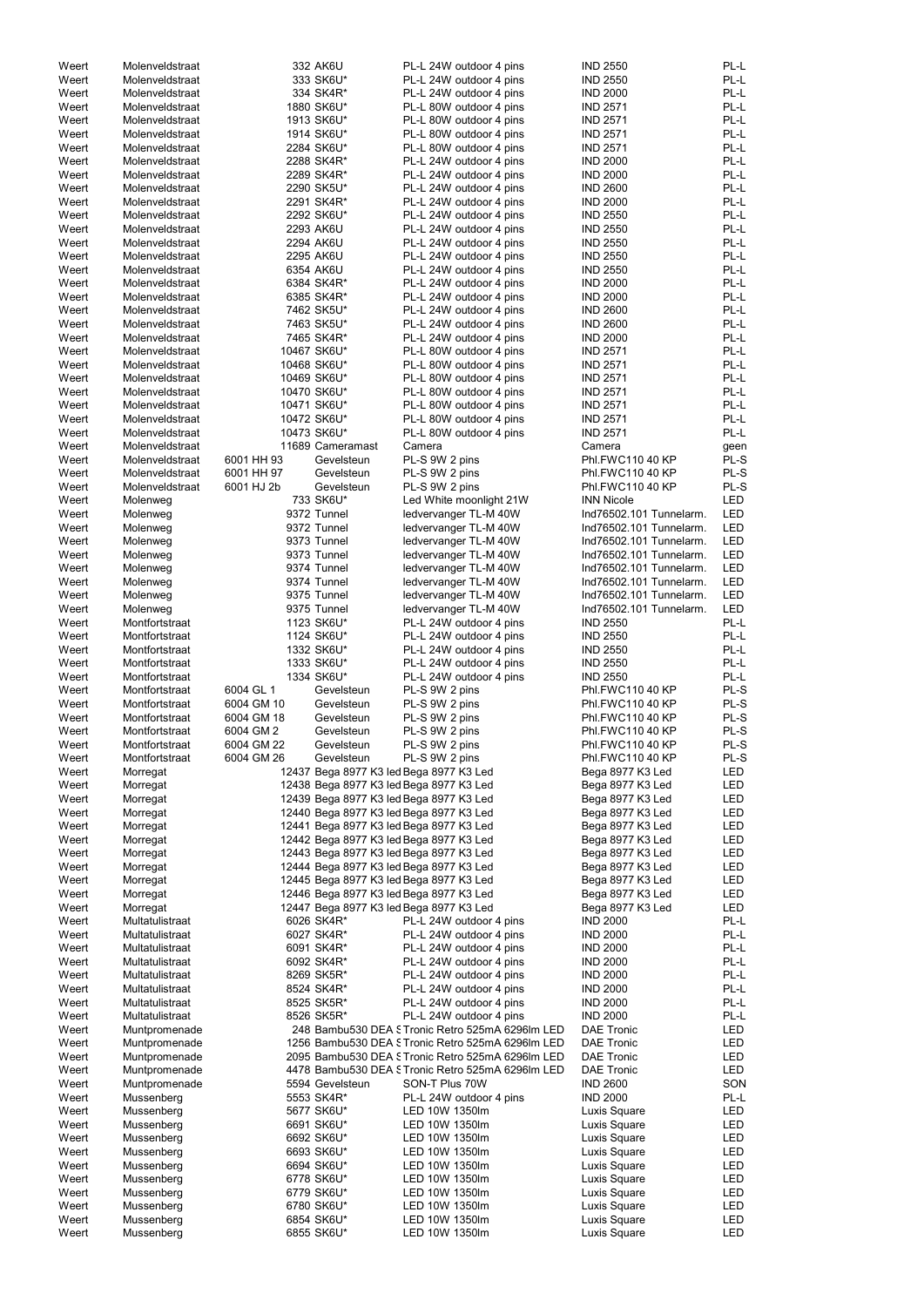| Weert          | Molenveldstraat          |            | 332 AK6U                 | PL-L 24W outdoor 4 pins                           | <b>IND 2550</b>              | PL-L       |
|----------------|--------------------------|------------|--------------------------|---------------------------------------------------|------------------------------|------------|
| Weert          | Molenveldstraat          |            | 333 SK6U*                | PL-L 24W outdoor 4 pins                           | <b>IND 2550</b>              | PL-L       |
| Weert          | Molenveldstraat          |            | 334 SK4R*                | PL-L 24W outdoor 4 pins                           | <b>IND 2000</b>              | PL-L       |
| Weert          | Molenveldstraat          |            | 1880 SK6U*               | PL-L 80W outdoor 4 pins                           | <b>IND 2571</b>              | PL-L       |
|                |                          |            |                          |                                                   |                              | PL-L       |
| Weert          | Molenveldstraat          |            | 1913 SK6U*               | PL-L 80W outdoor 4 pins                           | <b>IND 2571</b>              |            |
| Weert          | Molenveldstraat          |            | 1914 SK6U*               | PL-L 80W outdoor 4 pins                           | <b>IND 2571</b>              | PL-L       |
| Weert          | Molenveldstraat          |            | 2284 SK6U*               | PL-L 80W outdoor 4 pins                           | <b>IND 2571</b>              | PL-L       |
| Weert          | Molenveldstraat          |            | 2288 SK4R*               | PL-L 24W outdoor 4 pins                           | <b>IND 2000</b>              | PL-L       |
|                |                          |            |                          |                                                   |                              |            |
| Weert          | Molenveldstraat          |            | 2289 SK4R*               | PL-L 24W outdoor 4 pins                           | <b>IND 2000</b>              | PL-L       |
| Weert          | Molenveldstraat          |            | 2290 SK5U*               | PL-L 24W outdoor 4 pins                           | <b>IND 2600</b>              | PL-L       |
| Weert          | Molenveldstraat          |            | 2291 SK4R*               | PL-L 24W outdoor 4 pins                           | <b>IND 2000</b>              | PL-L       |
| Weert          | Molenveldstraat          |            |                          |                                                   |                              | PL-L       |
|                |                          |            | 2292 SK6U*               | PL-L 24W outdoor 4 pins                           | <b>IND 2550</b>              |            |
| Weert          | Molenveldstraat          |            | 2293 AK6U                | PL-L 24W outdoor 4 pins                           | <b>IND 2550</b>              | PL-L       |
| Weert          | Molenveldstraat          |            | 2294 AK6U                | PL-L 24W outdoor 4 pins                           | <b>IND 2550</b>              | PL-L       |
| Weert          | Molenveldstraat          |            | 2295 AK6U                | PL-L 24W outdoor 4 pins                           | <b>IND 2550</b>              | PL-L       |
|                |                          |            |                          |                                                   |                              |            |
| Weert          | Molenveldstraat          |            | 6354 AK6U                | PL-L 24W outdoor 4 pins                           | <b>IND 2550</b>              | PL-L       |
| Weert          | Molenveldstraat          |            | 6384 SK4R*               | PL-L 24W outdoor 4 pins                           | <b>IND 2000</b>              | PL-L       |
| Weert          | Molenveldstraat          |            | 6385 SK4R*               | PL-L 24W outdoor 4 pins                           | <b>IND 2000</b>              | PL-L       |
| Weert          | Molenveldstraat          |            |                          |                                                   | <b>IND 2600</b>              | PL-L       |
|                |                          |            | 7462 SK5U*               | PL-L 24W outdoor 4 pins                           |                              |            |
| Weert          | Molenveldstraat          |            | 7463 SK5U*               | PL-L 24W outdoor 4 pins                           | <b>IND 2600</b>              | PL-L       |
| Weert          | Molenveldstraat          |            | 7465 SK4R*               | PL-L 24W outdoor 4 pins                           | <b>IND 2000</b>              | PL-L       |
| Weert          | Molenveldstraat          |            | 10467 SK6U*              | PL-L 80W outdoor 4 pins                           | <b>IND 2571</b>              | PL-L       |
|                |                          |            |                          |                                                   |                              |            |
| Weert          | Molenveldstraat          |            | 10468 SK6U*              | PL-L 80W outdoor 4 pins                           | <b>IND 2571</b>              | PL-L       |
| Weert          | Molenveldstraat          |            | 10469 SK6U*              | PL-L 80W outdoor 4 pins                           | <b>IND 2571</b>              | PL-L       |
| Weert          | Molenveldstraat          |            | 10470 SK6U*              | PL-L 80W outdoor 4 pins                           | <b>IND 2571</b>              | PL-L       |
|                |                          |            |                          |                                                   |                              | PL-L       |
| Weert          | Molenveldstraat          |            | 10471 SK6U*              | PL-L 80W outdoor 4 pins                           | <b>IND 2571</b>              |            |
| Weert          | Molenveldstraat          |            | 10472 SK6U*              | PL-L 80W outdoor 4 pins                           | <b>IND 2571</b>              | PL-L       |
| Weert          | Molenveldstraat          |            | 10473 SK6U*              | PL-L 80W outdoor 4 pins                           | <b>IND 2571</b>              | PL-L       |
| Weert          | Molenveldstraat          |            | 11689 Cameramast         |                                                   |                              |            |
|                |                          |            |                          | Camera                                            | Camera                       | geen       |
| Weert          | Molenveldstraat          | 6001 HH 93 | Gevelsteun               | PL-S 9W 2 pins                                    | Phl.FWC110 40 KP             | PL-S       |
| Weert          | Molenveldstraat          | 6001 HH 97 | Gevelsteun               | PL-S 9W 2 pins                                    | Phl.FWC110 40 KP             | PL-S       |
| Weert          | Molenveldstraat          | 6001 HJ 2b | Gevelsteun               | PL-S 9W 2 pins                                    | Phl.FWC110 40 KP             | PL-S       |
|                |                          |            |                          |                                                   |                              |            |
| Weert          | Molenweg                 |            | 733 SK6U*                | Led White moonlight 21W                           | <b>INN Nicole</b>            | <b>LED</b> |
| Weert          | Molenweg                 |            | 9372 Tunnel              | ledvervanger TL-M 40W                             | Ind76502.101 Tunnelarm.      | <b>LED</b> |
| Weert          | Molenweg                 |            | 9372 Tunnel              | ledvervanger TL-M 40W                             | Ind76502.101 Tunnelarm.      | LED        |
|                |                          |            |                          |                                                   |                              |            |
| Weert          | Molenweg                 |            | 9373 Tunnel              | ledvervanger TL-M 40W                             | Ind76502.101 Tunnelarm.      | <b>LED</b> |
| Weert          | Molenweg                 |            | 9373 Tunnel              | ledvervanger TL-M 40W                             | Ind76502.101 Tunnelarm.      | LED        |
| Weert          | Molenweg                 |            | 9374 Tunnel              | ledvervanger TL-M 40W                             | Ind76502.101 Tunnelarm.      | LED        |
|                |                          |            | 9374 Tunnel              |                                                   | Ind76502.101 Tunnelarm.      | LED        |
| Weert          | Molenweg                 |            |                          | ledvervanger TL-M 40W                             |                              |            |
| Weert          | Molenweg                 |            | 9375 Tunnel              | ledvervanger TL-M 40W                             | Ind76502.101 Tunnelarm.      | <b>LED</b> |
| Weert          | Molenweg                 |            | 9375 Tunnel              | ledvervanger TL-M 40W                             | Ind76502.101 Tunnelarm.      | <b>LED</b> |
| Weert          | Montfortstraat           |            | 1123 SK6U*               | PL-L 24W outdoor 4 pins                           | <b>IND 2550</b>              | PL-L       |
|                |                          |            |                          |                                                   |                              |            |
| Weert          | Montfortstraat           |            | 1124 SK6U*               | PL-L 24W outdoor 4 pins                           | <b>IND 2550</b>              | PL-L       |
| Weert          | Montfortstraat           |            | 1332 SK6U*               | PL-L 24W outdoor 4 pins                           | <b>IND 2550</b>              | PL-L       |
| Weert          | Montfortstraat           |            | 1333 SK6U*               | PL-L 24W outdoor 4 pins                           | <b>IND 2550</b>              | PL-L       |
|                |                          |            |                          |                                                   |                              |            |
|                |                          |            |                          |                                                   |                              |            |
| Weert          | Montfortstraat           | 1334 SK6U* |                          | PL-L 24W outdoor 4 pins                           | <b>IND 2550</b>              | PL-L       |
| Weert          | Montfortstraat           | 6004 GL 1  | Gevelsteun               | PL-S 9W 2 pins                                    | Phl.FWC110 40 KP             | PL-S       |
|                |                          |            |                          |                                                   |                              |            |
| Weert          | Montfortstraat           | 6004 GM 10 | Gevelsteun               | PL-S 9W 2 pins                                    | Phl.FWC110 40 KP             | PL-S       |
| Weert          | Montfortstraat           | 6004 GM 18 | Gevelsteun               | PL-S 9W 2 pins                                    | Phl.FWC110 40 KP             | PL-S       |
| Weert          | Montfortstraat           | 6004 GM 2  | Gevelsteun               | PL-S 9W 2 pins                                    | Phl.FWC110 40 KP             | PL-S       |
| Weert          | Montfortstraat           | 6004 GM 22 | Gevelsteun               | PL-S 9W 2 pins                                    | Phl.FWC110 40 KP             | PL-S       |
|                |                          |            |                          |                                                   |                              |            |
| Weert          | Montfortstraat           | 6004 GM 26 | Gevelsteun               | PL-S 9W 2 pins                                    | Phl.FWC110 40 KP             | PL-S       |
| Weert          | Morregat                 |            |                          | 12437 Bega 8977 K3 led Bega 8977 K3 Led           | Bega 8977 K3 Led             | LED        |
| Weert          | Morregat                 |            |                          | 12438 Bega 8977 K3 led Bega 8977 K3 Led           | Bega 8977 K3 Led             | LED        |
|                |                          |            |                          |                                                   |                              |            |
| Weert          | Morregat                 |            |                          | 12439 Bega 8977 K3 led Bega 8977 K3 Led           | Bega 8977 K3 Led             | LED        |
| Weert          | Morregat                 |            |                          | 12440 Bega 8977 K3 led Bega 8977 K3 Led           | Bega 8977 K3 Led             | LED        |
| Weert          | Morregat                 |            |                          | 12441 Bega 8977 K3 led Bega 8977 K3 Led           | Bega 8977 K3 Led             | LED        |
| Weert          | Morregat                 |            |                          | 12442 Bega 8977 K3 led Bega 8977 K3 Led           | Bega 8977 K3 Led             | LED        |
|                |                          |            |                          |                                                   |                              |            |
| Weert          | Morregat                 |            |                          | 12443 Bega 8977 K3 led Bega 8977 K3 Led           | Bega 8977 K3 Led             | LED        |
| Weert          | Morregat                 |            |                          | 12444 Bega 8977 K3 led Bega 8977 K3 Led           | Bega 8977 K3 Led             | LED        |
| Weert          | Morregat                 |            |                          | 12445 Bega 8977 K3 led Bega 8977 K3 Led           | Bega 8977 K3 Led             | LED        |
| Weert          | Morregat                 |            |                          |                                                   | Bega 8977 K3 Led             | LED        |
|                |                          |            |                          | 12446 Bega 8977 K3 led Bega 8977 K3 Led           |                              |            |
| Weert          | Morregat                 |            |                          | 12447 Bega 8977 K3 led Bega 8977 K3 Led           | Bega 8977 K3 Led             | <b>LED</b> |
| Weert          | Multatulistraat          |            | 6026 SK4R*               | PL-L 24W outdoor 4 pins                           | <b>IND 2000</b>              | PL-L       |
| Weert          | Multatulistraat          |            | 6027 SK4R*               | PL-L 24W outdoor 4 pins                           | <b>IND 2000</b>              | PL-L       |
| Weert          | Multatulistraat          |            |                          |                                                   | <b>IND 2000</b>              | PL-L       |
|                |                          |            | 6091 SK4R*               | PL-L 24W outdoor 4 pins                           |                              |            |
| Weert          | Multatulistraat          |            | 6092 SK4R*               | PL-L 24W outdoor 4 pins                           | <b>IND 2000</b>              | PL-L       |
| Weert          | Multatulistraat          |            | 8269 SK5R*               | PL-L 24W outdoor 4 pins                           | <b>IND 2000</b>              | PL-L       |
| Weert          | Multatulistraat          |            | 8524 SK4R*               | PL-L 24W outdoor 4 pins                           | <b>IND 2000</b>              | PL-L       |
|                |                          |            |                          |                                                   |                              |            |
| Weert          | Multatulistraat          |            | 8525 SK5R*               | PL-L 24W outdoor 4 pins                           | <b>IND 2000</b>              | PL-L       |
| Weert          | Multatulistraat          |            | 8526 SK5R*               | PL-L 24W outdoor 4 pins                           | <b>IND 2000</b>              | PL-L       |
| Weert          | Muntpromenade            |            |                          | 248 Bambu530 DEA STronic Retro 525mA 6296Im LED   | <b>DAE Tronic</b>            | <b>LED</b> |
|                |                          |            |                          |                                                   |                              |            |
| Weert          | Muntpromenade            |            |                          | 1256 Bambu530 DEA STronic Retro 525mA 6296lm LED  | <b>DAE Tronic</b>            | <b>LED</b> |
| Weert          | Muntpromenade            |            |                          | 2095 Bambu530 DEA STronic Retro 525mA 6296lm LED  | <b>DAE Tronic</b>            | LED        |
| Weert          | Muntpromenade            |            |                          | 4478 Bambu530 DEA S Tronic Retro 525mA 6296lm LED | <b>DAE Tronic</b>            | <b>LED</b> |
|                |                          |            | 5594 Gevelsteun          |                                                   |                              |            |
| Weert          | Muntpromenade            |            |                          | SON-T Plus 70W                                    | <b>IND 2600</b>              | SON        |
| Weert          | Mussenberg               |            | 5553 SK4R*               | PL-L 24W outdoor 4 pins                           | <b>IND 2000</b>              | PL-L       |
| Weert          | Mussenberg               |            | 5677 SK6U*               | LED 10W 1350lm                                    | Luxis Square                 | LED        |
| Weert          | Mussenberg               |            | 6691 SK6U*               | LED 10W 1350lm                                    | Luxis Square                 | LED        |
|                |                          |            |                          |                                                   |                              |            |
| Weert          | Mussenberg               |            | 6692 SK6U*               | LED 10W 1350lm                                    | Luxis Square                 | LED        |
| Weert          | Mussenberg               |            | 6693 SK6U*               | LED 10W 1350lm                                    | Luxis Square                 | LED        |
| Weert          | Mussenberg               |            | 6694 SK6U*               | LED 10W 1350lm                                    | Luxis Square                 | LED        |
|                |                          |            |                          | LED 10W 1350lm                                    |                              |            |
| Weert          | Mussenberg               |            | 6778 SK6U*               |                                                   | Luxis Square                 | LED        |
| Weert          | Mussenberg               |            | 6779 SK6U*               | LED 10W 1350lm                                    | Luxis Square                 | LED        |
| Weert          | Mussenberg               |            | 6780 SK6U*               | LED 10W 1350lm                                    | Luxis Square                 | LED        |
| Weert<br>Weert | Mussenberg<br>Mussenberg |            | 6854 SK6U*<br>6855 SK6U* | LED 10W 1350lm<br>LED 10W 1350lm                  | Luxis Square<br>Luxis Square | LED<br>LED |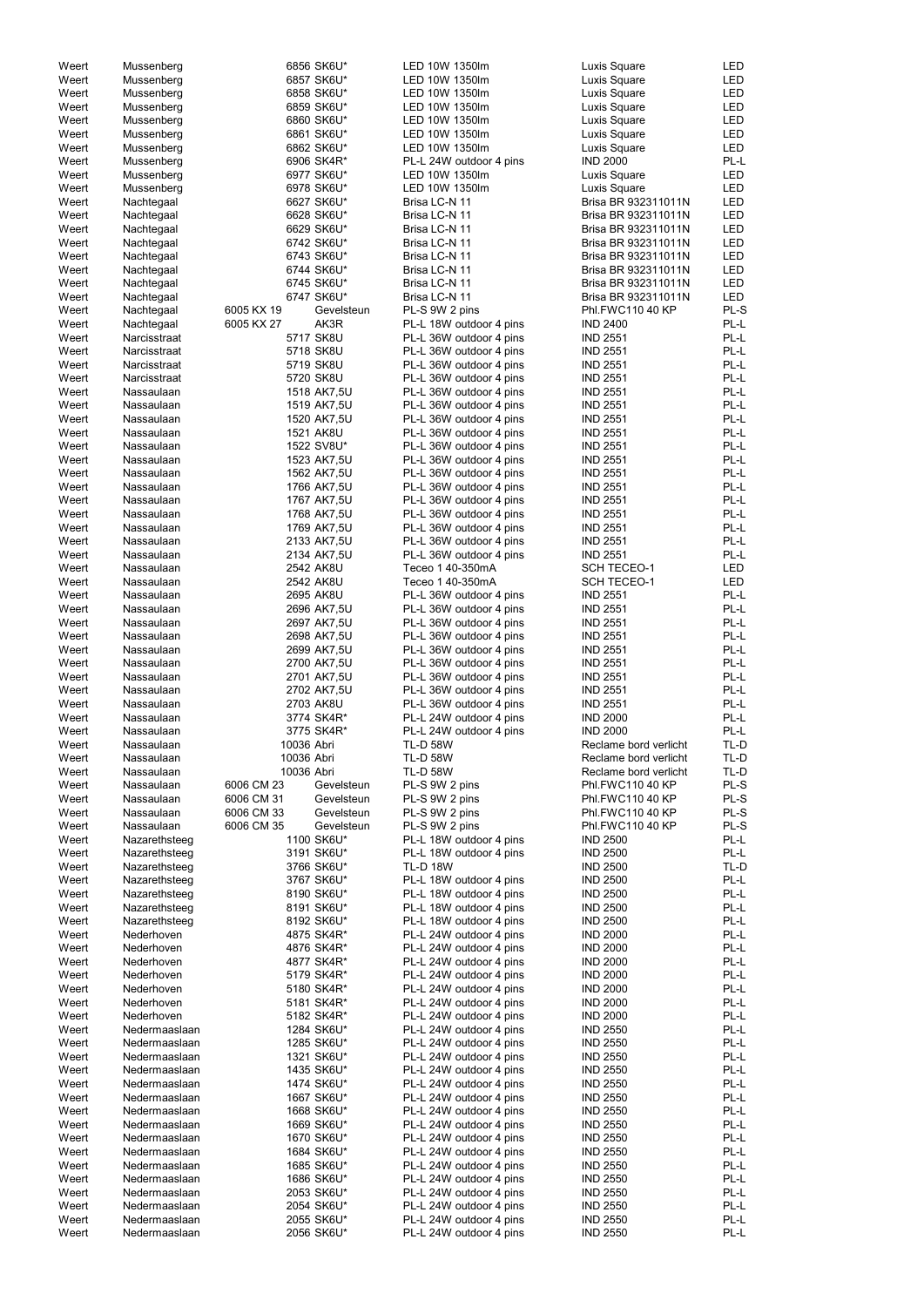| Weert          | Mussenberg                     |            | 6856 SK6U*               | LED 10W 1350lm          | Luxis Square          | LED        |
|----------------|--------------------------------|------------|--------------------------|-------------------------|-----------------------|------------|
| Weert          | Mussenberg                     |            | 6857 SK6U*               | LED 10W 1350lm          | Luxis Square          | <b>LED</b> |
| Weert          | Mussenberg                     |            | 6858 SK6U*               | LED 10W 1350lm          | <b>Luxis Square</b>   | LED        |
| Weert          | Mussenberg                     |            | 6859 SK6U*               | LED 10W 1350lm          | Luxis Square          | LED        |
| Weert          | Mussenberg                     |            | 6860 SK6U*               | LED 10W 1350lm          | Luxis Square          | LED        |
| Weert          | Mussenberg                     |            | 6861 SK6U*               | LED 10W 1350lm          | Luxis Square          | LED        |
| Weert          | Mussenberg                     |            | 6862 SK6U*               | LED 10W 1350lm          | Luxis Square          | LED        |
| Weert          | Mussenberg                     |            | 6906 SK4R*               | PL-L 24W outdoor 4 pins | <b>IND 2000</b>       | PL-L       |
| Weert          | Mussenberg                     |            | 6977 SK6U*               | LED 10W 1350lm          | Luxis Square          | LED        |
| Weert          | Mussenberg                     |            | 6978 SK6U*               | LED 10W 1350lm          | Luxis Square          | LED        |
| Weert          | Nachtegaal                     |            | 6627 SK6U*               | Brisa LC-N 11           | Brisa BR 932311011N   | LED        |
| Weert          | Nachtegaal                     |            | 6628 SK6U*               | Brisa LC-N 11           | Brisa BR 932311011N   | <b>LED</b> |
| Weert          |                                |            | 6629 SK6U*               | Brisa LC-N 11           | Brisa BR 932311011N   | LED        |
|                | Nachtegaal                     |            |                          |                         |                       |            |
| Weert          | Nachtegaal                     |            | 6742 SK6U*               | Brisa LC-N 11           | Brisa BR 932311011N   | <b>LED</b> |
| Weert          | Nachtegaal                     |            | 6743 SK6U*               | Brisa LC-N 11           | Brisa BR 932311011N   | <b>LED</b> |
| Weert          | Nachtegaal                     |            | 6744 SK6U*               | Brisa LC-N 11           | Brisa BR 932311011N   | <b>LED</b> |
| Weert          | Nachtegaal                     |            | 6745 SK6U*               | Brisa LC-N 11           | Brisa BR 932311011N   | <b>LED</b> |
| Weert          | Nachtegaal                     |            | 6747 SK6U*               | Brisa LC-N 11           | Brisa BR 932311011N   | <b>LED</b> |
| Weert          | Nachtegaal                     | 6005 KX 19 | Gevelsteun               | PL-S 9W 2 pins          | Phl.FWC110 40 KP      | PL-S       |
| Weert          | Nachtegaal                     | 6005 KX 27 | AK3R                     | PL-L 18W outdoor 4 pins | <b>IND 2400</b>       | PL-L       |
| Weert          | Narcisstraat                   |            | 5717 SK8U                | PL-L 36W outdoor 4 pins | <b>IND 2551</b>       | PL-L       |
| Weert          | Narcisstraat                   |            | 5718 SK8U                | PL-L 36W outdoor 4 pins | <b>IND 2551</b>       | PL-L       |
| Weert          | Narcisstraat                   |            | 5719 SK8U                | PL-L 36W outdoor 4 pins | <b>IND 2551</b>       | PL-L       |
| Weert          | Narcisstraat                   |            | 5720 SK8U                | PL-L 36W outdoor 4 pins | <b>IND 2551</b>       | PL-L       |
| Weert          | Nassaulaan                     |            | 1518 AK7,5U              | PL-L 36W outdoor 4 pins | <b>IND 2551</b>       | PL-L       |
| Weert          | Nassaulaan                     |            | 1519 AK7,5U              | PL-L 36W outdoor 4 pins | <b>IND 2551</b>       | PL-L       |
| Weert          | Nassaulaan                     |            | 1520 AK7,5U              | PL-L 36W outdoor 4 pins | <b>IND 2551</b>       | PL-L       |
|                |                                |            |                          |                         |                       |            |
| Weert          | Nassaulaan                     |            | 1521 AK8U                | PL-L 36W outdoor 4 pins | <b>IND 2551</b>       | PL-L       |
| Weert          | Nassaulaan                     |            | 1522 SV8U*               | PL-L 36W outdoor 4 pins | <b>IND 2551</b>       | PL-L       |
| Weert          | Nassaulaan                     |            | 1523 AK7,5U              | PL-L 36W outdoor 4 pins | <b>IND 2551</b>       | PL-L       |
| Weert          | Nassaulaan                     |            | 1562 AK7,5U              | PL-L 36W outdoor 4 pins | <b>IND 2551</b>       | PL-L       |
| Weert          | Nassaulaan                     |            | 1766 AK7,5U              | PL-L 36W outdoor 4 pins | <b>IND 2551</b>       | PL-L       |
| Weert          | Nassaulaan                     |            | 1767 AK7,5U              | PL-L 36W outdoor 4 pins | <b>IND 2551</b>       | PL-L       |
| Weert          | Nassaulaan                     |            | 1768 AK7,5U              | PL-L 36W outdoor 4 pins | <b>IND 2551</b>       | PL-L       |
| Weert          | Nassaulaan                     |            | 1769 AK7,5U              | PL-L 36W outdoor 4 pins | <b>IND 2551</b>       | PL-L       |
| Weert          | Nassaulaan                     |            | 2133 AK7,5U              | PL-L 36W outdoor 4 pins | <b>IND 2551</b>       | PL-L       |
| Weert          | Nassaulaan                     |            | 2134 AK7,5U              | PL-L 36W outdoor 4 pins | <b>IND 2551</b>       | PL-L       |
| Weert          | Nassaulaan                     |            | 2542 AK8U                | Teceo 1 40-350mA        | <b>SCH TECEO-1</b>    | <b>LED</b> |
| Weert          | Nassaulaan                     |            | 2542 AK8U                | Teceo 1 40-350mA        | <b>SCH TECEO-1</b>    | <b>LED</b> |
| Weert          | Nassaulaan                     |            | 2695 AK8U                | PL-L 36W outdoor 4 pins | <b>IND 2551</b>       | PL-L       |
| Weert          | Nassaulaan                     |            | 2696 AK7,5U              | PL-L 36W outdoor 4 pins | <b>IND 2551</b>       | PL-L       |
| Weert          | Nassaulaan                     |            | 2697 AK7,5U              | PL-L 36W outdoor 4 pins | <b>IND 2551</b>       | PL-L       |
|                | Nassaulaan                     |            |                          |                         |                       | PL-L       |
| Weert          |                                |            | 2698 AK7,5U              | PL-L 36W outdoor 4 pins | <b>IND 2551</b>       |            |
| Weert          | Nassaulaan                     |            | 2699 AK7,5U              | PL-L 36W outdoor 4 pins | <b>IND 2551</b>       | PL-L       |
| Weert          | Nassaulaan                     |            | 2700 AK7,5U              | PL-L 36W outdoor 4 pins | <b>IND 2551</b>       | PL-L       |
| Weert          | Nassaulaan                     |            | 2701 AK7,5U              | PL-L 36W outdoor 4 pins | <b>IND 2551</b>       | PL-L       |
| Weert          | Nassaulaan                     |            | 2702 AK7,5U              | PL-L 36W outdoor 4 pins | <b>IND 2551</b>       | PL-L       |
| Weert          | Nassaulaan                     |            | 2703 AK8U                | PL-L 36W outdoor 4 pins | <b>IND 2551</b>       | PL-L       |
| Weert          | Nassaulaan                     |            | 3774 SK4R*               | PL-L 24W outdoor 4 pins | <b>IND 2000</b>       | PL-L       |
| Weert          | Nassaulaan                     |            | 3775 SK4R*               | PL-L 24W outdoor 4 pins | <b>IND 2000</b>       | PL-L       |
| Weert          | Nassaulaan                     | 10036 Abri |                          | <b>TL-D 58W</b>         | Reclame bord verlicht | TL-D       |
| Weert          | Nassaulaan                     | 10036 Abri |                          | <b>TL-D 58W</b>         | Reclame bord verlicht | TL-D       |
| Weert          | Nassaulaan                     | 10036 Abri |                          | <b>TL-D 58W</b>         | Reclame bord verlicht | TL-D       |
| Weert          | Nassaulaan                     | 6006 CM 23 | Gevelsteun               | PL-S 9W 2 pins          | Phl.FWC110 40 KP      | PL-S       |
| Weert          | Nassaulaan                     | 6006 CM 31 | Gevelsteun               | PL-S 9W 2 pins          | Phl.FWC110 40 KP      | PL-S       |
| Weert          | Nassaulaan                     | 6006 CM 33 | Gevelsteun               | PL-S 9W 2 pins          | Phl.FWC110 40 KP      | PL-S       |
| Weert          | Nassaulaan                     | 6006 CM 35 | Gevelsteun               | PL-S 9W 2 pins          | Phl.FWC110 40 KP      | PL-S       |
|                |                                |            |                          |                         |                       |            |
| Weert          | Nazarethsteeg                  |            | 1100 SK6U*               | PL-L 18W outdoor 4 pins | <b>IND 2500</b>       | PL-L       |
| Weert          | Nazarethsteeg                  |            | 3191 SK6U*               | PL-L 18W outdoor 4 pins | <b>IND 2500</b>       | PL-L       |
| Weert          | Nazarethsteeg                  |            | 3766 SK6U*               | <b>TL-D 18W</b>         | <b>IND 2500</b>       | TL-D       |
| Weert          | Nazarethsteeg                  |            | 3767 SK6U*               | PL-L 18W outdoor 4 pins | <b>IND 2500</b>       | PL-L       |
| Weert          | Nazarethsteeg                  |            | 8190 SK6U*               | PL-L 18W outdoor 4 pins | <b>IND 2500</b>       | PL-L       |
| Weert          | Nazarethsteeg                  |            | 8191 SK6U*               | PL-L 18W outdoor 4 pins | <b>IND 2500</b>       | PL-L       |
| Weert          | Nazarethsteeg                  |            | 8192 SK6U*               | PL-L 18W outdoor 4 pins | <b>IND 2500</b>       | PL-L       |
| Weert          | Nederhoven                     |            | 4875 SK4R*               | PL-L 24W outdoor 4 pins | <b>IND 2000</b>       | PL-L       |
| Weert          | Nederhoven                     |            | 4876 SK4R*               | PL-L 24W outdoor 4 pins | <b>IND 2000</b>       | PL-L       |
| Weert          | Nederhoven                     |            | 4877 SK4R*               | PL-L 24W outdoor 4 pins | <b>IND 2000</b>       | PL-L       |
| Weert          | Nederhoven                     |            | 5179 SK4R*               | PL-L 24W outdoor 4 pins | <b>IND 2000</b>       | PL-L       |
| Weert          | Nederhoven                     |            | 5180 SK4R*               | PL-L 24W outdoor 4 pins | <b>IND 2000</b>       | PL-L       |
| Weert          | Nederhoven                     |            | 5181 SK4R*               | PL-L 24W outdoor 4 pins | <b>IND 2000</b>       | PL-L       |
| Weert          | Nederhoven                     |            |                          | PL-L 24W outdoor 4 pins | <b>IND 2000</b>       | PL-L       |
|                |                                |            | 5182 SK4R*               |                         |                       |            |
| Weert          | Nedermaaslaan                  |            | 1284 SK6U*               | PL-L 24W outdoor 4 pins | <b>IND 2550</b>       | PL-L       |
| Weert          | Nedermaaslaan                  |            | 1285 SK6U*               | PL-L 24W outdoor 4 pins | <b>IND 2550</b>       | PL-L       |
| Weert          | Nedermaaslaan                  |            | 1321 SK6U*               | PL-L 24W outdoor 4 pins | <b>IND 2550</b>       | PL-L       |
| Weert          | Nedermaaslaan                  |            | 1435 SK6U*               | PL-L 24W outdoor 4 pins | <b>IND 2550</b>       | PL-L       |
| Weert          | Nedermaaslaan                  |            | 1474 SK6U*               | PL-L 24W outdoor 4 pins | <b>IND 2550</b>       | PL-L       |
| Weert          | Nedermaaslaan                  |            | 1667 SK6U*               | PL-L 24W outdoor 4 pins | <b>IND 2550</b>       | PL-L       |
| Weert          | Nedermaaslaan                  |            | 1668 SK6U*               | PL-L 24W outdoor 4 pins | <b>IND 2550</b>       | PL-L       |
| Weert          | Nedermaaslaan                  |            | 1669 SK6U*               | PL-L 24W outdoor 4 pins | <b>IND 2550</b>       | PL-L       |
| Weert          | Nedermaaslaan                  |            | 1670 SK6U*               | PL-L 24W outdoor 4 pins | <b>IND 2550</b>       | PL-L       |
| Weert          | Nedermaaslaan                  |            | 1684 SK6U*               | PL-L 24W outdoor 4 pins | <b>IND 2550</b>       | PL-L       |
| Weert          | Nedermaaslaan                  |            | 1685 SK6U*               | PL-L 24W outdoor 4 pins | <b>IND 2550</b>       | PL-L       |
| Weert          | Nedermaaslaan                  |            | 1686 SK6U*               | PL-L 24W outdoor 4 pins | <b>IND 2550</b>       | PL-L       |
| Weert          | Nedermaaslaan                  |            | 2053 SK6U*               | PL-L 24W outdoor 4 pins | <b>IND 2550</b>       | PL-L       |
|                |                                |            |                          |                         |                       | PL-L       |
| Weert          | Nedermaaslaan                  |            | 2054 SK6U*               | PL-L 24W outdoor 4 pins | <b>IND 2550</b>       |            |
| Weert<br>Weert | Nedermaaslaan<br>Nedermaaslaan |            | 2055 SK6U*<br>2056 SK6U* | PL-L 24W outdoor 4 pins | <b>IND 2550</b>       | PL-L       |
|                |                                |            |                          | PL-L 24W outdoor 4 pins | <b>IND 2550</b>       | PL-L       |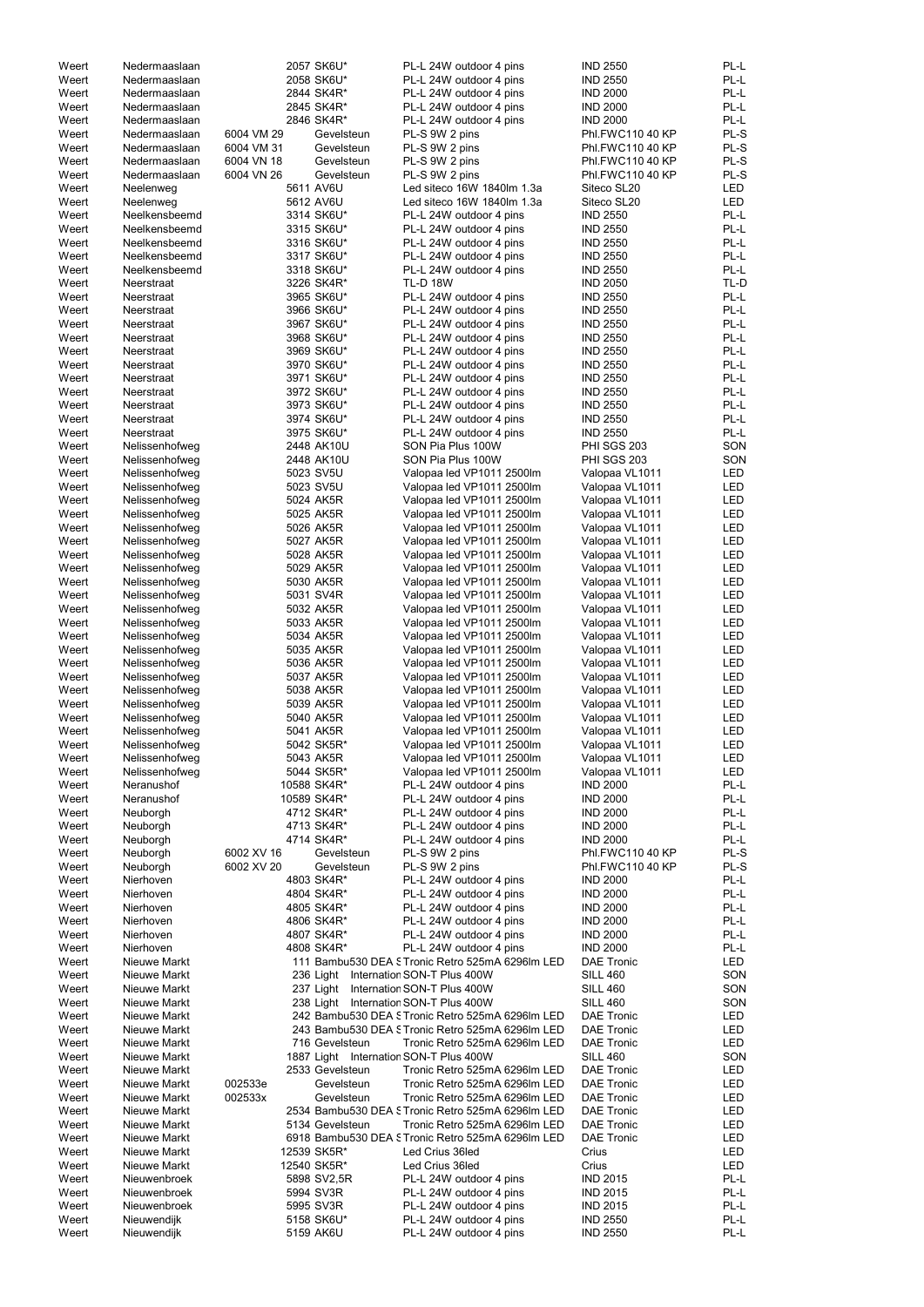| Weert          | Nedermaaslaan                    |            | 2057 SK6U*               | PL-L 24W outdoor 4 pins                                | <b>IND 2550</b>                    | PL-L         |
|----------------|----------------------------------|------------|--------------------------|--------------------------------------------------------|------------------------------------|--------------|
| Weert          | Nedermaaslaan                    |            | 2058 SK6U*               | PL-L 24W outdoor 4 pins                                | <b>IND 2550</b>                    | PL-L         |
| Weert          | Nedermaaslaan                    |            | 2844 SK4R*               | PL-L 24W outdoor 4 pins                                | <b>IND 2000</b>                    | PL-L         |
| Weert          | Nedermaaslaan                    |            | 2845 SK4R*               | PL-L 24W outdoor 4 pins                                | <b>IND 2000</b>                    | PL-L         |
| Weert          | Nedermaaslaan                    |            | 2846 SK4R*               | PL-L 24W outdoor 4 pins                                | <b>IND 2000</b>                    | PL-L         |
| Weert          | Nedermaaslaan                    | 6004 VM 29 | Gevelsteun               | PL-S 9W 2 pins                                         | Phl.FWC110 40 KP                   | PL-S         |
| Weert          | Nedermaaslaan                    | 6004 VM 31 | Gevelsteun               | PL-S 9W 2 pins                                         | Phl.FWC110 40 KP                   | PL-S         |
| Weert          | Nedermaaslaan                    | 6004 VN 18 | Gevelsteun               | PL-S 9W 2 pins                                         | Phl.FWC110 40 KP                   | PL-S         |
| Weert          | Nedermaaslaan                    | 6004 VN 26 | Gevelsteun               | PL-S 9W 2 pins                                         | Phl.FWC110 40 KP                   | PL-S         |
| Weert          | Neelenweg                        |            | 5611 AV6U                | Led siteco 16W 1840lm 1.3a                             | Siteco SL20                        | LED          |
| Weert          | Neelenweg                        |            | 5612 AV6U                | Led siteco 16W 1840lm 1.3a                             | Siteco SL20                        | <b>LED</b>   |
| Weert          | Neelkensbeemd                    |            | 3314 SK6U*               | PL-L 24W outdoor 4 pins                                | <b>IND 2550</b>                    | PL-L         |
| Weert          | Neelkensbeemd                    |            | 3315 SK6U*               | PL-L 24W outdoor 4 pins                                | <b>IND 2550</b>                    | PL-L         |
| Weert          | Neelkensbeemd                    |            | 3316 SK6U*               | PL-L 24W outdoor 4 pins                                | <b>IND 2550</b>                    | PL-L         |
| Weert          | Neelkensbeemd                    |            | 3317 SK6U*               | PL-L 24W outdoor 4 pins                                | <b>IND 2550</b>                    | PL-L         |
| Weert          | Neelkensbeemd                    |            | 3318 SK6U*               | PL-L 24W outdoor 4 pins                                | <b>IND 2550</b>                    | PL-L         |
| Weert          | Neerstraat                       |            | 3226 SK4R*               | <b>TL-D 18W</b>                                        | <b>IND 2050</b>                    | TL-D         |
| Weert          | Neerstraat                       |            | 3965 SK6U*               | PL-L 24W outdoor 4 pins                                | <b>IND 2550</b>                    | PL-L         |
| Weert          | Neerstraat                       |            | 3966 SK6U*               | PL-L 24W outdoor 4 pins                                | <b>IND 2550</b>                    | PL-L         |
| Weert          | Neerstraat                       |            | 3967 SK6U*               | PL-L 24W outdoor 4 pins                                | <b>IND 2550</b>                    | PL-L         |
| Weert          | Neerstraat                       |            | 3968 SK6U*               | PL-L 24W outdoor 4 pins                                | <b>IND 2550</b>                    | PL-L         |
| Weert          | Neerstraat                       |            | 3969 SK6U*               | PL-L 24W outdoor 4 pins                                | <b>IND 2550</b>                    | PL-L         |
| Weert          | Neerstraat                       |            | 3970 SK6U*               | PL-L 24W outdoor 4 pins                                | <b>IND 2550</b>                    | PL-L         |
| Weert          | Neerstraat                       |            | 3971 SK6U*               | PL-L 24W outdoor 4 pins                                | <b>IND 2550</b>                    | PL-L         |
| Weert          | Neerstraat                       |            | 3972 SK6U*               | PL-L 24W outdoor 4 pins                                | <b>IND 2550</b>                    | PL-L         |
| Weert          | Neerstraat                       |            | 3973 SK6U*               | PL-L 24W outdoor 4 pins                                | <b>IND 2550</b>                    | PL-L         |
| Weert          | Neerstraat                       |            | 3974 SK6U*               | PL-L 24W outdoor 4 pins                                | <b>IND 2550</b>                    | PL-L         |
| Weert          | Neerstraat                       |            | 3975 SK6U*               | PL-L 24W outdoor 4 pins                                | <b>IND 2550</b>                    | PL-L         |
| Weert          | Nelissenhofweg                   |            | 2448 AK10U               | SON Pia Plus 100W                                      | <b>PHI SGS 203</b>                 | SON          |
| Weert          | Nelissenhofweg                   |            | 2448 AK10U               | SON Pia Plus 100W                                      | <b>PHI SGS 203</b>                 | SON          |
| Weert          | Nelissenhofweg                   |            | 5023 SV5U                | Valopaa led VP1011 2500lm                              | Valopaa VL1011                     | LED          |
| Weert          | Nelissenhofweg                   |            | 5023 SV5U                | Valopaa led VP1011 2500lm                              | Valopaa VL1011                     | <b>LED</b>   |
| Weert          | Nelissenhofweg                   |            | 5024 AK5R                | Valopaa led VP1011 2500lm                              | Valopaa VL1011                     | LED          |
| Weert          | Nelissenhofweg                   |            | 5025 AK5R                | Valopaa led VP1011 2500lm                              | Valopaa VL1011                     | LED          |
| Weert          | Nelissenhofweg                   |            | 5026 AK5R                | Valopaa led VP1011 2500lm                              | Valopaa VL1011                     | LED          |
| Weert          | Nelissenhofweg                   |            | 5027 AK5R                | Valopaa led VP1011 2500lm                              | Valopaa VL1011                     | <b>LED</b>   |
| Weert          | Nelissenhofweg                   |            | 5028 AK5R                | Valopaa led VP1011 2500lm                              | Valopaa VL1011                     | <b>LED</b>   |
| Weert          | Nelissenhofweg                   |            | 5029 AK5R                | Valopaa led VP1011 2500lm                              | Valopaa VL1011                     | LED          |
| Weert          | Nelissenhofweg                   |            | 5030 AK5R                | Valopaa led VP1011 2500lm                              | Valopaa VL1011                     | LED          |
| Weert          | Nelissenhofweg                   |            | 5031 SV4R                | Valopaa led VP1011 2500lm                              | Valopaa VL1011                     | LED          |
| Weert          | Nelissenhofweg                   |            | 5032 AK5R                | Valopaa led VP1011 2500lm                              | Valopaa VL1011                     | LED<br>LED   |
| Weert          | Nelissenhofweg                   |            | 5033 AK5R                | Valopaa led VP1011 2500lm                              | Valopaa VL1011                     |              |
| Weert          | Nelissenhofweg                   |            | 5034 AK5R<br>5035 AK5R   | Valopaa led VP1011 2500lm                              | Valopaa VL1011                     | LED<br>LED   |
| Weert          | Nelissenhofweg                   |            | 5036 AK5R                | Valopaa led VP1011 2500lm<br>Valopaa led VP1011 2500lm | Valopaa VL1011                     | LED          |
| Weert<br>Weert | Nelissenhofweg<br>Nelissenhofweg |            | 5037 AK5R                | Valopaa led VP1011 2500lm                              | Valopaa VL1011                     | <b>LED</b>   |
| Weert          |                                  |            | 5038 AK5R                |                                                        | Valopaa VL1011                     |              |
| Weert          | Nelissenhofweg<br>Nelissenhofweg |            | 5039 AK5R                | Valopaa led VP1011 2500lm<br>Valopaa led VP1011 2500lm | Valopaa VL1011<br>Valopaa VL1011   | LED<br>LED   |
| Weert          | Nelissenhofweg                   |            | 5040 AK5R                | Valopaa led VP1011 2500lm                              | Valopaa VL1011                     | LED          |
| Weert          | Nelissenhofweg                   |            | 5041 AK5R                | Valopaa led VP1011 2500lm                              | Valopaa VL1011                     | LED          |
| Weert          | Nelissenhofweg                   |            | 5042 SK5R*               | Valopaa led VP1011 2500lm                              | Valopaa VL1011                     | LED          |
| Weert          | Nelissenhofweg                   |            | 5043 AK5R                | Valopaa led VP1011 2500lm                              | Valopaa VL1011                     | LED          |
| Weert          | Nelissenhofweg                   |            | 5044 SK5R*               | Valopaa led VP1011 2500lm                              | Valopaa VL1011                     | LED          |
| Weert          | Neranushof                       |            | 10588 SK4R*              | PL-L 24W outdoor 4 pins                                | <b>IND 2000</b>                    | PL-L         |
| Weert          | Neranushof                       |            | 10589 SK4R*              | PL-L 24W outdoor 4 pins                                | <b>IND 2000</b>                    | PL-L         |
| Weert          | Neuborgh                         |            | 4712 SK4R*               | PL-L 24W outdoor 4 pins                                | <b>IND 2000</b>                    | PL-L         |
| Weert          | Neuborgh                         |            | 4713 SK4R*               | PL-L 24W outdoor 4 pins                                | <b>IND 2000</b>                    | PL-L         |
| Weert          | Neuborgh                         |            | 4714 SK4R*               | PL-L 24W outdoor 4 pins                                | <b>IND 2000</b>                    | PL-L         |
| Weert          | Neuborgh                         | 6002 XV 16 | Gevelsteun               | PL-S 9W 2 pins                                         | Phl.FWC110 40 KP                   | PL-S         |
| Weert          | Neuborgh                         | 6002 XV 20 | Gevelsteun               | PL-S 9W 2 pins                                         | Phl.FWC110 40 KP                   | PL-S         |
| Weert          | Nierhoven                        |            | 4803 SK4R*               | PL-L 24W outdoor 4 pins                                | <b>IND 2000</b>                    | PL-L         |
| Weert          | Nierhoven                        |            | 4804 SK4R*               | PL-L 24W outdoor 4 pins                                | <b>IND 2000</b>                    | PL-L         |
| Weert          | Nierhoven                        |            | 4805 SK4R*               | PL-L 24W outdoor 4 pins                                | <b>IND 2000</b>                    | PL-L         |
| Weert          | Nierhoven                        |            | 4806 SK4R*               | PL-L 24W outdoor 4 pins                                | <b>IND 2000</b>                    | PL-L         |
| Weert          | Nierhoven                        |            | 4807 SK4R*               | PL-L 24W outdoor 4 pins                                | <b>IND 2000</b>                    | PL-L         |
| Weert          | Nierhoven                        |            | 4808 SK4R*               | PL-L 24W outdoor 4 pins                                | <b>IND 2000</b>                    | PL-L         |
| Weert          | Nieuwe Markt                     |            |                          | 111 Bambu530 DEA S Tronic Retro 525mA 6296lm LED       | <b>DAE Tronic</b>                  | LED          |
| Weert          | Nieuwe Markt                     |            | 236 Light                | Internation SON-T Plus 400W                            | <b>SILL 460</b>                    | SON          |
| Weert          | Nieuwe Markt                     |            | 237 Light                | Internation SON-T Plus 400W                            | <b>SILL 460</b>                    | SON          |
| Weert          | Nieuwe Markt                     |            | 238 Light                | Internation SON-T Plus 400W                            | <b>SILL 460</b>                    | SON          |
| Weert          | Nieuwe Markt                     |            |                          | 242 Bambu530 DEA S Tronic Retro 525mA 6296lm LED       | <b>DAE Tronic</b>                  | LED          |
| Weert          | Nieuwe Markt                     |            |                          | 243 Bambu530 DEA S Tronic Retro 525mA 6296lm LED       | <b>DAE Tronic</b>                  | LED          |
| Weert          | Nieuwe Markt                     |            | 716 Gevelsteun           | Tronic Retro 525mA 6296lm LED                          | <b>DAE Tronic</b>                  | LED          |
| Weert          | Nieuwe Markt                     |            |                          | 1887 Light Internation SON-T Plus 400W                 | <b>SILL 460</b>                    | SON          |
| Weert          | Nieuwe Markt                     |            | 2533 Gevelsteun          | Tronic Retro 525mA 6296lm LED                          | <b>DAE Tronic</b>                  | LED          |
| Weert          | Nieuwe Markt                     | 002533e    | Gevelsteun               | Tronic Retro 525mA 6296lm LED                          | <b>DAE Tronic</b>                  | LED          |
| Weert          | Nieuwe Markt                     | 002533x    | Gevelsteun               | Tronic Retro 525mA 6296lm LED                          | <b>DAE Tronic</b>                  | LED          |
| Weert          | Nieuwe Markt                     |            |                          | 2534 Bambu530 DEA STronic Retro 525mA 6296lm LED       | <b>DAE Tronic</b>                  | LED          |
| Weert          | Nieuwe Markt                     |            | 5134 Gevelsteun          | Tronic Retro 525mA 6296lm LED                          | <b>DAE Tronic</b>                  | LED          |
| Weert          | Nieuwe Markt                     |            |                          | 6918 Bambu530 DEA STronic Retro 525mA 6296Im LED       | <b>DAE Tronic</b>                  | LED          |
| Weert          | Nieuwe Markt                     |            | 12539 SK5R*              | Led Crius 36led                                        | Crius                              | LED          |
| Weert          | Nieuwe Markt                     |            | 12540 SK5R*              | Led Crius 36led                                        | Crius                              | LED          |
| Weert          | Nieuwenbroek                     |            | 5898 SV2,5R<br>5994 SV3R | PL-L 24W outdoor 4 pins                                | <b>IND 2015</b>                    | PL-L         |
| Weert          |                                  |            |                          | PL-L 24W outdoor 4 pins                                | <b>IND 2015</b>                    | PL-L         |
|                | Nieuwenbroek                     |            |                          |                                                        |                                    |              |
| Weert          | Nieuwenbroek                     |            | 5995 SV3R                | PL-L 24W outdoor 4 pins                                | <b>IND 2015</b>                    | PL-L         |
| Weert<br>Weert | Nieuwendijk<br>Nieuwendijk       |            | 5158 SK6U*<br>5159 AK6U  | PL-L 24W outdoor 4 pins<br>PL-L 24W outdoor 4 pins     | <b>IND 2550</b><br><b>IND 2550</b> | PL-L<br>PL-L |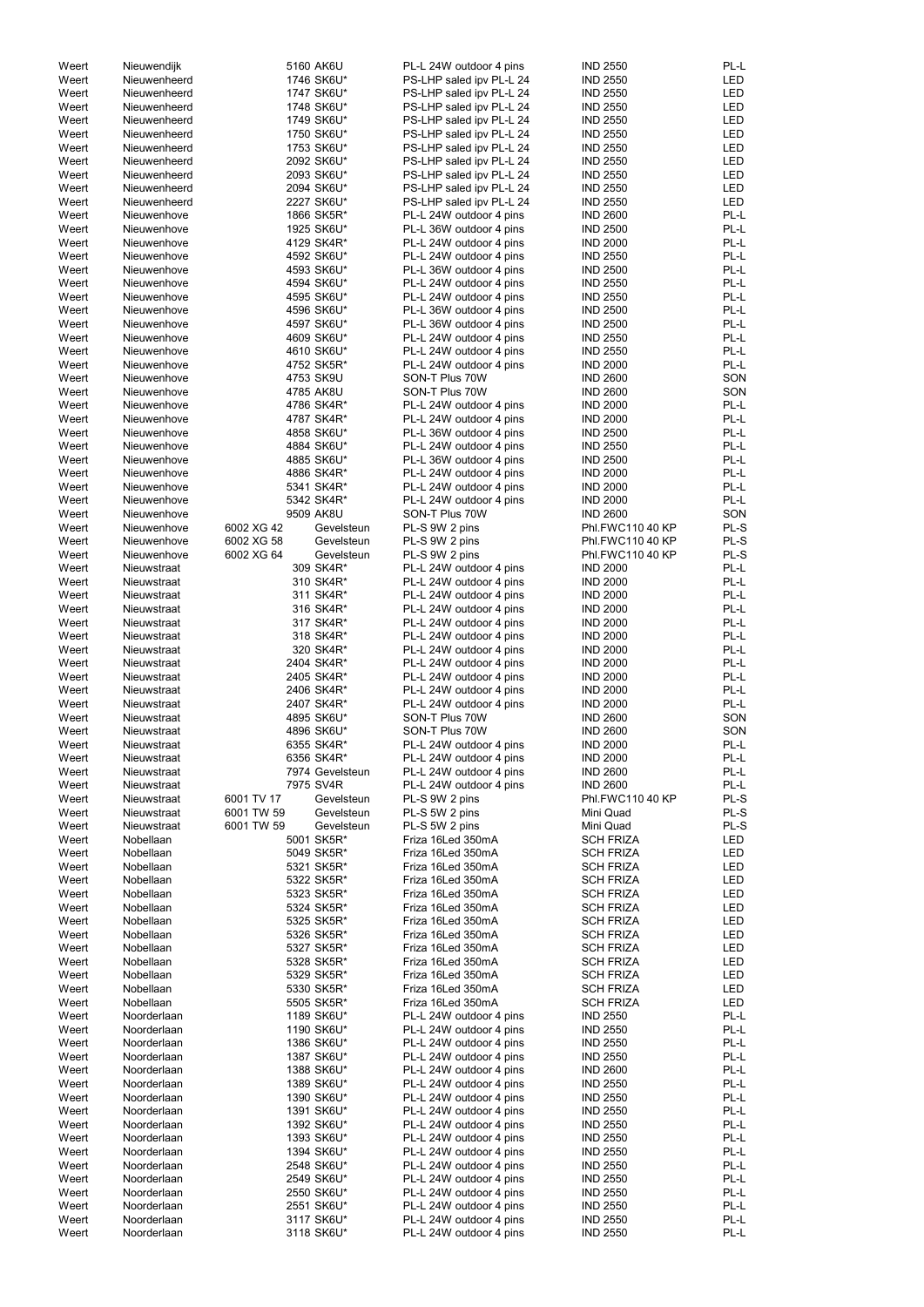| Weert          | Nieuwendijk                |            | 5160 AK6U                | PL-L 24W outdoor 4 pins                            | <b>IND 2550</b>                    | PL-L         |
|----------------|----------------------------|------------|--------------------------|----------------------------------------------------|------------------------------------|--------------|
| Weert          | Nieuwenheerd               |            | 1746 SK6U*               | PS-LHP saled ipv PL-L 24                           | <b>IND 2550</b>                    | <b>LED</b>   |
| Weert          | Nieuwenheerd               |            | 1747 SK6U*               | PS-LHP saled ipv PL-L 24                           | <b>IND 2550</b>                    | <b>LED</b>   |
| Weert          | Nieuwenheerd               |            | 1748 SK6U*               | PS-LHP saled ipv PL-L 24                           | <b>IND 2550</b>                    | <b>LED</b>   |
|                |                            |            |                          |                                                    |                                    |              |
| Weert          | Nieuwenheerd               |            | 1749 SK6U*               | PS-LHP saled ipv PL-L 24                           | <b>IND 2550</b>                    | <b>LED</b>   |
| Weert          | Nieuwenheerd               |            | 1750 SK6U*               | PS-LHP saled ipv PL-L 24                           | <b>IND 2550</b>                    | <b>LED</b>   |
| Weert          | Nieuwenheerd               |            | 1753 SK6U*               | PS-LHP saled ipv PL-L 24                           | <b>IND 2550</b>                    | <b>LED</b>   |
| Weert          | Nieuwenheerd               |            | 2092 SK6U*               | PS-LHP saled ipv PL-L 24                           | <b>IND 2550</b>                    | <b>LED</b>   |
|                |                            |            |                          |                                                    |                                    |              |
| Weert          | Nieuwenheerd               |            | 2093 SK6U*               | PS-LHP saled ipv PL-L 24                           | <b>IND 2550</b>                    | <b>LED</b>   |
| Weert          | Nieuwenheerd               |            | 2094 SK6U*               | PS-LHP saled ipv PL-L 24                           | <b>IND 2550</b>                    | <b>LED</b>   |
| Weert          | Nieuwenheerd               |            | 2227 SK6U*               | PS-LHP saled ipv PL-L 24                           | <b>IND 2550</b>                    | <b>LED</b>   |
|                |                            |            |                          |                                                    |                                    |              |
| Weert          | Nieuwenhove                |            | 1866 SK5R*               | PL-L 24W outdoor 4 pins                            | <b>IND 2600</b>                    | PL-L         |
| Weert          | Nieuwenhove                |            | 1925 SK6U*               | PL-L 36W outdoor 4 pins                            | <b>IND 2500</b>                    | PL-L         |
| Weert          | Nieuwenhove                |            | 4129 SK4R*               | PL-L 24W outdoor 4 pins                            | <b>IND 2000</b>                    | PL-L         |
| Weert          | Nieuwenhove                |            | 4592 SK6U*               | PL-L 24W outdoor 4 pins                            | <b>IND 2550</b>                    | PL-L         |
|                |                            |            |                          |                                                    |                                    |              |
| Weert          | Nieuwenhove                |            | 4593 SK6U*               | PL-L 36W outdoor 4 pins                            | <b>IND 2500</b>                    | PL-L         |
| Weert          | Nieuwenhove                |            | 4594 SK6U*               | PL-L 24W outdoor 4 pins                            | <b>IND 2550</b>                    | PL-L         |
| Weert          | Nieuwenhove                |            | 4595 SK6U*               | PL-L 24W outdoor 4 pins                            | <b>IND 2550</b>                    | PL-L         |
| Weert          | Nieuwenhove                |            | 4596 SK6U*               | PL-L 36W outdoor 4 pins                            | <b>IND 2500</b>                    | PL-L         |
|                |                            |            |                          |                                                    |                                    |              |
| Weert          | Nieuwenhove                |            | 4597 SK6U*               | PL-L 36W outdoor 4 pins                            | <b>IND 2500</b>                    | PL-L         |
| Weert          | Nieuwenhove                |            | 4609 SK6U*               | PL-L 24W outdoor 4 pins                            | <b>IND 2550</b>                    | PL-L         |
| Weert          | Nieuwenhove                |            | 4610 SK6U*               | PL-L 24W outdoor 4 pins                            | <b>IND 2550</b>                    | PL-L         |
|                |                            |            |                          |                                                    |                                    |              |
| Weert          | Nieuwenhove                |            | 4752 SK5R*               | PL-L 24W outdoor 4 pins                            | <b>IND 2000</b>                    | PL-L         |
| Weert          | Nieuwenhove                |            | 4753 SK9U                | SON-T Plus 70W                                     | <b>IND 2600</b>                    | SON          |
| Weert          | Nieuwenhove                |            | 4785 AK8U                | SON-T Plus 70W                                     | <b>IND 2600</b>                    | SON          |
| Weert          | Nieuwenhove                |            | 4786 SK4R*               | PL-L 24W outdoor 4 pins                            | <b>IND 2000</b>                    | PL-L         |
|                |                            |            |                          |                                                    |                                    |              |
| Weert          | Nieuwenhove                |            | 4787 SK4R*               | PL-L 24W outdoor 4 pins                            | <b>IND 2000</b>                    | PL-L         |
| Weert          | Nieuwenhove                |            | 4858 SK6U*               | PL-L 36W outdoor 4 pins                            | <b>IND 2500</b>                    | PL-L         |
| Weert          | Nieuwenhove                |            | 4884 SK6U*               | PL-L 24W outdoor 4 pins                            | <b>IND 2550</b>                    | PL-L         |
| Weert          | Nieuwenhove                |            | 4885 SK6U*               | PL-L 36W outdoor 4 pins                            | <b>IND 2500</b>                    | PL-L         |
|                |                            |            |                          |                                                    |                                    |              |
| Weert          | Nieuwenhove                |            | 4886 SK4R*               | PL-L 24W outdoor 4 pins                            | <b>IND 2000</b>                    | PL-L         |
| Weert          | Nieuwenhove                |            | 5341 SK4R*               | PL-L 24W outdoor 4 pins                            | <b>IND 2000</b>                    | PL-L         |
| Weert          | Nieuwenhove                |            | 5342 SK4R*               | PL-L 24W outdoor 4 pins                            | <b>IND 2000</b>                    | PL-L         |
|                |                            |            |                          |                                                    |                                    |              |
| Weert          | Nieuwenhove                |            | 9509 AK8U                | SON-T Plus 70W                                     | <b>IND 2600</b>                    | SON          |
| Weert          | Nieuwenhove                | 6002 XG 42 | Gevelsteun               | PL-S 9W 2 pins                                     | Phl.FWC110 40 KP                   | PL-S         |
| Weert          | Nieuwenhove                | 6002 XG 58 | Gevelsteun               | PL-S 9W 2 pins                                     | Phl.FWC110 40 KP                   | PL-S         |
| Weert          | Nieuwenhove                | 6002 XG 64 | Gevelsteun               | PL-S 9W 2 pins                                     | Phl.FWC110 40 KP                   | PL-S         |
|                |                            |            |                          |                                                    |                                    |              |
| Weert          | Nieuwstraat                |            | 309 SK4R*                | PL-L 24W outdoor 4 pins                            | <b>IND 2000</b>                    | PL-L         |
| Weert          | Nieuwstraat                |            | 310 SK4R*                | PL-L 24W outdoor 4 pins                            | <b>IND 2000</b>                    | PL-L         |
| Weert          | Nieuwstraat                |            | 311 SK4R*                | PL-L 24W outdoor 4 pins                            | <b>IND 2000</b>                    | PL-L         |
|                |                            |            |                          |                                                    |                                    |              |
| Weert          | Nieuwstraat                |            | 316 SK4R*                | PL-L 24W outdoor 4 pins                            | <b>IND 2000</b>                    | PL-L         |
| Weert          | Nieuwstraat                |            | 317 SK4R*                | PL-L 24W outdoor 4 pins                            | <b>IND 2000</b>                    | PL-L         |
| Weert          | Nieuwstraat                |            | 318 SK4R*                | PL-L 24W outdoor 4 pins                            | <b>IND 2000</b>                    | PL-L         |
| Weert          | Nieuwstraat                |            | 320 SK4R*                | PL-L 24W outdoor 4 pins                            | <b>IND 2000</b>                    | PL-L         |
|                |                            |            |                          |                                                    |                                    |              |
| Weert          | Nieuwstraat                |            | 2404 SK4R*               | PL-L 24W outdoor 4 pins                            | <b>IND 2000</b>                    | PL-L         |
| Weert          | Nieuwstraat                |            | 2405 SK4R*               | PL-L 24W outdoor 4 pins                            | <b>IND 2000</b>                    | PL-L         |
| Weert          | Nieuwstraat                |            | 2406 SK4R*               | PL-L 24W outdoor 4 pins                            | <b>IND 2000</b>                    | PL-L         |
|                |                            |            |                          |                                                    |                                    |              |
| Weert          | Nieuwstraat                |            | 2407 SK4R*               | PL-L 24W outdoor 4 pins                            | <b>IND 2000</b>                    | PL-L         |
| Weert          | Nieuwstraat                |            | 4895 SK6U*               | SON-T Plus 70W                                     | <b>IND 2600</b>                    | SON          |
| Weert          | Nieuwstraat                |            | 4896 SK6U*               | SON-T Plus 70W                                     | <b>IND 2600</b>                    | SON          |
| Weert          | Nieuwstraat                |            | 6355 SK4R*               | PL-L 24W outdoor 4 pins                            | <b>IND 2000</b>                    | PL-L         |
|                |                            |            |                          |                                                    |                                    |              |
| Weert          | Nieuwstraat                |            | 6356 SK4R*               | PL-L 24W outdoor 4 pins                            | <b>IND 2000</b>                    | PL-L         |
| Weert          | Nieuwstraat                |            | 7974 Gevelsteun          | PL-L 24W outdoor 4 pins                            | <b>IND 2600</b>                    | PL-L         |
| Weert          | Nieuwstraat                |            | 7975 SV4R                | PL-L 24W outdoor 4 pins                            | <b>IND 2600</b>                    | PL-L         |
|                |                            |            | Gevelsteun               |                                                    | Phl.FWC110 40 KP                   | PL-S         |
| Weert          | Nieuwstraat                | 6001 TV 17 |                          | PL-S 9W 2 pins                                     |                                    |              |
| Weert          | Nieuwstraat                | 6001 TW 59 | Gevelsteun               | PL-S 5W 2 pins                                     | Mini Quad                          | PL-S         |
| Weert          | Nieuwstraat                | 6001 TW 59 | Gevelsteun               | PL-S 5W 2 pins                                     | Mini Quad                          | PL-S         |
| Weert          | Nobellaan                  |            | 5001 SK5R*               | Friza 16Led 350mA                                  | <b>SCH FRIZA</b>                   | <b>LED</b>   |
|                |                            |            |                          |                                                    |                                    |              |
| Weert          | Nobellaan                  |            | 5049 SK5R*               | Friza 16Led 350mA                                  | <b>SCH FRIZA</b>                   | LED          |
| Weert          | Nobellaan                  |            | 5321 SK5R*               | Friza 16Led 350mA                                  | <b>SCH FRIZA</b>                   | LED          |
| Weert          | Nobellaan                  |            | 5322 SK5R*               | Friza 16Led 350mA                                  | <b>SCH FRIZA</b>                   | LED          |
| Weert          | Nobellaan                  |            | 5323 SK5R*               | Friza 16Led 350mA                                  | <b>SCH FRIZA</b>                   | LED          |
| Weert          | Nobellaan                  |            |                          | Friza 16Led 350mA                                  |                                    | <b>LED</b>   |
|                |                            |            | 5324 SK5R*               |                                                    | <b>SCH FRIZA</b>                   |              |
| Weert          | Nobellaan                  |            | 5325 SK5R*               | Friza 16Led 350mA                                  | <b>SCH FRIZA</b>                   | <b>LED</b>   |
| Weert          | Nobellaan                  |            | 5326 SK5R*               | Friza 16Led 350mA                                  | <b>SCH FRIZA</b>                   | <b>LED</b>   |
| Weert          | Nobellaan                  |            | 5327 SK5R*               | Friza 16Led 350mA                                  | <b>SCH FRIZA</b>                   | <b>LED</b>   |
|                |                            |            |                          |                                                    |                                    |              |
| Weert          | Nobellaan                  |            | 5328 SK5R*               | Friza 16Led 350mA                                  | <b>SCH FRIZA</b>                   | LED          |
| Weert          | Nobellaan                  |            | 5329 SK5R*               | Friza 16Led 350mA                                  | <b>SCH FRIZA</b>                   | LED          |
| Weert          | Nobellaan                  |            | 5330 SK5R*               | Friza 16Led 350mA                                  | <b>SCH FRIZA</b>                   | LED          |
| Weert          | Nobellaan                  |            | 5505 SK5R*               | Friza 16Led 350mA                                  | <b>SCH FRIZA</b>                   | LED          |
|                |                            |            |                          |                                                    |                                    |              |
| Weert          | Noorderlaan                |            | 1189 SK6U*               | PL-L 24W outdoor 4 pins                            | <b>IND 2550</b>                    | PL-L         |
| Weert          | Noorderlaan                |            | 1190 SK6U*               | PL-L 24W outdoor 4 pins                            | <b>IND 2550</b>                    | PL-L         |
| Weert          | Noorderlaan                |            | 1386 SK6U*               | PL-L 24W outdoor 4 pins                            | <b>IND 2550</b>                    | PL-L         |
|                |                            |            |                          | PL-L 24W outdoor 4 pins                            |                                    | PL-L         |
| Weert          | Noorderlaan                |            | 1387 SK6U*               |                                                    | <b>IND 2550</b>                    |              |
| Weert          | Noorderlaan                |            | 1388 SK6U*               | PL-L 24W outdoor 4 pins                            | <b>IND 2600</b>                    | PL-L         |
| Weert          | Noorderlaan                |            | 1389 SK6U*               | PL-L 24W outdoor 4 pins                            | <b>IND 2550</b>                    | PL-L         |
| Weert          | Noorderlaan                |            | 1390 SK6U*               | PL-L 24W outdoor 4 pins                            | <b>IND 2550</b>                    | PL-L         |
|                |                            |            |                          |                                                    |                                    |              |
| Weert          | Noorderlaan                |            | 1391 SK6U*               | PL-L 24W outdoor 4 pins                            | <b>IND 2550</b>                    | PL-L         |
| Weert          | Noorderlaan                |            | 1392 SK6U*               | PL-L 24W outdoor 4 pins                            | <b>IND 2550</b>                    | PL-L         |
| Weert          | Noorderlaan                |            | 1393 SK6U*               | PL-L 24W outdoor 4 pins                            | <b>IND 2550</b>                    | PL-L         |
|                |                            |            | 1394 SK6U*               |                                                    |                                    |              |
| Weert          | Noorderlaan                |            |                          | PL-L 24W outdoor 4 pins                            | <b>IND 2550</b>                    | PL-L         |
| Weert          | Noorderlaan                |            | 2548 SK6U*               | PL-L 24W outdoor 4 pins                            | <b>IND 2550</b>                    | PL-L         |
| Weert          | Noorderlaan                |            | 2549 SK6U*               | PL-L 24W outdoor 4 pins                            | <b>IND 2550</b>                    | PL-L         |
| Weert          | Noorderlaan                |            | 2550 SK6U*               | PL-L 24W outdoor 4 pins                            | <b>IND 2550</b>                    | PL-L         |
|                | Noorderlaan                |            |                          |                                                    |                                    |              |
| Weert          |                            |            | 2551 SK6U*               | PL-L 24W outdoor 4 pins                            | <b>IND 2550</b>                    | PL-L         |
|                |                            |            |                          |                                                    |                                    |              |
| Weert<br>Weert | Noorderlaan<br>Noorderlaan |            | 3117 SK6U*<br>3118 SK6U* | PL-L 24W outdoor 4 pins<br>PL-L 24W outdoor 4 pins | <b>IND 2550</b><br><b>IND 2550</b> | PL-L<br>PL-L |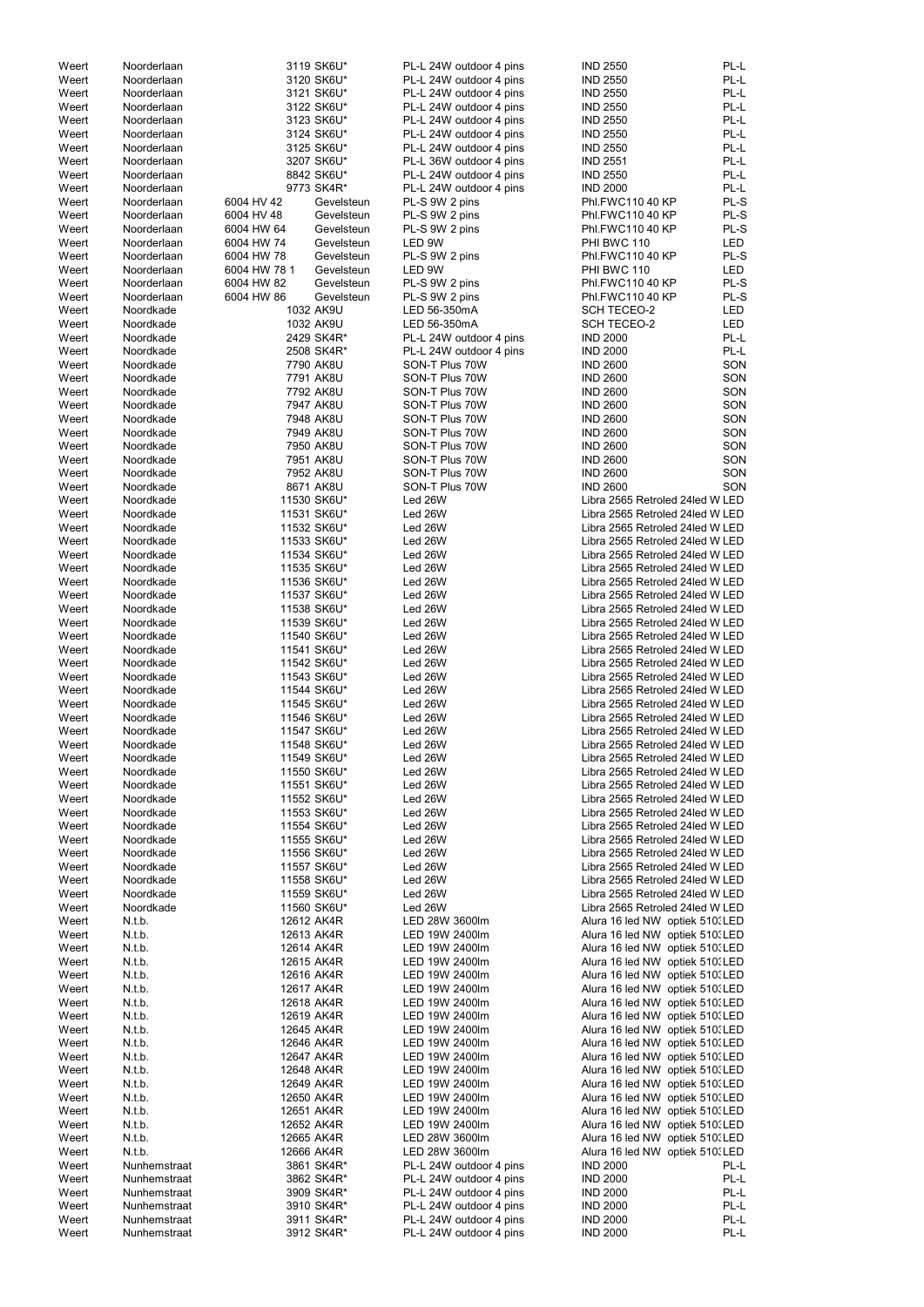| Weert | Noorderlaan  |              | 3119 SK6U*  | PL-L 24W outdoor 4 pins | <b>IND 2550</b>                 | PL-L       |
|-------|--------------|--------------|-------------|-------------------------|---------------------------------|------------|
| Weert | Noorderlaan  |              | 3120 SK6U*  | PL-L 24W outdoor 4 pins | <b>IND 2550</b>                 | PL-L       |
| Weert | Noorderlaan  |              | 3121 SK6U*  | PL-L 24W outdoor 4 pins | <b>IND 2550</b>                 | PL-L       |
| Weert | Noorderlaan  |              | 3122 SK6U*  | PL-L 24W outdoor 4 pins | <b>IND 2550</b>                 | PL-L       |
|       |              |              |             |                         |                                 |            |
| Weert | Noorderlaan  |              | 3123 SK6U*  | PL-L 24W outdoor 4 pins | <b>IND 2550</b>                 | PL-L       |
| Weert | Noorderlaan  |              | 3124 SK6U*  | PL-L 24W outdoor 4 pins | <b>IND 2550</b>                 | PL-L       |
| Weert | Noorderlaan  |              | 3125 SK6U*  | PL-L 24W outdoor 4 pins | <b>IND 2550</b>                 | PL-L       |
| Weert | Noorderlaan  |              | 3207 SK6U*  | PL-L 36W outdoor 4 pins | <b>IND 2551</b>                 | PL-L       |
|       |              |              |             |                         |                                 |            |
| Weert | Noorderlaan  |              | 8842 SK6U*  | PL-L 24W outdoor 4 pins | <b>IND 2550</b>                 | PL-L       |
| Weert | Noorderlaan  |              | 9773 SK4R*  | PL-L 24W outdoor 4 pins | <b>IND 2000</b>                 | PL-L       |
| Weert | Noorderlaan  | 6004 HV 42   | Gevelsteun  | PL-S 9W 2 pins          | Phl.FWC110 40 KP                | PL-S       |
|       |              |              |             |                         |                                 |            |
| Weert | Noorderlaan  | 6004 HV 48   | Gevelsteun  | PL-S 9W 2 pins          | Phl.FWC110 40 KP                | PL-S       |
| Weert | Noorderlaan  | 6004 HW 64   | Gevelsteun  | PL-S 9W 2 pins          | Phl.FWC110 40 KP                | PL-S       |
| Weert | Noorderlaan  | 6004 HW 74   | Gevelsteun  | LED 9W                  | PHI BWC 110                     | LED        |
| Weert |              | 6004 HW 78   | Gevelsteun  |                         | Phl.FWC110 40 KP                | PL-S       |
|       | Noorderlaan  |              |             | PL-S 9W 2 pins          |                                 |            |
| Weert | Noorderlaan  | 6004 HW 78 1 | Gevelsteun  | LED 9W                  | PHI BWC 110                     | <b>LED</b> |
| Weert | Noorderlaan  | 6004 HW 82   | Gevelsteun  | PL-S 9W 2 pins          | Phl.FWC110 40 KP                | PL-S       |
| Weert | Noorderlaan  | 6004 HW 86   | Gevelsteun  | PL-S 9W 2 pins          | Phl.FWC110 40 KP                | PL-S       |
|       |              |              |             |                         |                                 |            |
| Weert | Noordkade    |              | 1032 AK9U   | LED 56-350mA            | <b>SCH TECEO-2</b>              | LED        |
| Weert | Noordkade    |              | 1032 AK9U   | LED 56-350mA            | <b>SCH TECEO-2</b>              | <b>LED</b> |
| Weert | Noordkade    |              | 2429 SK4R*  | PL-L 24W outdoor 4 pins | <b>IND 2000</b>                 | PL-L       |
|       | Noordkade    |              | 2508 SK4R*  |                         | <b>IND 2000</b>                 | PL-L       |
| Weert |              |              |             | PL-L 24W outdoor 4 pins |                                 |            |
| Weert | Noordkade    |              | 7790 AK8U   | SON-T Plus 70W          | <b>IND 2600</b>                 | SON        |
| Weert | Noordkade    |              | 7791 AK8U   | SON-T Plus 70W          | <b>IND 2600</b>                 | SON        |
| Weert | Noordkade    |              | 7792 AK8U   | SON-T Plus 70W          | <b>IND 2600</b>                 | SON        |
|       |              |              |             |                         |                                 |            |
| Weert | Noordkade    |              | 7947 AK8U   | SON-T Plus 70W          | <b>IND 2600</b>                 | SON        |
| Weert | Noordkade    |              | 7948 AK8U   | SON-T Plus 70W          | <b>IND 2600</b>                 | SON        |
| Weert | Noordkade    |              | 7949 AK8U   | SON-T Plus 70W          | <b>IND 2600</b>                 | SON        |
|       |              |              |             |                         |                                 |            |
| Weert | Noordkade    |              | 7950 AK8U   | SON-T Plus 70W          | <b>IND 2600</b>                 | SON        |
| Weert | Noordkade    |              | 7951 AK8U   | SON-T Plus 70W          | <b>IND 2600</b>                 | SON        |
| Weert | Noordkade    |              | 7952 AK8U   | SON-T Plus 70W          | <b>IND 2600</b>                 | SON        |
| Weert | Noordkade    |              | 8671 AK8U   | SON-T Plus 70W          | <b>IND 2600</b>                 | SON        |
|       |              |              |             |                         |                                 |            |
| Weert | Noordkade    |              | 11530 SK6U* | Led 26W                 | Libra 2565 Retroled 24led W LED |            |
| Weert | Noordkade    |              | 11531 SK6U* | Led 26W                 | Libra 2565 Retroled 24led W LED |            |
| Weert | Noordkade    |              | 11532 SK6U* | Led 26W                 | Libra 2565 Retroled 24led W LED |            |
|       |              |              |             |                         |                                 |            |
| Weert | Noordkade    |              | 11533 SK6U* | Led 26W                 | Libra 2565 Retroled 24led W LED |            |
| Weert | Noordkade    |              | 11534 SK6U* | Led 26W                 | Libra 2565 Retroled 24led W LED |            |
| Weert | Noordkade    |              | 11535 SK6U* | Led 26W                 | Libra 2565 Retroled 24led W LED |            |
| Weert | Noordkade    |              | 11536 SK6U* | Led 26W                 | Libra 2565 Retroled 24led W LED |            |
|       |              |              |             |                         |                                 |            |
| Weert | Noordkade    |              | 11537 SK6U* | Led 26W                 | Libra 2565 Retroled 24led W LED |            |
| Weert | Noordkade    |              | 11538 SK6U* | Led 26W                 | Libra 2565 Retroled 24led W LED |            |
| Weert | Noordkade    |              | 11539 SK6U* | Led 26W                 | Libra 2565 Retroled 24led W LED |            |
|       |              |              |             |                         |                                 |            |
| Weert | Noordkade    |              | 11540 SK6U* | Led 26W                 | Libra 2565 Retroled 24led W LED |            |
| Weert | Noordkade    |              | 11541 SK6U* | Led 26W                 | Libra 2565 Retroled 24led W LED |            |
| Weert | Noordkade    |              | 11542 SK6U* | Led 26W                 | Libra 2565 Retroled 24led W LED |            |
|       | Noordkade    |              |             |                         |                                 |            |
| Weert |              |              | 11543 SK6U* | Led 26W                 | Libra 2565 Retroled 24led W LED |            |
| Weert | Noordkade    |              | 11544 SK6U* | Led 26W                 | Libra 2565 Retroled 24led W LED |            |
| Weert | Noordkade    |              | 11545 SK6U* | Led 26W                 | Libra 2565 Retroled 24led W LED |            |
| Weert | Noordkade    |              | 11546 SK6U* | Led 26W                 | Libra 2565 Retroled 24led W LED |            |
|       |              |              |             |                         |                                 |            |
| Weert | Noordkade    |              | 11547 SK6U* | Led 26W                 | Libra 2565 Retroled 24led W LED |            |
| Weert | Noordkade    |              | 11548 SK6U* | Led 26W                 | Libra 2565 Retroled 24led W LED |            |
| Weert | Noordkade    |              | 11549 SK6U* | Led 26W                 | Libra 2565 Retroled 24led W LED |            |
| Weert | Noordkade    |              | 11550 SK6U* | Led 26W                 | Libra 2565 Retroled 24led W LED |            |
|       |              |              |             |                         |                                 |            |
| Weert | Noordkade    |              | 11551 SK6U* | Led 26W                 | Libra 2565 Retroled 24led W LED |            |
| Weert | Noordkade    |              | 11552 SK6U* | Led 26W                 | Libra 2565 Retroled 24led W LED |            |
| Weert | Noordkade    |              | 11553 SK6U* | Led 26W                 | Libra 2565 Retroled 24led W LED |            |
|       |              |              |             |                         |                                 |            |
| Weert | Noordkade    |              | 11554 SK6U* | Led 26W                 | Libra 2565 Retroled 24led W LED |            |
| Weert | Noordkade    |              | 11555 SK6U* | Led 26W                 | Libra 2565 Retroled 24led W LED |            |
| Weert | Noordkade    |              | 11556 SK6U* | Led 26W                 | Libra 2565 Retroled 24led W LED |            |
| Weert | Noordkade    |              | 11557 SK6U* | Led 26W                 | Libra 2565 Retroled 24led W LED |            |
|       |              |              |             |                         |                                 |            |
| Weert | Noordkade    |              | 11558 SK6U* | Led 26W                 | Libra 2565 Retroled 24led W LED |            |
| Weert | Noordkade    |              | 11559 SK6U* | Led 26W                 | Libra 2565 Retroled 24led W LED |            |
| Weert | Noordkade    |              | 11560 SK6U* | Led 26W                 | Libra 2565 Retroled 24led W LED |            |
| Weert | N.t.b.       | 12612 AK4R   |             | LED 28W 3600lm          | Alura 16 led NW optiek 510. LED |            |
|       |              |              |             |                         |                                 |            |
| Weert | N.t.b.       | 12613 AK4R   |             | LED 19W 2400lm          | Alura 16 led NW optiek 510. LED |            |
| Weert | N.t.b.       | 12614 AK4R   |             | LED 19W 2400lm          | Alura 16 led NW optiek 510. LED |            |
| Weert | N.t.b.       | 12615 AK4R   |             | LED 19W 2400lm          | Alura 16 led NW optiek 510. LED |            |
|       |              |              |             |                         |                                 |            |
| Weert | N.t.b.       | 12616 AK4R   |             | LED 19W 2400lm          | Alura 16 led NW optiek 510. LED |            |
| Weert | N.t.b.       | 12617 AK4R   |             | LED 19W 2400lm          | Alura 16 led NW optiek 510. LED |            |
| Weert | N.t.b.       | 12618 AK4R   |             | LED 19W 2400lm          | Alura 16 led NW optiek 510. LED |            |
|       |              |              |             |                         |                                 |            |
| Weert | N.t.b.       | 12619 AK4R   |             | LED 19W 2400lm          | Alura 16 led NW optiek 510. LED |            |
| Weert | N.t.b.       | 12645 AK4R   |             | LED 19W 2400lm          | Alura 16 led NW optiek 510. LED |            |
| Weert | N.t.b.       | 12646 AK4R   |             | LED 19W 2400lm          | Alura 16 led NW optiek 510. LED |            |
|       | N.t.b.       | 12647 AK4R   |             | LED 19W 2400lm          |                                 |            |
| Weert |              |              |             |                         | Alura 16 led NW optiek 510. LED |            |
| Weert | N.t.b.       | 12648 AK4R   |             | LED 19W 2400lm          | Alura 16 led NW optiek 510. LED |            |
| Weert | N.t.b.       | 12649 AK4R   |             | LED 19W 2400lm          | Alura 16 led NW optiek 510. LED |            |
| Weert | N.t.b.       | 12650 AK4R   |             | LED 19W 2400lm          | Alura 16 led NW optiek 510. LED |            |
|       |              |              |             |                         |                                 |            |
| Weert | N.t.b.       | 12651 AK4R   |             | LED 19W 2400lm          | Alura 16 led NW optiek 510. LED |            |
| Weert | N.t.b.       | 12652 AK4R   |             | LED 19W 2400lm          | Alura 16 led NW optiek 510. LED |            |
| Weert | N.t.b.       | 12665 AK4R   |             | LED 28W 3600lm          | Alura 16 led NW optiek 510. LED |            |
|       |              |              |             |                         |                                 |            |
| Weert | N.t.b.       | 12666 AK4R   |             | LED 28W 3600lm          | Alura 16 led NW optiek 510. LED |            |
| Weert | Nunhemstraat |              | 3861 SK4R*  | PL-L 24W outdoor 4 pins | <b>IND 2000</b>                 | PL-L       |
| Weert | Nunhemstraat |              | 3862 SK4R*  | PL-L 24W outdoor 4 pins | <b>IND 2000</b>                 | PL-L       |
|       |              |              |             | PL-L 24W outdoor 4 pins |                                 | PL-L       |
| Weert | Nunhemstraat |              | 3909 SK4R*  |                         | <b>IND 2000</b>                 |            |
| Weert | Nunhemstraat |              | 3910 SK4R*  | PL-L 24W outdoor 4 pins | <b>IND 2000</b>                 | PL-L       |
| Weert | Nunhemstraat |              | 3911 SK4R*  | PL-L 24W outdoor 4 pins | <b>IND 2000</b>                 | PL-L       |
| Weert | Nunhemstraat |              | 3912 SK4R*  | PL-L 24W outdoor 4 pins | <b>IND 2000</b>                 | PL-L       |
|       |              |              |             |                         |                                 |            |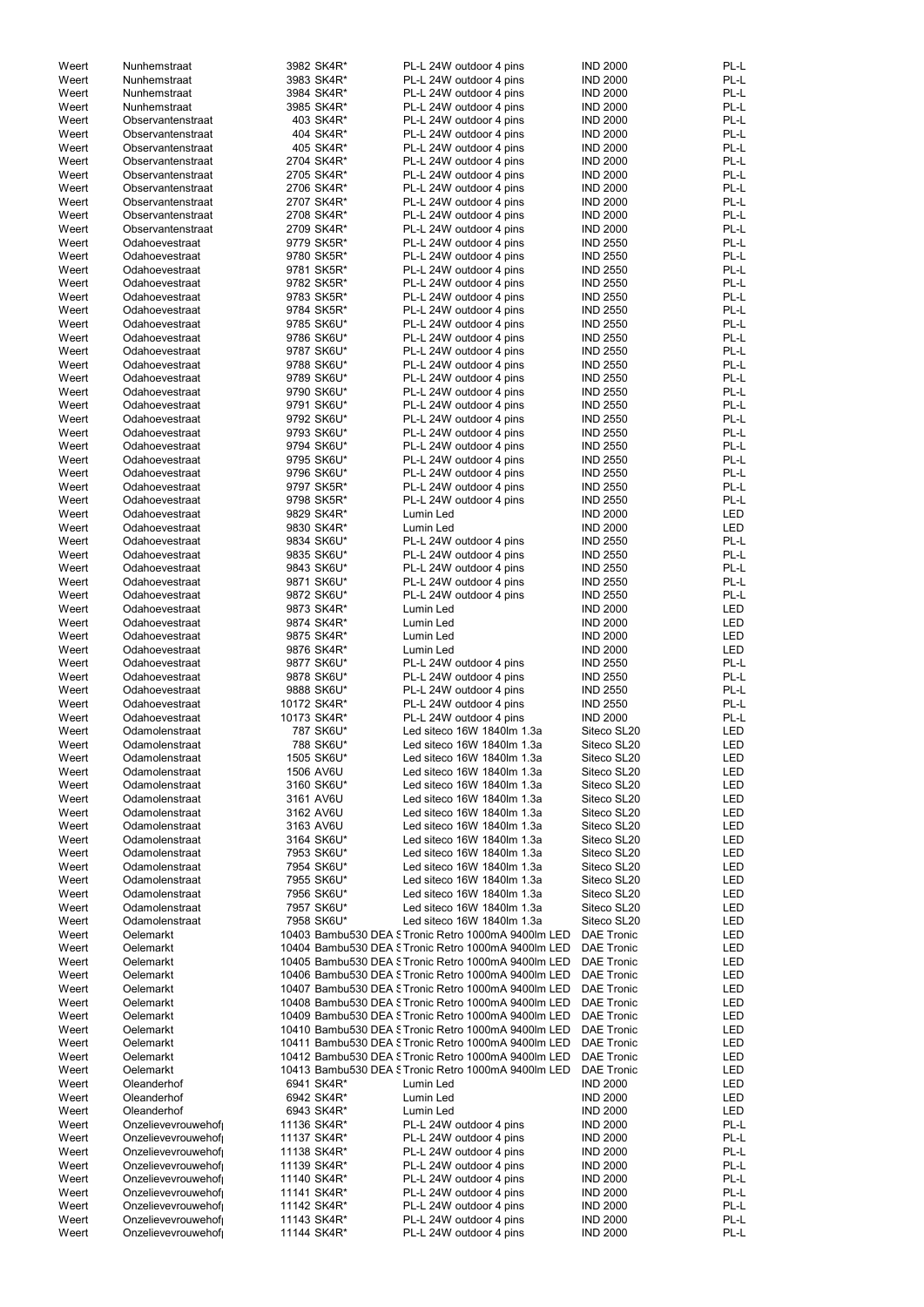| Weert |                    |           |             |                                                     |                   |            |
|-------|--------------------|-----------|-------------|-----------------------------------------------------|-------------------|------------|
|       | Nunhemstraat       |           | 3982 SK4R*  | PL-L 24W outdoor 4 pins                             | <b>IND 2000</b>   | PL-L       |
| Weert | Nunhemstraat       |           | 3983 SK4R*  | PL-L 24W outdoor 4 pins                             | <b>IND 2000</b>   | PL-L       |
| Weert | Nunhemstraat       |           | 3984 SK4R*  | PL-L 24W outdoor 4 pins                             | <b>IND 2000</b>   | PL-L       |
| Weert | Nunhemstraat       |           | 3985 SK4R*  | PL-L 24W outdoor 4 pins                             | <b>IND 2000</b>   | PL-L       |
| Weert | Observantenstraat  |           | 403 SK4R*   | PL-L 24W outdoor 4 pins                             | <b>IND 2000</b>   | PL-L       |
|       | Observantenstraat  |           |             |                                                     |                   |            |
| Weert |                    |           | 404 SK4R*   | PL-L 24W outdoor 4 pins                             | <b>IND 2000</b>   | PL-L       |
| Weert | Observantenstraat  |           | 405 SK4R*   | PL-L 24W outdoor 4 pins                             | <b>IND 2000</b>   | PL-L       |
| Weert | Observantenstraat  |           | 2704 SK4R*  | PL-L 24W outdoor 4 pins                             | <b>IND 2000</b>   | PL-L       |
| Weert | Observantenstraat  |           | 2705 SK4R*  | PL-L 24W outdoor 4 pins                             | <b>IND 2000</b>   | PL-L       |
| Weert | Observantenstraat  |           | 2706 SK4R*  | PL-L 24W outdoor 4 pins                             | <b>IND 2000</b>   | PL-L       |
| Weert | Observantenstraat  |           | 2707 SK4R*  | PL-L 24W outdoor 4 pins                             | <b>IND 2000</b>   | PL-L       |
|       | Observantenstraat  |           |             |                                                     |                   | PL-L       |
| Weert |                    |           | 2708 SK4R*  | PL-L 24W outdoor 4 pins                             | <b>IND 2000</b>   |            |
| Weert | Observantenstraat  |           | 2709 SK4R*  | PL-L 24W outdoor 4 pins                             | <b>IND 2000</b>   | PL-L       |
| Weert | Odahoevestraat     |           | 9779 SK5R*  | PL-L 24W outdoor 4 pins                             | <b>IND 2550</b>   | PL-L       |
| Weert | Odahoevestraat     |           | 9780 SK5R*  | PL-L 24W outdoor 4 pins                             | <b>IND 2550</b>   | PL-L       |
| Weert | Odahoevestraat     |           | 9781 SK5R*  | PL-L 24W outdoor 4 pins                             | <b>IND 2550</b>   | PL-L       |
| Weert | Odahoevestraat     |           | 9782 SK5R*  | PL-L 24W outdoor 4 pins                             | <b>IND 2550</b>   | PL-L       |
|       |                    |           |             |                                                     | <b>IND 2550</b>   | PL-L       |
| Weert | Odahoevestraat     |           | 9783 SK5R*  | PL-L 24W outdoor 4 pins                             |                   |            |
| Weert | Odahoevestraat     |           | 9784 SK5R*  | PL-L 24W outdoor 4 pins                             | <b>IND 2550</b>   | PL-L       |
| Weert | Odahoevestraat     |           | 9785 SK6U*  | PL-L 24W outdoor 4 pins                             | <b>IND 2550</b>   | PL-L       |
| Weert | Odahoevestraat     |           | 9786 SK6U*  | PL-L 24W outdoor 4 pins                             | <b>IND 2550</b>   | PL-L       |
| Weert | Odahoevestraat     |           | 9787 SK6U*  | PL-L 24W outdoor 4 pins                             | <b>IND 2550</b>   | PL-L       |
| Weert | Odahoevestraat     |           | 9788 SK6U*  | PL-L 24W outdoor 4 pins                             | <b>IND 2550</b>   | PL-L       |
|       |                    |           |             |                                                     |                   | PL-L       |
| Weert | Odahoevestraat     |           | 9789 SK6U*  | PL-L 24W outdoor 4 pins                             | <b>IND 2550</b>   |            |
| Weert | Odahoevestraat     |           | 9790 SK6U*  | PL-L 24W outdoor 4 pins                             | <b>IND 2550</b>   | PL-L       |
| Weert | Odahoevestraat     |           | 9791 SK6U*  | PL-L 24W outdoor 4 pins                             | <b>IND 2550</b>   | PL-L       |
| Weert | Odahoevestraat     |           | 9792 SK6U*  | PL-L 24W outdoor 4 pins                             | <b>IND 2550</b>   | PL-L       |
| Weert | Odahoevestraat     |           | 9793 SK6U*  | PL-L 24W outdoor 4 pins                             | <b>IND 2550</b>   | PL-L       |
| Weert | Odahoevestraat     |           | 9794 SK6U*  | PL-L 24W outdoor 4 pins                             | <b>IND 2550</b>   | PL-L       |
|       |                    |           |             |                                                     |                   |            |
| Weert | Odahoevestraat     |           | 9795 SK6U*  | PL-L 24W outdoor 4 pins                             | <b>IND 2550</b>   | PL-L       |
| Weert | Odahoevestraat     |           | 9796 SK6U*  | PL-L 24W outdoor 4 pins                             | <b>IND 2550</b>   | PL-L       |
| Weert | Odahoevestraat     |           | 9797 SK5R*  | PL-L 24W outdoor 4 pins                             | <b>IND 2550</b>   | PL-L       |
| Weert | Odahoevestraat     |           | 9798 SK5R*  | PL-L 24W outdoor 4 pins                             | <b>IND 2550</b>   | PL-L       |
| Weert | Odahoevestraat     |           | 9829 SK4R*  | Lumin Led                                           | <b>IND 2000</b>   | LED        |
| Weert | Odahoevestraat     |           | 9830 SK4R*  | Lumin Led                                           | <b>IND 2000</b>   | LED        |
|       |                    |           |             |                                                     |                   |            |
| Weert | Odahoevestraat     |           | 9834 SK6U*  | PL-L 24W outdoor 4 pins                             | <b>IND 2550</b>   | PL-L       |
| Weert | Odahoevestraat     |           | 9835 SK6U*  | PL-L 24W outdoor 4 pins                             | <b>IND 2550</b>   | PL-L       |
| Weert | Odahoevestraat     |           | 9843 SK6U*  | PL-L 24W outdoor 4 pins                             | <b>IND 2550</b>   | PL-L       |
| Weert | Odahoevestraat     |           | 9871 SK6U*  | PL-L 24W outdoor 4 pins                             | <b>IND 2550</b>   | PL-L       |
| Weert | Odahoevestraat     |           | 9872 SK6U*  | PL-L 24W outdoor 4 pins                             | <b>IND 2550</b>   | PL-L       |
| Weert | Odahoevestraat     |           | 9873 SK4R*  | Lumin Led                                           | <b>IND 2000</b>   | LED        |
|       |                    |           |             |                                                     |                   |            |
| Weert | Odahoevestraat     |           | 9874 SK4R*  | Lumin Led                                           | <b>IND 2000</b>   | LED        |
| Weert | Odahoevestraat     |           | 9875 SK4R*  | Lumin Led                                           | <b>IND 2000</b>   | LED        |
| Weert | Odahoevestraat     |           | 9876 SK4R*  | Lumin Led                                           | <b>IND 2000</b>   | LED        |
| Weert | Odahoevestraat     |           | 9877 SK6U*  | PL-L 24W outdoor 4 pins                             | <b>IND 2550</b>   | PL-L       |
| Weert | Odahoevestraat     |           | 9878 SK6U*  | PL-L 24W outdoor 4 pins                             | <b>IND 2550</b>   | PL-L       |
|       |                    |           |             |                                                     |                   | PL-L       |
| Weert | Odahoevestraat     |           | 9888 SK6U*  | PL-L 24W outdoor 4 pins                             | <b>IND 2550</b>   |            |
| Weert | Odahoevestraat     |           | 10172 SK4R* | PL-L 24W outdoor 4 pins                             | <b>IND 2550</b>   | PL-L       |
| Weert | Odahoevestraat     |           | 10173 SK4R* | PL-L 24W outdoor 4 pins                             | <b>IND 2000</b>   | PL-L       |
| Weert | Odamolenstraat     |           | 787 SK6U*   | Led siteco 16W 1840lm 1.3a                          | Siteco SL20       | LED        |
| Weert | Odamolenstraat     |           | 788 SK6U*   | Led siteco 16W 1840lm 1.3a                          | Siteco SL20       | LED        |
| Weert |                    |           | 1505 SK6U*  | Led siteco 16W 1840lm 1.3a                          | Siteco SL20       | LED        |
|       |                    |           |             |                                                     |                   | LED        |
|       | Odamolenstraat     |           |             |                                                     |                   |            |
| Weert | Odamolenstraat     | 1506 AV6U |             | Led siteco 16W 1840lm 1.3a                          | Siteco SL20       |            |
| Weert | Odamolenstraat     |           | 3160 SK6U*  | Led siteco 16W 1840lm 1.3a                          | Siteco SL20       | LED        |
| Weert | Odamolenstraat     |           | 3161 AV6U   | Led siteco 16W 1840lm 1.3a                          | Siteco SL20       | <b>LED</b> |
| Weert | Odamolenstraat     |           | 3162 AV6U   | Led siteco 16W 1840lm 1.3a                          | Siteco SL20       | LED        |
|       |                    |           |             |                                                     |                   |            |
| Weert | Odamolenstraat     |           | 3163 AV6U   | Led siteco 16W 1840lm 1.3a                          | Siteco SL20       | LED        |
| Weert | Odamolenstraat     |           | 3164 SK6U*  | Led siteco 16W 1840lm 1.3a                          | Siteco SL20       | LED        |
| Weert | Odamolenstraat     |           | 7953 SK6U*  | Led siteco 16W 1840lm 1.3a                          | Siteco SL20       | LED        |
| Weert | Odamolenstraat     |           | 7954 SK6U*  | Led siteco 16W 1840lm 1.3a                          | Siteco SL20       | LED        |
| Weert | Odamolenstraat     |           | 7955 SK6U*  | Led siteco 16W 1840lm 1.3a                          | Siteco SL20       | LED        |
| Weert | Odamolenstraat     |           | 7956 SK6U*  | Led siteco 16W 1840lm 1.3a                          | Siteco SL20       | LED        |
| Weert | Odamolenstraat     |           | 7957 SK6U*  | Led siteco 16W 1840lm 1.3a                          | Siteco SL20       | LED        |
|       |                    |           |             |                                                     |                   |            |
| Weert | Odamolenstraat     |           | 7958 SK6U*  | Led siteco 16W 1840lm 1.3a                          | Siteco SL20       | <b>LED</b> |
| Weert | Oelemarkt          |           |             | 10403 Bambu530 DEA STronic Retro 1000mA 9400lm LED  | <b>DAE Tronic</b> | <b>LED</b> |
| Weert | Oelemarkt          |           |             | 10404 Bambu530 DEA STronic Retro 1000mA 9400lm LED  | <b>DAE Tronic</b> | <b>LED</b> |
| Weert | Oelemarkt          |           |             | 10405 Bambu530 DEA STronic Retro 1000mA 9400lm LED  | <b>DAE Tronic</b> | LED        |
| Weert | Oelemarkt          |           |             | 10406 Bambu530 DEA STronic Retro 1000mA 9400lm LED  | <b>DAE Tronic</b> | <b>LED</b> |
| Weert | Oelemarkt          |           |             | 10407 Bambu530 DEA STronic Retro 1000mA 9400lm LED  | <b>DAE Tronic</b> | LED        |
|       |                    |           |             |                                                     |                   |            |
| Weert | Oelemarkt          |           |             | 10408 Bambu530 DEA STronic Retro 1000mA 9400lm LED  | <b>DAE Tronic</b> | <b>LED</b> |
| Weert | Oelemarkt          |           |             | 10409 Bambu530 DEA STronic Retro 1000mA 9400lm LED  | <b>DAE Tronic</b> | <b>LED</b> |
| Weert | Oelemarkt          |           |             | 10410 Bambu530 DEA STronic Retro 1000mA 9400lm LED  | <b>DAE Tronic</b> | LED        |
| Weert | Oelemarkt          |           |             | 10411 Bambu530 DEA S Tronic Retro 1000mA 9400lm LED | <b>DAE Tronic</b> | <b>LED</b> |
| Weert | Oelemarkt          |           |             | 10412 Bambu530 DEA STronic Retro 1000mA 9400lm LED  | <b>DAE Tronic</b> | LED        |
| Weert | Oelemarkt          |           |             | 10413 Bambu530 DEA STronic Retro 1000mA 9400lm LED  | <b>DAE Tronic</b> | LED        |
|       |                    |           |             |                                                     |                   |            |
| Weert | Oleanderhof        |           | 6941 SK4R*  | Lumin Led                                           | <b>IND 2000</b>   | LED        |
| Weert | Oleanderhof        |           | 6942 SK4R*  | Lumin Led                                           | <b>IND 2000</b>   | <b>LED</b> |
| Weert | Oleanderhof        |           | 6943 SK4R*  | Lumin Led                                           | <b>IND 2000</b>   | LED        |
| Weert | Onzelievevrouwehof |           | 11136 SK4R* | PL-L 24W outdoor 4 pins                             | <b>IND 2000</b>   | PL-L       |
| Weert | Onzelievevrouwehof |           | 11137 SK4R* | PL-L 24W outdoor 4 pins                             | <b>IND 2000</b>   | PL-L       |
|       |                    |           |             |                                                     |                   |            |
| Weert | Onzelievevrouwehof |           | 11138 SK4R* | PL-L 24W outdoor 4 pins                             | <b>IND 2000</b>   | PL-L       |
| Weert | Onzelievevrouwehof |           | 11139 SK4R* | PL-L 24W outdoor 4 pins                             | <b>IND 2000</b>   | PL-L       |
| Weert | Onzelievevrouwehof |           | 11140 SK4R* | PL-L 24W outdoor 4 pins                             | <b>IND 2000</b>   | PL-L       |
| Weert | Onzelievevrouwehof |           | 11141 SK4R* | PL-L 24W outdoor 4 pins                             | <b>IND 2000</b>   | PL-L       |
| Weert | Onzelievevrouwehof |           | 11142 SK4R* | PL-L 24W outdoor 4 pins                             | <b>IND 2000</b>   | PL-L       |
| Weert | Onzelievevrouwehof |           | 11143 SK4R* | PL-L 24W outdoor 4 pins                             | <b>IND 2000</b>   | PL-L       |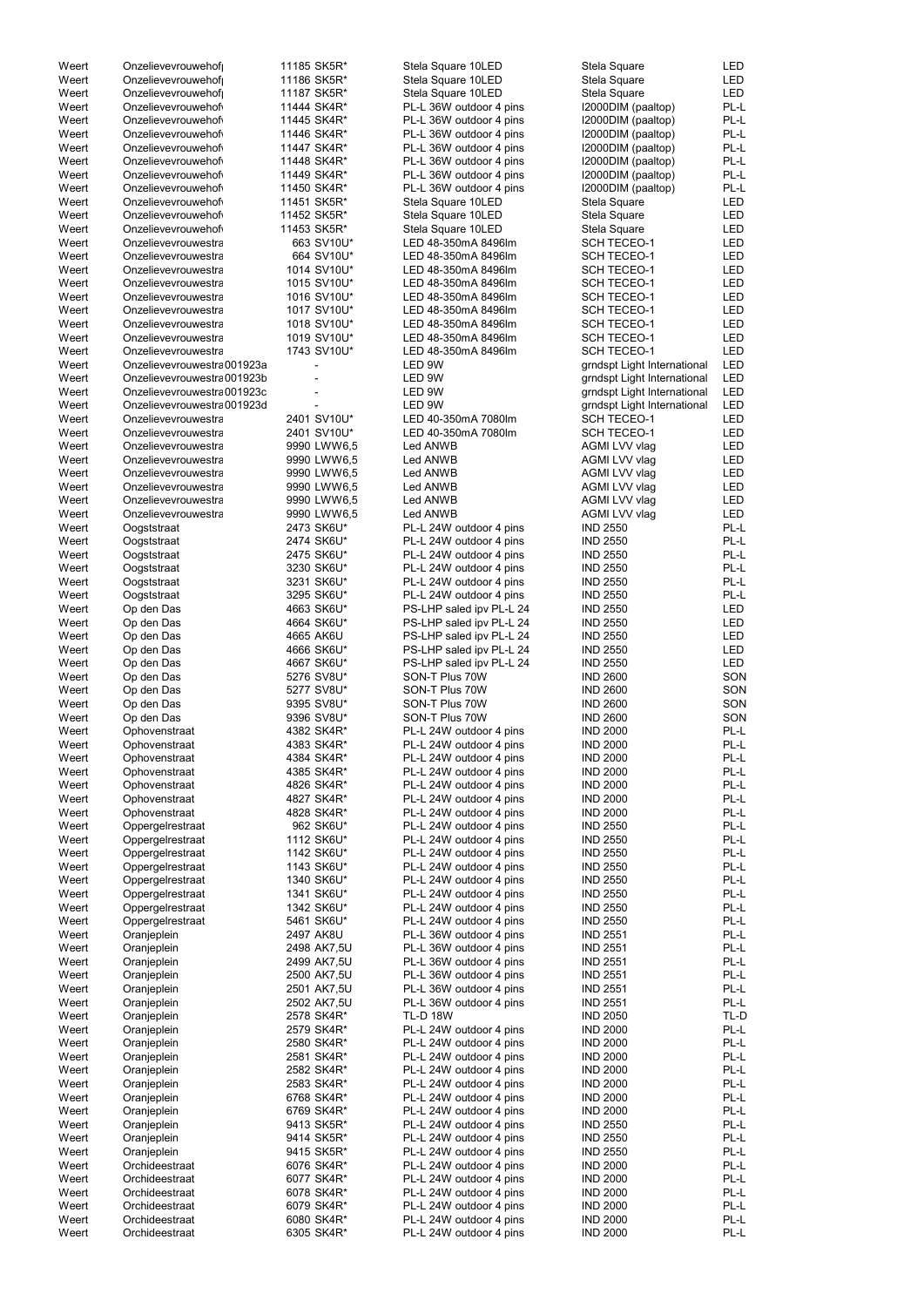| Weert | Onzelievevrouwehof          | 11185 SK5R* | Stela Square 10LED       | Stela Square                | <b>LED</b> |
|-------|-----------------------------|-------------|--------------------------|-----------------------------|------------|
| Weert | Onzelievevrouwehof          | 11186 SK5R* | Stela Square 10LED       | Stela Square                | <b>LED</b> |
| Weert | Onzelievevrouwehof          | 11187 SK5R* | Stela Square 10LED       | Stela Square                | <b>LED</b> |
| Weert | Onzelievevrouwehof          | 11444 SK4R* | PL-L 36W outdoor 4 pins  | I2000DIM (paaltop)          | PL-L       |
|       |                             |             |                          |                             |            |
| Weert | Onzelievevrouwehof          | 11445 SK4R* | PL-L 36W outdoor 4 pins  | I2000DIM (paaltop)          | PL-L       |
| Weert | Onzelievevrouwehof          | 11446 SK4R* | PL-L 36W outdoor 4 pins  | I2000DIM (paaltop)          | PL-L       |
| Weert | Onzelievevrouwehof          | 11447 SK4R* | PL-L 36W outdoor 4 pins  | I2000DIM (paaltop)          | PL-L       |
| Weert | Onzelievevrouwehof          | 11448 SK4R* | PL-L 36W outdoor 4 pins  | I2000DIM (paaltop)          | PL-L       |
|       |                             |             |                          |                             |            |
| Weert | Onzelievevrouwehof          | 11449 SK4R* | PL-L 36W outdoor 4 pins  | I2000DIM (paaltop)          | PL-L       |
| Weert | Onzelievevrouwehof          | 11450 SK4R* | PL-L 36W outdoor 4 pins  | I2000DIM (paaltop)          | PL-L       |
| Weert | Onzelievevrouwehof          | 11451 SK5R* | Stela Square 10LED       | Stela Square                | <b>LED</b> |
|       |                             |             |                          |                             |            |
| Weert | Onzelievevrouwehof          | 11452 SK5R* | Stela Square 10LED       | Stela Square                | <b>LED</b> |
| Weert | Onzelievevrouwehof          | 11453 SK5R* | Stela Square 10LED       | Stela Square                | <b>LED</b> |
| Weert | Onzelievevrouwestra         | 663 SV10U*  | LED 48-350mA 8496lm      | <b>SCH TECEO-1</b>          | <b>LED</b> |
|       |                             |             |                          |                             |            |
| Weert | Onzelievevrouwestra         | 664 SV10U*  | LED 48-350mA 8496lm      | <b>SCH TECEO-1</b>          | <b>LED</b> |
| Weert | Onzelievevrouwestra         | 1014 SV10U* | LED 48-350mA 8496lm      | <b>SCH TECEO-1</b>          | <b>LED</b> |
| Weert | Onzelievevrouwestra         | 1015 SV10U* | LED 48-350mA 8496lm      | <b>SCH TECEO-1</b>          | <b>LED</b> |
| Weert | Onzelievevrouwestra         | 1016 SV10U* | LED 48-350mA 8496lm      | <b>SCH TECEO-1</b>          | <b>LED</b> |
|       |                             |             |                          |                             |            |
| Weert | Onzelievevrouwestra         | 1017 SV10U* | LED 48-350mA 8496lm      | <b>SCH TECEO-1</b>          | <b>LED</b> |
| Weert | Onzelievevrouwestra         | 1018 SV10U* | LED 48-350mA 8496lm      | <b>SCH TECEO-1</b>          | <b>LED</b> |
| Weert | Onzelievevrouwestra         | 1019 SV10U* | LED 48-350mA 8496lm      | <b>SCH TECEO-1</b>          | <b>LED</b> |
| Weert | Onzelievevrouwestra         | 1743 SV10U* | LED 48-350mA 8496lm      | <b>SCH TECEO-1</b>          | <b>LED</b> |
|       |                             |             |                          |                             |            |
| Weert | Onzelievevrouwestra 001923a |             | LED 9W                   | grndspt Light International | <b>LED</b> |
| Weert | Onzelievevrouwestra 001923b |             | LED 9W                   | grndspt Light International | <b>LED</b> |
| Weert | Onzelievevrouwestra 001923c |             | LED 9W                   | grndspt Light International | <b>LED</b> |
|       |                             |             |                          |                             |            |
| Weert | Onzelievevrouwestra 001923d |             | LED 9W                   | grndspt Light International | <b>LED</b> |
| Weert | Onzelievevrouwestra         | 2401 SV10U* | LED 40-350mA 7080lm      | <b>SCH TECEO-1</b>          | <b>LED</b> |
| Weert | Onzelievevrouwestra         | 2401 SV10U* | LED 40-350mA 7080lm      | <b>SCH TECEO-1</b>          | <b>LED</b> |
|       |                             |             |                          |                             |            |
| Weert | Onzelievevrouwestra         | 9990 LWW6,5 | Led ANWB                 | AGMI LVV vlag               | <b>LED</b> |
| Weert | Onzelievevrouwestra         | 9990 LWW6,5 | Led ANWB                 | AGMI LVV vlag               | <b>LED</b> |
| Weert | Onzelievevrouwestra         | 9990 LWW6,5 | Led ANWB                 | AGMI LVV vlag               | <b>LED</b> |
| Weert | Onzelievevrouwestra         | 9990 LWW6,5 | Led ANWB                 | AGMI LVV vlag               | <b>LED</b> |
|       |                             |             |                          |                             |            |
| Weert | Onzelievevrouwestra         | 9990 LWW6,5 | Led ANWB                 | AGMI LVV vlag               | <b>LED</b> |
| Weert | Onzelievevrouwestra         | 9990 LWW6,5 | Led ANWB                 | AGMI LVV vlag               | <b>LED</b> |
| Weert | Oogststraat                 | 2473 SK6U*  | PL-L 24W outdoor 4 pins  | <b>IND 2550</b>             | PL-L       |
|       |                             |             |                          |                             |            |
| Weert | Oogststraat                 | 2474 SK6U*  | PL-L 24W outdoor 4 pins  | <b>IND 2550</b>             | PL-L       |
| Weert | Oogststraat                 | 2475 SK6U*  | PL-L 24W outdoor 4 pins  | <b>IND 2550</b>             | PL-L       |
| Weert | Oogststraat                 | 3230 SK6U*  | PL-L 24W outdoor 4 pins  | <b>IND 2550</b>             | PL-L       |
| Weert | Oogststraat                 | 3231 SK6U*  | PL-L 24W outdoor 4 pins  | <b>IND 2550</b>             | PL-L       |
|       |                             |             |                          |                             |            |
| Weert | Oogststraat                 | 3295 SK6U*  | PL-L 24W outdoor 4 pins  | <b>IND 2550</b>             | PL-L       |
| Weert | Op den Das                  | 4663 SK6U*  | PS-LHP saled ipv PL-L 24 | <b>IND 2550</b>             | <b>LED</b> |
| Weert | Op den Das                  | 4664 SK6U*  | PS-LHP saled ipv PL-L 24 | <b>IND 2550</b>             | <b>LED</b> |
|       |                             |             |                          |                             |            |
| Weert | Op den Das                  | 4665 AK6U   | PS-LHP saled ipv PL-L 24 | <b>IND 2550</b>             | <b>LED</b> |
| Weert | Op den Das                  | 4666 SK6U*  | PS-LHP saled ipv PL-L 24 | <b>IND 2550</b>             | <b>LED</b> |
| Weert | Op den Das                  | 4667 SK6U*  | PS-LHP saled ipv PL-L 24 | <b>IND 2550</b>             | <b>LED</b> |
|       |                             |             |                          |                             |            |
| Weert | Op den Das                  | 5276 SV8U*  | SON-T Plus 70W           | <b>IND 2600</b>             | SON        |
| Weert | Op den Das                  | 5277 SV8U*  | SON-T Plus 70W           | <b>IND 2600</b>             | SON        |
| Weert | Op den Das                  | 9395 SV8U*  | SON-T Plus 70W           | <b>IND 2600</b>             | SON        |
| Weert | Op den Das                  | 9396 SV8U*  | SON-T Plus 70W           | <b>IND 2600</b>             | SON        |
|       |                             |             |                          |                             |            |
| Weert | Ophovenstraat               | 4382 SK4R*  | PL-L 24W outdoor 4 pins  | <b>IND 2000</b>             | PL-L       |
| Weert | Ophovenstraat               | 4383 SK4R*  | PL-L 24W outdoor 4 pins  | <b>IND 2000</b>             | PL-L       |
| Weert | Ophovenstraat               | 4384 SK4R*  | PL-L 24W outdoor 4 pins  | <b>IND 2000</b>             | PL-L       |
|       |                             |             |                          |                             |            |
| Weert | Ophovenstraat               | 4385 SK4R*  | PL-L 24W outdoor 4 pins  | <b>IND 2000</b>             | PL-L       |
| Weert | Ophovenstraat               | 4826 SK4R*  | PL-L 24W outdoor 4 pins  | <b>IND 2000</b>             | PL-L       |
| Weert | Ophovenstraat               | 4827 SK4R*  | PL-L 24W outdoor 4 pins  | <b>IND 2000</b>             | PL-L       |
| Weert |                             | 4828 SK4R*  | PL-L 24W outdoor 4 pins  | <b>IND 2000</b>             | PL-L       |
|       | Ophovenstraat               |             |                          |                             |            |
| Weert | Oppergelrestraat            | 962 SK6U*   | PL-L 24W outdoor 4 pins  | <b>IND 2550</b>             | PL-L       |
| Weert | Oppergelrestraat            | 1112 SK6U*  | PL-L 24W outdoor 4 pins  | <b>IND 2550</b>             | PL-L       |
| Weert | Oppergelrestraat            | 1142 SK6U*  | PL-L 24W outdoor 4 pins  | <b>IND 2550</b>             | PL-L       |
|       |                             |             |                          |                             |            |
| Weert | Oppergelrestraat            | 1143 SK6U*  | PL-L 24W outdoor 4 pins  | <b>IND 2550</b>             | PL-L       |
| Weert | Oppergelrestraat            | 1340 SK6U*  | PL-L 24W outdoor 4 pins  | <b>IND 2550</b>             | PL-L       |
| Weert | Oppergelrestraat            | 1341 SK6U*  | PL-L 24W outdoor 4 pins  | <b>IND 2550</b>             | PL-L       |
| Weert | Oppergelrestraat            | 1342 SK6U*  | PL-L 24W outdoor 4 pins  | <b>IND 2550</b>             | PL-L       |
|       |                             |             |                          |                             |            |
| Weert | Oppergelrestraat            | 5461 SK6U*  | PL-L 24W outdoor 4 pins  | <b>IND 2550</b>             | PL-L       |
| Weert | Oranjeplein                 | 2497 AK8U   | PL-L 36W outdoor 4 pins  | <b>IND 2551</b>             | PL-L       |
| Weert | Oranjeplein                 | 2498 AK7,5U | PL-L 36W outdoor 4 pins  | <b>IND 2551</b>             | PL-L       |
| Weert |                             |             |                          | <b>IND 2551</b>             | PL-L       |
|       | Oranjeplein                 | 2499 AK7,5U | PL-L 36W outdoor 4 pins  |                             |            |
| Weert | Oranjeplein                 | 2500 AK7,5U | PL-L 36W outdoor 4 pins  | <b>IND 2551</b>             | PL-L       |
| Weert | Oranjeplein                 | 2501 AK7,5U | PL-L 36W outdoor 4 pins  | <b>IND 2551</b>             | PL-L       |
| Weert | Oranjeplein                 | 2502 AK7,5U | PL-L 36W outdoor 4 pins  | <b>IND 2551</b>             | PL-L       |
|       |                             |             |                          |                             |            |
| Weert | Oranjeplein                 | 2578 SK4R*  | <b>TL-D 18W</b>          | <b>IND 2050</b>             | TL-D       |
| Weert | Oranjeplein                 | 2579 SK4R*  | PL-L 24W outdoor 4 pins  | <b>IND 2000</b>             | PL-L       |
| Weert | Oranjeplein                 | 2580 SK4R*  | PL-L 24W outdoor 4 pins  | <b>IND 2000</b>             | PL-L       |
|       |                             |             |                          |                             |            |
| Weert | Oranjeplein                 | 2581 SK4R*  | PL-L 24W outdoor 4 pins  | <b>IND 2000</b>             | PL-L       |
| Weert | Oranjeplein                 | 2582 SK4R*  | PL-L 24W outdoor 4 pins  | <b>IND 2000</b>             | PL-L       |
| Weert | Oranjeplein                 | 2583 SK4R*  | PL-L 24W outdoor 4 pins  | <b>IND 2000</b>             | PL-L       |
|       |                             |             |                          |                             |            |
| Weert | Oranjeplein                 | 6768 SK4R*  | PL-L 24W outdoor 4 pins  | <b>IND 2000</b>             | PL-L       |
| Weert | Oranjeplein                 | 6769 SK4R*  | PL-L 24W outdoor 4 pins  | <b>IND 2000</b>             | PL-L       |
| Weert | Oranjeplein                 | 9413 SK5R*  | PL-L 24W outdoor 4 pins  | <b>IND 2550</b>             | PL-L       |
| Weert | Oranjeplein                 | 9414 SK5R*  | PL-L 24W outdoor 4 pins  | <b>IND 2550</b>             | PL-L       |
|       |                             |             |                          |                             |            |
| Weert | Oranjeplein                 | 9415 SK5R*  | PL-L 24W outdoor 4 pins  | <b>IND 2550</b>             | PL-L       |
| Weert | Orchideestraat              | 6076 SK4R*  | PL-L 24W outdoor 4 pins  | <b>IND 2000</b>             | PL-L       |
| Weert | Orchideestraat              | 6077 SK4R*  | PL-L 24W outdoor 4 pins  | <b>IND 2000</b>             | PL-L       |
|       |                             |             |                          |                             |            |
| Weert | Orchideestraat              | 6078 SK4R*  | PL-L 24W outdoor 4 pins  | <b>IND 2000</b>             | PL-L       |
| Weert | Orchideestraat              | 6079 SK4R*  | PL-L 24W outdoor 4 pins  | <b>IND 2000</b>             | PL-L       |
| Weert | Orchideestraat              | 6080 SK4R*  | PL-L 24W outdoor 4 pins  | <b>IND 2000</b>             | PL-L       |
| Weert | Orchideestraat              | 6305 SK4R*  | PL-L 24W outdoor 4 pins  | <b>IND 2000</b>             | PL-L       |
|       |                             |             |                          |                             |            |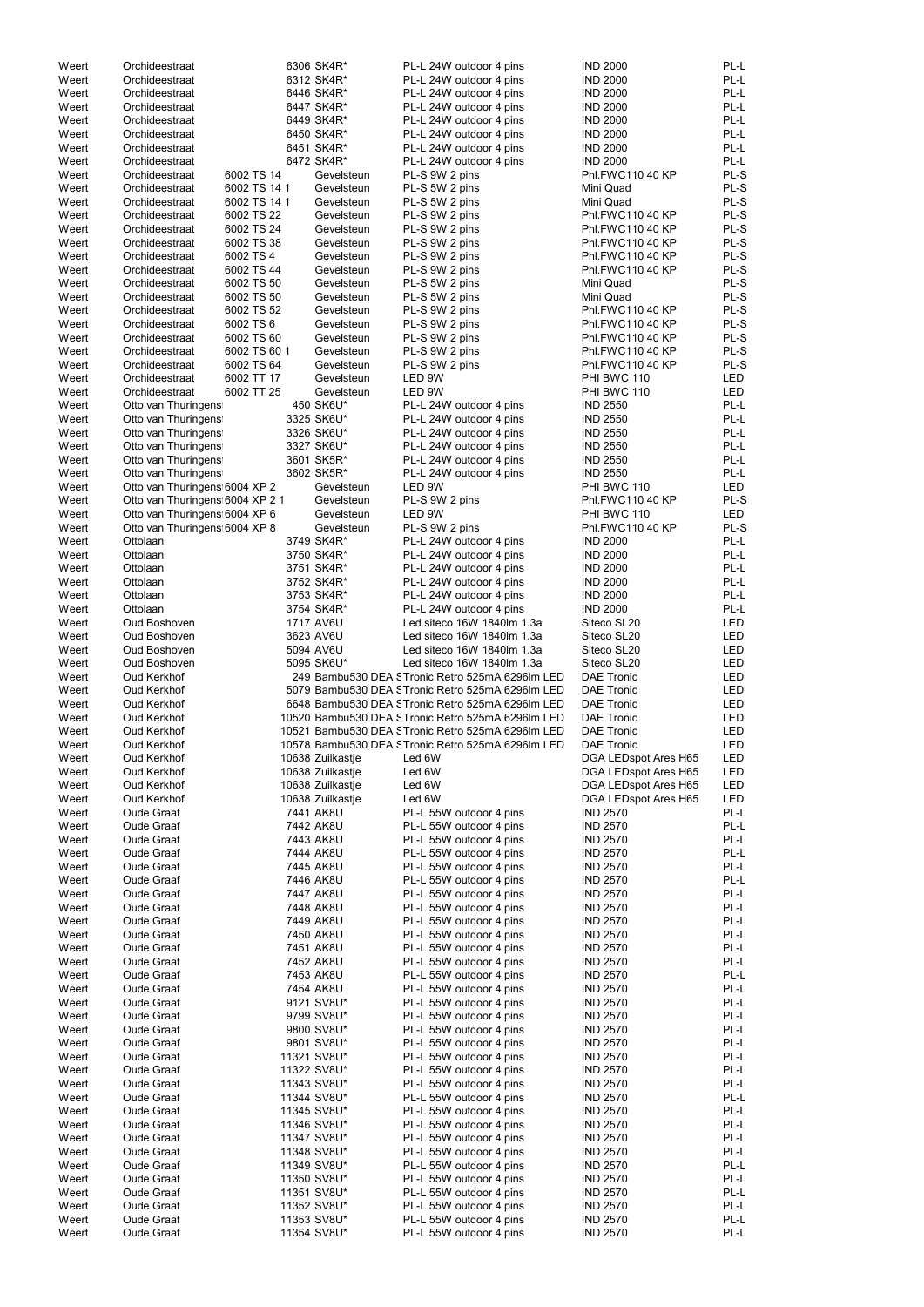| Weert          | Orchideestraat                  |              | 6306 SK4R*                 | PL-L 24W outdoor 4 pins                            | <b>IND 2000</b>                    | PL-L         |
|----------------|---------------------------------|--------------|----------------------------|----------------------------------------------------|------------------------------------|--------------|
| Weert          | Orchideestraat                  |              | 6312 SK4R*                 | PL-L 24W outdoor 4 pins                            | <b>IND 2000</b>                    | PL-L         |
| Weert          | Orchideestraat                  |              | 6446 SK4R*                 | PL-L 24W outdoor 4 pins                            | <b>IND 2000</b>                    | PL-L         |
| Weert          | Orchideestraat                  |              | 6447 SK4R*                 | PL-L 24W outdoor 4 pins                            | <b>IND 2000</b>                    | PL-L         |
|                |                                 |              |                            |                                                    |                                    |              |
| Weert          | Orchideestraat                  |              | 6449 SK4R*                 | PL-L 24W outdoor 4 pins                            | <b>IND 2000</b>                    | PL-L         |
| Weert          | Orchideestraat                  |              | 6450 SK4R*                 | PL-L 24W outdoor 4 pins                            | <b>IND 2000</b>                    | PL-L         |
| Weert          | Orchideestraat                  |              | 6451 SK4R*                 | PL-L 24W outdoor 4 pins                            | <b>IND 2000</b>                    | PL-L         |
| Weert          | Orchideestraat                  |              | 6472 SK4R*                 | PL-L 24W outdoor 4 pins                            | <b>IND 2000</b>                    | PL-L         |
|                |                                 |              |                            |                                                    |                                    |              |
| Weert          | Orchideestraat                  | 6002 TS 14   | Gevelsteun                 | PL-S 9W 2 pins                                     | Phl.FWC110 40 KP                   | PL-S         |
| Weert          | Orchideestraat                  | 6002 TS 14 1 | Gevelsteun                 | PL-S 5W 2 pins                                     | Mini Quad                          | PL-S         |
| Weert          | Orchideestraat                  | 6002 TS 14 1 | Gevelsteun                 | PL-S 5W 2 pins                                     | Mini Quad                          | PL-S         |
|                |                                 |              |                            |                                                    |                                    |              |
| Weert          | Orchideestraat                  | 6002 TS 22   | Gevelsteun                 | PL-S 9W 2 pins                                     | Phl.FWC110 40 KP                   | PL-S         |
| Weert          | Orchideestraat                  | 6002 TS 24   | Gevelsteun                 | PL-S 9W 2 pins                                     | Phl.FWC110 40 KP                   | PL-S         |
| Weert          | Orchideestraat                  | 6002 TS 38   | Gevelsteun                 | PL-S 9W 2 pins                                     | Phl.FWC110 40 KP                   | PL-S         |
|                |                                 |              |                            |                                                    |                                    |              |
| Weert          | Orchideestraat                  | 6002 TS 4    | Gevelsteun                 | PL-S 9W 2 pins                                     | Phl.FWC110 40 KP                   | PL-S         |
| Weert          | Orchideestraat                  | 6002 TS 44   | Gevelsteun                 | PL-S 9W 2 pins                                     | Phl.FWC110 40 KP                   | PL-S         |
| Weert          | Orchideestraat                  | 6002 TS 50   | Gevelsteun                 | PL-S 5W 2 pins                                     | Mini Quad                          | PL-S         |
| Weert          | Orchideestraat                  | 6002 TS 50   | Gevelsteun                 |                                                    | Mini Quad                          | PL-S         |
|                |                                 |              |                            | PL-S 5W 2 pins                                     |                                    |              |
| Weert          | Orchideestraat                  | 6002 TS 52   | Gevelsteun                 | PL-S 9W 2 pins                                     | Phl.FWC110 40 KP                   | PL-S         |
| Weert          | Orchideestraat                  | 6002 TS 6    | Gevelsteun                 | PL-S 9W 2 pins                                     | Phl.FWC110 40 KP                   | PL-S         |
| Weert          | Orchideestraat                  | 6002 TS 60   | Gevelsteun                 | PL-S 9W 2 pins                                     | Phl.FWC110 40 KP                   | PL-S         |
|                |                                 |              |                            |                                                    |                                    |              |
| Weert          | Orchideestraat                  | 6002 TS 60 1 | Gevelsteun                 | PL-S 9W 2 pins                                     | Phl.FWC110 40 KP                   | PL-S         |
| Weert          | Orchideestraat                  | 6002 TS 64   | Gevelsteun                 | PL-S 9W 2 pins                                     | Phl.FWC110 40 KP                   | PL-S         |
| Weert          | Orchideestraat                  | 6002 TT 17   | Gevelsteun                 | LED 9W                                             | PHI BWC 110                        | <b>LED</b>   |
|                | Orchideestraat                  | 6002 TT 25   | Gevelsteun                 | LED 9W                                             | PHI BWC 110                        | <b>LED</b>   |
| Weert          |                                 |              |                            |                                                    |                                    |              |
| Weert          | Otto van Thuringens             |              | 450 SK6U*                  | PL-L 24W outdoor 4 pins                            | <b>IND 2550</b>                    | PL-L         |
| Weert          | Otto van Thuringens             |              | 3325 SK6U*                 | PL-L 24W outdoor 4 pins                            | <b>IND 2550</b>                    | PL-L         |
| Weert          | Otto van Thuringens             |              | 3326 SK6U*                 | PL-L 24W outdoor 4 pins                            | <b>IND 2550</b>                    | PL-L         |
|                |                                 |              |                            |                                                    |                                    |              |
| Weert          | Otto van Thuringens             |              | 3327 SK6U*                 | PL-L 24W outdoor 4 pins                            | <b>IND 2550</b>                    | PL-L         |
| Weert          | Otto van Thuringens             |              | 3601 SK5R*                 | PL-L 24W outdoor 4 pins                            | <b>IND 2550</b>                    | PL-L         |
| Weert          | Otto van Thuringens             |              | 3602 SK5R*                 | PL-L 24W outdoor 4 pins                            | <b>IND 2550</b>                    | PL-L         |
|                |                                 |              |                            |                                                    |                                    |              |
| Weert          | Otto van Thuringens 6004 XP 2   |              | Gevelsteun                 | LED 9W                                             | PHI BWC 110                        | LED          |
| Weert          | Otto van Thuringens 6004 XP 2 1 |              | Gevelsteun                 | PL-S 9W 2 pins                                     | Phl.FWC110 40 KP                   | PL-S         |
| Weert          | Otto van Thuringens 6004 XP 6   |              | Gevelsteun                 | LED 9W                                             | PHI BWC 110                        | LED          |
|                |                                 |              |                            |                                                    |                                    | PL-S         |
| Weert          | Otto van Thuringens 6004 XP 8   |              | Gevelsteun                 | PL-S 9W 2 pins                                     | Phl.FWC110 40 KP                   |              |
| Weert          | Ottolaan                        |              | 3749 SK4R*                 | PL-L 24W outdoor 4 pins                            | <b>IND 2000</b>                    | PL-L         |
| Weert          | Ottolaan                        |              | 3750 SK4R*                 | PL-L 24W outdoor 4 pins                            | <b>IND 2000</b>                    | PL-L         |
| Weert          | Ottolaan                        |              | 3751 SK4R*                 | PL-L 24W outdoor 4 pins                            | <b>IND 2000</b>                    | PL-L         |
|                |                                 |              |                            |                                                    |                                    |              |
| Weert          | Ottolaan                        |              | 3752 SK4R*                 | PL-L 24W outdoor 4 pins                            | <b>IND 2000</b>                    | PL-L         |
| Weert          | Ottolaan                        |              | 3753 SK4R*                 | PL-L 24W outdoor 4 pins                            | <b>IND 2000</b>                    | PL-L         |
| Weert          | Ottolaan                        |              | 3754 SK4R*                 | PL-L 24W outdoor 4 pins                            | <b>IND 2000</b>                    | PL-L         |
|                |                                 |              |                            |                                                    |                                    |              |
| Weert          | Oud Boshoven                    |              | 1717 AV6U                  | Led siteco 16W 1840lm 1.3a                         | Siteco SL20                        | LED          |
|                |                                 |              |                            |                                                    |                                    |              |
| Weert          | Oud Boshoven                    |              | 3623 AV6U                  | Led siteco 16W 1840lm 1.3a                         | Siteco SL20                        | <b>LED</b>   |
|                |                                 |              |                            |                                                    |                                    |              |
| Weert          | Oud Boshoven                    |              | 5094 AV6U                  | Led siteco 16W 1840lm 1.3a                         | Siteco SL20                        | <b>LED</b>   |
| Weert          | Oud Boshoven                    |              | 5095 SK6U*                 | Led siteco 16W 1840lm 1.3a                         | Siteco SL20                        | <b>LED</b>   |
| Weert          | Oud Kerkhof                     |              |                            | 249 Bambu530 DEA STronic Retro 525mA 6296lm LED    | <b>DAE Tronic</b>                  | <b>LED</b>   |
|                |                                 |              |                            |                                                    |                                    |              |
| Weert          | Oud Kerkhof                     |              |                            | 5079 Bambu530 DEA S Tronic Retro 525mA 6296Im LED  | <b>DAE Tronic</b>                  | <b>LED</b>   |
| Weert          | Oud Kerkhof                     |              |                            | 6648 Bambu530 DEA STronic Retro 525mA 6296Im LED   | <b>DAE Tronic</b>                  | LED          |
| Weert          | Oud Kerkhof                     |              |                            | 10520 Bambu530 DEA STronic Retro 525mA 6296lm LED  | <b>DAE Tronic</b>                  | LED          |
|                |                                 |              |                            |                                                    |                                    |              |
| Weert          | Oud Kerkhof                     |              |                            | 10521 Bambu530 DEA STronic Retro 525mA 6296lm LED  | <b>DAE Tronic</b>                  | LED          |
| Weert          | Oud Kerkhof                     |              |                            | 10578 Bambu530 DEA STronic Retro 525mA 6296lm LED  | <b>DAE Tronic</b>                  | LED          |
| Weert          | Oud Kerkhof                     |              | 10638 Zuilkastje           | Led 6W                                             | DGA LEDspot Ares H65               | LED          |
|                |                                 |              |                            |                                                    |                                    |              |
| Weert          | Oud Kerkhof                     |              | 10638 Zuilkastje           | Led 6W                                             | DGA LEDspot Ares H65               | LED          |
| Weert          | Oud Kerkhof                     |              | 10638 Zuilkastje           | Led 6W                                             | DGA LEDspot Ares H65               | LED          |
| Weert          | Oud Kerkhof                     |              | 10638 Zuilkastje           | Led 6W                                             | DGA LEDspot Ares H65               | LED          |
| Weert          | Oude Graaf                      |              | 7441 AK8U                  | PL-L 55W outdoor 4 pins                            | <b>IND 2570</b>                    | PL-L         |
|                |                                 |              |                            |                                                    |                                    |              |
| Weert          | Oude Graaf                      |              | 7442 AK8U                  | PL-L 55W outdoor 4 pins                            | <b>IND 2570</b>                    | PL-L         |
| Weert          | Oude Graaf                      |              | 7443 AK8U                  | PL-L 55W outdoor 4 pins                            | <b>IND 2570</b>                    | PL-L         |
| Weert          | Oude Graaf                      |              | 7444 AK8U                  | PL-L 55W outdoor 4 pins                            | <b>IND 2570</b>                    | PL-L         |
| Weert          | <b>Oude Graaf</b>               |              | 7445 AK8U                  | PL-L 55W outdoor 4 pins                            | <b>IND 2570</b>                    | PL-L         |
|                |                                 |              |                            |                                                    |                                    |              |
| Weert          | Oude Graaf                      |              | 7446 AK8U                  | PL-L 55W outdoor 4 pins                            | <b>IND 2570</b>                    | PL-L         |
| Weert          | <b>Oude Graaf</b>               |              | 7447 AK8U                  | PL-L 55W outdoor 4 pins                            | <b>IND 2570</b>                    | PL-L         |
| Weert          | <b>Oude Graaf</b>               |              | 7448 AK8U                  | PL-L 55W outdoor 4 pins                            | <b>IND 2570</b>                    | PL-L         |
|                |                                 |              |                            |                                                    |                                    |              |
| Weert          | <b>Oude Graaf</b>               |              | 7449 AK8U                  | PL-L 55W outdoor 4 pins                            | <b>IND 2570</b>                    | PL-L         |
| Weert          | <b>Oude Graaf</b>               |              | 7450 AK8U                  | PL-L 55W outdoor 4 pins                            | <b>IND 2570</b>                    | PL-L         |
| Weert          | <b>Oude Graaf</b>               |              | 7451 AK8U                  | PL-L 55W outdoor 4 pins                            | <b>IND 2570</b>                    | PL-L         |
| Weert          | <b>Oude Graaf</b>               |              | 7452 AK8U                  | PL-L 55W outdoor 4 pins                            | <b>IND 2570</b>                    | PL-L         |
|                |                                 |              |                            |                                                    |                                    |              |
| Weert          | <b>Oude Graaf</b>               |              | 7453 AK8U                  | PL-L 55W outdoor 4 pins                            | <b>IND 2570</b>                    | PL-L         |
| Weert          | Oude Graaf                      |              | 7454 AK8U                  | PL-L 55W outdoor 4 pins                            | <b>IND 2570</b>                    | PL-L         |
| Weert          | Oude Graaf                      |              | 9121 SV8U*                 | PL-L 55W outdoor 4 pins                            | <b>IND 2570</b>                    | PL-L         |
|                |                                 |              |                            |                                                    |                                    |              |
| Weert          | Oude Graaf                      |              | 9799 SV8U*                 | PL-L 55W outdoor 4 pins                            | <b>IND 2570</b>                    | PL-L         |
| Weert          | Oude Graaf                      |              | 9800 SV8U*                 | PL-L 55W outdoor 4 pins                            | <b>IND 2570</b>                    | PL-L         |
| Weert          | <b>Oude Graaf</b>               |              | 9801 SV8U*                 | PL-L 55W outdoor 4 pins                            | <b>IND 2570</b>                    | PL-L         |
|                |                                 |              |                            |                                                    |                                    |              |
| Weert          | Oude Graaf                      |              | 11321 SV8U*                | PL-L 55W outdoor 4 pins                            | <b>IND 2570</b>                    | PL-L         |
| Weert          | Oude Graaf                      |              | 11322 SV8U*                | PL-L 55W outdoor 4 pins                            | <b>IND 2570</b>                    | PL-L         |
| Weert          | Oude Graaf                      |              | 11343 SV8U*                | PL-L 55W outdoor 4 pins                            | <b>IND 2570</b>                    | PL-L         |
|                |                                 |              |                            |                                                    |                                    |              |
| Weert          | Oude Graaf                      |              | 11344 SV8U*                | PL-L 55W outdoor 4 pins                            | <b>IND 2570</b>                    | PL-L         |
| Weert          | Oude Graaf                      |              | 11345 SV8U*                | PL-L 55W outdoor 4 pins                            | <b>IND 2570</b>                    | PL-L         |
| Weert          | Oude Graaf                      |              | 11346 SV8U*                | PL-L 55W outdoor 4 pins                            | <b>IND 2570</b>                    | PL-L         |
| Weert          | Oude Graaf                      |              | 11347 SV8U*                | PL-L 55W outdoor 4 pins                            | <b>IND 2570</b>                    | PL-L         |
|                |                                 |              |                            |                                                    |                                    |              |
| Weert          | <b>Oude Graaf</b>               |              | 11348 SV8U*                | PL-L 55W outdoor 4 pins                            | <b>IND 2570</b>                    | PL-L         |
| Weert          | <b>Oude Graaf</b>               |              | 11349 SV8U*                | PL-L 55W outdoor 4 pins                            | <b>IND 2570</b>                    | PL-L         |
| Weert          | <b>Oude Graaf</b>               |              | 11350 SV8U*                | PL-L 55W outdoor 4 pins                            | <b>IND 2570</b>                    | PL-L         |
|                |                                 |              |                            |                                                    |                                    |              |
| Weert          | Oude Graaf                      |              | 11351 SV8U*                | PL-L 55W outdoor 4 pins                            | <b>IND 2570</b>                    | PL-L         |
| Weert          | Oude Graaf                      |              | 11352 SV8U*                | PL-L 55W outdoor 4 pins                            | <b>IND 2570</b>                    | PL-L         |
| Weert<br>Weert | <b>Oude Graaf</b><br>Oude Graaf |              | 11353 SV8U*<br>11354 SV8U* | PL-L 55W outdoor 4 pins<br>PL-L 55W outdoor 4 pins | <b>IND 2570</b><br><b>IND 2570</b> | PL-L<br>PL-L |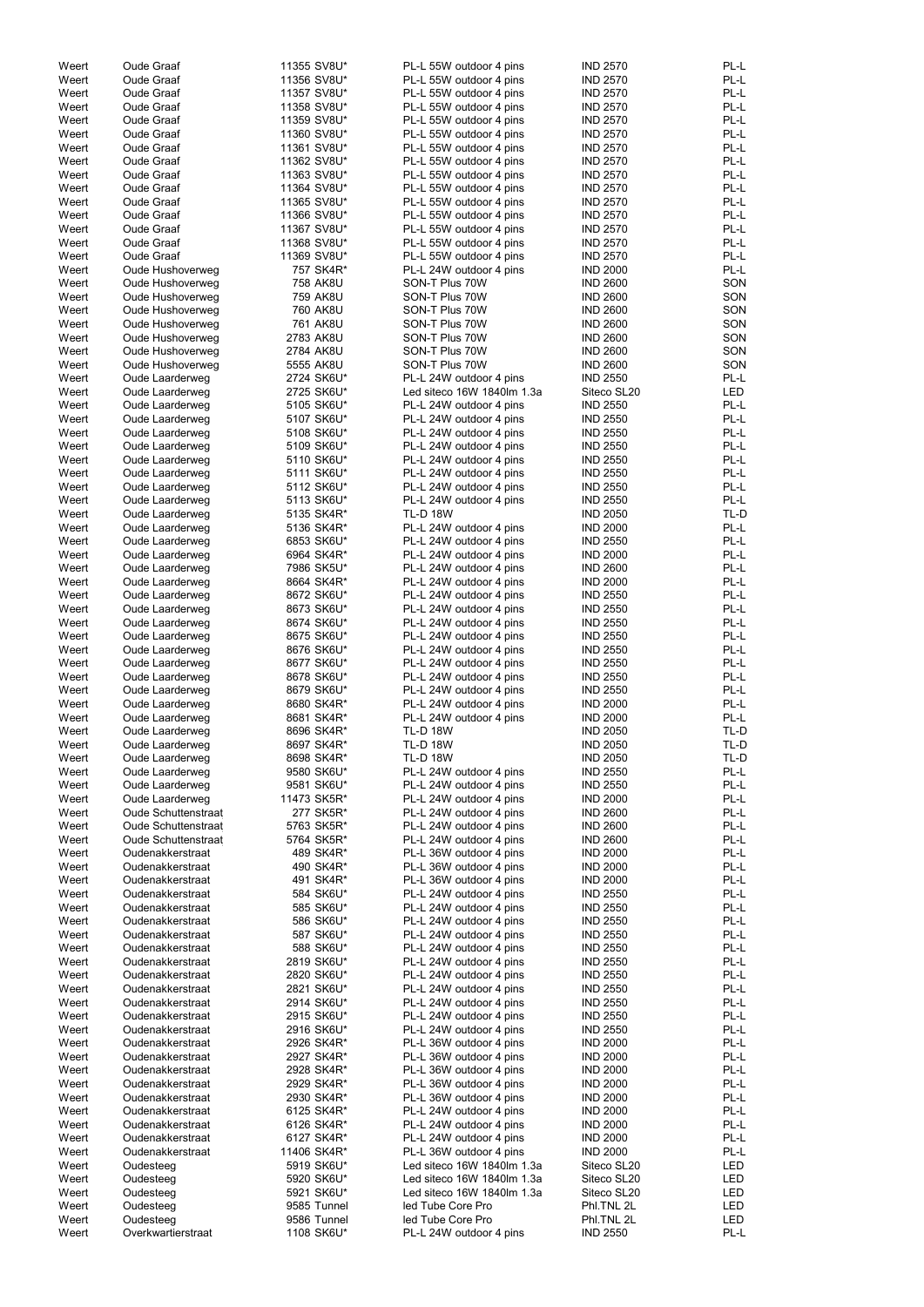| Weert | Oude Graaf                 | 11355 SV8U* | PL-L 55W outdoor 4 pins    | <b>IND 2570</b> | PL-L       |
|-------|----------------------------|-------------|----------------------------|-----------------|------------|
| Weert | <b>Oude Graaf</b>          | 11356 SV8U* | PL-L 55W outdoor 4 pins    | <b>IND 2570</b> | PL-L       |
| Weert | <b>Oude Graaf</b>          | 11357 SV8U* | PL-L 55W outdoor 4 pins    | <b>IND 2570</b> | PL-L       |
|       |                            |             |                            |                 |            |
| Weert | Oude Graaf                 | 11358 SV8U* | PL-L 55W outdoor 4 pins    | <b>IND 2570</b> | PL-L       |
| Weert | Oude Graaf                 | 11359 SV8U* | PL-L 55W outdoor 4 pins    | <b>IND 2570</b> | PL-L       |
| Weert | <b>Oude Graaf</b>          | 11360 SV8U* | PL-L 55W outdoor 4 pins    | <b>IND 2570</b> | PL-L       |
| Weert | <b>Oude Graaf</b>          | 11361 SV8U* | PL-L 55W outdoor 4 pins    | <b>IND 2570</b> | PL-L       |
| Weert | Oude Graaf                 | 11362 SV8U* | PL-L 55W outdoor 4 pins    | <b>IND 2570</b> | PL-L       |
| Weert | <b>Oude Graaf</b>          | 11363 SV8U* | PL-L 55W outdoor 4 pins    | <b>IND 2570</b> | PL-L       |
|       |                            |             |                            |                 |            |
| Weert | <b>Oude Graaf</b>          | 11364 SV8U* | PL-L 55W outdoor 4 pins    | <b>IND 2570</b> | PL-L       |
| Weert | <b>Oude Graaf</b>          | 11365 SV8U* | PL-L 55W outdoor 4 pins    | <b>IND 2570</b> | PL-L       |
| Weert | <b>Oude Graaf</b>          | 11366 SV8U* | PL-L 55W outdoor 4 pins    | <b>IND 2570</b> | PL-L       |
| Weert | <b>Oude Graaf</b>          | 11367 SV8U* | PL-L 55W outdoor 4 pins    | <b>IND 2570</b> | PL-L       |
| Weert | <b>Oude Graaf</b>          | 11368 SV8U* | PL-L 55W outdoor 4 pins    | <b>IND 2570</b> | PL-L       |
| Weert | <b>Oude Graaf</b>          | 11369 SV8U* | PL-L 55W outdoor 4 pins    | <b>IND 2570</b> | PL-L       |
| Weert | Oude Hushoverweg           | 757 SK4R*   | PL-L 24W outdoor 4 pins    | <b>IND 2000</b> | PL-L       |
|       |                            |             |                            |                 |            |
| Weert | Oude Hushoverweg           | 758 AK8U    | SON-T Plus 70W             | <b>IND 2600</b> | SON        |
| Weert | Oude Hushoverweg           | 759 AK8U    | SON-T Plus 70W             | <b>IND 2600</b> | SON        |
| Weert | Oude Hushoverweg           | 760 AK8U    | SON-T Plus 70W             | <b>IND 2600</b> | SON        |
| Weert | Oude Hushoverweg           | 761 AK8U    | SON-T Plus 70W             | <b>IND 2600</b> | SON        |
| Weert | Oude Hushoverweg           | 2783 AK8U   | SON-T Plus 70W             | <b>IND 2600</b> | SON        |
| Weert | Oude Hushoverweg           | 2784 AK8U   | SON-T Plus 70W             | <b>IND 2600</b> | SON        |
| Weert | Oude Hushoverweg           | 5555 AK8U   | SON-T Plus 70W             | <b>IND 2600</b> | SON        |
|       |                            |             |                            |                 |            |
| Weert | Oude Laarderweg            | 2724 SK6U*  | PL-L 24W outdoor 4 pins    | <b>IND 2550</b> | PL-L       |
| Weert | Oude Laarderweg            | 2725 SK6U*  | Led siteco 16W 1840lm 1.3a | Siteco SL20     | <b>LED</b> |
| Weert | Oude Laarderweg            | 5105 SK6U*  | PL-L 24W outdoor 4 pins    | <b>IND 2550</b> | PL-L       |
| Weert | Oude Laarderweg            | 5107 SK6U*  | PL-L 24W outdoor 4 pins    | <b>IND 2550</b> | PL-L       |
| Weert | Oude Laarderweg            | 5108 SK6U*  | PL-L 24W outdoor 4 pins    | <b>IND 2550</b> | PL-L       |
| Weert | Oude Laarderweg            | 5109 SK6U*  | PL-L 24W outdoor 4 pins    | <b>IND 2550</b> | PL-L       |
| Weert | Oude Laarderweg            | 5110 SK6U*  | PL-L 24W outdoor 4 pins    | <b>IND 2550</b> | PL-L       |
|       |                            |             |                            |                 |            |
| Weert | Oude Laarderweg            | 5111 SK6U*  | PL-L 24W outdoor 4 pins    | <b>IND 2550</b> | PL-L       |
| Weert | Oude Laarderweg            | 5112 SK6U*  | PL-L 24W outdoor 4 pins    | <b>IND 2550</b> | PL-L       |
| Weert | Oude Laarderweg            | 5113 SK6U*  | PL-L 24W outdoor 4 pins    | <b>IND 2550</b> | PL-L       |
| Weert | Oude Laarderweg            | 5135 SK4R*  | <b>TL-D 18W</b>            | <b>IND 2050</b> | TL-D       |
| Weert | Oude Laarderweg            | 5136 SK4R*  | PL-L 24W outdoor 4 pins    | <b>IND 2000</b> | PL-L       |
|       | Oude Laarderweg            | 6853 SK6U*  | PL-L 24W outdoor 4 pins    | <b>IND 2550</b> | PL-L       |
| Weert |                            |             |                            |                 |            |
| Weert | Oude Laarderweg            | 6964 SK4R*  | PL-L 24W outdoor 4 pins    | <b>IND 2000</b> | PL-L       |
| Weert | Oude Laarderweg            | 7986 SK5U*  | PL-L 24W outdoor 4 pins    | <b>IND 2600</b> | PL-L       |
| Weert | Oude Laarderweg            | 8664 SK4R*  | PL-L 24W outdoor 4 pins    | <b>IND 2000</b> | PL-L       |
| Weert | Oude Laarderweg            | 8672 SK6U*  | PL-L 24W outdoor 4 pins    | <b>IND 2550</b> | PL-L       |
| Weert | <b>Oude Laarderweg</b>     | 8673 SK6U*  | PL-L 24W outdoor 4 pins    | <b>IND 2550</b> | PL-L       |
| Weert | Oude Laarderweg            | 8674 SK6U*  | PL-L 24W outdoor 4 pins    | <b>IND 2550</b> | PL-L       |
|       |                            |             |                            |                 |            |
| Weert | Oude Laarderweg            | 8675 SK6U*  | PL-L 24W outdoor 4 pins    | <b>IND 2550</b> | PL-L       |
| Weert | Oude Laarderweg            | 8676 SK6U*  | PL-L 24W outdoor 4 pins    | <b>IND 2550</b> | PL-L       |
| Weert | Oude Laarderweg            | 8677 SK6U*  | PL-L 24W outdoor 4 pins    | <b>IND 2550</b> | PL-L       |
| Weert | <b>Oude Laarderweg</b>     | 8678 SK6U*  | PL-L 24W outdoor 4 pins    | <b>IND 2550</b> | PL-L       |
| Weert | Oude Laarderweg            | 8679 SK6U*  | PL-L 24W outdoor 4 pins    | <b>IND 2550</b> | PL-L       |
| Weert | Oude Laarderweg            | 8680 SK4R*  | PL-L 24W outdoor 4 pins    | <b>IND 2000</b> | PL-L       |
|       |                            |             |                            |                 |            |
| Weert | Oude Laarderweg            | 8681 SK4R*  | PL-L 24W outdoor 4 pins    | <b>IND 2000</b> | PL-L       |
| Weert | Oude Laarderweg            | 8696 SK4R*  | <b>TL-D 18W</b>            | <b>IND 2050</b> | TL-D       |
| Weert | Oude Laarderweg            | 8697 SK4R*  | <b>TL-D 18W</b>            | <b>IND 2050</b> | TL-D       |
| Weert | Oude Laarderweg            | 8698 SK4R*  | <b>TL-D 18W</b>            | <b>IND 2050</b> | TL-D       |
| Weert | Oude Laarderweg            | 9580 SK6U*  | PL-L 24W outdoor 4 pins    | <b>IND 2550</b> | PL-L       |
| Weert | Oude Laarderweg            | 9581 SK6U*  | PL-L 24W outdoor 4 pins    | <b>IND 2550</b> | PL-L       |
| Weert |                            |             |                            |                 | PL-L       |
|       | Oude Laarderweg            | 11473 SK5R* | PL-L 24W outdoor 4 pins    | <b>IND 2000</b> |            |
| Weert | <b>Oude Schuttenstraat</b> | 277 SK5R*   | PL-L 24W outdoor 4 pins    | <b>IND 2600</b> | PL-L       |
| Weert | <b>Oude Schuttenstraat</b> | 5763 SK5R*  | PL-L 24W outdoor 4 pins    | <b>IND 2600</b> | PL-L       |
| Weert | <b>Oude Schuttenstraat</b> | 5764 SK5R*  | PL-L 24W outdoor 4 pins    | <b>IND 2600</b> | PL-L       |
| Weert | Oudenakkerstraat           | 489 SK4R*   | PL-L 36W outdoor 4 pins    | <b>IND 2000</b> | PL-L       |
| Weert | Oudenakkerstraat           | 490 SK4R*   | PL-L 36W outdoor 4 pins    | <b>IND 2000</b> | PL-L       |
| Weert | Oudenakkerstraat           | 491 SK4R*   | PL-L 36W outdoor 4 pins    | <b>IND 2000</b> | PL-L       |
|       |                            |             |                            |                 |            |
| Weert | Oudenakkerstraat           | 584 SK6U*   | PL-L 24W outdoor 4 pins    | <b>IND 2550</b> | PL-L       |
| Weert | Oudenakkerstraat           | 585 SK6U*   | PL-L 24W outdoor 4 pins    | <b>IND 2550</b> | PL-L       |
| Weert | Oudenakkerstraat           | 586 SK6U*   | PL-L 24W outdoor 4 pins    | <b>IND 2550</b> | PL-L       |
| Weert | Oudenakkerstraat           | 587 SK6U*   | PL-L 24W outdoor 4 pins    | <b>IND 2550</b> | PL-L       |
| Weert | Oudenakkerstraat           | 588 SK6U*   | PL-L 24W outdoor 4 pins    | <b>IND 2550</b> | PL-L       |
| Weert | Oudenakkerstraat           | 2819 SK6U*  | PL-L 24W outdoor 4 pins    | <b>IND 2550</b> | PL-L       |
| Weert | Oudenakkerstraat           | 2820 SK6U*  | PL-L 24W outdoor 4 pins    | <b>IND 2550</b> | PL-L       |
| Weert | Oudenakkerstraat           | 2821 SK6U*  | PL-L 24W outdoor 4 pins    | <b>IND 2550</b> | PL-L       |
|       |                            |             |                            |                 |            |
| Weert | Oudenakkerstraat           | 2914 SK6U*  | PL-L 24W outdoor 4 pins    | <b>IND 2550</b> | PL-L       |
| Weert | Oudenakkerstraat           | 2915 SK6U*  | PL-L 24W outdoor 4 pins    | <b>IND 2550</b> | PL-L       |
| Weert | Oudenakkerstraat           | 2916 SK6U*  | PL-L 24W outdoor 4 pins    | <b>IND 2550</b> | PL-L       |
| Weert | Oudenakkerstraat           | 2926 SK4R*  | PL-L 36W outdoor 4 pins    | <b>IND 2000</b> | $PL-L$     |
| Weert | Oudenakkerstraat           | 2927 SK4R*  | PL-L 36W outdoor 4 pins    | <b>IND 2000</b> | PL-L       |
| Weert | Oudenakkerstraat           | 2928 SK4R*  | PL-L 36W outdoor 4 pins    | <b>IND 2000</b> | PL-L       |
|       | Oudenakkerstraat           | 2929 SK4R*  |                            |                 | PL-L       |
| Weert |                            |             | PL-L 36W outdoor 4 pins    | <b>IND 2000</b> |            |
| Weert | Oudenakkerstraat           | 2930 SK4R*  | PL-L 36W outdoor 4 pins    | <b>IND 2000</b> | PL-L       |
| Weert | Oudenakkerstraat           | 6125 SK4R*  | PL-L 24W outdoor 4 pins    | <b>IND 2000</b> | PL-L       |
| Weert | Oudenakkerstraat           | 6126 SK4R*  | PL-L 24W outdoor 4 pins    | <b>IND 2000</b> | PL-L       |
| Weert | Oudenakkerstraat           | 6127 SK4R*  | PL-L 24W outdoor 4 pins    | <b>IND 2000</b> | PL-L       |
| Weert | Oudenakkerstraat           | 11406 SK4R* | PL-L 36W outdoor 4 pins    | <b>IND 2000</b> | PL-L       |
|       |                            |             | Led siteco 16W 1840lm 1.3a |                 |            |
| Weert | Oudesteeg                  | 5919 SK6U*  |                            | Siteco SL20     | LED        |
| Weert | Oudesteeg                  | 5920 SK6U*  | Led siteco 16W 1840lm 1.3a | Siteco SL20     | LED        |
| Weert | Oudesteeg                  | 5921 SK6U*  | Led siteco 16W 1840lm 1.3a | Siteco SL20     | LED        |
| Weert | Oudesteeg                  | 9585 Tunnel | led Tube Core Pro          | Phl.TNL 2L      | LED        |
| Weert | Oudesteeg                  | 9586 Tunnel | led Tube Core Pro          | Phl.TNL 2L      | LED        |
| Weert | Overkwartierstraat         | 1108 SK6U*  | PL-L 24W outdoor 4 pins    | <b>IND 2550</b> | PL-L       |
|       |                            |             |                            |                 |            |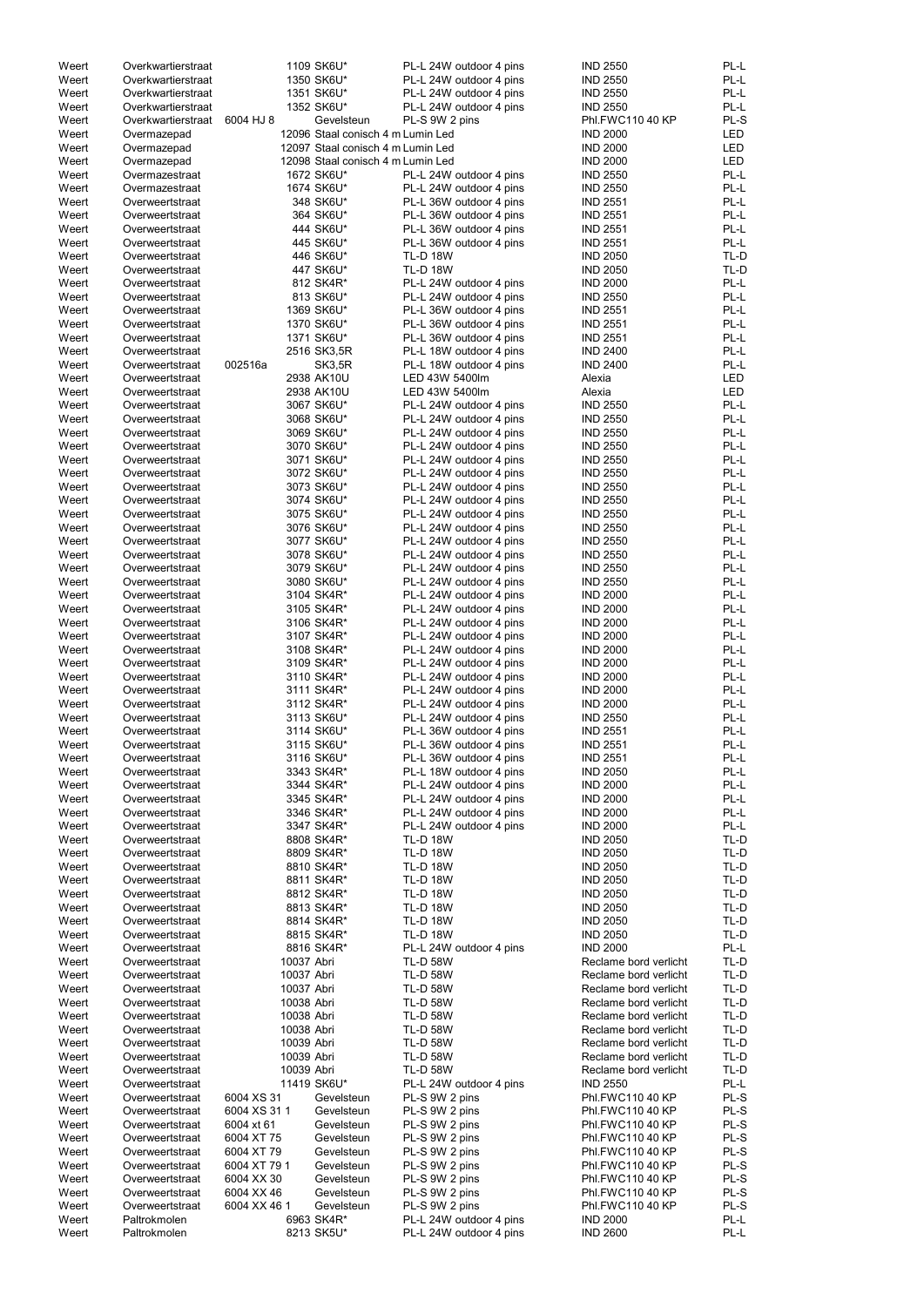| Weert | Overkwartierstraat |              | 1109 SK6U*                        | PL-L 24W outdoor 4 pins | <b>IND 2550</b>       | PL-L       |
|-------|--------------------|--------------|-----------------------------------|-------------------------|-----------------------|------------|
| Weert | Overkwartierstraat |              | 1350 SK6U*                        | PL-L 24W outdoor 4 pins | <b>IND 2550</b>       | PL-L       |
| Weert | Overkwartierstraat |              | 1351 SK6U*                        | PL-L 24W outdoor 4 pins | <b>IND 2550</b>       | PL-L       |
| Weert | Overkwartierstraat |              | 1352 SK6U*                        | PL-L 24W outdoor 4 pins | <b>IND 2550</b>       | PL-L       |
| Weert | Overkwartierstraat | 6004 HJ 8    | Gevelsteun                        | PL-S 9W 2 pins          | Phl.FWC110 40 KP      | PL-S       |
| Weert |                    |              | 12096 Staal conisch 4 m Lumin Led |                         | <b>IND 2000</b>       | <b>LED</b> |
|       | Overmazepad        |              |                                   |                         |                       |            |
| Weert | Overmazepad        |              | 12097 Staal conisch 4 m Lumin Led |                         | <b>IND 2000</b>       | LED        |
| Weert | Overmazepad        |              | 12098 Staal conisch 4 m Lumin Led |                         | <b>IND 2000</b>       | <b>LED</b> |
| Weert | Overmazestraat     |              | 1672 SK6U*                        | PL-L 24W outdoor 4 pins | <b>IND 2550</b>       | PL-L       |
| Weert | Overmazestraat     |              | 1674 SK6U*                        | PL-L 24W outdoor 4 pins | <b>IND 2550</b>       | PL-L       |
| Weert | Overweertstraat    |              | 348 SK6U*                         | PL-L 36W outdoor 4 pins | <b>IND 2551</b>       | PL-L       |
|       |                    |              |                                   |                         |                       |            |
| Weert | Overweertstraat    |              | 364 SK6U*                         | PL-L 36W outdoor 4 pins | <b>IND 2551</b>       | PL-L       |
| Weert | Overweertstraat    |              | 444 SK6U*                         | PL-L 36W outdoor 4 pins | <b>IND 2551</b>       | PL-L       |
| Weert | Overweertstraat    |              | 445 SK6U*                         | PL-L 36W outdoor 4 pins | <b>IND 2551</b>       | PL-L       |
| Weert | Overweertstraat    |              | 446 SK6U*                         | <b>TL-D 18W</b>         | <b>IND 2050</b>       | TL-D       |
| Weert | Overweertstraat    |              | 447 SK6U*                         | <b>TL-D 18W</b>         | <b>IND 2050</b>       | TL-D       |
| Weert | Overweertstraat    |              | 812 SK4R*                         | PL-L 24W outdoor 4 pins | <b>IND 2000</b>       | PL-L       |
|       |                    |              |                                   |                         |                       |            |
| Weert | Overweertstraat    |              | 813 SK6U*                         | PL-L 24W outdoor 4 pins | <b>IND 2550</b>       | PL-L       |
| Weert | Overweertstraat    |              | 1369 SK6U*                        | PL-L 36W outdoor 4 pins | <b>IND 2551</b>       | PL-L       |
| Weert | Overweertstraat    |              | 1370 SK6U*                        | PL-L 36W outdoor 4 pins | <b>IND 2551</b>       | PL-L       |
| Weert | Overweertstraat    |              | 1371 SK6U*                        | PL-L 36W outdoor 4 pins | <b>IND 2551</b>       | PL-L       |
| Weert | Overweertstraat    |              | 2516 SK3,5R                       | PL-L 18W outdoor 4 pins | <b>IND 2400</b>       | PL-L       |
| Weert | Overweertstraat    | 002516a      | <b>SK3,5R</b>                     | PL-L 18W outdoor 4 pins | <b>IND 2400</b>       | PL-L       |
|       |                    |              |                                   |                         |                       |            |
| Weert | Overweertstraat    |              | 2938 AK10U                        | LED 43W 5400lm          | Alexia                | <b>LED</b> |
| Weert | Overweertstraat    |              | 2938 AK10U                        | LED 43W 5400lm          | Alexia                | <b>LED</b> |
| Weert | Overweertstraat    |              | 3067 SK6U*                        | PL-L 24W outdoor 4 pins | <b>IND 2550</b>       | PL-L       |
| Weert | Overweertstraat    |              | 3068 SK6U*                        | PL-L 24W outdoor 4 pins | <b>IND 2550</b>       | PL-L       |
| Weert | Overweertstraat    |              | 3069 SK6U*                        | PL-L 24W outdoor 4 pins | <b>IND 2550</b>       | PL-L       |
|       |                    |              |                                   |                         |                       | PL-L       |
| Weert | Overweertstraat    |              | 3070 SK6U*                        | PL-L 24W outdoor 4 pins | <b>IND 2550</b>       |            |
| Weert | Overweertstraat    |              | 3071 SK6U*                        | PL-L 24W outdoor 4 pins | <b>IND 2550</b>       | PL-L       |
| Weert | Overweertstraat    |              | 3072 SK6U*                        | PL-L 24W outdoor 4 pins | <b>IND 2550</b>       | PL-L       |
| Weert | Overweertstraat    |              | 3073 SK6U*                        | PL-L 24W outdoor 4 pins | <b>IND 2550</b>       | PL-L       |
| Weert | Overweertstraat    |              | 3074 SK6U*                        | PL-L 24W outdoor 4 pins | <b>IND 2550</b>       | PL-L       |
| Weert | Overweertstraat    |              | 3075 SK6U*                        | PL-L 24W outdoor 4 pins | <b>IND 2550</b>       | PL-L       |
|       |                    |              | 3076 SK6U*                        |                         |                       | PL-L       |
| Weert | Overweertstraat    |              |                                   | PL-L 24W outdoor 4 pins | <b>IND 2550</b>       |            |
| Weert | Overweertstraat    |              | 3077 SK6U*                        | PL-L 24W outdoor 4 pins | <b>IND 2550</b>       | PL-L       |
| Weert | Overweertstraat    |              | 3078 SK6U*                        | PL-L 24W outdoor 4 pins | <b>IND 2550</b>       | PL-L       |
| Weert | Overweertstraat    |              | 3079 SK6U*                        | PL-L 24W outdoor 4 pins | <b>IND 2550</b>       | PL-L       |
| Weert | Overweertstraat    |              | 3080 SK6U*                        | PL-L 24W outdoor 4 pins | <b>IND 2550</b>       | PL-L       |
| Weert | Overweertstraat    |              | 3104 SK4R*                        | PL-L 24W outdoor 4 pins | <b>IND 2000</b>       | PL-L       |
|       |                    |              |                                   |                         |                       |            |
| Weert | Overweertstraat    |              | 3105 SK4R*                        | PL-L 24W outdoor 4 pins | <b>IND 2000</b>       | PL-L       |
| Weert | Overweertstraat    |              | 3106 SK4R*                        | PL-L 24W outdoor 4 pins | <b>IND 2000</b>       | PL-L       |
| Weert | Overweertstraat    |              | 3107 SK4R*                        | PL-L 24W outdoor 4 pins | <b>IND 2000</b>       | PL-L       |
| Weert | Overweertstraat    |              | 3108 SK4R*                        | PL-L 24W outdoor 4 pins | <b>IND 2000</b>       | PL-L       |
| Weert | Overweertstraat    |              | 3109 SK4R*                        | PL-L 24W outdoor 4 pins | <b>IND 2000</b>       | PL-L       |
| Weert |                    |              | 3110 SK4R*                        | PL-L 24W outdoor 4 pins | <b>IND 2000</b>       | PL-L       |
|       | Overweertstraat    |              |                                   |                         |                       |            |
| Weert | Overweertstraat    |              | 3111 SK4R*                        | PL-L 24W outdoor 4 pins | <b>IND 2000</b>       | PL-L       |
| Weert | Overweertstraat    |              | 3112 SK4R*                        | PL-L 24W outdoor 4 pins | <b>IND 2000</b>       | PL-L       |
| Weert | Overweertstraat    |              | 3113 SK6U*                        | PL-L 24W outdoor 4 pins | <b>IND 2550</b>       | PL-L       |
| Weert | Overweertstraat    |              | 3114 SK6U*                        | PL-L 36W outdoor 4 pins | <b>IND 2551</b>       | PL-L       |
| Weert | Overweertstraat    |              | 3115 SK6U*                        | PL-L 36W outdoor 4 pins | <b>IND 2551</b>       | PL-L       |
|       |                    |              |                                   |                         |                       |            |
| Weert | Overweertstraat    |              | 3116 SK6U*                        | PL-L 36W outdoor 4 pins | <b>IND 2551</b>       | PL-L       |
| Weert | Overweertstraat    |              | 3343 SK4R*                        | PL-L 18W outdoor 4 pins | <b>IND 2050</b>       | PL-L       |
| Weert | Overweertstraat    |              | 3344 SK4R*                        | PL-L 24W outdoor 4 pins | <b>IND 2000</b>       | PL-L       |
| Weert | Overweertstraat    |              | 3345 SK4R*                        | PL-L 24W outdoor 4 pins | <b>IND 2000</b>       | PL-L       |
| Weert | Overweertstraat    |              | 3346 SK4R*                        | PL-L 24W outdoor 4 pins | <b>IND 2000</b>       | PL-L       |
| Weert | Overweertstraat    |              | 3347 SK4R*                        | PL-L 24W outdoor 4 pins | <b>IND 2000</b>       | PL-L       |
|       |                    |              |                                   |                         |                       | TL-D       |
| Weert | Overweertstraat    |              | 8808 SK4R*                        | <b>TL-D 18W</b>         | <b>IND 2050</b>       |            |
| Weert | Overweertstraat    |              | 8809 SK4R*                        | <b>TL-D 18W</b>         | <b>IND 2050</b>       | TL-D       |
| Weert | Overweertstraat    |              | 8810 SK4R*                        | <b>TL-D 18W</b>         | <b>IND 2050</b>       | TL-D       |
| Weert | Overweertstraat    |              | 8811 SK4R*                        | <b>TL-D 18W</b>         | <b>IND 2050</b>       | TL-D       |
| Weert | Overweertstraat    |              | 8812 SK4R*                        | <b>TL-D 18W</b>         | <b>IND 2050</b>       | TL-D       |
| Weert | Overweertstraat    |              | 8813 SK4R*                        | <b>TL-D 18W</b>         | <b>IND 2050</b>       | TL-D       |
|       |                    |              |                                   |                         |                       |            |
| Weert | Overweertstraat    |              | 8814 SK4R*                        | <b>TL-D 18W</b>         | <b>IND 2050</b>       | TL-D       |
| Weert | Overweertstraat    |              | 8815 SK4R*                        | <b>TL-D 18W</b>         | <b>IND 2050</b>       | TL-D       |
| Weert | Overweertstraat    |              | 8816 SK4R*                        | PL-L 24W outdoor 4 pins | <b>IND 2000</b>       | PL-L       |
| Weert | Overweertstraat    | 10037 Abri   |                                   | <b>TL-D 58W</b>         | Reclame bord verlicht | TL-D       |
| Weert | Overweertstraat    | 10037 Abri   |                                   | <b>TL-D 58W</b>         | Reclame bord verlicht | TL-D       |
| Weert | Overweertstraat    | 10037 Abri   |                                   | <b>TL-D 58W</b>         | Reclame bord verlicht | TL-D       |
|       |                    |              |                                   |                         |                       |            |
| Weert | Overweertstraat    | 10038 Abri   |                                   | <b>TL-D 58W</b>         | Reclame bord verlicht | TL-D       |
| Weert | Overweertstraat    | 10038 Abri   |                                   | <b>TL-D 58W</b>         | Reclame bord verlicht | TL-D       |
| Weert | Overweertstraat    | 10038 Abri   |                                   | <b>TL-D 58W</b>         | Reclame bord verlicht | TL-D       |
| Weert | Overweertstraat    | 10039 Abri   |                                   | <b>TL-D 58W</b>         | Reclame bord verlicht | TL-D       |
| Weert | Overweertstraat    | 10039 Abri   |                                   | <b>TL-D 58W</b>         | Reclame bord verlicht | TL-D       |
| Weert |                    | 10039 Abri   |                                   | <b>TL-D 58W</b>         | Reclame bord verlicht |            |
|       | Overweertstraat    |              |                                   |                         |                       | TL-D       |
| Weert | Overweertstraat    |              | 11419 SK6U*                       | PL-L 24W outdoor 4 pins | <b>IND 2550</b>       | PL-L       |
| Weert | Overweertstraat    | 6004 XS 31   | Gevelsteun                        | PL-S 9W 2 pins          | Phl.FWC110 40 KP      | PL-S       |
| Weert | Overweertstraat    | 6004 XS 31 1 | Gevelsteun                        | PL-S 9W 2 pins          | Phl.FWC110 40 KP      | PL-S       |
| Weert | Overweertstraat    | 6004 xt 61   | Gevelsteun                        | PL-S 9W 2 pins          | Phl.FWC110 40 KP      | PL-S       |
| Weert | Overweertstraat    | 6004 XT 75   | Gevelsteun                        | PL-S 9W 2 pins          | Phl.FWC110 40 KP      | PL-S       |
|       |                    |              | Gevelsteun                        |                         |                       |            |
| Weert | Overweertstraat    | 6004 XT 79   |                                   | PL-S 9W 2 pins          | Phl.FWC110 40 KP      | PL-S       |
| Weert | Overweertstraat    | 6004 XT 79 1 | Gevelsteun                        | PL-S 9W 2 pins          | Phl.FWC110 40 KP      | PL-S       |
| Weert | Overweertstraat    | 6004 XX 30   | Gevelsteun                        | PL-S 9W 2 pins          | Phl.FWC110 40 KP      | PL-S       |
| Weert | Overweertstraat    | 6004 XX 46   | Gevelsteun                        | PL-S 9W 2 pins          | Phl.FWC110 40 KP      | PL-S       |
| Weert | Overweertstraat    | 6004 XX 46 1 | Gevelsteun                        | PL-S 9W 2 pins          | Phl.FWC110 40 KP      | PL-S       |
| Weert | Paltrokmolen       |              | 6963 SK4R*                        | PL-L 24W outdoor 4 pins | <b>IND 2000</b>       | PL-L       |
|       |                    |              |                                   |                         |                       | $PL-L$     |
| Weert | Paltrokmolen       |              | 8213 SK5U*                        | PL-L 24W outdoor 4 pins | <b>IND 2600</b>       |            |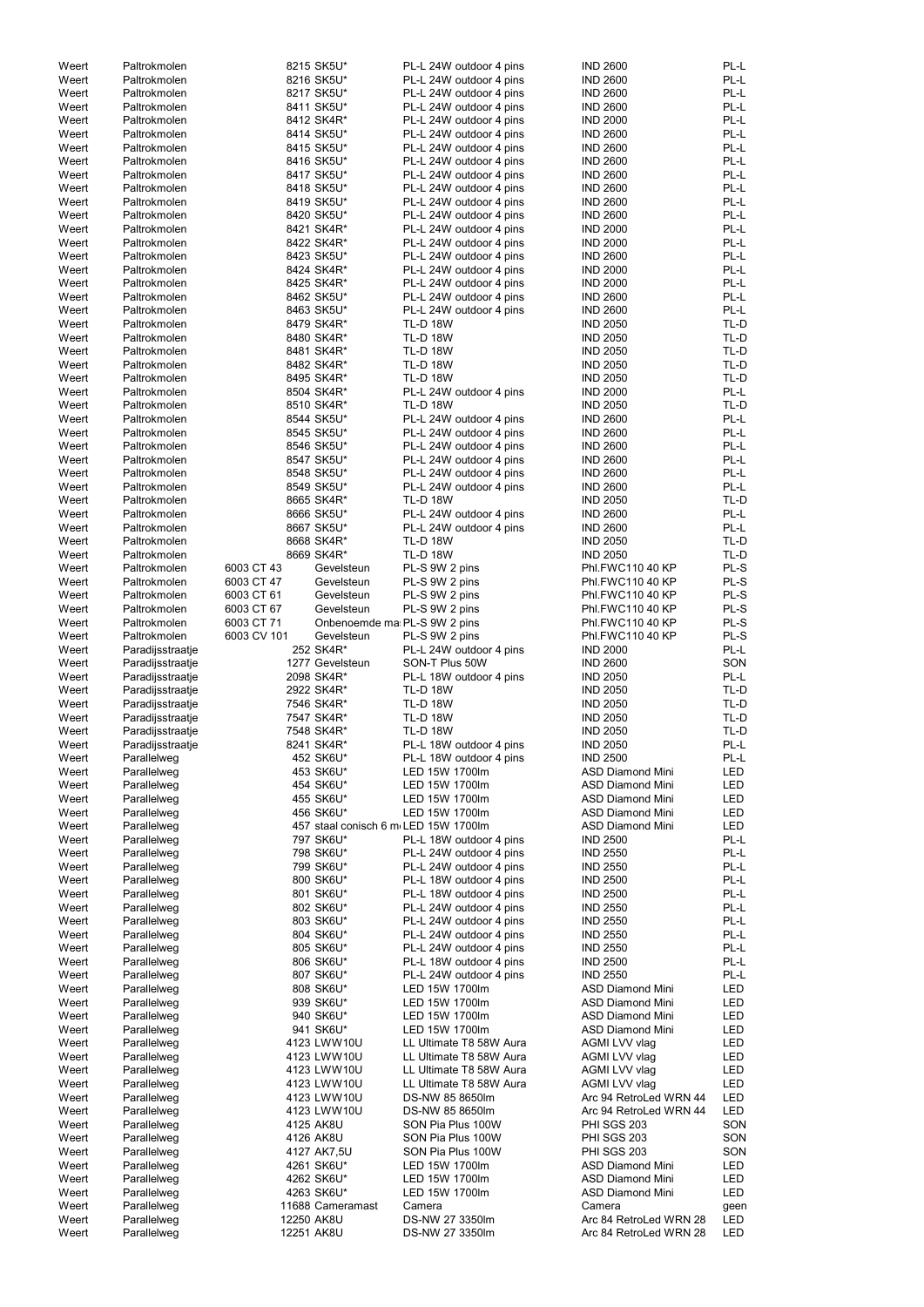| Weert          | Paltrokmolen               |                          | 8215 SK5U*                   | PL-L 24W outdoor 4 pins                            | <b>IND 2600</b>                                  | PL-L       |
|----------------|----------------------------|--------------------------|------------------------------|----------------------------------------------------|--------------------------------------------------|------------|
| Weert          | Paltrokmolen               |                          | 8216 SK5U*                   | PL-L 24W outdoor 4 pins                            | <b>IND 2600</b>                                  | PL-L       |
| Weert          | Paltrokmolen               |                          | 8217 SK5U*                   | PL-L 24W outdoor 4 pins                            | <b>IND 2600</b>                                  | PL-L       |
| Weert          | Paltrokmolen               |                          | 8411 SK5U*                   | PL-L 24W outdoor 4 pins                            | <b>IND 2600</b>                                  | PL-L       |
|                |                            |                          | 8412 SK4R*                   | PL-L 24W outdoor 4 pins                            |                                                  | PL-L       |
| Weert          | Paltrokmolen               |                          |                              |                                                    | <b>IND 2000</b>                                  |            |
| Weert          | Paltrokmolen               |                          | 8414 SK5U*                   | PL-L 24W outdoor 4 pins                            | <b>IND 2600</b>                                  | PL-L       |
| Weert          | Paltrokmolen               |                          | 8415 SK5U*                   | PL-L 24W outdoor 4 pins                            | <b>IND 2600</b>                                  | PL-L       |
| Weert          | Paltrokmolen               |                          | 8416 SK5U*                   | PL-L 24W outdoor 4 pins                            | <b>IND 2600</b>                                  | PL-L       |
| Weert          | Paltrokmolen               |                          | 8417 SK5U*                   | PL-L 24W outdoor 4 pins                            | <b>IND 2600</b>                                  | PL-L       |
| Weert          | Paltrokmolen               |                          | 8418 SK5U*                   | PL-L 24W outdoor 4 pins                            | <b>IND 2600</b>                                  | PL-L       |
| Weert          | Paltrokmolen               |                          | 8419 SK5U*                   | PL-L 24W outdoor 4 pins                            | <b>IND 2600</b>                                  | PL-L       |
| Weert          | Paltrokmolen               |                          | 8420 SK5U*                   | PL-L 24W outdoor 4 pins                            | <b>IND 2600</b>                                  | PL-L       |
|                |                            |                          |                              |                                                    |                                                  |            |
| Weert          | Paltrokmolen               |                          | 8421 SK4R*                   | PL-L 24W outdoor 4 pins                            | <b>IND 2000</b>                                  | PL-L       |
| Weert          | Paltrokmolen               |                          | 8422 SK4R*                   | PL-L 24W outdoor 4 pins                            | <b>IND 2000</b>                                  | PL-L       |
| Weert          | Paltrokmolen               |                          | 8423 SK5U*                   | PL-L 24W outdoor 4 pins                            | <b>IND 2600</b>                                  | PL-L       |
| Weert          | Paltrokmolen               |                          | 8424 SK4R*                   | PL-L 24W outdoor 4 pins                            | <b>IND 2000</b>                                  | PL-L       |
| Weert          | Paltrokmolen               |                          | 8425 SK4R*                   | PL-L 24W outdoor 4 pins                            | <b>IND 2000</b>                                  | PL-L       |
| Weert          | Paltrokmolen               |                          | 8462 SK5U*                   | PL-L 24W outdoor 4 pins                            | <b>IND 2600</b>                                  | PL-L       |
| Weert          | Paltrokmolen               |                          | 8463 SK5U*                   | PL-L 24W outdoor 4 pins                            | <b>IND 2600</b>                                  | PL-L       |
| Weert          | Paltrokmolen               |                          | 8479 SK4R*                   | <b>TL-D 18W</b>                                    | <b>IND 2050</b>                                  | TL-D       |
|                |                            |                          |                              |                                                    |                                                  |            |
| Weert          | Paltrokmolen               |                          | 8480 SK4R*                   | <b>TL-D 18W</b>                                    | <b>IND 2050</b>                                  | TL-D       |
| Weert          | Paltrokmolen               |                          | 8481 SK4R*                   | <b>TL-D 18W</b>                                    | <b>IND 2050</b>                                  | TL-D       |
| Weert          | Paltrokmolen               |                          | 8482 SK4R*                   | <b>TL-D 18W</b>                                    | <b>IND 2050</b>                                  | TL-D       |
| Weert          | Paltrokmolen               |                          | 8495 SK4R*                   | <b>TL-D 18W</b>                                    | <b>IND 2050</b>                                  | TL-D       |
| Weert          | Paltrokmolen               |                          | 8504 SK4R*                   | PL-L 24W outdoor 4 pins                            | <b>IND 2000</b>                                  | PL-L       |
| Weert          | Paltrokmolen               |                          | 8510 SK4R*                   | <b>TL-D 18W</b>                                    | <b>IND 2050</b>                                  | TL-D       |
| Weert          | Paltrokmolen               |                          | 8544 SK5U*                   | PL-L 24W outdoor 4 pins                            | <b>IND 2600</b>                                  | PL-L       |
|                | Paltrokmolen               |                          |                              |                                                    |                                                  | PL-L       |
| Weert          |                            |                          | 8545 SK5U*                   | PL-L 24W outdoor 4 pins                            | <b>IND 2600</b>                                  |            |
| Weert          | Paltrokmolen               |                          | 8546 SK5U*                   | PL-L 24W outdoor 4 pins                            | <b>IND 2600</b>                                  | PL-L       |
| Weert          | Paltrokmolen               |                          | 8547 SK5U*                   | PL-L 24W outdoor 4 pins                            | <b>IND 2600</b>                                  | PL-L       |
| Weert          | Paltrokmolen               |                          | 8548 SK5U*                   | PL-L 24W outdoor 4 pins                            | <b>IND 2600</b>                                  | PL-L       |
| Weert          | Paltrokmolen               |                          | 8549 SK5U*                   | PL-L 24W outdoor 4 pins                            | <b>IND 2600</b>                                  | PL-L       |
| Weert          | Paltrokmolen               |                          | 8665 SK4R*                   | <b>TL-D 18W</b>                                    | <b>IND 2050</b>                                  | TL-D       |
| Weert          | Paltrokmolen               |                          | 8666 SK5U*                   | PL-L 24W outdoor 4 pins                            | <b>IND 2600</b>                                  | PL-L       |
| Weert          | Paltrokmolen               |                          | 8667 SK5U*                   | PL-L 24W outdoor 4 pins                            | <b>IND 2600</b>                                  | PL-L       |
|                |                            |                          |                              |                                                    |                                                  |            |
| Weert          | Paltrokmolen               |                          | 8668 SK4R*                   | <b>TL-D 18W</b>                                    | <b>IND 2050</b>                                  | TL-D       |
| Weert          | Paltrokmolen               |                          | 8669 SK4R*                   | <b>TL-D 18W</b>                                    | <b>IND 2050</b>                                  | TL-D       |
| Weert          | Paltrokmolen               | 6003 CT 43               | Gevelsteun                   | PL-S 9W 2 pins                                     | <b>Phl.FWC110 40 KP</b>                          | PL-S       |
| Weert          | Paltrokmolen               | 6003 CT 47               | Gevelsteun                   | PL-S 9W 2 pins                                     | <b>Phl.FWC110 40 KP</b>                          | PL-S       |
| Weert          | Paltrokmolen               | 6003 CT 61               | Gevelsteun                   | PL-S 9W 2 pins                                     | <b>Phl.FWC110 40 KP</b>                          | PL-S       |
| Weert          | Paltrokmolen               | 6003 CT 67               | Gevelsteun                   | PL-S 9W 2 pins                                     | <b>Phl.FWC110 40 KP</b>                          | PL-S       |
| Weert          | Paltrokmolen               | 6003 CT 71               | Onbenoemde ma PL-S 9W 2 pins |                                                    | Phl.FWC110 40 KP                                 | PL-S       |
| Weert          | Paltrokmolen               | 6003 CV 101              | Gevelsteun                   | PL-S 9W 2 pins                                     | <b>Phl.FWC110 40 KP</b>                          | PL-S       |
|                |                            |                          |                              |                                                    |                                                  |            |
| Weert          | Paradijsstraatje           |                          | 252 SK4R*                    | PL-L 24W outdoor 4 pins                            | <b>IND 2000</b>                                  | PL-L       |
| Weert          | Paradijsstraatje           |                          | 1277 Gevelsteun              | SON-T Plus 50W                                     | <b>IND 2600</b>                                  | SON        |
| Weert          | Paradijsstraatje           |                          | 2098 SK4R*                   | PL-L 18W outdoor 4 pins                            | <b>IND 2050</b>                                  | PL-L       |
| Weert          | Paradijsstraatje           |                          | 2922 SK4R*                   | <b>TL-D 18W</b>                                    | <b>IND 2050</b>                                  | TL-D       |
| Weert          | Paradijsstraatje           |                          | 7546 SK4R*                   | <b>TL-D 18W</b>                                    | <b>IND 2050</b>                                  | TL-D       |
| Weert          | Paradijsstraatje           |                          | 7547 SK4R*                   | <b>TL-D 18W</b>                                    | <b>IND 2050</b>                                  | TL-D       |
| Weert          | Paradijsstraatje           |                          | 7548 SK4R*                   | <b>TL-D 18W</b>                                    | <b>IND 2050</b>                                  | TL-D       |
| Weert          | Paradijsstraatje           |                          | 8241 SK4R*                   | PL-L 18W outdoor 4 pins                            | <b>IND 2050</b>                                  | PL-L       |
|                |                            |                          |                              |                                                    |                                                  |            |
| Weert          | Parallelweg                |                          | 452 SK6U*                    | PL-L 18W outdoor 4 pins                            | <b>IND 2500</b>                                  | PL-L       |
| Weert          | Parallelweg                |                          | 453 SK6U*                    | LED 15W 1700lm                                     | <b>ASD Diamond Mini</b>                          | LED        |
| Weert          | Parallelweg                |                          | 454 SK6U*                    | LED 15W 1700lm                                     | <b>ASD Diamond Mini</b>                          | <b>LED</b> |
| Weert          | Parallelweg                |                          | 455 SK6U*                    | LED 15W 1700lm                                     | <b>ASD Diamond Mini</b>                          | LED        |
| Weert          | Parallelweg                |                          | 456 SK6U*                    | LED 15W 1700lm                                     | <b>ASD Diamond Mini</b>                          | <b>LED</b> |
| Weert          | Parallelweg                |                          |                              | 457 staal conisch 6 m LED 15W 1700lm               | <b>ASD Diamond Mini</b>                          | <b>LED</b> |
| Weert          | Parallelweg                |                          | 797 SK6U*                    | PL-L 18W outdoor 4 pins                            | <b>IND 2500</b>                                  | PL-L       |
| Weert          | Parallelweg                |                          | 798 SK6U*                    | PL-L 24W outdoor 4 pins                            | <b>IND 2550</b>                                  | PL-L       |
|                |                            |                          | 799 SK6U*                    |                                                    |                                                  | PL-L       |
| Weert          | Parallelweg                |                          | 800 SK6U*                    | PL-L 24W outdoor 4 pins<br>PL-L 18W outdoor 4 pins | <b>IND 2550</b><br><b>IND 2500</b>               | PL-L       |
| Weert          | Parallelweg                |                          |                              |                                                    |                                                  |            |
| Weert          | Parallelweg                |                          | 801 SK6U*                    | PL-L 18W outdoor 4 pins                            | <b>IND 2500</b>                                  | PL-L       |
| Weert          | Parallelweg                |                          | 802 SK6U*                    | PL-L 24W outdoor 4 pins                            | <b>IND 2550</b>                                  | PL-L       |
| Weert          | Parallelweg                |                          | 803 SK6U*                    | PL-L 24W outdoor 4 pins                            | <b>IND 2550</b>                                  | PL-L       |
| Weert          | Parallelweg                |                          | 804 SK6U*                    | PL-L 24W outdoor 4 pins                            | <b>IND 2550</b>                                  | PL-L       |
| Weert          | Parallelweg                |                          | 805 SK6U*                    | PL-L 24W outdoor 4 pins                            | <b>IND 2550</b>                                  | PL-L       |
| Weert          | Parallelweg                |                          | 806 SK6U*                    | PL-L 18W outdoor 4 pins                            | <b>IND 2500</b>                                  | PL-L       |
| Weert          | Parallelweg                |                          | 807 SK6U*                    | PL-L 24W outdoor 4 pins                            | <b>IND 2550</b>                                  | PL-L       |
| Weert          | Parallelweg                |                          | 808 SK6U*                    | LED 15W 1700lm                                     | <b>ASD Diamond Mini</b>                          | LED        |
|                |                            |                          |                              |                                                    |                                                  |            |
| Weert          | Parallelweg                |                          | 939 SK6U*                    | LED 15W 1700lm                                     | <b>ASD Diamond Mini</b>                          | LED        |
| Weert          | Parallelweg                |                          | 940 SK6U*                    | LED 15W 1700lm                                     | <b>ASD Diamond Mini</b>                          | <b>LED</b> |
| Weert          | Parallelweg                |                          | 941 SK6U*                    | LED 15W 1700lm                                     | <b>ASD Diamond Mini</b>                          | LED        |
| Weert          | Parallelweg                |                          | 4123 LWW10U                  | LL Ultimate T8 58W Aura                            | AGMI LVV vlag                                    | <b>LED</b> |
| Weert          | Parallelweg                |                          | 4123 LWW10U                  | LL Ultimate T8 58W Aura                            | AGMI LVV vlag                                    | LED        |
| Weert          |                            |                          | 4123 LWW10U                  | LL Ultimate T8 58W Aura                            | AGMI LVV vlag                                    | LED        |
|                | Parallelweg                |                          |                              |                                                    |                                                  |            |
|                |                            |                          |                              |                                                    |                                                  |            |
| Weert          | Parallelweg                |                          | 4123 LWW10U                  | LL Ultimate T8 58W Aura                            | AGMI LVV vlag                                    | LED        |
| Weert          | Parallelweg                |                          | 4123 LWW10U                  | DS-NW 85 8650lm                                    | Arc 94 RetroLed WRN 44                           | LED        |
| Weert          | Parallelweg                |                          | 4123 LWW10U                  | DS-NW 85 8650lm                                    | Arc 94 RetroLed WRN 44                           | LED        |
| Weert          | Parallelweg                |                          | 4125 AK8U                    | SON Pia Plus 100W                                  | <b>PHI SGS 203</b>                               | SON        |
| Weert          | Parallelweg                |                          | 4126 AK8U                    | SON Pia Plus 100W                                  | <b>PHI SGS 203</b>                               | SON        |
| Weert          | Parallelweg                |                          | 4127 AK7,5U                  | SON Pia Plus 100W                                  | PHI SGS 203                                      | SON        |
| Weert          | Parallelweg                |                          | 4261 SK6U*                   | LED 15W 1700lm                                     | <b>ASD Diamond Mini</b>                          | LED        |
|                |                            |                          |                              |                                                    |                                                  |            |
| Weert          | Parallelweg                |                          | 4262 SK6U*                   | LED 15W 1700lm                                     | <b>ASD Diamond Mini</b>                          | LED        |
| Weert          | Parallelweg                |                          | 4263 SK6U*                   | LED 15W 1700lm                                     | <b>ASD Diamond Mini</b>                          | LED        |
| Weert          | Parallelweg                |                          | 11688 Cameramast             | Camera                                             | Camera                                           | geen       |
| Weert<br>Weert | Parallelweg<br>Parallelweg | 12250 AK8U<br>12251 AK8U |                              | DS-NW 27 3350lm<br>DS-NW 27 3350lm                 | Arc 84 RetroLed WRN 28<br>Arc 84 RetroLed WRN 28 | LED<br>LED |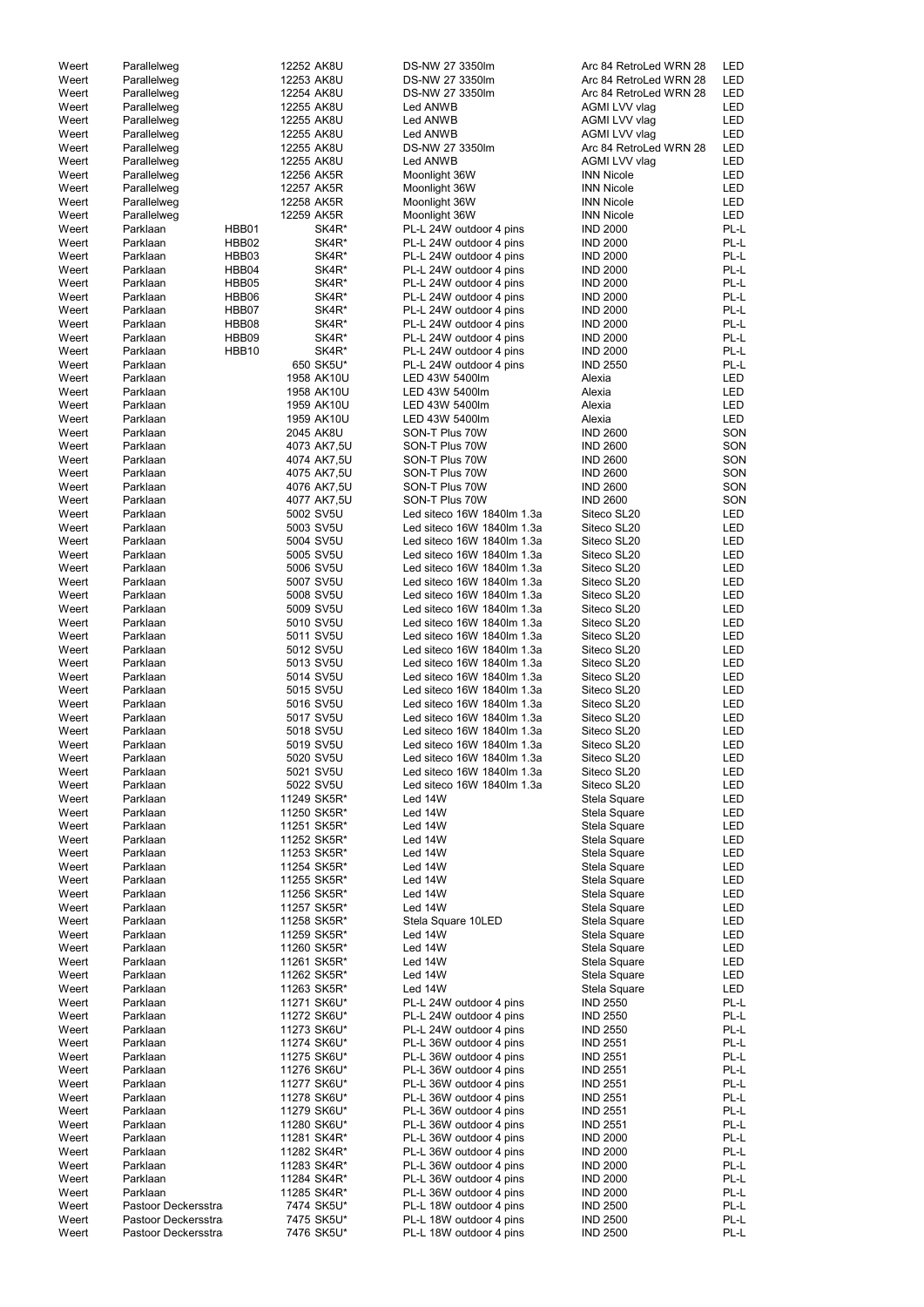| Weert | Parallelweg         |       | 12252 AK8U  | DS-NW 27 3350lm            | Arc 84 RetroLed WRN 28 | LED        |
|-------|---------------------|-------|-------------|----------------------------|------------------------|------------|
| Weert | Parallelweg         |       | 12253 AK8U  | DS-NW 27 3350lm            | Arc 84 RetroLed WRN 28 | LED        |
| Weert | Parallelweg         |       | 12254 AK8U  | DS-NW 27 3350lm            | Arc 84 RetroLed WRN 28 | LED        |
| Weert | Parallelweg         |       | 12255 AK8U  | Led ANWB                   | AGMI LVV vlag          | LED        |
|       |                     |       |             |                            |                        |            |
| Weert | Parallelweg         |       | 12255 AK8U  | Led ANWB                   | AGMI LVV vlag          | LED        |
| Weert | Parallelweg         |       | 12255 AK8U  | Led ANWB                   | AGMI LVV vlag          | LED        |
| Weert | Parallelweg         |       | 12255 AK8U  | DS-NW 27 3350lm            | Arc 84 RetroLed WRN 28 | LED        |
| Weert | Parallelweg         |       | 12255 AK8U  | Led ANWB                   | AGMI LVV vlag          | LED        |
| Weert | Parallelweg         |       | 12256 AK5R  | Moonlight 36W              | <b>INN Nicole</b>      | LED        |
|       |                     |       |             |                            |                        |            |
| Weert | Parallelweg         |       | 12257 AK5R  | Moonlight 36W              | <b>INN Nicole</b>      | LED        |
| Weert | Parallelweg         |       | 12258 AK5R  | Moonlight 36W              | <b>INN Nicole</b>      | LED        |
| Weert | Parallelweg         |       | 12259 AK5R  | Moonlight 36W              | <b>INN Nicole</b>      | LED        |
| Weert | Parklaan            | HBB01 | SK4R*       | PL-L 24W outdoor 4 pins    | <b>IND 2000</b>        | PL-L       |
| Weert | Parklaan            | HBB02 | SK4R*       | PL-L 24W outdoor 4 pins    | <b>IND 2000</b>        | PL-L       |
|       |                     |       |             |                            |                        |            |
| Weert | Parklaan            | HBB03 | SK4R*       | PL-L 24W outdoor 4 pins    | <b>IND 2000</b>        | PL-L       |
| Weert | Parklaan            | HBB04 | SK4R*       | PL-L 24W outdoor 4 pins    | <b>IND 2000</b>        | PL-L       |
| Weert | Parklaan            | HBB05 | SK4R*       | PL-L 24W outdoor 4 pins    | <b>IND 2000</b>        | PL-L       |
| Weert | Parklaan            | HBB06 | SK4R*       | PL-L 24W outdoor 4 pins    | <b>IND 2000</b>        | PL-L       |
| Weert | Parklaan            | HBB07 | SK4R*       | PL-L 24W outdoor 4 pins    | <b>IND 2000</b>        | PL-L       |
| Weert | Parklaan            | HBB08 | SK4R*       | PL-L 24W outdoor 4 pins    | <b>IND 2000</b>        | PL-L       |
|       |                     |       |             |                            |                        |            |
| Weert | Parklaan            | HBB09 | SK4R*       | PL-L 24W outdoor 4 pins    | <b>IND 2000</b>        | PL-L       |
| Weert | Parklaan            | HBB10 | SK4R*       | PL-L 24W outdoor 4 pins    | <b>IND 2000</b>        | PL-L       |
| Weert | Parklaan            |       | 650 SK5U*   | PL-L 24W outdoor 4 pins    | <b>IND 2550</b>        | PL-L       |
| Weert | Parklaan            |       | 1958 AK10U  | LED 43W 5400lm             | Alexia                 | LED        |
| Weert | Parklaan            |       | 1958 AK10U  | LED 43W 5400lm             | Alexia                 | LED        |
|       | Parklaan            |       | 1959 AK10U  | LED 43W 5400lm             | Alexia                 | LED        |
| Weert |                     |       |             |                            |                        |            |
| Weert | Parklaan            |       | 1959 AK10U  | LED 43W 5400lm             | Alexia                 | <b>LED</b> |
| Weert | Parklaan            |       | 2045 AK8U   | SON-T Plus 70W             | <b>IND 2600</b>        | SON        |
| Weert | Parklaan            |       | 4073 AK7,5U | SON-T Plus 70W             | <b>IND 2600</b>        | SON        |
| Weert | Parklaan            |       | 4074 AK7,5U | SON-T Plus 70W             | <b>IND 2600</b>        | SON        |
| Weert | Parklaan            |       | 4075 AK7,5U | SON-T Plus 70W             | <b>IND 2600</b>        | SON        |
|       |                     |       |             |                            |                        |            |
| Weert | Parklaan            |       | 4076 AK7,5U | SON-T Plus 70W             | <b>IND 2600</b>        | SON        |
| Weert | Parklaan            |       | 4077 AK7,5U | SON-T Plus 70W             | <b>IND 2600</b>        | SON        |
| Weert | Parklaan            |       | 5002 SV5U   | Led siteco 16W 1840lm 1.3a | Siteco SL20            | LED        |
| Weert | Parklaan            |       | 5003 SV5U   | Led siteco 16W 1840lm 1.3a | Siteco SL20            | LED        |
| Weert | Parklaan            |       | 5004 SV5U   | Led siteco 16W 1840lm 1.3a | Siteco SL20            | LED        |
|       |                     |       |             |                            |                        |            |
| Weert | Parklaan            |       | 5005 SV5U   | Led siteco 16W 1840lm 1.3a | Siteco SL20            | LED        |
| Weert | Parklaan            |       | 5006 SV5U   | Led siteco 16W 1840lm 1.3a | Siteco SL20            | LED        |
| Weert | Parklaan            |       | 5007 SV5U   | Led siteco 16W 1840lm 1.3a | Siteco SL20            | LED        |
| Weert | Parklaan            |       | 5008 SV5U   | Led siteco 16W 1840lm 1.3a | Siteco SL20            | LED        |
| Weert | Parklaan            |       | 5009 SV5U   | Led siteco 16W 1840lm 1.3a | Siteco SL20            | LED        |
| Weert | Parklaan            |       | 5010 SV5U   | Led siteco 16W 1840lm 1.3a | Siteco SL20            | LED        |
| Weert | Parklaan            |       | 5011 SV5U   | Led siteco 16W 1840lm 1.3a | Siteco SL20            | LED        |
|       |                     |       |             |                            |                        | LED        |
| Weert | Parklaan            |       | 5012 SV5U   | Led siteco 16W 1840lm 1.3a | Siteco SL20            |            |
| Weert | Parklaan            |       | 5013 SV5U   | Led siteco 16W 1840lm 1.3a | Siteco SL20            | LED        |
| Weert | Parklaan            |       | 5014 SV5U   | Led siteco 16W 1840lm 1.3a | Siteco SL20            | LED        |
| Weert | Parklaan            |       | 5015 SV5U   | Led siteco 16W 1840lm 1.3a | Siteco SL20            | LED        |
| Weert | Parklaan            |       | 5016 SV5U   | Led siteco 16W 1840lm 1.3a | Siteco SL20            | LED        |
| Weert | Parklaan            |       | 5017 SV5U   | Led siteco 16W 1840lm 1.3a | Siteco SL20            | LED        |
| Weert | Parklaan            |       | 5018 SV5U   | Led siteco 16W 1840lm 1.3a | Siteco SL20            | LED        |
|       |                     |       |             |                            |                        |            |
| Weert | Parklaan            |       | 5019 SV5U   | Led siteco 16W 1840lm 1.3a | Siteco SL20            | LED        |
| Weert | Parklaan            |       | 5020 SV5U   | Led siteco 16W 1840lm 1.3a | Siteco SL20            | LED        |
| Weert | Parklaan            |       | 5021 SV5U   | Led siteco 16W 1840lm 1.3a | Siteco SL20            | LED        |
| Weert | Parklaan            |       | 5022 SV5U   | Led siteco 16W 1840lm 1.3a | Siteco SL20            | LED        |
| Weert | Parklaan            |       | 11249 SK5R* | Led 14W                    | Stela Square           | LED        |
| Weert | Parklaan            |       | 11250 SK5R* | Led 14W                    | Stela Square           | LED        |
| Weert | Parklaan            |       | 11251 SK5R* | Led 14W                    |                        | LED        |
|       |                     |       |             |                            | Stela Square           |            |
| Weert | Parklaan            |       | 11252 SK5R* | Led 14W                    | Stela Square           | LED        |
| Weert | Parklaan            |       | 11253 SK5R* | Led 14W                    | Stela Square           | LED        |
| Weert | Parklaan            |       | 11254 SK5R* | Led 14W                    | Stela Square           | LED        |
| Weert | Parklaan            |       | 11255 SK5R* | Led 14W                    | Stela Square           | LED        |
| Weert | Parklaan            |       | 11256 SK5R* | Led 14W                    | Stela Square           | LED        |
| Weert | Parklaan            |       | 11257 SK5R* | Led 14W                    | Stela Square           | LED        |
|       |                     |       |             |                            |                        |            |
| Weert | Parklaan            |       | 11258 SK5R* | Stela Square 10LED         | Stela Square           | LED        |
| Weert | Parklaan            |       | 11259 SK5R* | Led 14W                    | Stela Square           | LED        |
| Weert | Parklaan            |       | 11260 SK5R* | Led 14W                    | Stela Square           | LED        |
| Weert | Parklaan            |       | 11261 SK5R* | Led 14W                    | Stela Square           | LED        |
| Weert | Parklaan            |       | 11262 SK5R* | Led 14W                    | Stela Square           | LED        |
| Weert | Parklaan            |       | 11263 SK5R* | Led 14W                    |                        | <b>LED</b> |
|       |                     |       |             |                            | Stela Square           |            |
| Weert | Parklaan            |       | 11271 SK6U* | PL-L 24W outdoor 4 pins    | <b>IND 2550</b>        | PL-L       |
| Weert | Parklaan            |       | 11272 SK6U* | PL-L 24W outdoor 4 pins    | <b>IND 2550</b>        | PL-L       |
| Weert | Parklaan            |       | 11273 SK6U* | PL-L 24W outdoor 4 pins    | <b>IND 2550</b>        | PL-L       |
| Weert | Parklaan            |       | 11274 SK6U* | PL-L 36W outdoor 4 pins    | <b>IND 2551</b>        | PL-L       |
| Weert | Parklaan            |       | 11275 SK6U* | PL-L 36W outdoor 4 pins    | <b>IND 2551</b>        | PL-L       |
| Weert | Parklaan            |       | 11276 SK6U* | PL-L 36W outdoor 4 pins    | <b>IND 2551</b>        | PL-L       |
| Weert | Parklaan            |       | 11277 SK6U* |                            | <b>IND 2551</b>        | PL-L       |
|       |                     |       |             | PL-L 36W outdoor 4 pins    |                        |            |
| Weert | Parklaan            |       | 11278 SK6U* | PL-L 36W outdoor 4 pins    | <b>IND 2551</b>        | PL-L       |
| Weert | Parklaan            |       | 11279 SK6U* | PL-L 36W outdoor 4 pins    | <b>IND 2551</b>        | PL-L       |
| Weert | Parklaan            |       | 11280 SK6U* | PL-L 36W outdoor 4 pins    | <b>IND 2551</b>        | PL-L       |
| Weert | Parklaan            |       | 11281 SK4R* | PL-L 36W outdoor 4 pins    | <b>IND 2000</b>        | PL-L       |
| Weert | Parklaan            |       | 11282 SK4R* | PL-L 36W outdoor 4 pins    | <b>IND 2000</b>        | PL-L       |
| Weert | Parklaan            |       | 11283 SK4R* | PL-L 36W outdoor 4 pins    | <b>IND 2000</b>        | PL-L       |
|       |                     |       |             | PL-L 36W outdoor 4 pins    |                        |            |
| Weert | Parklaan            |       | 11284 SK4R* |                            | <b>IND 2000</b>        | PL-L       |
| Weert | Parklaan            |       | 11285 SK4R* | PL-L 36W outdoor 4 pins    | <b>IND 2000</b>        | PL-L       |
| Weert | Pastoor Deckersstra |       | 7474 SK5U*  | PL-L 18W outdoor 4 pins    | <b>IND 2500</b>        | PL-L       |
| Weert | Pastoor Deckersstra |       | 7475 SK5U*  | PL-L 18W outdoor 4 pins    | <b>IND 2500</b>        | PL-L       |
| Weert | Pastoor Deckersstra |       | 7476 SK5U*  | PL-L 18W outdoor 4 pins    | <b>IND 2500</b>        | PL-L       |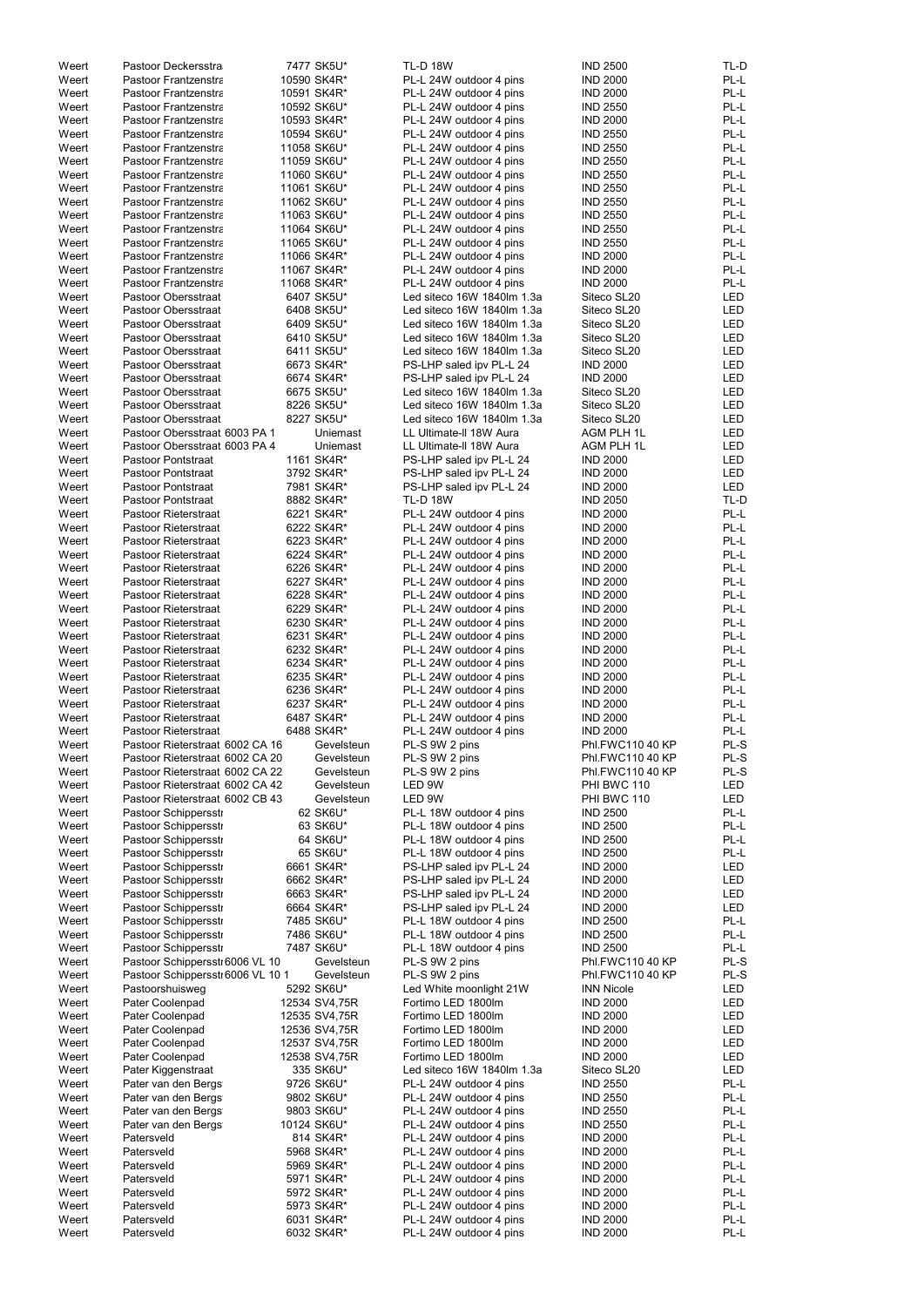| Weert          | Pastoor Deckersstra               | 7477 SK5U*               | <b>TL-D 18W</b>                                    | <b>IND 2500</b>                    | TL-D         |
|----------------|-----------------------------------|--------------------------|----------------------------------------------------|------------------------------------|--------------|
| Weert          | Pastoor Frantzenstra              | 10590 SK4R*              | PL-L 24W outdoor 4 pins                            | <b>IND 2000</b>                    | PL-L         |
|                |                                   | 10591 SK4R*              | PL-L 24W outdoor 4 pins                            |                                    | PL-L         |
| Weert          | <b>Pastoor Frantzenstra</b>       |                          |                                                    | <b>IND 2000</b>                    |              |
| Weert          | Pastoor Frantzenstra              | 10592 SK6U*              | PL-L 24W outdoor 4 pins                            | <b>IND 2550</b>                    | PL-L         |
| Weert          | <b>Pastoor Frantzenstra</b>       | 10593 SK4R*              | PL-L 24W outdoor 4 pins                            | <b>IND 2000</b>                    | PL-L         |
| Weert          | <b>Pastoor Frantzenstra</b>       | 10594 SK6U*              | PL-L 24W outdoor 4 pins                            | <b>IND 2550</b>                    | PL-L         |
|                |                                   |                          |                                                    |                                    |              |
| Weert          | <b>Pastoor Frantzenstra</b>       | 11058 SK6U*              | PL-L 24W outdoor 4 pins                            | <b>IND 2550</b>                    | PL-L         |
| Weert          | <b>Pastoor Frantzenstra</b>       | 11059 SK6U*              | PL-L 24W outdoor 4 pins                            | <b>IND 2550</b>                    | PL-L         |
| Weert          | Pastoor Frantzenstra              | 11060 SK6U*              | PL-L 24W outdoor 4 pins                            | <b>IND 2550</b>                    | PL-L         |
| Weert          | Pastoor Frantzenstra              | 11061 SK6U*              | PL-L 24W outdoor 4 pins                            | <b>IND 2550</b>                    | PL-L         |
|                |                                   |                          |                                                    |                                    |              |
| Weert          | <b>Pastoor Frantzenstra</b>       | 11062 SK6U*              | PL-L 24W outdoor 4 pins                            | <b>IND 2550</b>                    | PL-L         |
| Weert          | <b>Pastoor Frantzenstra</b>       | 11063 SK6U*              | PL-L 24W outdoor 4 pins                            | <b>IND 2550</b>                    | PL-L         |
| Weert          | <b>Pastoor Frantzenstra</b>       | 11064 SK6U*              | PL-L 24W outdoor 4 pins                            | <b>IND 2550</b>                    | PL-L         |
|                |                                   |                          |                                                    |                                    |              |
| Weert          | Pastoor Frantzenstra              | 11065 SK6U*              | PL-L 24W outdoor 4 pins                            | <b>IND 2550</b>                    | PL-L         |
| Weert          | Pastoor Frantzenstra              | 11066 SK4R*              | PL-L 24W outdoor 4 pins                            | <b>IND 2000</b>                    | PL-L         |
| Weert          | Pastoor Frantzenstra              | 11067 SK4R*              | PL-L 24W outdoor 4 pins                            | <b>IND 2000</b>                    | PL-L         |
|                |                                   |                          |                                                    |                                    |              |
| Weert          | Pastoor Frantzenstra              | 11068 SK4R*              | PL-L 24W outdoor 4 pins                            | <b>IND 2000</b>                    | PL-L         |
| Weert          | Pastoor Obersstraat               | 6407 SK5U*               | Led siteco 16W 1840lm 1.3a                         | Siteco SL20                        | <b>LED</b>   |
| Weert          | Pastoor Obersstraat               | 6408 SK5U*               | Led siteco 16W 1840lm 1.3a                         | Siteco SL20                        | <b>LED</b>   |
| Weert          | Pastoor Obersstraat               | 6409 SK5U*               | Led siteco 16W 1840lm 1.3a                         | Siteco SL20                        | <b>LED</b>   |
|                |                                   |                          |                                                    |                                    |              |
| Weert          | Pastoor Obersstraat               | 6410 SK5U*               | Led siteco 16W 1840lm 1.3a                         | Siteco SL20                        | <b>LED</b>   |
| Weert          | <b>Pastoor Obersstraat</b>        | 6411 SK5U*               | Led siteco 16W 1840lm 1.3a                         | Siteco SL20                        | <b>LED</b>   |
| Weert          | Pastoor Obersstraat               | 6673 SK4R*               | PS-LHP saled ipv PL-L 24                           | <b>IND 2000</b>                    | <b>LED</b>   |
|                |                                   |                          |                                                    |                                    |              |
| Weert          | Pastoor Obersstraat               | 6674 SK4R*               | PS-LHP saled ipv PL-L 24                           | <b>IND 2000</b>                    | <b>LED</b>   |
| Weert          | <b>Pastoor Obersstraat</b>        | 6675 SK5U*               | Led siteco 16W 1840lm 1.3a                         | Siteco SL20                        | <b>LED</b>   |
| Weert          | <b>Pastoor Obersstraat</b>        | 8226 SK5U*               | Led siteco 16W 1840lm 1.3a                         | Siteco SL20                        | <b>LED</b>   |
| Weert          | Pastoor Obersstraat               | 8227 SK5U*               | Led siteco 16W 1840lm 1.3a                         | Siteco SL20                        | <b>LED</b>   |
|                |                                   |                          |                                                    |                                    |              |
| Weert          | Pastoor Obersstraat 6003 PA 1     | Uniemast                 | LL Ultimate-II 18W Aura                            | <b>AGM PLH 1L</b>                  | <b>LED</b>   |
| Weert          | Pastoor Obersstraat 6003 PA 4     | Uniemast                 | LL Ultimate-II 18W Aura                            | <b>AGM PLH 1L</b>                  | <b>LED</b>   |
| Weert          | Pastoor Pontstraat                | 1161 SK4R*               | PS-LHP saled ipv PL-L 24                           | <b>IND 2000</b>                    | LED          |
|                |                                   |                          |                                                    |                                    | <b>LED</b>   |
| Weert          | Pastoor Pontstraat                | 3792 SK4R*               | PS-LHP saled ipv PL-L 24                           | <b>IND 2000</b>                    |              |
| Weert          | Pastoor Pontstraat                | 7981 SK4R*               | PS-LHP saled ipv PL-L 24                           | <b>IND 2000</b>                    | <b>LED</b>   |
| Weert          | Pastoor Pontstraat                | 8882 SK4R*               | <b>TL-D 18W</b>                                    | <b>IND 2050</b>                    | TL-D         |
| Weert          | Pastoor Rieterstraat              | 6221 SK4R*               | PL-L 24W outdoor 4 pins                            | <b>IND 2000</b>                    | PL-L         |
|                |                                   |                          |                                                    |                                    |              |
| Weert          | Pastoor Rieterstraat              | 6222 SK4R*               | PL-L 24W outdoor 4 pins                            | <b>IND 2000</b>                    | PL-L         |
| Weert          | Pastoor Rieterstraat              | 6223 SK4R*               | PL-L 24W outdoor 4 pins                            | <b>IND 2000</b>                    | PL-L         |
| Weert          | Pastoor Rieterstraat              | 6224 SK4R*               | PL-L 24W outdoor 4 pins                            | <b>IND 2000</b>                    | PL-L         |
|                |                                   | 6226 SK4R*               |                                                    |                                    | PL-L         |
| Weert          | Pastoor Rieterstraat              |                          | PL-L 24W outdoor 4 pins                            | <b>IND 2000</b>                    |              |
| Weert          | Pastoor Rieterstraat              | 6227 SK4R*               | PL-L 24W outdoor 4 pins                            | <b>IND 2000</b>                    | PL-L         |
| Weert          | Pastoor Rieterstraat              | 6228 SK4R*               | PL-L 24W outdoor 4 pins                            | <b>IND 2000</b>                    | PL-L         |
| Weert          | Pastoor Rieterstraat              | 6229 SK4R*               | PL-L 24W outdoor 4 pins                            | <b>IND 2000</b>                    | PL-L         |
|                |                                   |                          |                                                    |                                    |              |
| Weert          | Pastoor Rieterstraat              | 6230 SK4R*               | PL-L 24W outdoor 4 pins                            | <b>IND 2000</b>                    | PL-L         |
| Weert          | Pastoor Rieterstraat              | 6231 SK4R*               | PL-L 24W outdoor 4 pins                            | <b>IND 2000</b>                    | PL-L         |
| Weert          | Pastoor Rieterstraat              | 6232 SK4R*               | PL-L 24W outdoor 4 pins                            | <b>IND 2000</b>                    | PL-L         |
|                |                                   |                          |                                                    |                                    |              |
| Weert          | Pastoor Rieterstraat              | 6234 SK4R*               | PL-L 24W outdoor 4 pins                            | <b>IND 2000</b>                    | PL-L         |
| Weert          | Pastoor Rieterstraat              | 6235 SK4R*               | PL-L 24W outdoor 4 pins                            | <b>IND 2000</b>                    | PL-L         |
| Weert          | Pastoor Rieterstraat              | 6236 SK4R*               | PL-L 24W outdoor 4 pins                            | <b>IND 2000</b>                    | PL-L         |
|                |                                   |                          |                                                    |                                    |              |
| Weert          | Pastoor Rieterstraat              | 6237 SK4R*               | PL-L 24W outdoor 4 pins                            | <b>IND 2000</b>                    | PL-L         |
| Weert          | Pastoor Rieterstraat              | 6487 SK4R*               | PL-L 24W outdoor 4 pins                            | <b>IND 2000</b>                    | PL-L         |
| Weert          | Pastoor Rieterstraat              | 6488 SK4R*               | PL-L 24W outdoor 4 pins                            | <b>IND 2000</b>                    | PL-L         |
|                | Pastoor Rieterstraat 6002 CA 16   |                          |                                                    | Phl.FWC110 40 KP                   | PL-S         |
| Weert          |                                   | Gevelsteun               | PL-S 9W 2 pins                                     |                                    |              |
| Weert          | Pastoor Rieterstraat 6002 CA 20   | Gevelsteun               | PL-S 9W 2 pins                                     | Phl.FWC110 40 KP                   | PL-S         |
| Weert          | Pastoor Rieterstraat 6002 CA 22   | Gevelsteun               | PL-S 9W 2 pins                                     | Phl.FWC110 40 KP                   | PL-S         |
| Weert          | Pastoor Rieterstraat 6002 CA 42   | Gevelsteun               | LED 9W                                             | PHI BWC 110                        | <b>LED</b>   |
|                |                                   |                          |                                                    |                                    |              |
| Weert          | Pastoor Rieterstraat 6002 CB 43   | Gevelsteun               | LED 9W                                             | PHI BWC 110                        | <b>LED</b>   |
| Weert          | Pastoor Schipperssti              | 62 SK6U*                 | PL-L 18W outdoor 4 pins                            | <b>IND 2500</b>                    | PL-L         |
| Weert          | Pastoor Schipperssti              | 63 SK6U*                 | PL-L 18W outdoor 4 pins                            | <b>IND 2500</b>                    | PL-L         |
| Weert          | Pastoor Schipperssti              | 64 SK6U*                 | PL-L 18W outdoor 4 pins                            | <b>IND 2500</b>                    | PL-L         |
|                |                                   |                          |                                                    |                                    |              |
| Weert          | Pastoor Schipperssti              | 65 SK6U*                 | PL-L 18W outdoor 4 pins                            | <b>IND 2500</b>                    | PL-L         |
| Weert          | Pastoor Schipperssti              | 6661 SK4R*               | PS-LHP saled ipv PL-L 24                           | <b>IND 2000</b>                    | <b>LED</b>   |
| Weert          | Pastoor Schipperssti              | 6662 SK4R*               | PS-LHP saled ipv PL-L 24                           | <b>IND 2000</b>                    | <b>LED</b>   |
|                |                                   |                          |                                                    |                                    |              |
| Weert          | Pastoor Schipperssti              | 6663 SK4R*               | PS-LHP saled ipv PL-L 24                           | <b>IND 2000</b>                    | <b>LED</b>   |
| Weert          | Pastoor Schipperssti              | 6664 SK4R*               | PS-LHP saled ipv PL-L 24                           | <b>IND 2000</b>                    | <b>LED</b>   |
| Weert          | Pastoor Schipperssti              | 7485 SK6U*               | PL-L 18W outdoor 4 pins                            | <b>IND 2500</b>                    | PL-L         |
| Weert          | Pastoor Schipperssti              | 7486 SK6U*               | PL-L 18W outdoor 4 pins                            | <b>IND 2500</b>                    | PL-L         |
|                |                                   |                          |                                                    |                                    |              |
| Weert          | Pastoor Schipperssti              | 7487 SK6U*               | PL-L 18W outdoor 4 pins                            | <b>IND 2500</b>                    | PL-L         |
| Weert          | Pastoor Schippersstr 6006 VL 10   | Gevelsteun               | PL-S 9W 2 pins                                     | Phl.FWC110 40 KP                   | PL-S         |
| Weert          | Pastoor Schippersstr 6006 VL 10 1 | Gevelsteun               | PL-S 9W 2 pins                                     | Phl.FWC110 40 KP                   | PL-S         |
|                |                                   |                          |                                                    |                                    |              |
| Weert          | Pastoorshuisweg                   | 5292 SK6U*               | Led White moonlight 21W                            | <b>INN Nicole</b>                  | <b>LED</b>   |
| Weert          | Pater Coolenpad                   | 12534 SV4,75R            | Fortimo LED 1800lm                                 | <b>IND 2000</b>                    | <b>LED</b>   |
| Weert          | Pater Coolenpad                   | 12535 SV4,75R            | Fortimo LED 1800lm                                 | <b>IND 2000</b>                    | LED          |
|                |                                   |                          |                                                    |                                    |              |
| Weert          | Pater Coolenpad                   | 12536 SV4,75R            | Fortimo LED 1800lm                                 | <b>IND 2000</b>                    | <b>LED</b>   |
| Weert          | Pater Coolenpad                   | 12537 SV4,75R            | Fortimo LED 1800lm                                 | <b>IND 2000</b>                    | <b>LED</b>   |
| Weert          | Pater Coolenpad                   | 12538 SV4,75R            | Fortimo LED 1800lm                                 | <b>IND 2000</b>                    | LED          |
| Weert          |                                   | 335 SK6U*                | Led siteco 16W 1840lm 1.3a                         |                                    | LED          |
|                | Pater Kiggenstraat                |                          |                                                    | Siteco SL20                        |              |
| Weert          | Pater van den Bergs               | 9726 SK6U*               | PL-L 24W outdoor 4 pins                            | <b>IND 2550</b>                    | PL-L         |
| Weert          | Pater van den Bergs               | 9802 SK6U*               | PL-L 24W outdoor 4 pins                            | <b>IND 2550</b>                    | PL-L         |
| Weert          | Pater van den Bergs               | 9803 SK6U*               | PL-L 24W outdoor 4 pins                            | <b>IND 2550</b>                    | PL-L         |
|                |                                   |                          |                                                    |                                    |              |
| Weert          | Pater van den Bergs               | 10124 SK6U*              | PL-L 24W outdoor 4 pins                            | <b>IND 2550</b>                    | PL-L         |
| Weert          | Patersveld                        | 814 SK4R*                | PL-L 24W outdoor 4 pins                            | <b>IND 2000</b>                    | PL-L         |
| Weert          | Patersveld                        | 5968 SK4R*               | PL-L 24W outdoor 4 pins                            | <b>IND 2000</b>                    | PL-L         |
|                |                                   |                          |                                                    |                                    |              |
| Weert          | Patersveld                        | 5969 SK4R*               | PL-L 24W outdoor 4 pins                            | <b>IND 2000</b>                    | PL-L         |
| Weert          | Patersveld                        | 5971 SK4R*               | PL-L 24W outdoor 4 pins                            | <b>IND 2000</b>                    | PL-L         |
|                |                                   |                          |                                                    |                                    |              |
|                |                                   |                          |                                                    |                                    |              |
| Weert          | Patersveld                        | 5972 SK4R*               | PL-L 24W outdoor 4 pins                            | <b>IND 2000</b>                    | PL-L         |
| Weert          | Patersveld                        | 5973 SK4R*               | PL-L 24W outdoor 4 pins                            | <b>IND 2000</b>                    | PL-L         |
| Weert<br>Weert | Patersveld<br>Patersveld          | 6031 SK4R*<br>6032 SK4R* | PL-L 24W outdoor 4 pins<br>PL-L 24W outdoor 4 pins | <b>IND 2000</b><br><b>IND 2000</b> | PL-L<br>PL-L |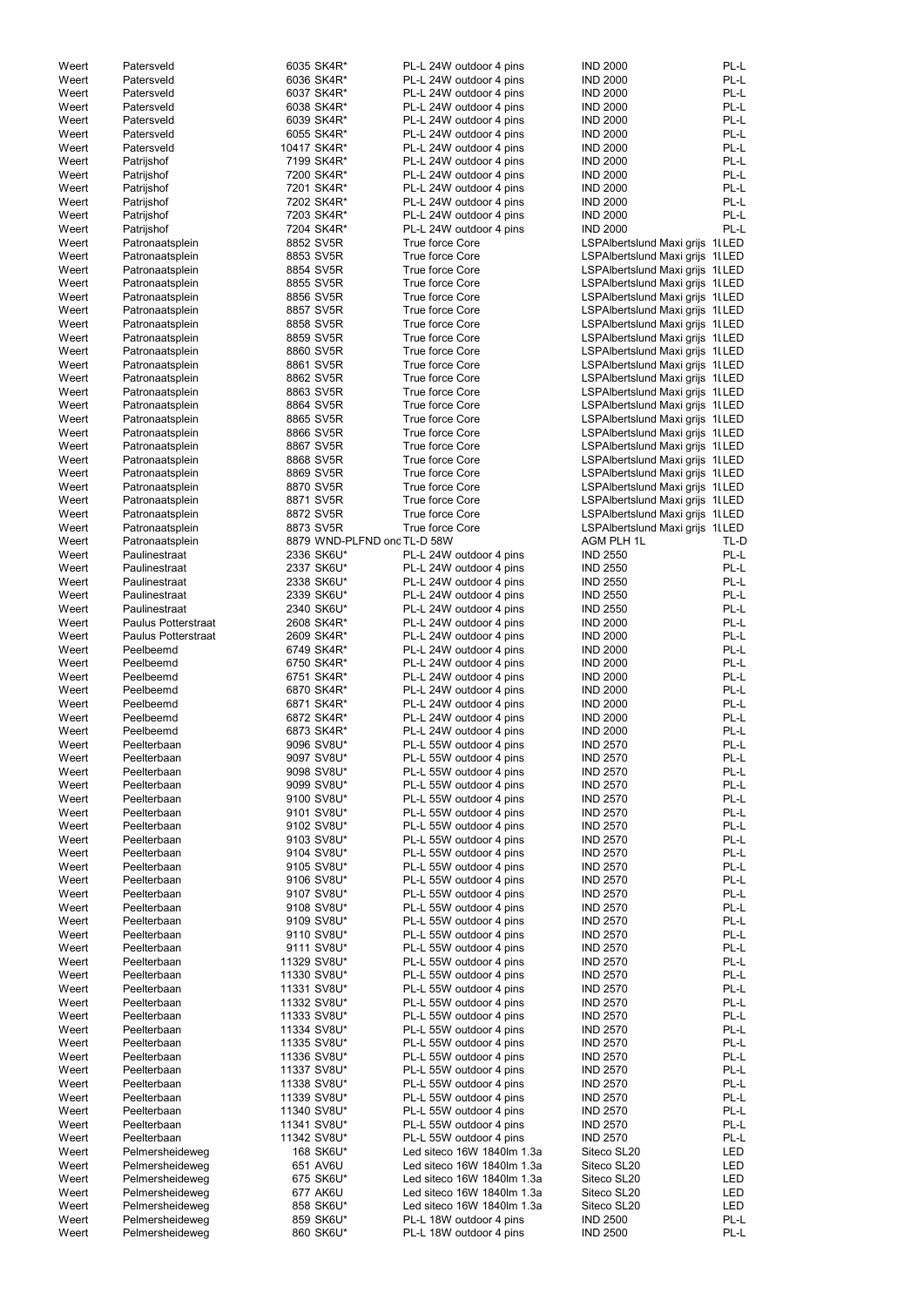| Weert | Patersveld          | 6035 SK4R*                  | PL-L 24W outdoor 4 pins    | <b>IND 2000</b>                  | PL-L |
|-------|---------------------|-----------------------------|----------------------------|----------------------------------|------|
| Weert | Patersveld          | 6036 SK4R*                  | PL-L 24W outdoor 4 pins    | <b>IND 2000</b>                  | PL-L |
| Weert | Patersveld          | 6037 SK4R*                  | PL-L 24W outdoor 4 pins    | <b>IND 2000</b>                  | PL-L |
| Weert | Patersveld          | 6038 SK4R*                  | PL-L 24W outdoor 4 pins    | <b>IND 2000</b>                  | PL-L |
|       |                     |                             |                            |                                  |      |
| Weert | Patersveld          | 6039 SK4R*                  | PL-L 24W outdoor 4 pins    | <b>IND 2000</b>                  | PL-L |
| Weert | Patersveld          | 6055 SK4R*                  | PL-L 24W outdoor 4 pins    | <b>IND 2000</b>                  | PL-L |
| Weert | Patersveld          | 10417 SK4R*                 | PL-L 24W outdoor 4 pins    | <b>IND 2000</b>                  | PL-L |
|       |                     |                             |                            |                                  | PL-L |
| Weert | Patrijshof          | 7199 SK4R*                  | PL-L 24W outdoor 4 pins    | <b>IND 2000</b>                  |      |
| Weert | Patrijshof          | 7200 SK4R*                  | PL-L 24W outdoor 4 pins    | <b>IND 2000</b>                  | PL-L |
| Weert | Patrijshof          | 7201 SK4R*                  | PL-L 24W outdoor 4 pins    | <b>IND 2000</b>                  | PL-L |
| Weert | Patrijshof          | 7202 SK4R*                  | PL-L 24W outdoor 4 pins    | <b>IND 2000</b>                  | PL-L |
|       |                     |                             |                            |                                  |      |
| Weert | Patrijshof          | 7203 SK4R*                  | PL-L 24W outdoor 4 pins    | <b>IND 2000</b>                  | PL-L |
| Weert | Patrijshof          | 7204 SK4R*                  | PL-L 24W outdoor 4 pins    | <b>IND 2000</b>                  | PL-L |
| Weert | Patronaatsplein     | 8852 SV5R                   | True force Core            | LSPAlbertslund Maxi grijs 1ILED  |      |
|       |                     | 8853 SV5R                   | True force Core            |                                  |      |
| Weert | Patronaatsplein     |                             |                            | LSPAlbertslund Maxi grijs 1I LED |      |
| Weert | Patronaatsplein     | 8854 SV5R                   | True force Core            | LSPAlbertslund Maxi grijs 1I LED |      |
| Weert | Patronaatsplein     | 8855 SV5R                   | True force Core            | LSPAlbertslund Maxi grijs 1I LED |      |
| Weert | Patronaatsplein     | 8856 SV5R                   | True force Core            | LSPAlbertslund Maxi grijs 1ILED  |      |
|       |                     |                             |                            |                                  |      |
| Weert | Patronaatsplein     | 8857 SV5R                   | True force Core            | LSPAlbertslund Maxi grijs 1I LED |      |
| Weert | Patronaatsplein     | 8858 SV5R                   | True force Core            | LSPAlbertslund Maxi grijs 1ILED  |      |
| Weert | Patronaatsplein     | 8859 SV5R                   | True force Core            | LSPAlbertslund Maxi grijs 1ILED  |      |
|       |                     |                             |                            |                                  |      |
| Weert | Patronaatsplein     | 8860 SV5R                   | True force Core            | LSPAlbertslund Maxi grijs 1ILED  |      |
| Weert | Patronaatsplein     | 8861 SV5R                   | True force Core            | LSPAlbertslund Maxi grijs 1ILED  |      |
| Weert | Patronaatsplein     | 8862 SV5R                   | True force Core            | LSPAlbertslund Maxi grijs 1ILED  |      |
| Weert |                     | 8863 SV5R                   | True force Core            |                                  |      |
|       | Patronaatsplein     |                             |                            | LSPAlbertslund Maxi grijs 1ILED  |      |
| Weert | Patronaatsplein     | 8864 SV5R                   | True force Core            | LSPAlbertslund Maxi grijs 1I LED |      |
| Weert | Patronaatsplein     | 8865 SV5R                   | True force Core            | LSPAlbertslund Maxi grijs 1l LED |      |
| Weert |                     | 8866 SV5R                   | True force Core            | LSPAlbertslund Maxi grijs 1l LED |      |
|       | Patronaatsplein     |                             |                            |                                  |      |
| Weert | Patronaatsplein     | 8867 SV5R                   | True force Core            | LSPAlbertslund Maxi grijs 1ILED  |      |
| Weert | Patronaatsplein     | 8868 SV5R                   | True force Core            | LSPAlbertslund Maxi grijs 1ILED  |      |
| Weert | Patronaatsplein     | 8869 SV5R                   | True force Core            | LSPAlbertslund Maxi grijs 1ILED  |      |
|       |                     |                             |                            |                                  |      |
| Weert | Patronaatsplein     | 8870 SV5R                   | True force Core            | LSPAlbertslund Maxi grijs 1ILED  |      |
| Weert | Patronaatsplein     | 8871 SV5R                   | True force Core            | LSPAlbertslund Maxi grijs 1ILED  |      |
| Weert | Patronaatsplein     | 8872 SV5R                   | True force Core            | LSPAlbertslund Maxi grijs 1I LED |      |
|       |                     | 8873 SV5R                   |                            |                                  |      |
| Weert | Patronaatsplein     |                             | True force Core            | LSPAlbertslund Maxi grijs 1ILED  |      |
| Weert | Patronaatsplein     | 8879 WND-PLFND ond TL-D 58W |                            | AGM PLH 1L                       | TL-D |
| Weert | Paulinestraat       | 2336 SK6U*                  | PL-L 24W outdoor 4 pins    | <b>IND 2550</b>                  | PL-L |
| Weert | Paulinestraat       | 2337 SK6U*                  | PL-L 24W outdoor 4 pins    | <b>IND 2550</b>                  | PL-L |
|       |                     |                             |                            |                                  |      |
| Weert | Paulinestraat       | 2338 SK6U*                  | PL-L 24W outdoor 4 pins    | <b>IND 2550</b>                  | PL-L |
| Weert | Paulinestraat       | 2339 SK6U*                  | PL-L 24W outdoor 4 pins    | <b>IND 2550</b>                  | PL-L |
| Weert | Paulinestraat       | 2340 SK6U*                  | PL-L 24W outdoor 4 pins    | <b>IND 2550</b>                  | PL-L |
|       | Paulus Potterstraat |                             |                            |                                  |      |
| Weert |                     | 2608 SK4R*                  | PL-L 24W outdoor 4 pins    | <b>IND 2000</b>                  | PL-L |
| Weert | Paulus Potterstraat | 2609 SK4R*                  | PL-L 24W outdoor 4 pins    | <b>IND 2000</b>                  | PL-L |
| Weert | Peelbeemd           | 6749 SK4R*                  | PL-L 24W outdoor 4 pins    | <b>IND 2000</b>                  | PL-L |
|       |                     |                             |                            |                                  |      |
| Weert | Peelbeemd           | 6750 SK4R*                  | PL-L 24W outdoor 4 pins    | <b>IND 2000</b>                  | PL-L |
| Weert | Peelbeemd           | 6751 SK4R*                  | PL-L 24W outdoor 4 pins    | <b>IND 2000</b>                  | PL-L |
| Weert | Peelbeemd           | 6870 SK4R*                  | PL-L 24W outdoor 4 pins    | <b>IND 2000</b>                  | PL-L |
|       |                     |                             |                            |                                  |      |
| Weert | Peelbeemd           | 6871 SK4R*                  | PL-L 24W outdoor 4 pins    | <b>IND 2000</b>                  | PL-L |
| Weert | Peelbeemd           | 6872 SK4R*                  | PL-L 24W outdoor 4 pins    | <b>IND 2000</b>                  | PL-L |
| Weert | Peelbeemd           | 6873 SK4R*                  | PL-L 24W outdoor 4 pins    | <b>IND 2000</b>                  | PL-L |
|       |                     |                             |                            |                                  |      |
| Weert | Peelterbaan         | 9096 SV8U*                  | PL-L 55W outdoor 4 pins    | <b>IND 2570</b>                  | PL-L |
| Weert | Peelterbaan         | 9097 SV8U*                  | PL-L 55W outdoor 4 pins    | <b>IND 2570</b>                  | PL-L |
| Weert | Peelterbaan         | 9098 SV8U*                  | PL-L 55W outdoor 4 pins    | <b>IND 2570</b>                  | PL-L |
|       |                     |                             |                            |                                  |      |
| Weert | Peelterbaan         | 9099 SV8U*                  | PL-L 55W outdoor 4 pins    | <b>IND 2570</b>                  | PL-L |
| Weert | Peelterbaan         | 9100 SV8U*                  | PL-L 55W outdoor 4 pins    | <b>IND 2570</b>                  | PL-L |
| Weert | Peelterbaan         | 9101 SV8U*                  | PL-L 55W outdoor 4 pins    | <b>IND 2570</b>                  | PL-L |
|       |                     |                             |                            |                                  |      |
| Weert | Peelterbaan         | 9102 SV8U*                  | PL-L 55W outdoor 4 pins    | <b>IND 2570</b>                  | PL-L |
| Weert | Peelterbaan         | 9103 SV8U*                  | PL-L 55W outdoor 4 pins    | <b>IND 2570</b>                  | PL-L |
| Weert | Peelterbaan         | 9104 SV8U*                  | PL-L 55W outdoor 4 pins    | <b>IND 2570</b>                  | PL-L |
|       |                     |                             |                            |                                  |      |
| Weert | Peelterbaan         | 9105 SV8U*                  | PL-L 55W outdoor 4 pins    | <b>IND 2570</b>                  | PL-L |
| Weert | Peelterbaan         | 9106 SV8U*                  | PL-L 55W outdoor 4 pins    | <b>IND 2570</b>                  | PL-L |
| Weert | Peelterbaan         | 9107 SV8U*                  | PL-L 55W outdoor 4 pins    | <b>IND 2570</b>                  | PL-L |
| Weert | Peelterbaan         | 9108 SV8U*                  | PL-L 55W outdoor 4 pins    | <b>IND 2570</b>                  | PL-L |
|       |                     |                             |                            |                                  |      |
| Weert | Peelterbaan         | 9109 SV8U*                  | PL-L 55W outdoor 4 pins    | <b>IND 2570</b>                  | PL-L |
| Weert | Peelterbaan         | 9110 SV8U*                  | PL-L 55W outdoor 4 pins    | <b>IND 2570</b>                  | PL-L |
| Weert | Peelterbaan         | 9111 SV8U*                  | PL-L 55W outdoor 4 pins    | <b>IND 2570</b>                  | PL-L |
|       |                     |                             |                            |                                  |      |
| Weert | Peelterbaan         | 11329 SV8U*                 | PL-L 55W outdoor 4 pins    | <b>IND 2570</b>                  | PL-L |
| Weert | Peelterbaan         | 11330 SV8U*                 | PL-L 55W outdoor 4 pins    | <b>IND 2570</b>                  | PL-L |
| Weert | Peelterbaan         | 11331 SV8U*                 | PL-L 55W outdoor 4 pins    | <b>IND 2570</b>                  | PL-L |
|       |                     |                             |                            |                                  |      |
| Weert | Peelterbaan         | 11332 SV8U*                 | PL-L 55W outdoor 4 pins    | <b>IND 2570</b>                  | PL-L |
| Weert | Peelterbaan         | 11333 SV8U*                 | PL-L 55W outdoor 4 pins    | <b>IND 2570</b>                  | PL-L |
| Weert | Peelterbaan         | 11334 SV8U*                 | PL-L 55W outdoor 4 pins    | <b>IND 2570</b>                  | PL-L |
| Weert | Peelterbaan         |                             | PL-L 55W outdoor 4 pins    | <b>IND 2570</b>                  | PL-L |
|       |                     | 11335 SV8U*                 |                            |                                  |      |
| Weert | Peelterbaan         | 11336 SV8U*                 | PL-L 55W outdoor 4 pins    | <b>IND 2570</b>                  | PL-L |
| Weert | Peelterbaan         | 11337 SV8U*                 | PL-L 55W outdoor 4 pins    | <b>IND 2570</b>                  | PL-L |
| Weert | Peelterbaan         | 11338 SV8U*                 | PL-L 55W outdoor 4 pins    | <b>IND 2570</b>                  | PL-L |
|       |                     |                             |                            |                                  |      |
| Weert | Peelterbaan         | 11339 SV8U*                 | PL-L 55W outdoor 4 pins    | <b>IND 2570</b>                  | PL-L |
| Weert | Peelterbaan         | 11340 SV8U*                 | PL-L 55W outdoor 4 pins    | <b>IND 2570</b>                  | PL-L |
| Weert | Peelterbaan         | 11341 SV8U*                 | PL-L 55W outdoor 4 pins    | <b>IND 2570</b>                  | PL-L |
|       |                     |                             |                            |                                  |      |
| Weert | Peelterbaan         | 11342 SV8U*                 | PL-L 55W outdoor 4 pins    | <b>IND 2570</b>                  | PL-L |
| Weert | Pelmersheideweg     | 168 SK6U*                   | Led siteco 16W 1840lm 1.3a | Siteco SL20                      | LED  |
| Weert | Pelmersheideweg     | 651 AV6U                    | Led siteco 16W 1840lm 1.3a | Siteco SL20                      | LED  |
|       |                     |                             |                            |                                  |      |
| Weert | Pelmersheideweg     | 675 SK6U*                   | Led siteco 16W 1840lm 1.3a | Siteco SL20                      | LED  |
| Weert | Pelmersheideweg     | 677 AK6U                    | Led siteco 16W 1840lm 1.3a | Siteco SL20                      | LED  |
| Weert | Pelmersheideweg     | 858 SK6U*                   | Led siteco 16W 1840lm 1.3a | Siteco SL20                      | LED  |
|       |                     |                             |                            |                                  |      |
| Weert | Pelmersheideweg     | 859 SK6U*                   | PL-L 18W outdoor 4 pins    | <b>IND 2500</b>                  | PL-L |
| Weert | Pelmersheideweg     | 860 SK6U*                   | PL-L 18W outdoor 4 pins    | <b>IND 2500</b>                  | PL-L |
|       |                     |                             |                            |                                  |      |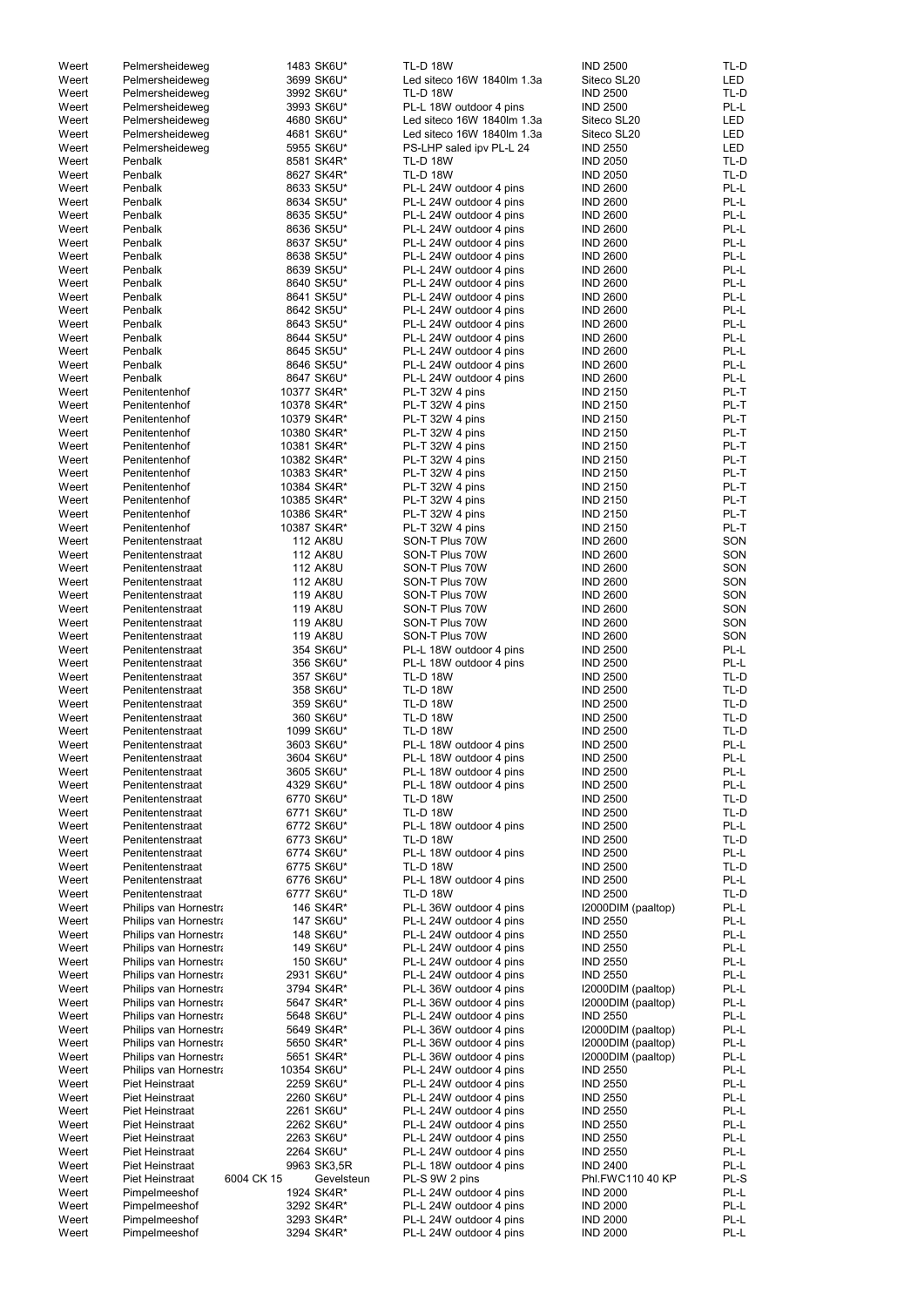| Weert | Pelmersheideweg       | 1483 SK6U*               | <b>TL-D 18W</b>            | <b>IND 2500</b>    | TL-D       |
|-------|-----------------------|--------------------------|----------------------------|--------------------|------------|
| Weert | Pelmersheideweg       | 3699 SK6U*               | Led siteco 16W 1840lm 1.3a | Siteco SL20        | <b>LED</b> |
| Weert | Pelmersheideweg       | 3992 SK6U*               | <b>TL-D 18W</b>            | <b>IND 2500</b>    | TL-D       |
|       |                       |                          |                            | <b>IND 2500</b>    | PL-L       |
| Weert | Pelmersheideweg       | 3993 SK6U*               | PL-L 18W outdoor 4 pins    |                    |            |
| Weert | Pelmersheideweg       | 4680 SK6U*               | Led siteco 16W 1840lm 1.3a | Siteco SL20        | LED        |
| Weert | Pelmersheideweg       | 4681 SK6U*               | Led siteco 16W 1840lm 1.3a | Siteco SL20        | LED        |
| Weert | Pelmersheideweg       | 5955 SK6U*               | PS-LHP saled ipv PL-L 24   | <b>IND 2550</b>    | <b>LED</b> |
| Weert | Penbalk               | 8581 SK4R*               | <b>TL-D 18W</b>            | <b>IND 2050</b>    | TL-D       |
|       |                       |                          |                            |                    |            |
| Weert | Penbalk               | 8627 SK4R*               | <b>TL-D 18W</b>            | <b>IND 2050</b>    | TL-D       |
| Weert | Penbalk               | 8633 SK5U*               | PL-L 24W outdoor 4 pins    | <b>IND 2600</b>    | PL-L       |
| Weert | Penbalk               | 8634 SK5U*               | PL-L 24W outdoor 4 pins    | <b>IND 2600</b>    | PL-L       |
| Weert | Penbalk               | 8635 SK5U*               | PL-L 24W outdoor 4 pins    | <b>IND 2600</b>    | PL-L       |
|       |                       |                          |                            |                    |            |
| Weert | Penbalk               | 8636 SK5U*               | PL-L 24W outdoor 4 pins    | <b>IND 2600</b>    | PL-L       |
| Weert | Penbalk               | 8637 SK5U*               | PL-L 24W outdoor 4 pins    | <b>IND 2600</b>    | PL-L       |
| Weert | Penbalk               | 8638 SK5U*               | PL-L 24W outdoor 4 pins    | <b>IND 2600</b>    | PL-L       |
| Weert | Penbalk               | 8639 SK5U*               | PL-L 24W outdoor 4 pins    | <b>IND 2600</b>    | PL-L       |
|       |                       |                          |                            |                    |            |
| Weert | Penbalk               | 8640 SK5U*               | PL-L 24W outdoor 4 pins    | <b>IND 2600</b>    | PL-L       |
| Weert | Penbalk               | 8641 SK5U*               | PL-L 24W outdoor 4 pins    | <b>IND 2600</b>    | PL-L       |
| Weert | Penbalk               | 8642 SK5U*               | PL-L 24W outdoor 4 pins    | <b>IND 2600</b>    | PL-L       |
| Weert | Penbalk               | 8643 SK5U*               | PL-L 24W outdoor 4 pins    | <b>IND 2600</b>    | PL-L       |
|       |                       |                          |                            |                    |            |
| Weert | Penbalk               | 8644 SK5U*               | PL-L 24W outdoor 4 pins    | <b>IND 2600</b>    | PL-L       |
| Weert | Penbalk               | 8645 SK5U*               | PL-L 24W outdoor 4 pins    | <b>IND 2600</b>    | PL-L       |
| Weert | Penbalk               | 8646 SK5U*               | PL-L 24W outdoor 4 pins    | <b>IND 2600</b>    | PL-L       |
| Weert | Penbalk               | 8647 SK6U*               | PL-L 24W outdoor 4 pins    | <b>IND 2600</b>    | PL-L       |
|       |                       |                          |                            |                    |            |
| Weert | Penitentenhof         | 10377 SK4R*              | PL-T 32W 4 pins            | <b>IND 2150</b>    | PL-T       |
| Weert | Penitentenhof         | 10378 SK4R*              | PL-T 32W 4 pins            | <b>IND 2150</b>    | PL-T       |
| Weert | Penitentenhof         | 10379 SK4R*              | PL-T 32W 4 pins            | <b>IND 2150</b>    | PL-T       |
| Weert | Penitentenhof         | 10380 SK4R*              | PL-T 32W 4 pins            | <b>IND 2150</b>    | PL-T       |
|       |                       |                          |                            |                    |            |
| Weert | Penitentenhof         | 10381 SK4R*              | PL-T 32W 4 pins            | <b>IND 2150</b>    | PL-T       |
| Weert | Penitentenhof         | 10382 SK4R*              | PL-T 32W 4 pins            | <b>IND 2150</b>    | PL-T       |
| Weert | Penitentenhof         | 10383 SK4R*              | PL-T 32W 4 pins            | <b>IND 2150</b>    | PL-T       |
| Weert | Penitentenhof         | 10384 SK4R*              | PL-T 32W 4 pins            | <b>IND 2150</b>    | PL-T       |
|       |                       |                          |                            |                    |            |
| Weert | Penitentenhof         | 10385 SK4R*              | PL-T 32W 4 pins            | <b>IND 2150</b>    | PL-T       |
| Weert | Penitentenhof         | 10386 SK4R*              | PL-T 32W 4 pins            | <b>IND 2150</b>    | PL-T       |
| Weert | Penitentenhof         | 10387 SK4R*              | PL-T 32W 4 pins            | <b>IND 2150</b>    | PL-T       |
| Weert | Penitentenstraat      | <b>112 AK8U</b>          | SON-T Plus 70W             | <b>IND 2600</b>    | SON        |
|       |                       |                          |                            |                    |            |
| Weert | Penitentenstraat      | <b>112 AK8U</b>          | SON-T Plus 70W             | <b>IND 2600</b>    | SON        |
| Weert | Penitentenstraat      | <b>112 AK8U</b>          | SON-T Plus 70W             | <b>IND 2600</b>    | SON        |
| Weert | Penitentenstraat      | <b>112 AK8U</b>          | SON-T Plus 70W             | <b>IND 2600</b>    | SON        |
| Weert | Penitentenstraat      | <b>119 AK8U</b>          | SON-T Plus 70W             | <b>IND 2600</b>    | SON        |
|       |                       |                          |                            |                    |            |
| Weert | Penitentenstraat      | <b>119 AK8U</b>          | SON-T Plus 70W             | <b>IND 2600</b>    | SON        |
| Weert | Penitentenstraat      | <b>119 AK8U</b>          | SON-T Plus 70W             | <b>IND 2600</b>    | SON        |
| Weert | Penitentenstraat      | <b>119 AK8U</b>          | SON-T Plus 70W             | <b>IND 2600</b>    | SON        |
| Weert | Penitentenstraat      | 354 SK6U*                | PL-L 18W outdoor 4 pins    | <b>IND 2500</b>    | PL-L       |
|       |                       |                          |                            |                    |            |
| Weert | Penitentenstraat      | 356 SK6U*                | PL-L 18W outdoor 4 pins    | <b>IND 2500</b>    | PL-L       |
| Weert | Penitentenstraat      | 357 SK6U*                | <b>TL-D 18W</b>            | <b>IND 2500</b>    | TL-D       |
| Weert | Penitentenstraat      | 358 SK6U*                | <b>TL-D 18W</b>            | <b>IND 2500</b>    | TL-D       |
|       |                       |                          |                            |                    |            |
| Weert | Penitentenstraat      | 359 SK6U*                | <b>TL-D 18W</b>            | <b>IND 2500</b>    | TL-D       |
| Weert | Penitentenstraat      | 360 SK6U*                | <b>TL-D 18W</b>            | <b>IND 2500</b>    | TL-D       |
| Weert | Penitentenstraat      | 1099 SK6U*               | <b>TL-D 18W</b>            | <b>IND 2500</b>    | TL-D       |
| Weert | Penitentenstraat      | 3603 SK6U*               | PL-L 18W outdoor 4 pins    | <b>IND 2500</b>    | PL-L       |
|       |                       |                          |                            |                    |            |
| Weert | Penitentenstraat      | 3604 SK6U*               | PL-L 18W outdoor 4 pins    | <b>IND 2500</b>    | PL-L       |
| Weert | Penitentenstraat      | 3605 SK6U*               | PL-L 18W outdoor 4 pins    | <b>IND 2500</b>    | PL-L       |
| Weert | Penitentenstraat      | 4329 SK6U*               | PL-L 18W outdoor 4 pins    | <b>IND 2500</b>    | PL-L       |
| Weert | Penitentenstraat      | 6770 SK6U*               | <b>TL-D 18W</b>            | <b>IND 2500</b>    | TL-D       |
|       |                       |                          |                            |                    |            |
| Weert | Penitentenstraat      | 6771 SK6U*               | <b>TL-D 18W</b>            | <b>IND 2500</b>    | TL-D       |
| Weert | Penitentenstraat      | 6772 SK6U*               | PL-L 18W outdoor 4 pins    | <b>IND 2500</b>    | PL-L       |
| Weert | Penitentenstraat      | 6773 SK6U*               | <b>TL-D 18W</b>            | <b>IND 2500</b>    | TL-D       |
| Weert | Penitentenstraat      | 6774 SK6U*               | PL-L 18W outdoor 4 pins    | <b>IND 2500</b>    | PL-L       |
| Weert | Penitentenstraat      | 6775 SK6U*               | <b>TL-D 18W</b>            | <b>IND 2500</b>    | TL-D       |
|       |                       |                          |                            |                    |            |
| Weert | Penitentenstraat      | 6776 SK6U*               | PL-L 18W outdoor 4 pins    | <b>IND 2500</b>    | PL-L       |
| Weert | Penitentenstraat      | 6777 SK6U*               | <b>TL-D 18W</b>            | <b>IND 2500</b>    | TL-D       |
| Weert | Philips van Hornestra | 146 SK4R*                | PL-L 36W outdoor 4 pins    | I2000DIM (paaltop) | PL-L       |
| Weert | Philips van Hornestra | 147 SK6U*                | PL-L 24W outdoor 4 pins    | <b>IND 2550</b>    | PL-L       |
| Weert | Philips van Hornestra | 148 SK6U*                | PL-L 24W outdoor 4 pins    | <b>IND 2550</b>    | PL-L       |
|       |                       |                          |                            |                    |            |
| Weert | Philips van Hornestra | 149 SK6U*                | PL-L 24W outdoor 4 pins    | <b>IND 2550</b>    | PL-L       |
| Weert | Philips van Hornestra | 150 SK6U*                | PL-L 24W outdoor 4 pins    | <b>IND 2550</b>    | PL-L       |
| Weert | Philips van Hornestra | 2931 SK6U*               | PL-L 24W outdoor 4 pins    | <b>IND 2550</b>    | PL-L       |
| Weert | Philips van Hornestra | 3794 SK4R*               | PL-L 36W outdoor 4 pins    | I2000DIM (paaltop) | PL-L       |
|       |                       |                          |                            |                    |            |
| Weert | Philips van Hornestra | 5647 SK4R*               | PL-L 36W outdoor 4 pins    | I2000DIM (paaltop) | PL-L       |
| Weert | Philips van Hornestra | 5648 SK6U*               | PL-L 24W outdoor 4 pins    | <b>IND 2550</b>    | PL-L       |
| Weert | Philips van Hornestra | 5649 SK4R*               | PL-L 36W outdoor 4 pins    | I2000DIM (paaltop) | PL-L       |
| Weert | Philips van Hornestra | 5650 SK4R*               | PL-L 36W outdoor 4 pins    | I2000DIM (paaltop) | PL-L       |
|       |                       |                          |                            |                    |            |
| Weert | Philips van Hornestra | 5651 SK4R*               | PL-L 36W outdoor 4 pins    | I2000DIM (paaltop) | PL-L       |
| Weert | Philips van Hornestra | 10354 SK6U*              | PL-L 24W outdoor 4 pins    | <b>IND 2550</b>    | PL-L       |
| Weert | Piet Heinstraat       | 2259 SK6U*               | PL-L 24W outdoor 4 pins    | <b>IND 2550</b>    | PL-L       |
| Weert | Piet Heinstraat       | 2260 SK6U*               | PL-L 24W outdoor 4 pins    | <b>IND 2550</b>    | PL-L       |
|       |                       |                          |                            |                    |            |
| Weert | Piet Heinstraat       | 2261 SK6U*               | PL-L 24W outdoor 4 pins    | <b>IND 2550</b>    | PL-L       |
| Weert | Piet Heinstraat       | 2262 SK6U*               | PL-L 24W outdoor 4 pins    | <b>IND 2550</b>    | PL-L       |
| Weert | Piet Heinstraat       | 2263 SK6U*               | PL-L 24W outdoor 4 pins    | <b>IND 2550</b>    | PL-L       |
| Weert | Piet Heinstraat       | 2264 SK6U*               | PL-L 24W outdoor 4 pins    | <b>IND 2550</b>    | PL-L       |
|       |                       |                          |                            |                    |            |
| Weert | Piet Heinstraat       | 9963 SK3,5R              | PL-L 18W outdoor 4 pins    | <b>IND 2400</b>    | PL-L       |
| Weert | Piet Heinstraat       | 6004 CK 15<br>Gevelsteun | PL-S 9W 2 pins             | Phl.FWC110 40 KP   | PL-S       |
| Weert | Pimpelmeeshof         | 1924 SK4R*               | PL-L 24W outdoor 4 pins    | <b>IND 2000</b>    | PL-L       |
| Weert | Pimpelmeeshof         | 3292 SK4R*               | PL-L 24W outdoor 4 pins    | <b>IND 2000</b>    | PL-L       |
|       |                       |                          |                            |                    |            |
| Weert | Pimpelmeeshof         | 3293 SK4R*               | PL-L 24W outdoor 4 pins    | <b>IND 2000</b>    | PL-L       |
| Weert | Pimpelmeeshof         | 3294 SK4R*               | PL-L 24W outdoor 4 pins    | <b>IND 2000</b>    | PL-L       |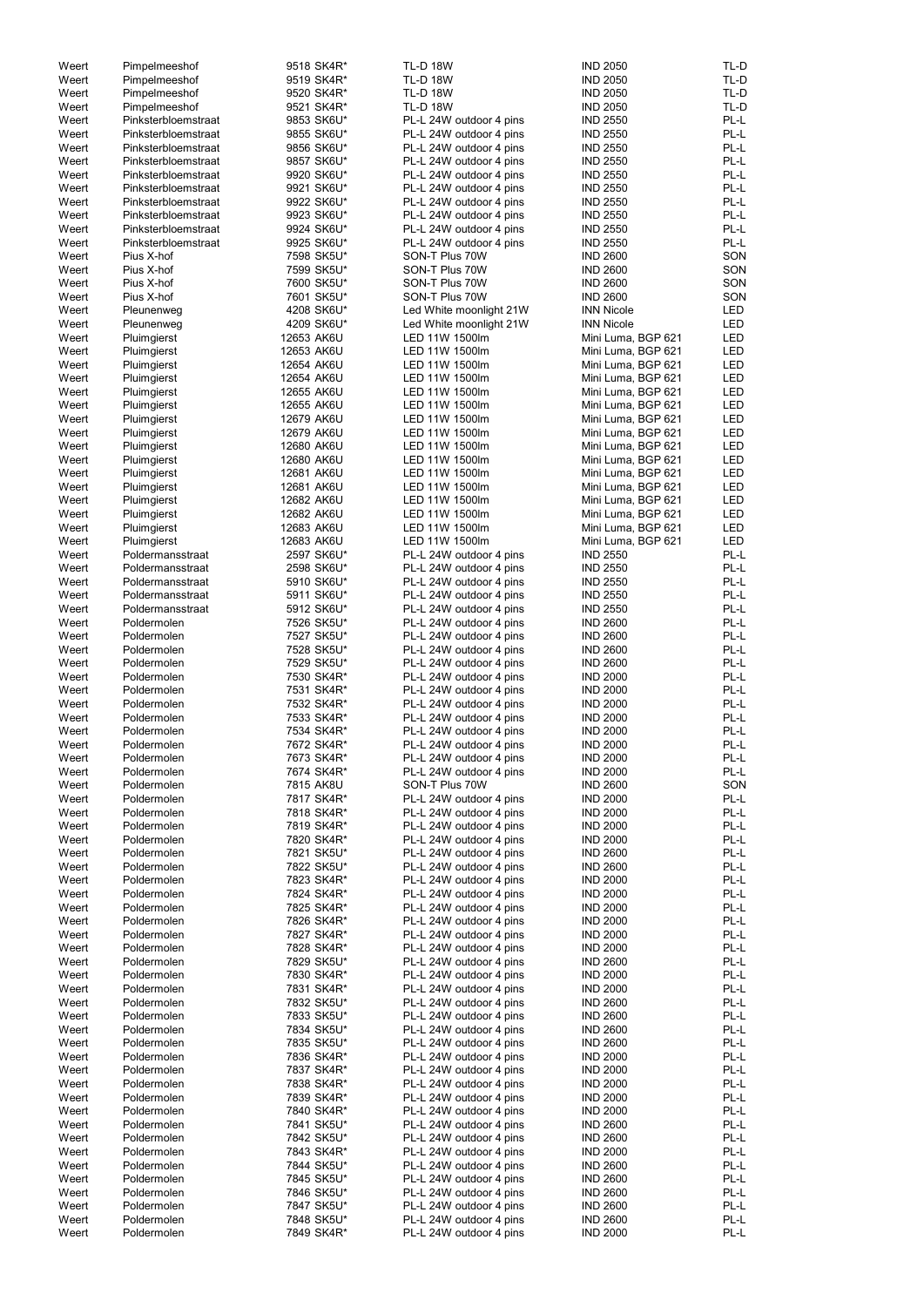| Weert | Pimpelmeeshof       | 9518 SK4R* | <b>TL-D 18W</b>         | <b>IND 2050</b>    | TL-D       |
|-------|---------------------|------------|-------------------------|--------------------|------------|
| Weert | Pimpelmeeshof       | 9519 SK4R* | <b>TL-D 18W</b>         | <b>IND 2050</b>    | TL-D       |
| Weert | Pimpelmeeshof       | 9520 SK4R* | <b>TL-D 18W</b>         | <b>IND 2050</b>    | TL-D       |
| Weert | Pimpelmeeshof       | 9521 SK4R* | <b>TL-D 18W</b>         | <b>IND 2050</b>    | TL-D       |
| Weert | Pinksterbloemstraat | 9853 SK6U* | PL-L 24W outdoor 4 pins | <b>IND 2550</b>    | PL-L       |
| Weert | Pinksterbloemstraat | 9855 SK6U* | PL-L 24W outdoor 4 pins | <b>IND 2550</b>    | PL-L       |
| Weert | Pinksterbloemstraat | 9856 SK6U* | PL-L 24W outdoor 4 pins | <b>IND 2550</b>    | PL-L       |
|       |                     |            |                         |                    |            |
| Weert | Pinksterbloemstraat | 9857 SK6U* | PL-L 24W outdoor 4 pins | <b>IND 2550</b>    | PL-L       |
| Weert | Pinksterbloemstraat | 9920 SK6U* | PL-L 24W outdoor 4 pins | <b>IND 2550</b>    | PL-L       |
| Weert | Pinksterbloemstraat | 9921 SK6U* | PL-L 24W outdoor 4 pins | <b>IND 2550</b>    | PL-L       |
| Weert | Pinksterbloemstraat | 9922 SK6U* | PL-L 24W outdoor 4 pins | <b>IND 2550</b>    | PL-L       |
| Weert | Pinksterbloemstraat | 9923 SK6U* | PL-L 24W outdoor 4 pins | <b>IND 2550</b>    | PL-L       |
| Weert | Pinksterbloemstraat | 9924 SK6U* | PL-L 24W outdoor 4 pins | <b>IND 2550</b>    | PL-L       |
|       |                     |            |                         |                    |            |
| Weert | Pinksterbloemstraat | 9925 SK6U* | PL-L 24W outdoor 4 pins | <b>IND 2550</b>    | PL-L       |
| Weert | Pius X-hof          | 7598 SK5U* | SON-T Plus 70W          | <b>IND 2600</b>    | SON        |
| Weert | Pius X-hof          | 7599 SK5U* | SON-T Plus 70W          | <b>IND 2600</b>    | SON        |
| Weert | Pius X-hof          | 7600 SK5U* | SON-T Plus 70W          | <b>IND 2600</b>    | SON        |
| Weert | Pius X-hof          | 7601 SK5U* | SON-T Plus 70W          | <b>IND 2600</b>    | SON        |
| Weert |                     | 4208 SK6U* |                         | <b>INN Nicole</b>  | <b>LED</b> |
|       | Pleunenweg          |            | Led White moonlight 21W |                    |            |
| Weert | Pleunenweg          | 4209 SK6U* | Led White moonlight 21W | <b>INN Nicole</b>  | <b>LED</b> |
| Weert | Pluimgierst         | 12653 AK6U | LED 11W 1500lm          | Mini Luma, BGP 621 | <b>LED</b> |
| Weert | Pluimgierst         | 12653 AK6U | LED 11W 1500lm          | Mini Luma, BGP 621 | LED        |
| Weert | Pluimgierst         | 12654 AK6U | LED 11W 1500lm          | Mini Luma, BGP 621 | <b>LED</b> |
| Weert | Pluimgierst         | 12654 AK6U | LED 11W 1500lm          | Mini Luma, BGP 621 | <b>LED</b> |
| Weert | Pluimgierst         | 12655 AK6U | LED 11W 1500lm          | Mini Luma, BGP 621 | <b>LED</b> |
|       |                     |            |                         |                    |            |
| Weert | Pluimgierst         | 12655 AK6U | LED 11W 1500lm          | Mini Luma, BGP 621 | <b>LED</b> |
| Weert | Pluimgierst         | 12679 AK6U | LED 11W 1500lm          | Mini Luma, BGP 621 | <b>LED</b> |
| Weert | Pluimgierst         | 12679 AK6U | LED 11W 1500lm          | Mini Luma, BGP 621 | <b>LED</b> |
| Weert | Pluimgierst         | 12680 AK6U | LED 11W 1500lm          | Mini Luma, BGP 621 | <b>LED</b> |
| Weert | Pluimgierst         | 12680 AK6U | LED 11W 1500lm          | Mini Luma, BGP 621 | <b>LED</b> |
| Weert | Pluimgierst         | 12681 AK6U | LED 11W 1500lm          | Mini Luma, BGP 621 | LED        |
|       |                     |            |                         |                    |            |
| Weert | Pluimgierst         | 12681 AK6U | LED 11W 1500lm          | Mini Luma, BGP 621 | <b>LED</b> |
| Weert | Pluimgierst         | 12682 AK6U | LED 11W 1500lm          | Mini Luma, BGP 621 | <b>LED</b> |
| Weert | Pluimgierst         | 12682 AK6U | LED 11W 1500lm          | Mini Luma, BGP 621 | <b>LED</b> |
| Weert | Pluimgierst         | 12683 AK6U | LED 11W 1500lm          | Mini Luma, BGP 621 | LED        |
| Weert | Pluimgierst         | 12683 AK6U | LED 11W 1500lm          | Mini Luma, BGP 621 | <b>LED</b> |
| Weert | Poldermansstraat    | 2597 SK6U* | PL-L 24W outdoor 4 pins | <b>IND 2550</b>    | PL-L       |
|       |                     |            |                         |                    |            |
| Weert | Poldermansstraat    | 2598 SK6U* | PL-L 24W outdoor 4 pins | <b>IND 2550</b>    | PL-L       |
| Weert | Poldermansstraat    | 5910 SK6U* | PL-L 24W outdoor 4 pins | <b>IND 2550</b>    | PL-L       |
| Weert | Poldermansstraat    | 5911 SK6U* | PL-L 24W outdoor 4 pins | <b>IND 2550</b>    | PL-L       |
| Weert | Poldermansstraat    | 5912 SK6U* | PL-L 24W outdoor 4 pins | <b>IND 2550</b>    | PL-L       |
| Weert | Poldermolen         | 7526 SK5U* | PL-L 24W outdoor 4 pins | <b>IND 2600</b>    | PL-L       |
| Weert | Poldermolen         | 7527 SK5U* | PL-L 24W outdoor 4 pins | <b>IND 2600</b>    | PL-L       |
|       |                     |            |                         |                    |            |
| Weert | Poldermolen         | 7528 SK5U* | PL-L 24W outdoor 4 pins | <b>IND 2600</b>    | PL-L       |
| Weert | Poldermolen         | 7529 SK5U* | PL-L 24W outdoor 4 pins | <b>IND 2600</b>    | PL-L       |
| Weert | Poldermolen         | 7530 SK4R* | PL-L 24W outdoor 4 pins | <b>IND 2000</b>    | PL-L       |
| Weert | Poldermolen         | 7531 SK4R* | PL-L 24W outdoor 4 pins | <b>IND 2000</b>    | PL-L       |
| Weert | Poldermolen         | 7532 SK4R* | PL-L 24W outdoor 4 pins | <b>IND 2000</b>    | PL-L       |
|       |                     |            |                         |                    | PL-L       |
| Weert | Poldermolen         | 7533 SK4R* | PL-L 24W outdoor 4 pins | <b>IND 2000</b>    |            |
| Weert | Poldermolen         | 7534 SK4R* | PL-L 24W outdoor 4 pins | <b>IND 2000</b>    | PL-L       |
| Weert | Poldermolen         | 7672 SK4R* | PL-L 24W outdoor 4 pins | <b>IND 2000</b>    | PL-L       |
| Weert | Poldermolen         | 7673 SK4R* | PL-L 24W outdoor 4 pins | <b>IND 2000</b>    | PL-L       |
| Weert | Poldermolen         | 7674 SK4R* | PL-L 24W outdoor 4 pins | <b>IND 2000</b>    | PL-L       |
| Weert | Poldermolen         | 7815 AK8U  | SON-T Plus 70W          | <b>IND 2600</b>    | SON        |
|       | Poldermolen         |            |                         |                    | PL-L       |
| Weert |                     | 7817 SK4R* | PL-L 24W outdoor 4 pins | <b>IND 2000</b>    |            |
| Weert | Poldermolen         | 7818 SK4R* | PL-L 24W outdoor 4 pins | <b>IND 2000</b>    | PL-L       |
| Weert | Poldermolen         | 7819 SK4R* | PL-L 24W outdoor 4 pins | <b>IND 2000</b>    | PL-L       |
| Weert | Poldermolen         | 7820 SK4R* | PL-L 24W outdoor 4 pins | <b>IND 2000</b>    | PL-L       |
| Weert | Poldermolen         | 7821 SK5U* | PL-L 24W outdoor 4 pins | <b>IND 2600</b>    | PL-L       |
| Weert | Poldermolen         | 7822 SK5U* | PL-L 24W outdoor 4 pins | <b>IND 2600</b>    | PL-L       |
| Weert | Poldermolen         | 7823 SK4R* |                         | <b>IND 2000</b>    | PL-L       |
|       |                     |            | PL-L 24W outdoor 4 pins |                    |            |
| Weert | Poldermolen         | 7824 SK4R* | PL-L 24W outdoor 4 pins | <b>IND 2000</b>    | PL-L       |
| Weert | Poldermolen         | 7825 SK4R* | PL-L 24W outdoor 4 pins | <b>IND 2000</b>    | PL-L       |
| Weert | Poldermolen         | 7826 SK4R* | PL-L 24W outdoor 4 pins | <b>IND 2000</b>    | PL-L       |
| Weert | Poldermolen         | 7827 SK4R* | PL-L 24W outdoor 4 pins | <b>IND 2000</b>    | PL-L       |
| Weert | Poldermolen         | 7828 SK4R* | PL-L 24W outdoor 4 pins | <b>IND 2000</b>    | PL-L       |
| Weert | Poldermolen         | 7829 SK5U* | PL-L 24W outdoor 4 pins | <b>IND 2600</b>    | PL-L       |
|       |                     |            |                         |                    |            |
| Weert | Poldermolen         | 7830 SK4R* | PL-L 24W outdoor 4 pins | <b>IND 2000</b>    | PL-L       |
| Weert | Poldermolen         | 7831 SK4R* | PL-L 24W outdoor 4 pins | <b>IND 2000</b>    | PL-L       |
| Weert | Poldermolen         | 7832 SK5U* | PL-L 24W outdoor 4 pins | <b>IND 2600</b>    | PL-L       |
| Weert | Poldermolen         | 7833 SK5U* | PL-L 24W outdoor 4 pins | <b>IND 2600</b>    | PL-L       |
| Weert | Poldermolen         | 7834 SK5U* | PL-L 24W outdoor 4 pins | <b>IND 2600</b>    | PL-L       |
| Weert | Poldermolen         | 7835 SK5U* | PL-L 24W outdoor 4 pins | <b>IND 2600</b>    | $PL-L$     |
|       |                     |            |                         |                    |            |
| Weert | Poldermolen         | 7836 SK4R* | PL-L 24W outdoor 4 pins | <b>IND 2000</b>    | PL-L       |
| Weert | Poldermolen         | 7837 SK4R* | PL-L 24W outdoor 4 pins | <b>IND 2000</b>    | PL-L       |
| Weert | Poldermolen         | 7838 SK4R* | PL-L 24W outdoor 4 pins | <b>IND 2000</b>    | PL-L       |
| Weert | Poldermolen         | 7839 SK4R* | PL-L 24W outdoor 4 pins | <b>IND 2000</b>    | PL-L       |
| Weert | Poldermolen         | 7840 SK4R* | PL-L 24W outdoor 4 pins | <b>IND 2000</b>    | PL-L       |
|       | Poldermolen         |            |                         |                    |            |
| Weert |                     | 7841 SK5U* | PL-L 24W outdoor 4 pins | <b>IND 2600</b>    | PL-L       |
| Weert | Poldermolen         | 7842 SK5U* | PL-L 24W outdoor 4 pins | <b>IND 2600</b>    | PL-L       |
| Weert | Poldermolen         | 7843 SK4R* | PL-L 24W outdoor 4 pins | <b>IND 2000</b>    | PL-L       |
| Weert | Poldermolen         | 7844 SK5U* | PL-L 24W outdoor 4 pins | <b>IND 2600</b>    | PL-L       |
| Weert | Poldermolen         | 7845 SK5U* | PL-L 24W outdoor 4 pins | <b>IND 2600</b>    | PL-L       |
| Weert | Poldermolen         | 7846 SK5U* | PL-L 24W outdoor 4 pins | <b>IND 2600</b>    | PL-L       |
|       |                     |            |                         |                    |            |
| Weert | Poldermolen         | 7847 SK5U* | PL-L 24W outdoor 4 pins | <b>IND 2600</b>    | PL-L       |
| Weert | Poldermolen         | 7848 SK5U* | PL-L 24W outdoor 4 pins | <b>IND 2600</b>    | PL-L       |
| Weert | Poldermolen         | 7849 SK4R* | PL-L 24W outdoor 4 pins | <b>IND 2000</b>    | PL-L       |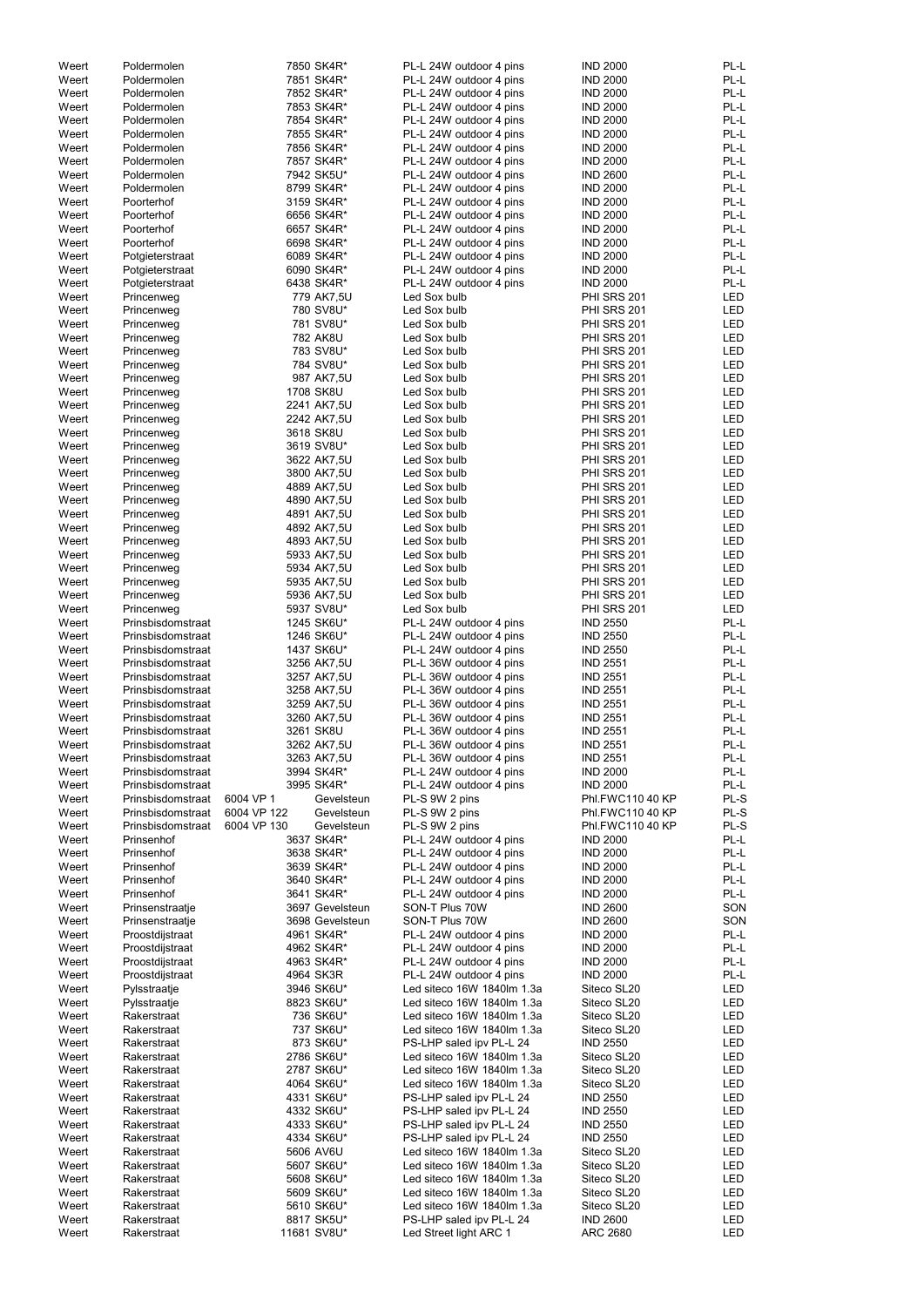| Weert | Poldermolen       |             | 7850 SK4R*      | PL-L 24W outdoor 4 pins    | <b>IND 2000</b>    | PL-L       |
|-------|-------------------|-------------|-----------------|----------------------------|--------------------|------------|
| Weert | Poldermolen       |             | 7851 SK4R*      | PL-L 24W outdoor 4 pins    | <b>IND 2000</b>    | PL-L       |
|       |                   |             |                 |                            |                    |            |
| Weert | Poldermolen       |             | 7852 SK4R*      | PL-L 24W outdoor 4 pins    | <b>IND 2000</b>    | PL-L       |
| Weert | Poldermolen       |             | 7853 SK4R*      | PL-L 24W outdoor 4 pins    | <b>IND 2000</b>    | PL-L       |
| Weert | Poldermolen       |             | 7854 SK4R*      | PL-L 24W outdoor 4 pins    | <b>IND 2000</b>    | PL-L       |
| Weert | Poldermolen       |             | 7855 SK4R*      | PL-L 24W outdoor 4 pins    | <b>IND 2000</b>    | PL-L       |
| Weert | Poldermolen       |             | 7856 SK4R*      | PL-L 24W outdoor 4 pins    | <b>IND 2000</b>    | PL-L       |
|       |                   |             |                 |                            |                    |            |
| Weert | Poldermolen       |             | 7857 SK4R*      | PL-L 24W outdoor 4 pins    | <b>IND 2000</b>    | PL-L       |
| Weert | Poldermolen       |             | 7942 SK5U*      | PL-L 24W outdoor 4 pins    | <b>IND 2600</b>    | PL-L       |
| Weert | Poldermolen       |             | 8799 SK4R*      | PL-L 24W outdoor 4 pins    | <b>IND 2000</b>    | PL-L       |
| Weert | Poorterhof        |             | 3159 SK4R*      | PL-L 24W outdoor 4 pins    | <b>IND 2000</b>    | PL-L       |
|       |                   |             |                 |                            |                    |            |
| Weert | Poorterhof        |             | 6656 SK4R*      | PL-L 24W outdoor 4 pins    | <b>IND 2000</b>    | PL-L       |
| Weert | Poorterhof        |             | 6657 SK4R*      | PL-L 24W outdoor 4 pins    | <b>IND 2000</b>    | PL-L       |
| Weert | Poorterhof        |             | 6698 SK4R*      | PL-L 24W outdoor 4 pins    | <b>IND 2000</b>    | PL-L       |
| Weert | Potgieterstraat   |             | 6089 SK4R*      | PL-L 24W outdoor 4 pins    | <b>IND 2000</b>    | PL-L       |
|       |                   |             |                 |                            |                    | PL-L       |
| Weert | Potgieterstraat   |             | 6090 SK4R*      | PL-L 24W outdoor 4 pins    | <b>IND 2000</b>    |            |
| Weert | Potgieterstraat   |             | 6438 SK4R*      | PL-L 24W outdoor 4 pins    | <b>IND 2000</b>    | PL-L       |
| Weert | Princenweg        |             | 779 AK7,5U      | Led Sox bulb               | PHI SRS 201        | <b>LED</b> |
| Weert | Princenweg        |             | 780 SV8U*       | Led Sox bulb               | <b>PHI SRS 201</b> | <b>LED</b> |
| Weert | Princenweg        |             | 781 SV8U*       | Led Sox bulb               | PHI SRS 201        | <b>LED</b> |
|       |                   |             |                 |                            |                    |            |
| Weert | Princenweg        |             | 782 AK8U        | Led Sox bulb               | PHI SRS 201        | <b>LED</b> |
| Weert | Princenweg        |             | 783 SV8U*       | Led Sox bulb               | <b>PHI SRS 201</b> | <b>LED</b> |
| Weert | Princenweg        |             | 784 SV8U*       | Led Sox bulb               | PHI SRS 201        | <b>LED</b> |
| Weert | Princenweg        |             | 987 AK7,5U      | Led Sox bulb               | PHI SRS 201        | <b>LED</b> |
|       |                   |             |                 |                            |                    |            |
| Weert | Princenweg        |             | 1708 SK8U       | Led Sox bulb               | PHI SRS 201        | LED        |
| Weert | Princenweg        |             | 2241 AK7,5U     | Led Sox bulb               | PHI SRS 201        | <b>LED</b> |
| Weert | Princenweg        |             | 2242 AK7,5U     | Led Sox bulb               | PHI SRS 201        | <b>LED</b> |
| Weert | Princenweg        |             | 3618 SK8U       | Led Sox bulb               | <b>PHI SRS 201</b> | <b>LED</b> |
|       |                   |             |                 |                            |                    |            |
| Weert | Princenweg        |             | 3619 SV8U*      | Led Sox bulb               | PHI SRS 201        | <b>LED</b> |
| Weert | Princenweg        |             | 3622 AK7,5U     | Led Sox bulb               | <b>PHI SRS 201</b> | <b>LED</b> |
| Weert | Princenweg        |             | 3800 AK7,5U     | Led Sox bulb               | <b>PHI SRS 201</b> | <b>LED</b> |
| Weert | Princenweg        |             | 4889 AK7,5U     | Led Sox bulb               | <b>PHI SRS 201</b> | <b>LED</b> |
|       |                   |             |                 |                            |                    |            |
| Weert | Princenweg        |             | 4890 AK7,5U     | Led Sox bulb               | PHI SRS 201        | <b>LED</b> |
| Weert | Princenweg        |             | 4891 AK7,5U     | Led Sox bulb               | <b>PHI SRS 201</b> | <b>LED</b> |
| Weert | Princenweg        |             | 4892 AK7,5U     | Led Sox bulb               | <b>PHI SRS 201</b> | <b>LED</b> |
| Weert | Princenweg        |             | 4893 AK7,5U     | Led Sox bulb               | <b>PHI SRS 201</b> | <b>LED</b> |
|       |                   |             |                 |                            |                    |            |
| Weert | Princenweg        |             | 5933 AK7,5U     | Led Sox bulb               | PHI SRS 201        | <b>LED</b> |
| Weert | Princenweg        |             | 5934 AK7,5U     | Led Sox bulb               | PHI SRS 201        | <b>LED</b> |
| Weert | Princenweg        |             | 5935 AK7,5U     | Led Sox bulb               | <b>PHI SRS 201</b> | <b>LED</b> |
| Weert | Princenweg        |             | 5936 AK7,5U     | Led Sox bulb               | PHI SRS 201        | <b>LED</b> |
|       |                   |             | 5937 SV8U*      | Led Sox bulb               |                    | <b>LED</b> |
| Weert | Princenweg        |             |                 |                            | <b>PHI SRS 201</b> |            |
| Weert | Prinsbisdomstraat |             | 1245 SK6U*      | PL-L 24W outdoor 4 pins    | <b>IND 2550</b>    | PL-L       |
| Weert | Prinsbisdomstraat |             | 1246 SK6U*      | PL-L 24W outdoor 4 pins    | <b>IND 2550</b>    | PL-L       |
| Weert | Prinsbisdomstraat |             | 1437 SK6U*      | PL-L 24W outdoor 4 pins    | <b>IND 2550</b>    | PL-L       |
|       |                   |             |                 |                            |                    | PL-L       |
| Weert | Prinsbisdomstraat |             | 3256 AK7,5U     | PL-L 36W outdoor 4 pins    | <b>IND 2551</b>    |            |
| Weert | Prinsbisdomstraat |             | 3257 AK7,5U     | PL-L 36W outdoor 4 pins    | <b>IND 2551</b>    | PL-L       |
| Weert | Prinsbisdomstraat |             | 3258 AK7,5U     | PL-L 36W outdoor 4 pins    | <b>IND 2551</b>    | PL-L       |
| Weert | Prinsbisdomstraat |             | 3259 AK7,5U     | PL-L 36W outdoor 4 pins    | <b>IND 2551</b>    | PL-L       |
|       |                   |             |                 |                            |                    |            |
| Weert | Prinsbisdomstraat |             | 3260 AK7,5U     | PL-L 36W outdoor 4 pins    | <b>IND 2551</b>    | PL-L       |
| Weert | Prinsbisdomstraat |             | 3261 SK8U       | PL-L 36W outdoor 4 pins    | <b>IND 2551</b>    | PL-L       |
| Weert | Prinsbisdomstraat |             | 3262 AK7,5U     | PL-L 36W outdoor 4 pins    | <b>IND 2551</b>    | PL-L       |
| Weert | Prinsbisdomstraat |             | 3263 AK7,5U     | PL-L 36W outdoor 4 pins    | <b>IND 2551</b>    | PL-L       |
| Weert |                   |             | 3994 SK4R*      | PL-L 24W outdoor 4 pins    | <b>IND 2000</b>    | PL-L       |
|       | Prinsbisdomstraat |             |                 |                            |                    |            |
| Weert | Prinsbisdomstraat |             | 3995 SK4R*      | PL-L 24W outdoor 4 pins    | <b>IND 2000</b>    | PL-L       |
| Weert | Prinsbisdomstraat | 6004 VP 1   | Gevelsteun      | PL-S 9W 2 pins             | Phl.FWC110 40 KP   | PL-S       |
| Weert | Prinsbisdomstraat | 6004 VP 122 | Gevelsteun      | PL-S 9W 2 pins             | Phl.FWC110 40 KP   | PL-S       |
| Weert | Prinsbisdomstraat | 6004 VP 130 | Gevelsteun      | PL-S 9W 2 pins             | Phl.FWC110 40 KP   | PL-S       |
|       |                   |             |                 |                            |                    |            |
| Weert | Prinsenhof        |             | 3637 SK4R*      | PL-L 24W outdoor 4 pins    | <b>IND 2000</b>    | PL-L       |
| Weert | Prinsenhof        |             | 3638 SK4R*      | PL-L 24W outdoor 4 pins    | <b>IND 2000</b>    | PL-L       |
| Weert | Prinsenhof        |             | 3639 SK4R*      | PL-L 24W outdoor 4 pins    | <b>IND 2000</b>    | PL-L       |
| Weert | Prinsenhof        |             | 3640 SK4R*      | PL-L 24W outdoor 4 pins    | <b>IND 2000</b>    | PL-L       |
| Weert | Prinsenhof        |             | 3641 SK4R*      | PL-L 24W outdoor 4 pins    | <b>IND 2000</b>    | PL-L       |
|       |                   |             |                 |                            |                    |            |
| Weert | Prinsenstraatje   |             | 3697 Gevelsteun | SON-T Plus 70W             | <b>IND 2600</b>    | SON        |
| Weert | Prinsenstraatje   |             | 3698 Gevelsteun | SON-T Plus 70W             | <b>IND 2600</b>    | SON        |
| Weert | Proostdijstraat   |             | 4961 SK4R*      | PL-L 24W outdoor 4 pins    | <b>IND 2000</b>    | PL-L       |
| Weert | Proostdijstraat   |             | 4962 SK4R*      | PL-L 24W outdoor 4 pins    | <b>IND 2000</b>    | PL-L       |
| Weert |                   |             | 4963 SK4R*      | PL-L 24W outdoor 4 pins    | <b>IND 2000</b>    | PL-L       |
|       | Proostdijstraat   |             |                 |                            |                    |            |
| Weert | Proostdijstraat   |             | 4964 SK3R       | PL-L 24W outdoor 4 pins    | <b>IND 2000</b>    | PL-L       |
| Weert | Pylsstraatje      |             | 3946 SK6U*      | Led siteco 16W 1840lm 1.3a | Siteco SL20        | <b>LED</b> |
| Weert | Pylsstraatje      |             | 8823 SK6U*      | Led siteco 16W 1840lm 1.3a | Siteco SL20        | <b>LED</b> |
| Weert | Rakerstraat       |             | 736 SK6U*       | Led siteco 16W 1840lm 1.3a | Siteco SL20        | LED        |
|       |                   |             |                 |                            |                    |            |
| Weert | Rakerstraat       |             | 737 SK6U*       | Led siteco 16W 1840lm 1.3a | Siteco SL20        | <b>LED</b> |
| Weert | Rakerstraat       |             | 873 SK6U*       | PS-LHP saled ipv PL-L 24   | <b>IND 2550</b>    | <b>LED</b> |
| Weert | Rakerstraat       |             | 2786 SK6U*      | Led siteco 16W 1840lm 1.3a | Siteco SL20        | LED        |
| Weert | Rakerstraat       |             | 2787 SK6U*      | Led siteco 16W 1840lm 1.3a | Siteco SL20        | LED        |
|       |                   |             |                 |                            |                    |            |
| Weert | Rakerstraat       |             | 4064 SK6U*      | Led siteco 16W 1840lm 1.3a | Siteco SL20        | LED        |
| Weert | Rakerstraat       |             | 4331 SK6U*      | PS-LHP saled ipv PL-L 24   | <b>IND 2550</b>    | LED        |
| Weert | Rakerstraat       |             | 4332 SK6U*      | PS-LHP saled ipv PL-L 24   | <b>IND 2550</b>    | LED        |
| Weert | Rakerstraat       |             | 4333 SK6U*      | PS-LHP saled ipv PL-L 24   | <b>IND 2550</b>    | LED        |
|       |                   |             |                 |                            |                    |            |
| Weert | Rakerstraat       |             | 4334 SK6U*      | PS-LHP saled ipv PL-L 24   | <b>IND 2550</b>    | LED        |
| Weert | Rakerstraat       |             | 5606 AV6U       | Led siteco 16W 1840lm 1.3a | Siteco SL20        | LED        |
| Weert | Rakerstraat       |             | 5607 SK6U*      | Led siteco 16W 1840lm 1.3a | Siteco SL20        | LED        |
| Weert | Rakerstraat       |             | 5608 SK6U*      | Led siteco 16W 1840lm 1.3a | Siteco SL20        | LED        |
|       |                   |             |                 |                            |                    |            |
| Weert | Rakerstraat       |             | 5609 SK6U*      | Led siteco 16W 1840lm 1.3a | Siteco SL20        | LED        |
| Weert | Rakerstraat       |             | 5610 SK6U*      | Led siteco 16W 1840lm 1.3a | Siteco SL20        | LED        |
| Weert | Rakerstraat       |             | 8817 SK5U*      | PS-LHP saled ipv PL-L 24   | <b>IND 2600</b>    | LED        |
| Weert | Rakerstraat       |             | 11681 SV8U*     | Led Street light ARC 1     | <b>ARC 2680</b>    | <b>LED</b> |
|       |                   |             |                 |                            |                    |            |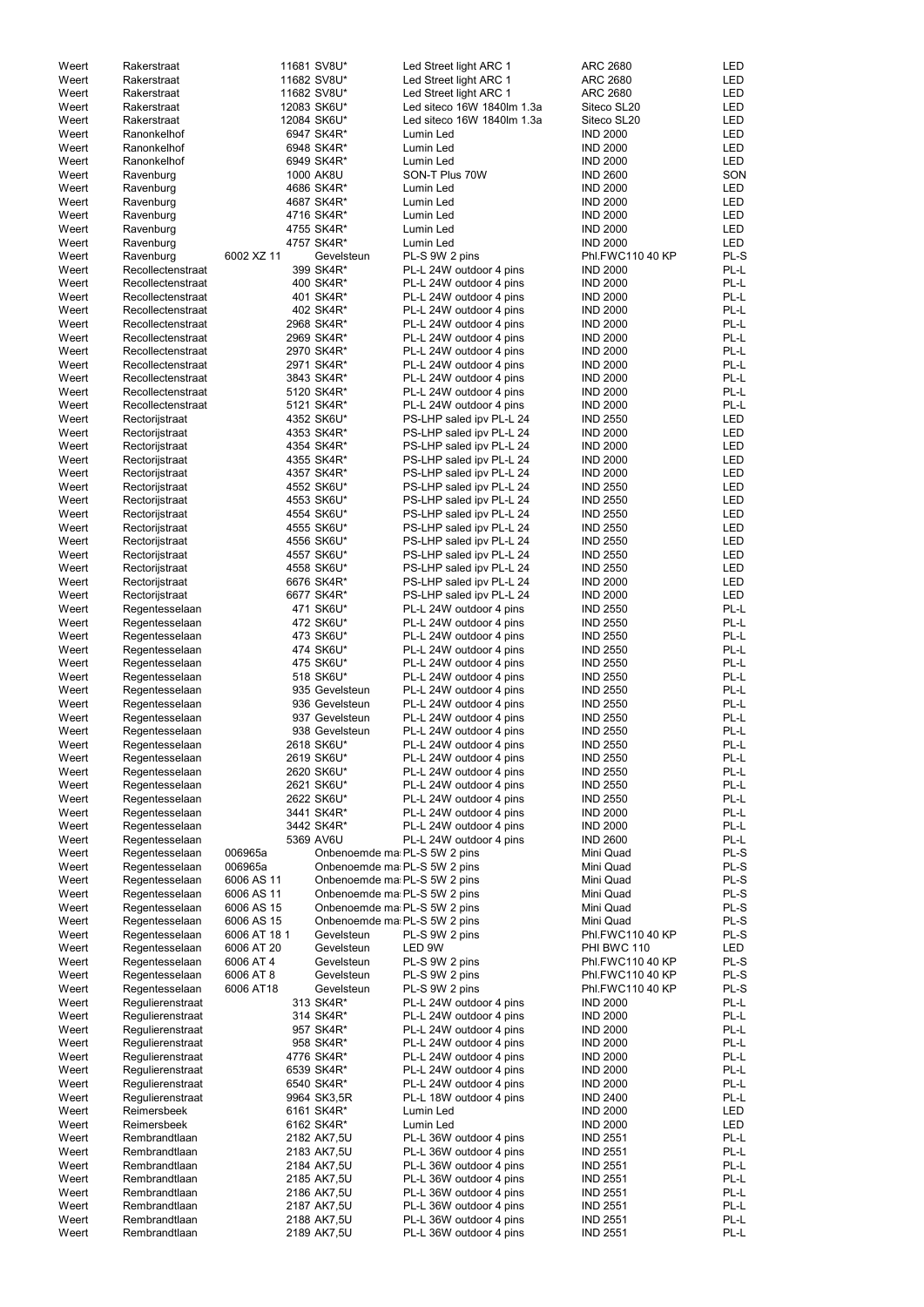| Weert | Rakerstraat       |             | 11681 SV8U*                  | Led Street light ARC 1     | <b>ARC 2680</b>  | LED        |
|-------|-------------------|-------------|------------------------------|----------------------------|------------------|------------|
| Weert | Rakerstraat       |             | 11682 SV8U*                  | Led Street light ARC 1     | <b>ARC 2680</b>  | LED        |
| Weert | Rakerstraat       |             | 11682 SV8U*                  | Led Street light ARC 1     | <b>ARC 2680</b>  | LED        |
| Weert | Rakerstraat       |             | 12083 SK6U*                  | Led siteco 16W 1840lm 1.3a | Siteco SL20      | <b>LED</b> |
| Weert | Rakerstraat       |             | 12084 SK6U*                  | Led siteco 16W 1840lm 1.3a | Siteco SL20      | LED        |
| Weert | Ranonkelhof       |             | 6947 SK4R*                   | Lumin Led                  | <b>IND 2000</b>  | LED        |
| Weert | Ranonkelhof       |             | 6948 SK4R*                   | Lumin Led                  | <b>IND 2000</b>  | LED        |
|       |                   |             |                              |                            |                  |            |
| Weert | Ranonkelhof       |             | 6949 SK4R*                   | Lumin Led                  | <b>IND 2000</b>  | LED        |
| Weert | Ravenburg         |             | 1000 AK8U                    | SON-T Plus 70W             | <b>IND 2600</b>  | SON        |
| Weert | Ravenburg         |             | 4686 SK4R*                   | Lumin Led                  | <b>IND 2000</b>  | <b>LED</b> |
| Weert | Ravenburg         |             | 4687 SK4R*                   | Lumin Led                  | <b>IND 2000</b>  | LED        |
| Weert | Ravenburg         |             | 4716 SK4R*                   | Lumin Led                  | <b>IND 2000</b>  | <b>LED</b> |
| Weert | Ravenburg         |             | 4755 SK4R*                   | Lumin Led                  | <b>IND 2000</b>  | <b>LED</b> |
|       |                   |             |                              |                            |                  |            |
| Weert | Ravenburg         |             | 4757 SK4R*                   | Lumin Led                  | <b>IND 2000</b>  | <b>LED</b> |
| Weert | Ravenburg         | 6002 XZ 11  | Gevelsteun                   | PL-S 9W 2 pins             | Phl.FWC110 40 KP | PL-S       |
| Weert | Recollectenstraat |             | 399 SK4R*                    | PL-L 24W outdoor 4 pins    | <b>IND 2000</b>  | PL-L       |
| Weert | Recollectenstraat |             | 400 SK4R*                    | PL-L 24W outdoor 4 pins    | <b>IND 2000</b>  | PL-L       |
| Weert | Recollectenstraat |             | 401 SK4R*                    | PL-L 24W outdoor 4 pins    | <b>IND 2000</b>  | PL-L       |
| Weert | Recollectenstraat |             | 402 SK4R*                    | PL-L 24W outdoor 4 pins    | <b>IND 2000</b>  | PL-L       |
|       |                   |             |                              |                            |                  |            |
| Weert | Recollectenstraat |             | 2968 SK4R*                   | PL-L 24W outdoor 4 pins    | <b>IND 2000</b>  | PL-L       |
| Weert | Recollectenstraat |             | 2969 SK4R*                   | PL-L 24W outdoor 4 pins    | <b>IND 2000</b>  | PL-L       |
| Weert | Recollectenstraat |             | 2970 SK4R*                   | PL-L 24W outdoor 4 pins    | <b>IND 2000</b>  | PL-L       |
| Weert | Recollectenstraat |             | 2971 SK4R*                   | PL-L 24W outdoor 4 pins    | <b>IND 2000</b>  | PL-L       |
| Weert | Recollectenstraat |             | 3843 SK4R*                   | PL-L 24W outdoor 4 pins    | <b>IND 2000</b>  | PL-L       |
|       |                   |             |                              |                            |                  |            |
| Weert | Recollectenstraat |             | 5120 SK4R*                   | PL-L 24W outdoor 4 pins    | <b>IND 2000</b>  | PL-L       |
| Weert | Recollectenstraat |             | 5121 SK4R*                   | PL-L 24W outdoor 4 pins    | <b>IND 2000</b>  | PL-L       |
| Weert | Rectorijstraat    |             | 4352 SK6U*                   | PS-LHP saled ipv PL-L 24   | <b>IND 2550</b>  | LED        |
| Weert | Rectorijstraat    |             | 4353 SK4R*                   | PS-LHP saled ipv PL-L 24   | <b>IND 2000</b>  | <b>LED</b> |
| Weert | Rectorijstraat    |             | 4354 SK4R*                   | PS-LHP saled ipv PL-L 24   | <b>IND 2000</b>  | <b>LED</b> |
|       |                   |             |                              |                            |                  |            |
| Weert | Rectorijstraat    |             | 4355 SK4R*                   | PS-LHP saled ipv PL-L 24   | <b>IND 2000</b>  | <b>LED</b> |
| Weert | Rectorijstraat    |             | 4357 SK4R*                   | PS-LHP saled ipv PL-L 24   | <b>IND 2000</b>  | LED        |
| Weert | Rectorijstraat    |             | 4552 SK6U*                   | PS-LHP saled ipv PL-L 24   | <b>IND 2550</b>  | LED        |
| Weert | Rectorijstraat    |             | 4553 SK6U*                   | PS-LHP saled ipv PL-L 24   | <b>IND 2550</b>  | <b>LED</b> |
| Weert | Rectorijstraat    |             | 4554 SK6U*                   | PS-LHP saled ipv PL-L 24   | <b>IND 2550</b>  | <b>LED</b> |
|       |                   |             |                              |                            |                  |            |
| Weert | Rectorijstraat    |             | 4555 SK6U*                   | PS-LHP saled ipv PL-L 24   | <b>IND 2550</b>  | <b>LED</b> |
| Weert | Rectorijstraat    |             | 4556 SK6U*                   | PS-LHP saled ipv PL-L 24   | <b>IND 2550</b>  | <b>LED</b> |
| Weert | Rectorijstraat    |             | 4557 SK6U*                   | PS-LHP saled ipv PL-L 24   | <b>IND 2550</b>  | LED        |
| Weert | Rectorijstraat    |             | 4558 SK6U*                   | PS-LHP saled ipv PL-L 24   | <b>IND 2550</b>  | LED        |
| Weert | Rectorijstraat    |             | 6676 SK4R*                   | PS-LHP saled ipv PL-L 24   | <b>IND 2000</b>  | <b>LED</b> |
|       |                   |             |                              |                            |                  |            |
| Weert | Rectorijstraat    |             | 6677 SK4R*                   | PS-LHP saled ipv PL-L 24   | <b>IND 2000</b>  | <b>LED</b> |
| Weert | Regentesselaan    |             | 471 SK6U*                    | PL-L 24W outdoor 4 pins    | <b>IND 2550</b>  | PL-L       |
| Weert | Regentesselaan    |             | 472 SK6U*                    | PL-L 24W outdoor 4 pins    | <b>IND 2550</b>  | PL-L       |
| Weert | Regentesselaan    |             | 473 SK6U*                    | PL-L 24W outdoor 4 pins    | <b>IND 2550</b>  | PL-L       |
| Weert | Regentesselaan    |             | 474 SK6U*                    | PL-L 24W outdoor 4 pins    | <b>IND 2550</b>  | PL-L       |
|       |                   |             |                              |                            |                  |            |
| Weert | Regentesselaan    |             | 475 SK6U*                    | PL-L 24W outdoor 4 pins    | <b>IND 2550</b>  | PL-L       |
| Weert | Regentesselaan    |             | 518 SK6U*                    | PL-L 24W outdoor 4 pins    | <b>IND 2550</b>  | PL-L       |
| Weert | Regentesselaan    |             | 935 Gevelsteun               | PL-L 24W outdoor 4 pins    | <b>IND 2550</b>  | PL-L       |
| Weert | Regentesselaan    |             | 936 Gevelsteun               | PL-L 24W outdoor 4 pins    | <b>IND 2550</b>  | PL-L       |
|       |                   |             |                              |                            |                  |            |
| Weert | Regentesselaan    |             | 937 Gevelsteun               | PL-L 24W outdoor 4 pins    | <b>IND 2550</b>  | PL-L       |
| Weert | Regentesselaan    |             | 938 Gevelsteun               | PL-L 24W outdoor 4 pins    | <b>IND 2550</b>  | PL-L       |
| Weert | Regentesselaan    |             | 2618 SK6U*                   | PL-L 24W outdoor 4 pins    | <b>IND 2550</b>  | PL-L       |
| Weert | Regentesselaan    |             | 2619 SK6U*                   | PL-L 24W outdoor 4 pins    | <b>IND 2550</b>  | PL-L       |
| Weert | Regentesselaan    |             | 2620 SK6U*                   | PL-L 24W outdoor 4 pins    | <b>IND 2550</b>  | PL-L       |
| Weert | Regentesselaan    |             | 2621 SK6U*                   | PL-L 24W outdoor 4 pins    | <b>IND 2550</b>  | PL-L       |
|       |                   |             |                              |                            |                  |            |
| Weert | Regentesselaan    |             | 2622 SK6U*                   | PL-L 24W outdoor 4 pins    | <b>IND 2550</b>  | PL-L       |
| Weert | Regentesselaan    |             | 3441 SK4R*                   | PL-L 24W outdoor 4 pins    | <b>IND 2000</b>  | PL-L       |
| Weert | Regentesselaan    |             | 3442 SK4R*                   | PL-L 24W outdoor 4 pins    | <b>IND 2000</b>  | PL-L       |
| Weert | Regentesselaan    |             | 5369 AV6U                    | PL-L 24W outdoor 4 pins    | <b>IND 2600</b>  | PL-L       |
| Weert | Regentesselaan    | 006965a     | Onbenoemde ma PL-S 5W 2 pins |                            | Mini Quad        | PL-S       |
| Weert |                   | 006965a     | Onbenoemde ma PL-S 5W 2 pins |                            | Mini Quad        | PL-S       |
|       | Regentesselaan    |             |                              |                            |                  |            |
| Weert | Regentesselaan    | 6006 AS 11  | Onbenoemde ma PL-S 5W 2 pins |                            | Mini Quad        | PL-S       |
| Weert | Regentesselaan    | 6006 AS 11  | Onbenoemde ma PL-S 5W 2 pins |                            | Mini Quad        | PL-S       |
| Weert | Regentesselaan    | 6006 AS 15  | Onbenoemde ma PL-S 5W 2 pins |                            | Mini Quad        | PL-S       |
| Weert | Regentesselaan    | 6006 AS 15  | Onbenoemde ma PL-S 5W 2 pins |                            | Mini Quad        | PL-S       |
| Weert | Regentesselaan    | 6006 AT 181 | Gevelsteun                   | PL-S 9W 2 pins             | Phl.FWC110 40 KP | PL-S       |
|       |                   | 6006 AT 20  | Gevelsteun                   | LED 9W                     | PHI BWC 110      | <b>LED</b> |
| Weert | Regentesselaan    |             |                              |                            |                  |            |
| Weert | Regentesselaan    | 6006 AT 4   | Gevelsteun                   | PL-S 9W 2 pins             | Phl.FWC110 40 KP | PL-S       |
| Weert | Regentesselaan    | 6006 AT 8   | Gevelsteun                   | PL-S 9W 2 pins             | Phl.FWC110 40 KP | PL-S       |
| Weert | Regentesselaan    | 6006 AT18   | Gevelsteun                   | PL-S 9W 2 pins             | Phl.FWC110 40 KP | PL-S       |
| Weert | Regulierenstraat  |             | 313 SK4R*                    | PL-L 24W outdoor 4 pins    | <b>IND 2000</b>  | PL-L       |
| Weert | Regulierenstraat  |             | 314 SK4R*                    | PL-L 24W outdoor 4 pins    | <b>IND 2000</b>  | PL-L       |
|       |                   |             |                              |                            | <b>IND 2000</b>  |            |
| Weert | Regulierenstraat  |             | 957 SK4R*                    | PL-L 24W outdoor 4 pins    |                  | PL-L       |
| Weert | Regulierenstraat  |             | 958 SK4R*                    | PL-L 24W outdoor 4 pins    | <b>IND 2000</b>  | $PL-L$     |
| Weert | Regulierenstraat  |             | 4776 SK4R*                   | PL-L 24W outdoor 4 pins    | <b>IND 2000</b>  | PL-L       |
| Weert | Regulierenstraat  |             | 6539 SK4R*                   | PL-L 24W outdoor 4 pins    | <b>IND 2000</b>  | PL-L       |
| Weert | Regulierenstraat  |             | 6540 SK4R*                   | PL-L 24W outdoor 4 pins    | <b>IND 2000</b>  | PL-L       |
|       |                   |             |                              | PL-L 18W outdoor 4 pins    | <b>IND 2400</b>  | PL-L       |
| Weert | Regulierenstraat  |             | 9964 SK3,5R                  |                            |                  |            |
| Weert | Reimersbeek       |             | 6161 SK4R*                   | Lumin Led                  | <b>IND 2000</b>  | LED        |
| Weert | Reimersbeek       |             | 6162 SK4R*                   | Lumin Led                  | <b>IND 2000</b>  | LED        |
| Weert | Rembrandtlaan     |             | 2182 AK7,5U                  | PL-L 36W outdoor 4 pins    | <b>IND 2551</b>  | PL-L       |
| Weert | Rembrandtlaan     |             | 2183 AK7,5U                  | PL-L 36W outdoor 4 pins    | <b>IND 2551</b>  | PL-L       |
|       | Rembrandtlaan     |             |                              |                            |                  | PL-L       |
| Weert |                   |             | 2184 AK7,5U                  | PL-L 36W outdoor 4 pins    | <b>IND 2551</b>  |            |
| Weert | Rembrandtlaan     |             | 2185 AK7,5U                  | PL-L 36W outdoor 4 pins    | <b>IND 2551</b>  | PL-L       |
| Weert | Rembrandtlaan     |             | 2186 AK7,5U                  | PL-L 36W outdoor 4 pins    | <b>IND 2551</b>  | PL-L       |
| Weert | Rembrandtlaan     |             | 2187 AK7,5U                  | PL-L 36W outdoor 4 pins    | <b>IND 2551</b>  | PL-L       |
| Weert | Rembrandtlaan     |             | 2188 AK7,5U                  | PL-L 36W outdoor 4 pins    | <b>IND 2551</b>  | PL-L       |
| Weert | Rembrandtlaan     |             | 2189 AK7,5U                  | PL-L 36W outdoor 4 pins    | <b>IND 2551</b>  | PL-L       |
|       |                   |             |                              |                            |                  |            |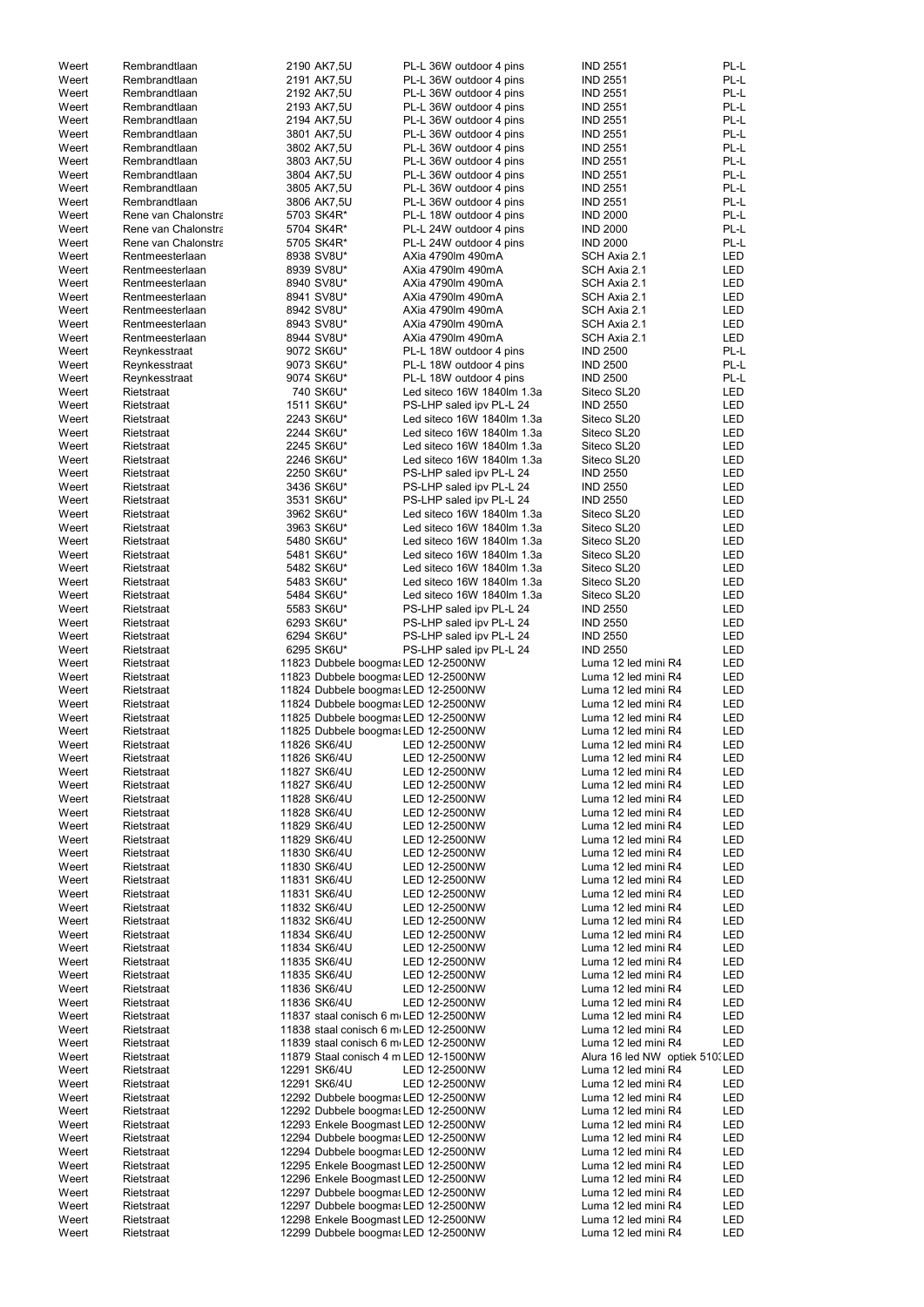|                |                          |                                                                            |                            | <b>IND 2551</b>                            | PL-L       |
|----------------|--------------------------|----------------------------------------------------------------------------|----------------------------|--------------------------------------------|------------|
| Weert          | Rembrandtlaan            | 2190 AK7,5U                                                                | PL-L 36W outdoor 4 pins    |                                            |            |
| Weert          | Rembrandtlaan            | 2191 AK7,5U                                                                | PL-L 36W outdoor 4 pins    | <b>IND 2551</b>                            | PL-L       |
| Weert          | Rembrandtlaan            | 2192 AK7,5U                                                                | PL-L 36W outdoor 4 pins    | <b>IND 2551</b>                            | PL-L       |
| Weert          | Rembrandtlaan            | 2193 AK7,5U                                                                | PL-L 36W outdoor 4 pins    | <b>IND 2551</b>                            | PL-L       |
| Weert          | Rembrandtlaan            | 2194 AK7,5U                                                                | PL-L 36W outdoor 4 pins    | <b>IND 2551</b>                            | PL-L       |
| Weert          | Rembrandtlaan            | 3801 AK7,5U                                                                | PL-L 36W outdoor 4 pins    | <b>IND 2551</b>                            | PL-L       |
| Weert          | Rembrandtlaan            | 3802 AK7,5U                                                                | PL-L 36W outdoor 4 pins    | <b>IND 2551</b>                            | PL-L       |
| Weert          | Rembrandtlaan            | 3803 AK7,5U                                                                | PL-L 36W outdoor 4 pins    | <b>IND 2551</b>                            | PL-L       |
| Weert          | Rembrandtlaan            | 3804 AK7,5U                                                                | PL-L 36W outdoor 4 pins    | <b>IND 2551</b>                            | PL-L       |
| Weert          | Rembrandtlaan            | 3805 AK7,5U                                                                | PL-L 36W outdoor 4 pins    | <b>IND 2551</b>                            | PL-L       |
| Weert          | Rembrandtlaan            |                                                                            |                            |                                            | PL-L       |
|                |                          | 3806 AK7,5U                                                                | PL-L 36W outdoor 4 pins    | <b>IND 2551</b>                            |            |
| Weert          | Rene van Chalonstra      | 5703 SK4R*                                                                 | PL-L 18W outdoor 4 pins    | <b>IND 2000</b>                            | PL-L       |
| Weert          | Rene van Chalonstra      | 5704 SK4R*                                                                 | PL-L 24W outdoor 4 pins    | <b>IND 2000</b>                            | PL-L       |
| Weert          | Rene van Chalonstra      | 5705 SK4R*                                                                 | PL-L 24W outdoor 4 pins    | <b>IND 2000</b>                            | PL-L       |
| Weert          | Rentmeesterlaan          | 8938 SV8U*                                                                 | AXia 4790lm 490mA          | SCH Axia 2.1                               | <b>LED</b> |
| Weert          | Rentmeesterlaan          | 8939 SV8U*                                                                 | AXia 4790lm 490mA          | SCH Axia 2.1                               | LED        |
| Weert          | Rentmeesterlaan          | 8940 SV8U*                                                                 | AXia 4790lm 490mA          | SCH Axia 2.1                               | <b>LED</b> |
| Weert          | Rentmeesterlaan          | 8941 SV8U*                                                                 | AXia 4790lm 490mA          | SCH Axia 2.1                               | LED        |
| Weert          | Rentmeesterlaan          | 8942 SV8U*                                                                 | AXia 4790lm 490mA          | SCH Axia 2.1                               | LED        |
| Weert          | Rentmeesterlaan          | 8943 SV8U*                                                                 | AXia 4790lm 490mA          | SCH Axia 2.1                               | LED        |
| Weert          | Rentmeesterlaan          | 8944 SV8U*                                                                 | AXia 4790lm 490mA          | SCH Axia 2.1                               | <b>LED</b> |
|                |                          | 9072 SK6U*                                                                 |                            | <b>IND 2500</b>                            | PL-L       |
| Weert          | Reynkesstraat            |                                                                            | PL-L 18W outdoor 4 pins    |                                            |            |
| Weert          | Reynkesstraat            | 9073 SK6U*                                                                 | PL-L 18W outdoor 4 pins    | <b>IND 2500</b>                            | PL-L       |
| Weert          | Reynkesstraat            | 9074 SK6U*                                                                 | PL-L 18W outdoor 4 pins    | <b>IND 2500</b>                            | PL-L       |
| Weert          | Rietstraat               | 740 SK6U*                                                                  | Led siteco 16W 1840lm 1.3a | Siteco SL20                                | LED        |
| Weert          | Rietstraat               | 1511 SK6U*                                                                 | PS-LHP saled ipv PL-L 24   | <b>IND 2550</b>                            | LED        |
| Weert          | Rietstraat               | 2243 SK6U*                                                                 | Led siteco 16W 1840lm 1.3a | Siteco SL20                                | <b>LED</b> |
| Weert          | Rietstraat               | 2244 SK6U*                                                                 | Led siteco 16W 1840lm 1.3a | Siteco SL20                                | LED        |
| Weert          | Rietstraat               | 2245 SK6U*                                                                 | Led siteco 16W 1840lm 1.3a | Siteco SL20                                | <b>LED</b> |
| Weert          | Rietstraat               | 2246 SK6U*                                                                 | Led siteco 16W 1840lm 1.3a | Siteco SL20                                | <b>LED</b> |
| Weert          | Rietstraat               | 2250 SK6U*                                                                 | PS-LHP saled ipv PL-L 24   | <b>IND 2550</b>                            | LED        |
|                |                          |                                                                            |                            |                                            |            |
| Weert          | Rietstraat               | 3436 SK6U*                                                                 | PS-LHP saled ipv PL-L 24   | <b>IND 2550</b>                            | LED        |
| Weert          | Rietstraat               | 3531 SK6U*                                                                 | PS-LHP saled ipv PL-L 24   | <b>IND 2550</b>                            | <b>LED</b> |
| Weert          | Rietstraat               | 3962 SK6U*                                                                 | Led siteco 16W 1840lm 1.3a | Siteco SL20                                | LED        |
| Weert          | Rietstraat               | 3963 SK6U*                                                                 | Led siteco 16W 1840lm 1.3a | Siteco SL20                                | LED        |
| Weert          | Rietstraat               | 5480 SK6U*                                                                 | Led siteco 16W 1840lm 1.3a | Siteco SL20                                | <b>LED</b> |
| Weert          | Rietstraat               | 5481 SK6U*                                                                 | Led siteco 16W 1840lm 1.3a | Siteco SL20                                | LED        |
| Weert          | Rietstraat               | 5482 SK6U*                                                                 | Led siteco 16W 1840lm 1.3a | Siteco SL20                                | LED        |
| Weert          | Rietstraat               | 5483 SK6U*                                                                 | Led siteco 16W 1840lm 1.3a | Siteco SL20                                | LED        |
| Weert          | Rietstraat               | 5484 SK6U*                                                                 | Led siteco 16W 1840lm 1.3a | Siteco SL20                                | LED        |
| Weert          | Rietstraat               | 5583 SK6U*                                                                 | PS-LHP saled ipv PL-L 24   | <b>IND 2550</b>                            | <b>LED</b> |
|                |                          |                                                                            |                            |                                            |            |
| Weert          | Rietstraat               | 6293 SK6U*                                                                 | PS-LHP saled ipv PL-L 24   | <b>IND 2550</b>                            | LED        |
| Weert          | Rietstraat               | 6294 SK6U*                                                                 | PS-LHP saled ipv PL-L 24   | <b>IND 2550</b>                            | LED        |
| Weert          | Rietstraat               | 6295 SK6U*                                                                 | PS-LHP saled ipv PL-L 24   | <b>IND 2550</b>                            | LED        |
| Weert          | Rietstraat               | 11823 Dubbele boogmas LED 12-2500NW                                        |                            | Luma 12 led mini R4                        | LED        |
| Weert          | Rietstraat               | 11823 Dubbele boogmas LED 12-2500NW                                        |                            | Luma 12 led mini R4                        | LED        |
| Weert          | Rietstraat               | 11824 Dubbele boogmas LED 12-2500NW                                        |                            | Luma 12 led mini R4                        | LED        |
| Weert          | Rietstraat               | 11824 Dubbele boogmas LED 12-2500NW                                        |                            | Luma 12 led mini R4                        | LED        |
| Weert          | Rietstraat               | 11825 Dubbele boogmas LED 12-2500NW                                        |                            | Luma 12 led mini R4                        | LED        |
| Weert          | Rietstraat               | 11825 Dubbele boogmas LED 12-2500NW                                        |                            | Luma 12 led mini R4                        | LED        |
|                |                          |                                                                            |                            |                                            |            |
| Weert          | Rietstraat               | 11826 SK6/4U                                                               | LED 12-2500NW              | Luma 12 led mini R4                        | LED        |
| Weert          | Rietstraat               | 11826 SK6/4U                                                               | LED 12-2500NW              | Luma 12 led mini R4                        | LED        |
| Weert          | Rietstraat               | 11827 SK6/4U                                                               | LED 12-2500NW              | Luma 12 led mini R4                        | <b>LED</b> |
| Weert          | Rietstraat               | 11827 SK6/4U                                                               | LED 12-2500NW              | Luma 12 led mini R4                        | LED        |
| Weert          | Rietstraat               | 11828 SK6/4U                                                               | LED 12-2500NW              | Luma 12 led mini R4                        | LED        |
| Weert          | Rietstraat               | 11828 SK6/4U                                                               | LED 12-2500NW              | Luma 12 led mini R4                        | LED        |
| Weert          | Rietstraat               | 11829 SK6/4U                                                               | LED 12-2500NW              | Luma 12 led mini R4                        | LED        |
| Weert          | Rietstraat               | 11829 SK6/4U                                                               | LED 12-2500NW              | Luma 12 led mini R4                        | <b>LED</b> |
| Weert          | Rietstraat               | 11830 SK6/4U                                                               | LED 12-2500NW              | Luma 12 led mini R4                        | LED        |
| Weert          | Rietstraat               | 11830 SK6/4U                                                               | LED 12-2500NW              | Luma 12 led mini R4                        | LED        |
| Weert          | Rietstraat               | 11831 SK6/4U                                                               | LED 12-2500NW              | Luma 12 led mini R4                        | LED        |
| Weert          | Rietstraat               | 11831 SK6/4U                                                               | LED 12-2500NW              | Luma 12 led mini R4                        | LED        |
| Weert          | Rietstraat               | 11832 SK6/4U                                                               | LED 12-2500NW              | Luma 12 led mini R4                        | LED        |
|                |                          |                                                                            |                            |                                            |            |
| Weert          | Rietstraat               | 11832 SK6/4U                                                               | LED 12-2500NW              | Luma 12 led mini R4                        | LED        |
| Weert          | Rietstraat               | 11834 SK6/4U                                                               | LED 12-2500NW              | Luma 12 led mini R4                        | LED        |
| Weert          | Rietstraat               | 11834 SK6/4U                                                               | LED 12-2500NW              | Luma 12 led mini R4                        | LED        |
| Weert          | Rietstraat               | 11835 SK6/4U                                                               | LED 12-2500NW              | Luma 12 led mini R4                        | LED        |
| Weert          | Rietstraat               | 11835 SK6/4U                                                               | LED 12-2500NW              | Luma 12 led mini R4                        | <b>LED</b> |
| Weert          | Rietstraat               | 11836 SK6/4U                                                               | LED 12-2500NW              | Luma 12 led mini R4                        | LED        |
| Weert          | Rietstraat               | 11836 SK6/4U                                                               | LED 12-2500NW              | Luma 12 led mini R4                        | LED        |
| Weert          | Rietstraat               | 11837 staal conisch 6 m LED 12-2500NW                                      |                            | Luma 12 led mini R4                        | LED        |
| Weert          | Rietstraat               | 11838 staal conisch 6 m LED 12-2500NW                                      |                            | Luma 12 led mini R4                        | LED        |
| Weert          | Rietstraat               | 11839 staal conisch 6 m LED 12-2500NW                                      |                            | Luma 12 led mini R4                        | <b>LED</b> |
|                |                          |                                                                            |                            |                                            |            |
| Weert          | Rietstraat               | 11879 Staal conisch 4 m LED 12-1500NW                                      |                            | Alura 16 led NW optiek 510. LED            |            |
| Weert          | Rietstraat               | 12291 SK6/4U                                                               | LED 12-2500NW              | Luma 12 led mini R4                        | LED        |
| Weert          | Rietstraat               | 12291 SK6/4U                                                               | LED 12-2500NW              | Luma 12 led mini R4                        | <b>LED</b> |
| Weert          | Rietstraat               | 12292 Dubbele boogmas LED 12-2500NW                                        |                            | Luma 12 led mini R4                        | <b>LED</b> |
|                |                          |                                                                            |                            | Luma 12 led mini R4                        | LED        |
| Weert          | Rietstraat               | 12292 Dubbele boogmas LED 12-2500NW                                        |                            |                                            |            |
| Weert          | Rietstraat               | 12293 Enkele Boogmast LED 12-2500NW                                        |                            | Luma 12 led mini R4                        | LED        |
| Weert          | Rietstraat               | 12294 Dubbele boogmas LED 12-2500NW                                        |                            | Luma 12 led mini R4                        | LED        |
|                |                          |                                                                            |                            |                                            |            |
| Weert          | Rietstraat               | 12294 Dubbele boogmas LED 12-2500NW                                        |                            | Luma 12 led mini R4                        | <b>LED</b> |
| Weert          | Rietstraat               | 12295 Enkele Boogmast LED 12-2500NW                                        |                            | Luma 12 led mini R4                        | <b>LED</b> |
| Weert          | Rietstraat               | 12296 Enkele Boogmast LED 12-2500NW                                        |                            | Luma 12 led mini R4                        | <b>LED</b> |
| Weert          | Rietstraat               | 12297 Dubbele boogmas LED 12-2500NW                                        |                            | Luma 12 led mini R4                        | <b>LED</b> |
| Weert          | Rietstraat               | 12297 Dubbele boogmas LED 12-2500NW                                        |                            | Luma 12 led mini R4                        | LED        |
| Weert<br>Weert | Rietstraat<br>Rietstraat | 12298 Enkele Boogmast LED 12-2500NW<br>12299 Dubbele boogmas LED 12-2500NW |                            | Luma 12 led mini R4<br>Luma 12 led mini R4 | LED<br>LED |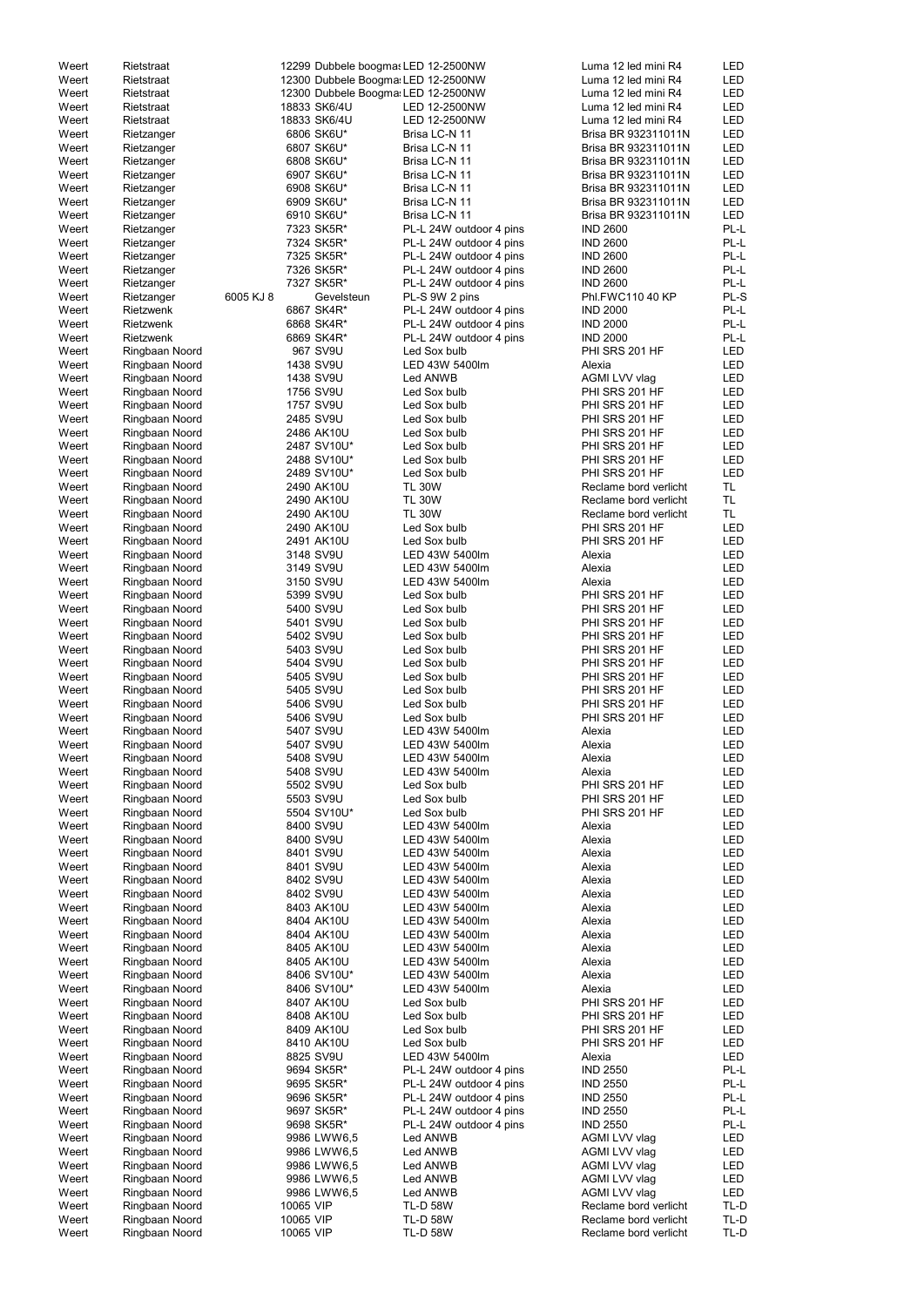| Weert | Rietstraat     |           |           | 12299 Dubbele boogmas LED 12-2500NW |                         | Luma 12 led mini R4   | LED        |
|-------|----------------|-----------|-----------|-------------------------------------|-------------------------|-----------------------|------------|
| Weert | Rietstraat     |           |           | 12300 Dubbele Boogma: LED 12-2500NW |                         | Luma 12 led mini R4   | <b>LED</b> |
| Weert | Rietstraat     |           |           | 12300 Dubbele Boogma: LED 12-2500NW |                         | Luma 12 led mini R4   | <b>LED</b> |
| Weert | Rietstraat     |           |           | 18833 SK6/4U                        | LED 12-2500NW           | Luma 12 led mini R4   | <b>LED</b> |
| Weert |                |           |           | 18833 SK6/4U                        | LED 12-2500NW           | Luma 12 led mini R4   | <b>LED</b> |
|       | Rietstraat     |           |           |                                     |                         |                       |            |
| Weert | Rietzanger     |           |           | 6806 SK6U*                          | Brisa LC-N 11           | Brisa BR 932311011N   | <b>LED</b> |
| Weert | Rietzanger     |           |           | 6807 SK6U*                          | Brisa LC-N 11           | Brisa BR 932311011N   | <b>LED</b> |
| Weert | Rietzanger     |           |           | 6808 SK6U*                          | Brisa LC-N 11           | Brisa BR 932311011N   | <b>LED</b> |
| Weert | Rietzanger     |           |           | 6907 SK6U*                          | Brisa LC-N 11           | Brisa BR 932311011N   | <b>LED</b> |
| Weert | Rietzanger     |           |           | 6908 SK6U*                          | Brisa LC-N 11           | Brisa BR 932311011N   | LED        |
|       |                |           |           |                                     |                         |                       | <b>LED</b> |
| Weert | Rietzanger     |           |           | 6909 SK6U*                          | Brisa LC-N 11           | Brisa BR 932311011N   |            |
| Weert | Rietzanger     |           |           | 6910 SK6U*                          | Brisa LC-N 11           | Brisa BR 932311011N   | <b>LED</b> |
| Weert | Rietzanger     |           |           | 7323 SK5R*                          | PL-L 24W outdoor 4 pins | <b>IND 2600</b>       | PL-L       |
| Weert | Rietzanger     |           |           | 7324 SK5R*                          | PL-L 24W outdoor 4 pins | <b>IND 2600</b>       | PL-L       |
| Weert | Rietzanger     |           |           | 7325 SK5R*                          | PL-L 24W outdoor 4 pins | <b>IND 2600</b>       | PL-L       |
| Weert | Rietzanger     |           |           | 7326 SK5R*                          | PL-L 24W outdoor 4 pins | <b>IND 2600</b>       | PL-L       |
| Weert | Rietzanger     |           |           | 7327 SK5R*                          | PL-L 24W outdoor 4 pins | <b>IND 2600</b>       | PL-L       |
|       |                |           |           |                                     |                         |                       |            |
| Weert | Rietzanger     | 6005 KJ 8 |           | Gevelsteun                          | PL-S 9W 2 pins          | Phl.FWC110 40 KP      | PL-S       |
| Weert | Rietzwenk      |           |           | 6867 SK4R*                          | PL-L 24W outdoor 4 pins | <b>IND 2000</b>       | PL-L       |
| Weert | Rietzwenk      |           |           | 6868 SK4R*                          | PL-L 24W outdoor 4 pins | <b>IND 2000</b>       | PL-L       |
| Weert | Rietzwenk      |           |           | 6869 SK4R*                          | PL-L 24W outdoor 4 pins | <b>IND 2000</b>       | PL-L       |
| Weert | Ringbaan Noord |           |           | 967 SV9U                            | Led Sox bulb            | PHI SRS 201 HF        | <b>LED</b> |
| Weert | Ringbaan Noord |           |           | 1438 SV9U                           | LED 43W 5400lm          | Alexia                | <b>LED</b> |
| Weert |                |           |           | 1438 SV9U                           | Led ANWB                | AGMI LVV vlag         | LED        |
|       | Ringbaan Noord |           |           |                                     |                         |                       |            |
| Weert | Ringbaan Noord |           |           | 1756 SV9U                           | Led Sox bulb            | PHI SRS 201 HF        | <b>LED</b> |
| Weert | Ringbaan Noord |           |           | 1757 SV9U                           | Led Sox bulb            | PHI SRS 201 HF        | <b>LED</b> |
| Weert | Ringbaan Noord |           |           | 2485 SV9U                           | Led Sox bulb            | PHI SRS 201 HF        | <b>LED</b> |
| Weert | Ringbaan Noord |           |           | 2486 AK10U                          | Led Sox bulb            | PHI SRS 201 HF        | <b>LED</b> |
| Weert | Ringbaan Noord |           |           | 2487 SV10U*                         | Led Sox bulb            | PHI SRS 201 HF        | <b>LED</b> |
|       |                |           |           |                                     |                         |                       | <b>LED</b> |
| Weert | Ringbaan Noord |           |           | 2488 SV10U*                         | Led Sox bulb            | PHI SRS 201 HF        |            |
| Weert | Ringbaan Noord |           |           | 2489 SV10U*                         | Led Sox bulb            | PHI SRS 201 HF        | <b>LED</b> |
| Weert | Ringbaan Noord |           |           | 2490 AK10U                          | <b>TL 30W</b>           | Reclame bord verlicht | TL.        |
| Weert | Ringbaan Noord |           |           | 2490 AK10U                          | <b>TL 30W</b>           | Reclame bord verlicht | TL.        |
| Weert | Ringbaan Noord |           |           | 2490 AK10U                          | <b>TL 30W</b>           | Reclame bord verlicht | TL.        |
| Weert | Ringbaan Noord |           |           | 2490 AK10U                          | Led Sox bulb            | PHI SRS 201 HF        | <b>LED</b> |
|       |                |           |           |                                     |                         |                       | <b>LED</b> |
| Weert | Ringbaan Noord |           |           | 2491 AK10U                          | Led Sox bulb            | PHI SRS 201 HF        |            |
| Weert | Ringbaan Noord |           |           | 3148 SV9U                           | LED 43W 5400lm          | Alexia                | <b>LED</b> |
| Weert | Ringbaan Noord |           |           | 3149 SV9U                           | LED 43W 5400lm          | Alexia                | <b>LED</b> |
| Weert | Ringbaan Noord |           |           | 3150 SV9U                           | LED 43W 5400lm          | Alexia                | <b>LED</b> |
| Weert | Ringbaan Noord |           |           | 5399 SV9U                           | Led Sox bulb            | PHI SRS 201 HF        | <b>LED</b> |
| Weert | Ringbaan Noord |           |           | 5400 SV9U                           | Led Sox bulb            | PHI SRS 201 HF        | LED        |
|       |                |           |           |                                     |                         |                       |            |
| Weert | Ringbaan Noord |           |           | 5401 SV9U                           | Led Sox bulb            | PHI SRS 201 HF        | <b>LED</b> |
| Weert | Ringbaan Noord |           |           | 5402 SV9U                           | Led Sox bulb            | PHI SRS 201 HF        | <b>LED</b> |
| Weert | Ringbaan Noord |           |           | 5403 SV9U                           | Led Sox bulb            | PHI SRS 201 HF        | <b>LED</b> |
| Weert | Ringbaan Noord |           |           | 5404 SV9U                           | Led Sox bulb            | PHI SRS 201 HF        | <b>LED</b> |
| Weert | Ringbaan Noord |           |           | 5405 SV9U                           | Led Sox bulb            | PHI SRS 201 HF        | <b>LED</b> |
| Weert | Ringbaan Noord |           |           | 5405 SV9U                           | Led Sox bulb            | PHI SRS 201 HF        | <b>LED</b> |
|       |                |           |           |                                     |                         |                       |            |
| Weert | Ringbaan Noord |           |           | 5406 SV9U                           | Led Sox bulb            | PHI SRS 201 HF        | <b>LED</b> |
| Weert | Ringbaan Noord |           |           | 5406 SV9U                           | Led Sox bulb            | PHI SRS 201 HF        | <b>LED</b> |
| Weert | Ringbaan Noord |           |           | 5407 SV9U                           | LED 43W 5400lm          | Alexia                | <b>LED</b> |
| Weert | Ringbaan Noord |           |           | 5407 SV9U                           | LED 43W 5400lm          | Alexia                | <b>LED</b> |
| Weert | Ringbaan Noord |           |           | 5408 SV9U                           | LED 43W 5400lm          | Alexia                | <b>LED</b> |
| Weert |                |           |           | 5408 SV9U                           | LED 43W 5400lm          | Alexia                | <b>LED</b> |
|       | Ringbaan Noord |           |           |                                     |                         |                       |            |
| Weert | Ringbaan Noord |           |           | 5502 SV9U                           | Led Sox bulb            | PHI SRS 201 HF        | <b>LED</b> |
| Weert | Ringbaan Noord |           |           | 5503 SV9U                           | Led Sox bulb            | PHI SRS 201 HF        | <b>LED</b> |
| Weert | Ringbaan Noord |           |           | 5504 SV10U*                         | Led Sox bulb            | PHI SRS 201 HF        | <b>LED</b> |
| Weert | Ringbaan Noord |           |           | 8400 SV9U                           | LED 43W 5400lm          | Alexia                | <b>LED</b> |
| Weert | Ringbaan Noord |           |           | 8400 SV9U                           | LED 43W 5400lm          | Alexia                | LED        |
| Weert |                |           |           | 8401 SV9U                           | LED 43W 5400lm          | Alexia                | <b>LED</b> |
|       | Ringbaan Noord |           |           |                                     |                         |                       |            |
| Weert | Ringbaan Noord |           |           | 8401 SV9U                           | LED 43W 5400lm          | Alexia                | LED        |
| Weert | Ringbaan Noord |           |           | 8402 SV9U                           | LED 43W 5400lm          | Alexia                | <b>LED</b> |
| Weert | Ringbaan Noord |           |           | 8402 SV9U                           | LED 43W 5400lm          | Alexia                | <b>LED</b> |
| Weert | Ringbaan Noord |           |           | 8403 AK10U                          | LED 43W 5400lm          | Alexia                | LED        |
| Weert | Ringbaan Noord |           |           | 8404 AK10U                          | LED 43W 5400lm          | Alexia                | LED        |
|       |                |           |           |                                     |                         |                       | <b>LED</b> |
| Weert | Ringbaan Noord |           |           | 8404 AK10U                          | LED 43W 5400lm          | Alexia                |            |
| Weert | Ringbaan Noord |           |           | 8405 AK10U                          | LED 43W 5400lm          | Alexia                | LED        |
| Weert | Ringbaan Noord |           |           | 8405 AK10U                          | LED 43W 5400lm          | Alexia                | <b>LED</b> |
| Weert | Ringbaan Noord |           |           | 8406 SV10U*                         | LED 43W 5400lm          | Alexia                | LED        |
| Weert | Ringbaan Noord |           |           | 8406 SV10U*                         | LED 43W 5400lm          | Alexia                | LED        |
| Weert | Ringbaan Noord |           |           | 8407 AK10U                          | Led Sox bulb            | PHI SRS 201 HF        | LED        |
|       |                |           |           |                                     |                         |                       |            |
| Weert | Ringbaan Noord |           |           | 8408 AK10U                          | Led Sox bulb            | PHI SRS 201 HF        | LED        |
| Weert | Ringbaan Noord |           |           | 8409 AK10U                          | Led Sox bulb            | PHI SRS 201 HF        | LED        |
| Weert | Ringbaan Noord |           |           | 8410 AK10U                          | Led Sox bulb            | PHI SRS 201 HF        | <b>LED</b> |
| Weert | Ringbaan Noord |           |           | 8825 SV9U                           | LED 43W 5400lm          | Alexia                | LED        |
| Weert | Ringbaan Noord |           |           | 9694 SK5R*                          | PL-L 24W outdoor 4 pins | <b>IND 2550</b>       | PL-L       |
| Weert | Ringbaan Noord |           |           | 9695 SK5R*                          | PL-L 24W outdoor 4 pins |                       | PL-L       |
|       |                |           |           |                                     |                         | <b>IND 2550</b>       |            |
| Weert | Ringbaan Noord |           |           | 9696 SK5R*                          | PL-L 24W outdoor 4 pins | <b>IND 2550</b>       | PL-L       |
| Weert | Ringbaan Noord |           |           | 9697 SK5R*                          | PL-L 24W outdoor 4 pins | <b>IND 2550</b>       | PL-L       |
| Weert | Ringbaan Noord |           |           | 9698 SK5R*                          | PL-L 24W outdoor 4 pins | <b>IND 2550</b>       | PL-L       |
| Weert | Ringbaan Noord |           |           | 9986 LWW6,5                         | Led ANWB                | AGMI LVV vlag         | LED        |
| Weert | Ringbaan Noord |           |           | 9986 LWW6,5                         | Led ANWB                | AGMI LVV vlag         | LED        |
|       |                |           |           |                                     |                         |                       |            |
| Weert | Ringbaan Noord |           |           | 9986 LWW6,5                         | Led ANWB                | AGMI LVV vlag         | LED        |
| Weert | Ringbaan Noord |           |           | 9986 LWW6,5                         | Led ANWB                | AGMI LVV vlag         | LED        |
| Weert | Ringbaan Noord |           |           | 9986 LWW6,5                         | Led ANWB                | AGMI LVV vlag         | LED        |
| Weert | Ringbaan Noord |           | 10065 VIP |                                     | <b>TL-D 58W</b>         | Reclame bord verlicht | TL-D       |
| Weert | Ringbaan Noord |           | 10065 VIP |                                     | <b>TL-D 58W</b>         | Reclame bord verlicht | TL-D       |
| Weert | Ringbaan Noord |           | 10065 VIP |                                     | <b>TL-D 58W</b>         | Reclame bord verlicht | TL-D       |
|       |                |           |           |                                     |                         |                       |            |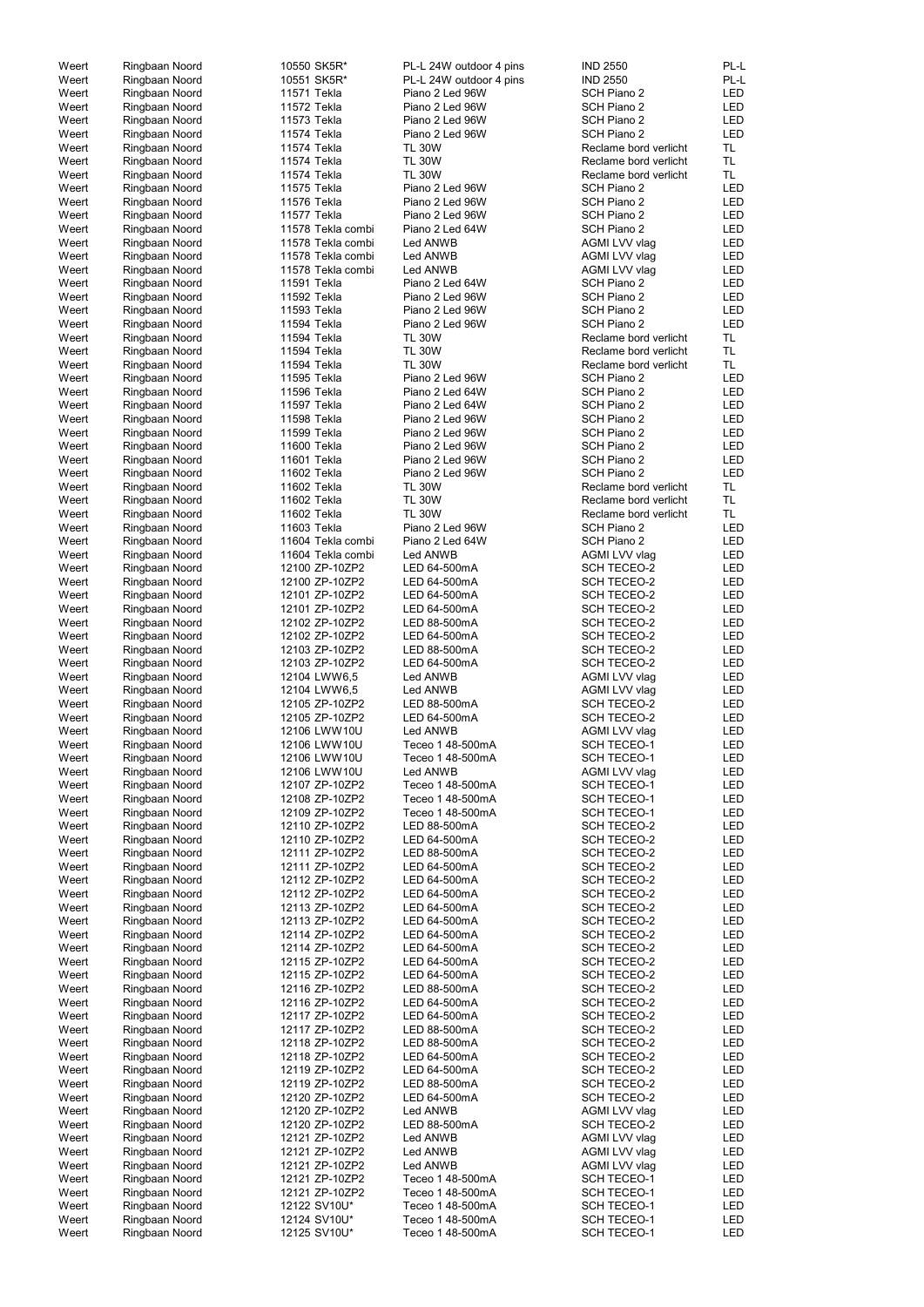| Weert          | Ringbaan Noord                   | 10550 SK5R*                  | PL-L 24W outdoor 4 pins              | <b>IND 2550</b>                          | PL-L       |
|----------------|----------------------------------|------------------------------|--------------------------------------|------------------------------------------|------------|
| Weert          | Ringbaan Noord                   | 10551 SK5R*                  | PL-L 24W outdoor 4 pins              | <b>IND 2550</b>                          | PL-L       |
| Weert          | Ringbaan Noord                   | 11571 Tekla                  | Piano 2 Led 96W                      | SCH Piano 2                              | LED        |
| Weert          | Ringbaan Noord                   | 11572 Tekla                  | Piano 2 Led 96W                      | SCH Piano 2                              | LED        |
| Weert          | Ringbaan Noord                   | 11573 Tekla                  | Piano 2 Led 96W                      | SCH Piano 2                              | <b>LED</b> |
|                |                                  |                              |                                      |                                          |            |
| Weert          | Ringbaan Noord                   | 11574 Tekla                  | Piano 2 Led 96W                      | SCH Piano 2                              | <b>LED</b> |
| Weert          | Ringbaan Noord                   | 11574 Tekla                  | <b>TL 30W</b>                        | Reclame bord verlicht                    | TL.        |
| Weert          | Ringbaan Noord                   | 11574 Tekla                  | <b>TL 30W</b>                        | Reclame bord verlicht                    | TL.        |
| Weert          | Ringbaan Noord                   | 11574 Tekla                  | <b>TL 30W</b>                        | Reclame bord verlicht                    | TL.        |
| Weert          | Ringbaan Noord                   | 11575 Tekla                  | Piano 2 Led 96W                      | SCH Piano 2                              | LED        |
|                |                                  |                              |                                      |                                          |            |
| Weert          | Ringbaan Noord                   | 11576 Tekla                  | Piano 2 Led 96W                      | SCH Piano 2                              | LED        |
| Weert          | Ringbaan Noord                   | 11577 Tekla                  | Piano 2 Led 96W                      | SCH Piano 2                              | LED        |
| Weert          | Ringbaan Noord                   | 11578 Tekla combi            | Piano 2 Led 64W                      | SCH Piano 2                              | LED        |
| Weert          | Ringbaan Noord                   | 11578 Tekla combi            | Led ANWB                             | AGMI LVV vlag                            | LED        |
| Weert          | Ringbaan Noord                   | 11578 Tekla combi            | Led ANWB                             | AGMI LVV vlag                            | LED        |
|                |                                  |                              |                                      |                                          |            |
| Weert          | Ringbaan Noord                   | 11578 Tekla combi            | Led ANWB                             | AGMI LVV vlag                            | LED        |
| Weert          | Ringbaan Noord                   | 11591 Tekla                  | Piano 2 Led 64W                      | SCH Piano 2                              | <b>LED</b> |
| Weert          | Ringbaan Noord                   | 11592 Tekla                  | Piano 2 Led 96W                      | SCH Piano 2                              | <b>LED</b> |
| Weert          | Ringbaan Noord                   | 11593 Tekla                  | Piano 2 Led 96W                      | SCH Piano 2                              | <b>LED</b> |
| Weert          |                                  | 11594 Tekla                  | Piano 2 Led 96W                      | SCH Piano 2                              | <b>LED</b> |
|                | Ringbaan Noord                   |                              |                                      |                                          |            |
| Weert          | Ringbaan Noord                   | 11594 Tekla                  | <b>TL 30W</b>                        | Reclame bord verlicht                    | TL.        |
| Weert          | Ringbaan Noord                   | 11594 Tekla                  | <b>TL 30W</b>                        | Reclame bord verlicht                    | TL.        |
| Weert          | Ringbaan Noord                   | 11594 Tekla                  | <b>TL 30W</b>                        | Reclame bord verlicht                    | TL.        |
| Weert          | Ringbaan Noord                   | 11595 Tekla                  | Piano 2 Led 96W                      | SCH Piano 2                              | <b>LED</b> |
|                |                                  |                              |                                      |                                          |            |
| Weert          | Ringbaan Noord                   | 11596 Tekla                  | Piano 2 Led 64W                      | SCH Piano 2                              | LED        |
| Weert          | Ringbaan Noord                   | 11597 Tekla                  | Piano 2 Led 64W                      | SCH Piano 2                              | LED        |
| Weert          | Ringbaan Noord                   | 11598 Tekla                  | Piano 2 Led 96W                      | SCH Piano 2                              | LED        |
| Weert          | Ringbaan Noord                   | 11599 Tekla                  | Piano 2 Led 96W                      | SCH Piano 2                              | LED        |
| Weert          | Ringbaan Noord                   | 11600 Tekla                  | Piano 2 Led 96W                      | SCH Piano 2                              | LED        |
|                |                                  |                              |                                      |                                          |            |
| Weert          | Ringbaan Noord                   | 11601 Tekla                  | Piano 2 Led 96W                      | SCH Piano 2                              | <b>LED</b> |
| Weert          | Ringbaan Noord                   | 11602 Tekla                  | Piano 2 Led 96W                      | SCH Piano 2                              | <b>LED</b> |
| Weert          | Ringbaan Noord                   | 11602 Tekla                  | <b>TL 30W</b>                        | Reclame bord verlicht                    | TL.        |
| Weert          | Ringbaan Noord                   | 11602 Tekla                  | <b>TL 30W</b>                        | Reclame bord verlicht                    | <b>TL</b>  |
| Weert          | Ringbaan Noord                   | 11602 Tekla                  | <b>TL 30W</b>                        | Reclame bord verlicht                    | TL.        |
|                |                                  |                              |                                      |                                          |            |
| Weert          | Ringbaan Noord                   | 11603 Tekla                  | Piano 2 Led 96W                      | SCH Piano 2                              | <b>LED</b> |
| Weert          | Ringbaan Noord                   | 11604 Tekla combi            | Piano 2 Led 64W                      | SCH Piano 2                              | <b>LED</b> |
| Weert          | Ringbaan Noord                   | 11604 Tekla combi            | Led ANWB                             | AGMI LVV vlag                            | LED        |
| Weert          | Ringbaan Noord                   | 12100 ZP-10ZP2               | LED 64-500mA                         | <b>SCH TECEO-2</b>                       | LED        |
| Weert          | Ringbaan Noord                   | 12100 ZP-10ZP2               | LED 64-500mA                         | <b>SCH TECEO-2</b>                       | LED        |
|                |                                  |                              |                                      |                                          |            |
| Weert          | Ringbaan Noord                   | 12101 ZP-10ZP2               | LED 64-500mA                         | <b>SCH TECEO-2</b>                       | LED        |
| Weert          | Ringbaan Noord                   | 12101 ZP-10ZP2               | LED 64-500mA                         | <b>SCH TECEO-2</b>                       | <b>LED</b> |
| Weert          | Ringbaan Noord                   | 12102 ZP-10ZP2               | LED 88-500mA                         | <b>SCH TECEO-2</b>                       | <b>LED</b> |
| Weert          | Ringbaan Noord                   | 12102 ZP-10ZP2               | LED 64-500mA                         | <b>SCH TECEO-2</b>                       | <b>LED</b> |
| Weert          | Ringbaan Noord                   | 12103 ZP-10ZP2               | LED 88-500mA                         | <b>SCH TECEO-2</b>                       | <b>LED</b> |
|                |                                  |                              |                                      |                                          |            |
| Weert          | Ringbaan Noord                   | 12103 ZP-10ZP2               | LED 64-500mA                         | <b>SCH TECEO-2</b>                       | LED        |
| Weert          | Ringbaan Noord                   | 12104 LWW6,5                 | Led ANWB                             | AGMI LVV vlag                            | LED        |
| Weert          | Ringbaan Noord                   | 12104 LWW6,5                 | Led ANWB                             | AGMI LVV vlag                            | LED        |
| Weert          | Ringbaan Noord                   | 12105 ZP-10ZP2               | LED 88-500mA                         | <b>SCH TECEO-2</b>                       | LED        |
|                |                                  |                              |                                      |                                          |            |
| Weert          | Ringbaan Noord                   | 12105 ZP-10ZP2               | LED 64-500mA                         | <b>SCH TECEO-2</b>                       | LED        |
| Weert          | Ringbaan Noord                   | 12106 LWW10U                 | Led ANWB                             | AGMI LVV vlag                            | LED        |
| Weert          | Ringbaan Noord                   | 12106 LWW10U                 | Teceo 1 48-500mA                     | SCH TECEO-1                              | LED        |
| Weert          | Ringbaan Noord                   | 12106 LWW10U                 | Teceo 1 48-500mA                     | <b>SCH TECEO-1</b>                       | LED        |
| Weert          | Ringbaan Noord                   | 12106 LWW10U                 | Led ANWB                             | AGMI LVV vlag                            | LED        |
|                |                                  |                              |                                      |                                          |            |
| Weert          | Ringbaan Noord                   | 12107 ZP-10ZP2               | Teceo 1 48-500mA                     | <b>SCH TECEO-1</b>                       | LED        |
| Weert          | Ringbaan Noord                   | 12108 ZP-10ZP2               | Teceo 1 48-500mA                     | <b>SCH TECEO-1</b>                       | LED        |
| Weert          | Ringbaan Noord                   | 12109 ZP-10ZP2               | Teceo 1 48-500mA                     | <b>SCH TECEO-1</b>                       | <b>LED</b> |
| Weert          | Ringbaan Noord                   | 12110 ZP-10ZP2               | LED 88-500mA                         | <b>SCH TECEO-2</b>                       | LED        |
| Weert          | Ringbaan Noord                   | 12110 ZP-10ZP2               | LED 64-500mA                         | <b>SCH TECEO-2</b>                       | LED        |
|                |                                  | 12111 ZP-10ZP2               | LED 88-500mA                         | <b>SCH TECEO-2</b>                       |            |
| Weert          | Ringbaan Noord                   |                              |                                      |                                          | LED        |
| Weert          | Ringbaan Noord                   | 12111 ZP-10ZP2               | LED 64-500mA                         | <b>SCH TECEO-2</b>                       | LED        |
| Weert          | Ringbaan Noord                   | 12112 ZP-10ZP2               | LED 64-500mA                         | <b>SCH TECEO-2</b>                       | LED        |
| Weert          | Ringbaan Noord                   | 12112 ZP-10ZP2               | LED 64-500mA                         | <b>SCH TECEO-2</b>                       | LED        |
| Weert          | Ringbaan Noord                   | 12113 ZP-10ZP2               | LED 64-500mA                         | <b>SCH TECEO-2</b>                       | LED        |
| Weert          | Ringbaan Noord                   | 12113 ZP-10ZP2               | LED 64-500mA                         | <b>SCH TECEO-2</b>                       | LED        |
| Weert          |                                  | 12114 ZP-10ZP2               | LED 64-500mA                         | <b>SCH TECEO-2</b>                       | LED        |
|                | Ringbaan Noord                   |                              |                                      |                                          |            |
| Weert          | Ringbaan Noord                   | 12114 ZP-10ZP2               | LED 64-500mA                         | <b>SCH TECEO-2</b>                       | LED        |
| Weert          | Ringbaan Noord                   | 12115 ZP-10ZP2               | LED 64-500mA                         | <b>SCH TECEO-2</b>                       | <b>LED</b> |
| Weert          | Ringbaan Noord                   | 12115 ZP-10ZP2               | LED 64-500mA                         | <b>SCH TECEO-2</b>                       | <b>LED</b> |
| Weert          | Ringbaan Noord                   | 12116 ZP-10ZP2               | LED 88-500mA                         | <b>SCH TECEO-2</b>                       | <b>LED</b> |
| Weert          | Ringbaan Noord                   | 12116 ZP-10ZP2               | LED 64-500mA                         | <b>SCH TECEO-2</b>                       | <b>LED</b> |
|                |                                  |                              |                                      |                                          |            |
| Weert          | Ringbaan Noord                   | 12117 ZP-10ZP2               | LED 64-500mA                         | <b>SCH TECEO-2</b>                       | LED        |
| Weert          | Ringbaan Noord                   | 12117 ZP-10ZP2               | LED 88-500mA                         | <b>SCH TECEO-2</b>                       | <b>LED</b> |
| Weert          | Ringbaan Noord                   | 12118 ZP-10ZP2               | LED 88-500mA                         | SCH TECEO-2                              | LED        |
| Weert          | Ringbaan Noord                   | 12118 ZP-10ZP2               | LED 64-500mA                         | <b>SCH TECEO-2</b>                       | LED        |
| Weert          | Ringbaan Noord                   | 12119 ZP-10ZP2               | LED 64-500mA                         | <b>SCH TECEO-2</b>                       | LED        |
|                |                                  |                              |                                      |                                          |            |
| Weert          | Ringbaan Noord                   | 12119 ZP-10ZP2               | LED 88-500mA                         | <b>SCH TECEO-2</b>                       | LED        |
| Weert          | Ringbaan Noord                   | 12120 ZP-10ZP2               | LED 64-500mA                         | <b>SCH TECEO-2</b>                       | LED        |
| Weert          | Ringbaan Noord                   | 12120 ZP-10ZP2               | Led ANWB                             | AGMI LVV vlag                            | LED        |
| Weert          | Ringbaan Noord                   | 12120 ZP-10ZP2               | LED 88-500mA                         | <b>SCH TECEO-2</b>                       | LED        |
|                |                                  |                              |                                      |                                          |            |
| Weert          | Ringbaan Noord                   | 12121 ZP-10ZP2               | Led ANWB                             | AGMI LVV vlag                            | LED        |
| Weert          | Ringbaan Noord                   | 12121 ZP-10ZP2               | Led ANWB                             | AGMI LVV vlag                            | LED        |
| Weert          | Ringbaan Noord                   | 12121 ZP-10ZP2               | Led ANWB                             | AGMI LVV vlag                            | LED        |
| Weert          | Ringbaan Noord                   | 12121 ZP-10ZP2               | Teceo 1 48-500mA                     | <b>SCH TECEO-1</b>                       | LED        |
| Weert          | Ringbaan Noord                   | 12121 ZP-10ZP2               | Teceo 1 48-500mA                     | SCH TECEO-1                              | LED        |
| Weert          |                                  |                              |                                      |                                          |            |
|                |                                  |                              |                                      |                                          |            |
|                | Ringbaan Noord                   | 12122 SV10U*                 | Teceo 1 48-500mA                     | <b>SCH TECEO-1</b>                       | LED        |
| Weert<br>Weert | Ringbaan Noord<br>Ringbaan Noord | 12124 SV10U*<br>12125 SV10U* | Teceo 1 48-500mA<br>Teceo 1 48-500mA | <b>SCH TECEO-1</b><br><b>SCH TECEO-1</b> | LED<br>LED |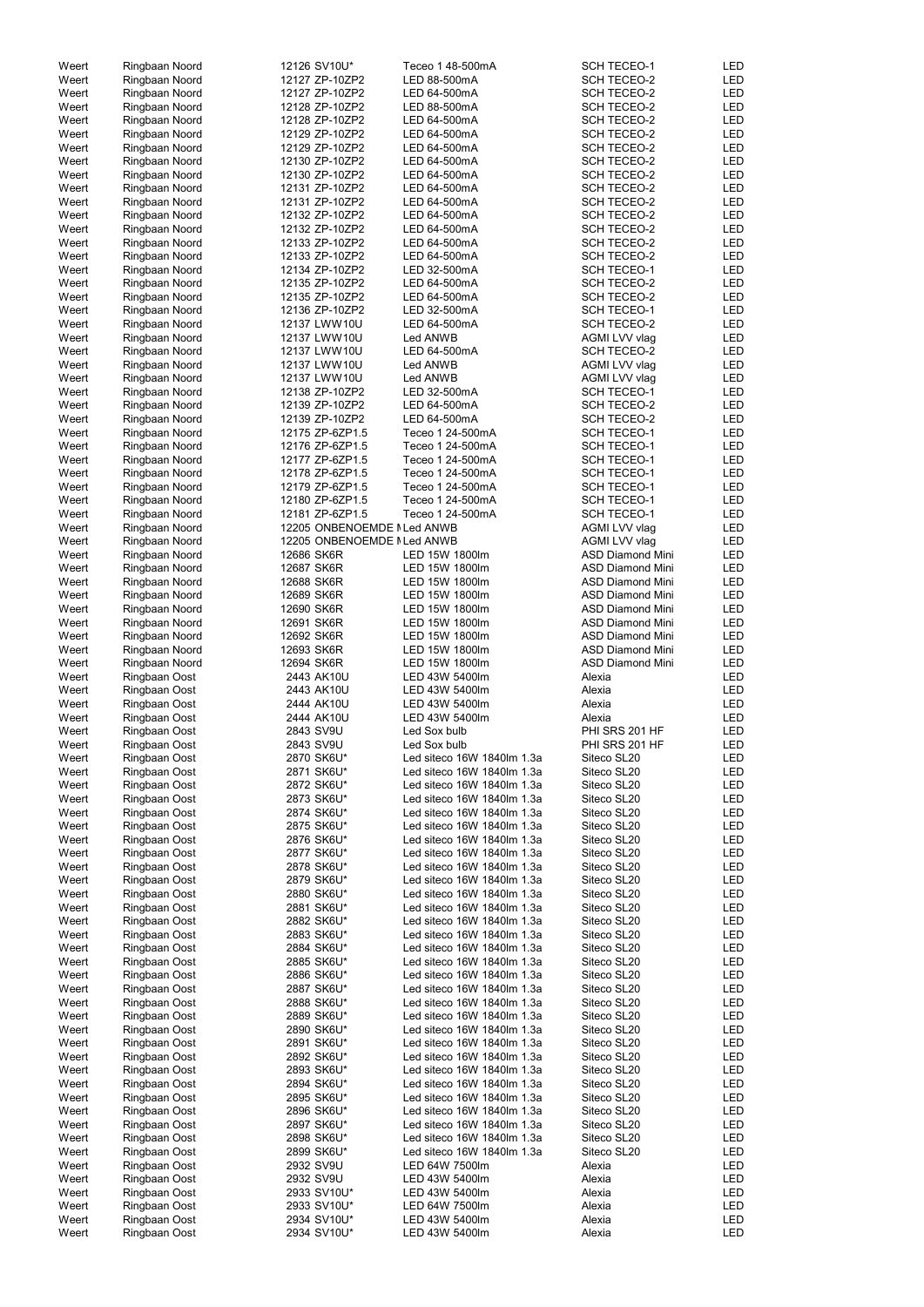| Weert          | Ringbaan Noord                 | 12126 SV10U*               | Teceo 1 48-500mA                 | <b>SCH TECEO-1</b>      | LED               |
|----------------|--------------------------------|----------------------------|----------------------------------|-------------------------|-------------------|
| Weert          | Ringbaan Noord                 | 12127 ZP-10ZP2             | LED 88-500mA                     | <b>SCH TECEO-2</b>      | <b>LED</b>        |
| Weert          | Ringbaan Noord                 | 12127 ZP-10ZP2             | LED 64-500mA                     | <b>SCH TECEO-2</b>      | <b>LED</b>        |
| Weert          | Ringbaan Noord                 | 12128 ZP-10ZP2             | LED 88-500mA                     | <b>SCH TECEO-2</b>      | <b>LED</b>        |
| Weert          | Ringbaan Noord                 | 12128 ZP-10ZP2             | LED 64-500mA                     | <b>SCH TECEO-2</b>      | <b>LED</b>        |
| Weert          | Ringbaan Noord                 | 12129 ZP-10ZP2             | LED 64-500mA                     | <b>SCH TECEO-2</b>      | <b>LED</b>        |
|                |                                |                            |                                  |                         |                   |
| Weert          | Ringbaan Noord                 | 12129 ZP-10ZP2             | LED 64-500mA                     | <b>SCH TECEO-2</b>      | <b>LED</b>        |
| Weert          | Ringbaan Noord                 | 12130 ZP-10ZP2             | LED 64-500mA                     | <b>SCH TECEO-2</b>      | <b>LED</b>        |
| Weert          | Ringbaan Noord                 | 12130 ZP-10ZP2             | LED 64-500mA                     | <b>SCH TECEO-2</b>      | <b>LED</b>        |
| Weert          | Ringbaan Noord                 | 12131 ZP-10ZP2             | LED 64-500mA                     | <b>SCH TECEO-2</b>      | <b>LED</b>        |
| Weert          | Ringbaan Noord                 | 12131 ZP-10ZP2             | LED 64-500mA                     | <b>SCH TECEO-2</b>      | LED               |
| Weert          | Ringbaan Noord                 | 12132 ZP-10ZP2             | LED 64-500mA                     | <b>SCH TECEO-2</b>      | <b>LED</b>        |
|                |                                |                            |                                  |                         |                   |
| Weert          | Ringbaan Noord                 | 12132 ZP-10ZP2             | LED 64-500mA                     | <b>SCH TECEO-2</b>      | <b>LED</b>        |
| Weert          | Ringbaan Noord                 | 12133 ZP-10ZP2             | LED 64-500mA                     | <b>SCH TECEO-2</b>      | <b>LED</b>        |
| Weert          | Ringbaan Noord                 | 12133 ZP-10ZP2             | LED 64-500mA                     | <b>SCH TECEO-2</b>      | <b>LED</b>        |
| Weert          | Ringbaan Noord                 | 12134 ZP-10ZP2             | LED 32-500mA                     | <b>SCH TECEO-1</b>      | <b>LED</b>        |
| Weert          | Ringbaan Noord                 | 12135 ZP-10ZP2             | LED 64-500mA                     | <b>SCH TECEO-2</b>      | <b>LED</b>        |
| Weert          | Ringbaan Noord                 | 12135 ZP-10ZP2             | LED 64-500mA                     | <b>SCH TECEO-2</b>      | <b>LED</b>        |
| Weert          | Ringbaan Noord                 | 12136 ZP-10ZP2             | LED 32-500mA                     | <b>SCH TECEO-1</b>      | <b>LED</b>        |
| Weert          | Ringbaan Noord                 | 12137 LWW10U               | LED 64-500mA                     | <b>SCH TECEO-2</b>      | <b>LED</b>        |
|                |                                |                            |                                  |                         |                   |
| Weert          | Ringbaan Noord                 | 12137 LWW10U               | Led ANWB                         | AGMI LVV vlag           | <b>LED</b>        |
| Weert          | Ringbaan Noord                 | 12137 LWW10U               | LED 64-500mA                     | <b>SCH TECEO-2</b>      | <b>LED</b>        |
| Weert          | Ringbaan Noord                 | 12137 LWW10U               | Led ANWB                         | AGMI LVV vlag           | <b>LED</b>        |
| Weert          | Ringbaan Noord                 | 12137 LWW10U               | Led ANWB                         | AGMI LVV vlag           | <b>LED</b>        |
| Weert          | Ringbaan Noord                 | 12138 ZP-10ZP2             | LED 32-500mA                     | <b>SCH TECEO-1</b>      | <b>LED</b>        |
| Weert          | Ringbaan Noord                 | 12139 ZP-10ZP2             | LED 64-500mA                     | <b>SCH TECEO-2</b>      | <b>LED</b>        |
| Weert          | Ringbaan Noord                 | 12139 ZP-10ZP2             | LED 64-500mA                     | <b>SCH TECEO-2</b>      | <b>LED</b>        |
|                |                                |                            |                                  |                         |                   |
| Weert          | Ringbaan Noord                 | 12175 ZP-6ZP1.5            | Teceo 1 24-500mA                 | <b>SCH TECEO-1</b>      | <b>LED</b>        |
| Weert          | Ringbaan Noord                 | 12176 ZP-6ZP1.5            | Teceo 1 24-500mA                 | <b>SCH TECEO-1</b>      | <b>LED</b>        |
| Weert          | Ringbaan Noord                 | 12177 ZP-6ZP1.5            | Teceo 1 24-500mA                 | <b>SCH TECEO-1</b>      | <b>LED</b>        |
| Weert          | Ringbaan Noord                 | 12178 ZP-6ZP1.5            | Teceo 1 24-500mA                 | <b>SCH TECEO-1</b>      | <b>LED</b>        |
| Weert          | Ringbaan Noord                 | 12179 ZP-6ZP1.5            | Teceo 1 24-500mA                 | <b>SCH TECEO-1</b>      | <b>LED</b>        |
| Weert          | Ringbaan Noord                 | 12180 ZP-6ZP1.5            | Teceo 1 24-500mA                 | <b>SCH TECEO-1</b>      | <b>LED</b>        |
| Weert          | Ringbaan Noord                 | 12181 ZP-6ZP1.5            | Teceo 1 24-500mA                 | <b>SCH TECEO-1</b>      | <b>LED</b>        |
| Weert          |                                | 12205 ONBENOEMDE NLed ANWB |                                  | AGMI LVV vlag           | <b>LED</b>        |
|                | Ringbaan Noord                 |                            |                                  |                         |                   |
| Weert          | Ringbaan Noord                 | 12205 ONBENOEMDE MLed ANWB |                                  | AGMI LVV vlag           | LED               |
| Weert          | Ringbaan Noord                 | 12686 SK6R                 | LED 15W 1800lm                   | <b>ASD Diamond Mini</b> | <b>LED</b>        |
| Weert          | Ringbaan Noord                 | 12687 SK6R                 | LED 15W 1800lm                   | <b>ASD Diamond Mini</b> | <b>LED</b>        |
| Weert          | Ringbaan Noord                 | 12688 SK6R                 | LED 15W 1800lm                   | <b>ASD Diamond Mini</b> | <b>LED</b>        |
| Weert          | Ringbaan Noord                 | 12689 SK6R                 | LED 15W 1800lm                   | <b>ASD Diamond Mini</b> | <b>LED</b>        |
| Weert          | Ringbaan Noord                 | 12690 SK6R                 | LED 15W 1800lm                   | <b>ASD Diamond Mini</b> | <b>LED</b>        |
| Weert          |                                | 12691 SK6R                 | LED 15W 1800lm                   | <b>ASD Diamond Mini</b> | <b>LED</b>        |
|                | Ringbaan Noord                 |                            |                                  |                         |                   |
| Weert          | Ringbaan Noord                 | 12692 SK6R                 | LED 15W 1800lm                   | <b>ASD Diamond Mini</b> | <b>LED</b>        |
| Weert          | Ringbaan Noord                 | 12693 SK6R                 | LED 15W 1800lm                   | <b>ASD Diamond Mini</b> | <b>LED</b>        |
| Weert          | Ringbaan Noord                 | 12694 SK6R                 | LED 15W 1800lm                   | <b>ASD Diamond Mini</b> | <b>LED</b>        |
| Weert          | Ringbaan Oost                  | 2443 AK10U                 | LED 43W 5400lm                   | Alexia                  | <b>LED</b>        |
| Weert          | Ringbaan Oost                  | 2443 AK10U                 | LED 43W 5400lm                   | Alexia                  | <b>LED</b>        |
| Weert          | Ringbaan Oost                  | 2444 AK10U                 | LED 43W 5400lm                   | Alexia                  | <b>LED</b>        |
| Weert          |                                |                            | LED 43W 5400lm                   | Alexia                  | <b>LED</b>        |
|                | Ringbaan Oost                  | 2444 AK10U                 |                                  |                         |                   |
| Weert          | Ringbaan Oost                  | 2843 SV9U                  | Led Sox bulb                     | PHI SRS 201 HF          | LED               |
| Weert          | Ringbaan Oost                  | 2843 SV9U                  | Led Sox bulb                     | PHI SRS 201 HF          | LED               |
| Weert          | Ringbaan Oost                  | 2870 SK6U*                 | Led siteco 16W 1840lm 1.3a       | Siteco SL20             | <b>LED</b>        |
| Weert          | Ringbaan Oost                  | 2871 SK6U*                 | Led siteco 16W 1840lm 1.3a       | Siteco SL20             | <b>LED</b>        |
| Weert          | Ringbaan Oost                  | 2872 SK6U*                 | Led siteco 16W 1840lm 1.3a       | Siteco SL20             | <b>LED</b>        |
| Weert          | Ringbaan Oost                  | 2873 SK6U*                 | Led siteco 16W 1840lm 1.3a       | Siteco SL20             | <b>LED</b>        |
| Weert          | Ringbaan Oost                  | 2874 SK6U*                 | Led siteco 16W 1840lm 1.3a       | Siteco SL20             | <b>LED</b>        |
|                |                                |                            |                                  |                         |                   |
| Weert          | Ringbaan Oost                  | 2875 SK6U*                 | Led siteco 16W 1840lm 1.3a       | Siteco SL20             | LED               |
| Weert          | Ringbaan Oost                  | 2876 SK6U*                 | Led siteco 16W 1840lm 1.3a       | Siteco SL20             | <b>LED</b>        |
| Weert          | Ringbaan Oost                  | 2877 SK6U*                 | Led siteco 16W 1840lm 1.3a       | Siteco SL20             | <b>LED</b>        |
| Weert          | Ringbaan Oost                  | 2878 SK6U*                 | Led siteco 16W 1840lm 1.3a       | Siteco SL20             | <b>LED</b>        |
| Weert          | Ringbaan Oost                  | 2879 SK6U*                 | Led siteco 16W 1840lm 1.3a       | Siteco SL20             | <b>LED</b>        |
| Weert          | Ringbaan Oost                  | 2880 SK6U*                 | Led siteco 16W 1840lm 1.3a       | Siteco SL20             | <b>LED</b>        |
| Weert          | Ringbaan Oost                  | 2881 SK6U*                 | Led siteco 16W 1840lm 1.3a       | Siteco SL20             | <b>LED</b>        |
| Weert          | Ringbaan Oost                  | 2882 SK6U*                 | Led siteco 16W 1840lm 1.3a       | Siteco SL20             | <b>LED</b>        |
| Weert          |                                |                            | Led siteco 16W 1840lm 1.3a       |                         |                   |
|                | Ringbaan Oost                  | 2883 SK6U*                 |                                  | Siteco SL20             | <b>LED</b>        |
| Weert          | Ringbaan Oost                  | 2884 SK6U*                 | Led siteco 16W 1840lm 1.3a       | Siteco SL20             | <b>LED</b>        |
| Weert          | Ringbaan Oost                  | 2885 SK6U*                 | Led siteco 16W 1840lm 1.3a       | Siteco SL20             | <b>LED</b>        |
| Weert          | Ringbaan Oost                  | 2886 SK6U*                 | Led siteco 16W 1840lm 1.3a       | Siteco SL20             | <b>LED</b>        |
| Weert          | Ringbaan Oost                  | 2887 SK6U*                 | Led siteco 16W 1840lm 1.3a       | Siteco SL20             | <b>LED</b>        |
| Weert          | Ringbaan Oost                  | 2888 SK6U*                 | Led siteco 16W 1840lm 1.3a       | Siteco SL20             | <b>LED</b>        |
| Weert          | Ringbaan Oost                  | 2889 SK6U*                 | Led siteco 16W 1840lm 1.3a       | Siteco SL20             | LED               |
| Weert          | Ringbaan Oost                  | 2890 SK6U*                 | Led siteco 16W 1840lm 1.3a       | Siteco SL20             | <b>LED</b>        |
|                |                                |                            |                                  |                         |                   |
| Weert          | Ringbaan Oost                  | 2891 SK6U*                 | Led siteco 16W 1840lm 1.3a       | Siteco SL20             | <b>LED</b>        |
| Weert          | Ringbaan Oost                  | 2892 SK6U*                 | Led siteco 16W 1840lm 1.3a       | Siteco SL20             | LED               |
| Weert          | Ringbaan Oost                  | 2893 SK6U*                 | Led siteco 16W 1840lm 1.3a       | Siteco SL20             | LED               |
| Weert          | Ringbaan Oost                  | 2894 SK6U*                 | Led siteco 16W 1840lm 1.3a       | Siteco SL20             | LED               |
| Weert          |                                | 2895 SK6U*                 | Led siteco 16W 1840lm 1.3a       | Siteco SL20             | LED               |
| Weert          |                                |                            |                                  | Siteco SL20             | LED               |
| Weert          | Ringbaan Oost                  |                            |                                  |                         |                   |
|                | Ringbaan Oost                  | 2896 SK6U*                 | Led siteco 16W 1840lm 1.3a       |                         |                   |
|                | Ringbaan Oost                  | 2897 SK6U*                 | Led siteco 16W 1840lm 1.3a       | Siteco SL20             | LED               |
| Weert          | Ringbaan Oost                  | 2898 SK6U*                 | Led siteco 16W 1840lm 1.3a       | Siteco SL20             | LED               |
| Weert          | Ringbaan Oost                  | 2899 SK6U*                 | Led siteco 16W 1840lm 1.3a       | Siteco SL20             | LED               |
| Weert          | Ringbaan Oost                  | 2932 SV9U                  | LED 64W 7500lm                   | Alexia                  | LED               |
| Weert          | Ringbaan Oost                  | 2932 SV9U                  | LED 43W 5400lm                   | Alexia                  | LED               |
|                |                                | 2933 SV10U*                |                                  |                         |                   |
| Weert          | Ringbaan Oost                  |                            | LED 43W 5400lm                   | Alexia                  | LED               |
| Weert          | Ringbaan Oost                  | 2933 SV10U*                | LED 64W 7500lm                   | Alexia                  | LED               |
| Weert<br>Weert | Ringbaan Oost<br>Ringbaan Oost | 2934 SV10U*<br>2934 SV10U* | LED 43W 5400lm<br>LED 43W 5400lm | Alexia<br>Alexia        | LED<br><b>LED</b> |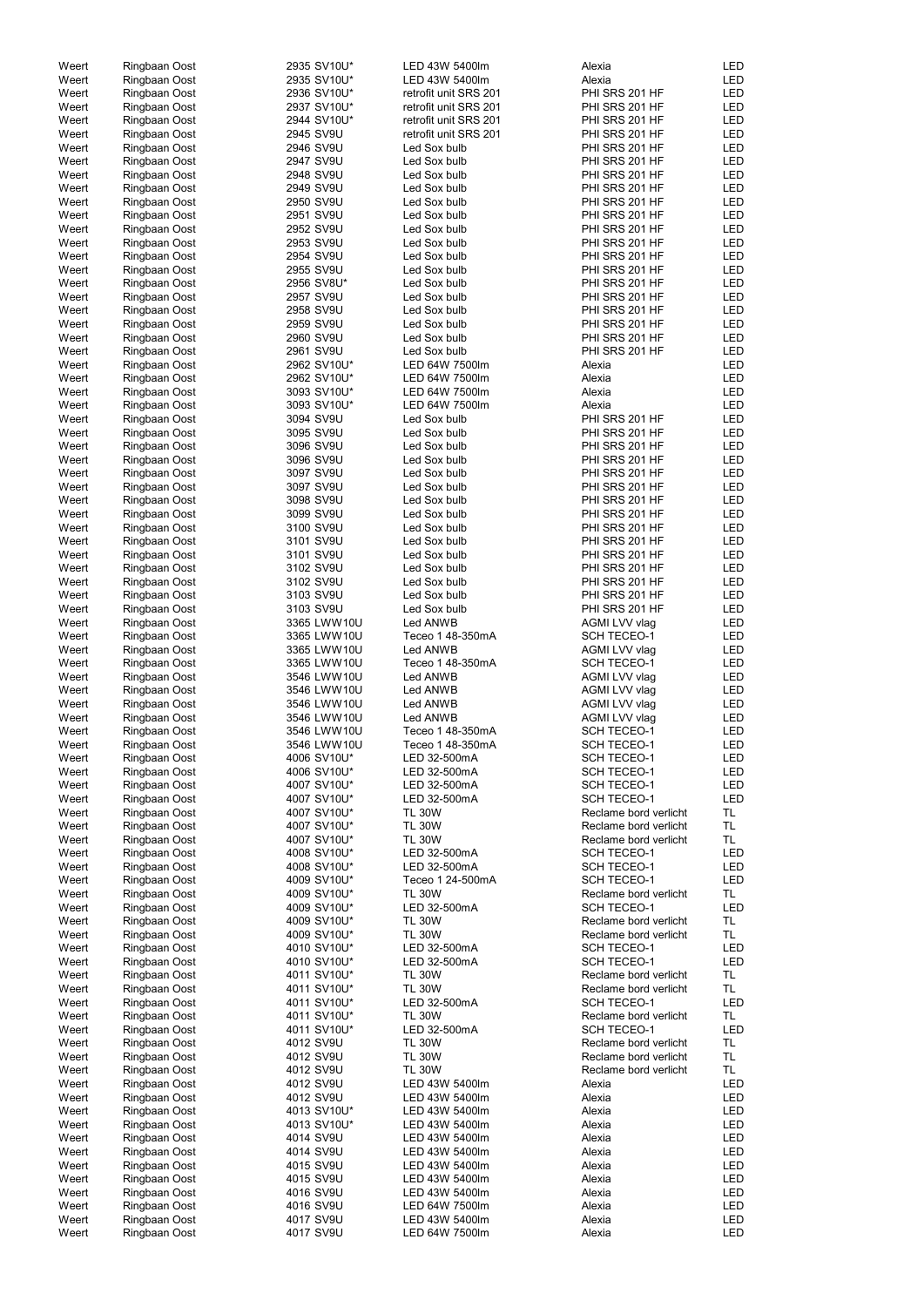| Weert          | Ringbaan Oost                  | 2935 SV10U*                | LED 43W 5400lm                                 | Alexia                                         | <b>LED</b>               |
|----------------|--------------------------------|----------------------------|------------------------------------------------|------------------------------------------------|--------------------------|
| Weert          | Ringbaan Oost                  | 2935 SV10U*                | LED 43W 5400lm                                 | Alexia                                         | LED                      |
| Weert<br>Weert | Ringbaan Oost<br>Ringbaan Oost | 2936 SV10U*<br>2937 SV10U* | retrofit unit SRS 201<br>retrofit unit SRS 201 | PHI SRS 201 HF<br>PHI SRS 201 HF               | <b>LED</b><br><b>LED</b> |
| Weert          | Ringbaan Oost                  | 2944 SV10U*                | retrofit unit SRS 201                          | PHI SRS 201 HF                                 | <b>LED</b>               |
| Weert          | Ringbaan Oost                  | 2945 SV9U                  | retrofit unit SRS 201                          | PHI SRS 201 HF                                 | LED                      |
| Weert          | Ringbaan Oost                  | 2946 SV9U                  | Led Sox bulb                                   | PHI SRS 201 HF                                 | <b>LED</b>               |
| Weert          | Ringbaan Oost                  | 2947 SV9U                  | Led Sox bulb                                   | PHI SRS 201 HF                                 | LED                      |
| Weert          | Ringbaan Oost                  | 2948 SV9U                  | Led Sox bulb                                   | PHI SRS 201 HF                                 | <b>LED</b>               |
| Weert          | Ringbaan Oost                  | 2949 SV9U                  | Led Sox bulb                                   | PHI SRS 201 HF                                 | LED                      |
| Weert<br>Weert | Ringbaan Oost<br>Ringbaan Oost | 2950 SV9U<br>2951 SV9U     | Led Sox bulb<br>Led Sox bulb                   | PHI SRS 201 HF<br>PHI SRS 201 HF               | <b>LED</b><br><b>LED</b> |
| Weert          | Ringbaan Oost                  | 2952 SV9U                  | Led Sox bulb                                   | PHI SRS 201 HF                                 | <b>LED</b>               |
| Weert          | Ringbaan Oost                  | 2953 SV9U                  | Led Sox bulb                                   | PHI SRS 201 HF                                 | <b>LED</b>               |
| Weert          | Ringbaan Oost                  | 2954 SV9U                  | Led Sox bulb                                   | PHI SRS 201 HF                                 | LED                      |
| Weert          | Ringbaan Oost                  | 2955 SV9U                  | Led Sox bulb                                   | PHI SRS 201 HF                                 | LED                      |
| Weert<br>Weert | Ringbaan Oost                  | 2956 SV8U*<br>2957 SV9U    | Led Sox bulb<br>Led Sox bulb                   | PHI SRS 201 HF<br>PHI SRS 201 HF               | <b>LED</b><br>LED        |
| Weert          | Ringbaan Oost<br>Ringbaan Oost | 2958 SV9U                  | Led Sox bulb                                   | PHI SRS 201 HF                                 | <b>LED</b>               |
| Weert          | Ringbaan Oost                  | 2959 SV9U                  | Led Sox bulb                                   | PHI SRS 201 HF                                 | LED                      |
| Weert          | Ringbaan Oost                  | 2960 SV9U                  | Led Sox bulb                                   | PHI SRS 201 HF                                 | <b>LED</b>               |
| Weert          | Ringbaan Oost                  | 2961 SV9U                  | Led Sox bulb                                   | PHI SRS 201 HF                                 | LED                      |
| Weert          | Ringbaan Oost                  | 2962 SV10U*                | LED 64W 7500lm                                 | Alexia                                         | <b>LED</b>               |
| Weert<br>Weert | Ringbaan Oost<br>Ringbaan Oost | 2962 SV10U*<br>3093 SV10U* | LED 64W 7500lm<br>LED 64W 7500lm               | Alexia<br>Alexia                               | <b>LED</b><br><b>LED</b> |
| Weert          | Ringbaan Oost                  | 3093 SV10U*                | LED 64W 7500lm                                 | Alexia                                         | LED                      |
| Weert          | Ringbaan Oost                  | 3094 SV9U                  | Led Sox bulb                                   | PHI SRS 201 HF                                 | <b>LED</b>               |
| Weert          | Ringbaan Oost                  | 3095 SV9U                  | Led Sox bulb                                   | PHI SRS 201 HF                                 | <b>LED</b>               |
| Weert          | Ringbaan Oost                  | 3096 SV9U                  | Led Sox bulb                                   | PHI SRS 201 HF                                 | <b>LED</b>               |
| Weert          | Ringbaan Oost                  | 3096 SV9U                  | Led Sox bulb                                   | PHI SRS 201 HF                                 | <b>LED</b>               |
| Weert<br>Weert | Ringbaan Oost<br>Ringbaan Oost | 3097 SV9U<br>3097 SV9U     | Led Sox bulb<br>Led Sox bulb                   | PHI SRS 201 HF<br>PHI SRS 201 HF               | <b>LED</b><br><b>LED</b> |
| Weert          | Ringbaan Oost                  | 3098 SV9U                  | Led Sox bulb                                   | PHI SRS 201 HF                                 | <b>LED</b>               |
| Weert          | Ringbaan Oost                  | 3099 SV9U                  | Led Sox bulb                                   | PHI SRS 201 HF                                 | <b>LED</b>               |
| Weert          | Ringbaan Oost                  | 3100 SV9U                  | Led Sox bulb                                   | PHI SRS 201 HF                                 | LED                      |
| Weert          | Ringbaan Oost                  | 3101 SV9U                  | Led Sox bulb                                   | PHI SRS 201 HF                                 | <b>LED</b>               |
| Weert<br>Weert | Ringbaan Oost                  | 3101 SV9U<br>3102 SV9U     | Led Sox bulb<br>Led Sox bulb                   | PHI SRS 201 HF<br>PHI SRS 201 HF               | LED<br>LED               |
| Weert          | Ringbaan Oost<br>Ringbaan Oost | 3102 SV9U                  | Led Sox bulb                                   | PHI SRS 201 HF                                 | <b>LED</b>               |
| Weert          | Ringbaan Oost                  | 3103 SV9U                  | Led Sox bulb                                   | PHI SRS 201 HF                                 | LED                      |
| Weert          | Ringbaan Oost                  | 3103 SV9U                  | Led Sox bulb                                   | PHI SRS 201 HF                                 | <b>LED</b>               |
| Weert          | Ringbaan Oost                  | 3365 LWW10U                | Led ANWB                                       | AGMI LVV vlag                                  | LED                      |
| Weert          | Ringbaan Oost                  | 3365 LWW10U                | Teceo 1 48-350mA                               | <b>SCH TECEO-1</b>                             | <b>LED</b>               |
| Weert<br>Weert | Ringbaan Oost<br>Ringbaan Oost | 3365 LWW10U<br>3365 LWW10U | Led ANWB<br>Teceo 1 48-350mA                   | AGMI LVV vlag<br><b>SCH TECEO-1</b>            | <b>LED</b><br><b>LED</b> |
| Weert          | Ringbaan Oost                  | 3546 LWW10U                | Led ANWB                                       | AGMI LVV vlag                                  | LED                      |
| Weert          | Ringbaan Oost                  | 3546 LWW10U                | Led ANWB                                       | AGMI LVV vlag                                  | LED                      |
| Weert          | Ringbaan Oost                  | 3546 LWW10U                | Led ANWB                                       | AGMI LVV vlag                                  | LED                      |
| Weert          | Ringbaan Oost                  | 3546 LWW10U                | Led ANWB                                       | AGMI LVV vlag                                  | LED                      |
| Weert<br>Weert | Ringbaan Oost<br>Ringbaan Oost | 3546 LWW10U<br>3546 LWW10U | Teceo 1 48-350mA<br>Teceo 1 48-350mA           | <b>SCH TECEO-1</b><br><b>SCH TECEO-1</b>       | LED<br>LED               |
| Weert          | Ringbaan Oost                  | 4006 SV10U*                | LED 32-500mA                                   | <b>SCH TECEO-1</b>                             | LED                      |
| Weert          | Ringbaan Oost                  | 4006 SV10U*                | LED 32-500mA                                   | <b>SCH TECEO-1</b>                             | <b>LED</b>               |
| Weert          | Ringbaan Oost                  | 4007 SV10U*                | LED 32-500mA                                   | <b>SCH TECEO-1</b>                             | <b>LED</b>               |
| Weert          | Ringbaan Oost                  | 4007 SV10U*                | LED 32-500mA                                   | <b>SCH TECEO-1</b>                             | <b>LED</b>               |
| Weert<br>Weert | Ringbaan Oost<br>Ringbaan Oost | 4007 SV10U*<br>4007 SV10U* | <b>TL 30W</b><br><b>TL 30W</b>                 | Reclame bord verlicht<br>Reclame bord verlicht | TL<br><b>TL</b>          |
| Weert          | Ringbaan Oost                  | 4007 SV10U*                | <b>TL 30W</b>                                  | Reclame bord verlicht                          | <b>TL</b>                |
| Weert          | Ringbaan Oost                  | 4008 SV10U*                | LED 32-500mA                                   | <b>SCH TECEO-1</b>                             | <b>LED</b>               |
| Weert          | Ringbaan Oost                  | 4008 SV10U*                | LED 32-500mA                                   | <b>SCH TECEO-1</b>                             | <b>LED</b>               |
| Weert          | Ringbaan Oost                  | 4009 SV10U*                | Teceo 1 24-500mA                               | <b>SCH TECEO-1</b>                             | <b>LED</b>               |
| Weert<br>Weert | Ringbaan Oost<br>Ringbaan Oost | 4009 SV10U*<br>4009 SV10U* | <b>TL 30W</b><br>LED 32-500mA                  | Reclame bord verlicht<br><b>SCH TECEO-1</b>    | TL<br><b>LED</b>         |
| Weert          | Ringbaan Oost                  | 4009 SV10U*                | <b>TL 30W</b>                                  | Reclame bord verlicht                          | TL.                      |
| Weert          | Ringbaan Oost                  | 4009 SV10U*                | <b>TL 30W</b>                                  | Reclame bord verlicht                          | <b>TL</b>                |
| Weert          | Ringbaan Oost                  | 4010 SV10U*                | LED 32-500mA                                   | <b>SCH TECEO-1</b>                             | <b>LED</b>               |
| Weert          | Ringbaan Oost                  | 4010 SV10U*                | LED 32-500mA                                   | <b>SCH TECEO-1</b>                             | LED                      |
| Weert          | Ringbaan Oost                  | 4011 SV10U*                | <b>TL 30W</b>                                  | Reclame bord verlicht                          | TL.                      |
| Weert<br>Weert | Ringbaan Oost<br>Ringbaan Oost | 4011 SV10U*<br>4011 SV10U* | <b>TL 30W</b><br>LED 32-500mA                  | Reclame bord verlicht<br><b>SCH TECEO-1</b>    | <b>TL</b><br><b>LED</b>  |
| Weert          | Ringbaan Oost                  | 4011 SV10U*                | <b>TL 30W</b>                                  | Reclame bord verlicht                          | TL.                      |
| Weert          | Ringbaan Oost                  | 4011 SV10U*                | LED 32-500mA                                   | <b>SCH TECEO-1</b>                             | <b>LED</b>               |
| Weert          | Ringbaan Oost                  | 4012 SV9U                  | <b>TL 30W</b>                                  | Reclame bord verlicht                          | <b>TL</b>                |
| Weert          | Ringbaan Oost                  | 4012 SV9U                  | <b>TL 30W</b>                                  | Reclame bord verlicht                          | TL                       |
| Weert<br>Weert | Ringbaan Oost<br>Ringbaan Oost | 4012 SV9U<br>4012 SV9U     | <b>TL 30W</b><br>LED 43W 5400lm                | Reclame bord verlicht<br>Alexia                | TL<br>LED                |
| Weert          | Ringbaan Oost                  | 4012 SV9U                  | LED 43W 5400lm                                 | Alexia                                         | LED                      |
| Weert          | Ringbaan Oost                  | 4013 SV10U*                | LED 43W 5400lm                                 | Alexia                                         | <b>LED</b>               |
| Weert          | Ringbaan Oost                  | 4013 SV10U*                | LED 43W 5400lm                                 | Alexia                                         | LED                      |
| Weert          | Ringbaan Oost                  | 4014 SV9U                  | LED 43W 5400lm                                 | Alexia                                         | LED                      |
| Weert          | Ringbaan Oost                  | 4014 SV9U                  | LED 43W 5400lm                                 | Alexia                                         | LED                      |
| Weert<br>Weert | Ringbaan Oost<br>Ringbaan Oost | 4015 SV9U<br>4015 SV9U     | LED 43W 5400lm<br>LED 43W 5400lm               | Alexia<br>Alexia                               | <b>LED</b><br>LED        |
| Weert          | Ringbaan Oost                  | 4016 SV9U                  | LED 43W 5400lm                                 | Alexia                                         | LED                      |
| Weert          | Ringbaan Oost                  | 4016 SV9U                  | LED 64W 7500lm                                 | Alexia                                         | LED                      |
| Weert          | Ringbaan Oost                  | 4017 SV9U                  | LED 43W 5400lm                                 | Alexia                                         | LED                      |
| Weert          | Ringbaan Oost                  | 4017 SV9U                  | LED 64W 7500lm                                 | Alexia                                         | LED                      |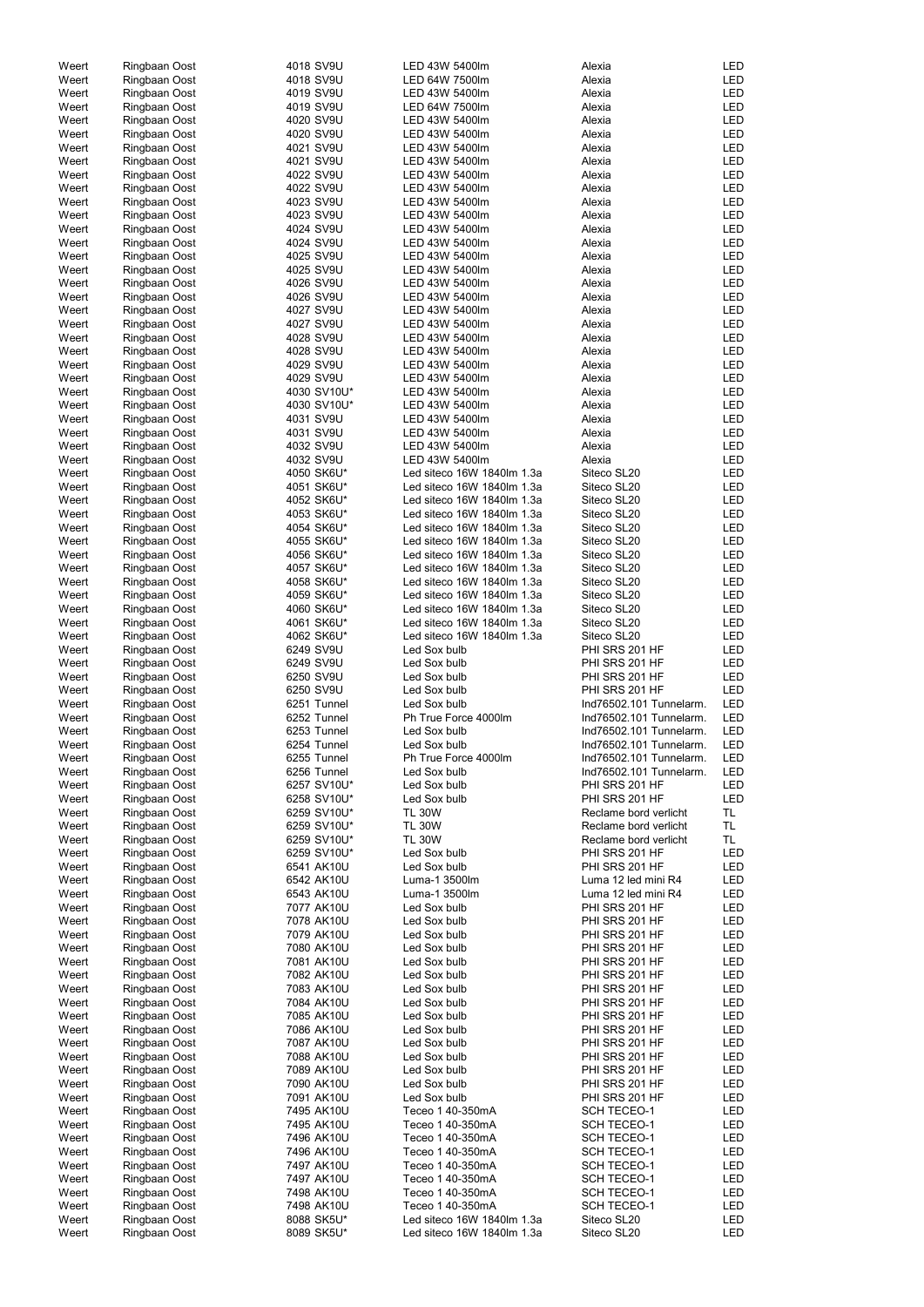| Weert | Ringbaan Oost | 4018 SV9U   | LED 43W 5400lm             | Alexia                  | LED        |
|-------|---------------|-------------|----------------------------|-------------------------|------------|
| Weert | Ringbaan Oost | 4018 SV9U   | LED 64W 7500lm             | Alexia                  | <b>LED</b> |
| Weert | Ringbaan Oost | 4019 SV9U   | LED 43W 5400lm             | Alexia                  | <b>LED</b> |
| Weert | Ringbaan Oost | 4019 SV9U   | LED 64W 7500lm             | Alexia                  | <b>LED</b> |
|       |               |             |                            |                         | <b>LED</b> |
| Weert | Ringbaan Oost | 4020 SV9U   | LED 43W 5400lm             | Alexia                  |            |
| Weert | Ringbaan Oost | 4020 SV9U   | LED 43W 5400lm             | Alexia                  | LED        |
| Weert | Ringbaan Oost | 4021 SV9U   | LED 43W 5400lm             | Alexia                  | LED        |
| Weert | Ringbaan Oost | 4021 SV9U   | LED 43W 5400lm             | Alexia                  | LED        |
| Weert | Ringbaan Oost | 4022 SV9U   | LED 43W 5400lm             | Alexia                  | <b>LED</b> |
| Weert | Ringbaan Oost | 4022 SV9U   | LED 43W 5400lm             | Alexia                  | <b>LED</b> |
|       |               |             |                            |                         |            |
| Weert | Ringbaan Oost | 4023 SV9U   | LED 43W 5400lm             | Alexia                  | <b>LED</b> |
| Weert | Ringbaan Oost | 4023 SV9U   | LED 43W 5400lm             | Alexia                  | LED        |
| Weert | Ringbaan Oost | 4024 SV9U   | LED 43W 5400lm             | Alexia                  | <b>LED</b> |
| Weert | Ringbaan Oost | 4024 SV9U   | LED 43W 5400lm             | Alexia                  | <b>LED</b> |
| Weert | Ringbaan Oost | 4025 SV9U   | LED 43W 5400lm             | Alexia                  | <b>LED</b> |
| Weert | Ringbaan Oost | 4025 SV9U   | LED 43W 5400lm             | Alexia                  | LED        |
|       |               |             |                            |                         |            |
| Weert | Ringbaan Oost | 4026 SV9U   | LED 43W 5400lm             | Alexia                  | <b>LED</b> |
| Weert | Ringbaan Oost | 4026 SV9U   | LED 43W 5400lm             | Alexia                  | <b>LED</b> |
| Weert | Ringbaan Oost | 4027 SV9U   | LED 43W 5400lm             | Alexia                  | <b>LED</b> |
| Weert | Ringbaan Oost | 4027 SV9U   | LED 43W 5400lm             | Alexia                  | <b>LED</b> |
| Weert | Ringbaan Oost | 4028 SV9U   | LED 43W 5400lm             | Alexia                  | LED        |
| Weert | Ringbaan Oost | 4028 SV9U   | LED 43W 5400lm             | Alexia                  | <b>LED</b> |
| Weert |               | 4029 SV9U   | LED 43W 5400lm             | Alexia                  | <b>LED</b> |
|       | Ringbaan Oost |             |                            |                         |            |
| Weert | Ringbaan Oost | 4029 SV9U   | LED 43W 5400lm             | Alexia                  | <b>LED</b> |
| Weert | Ringbaan Oost | 4030 SV10U* | LED 43W 5400lm             | Alexia                  | <b>LED</b> |
| Weert | Ringbaan Oost | 4030 SV10U* | LED 43W 5400lm             | Alexia                  | <b>LED</b> |
| Weert | Ringbaan Oost | 4031 SV9U   | LED 43W 5400lm             | Alexia                  | <b>LED</b> |
| Weert | Ringbaan Oost | 4031 SV9U   | LED 43W 5400lm             | Alexia                  | <b>LED</b> |
| Weert | Ringbaan Oost | 4032 SV9U   | LED 43W 5400lm             | Alexia                  | <b>LED</b> |
|       |               |             |                            |                         |            |
| Weert | Ringbaan Oost | 4032 SV9U   | LED 43W 5400lm             | Alexia                  | <b>LED</b> |
| Weert | Ringbaan Oost | 4050 SK6U*  | Led siteco 16W 1840lm 1.3a | Siteco SL20             | LED        |
| Weert | Ringbaan Oost | 4051 SK6U*  | Led siteco 16W 1840lm 1.3a | Siteco SL20             | LED        |
| Weert | Ringbaan Oost | 4052 SK6U*  | Led siteco 16W 1840lm 1.3a | Siteco SL20             | LED        |
| Weert | Ringbaan Oost | 4053 SK6U*  | Led siteco 16W 1840lm 1.3a | Siteco SL20             | <b>LED</b> |
| Weert | Ringbaan Oost | 4054 SK6U*  | Led siteco 16W 1840lm 1.3a | Siteco SL20             | <b>LED</b> |
|       |               |             |                            |                         |            |
| Weert | Ringbaan Oost | 4055 SK6U*  | Led siteco 16W 1840lm 1.3a | Siteco SL20             | <b>LED</b> |
| Weert | Ringbaan Oost | 4056 SK6U*  | Led siteco 16W 1840lm 1.3a | Siteco SL20             | LED        |
| Weert | Ringbaan Oost | 4057 SK6U*  | Led siteco 16W 1840lm 1.3a | Siteco SL20             | LED        |
| Weert | Ringbaan Oost | 4058 SK6U*  | Led siteco 16W 1840lm 1.3a | Siteco SL20             | LED        |
| Weert | Ringbaan Oost | 4059 SK6U*  | Led siteco 16W 1840lm 1.3a | Siteco SL20             | LED        |
| Weert | Ringbaan Oost | 4060 SK6U*  | Led siteco 16W 1840lm 1.3a | Siteco SL20             | LED        |
|       |               |             |                            |                         |            |
| Weert | Ringbaan Oost | 4061 SK6U*  | Led siteco 16W 1840lm 1.3a | Siteco SL20             | LED        |
| Weert | Ringbaan Oost | 4062 SK6U*  | Led siteco 16W 1840lm 1.3a | Siteco SL20             | LED        |
| Weert | Ringbaan Oost | 6249 SV9U   | Led Sox bulb               | PHI SRS 201 HF          | <b>LED</b> |
| Weert | Ringbaan Oost | 6249 SV9U   | Led Sox bulb               | PHI SRS 201 HF          | LED        |
| Weert | Ringbaan Oost | 6250 SV9U   | Led Sox bulb               | PHI SRS 201 HF          | <b>LED</b> |
| Weert | Ringbaan Oost | 6250 SV9U   | Led Sox bulb               | PHI SRS 201 HF          | <b>LED</b> |
|       |               |             |                            |                         |            |
| Weert | Ringbaan Oost | 6251 Tunnel | Led Sox bulb               | Ind76502.101 Tunnelarm. | <b>LED</b> |
| Weert | Ringbaan Oost | 6252 Tunnel | Ph True Force 4000lm       | Ind76502.101 Tunnelarm. | <b>LED</b> |
| Weert | Ringbaan Oost | 6253 Tunnel | Led Sox bulb               | Ind76502.101 Tunnelarm. | <b>LED</b> |
| Weert | Ringbaan Oost | 6254 Tunnel | Led Sox bulb               | Ind76502.101 Tunnelarm. | <b>LED</b> |
| Weert | Ringbaan Oost | 6255 Tunnel | Ph True Force 4000lm       | Ind76502.101 Tunnelarm. | <b>LED</b> |
|       |               | 6256 Tunnel | Led Sox bulb               | Ind76502.101 Tunnelarm. | <b>LED</b> |
| Weert | Ringbaan Oost |             |                            |                         |            |
| Weert | Ringbaan Oost | 6257 SV10U* | Led Sox bulb               | PHI SRS 201 HF          | <b>LED</b> |
| Weert | Ringbaan Oost | 6258 SV10U* | Led Sox bulb               | PHI SRS 201 HF          | <b>LED</b> |
| Weert | Ringbaan Oost | 6259 SV10U* | <b>TL 30W</b>              | Reclame bord verlicht   | TL         |
| Weert | Ringbaan Oost | 6259 SV10U* | <b>TL 30W</b>              | Reclame bord verlicht   | TL.        |
| Weert | Ringbaan Oost | 6259 SV10U* | <b>TL 30W</b>              | Reclame bord verlicht   | TL         |
|       |               |             | Led Sox bulb               |                         | LED        |
| Weert | Ringbaan Oost | 6259 SV10U* |                            | PHI SRS 201 HF          |            |
| Weert | Ringbaan Oost | 6541 AK10U  | Led Sox bulb               | PHI SRS 201 HF          | LED        |
| Weert | Ringbaan Oost | 6542 AK10U  | Luma-1 3500lm              | Luma 12 led mini R4     | LED        |
| Weert | Ringbaan Oost | 6543 AK10U  | Luma-1 3500lm              | Luma 12 led mini R4     | LED        |
| Weert | Ringbaan Oost | 7077 AK10U  | Led Sox bulb               | PHI SRS 201 HF          | LED        |
| Weert | Ringbaan Oost | 7078 AK10U  | Led Sox bulb               | PHI SRS 201 HF          | LED        |
| Weert | Ringbaan Oost | 7079 AK10U  | Led Sox bulb               | PHI SRS 201 HF          | LED        |
|       |               |             |                            |                         |            |
| Weert | Ringbaan Oost | 7080 AK10U  | Led Sox bulb               | PHI SRS 201 HF          | LED        |
| Weert | Ringbaan Oost | 7081 AK10U  | Led Sox bulb               | PHI SRS 201 HF          | <b>LED</b> |
| Weert | Ringbaan Oost | 7082 AK10U  | Led Sox bulb               | PHI SRS 201 HF          | <b>LED</b> |
| Weert | Ringbaan Oost | 7083 AK10U  | Led Sox bulb               | PHI SRS 201 HF          | <b>LED</b> |
| Weert | Ringbaan Oost | 7084 AK10U  | Led Sox bulb               | PHI SRS 201 HF          | <b>LED</b> |
|       |               |             |                            |                         |            |
| Weert | Ringbaan Oost | 7085 AK10U  | Led Sox bulb               | PHI SRS 201 HF          | <b>LED</b> |
| Weert | Ringbaan Oost | 7086 AK10U  | Led Sox bulb               | PHI SRS 201 HF          | LED        |
| Weert | Ringbaan Oost | 7087 AK10U  | Led Sox bulb               | PHI SRS 201 HF          | <b>LED</b> |
| Weert |               |             | Led Sox bulb               | PHI SRS 201 HF          | LED        |
| Weert | Ringbaan Oost | 7088 AK10U  |                            |                         |            |
| Weert |               |             |                            |                         |            |
|       | Ringbaan Oost | 7089 AK10U  | Led Sox bulb               | PHI SRS 201 HF          | LED        |
| Weert | Ringbaan Oost | 7090 AK10U  | Led Sox bulb               | PHI SRS 201 HF          | LED        |
| Weert | Ringbaan Oost | 7091 AK10U  | Led Sox bulb               | PHI SRS 201 HF          | LED        |
|       | Ringbaan Oost | 7495 AK10U  | Teceo 1 40-350mA           | SCH TECEO-1             | LED        |
| Weert | Ringbaan Oost | 7495 AK10U  | Teceo 1 40-350mA           | <b>SCH TECEO-1</b>      | LED        |
| Weert | Ringbaan Oost | 7496 AK10U  | Teceo 1 40-350mA           | <b>SCH TECEO-1</b>      | LED        |
|       |               |             |                            |                         |            |
| Weert | Ringbaan Oost | 7496 AK10U  | Teceo 1 40-350mA           | <b>SCH TECEO-1</b>      | LED        |
| Weert | Ringbaan Oost | 7497 AK10U  | Teceo 1 40-350mA           | <b>SCH TECEO-1</b>      | LED        |
| Weert | Ringbaan Oost | 7497 AK10U  | Teceo 1 40-350mA           | <b>SCH TECEO-1</b>      | LED        |
| Weert | Ringbaan Oost | 7498 AK10U  | Teceo 1 40-350mA           | <b>SCH TECEO-1</b>      | LED        |
| Weert | Ringbaan Oost | 7498 AK10U  | Teceo 1 40-350mA           | <b>SCH TECEO-1</b>      | LED        |
| Weert | Ringbaan Oost | 8088 SK5U*  | Led siteco 16W 1840lm 1.3a | Siteco SL20             | LED        |
| Weert | Ringbaan Oost | 8089 SK5U*  | Led siteco 16W 1840lm 1.3a | Siteco SL20             | LED        |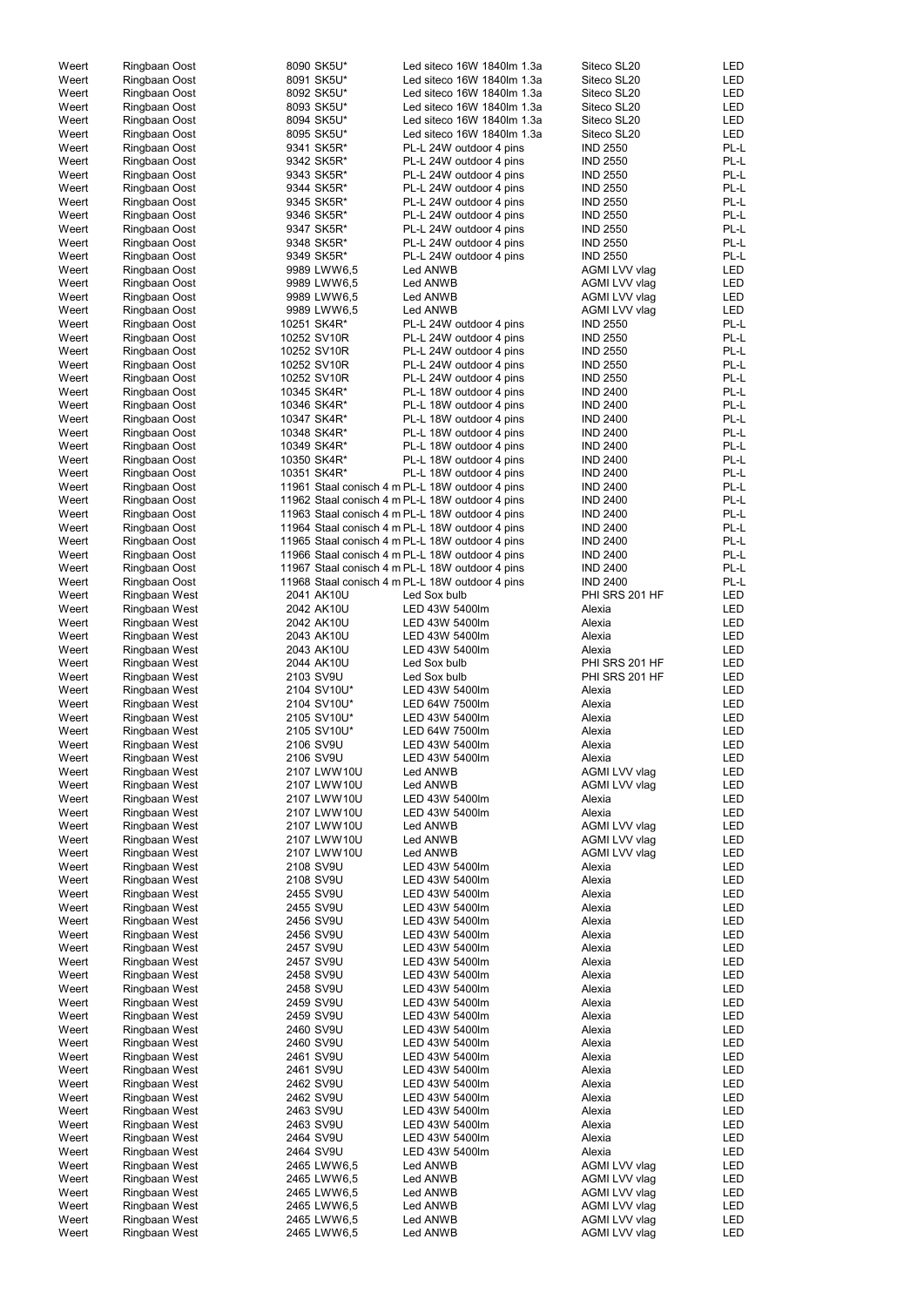| Weert          | Ringbaan Oost                  | 8090 SK5U*                 | Led siteco 16W 1840lm 1.3a                      | Siteco SL20                    | LED        |
|----------------|--------------------------------|----------------------------|-------------------------------------------------|--------------------------------|------------|
| Weert          | Ringbaan Oost                  | 8091 SK5U*                 | Led siteco 16W 1840lm 1.3a                      | Siteco SL20                    | LED        |
| Weert          | Ringbaan Oost                  | 8092 SK5U*                 | Led siteco 16W 1840lm 1.3a                      | Siteco SL20                    | <b>LED</b> |
|                |                                |                            | Led siteco 16W 1840lm 1.3a                      | Siteco SL20                    | <b>LED</b> |
| Weert          | Ringbaan Oost                  | 8093 SK5U*                 |                                                 |                                |            |
| Weert          | Ringbaan Oost                  | 8094 SK5U*                 | Led siteco 16W 1840lm 1.3a                      | Siteco SL20                    | <b>LED</b> |
| Weert          | Ringbaan Oost                  | 8095 SK5U*                 | Led siteco 16W 1840lm 1.3a                      | Siteco SL20                    | <b>LED</b> |
| Weert          | Ringbaan Oost                  | 9341 SK5R*                 | PL-L 24W outdoor 4 pins                         | <b>IND 2550</b>                | PL-L       |
| Weert          | Ringbaan Oost                  | 9342 SK5R*                 | PL-L 24W outdoor 4 pins                         | <b>IND 2550</b>                | PL-L       |
|                |                                | 9343 SK5R*                 | PL-L 24W outdoor 4 pins                         |                                | PL-L       |
| Weert          | Ringbaan Oost                  |                            |                                                 | <b>IND 2550</b>                |            |
| Weert          | Ringbaan Oost                  | 9344 SK5R*                 | PL-L 24W outdoor 4 pins                         | <b>IND 2550</b>                | PL-L       |
| Weert          | Ringbaan Oost                  | 9345 SK5R*                 | PL-L 24W outdoor 4 pins                         | <b>IND 2550</b>                | PL-L       |
| Weert          | Ringbaan Oost                  | 9346 SK5R*                 | PL-L 24W outdoor 4 pins                         | <b>IND 2550</b>                | PL-L       |
| Weert          | Ringbaan Oost                  | 9347 SK5R*                 | PL-L 24W outdoor 4 pins                         | <b>IND 2550</b>                | PL-L       |
|                |                                |                            |                                                 |                                |            |
| Weert          | Ringbaan Oost                  | 9348 SK5R*                 | PL-L 24W outdoor 4 pins                         | <b>IND 2550</b>                | PL-L       |
| Weert          | Ringbaan Oost                  | 9349 SK5R*                 | PL-L 24W outdoor 4 pins                         | <b>IND 2550</b>                | PL-L       |
| Weert          | Ringbaan Oost                  | 9989 LWW6,5                | Led ANWB                                        | AGMI LVV vlag                  | LED        |
| Weert          | Ringbaan Oost                  | 9989 LWW6,5                | Led ANWB                                        | AGMI LVV vlag                  | LED        |
|                |                                |                            |                                                 |                                |            |
| Weert          | Ringbaan Oost                  | 9989 LWW6,5                | Led ANWB                                        | AGMI LVV vlag                  | LED        |
| Weert          | Ringbaan Oost                  | 9989 LWW6,5                | Led ANWB                                        | AGMI LVV vlag                  | <b>LED</b> |
| Weert          | Ringbaan Oost                  | 10251 SK4R*                | PL-L 24W outdoor 4 pins                         | <b>IND 2550</b>                | PL-L       |
| Weert          | Ringbaan Oost                  | 10252 SV10R                | PL-L 24W outdoor 4 pins                         | <b>IND 2550</b>                | PL-L       |
| Weert          | Ringbaan Oost                  | 10252 SV10R                | PL-L 24W outdoor 4 pins                         | <b>IND 2550</b>                | PL-L       |
|                |                                |                            |                                                 |                                |            |
| Weert          | Ringbaan Oost                  | 10252 SV10R                | PL-L 24W outdoor 4 pins                         | <b>IND 2550</b>                | PL-L       |
| Weert          | Ringbaan Oost                  | 10252 SV10R                | PL-L 24W outdoor 4 pins                         | <b>IND 2550</b>                | PL-L       |
| Weert          | Ringbaan Oost                  | 10345 SK4R*                | PL-L 18W outdoor 4 pins                         | <b>IND 2400</b>                | PL-L       |
| Weert          | Ringbaan Oost                  | 10346 SK4R*                | PL-L 18W outdoor 4 pins                         | <b>IND 2400</b>                | PL-L       |
| Weert          | Ringbaan Oost                  | 10347 SK4R*                | PL-L 18W outdoor 4 pins                         | <b>IND 2400</b>                | PL-L       |
|                |                                |                            |                                                 |                                |            |
| Weert          | Ringbaan Oost                  | 10348 SK4R*                | PL-L 18W outdoor 4 pins                         | <b>IND 2400</b>                | PL-L       |
| Weert          | Ringbaan Oost                  | 10349 SK4R*                | PL-L 18W outdoor 4 pins                         | <b>IND 2400</b>                | PL-L       |
| Weert          | Ringbaan Oost                  | 10350 SK4R*                | PL-L 18W outdoor 4 pins                         | <b>IND 2400</b>                | PL-L       |
| Weert          | Ringbaan Oost                  | 10351 SK4R*                | PL-L 18W outdoor 4 pins                         | <b>IND 2400</b>                | PL-L       |
|                |                                |                            |                                                 | <b>IND 2400</b>                | PL-L       |
| Weert          | Ringbaan Oost                  |                            | 11961 Staal conisch 4 m PL-L 18W outdoor 4 pins |                                |            |
| Weert          | Ringbaan Oost                  |                            | 11962 Staal conisch 4 m PL-L 18W outdoor 4 pins | <b>IND 2400</b>                | PL-L       |
| Weert          | Ringbaan Oost                  |                            | 11963 Staal conisch 4 m PL-L 18W outdoor 4 pins | <b>IND 2400</b>                | PL-L       |
| Weert          | Ringbaan Oost                  |                            | 11964 Staal conisch 4 m PL-L 18W outdoor 4 pins | <b>IND 2400</b>                | PL-L       |
| Weert          | Ringbaan Oost                  |                            | 11965 Staal conisch 4 m PL-L 18W outdoor 4 pins | <b>IND 2400</b>                | PL-L       |
|                |                                |                            |                                                 |                                |            |
| Weert          | Ringbaan Oost                  |                            | 11966 Staal conisch 4 m PL-L 18W outdoor 4 pins | <b>IND 2400</b>                | PL-L       |
| Weert          | Ringbaan Oost                  |                            | 11967 Staal conisch 4 m PL-L 18W outdoor 4 pins | <b>IND 2400</b>                | PL-L       |
| Weert          | Ringbaan Oost                  |                            | 11968 Staal conisch 4 m PL-L 18W outdoor 4 pins | <b>IND 2400</b>                | PL-L       |
| Weert          | Ringbaan West                  | 2041 AK10U                 | Led Sox bulb                                    | PHI SRS 201 HF                 | LED        |
| Weert          | Ringbaan West                  | 2042 AK10U                 | LED 43W 5400lm                                  | Alexia                         | <b>LED</b> |
|                |                                |                            |                                                 |                                |            |
| Weert          | Ringbaan West                  | 2042 AK10U                 | LED 43W 5400lm                                  | Alexia                         | LED        |
| Weert          | Ringbaan West                  | 2043 AK10U                 | LED 43W 5400lm                                  | Alexia                         | LED        |
| Weert          | Ringbaan West                  | 2043 AK10U                 | LED 43W 5400lm                                  | Alexia                         | LED        |
| Weert          | Ringbaan West                  | 2044 AK10U                 | Led Sox bulb                                    | PHI SRS 201 HF                 | LED        |
|                |                                |                            |                                                 |                                |            |
| Weert          | Ringbaan West                  | 2103 SV9U                  | Led Sox bulb                                    | PHI SRS 201 HF                 | LED        |
| Weert          | Ringbaan West                  | 2104 SV10U*                | LED 43W 5400lm                                  | Alexia                         | LED        |
| Weert          | Ringbaan West                  | 2104 SV10U*                | LED 64W 7500lm                                  | Alexia                         | LED        |
| Weert          | Ringbaan West                  | 2105 SV10U*                | LED 43W 5400lm                                  | Alexia                         | LED        |
|                |                                |                            | LED 64W 7500lm                                  |                                | LED        |
| Weert          | Ringbaan West                  | 2105 SV10U*                |                                                 | Alexia                         |            |
| Weert          | Ringbaan West                  | 2106 SV9U                  | LED 43W 5400lm                                  | Alexia                         | LED        |
| Weert          | Ringbaan West                  | 2106 SV9U                  | LED 43W 5400lm                                  | Alexia                         | LED        |
| Weert          | Ringbaan West                  | 2107 LWW10U                | Led ANWB                                        | AGMI LVV vlag                  | LED        |
| Weert          | Ringbaan West                  | 2107 LWW10U                | Led ANWB                                        | AGMI LVV vlag                  | LED        |
|                |                                |                            |                                                 |                                |            |
| Weert          | Ringbaan West                  | 2107 LWW10U                | LED 43W 5400lm                                  | Alexia                         | LED        |
| Weert          | Ringbaan West                  | 2107 LWW10U                | LED 43W 5400lm                                  | Alexia                         | <b>LED</b> |
| Weert          | Ringbaan West                  | 2107 LWW10U                | Led ANWB                                        | AGMI LVV vlag                  | LED        |
| Weert          | Ringbaan West                  | 2107 LWW10U                | Led ANWB                                        | AGMI LVV vlag                  | <b>LED</b> |
| Weert          | Ringbaan West                  | 2107 LWW10U                | Led ANWB                                        | AGMI LVV vlag                  | LED        |
|                |                                |                            |                                                 |                                |            |
| Weert          | Ringbaan West                  | 2108 SV9U                  | LED 43W 5400lm                                  | Alexia                         | <b>LED</b> |
| Weert          | Ringbaan West                  | 2108 SV9U                  | LED 43W 5400lm                                  | Alexia                         | LED        |
| Weert          | Ringbaan West                  | 2455 SV9U                  | LED 43W 5400lm                                  | Alexia                         | <b>LED</b> |
| Weert          | Ringbaan West                  | 2455 SV9U                  | LED 43W 5400lm                                  | Alexia                         | <b>LED</b> |
| Weert          | Ringbaan West                  | 2456 SV9U                  | LED 43W 5400lm                                  | Alexia                         | <b>LED</b> |
| Weert          | Ringbaan West                  | 2456 SV9U                  | LED 43W 5400lm                                  | Alexia                         | <b>LED</b> |
|                |                                |                            |                                                 |                                |            |
| Weert          | Ringbaan West                  | 2457 SV9U                  | LED 43W 5400lm                                  | Alexia                         | LED        |
| Weert          | Ringbaan West                  | 2457 SV9U                  | LED 43W 5400lm                                  | Alexia                         | LED        |
| Weert          | Ringbaan West                  | 2458 SV9U                  | LED 43W 5400lm                                  | Alexia                         | <b>LED</b> |
| Weert          | Ringbaan West                  | 2458 SV9U                  | LED 43W 5400lm                                  | Alexia                         | LED        |
| Weert          |                                |                            |                                                 | Alexia                         | LED        |
|                |                                |                            |                                                 |                                |            |
|                | Ringbaan West                  | 2459 SV9U                  | LED 43W 5400lm                                  |                                |            |
| Weert          | Ringbaan West                  | 2459 SV9U                  | LED 43W 5400lm                                  | Alexia                         | LED        |
| Weert          | Ringbaan West                  | 2460 SV9U                  | LED 43W 5400lm                                  | Alexia                         | LED        |
| Weert          | Ringbaan West                  | 2460 SV9U                  | LED 43W 5400lm                                  | Alexia                         | LED        |
|                |                                |                            |                                                 |                                |            |
| Weert          | Ringbaan West                  | 2461 SV9U                  | LED 43W 5400lm                                  | Alexia                         | LED        |
| Weert          | Ringbaan West                  | 2461 SV9U                  | LED 43W 5400lm                                  | Alexia                         | LED        |
| Weert          | Ringbaan West                  | 2462 SV9U                  | LED 43W 5400lm                                  | Alexia                         | LED        |
| Weert          | Ringbaan West                  | 2462 SV9U                  | LED 43W 5400lm                                  | Alexia                         | LED        |
| Weert          | Ringbaan West                  | 2463 SV9U                  | LED 43W 5400lm                                  | Alexia                         | LED        |
|                |                                |                            |                                                 |                                |            |
| Weert          | Ringbaan West                  | 2463 SV9U                  | LED 43W 5400lm                                  | Alexia                         | LED        |
| Weert          | Ringbaan West                  | 2464 SV9U                  | LED 43W 5400lm                                  | Alexia                         | LED        |
| Weert          | Ringbaan West                  | 2464 SV9U                  | LED 43W 5400lm                                  | Alexia                         | LED        |
| Weert          | Ringbaan West                  | 2465 LWW6,5                | Led ANWB                                        | AGMI LVV vlag                  | LED        |
| Weert          | Ringbaan West                  | 2465 LWW6,5                | Led ANWB                                        | AGMI LVV vlag                  | LED        |
|                |                                |                            |                                                 |                                |            |
| Weert          | Ringbaan West                  | 2465 LWW6,5                | Led ANWB                                        | AGMI LVV vlag                  | LED        |
| Weert          | Ringbaan West                  | 2465 LWW6,5                | Led ANWB                                        | AGMI LVV vlag                  | LED        |
| Weert<br>Weert | Ringbaan West<br>Ringbaan West | 2465 LWW6,5<br>2465 LWW6,5 | Led ANWB<br>Led ANWB                            | AGMI LVV vlag<br>AGMI LVV vlag | LED<br>LED |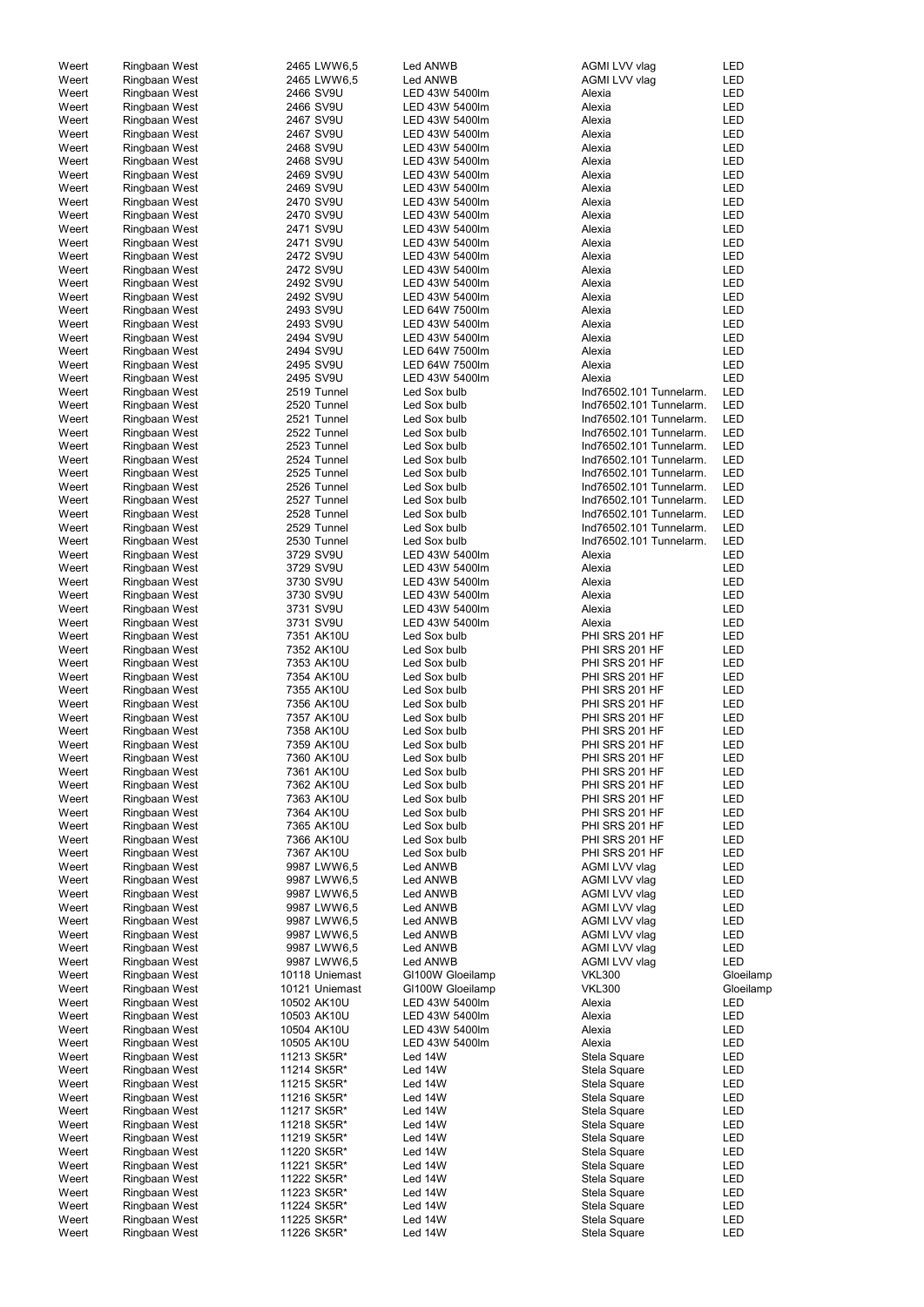| Weert | Ringbaan West | 2465 LWW6,5    | Led ANWB         | AGMI LVV vlag           | LED        |
|-------|---------------|----------------|------------------|-------------------------|------------|
| Weert | Ringbaan West | 2465 LWW6,5    | Led ANWB         | AGMI LVV vlag           | <b>LED</b> |
| Weert | Ringbaan West | 2466 SV9U      | LED 43W 5400lm   | Alexia                  | <b>LED</b> |
| Weert | Ringbaan West | 2466 SV9U      | LED 43W 5400lm   | Alexia                  | <b>LED</b> |
| Weert | Ringbaan West | 2467 SV9U      | LED 43W 5400lm   | Alexia                  | <b>LED</b> |
| Weert | Ringbaan West | 2467 SV9U      | LED 43W 5400lm   | Alexia                  | <b>LED</b> |
| Weert | Ringbaan West | 2468 SV9U      | LED 43W 5400lm   | Alexia                  | <b>LED</b> |
| Weert | Ringbaan West | 2468 SV9U      | LED 43W 5400lm   | Alexia                  | <b>LED</b> |
| Weert | Ringbaan West | 2469 SV9U      | LED 43W 5400lm   | Alexia                  | <b>LED</b> |
| Weert |               | 2469 SV9U      | LED 43W 5400lm   | Alexia                  | <b>LED</b> |
|       | Ringbaan West |                |                  |                         |            |
| Weert | Ringbaan West | 2470 SV9U      | LED 43W 5400lm   | Alexia                  | <b>LED</b> |
| Weert | Ringbaan West | 2470 SV9U      | LED 43W 5400lm   | Alexia                  | LED        |
| Weert | Ringbaan West | 2471 SV9U      | LED 43W 5400lm   | Alexia                  | <b>LED</b> |
| Weert | Ringbaan West | 2471 SV9U      | LED 43W 5400lm   | Alexia                  | <b>LED</b> |
| Weert | Ringbaan West | 2472 SV9U      | LED 43W 5400lm   | Alexia                  | <b>LED</b> |
| Weert | Ringbaan West | 2472 SV9U      | LED 43W 5400lm   | Alexia                  | <b>LED</b> |
| Weert | Ringbaan West | 2492 SV9U      | LED 43W 5400lm   | Alexia                  | <b>LED</b> |
| Weert | Ringbaan West | 2492 SV9U      | LED 43W 5400lm   | Alexia                  | <b>LED</b> |
| Weert | Ringbaan West | 2493 SV9U      | LED 64W 7500lm   | Alexia                  | <b>LED</b> |
| Weert | Ringbaan West | 2493 SV9U      | LED 43W 5400lm   | Alexia                  | <b>LED</b> |
| Weert | Ringbaan West | 2494 SV9U      | LED 43W 5400lm   | Alexia                  | <b>LED</b> |
| Weert | Ringbaan West | 2494 SV9U      | LED 64W 7500lm   | Alexia                  | <b>LED</b> |
| Weert | Ringbaan West | 2495 SV9U      | LED 64W 7500lm   | Alexia                  | <b>LED</b> |
| Weert | Ringbaan West | 2495 SV9U      | LED 43W 5400lm   | Alexia                  | <b>LED</b> |
| Weert | Ringbaan West | 2519 Tunnel    | Led Sox bulb     | Ind76502.101 Tunnelarm. | <b>LED</b> |
|       |               |                |                  |                         | <b>LED</b> |
| Weert | Ringbaan West | 2520 Tunnel    | Led Sox bulb     | Ind76502.101 Tunnelarm. |            |
| Weert | Ringbaan West | 2521 Tunnel    | Led Sox bulb     | Ind76502.101 Tunnelarm. | <b>LED</b> |
| Weert | Ringbaan West | 2522 Tunnel    | Led Sox bulb     | Ind76502.101 Tunnelarm. | <b>LED</b> |
| Weert | Ringbaan West | 2523 Tunnel    | Led Sox bulb     | Ind76502.101 Tunnelarm. | <b>LED</b> |
| Weert | Ringbaan West | 2524 Tunnel    | Led Sox bulb     | Ind76502.101 Tunnelarm. | <b>LED</b> |
| Weert | Ringbaan West | 2525 Tunnel    | Led Sox bulb     | Ind76502.101 Tunnelarm. | <b>LED</b> |
| Weert | Ringbaan West | 2526 Tunnel    | Led Sox bulb     | Ind76502.101 Tunnelarm. | <b>LED</b> |
| Weert | Ringbaan West | 2527 Tunnel    | Led Sox bulb     | Ind76502.101 Tunnelarm. | <b>LED</b> |
| Weert | Ringbaan West | 2528 Tunnel    | Led Sox bulb     | Ind76502.101 Tunnelarm. | <b>LED</b> |
| Weert | Ringbaan West | 2529 Tunnel    | Led Sox bulb     | Ind76502.101 Tunnelarm. | <b>LED</b> |
| Weert | Ringbaan West | 2530 Tunnel    | Led Sox bulb     | Ind76502.101 Tunnelarm. | <b>LED</b> |
| Weert | Ringbaan West | 3729 SV9U      | LED 43W 5400lm   | Alexia                  | <b>LED</b> |
| Weert | Ringbaan West | 3729 SV9U      | LED 43W 5400lm   | Alexia                  | <b>LED</b> |
| Weert | Ringbaan West | 3730 SV9U      | LED 43W 5400lm   | Alexia                  | <b>LED</b> |
| Weert | Ringbaan West | 3730 SV9U      | LED 43W 5400lm   | Alexia                  | <b>LED</b> |
| Weert | Ringbaan West | 3731 SV9U      | LED 43W 5400lm   | Alexia                  | <b>LED</b> |
| Weert | Ringbaan West | 3731 SV9U      | LED 43W 5400lm   | Alexia                  | <b>LED</b> |
| Weert |               | 7351 AK10U     | Led Sox bulb     | PHI SRS 201 HF          | <b>LED</b> |
|       | Ringbaan West |                |                  |                         |            |
| Weert | Ringbaan West | 7352 AK10U     | Led Sox bulb     | PHI SRS 201 HF          | <b>LED</b> |
| Weert | Ringbaan West | 7353 AK10U     | Led Sox bulb     | PHI SRS 201 HF          | <b>LED</b> |
| Weert | Ringbaan West | 7354 AK10U     | Led Sox bulb     | PHI SRS 201 HF          | LED        |
| Weert | Ringbaan West | 7355 AK10U     | Led Sox bulb     | PHI SRS 201 HF          | LED        |
| Weert | Ringbaan West | 7356 AK10U     | Led Sox bulb     | PHI SRS 201 HF          | <b>LED</b> |
| Weert | Ringbaan West | 7357 AK10U     | Led Sox bulb     | PHI SRS 201 HF          | <b>LED</b> |
| Weert | Ringbaan West | 7358 AK10U     | Led Sox bulb     | PHI SRS 201 HF          | LED        |
| Weert | Ringbaan West | 7359 AK10U     | Led Sox bulb     | PHI SRS 201 HF          | LED        |
| Weert | Ringbaan West | 7360 AK10U     | Led Sox bulb     | PHI SRS 201 HF          | <b>LED</b> |
| Weert | Ringbaan West | 7361 AK10U     | Led Sox bulb     | PHI SRS 201 HF          | <b>LED</b> |
| Weert | Ringbaan West | 7362 AK10U     | Led Sox bulb     | PHI SRS 201 HF          | LED        |
| Weert | Ringbaan West | 7363 AK10U     | Led Sox bulb     | PHI SRS 201 HF          | <b>LED</b> |
| Weert | Ringbaan West | 7364 AK10U     | Led Sox bulb     | PHI SRS 201 HF          | <b>LED</b> |
| Weert | Ringbaan West | 7365 AK10U     | Led Sox bulb     | PHI SRS 201 HF          | <b>LED</b> |
| Weert | Ringbaan West | 7366 AK10U     | Led Sox bulb     | PHI SRS 201 HF          | <b>LED</b> |
|       |               | 7367 AK10U     | Led Sox bulb     | PHI SRS 201 HF          | <b>LED</b> |
| Weert | Ringbaan West |                |                  |                         |            |
| Weert | Ringbaan West | 9987 LWW6,5    | Led ANWB         | AGMI LVV vlag           | LED        |
| Weert | Ringbaan West | 9987 LWW6,5    | Led ANWB         | AGMI LVV vlag           | LED        |
| Weert | Ringbaan West | 9987 LWW6,5    | Led ANWB         | AGMI LVV vlag           | LED        |
| Weert | Ringbaan West | 9987 LWW6,5    | Led ANWB         | AGMI LVV vlag           | LED        |
| Weert | Ringbaan West | 9987 LWW6,5    | Led ANWB         | AGMI LVV vlag           | LED        |
| Weert | Ringbaan West | 9987 LWW6,5    | Led ANWB         | AGMI LVV vlag           | LED        |
| Weert | Ringbaan West | 9987 LWW6,5    | Led ANWB         | AGMI LVV vlag           | LED        |
| Weert | Ringbaan West | 9987 LWW6,5    | Led ANWB         | AGMI LVV vlag           | <b>LED</b> |
| Weert | Ringbaan West | 10118 Uniemast | GI100W Gloeilamp | <b>VKL300</b>           | Gloeilamp  |
| Weert | Ringbaan West | 10121 Uniemast | GI100W Gloeilamp | <b>VKL300</b>           | Gloeilamp  |
| Weert | Ringbaan West | 10502 AK10U    | LED 43W 5400lm   | Alexia                  | LED        |
| Weert | Ringbaan West | 10503 AK10U    | LED 43W 5400lm   | Alexia                  | <b>LED</b> |
| Weert | Ringbaan West | 10504 AK10U    | LED 43W 5400lm   | Alexia                  | <b>LED</b> |
| Weert | Ringbaan West | 10505 AK10U    | LED 43W 5400lm   | Alexia                  | LED        |
| Weert | Ringbaan West | 11213 SK5R*    | Led 14W          | Stela Square            | LED        |
| Weert | Ringbaan West | 11214 SK5R*    | Led 14W          |                         | LED        |
|       |               |                |                  | Stela Square            |            |
| Weert | Ringbaan West | 11215 SK5R*    | Led 14W          | Stela Square            | LED        |
| Weert | Ringbaan West | 11216 SK5R*    | Led 14W          | Stela Square            | LED        |
| Weert | Ringbaan West | 11217 SK5R*    | Led 14W          | Stela Square            | LED        |
| Weert | Ringbaan West | 11218 SK5R*    | Led 14W          | Stela Square            | LED        |
| Weert | Ringbaan West | 11219 SK5R*    | Led 14W          | Stela Square            | LED        |
| Weert | Ringbaan West | 11220 SK5R*    | Led 14W          | Stela Square            | LED        |
| Weert | Ringbaan West | 11221 SK5R*    | Led 14W          | Stela Square            | LED        |
| Weert | Ringbaan West | 11222 SK5R*    | Led 14W          | Stela Square            | LED        |
| Weert | Ringbaan West | 11223 SK5R*    | Led 14W          | Stela Square            | LED        |
| Weert | Ringbaan West | 11224 SK5R*    | Led 14W          | Stela Square            | LED        |
| Weert | Ringbaan West | 11225 SK5R*    | Led 14W          | Stela Square            | LED        |
| Weert | Ringbaan West | 11226 SK5R*    | Led 14W          | Stela Square            | LED        |
|       |               |                |                  |                         |            |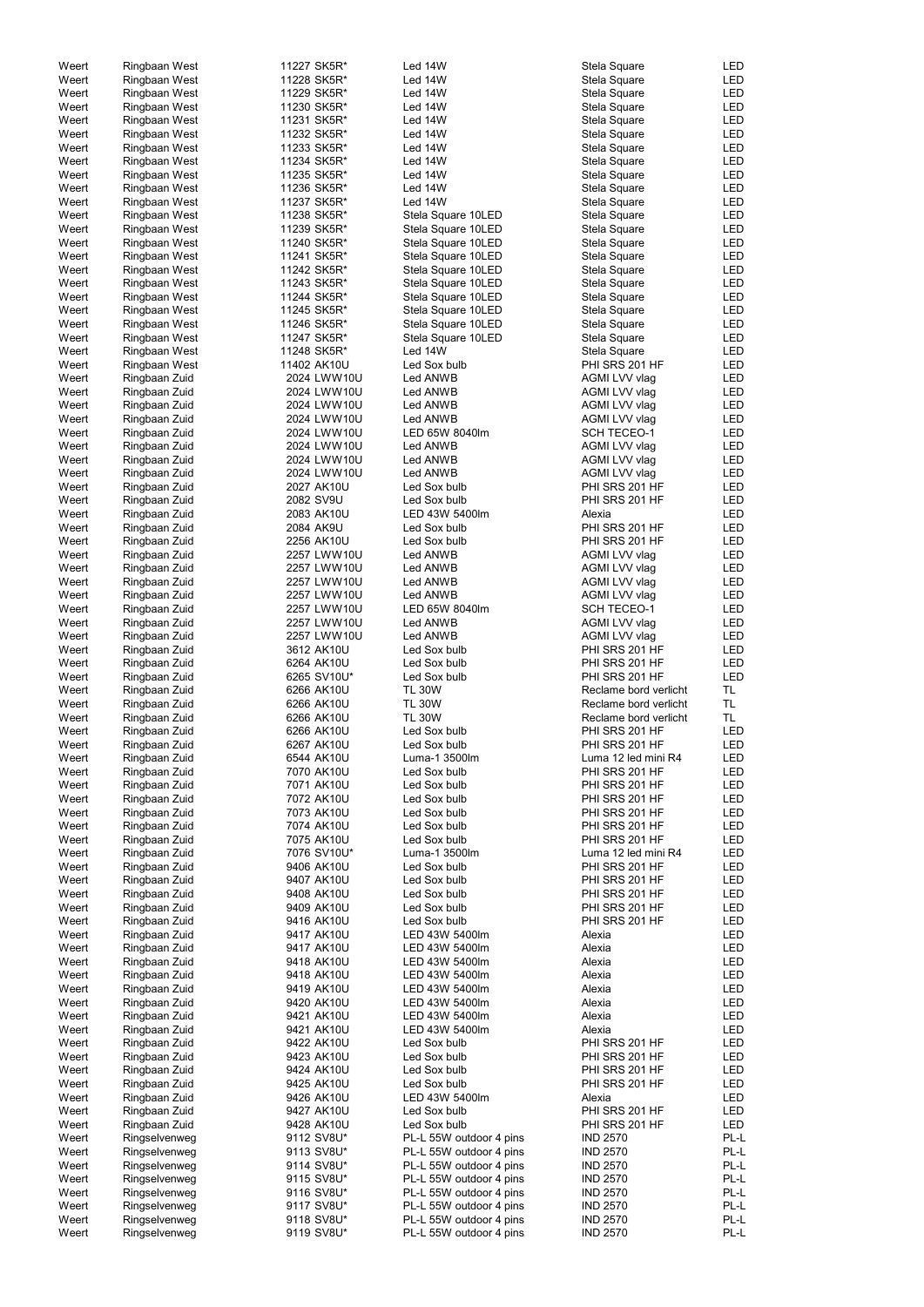| Weert          | Ringbaan West                  | 11227 SK5R*              | Led 14W                                            | Stela Square                       | <b>LED</b>   |
|----------------|--------------------------------|--------------------------|----------------------------------------------------|------------------------------------|--------------|
| Weert          | Ringbaan West                  | 11228 SK5R*              | Led 14W                                            | Stela Square                       | LED          |
| Weert          | Ringbaan West                  | 11229 SK5R*              | Led 14W                                            | Stela Square                       | LED          |
| Weert          | Ringbaan West                  | 11230 SK5R*              | Led 14W                                            | Stela Square                       | LED          |
|                |                                |                          |                                                    |                                    |              |
| Weert          | Ringbaan West                  | 11231 SK5R*              | Led 14W                                            | Stela Square                       | LED          |
| Weert          | Ringbaan West                  | 11232 SK5R*              | Led 14W                                            | Stela Square                       | LED          |
| Weert          | Ringbaan West                  | 11233 SK5R*              | Led 14W                                            | Stela Square                       | <b>LED</b>   |
| Weert          | Ringbaan West                  | 11234 SK5R*              | Led 14W                                            | Stela Square                       | <b>LED</b>   |
|                |                                |                          |                                                    |                                    |              |
| Weert          | Ringbaan West                  | 11235 SK5R*              | Led 14W                                            | Stela Square                       | <b>LED</b>   |
| Weert          | Ringbaan West                  | 11236 SK5R*              | Led 14W                                            | Stela Square                       | LED          |
| Weert          | Ringbaan West                  | 11237 SK5R*              | Led 14W                                            | Stela Square                       | <b>LED</b>   |
|                |                                |                          |                                                    |                                    |              |
| Weert          | Ringbaan West                  | 11238 SK5R*              | Stela Square 10LED                                 | Stela Square                       | <b>LED</b>   |
| Weert          | Ringbaan West                  | 11239 SK5R*              | Stela Square 10LED                                 | Stela Square                       | <b>LED</b>   |
| Weert          | Ringbaan West                  | 11240 SK5R*              | Stela Square 10LED                                 | Stela Square                       | LED          |
| Weert          | Ringbaan West                  | 11241 SK5R*              | Stela Square 10LED                                 | Stela Square                       | LED          |
|                |                                |                          |                                                    |                                    |              |
| Weert          | Ringbaan West                  | 11242 SK5R*              | Stela Square 10LED                                 | Stela Square                       | LED          |
| Weert          | Ringbaan West                  | 11243 SK5R*              | Stela Square 10LED                                 | Stela Square                       | LED          |
| Weert          | Ringbaan West                  | 11244 SK5R*              | Stela Square 10LED                                 | Stela Square                       | LED          |
|                |                                |                          |                                                    |                                    |              |
| Weert          | Ringbaan West                  | 11245 SK5R*              | Stela Square 10LED                                 | Stela Square                       | LED          |
| Weert          | Ringbaan West                  | 11246 SK5R*              | Stela Square 10LED                                 | Stela Square                       | LED          |
| Weert          | Ringbaan West                  | 11247 SK5R*              | Stela Square 10LED                                 | Stela Square                       | LED          |
| Weert          | Ringbaan West                  | 11248 SK5R*              | Led 14W                                            | Stela Square                       | LED          |
|                |                                |                          |                                                    |                                    |              |
| Weert          | Ringbaan West                  | 11402 AK10U              | Led Sox bulb                                       | PHI SRS 201 HF                     | LED          |
| Weert          | Ringbaan Zuid                  | 2024 LWW10U              | Led ANWB                                           | AGMI LVV vlag                      | LED          |
| Weert          | Ringbaan Zuid                  | 2024 LWW10U              | Led ANWB                                           | AGMI LVV vlag                      | LED          |
| Weert          | Ringbaan Zuid                  | 2024 LWW10U              | Led ANWB                                           | AGMI LVV vlag                      | LED          |
|                |                                |                          |                                                    |                                    |              |
| Weert          | Ringbaan Zuid                  | 2024 LWW10U              | Led ANWB                                           | AGMI LVV vlag                      | LED          |
| Weert          | Ringbaan Zuid                  | 2024 LWW10U              | LED 65W 8040lm                                     | <b>SCH TECEO-1</b>                 | LED          |
| Weert          | Ringbaan Zuid                  | 2024 LWW10U              | Led ANWB                                           | AGMI LVV vlag                      | LED          |
| Weert          | Ringbaan Zuid                  | 2024 LWW10U              | Led ANWB                                           | AGMI LVV vlag                      | LED          |
|                |                                |                          |                                                    |                                    |              |
| Weert          | Ringbaan Zuid                  | 2024 LWW10U              | Led ANWB                                           | AGMI LVV vlag                      | LED          |
| Weert          | Ringbaan Zuid                  | 2027 AK10U               | Led Sox bulb                                       | PHI SRS 201 HF                     | <b>LED</b>   |
| Weert          | Ringbaan Zuid                  | 2082 SV9U                | Led Sox bulb                                       | PHI SRS 201 HF                     | LED          |
|                |                                |                          |                                                    |                                    |              |
| Weert          | Ringbaan Zuid                  | 2083 AK10U               | LED 43W 5400lm                                     | Alexia                             | LED          |
| Weert          | Ringbaan Zuid                  | 2084 AK9U                | Led Sox bulb                                       | PHI SRS 201 HF                     | LED          |
| Weert          | Ringbaan Zuid                  | 2256 AK10U               | Led Sox bulb                                       | PHI SRS 201 HF                     | LED          |
| Weert          | Ringbaan Zuid                  | 2257 LWW10U              | Led ANWB                                           | AGMI LVV vlag                      | LED          |
|                |                                |                          |                                                    |                                    |              |
| Weert          | Ringbaan Zuid                  | 2257 LWW10U              | Led ANWB                                           | AGMI LVV vlag                      | LED          |
| Weert          | Ringbaan Zuid                  | 2257 LWW10U              | Led ANWB                                           | AGMI LVV vlag                      | LED          |
| Weert          | Ringbaan Zuid                  | 2257 LWW10U              | Led ANWB                                           | AGMI LVV vlag                      | <b>LED</b>   |
| Weert          | Ringbaan Zuid                  | 2257 LWW10U              | LED 65W 8040lm                                     | <b>SCH TECEO-1</b>                 | <b>LED</b>   |
|                |                                |                          |                                                    |                                    |              |
| Weert          | Ringbaan Zuid                  | 2257 LWW10U              | Led ANWB                                           | AGMI LVV vlag                      | <b>LED</b>   |
| Weert          | Ringbaan Zuid                  | 2257 LWW10U              | Led ANWB                                           | AGMI LVV vlag                      | LED          |
| Weert          | Ringbaan Zuid                  | 3612 AK10U               | Led Sox bulb                                       | PHI SRS 201 HF                     | <b>LED</b>   |
|                |                                |                          |                                                    |                                    |              |
| Weert          | Ringbaan Zuid                  | 6264 AK10U               | Led Sox bulb                                       | PHI SRS 201 HF                     | LED          |
| Weert          | Ringbaan Zuid                  | 6265 SV10U*              | Led Sox bulb                                       | PHI SRS 201 HF                     | <b>LED</b>   |
| Weert          | Ringbaan Zuid                  | 6266 AK10U               | <b>TL 30W</b>                                      | Reclame bord verlicht              | TL           |
|                |                                |                          |                                                    |                                    |              |
| Weert          | Ringbaan Zuid                  | 6266 AK10U               | <b>TL 30W</b>                                      | Reclame bord verlicht              | <b>TL</b>    |
| Weert          | Ringbaan Zuid                  | 6266 AK10U               | <b>TL 30W</b>                                      | Reclame bord verlicht              | <b>TL</b>    |
| Weert          | Ringbaan Zuid                  | 6266 AK10U               | Led Sox bulb                                       | PHI SRS 201 HF                     | LED          |
| Weert          | Ringbaan Zuid                  | 6267 AK10U               | Led Sox bulb                                       | PHI SRS 201 HF                     | LED          |
|                |                                |                          |                                                    |                                    |              |
| Weert          | Ringbaan Zuid                  | 6544 AK10U               | Luma-1 3500lm                                      | Luma 12 led mini R4                | LED          |
| Weert          | Ringbaan Zuid                  | 7070 AK10U               | Led Sox bulb                                       | PHI SRS 201 HF                     | LED          |
| Weert          | Ringbaan Zuid                  |                          | Led Sox bulb                                       | PHI SRS 201 HF                     |              |
| Weert          |                                |                          |                                                    |                                    |              |
|                |                                | 7071 AK10U               |                                                    |                                    | LED          |
|                | Ringbaan Zuid                  | 7072 AK10U               | Led Sox bulb                                       | PHI SRS 201 HF                     | LED          |
| Weert          | Ringbaan Zuid                  | 7073 AK10U               | Led Sox bulb                                       | PHI SRS 201 HF                     | <b>LED</b>   |
| Weert          | Ringbaan Zuid                  | 7074 AK10U               | Led Sox bulb                                       | PHI SRS 201 HF                     | <b>LED</b>   |
| Weert          | Ringbaan Zuid                  | 7075 AK10U               | Led Sox bulb                                       | PHI SRS 201 HF                     | LED          |
|                |                                |                          |                                                    |                                    |              |
| Weert          | Ringbaan Zuid                  | 7076 SV10U*              | Luma-1 3500lm                                      | Luma 12 led mini R4                | LED          |
| Weert          | Ringbaan Zuid                  | 9406 AK10U               | Led Sox bulb                                       | PHI SRS 201 HF                     | LED          |
| Weert          | Ringbaan Zuid                  | 9407 AK10U               | Led Sox bulb                                       | PHI SRS 201 HF                     | LED          |
| Weert          | Ringbaan Zuid                  | 9408 AK10U               | Led Sox bulb                                       | PHI SRS 201 HF                     | LED          |
|                |                                |                          |                                                    |                                    |              |
| Weert          | Ringbaan Zuid                  | 9409 AK10U               | Led Sox bulb                                       | PHI SRS 201 HF                     | LED          |
| Weert          | Ringbaan Zuid                  | 9416 AK10U               | Led Sox bulb                                       | PHI SRS 201 HF                     | LED          |
| Weert          | Ringbaan Zuid                  | 9417 AK10U               | LED 43W 5400lm                                     | Alexia                             | <b>LED</b>   |
|                |                                |                          | LED 43W 5400lm                                     |                                    |              |
| Weert          | Ringbaan Zuid                  | 9417 AK10U               |                                                    | Alexia                             | LED          |
| Weert          | Ringbaan Zuid                  | 9418 AK10U               | LED 43W 5400lm                                     | Alexia                             | LED          |
| Weert          | Ringbaan Zuid                  | 9418 AK10U               | LED 43W 5400lm                                     | Alexia                             | LED          |
| Weert          | Ringbaan Zuid                  | 9419 AK10U               | LED 43W 5400lm                                     | Alexia                             | LED          |
|                |                                |                          |                                                    |                                    |              |
| Weert          | Ringbaan Zuid                  | 9420 AK10U               | LED 43W 5400lm                                     | Alexia                             | LED          |
| Weert          | Ringbaan Zuid                  | 9421 AK10U               | LED 43W 5400lm                                     | Alexia                             | LED          |
| Weert          | Ringbaan Zuid                  | 9421 AK10U               | LED 43W 5400lm                                     | Alexia                             | LED          |
| Weert          | Ringbaan Zuid                  | 9422 AK10U               | Led Sox bulb                                       | PHI SRS 201 HF                     | LED          |
|                |                                |                          |                                                    |                                    |              |
| Weert          | Ringbaan Zuid                  | 9423 AK10U               | Led Sox bulb                                       | PHI SRS 201 HF                     | LED          |
| Weert          | Ringbaan Zuid                  | 9424 AK10U               | Led Sox bulb                                       | PHI SRS 201 HF                     | LED          |
| Weert          | Ringbaan Zuid                  | 9425 AK10U               | Led Sox bulb                                       | PHI SRS 201 HF                     | LED          |
| Weert          |                                | 9426 AK10U               | LED 43W 5400lm                                     | Alexia                             | LED          |
|                | Ringbaan Zuid                  |                          |                                                    |                                    |              |
| Weert          | Ringbaan Zuid                  | 9427 AK10U               | Led Sox bulb                                       | PHI SRS 201 HF                     | LED          |
| Weert          | Ringbaan Zuid                  | 9428 AK10U               | Led Sox bulb                                       | PHI SRS 201 HF                     | LED          |
| Weert          | Ringselvenweg                  | 9112 SV8U*               | PL-L 55W outdoor 4 pins                            | <b>IND 2570</b>                    | PL-L         |
|                |                                |                          |                                                    |                                    |              |
| Weert          | Ringselvenweg                  | 9113 SV8U*               | PL-L 55W outdoor 4 pins                            | <b>IND 2570</b>                    | PL-L         |
| Weert          | Ringselvenweg                  | 9114 SV8U*               | PL-L 55W outdoor 4 pins                            | <b>IND 2570</b>                    | PL-L         |
| Weert          | Ringselvenweg                  | 9115 SV8U*               | PL-L 55W outdoor 4 pins                            | <b>IND 2570</b>                    | PL-L         |
| Weert          | Ringselvenweg                  | 9116 SV8U*               | PL-L 55W outdoor 4 pins                            | <b>IND 2570</b>                    | PL-L         |
|                |                                |                          |                                                    |                                    |              |
| Weert          | Ringselvenweg                  | 9117 SV8U*               | PL-L 55W outdoor 4 pins                            | <b>IND 2570</b>                    | PL-L         |
| Weert<br>Weert | Ringselvenweg<br>Ringselvenweg | 9118 SV8U*<br>9119 SV8U* | PL-L 55W outdoor 4 pins<br>PL-L 55W outdoor 4 pins | <b>IND 2570</b><br><b>IND 2570</b> | PL-L<br>PL-L |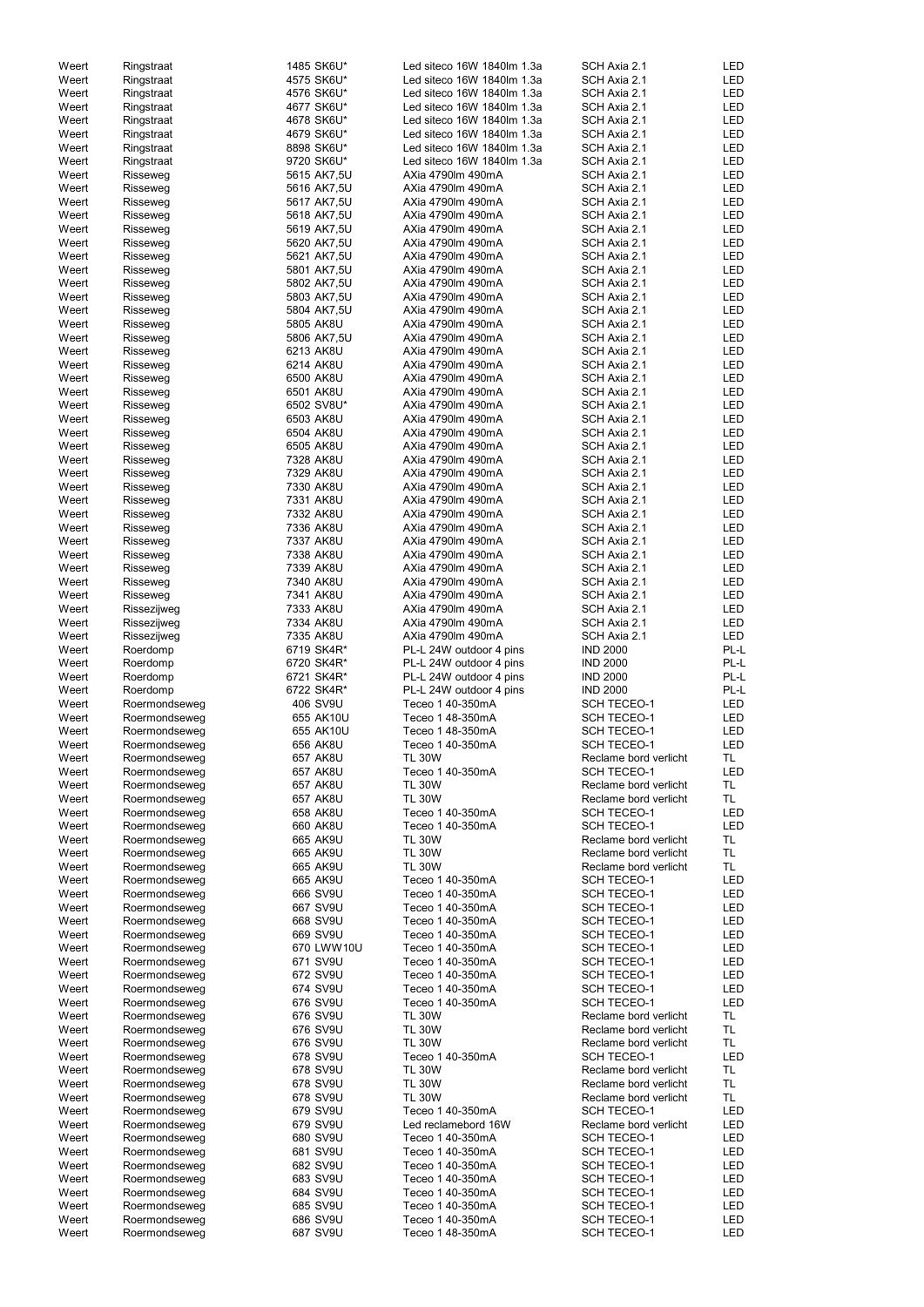| Weert          | Ringstraat                     | 1485 SK6U*           | Led siteco 16W 1840lm 1.3a           | SCH Axia 2.1                             | <b>LED</b>        |
|----------------|--------------------------------|----------------------|--------------------------------------|------------------------------------------|-------------------|
| Weert          |                                | 4575 SK6U*           | Led siteco 16W 1840lm 1.3a           | SCH Axia 2.1                             | <b>LED</b>        |
|                | Ringstraat                     |                      |                                      |                                          |                   |
| Weert          | Ringstraat                     | 4576 SK6U*           | Led siteco 16W 1840lm 1.3a           | SCH Axia 2.1                             | <b>LED</b>        |
| Weert          | Ringstraat                     | 4677 SK6U*           | Led siteco 16W 1840lm 1.3a           | SCH Axia 2.1                             | <b>LED</b>        |
| Weert          | Ringstraat                     | 4678 SK6U*           | Led siteco 16W 1840lm 1.3a           | SCH Axia 2.1                             | <b>LED</b>        |
| Weert          | Ringstraat                     | 4679 SK6U*           | Led siteco 16W 1840lm 1.3a           | SCH Axia 2.1                             | <b>LED</b>        |
| Weert          | Ringstraat                     | 8898 SK6U*           | Led siteco 16W 1840lm 1.3a           | SCH Axia 2.1                             | <b>LED</b>        |
| Weert          | Ringstraat                     | 9720 SK6U*           | Led siteco 16W 1840lm 1.3a           | SCH Axia 2.1                             | <b>LED</b>        |
| Weert          | Risseweg                       | 5615 AK7,5U          | AXia 4790lm 490mA                    | SCH Axia 2.1                             | LED               |
| Weert          | Risseweg                       | 5616 AK7,5U          | AXia 4790lm 490mA                    | SCH Axia 2.1                             | <b>LED</b>        |
| Weert          | Risseweg                       | 5617 AK7,5U          | AXia 4790lm 490mA                    | SCH Axia 2.1                             | <b>LED</b>        |
| Weert          | Risseweg                       | 5618 AK7,5U          | AXia 4790lm 490mA                    | SCH Axia 2.1                             | <b>LED</b>        |
|                |                                |                      |                                      |                                          |                   |
| Weert          | Risseweg                       | 5619 AK7,5U          | AXia 4790lm 490mA                    | SCH Axia 2.1                             | <b>LED</b>        |
| Weert          | Risseweg                       | 5620 AK7,5U          | AXia 4790lm 490mA                    | SCH Axia 2.1                             | <b>LED</b>        |
| Weert          | Risseweg                       | 5621 AK7,5U          | AXia 4790lm 490mA                    | SCH Axia 2.1                             | <b>LED</b>        |
| Weert          | Risseweg                       | 5801 AK7,5U          | AXia 4790lm 490mA                    | SCH Axia 2.1                             | LED               |
| Weert          | Risseweg                       | 5802 AK7,5U          | AXia 4790lm 490mA                    | SCH Axia 2.1                             | <b>LED</b>        |
| Weert          | Risseweg                       | 5803 AK7,5U          | AXia 4790lm 490mA                    | SCH Axia 2.1                             | <b>LED</b>        |
| Weert          | Risseweg                       | 5804 AK7,5U          | AXia 4790lm 490mA                    | SCH Axia 2.1                             | <b>LED</b>        |
| Weert          | Risseweg                       | 5805 AK8U            | AXia 4790lm 490mA                    | SCH Axia 2.1                             | <b>LED</b>        |
| Weert          | Risseweg                       | 5806 AK7,5U          | AXia 4790lm 490mA                    | SCH Axia 2.1                             | <b>LED</b>        |
| Weert          | Risseweg                       | 6213 AK8U            | AXia 4790lm 490mA                    | SCH Axia 2.1                             | <b>LED</b>        |
| Weert          | Risseweg                       | 6214 AK8U            | AXia 4790lm 490mA                    | SCH Axia 2.1                             | <b>LED</b>        |
| Weert          | Risseweg                       | 6500 AK8U            | AXia 4790lm 490mA                    | SCH Axia 2.1                             | <b>LED</b>        |
|                |                                | 6501 AK8U            | AXia 4790lm 490mA                    | SCH Axia 2.1                             | LED               |
| Weert          | Risseweg                       |                      |                                      |                                          |                   |
| Weert          | Risseweg                       | 6502 SV8U*           | AXia 4790lm 490mA                    | SCH Axia 2.1                             | <b>LED</b>        |
| Weert          | Risseweg                       | 6503 AK8U            | AXia 4790lm 490mA                    | SCH Axia 2.1                             | <b>LED</b>        |
| Weert          | Risseweg                       | 6504 AK8U            | AXia 4790lm 490mA                    | SCH Axia 2.1                             | <b>LED</b>        |
| Weert          | Risseweg                       | 6505 AK8U            | AXia 4790lm 490mA                    | SCH Axia 2.1                             | <b>LED</b>        |
| Weert          | Risseweg                       | 7328 AK8U            | AXia 4790lm 490mA                    | SCH Axia 2.1                             | <b>LED</b>        |
| Weert          | Risseweg                       | 7329 AK8U            | AXia 4790lm 490mA                    | SCH Axia 2.1                             | <b>LED</b>        |
| Weert          | Risseweg                       | 7330 AK8U            | AXia 4790lm 490mA                    | SCH Axia 2.1                             | <b>LED</b>        |
| Weert          | Risseweg                       | 7331 AK8U            | AXia 4790lm 490mA                    | SCH Axia 2.1                             | LED               |
| Weert          | Risseweg                       | 7332 AK8U            | AXia 4790lm 490mA                    | SCH Axia 2.1                             | LED               |
| Weert          | Risseweg                       | 7336 AK8U            | AXia 4790lm 490mA                    | SCH Axia 2.1                             | <b>LED</b>        |
| Weert          | Risseweg                       | 7337 AK8U            | AXia 4790lm 490mA                    | SCH Axia 2.1                             | <b>LED</b>        |
| Weert          | Risseweg                       | 7338 AK8U            | AXia 4790lm 490mA                    | SCH Axia 2.1                             | LED               |
| Weert          |                                | 7339 AK8U            | AXia 4790lm 490mA                    | SCH Axia 2.1                             |                   |
|                | Risseweg                       |                      |                                      |                                          | LED               |
| Weert          | Risseweg                       | 7340 AK8U            | AXia 4790lm 490mA                    | SCH Axia 2.1                             | <b>LED</b>        |
| Weert          | Risseweg                       | 7341 AK8U            | AXia 4790lm 490mA                    | SCH Axia 2.1                             | LED               |
| Weert          | Rissezijweg                    | 7333 AK8U            | AXia 4790lm 490mA                    | SCH Axia 2.1                             | <b>LED</b>        |
| Weert          | Rissezijweg                    | 7334 AK8U            | AXia 4790lm 490mA                    | SCH Axia 2.1                             | LED               |
| Weert          | Rissezijweg                    | 7335 AK8U            | AXia 4790lm 490mA                    | SCH Axia 2.1                             | <b>LED</b>        |
| Weert          | Roerdomp                       | 6719 SK4R*           | PL-L 24W outdoor 4 pins              | <b>IND 2000</b>                          | PL-L              |
| Weert          | Roerdomp                       | 6720 SK4R*           | PL-L 24W outdoor 4 pins              | <b>IND 2000</b>                          | PL-L              |
| Weert          | Roerdomp                       | 6721 SK4R*           | PL-L 24W outdoor 4 pins              | <b>IND 2000</b>                          | PL-L              |
| Weert          | Roerdomp                       | 6722 SK4R*           | PL-L 24W outdoor 4 pins              | <b>IND 2000</b>                          | PL-L              |
| Weert          | Roermondseweg                  | 406 SV9U             | Teceo 1 40-350mA                     | <b>SCH TECEO-1</b>                       | <b>LED</b>        |
| Weert          | Roermondseweg                  | 655 AK10U            | Teceo 1 48-350mA                     | <b>SCH TECEO-1</b>                       | <b>LED</b>        |
|                |                                |                      | Teceo 1 48-350mA                     | <b>SCH TECEO-1</b>                       | LED               |
| Weert          | Roermondseweg                  | 655 AK10U            |                                      |                                          |                   |
| Weert          | Roermondseweg                  | 656 AK8U             | Teceo 1 40-350mA                     | <b>SCH TECEO-1</b>                       | <b>LED</b>        |
| Weert          | Roermondseweg                  | 657 AK8U             | <b>TL 30W</b>                        | Reclame bord verlicht                    | TL.               |
| Weert          | Roermondseweg                  | 657 AK8U             | Teceo 1 40-350mA                     |                                          |                   |
| Weert          |                                |                      |                                      | <b>SCH TECEO-1</b>                       | <b>LED</b>        |
| Weert          | Roermondseweg                  | 657 AK8U             | <b>TL 30W</b>                        | Reclame bord verlicht                    | TL.               |
|                | Roermondseweg                  | 657 AK8U             | <b>TL 30W</b>                        | Reclame bord verlicht                    | <b>TL</b>         |
| Weert          | Roermondseweg                  | 658 AK8U             | Teceo 1 40-350mA                     | <b>SCH TECEO-1</b>                       | LED               |
| Weert          | Roermondseweg                  | 660 AK8U             | Teceo 1 40-350mA                     | <b>SCH TECEO-1</b>                       | LED               |
| Weert          | Roermondseweg                  | 665 AK9U             | <b>TL 30W</b>                        | Reclame bord verlicht                    | TL.               |
| Weert          | Roermondseweg                  | 665 AK9U             | <b>TL 30W</b>                        | Reclame bord verlicht                    | TL                |
| Weert          | Roermondseweg                  | 665 AK9U             | <b>TL 30W</b>                        | Reclame bord verlicht                    | <b>TL</b>         |
| Weert          | Roermondseweg                  | 665 AK9U             | Teceo 1 40-350mA                     | <b>SCH TECEO-1</b>                       | LED               |
|                |                                |                      | Teceo 1 40-350mA                     |                                          | <b>LED</b>        |
| Weert          | Roermondseweg                  | 666 SV9U             |                                      | <b>SCH TECEO-1</b>                       |                   |
| Weert          | Roermondseweg                  | 667 SV9U             | Teceo 1 40-350mA                     | <b>SCH TECEO-1</b>                       | <b>LED</b>        |
| Weert          | Roermondseweg                  | 668 SV9U             | Teceo 1 40-350mA                     | <b>SCH TECEO-1</b>                       | LED               |
| Weert          | Roermondseweg                  | 669 SV9U             | Teceo 1 40-350mA                     | <b>SCH TECEO-1</b>                       | <b>LED</b>        |
| Weert          | Roermondseweg                  | 670 LWW10U           | Teceo 1 40-350mA                     | <b>SCH TECEO-1</b>                       | <b>LED</b>        |
| Weert          | Roermondseweg                  | 671 SV9U             | Teceo 1 40-350mA                     | <b>SCH TECEO-1</b>                       | LED               |
| Weert          | Roermondseweg                  | 672 SV9U             | Teceo 1 40-350mA                     | <b>SCH TECEO-1</b>                       | <b>LED</b>        |
| Weert          | Roermondseweg                  | 674 SV9U             | Teceo 1 40-350mA                     | <b>SCH TECEO-1</b>                       | LED               |
| Weert          | Roermondseweg                  | 676 SV9U             | Teceo 1 40-350mA                     | <b>SCH TECEO-1</b>                       | <b>LED</b>        |
| Weert          | Roermondseweg                  | 676 SV9U             | <b>TL 30W</b>                        | Reclame bord verlicht                    | TL.               |
| Weert          | Roermondseweg                  | 676 SV9U             | <b>TL 30W</b>                        | Reclame bord verlicht                    | <b>TL</b>         |
| Weert          | Roermondseweg                  | 676 SV9U             | <b>TL 30W</b>                        | Reclame bord verlicht                    | <b>TL</b>         |
| Weert          | Roermondseweg                  | 678 SV9U             | Teceo 1 40-350mA                     | <b>SCH TECEO-1</b>                       | LED               |
| Weert          | Roermondseweg                  | 678 SV9U             | <b>TL 30W</b>                        | Reclame bord verlicht                    | TL                |
|                |                                |                      |                                      | Reclame bord verlicht                    |                   |
| Weert          | Roermondseweg                  | 678 SV9U             | <b>TL 30W</b>                        |                                          | TL                |
| Weert          | Roermondseweg                  | 678 SV9U             | <b>TL 30W</b>                        | Reclame bord verlicht                    | TL                |
| Weert          | Roermondseweg                  | 679 SV9U             | Teceo 1 40-350mA                     | SCH TECEO-1                              | LED               |
| Weert          | Roermondseweg                  | 679 SV9U             | Led reclamebord 16W                  | Reclame bord verlicht                    | LED               |
| Weert          | Roermondseweg                  | 680 SV9U             | Teceo 1 40-350mA                     | <b>SCH TECEO-1</b>                       | LED               |
| Weert          | Roermondseweg                  | 681 SV9U             | Teceo 1 40-350mA                     | <b>SCH TECEO-1</b>                       | LED               |
| Weert          | Roermondseweg                  | 682 SV9U             | Teceo 1 40-350mA                     | <b>SCH TECEO-1</b>                       | LED               |
| Weert          | Roermondseweg                  | 683 SV9U             | Teceo 1 40-350mA                     | <b>SCH TECEO-1</b>                       | LED               |
| Weert          | Roermondseweg                  | 684 SV9U             | Teceo 1 40-350mA                     | <b>SCH TECEO-1</b>                       | LED               |
| Weert          | Roermondseweg                  | 685 SV9U             | Teceo 1 40-350mA                     | <b>SCH TECEO-1</b>                       | LED               |
| Weert<br>Weert | Roermondseweg<br>Roermondseweg | 686 SV9U<br>687 SV9U | Teceo 1 40-350mA<br>Teceo 1 48-350mA | <b>SCH TECEO-1</b><br><b>SCH TECEO-1</b> | LED<br><b>LED</b> |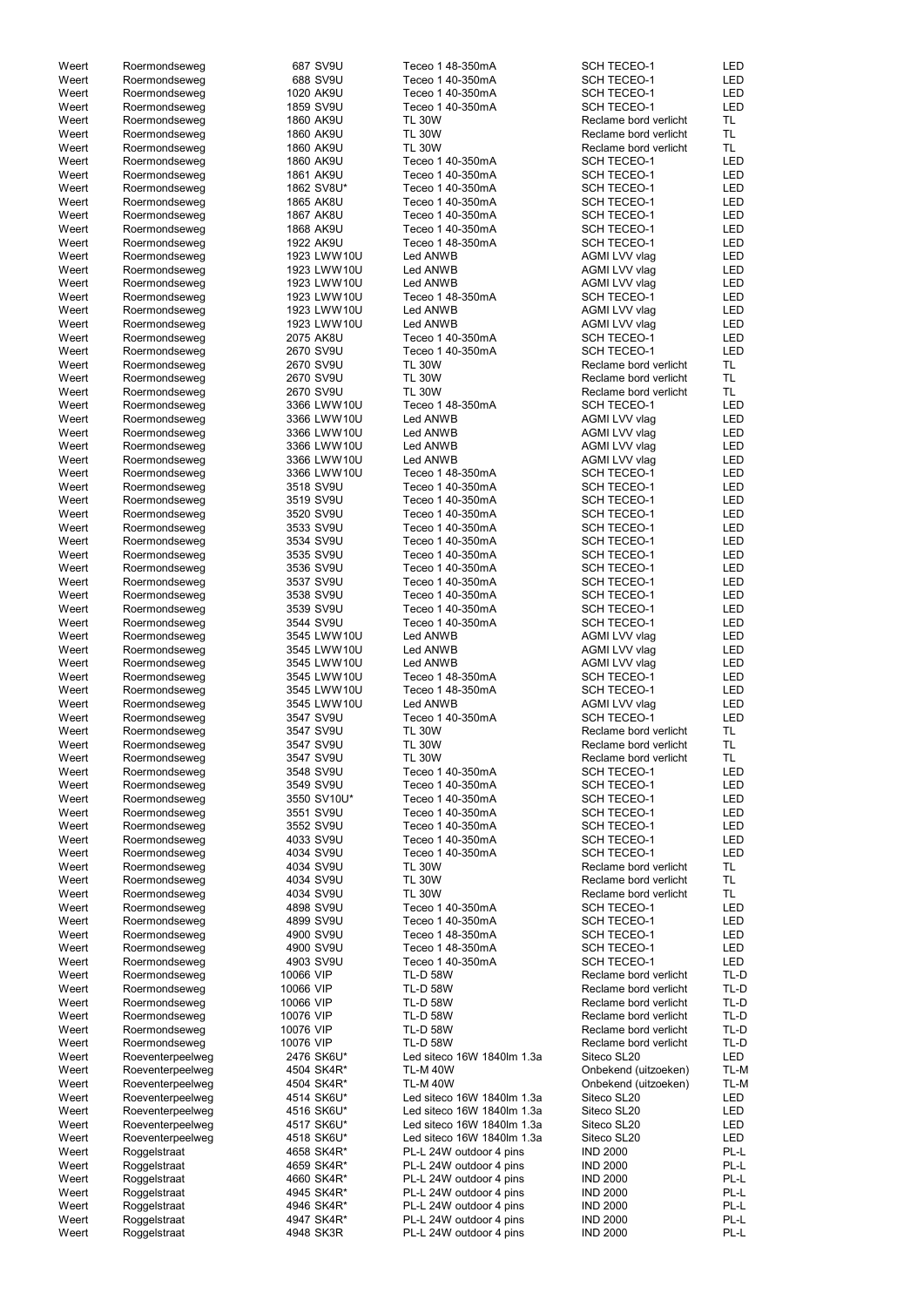| Weert | Roermondseweg    | 687 SV9U    | Teceo 1 48-350mA           | <b>SCH TECEO-1</b>    | LED        |
|-------|------------------|-------------|----------------------------|-----------------------|------------|
|       | Roermondseweg    | 688 SV9U    | Teceo 1 40-350mA           | <b>SCH TECEO-1</b>    | LED        |
| Weert |                  |             |                            |                       |            |
| Weert | Roermondseweg    | 1020 AK9U   | Teceo 1 40-350mA           | <b>SCH TECEO-1</b>    | LED        |
| Weert | Roermondseweg    | 1859 SV9U   | Teceo 1 40-350mA           | <b>SCH TECEO-1</b>    | <b>LED</b> |
| Weert | Roermondseweg    | 1860 AK9U   | <b>TL 30W</b>              | Reclame bord verlicht | TL.        |
| Weert | Roermondseweg    | 1860 AK9U   | <b>TL 30W</b>              | Reclame bord verlicht | TL.        |
|       |                  |             |                            |                       |            |
| Weert | Roermondseweg    | 1860 AK9U   | <b>TL 30W</b>              | Reclame bord verlicht | TL.        |
| Weert | Roermondseweg    | 1860 AK9U   | Teceo 1 40-350mA           | <b>SCH TECEO-1</b>    | LED        |
| Weert | Roermondseweg    | 1861 AK9U   | Teceo 1 40-350mA           | <b>SCH TECEO-1</b>    | LED        |
| Weert | Roermondseweg    | 1862 SV8U*  | Teceo 1 40-350mA           | <b>SCH TECEO-1</b>    | LED        |
|       |                  |             |                            |                       |            |
| Weert | Roermondseweg    | 1865 AK8U   | Teceo 1 40-350mA           | <b>SCH TECEO-1</b>    | LED        |
| Weert | Roermondseweg    | 1867 AK8U   | Teceo 1 40-350mA           | <b>SCH TECEO-1</b>    | LED        |
| Weert | Roermondseweg    | 1868 AK9U   | Teceo 1 40-350mA           | <b>SCH TECEO-1</b>    | LED        |
| Weert | Roermondseweg    | 1922 AK9U   | Teceo 1 48-350mA           | <b>SCH TECEO-1</b>    | LED        |
|       |                  |             |                            |                       |            |
| Weert | Roermondseweg    | 1923 LWW10U | Led ANWB                   | AGMI LVV vlag         | LED        |
| Weert | Roermondseweg    | 1923 LWW10U | Led ANWB                   | AGMI LVV vlag         | LED        |
| Weert | Roermondseweg    | 1923 LWW10U | Led ANWB                   | AGMI LVV vlag         | LED        |
| Weert | Roermondseweg    | 1923 LWW10U | Teceo 1 48-350mA           | <b>SCH TECEO-1</b>    | <b>LED</b> |
|       |                  |             |                            |                       | LED        |
| Weert | Roermondseweg    | 1923 LWW10U | Led ANWB                   | AGMI LVV vlag         |            |
| Weert | Roermondseweg    | 1923 LWW10U | Led ANWB                   | <b>AGMI LVV vlag</b>  | LED        |
| Weert | Roermondseweg    | 2075 AK8U   | Teceo 1 40-350mA           | <b>SCH TECEO-1</b>    | LED        |
| Weert | Roermondseweg    | 2670 SV9U   | Teceo 1 40-350mA           | <b>SCH TECEO-1</b>    | LED        |
| Weert | Roermondseweg    | 2670 SV9U   | <b>TL 30W</b>              | Reclame bord verlicht | TL.        |
|       |                  |             |                            |                       |            |
| Weert | Roermondseweg    | 2670 SV9U   | <b>TL 30W</b>              | Reclame bord verlicht | TL.        |
| Weert | Roermondseweg    | 2670 SV9U   | <b>TL 30W</b>              | Reclame bord verlicht | TL.        |
| Weert | Roermondseweg    | 3366 LWW10U | Teceo 1 48-350mA           | <b>SCH TECEO-1</b>    | LED        |
| Weert | Roermondseweg    | 3366 LWW10U | Led ANWB                   | AGMI LVV vlag         | LED        |
|       |                  |             |                            |                       |            |
| Weert | Roermondseweg    | 3366 LWW10U | Led ANWB                   | AGMI LVV vlag         | LED        |
| Weert | Roermondseweg    | 3366 LWW10U | Led ANWB                   | <b>AGMI LVV vlag</b>  | LED        |
| Weert | Roermondseweg    | 3366 LWW10U | Led ANWB                   | AGMI LVV vlag         | LED        |
| Weert | Roermondseweg    | 3366 LWW10U | Teceo 1 48-350mA           | <b>SCH TECEO-1</b>    | LED        |
| Weert |                  | 3518 SV9U   | Teceo 1 40-350mA           |                       | LED        |
|       | Roermondseweg    |             |                            | <b>SCH TECEO-1</b>    |            |
| Weert | Roermondseweg    | 3519 SV9U   | Teceo 1 40-350mA           | <b>SCH TECEO-1</b>    | LED        |
| Weert | Roermondseweg    | 3520 SV9U   | Teceo 1 40-350mA           | <b>SCH TECEO-1</b>    | LED        |
| Weert | Roermondseweg    | 3533 SV9U   | Teceo 1 40-350mA           | <b>SCH TECEO-1</b>    | LED        |
| Weert | Roermondseweg    | 3534 SV9U   | Teceo 1 40-350mA           | <b>SCH TECEO-1</b>    | LED        |
|       |                  |             |                            |                       |            |
| Weert | Roermondseweg    | 3535 SV9U   | Teceo 1 40-350mA           | <b>SCH TECEO-1</b>    | <b>LED</b> |
| Weert | Roermondseweg    | 3536 SV9U   | Teceo 1 40-350mA           | <b>SCH TECEO-1</b>    | LED        |
| Weert | Roermondseweg    | 3537 SV9U   | Teceo 1 40-350mA           | <b>SCH TECEO-1</b>    | <b>LED</b> |
| Weert | Roermondseweg    | 3538 SV9U   | Teceo 1 40-350mA           | <b>SCH TECEO-1</b>    | LED        |
|       |                  |             |                            |                       |            |
| Weert | Roermondseweg    | 3539 SV9U   | Teceo 1 40-350mA           | <b>SCH TECEO-1</b>    | LED        |
| Weert | Roermondseweg    | 3544 SV9U   | Teceo 1 40-350mA           | <b>SCH TECEO-1</b>    | LED        |
| Weert | Roermondseweg    | 3545 LWW10U | Led ANWB                   | AGMI LVV vlag         | <b>LED</b> |
| Weert | Roermondseweg    | 3545 LWW10U | Led ANWB                   | AGMI LVV vlag         | <b>LED</b> |
|       |                  |             |                            |                       |            |
| Weert | Roermondseweg    | 3545 LWW10U | Led ANWB                   | AGMI LVV vlag         | <b>LED</b> |
| Weert | Roermondseweg    | 3545 LWW10U | Teceo 1 48-350mA           | <b>SCH TECEO-1</b>    | LED        |
| Weert | Roermondseweg    | 3545 LWW10U | Teceo 1 48-350mA           | <b>SCH TECEO-1</b>    | <b>LED</b> |
| Weert | Roermondseweg    | 3545 LWW10U | Led ANWB                   | AGMI LVV vlag         | LED        |
|       |                  |             |                            |                       |            |
| Weert | Roermondseweg    | 3547 SV9U   | Teceo 1 40-350mA           | <b>SCH TECEO-1</b>    | LED        |
| Weert | Roermondseweg    | 3547 SV9U   | <b>TL 30W</b>              | Reclame bord verlicht | TL.        |
| Weert | Roermondseweg    | 3547 SV9U   | <b>TL 30W</b>              | Reclame bord verlicht | TL.        |
| Weert | Roermondseweg    | 3547 SV9U   | <b>TL 30W</b>              | Reclame bord verlicht | TL.        |
|       |                  |             |                            |                       | <b>LED</b> |
| Weert | Roermondseweg    | 3548 SV9U   | Teceo 1 40-350mA           | <b>SCH TECEO-1</b>    |            |
| Weert | Roermondseweg    | 3549 SV9U   | Teceo 1 40-350mA           | <b>SCH TECEO-1</b>    | <b>LED</b> |
| Weert |                  |             | Teceo 1 40-350mA           | <b>SCH TECEO-1</b>    |            |
|       | Roermondseweg    | 3550 SV10U* |                            |                       | <b>LED</b> |
| Weert |                  |             | Teceo 1 40-350mA           | <b>SCH TECEO-1</b>    | LED        |
|       | Roermondseweg    | 3551 SV9U   |                            |                       |            |
| Weert | Roermondseweg    | 3552 SV9U   | Teceo 1 40-350mA           | <b>SCH TECEO-1</b>    | LED        |
| Weert | Roermondseweg    | 4033 SV9U   | Teceo 1 40-350mA           | <b>SCH TECEO-1</b>    | LED        |
| Weert | Roermondseweg    | 4034 SV9U   | Teceo 1 40-350mA           | <b>SCH TECEO-1</b>    | LED        |
| Weert | Roermondseweg    | 4034 SV9U   | <b>TL 30W</b>              | Reclame bord verlicht | TL.        |
| Weert |                  | 4034 SV9U   | <b>TL 30W</b>              | Reclame bord verlicht | TL.        |
|       | Roermondseweg    |             |                            |                       |            |
| Weert | Roermondseweg    | 4034 SV9U   | <b>TL 30W</b>              | Reclame bord verlicht | TL         |
| Weert | Roermondseweg    | 4898 SV9U   | Teceo 1 40-350mA           | <b>SCH TECEO-1</b>    | LED        |
| Weert | Roermondseweg    | 4899 SV9U   | Teceo 1 40-350mA           | <b>SCH TECEO-1</b>    | LED        |
| Weert | Roermondseweg    | 4900 SV9U   | Teceo 1 48-350mA           | <b>SCH TECEO-1</b>    | LED        |
| Weert |                  |             | Teceo 1 48-350mA           | <b>SCH TECEO-1</b>    | LED        |
|       | Roermondseweg    | 4900 SV9U   |                            |                       |            |
| Weert | Roermondseweg    | 4903 SV9U   | Teceo 1 40-350mA           | <b>SCH TECEO-1</b>    | <b>LED</b> |
| Weert | Roermondseweg    | 10066 VIP   | <b>TL-D 58W</b>            | Reclame bord verlicht | TL-D       |
| Weert | Roermondseweg    | 10066 VIP   | <b>TL-D 58W</b>            | Reclame bord verlicht | TL-D       |
| Weert | Roermondseweg    | 10066 VIP   | <b>TL-D 58W</b>            | Reclame bord verlicht | TL-D       |
|       |                  |             |                            |                       |            |
| Weert | Roermondseweg    | 10076 VIP   | <b>TL-D 58W</b>            | Reclame bord verlicht | TL-D       |
| Weert | Roermondseweg    | 10076 VIP   | <b>TL-D 58W</b>            | Reclame bord verlicht | TL-D       |
| Weert | Roermondseweg    | 10076 VIP   | <b>TL-D 58W</b>            | Reclame bord verlicht | TL-D       |
| Weert | Roeventerpeelweg | 2476 SK6U*  | Led siteco 16W 1840lm 1.3a | Siteco SL20           | LED        |
|       |                  |             |                            |                       |            |
| Weert | Roeventerpeelweg | 4504 SK4R*  | <b>TL-M 40W</b>            | Onbekend (uitzoeken)  | TL-M       |
| Weert | Roeventerpeelweg | 4504 SK4R*  | <b>TL-M 40W</b>            | Onbekend (uitzoeken)  | TL-M       |
| Weert | Roeventerpeelweg | 4514 SK6U*  | Led siteco 16W 1840lm 1.3a | Siteco SL20           | LED        |
| Weert | Roeventerpeelweg | 4516 SK6U*  | Led siteco 16W 1840lm 1.3a | Siteco SL20           | LED        |
|       |                  |             |                            |                       |            |
| Weert | Roeventerpeelweg | 4517 SK6U*  | Led siteco 16W 1840lm 1.3a | Siteco SL20           | LED        |
| Weert | Roeventerpeelweg | 4518 SK6U*  | Led siteco 16W 1840lm 1.3a | Siteco SL20           | LED        |
| Weert | Roggelstraat     | 4658 SK4R*  | PL-L 24W outdoor 4 pins    | <b>IND 2000</b>       | PL-L       |
| Weert | Roggelstraat     | 4659 SK4R*  | PL-L 24W outdoor 4 pins    | <b>IND 2000</b>       | PL-L       |
| Weert |                  |             | PL-L 24W outdoor 4 pins    | <b>IND 2000</b>       | PL-L       |
|       | Roggelstraat     | 4660 SK4R*  |                            |                       |            |
| Weert | Roggelstraat     | 4945 SK4R*  | PL-L 24W outdoor 4 pins    | <b>IND 2000</b>       | PL-L       |
| Weert | Roggelstraat     | 4946 SK4R*  | PL-L 24W outdoor 4 pins    | <b>IND 2000</b>       | PL-L       |
| Weert | Roggelstraat     | 4947 SK4R*  | PL-L 24W outdoor 4 pins    | <b>IND 2000</b>       | PL-L       |
| Weert | Roggelstraat     | 4948 SK3R   | PL-L 24W outdoor 4 pins    | <b>IND 2000</b>       | PL-L       |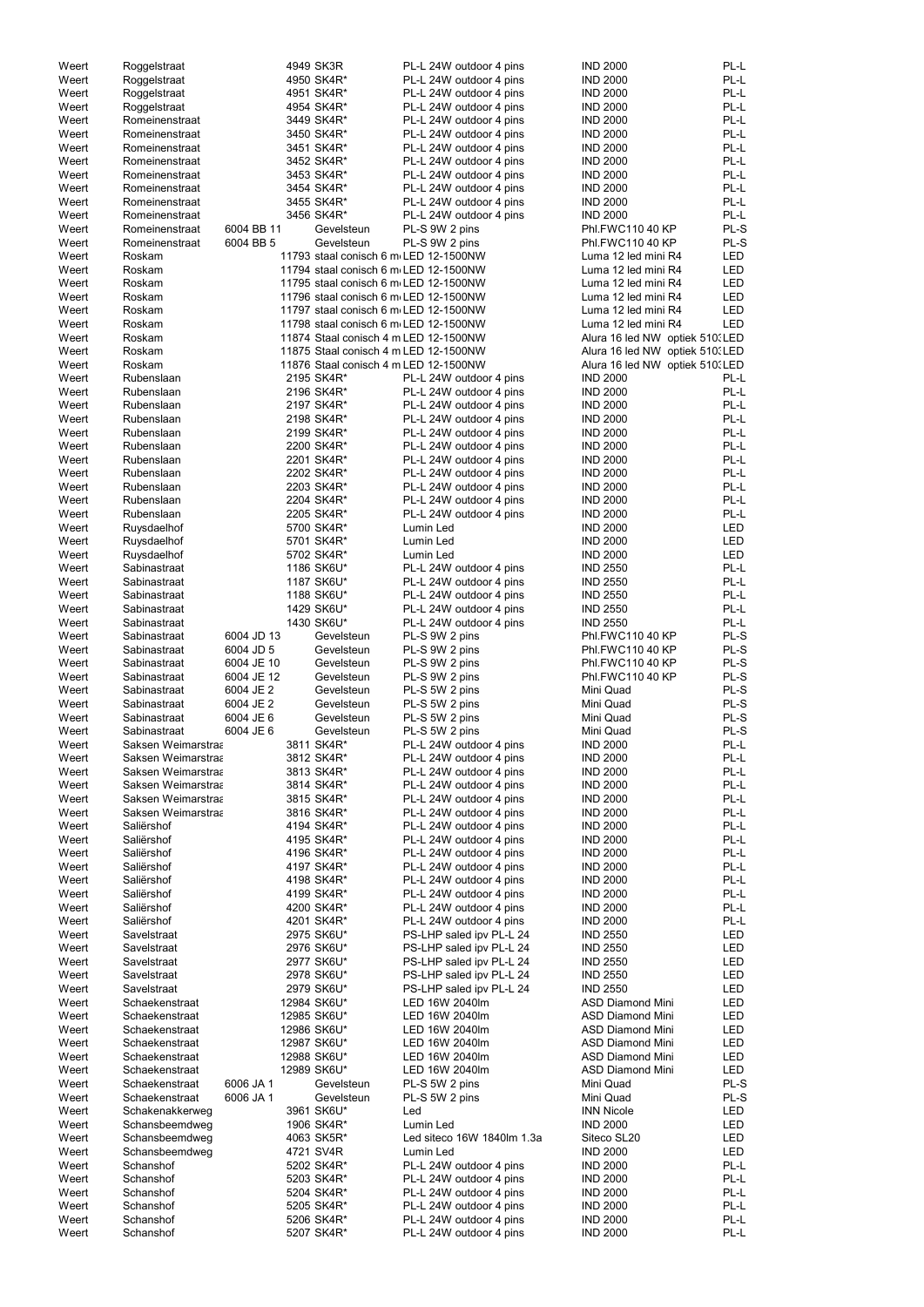| Weert | Roggelstraat       |            | 4949 SK3R   | PL-L 24W outdoor 4 pins               | <b>IND 2000</b>                 | PL-L       |
|-------|--------------------|------------|-------------|---------------------------------------|---------------------------------|------------|
| Weert | Roggelstraat       |            | 4950 SK4R*  | PL-L 24W outdoor 4 pins               | <b>IND 2000</b>                 | PL-L       |
| Weert | Roggelstraat       |            | 4951 SK4R*  | PL-L 24W outdoor 4 pins               | <b>IND 2000</b>                 | PL-L       |
| Weert | Roggelstraat       |            | 4954 SK4R*  | PL-L 24W outdoor 4 pins               | <b>IND 2000</b>                 | PL-L       |
| Weert | Romeinenstraat     |            | 3449 SK4R*  | PL-L 24W outdoor 4 pins               | <b>IND 2000</b>                 | PL-L       |
| Weert | Romeinenstraat     |            | 3450 SK4R*  | PL-L 24W outdoor 4 pins               | <b>IND 2000</b>                 | PL-L       |
|       |                    |            |             |                                       |                                 |            |
| Weert | Romeinenstraat     |            | 3451 SK4R*  | PL-L 24W outdoor 4 pins               | <b>IND 2000</b>                 | PL-L       |
| Weert | Romeinenstraat     |            | 3452 SK4R*  | PL-L 24W outdoor 4 pins               | <b>IND 2000</b>                 | PL-L       |
| Weert | Romeinenstraat     |            | 3453 SK4R*  | PL-L 24W outdoor 4 pins               | <b>IND 2000</b>                 | PL-L       |
| Weert | Romeinenstraat     |            | 3454 SK4R*  | PL-L 24W outdoor 4 pins               | <b>IND 2000</b>                 | PL-L       |
| Weert | Romeinenstraat     |            | 3455 SK4R*  | PL-L 24W outdoor 4 pins               | <b>IND 2000</b>                 | PL-L       |
| Weert | Romeinenstraat     |            | 3456 SK4R*  | PL-L 24W outdoor 4 pins               | <b>IND 2000</b>                 | PL-L       |
|       |                    |            |             |                                       |                                 |            |
| Weert | Romeinenstraat     | 6004 BB 11 | Gevelsteun  | PL-S 9W 2 pins                        | Phl.FWC110 40 KP                | PL-S       |
| Weert | Romeinenstraat     | 6004 BB 5  | Gevelsteun  | PL-S 9W 2 pins                        | Phl.FWC110 40 KP                | PL-S       |
| Weert | Roskam             |            |             | 11793 staal conisch 6 m LED 12-1500NW | Luma 12 led mini R4             | <b>LED</b> |
| Weert | Roskam             |            |             | 11794 staal conisch 6 m LED 12-1500NW | Luma 12 led mini R4             | <b>LED</b> |
| Weert | Roskam             |            |             | 11795 staal conisch 6 m LED 12-1500NW | Luma 12 led mini R4             | <b>LED</b> |
|       |                    |            |             |                                       | Luma 12 led mini R4             | <b>LED</b> |
| Weert | Roskam             |            |             | 11796 staal conisch 6 m LED 12-1500NW |                                 |            |
| Weert | Roskam             |            |             | 11797 staal conisch 6 m LED 12-1500NW | Luma 12 led mini R4             | <b>LED</b> |
| Weert | Roskam             |            |             | 11798 staal conisch 6 m LED 12-1500NW | Luma 12 led mini R4             | <b>LED</b> |
| Weert | Roskam             |            |             | 11874 Staal conisch 4 m LED 12-1500NW | Alura 16 led NW optiek 510. LED |            |
| Weert | Roskam             |            |             | 11875 Staal conisch 4 m LED 12-1500NW | Alura 16 led NW optiek 510. LED |            |
|       | Roskam             |            |             |                                       | Alura 16 led NW optiek 510(LED  |            |
| Weert |                    |            |             | 11876 Staal conisch 4 m LED 12-1500NW |                                 |            |
| Weert | Rubenslaan         |            | 2195 SK4R*  | PL-L 24W outdoor 4 pins               | <b>IND 2000</b>                 | PL-L       |
| Weert | Rubenslaan         |            | 2196 SK4R*  | PL-L 24W outdoor 4 pins               | <b>IND 2000</b>                 | PL-L       |
| Weert | Rubenslaan         |            | 2197 SK4R*  | PL-L 24W outdoor 4 pins               | <b>IND 2000</b>                 | PL-L       |
| Weert | Rubenslaan         |            | 2198 SK4R*  | PL-L 24W outdoor 4 pins               | <b>IND 2000</b>                 | PL-L       |
| Weert | Rubenslaan         |            |             |                                       | <b>IND 2000</b>                 | PL-L       |
|       |                    |            | 2199 SK4R*  | PL-L 24W outdoor 4 pins               |                                 |            |
| Weert | Rubenslaan         |            | 2200 SK4R*  | PL-L 24W outdoor 4 pins               | <b>IND 2000</b>                 | PL-L       |
| Weert | Rubenslaan         |            | 2201 SK4R*  | PL-L 24W outdoor 4 pins               | <b>IND 2000</b>                 | PL-L       |
| Weert | Rubenslaan         |            | 2202 SK4R*  | PL-L 24W outdoor 4 pins               | <b>IND 2000</b>                 | PL-L       |
| Weert | Rubenslaan         |            | 2203 SK4R*  | PL-L 24W outdoor 4 pins               | <b>IND 2000</b>                 | PL-L       |
|       |                    |            |             |                                       |                                 | PL-L       |
| Weert | Rubenslaan         |            | 2204 SK4R*  | PL-L 24W outdoor 4 pins               | <b>IND 2000</b>                 |            |
| Weert | Rubenslaan         |            | 2205 SK4R*  | PL-L 24W outdoor 4 pins               | <b>IND 2000</b>                 | PL-L       |
| Weert | Ruysdaelhof        |            | 5700 SK4R*  | Lumin Led                             | <b>IND 2000</b>                 | LED        |
| Weert | Ruysdaelhof        |            | 5701 SK4R*  | Lumin Led                             | <b>IND 2000</b>                 | <b>LED</b> |
| Weert | Ruysdaelhof        |            | 5702 SK4R*  | Lumin Led                             | <b>IND 2000</b>                 | LED        |
| Weert | Sabinastraat       |            | 1186 SK6U*  | PL-L 24W outdoor 4 pins               | <b>IND 2550</b>                 | PL-L       |
|       |                    |            |             |                                       |                                 |            |
| Weert | Sabinastraat       |            | 1187 SK6U*  | PL-L 24W outdoor 4 pins               | <b>IND 2550</b>                 | PL-L       |
| Weert | Sabinastraat       |            | 1188 SK6U*  | PL-L 24W outdoor 4 pins               | <b>IND 2550</b>                 | PL-L       |
| Weert | Sabinastraat       |            | 1429 SK6U*  | PL-L 24W outdoor 4 pins               | <b>IND 2550</b>                 | PL-L       |
| Weert | Sabinastraat       |            | 1430 SK6U*  | PL-L 24W outdoor 4 pins               | <b>IND 2550</b>                 | PL-L       |
| Weert | Sabinastraat       | 6004 JD 13 | Gevelsteun  | PL-S 9W 2 pins                        | Phl.FWC110 40 KP                | PL-S       |
|       |                    |            |             |                                       |                                 |            |
| Weert | Sabinastraat       | 6004 JD 5  | Gevelsteun  | PL-S 9W 2 pins                        | Phl.FWC110 40 KP                | PL-S       |
| Weert | Sabinastraat       | 6004 JE 10 | Gevelsteun  | PL-S 9W 2 pins                        | Phl.FWC110 40 KP                | PL-S       |
| Weert | Sabinastraat       | 6004 JE 12 | Gevelsteun  | PL-S 9W 2 pins                        | Phl.FWC110 40 KP                | PL-S       |
| Weert | Sabinastraat       | 6004 JE 2  | Gevelsteun  | PL-S 5W 2 pins                        | Mini Quad                       | PL-S       |
|       |                    |            | Gevelsteun  |                                       |                                 | PL-S       |
| Weert | Sabinastraat       | 6004 JE 2  |             | PL-S 5W 2 pins                        | Mini Quad                       |            |
| Weert | Sabinastraat       | 6004 JE 6  | Gevelsteun  | PL-S 5W 2 pins                        | Mini Quad                       | PL-S       |
| Weert | Sabinastraat       | 6004 JE 6  | Gevelsteun  | PL-S 5W 2 pins                        | Mini Quad                       | PL-S       |
| Weert | Saksen Weimarstraa |            | 3811 SK4R*  | PL-L 24W outdoor 4 pins               | <b>IND 2000</b>                 | PL-L       |
| Weert | Saksen Weimarstraa |            | 3812 SK4R*  | PL-L 24W outdoor 4 pins               | <b>IND 2000</b>                 | PL-L       |
| Weert | Saksen Weimarstraa |            | 3813 SK4R*  | PL-L 24W outdoor 4 pins               | <b>IND 2000</b>                 | PL-L       |
|       |                    |            |             |                                       |                                 |            |
| Weert | Saksen Weimarstraa |            | 3814 SK4R*  | PL-L 24W outdoor 4 pins               | <b>IND 2000</b>                 | PL-L       |
| Weert | Saksen Weimarstraa |            | 3815 SK4R*  | PL-L 24W outdoor 4 pins               | <b>IND 2000</b>                 | PL-L       |
| Weert | Saksen Weimarstraa |            | 3816 SK4R*  | PL-L 24W outdoor 4 pins               | <b>IND 2000</b>                 | PL-L       |
| Weert | Saliërshof         |            | 4194 SK4R*  | PL-L 24W outdoor 4 pins               | <b>IND 2000</b>                 | PL-L       |
| Weert | Saliërshof         |            | 4195 SK4R*  | PL-L 24W outdoor 4 pins               | <b>IND 2000</b>                 | PL-L       |
|       | Saliërshof         |            |             |                                       |                                 | PL-L       |
| Weert |                    |            | 4196 SK4R*  | PL-L 24W outdoor 4 pins               | <b>IND 2000</b>                 |            |
| Weert | Saliërshof         |            | 4197 SK4R*  | PL-L 24W outdoor 4 pins               | <b>IND 2000</b>                 | PL-L       |
| Weert | Saliërshof         |            | 4198 SK4R*  | PL-L 24W outdoor 4 pins               | <b>IND 2000</b>                 | PL-L       |
| Weert | Saliërshof         |            | 4199 SK4R*  | PL-L 24W outdoor 4 pins               | <b>IND 2000</b>                 | PL-L       |
| Weert | Saliërshof         |            | 4200 SK4R*  | PL-L 24W outdoor 4 pins               | <b>IND 2000</b>                 | PL-L       |
| Weert | Saliërshof         |            | 4201 SK4R*  | PL-L 24W outdoor 4 pins               | <b>IND 2000</b>                 | PL-L       |
| Weert | Savelstraat        |            | 2975 SK6U*  | PS-LHP saled ipv PL-L 24              | <b>IND 2550</b>                 | LED        |
|       |                    |            |             |                                       |                                 |            |
| Weert | Savelstraat        |            | 2976 SK6U*  | PS-LHP saled ipv PL-L 24              | <b>IND 2550</b>                 | LED        |
| Weert | Savelstraat        |            | 2977 SK6U*  | PS-LHP saled ipv PL-L 24              | <b>IND 2550</b>                 | LED        |
| Weert | Savelstraat        |            | 2978 SK6U*  | PS-LHP saled ipv PL-L 24              | <b>IND 2550</b>                 | LED        |
| Weert | Savelstraat        |            | 2979 SK6U*  | PS-LHP saled ipv PL-L 24              | <b>IND 2550</b>                 | LED        |
| Weert | Schaekenstraat     |            | 12984 SK6U* | LED 16W 2040lm                        | <b>ASD Diamond Mini</b>         | LED        |
| Weert | Schaekenstraat     |            |             | LED 16W 2040lm                        | <b>ASD Diamond Mini</b>         | LED        |
|       |                    |            | 12985 SK6U* |                                       |                                 |            |
| Weert | Schaekenstraat     |            | 12986 SK6U* | LED 16W 2040lm                        | <b>ASD Diamond Mini</b>         | <b>LED</b> |
| Weert | Schaekenstraat     |            | 12987 SK6U* | LED 16W 2040lm                        | <b>ASD Diamond Mini</b>         | LED        |
| Weert | Schaekenstraat     |            | 12988 SK6U* | LED 16W 2040lm                        | <b>ASD Diamond Mini</b>         | LED        |
| Weert | Schaekenstraat     |            | 12989 SK6U* | LED 16W 2040lm                        | <b>ASD Diamond Mini</b>         | LED        |
|       |                    | 6006 JA 1  |             | PL-S 5W 2 pins                        |                                 | PL-S       |
| Weert | Schaekenstraat     |            | Gevelsteun  |                                       | Mini Quad                       |            |
| Weert | Schaekenstraat     | 6006 JA 1  | Gevelsteun  | PL-S 5W 2 pins                        | Mini Quad                       | PL-S       |
| Weert | Schakenakkerweg    |            | 3961 SK6U*  | Led                                   | <b>INN Nicole</b>               | LED        |
| Weert | Schansbeemdweg     |            | 1906 SK4R*  | Lumin Led                             | <b>IND 2000</b>                 | LED        |
| Weert | Schansbeemdweg     |            | 4063 SK5R*  | Led siteco 16W 1840lm 1.3a            | Siteco SL20                     | LED        |
| Weert | Schansbeemdweg     |            | 4721 SV4R   | Lumin Led                             | <b>IND 2000</b>                 | LED        |
|       |                    |            |             |                                       |                                 |            |
| Weert | Schanshof          |            | 5202 SK4R*  | PL-L 24W outdoor 4 pins               | <b>IND 2000</b>                 | PL-L       |
| Weert | Schanshof          |            | 5203 SK4R*  | PL-L 24W outdoor 4 pins               | <b>IND 2000</b>                 | PL-L       |
| Weert | Schanshof          |            | 5204 SK4R*  | PL-L 24W outdoor 4 pins               | <b>IND 2000</b>                 | PL-L       |
| Weert | Schanshof          |            | 5205 SK4R*  | PL-L 24W outdoor 4 pins               | <b>IND 2000</b>                 | PL-L       |
| Weert | Schanshof          |            | 5206 SK4R*  | PL-L 24W outdoor 4 pins               | <b>IND 2000</b>                 | PL-L       |
| Weert | Schanshof          |            |             | PL-L 24W outdoor 4 pins               |                                 | PL-L       |
|       |                    |            | 5207 SK4R*  |                                       | <b>IND 2000</b>                 |            |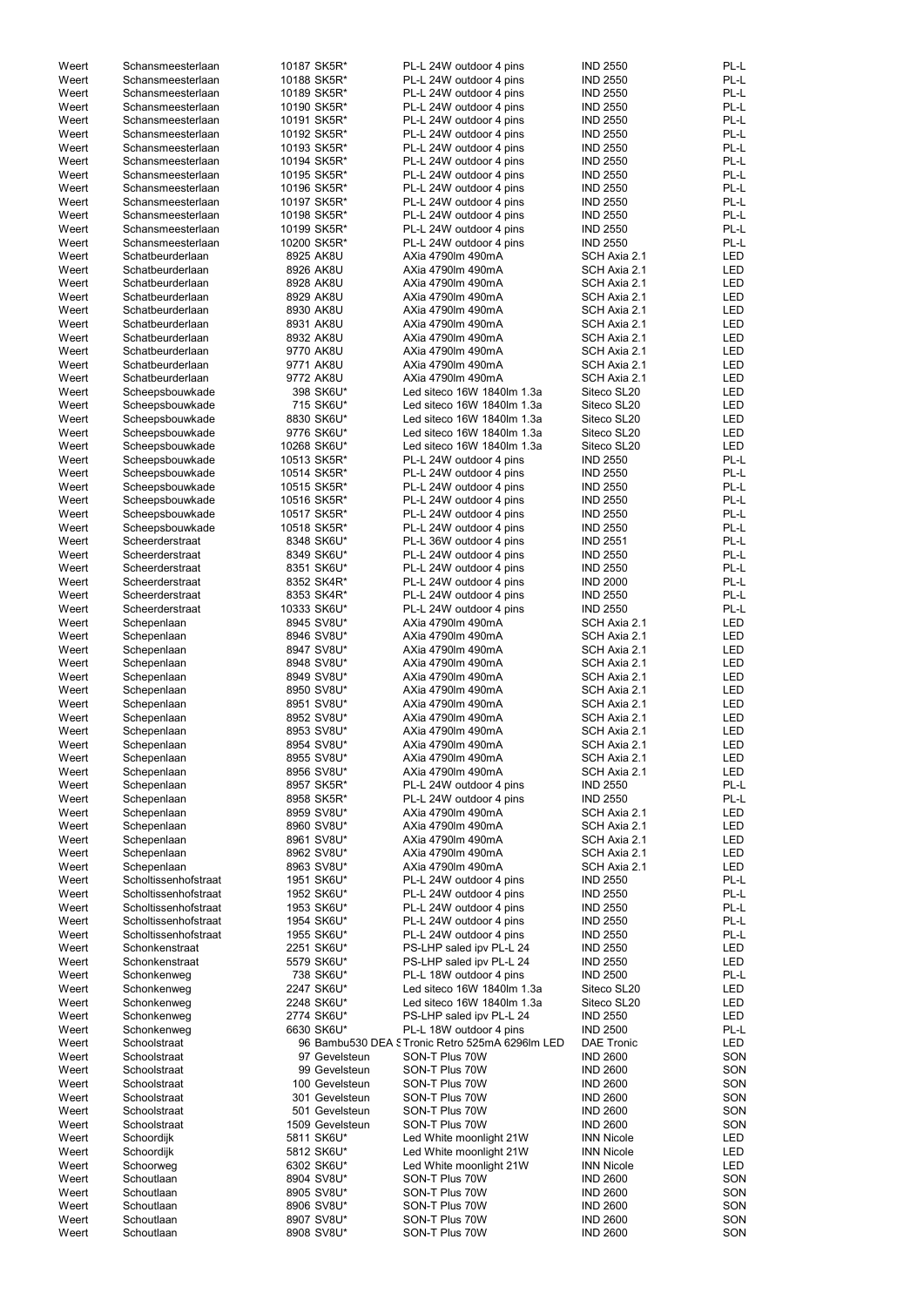| Weert | Schansmeesterlaan    | 10187 SK5R*              | PL-L 24W outdoor 4 pins                        | <b>IND 2550</b>                    | PL-L       |
|-------|----------------------|--------------------------|------------------------------------------------|------------------------------------|------------|
| Weert | Schansmeesterlaan    | 10188 SK5R*              | PL-L 24W outdoor 4 pins                        | <b>IND 2550</b>                    | PL-L       |
| Weert | Schansmeesterlaan    | 10189 SK5R*              | PL-L 24W outdoor 4 pins                        | <b>IND 2550</b>                    | PL-L       |
| Weert | Schansmeesterlaan    | 10190 SK5R*              | PL-L 24W outdoor 4 pins                        | <b>IND 2550</b>                    | PL-L       |
| Weert | Schansmeesterlaan    | 10191 SK5R*              | PL-L 24W outdoor 4 pins                        | <b>IND 2550</b>                    | PL-L       |
|       |                      |                          |                                                |                                    |            |
| Weert | Schansmeesterlaan    | 10192 SK5R*              | PL-L 24W outdoor 4 pins                        | <b>IND 2550</b>                    | PL-L       |
| Weert | Schansmeesterlaan    | 10193 SK5R*              | PL-L 24W outdoor 4 pins                        | <b>IND 2550</b>                    | PL-L       |
| Weert | Schansmeesterlaan    | 10194 SK5R*              | PL-L 24W outdoor 4 pins                        | <b>IND 2550</b>                    | PL-L       |
| Weert | Schansmeesterlaan    | 10195 SK5R*              | PL-L 24W outdoor 4 pins                        | <b>IND 2550</b>                    | PL-L       |
| Weert | Schansmeesterlaan    | 10196 SK5R*              | PL-L 24W outdoor 4 pins                        | <b>IND 2550</b>                    | PL-L       |
| Weert | Schansmeesterlaan    | 10197 SK5R*              | PL-L 24W outdoor 4 pins                        | <b>IND 2550</b>                    | PL-L       |
|       |                      |                          |                                                |                                    |            |
| Weert | Schansmeesterlaan    | 10198 SK5R*              | PL-L 24W outdoor 4 pins                        | <b>IND 2550</b>                    | PL-L       |
| Weert | Schansmeesterlaan    | 10199 SK5R*              | PL-L 24W outdoor 4 pins                        | <b>IND 2550</b>                    | PL-L       |
| Weert | Schansmeesterlaan    | 10200 SK5R*              | PL-L 24W outdoor 4 pins                        | <b>IND 2550</b>                    | PL-L       |
| Weert | Schatbeurderlaan     | 8925 AK8U                | AXia 4790lm 490mA                              | SCH Axia 2.1                       | LED        |
| Weert | Schatbeurderlaan     | 8926 AK8U                | AXia 4790lm 490mA                              | SCH Axia 2.1                       | <b>LED</b> |
| Weert | Schatbeurderlaan     | 8928 AK8U                | AXia 4790lm 490mA                              | SCH Axia 2.1                       | <b>LED</b> |
|       |                      |                          |                                                |                                    |            |
| Weert | Schatbeurderlaan     | 8929 AK8U                | AXia 4790lm 490mA                              | SCH Axia 2.1                       | LED        |
| Weert | Schatbeurderlaan     | 8930 AK8U                | AXia 4790lm 490mA                              | SCH Axia 2.1                       | <b>LED</b> |
| Weert | Schatbeurderlaan     | 8931 AK8U                | AXia 4790lm 490mA                              | SCH Axia 2.1                       | LED        |
| Weert | Schatbeurderlaan     | 8932 AK8U                | AXia 4790lm 490mA                              | SCH Axia 2.1                       | LED        |
| Weert | Schatbeurderlaan     | 9770 AK8U                | AXia 4790lm 490mA                              | SCH Axia 2.1                       | <b>LED</b> |
|       |                      |                          |                                                | SCH Axia 2.1                       |            |
| Weert | Schatbeurderlaan     | 9771 AK8U                | AXia 4790lm 490mA                              |                                    | LED        |
| Weert | Schatbeurderlaan     | 9772 AK8U                | AXia 4790lm 490mA                              | SCH Axia 2.1                       | LED        |
| Weert | Scheepsbouwkade      | 398 SK6U*                | Led siteco 16W 1840lm 1.3a                     | Siteco SL20                        | <b>LED</b> |
| Weert | Scheepsbouwkade      | 715 SK6U*                | Led siteco 16W 1840lm 1.3a                     | Siteco SL20                        | LED        |
| Weert | Scheepsbouwkade      | 8830 SK6U*               | Led siteco 16W 1840lm 1.3a                     | Siteco SL20                        | LED        |
| Weert | Scheepsbouwkade      | 9776 SK6U*               | Led siteco 16W 1840lm 1.3a                     | Siteco SL20                        | LED        |
|       |                      |                          |                                                |                                    |            |
| Weert | Scheepsbouwkade      | 10268 SK6U*              | Led siteco 16W 1840lm 1.3a                     | Siteco SL20                        | <b>LED</b> |
| Weert | Scheepsbouwkade      | 10513 SK5R*              | PL-L 24W outdoor 4 pins                        | <b>IND 2550</b>                    | PL-L       |
| Weert | Scheepsbouwkade      | 10514 SK5R*              | PL-L 24W outdoor 4 pins                        | <b>IND 2550</b>                    | PL-L       |
| Weert | Scheepsbouwkade      | 10515 SK5R*              | PL-L 24W outdoor 4 pins                        | <b>IND 2550</b>                    | PL-L       |
| Weert | Scheepsbouwkade      | 10516 SK5R*              | PL-L 24W outdoor 4 pins                        | <b>IND 2550</b>                    | PL-L       |
|       |                      |                          |                                                |                                    |            |
| Weert | Scheepsbouwkade      | 10517 SK5R*              | PL-L 24W outdoor 4 pins                        | <b>IND 2550</b>                    | PL-L       |
| Weert | Scheepsbouwkade      | 10518 SK5R*              | PL-L 24W outdoor 4 pins                        | <b>IND 2550</b>                    | PL-L       |
| Weert | Scheerderstraat      | 8348 SK6U*               | PL-L 36W outdoor 4 pins                        | <b>IND 2551</b>                    | PL-L       |
| Weert | Scheerderstraat      | 8349 SK6U*               | PL-L 24W outdoor 4 pins                        | <b>IND 2550</b>                    | PL-L       |
| Weert | Scheerderstraat      | 8351 SK6U*               | PL-L 24W outdoor 4 pins                        | <b>IND 2550</b>                    | PL-L       |
| Weert | Scheerderstraat      | 8352 SK4R*               | PL-L 24W outdoor 4 pins                        | <b>IND 2000</b>                    | PL-L       |
|       |                      |                          |                                                |                                    |            |
| Weert | Scheerderstraat      | 8353 SK4R*               | PL-L 24W outdoor 4 pins                        | <b>IND 2550</b>                    | PL-L       |
| Weert | Scheerderstraat      | 10333 SK6U*              | PL-L 24W outdoor 4 pins                        | <b>IND 2550</b>                    | PL-L       |
| Weert | Schepenlaan          | 8945 SV8U*               | AXia 4790lm 490mA                              | SCH Axia 2.1                       | <b>LED</b> |
| Weert | Schepenlaan          | 8946 SV8U*               | AXia 4790lm 490mA                              | SCH Axia 2.1                       | <b>LED</b> |
| Weert | Schepenlaan          | 8947 SV8U*               | AXia 4790lm 490mA                              | SCH Axia 2.1                       | LED        |
|       |                      |                          |                                                |                                    |            |
| Weert | Schepenlaan          | 8948 SV8U*               | AXia 4790lm 490mA                              | SCH Axia 2.1                       | LED        |
| Weert | Schepenlaan          | 8949 SV8U*               | AXia 4790lm 490mA                              | SCH Axia 2.1                       | LED        |
| Weert | Schepenlaan          | 8950 SV8U*               | AXia 4790lm 490mA                              | SCH Axia 2.1                       | LED        |
| Weert | Schepenlaan          | 8951 SV8U*               | AXia 4790lm 490mA                              | SCH Axia 2.1                       | LED        |
| Weert | Schepenlaan          | 8952 SV8U*               | AXia 4790lm 490mA                              | SCH Axia 2.1                       | <b>LED</b> |
|       |                      |                          |                                                |                                    |            |
| Weert | Schepenlaan          | 8953 SV8U*               | AXia 4790lm 490mA                              | SCH Axia 2.1                       | <b>LED</b> |
| Weert | Schepenlaan          | 8954 SV8U*               | AXia 4790lm 490mA                              | SCH Axia 2.1                       | <b>LED</b> |
| Weert | Schepenlaan          | 8955 SV8U*               | AXia 4790lm 490mA                              | SCH Axia 2.1                       | <b>LED</b> |
| Weert | Schepenlaan          | 8956 SV8U*               | AXia 4790lm 490mA                              | SCH Axia 2.1                       | <b>LED</b> |
| Weert | Schepenlaan          | 8957 SK5R*               | PL-L 24W outdoor 4 pins                        | <b>IND 2550</b>                    | PL-L       |
| Weert | Schepenlaan          | 8958 SK5R*               | PL-L 24W outdoor 4 pins                        | <b>IND 2550</b>                    | PL-L       |
|       |                      |                          |                                                |                                    |            |
| Weert | Schepenlaan          | 8959 SV8U*               | AXia 4790lm 490mA                              | SCH Axia 2.1                       | LED        |
| Weert | Schepenlaan          | 8960 SV8U*               | AXia 4790lm 490mA                              | SCH Axia 2.1                       | LED        |
| Weert | Schepenlaan          | 8961 SV8U*               | AXia 4790lm 490mA                              | SCH Axia 2.1                       | <b>LED</b> |
| Weert | Schepenlaan          | 8962 SV8U*               | AXia 4790lm 490mA                              | SCH Axia 2.1                       | <b>LED</b> |
| Weert | Schepenlaan          | 8963 SV8U*               | AXia 4790lm 490mA                              | SCH Axia 2.1                       | <b>LED</b> |
| Weert | Scholtissenhofstraat | 1951 SK6U*               | PL-L 24W outdoor 4 pins                        | <b>IND 2550</b>                    | PL-L       |
|       |                      |                          |                                                |                                    |            |
| Weert | Scholtissenhofstraat | 1952 SK6U*               | PL-L 24W outdoor 4 pins                        | <b>IND 2550</b>                    | PL-L       |
| Weert | Scholtissenhofstraat | 1953 SK6U*               | PL-L 24W outdoor 4 pins                        | <b>IND 2550</b>                    | PL-L       |
| Weert | Scholtissenhofstraat | 1954 SK6U*               | PL-L 24W outdoor 4 pins                        | <b>IND 2550</b>                    | PL-L       |
| Weert | Scholtissenhofstraat | 1955 SK6U*               | PL-L 24W outdoor 4 pins                        | <b>IND 2550</b>                    | PL-L       |
| Weert | Schonkenstraat       | 2251 SK6U*               | PS-LHP saled ipv PL-L 24                       | <b>IND 2550</b>                    | LED        |
| Weert | Schonkenstraat       | 5579 SK6U*               |                                                | <b>IND 2550</b>                    | <b>LED</b> |
|       |                      |                          | PS-LHP saled ipv PL-L 24                       |                                    |            |
| Weert | Schonkenweg          | 738 SK6U*                | PL-L 18W outdoor 4 pins                        | <b>IND 2500</b>                    | PL-L       |
| Weert | Schonkenweg          | 2247 SK6U*               | Led siteco 16W 1840lm 1.3a                     | Siteco SL20                        | LED        |
| Weert | Schonkenweg          | 2248 SK6U*               | Led siteco 16W 1840lm 1.3a                     | Siteco SL20                        | LED        |
| Weert | Schonkenweg          | 2774 SK6U*               | PS-LHP saled ipv PL-L 24                       | <b>IND 2550</b>                    | <b>LED</b> |
| Weert | Schonkenweg          | 6630 SK6U*               | PL-L 18W outdoor 4 pins                        | <b>IND 2500</b>                    | PL-L       |
|       |                      |                          |                                                |                                    |            |
| Weert | Schoolstraat         |                          | 96 Bambu530 DEA STronic Retro 525mA 6296lm LED | <b>DAE Tronic</b>                  | LED        |
| Weert | Schoolstraat         | 97 Gevelsteun            | SON-T Plus 70W                                 | <b>IND 2600</b>                    | SON        |
| Weert |                      | 99 Gevelsteun            | SON-T Plus 70W                                 | <b>IND 2600</b>                    | SON        |
|       | Schoolstraat         |                          | SON-T Plus 70W                                 | <b>IND 2600</b>                    | SON        |
|       | Schoolstraat         | 100 Gevelsteun           |                                                |                                    |            |
| Weert |                      |                          |                                                |                                    |            |
| Weert | Schoolstraat         | 301 Gevelsteun           | SON-T Plus 70W                                 | <b>IND 2600</b>                    | SON        |
| Weert | Schoolstraat         | 501 Gevelsteun           | SON-T Plus 70W                                 | <b>IND 2600</b>                    | SON        |
| Weert | Schoolstraat         | 1509 Gevelsteun          | SON-T Plus 70W                                 | <b>IND 2600</b>                    | SON        |
| Weert | Schoordijk           | 5811 SK6U*               | Led White moonlight 21W                        | <b>INN Nicole</b>                  | LED        |
|       |                      |                          |                                                |                                    |            |
| Weert | Schoordijk           | 5812 SK6U*               | Led White moonlight 21W                        | <b>INN Nicole</b>                  | LED        |
| Weert | Schoorweg            | 6302 SK6U*               | Led White moonlight 21W                        | <b>INN Nicole</b>                  | LED        |
| Weert | Schoutlaan           | 8904 SV8U*               | SON-T Plus 70W                                 | <b>IND 2600</b>                    | SON        |
| Weert | Schoutlaan           | 8905 SV8U*               | SON-T Plus 70W                                 | <b>IND 2600</b>                    | SON        |
| Weert | Schoutlaan           | 8906 SV8U*               | SON-T Plus 70W                                 | <b>IND 2600</b>                    | SON        |
| Weert | Schoutlaan           | 8907 SV8U*<br>8908 SV8U* | SON-T Plus 70W                                 | <b>IND 2600</b><br><b>IND 2600</b> | SON        |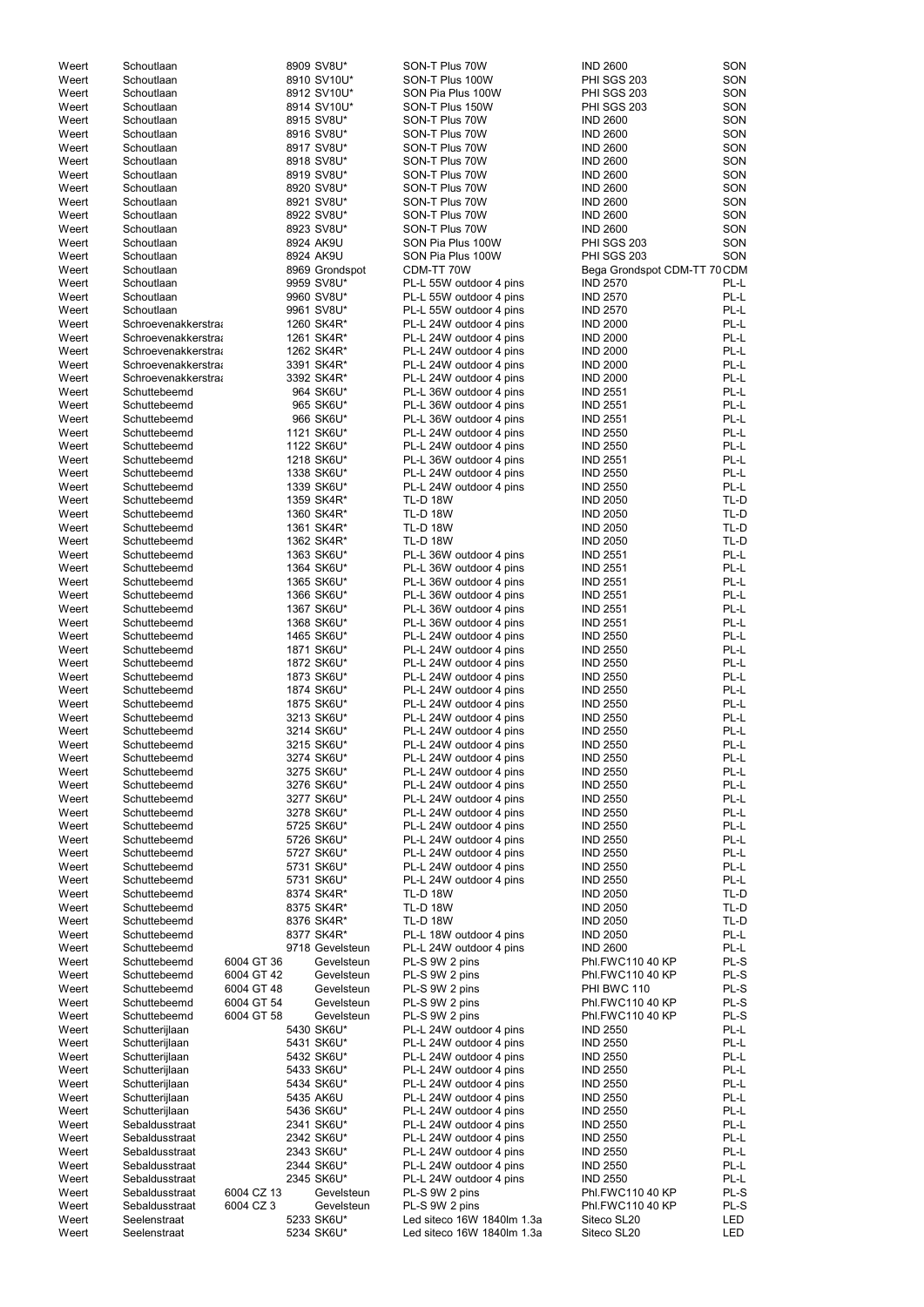| Weert | Schoutlaan                 |            | 8909 SV8U*      | SON-T Plus 70W             | <b>IND 2600</b>                      | SON    |
|-------|----------------------------|------------|-----------------|----------------------------|--------------------------------------|--------|
| Weert | Schoutlaan                 |            | 8910 SV10U*     | SON-T Plus 100W            | PHI SGS 203                          | SON    |
| Weert | Schoutlaan                 |            | 8912 SV10U*     | SON Pia Plus 100W          | PHI SGS 203                          | SON    |
| Weert | Schoutlaan                 |            | 8914 SV10U*     | SON-T Plus 150W            | <b>PHI SGS 203</b>                   | SON    |
| Weert | Schoutlaan                 |            | 8915 SV8U*      | SON-T Plus 70W             | <b>IND 2600</b>                      | SON    |
| Weert | Schoutlaan                 |            | 8916 SV8U*      | SON-T Plus 70W             | <b>IND 2600</b>                      | SON    |
| Weert | Schoutlaan                 |            | 8917 SV8U*      | SON-T Plus 70W             | <b>IND 2600</b>                      | SON    |
| Weert | Schoutlaan                 |            | 8918 SV8U*      | SON-T Plus 70W             | <b>IND 2600</b>                      | SON    |
| Weert | Schoutlaan                 |            | 8919 SV8U*      | SON-T Plus 70W             | <b>IND 2600</b>                      | SON    |
| Weert | Schoutlaan                 |            | 8920 SV8U*      | SON-T Plus 70W             | <b>IND 2600</b>                      | SON    |
| Weert | Schoutlaan                 |            | 8921 SV8U*      | SON-T Plus 70W             | <b>IND 2600</b>                      | SON    |
| Weert | Schoutlaan                 |            | 8922 SV8U*      | SON-T Plus 70W             | <b>IND 2600</b>                      | SON    |
| Weert | Schoutlaan                 |            | 8923 SV8U*      | SON-T Plus 70W             | <b>IND 2600</b>                      | SON    |
| Weert | Schoutlaan                 |            | 8924 AK9U       | SON Pia Plus 100W          | PHI SGS 203                          | SON    |
|       |                            |            | 8924 AK9U       |                            | PHI SGS 203                          | SON    |
| Weert | Schoutlaan                 |            |                 | SON Pia Plus 100W          |                                      |        |
| Weert | Schoutlaan                 |            | 8969 Grondspot  | CDM-TT 70W                 | Bega Grondspot CDM-TT 70 CDM         |        |
| Weert | Schoutlaan                 |            | 9959 SV8U*      | PL-L 55W outdoor 4 pins    | <b>IND 2570</b>                      | PL-L   |
| Weert | Schoutlaan                 |            | 9960 SV8U*      | PL-L 55W outdoor 4 pins    | <b>IND 2570</b>                      | PL-L   |
| Weert | Schoutlaan                 |            | 9961 SV8U*      | PL-L 55W outdoor 4 pins    | <b>IND 2570</b>                      | PL-L   |
| Weert | Schroevenakkerstra         |            | 1260 SK4R*      | PL-L 24W outdoor 4 pins    | <b>IND 2000</b>                      | PL-L   |
| Weert | Schroevenakkerstraa        |            | 1261 SK4R*      | PL-L 24W outdoor 4 pins    | <b>IND 2000</b>                      | PL-L   |
| Weert | Schroevenakkerstraa        |            | 1262 SK4R*      | PL-L 24W outdoor 4 pins    | <b>IND 2000</b>                      | PL-L   |
| Weert | <b>Schroevenakkerstra:</b> |            | 3391 SK4R*      | PL-L 24W outdoor 4 pins    | <b>IND 2000</b>                      | PL-L   |
| Weert | Schroevenakkerstra         |            | 3392 SK4R*      | PL-L 24W outdoor 4 pins    | <b>IND 2000</b>                      | PL-L   |
| Weert | Schuttebeemd               |            | 964 SK6U*       | PL-L 36W outdoor 4 pins    | <b>IND 2551</b>                      | PL-L   |
| Weert | Schuttebeemd               |            | 965 SK6U*       | PL-L 36W outdoor 4 pins    | <b>IND 2551</b>                      | PL-L   |
| Weert | Schuttebeemd               |            | 966 SK6U*       | PL-L 36W outdoor 4 pins    | <b>IND 2551</b>                      | PL-L   |
| Weert | Schuttebeemd               |            | 1121 SK6U*      | PL-L 24W outdoor 4 pins    | <b>IND 2550</b>                      | PL-L   |
| Weert | Schuttebeemd               |            | 1122 SK6U*      | PL-L 24W outdoor 4 pins    | <b>IND 2550</b>                      | PL-L   |
| Weert | Schuttebeemd               |            | 1218 SK6U*      | PL-L 36W outdoor 4 pins    | <b>IND 2551</b>                      | PL-L   |
| Weert | Schuttebeemd               |            | 1338 SK6U*      | PL-L 24W outdoor 4 pins    | <b>IND 2550</b>                      | PL-L   |
| Weert | Schuttebeemd               |            | 1339 SK6U*      | PL-L 24W outdoor 4 pins    | <b>IND 2550</b>                      | PL-L   |
| Weert | Schuttebeemd               |            | 1359 SK4R*      | <b>TL-D 18W</b>            | <b>IND 2050</b>                      | TL-D   |
| Weert | Schuttebeemd               |            | 1360 SK4R*      | <b>TL-D 18W</b>            | <b>IND 2050</b>                      | TL-D   |
| Weert | Schuttebeemd               |            | 1361 SK4R*      | <b>TL-D 18W</b>            | <b>IND 2050</b>                      | TL-D   |
| Weert | Schuttebeemd               |            | 1362 SK4R*      | <b>TL-D 18W</b>            | <b>IND 2050</b>                      | TL-D   |
| Weert | Schuttebeemd               |            | 1363 SK6U*      | PL-L 36W outdoor 4 pins    | <b>IND 2551</b>                      | PL-L   |
| Weert | Schuttebeemd               |            | 1364 SK6U*      | PL-L 36W outdoor 4 pins    | <b>IND 2551</b>                      | PL-L   |
| Weert | Schuttebeemd               |            | 1365 SK6U*      | PL-L 36W outdoor 4 pins    | <b>IND 2551</b>                      | PL-L   |
| Weert | Schuttebeemd               |            | 1366 SK6U*      | PL-L 36W outdoor 4 pins    | <b>IND 2551</b>                      | PL-L   |
| Weert | Schuttebeemd               |            | 1367 SK6U*      | PL-L 36W outdoor 4 pins    | <b>IND 2551</b>                      | PL-L   |
|       |                            |            |                 |                            |                                      |        |
| Weert | Schuttebeemd               |            | 1368 SK6U*      | PL-L 36W outdoor 4 pins    | <b>IND 2551</b>                      | PL-L   |
| Weert | Schuttebeemd               |            | 1465 SK6U*      | PL-L 24W outdoor 4 pins    | <b>IND 2550</b>                      | PL-L   |
| Weert | Schuttebeemd               |            | 1871 SK6U*      | PL-L 24W outdoor 4 pins    | <b>IND 2550</b>                      | PL-L   |
| Weert | Schuttebeemd               |            | 1872 SK6U*      | PL-L 24W outdoor 4 pins    | <b>IND 2550</b>                      | PL-L   |
| Weert | Schuttebeemd               |            | 1873 SK6U*      | PL-L 24W outdoor 4 pins    | <b>IND 2550</b>                      | PL-L   |
| Weert | Schuttebeemd               |            | 1874 SK6U*      | PL-L 24W outdoor 4 pins    | <b>IND 2550</b>                      | PL-L   |
| Weert | Schuttebeemd               |            | 1875 SK6U*      | PL-L 24W outdoor 4 pins    | <b>IND 2550</b>                      | PL-L   |
| Weert | Schuttebeemd               |            | 3213 SK6U*      | PL-L 24W outdoor 4 pins    | <b>IND 2550</b>                      | PL-L   |
| Weert | Schuttebeemd               |            | 3214 SK6U*      | PL-L 24W outdoor 4 pins    | <b>IND 2550</b>                      | PL-L   |
| Weert | Schuttebeemd               |            | 3215 SK6U*      | PL-L 24W outdoor 4 pins    | <b>IND 2550</b>                      | PL-L   |
| Weert | Schuttebeemd               |            | 3274 SK6U*      | PL-L 24W outdoor 4 pins    | <b>IND 2550</b>                      | PL-L   |
| Weert | Schuttebeemd               |            | 3275 SK6U*      | PL-L 24W outdoor 4 pins    | <b>IND 2550</b>                      | PL-L   |
| Weert | Schuttebeemd               |            | 3276 SK6U*      | PL-L 24W outdoor 4 pins    | <b>IND 2550</b>                      | PL-L   |
| Weert | Schuttebeemd               |            | 3277 SK6U*      | PL-L 24W outdoor 4 pins    | <b>IND 2550</b>                      | PL-L   |
| Weert | Schuttebeemd               |            | 3278 SK6U*      | PL-L 24W outdoor 4 pins    | <b>IND 2550</b>                      | PL-L   |
| Weert | Schuttebeemd               |            | 5725 SK6U*      | PL-L 24W outdoor 4 pins    | <b>IND 2550</b>                      | PL-L   |
| Weert | Schuttebeemd               |            | 5726 SK6U*      | PL-L 24W outdoor 4 pins    | <b>IND 2550</b>                      | PL-L   |
| Weert | Schuttebeemd               |            | 5727 SK6U*      | PL-L 24W outdoor 4 pins    | <b>IND 2550</b>                      | PL-L   |
| Weert | Schuttebeemd               |            | 5731 SK6U*      | PL-L 24W outdoor 4 pins    | <b>IND 2550</b>                      | PL-L   |
| Weert | Schuttebeemd               |            | 5731 SK6U*      | PL-L 24W outdoor 4 pins    | <b>IND 2550</b>                      | PL-L   |
| Weert | Schuttebeemd               |            | 8374 SK4R*      | <b>TL-D 18W</b>            | <b>IND 2050</b>                      | TL-D   |
| Weert | Schuttebeemd               |            | 8375 SK4R*      | <b>TL-D 18W</b>            | <b>IND 2050</b>                      | TL-D   |
| Weert | Schuttebeemd               |            | 8376 SK4R*      | <b>TL-D 18W</b>            | <b>IND 2050</b>                      | TL-D   |
| Weert | Schuttebeemd               |            | 8377 SK4R*      | PL-L 18W outdoor 4 pins    | <b>IND 2050</b>                      | PL-L   |
| Weert | Schuttebeemd               |            | 9718 Gevelsteun | PL-L 24W outdoor 4 pins    | <b>IND 2600</b>                      | PL-L   |
|       |                            | 6004 GT 36 |                 |                            |                                      | PL-S   |
| Weert | Schuttebeemd               |            | Gevelsteun      | PL-S 9W 2 pins             | Phl.FWC110 40 KP<br>Phl.FWC110 40 KP | PL-S   |
| Weert | Schuttebeemd               | 6004 GT 42 | Gevelsteun      | PL-S 9W 2 pins             |                                      |        |
| Weert | Schuttebeemd               | 6004 GT 48 | Gevelsteun      | PL-S 9W 2 pins             | PHI BWC 110                          | PL-S   |
| Weert | Schuttebeemd               | 6004 GT 54 | Gevelsteun      | PL-S 9W 2 pins             | Phl.FWC110 40 KP                     | PL-S   |
| Weert | Schuttebeemd               | 6004 GT 58 | Gevelsteun      | PL-S 9W 2 pins             | Phl.FWC110 40 KP                     | PL-S   |
| Weert | Schutterijlaan             |            | 5430 SK6U*      | PL-L 24W outdoor 4 pins    | <b>IND 2550</b>                      | PL-L   |
| Weert | Schutterijlaan             |            | 5431 SK6U*      | PL-L 24W outdoor 4 pins    | <b>IND 2550</b>                      | $PL-L$ |
| Weert | Schutterijlaan             |            | 5432 SK6U*      | PL-L 24W outdoor 4 pins    | <b>IND 2550</b>                      | PL-L   |
| Weert | Schutterijlaan             |            | 5433 SK6U*      | PL-L 24W outdoor 4 pins    | <b>IND 2550</b>                      | PL-L   |
| Weert | Schutterijlaan             |            | 5434 SK6U*      | PL-L 24W outdoor 4 pins    | <b>IND 2550</b>                      | PL-L   |
| Weert | Schutterijlaan             |            | 5435 AK6U       | PL-L 24W outdoor 4 pins    | <b>IND 2550</b>                      | PL-L   |
| Weert | Schutterijlaan             |            | 5436 SK6U*      | PL-L 24W outdoor 4 pins    | <b>IND 2550</b>                      | PL-L   |
| Weert | Sebaldusstraat             |            | 2341 SK6U*      | PL-L 24W outdoor 4 pins    | <b>IND 2550</b>                      | PL-L   |
| Weert | Sebaldusstraat             |            | 2342 SK6U*      | PL-L 24W outdoor 4 pins    | <b>IND 2550</b>                      | PL-L   |
| Weert | Sebaldusstraat             |            | 2343 SK6U*      | PL-L 24W outdoor 4 pins    | <b>IND 2550</b>                      | PL-L   |
| Weert | Sebaldusstraat             |            | 2344 SK6U*      | PL-L 24W outdoor 4 pins    | <b>IND 2550</b>                      | PL-L   |
| Weert | Sebaldusstraat             |            | 2345 SK6U*      | PL-L 24W outdoor 4 pins    | <b>IND 2550</b>                      | PL-L   |
| Weert | Sebaldusstraat             | 6004 CZ 13 | Gevelsteun      | PL-S 9W 2 pins             | Phl.FWC110 40 KP                     | PL-S   |
| Weert | Sebaldusstraat             | 6004 CZ 3  | Gevelsteun      | PL-S 9W 2 pins             | Phl.FWC110 40 KP                     | PL-S   |
| Weert | Seelenstraat               |            | 5233 SK6U*      | Led siteco 16W 1840lm 1.3a | Siteco SL20                          | LED    |
| Weert | Seelenstraat               |            | 5234 SK6U*      | Led siteco 16W 1840lm 1.3a | Siteco SL20                          | LED    |
|       |                            |            |                 |                            |                                      |        |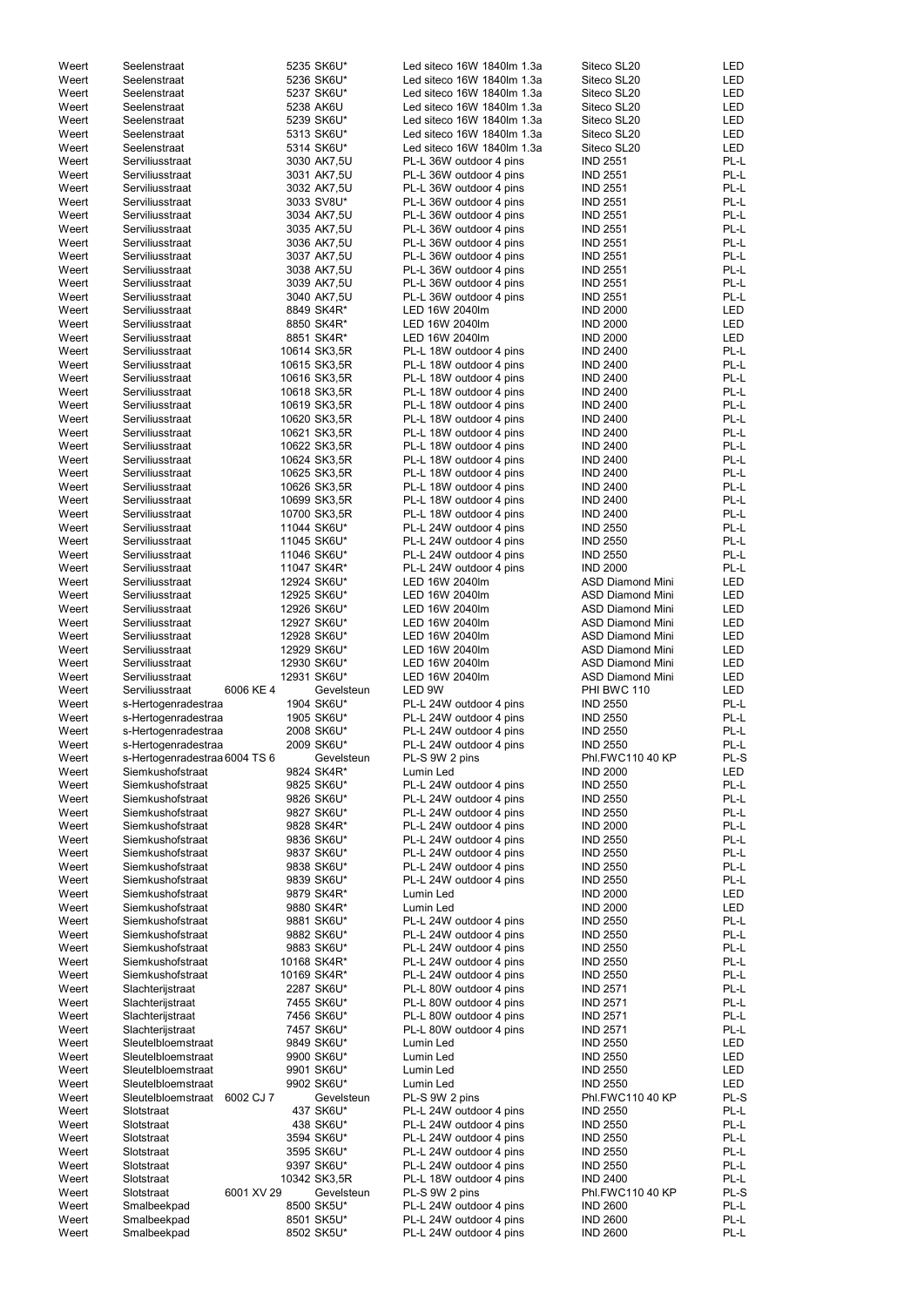| Weert | Seelenstraat                    | 5235 SK6U*   | Led siteco 16W 1840lm 1.3a | Siteco SL20             | LED        |
|-------|---------------------------------|--------------|----------------------------|-------------------------|------------|
| Weert | Seelenstraat                    | 5236 SK6U*   | Led siteco 16W 1840lm 1.3a | Siteco SL20             | LED        |
| Weert | Seelenstraat                    | 5237 SK6U*   | Led siteco 16W 1840lm 1.3a | Siteco SL20             | <b>LED</b> |
| Weert | Seelenstraat                    | 5238 AK6U    | Led siteco 16W 1840lm 1.3a | Siteco SL20             | LED        |
|       |                                 |              |                            |                         |            |
| Weert | Seelenstraat                    | 5239 SK6U*   | Led siteco 16W 1840lm 1.3a | Siteco SL20             | LED        |
| Weert | Seelenstraat                    | 5313 SK6U*   | Led siteco 16W 1840lm 1.3a | Siteco SL20             | <b>LED</b> |
| Weert | Seelenstraat                    | 5314 SK6U*   | Led siteco 16W 1840lm 1.3a | Siteco SL20             | <b>LED</b> |
| Weert | Serviliusstraat                 | 3030 AK7,5U  | PL-L 36W outdoor 4 pins    | <b>IND 2551</b>         | PL-L       |
| Weert | Serviliusstraat                 | 3031 AK7,5U  | PL-L 36W outdoor 4 pins    | <b>IND 2551</b>         | PL-L       |
|       |                                 |              |                            |                         |            |
| Weert | Serviliusstraat                 | 3032 AK7,5U  | PL-L 36W outdoor 4 pins    | <b>IND 2551</b>         | PL-L       |
| Weert | Serviliusstraat                 | 3033 SV8U*   | PL-L 36W outdoor 4 pins    | <b>IND 2551</b>         | PL-L       |
| Weert | Serviliusstraat                 | 3034 AK7,5U  | PL-L 36W outdoor 4 pins    | <b>IND 2551</b>         | PL-L       |
| Weert | Serviliusstraat                 | 3035 AK7,5U  | PL-L 36W outdoor 4 pins    | <b>IND 2551</b>         | PL-L       |
| Weert | Serviliusstraat                 | 3036 AK7,5U  | PL-L 36W outdoor 4 pins    | <b>IND 2551</b>         | PL-L       |
|       |                                 |              |                            |                         |            |
| Weert | Serviliusstraat                 | 3037 AK7,5U  | PL-L 36W outdoor 4 pins    | <b>IND 2551</b>         | PL-L       |
| Weert | Serviliusstraat                 | 3038 AK7,5U  | PL-L 36W outdoor 4 pins    | <b>IND 2551</b>         | PL-L       |
| Weert | Serviliusstraat                 | 3039 AK7,5U  | PL-L 36W outdoor 4 pins    | <b>IND 2551</b>         | PL-L       |
| Weert | Serviliusstraat                 | 3040 AK7,5U  | PL-L 36W outdoor 4 pins    | <b>IND 2551</b>         | PL-L       |
|       |                                 | 8849 SK4R*   |                            |                         |            |
| Weert | Serviliusstraat                 |              | LED 16W 2040lm             | <b>IND 2000</b>         | LED        |
| Weert | Serviliusstraat                 | 8850 SK4R*   | LED 16W 2040lm             | <b>IND 2000</b>         | <b>LED</b> |
| Weert | Serviliusstraat                 | 8851 SK4R*   | LED 16W 2040lm             | <b>IND 2000</b>         | <b>LED</b> |
| Weert | Serviliusstraat                 | 10614 SK3,5R | PL-L 18W outdoor 4 pins    | <b>IND 2400</b>         | PL-L       |
| Weert | Serviliusstraat                 | 10615 SK3,5R | PL-L 18W outdoor 4 pins    | <b>IND 2400</b>         | PL-L       |
| Weert | Serviliusstraat                 | 10616 SK3,5R | PL-L 18W outdoor 4 pins    | <b>IND 2400</b>         | PL-L       |
|       |                                 |              |                            |                         |            |
| Weert | Serviliusstraat                 | 10618 SK3,5R | PL-L 18W outdoor 4 pins    | <b>IND 2400</b>         | PL-L       |
| Weert | Serviliusstraat                 | 10619 SK3,5R | PL-L 18W outdoor 4 pins    | <b>IND 2400</b>         | PL-L       |
| Weert | Serviliusstraat                 | 10620 SK3,5R | PL-L 18W outdoor 4 pins    | <b>IND 2400</b>         | PL-L       |
| Weert | Serviliusstraat                 | 10621 SK3,5R | PL-L 18W outdoor 4 pins    | <b>IND 2400</b>         | PL-L       |
| Weert | Serviliusstraat                 | 10622 SK3,5R | PL-L 18W outdoor 4 pins    | <b>IND 2400</b>         | PL-L       |
|       |                                 |              |                            |                         |            |
| Weert | Serviliusstraat                 | 10624 SK3,5R | PL-L 18W outdoor 4 pins    | <b>IND 2400</b>         | PL-L       |
| Weert | Serviliusstraat                 | 10625 SK3,5R | PL-L 18W outdoor 4 pins    | <b>IND 2400</b>         | PL-L       |
| Weert | Serviliusstraat                 | 10626 SK3,5R | PL-L 18W outdoor 4 pins    | <b>IND 2400</b>         | PL-L       |
| Weert | Serviliusstraat                 | 10699 SK3,5R | PL-L 18W outdoor 4 pins    | <b>IND 2400</b>         | PL-L       |
| Weert |                                 | 10700 SK3,5R |                            |                         | PL-L       |
|       | Serviliusstraat                 |              | PL-L 18W outdoor 4 pins    | <b>IND 2400</b>         |            |
| Weert | Serviliusstraat                 | 11044 SK6U*  | PL-L 24W outdoor 4 pins    | <b>IND 2550</b>         | PL-L       |
| Weert | Serviliusstraat                 | 11045 SK6U*  | PL-L 24W outdoor 4 pins    | <b>IND 2550</b>         | PL-L       |
| Weert | Serviliusstraat                 | 11046 SK6U*  | PL-L 24W outdoor 4 pins    | <b>IND 2550</b>         | PL-L       |
| Weert | Serviliusstraat                 | 11047 SK4R*  | PL-L 24W outdoor 4 pins    | <b>IND 2000</b>         | PL-L       |
| Weert |                                 |              | LED 16W 2040lm             | <b>ASD Diamond Mini</b> | <b>LED</b> |
|       | Serviliusstraat                 | 12924 SK6U*  |                            |                         |            |
| Weert | Serviliusstraat                 | 12925 SK6U*  | LED 16W 2040lm             | <b>ASD Diamond Mini</b> | <b>LED</b> |
| Weert | Serviliusstraat                 | 12926 SK6U*  | LED 16W 2040lm             | <b>ASD Diamond Mini</b> | <b>LED</b> |
| Weert | Serviliusstraat                 | 12927 SK6U*  | LED 16W 2040lm             | <b>ASD Diamond Mini</b> | <b>LED</b> |
| Weert | Serviliusstraat                 | 12928 SK6U*  | LED 16W 2040lm             | <b>ASD Diamond Mini</b> | <b>LED</b> |
|       | Serviliusstraat                 |              |                            |                         |            |
| Weert |                                 | 12929 SK6U*  | LED 16W 2040lm             | <b>ASD Diamond Mini</b> | <b>LED</b> |
| Weert | Serviliusstraat                 | 12930 SK6U*  | LED 16W 2040lm             | <b>ASD Diamond Mini</b> | <b>LED</b> |
| Weert | Serviliusstraat                 | 12931 SK6U*  | LED 16W 2040lm             | <b>ASD Diamond Mini</b> | <b>LED</b> |
| Weert | Serviliusstraat<br>6006 KE 4    | Gevelsteun   | LED 9W                     | PHI BWC 110             | <b>LED</b> |
| Weert | s-Hertogenradestraa             | 1904 SK6U*   | PL-L 24W outdoor 4 pins    | <b>IND 2550</b>         | PL-L       |
|       |                                 |              |                            |                         |            |
| Weert | s-Hertogenradestraa             | 1905 SK6U*   | PL-L 24W outdoor 4 pins    | <b>IND 2550</b>         | PL-L       |
| Weert | s-Hertogenradestraa             | 2008 SK6U*   | PL-L 24W outdoor 4 pins    | <b>IND 2550</b>         | PL-L       |
| Weert | s-Hertogenradestraa             | 2009 SK6U*   | PL-L 24W outdoor 4 pins    | <b>IND 2550</b>         | PL-L       |
| Weert | s-Hertogenradestraa 6004 TS 6   | Gevelsteun   | PL-S 9W 2 pins             | Phl.FWC110 40 KP        | PL-S       |
| Weert | Siemkushofstraat                | 9824 SK4R*   | Lumin Led                  | <b>IND 2000</b>         | <b>LED</b> |
| Weert | Siemkushofstraat                | 9825 SK6U*   | PL-L 24W outdoor 4 pins    | <b>IND 2550</b>         | PL-L       |
|       |                                 |              |                            |                         |            |
| Weert | Siemkushofstraat                | 9826 SK6U*   | PL-L 24W outdoor 4 pins    | <b>IND 2550</b>         | PL-L       |
| Weert | Siemkushofstraat                | 9827 SK6U*   | PL-L 24W outdoor 4 pins    | <b>IND 2550</b>         | PL-L       |
| Weert | Siemkushofstraat                | 9828 SK4R*   | PL-L 24W outdoor 4 pins    | <b>IND 2000</b>         | PL-L       |
| Weert | Siemkushofstraat                | 9836 SK6U*   | PL-L 24W outdoor 4 pins    | <b>IND 2550</b>         | PL-L       |
| Weert | Siemkushofstraat                | 9837 SK6U*   | PL-L 24W outdoor 4 pins    | <b>IND 2550</b>         | PL-L       |
| Weert | Siemkushofstraat                | 9838 SK6U*   | PL-L 24W outdoor 4 pins    | <b>IND 2550</b>         | PL-L       |
|       |                                 |              |                            |                         |            |
| Weert | Siemkushofstraat                | 9839 SK6U*   | PL-L 24W outdoor 4 pins    | <b>IND 2550</b>         | PL-L       |
| Weert | Siemkushofstraat                | 9879 SK4R*   | Lumin Led                  | <b>IND 2000</b>         | LED        |
| Weert | Siemkushofstraat                | 9880 SK4R*   | Lumin Led                  | <b>IND 2000</b>         | <b>LED</b> |
| Weert | Siemkushofstraat                | 9881 SK6U*   | PL-L 24W outdoor 4 pins    | <b>IND 2550</b>         | PL-L       |
| Weert | Siemkushofstraat                | 9882 SK6U*   | PL-L 24W outdoor 4 pins    | <b>IND 2550</b>         | PL-L       |
| Weert | Siemkushofstraat                | 9883 SK6U*   | PL-L 24W outdoor 4 pins    | <b>IND 2550</b>         | PL-L       |
|       |                                 |              |                            |                         |            |
| Weert | Siemkushofstraat                | 10168 SK4R*  | PL-L 24W outdoor 4 pins    | <b>IND 2550</b>         | PL-L       |
| Weert | Siemkushofstraat                | 10169 SK4R*  | PL-L 24W outdoor 4 pins    | <b>IND 2550</b>         | PL-L       |
| Weert | Slachterijstraat                | 2287 SK6U*   | PL-L 80W outdoor 4 pins    | <b>IND 2571</b>         | PL-L       |
| Weert | Slachterijstraat                | 7455 SK6U*   | PL-L 80W outdoor 4 pins    | <b>IND 2571</b>         | PL-L       |
| Weert | Slachterijstraat                | 7456 SK6U*   | PL-L 80W outdoor 4 pins    | <b>IND 2571</b>         | PL-L       |
|       |                                 |              |                            |                         |            |
| Weert | Slachterijstraat                | 7457 SK6U*   | PL-L 80W outdoor 4 pins    | <b>IND 2571</b>         | PL-L       |
| Weert | Sleutelbloemstraat              | 9849 SK6U*   | Lumin Led                  | <b>IND 2550</b>         | LED        |
| Weert | Sleutelbloemstraat              | 9900 SK6U*   | Lumin Led                  | <b>IND 2550</b>         | LED        |
| Weert | Sleutelbloemstraat              | 9901 SK6U*   | Lumin Led                  | <b>IND 2550</b>         | LED        |
| Weert | Sleutelbloemstraat              | 9902 SK6U*   | Lumin Led                  | <b>IND 2550</b>         | <b>LED</b> |
|       |                                 |              |                            |                         |            |
| Weert | Sleutelbloemstraat<br>6002 CJ 7 | Gevelsteun   | PL-S 9W 2 pins             | Phl.FWC110 40 KP        | PL-S       |
| Weert | Slotstraat                      | 437 SK6U*    | PL-L 24W outdoor 4 pins    | <b>IND 2550</b>         | PL-L       |
| Weert | Slotstraat                      | 438 SK6U*    | PL-L 24W outdoor 4 pins    | <b>IND 2550</b>         | PL-L       |
| Weert | Slotstraat                      | 3594 SK6U*   | PL-L 24W outdoor 4 pins    | <b>IND 2550</b>         | PL-L       |
| Weert | Slotstraat                      | 3595 SK6U*   | PL-L 24W outdoor 4 pins    | <b>IND 2550</b>         | PL-L       |
|       |                                 |              |                            |                         |            |
| Weert | Slotstraat                      | 9397 SK6U*   | PL-L 24W outdoor 4 pins    | <b>IND 2550</b>         | PL-L       |
| Weert | Slotstraat                      | 10342 SK3,5R | PL-L 18W outdoor 4 pins    | <b>IND 2400</b>         | PL-L       |
| Weert | 6001 XV 29<br>Slotstraat        | Gevelsteun   | PL-S 9W 2 pins             | Phl.FWC110 40 KP        | PL-S       |
| Weert | Smalbeekpad                     | 8500 SK5U*   | PL-L 24W outdoor 4 pins    | <b>IND 2600</b>         | PL-L       |
| Weert | Smalbeekpad                     | 8501 SK5U*   | PL-L 24W outdoor 4 pins    | <b>IND 2600</b>         | PL-L       |
| Weert | Smalbeekpad                     | 8502 SK5U*   | PL-L 24W outdoor 4 pins    | <b>IND 2600</b>         | PL-L       |
|       |                                 |              |                            |                         |            |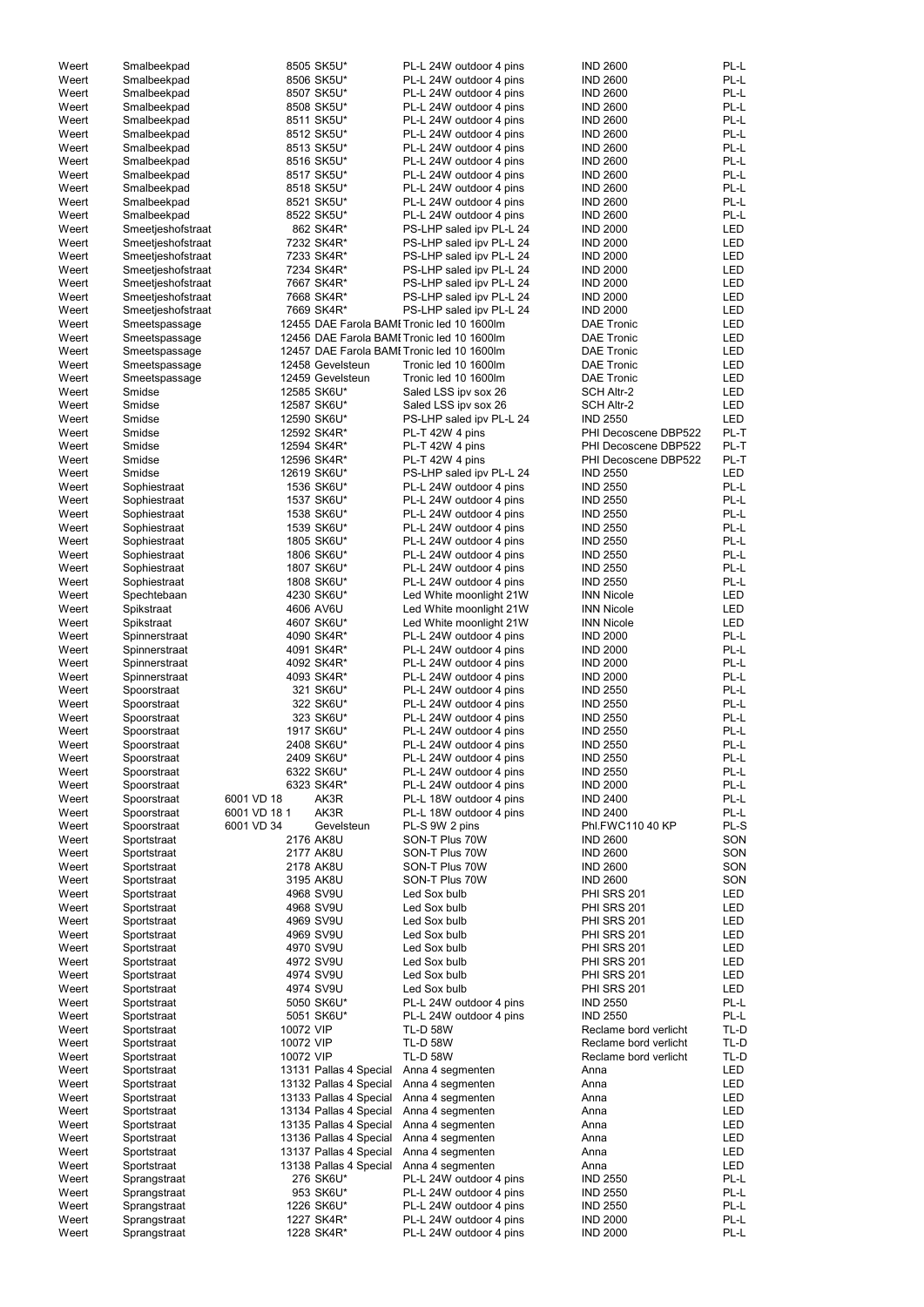| Weert          | Smalbeekpad                |              | 8505 SK5U*             | PL-L 24W outdoor 4 pins                            | <b>IND 2600</b>                    | PL-L         |
|----------------|----------------------------|--------------|------------------------|----------------------------------------------------|------------------------------------|--------------|
| Weert          | Smalbeekpad                |              | 8506 SK5U*             | PL-L 24W outdoor 4 pins                            | <b>IND 2600</b>                    | PL-L         |
| Weert          | Smalbeekpad                |              | 8507 SK5U*             | PL-L 24W outdoor 4 pins                            | <b>IND 2600</b>                    | PL-L         |
| Weert          | Smalbeekpad                |              | 8508 SK5U*             | PL-L 24W outdoor 4 pins                            | <b>IND 2600</b>                    | PL-L         |
| Weert          | Smalbeekpad                |              | 8511 SK5U*             | PL-L 24W outdoor 4 pins                            | <b>IND 2600</b>                    | PL-L         |
| Weert          | Smalbeekpad                |              | 8512 SK5U*             | PL-L 24W outdoor 4 pins                            | <b>IND 2600</b>                    | PL-L         |
| Weert          | Smalbeekpad                |              | 8513 SK5U*             | PL-L 24W outdoor 4 pins                            | <b>IND 2600</b>                    | PL-L         |
| Weert          | Smalbeekpad                |              | 8516 SK5U*             | PL-L 24W outdoor 4 pins                            | <b>IND 2600</b>                    | PL-L         |
| Weert          | Smalbeekpad                |              | 8517 SK5U*             | PL-L 24W outdoor 4 pins                            | <b>IND 2600</b>                    | PL-L         |
| Weert          | Smalbeekpad                |              | 8518 SK5U*             | PL-L 24W outdoor 4 pins                            | <b>IND 2600</b>                    | PL-L         |
| Weert          | Smalbeekpad                |              | 8521 SK5U*             | PL-L 24W outdoor 4 pins                            | <b>IND 2600</b>                    | PL-L         |
| Weert          | Smalbeekpad                |              | 8522 SK5U*             | PL-L 24W outdoor 4 pins                            | <b>IND 2600</b>                    | PL-L         |
| Weert          | Smeetjeshofstraat          |              | 862 SK4R*              | PS-LHP saled ipv PL-L 24                           | <b>IND 2000</b>                    | LED          |
| Weert          | Smeetjeshofstraat          |              | 7232 SK4R*             | PS-LHP saled ipv PL-L 24                           | <b>IND 2000</b>                    | LED          |
| Weert          | Smeetjeshofstraat          |              | 7233 SK4R*             | PS-LHP saled ipv PL-L 24                           | <b>IND 2000</b>                    | <b>LED</b>   |
| Weert          | Smeetjeshofstraat          |              | 7234 SK4R*             | PS-LHP saled ipv PL-L 24                           | <b>IND 2000</b>                    | LED          |
| Weert          | Smeetjeshofstraat          |              | 7667 SK4R*             | PS-LHP saled ipv PL-L 24                           | <b>IND 2000</b>                    | LED          |
| Weert          | Smeetjeshofstraat          |              | 7668 SK4R*             | PS-LHP saled ipv PL-L 24                           | <b>IND 2000</b>                    | LED          |
| Weert          | Smeetjeshofstraat          |              | 7669 SK4R*             | PS-LHP saled ipv PL-L 24                           | <b>IND 2000</b>                    | LED          |
| Weert          | Smeetspassage              |              |                        | 12455 DAE Farola BAMI Tronic led 10 1600lm         | <b>DAE Tronic</b>                  | LED          |
| Weert          | Smeetspassage              |              |                        | 12456 DAE Farola BAMI Tronic led 10 1600lm         | <b>DAE Tronic</b>                  | <b>LED</b>   |
| Weert          | Smeetspassage              |              |                        | 12457 DAE Farola BAMI Tronic led 10 1600lm         | <b>DAE Tronic</b>                  | LED          |
| Weert          | Smeetspassage              |              | 12458 Gevelsteun       | Tronic led 10 1600lm                               | <b>DAE Tronic</b>                  | LED          |
| Weert          | Smeetspassage              |              | 12459 Gevelsteun       | Tronic led 10 1600lm                               | <b>DAE Tronic</b>                  | LED          |
| Weert          | Smidse                     |              | 12585 SK6U*            | Saled LSS ipv sox 26                               | <b>SCH Altr-2</b>                  | LED          |
| Weert          | Smidse                     |              | 12587 SK6U*            | Saled LSS ipv sox 26                               | <b>SCH Altr-2</b>                  | LED          |
| Weert          | Smidse                     |              | 12590 SK6U*            | PS-LHP saled ipv PL-L 24                           | <b>IND 2550</b>                    | LED          |
| Weert          | Smidse                     |              | 12592 SK4R*            | PL-T 42W 4 pins                                    | PHI Decoscene DBP522               | PL-T         |
| Weert          | Smidse                     |              | 12594 SK4R*            | PL-T 42W 4 pins                                    | PHI Decoscene DBP522               | PL-T         |
| Weert          | Smidse                     |              | 12596 SK4R*            | PL-T 42W 4 pins                                    | PHI Decoscene DBP522               | PL-T         |
| Weert          | Smidse                     |              | 12619 SK6U*            | PS-LHP saled ipv PL-L 24                           | <b>IND 2550</b>                    | LED          |
| Weert          | Sophiestraat               |              | 1536 SK6U*             | PL-L 24W outdoor 4 pins                            | <b>IND 2550</b>                    | PL-L         |
| Weert          | Sophiestraat               |              | 1537 SK6U*             | PL-L 24W outdoor 4 pins                            | <b>IND 2550</b>                    | PL-L         |
| Weert          | Sophiestraat               |              | 1538 SK6U*             | PL-L 24W outdoor 4 pins                            | <b>IND 2550</b>                    | PL-L         |
| Weert          | Sophiestraat               |              | 1539 SK6U*             | PL-L 24W outdoor 4 pins                            | <b>IND 2550</b>                    | PL-L         |
| Weert          | Sophiestraat               |              | 1805 SK6U*             | PL-L 24W outdoor 4 pins                            | <b>IND 2550</b>                    | PL-L         |
| Weert          | Sophiestraat               |              | 1806 SK6U*             | PL-L 24W outdoor 4 pins                            | <b>IND 2550</b>                    | PL-L         |
| Weert          | Sophiestraat               |              | 1807 SK6U*             | PL-L 24W outdoor 4 pins                            | <b>IND 2550</b>                    | PL-L         |
| Weert          | Sophiestraat               |              | 1808 SK6U*             | PL-L 24W outdoor 4 pins                            | <b>IND 2550</b>                    | PL-L         |
| Weert          | Spechtebaan                |              | 4230 SK6U*             | Led White moonlight 21W                            | <b>INN Nicole</b>                  | <b>LED</b>   |
| Weert          | Spikstraat                 |              | 4606 AV6U              | Led White moonlight 21W                            | <b>INN Nicole</b>                  | <b>LED</b>   |
| Weert          | Spikstraat                 |              | 4607 SK6U*             | Led White moonlight 21W                            | <b>INN Nicole</b>                  | <b>LED</b>   |
| Weert          | Spinnerstraat              |              | 4090 SK4R*             | PL-L 24W outdoor 4 pins                            | <b>IND 2000</b>                    | PL-L         |
| Weert          | Spinnerstraat              |              | 4091 SK4R*             | PL-L 24W outdoor 4 pins                            | <b>IND 2000</b>                    | PL-L         |
| Weert          | Spinnerstraat              |              | 4092 SK4R*             | PL-L 24W outdoor 4 pins                            | <b>IND 2000</b>                    | PL-L         |
| Weert          | Spinnerstraat              |              | 4093 SK4R*             | PL-L 24W outdoor 4 pins                            | <b>IND 2000</b>                    | PL-L         |
| Weert          | Spoorstraat                |              | 321 SK6U*              | PL-L 24W outdoor 4 pins                            | <b>IND 2550</b>                    | PL-L         |
| Weert          | Spoorstraat                |              | 322 SK6U*              | PL-L 24W outdoor 4 pins                            | <b>IND 2550</b>                    | PL-L         |
| Weert          | Spoorstraat                |              | 323 SK6U*              | PL-L 24W outdoor 4 pins                            | <b>IND 2550</b>                    | PL-L         |
| Weert          | Spoorstraat                |              | 1917 SK6U*             | PL-L 24W outdoor 4 pins                            | <b>IND 2550</b>                    | PL-L         |
| Weert          | Spoorstraat                |              | 2408 SK6U*             | PL-L 24W outdoor 4 pins                            | <b>IND 2550</b>                    | PL-L         |
| Weert          | Spoorstraat                |              | 2409 SK6U*             | PL-L 24W outdoor 4 pins                            | <b>IND 2550</b>                    | PL-L         |
| Weert          | Spoorstraat                |              | 6322 SK6U*             | PL-L 24W outdoor 4 pins                            | <b>IND 2550</b>                    | PL-L         |
| Weert          | Spoorstraat                | 6001 VD 18   | 6323 SK4R*<br>AK3R     | PL-L 24W outdoor 4 pins                            | <b>IND 2000</b>                    | PL-L<br>PL-L |
| Weert<br>Weert | Spoorstraat<br>Spoorstraat | 6001 VD 18 1 | AK3R                   | PL-L 18W outdoor 4 pins<br>PL-L 18W outdoor 4 pins | <b>IND 2400</b><br><b>IND 2400</b> | PL-L         |
| Weert          | Spoorstraat                | 6001 VD 34   | Gevelsteun             | PL-S 9W 2 pins                                     | Phl.FWC110 40 KP                   | PL-S         |
| Weert          | Sportstraat                |              | 2176 AK8U              | SON-T Plus 70W                                     | <b>IND 2600</b>                    | SON          |
| Weert          | Sportstraat                |              | 2177 AK8U              | SON-T Plus 70W                                     | <b>IND 2600</b>                    | SON          |
| Weert          | Sportstraat                |              | 2178 AK8U              | SON-T Plus 70W                                     | <b>IND 2600</b>                    | SON          |
| Weert          | Sportstraat                |              | 3195 AK8U              | SON-T Plus 70W                                     | <b>IND 2600</b>                    | SON          |
| Weert          | Sportstraat                |              | 4968 SV9U              | Led Sox bulb                                       | <b>PHI SRS 201</b>                 | LED          |
| Weert          | Sportstraat                |              | 4968 SV9U              | Led Sox bulb                                       | <b>PHI SRS 201</b>                 | LED          |
| Weert          | Sportstraat                |              | 4969 SV9U              | Led Sox bulb                                       | <b>PHI SRS 201</b>                 | LED          |
| Weert          | Sportstraat                |              | 4969 SV9U              | Led Sox bulb                                       | <b>PHI SRS 201</b>                 | <b>LED</b>   |
| Weert          | Sportstraat                |              | 4970 SV9U              | Led Sox bulb                                       | <b>PHI SRS 201</b>                 | LED          |
| Weert          | Sportstraat                |              | 4972 SV9U              | Led Sox bulb                                       | <b>PHI SRS 201</b>                 | LED          |
| Weert          | Sportstraat                |              | 4974 SV9U              | Led Sox bulb                                       | <b>PHI SRS 201</b>                 | <b>LED</b>   |
| Weert          | Sportstraat                |              | 4974 SV9U              | Led Sox bulb                                       | <b>PHI SRS 201</b>                 | <b>LED</b>   |
| Weert          | Sportstraat                |              | 5050 SK6U*             | PL-L 24W outdoor 4 pins                            | <b>IND 2550</b>                    | PL-L         |
| Weert          | Sportstraat                |              | 5051 SK6U*             | PL-L 24W outdoor 4 pins                            | <b>IND 2550</b>                    | PL-L         |
| Weert          | Sportstraat                | 10072 VIP    |                        | <b>TL-D 58W</b>                                    | Reclame bord verlicht              | TL-D         |
| Weert          | Sportstraat                | 10072 VIP    |                        | <b>TL-D 58W</b>                                    | Reclame bord verlicht              | TL-D         |
| Weert          | Sportstraat                | 10072 VIP    |                        | <b>TL-D 58W</b>                                    | Reclame bord verlicht              | TL-D         |
| Weert          | Sportstraat                |              | 13131 Pallas 4 Special | Anna 4 segmenten                                   | Anna                               | LED          |
| Weert          | Sportstraat                |              | 13132 Pallas 4 Special | Anna 4 segmenten                                   | Anna                               | LED          |
| Weert          | Sportstraat                |              | 13133 Pallas 4 Special | Anna 4 segmenten                                   | Anna                               | LED          |
| Weert          | Sportstraat                |              | 13134 Pallas 4 Special | Anna 4 segmenten                                   | Anna                               | LED          |
| Weert          | Sportstraat                |              | 13135 Pallas 4 Special | Anna 4 segmenten                                   | Anna                               | LED          |
| Weert          | Sportstraat                |              | 13136 Pallas 4 Special | Anna 4 segmenten                                   | Anna                               | LED          |
| Weert          | Sportstraat                |              | 13137 Pallas 4 Special | Anna 4 segmenten                                   | Anna                               | LED          |
| Weert          | Sportstraat                |              | 13138 Pallas 4 Special | Anna 4 segmenten                                   | Anna                               | LED          |
| Weert          | Sprangstraat               |              | 276 SK6U*              | PL-L 24W outdoor 4 pins                            | <b>IND 2550</b>                    | PL-L         |
| Weert          | Sprangstraat               |              | 953 SK6U*              | PL-L 24W outdoor 4 pins                            | <b>IND 2550</b>                    | PL-L         |
| Weert          | Sprangstraat               |              | 1226 SK6U*             | PL-L 24W outdoor 4 pins                            | <b>IND 2550</b>                    | PL-L         |
| Weert          | Sprangstraat               |              | 1227 SK4R*             | PL-L 24W outdoor 4 pins                            | <b>IND 2000</b>                    | PL-L         |
| Weert          | Sprangstraat               |              | 1228 SK4R*             | PL-L 24W outdoor 4 pins                            | <b>IND 2000</b>                    | PL-L         |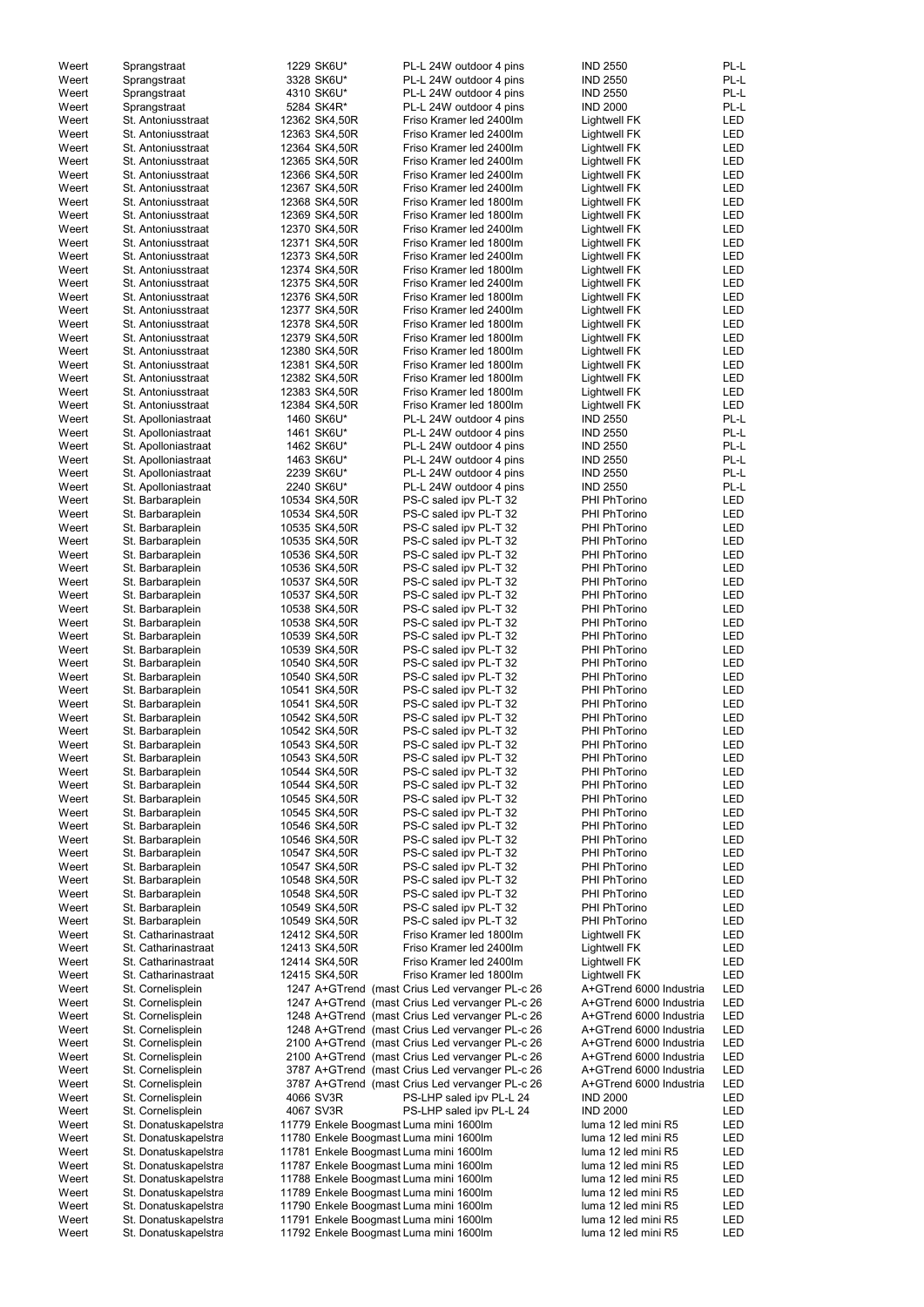| Weert | Sprangstraat         | 1229 SK6U*                             | PL-L 24W outdoor 4 pins                         | <b>IND 2550</b>         | PL-L       |
|-------|----------------------|----------------------------------------|-------------------------------------------------|-------------------------|------------|
| Weert | Sprangstraat         | 3328 SK6U*                             | PL-L 24W outdoor 4 pins                         | <b>IND 2550</b>         | PL-L       |
| Weert | Sprangstraat         | 4310 SK6U*                             | PL-L 24W outdoor 4 pins                         | <b>IND 2550</b>         | PL-L       |
| Weert |                      | 5284 SK4R*                             | PL-L 24W outdoor 4 pins                         | <b>IND 2000</b>         | PL-L       |
|       | Sprangstraat         |                                        |                                                 |                         |            |
| Weert | St. Antoniusstraat   | 12362 SK4,50R                          | Friso Kramer led 2400lm                         | <b>Lightwell FK</b>     | LED        |
| Weert | St. Antoniusstraat   | 12363 SK4,50R                          | Friso Kramer led 2400lm                         | <b>Lightwell FK</b>     | LED        |
| Weert | St. Antoniusstraat   | 12364 SK4,50R                          | Friso Kramer led 2400lm                         | <b>Lightwell FK</b>     | LED        |
| Weert | St. Antoniusstraat   | 12365 SK4,50R                          | Friso Kramer led 2400lm                         | <b>Lightwell FK</b>     | <b>LED</b> |
| Weert | St. Antoniusstraat   | 12366 SK4,50R                          | Friso Kramer led 2400lm                         | <b>Lightwell FK</b>     | LED        |
| Weert | St. Antoniusstraat   | 12367 SK4,50R                          | Friso Kramer led 2400lm                         | <b>Lightwell FK</b>     | <b>LED</b> |
| Weert | St. Antoniusstraat   | 12368 SK4,50R                          | Friso Kramer led 1800lm                         | <b>Lightwell FK</b>     | <b>LED</b> |
| Weert | St. Antoniusstraat   | 12369 SK4,50R                          | Friso Kramer led 1800lm                         | <b>Lightwell FK</b>     | LED        |
| Weert | St. Antoniusstraat   | 12370 SK4,50R                          | Friso Kramer led 2400lm                         | <b>Lightwell FK</b>     | <b>LED</b> |
| Weert | St. Antoniusstraat   | 12371 SK4,50R                          | Friso Kramer led 1800lm                         | <b>Lightwell FK</b>     | LED        |
| Weert | St. Antoniusstraat   | 12373 SK4,50R                          | Friso Kramer led 2400lm                         | <b>Lightwell FK</b>     | <b>LED</b> |
| Weert | St. Antoniusstraat   | 12374 SK4,50R                          | Friso Kramer led 1800lm                         | <b>Lightwell FK</b>     | <b>LED</b> |
| Weert | St. Antoniusstraat   | 12375 SK4,50R                          | Friso Kramer led 2400lm                         | <b>Lightwell FK</b>     | <b>LED</b> |
| Weert | St. Antoniusstraat   | 12376 SK4,50R                          | Friso Kramer led 1800lm                         | <b>Lightwell FK</b>     | <b>LED</b> |
| Weert | St. Antoniusstraat   | 12377 SK4,50R                          | Friso Kramer led 2400lm                         | <b>Lightwell FK</b>     | LED        |
| Weert | St. Antoniusstraat   | 12378 SK4,50R                          | Friso Kramer led 1800lm                         | <b>Lightwell FK</b>     | LED        |
| Weert | St. Antoniusstraat   | 12379 SK4,50R                          | Friso Kramer led 1800lm                         | <b>Lightwell FK</b>     | LED        |
| Weert |                      |                                        | Friso Kramer led 1800lm                         |                         | LED        |
|       | St. Antoniusstraat   | 12380 SK4,50R                          |                                                 | <b>Lightwell FK</b>     |            |
| Weert | St. Antoniusstraat   | 12381 SK4,50R                          | Friso Kramer led 1800lm                         | <b>Lightwell FK</b>     | <b>LED</b> |
| Weert | St. Antoniusstraat   | 12382 SK4,50R                          | Friso Kramer led 1800lm                         | <b>Lightwell FK</b>     | LED        |
| Weert | St. Antoniusstraat   | 12383 SK4,50R                          | Friso Kramer led 1800lm                         | <b>Lightwell FK</b>     | <b>LED</b> |
| Weert | St. Antoniusstraat   | 12384 SK4,50R                          | Friso Kramer led 1800lm                         | Lightwell FK            | <b>LED</b> |
| Weert | St. Apolloniastraat  | 1460 SK6U*                             | PL-L 24W outdoor 4 pins                         | <b>IND 2550</b>         | PL-L       |
| Weert | St. Apolloniastraat  | 1461 SK6U*                             | PL-L 24W outdoor 4 pins                         | <b>IND 2550</b>         | PL-L       |
| Weert | St. Apolloniastraat  | 1462 SK6U*                             | PL-L 24W outdoor 4 pins                         | <b>IND 2550</b>         | PL-L       |
| Weert | St. Apolloniastraat  | 1463 SK6U*                             | PL-L 24W outdoor 4 pins                         | <b>IND 2550</b>         | PL-L       |
| Weert | St. Apolloniastraat  | 2239 SK6U*                             | PL-L 24W outdoor 4 pins                         | <b>IND 2550</b>         | PL-L       |
| Weert | St. Apolloniastraat  | 2240 SK6U*                             | PL-L 24W outdoor 4 pins                         | <b>IND 2550</b>         | PL-L       |
| Weert | St. Barbaraplein     | 10534 SK4,50R                          | PS-C saled ipv PL-T 32                          | PHI PhTorino            | LED        |
| Weert | St. Barbaraplein     | 10534 SK4,50R                          | PS-C saled ipv PL-T 32                          | PHI PhTorino            | <b>LED</b> |
| Weert | St. Barbaraplein     | 10535 SK4,50R                          | PS-C saled ipv PL-T 32                          | PHI PhTorino            | LED        |
| Weert | St. Barbaraplein     | 10535 SK4,50R                          | PS-C saled ipv PL-T 32                          | PHI PhTorino            | <b>LED</b> |
| Weert |                      |                                        |                                                 | <b>PHI PhTorino</b>     |            |
|       | St. Barbaraplein     | 10536 SK4,50R                          | PS-C saled ipv PL-T 32                          |                         | LED        |
| Weert | St. Barbaraplein     | 10536 SK4,50R                          | PS-C saled ipv PL-T 32                          | PHI PhTorino            | LED        |
| Weert | St. Barbaraplein     | 10537 SK4,50R                          | PS-C saled ipv PL-T 32                          | PHI PhTorino            | LED        |
| Weert | St. Barbaraplein     | 10537 SK4,50R                          | PS-C saled ipv PL-T 32                          | PHI PhTorino            | <b>LED</b> |
| Weert | St. Barbaraplein     | 10538 SK4,50R                          | PS-C saled ipv PL-T 32                          | PHI PhTorino            | <b>LED</b> |
| Weert | St. Barbaraplein     | 10538 SK4,50R                          | PS-C saled ipv PL-T 32                          | PHI PhTorino            | <b>LED</b> |
| Weert | St. Barbaraplein     | 10539 SK4,50R                          | PS-C saled ipv PL-T 32                          | PHI PhTorino            | LED        |
| Weert | St. Barbaraplein     | 10539 SK4,50R                          | PS-C saled ipv PL-T 32                          | PHI PhTorino            | <b>LED</b> |
| Weert | St. Barbaraplein     | 10540 SK4,50R                          | PS-C saled ipv PL-T 32                          | PHI PhTorino            | LED        |
| Weert | St. Barbaraplein     | 10540 SK4,50R                          | PS-C saled ipv PL-T 32                          | PHI PhTorino            | LED        |
| Weert | St. Barbaraplein     | 10541 SK4,50R                          | PS-C saled ipv PL-T 32                          | PHI PhTorino            | LED        |
| Weert | St. Barbaraplein     | 10541 SK4,50R                          | PS-C saled ipv PL-T 32                          | PHI PhTorino            | <b>LED</b> |
| Weert | St. Barbaraplein     | 10542 SK4,50R                          | PS-C saled ipv PL-T 32                          | PHI PhTorino            | <b>LED</b> |
| Weert | St. Barbaraplein     | 10542 SK4,50R                          | PS-C saled ipv PL-T 32                          | PHI PhTorino            | <b>LED</b> |
| Weert | St. Barbaraplein     | 10543 SK4,50R                          | PS-C saled ipv PL-T 32                          | PHI PhTorino            | LED        |
|       |                      |                                        |                                                 |                         | <b>LED</b> |
| Weert | St. Barbaraplein     | 10543 SK4,50R                          | PS-C saled ipv PL-T 32                          | PHI PhTorino            |            |
| Weert | St. Barbaraplein     | 10544 SK4,50R                          | PS-C saled ipv PL-T 32                          | PHI PhTorino            | LED        |
| Weert | St. Barbaraplein     | 10544 SK4,50R                          | PS-C saled ipv PL-T 32                          | PHI PhTorino            | LED        |
| Weert | St. Barbaraplein     | 10545 SK4,50R                          | PS-C saled ipv PL-T 32                          | PHI PhTorino            | LED        |
| Weert | St. Barbaraplein     | 10545 SK4,50R                          | PS-C saled ipv PL-T 32                          | PHI PhTorino            | <b>LED</b> |
| Weert | St. Barbaraplein     | 10546 SK4,50R                          | PS-C saled ipv PL-T 32                          | PHI PhTorino            | <b>LED</b> |
| Weert | St. Barbaraplein     | 10546 SK4,50R                          | PS-C saled ipv PL-T 32                          | <b>PHI PhTorino</b>     | LED        |
| Weert | St. Barbaraplein     | 10547 SK4,50R                          | PS-C saled ipv PL-T 32                          | PHI PhTorino            | <b>LED</b> |
| Weert | St. Barbaraplein     | 10547 SK4,50R                          | PS-C saled ipv PL-T 32                          | PHI PhTorino            | LED        |
| Weert | St. Barbaraplein     | 10548 SK4,50R                          | PS-C saled ipv PL-T 32                          | PHI PhTorino            | <b>LED</b> |
| Weert | St. Barbaraplein     | 10548 SK4,50R                          | PS-C saled ipv PL-T 32                          | <b>PHI PhTorino</b>     | LED        |
| Weert | St. Barbaraplein     | 10549 SK4,50R                          | PS-C saled ipv PL-T 32                          | PHI PhTorino            | <b>LED</b> |
| Weert | St. Barbaraplein     | 10549 SK4,50R                          | PS-C saled ipv PL-T 32                          | PHI PhTorino            | LED        |
| Weert | St. Catharinastraat  | 12412 SK4,50R                          | Friso Kramer led 1800lm                         | Lightwell FK            | <b>LED</b> |
| Weert | St. Catharinastraat  | 12413 SK4,50R                          | Friso Kramer led 2400lm                         | <b>Lightwell FK</b>     | <b>LED</b> |
| Weert | St. Catharinastraat  | 12414 SK4,50R                          | Friso Kramer led 2400lm                         | <b>Lightwell FK</b>     | <b>LED</b> |
| Weert | St. Catharinastraat  | 12415 SK4,50R                          | Friso Kramer led 1800lm                         | <b>Lightwell FK</b>     | <b>LED</b> |
| Weert | St. Cornelisplein    |                                        | 1247 A+GTrend (mast Crius Led vervanger PL-c 26 | A+GTrend 6000 Industria | <b>LED</b> |
|       |                      |                                        |                                                 |                         | <b>LED</b> |
| Weert | St. Cornelisplein    |                                        | 1247 A+GTrend (mast Crius Led vervanger PL-c 26 | A+GTrend 6000 Industria |            |
| Weert | St. Cornelisplein    |                                        | 1248 A+GTrend (mast Crius Led vervanger PL-c 26 | A+GTrend 6000 Industria | <b>LED</b> |
| Weert | St. Cornelisplein    |                                        | 1248 A+GTrend (mast Crius Led vervanger PL-c 26 | A+GTrend 6000 Industria | LED        |
| Weert | St. Cornelisplein    |                                        | 2100 A+GTrend (mast Crius Led vervanger PL-c 26 | A+GTrend 6000 Industria | LED        |
| Weert | St. Cornelisplein    |                                        | 2100 A+GTrend (mast Crius Led vervanger PL-c 26 | A+GTrend 6000 Industria | LED        |
| Weert | St. Cornelisplein    |                                        | 3787 A+GTrend (mast Crius Led vervanger PL-c 26 | A+GTrend 6000 Industria | LED        |
| Weert | St. Cornelisplein    |                                        | 3787 A+GTrend (mast Crius Led vervanger PL-c 26 | A+GTrend 6000 Industria | LED        |
| Weert | St. Cornelisplein    | 4066 SV3R                              | PS-LHP saled ipv PL-L 24                        | <b>IND 2000</b>         | LED        |
| Weert | St. Cornelisplein    | 4067 SV3R                              | PS-LHP saled ipv PL-L 24                        | <b>IND 2000</b>         | LED        |
| Weert | St. Donatuskapelstra | 11779 Enkele Boogmast Luma mini 1600lm |                                                 | luma 12 led mini R5     | LED        |
| Weert | St. Donatuskapelstra | 11780 Enkele Boogmast Luma mini 1600lm |                                                 | luma 12 led mini R5     | LED        |
| Weert | St. Donatuskapelstra | 11781 Enkele Boogmast Luma mini 1600lm |                                                 | luma 12 led mini R5     | LED        |
| Weert | St. Donatuskapelstra | 11787 Enkele Boogmast Luma mini 1600lm |                                                 | luma 12 led mini R5     | LED        |
| Weert | St. Donatuskapelstra | 11788 Enkele Boogmast Luma mini 1600lm |                                                 | luma 12 led mini R5     | LED        |
| Weert | St. Donatuskapelstra | 11789 Enkele Boogmast Luma mini 1600lm |                                                 | luma 12 led mini R5     | LED        |
| Weert |                      | 11790 Enkele Boogmast Luma mini 1600lm |                                                 | luma 12 led mini R5     | LED        |
|       | St. Donatuskapelstra |                                        |                                                 | luma 12 led mini R5     |            |
| Weert | St. Donatuskapelstra | 11791 Enkele Boogmast Luma mini 1600lm |                                                 |                         | LED        |
| Weert | St. Donatuskapelstra | 11792 Enkele Boogmast Luma mini 1600lm |                                                 | luma 12 led mini R5     | LED        |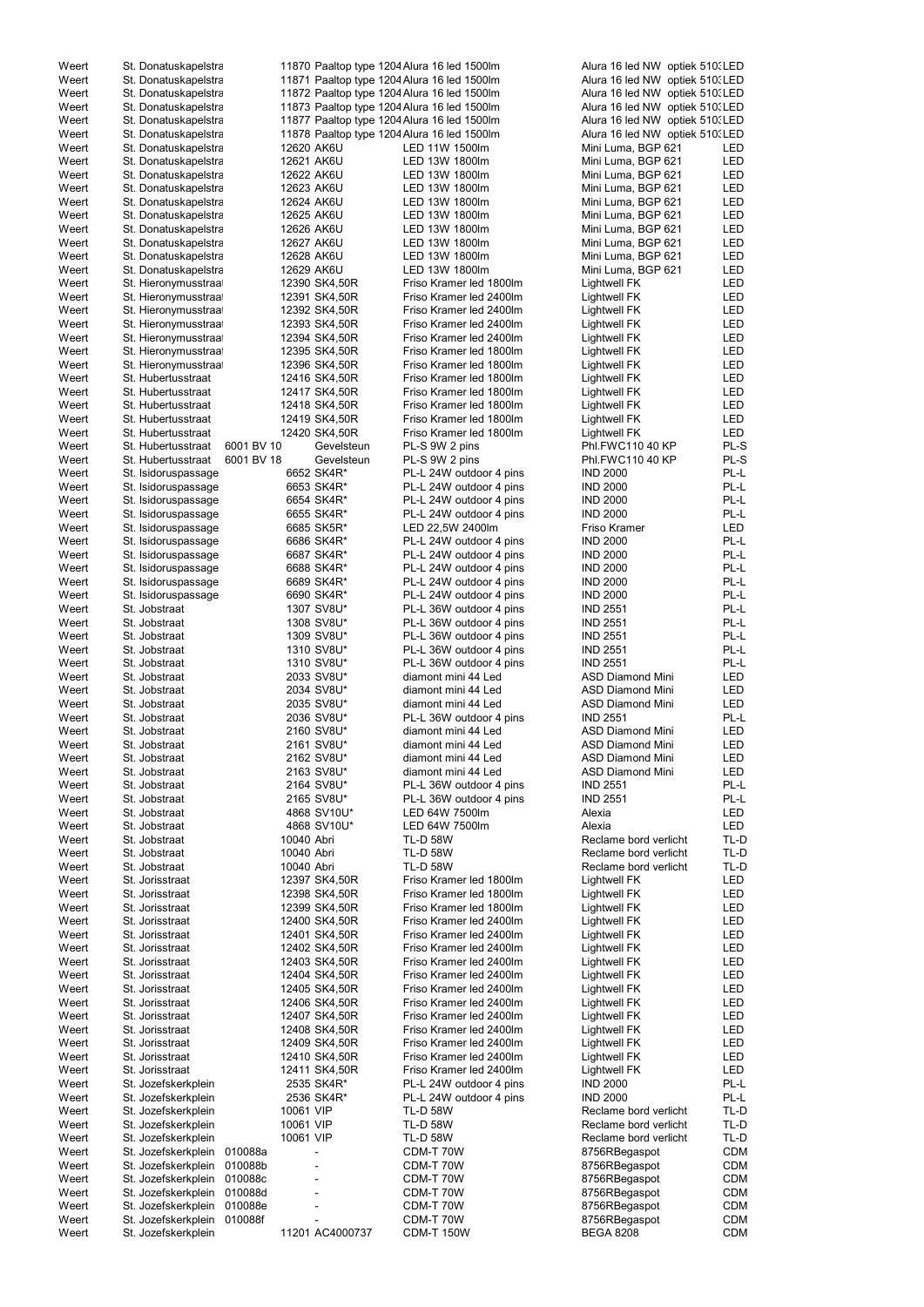| Weert | St. Donatuskapelstra |            |                 | 11870 Paaltop type 1204 Alura 16 led 1500lm | Alura 16 led NW optiek 510. LED |            |
|-------|----------------------|------------|-----------------|---------------------------------------------|---------------------------------|------------|
| Weert | St. Donatuskapelstra |            |                 | 11871 Paaltop type 1204 Alura 16 led 1500lm | Alura 16 led NW optiek 510. LED |            |
| Weert | St. Donatuskapelstra |            |                 | 11872 Paaltop type 1204 Alura 16 led 1500lm | Alura 16 led NW optiek 510. LED |            |
| Weert | St. Donatuskapelstra |            |                 | 11873 Paaltop type 1204 Alura 16 led 1500lm | Alura 16 led NW optiek 510. LED |            |
| Weert | St. Donatuskapelstra |            |                 | 11877 Paaltop type 1204 Alura 16 led 1500lm | Alura 16 led NW optiek 510. LED |            |
| Weert | St. Donatuskapelstra |            |                 | 11878 Paaltop type 1204 Alura 16 led 1500lm | Alura 16 led NW optiek 510. LED |            |
| Weert | St. Donatuskapelstra |            | 12620 AK6U      | LED 11W 1500lm                              | Mini Luma, BGP 621              | LED        |
| Weert | St. Donatuskapelstra |            | 12621 AK6U      | LED 13W 1800lm                              | Mini Luma, BGP 621              | <b>LED</b> |
| Weert | St. Donatuskapelstra |            | 12622 AK6U      | LED 13W 1800lm                              | Mini Luma, BGP 621              | <b>LED</b> |
| Weert | St. Donatuskapelstra |            | 12623 AK6U      | LED 13W 1800lm                              | Mini Luma, BGP 621              | <b>LED</b> |
| Weert | St. Donatuskapelstra |            | 12624 AK6U      | LED 13W 1800lm                              | Mini Luma, BGP 621              | <b>LED</b> |
| Weert | St. Donatuskapelstra |            | 12625 AK6U      | LED 13W 1800lm                              | Mini Luma, BGP 621              | <b>LED</b> |
| Weert | St. Donatuskapelstra |            | 12626 AK6U      | LED 13W 1800lm                              | Mini Luma, BGP 621              | <b>LED</b> |
| Weert | St. Donatuskapelstra |            | 12627 AK6U      | LED 13W 1800lm                              | Mini Luma, BGP 621              | <b>LED</b> |
| Weert | St. Donatuskapelstra |            | 12628 AK6U      | LED 13W 1800lm                              | Mini Luma, BGP 621              | <b>LED</b> |
| Weert | St. Donatuskapelstra |            | 12629 AK6U      | LED 13W 1800lm                              | Mini Luma, BGP 621              | <b>LED</b> |
| Weert | St. Hieronymusstraat |            | 12390 SK4,50R   | Friso Kramer led 1800lm                     | <b>Lightwell FK</b>             | <b>LED</b> |
| Weert | St. Hieronymusstraat |            | 12391 SK4,50R   | Friso Kramer led 2400lm                     | Lightwell FK                    | <b>LED</b> |
| Weert | St. Hieronymusstraat |            | 12392 SK4,50R   | Friso Kramer led 2400lm                     | Lightwell FK                    | <b>LED</b> |
| Weert | St. Hieronymusstraat |            | 12393 SK4,50R   | Friso Kramer led 2400lm                     | Lightwell FK                    | <b>LED</b> |
| Weert | St. Hieronymusstraat |            | 12394 SK4,50R   | Friso Kramer led 2400lm                     | Lightwell FK                    | <b>LED</b> |
| Weert | St. Hieronymusstraat |            | 12395 SK4,50R   | Friso Kramer led 1800lm                     | Lightwell FK                    | <b>LED</b> |
| Weert | St. Hieronymusstraat |            | 12396 SK4,50R   | Friso Kramer led 1800lm                     | Lightwell FK                    | <b>LED</b> |
| Weert | St. Hubertusstraat   |            | 12416 SK4,50R   | Friso Kramer led 1800lm                     | Lightwell FK                    | <b>LED</b> |
| Weert | St. Hubertusstraat   |            | 12417 SK4,50R   | Friso Kramer led 1800lm                     | Lightwell FK                    | <b>LED</b> |
| Weert | St. Hubertusstraat   |            | 12418 SK4,50R   | Friso Kramer led 1800lm                     | <b>Lightwell FK</b>             | <b>LED</b> |
| Weert | St. Hubertusstraat   |            | 12419 SK4,50R   | Friso Kramer led 1800lm                     | <b>Lightwell FK</b>             | <b>LED</b> |
| Weert | St. Hubertusstraat   |            | 12420 SK4,50R   | Friso Kramer led 1800lm                     | Lightwell FK                    | <b>LED</b> |
| Weert | St. Hubertusstraat   | 6001 BV 10 | Gevelsteun      | PL-S 9W 2 pins                              | Phl.FWC110 40 KP                | PL-S       |
| Weert | St. Hubertusstraat   | 6001 BV 18 | Gevelsteun      | PL-S 9W 2 pins                              | Phl.FWC110 40 KP                | PL-S       |
| Weert | St. Isidoruspassage  |            | 6652 SK4R*      | PL-L 24W outdoor 4 pins                     | <b>IND 2000</b>                 | PL-L       |
| Weert | St. Isidoruspassage  |            | 6653 SK4R*      | PL-L 24W outdoor 4 pins                     | <b>IND 2000</b>                 | PL-L       |
| Weert | St. Isidoruspassage  |            | 6654 SK4R*      | PL-L 24W outdoor 4 pins                     | <b>IND 2000</b>                 | PL-L       |
| Weert | St. Isidoruspassage  |            | 6655 SK4R*      | PL-L 24W outdoor 4 pins                     | <b>IND 2000</b>                 | PL-L       |
| Weert | St. Isidoruspassage  |            | 6685 SK5R*      | LED 22,5W 2400lm                            | Friso Kramer                    | <b>LED</b> |
| Weert | St. Isidoruspassage  |            | 6686 SK4R*      | PL-L 24W outdoor 4 pins                     | <b>IND 2000</b>                 | PL-L       |
| Weert | St. Isidoruspassage  |            | 6687 SK4R*      | PL-L 24W outdoor 4 pins                     | <b>IND 2000</b>                 | PL-L       |
| Weert | St. Isidoruspassage  |            | 6688 SK4R*      | PL-L 24W outdoor 4 pins                     | <b>IND 2000</b>                 | PL-L       |
| Weert | St. Isidoruspassage  |            | 6689 SK4R*      | PL-L 24W outdoor 4 pins                     | <b>IND 2000</b>                 | PL-L       |
| Weert | St. Isidoruspassage  |            | 6690 SK4R*      | PL-L 24W outdoor 4 pins                     | <b>IND 2000</b>                 | PL-L       |
| Weert | St. Jobstraat        |            | 1307 SV8U*      | PL-L 36W outdoor 4 pins                     | <b>IND 2551</b>                 | PL-L       |
| Weert | St. Jobstraat        |            | 1308 SV8U*      | PL-L 36W outdoor 4 pins                     | <b>IND 2551</b>                 | PL-L       |
| Weert | St. Jobstraat        |            | 1309 SV8U*      | PL-L 36W outdoor 4 pins                     | <b>IND 2551</b>                 | PL-L       |
| Weert | St. Jobstraat        |            | 1310 SV8U*      | PL-L 36W outdoor 4 pins                     | <b>IND 2551</b>                 | PL-L       |
| Weert | St. Jobstraat        |            | 1310 SV8U*      | PL-L 36W outdoor 4 pins                     | <b>IND 2551</b>                 | PL-L       |
| Weert | St. Jobstraat        |            | 2033 SV8U*      | diamont mini 44 Led                         | <b>ASD Diamond Mini</b>         | <b>LED</b> |
| Weert | St. Jobstraat        |            | 2034 SV8U*      | diamont mini 44 Led                         | <b>ASD Diamond Mini</b>         | <b>LED</b> |
| Weert | St. Jobstraat        |            | 2035 SV8U*      | diamont mini 44 Led                         | <b>ASD Diamond Mini</b>         | <b>LED</b> |
| Weert | St. Jobstraat        |            | 2036 SV8U*      | PL-L 36W outdoor 4 pins                     | <b>IND 2551</b>                 | PL-L       |
| Weert | St. Jobstraat        |            | 2160 SV8U*      | diamont mini 44 Led                         | <b>ASD Diamond Mini</b>         | <b>LED</b> |
| Weert | St. Jobstraat        |            | 2161 SV8U*      | diamont mini 44 Led                         | <b>ASD Diamond Mini</b>         | <b>LED</b> |
| Weert | St. Jobstraat        |            | 2162 SV8U*      | diamont mini 44 Led                         | <b>ASD Diamond Mini</b>         | <b>LED</b> |
| Weert | St. Jobstraat        |            | 2163 SV8U*      | diamont mini 44 Led                         | <b>ASD Diamond Mini</b>         | <b>LED</b> |
| Weert | St. Jobstraat        |            | 2164 SV8U*      | PL-L 36W outdoor 4 pins                     | <b>IND 2551</b>                 | PL-L       |
| Weert | St. Jobstraat        |            | 2165 SV8U*      | PL-L 36W outdoor 4 pins                     | <b>IND 2551</b>                 | PL-L       |
| Weert | St. Jobstraat        |            | 4868 SV10U*     | LED 64W 7500lm                              | Alexia                          | <b>LED</b> |
| Weert | St. Jobstraat        |            | 4868 SV10U*     | LED 64W 7500lm                              | Alexia                          | <b>LED</b> |
| Weert | St. Jobstraat        |            | 10040 Abri      | <b>TL-D 58W</b>                             | Reclame bord verlicht           | TL-D       |
| Weert | St. Jobstraat        |            | 10040 Abri      | <b>TL-D 58W</b>                             | Reclame bord verlicht           | TL-D       |
| Weert | St. Jobstraat        |            | 10040 Abri      | <b>TL-D 58W</b>                             | Reclame bord verlicht           | TL-D       |
| Weert | St. Jorisstraat      |            | 12397 SK4,50R   | Friso Kramer led 1800lm                     | <b>Lightwell FK</b>             | <b>LED</b> |
| Weert | St. Jorisstraat      |            | 12398 SK4,50R   | Friso Kramer led 1800lm                     | <b>Lightwell FK</b>             | <b>LED</b> |
| Weert | St. Jorisstraat      |            | 12399 SK4,50R   | Friso Kramer led 1800lm                     | <b>Lightwell FK</b>             | LED        |
| Weert | St. Jorisstraat      |            | 12400 SK4,50R   | Friso Kramer led 2400lm                     | <b>Lightwell FK</b>             | <b>LED</b> |
| Weert | St. Jorisstraat      |            | 12401 SK4,50R   | Friso Kramer led 2400lm                     | <b>Lightwell FK</b>             | LED        |
| Weert | St. Jorisstraat      |            | 12402 SK4,50R   | Friso Kramer led 2400lm                     | <b>Lightwell FK</b>             | <b>LED</b> |
| Weert | St. Jorisstraat      |            | 12403 SK4,50R   | Friso Kramer led 2400lm                     | <b>Lightwell FK</b>             | <b>LED</b> |
| Weert | St. Jorisstraat      |            | 12404 SK4,50R   | Friso Kramer led 2400lm                     | <b>Lightwell FK</b>             | <b>LED</b> |
| Weert | St. Jorisstraat      |            | 12405 SK4,50R   | Friso Kramer led 2400lm                     | <b>Lightwell FK</b>             | <b>LED</b> |
| Weert | St. Jorisstraat      |            | 12406 SK4,50R   | Friso Kramer led 2400lm                     | Lightwell FK                    | <b>LED</b> |
| Weert | St. Jorisstraat      |            | 12407 SK4,50R   | Friso Kramer led 2400lm                     | <b>Lightwell FK</b>             | LED        |
| Weert | St. Jorisstraat      |            | 12408 SK4,50R   | Friso Kramer led 2400lm                     | <b>Lightwell FK</b>             | <b>LED</b> |
| Weert | St. Jorisstraat      |            | 12409 SK4,50R   | Friso Kramer led 2400lm                     | <b>Lightwell FK</b>             | <b>LED</b> |
| Weert | St. Jorisstraat      |            | 12410 SK4,50R   | Friso Kramer led 2400lm                     | <b>Lightwell FK</b>             | LED        |
| Weert | St. Jorisstraat      |            | 12411 SK4,50R   | Friso Kramer led 2400lm                     | <b>Lightwell FK</b>             | LED        |
| Weert | St. Jozefskerkplein  |            | 2535 SK4R*      | PL-L 24W outdoor 4 pins                     | <b>IND 2000</b>                 | PL-L       |
| Weert | St. Jozefskerkplein  |            | 2536 SK4R*      | PL-L 24W outdoor 4 pins                     | <b>IND 2000</b>                 | PL-L       |
| Weert | St. Jozefskerkplein  |            | 10061 VIP       | <b>TL-D 58W</b>                             | Reclame bord verlicht           | TL-D       |
| Weert | St. Jozefskerkplein  |            | 10061 VIP       | <b>TL-D 58W</b>                             | Reclame bord verlicht           | TL-D       |
| Weert | St. Jozefskerkplein  |            | 10061 VIP       | <b>TL-D 58W</b>                             | Reclame bord verlicht           | TL-D       |
| Weert | St. Jozefskerkplein  | 010088a    |                 | CDM-T 70W                                   | 8756RBegaspot                   | <b>CDM</b> |
| Weert | St. Jozefskerkplein  | 010088b    |                 | CDM-T 70W                                   | 8756RBegaspot                   | <b>CDM</b> |
| Weert | St. Jozefskerkplein  | 010088c    |                 | CDM-T 70W                                   | 8756RBegaspot                   | <b>CDM</b> |
| Weert | St. Jozefskerkplein  | 010088d    |                 | CDM-T 70W                                   | 8756RBegaspot                   | <b>CDM</b> |
| Weert | St. Jozefskerkplein  | 010088e    |                 | CDM-T 70W                                   | 8756RBegaspot                   | <b>CDM</b> |
| Weert | St. Jozefskerkplein  | 010088f    |                 | CDM-T 70W                                   | 8756RBegaspot                   | <b>CDM</b> |
| Weert | St. Jozefskerkplein  |            | 11201 AC4000737 | <b>CDM-T 150W</b>                           | <b>BEGA 8208</b>                | <b>CDM</b> |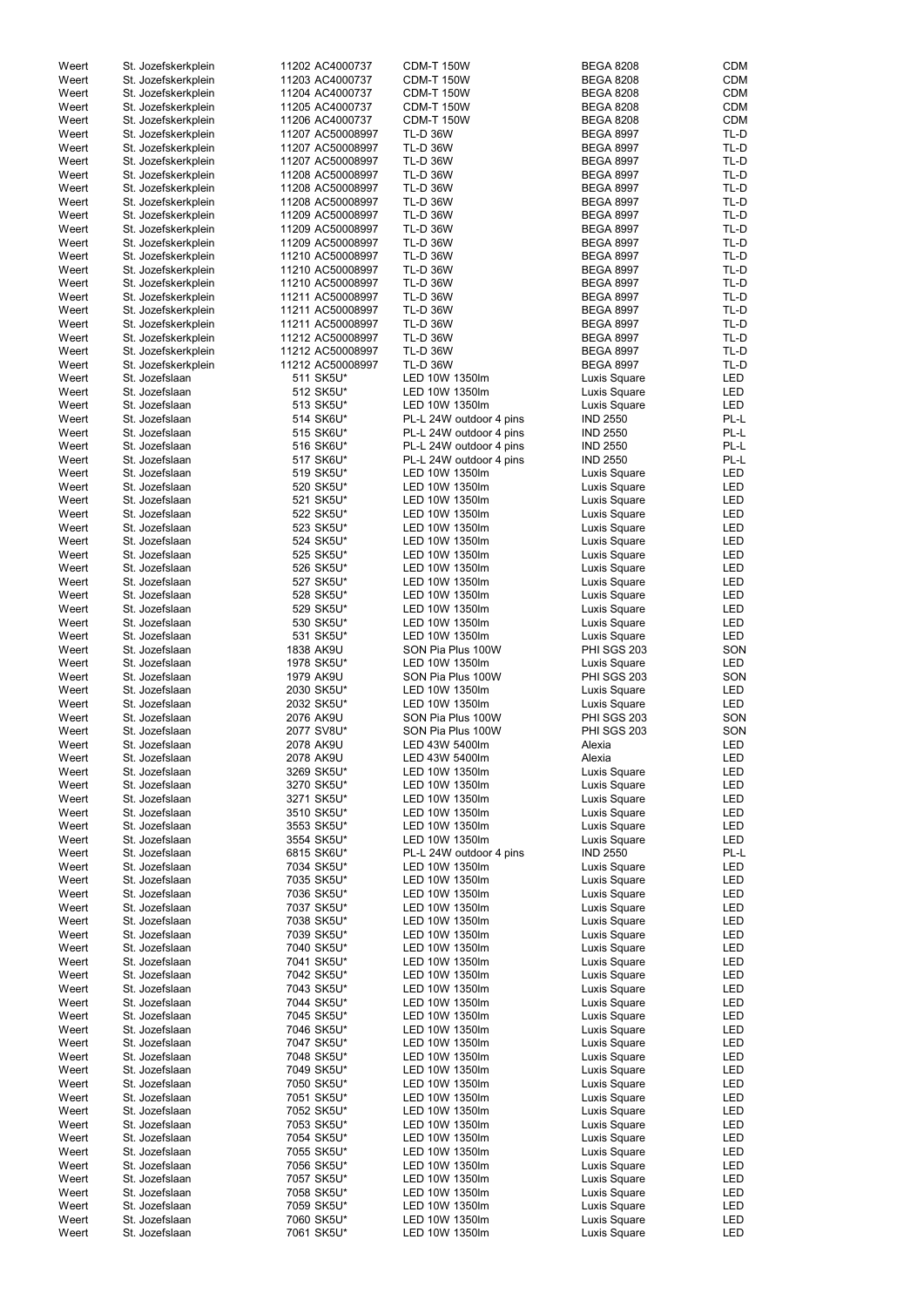| Weert | St. Jozefskerkplein | 11202 AC4000737  | <b>CDM-T 150W</b>       | <b>BEGA 8208</b>   | <b>CDM</b> |
|-------|---------------------|------------------|-------------------------|--------------------|------------|
| Weert | St. Jozefskerkplein | 11203 AC4000737  | <b>CDM-T 150W</b>       | <b>BEGA 8208</b>   | <b>CDM</b> |
| Weert | St. Jozefskerkplein | 11204 AC4000737  | <b>CDM-T 150W</b>       | <b>BEGA 8208</b>   | <b>CDM</b> |
|       |                     |                  |                         |                    |            |
| Weert | St. Jozefskerkplein | 11205 AC4000737  | <b>CDM-T 150W</b>       | <b>BEGA 8208</b>   | <b>CDM</b> |
| Weert | St. Jozefskerkplein | 11206 AC4000737  | <b>CDM-T 150W</b>       | <b>BEGA 8208</b>   | <b>CDM</b> |
| Weert | St. Jozefskerkplein | 11207 AC50008997 | <b>TL-D 36W</b>         | <b>BEGA 8997</b>   | TL-D       |
| Weert | St. Jozefskerkplein | 11207 AC50008997 | <b>TL-D 36W</b>         | <b>BEGA 8997</b>   | TL-D       |
|       |                     |                  |                         |                    |            |
| Weert | St. Jozefskerkplein | 11207 AC50008997 | <b>TL-D 36W</b>         | <b>BEGA 8997</b>   | TL-D       |
| Weert | St. Jozefskerkplein | 11208 AC50008997 | <b>TL-D 36W</b>         | <b>BEGA 8997</b>   | TL-D       |
| Weert | St. Jozefskerkplein | 11208 AC50008997 | <b>TL-D 36W</b>         | <b>BEGA 8997</b>   | TL-D       |
| Weert | St. Jozefskerkplein | 11208 AC50008997 | <b>TL-D 36W</b>         | <b>BEGA 8997</b>   | TL-D       |
|       |                     |                  |                         |                    |            |
| Weert | St. Jozefskerkplein | 11209 AC50008997 | <b>TL-D 36W</b>         | <b>BEGA 8997</b>   | TL-D       |
| Weert | St. Jozefskerkplein | 11209 AC50008997 | <b>TL-D 36W</b>         | <b>BEGA 8997</b>   | TL-D       |
| Weert | St. Jozefskerkplein | 11209 AC50008997 | <b>TL-D 36W</b>         | <b>BEGA 8997</b>   | TL-D       |
|       |                     |                  |                         |                    |            |
| Weert | St. Jozefskerkplein | 11210 AC50008997 | <b>TL-D 36W</b>         | <b>BEGA 8997</b>   | TL-D       |
| Weert | St. Jozefskerkplein | 11210 AC50008997 | <b>TL-D 36W</b>         | <b>BEGA 8997</b>   | TL-D       |
| Weert | St. Jozefskerkplein | 11210 AC50008997 | <b>TL-D 36W</b>         | <b>BEGA 8997</b>   | TL-D       |
| Weert | St. Jozefskerkplein | 11211 AC50008997 | <b>TL-D 36W</b>         | <b>BEGA 8997</b>   | TL-D       |
|       |                     |                  |                         |                    |            |
| Weert | St. Jozefskerkplein | 11211 AC50008997 | <b>TL-D 36W</b>         | <b>BEGA 8997</b>   | TL-D       |
| Weert | St. Jozefskerkplein | 11211 AC50008997 | <b>TL-D 36W</b>         | <b>BEGA 8997</b>   | TL-D       |
| Weert | St. Jozefskerkplein | 11212 AC50008997 | <b>TL-D 36W</b>         | <b>BEGA 8997</b>   | TL-D       |
| Weert | St. Jozefskerkplein | 11212 AC50008997 | <b>TL-D 36W</b>         | <b>BEGA 8997</b>   | TL-D       |
|       |                     |                  |                         |                    |            |
| Weert | St. Jozefskerkplein | 11212 AC50008997 | <b>TL-D 36W</b>         | <b>BEGA 8997</b>   | TL-D       |
| Weert | St. Jozefslaan      | 511 SK5U*        | LED 10W 1350lm          | Luxis Square       | <b>LED</b> |
| Weert | St. Jozefslaan      | 512 SK5U*        | LED 10W 1350lm          | Luxis Square       | LED        |
| Weert | St. Jozefslaan      | 513 SK5U*        | LED 10W 1350lm          | Luxis Square       | <b>LED</b> |
|       |                     |                  |                         |                    |            |
| Weert | St. Jozefslaan      | 514 SK6U*        | PL-L 24W outdoor 4 pins | <b>IND 2550</b>    | PL-L       |
| Weert | St. Jozefslaan      | 515 SK6U*        | PL-L 24W outdoor 4 pins | <b>IND 2550</b>    | PL-L       |
| Weert | St. Jozefslaan      | 516 SK6U*        | PL-L 24W outdoor 4 pins | <b>IND 2550</b>    | PL-L       |
| Weert | St. Jozefslaan      |                  |                         |                    | PL-L       |
|       |                     | 517 SK6U*        | PL-L 24W outdoor 4 pins | <b>IND 2550</b>    |            |
| Weert | St. Jozefslaan      | 519 SK5U*        | LED 10W 1350lm          | Luxis Square       | LED        |
| Weert | St. Jozefslaan      | 520 SK5U*        | LED 10W 1350lm          | Luxis Square       | LED        |
| Weert | St. Jozefslaan      | 521 SK5U*        | LED 10W 1350lm          | Luxis Square       | LED        |
|       |                     |                  |                         |                    |            |
| Weert | St. Jozefslaan      | 522 SK5U*        | LED 10W 1350lm          | Luxis Square       | <b>LED</b> |
| Weert | St. Jozefslaan      | 523 SK5U*        | LED 10W 1350lm          | Luxis Square       | LED        |
| Weert | St. Jozefslaan      | 524 SK5U*        | LED 10W 1350lm          | Luxis Square       | <b>LED</b> |
| Weert | St. Jozefslaan      | 525 SK5U*        | LED 10W 1350lm          | Luxis Square       | LED        |
|       |                     |                  |                         |                    |            |
| Weert | St. Jozefslaan      | 526 SK5U*        | LED 10W 1350lm          | Luxis Square       | LED        |
| Weert | St. Jozefslaan      | 527 SK5U*        | LED 10W 1350lm          | Luxis Square       | LED        |
| Weert | St. Jozefslaan      | 528 SK5U*        | LED 10W 1350lm          | Luxis Square       | LED        |
| Weert | St. Jozefslaan      | 529 SK5U*        | LED 10W 1350lm          | Luxis Square       | LED        |
|       |                     |                  |                         |                    |            |
| Weert | St. Jozefslaan      | 530 SK5U*        | LED 10W 1350lm          | Luxis Square       | LED        |
| Weert | St. Jozefslaan      | 531 SK5U*        | LED 10W 1350lm          | Luxis Square       | <b>LED</b> |
| Weert | St. Jozefslaan      | 1838 AK9U        | SON Pia Plus 100W       | <b>PHI SGS 203</b> | SON        |
|       |                     |                  | LED 10W 1350lm          |                    | <b>LED</b> |
| Weert | St. Jozefslaan      | 1978 SK5U*       |                         | Luxis Square       |            |
| Weert | St. Jozefslaan      | 1979 AK9U        | SON Pia Plus 100W       | <b>PHI SGS 203</b> | SON        |
| Weert | St. Jozefslaan      | 2030 SK5U*       | LED 10W 1350lm          | Luxis Square       | LED        |
| Weert | St. Jozefslaan      | 2032 SK5U*       | LED 10W 1350lm          | Luxis Square       | LED        |
|       |                     |                  |                         |                    |            |
| Weert | St. Jozefslaan      | 2076 AK9U        | SON Pia Plus 100W       | <b>PHI SGS 203</b> | SON        |
| Weert | St. Jozefslaan      | 2077 SV8U*       | SON Pia Plus 100W       | <b>PHI SGS 203</b> | SON        |
| Weert | St. Jozefslaan      | 2078 AK9U        | LED 43W 5400lm          | Alexia             | <b>LED</b> |
|       |                     |                  |                         |                    | <b>LED</b> |
| Weert | St. Jozefslaan      | 2078 AK9U        | LED 43W 5400lm          | Alexia             |            |
| Weert | St. Jozefslaan      | 3269 SK5U*       | LED 10W 1350lm          | Luxis Square       | LED        |
| Weert | St. Jozefslaan      | 3270 SK5U*       | LED 10W 1350lm          | Luxis Square       | LED        |
| Weert | St. Jozefslaan      | 3271 SK5U*       | LED 10W 1350lm          | Luxis Square       | LED        |
|       |                     |                  |                         |                    |            |
| Weert | St. Jozefslaan      | 3510 SK5U*       | LED 10W 1350lm          | Luxis Square       | LED        |
| Weert | St. Jozefslaan      | 3553 SK5U*       | LED 10W 1350lm          | Luxis Square       | LED        |
| Weert | St. Jozefslaan      | 3554 SK5U*       | LED 10W 1350lm          | Luxis Square       | LED        |
| Weert | St. Jozefslaan      | 6815 SK6U*       | PL-L 24W outdoor 4 pins | <b>IND 2550</b>    | PL-L       |
| Weert | St. Jozefslaan      | 7034 SK5U*       | LED 10W 1350lm          | Luxis Square       | <b>LED</b> |
|       |                     |                  |                         |                    |            |
| Weert | St. Jozefslaan      | 7035 SK5U*       | LED 10W 1350lm          | Luxis Square       | <b>LED</b> |
| Weert | St. Jozefslaan      | 7036 SK5U*       | LED 10W 1350lm          | Luxis Square       | LED        |
| Weert | St. Jozefslaan      | 7037 SK5U*       | LED 10W 1350lm          | Luxis Square       | LED        |
| Weert | St. Jozefslaan      | 7038 SK5U*       | LED 10W 1350lm          | Luxis Square       | <b>LED</b> |
|       |                     |                  |                         |                    |            |
| Weert | St. Jozefslaan      | 7039 SK5U*       | LED 10W 1350lm          | Luxis Square       | LED        |
| Weert | St. Jozefslaan      | 7040 SK5U*       | LED 10W 1350lm          | Luxis Square       | LED        |
| Weert | St. Jozefslaan      | 7041 SK5U*       | LED 10W 1350lm          | Luxis Square       | LED        |
| Weert | St. Jozefslaan      | 7042 SK5U*       | LED 10W 1350lm          | Luxis Square       | LED        |
|       |                     |                  |                         |                    |            |
| Weert | St. Jozefslaan      | 7043 SK5U*       | LED 10W 1350lm          | Luxis Square       | LED        |
| Weert | St. Jozefslaan      | 7044 SK5U*       | LED 10W 1350lm          | Luxis Square       | LED        |
| Weert | St. Jozefslaan      | 7045 SK5U*       | LED 10W 1350lm          | Luxis Square       | LED        |
|       | St. Jozefslaan      | 7046 SK5U*       | LED 10W 1350lm          |                    | LED        |
| Weert |                     |                  |                         | Luxis Square       |            |
| Weert | St. Jozefslaan      | 7047 SK5U*       | LED 10W 1350lm          | Luxis Square       | <b>LED</b> |
| Weert | St. Jozefslaan      | 7048 SK5U*       | LED 10W 1350lm          | Luxis Square       | LED        |
| Weert | St. Jozefslaan      | 7049 SK5U*       | LED 10W 1350lm          | Luxis Square       | LED        |
|       |                     |                  |                         |                    |            |
| Weert | St. Jozefslaan      | 7050 SK5U*       | LED 10W 1350lm          | Luxis Square       | <b>LED</b> |
| Weert | St. Jozefslaan      | 7051 SK5U*       | LED 10W 1350lm          | Luxis Square       | <b>LED</b> |
| Weert | St. Jozefslaan      | 7052 SK5U*       | LED 10W 1350lm          | Luxis Square       | <b>LED</b> |
| Weert | St. Jozefslaan      | 7053 SK5U*       | LED 10W 1350lm          | Luxis Square       | LED        |
|       |                     |                  |                         |                    |            |
| Weert | St. Jozefslaan      | 7054 SK5U*       | LED 10W 1350lm          | Luxis Square       | LED        |
| Weert | St. Jozefslaan      | 7055 SK5U*       | LED 10W 1350lm          | Luxis Square       | LED        |
| Weert | St. Jozefslaan      | 7056 SK5U*       | LED 10W 1350lm          | Luxis Square       | LED        |
| Weert | St. Jozefslaan      | 7057 SK5U*       | LED 10W 1350lm          | Luxis Square       | LED        |
|       |                     |                  |                         |                    |            |
| Weert | St. Jozefslaan      | 7058 SK5U*       | LED 10W 1350lm          | Luxis Square       | <b>LED</b> |
| Weert | St. Jozefslaan      | 7059 SK5U*       | LED 10W 1350lm          | Luxis Square       | LED        |
| Weert | St. Jozefslaan      | 7060 SK5U*       | LED 10W 1350lm          | Luxis Square       | LED        |
|       |                     |                  |                         |                    |            |
| Weert | St. Jozefslaan      | 7061 SK5U*       | LED 10W 1350lm          | Luxis Square       | LED        |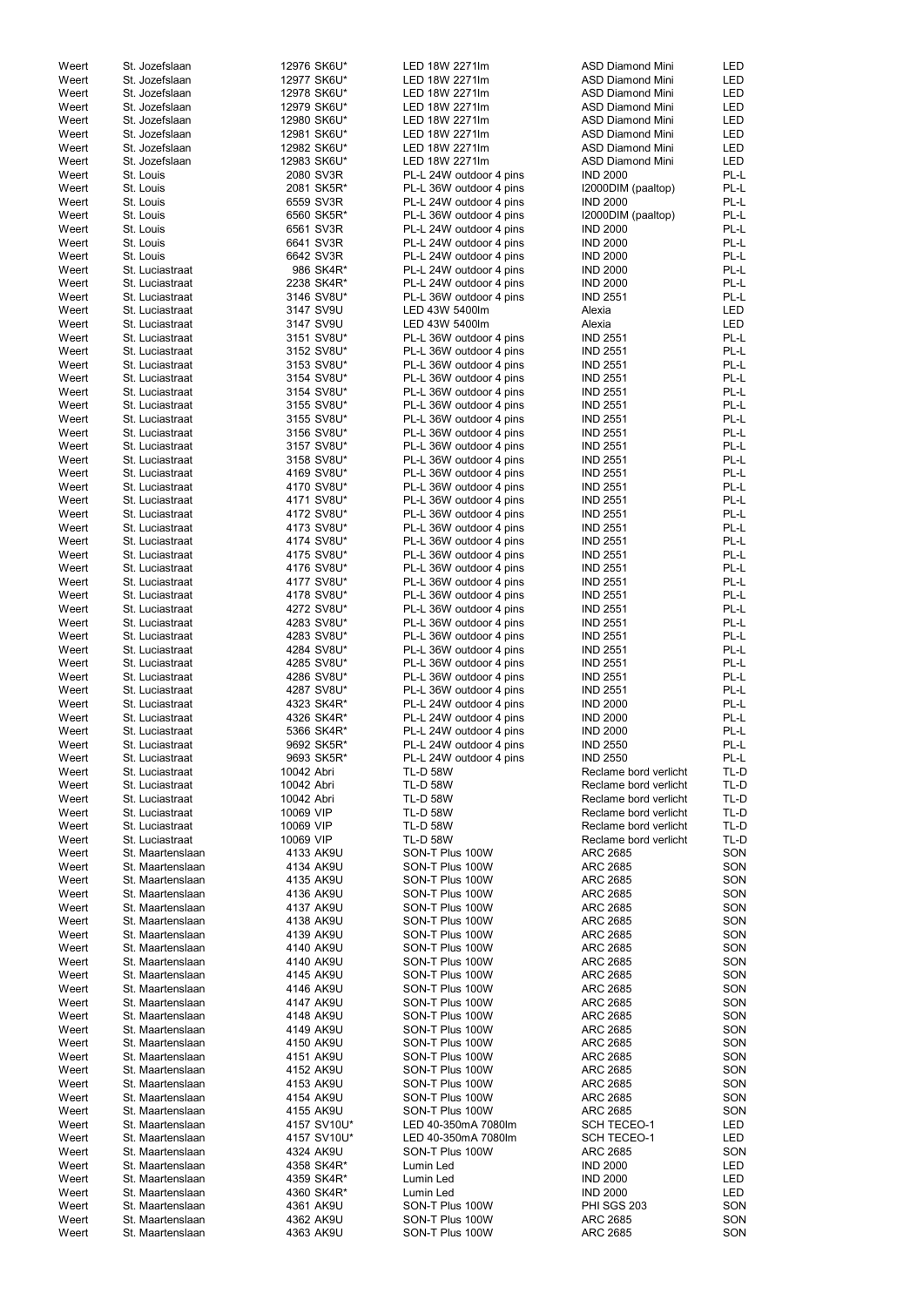| Weert          | St. Jozefslaan                       | 12976 SK6U*            | LED 18W 2271lm                     | <b>ASD Diamond Mini</b>            | LED        |
|----------------|--------------------------------------|------------------------|------------------------------------|------------------------------------|------------|
| Weert          | St. Jozefslaan                       | 12977 SK6U*            | LED 18W 2271lm                     | <b>ASD Diamond Mini</b>            | <b>LED</b> |
| Weert          | St. Jozefslaan                       | 12978 SK6U*            | LED 18W 2271lm                     | <b>ASD Diamond Mini</b>            | <b>LED</b> |
| Weert          | St. Jozefslaan                       | 12979 SK6U*            | LED 18W 2271lm                     | <b>ASD Diamond Mini</b>            | <b>LED</b> |
| Weert          | St. Jozefslaan                       | 12980 SK6U*            | LED 18W 2271lm                     | <b>ASD Diamond Mini</b>            | <b>LED</b> |
| Weert          | St. Jozefslaan                       | 12981 SK6U*            | LED 18W 2271lm                     | <b>ASD Diamond Mini</b>            | <b>LED</b> |
|                |                                      |                        |                                    |                                    |            |
| Weert          | St. Jozefslaan                       | 12982 SK6U*            | LED 18W 2271lm                     | <b>ASD Diamond Mini</b>            | <b>LED</b> |
| Weert          | St. Jozefslaan                       | 12983 SK6U*            | LED 18W 2271lm                     | <b>ASD Diamond Mini</b>            | LED        |
| Weert          | St. Louis                            | 2080 SV3R              | PL-L 24W outdoor 4 pins            | <b>IND 2000</b>                    | PL-L       |
| Weert          | St. Louis                            | 2081 SK5R*             | PL-L 36W outdoor 4 pins            | I2000DIM (paaltop)                 | PL-L       |
| Weert          | St. Louis                            | 6559 SV3R              | PL-L 24W outdoor 4 pins            | <b>IND 2000</b>                    | PL-L       |
| Weert          | St. Louis                            | 6560 SK5R*             | PL-L 36W outdoor 4 pins            | I2000DIM (paaltop)                 | PL-L       |
| Weert          | St. Louis                            | 6561 SV3R              | PL-L 24W outdoor 4 pins            | <b>IND 2000</b>                    | PL-L       |
|                |                                      |                        |                                    |                                    | PL-L       |
| Weert          | St. Louis                            | 6641 SV3R              | PL-L 24W outdoor 4 pins            | <b>IND 2000</b>                    |            |
| Weert          | St. Louis                            | 6642 SV3R              | PL-L 24W outdoor 4 pins            | <b>IND 2000</b>                    | PL-L       |
| Weert          | St. Luciastraat                      | 986 SK4R*              | PL-L 24W outdoor 4 pins            | <b>IND 2000</b>                    | PL-L       |
| Weert          | St. Luciastraat                      | 2238 SK4R*             | PL-L 24W outdoor 4 pins            | <b>IND 2000</b>                    | PL-L       |
| Weert          | St. Luciastraat                      | 3146 SV8U*             | PL-L 36W outdoor 4 pins            | <b>IND 2551</b>                    | PL-L       |
| Weert          | St. Luciastraat                      | 3147 SV9U              | LED 43W 5400lm                     | Alexia                             | <b>LED</b> |
| Weert          | St. Luciastraat                      | 3147 SV9U              | LED 43W 5400lm                     | Alexia                             | <b>LED</b> |
| Weert          | St. Luciastraat                      | 3151 SV8U*             | PL-L 36W outdoor 4 pins            | <b>IND 2551</b>                    | PL-L       |
|                |                                      |                        |                                    |                                    |            |
| Weert          | St. Luciastraat                      | 3152 SV8U*             | PL-L 36W outdoor 4 pins            | <b>IND 2551</b>                    | PL-L       |
| Weert          | St. Luciastraat                      | 3153 SV8U*             | PL-L 36W outdoor 4 pins            | <b>IND 2551</b>                    | PL-L       |
| Weert          | St. Luciastraat                      | 3154 SV8U*             | PL-L 36W outdoor 4 pins            | <b>IND 2551</b>                    | PL-L       |
| Weert          | St. Luciastraat                      | 3154 SV8U*             | PL-L 36W outdoor 4 pins            | <b>IND 2551</b>                    | PL-L       |
| Weert          | St. Luciastraat                      | 3155 SV8U*             | PL-L 36W outdoor 4 pins            | <b>IND 2551</b>                    | PL-L       |
| Weert          | St. Luciastraat                      | 3155 SV8U*             | PL-L 36W outdoor 4 pins            | <b>IND 2551</b>                    | PL-L       |
| Weert          | St. Luciastraat                      | 3156 SV8U*             | PL-L 36W outdoor 4 pins            | <b>IND 2551</b>                    | PL-L       |
| Weert          |                                      |                        |                                    |                                    | PL-L       |
|                | St. Luciastraat                      | 3157 SV8U*             | PL-L 36W outdoor 4 pins            | <b>IND 2551</b>                    |            |
| Weert          | St. Luciastraat                      | 3158 SV8U*             | PL-L 36W outdoor 4 pins            | <b>IND 2551</b>                    | PL-L       |
| Weert          | St. Luciastraat                      | 4169 SV8U*             | PL-L 36W outdoor 4 pins            | <b>IND 2551</b>                    | PL-L       |
| Weert          | St. Luciastraat                      | 4170 SV8U*             | PL-L 36W outdoor 4 pins            | <b>IND 2551</b>                    | PL-L       |
| Weert          | St. Luciastraat                      | 4171 SV8U*             | PL-L 36W outdoor 4 pins            | <b>IND 2551</b>                    | PL-L       |
| Weert          | St. Luciastraat                      | 4172 SV8U*             | PL-L 36W outdoor 4 pins            | <b>IND 2551</b>                    | PL-L       |
| Weert          | St. Luciastraat                      | 4173 SV8U*             | PL-L 36W outdoor 4 pins            | <b>IND 2551</b>                    | PL-L       |
| Weert          | St. Luciastraat                      | 4174 SV8U*             | PL-L 36W outdoor 4 pins            | <b>IND 2551</b>                    | PL-L       |
|                |                                      |                        |                                    |                                    |            |
| Weert          | St. Luciastraat                      | 4175 SV8U*             | PL-L 36W outdoor 4 pins            | <b>IND 2551</b>                    | PL-L       |
| Weert          | St. Luciastraat                      | 4176 SV8U*             | PL-L 36W outdoor 4 pins            | <b>IND 2551</b>                    | PL-L       |
| Weert          | St. Luciastraat                      | 4177 SV8U*             | PL-L 36W outdoor 4 pins            | <b>IND 2551</b>                    | PL-L       |
| Weert          | St. Luciastraat                      | 4178 SV8U*             | PL-L 36W outdoor 4 pins            | <b>IND 2551</b>                    | PL-L       |
| Weert          | St. Luciastraat                      | 4272 SV8U*             | PL-L 36W outdoor 4 pins            | <b>IND 2551</b>                    | PL-L       |
| Weert          | St. Luciastraat                      | 4283 SV8U*             | PL-L 36W outdoor 4 pins            | <b>IND 2551</b>                    | PL-L       |
| Weert          | St. Luciastraat                      | 4283 SV8U*             | PL-L 36W outdoor 4 pins            | <b>IND 2551</b>                    | PL-L       |
| Weert          | St. Luciastraat                      | 4284 SV8U*             |                                    |                                    | PL-L       |
|                |                                      |                        | PL-L 36W outdoor 4 pins            | <b>IND 2551</b>                    |            |
| Weert          | St. Luciastraat                      | 4285 SV8U*             | PL-L 36W outdoor 4 pins            | <b>IND 2551</b>                    | PL-L       |
| Weert          | St. Luciastraat                      | 4286 SV8U*             | PL-L 36W outdoor 4 pins            | <b>IND 2551</b>                    | PL-L       |
| Weert          | St. Luciastraat                      | 4287 SV8U*             | PL-L 36W outdoor 4 pins            | <b>IND 2551</b>                    | PL-L       |
| Weert          | St. Luciastraat                      | 4323 SK4R*             | PL-L 24W outdoor 4 pins            | <b>IND 2000</b>                    | PL-L       |
| Weert          | St. Luciastraat                      | 4326 SK4R*             | PL-L 24W outdoor 4 pins            | <b>IND 2000</b>                    | PL-L       |
| Weert          | St. Luciastraat                      | 5366 SK4R*             | PL-L 24W outdoor 4 pins            | <b>IND 2000</b>                    | PL-L       |
| Weert          | St. Luciastraat                      | 9692 SK5R*             | PL-L 24W outdoor 4 pins            | <b>IND 2550</b>                    | PL-L       |
|                |                                      |                        |                                    |                                    | PL-L       |
| Weert          | St. Luciastraat                      | 9693 SK5R*             | PL-L 24W outdoor 4 pins            | <b>IND 2550</b>                    |            |
| Weert          | St. Luciastraat                      | 10042 Abri             | <b>TL-D 58W</b>                    | Reclame bord verlicht              | TL-D       |
| Weert          | St. Luciastraat                      | 10042 Abri             | <b>TL-D 58W</b>                    | Reclame bord verlicht              | TL-D       |
| Weert          | St. Luciastraat                      | 10042 Abri             | <b>TL-D 58W</b>                    | Reclame bord verlicht              | TL-D       |
| Weert          | St. Luciastraat                      | 10069 VIP              | <b>TL-D 58W</b>                    | Reclame bord verlicht              | TL-D       |
| Weert          | St. Luciastraat                      | 10069 VIP              | <b>TL-D 58W</b>                    | Reclame bord verlicht              | TL-D       |
| Weert          | St. Luciastraat                      | 10069 VIP              | <b>TL-D 58W</b>                    | Reclame bord verlicht              | TL-D       |
| Weert          | St. Maartenslaan                     | 4133 AK9U              | SON-T Plus 100W                    | <b>ARC 2685</b>                    | SON        |
|                |                                      |                        |                                    |                                    |            |
| Weert          | St. Maartenslaan                     | 4134 AK9U              | SON-T Plus 100W                    | <b>ARC 2685</b>                    | SON        |
| Weert          | St. Maartenslaan                     | 4135 AK9U              | SON-T Plus 100W                    | <b>ARC 2685</b>                    | SON        |
| Weert          | St. Maartenslaan                     | 4136 AK9U              | SON-T Plus 100W                    | ARC 2685                           | SON        |
| Weert          | St. Maartenslaan                     | 4137 AK9U              | SON-T Plus 100W                    | ARC 2685                           | SON        |
| Weert          | St. Maartenslaan                     | 4138 AK9U              | SON-T Plus 100W                    | <b>ARC 2685</b>                    | SON        |
| Weert          | St. Maartenslaan                     | 4139 AK9U              | SON-T Plus 100W                    | ARC 2685                           | SON        |
| Weert          | St. Maartenslaan                     | 4140 AK9U              | SON-T Plus 100W                    | <b>ARC 2685</b>                    | SON        |
| Weert          | St. Maartenslaan                     | 4140 AK9U              | SON-T Plus 100W                    | <b>ARC 2685</b>                    | SON        |
|                |                                      |                        | SON-T Plus 100W                    |                                    | SON        |
| Weert          | St. Maartenslaan                     | 4145 AK9U              |                                    | ARC 2685                           |            |
| Weert          | St. Maartenslaan                     | 4146 AK9U              | SON-T Plus 100W                    | ARC 2685                           | SON        |
| Weert          | St. Maartenslaan                     | 4147 AK9U              | SON-T Plus 100W                    | ARC 2685                           | SON        |
| Weert          | St. Maartenslaan                     | 4148 AK9U              | SON-T Plus 100W                    | ARC 2685                           | SON        |
| Weert          | St. Maartenslaan                     | 4149 AK9U              | SON-T Plus 100W                    | <b>ARC 2685</b>                    | SON        |
| Weert          | St. Maartenslaan                     | 4150 AK9U              | SON-T Plus 100W                    | <b>ARC 2685</b>                    | SON        |
| Weert          |                                      |                        | SON-T Plus 100W                    | <b>ARC 2685</b>                    | SON        |
| Weert          |                                      |                        |                                    |                                    |            |
|                | St. Maartenslaan                     | 4151 AK9U              |                                    |                                    |            |
|                | St. Maartenslaan                     | 4152 AK9U              | SON-T Plus 100W                    | <b>ARC 2685</b>                    | SON        |
| Weert          | St. Maartenslaan                     | 4153 AK9U              | SON-T Plus 100W                    | ARC 2685                           | SON        |
| Weert          | St. Maartenslaan                     | 4154 AK9U              | SON-T Plus 100W                    | <b>ARC 2685</b>                    | SON        |
| Weert          | St. Maartenslaan                     | 4155 AK9U              | SON-T Plus 100W                    | <b>ARC 2685</b>                    | SON        |
| Weert          | St. Maartenslaan                     | 4157 SV10U*            | LED 40-350mA 7080lm                | <b>SCH TECEO-1</b>                 | LED        |
| Weert          | St. Maartenslaan                     | 4157 SV10U*            | LED 40-350mA 7080lm                | SCH TECEO-1                        | LED        |
|                |                                      |                        |                                    |                                    |            |
| Weert          | St. Maartenslaan                     | 4324 AK9U              | SON-T Plus 100W                    | ARC 2685                           | SON        |
| Weert          | St. Maartenslaan                     | 4358 SK4R*             | Lumin Led                          | <b>IND 2000</b>                    | LED        |
| Weert          | St. Maartenslaan                     | 4359 SK4R*             | Lumin Led                          | <b>IND 2000</b>                    | LED        |
| Weert          | St. Maartenslaan                     | 4360 SK4R*             | Lumin Led                          | <b>IND 2000</b>                    | LED        |
| Weert          | St. Maartenslaan                     | 4361 AK9U              | SON-T Plus 100W                    | <b>PHI SGS 203</b>                 | SON        |
| Weert<br>Weert | St. Maartenslaan<br>St. Maartenslaan | 4362 AK9U<br>4363 AK9U | SON-T Plus 100W<br>SON-T Plus 100W | <b>ARC 2685</b><br><b>ARC 2685</b> | SON<br>SON |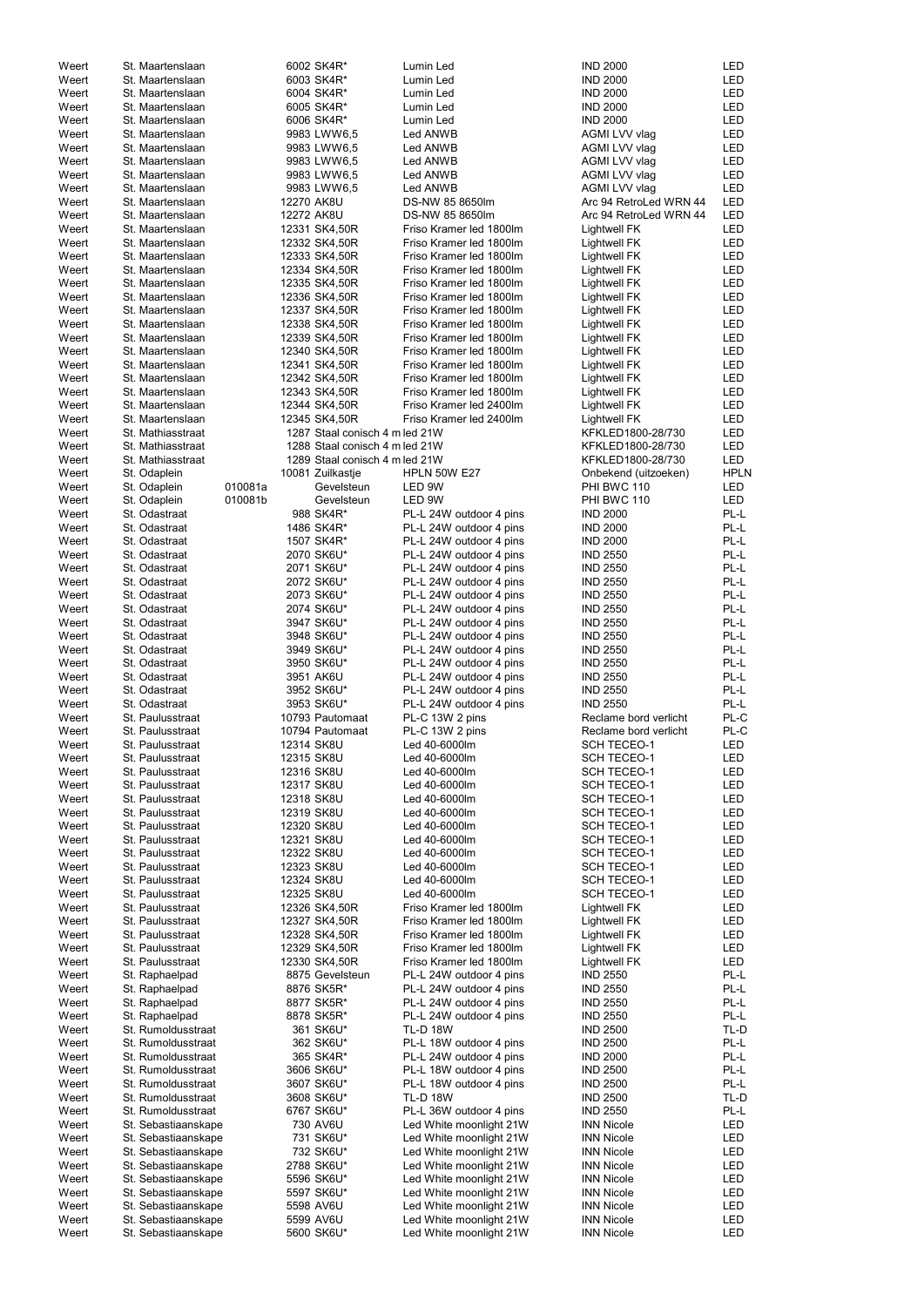| Weert          | St. Maartenslaan                     | 6002 SK4R*                     | Lumin Led                                          | <b>IND 2000</b>                          | LED         |
|----------------|--------------------------------------|--------------------------------|----------------------------------------------------|------------------------------------------|-------------|
| Weert          | St. Maartenslaan                     | 6003 SK4R*                     | Lumin Led                                          | <b>IND 2000</b>                          | <b>LED</b>  |
| Weert          | St. Maartenslaan                     | 6004 SK4R*                     | Lumin Led                                          | <b>IND 2000</b>                          | LED         |
| Weert          | St. Maartenslaan                     | 6005 SK4R*                     | Lumin Led                                          | <b>IND 2000</b>                          | LED         |
| Weert          | St. Maartenslaan                     | 6006 SK4R*                     | Lumin Led                                          | <b>IND 2000</b>                          | LED         |
| Weert          | St. Maartenslaan                     | 9983 LWW6,5                    | Led ANWB                                           | AGMI LVV vlag                            | LED         |
| Weert          | St. Maartenslaan                     | 9983 LWW6,5                    | Led ANWB                                           | AGMI LVV vlag                            | <b>LED</b>  |
| Weert          | St. Maartenslaan                     | 9983 LWW6,5                    | Led ANWB                                           | AGMI LVV vlag                            | LED         |
| Weert          | St. Maartenslaan                     | 9983 LWW6,5                    | Led ANWB                                           | AGMI LVV vlag                            | LED         |
| Weert          | St. Maartenslaan                     | 9983 LWW6,5                    | Led ANWB                                           | AGMI LVV vlag                            | LED         |
| Weert          | St. Maartenslaan                     | 12270 AK8U                     | DS-NW 85 8650lm                                    | Arc 94 RetroLed WRN 44                   | <b>LED</b>  |
| Weert          | St. Maartenslaan                     | 12272 AK8U                     | DS-NW 85 8650lm                                    | Arc 94 RetroLed WRN 44                   | <b>LED</b>  |
| Weert          | St. Maartenslaan                     | 12331 SK4,50R                  | Friso Kramer led 1800lm                            | Lightwell FK                             | LED         |
| Weert          | St. Maartenslaan                     | 12332 SK4,50R                  | Friso Kramer led 1800lm                            | Lightwell FK                             | LED         |
| Weert          | St. Maartenslaan                     | 12333 SK4,50R                  | Friso Kramer led 1800lm                            | <b>Lightwell FK</b>                      | LED         |
| Weert          | St. Maartenslaan                     | 12334 SK4,50R                  | Friso Kramer led 1800lm<br>Friso Kramer led 1800lm | <b>Lightwell FK</b>                      | LED         |
| Weert          | St. Maartenslaan                     | 12335 SK4,50R                  |                                                    | <b>Lightwell FK</b>                      | LED         |
| Weert<br>Weert | St. Maartenslaan<br>St. Maartenslaan | 12336 SK4,50R<br>12337 SK4,50R | Friso Kramer led 1800lm<br>Friso Kramer led 1800lm | <b>Lightwell FK</b>                      | LED<br>LED  |
| Weert          | St. Maartenslaan                     | 12338 SK4,50R                  | Friso Kramer led 1800lm                            | <b>Lightwell FK</b><br>Lightwell FK      | LED         |
| Weert          | St. Maartenslaan                     | 12339 SK4,50R                  | Friso Kramer led 1800lm                            | Lightwell FK                             | LED         |
| Weert          | St. Maartenslaan                     | 12340 SK4,50R                  | Friso Kramer led 1800lm                            | <b>Lightwell FK</b>                      | LED         |
| Weert          | St. Maartenslaan                     | 12341 SK4,50R                  | Friso Kramer led 1800lm                            | <b>Lightwell FK</b>                      | <b>LED</b>  |
| Weert          | St. Maartenslaan                     | 12342 SK4,50R                  | Friso Kramer led 1800lm                            | <b>Lightwell FK</b>                      | LED         |
| Weert          | St. Maartenslaan                     | 12343 SK4,50R                  | Friso Kramer led 1800lm                            | <b>Lightwell FK</b>                      | LED         |
| Weert          | St. Maartenslaan                     | 12344 SK4,50R                  | Friso Kramer led 2400lm                            | <b>Lightwell FK</b>                      | LED         |
| Weert          | St. Maartenslaan                     | 12345 SK4,50R                  | Friso Kramer led 2400lm                            | Lightwell FK                             | <b>LED</b>  |
| Weert          | St. Mathiasstraat                    | 1287 Staal conisch 4 m led 21W |                                                    | KFKLED1800-28/730                        | LED         |
| Weert          | St. Mathiasstraat                    | 1288 Staal conisch 4 m led 21W |                                                    | KFKLED1800-28/730                        | LED         |
| Weert          | St. Mathiasstraat                    | 1289 Staal conisch 4 m led 21W |                                                    | KFKLED1800-28/730                        | <b>LED</b>  |
| Weert          | St. Odaplein                         | 10081 Zuilkastje               | <b>HPLN 50W E27</b>                                | Onbekend (uitzoeken)                     | <b>HPLN</b> |
| Weert          | St. Odaplein                         | 010081a<br>Gevelsteun          | LED 9W                                             | PHI BWC 110                              | LED         |
| Weert          | St. Odaplein                         | 010081b<br>Gevelsteun          | LED 9W                                             | PHI BWC 110                              | <b>LED</b>  |
| Weert          | St. Odastraat                        | 988 SK4R*                      | PL-L 24W outdoor 4 pins                            | <b>IND 2000</b>                          | PL-L        |
| Weert          | St. Odastraat                        | 1486 SK4R*                     | PL-L 24W outdoor 4 pins                            | <b>IND 2000</b>                          | PL-L        |
| Weert          | St. Odastraat                        | 1507 SK4R*                     | PL-L 24W outdoor 4 pins                            | <b>IND 2000</b>                          | PL-L        |
| Weert          | St. Odastraat                        | 2070 SK6U*                     | PL-L 24W outdoor 4 pins                            | <b>IND 2550</b>                          | PL-L        |
| Weert          | St. Odastraat                        | 2071 SK6U*                     | PL-L 24W outdoor 4 pins                            | <b>IND 2550</b>                          | PL-L        |
| Weert          | St. Odastraat                        | 2072 SK6U*                     | PL-L 24W outdoor 4 pins                            | <b>IND 2550</b>                          | PL-L        |
| Weert          | St. Odastraat                        | 2073 SK6U*                     | PL-L 24W outdoor 4 pins                            | <b>IND 2550</b>                          | PL-L        |
| Weert          | St. Odastraat                        | 2074 SK6U*                     | PL-L 24W outdoor 4 pins                            | <b>IND 2550</b>                          | PL-L        |
| Weert          | St. Odastraat                        | 3947 SK6U*                     | PL-L 24W outdoor 4 pins                            | <b>IND 2550</b>                          | PL-L        |
| Weert          | St. Odastraat                        | 3948 SK6U*                     | PL-L 24W outdoor 4 pins                            | <b>IND 2550</b>                          | PL-L        |
| Weert          | St. Odastraat                        | 3949 SK6U*                     | PL-L 24W outdoor 4 pins                            | <b>IND 2550</b>                          | PL-L        |
| Weert          | St. Odastraat                        | 3950 SK6U*                     | PL-L 24W outdoor 4 pins                            | <b>IND 2550</b>                          | PL-L        |
| Weert          | St. Odastraat                        | 3951 AK6U                      | PL-L 24W outdoor 4 pins                            | <b>IND 2550</b>                          | PL-L        |
| Weert          | St. Odastraat                        | 3952 SK6U*                     | PL-L 24W outdoor 4 pins                            | <b>IND 2550</b>                          | PL-L        |
| Weert          | St. Odastraat                        | 3953 SK6U*                     | PL-L 24W outdoor 4 pins                            | <b>IND 2550</b>                          | PL-L        |
| Weert          | St. Paulusstraat                     | 10793 Pautomaat                | PL-C 13W 2 pins                                    | Reclame bord verlicht                    | PL-C        |
| Weert          | St. Paulusstraat                     | 10794 Pautomaat                | PL-C 13W 2 pins                                    | Reclame bord verlicht                    | PL-C        |
| Weert          | St. Paulusstraat                     | 12314 SK8U                     | Led 40-6000lm                                      | <b>SCH TECEO-1</b>                       | <b>LED</b>  |
| Weert          | St. Paulusstraat                     | 12315 SK8U                     | Led 40-6000lm                                      | <b>SCH TECEO-1</b>                       | <b>LED</b>  |
| Weert          | St. Paulusstraat                     | 12316 SK8U                     | Led 40-6000lm                                      | SCH TECEO-1                              | LED         |
| Weert          | St. Paulusstraat                     | 12317 SK8U                     | Led 40-6000lm                                      | SCH TECEO-1                              | LED         |
| Weert          | St. Paulusstraat                     | 12318 SK8U                     | Led 40-6000lm                                      | <b>SCH TECEO-1</b>                       | LED         |
| Weert          | St. Paulusstraat                     | 12319 SK8U                     | Led 40-6000lm                                      | <b>SCH TECEO-1</b>                       | LED         |
| Weert          | St. Paulusstraat                     | 12320 SK8U                     | Led 40-6000lm                                      | <b>SCH TECEO-1</b>                       | LED         |
| Weert          | St. Paulusstraat                     | 12321 SK8U                     | Led 40-6000lm                                      | <b>SCH TECEO-1</b>                       | LED         |
| Weert          | St. Paulusstraat                     | 12322 SK8U<br>12323 SK8U       | Led 40-6000lm                                      | <b>SCH TECEO-1</b><br><b>SCH TECEO-1</b> | LED<br>LED  |
| Weert<br>Weert | St. Paulusstraat<br>St. Paulusstraat | 12324 SK8U                     | Led 40-6000lm<br>Led 40-6000lm                     | <b>SCH TECEO-1</b>                       | <b>LED</b>  |
| Weert          | St. Paulusstraat                     | 12325 SK8U                     | Led 40-6000lm                                      | <b>SCH TECEO-1</b>                       | LED         |
| Weert          | St. Paulusstraat                     | 12326 SK4,50R                  | Friso Kramer led 1800lm                            | Lightwell FK                             | LED         |
| Weert          | St. Paulusstraat                     | 12327 SK4,50R                  | Friso Kramer led 1800lm                            | <b>Lightwell FK</b>                      | LED         |
| Weert          | St. Paulusstraat                     | 12328 SK4,50R                  | Friso Kramer led 1800lm                            | <b>Lightwell FK</b>                      | LED         |
| Weert          | St. Paulusstraat                     | 12329 SK4,50R                  | Friso Kramer led 1800lm                            | <b>Lightwell FK</b>                      | LED         |
| Weert          | St. Paulusstraat                     | 12330 SK4,50R                  | Friso Kramer led 1800lm                            | <b>Lightwell FK</b>                      | LED         |
| Weert          | St. Raphaelpad                       | 8875 Gevelsteun                | PL-L 24W outdoor 4 pins                            | <b>IND 2550</b>                          | PL-L        |
| Weert          | St. Raphaelpad                       | 8876 SK5R*                     | PL-L 24W outdoor 4 pins                            | <b>IND 2550</b>                          | PL-L        |
| Weert          | St. Raphaelpad                       | 8877 SK5R*                     | PL-L 24W outdoor 4 pins                            | <b>IND 2550</b>                          | PL-L        |
| Weert          | St. Raphaelpad                       | 8878 SK5R*                     | PL-L 24W outdoor 4 pins                            | <b>IND 2550</b>                          | PL-L        |
| Weert          | St. Rumoldusstraat                   | 361 SK6U*                      | <b>TL-D 18W</b>                                    | <b>IND 2500</b>                          | TL-D        |
| Weert          | St. Rumoldusstraat                   | 362 SK6U*                      | PL-L 18W outdoor 4 pins                            | <b>IND 2500</b>                          | PL-L        |
| Weert          | St. Rumoldusstraat                   | 365 SK4R*                      | PL-L 24W outdoor 4 pins                            | <b>IND 2000</b>                          | PL-L        |
| Weert          | St. Rumoldusstraat                   | 3606 SK6U*                     | PL-L 18W outdoor 4 pins                            | <b>IND 2500</b>                          | PL-L        |
| Weert          | St. Rumoldusstraat                   | 3607 SK6U*                     | PL-L 18W outdoor 4 pins                            | <b>IND 2500</b>                          | PL-L        |
| Weert          | St. Rumoldusstraat                   | 3608 SK6U*                     | <b>TL-D 18W</b>                                    | <b>IND 2500</b>                          | TL-D        |
| Weert          | St. Rumoldusstraat                   | 6767 SK6U*                     | PL-L 36W outdoor 4 pins                            | <b>IND 2550</b>                          | PL-L        |
| Weert          | St. Sebastiaanskape                  | 730 AV6U                       | Led White moonlight 21W                            | <b>INN Nicole</b>                        | LED         |
| Weert          | St. Sebastiaanskape                  | 731 SK6U*                      | Led White moonlight 21W                            | <b>INN Nicole</b>                        | LED         |
| Weert          | St. Sebastiaanskape                  | 732 SK6U*                      | Led White moonlight 21W                            | <b>INN Nicole</b>                        | LED         |
| Weert          | St. Sebastiaanskape                  | 2788 SK6U*                     | Led White moonlight 21W                            | <b>INN Nicole</b>                        | LED         |
| Weert          | St. Sebastiaanskape                  | 5596 SK6U*                     | Led White moonlight 21W                            | <b>INN Nicole</b>                        | LED         |
| Weert          | St. Sebastiaanskape                  | 5597 SK6U*                     | Led White moonlight 21W                            | <b>INN Nicole</b>                        | LED         |
| Weert          | St. Sebastiaanskape                  | 5598 AV6U                      | Led White moonlight 21W                            | <b>INN Nicole</b>                        | LED         |
| Weert          | St. Sebastiaanskape                  | 5599 AV6U                      | Led White moonlight 21W                            | <b>INN Nicole</b>                        | LED         |
| Weert          | St. Sebastiaanskape                  | 5600 SK6U*                     | Led White moonlight 21W                            | <b>INN Nicole</b>                        | LED         |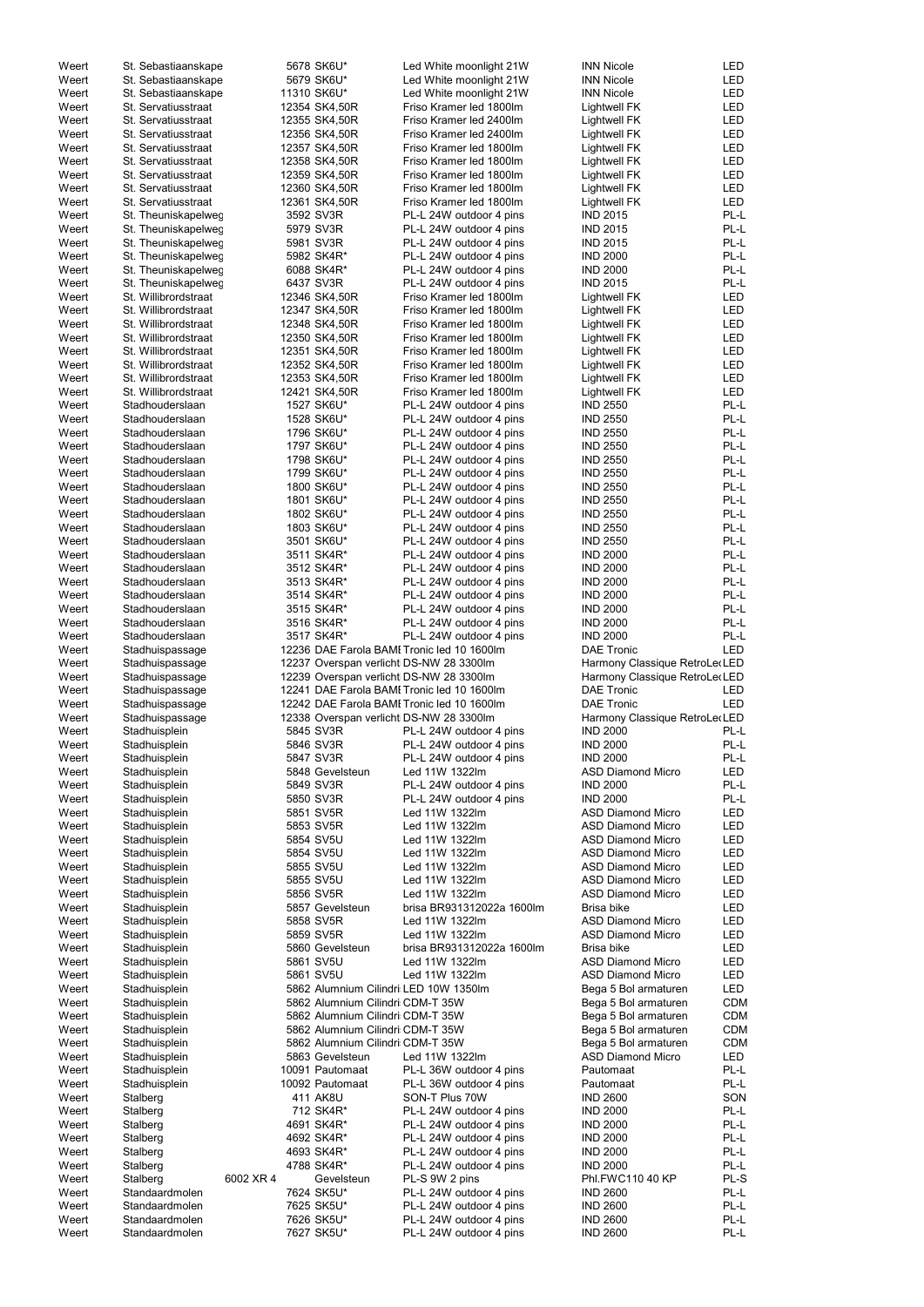| Weert          | St. Sebastiaanskape                         |           | 5678 SK6U*                            | Led White moonlight 21W                                                            | <b>INN Nicole</b>                                               | LED          |
|----------------|---------------------------------------------|-----------|---------------------------------------|------------------------------------------------------------------------------------|-----------------------------------------------------------------|--------------|
| Weert          | St. Sebastiaanskape                         |           | 5679 SK6U*                            | Led White moonlight 21W                                                            | <b>INN Nicole</b>                                               | <b>LED</b>   |
| Weert          | St. Sebastiaanskape                         |           | 11310 SK6U*                           | Led White moonlight 21W                                                            | <b>INN Nicole</b>                                               | LED          |
| Weert          | St. Servatiusstraat                         |           | 12354 SK4,50R                         | Friso Kramer led 1800lm                                                            | Lightwell FK                                                    | LED          |
| Weert          | St. Servatiusstraat                         |           | 12355 SK4,50R                         | Friso Kramer led 2400lm                                                            | Lightwell FK                                                    | <b>LED</b>   |
| Weert          | St. Servatiusstraat                         |           | 12356 SK4,50R                         | Friso Kramer led 2400lm                                                            | Lightwell FK                                                    | LED          |
| Weert          | St. Servatiusstraat                         |           | 12357 SK4,50R                         | Friso Kramer led 1800lm                                                            | Lightwell FK                                                    | LED          |
| Weert          | St. Servatiusstraat                         |           | 12358 SK4,50R                         | Friso Kramer led 1800lm                                                            | Lightwell FK                                                    | LED          |
| Weert          | St. Servatiusstraat                         |           | 12359 SK4,50R                         | Friso Kramer led 1800lm                                                            | <b>Lightwell FK</b>                                             | LED          |
| Weert          | St. Servatiusstraat                         |           | 12360 SK4,50R                         | Friso Kramer led 1800lm                                                            | <b>Lightwell FK</b>                                             | LED          |
| Weert          | St. Servatiusstraat                         |           | 12361 SK4,50R                         | Friso Kramer led 1800lm                                                            | Lightwell FK                                                    | LED          |
| Weert          | St. Theuniskapelweg                         |           | 3592 SV3R                             | PL-L 24W outdoor 4 pins                                                            | <b>IND 2015</b>                                                 | PL-L         |
| Weert          | St. Theuniskapelweg                         |           | 5979 SV3R                             | PL-L 24W outdoor 4 pins                                                            | <b>IND 2015</b>                                                 | PL-L         |
| Weert          | St. Theuniskapelweg                         |           | 5981 SV3R                             | PL-L 24W outdoor 4 pins                                                            | <b>IND 2015</b>                                                 | PL-L         |
| Weert          | St. Theuniskapelweg                         |           | 5982 SK4R*                            | PL-L 24W outdoor 4 pins                                                            | <b>IND 2000</b>                                                 | PL-L         |
| Weert<br>Weert | St. Theuniskapelweg                         |           | 6088 SK4R*<br>6437 SV3R               | PL-L 24W outdoor 4 pins<br>PL-L 24W outdoor 4 pins                                 | <b>IND 2000</b><br><b>IND 2015</b>                              | PL-L<br>PL-L |
| Weert          | St. Theuniskapelweg<br>St. Willibrordstraat |           | 12346 SK4,50R                         | Friso Kramer led 1800lm                                                            | Lightwell FK                                                    | LED          |
| Weert          | St. Willibrordstraat                        |           | 12347 SK4,50R                         | Friso Kramer led 1800lm                                                            | Lightwell FK                                                    | LED          |
| Weert          | St. Willibrordstraat                        |           | 12348 SK4,50R                         | Friso Kramer led 1800lm                                                            | Lightwell FK                                                    | LED          |
| Weert          | St. Willibrordstraat                        |           | 12350 SK4,50R                         | Friso Kramer led 1800lm                                                            | Lightwell FK                                                    | LED          |
| Weert          | St. Willibrordstraat                        |           | 12351 SK4,50R                         | Friso Kramer led 1800lm                                                            | Lightwell FK                                                    | LED          |
| Weert          | St. Willibrordstraat                        |           | 12352 SK4,50R                         | Friso Kramer led 1800lm                                                            | Lightwell FK                                                    | LED          |
| Weert          | St. Willibrordstraat                        |           | 12353 SK4,50R                         | Friso Kramer led 1800lm                                                            | Lightwell FK                                                    | LED          |
| Weert          | St. Willibrordstraat                        |           | 12421 SK4,50R                         | Friso Kramer led 1800lm                                                            | <b>Lightwell FK</b>                                             | <b>LED</b>   |
| Weert          | Stadhouderslaan                             |           | 1527 SK6U*                            | PL-L 24W outdoor 4 pins                                                            | <b>IND 2550</b>                                                 | PL-L         |
| Weert          | Stadhouderslaan                             |           | 1528 SK6U*                            | PL-L 24W outdoor 4 pins                                                            | <b>IND 2550</b>                                                 | PL-L         |
| Weert          | Stadhouderslaan                             |           | 1796 SK6U*                            | PL-L 24W outdoor 4 pins                                                            | <b>IND 2550</b>                                                 | PL-L         |
| Weert          | Stadhouderslaan                             |           | 1797 SK6U*                            | PL-L 24W outdoor 4 pins                                                            | <b>IND 2550</b>                                                 | PL-L         |
| Weert          | Stadhouderslaan                             |           | 1798 SK6U*                            | PL-L 24W outdoor 4 pins                                                            | <b>IND 2550</b>                                                 | PL-L         |
| Weert          | Stadhouderslaan                             |           | 1799 SK6U*                            | PL-L 24W outdoor 4 pins                                                            | <b>IND 2550</b>                                                 | PL-L         |
| Weert          | Stadhouderslaan                             |           | 1800 SK6U*                            | PL-L 24W outdoor 4 pins                                                            | <b>IND 2550</b>                                                 | PL-L         |
| Weert          | Stadhouderslaan                             |           | 1801 SK6U*                            | PL-L 24W outdoor 4 pins                                                            | <b>IND 2550</b>                                                 | PL-L         |
| Weert          | Stadhouderslaan                             |           | 1802 SK6U*                            | PL-L 24W outdoor 4 pins                                                            | <b>IND 2550</b>                                                 | PL-L         |
| Weert          | Stadhouderslaan                             |           | 1803 SK6U*                            | PL-L 24W outdoor 4 pins                                                            | <b>IND 2550</b>                                                 | PL-L         |
| Weert          | Stadhouderslaan                             |           | 3501 SK6U*                            | PL-L 24W outdoor 4 pins                                                            | <b>IND 2550</b>                                                 | PL-L         |
| Weert          | Stadhouderslaan                             |           | 3511 SK4R*<br>3512 SK4R*              | PL-L 24W outdoor 4 pins<br>PL-L 24W outdoor 4 pins                                 | <b>IND 2000</b><br><b>IND 2000</b>                              | PL-L<br>PL-L |
| Weert<br>Weert | Stadhouderslaan<br>Stadhouderslaan          |           | 3513 SK4R*                            | PL-L 24W outdoor 4 pins                                                            | <b>IND 2000</b>                                                 | PL-L         |
| Weert          | Stadhouderslaan                             |           | 3514 SK4R*                            | PL-L 24W outdoor 4 pins                                                            | <b>IND 2000</b>                                                 | PL-L         |
| Weert          | Stadhouderslaan                             |           | 3515 SK4R*                            | PL-L 24W outdoor 4 pins                                                            | <b>IND 2000</b>                                                 | PL-L         |
| Weert          | Stadhouderslaan                             |           | 3516 SK4R*                            | PL-L 24W outdoor 4 pins                                                            | <b>IND 2000</b>                                                 | PL-L         |
|                |                                             |           |                                       |                                                                                    |                                                                 |              |
|                |                                             |           |                                       |                                                                                    |                                                                 |              |
| Weert          | Stadhouderslaan                             |           | 3517 SK4R*                            | PL-L 24W outdoor 4 pins                                                            | <b>IND 2000</b>                                                 | PL-L         |
| Weert          | Stadhuispassage                             |           |                                       | 12236 DAE Farola BAMI Tronic led 10 1600lm                                         | <b>DAE Tronic</b>                                               | LED          |
| Weert<br>Weert | Stadhuispassage<br>Stadhuispassage          |           |                                       | 12237 Overspan verlicht DS-NW 28 3300lm<br>12239 Overspan verlicht DS-NW 28 3300lm | Harmony Classique RetroLe (LED<br>Harmony Classique RetroLe(LED |              |
| Weert          | Stadhuispassage                             |           |                                       | 12241 DAE Farola BAMI Tronic led 10 1600lm                                         | <b>DAE Tronic</b>                                               | LED          |
| Weert          | Stadhuispassage                             |           |                                       | 12242 DAE Farola BAMI Tronic led 10 1600lm                                         | <b>DAE Tronic</b>                                               | <b>LED</b>   |
| Weert          | Stadhuispassage                             |           |                                       | 12338 Overspan verlicht DS-NW 28 3300lm                                            | Harmony Classique RetroLe (LED                                  |              |
| Weert          | Stadhuisplein                               |           | 5845 SV3R                             | PL-L 24W outdoor 4 pins                                                            | <b>IND 2000</b>                                                 | PL-L         |
| Weert          | Stadhuisplein                               |           | 5846 SV3R                             | PL-L 24W outdoor 4 pins                                                            | <b>IND 2000</b>                                                 | PL-L         |
| Weert          | Stadhuisplein                               |           | 5847 SV3R                             | PL-L 24W outdoor 4 pins                                                            | <b>IND 2000</b>                                                 | PL-L         |
| Weert          | Stadhuisplein                               |           | 5848 Gevelsteun                       | Led 11W 1322lm                                                                     | <b>ASD Diamond Micro</b>                                        | LED          |
| Weert          | Stadhuisplein                               |           | 5849 SV3R                             | PL-L 24W outdoor 4 pins                                                            | <b>IND 2000</b>                                                 | PL-L         |
| Weert          | Stadhuisplein                               |           | 5850 SV3R                             | PL-L 24W outdoor 4 pins                                                            | <b>IND 2000</b>                                                 | PL-L         |
| Weert          | Stadhuisplein                               |           | 5851 SV5R                             | Led 11W 1322lm                                                                     | <b>ASD Diamond Micro</b>                                        | LED          |
| Weert          | Stadhuisplein                               |           | 5853 SV5R                             | Led 11W 1322lm                                                                     | <b>ASD Diamond Micro</b>                                        | LED          |
| Weert          | Stadhuisplein                               |           | 5854 SV5U                             | Led 11W 1322lm                                                                     | <b>ASD Diamond Micro</b>                                        | <b>LED</b>   |
| Weert          | Stadhuisplein                               |           | 5854 SV5U                             | Led 11W 1322lm                                                                     | <b>ASD Diamond Micro</b>                                        | LED          |
| Weert<br>Weert | Stadhuisplein                               |           | 5855 SV5U<br>5855 SV5U                | Led 11W 1322lm<br>Led 11W 1322lm                                                   | <b>ASD Diamond Micro</b><br><b>ASD Diamond Micro</b>            | LED<br>LED   |
| Weert          | Stadhuisplein<br>Stadhuisplein              |           | 5856 SV5R                             | Led 11W 1322lm                                                                     | <b>ASD Diamond Micro</b>                                        | LED          |
| Weert          | Stadhuisplein                               |           | 5857 Gevelsteun                       | brisa BR931312022a 1600lm                                                          | Brisa bike                                                      | <b>LED</b>   |
| Weert          | Stadhuisplein                               |           | 5858 SV5R                             | Led 11W 1322lm                                                                     | <b>ASD Diamond Micro</b>                                        | LED          |
| Weert          | Stadhuisplein                               |           | 5859 SV5R                             | Led 11W 1322lm                                                                     | <b>ASD Diamond Micro</b>                                        | LED          |
| Weert          | Stadhuisplein                               |           | 5860 Gevelsteun                       | brisa BR931312022a 1600lm                                                          | Brisa bike                                                      | LED          |
| Weert          | Stadhuisplein                               |           | 5861 SV5U                             | Led 11W 1322lm                                                                     | <b>ASD Diamond Micro</b>                                        | LED          |
| Weert          | Stadhuisplein                               |           | 5861 SV5U                             | Led 11W 1322lm                                                                     | <b>ASD Diamond Micro</b>                                        | LED          |
| Weert          | Stadhuisplein                               |           | 5862 Alumnium Cilindri LED 10W 1350lm |                                                                                    | Bega 5 Bol armaturen                                            | <b>LED</b>   |
| Weert          | Stadhuisplein                               |           | 5862 Alumnium Cilindri CDM-T 35W      |                                                                                    | Bega 5 Bol armaturen                                            | <b>CDM</b>   |
| Weert          | Stadhuisplein                               |           | 5862 Alumnium Cilindri CDM-T 35W      |                                                                                    | Bega 5 Bol armaturen                                            | <b>CDM</b>   |
| Weert          | Stadhuisplein                               |           | 5862 Alumnium Cilindri CDM-T 35W      |                                                                                    | Bega 5 Bol armaturen                                            | <b>CDM</b>   |
| Weert          | Stadhuisplein                               |           | 5862 Alumnium Cilindri CDM-T 35W      |                                                                                    | Bega 5 Bol armaturen                                            | <b>CDM</b>   |
| Weert          | Stadhuisplein                               |           | 5863 Gevelsteun                       | Led 11W 1322lm                                                                     | <b>ASD Diamond Micro</b>                                        | LED          |
| Weert          | Stadhuisplein                               |           | 10091 Pautomaat                       | PL-L 36W outdoor 4 pins                                                            | Pautomaat                                                       | PL-L         |
| Weert          | Stadhuisplein                               |           | 10092 Pautomaat                       | PL-L 36W outdoor 4 pins                                                            | Pautomaat                                                       | PL-L         |
| Weert          | Stalberg                                    |           | 411 AK8U                              | SON-T Plus 70W                                                                     | <b>IND 2600</b>                                                 | SON          |
| Weert          | Stalberg                                    |           | 712 SK4R*                             | PL-L 24W outdoor 4 pins                                                            | <b>IND 2000</b>                                                 | PL-L         |
| Weert<br>Weert | Stalberg<br>Stalberg                        |           | 4691 SK4R*<br>4692 SK4R*              | PL-L 24W outdoor 4 pins<br>PL-L 24W outdoor 4 pins                                 | <b>IND 2000</b><br><b>IND 2000</b>                              | PL-L<br>PL-L |
| Weert          | Stalberg                                    |           | 4693 SK4R*                            | PL-L 24W outdoor 4 pins                                                            | <b>IND 2000</b>                                                 | PL-L         |
| Weert          | Stalberg                                    |           | 4788 SK4R*                            | PL-L 24W outdoor 4 pins                                                            | <b>IND 2000</b>                                                 | PL-L         |
| Weert          | Stalberg                                    | 6002 XR 4 | Gevelsteun                            | PL-S 9W 2 pins                                                                     | Phl.FWC110 40 KP                                                | PL-S         |
| Weert          | Standaardmolen                              |           | 7624 SK5U*                            | PL-L 24W outdoor 4 pins                                                            | <b>IND 2600</b>                                                 | PL-L         |
| Weert          | Standaardmolen                              |           | 7625 SK5U*                            | PL-L 24W outdoor 4 pins                                                            | <b>IND 2600</b>                                                 | PL-L         |
| Weert<br>Weert | Standaardmolen<br>Standaardmolen            |           | 7626 SK5U*<br>7627 SK5U*              | PL-L 24W outdoor 4 pins<br>PL-L 24W outdoor 4 pins                                 | <b>IND 2600</b><br><b>IND 2600</b>                              | PL-L<br>PL-L |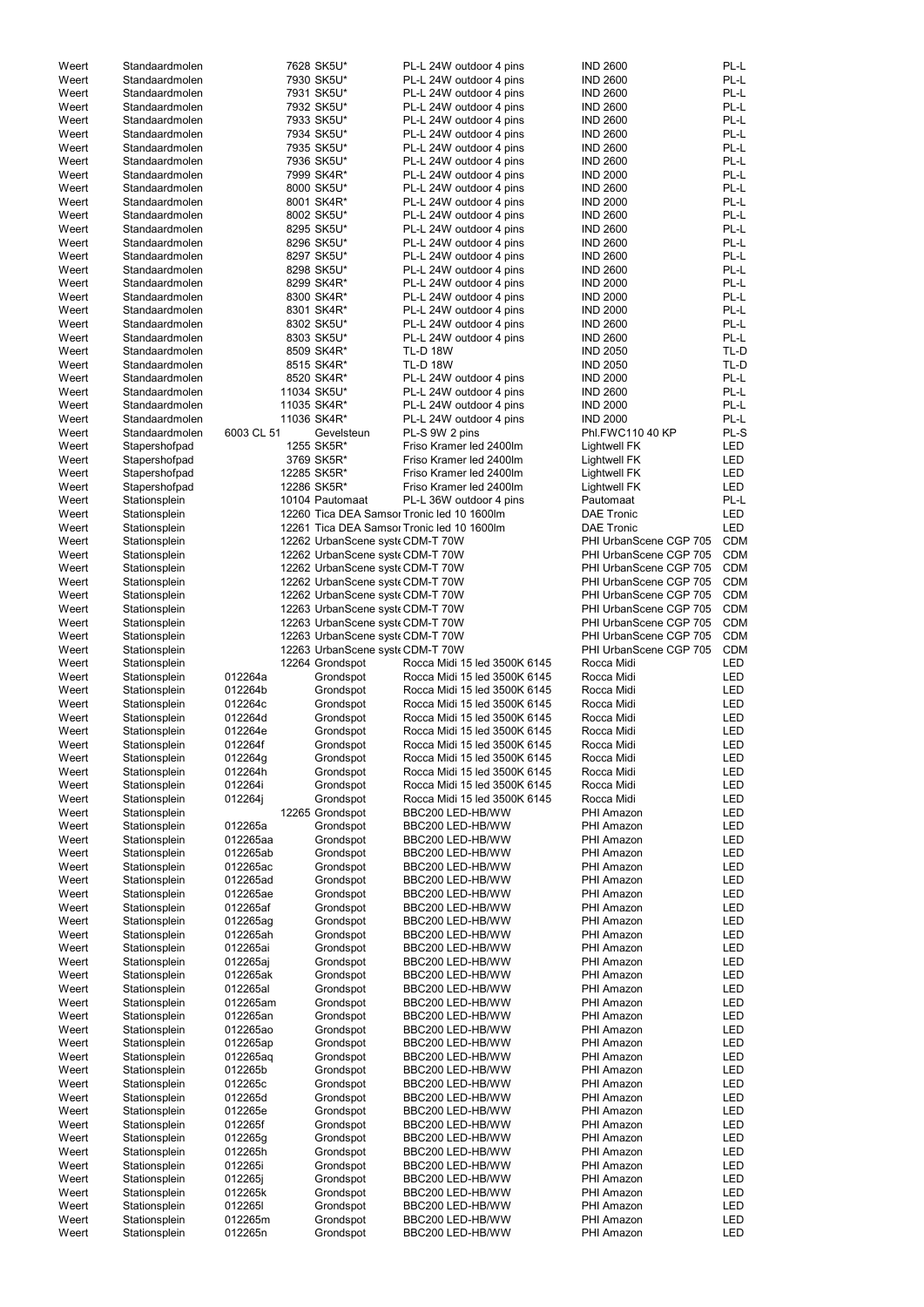| Weert | Standaardmolen |             | 7628 SK5U*                      | PL-L 24W outdoor 4 pins                    | <b>IND 2600</b>        | PL-L       |
|-------|----------------|-------------|---------------------------------|--------------------------------------------|------------------------|------------|
| Weert | Standaardmolen |             | 7930 SK5U*                      | PL-L 24W outdoor 4 pins                    | <b>IND 2600</b>        | PL-L       |
| Weert | Standaardmolen |             | 7931 SK5U*                      | PL-L 24W outdoor 4 pins                    | <b>IND 2600</b>        | PL-L       |
| Weert | Standaardmolen |             | 7932 SK5U*                      | PL-L 24W outdoor 4 pins                    | <b>IND 2600</b>        | PL-L       |
| Weert | Standaardmolen |             | 7933 SK5U*                      | PL-L 24W outdoor 4 pins                    | <b>IND 2600</b>        | PL-L       |
|       |                |             |                                 |                                            |                        |            |
| Weert | Standaardmolen |             | 7934 SK5U*                      | PL-L 24W outdoor 4 pins                    | <b>IND 2600</b>        | PL-L       |
| Weert | Standaardmolen |             | 7935 SK5U*                      | PL-L 24W outdoor 4 pins                    | <b>IND 2600</b>        | PL-L       |
| Weert | Standaardmolen |             | 7936 SK5U*                      | PL-L 24W outdoor 4 pins                    | <b>IND 2600</b>        | PL-L       |
| Weert | Standaardmolen |             | 7999 SK4R*                      | PL-L 24W outdoor 4 pins                    | <b>IND 2000</b>        | PL-L       |
|       |                |             |                                 |                                            |                        |            |
| Weert | Standaardmolen |             | 8000 SK5U*                      | PL-L 24W outdoor 4 pins                    | <b>IND 2600</b>        | PL-L       |
| Weert | Standaardmolen |             | 8001 SK4R*                      | PL-L 24W outdoor 4 pins                    | <b>IND 2000</b>        | PL-L       |
| Weert | Standaardmolen |             | 8002 SK5U*                      | PL-L 24W outdoor 4 pins                    | <b>IND 2600</b>        | PL-L       |
|       |                |             |                                 |                                            |                        |            |
| Weert | Standaardmolen |             | 8295 SK5U*                      | PL-L 24W outdoor 4 pins                    | <b>IND 2600</b>        | PL-L       |
| Weert | Standaardmolen |             | 8296 SK5U*                      | PL-L 24W outdoor 4 pins                    | <b>IND 2600</b>        | PL-L       |
| Weert | Standaardmolen |             | 8297 SK5U*                      | PL-L 24W outdoor 4 pins                    | <b>IND 2600</b>        | PL-L       |
| Weert | Standaardmolen |             | 8298 SK5U*                      | PL-L 24W outdoor 4 pins                    | <b>IND 2600</b>        | PL-L       |
|       |                |             |                                 |                                            |                        |            |
| Weert | Standaardmolen |             | 8299 SK4R*                      | PL-L 24W outdoor 4 pins                    | <b>IND 2000</b>        | PL-L       |
| Weert | Standaardmolen |             | 8300 SK4R*                      | PL-L 24W outdoor 4 pins                    | <b>IND 2000</b>        | PL-L       |
| Weert | Standaardmolen |             | 8301 SK4R*                      | PL-L 24W outdoor 4 pins                    | <b>IND 2000</b>        | PL-L       |
| Weert | Standaardmolen |             | 8302 SK5U*                      | PL-L 24W outdoor 4 pins                    | <b>IND 2600</b>        | PL-L       |
|       |                |             |                                 |                                            |                        |            |
| Weert | Standaardmolen |             | 8303 SK5U*                      | PL-L 24W outdoor 4 pins                    | <b>IND 2600</b>        | PL-L       |
| Weert | Standaardmolen |             | 8509 SK4R*                      | <b>TL-D 18W</b>                            | <b>IND 2050</b>        | TL-D       |
| Weert | Standaardmolen |             | 8515 SK4R*                      | <b>TL-D 18W</b>                            | <b>IND 2050</b>        | TL-D       |
| Weert | Standaardmolen |             |                                 |                                            | <b>IND 2000</b>        | PL-L       |
|       |                |             | 8520 SK4R*                      | PL-L 24W outdoor 4 pins                    |                        |            |
| Weert | Standaardmolen | 11034 SK5U* |                                 | PL-L 24W outdoor 4 pins                    | <b>IND 2600</b>        | PL-L       |
| Weert | Standaardmolen | 11035 SK4R* |                                 | PL-L 24W outdoor 4 pins                    | <b>IND 2000</b>        | PL-L       |
| Weert | Standaardmolen | 11036 SK4R* |                                 | PL-L 24W outdoor 4 pins                    | <b>IND 2000</b>        | PL-L       |
|       |                |             |                                 |                                            |                        |            |
| Weert | Standaardmolen | 6003 CL 51  | Gevelsteun                      | PL-S 9W 2 pins                             | Phl.FWC110 40 KP       | PL-S       |
| Weert | Stapershofpad  |             | 1255 SK5R*                      | Friso Kramer led 2400lm                    | Lightwell FK           | LED        |
| Weert | Stapershofpad  |             | 3769 SK5R*                      | Friso Kramer led 2400lm                    | <b>Lightwell FK</b>    | LED        |
| Weert | Stapershofpad  | 12285 SK5R* |                                 | Friso Kramer led 2400lm                    | <b>Lightwell FK</b>    | LED        |
|       |                |             |                                 |                                            |                        |            |
| Weert | Stapershofpad  | 12286 SK5R* |                                 | Friso Kramer led 2400lm                    | <b>Lightwell FK</b>    | <b>LED</b> |
| Weert | Stationsplein  |             | 10104 Pautomaat                 | PL-L 36W outdoor 4 pins                    | Pautomaat              | PL-L       |
| Weert | Stationsplein  |             |                                 | 12260 Tica DEA Samsor Tronic led 10 1600lm | <b>DAE Tronic</b>      | <b>LED</b> |
|       |                |             |                                 |                                            |                        |            |
| Weert | Stationsplein  |             |                                 | 12261 Tica DEA Samsor Tronic led 10 1600lm | <b>DAE Tronic</b>      | <b>LED</b> |
| Weert | Stationsplein  |             | 12262 UrbanScene syst CDM-T 70W |                                            | PHI UrbanScene CGP 705 | <b>CDM</b> |
| Weert | Stationsplein  |             | 12262 UrbanScene syst CDM-T 70W |                                            | PHI UrbanScene CGP 705 | <b>CDM</b> |
| Weert | Stationsplein  |             | 12262 UrbanScene syst CDM-T 70W |                                            | PHI UrbanScene CGP 705 | <b>CDM</b> |
|       |                |             |                                 |                                            |                        |            |
| Weert | Stationsplein  |             | 12262 UrbanScene syst CDM-T 70W |                                            | PHI UrbanScene CGP 705 | <b>CDM</b> |
| Weert | Stationsplein  |             | 12262 UrbanScene syst CDM-T 70W |                                            | PHI UrbanScene CGP 705 | <b>CDM</b> |
| Weert | Stationsplein  |             | 12263 UrbanScene syst CDM-T 70W |                                            | PHI UrbanScene CGP 705 | <b>CDM</b> |
|       |                |             |                                 |                                            |                        |            |
| Weert | Stationsplein  |             | 12263 UrbanScene syst CDM-T 70W |                                            | PHI UrbanScene CGP 705 | <b>CDM</b> |
|       |                |             |                                 |                                            |                        |            |
| Weert | Stationsplein  |             | 12263 UrbanScene syst CDM-T 70W |                                            | PHI UrbanScene CGP 705 | <b>CDM</b> |
|       |                |             |                                 |                                            |                        |            |
| Weert | Stationsplein  |             | 12263 UrbanScene syst CDM-T 70W |                                            | PHI UrbanScene CGP 705 | <b>CDM</b> |
| Weert | Stationsplein  |             | 12264 Grondspot                 | Rocca Midi 15 led 3500K 6145               | Rocca Midi             | LED        |
| Weert | Stationsplein  | 012264a     | Grondspot                       | Rocca Midi 15 led 3500K 6145               | Rocca Midi             | <b>LED</b> |
| Weert | Stationsplein  | 012264b     | Grondspot                       | Rocca Midi 15 led 3500K 6145               | Rocca Midi             | LED        |
|       |                |             |                                 |                                            |                        |            |
| Weert | Stationsplein  | 012264c     | Grondspot                       | Rocca Midi 15 led 3500K 6145               | Rocca Midi             | LED        |
| Weert | Stationsplein  | 012264d     | Grondspot                       | Rocca Midi 15 led 3500K 6145               | Rocca Midi             | LED        |
| Weert | Stationsplein  | 012264e     | Grondspot                       | Rocca Midi 15 led 3500K 6145               | Rocca Midi             | <b>LED</b> |
| Weert |                | 012264f     | Grondspot                       | Rocca Midi 15 led 3500K 6145               | Rocca Midi             | LED        |
|       | Stationsplein  |             |                                 |                                            |                        |            |
| Weert | Stationsplein  | 012264g     | Grondspot                       | Rocca Midi 15 led 3500K 6145               | Rocca Midi             | LED        |
| Weert | Stationsplein  | 012264h     | Grondspot                       | Rocca Midi 15 led 3500K 6145               | Rocca Midi             | LED        |
| Weert | Stationsplein  | 012264i     | Grondspot                       | Rocca Midi 15 led 3500K 6145               | Rocca Midi             | LED        |
|       |                |             |                                 |                                            |                        |            |
| Weert | Stationsplein  | 012264j     | Grondspot                       | Rocca Midi 15 led 3500K 6145               | Rocca Midi             | LED        |
| Weert | Stationsplein  |             | 12265 Grondspot                 | BBC200 LED-HB/WW                           | PHI Amazon             | LED        |
| Weert | Stationsplein  | 012265a     | Grondspot                       | BBC200 LED-HB/WW                           | PHI Amazon             | LED        |
| Weert | Stationsplein  | 012265aa    | Grondspot                       | BBC200 LED-HB/WW                           | PHI Amazon             | LED        |
|       |                |             |                                 |                                            |                        |            |
| Weert | Stationsplein  | 012265ab    | Grondspot                       | BBC200 LED-HB/WW                           | PHI Amazon             | LED        |
| Weert | Stationsplein  | 012265ac    | Grondspot                       | BBC200 LED-HB/WW                           | PHI Amazon             | LED        |
| Weert | Stationsplein  | 012265ad    | Grondspot                       | BBC200 LED-HB/WW                           | PHI Amazon             | LED        |
| Weert | Stationsplein  | 012265ae    | Grondspot                       | BBC200 LED-HB/WW                           | PHI Amazon             | LED        |
|       |                |             |                                 |                                            |                        |            |
| Weert | Stationsplein  | 012265af    | Grondspot                       | BBC200 LED-HB/WW                           | PHI Amazon             | LED        |
| Weert | Stationsplein  | 012265ag    | Grondspot                       | BBC200 LED-HB/WW                           | PHI Amazon             | LED        |
| Weert | Stationsplein  | 012265ah    | Grondspot                       | BBC200 LED-HB/WW                           | PHI Amazon             | LED        |
| Weert | Stationsplein  | 012265ai    | Grondspot                       | BBC200 LED-HB/WW                           | PHI Amazon             | LED        |
|       |                |             |                                 | BBC200 LED-HB/WW                           | PHI Amazon             |            |
| Weert | Stationsplein  | 012265aj    | Grondspot                       |                                            |                        | <b>LED</b> |
| Weert | Stationsplein  | 012265ak    | Grondspot                       | BBC200 LED-HB/WW                           | PHI Amazon             | LED        |
| Weert | Stationsplein  | 012265al    | Grondspot                       | BBC200 LED-HB/WW                           | PHI Amazon             | LED        |
| Weert | Stationsplein  | 012265am    | Grondspot                       | BBC200 LED-HB/WW                           | PHI Amazon             | LED        |
|       |                |             |                                 |                                            |                        |            |
| Weert | Stationsplein  | 012265an    | Grondspot                       | BBC200 LED-HB/WW                           | PHI Amazon             | LED        |
| Weert | Stationsplein  | 012265ao    | Grondspot                       | BBC200 LED-HB/WW                           | PHI Amazon             | LED        |
| Weert | Stationsplein  | 012265ap    | Grondspot                       | BBC200 LED-HB/WW                           | PHI Amazon             | LED        |
|       |                |             |                                 |                                            |                        |            |
| Weert | Stationsplein  | 012265aq    | Grondspot                       | BBC200 LED-HB/WW                           | PHI Amazon             | LED        |
| Weert | Stationsplein  | 012265b     | Grondspot                       | BBC200 LED-HB/WW                           | PHI Amazon             | LED        |
| Weert | Stationsplein  | 012265c     | Grondspot                       | BBC200 LED-HB/WW                           | PHI Amazon             | LED        |
| Weert | Stationsplein  | 012265d     | Grondspot                       | BBC200 LED-HB/WW                           | PHI Amazon             | LED        |
|       |                |             |                                 |                                            |                        |            |
| Weert | Stationsplein  | 012265e     | Grondspot                       | BBC200 LED-HB/WW                           | PHI Amazon             | LED        |
| Weert | Stationsplein  | 012265f     | Grondspot                       | BBC200 LED-HB/WW                           | PHI Amazon             | LED        |
| Weert | Stationsplein  | 012265g     | Grondspot                       | BBC200 LED-HB/WW                           | PHI Amazon             | LED        |
|       |                | 012265h     |                                 | BBC200 LED-HB/WW                           | PHI Amazon             |            |
| Weert | Stationsplein  |             | Grondspot                       |                                            |                        | LED        |
| Weert | Stationsplein  | 012265i     | Grondspot                       | BBC200 LED-HB/WW                           | PHI Amazon             | <b>LED</b> |
| Weert | Stationsplein  | 012265i     | Grondspot                       | BBC200 LED-HB/WW                           | PHI Amazon             | <b>LED</b> |
| Weert | Stationsplein  | 012265k     | Grondspot                       | BBC200 LED-HB/WW                           | PHI Amazon             | LED        |
|       |                |             |                                 |                                            |                        |            |
| Weert | Stationsplein  | 0122651     | Grondspot                       | BBC200 LED-HB/WW                           | PHI Amazon             | <b>LED</b> |
| Weert | Stationsplein  | 012265m     | Grondspot                       | BBC200 LED-HB/WW                           | PHI Amazon             | LED        |
| Weert | Stationsplein  | 012265n     | Grondspot                       | BBC200 LED-HB/WW                           | PHI Amazon             | <b>LED</b> |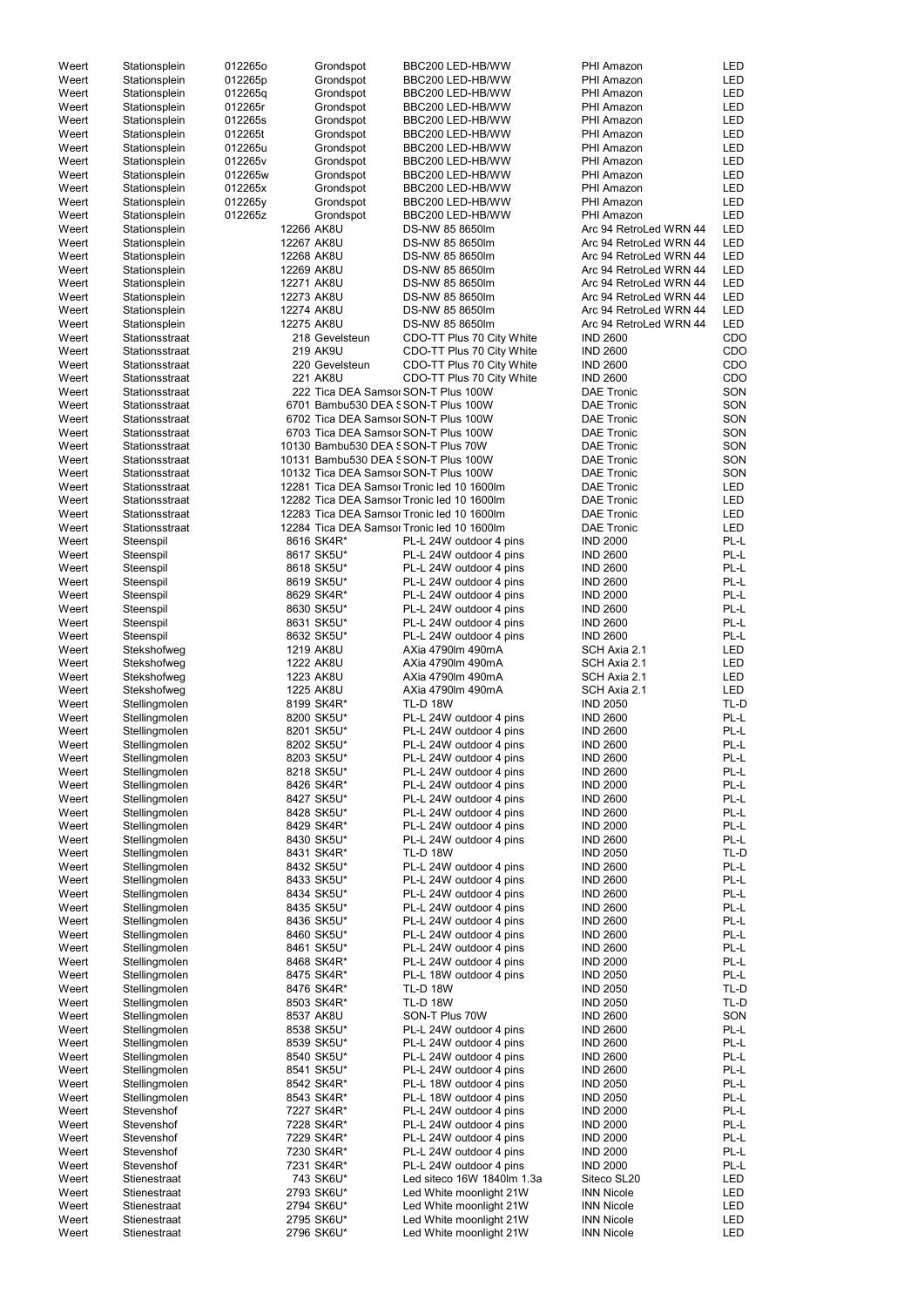| Weert | Stationsplein  | 012265o |            | Grondspot      | BBC200 LED-HB/WW                           | PHI Amazon             | LED        |
|-------|----------------|---------|------------|----------------|--------------------------------------------|------------------------|------------|
| Weert | Stationsplein  | 012265p |            | Grondspot      | BBC200 LED-HB/WW                           | PHI Amazon             | LED        |
|       |                |         |            |                |                                            |                        |            |
| Weert | Stationsplein  | 012265q |            | Grondspot      | BBC200 LED-HB/WW                           | PHI Amazon             | LED        |
| Weert | Stationsplein  | 012265r |            | Grondspot      | BBC200 LED-HB/WW                           | PHI Amazon             | LED        |
| Weert | Stationsplein  | 012265s |            | Grondspot      | BBC200 LED-HB/WW                           | PHI Amazon             | LED        |
| Weert | Stationsplein  | 012265t |            | Grondspot      | BBC200 LED-HB/WW                           | PHI Amazon             | LED        |
| Weert | Stationsplein  | 012265u |            | Grondspot      | BBC200 LED-HB/WW                           | PHI Amazon             | LED        |
| Weert | Stationsplein  | 012265v |            | Grondspot      | BBC200 LED-HB/WW                           | PHI Amazon             | LED        |
|       |                |         |            |                |                                            |                        |            |
| Weert | Stationsplein  | 012265w |            | Grondspot      | BBC200 LED-HB/WW                           | PHI Amazon             | LED        |
| Weert | Stationsplein  | 012265x |            | Grondspot      | BBC200 LED-HB/WW                           | PHI Amazon             | LED        |
| Weert | Stationsplein  | 012265y |            | Grondspot      | BBC200 LED-HB/WW                           | PHI Amazon             | LED        |
| Weert | Stationsplein  | 012265z |            | Grondspot      | BBC200 LED-HB/WW                           | PHI Amazon             | LED        |
|       |                |         |            |                |                                            |                        |            |
| Weert | Stationsplein  |         | 12266 AK8U |                | DS-NW 85 8650lm                            | Arc 94 RetroLed WRN 44 | <b>LED</b> |
| Weert | Stationsplein  |         | 12267 AK8U |                | DS-NW 85 8650lm                            | Arc 94 RetroLed WRN 44 | <b>LED</b> |
| Weert | Stationsplein  |         | 12268 AK8U |                | DS-NW 85 8650lm                            | Arc 94 RetroLed WRN 44 | LED        |
| Weert | Stationsplein  |         | 12269 AK8U |                | DS-NW 85 8650lm                            | Arc 94 RetroLed WRN 44 | LED        |
| Weert | Stationsplein  |         | 12271 AK8U |                | DS-NW 85 8650lm                            | Arc 94 RetroLed WRN 44 | <b>LED</b> |
|       |                |         |            |                |                                            |                        |            |
| Weert | Stationsplein  |         | 12273 AK8U |                | DS-NW 85 8650lm                            | Arc 94 RetroLed WRN 44 | <b>LED</b> |
| Weert | Stationsplein  |         | 12274 AK8U |                | DS-NW 85 8650lm                            | Arc 94 RetroLed WRN 44 | <b>LED</b> |
| Weert | Stationsplein  |         | 12275 AK8U |                | DS-NW 85 8650lm                            | Arc 94 RetroLed WRN 44 | <b>LED</b> |
| Weert | Stationsstraat |         |            | 218 Gevelsteun | CDO-TT Plus 70 City White                  | <b>IND 2600</b>        | CDO        |
| Weert | Stationsstraat |         |            | 219 AK9U       | CDO-TT Plus 70 City White                  | <b>IND 2600</b>        | CDO        |
|       |                |         |            |                |                                            |                        |            |
| Weert | Stationsstraat |         |            | 220 Gevelsteun | CDO-TT Plus 70 City White                  | <b>IND 2600</b>        | CDO        |
| Weert | Stationsstraat |         |            | 221 AK8U       | CDO-TT Plus 70 City White                  | <b>IND 2600</b>        | CDO        |
| Weert | Stationsstraat |         |            |                | 222 Tica DEA Samsor SON-T Plus 100W        | <b>DAE Tronic</b>      | SON        |
| Weert | Stationsstraat |         |            |                | 6701 Bambu530 DEA SSON-T Plus 100W         | <b>DAE Tronic</b>      | SON        |
|       |                |         |            |                |                                            |                        |            |
| Weert | Stationsstraat |         |            |                | 6702 Tica DEA Samsor SON-T Plus 100W       | <b>DAE Tronic</b>      | SON        |
| Weert | Stationsstraat |         |            |                | 6703 Tica DEA Samsor SON-T Plus 100W       | <b>DAE Tronic</b>      | SON        |
| Weert | Stationsstraat |         |            |                | 10130 Bambu530 DEA SSON-T Plus 70W         | <b>DAE Tronic</b>      | SON        |
| Weert | Stationsstraat |         |            |                | 10131 Bambu530 DEA SSON-T Plus 100W        | <b>DAE Tronic</b>      | SON        |
| Weert | Stationsstraat |         |            |                | 10132 Tica DEA Samsor SON-T Plus 100W      | <b>DAE Tronic</b>      | SON        |
|       |                |         |            |                |                                            |                        |            |
| Weert | Stationsstraat |         |            |                | 12281 Tica DEA Samsor Tronic led 10 1600lm | <b>DAE Tronic</b>      | LED        |
| Weert | Stationsstraat |         |            |                | 12282 Tica DEA Samsor Tronic led 10 1600lm | <b>DAE Tronic</b>      | LED        |
| Weert | Stationsstraat |         |            |                | 12283 Tica DEA Samsor Tronic led 10 1600lm | <b>DAE Tronic</b>      | LED        |
| Weert | Stationsstraat |         |            |                | 12284 Tica DEA Samsor Tronic led 10 1600lm | <b>DAE Tronic</b>      | LED        |
| Weert | Steenspil      |         |            | 8616 SK4R*     | PL-L 24W outdoor 4 pins                    | <b>IND 2000</b>        | PL-L       |
|       |                |         |            |                |                                            | <b>IND 2600</b>        |            |
| Weert | Steenspil      |         |            | 8617 SK5U*     | PL-L 24W outdoor 4 pins                    |                        | PL-L       |
| Weert | Steenspil      |         |            | 8618 SK5U*     | PL-L 24W outdoor 4 pins                    | <b>IND 2600</b>        | PL-L       |
| Weert | Steenspil      |         |            | 8619 SK5U*     | PL-L 24W outdoor 4 pins                    | <b>IND 2600</b>        | PL-L       |
| Weert | Steenspil      |         |            | 8629 SK4R*     | PL-L 24W outdoor 4 pins                    | <b>IND 2000</b>        | PL-L       |
| Weert | Steenspil      |         |            | 8630 SK5U*     | PL-L 24W outdoor 4 pins                    | <b>IND 2600</b>        | PL-L       |
| Weert | Steenspil      |         |            |                |                                            | <b>IND 2600</b>        | PL-L       |
|       |                |         |            | 8631 SK5U*     | PL-L 24W outdoor 4 pins                    |                        |            |
| Weert | Steenspil      |         |            | 8632 SK5U*     | PL-L 24W outdoor 4 pins                    | <b>IND 2600</b>        | PL-L       |
| Weert | Stekshofweg    |         |            | 1219 AK8U      | AXia 4790lm 490mA                          | SCH Axia 2.1           | LED        |
| Weert | Stekshofweg    |         |            | 1222 AK8U      | AXia 4790lm 490mA                          | SCH Axia 2.1           | LED        |
| Weert | Stekshofweg    |         |            | 1223 AK8U      | AXia 4790lm 490mA                          | SCH Axia 2.1           | LED        |
|       |                |         |            |                |                                            |                        |            |
| Weert | Stekshofweg    |         |            | 1225 AK8U      | AXia 4790lm 490mA                          | SCH Axia 2.1           | <b>LED</b> |
| Weert | Stellingmolen  |         |            | 8199 SK4R*     | <b>TL-D 18W</b>                            | <b>IND 2050</b>        | TL-D       |
| Weert | Stellingmolen  |         |            | 8200 SK5U*     | PL-L 24W outdoor 4 pins                    | <b>IND 2600</b>        | PL-L       |
| Weert | Stellingmolen  |         |            | 8201 SK5U*     | PL-L 24W outdoor 4 pins                    | <b>IND 2600</b>        | PL-L       |
| Weert | Stellingmolen  |         |            | 8202 SK5U*     | PL-L 24W outdoor 4 pins                    | <b>IND 2600</b>        | PL-L       |
|       |                |         |            |                |                                            |                        | PL-L       |
| Weert | Stellingmolen  |         |            | 8203 SK5U*     | PL-L 24W outdoor 4 pins                    | <b>IND 2600</b>        |            |
| Weert | Stellingmolen  |         |            | 8218 SK5U*     | PL-L 24W outdoor 4 pins                    | <b>IND 2600</b>        | PL-L       |
| Weert | Stellingmolen  |         |            | 8426 SK4R*     | PL-L 24W outdoor 4 pins                    | <b>IND 2000</b>        | PL-L       |
| Weert | Stellingmolen  |         |            | 8427 SK5U*     | PL-L 24W outdoor 4 pins                    | <b>IND 2600</b>        | PL-L       |
| Weert | Stellingmolen  |         |            | 8428 SK5U*     | PL-L 24W outdoor 4 pins                    | <b>IND 2600</b>        | PL-L       |
| Weert | Stellingmolen  |         |            | 8429 SK4R*     | PL-L 24W outdoor 4 pins                    | <b>IND 2000</b>        | PL-L       |
|       |                |         |            |                |                                            |                        | PL-L       |
| Weert | Stellingmolen  |         |            | 8430 SK5U*     | PL-L 24W outdoor 4 pins                    | <b>IND 2600</b>        |            |
| Weert | Stellingmolen  |         |            | 8431 SK4R*     | <b>TL-D 18W</b>                            | <b>IND 2050</b>        | TL-D       |
| Weert | Stellingmolen  |         |            | 8432 SK5U*     | PL-L 24W outdoor 4 pins                    | <b>IND 2600</b>        | PL-L       |
| Weert | Stellingmolen  |         |            | 8433 SK5U*     | PL-L 24W outdoor 4 pins                    | <b>IND 2600</b>        | PL-L       |
| Weert | Stellingmolen  |         |            | 8434 SK5U*     | PL-L 24W outdoor 4 pins                    | <b>IND 2600</b>        | PL-L       |
| Weert |                |         |            | 8435 SK5U*     | PL-L 24W outdoor 4 pins                    | <b>IND 2600</b>        | PL-L       |
|       | Stellingmolen  |         |            |                |                                            |                        |            |
| Weert | Stellingmolen  |         |            | 8436 SK5U*     | PL-L 24W outdoor 4 pins                    | <b>IND 2600</b>        | PL-L       |
| Weert | Stellingmolen  |         |            | 8460 SK5U*     | PL-L 24W outdoor 4 pins                    | <b>IND 2600</b>        | PL-L       |
| Weert | Stellingmolen  |         |            | 8461 SK5U*     | PL-L 24W outdoor 4 pins                    | <b>IND 2600</b>        | PL-L       |
| Weert | Stellingmolen  |         |            | 8468 SK4R*     | PL-L 24W outdoor 4 pins                    | <b>IND 2000</b>        | PL-L       |
| Weert | Stellingmolen  |         |            | 8475 SK4R*     | PL-L 18W outdoor 4 pins                    | <b>IND 2050</b>        | PL-L       |
|       |                |         |            |                |                                            |                        | TL-D       |
| Weert | Stellingmolen  |         |            | 8476 SK4R*     | <b>TL-D 18W</b>                            | <b>IND 2050</b>        |            |
| Weert | Stellingmolen  |         |            | 8503 SK4R*     | <b>TL-D 18W</b>                            | <b>IND 2050</b>        | TL-D       |
| Weert | Stellingmolen  |         |            | 8537 AK8U      | SON-T Plus 70W                             | <b>IND 2600</b>        | SON        |
| Weert | Stellingmolen  |         |            | 8538 SK5U*     | PL-L 24W outdoor 4 pins                    | <b>IND 2600</b>        | PL-L       |
| Weert | Stellingmolen  |         |            | 8539 SK5U*     | PL-L 24W outdoor 4 pins                    | <b>IND 2600</b>        | PL-L       |
| Weert | Stellingmolen  |         |            | 8540 SK5U*     | PL-L 24W outdoor 4 pins                    | <b>IND 2600</b>        | PL-L       |
|       |                |         |            |                |                                            |                        |            |
| Weert | Stellingmolen  |         |            | 8541 SK5U*     | PL-L 24W outdoor 4 pins                    | <b>IND 2600</b>        | PL-L       |
| Weert | Stellingmolen  |         |            | 8542 SK4R*     | PL-L 18W outdoor 4 pins                    | <b>IND 2050</b>        | PL-L       |
| Weert | Stellingmolen  |         |            | 8543 SK4R*     | PL-L 18W outdoor 4 pins                    | <b>IND 2050</b>        | PL-L       |
| Weert | Stevenshof     |         |            | 7227 SK4R*     | PL-L 24W outdoor 4 pins                    | <b>IND 2000</b>        | PL-L       |
| Weert | Stevenshof     |         |            | 7228 SK4R*     | PL-L 24W outdoor 4 pins                    | <b>IND 2000</b>        | PL-L       |
|       |                |         |            |                |                                            |                        |            |
| Weert | Stevenshof     |         |            | 7229 SK4R*     | PL-L 24W outdoor 4 pins                    | <b>IND 2000</b>        | PL-L       |
| Weert | Stevenshof     |         |            | 7230 SK4R*     | PL-L 24W outdoor 4 pins                    | <b>IND 2000</b>        | PL-L       |
| Weert | Stevenshof     |         |            | 7231 SK4R*     | PL-L 24W outdoor 4 pins                    | <b>IND 2000</b>        | PL-L       |
| Weert | Stienestraat   |         |            | 743 SK6U*      | Led siteco 16W 1840lm 1.3a                 | Siteco SL20            | LED        |
| Weert | Stienestraat   |         |            | 2793 SK6U*     | Led White moonlight 21W                    | <b>INN Nicole</b>      | LED        |
| Weert | Stienestraat   |         |            | 2794 SK6U*     |                                            | <b>INN Nicole</b>      | LED        |
|       |                |         |            |                | Led White moonlight 21W                    |                        |            |
| Weert | Stienestraat   |         |            | 2795 SK6U*     | Led White moonlight 21W                    | <b>INN Nicole</b>      | LED        |
| Weert | Stienestraat   |         |            | 2796 SK6U*     | Led White moonlight 21W                    | <b>INN Nicole</b>      | LED        |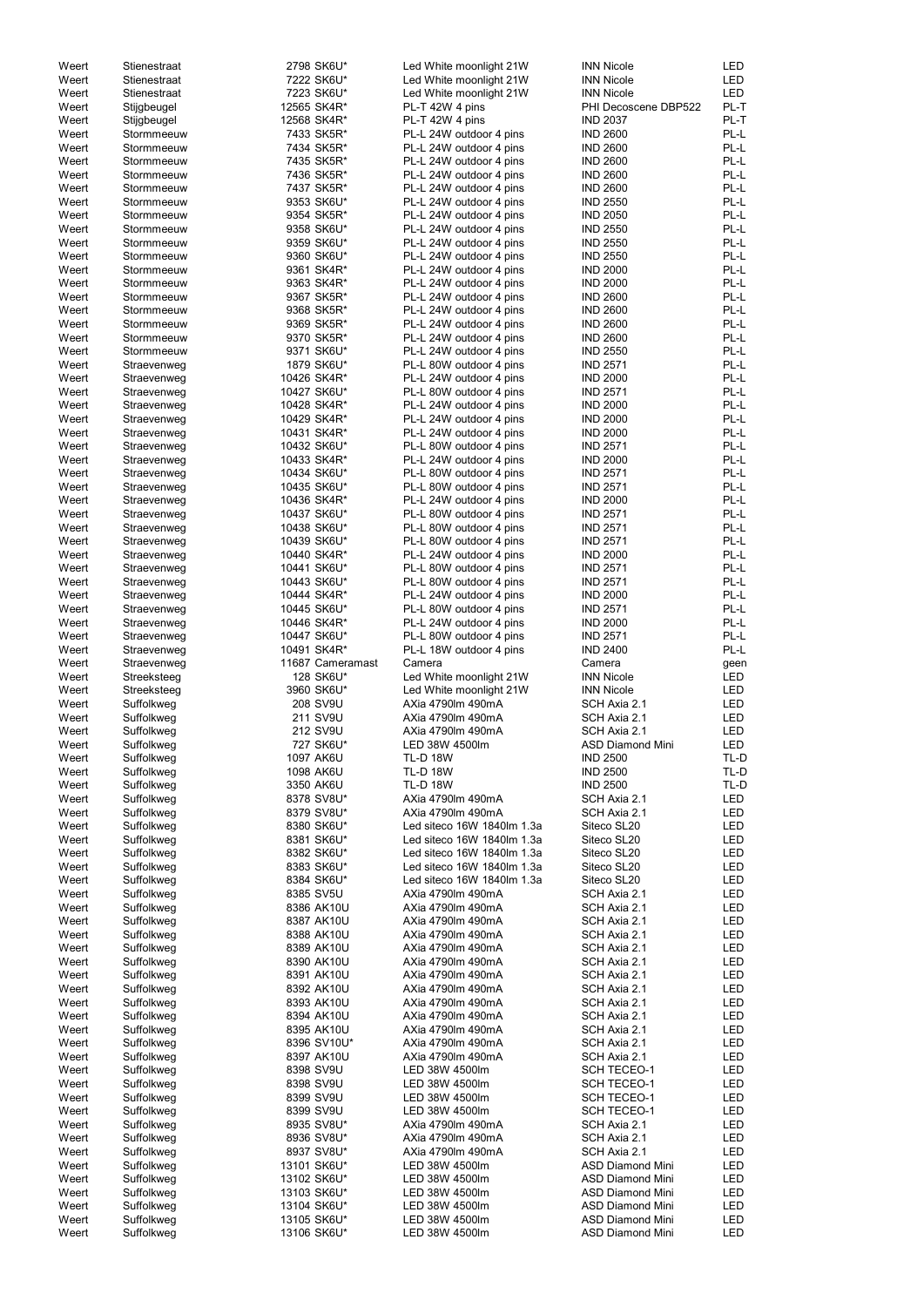| Weert | Stienestraat | 2798 SK6U*       | Led White moonlight 21W    | <b>INN Nicole</b>       | <b>LED</b> |
|-------|--------------|------------------|----------------------------|-------------------------|------------|
| Weert | Stienestraat | 7222 SK6U*       | Led White moonlight 21W    | <b>INN Nicole</b>       | <b>LED</b> |
|       |              |                  |                            |                         |            |
| Weert | Stienestraat | 7223 SK6U*       | Led White moonlight 21W    | <b>INN Nicole</b>       | <b>LED</b> |
| Weert | Stijgbeugel  | 12565 SK4R*      | PL-T 42W 4 pins            | PHI Decoscene DBP522    | PL-T       |
| Weert | Stijgbeugel  | 12568 SK4R*      | PL-T 42W 4 pins            | <b>IND 2037</b>         | PL-T       |
| Weert | Stormmeeuw   | 7433 SK5R*       | PL-L 24W outdoor 4 pins    | <b>IND 2600</b>         | PL-L       |
|       |              |                  |                            |                         |            |
| Weert | Stormmeeuw   | 7434 SK5R*       | PL-L 24W outdoor 4 pins    | <b>IND 2600</b>         | PL-L       |
| Weert | Stormmeeuw   | 7435 SK5R*       | PL-L 24W outdoor 4 pins    | <b>IND 2600</b>         | PL-L       |
| Weert | Stormmeeuw   | 7436 SK5R*       | PL-L 24W outdoor 4 pins    | <b>IND 2600</b>         | PL-L       |
| Weert |              |                  |                            |                         | PL-L       |
|       | Stormmeeuw   | 7437 SK5R*       | PL-L 24W outdoor 4 pins    | <b>IND 2600</b>         |            |
| Weert | Stormmeeuw   | 9353 SK6U*       | PL-L 24W outdoor 4 pins    | <b>IND 2550</b>         | PL-L       |
| Weert | Stormmeeuw   | 9354 SK5R*       | PL-L 24W outdoor 4 pins    | <b>IND 2050</b>         | PL-L       |
| Weert | Stormmeeuw   | 9358 SK6U*       | PL-L 24W outdoor 4 pins    | <b>IND 2550</b>         | PL-L       |
|       |              |                  |                            |                         |            |
| Weert | Stormmeeuw   | 9359 SK6U*       | PL-L 24W outdoor 4 pins    | <b>IND 2550</b>         | PL-L       |
| Weert | Stormmeeuw   | 9360 SK6U*       | PL-L 24W outdoor 4 pins    | <b>IND 2550</b>         | PL-L       |
| Weert | Stormmeeuw   | 9361 SK4R*       | PL-L 24W outdoor 4 pins    | <b>IND 2000</b>         | PL-L       |
| Weert | Stormmeeuw   | 9363 SK4R*       | PL-L 24W outdoor 4 pins    | <b>IND 2000</b>         | PL-L       |
|       |              |                  |                            |                         |            |
| Weert | Stormmeeuw   | 9367 SK5R*       | PL-L 24W outdoor 4 pins    | <b>IND 2600</b>         | PL-L       |
| Weert | Stormmeeuw   | 9368 SK5R*       | PL-L 24W outdoor 4 pins    | <b>IND 2600</b>         | PL-L       |
| Weert | Stormmeeuw   | 9369 SK5R*       | PL-L 24W outdoor 4 pins    | <b>IND 2600</b>         | PL-L       |
| Weert | Stormmeeuw   | 9370 SK5R*       | PL-L 24W outdoor 4 pins    | <b>IND 2600</b>         | PL-L       |
|       |              |                  |                            |                         |            |
| Weert | Stormmeeuw   | 9371 SK6U*       | PL-L 24W outdoor 4 pins    | <b>IND 2550</b>         | PL-L       |
| Weert | Straevenweg  | 1879 SK6U*       | PL-L 80W outdoor 4 pins    | <b>IND 2571</b>         | PL-L       |
| Weert | Straevenweg  | 10426 SK4R*      | PL-L 24W outdoor 4 pins    | <b>IND 2000</b>         | PL-L       |
| Weert |              | 10427 SK6U*      | PL-L 80W outdoor 4 pins    | <b>IND 2571</b>         | PL-L       |
|       | Straevenweg  |                  |                            |                         |            |
| Weert | Straevenweg  | 10428 SK4R*      | PL-L 24W outdoor 4 pins    | <b>IND 2000</b>         | PL-L       |
| Weert | Straevenweg  | 10429 SK4R*      | PL-L 24W outdoor 4 pins    | <b>IND 2000</b>         | PL-L       |
| Weert | Straevenweg  | 10431 SK4R*      | PL-L 24W outdoor 4 pins    | <b>IND 2000</b>         | PL-L       |
|       |              |                  |                            |                         |            |
| Weert | Straevenweg  | 10432 SK6U*      | PL-L 80W outdoor 4 pins    | <b>IND 2571</b>         | PL-L       |
| Weert | Straevenweg  | 10433 SK4R*      | PL-L 24W outdoor 4 pins    | <b>IND 2000</b>         | PL-L       |
| Weert | Straevenweg  | 10434 SK6U*      | PL-L 80W outdoor 4 pins    | <b>IND 2571</b>         | PL-L       |
| Weert | Straevenweg  | 10435 SK6U*      | PL-L 80W outdoor 4 pins    | <b>IND 2571</b>         | PL-L       |
|       |              |                  |                            |                         |            |
| Weert | Straevenweg  | 10436 SK4R*      | PL-L 24W outdoor 4 pins    | <b>IND 2000</b>         | PL-L       |
| Weert | Straevenweg  | 10437 SK6U*      | PL-L 80W outdoor 4 pins    | <b>IND 2571</b>         | PL-L       |
| Weert | Straevenweg  | 10438 SK6U*      | PL-L 80W outdoor 4 pins    | <b>IND 2571</b>         | PL-L       |
|       |              |                  |                            |                         |            |
| Weert | Straevenweg  | 10439 SK6U*      | PL-L 80W outdoor 4 pins    | <b>IND 2571</b>         | PL-L       |
| Weert | Straevenweg  | 10440 SK4R*      | PL-L 24W outdoor 4 pins    | <b>IND 2000</b>         | PL-L       |
| Weert | Straevenweg  | 10441 SK6U*      | PL-L 80W outdoor 4 pins    | <b>IND 2571</b>         | PL-L       |
| Weert | Straevenweg  | 10443 SK6U*      | PL-L 80W outdoor 4 pins    | <b>IND 2571</b>         | PL-L       |
|       |              |                  |                            |                         |            |
| Weert | Straevenweg  | 10444 SK4R*      | PL-L 24W outdoor 4 pins    | <b>IND 2000</b>         | PL-L       |
| Weert | Straevenweg  | 10445 SK6U*      | PL-L 80W outdoor 4 pins    | <b>IND 2571</b>         | PL-L       |
| Weert | Straevenweg  | 10446 SK4R*      | PL-L 24W outdoor 4 pins    | <b>IND 2000</b>         | PL-L       |
|       |              |                  |                            |                         | PL-L       |
| Weert | Straevenweg  | 10447 SK6U*      | PL-L 80W outdoor 4 pins    | <b>IND 2571</b>         |            |
| Weert | Straevenweg  | 10491 SK4R*      | PL-L 18W outdoor 4 pins    | <b>IND 2400</b>         | PL-L       |
| Weert | Straevenweg  | 11687 Cameramast | Camera                     | Camera                  | geen       |
| Weert | Streeksteeg  | 128 SK6U*        | Led White moonlight 21W    | <b>INN Nicole</b>       | LED        |
|       |              |                  |                            |                         |            |
| Weert | Streeksteeg  | 3960 SK6U*       | Led White moonlight 21W    | <b>INN Nicole</b>       | LED        |
| Weert | Suffolkweg   | 208 SV9U         | AXia 4790lm 490mA          | SCH Axia 2.1            | <b>LED</b> |
| Weert | Suffolkweg   | 211 SV9U         | AXia 4790lm 490mA          | SCH Axia 2.1            | <b>LED</b> |
| Weert | Suffolkweg   | 212 SV9U         | AXia 4790lm 490mA          | SCH Axia 2.1            | <b>LED</b> |
|       |              |                  |                            |                         |            |
| Weert | Suffolkweg   | 727 SK6U*        | LED 38W 4500lm             | <b>ASD Diamond Mini</b> | <b>LED</b> |
| Weert | Suffolkweg   | 1097 AK6U        | <b>TL-D 18W</b>            | <b>IND 2500</b>         | TL-D       |
| Weert | Suffolkweg   | 1098 AK6U        | <b>TL-D 18W</b>            | <b>IND 2500</b>         | TL-D       |
|       |              |                  |                            |                         |            |
| Weert | Suffolkweg   | 3350 AK6U        | <b>TL-D 18W</b>            | <b>IND 2500</b>         | TL-D       |
| Weert | Suffolkweg   | 8378 SV8U*       | AXia 4790lm 490mA          | SCH Axia 2.1            | <b>LED</b> |
| Weert | Suffolkweg   | 8379 SV8U*       | AXia 4790lm 490mA          | SCH Axia 2.1            | <b>LED</b> |
| Weert | Suffolkweg   | 8380 SK6U*       | Led siteco 16W 1840lm 1.3a | Siteco SL20             | <b>LED</b> |
| Weert | Suffolkweg   | 8381 SK6U*       | Led siteco 16W 1840lm 1.3a | Siteco SL20             | LED        |
|       |              |                  |                            |                         |            |
| Weert | Suffolkweg   | 8382 SK6U*       | Led siteco 16W 1840lm 1.3a | Siteco SL20             | <b>LED</b> |
| Weert | Suffolkweg   | 8383 SK6U*       | Led siteco 16W 1840lm 1.3a | Siteco SL20             | <b>LED</b> |
| Weert | Suffolkweg   | 8384 SK6U*       | Led siteco 16W 1840lm 1.3a | Siteco SL20             | <b>LED</b> |
| Weert | Suffolkweg   | 8385 SV5U        | AXia 4790lm 490mA          | SCH Axia 2.1            | <b>LED</b> |
|       |              |                  |                            |                         |            |
| Weert | Suffolkweg   | 8386 AK10U       | AXia 4790lm 490mA          | SCH Axia 2.1            | <b>LED</b> |
| Weert | Suffolkweg   | 8387 AK10U       | AXia 4790lm 490mA          | SCH Axia 2.1            | <b>LED</b> |
| Weert | Suffolkweg   | 8388 AK10U       | AXia 4790lm 490mA          | SCH Axia 2.1            | <b>LED</b> |
| Weert | Suffolkweg   | 8389 AK10U       | AXia 4790lm 490mA          | SCH Axia 2.1            | <b>LED</b> |
|       |              |                  |                            |                         |            |
| Weert | Suffolkweg   | 8390 AK10U       | AXia 4790lm 490mA          | SCH Axia 2.1            | <b>LED</b> |
| Weert | Suffolkweg   | 8391 AK10U       | AXia 4790lm 490mA          | SCH Axia 2.1            | <b>LED</b> |
| Weert | Suffolkweg   | 8392 AK10U       | AXia 4790lm 490mA          | SCH Axia 2.1            | <b>LED</b> |
| Weert | Suffolkweg   | 8393 AK10U       | AXia 4790lm 490mA          | SCH Axia 2.1            | <b>LED</b> |
|       |              |                  |                            |                         |            |
| Weert | Suffolkweg   | 8394 AK10U       | AXia 4790lm 490mA          | SCH Axia 2.1            | <b>LED</b> |
| Weert | Suffolkweg   | 8395 AK10U       | AXia 4790lm 490mA          | SCH Axia 2.1            | <b>LED</b> |
| Weert | Suffolkweg   | 8396 SV10U*      | AXia 4790lm 490mA          | SCH Axia 2.1            | <b>LED</b> |
|       | Suffolkweg   | 8397 AK10U       |                            |                         |            |
| Weert |              |                  | AXia 4790lm 490mA          | SCH Axia 2.1            | LED        |
| Weert | Suffolkweg   | 8398 SV9U        | LED 38W 4500lm             | <b>SCH TECEO-1</b>      | LED        |
| Weert | Suffolkweg   | 8398 SV9U        | LED 38W 4500lm             | <b>SCH TECEO-1</b>      | LED        |
| Weert | Suffolkweg   | 8399 SV9U        | LED 38W 4500lm             | <b>SCH TECEO-1</b>      | LED        |
|       |              |                  |                            |                         |            |
| Weert | Suffolkweg   | 8399 SV9U        | LED 38W 4500lm             | <b>SCH TECEO-1</b>      | LED        |
| Weert | Suffolkweg   | 8935 SV8U*       | AXia 4790lm 490mA          | SCH Axia 2.1            | <b>LED</b> |
| Weert | Suffolkweg   | 8936 SV8U*       | AXia 4790lm 490mA          | SCH Axia 2.1            | LED        |
| Weert | Suffolkweg   | 8937 SV8U*       | AXia 4790lm 490mA          | SCH Axia 2.1            | LED        |
|       |              |                  |                            |                         |            |
| Weert | Suffolkweg   | 13101 SK6U*      | LED 38W 4500lm             | <b>ASD Diamond Mini</b> | LED        |
| Weert | Suffolkweg   | 13102 SK6U*      | LED 38W 4500lm             | <b>ASD Diamond Mini</b> | LED        |
| Weert | Suffolkweg   | 13103 SK6U*      | LED 38W 4500lm             | <b>ASD Diamond Mini</b> | LED        |
| Weert | Suffolkweg   | 13104 SK6U*      | LED 38W 4500lm             | <b>ASD Diamond Mini</b> | LED        |
|       |              |                  |                            |                         |            |
| Weert | Suffolkweg   | 13105 SK6U*      | LED 38W 4500lm             | <b>ASD Diamond Mini</b> | LED        |
| Weert | Suffolkweg   | 13106 SK6U*      | LED 38W 4500lm             | <b>ASD Diamond Mini</b> | LED        |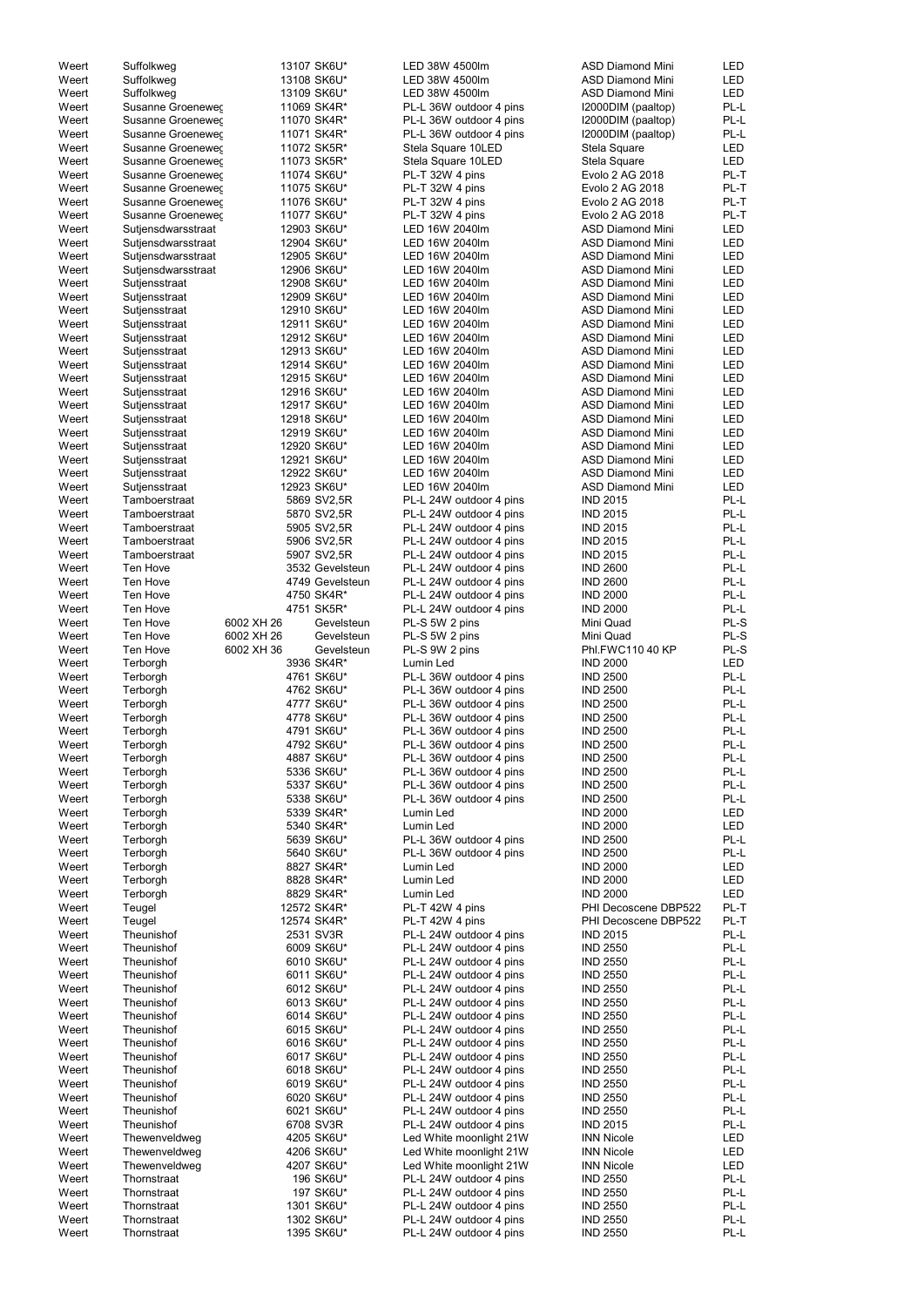| Weert<br>Weert |                            |             |                 |                                                    |                                    |              |
|----------------|----------------------------|-------------|-----------------|----------------------------------------------------|------------------------------------|--------------|
|                | Suffolkweg                 | 13107 SK6U* |                 | LED 38W 4500lm                                     | <b>ASD Diamond Mini</b>            | <b>LED</b>   |
|                | Suffolkweg                 | 13108 SK6U* |                 | LED 38W 4500lm                                     | <b>ASD Diamond Mini</b>            | LED          |
| Weert          | Suffolkweg                 | 13109 SK6U* |                 | LED 38W 4500lm                                     | <b>ASD Diamond Mini</b>            | LED          |
|                |                            |             |                 |                                                    |                                    |              |
| Weert          | Susanne Groeneweg          | 11069 SK4R* |                 | PL-L 36W outdoor 4 pins                            | I2000DIM (paaltop)                 | PL-L         |
| Weert          | Susanne Groeneweg          | 11070 SK4R* |                 | PL-L 36W outdoor 4 pins                            | I2000DIM (paaltop)                 | PL-L         |
| Weert          | Susanne Groeneweg          | 11071 SK4R* |                 | PL-L 36W outdoor 4 pins                            | I2000DIM (paaltop)                 | PL-L         |
| Weert          | Susanne Groeneweg          | 11072 SK5R* |                 | Stela Square 10LED                                 | Stela Square                       | <b>LED</b>   |
|                |                            |             |                 |                                                    |                                    |              |
| Weert          | Susanne Groeneweg          | 11073 SK5R* |                 | Stela Square 10LED                                 | Stela Square                       | LED          |
| Weert          | Susanne Groeneweg          | 11074 SK6U* |                 | PL-T 32W 4 pins                                    | Evolo 2 AG 2018                    | PL-T         |
| Weert          | Susanne Groeneweg          | 11075 SK6U* |                 | PL-T 32W 4 pins                                    | Evolo 2 AG 2018                    | PL-T         |
| Weert          | Susanne Groenewer          | 11076 SK6U* |                 | PL-T 32W 4 pins                                    | Evolo 2 AG 2018                    | PL-T         |
|                |                            |             |                 |                                                    |                                    |              |
| Weert          | Susanne Groenewer          | 11077 SK6U* |                 | PL-T 32W 4 pins                                    | Evolo 2 AG 2018                    | PL-T         |
| Weert          | Sutjensdwarsstraat         | 12903 SK6U* |                 | LED 16W 2040lm                                     | <b>ASD Diamond Mini</b>            | <b>LED</b>   |
| Weert          | Sutjensdwarsstraat         | 12904 SK6U* |                 | LED 16W 2040lm                                     | <b>ASD Diamond Mini</b>            | LED          |
|                |                            | 12905 SK6U* |                 | LED 16W 2040lm                                     | <b>ASD Diamond Mini</b>            | LED          |
| Weert          | Sutjensdwarsstraat         |             |                 |                                                    |                                    |              |
| Weert          | Sutjensdwarsstraat         | 12906 SK6U* |                 | LED 16W 2040lm                                     | <b>ASD Diamond Mini</b>            | LED          |
| Weert          | Sutjensstraat              | 12908 SK6U* |                 | LED 16W 2040lm                                     | <b>ASD Diamond Mini</b>            | LED          |
| Weert          | Sutjensstraat              | 12909 SK6U* |                 | LED 16W 2040lm                                     | <b>ASD Diamond Mini</b>            | LED          |
|                |                            |             |                 |                                                    |                                    |              |
| Weert          | Sutjensstraat              | 12910 SK6U* |                 | LED 16W 2040lm                                     | <b>ASD Diamond Mini</b>            | LED          |
| Weert          | Sutjensstraat              | 12911 SK6U* |                 | LED 16W 2040lm                                     | <b>ASD Diamond Mini</b>            | LED          |
| Weert          | Sutjensstraat              | 12912 SK6U* |                 | LED 16W 2040lm                                     | <b>ASD Diamond Mini</b>            | LED          |
| Weert          | Sutjensstraat              | 12913 SK6U* |                 | LED 16W 2040lm                                     | <b>ASD Diamond Mini</b>            | LED          |
|                |                            |             |                 |                                                    |                                    |              |
| Weert          | Sutjensstraat              | 12914 SK6U* |                 | LED 16W 2040lm                                     | <b>ASD Diamond Mini</b>            | LED          |
| Weert          | Sutjensstraat              | 12915 SK6U* |                 | LED 16W 2040lm                                     | <b>ASD Diamond Mini</b>            | <b>LED</b>   |
| Weert          | Sutjensstraat              | 12916 SK6U* |                 | LED 16W 2040lm                                     | <b>ASD Diamond Mini</b>            | <b>LED</b>   |
|                |                            |             |                 |                                                    |                                    |              |
| Weert          | Sutjensstraat              | 12917 SK6U* |                 | LED 16W 2040lm                                     | <b>ASD Diamond Mini</b>            | <b>LED</b>   |
| Weert          | Sutjensstraat              | 12918 SK6U* |                 | LED 16W 2040lm                                     | <b>ASD Diamond Mini</b>            | <b>LED</b>   |
| Weert          | Sutjensstraat              | 12919 SK6U* |                 | LED 16W 2040lm                                     | <b>ASD Diamond Mini</b>            | <b>LED</b>   |
| Weert          |                            |             |                 |                                                    |                                    |              |
|                | Sutjensstraat              | 12920 SK6U* |                 | LED 16W 2040lm                                     | <b>ASD Diamond Mini</b>            | <b>LED</b>   |
| Weert          | Sutjensstraat              | 12921 SK6U* |                 | LED 16W 2040lm                                     | <b>ASD Diamond Mini</b>            | <b>LED</b>   |
| Weert          | Sutjensstraat              | 12922 SK6U* |                 | LED 16W 2040lm                                     | <b>ASD Diamond Mini</b>            | <b>LED</b>   |
| Weert          | Sutjensstraat              | 12923 SK6U* |                 | LED 16W 2040lm                                     | <b>ASD Diamond Mini</b>            | LED          |
|                |                            |             |                 |                                                    |                                    |              |
| Weert          | Tamboerstraat              |             | 5869 SV2,5R     | PL-L 24W outdoor 4 pins                            | <b>IND 2015</b>                    | PL-L         |
| Weert          | Tamboerstraat              |             | 5870 SV2,5R     | PL-L 24W outdoor 4 pins                            | <b>IND 2015</b>                    | PL-L         |
| Weert          | Tamboerstraat              |             | 5905 SV2,5R     | PL-L 24W outdoor 4 pins                            | <b>IND 2015</b>                    | PL-L         |
|                |                            |             |                 |                                                    | <b>IND 2015</b>                    | PL-L         |
| Weert          | Tamboerstraat              |             | 5906 SV2,5R     | PL-L 24W outdoor 4 pins                            |                                    |              |
| Weert          | Tamboerstraat              |             | 5907 SV2,5R     | PL-L 24W outdoor 4 pins                            | <b>IND 2015</b>                    | PL-L         |
| Weert          | Ten Hove                   |             | 3532 Gevelsteun | PL-L 24W outdoor 4 pins                            | <b>IND 2600</b>                    | PL-L         |
| Weert          | Ten Hove                   |             | 4749 Gevelsteun | PL-L 24W outdoor 4 pins                            | <b>IND 2600</b>                    | PL-L         |
|                |                            |             |                 |                                                    |                                    |              |
| Weert          | Ten Hove                   | 4750 SK4R*  |                 | PL-L 24W outdoor 4 pins                            | <b>IND 2000</b>                    | PL-L         |
| Weert          | Ten Hove                   | 4751 SK5R*  |                 | PL-L 24W outdoor 4 pins                            | <b>IND 2000</b>                    | PL-L         |
| Weert          | Ten Hove                   | 6002 XH 26  | Gevelsteun      | PL-S 5W 2 pins                                     | Mini Quad                          | PL-S         |
|                |                            |             |                 |                                                    |                                    |              |
| Weert          | Ten Hove                   | 6002 XH 26  | Gevelsteun      | PL-S 5W 2 pins                                     | Mini Quad                          | PL-S         |
| Weert          | Ten Hove                   | 6002 XH 36  | Gevelsteun      | PL-S 9W 2 pins                                     | Phl.FWC110 40 KP                   | PL-S         |
| Weert          | Terborgh                   | 3936 SK4R*  |                 | Lumin Led                                          | <b>IND 2000</b>                    | <b>LED</b>   |
| Weert          | Terborgh                   | 4761 SK6U*  |                 | PL-L 36W outdoor 4 pins                            | <b>IND 2500</b>                    | PL-L         |
|                |                            |             |                 |                                                    |                                    |              |
| Weert          | Terborgh                   | 4762 SK6U*  |                 | PL-L 36W outdoor 4 pins                            | <b>IND 2500</b>                    | PL-L         |
| Weert          | Terborgh                   |             | 4777 SK6U*      | PL-L 36W outdoor 4 pins                            | <b>IND 2500</b>                    | PL-L         |
|                |                            |             |                 |                                                    |                                    |              |
|                |                            |             |                 |                                                    |                                    |              |
| Weert          | Terborgh                   | 4778 SK6U*  |                 | PL-L 36W outdoor 4 pins                            | <b>IND 2500</b>                    | PL-L         |
| Weert          | Terborgh                   | 4791 SK6U*  |                 | PL-L 36W outdoor 4 pins                            | <b>IND 2500</b>                    | PL-L         |
| Weert          | Terborgh                   | 4792 SK6U*  |                 | PL-L 36W outdoor 4 pins                            | <b>IND 2500</b>                    | PL-L         |
|                |                            |             |                 |                                                    |                                    |              |
| Weert          | Terborgh                   | 4887 SK6U*  |                 | PL-L 36W outdoor 4 pins                            | <b>IND 2500</b>                    | PL-L         |
| Weert          | Terborgh                   |             | 5336 SK6U*      | PL-L 36W outdoor 4 pins                            | <b>IND 2500</b>                    | PL-L         |
| Weert          | Terborgh                   |             | 5337 SK6U*      | PL-L 36W outdoor 4 pins                            | <b>IND 2500</b>                    | PL-L         |
| Weert          | Terborgh                   |             | 5338 SK6U*      | PL-L 36W outdoor 4 pins                            | <b>IND 2500</b>                    | PL-L         |
|                |                            |             |                 |                                                    |                                    |              |
| Weert          | Terborgh                   |             | 5339 SK4R*      | Lumin Led                                          | <b>IND 2000</b>                    | LED          |
| Weert          | Terborgh                   |             | 5340 SK4R*      | Lumin Led                                          | <b>IND 2000</b>                    | LED          |
| Weert          | Terborgh                   |             | 5639 SK6U*      | PL-L 36W outdoor 4 pins                            | <b>IND 2500</b>                    | PL-L         |
| Weert          | Terborgh                   |             | 5640 SK6U*      | PL-L 36W outdoor 4 pins                            | <b>IND 2500</b>                    | PL-L         |
| Weert          |                            | 8827 SK4R*  |                 | Lumin Led                                          | <b>IND 2000</b>                    | LED          |
|                | Terborgh                   |             |                 |                                                    |                                    |              |
| Weert          | Terborgh                   | 8828 SK4R*  |                 | Lumin Led                                          | <b>IND 2000</b>                    | LED          |
| Weert          | Terborgh                   | 8829 SK4R*  |                 | Lumin Led                                          | <b>IND 2000</b>                    | LED          |
| Weert          | Teugel                     | 12572 SK4R* |                 | PL-T 42W 4 pins                                    | PHI Decoscene DBP522               | PL-T         |
| Weert          | Teugel                     | 12574 SK4R* |                 | PL-T 42W 4 pins                                    | PHI Decoscene DBP522               | PL-T         |
|                |                            |             |                 |                                                    |                                    |              |
| Weert          | Theunishof                 | 2531 SV3R   |                 | PL-L 24W outdoor 4 pins                            | <b>IND 2015</b>                    | PL-L         |
| Weert          | Theunishof                 | 6009 SK6U*  |                 | PL-L 24W outdoor 4 pins                            | <b>IND 2550</b>                    | PL-L         |
| Weert          | Theunishof                 | 6010 SK6U*  |                 | PL-L 24W outdoor 4 pins                            | <b>IND 2550</b>                    | PL-L         |
|                |                            |             |                 |                                                    |                                    |              |
| Weert          | Theunishof                 | 6011 SK6U*  |                 | PL-L 24W outdoor 4 pins                            | <b>IND 2550</b>                    | PL-L         |
| Weert          | Theunishof                 | 6012 SK6U*  |                 | PL-L 24W outdoor 4 pins                            | <b>IND 2550</b>                    | PL-L         |
| Weert          | Theunishof                 | 6013 SK6U*  |                 | PL-L 24W outdoor 4 pins                            | <b>IND 2550</b>                    | PL-L         |
| Weert          | Theunishof                 | 6014 SK6U*  |                 | PL-L 24W outdoor 4 pins                            | <b>IND 2550</b>                    | PL-L         |
|                |                            |             |                 |                                                    |                                    |              |
| Weert          | Theunishof                 | 6015 SK6U*  |                 | PL-L 24W outdoor 4 pins                            | <b>IND 2550</b>                    | PL-L         |
| Weert          | Theunishof                 | 6016 SK6U*  |                 | PL-L 24W outdoor 4 pins                            | <b>IND 2550</b>                    | $PL-L$       |
| Weert          | Theunishof                 | 6017 SK6U*  |                 | PL-L 24W outdoor 4 pins                            | <b>IND 2550</b>                    | PL-L         |
|                | Theunishof                 |             |                 |                                                    |                                    | PL-L         |
| Weert          |                            |             | 6018 SK6U*      | PL-L 24W outdoor 4 pins                            | <b>IND 2550</b>                    |              |
| Weert          | Theunishof                 |             | 6019 SK6U*      | PL-L 24W outdoor 4 pins                            | <b>IND 2550</b>                    | PL-L         |
| Weert          | Theunishof                 |             | 6020 SK6U*      | PL-L 24W outdoor 4 pins                            | <b>IND 2550</b>                    | PL-L         |
| Weert          | Theunishof                 |             | 6021 SK6U*      | PL-L 24W outdoor 4 pins                            | <b>IND 2550</b>                    | PL-L         |
|                |                            |             |                 |                                                    |                                    |              |
| Weert          | Theunishof                 | 6708 SV3R   |                 | PL-L 24W outdoor 4 pins                            | <b>IND 2015</b>                    | PL-L         |
| Weert          | Thewenveldweg              | 4205 SK6U*  |                 | Led White moonlight 21W                            | <b>INN Nicole</b>                  | LED          |
| Weert          | Thewenveldweg              |             | 4206 SK6U*      | Led White moonlight 21W                            | <b>INN Nicole</b>                  | LED          |
|                |                            |             |                 |                                                    |                                    |              |
| Weert          | Thewenveldweg              | 4207 SK6U*  |                 | Led White moonlight 21W                            | <b>INN Nicole</b>                  | LED          |
| Weert          | Thornstraat                |             | 196 SK6U*       | PL-L 24W outdoor 4 pins                            | <b>IND 2550</b>                    | PL-L         |
| Weert          | Thornstraat                |             | 197 SK6U*       | PL-L 24W outdoor 4 pins                            | <b>IND 2550</b>                    | PL-L         |
|                | Thornstraat                |             |                 |                                                    |                                    |              |
| Weert          |                            |             | 1301 SK6U*      | PL-L 24W outdoor 4 pins                            | <b>IND 2550</b>                    | PL-L         |
| Weert<br>Weert | Thornstraat<br>Thornstraat | 1395 SK6U*  | 1302 SK6U*      | PL-L 24W outdoor 4 pins<br>PL-L 24W outdoor 4 pins | <b>IND 2550</b><br><b>IND 2550</b> | PL-L<br>PL-L |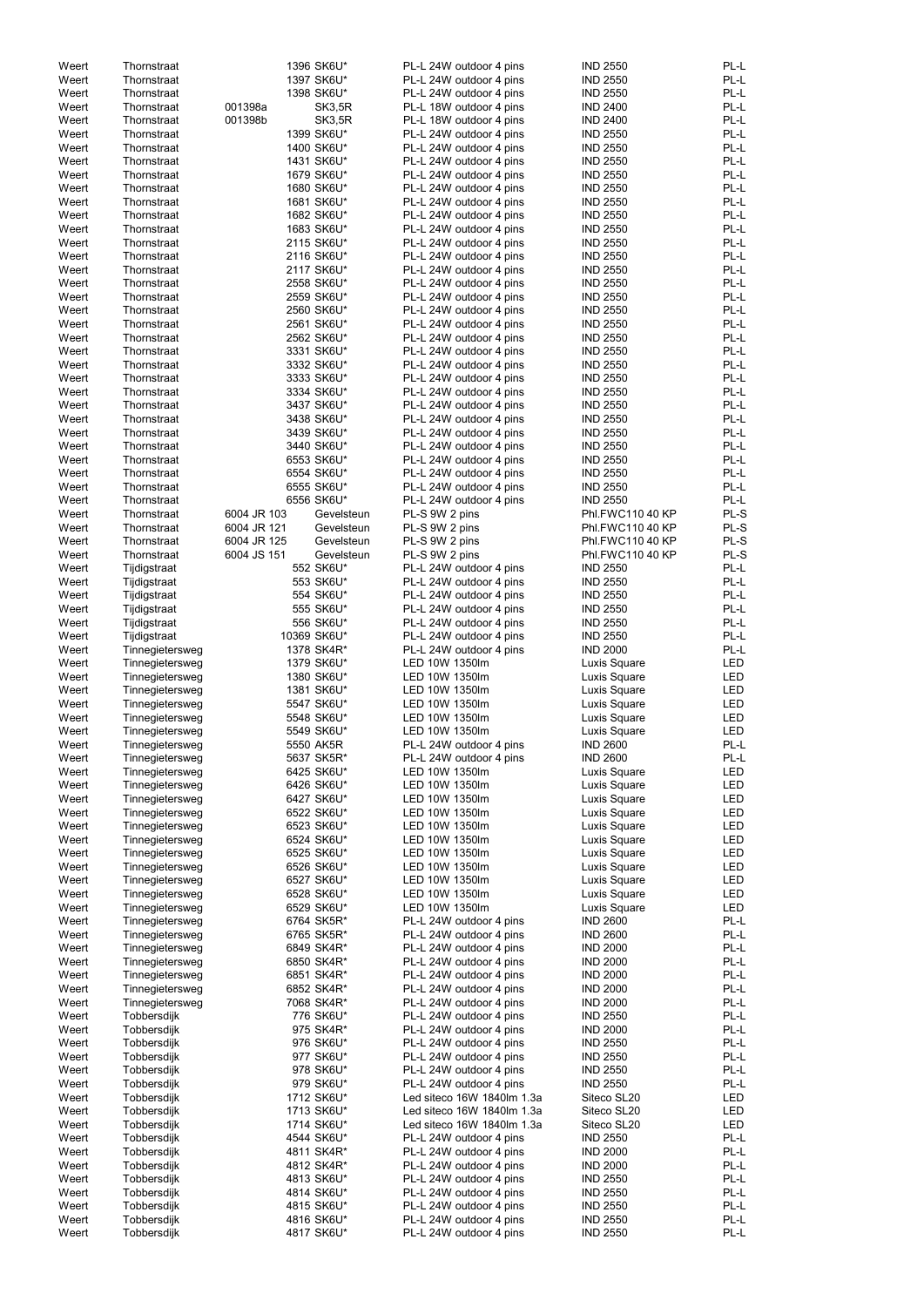| 1396 SK6U*<br><b>IND 2550</b><br>Weert<br>PL-L 24W outdoor 4 pins<br>Thornstraat<br>1397 SK6U*<br><b>IND 2550</b><br>Weert<br>PL-L 24W outdoor 4 pins<br>Thornstraat<br>1398 SK6U*<br><b>IND 2550</b><br>Weert<br>PL-L 24W outdoor 4 pins<br>Thornstraat<br>001398a<br>Weert<br><b>SK3,5R</b><br><b>IND 2400</b><br>Thornstraat<br>PL-L 18W outdoor 4 pins<br>PL-L<br>Weert<br>001398b<br><b>SK3,5R</b><br><b>IND 2400</b><br>Thornstraat<br>PL-L 18W outdoor 4 pins<br>PL-L<br>Weert<br>1399 SK6U*<br><b>IND 2550</b><br>Thornstraat<br>PL-L 24W outdoor 4 pins<br>1400 SK6U*<br><b>IND 2550</b><br>Weert<br>Thornstraat<br>PL-L 24W outdoor 4 pins<br>Weert<br>1431 SK6U*<br>PL-L 24W outdoor 4 pins<br><b>IND 2550</b><br>Thornstraat<br>Weert<br>Thornstraat<br>1679 SK6U*<br>PL-L 24W outdoor 4 pins<br><b>IND 2550</b><br>Weert<br>Thornstraat<br>1680 SK6U*<br>PL-L 24W outdoor 4 pins<br><b>IND 2550</b><br>PL-L<br>Weert<br>1681 SK6U*<br>PL-L 24W outdoor 4 pins<br><b>IND 2550</b><br>Thornstraat<br>PL-L<br>Weert<br>Thornstraat<br>1682 SK6U*<br>PL-L 24W outdoor 4 pins<br><b>IND 2550</b><br>Weert<br>Thornstraat<br>1683 SK6U*<br>PL-L 24W outdoor 4 pins<br><b>IND 2550</b><br>Weert<br>Thornstraat<br>2115 SK6U*<br>PL-L 24W outdoor 4 pins<br><b>IND 2550</b><br>2116 SK6U*<br>Weert<br>Thornstraat<br>PL-L 24W outdoor 4 pins<br><b>IND 2550</b><br>2117 SK6U*<br>Weert<br>Thornstraat<br>PL-L 24W outdoor 4 pins<br><b>IND 2550</b><br>PL-L<br>2558 SK6U*<br>Weert<br>Thornstraat<br>PL-L 24W outdoor 4 pins<br><b>IND 2550</b><br>2559 SK6U*<br>PL-L<br>Weert<br>Thornstraat<br>PL-L 24W outdoor 4 pins<br><b>IND 2550</b><br>2560 SK6U*<br><b>IND 2550</b><br>Weert<br>Thornstraat<br>PL-L 24W outdoor 4 pins<br>2561 SK6U*<br><b>IND 2550</b><br>Weert<br>Thornstraat<br>PL-L 24W outdoor 4 pins<br>2562 SK6U*<br>Weert<br>Thornstraat<br>PL-L 24W outdoor 4 pins<br><b>IND 2550</b><br>3331 SK6U*<br>Weert<br>Thornstraat<br>PL-L 24W outdoor 4 pins<br><b>IND 2550</b><br>PL-L<br>Weert<br>3332 SK6U*<br>PL-L 24W outdoor 4 pins<br><b>IND 2550</b><br>Thornstraat<br>PL-L<br>Weert<br>Thornstraat<br>3333 SK6U*<br>PL-L 24W outdoor 4 pins<br><b>IND 2550</b><br>Weert<br>Thornstraat<br>3334 SK6U*<br>PL-L 24W outdoor 4 pins<br><b>IND 2550</b><br>Weert<br>Thornstraat<br>3437 SK6U*<br>PL-L 24W outdoor 4 pins<br><b>IND 2550</b><br>Weert<br>Thornstraat<br>3438 SK6U*<br>PL-L 24W outdoor 4 pins<br><b>IND 2550</b><br>Weert<br>Thornstraat<br>3439 SK6U*<br>PL-L 24W outdoor 4 pins<br><b>IND 2550</b><br>PL-L<br>Weert<br>Thornstraat<br>3440 SK6U*<br>PL-L 24W outdoor 4 pins<br><b>IND 2550</b><br>PL-L<br>Thornstraat<br>6553 SK6U*<br><b>IND 2550</b><br>Weert<br>PL-L 24W outdoor 4 pins<br>Weert<br>Thornstraat<br>6554 SK6U*<br><b>IND 2550</b><br>PL-L 24W outdoor 4 pins<br>6555 SK6U*<br>Weert<br><b>IND 2550</b><br>Thornstraat<br>PL-L 24W outdoor 4 pins<br>6556 SK6U*<br>Weert<br><b>IND 2550</b><br>Thornstraat<br>PL-L 24W outdoor 4 pins<br>Weert<br>6004 JR 103<br>Gevelsteun<br>PL-S 9W 2 pins<br>Phl.FWC110 40 KP<br>Thornstraat<br>PL-S<br>Weert<br>6004 JR 121<br>Gevelsteun<br>PL-S 9W 2 pins<br>Phl.FWC110 40 KP<br>Thornstraat<br>PL-S<br>Weert<br>6004 JR 125<br>PL-S 9W 2 pins<br>Phl.FWC110 40 KP<br>Thornstraat<br>Gevelsteun<br>6004 JS 151<br>Weert<br>PL-S 9W 2 pins<br>Phl.FWC110 40 KP<br>Thornstraat<br>Gevelsteun<br>552 SK6U*<br>Weert<br>PL-L 24W outdoor 4 pins<br><b>IND 2550</b><br>Tijdigstraat<br>553 SK6U*<br>PL-L 24W outdoor 4 pins<br><b>IND 2550</b><br>Weert<br>Tijdigstraat<br><b>IND 2550</b><br>554 SK6U*<br>PL-L 24W outdoor 4 pins<br>Weert<br>Tijdigstraat<br>PL-L<br>555 SK6U*<br>PL-L 24W outdoor 4 pins<br><b>IND 2550</b><br>Weert<br>Tijdigstraat<br>556 SK6U*<br>PL-L 24W outdoor 4 pins<br><b>IND 2550</b><br>Weert<br>Tijdigstraat<br>10369 SK6U*<br>PL-L 24W outdoor 4 pins<br><b>IND 2550</b><br>Weert<br>Tijdigstraat<br><b>IND 2000</b><br>1378 SK4R*<br>PL-L 24W outdoor 4 pins<br>Weert<br>Tinnegietersweg<br>1379 SK6U*<br>LED 10W 1350lm<br>Luxis Square<br>Weert<br>Tinnegietersweg<br>LED<br>Tinnegietersweg<br>1380 SK6U*<br>LED 10W 1350lm<br>Luxis Square<br>Weert<br>Tinnegietersweg<br>1381 SK6U*<br>LED 10W 1350lm<br>Luxis Square<br>LED<br>Weert<br>5547 SK6U*<br>LED 10W 1350lm<br>Luxis Square<br>Weert<br>Tinnegietersweg<br>5548 SK6U*<br>LED 10W 1350lm<br>Luxis Square<br>Weert<br>Tinnegietersweg<br>5549 SK6U*<br>LED 10W 1350lm<br>Luxis Square<br>Weert<br>Tinnegietersweg<br><b>IND 2600</b><br>5550 AK5R<br>PL-L 24W outdoor 4 pins<br>Weert<br>Tinnegietersweg<br>5637 SK5R*<br><b>IND 2600</b><br>PL-L<br>Weert<br>Tinnegietersweg<br>PL-L 24W outdoor 4 pins<br><b>LED</b><br>6425 SK6U*<br>LED 10W 1350lm<br>Weert<br>Tinnegietersweg<br>Luxis Square<br>6426 SK6U*<br>LED 10W 1350lm<br>Luxis Square<br>Weert<br>Tinnegietersweg<br>6427 SK6U*<br>LED 10W 1350lm<br>Luxis Square<br>Weert<br>Tinnegietersweg<br>6522 SK6U*<br>LED 10W 1350lm<br>Luxis Square<br>Weert<br>Tinnegietersweg<br>6523 SK6U*<br>LED 10W 1350lm<br>Luxis Square<br>Weert<br>Tinnegietersweg<br>6524 SK6U*<br>LED 10W 1350lm<br>Luxis Square<br>LED<br>Weert<br>Tinnegietersweg<br>6525 SK6U*<br>LED 10W 1350lm<br>Luxis Square<br><b>LED</b><br>Weert<br>Tinnegietersweg<br>6526 SK6U*<br>LED 10W 1350lm<br>Luxis Square<br>Weert<br>Tinnegietersweg<br>6527 SK6U*<br>LED 10W 1350lm<br>Luxis Square<br>Weert<br>Tinnegietersweg<br>6528 SK6U*<br>LED 10W 1350lm<br>Luxis Square<br>Weert<br>Tinnegietersweg<br>6529 SK6U*<br>LED 10W 1350lm<br>Luxis Square<br>Weert<br>Tinnegietersweg<br>6764 SK5R*<br>PL-L 24W outdoor 4 pins<br><b>IND 2600</b><br>Weert<br>Tinnegietersweg<br>6765 SK5R*<br>PL-L 24W outdoor 4 pins<br><b>IND 2600</b><br>Weert<br>Tinnegietersweg<br>6849 SK4R*<br><b>IND 2000</b><br>Weert<br>Tinnegietersweg<br>PL-L 24W outdoor 4 pins<br>6850 SK4R*<br><b>IND 2000</b><br>Weert<br>Tinnegietersweg<br>PL-L 24W outdoor 4 pins<br>6851 SK4R*<br><b>IND 2000</b><br>Weert<br>Tinnegietersweg<br>PL-L 24W outdoor 4 pins<br>6852 SK4R*<br><b>IND 2000</b><br>Weert<br>Tinnegietersweg<br>PL-L 24W outdoor 4 pins<br>7068 SK4R*<br>PL-L 24W outdoor 4 pins<br><b>IND 2000</b><br>Weert<br>Tinnegietersweg<br>Weert<br>776 SK6U*<br>PL-L 24W outdoor 4 pins<br><b>IND 2550</b><br>Tobbersdijk<br>975 SK4R*<br>PL-L 24W outdoor 4 pins<br><b>IND 2000</b><br>Weert<br>Tobbersdijk<br><b>IND 2550</b><br>976 SK6U*<br>Weert<br>Tobbersdijk<br>PL-L 24W outdoor 4 pins<br>Weert<br>Tobbersdijk<br>977 SK6U*<br>PL-L 24W outdoor 4 pins<br><b>IND 2550</b><br>Tobbersdijk<br>PL-L 24W outdoor 4 pins<br>Weert<br>978 SK6U*<br><b>IND 2550</b><br>Tobbersdijk<br>PL-L 24W outdoor 4 pins<br>Weert<br>979 SK6U*<br><b>IND 2550</b><br><b>LED</b><br>Tobbersdijk<br>1712 SK6U*<br>Led siteco 16W 1840lm 1.3a<br>Siteco SL20<br>Weert<br>Led siteco 16W 1840lm 1.3a<br>Siteco SL20<br>Weert<br>Tobbersdijk<br>1713 SK6U*<br>Tobbersdijk<br>Led siteco 16W 1840lm 1.3a<br>Siteco SL20<br>Weert<br>1714 SK6U*<br>Tobbersdijk<br>PL-L 24W outdoor 4 pins<br><b>IND 2550</b><br>Weert<br>4544 SK6U*<br>Tobbersdijk<br>4811 SK4R*<br>PL-L 24W outdoor 4 pins<br>Weert<br><b>IND 2000</b><br>PL-L<br>Tobbersdijk<br>PL-L 24W outdoor 4 pins<br>Weert<br>4812 SK4R*<br><b>IND 2000</b><br>Weert<br>Tobbersdijk<br>4813 SK6U*<br>PL-L 24W outdoor 4 pins<br><b>IND 2550</b><br>Weert<br>Tobbersdijk<br>4814 SK6U*<br>PL-L 24W outdoor 4 pins<br><b>IND 2550</b><br>Weert<br>Tobbersdijk<br>4815 SK6U*<br>PL-L 24W outdoor 4 pins<br><b>IND 2550</b><br>Weert<br>Tobbersdijk<br>4816 SK6U*<br>PL-L 24W outdoor 4 pins<br><b>IND 2550</b><br>4817 SK6U* |       |             |  |                         |                 |            |
|---------------------------------------------------------------------------------------------------------------------------------------------------------------------------------------------------------------------------------------------------------------------------------------------------------------------------------------------------------------------------------------------------------------------------------------------------------------------------------------------------------------------------------------------------------------------------------------------------------------------------------------------------------------------------------------------------------------------------------------------------------------------------------------------------------------------------------------------------------------------------------------------------------------------------------------------------------------------------------------------------------------------------------------------------------------------------------------------------------------------------------------------------------------------------------------------------------------------------------------------------------------------------------------------------------------------------------------------------------------------------------------------------------------------------------------------------------------------------------------------------------------------------------------------------------------------------------------------------------------------------------------------------------------------------------------------------------------------------------------------------------------------------------------------------------------------------------------------------------------------------------------------------------------------------------------------------------------------------------------------------------------------------------------------------------------------------------------------------------------------------------------------------------------------------------------------------------------------------------------------------------------------------------------------------------------------------------------------------------------------------------------------------------------------------------------------------------------------------------------------------------------------------------------------------------------------------------------------------------------------------------------------------------------------------------------------------------------------------------------------------------------------------------------------------------------------------------------------------------------------------------------------------------------------------------------------------------------------------------------------------------------------------------------------------------------------------------------------------------------------------------------------------------------------------------------------------------------------------------------------------------------------------------------------------------------------------------------------------------------------------------------------------------------------------------------------------------------------------------------------------------------------------------------------------------------------------------------------------------------------------------------------------------------------------------------------------------------------------------------------------------------------------------------------------------------------------------------------------------------------------------------------------------------------------------------------------------------------------------------------------------------------------------------------------------------------------------------------------------------------------------------------------------------------------------------------------------------------------------------------------------------------------------------------------------------------------------------------------------------------------------------------------------------------------------------------------------------------------------------------------------------------------------------------------------------------------------------------------------------------------------------------------------------------------------------------------------------------------------------------------------------------------------------------------------------------------------------------------------------------------------------------------------------------------------------------------------------------------------------------------------------------------------------------------------------------------------------------------------------------------------------------------------------------------------------------------------------------------------------------------------------------------------------------------------------------------------------------------------------------------------------------------------------------------------------------------------------------------------------------------------------------------------------------------------------------------------------------------------------------------------------------------------------------------------------------------------------------------------------------------------------------------------------------------------------------------------------------------------------------------------------------------------------------------------------------------------------------------------------------------------------------------------------------------------------------------------------------------------------------------------------------------------------------------------------------------------------------------------------------------------------------------------------------------------------------------------------------------------------------------------------------------------------------------------------------------------------------------------------------------------------------------------------------------------------------------------------------------------------------------------------------------------------------------------------------------------------------------------------------------------------------------------------------------------------------------------------------------------------------------------------------------------------------------------------------------------------------------------------------------------------------------------------------------------------------------------------------------------------------------------------------------------------------------------------------------------------------------------------------------------------------------------------------------------------------------------------------------------------------------------------------------------------------------------------------------------------------------------------------------------------------------------------------------------------------------------------------------------------------------------------------------------------------------|-------|-------------|--|-------------------------|-----------------|------------|
|                                                                                                                                                                                                                                                                                                                                                                                                                                                                                                                                                                                                                                                                                                                                                                                                                                                                                                                                                                                                                                                                                                                                                                                                                                                                                                                                                                                                                                                                                                                                                                                                                                                                                                                                                                                                                                                                                                                                                                                                                                                                                                                                                                                                                                                                                                                                                                                                                                                                                                                                                                                                                                                                                                                                                                                                                                                                                                                                                                                                                                                                                                                                                                                                                                                                                                                                                                                                                                                                                                                                                                                                                                                                                                                                                                                                                                                                                                                                                                                                                                                                                                                                                                                                                                                                                                                                                                                                                                                                                                                                                                                                                                                                                                                                                                                                                                                                                                                                                                                                                                                                                                                                                                                                                                                                                                                                                                                                                                                                                                                                                                                                                                                                                                                                                                                                                                                                                                                                                                                                                                                                                                                                                                                                                                                                                                                                                                                                                                                                                                                                                                                                                                                                                                                                                                                                                                                                                                                                                                                                                                                                                                                                                                                                                                                                                                                                                                                                                                                                                                                                                                                                                                                                           |       |             |  |                         |                 | PL-L       |
|                                                                                                                                                                                                                                                                                                                                                                                                                                                                                                                                                                                                                                                                                                                                                                                                                                                                                                                                                                                                                                                                                                                                                                                                                                                                                                                                                                                                                                                                                                                                                                                                                                                                                                                                                                                                                                                                                                                                                                                                                                                                                                                                                                                                                                                                                                                                                                                                                                                                                                                                                                                                                                                                                                                                                                                                                                                                                                                                                                                                                                                                                                                                                                                                                                                                                                                                                                                                                                                                                                                                                                                                                                                                                                                                                                                                                                                                                                                                                                                                                                                                                                                                                                                                                                                                                                                                                                                                                                                                                                                                                                                                                                                                                                                                                                                                                                                                                                                                                                                                                                                                                                                                                                                                                                                                                                                                                                                                                                                                                                                                                                                                                                                                                                                                                                                                                                                                                                                                                                                                                                                                                                                                                                                                                                                                                                                                                                                                                                                                                                                                                                                                                                                                                                                                                                                                                                                                                                                                                                                                                                                                                                                                                                                                                                                                                                                                                                                                                                                                                                                                                                                                                                                                           |       |             |  |                         |                 | PL-L       |
|                                                                                                                                                                                                                                                                                                                                                                                                                                                                                                                                                                                                                                                                                                                                                                                                                                                                                                                                                                                                                                                                                                                                                                                                                                                                                                                                                                                                                                                                                                                                                                                                                                                                                                                                                                                                                                                                                                                                                                                                                                                                                                                                                                                                                                                                                                                                                                                                                                                                                                                                                                                                                                                                                                                                                                                                                                                                                                                                                                                                                                                                                                                                                                                                                                                                                                                                                                                                                                                                                                                                                                                                                                                                                                                                                                                                                                                                                                                                                                                                                                                                                                                                                                                                                                                                                                                                                                                                                                                                                                                                                                                                                                                                                                                                                                                                                                                                                                                                                                                                                                                                                                                                                                                                                                                                                                                                                                                                                                                                                                                                                                                                                                                                                                                                                                                                                                                                                                                                                                                                                                                                                                                                                                                                                                                                                                                                                                                                                                                                                                                                                                                                                                                                                                                                                                                                                                                                                                                                                                                                                                                                                                                                                                                                                                                                                                                                                                                                                                                                                                                                                                                                                                                                           |       |             |  |                         |                 | PL-L       |
|                                                                                                                                                                                                                                                                                                                                                                                                                                                                                                                                                                                                                                                                                                                                                                                                                                                                                                                                                                                                                                                                                                                                                                                                                                                                                                                                                                                                                                                                                                                                                                                                                                                                                                                                                                                                                                                                                                                                                                                                                                                                                                                                                                                                                                                                                                                                                                                                                                                                                                                                                                                                                                                                                                                                                                                                                                                                                                                                                                                                                                                                                                                                                                                                                                                                                                                                                                                                                                                                                                                                                                                                                                                                                                                                                                                                                                                                                                                                                                                                                                                                                                                                                                                                                                                                                                                                                                                                                                                                                                                                                                                                                                                                                                                                                                                                                                                                                                                                                                                                                                                                                                                                                                                                                                                                                                                                                                                                                                                                                                                                                                                                                                                                                                                                                                                                                                                                                                                                                                                                                                                                                                                                                                                                                                                                                                                                                                                                                                                                                                                                                                                                                                                                                                                                                                                                                                                                                                                                                                                                                                                                                                                                                                                                                                                                                                                                                                                                                                                                                                                                                                                                                                                                           |       |             |  |                         |                 | PL-L       |
|                                                                                                                                                                                                                                                                                                                                                                                                                                                                                                                                                                                                                                                                                                                                                                                                                                                                                                                                                                                                                                                                                                                                                                                                                                                                                                                                                                                                                                                                                                                                                                                                                                                                                                                                                                                                                                                                                                                                                                                                                                                                                                                                                                                                                                                                                                                                                                                                                                                                                                                                                                                                                                                                                                                                                                                                                                                                                                                                                                                                                                                                                                                                                                                                                                                                                                                                                                                                                                                                                                                                                                                                                                                                                                                                                                                                                                                                                                                                                                                                                                                                                                                                                                                                                                                                                                                                                                                                                                                                                                                                                                                                                                                                                                                                                                                                                                                                                                                                                                                                                                                                                                                                                                                                                                                                                                                                                                                                                                                                                                                                                                                                                                                                                                                                                                                                                                                                                                                                                                                                                                                                                                                                                                                                                                                                                                                                                                                                                                                                                                                                                                                                                                                                                                                                                                                                                                                                                                                                                                                                                                                                                                                                                                                                                                                                                                                                                                                                                                                                                                                                                                                                                                                                           |       |             |  |                         |                 |            |
|                                                                                                                                                                                                                                                                                                                                                                                                                                                                                                                                                                                                                                                                                                                                                                                                                                                                                                                                                                                                                                                                                                                                                                                                                                                                                                                                                                                                                                                                                                                                                                                                                                                                                                                                                                                                                                                                                                                                                                                                                                                                                                                                                                                                                                                                                                                                                                                                                                                                                                                                                                                                                                                                                                                                                                                                                                                                                                                                                                                                                                                                                                                                                                                                                                                                                                                                                                                                                                                                                                                                                                                                                                                                                                                                                                                                                                                                                                                                                                                                                                                                                                                                                                                                                                                                                                                                                                                                                                                                                                                                                                                                                                                                                                                                                                                                                                                                                                                                                                                                                                                                                                                                                                                                                                                                                                                                                                                                                                                                                                                                                                                                                                                                                                                                                                                                                                                                                                                                                                                                                                                                                                                                                                                                                                                                                                                                                                                                                                                                                                                                                                                                                                                                                                                                                                                                                                                                                                                                                                                                                                                                                                                                                                                                                                                                                                                                                                                                                                                                                                                                                                                                                                                                           |       |             |  |                         |                 |            |
|                                                                                                                                                                                                                                                                                                                                                                                                                                                                                                                                                                                                                                                                                                                                                                                                                                                                                                                                                                                                                                                                                                                                                                                                                                                                                                                                                                                                                                                                                                                                                                                                                                                                                                                                                                                                                                                                                                                                                                                                                                                                                                                                                                                                                                                                                                                                                                                                                                                                                                                                                                                                                                                                                                                                                                                                                                                                                                                                                                                                                                                                                                                                                                                                                                                                                                                                                                                                                                                                                                                                                                                                                                                                                                                                                                                                                                                                                                                                                                                                                                                                                                                                                                                                                                                                                                                                                                                                                                                                                                                                                                                                                                                                                                                                                                                                                                                                                                                                                                                                                                                                                                                                                                                                                                                                                                                                                                                                                                                                                                                                                                                                                                                                                                                                                                                                                                                                                                                                                                                                                                                                                                                                                                                                                                                                                                                                                                                                                                                                                                                                                                                                                                                                                                                                                                                                                                                                                                                                                                                                                                                                                                                                                                                                                                                                                                                                                                                                                                                                                                                                                                                                                                                                           |       |             |  |                         |                 |            |
|                                                                                                                                                                                                                                                                                                                                                                                                                                                                                                                                                                                                                                                                                                                                                                                                                                                                                                                                                                                                                                                                                                                                                                                                                                                                                                                                                                                                                                                                                                                                                                                                                                                                                                                                                                                                                                                                                                                                                                                                                                                                                                                                                                                                                                                                                                                                                                                                                                                                                                                                                                                                                                                                                                                                                                                                                                                                                                                                                                                                                                                                                                                                                                                                                                                                                                                                                                                                                                                                                                                                                                                                                                                                                                                                                                                                                                                                                                                                                                                                                                                                                                                                                                                                                                                                                                                                                                                                                                                                                                                                                                                                                                                                                                                                                                                                                                                                                                                                                                                                                                                                                                                                                                                                                                                                                                                                                                                                                                                                                                                                                                                                                                                                                                                                                                                                                                                                                                                                                                                                                                                                                                                                                                                                                                                                                                                                                                                                                                                                                                                                                                                                                                                                                                                                                                                                                                                                                                                                                                                                                                                                                                                                                                                                                                                                                                                                                                                                                                                                                                                                                                                                                                                                           |       |             |  |                         |                 | PL-L       |
|                                                                                                                                                                                                                                                                                                                                                                                                                                                                                                                                                                                                                                                                                                                                                                                                                                                                                                                                                                                                                                                                                                                                                                                                                                                                                                                                                                                                                                                                                                                                                                                                                                                                                                                                                                                                                                                                                                                                                                                                                                                                                                                                                                                                                                                                                                                                                                                                                                                                                                                                                                                                                                                                                                                                                                                                                                                                                                                                                                                                                                                                                                                                                                                                                                                                                                                                                                                                                                                                                                                                                                                                                                                                                                                                                                                                                                                                                                                                                                                                                                                                                                                                                                                                                                                                                                                                                                                                                                                                                                                                                                                                                                                                                                                                                                                                                                                                                                                                                                                                                                                                                                                                                                                                                                                                                                                                                                                                                                                                                                                                                                                                                                                                                                                                                                                                                                                                                                                                                                                                                                                                                                                                                                                                                                                                                                                                                                                                                                                                                                                                                                                                                                                                                                                                                                                                                                                                                                                                                                                                                                                                                                                                                                                                                                                                                                                                                                                                                                                                                                                                                                                                                                                                           |       |             |  |                         |                 | PL-L       |
|                                                                                                                                                                                                                                                                                                                                                                                                                                                                                                                                                                                                                                                                                                                                                                                                                                                                                                                                                                                                                                                                                                                                                                                                                                                                                                                                                                                                                                                                                                                                                                                                                                                                                                                                                                                                                                                                                                                                                                                                                                                                                                                                                                                                                                                                                                                                                                                                                                                                                                                                                                                                                                                                                                                                                                                                                                                                                                                                                                                                                                                                                                                                                                                                                                                                                                                                                                                                                                                                                                                                                                                                                                                                                                                                                                                                                                                                                                                                                                                                                                                                                                                                                                                                                                                                                                                                                                                                                                                                                                                                                                                                                                                                                                                                                                                                                                                                                                                                                                                                                                                                                                                                                                                                                                                                                                                                                                                                                                                                                                                                                                                                                                                                                                                                                                                                                                                                                                                                                                                                                                                                                                                                                                                                                                                                                                                                                                                                                                                                                                                                                                                                                                                                                                                                                                                                                                                                                                                                                                                                                                                                                                                                                                                                                                                                                                                                                                                                                                                                                                                                                                                                                                                                           |       |             |  |                         |                 | PL-L       |
|                                                                                                                                                                                                                                                                                                                                                                                                                                                                                                                                                                                                                                                                                                                                                                                                                                                                                                                                                                                                                                                                                                                                                                                                                                                                                                                                                                                                                                                                                                                                                                                                                                                                                                                                                                                                                                                                                                                                                                                                                                                                                                                                                                                                                                                                                                                                                                                                                                                                                                                                                                                                                                                                                                                                                                                                                                                                                                                                                                                                                                                                                                                                                                                                                                                                                                                                                                                                                                                                                                                                                                                                                                                                                                                                                                                                                                                                                                                                                                                                                                                                                                                                                                                                                                                                                                                                                                                                                                                                                                                                                                                                                                                                                                                                                                                                                                                                                                                                                                                                                                                                                                                                                                                                                                                                                                                                                                                                                                                                                                                                                                                                                                                                                                                                                                                                                                                                                                                                                                                                                                                                                                                                                                                                                                                                                                                                                                                                                                                                                                                                                                                                                                                                                                                                                                                                                                                                                                                                                                                                                                                                                                                                                                                                                                                                                                                                                                                                                                                                                                                                                                                                                                                                           |       |             |  |                         |                 | PL-L       |
|                                                                                                                                                                                                                                                                                                                                                                                                                                                                                                                                                                                                                                                                                                                                                                                                                                                                                                                                                                                                                                                                                                                                                                                                                                                                                                                                                                                                                                                                                                                                                                                                                                                                                                                                                                                                                                                                                                                                                                                                                                                                                                                                                                                                                                                                                                                                                                                                                                                                                                                                                                                                                                                                                                                                                                                                                                                                                                                                                                                                                                                                                                                                                                                                                                                                                                                                                                                                                                                                                                                                                                                                                                                                                                                                                                                                                                                                                                                                                                                                                                                                                                                                                                                                                                                                                                                                                                                                                                                                                                                                                                                                                                                                                                                                                                                                                                                                                                                                                                                                                                                                                                                                                                                                                                                                                                                                                                                                                                                                                                                                                                                                                                                                                                                                                                                                                                                                                                                                                                                                                                                                                                                                                                                                                                                                                                                                                                                                                                                                                                                                                                                                                                                                                                                                                                                                                                                                                                                                                                                                                                                                                                                                                                                                                                                                                                                                                                                                                                                                                                                                                                                                                                                                           |       |             |  |                         |                 |            |
|                                                                                                                                                                                                                                                                                                                                                                                                                                                                                                                                                                                                                                                                                                                                                                                                                                                                                                                                                                                                                                                                                                                                                                                                                                                                                                                                                                                                                                                                                                                                                                                                                                                                                                                                                                                                                                                                                                                                                                                                                                                                                                                                                                                                                                                                                                                                                                                                                                                                                                                                                                                                                                                                                                                                                                                                                                                                                                                                                                                                                                                                                                                                                                                                                                                                                                                                                                                                                                                                                                                                                                                                                                                                                                                                                                                                                                                                                                                                                                                                                                                                                                                                                                                                                                                                                                                                                                                                                                                                                                                                                                                                                                                                                                                                                                                                                                                                                                                                                                                                                                                                                                                                                                                                                                                                                                                                                                                                                                                                                                                                                                                                                                                                                                                                                                                                                                                                                                                                                                                                                                                                                                                                                                                                                                                                                                                                                                                                                                                                                                                                                                                                                                                                                                                                                                                                                                                                                                                                                                                                                                                                                                                                                                                                                                                                                                                                                                                                                                                                                                                                                                                                                                                                           |       |             |  |                         |                 |            |
|                                                                                                                                                                                                                                                                                                                                                                                                                                                                                                                                                                                                                                                                                                                                                                                                                                                                                                                                                                                                                                                                                                                                                                                                                                                                                                                                                                                                                                                                                                                                                                                                                                                                                                                                                                                                                                                                                                                                                                                                                                                                                                                                                                                                                                                                                                                                                                                                                                                                                                                                                                                                                                                                                                                                                                                                                                                                                                                                                                                                                                                                                                                                                                                                                                                                                                                                                                                                                                                                                                                                                                                                                                                                                                                                                                                                                                                                                                                                                                                                                                                                                                                                                                                                                                                                                                                                                                                                                                                                                                                                                                                                                                                                                                                                                                                                                                                                                                                                                                                                                                                                                                                                                                                                                                                                                                                                                                                                                                                                                                                                                                                                                                                                                                                                                                                                                                                                                                                                                                                                                                                                                                                                                                                                                                                                                                                                                                                                                                                                                                                                                                                                                                                                                                                                                                                                                                                                                                                                                                                                                                                                                                                                                                                                                                                                                                                                                                                                                                                                                                                                                                                                                                                                           |       |             |  |                         |                 |            |
|                                                                                                                                                                                                                                                                                                                                                                                                                                                                                                                                                                                                                                                                                                                                                                                                                                                                                                                                                                                                                                                                                                                                                                                                                                                                                                                                                                                                                                                                                                                                                                                                                                                                                                                                                                                                                                                                                                                                                                                                                                                                                                                                                                                                                                                                                                                                                                                                                                                                                                                                                                                                                                                                                                                                                                                                                                                                                                                                                                                                                                                                                                                                                                                                                                                                                                                                                                                                                                                                                                                                                                                                                                                                                                                                                                                                                                                                                                                                                                                                                                                                                                                                                                                                                                                                                                                                                                                                                                                                                                                                                                                                                                                                                                                                                                                                                                                                                                                                                                                                                                                                                                                                                                                                                                                                                                                                                                                                                                                                                                                                                                                                                                                                                                                                                                                                                                                                                                                                                                                                                                                                                                                                                                                                                                                                                                                                                                                                                                                                                                                                                                                                                                                                                                                                                                                                                                                                                                                                                                                                                                                                                                                                                                                                                                                                                                                                                                                                                                                                                                                                                                                                                                                                           |       |             |  |                         |                 | PL-L       |
|                                                                                                                                                                                                                                                                                                                                                                                                                                                                                                                                                                                                                                                                                                                                                                                                                                                                                                                                                                                                                                                                                                                                                                                                                                                                                                                                                                                                                                                                                                                                                                                                                                                                                                                                                                                                                                                                                                                                                                                                                                                                                                                                                                                                                                                                                                                                                                                                                                                                                                                                                                                                                                                                                                                                                                                                                                                                                                                                                                                                                                                                                                                                                                                                                                                                                                                                                                                                                                                                                                                                                                                                                                                                                                                                                                                                                                                                                                                                                                                                                                                                                                                                                                                                                                                                                                                                                                                                                                                                                                                                                                                                                                                                                                                                                                                                                                                                                                                                                                                                                                                                                                                                                                                                                                                                                                                                                                                                                                                                                                                                                                                                                                                                                                                                                                                                                                                                                                                                                                                                                                                                                                                                                                                                                                                                                                                                                                                                                                                                                                                                                                                                                                                                                                                                                                                                                                                                                                                                                                                                                                                                                                                                                                                                                                                                                                                                                                                                                                                                                                                                                                                                                                                                           |       |             |  |                         |                 | PL-L       |
|                                                                                                                                                                                                                                                                                                                                                                                                                                                                                                                                                                                                                                                                                                                                                                                                                                                                                                                                                                                                                                                                                                                                                                                                                                                                                                                                                                                                                                                                                                                                                                                                                                                                                                                                                                                                                                                                                                                                                                                                                                                                                                                                                                                                                                                                                                                                                                                                                                                                                                                                                                                                                                                                                                                                                                                                                                                                                                                                                                                                                                                                                                                                                                                                                                                                                                                                                                                                                                                                                                                                                                                                                                                                                                                                                                                                                                                                                                                                                                                                                                                                                                                                                                                                                                                                                                                                                                                                                                                                                                                                                                                                                                                                                                                                                                                                                                                                                                                                                                                                                                                                                                                                                                                                                                                                                                                                                                                                                                                                                                                                                                                                                                                                                                                                                                                                                                                                                                                                                                                                                                                                                                                                                                                                                                                                                                                                                                                                                                                                                                                                                                                                                                                                                                                                                                                                                                                                                                                                                                                                                                                                                                                                                                                                                                                                                                                                                                                                                                                                                                                                                                                                                                                                           |       |             |  |                         |                 | PL-L       |
|                                                                                                                                                                                                                                                                                                                                                                                                                                                                                                                                                                                                                                                                                                                                                                                                                                                                                                                                                                                                                                                                                                                                                                                                                                                                                                                                                                                                                                                                                                                                                                                                                                                                                                                                                                                                                                                                                                                                                                                                                                                                                                                                                                                                                                                                                                                                                                                                                                                                                                                                                                                                                                                                                                                                                                                                                                                                                                                                                                                                                                                                                                                                                                                                                                                                                                                                                                                                                                                                                                                                                                                                                                                                                                                                                                                                                                                                                                                                                                                                                                                                                                                                                                                                                                                                                                                                                                                                                                                                                                                                                                                                                                                                                                                                                                                                                                                                                                                                                                                                                                                                                                                                                                                                                                                                                                                                                                                                                                                                                                                                                                                                                                                                                                                                                                                                                                                                                                                                                                                                                                                                                                                                                                                                                                                                                                                                                                                                                                                                                                                                                                                                                                                                                                                                                                                                                                                                                                                                                                                                                                                                                                                                                                                                                                                                                                                                                                                                                                                                                                                                                                                                                                                                           |       |             |  |                         |                 | PL-L       |
|                                                                                                                                                                                                                                                                                                                                                                                                                                                                                                                                                                                                                                                                                                                                                                                                                                                                                                                                                                                                                                                                                                                                                                                                                                                                                                                                                                                                                                                                                                                                                                                                                                                                                                                                                                                                                                                                                                                                                                                                                                                                                                                                                                                                                                                                                                                                                                                                                                                                                                                                                                                                                                                                                                                                                                                                                                                                                                                                                                                                                                                                                                                                                                                                                                                                                                                                                                                                                                                                                                                                                                                                                                                                                                                                                                                                                                                                                                                                                                                                                                                                                                                                                                                                                                                                                                                                                                                                                                                                                                                                                                                                                                                                                                                                                                                                                                                                                                                                                                                                                                                                                                                                                                                                                                                                                                                                                                                                                                                                                                                                                                                                                                                                                                                                                                                                                                                                                                                                                                                                                                                                                                                                                                                                                                                                                                                                                                                                                                                                                                                                                                                                                                                                                                                                                                                                                                                                                                                                                                                                                                                                                                                                                                                                                                                                                                                                                                                                                                                                                                                                                                                                                                                                           |       |             |  |                         |                 |            |
|                                                                                                                                                                                                                                                                                                                                                                                                                                                                                                                                                                                                                                                                                                                                                                                                                                                                                                                                                                                                                                                                                                                                                                                                                                                                                                                                                                                                                                                                                                                                                                                                                                                                                                                                                                                                                                                                                                                                                                                                                                                                                                                                                                                                                                                                                                                                                                                                                                                                                                                                                                                                                                                                                                                                                                                                                                                                                                                                                                                                                                                                                                                                                                                                                                                                                                                                                                                                                                                                                                                                                                                                                                                                                                                                                                                                                                                                                                                                                                                                                                                                                                                                                                                                                                                                                                                                                                                                                                                                                                                                                                                                                                                                                                                                                                                                                                                                                                                                                                                                                                                                                                                                                                                                                                                                                                                                                                                                                                                                                                                                                                                                                                                                                                                                                                                                                                                                                                                                                                                                                                                                                                                                                                                                                                                                                                                                                                                                                                                                                                                                                                                                                                                                                                                                                                                                                                                                                                                                                                                                                                                                                                                                                                                                                                                                                                                                                                                                                                                                                                                                                                                                                                                                           |       |             |  |                         |                 |            |
|                                                                                                                                                                                                                                                                                                                                                                                                                                                                                                                                                                                                                                                                                                                                                                                                                                                                                                                                                                                                                                                                                                                                                                                                                                                                                                                                                                                                                                                                                                                                                                                                                                                                                                                                                                                                                                                                                                                                                                                                                                                                                                                                                                                                                                                                                                                                                                                                                                                                                                                                                                                                                                                                                                                                                                                                                                                                                                                                                                                                                                                                                                                                                                                                                                                                                                                                                                                                                                                                                                                                                                                                                                                                                                                                                                                                                                                                                                                                                                                                                                                                                                                                                                                                                                                                                                                                                                                                                                                                                                                                                                                                                                                                                                                                                                                                                                                                                                                                                                                                                                                                                                                                                                                                                                                                                                                                                                                                                                                                                                                                                                                                                                                                                                                                                                                                                                                                                                                                                                                                                                                                                                                                                                                                                                                                                                                                                                                                                                                                                                                                                                                                                                                                                                                                                                                                                                                                                                                                                                                                                                                                                                                                                                                                                                                                                                                                                                                                                                                                                                                                                                                                                                                                           |       |             |  |                         |                 |            |
|                                                                                                                                                                                                                                                                                                                                                                                                                                                                                                                                                                                                                                                                                                                                                                                                                                                                                                                                                                                                                                                                                                                                                                                                                                                                                                                                                                                                                                                                                                                                                                                                                                                                                                                                                                                                                                                                                                                                                                                                                                                                                                                                                                                                                                                                                                                                                                                                                                                                                                                                                                                                                                                                                                                                                                                                                                                                                                                                                                                                                                                                                                                                                                                                                                                                                                                                                                                                                                                                                                                                                                                                                                                                                                                                                                                                                                                                                                                                                                                                                                                                                                                                                                                                                                                                                                                                                                                                                                                                                                                                                                                                                                                                                                                                                                                                                                                                                                                                                                                                                                                                                                                                                                                                                                                                                                                                                                                                                                                                                                                                                                                                                                                                                                                                                                                                                                                                                                                                                                                                                                                                                                                                                                                                                                                                                                                                                                                                                                                                                                                                                                                                                                                                                                                                                                                                                                                                                                                                                                                                                                                                                                                                                                                                                                                                                                                                                                                                                                                                                                                                                                                                                                                                           |       |             |  |                         |                 | PL-L       |
|                                                                                                                                                                                                                                                                                                                                                                                                                                                                                                                                                                                                                                                                                                                                                                                                                                                                                                                                                                                                                                                                                                                                                                                                                                                                                                                                                                                                                                                                                                                                                                                                                                                                                                                                                                                                                                                                                                                                                                                                                                                                                                                                                                                                                                                                                                                                                                                                                                                                                                                                                                                                                                                                                                                                                                                                                                                                                                                                                                                                                                                                                                                                                                                                                                                                                                                                                                                                                                                                                                                                                                                                                                                                                                                                                                                                                                                                                                                                                                                                                                                                                                                                                                                                                                                                                                                                                                                                                                                                                                                                                                                                                                                                                                                                                                                                                                                                                                                                                                                                                                                                                                                                                                                                                                                                                                                                                                                                                                                                                                                                                                                                                                                                                                                                                                                                                                                                                                                                                                                                                                                                                                                                                                                                                                                                                                                                                                                                                                                                                                                                                                                                                                                                                                                                                                                                                                                                                                                                                                                                                                                                                                                                                                                                                                                                                                                                                                                                                                                                                                                                                                                                                                                                           |       |             |  |                         |                 | PL-L       |
|                                                                                                                                                                                                                                                                                                                                                                                                                                                                                                                                                                                                                                                                                                                                                                                                                                                                                                                                                                                                                                                                                                                                                                                                                                                                                                                                                                                                                                                                                                                                                                                                                                                                                                                                                                                                                                                                                                                                                                                                                                                                                                                                                                                                                                                                                                                                                                                                                                                                                                                                                                                                                                                                                                                                                                                                                                                                                                                                                                                                                                                                                                                                                                                                                                                                                                                                                                                                                                                                                                                                                                                                                                                                                                                                                                                                                                                                                                                                                                                                                                                                                                                                                                                                                                                                                                                                                                                                                                                                                                                                                                                                                                                                                                                                                                                                                                                                                                                                                                                                                                                                                                                                                                                                                                                                                                                                                                                                                                                                                                                                                                                                                                                                                                                                                                                                                                                                                                                                                                                                                                                                                                                                                                                                                                                                                                                                                                                                                                                                                                                                                                                                                                                                                                                                                                                                                                                                                                                                                                                                                                                                                                                                                                                                                                                                                                                                                                                                                                                                                                                                                                                                                                                                           |       |             |  |                         |                 | PL-L       |
|                                                                                                                                                                                                                                                                                                                                                                                                                                                                                                                                                                                                                                                                                                                                                                                                                                                                                                                                                                                                                                                                                                                                                                                                                                                                                                                                                                                                                                                                                                                                                                                                                                                                                                                                                                                                                                                                                                                                                                                                                                                                                                                                                                                                                                                                                                                                                                                                                                                                                                                                                                                                                                                                                                                                                                                                                                                                                                                                                                                                                                                                                                                                                                                                                                                                                                                                                                                                                                                                                                                                                                                                                                                                                                                                                                                                                                                                                                                                                                                                                                                                                                                                                                                                                                                                                                                                                                                                                                                                                                                                                                                                                                                                                                                                                                                                                                                                                                                                                                                                                                                                                                                                                                                                                                                                                                                                                                                                                                                                                                                                                                                                                                                                                                                                                                                                                                                                                                                                                                                                                                                                                                                                                                                                                                                                                                                                                                                                                                                                                                                                                                                                                                                                                                                                                                                                                                                                                                                                                                                                                                                                                                                                                                                                                                                                                                                                                                                                                                                                                                                                                                                                                                                                           |       |             |  |                         |                 | PL-L       |
|                                                                                                                                                                                                                                                                                                                                                                                                                                                                                                                                                                                                                                                                                                                                                                                                                                                                                                                                                                                                                                                                                                                                                                                                                                                                                                                                                                                                                                                                                                                                                                                                                                                                                                                                                                                                                                                                                                                                                                                                                                                                                                                                                                                                                                                                                                                                                                                                                                                                                                                                                                                                                                                                                                                                                                                                                                                                                                                                                                                                                                                                                                                                                                                                                                                                                                                                                                                                                                                                                                                                                                                                                                                                                                                                                                                                                                                                                                                                                                                                                                                                                                                                                                                                                                                                                                                                                                                                                                                                                                                                                                                                                                                                                                                                                                                                                                                                                                                                                                                                                                                                                                                                                                                                                                                                                                                                                                                                                                                                                                                                                                                                                                                                                                                                                                                                                                                                                                                                                                                                                                                                                                                                                                                                                                                                                                                                                                                                                                                                                                                                                                                                                                                                                                                                                                                                                                                                                                                                                                                                                                                                                                                                                                                                                                                                                                                                                                                                                                                                                                                                                                                                                                                                           |       |             |  |                         |                 |            |
|                                                                                                                                                                                                                                                                                                                                                                                                                                                                                                                                                                                                                                                                                                                                                                                                                                                                                                                                                                                                                                                                                                                                                                                                                                                                                                                                                                                                                                                                                                                                                                                                                                                                                                                                                                                                                                                                                                                                                                                                                                                                                                                                                                                                                                                                                                                                                                                                                                                                                                                                                                                                                                                                                                                                                                                                                                                                                                                                                                                                                                                                                                                                                                                                                                                                                                                                                                                                                                                                                                                                                                                                                                                                                                                                                                                                                                                                                                                                                                                                                                                                                                                                                                                                                                                                                                                                                                                                                                                                                                                                                                                                                                                                                                                                                                                                                                                                                                                                                                                                                                                                                                                                                                                                                                                                                                                                                                                                                                                                                                                                                                                                                                                                                                                                                                                                                                                                                                                                                                                                                                                                                                                                                                                                                                                                                                                                                                                                                                                                                                                                                                                                                                                                                                                                                                                                                                                                                                                                                                                                                                                                                                                                                                                                                                                                                                                                                                                                                                                                                                                                                                                                                                                                           |       |             |  |                         |                 |            |
|                                                                                                                                                                                                                                                                                                                                                                                                                                                                                                                                                                                                                                                                                                                                                                                                                                                                                                                                                                                                                                                                                                                                                                                                                                                                                                                                                                                                                                                                                                                                                                                                                                                                                                                                                                                                                                                                                                                                                                                                                                                                                                                                                                                                                                                                                                                                                                                                                                                                                                                                                                                                                                                                                                                                                                                                                                                                                                                                                                                                                                                                                                                                                                                                                                                                                                                                                                                                                                                                                                                                                                                                                                                                                                                                                                                                                                                                                                                                                                                                                                                                                                                                                                                                                                                                                                                                                                                                                                                                                                                                                                                                                                                                                                                                                                                                                                                                                                                                                                                                                                                                                                                                                                                                                                                                                                                                                                                                                                                                                                                                                                                                                                                                                                                                                                                                                                                                                                                                                                                                                                                                                                                                                                                                                                                                                                                                                                                                                                                                                                                                                                                                                                                                                                                                                                                                                                                                                                                                                                                                                                                                                                                                                                                                                                                                                                                                                                                                                                                                                                                                                                                                                                                                           |       |             |  |                         |                 |            |
|                                                                                                                                                                                                                                                                                                                                                                                                                                                                                                                                                                                                                                                                                                                                                                                                                                                                                                                                                                                                                                                                                                                                                                                                                                                                                                                                                                                                                                                                                                                                                                                                                                                                                                                                                                                                                                                                                                                                                                                                                                                                                                                                                                                                                                                                                                                                                                                                                                                                                                                                                                                                                                                                                                                                                                                                                                                                                                                                                                                                                                                                                                                                                                                                                                                                                                                                                                                                                                                                                                                                                                                                                                                                                                                                                                                                                                                                                                                                                                                                                                                                                                                                                                                                                                                                                                                                                                                                                                                                                                                                                                                                                                                                                                                                                                                                                                                                                                                                                                                                                                                                                                                                                                                                                                                                                                                                                                                                                                                                                                                                                                                                                                                                                                                                                                                                                                                                                                                                                                                                                                                                                                                                                                                                                                                                                                                                                                                                                                                                                                                                                                                                                                                                                                                                                                                                                                                                                                                                                                                                                                                                                                                                                                                                                                                                                                                                                                                                                                                                                                                                                                                                                                                                           |       |             |  |                         |                 | PL-L       |
|                                                                                                                                                                                                                                                                                                                                                                                                                                                                                                                                                                                                                                                                                                                                                                                                                                                                                                                                                                                                                                                                                                                                                                                                                                                                                                                                                                                                                                                                                                                                                                                                                                                                                                                                                                                                                                                                                                                                                                                                                                                                                                                                                                                                                                                                                                                                                                                                                                                                                                                                                                                                                                                                                                                                                                                                                                                                                                                                                                                                                                                                                                                                                                                                                                                                                                                                                                                                                                                                                                                                                                                                                                                                                                                                                                                                                                                                                                                                                                                                                                                                                                                                                                                                                                                                                                                                                                                                                                                                                                                                                                                                                                                                                                                                                                                                                                                                                                                                                                                                                                                                                                                                                                                                                                                                                                                                                                                                                                                                                                                                                                                                                                                                                                                                                                                                                                                                                                                                                                                                                                                                                                                                                                                                                                                                                                                                                                                                                                                                                                                                                                                                                                                                                                                                                                                                                                                                                                                                                                                                                                                                                                                                                                                                                                                                                                                                                                                                                                                                                                                                                                                                                                                                           |       |             |  |                         |                 | PL-L       |
|                                                                                                                                                                                                                                                                                                                                                                                                                                                                                                                                                                                                                                                                                                                                                                                                                                                                                                                                                                                                                                                                                                                                                                                                                                                                                                                                                                                                                                                                                                                                                                                                                                                                                                                                                                                                                                                                                                                                                                                                                                                                                                                                                                                                                                                                                                                                                                                                                                                                                                                                                                                                                                                                                                                                                                                                                                                                                                                                                                                                                                                                                                                                                                                                                                                                                                                                                                                                                                                                                                                                                                                                                                                                                                                                                                                                                                                                                                                                                                                                                                                                                                                                                                                                                                                                                                                                                                                                                                                                                                                                                                                                                                                                                                                                                                                                                                                                                                                                                                                                                                                                                                                                                                                                                                                                                                                                                                                                                                                                                                                                                                                                                                                                                                                                                                                                                                                                                                                                                                                                                                                                                                                                                                                                                                                                                                                                                                                                                                                                                                                                                                                                                                                                                                                                                                                                                                                                                                                                                                                                                                                                                                                                                                                                                                                                                                                                                                                                                                                                                                                                                                                                                                                                           |       |             |  |                         |                 | PL-L       |
|                                                                                                                                                                                                                                                                                                                                                                                                                                                                                                                                                                                                                                                                                                                                                                                                                                                                                                                                                                                                                                                                                                                                                                                                                                                                                                                                                                                                                                                                                                                                                                                                                                                                                                                                                                                                                                                                                                                                                                                                                                                                                                                                                                                                                                                                                                                                                                                                                                                                                                                                                                                                                                                                                                                                                                                                                                                                                                                                                                                                                                                                                                                                                                                                                                                                                                                                                                                                                                                                                                                                                                                                                                                                                                                                                                                                                                                                                                                                                                                                                                                                                                                                                                                                                                                                                                                                                                                                                                                                                                                                                                                                                                                                                                                                                                                                                                                                                                                                                                                                                                                                                                                                                                                                                                                                                                                                                                                                                                                                                                                                                                                                                                                                                                                                                                                                                                                                                                                                                                                                                                                                                                                                                                                                                                                                                                                                                                                                                                                                                                                                                                                                                                                                                                                                                                                                                                                                                                                                                                                                                                                                                                                                                                                                                                                                                                                                                                                                                                                                                                                                                                                                                                                                           |       |             |  |                         |                 | PL-L       |
|                                                                                                                                                                                                                                                                                                                                                                                                                                                                                                                                                                                                                                                                                                                                                                                                                                                                                                                                                                                                                                                                                                                                                                                                                                                                                                                                                                                                                                                                                                                                                                                                                                                                                                                                                                                                                                                                                                                                                                                                                                                                                                                                                                                                                                                                                                                                                                                                                                                                                                                                                                                                                                                                                                                                                                                                                                                                                                                                                                                                                                                                                                                                                                                                                                                                                                                                                                                                                                                                                                                                                                                                                                                                                                                                                                                                                                                                                                                                                                                                                                                                                                                                                                                                                                                                                                                                                                                                                                                                                                                                                                                                                                                                                                                                                                                                                                                                                                                                                                                                                                                                                                                                                                                                                                                                                                                                                                                                                                                                                                                                                                                                                                                                                                                                                                                                                                                                                                                                                                                                                                                                                                                                                                                                                                                                                                                                                                                                                                                                                                                                                                                                                                                                                                                                                                                                                                                                                                                                                                                                                                                                                                                                                                                                                                                                                                                                                                                                                                                                                                                                                                                                                                                                           |       |             |  |                         |                 |            |
|                                                                                                                                                                                                                                                                                                                                                                                                                                                                                                                                                                                                                                                                                                                                                                                                                                                                                                                                                                                                                                                                                                                                                                                                                                                                                                                                                                                                                                                                                                                                                                                                                                                                                                                                                                                                                                                                                                                                                                                                                                                                                                                                                                                                                                                                                                                                                                                                                                                                                                                                                                                                                                                                                                                                                                                                                                                                                                                                                                                                                                                                                                                                                                                                                                                                                                                                                                                                                                                                                                                                                                                                                                                                                                                                                                                                                                                                                                                                                                                                                                                                                                                                                                                                                                                                                                                                                                                                                                                                                                                                                                                                                                                                                                                                                                                                                                                                                                                                                                                                                                                                                                                                                                                                                                                                                                                                                                                                                                                                                                                                                                                                                                                                                                                                                                                                                                                                                                                                                                                                                                                                                                                                                                                                                                                                                                                                                                                                                                                                                                                                                                                                                                                                                                                                                                                                                                                                                                                                                                                                                                                                                                                                                                                                                                                                                                                                                                                                                                                                                                                                                                                                                                                                           |       |             |  |                         |                 |            |
|                                                                                                                                                                                                                                                                                                                                                                                                                                                                                                                                                                                                                                                                                                                                                                                                                                                                                                                                                                                                                                                                                                                                                                                                                                                                                                                                                                                                                                                                                                                                                                                                                                                                                                                                                                                                                                                                                                                                                                                                                                                                                                                                                                                                                                                                                                                                                                                                                                                                                                                                                                                                                                                                                                                                                                                                                                                                                                                                                                                                                                                                                                                                                                                                                                                                                                                                                                                                                                                                                                                                                                                                                                                                                                                                                                                                                                                                                                                                                                                                                                                                                                                                                                                                                                                                                                                                                                                                                                                                                                                                                                                                                                                                                                                                                                                                                                                                                                                                                                                                                                                                                                                                                                                                                                                                                                                                                                                                                                                                                                                                                                                                                                                                                                                                                                                                                                                                                                                                                                                                                                                                                                                                                                                                                                                                                                                                                                                                                                                                                                                                                                                                                                                                                                                                                                                                                                                                                                                                                                                                                                                                                                                                                                                                                                                                                                                                                                                                                                                                                                                                                                                                                                                                           |       |             |  |                         |                 |            |
|                                                                                                                                                                                                                                                                                                                                                                                                                                                                                                                                                                                                                                                                                                                                                                                                                                                                                                                                                                                                                                                                                                                                                                                                                                                                                                                                                                                                                                                                                                                                                                                                                                                                                                                                                                                                                                                                                                                                                                                                                                                                                                                                                                                                                                                                                                                                                                                                                                                                                                                                                                                                                                                                                                                                                                                                                                                                                                                                                                                                                                                                                                                                                                                                                                                                                                                                                                                                                                                                                                                                                                                                                                                                                                                                                                                                                                                                                                                                                                                                                                                                                                                                                                                                                                                                                                                                                                                                                                                                                                                                                                                                                                                                                                                                                                                                                                                                                                                                                                                                                                                                                                                                                                                                                                                                                                                                                                                                                                                                                                                                                                                                                                                                                                                                                                                                                                                                                                                                                                                                                                                                                                                                                                                                                                                                                                                                                                                                                                                                                                                                                                                                                                                                                                                                                                                                                                                                                                                                                                                                                                                                                                                                                                                                                                                                                                                                                                                                                                                                                                                                                                                                                                                                           |       |             |  |                         |                 | PL-L       |
|                                                                                                                                                                                                                                                                                                                                                                                                                                                                                                                                                                                                                                                                                                                                                                                                                                                                                                                                                                                                                                                                                                                                                                                                                                                                                                                                                                                                                                                                                                                                                                                                                                                                                                                                                                                                                                                                                                                                                                                                                                                                                                                                                                                                                                                                                                                                                                                                                                                                                                                                                                                                                                                                                                                                                                                                                                                                                                                                                                                                                                                                                                                                                                                                                                                                                                                                                                                                                                                                                                                                                                                                                                                                                                                                                                                                                                                                                                                                                                                                                                                                                                                                                                                                                                                                                                                                                                                                                                                                                                                                                                                                                                                                                                                                                                                                                                                                                                                                                                                                                                                                                                                                                                                                                                                                                                                                                                                                                                                                                                                                                                                                                                                                                                                                                                                                                                                                                                                                                                                                                                                                                                                                                                                                                                                                                                                                                                                                                                                                                                                                                                                                                                                                                                                                                                                                                                                                                                                                                                                                                                                                                                                                                                                                                                                                                                                                                                                                                                                                                                                                                                                                                                                                           |       |             |  |                         |                 | PL-L       |
|                                                                                                                                                                                                                                                                                                                                                                                                                                                                                                                                                                                                                                                                                                                                                                                                                                                                                                                                                                                                                                                                                                                                                                                                                                                                                                                                                                                                                                                                                                                                                                                                                                                                                                                                                                                                                                                                                                                                                                                                                                                                                                                                                                                                                                                                                                                                                                                                                                                                                                                                                                                                                                                                                                                                                                                                                                                                                                                                                                                                                                                                                                                                                                                                                                                                                                                                                                                                                                                                                                                                                                                                                                                                                                                                                                                                                                                                                                                                                                                                                                                                                                                                                                                                                                                                                                                                                                                                                                                                                                                                                                                                                                                                                                                                                                                                                                                                                                                                                                                                                                                                                                                                                                                                                                                                                                                                                                                                                                                                                                                                                                                                                                                                                                                                                                                                                                                                                                                                                                                                                                                                                                                                                                                                                                                                                                                                                                                                                                                                                                                                                                                                                                                                                                                                                                                                                                                                                                                                                                                                                                                                                                                                                                                                                                                                                                                                                                                                                                                                                                                                                                                                                                                                           |       |             |  |                         |                 | PL-L       |
|                                                                                                                                                                                                                                                                                                                                                                                                                                                                                                                                                                                                                                                                                                                                                                                                                                                                                                                                                                                                                                                                                                                                                                                                                                                                                                                                                                                                                                                                                                                                                                                                                                                                                                                                                                                                                                                                                                                                                                                                                                                                                                                                                                                                                                                                                                                                                                                                                                                                                                                                                                                                                                                                                                                                                                                                                                                                                                                                                                                                                                                                                                                                                                                                                                                                                                                                                                                                                                                                                                                                                                                                                                                                                                                                                                                                                                                                                                                                                                                                                                                                                                                                                                                                                                                                                                                                                                                                                                                                                                                                                                                                                                                                                                                                                                                                                                                                                                                                                                                                                                                                                                                                                                                                                                                                                                                                                                                                                                                                                                                                                                                                                                                                                                                                                                                                                                                                                                                                                                                                                                                                                                                                                                                                                                                                                                                                                                                                                                                                                                                                                                                                                                                                                                                                                                                                                                                                                                                                                                                                                                                                                                                                                                                                                                                                                                                                                                                                                                                                                                                                                                                                                                                                           |       |             |  |                         |                 | PL-S       |
|                                                                                                                                                                                                                                                                                                                                                                                                                                                                                                                                                                                                                                                                                                                                                                                                                                                                                                                                                                                                                                                                                                                                                                                                                                                                                                                                                                                                                                                                                                                                                                                                                                                                                                                                                                                                                                                                                                                                                                                                                                                                                                                                                                                                                                                                                                                                                                                                                                                                                                                                                                                                                                                                                                                                                                                                                                                                                                                                                                                                                                                                                                                                                                                                                                                                                                                                                                                                                                                                                                                                                                                                                                                                                                                                                                                                                                                                                                                                                                                                                                                                                                                                                                                                                                                                                                                                                                                                                                                                                                                                                                                                                                                                                                                                                                                                                                                                                                                                                                                                                                                                                                                                                                                                                                                                                                                                                                                                                                                                                                                                                                                                                                                                                                                                                                                                                                                                                                                                                                                                                                                                                                                                                                                                                                                                                                                                                                                                                                                                                                                                                                                                                                                                                                                                                                                                                                                                                                                                                                                                                                                                                                                                                                                                                                                                                                                                                                                                                                                                                                                                                                                                                                                                           |       |             |  |                         |                 |            |
|                                                                                                                                                                                                                                                                                                                                                                                                                                                                                                                                                                                                                                                                                                                                                                                                                                                                                                                                                                                                                                                                                                                                                                                                                                                                                                                                                                                                                                                                                                                                                                                                                                                                                                                                                                                                                                                                                                                                                                                                                                                                                                                                                                                                                                                                                                                                                                                                                                                                                                                                                                                                                                                                                                                                                                                                                                                                                                                                                                                                                                                                                                                                                                                                                                                                                                                                                                                                                                                                                                                                                                                                                                                                                                                                                                                                                                                                                                                                                                                                                                                                                                                                                                                                                                                                                                                                                                                                                                                                                                                                                                                                                                                                                                                                                                                                                                                                                                                                                                                                                                                                                                                                                                                                                                                                                                                                                                                                                                                                                                                                                                                                                                                                                                                                                                                                                                                                                                                                                                                                                                                                                                                                                                                                                                                                                                                                                                                                                                                                                                                                                                                                                                                                                                                                                                                                                                                                                                                                                                                                                                                                                                                                                                                                                                                                                                                                                                                                                                                                                                                                                                                                                                                                           |       |             |  |                         |                 |            |
|                                                                                                                                                                                                                                                                                                                                                                                                                                                                                                                                                                                                                                                                                                                                                                                                                                                                                                                                                                                                                                                                                                                                                                                                                                                                                                                                                                                                                                                                                                                                                                                                                                                                                                                                                                                                                                                                                                                                                                                                                                                                                                                                                                                                                                                                                                                                                                                                                                                                                                                                                                                                                                                                                                                                                                                                                                                                                                                                                                                                                                                                                                                                                                                                                                                                                                                                                                                                                                                                                                                                                                                                                                                                                                                                                                                                                                                                                                                                                                                                                                                                                                                                                                                                                                                                                                                                                                                                                                                                                                                                                                                                                                                                                                                                                                                                                                                                                                                                                                                                                                                                                                                                                                                                                                                                                                                                                                                                                                                                                                                                                                                                                                                                                                                                                                                                                                                                                                                                                                                                                                                                                                                                                                                                                                                                                                                                                                                                                                                                                                                                                                                                                                                                                                                                                                                                                                                                                                                                                                                                                                                                                                                                                                                                                                                                                                                                                                                                                                                                                                                                                                                                                                                                           |       |             |  |                         |                 |            |
|                                                                                                                                                                                                                                                                                                                                                                                                                                                                                                                                                                                                                                                                                                                                                                                                                                                                                                                                                                                                                                                                                                                                                                                                                                                                                                                                                                                                                                                                                                                                                                                                                                                                                                                                                                                                                                                                                                                                                                                                                                                                                                                                                                                                                                                                                                                                                                                                                                                                                                                                                                                                                                                                                                                                                                                                                                                                                                                                                                                                                                                                                                                                                                                                                                                                                                                                                                                                                                                                                                                                                                                                                                                                                                                                                                                                                                                                                                                                                                                                                                                                                                                                                                                                                                                                                                                                                                                                                                                                                                                                                                                                                                                                                                                                                                                                                                                                                                                                                                                                                                                                                                                                                                                                                                                                                                                                                                                                                                                                                                                                                                                                                                                                                                                                                                                                                                                                                                                                                                                                                                                                                                                                                                                                                                                                                                                                                                                                                                                                                                                                                                                                                                                                                                                                                                                                                                                                                                                                                                                                                                                                                                                                                                                                                                                                                                                                                                                                                                                                                                                                                                                                                                                                           |       |             |  |                         |                 | PL-S       |
|                                                                                                                                                                                                                                                                                                                                                                                                                                                                                                                                                                                                                                                                                                                                                                                                                                                                                                                                                                                                                                                                                                                                                                                                                                                                                                                                                                                                                                                                                                                                                                                                                                                                                                                                                                                                                                                                                                                                                                                                                                                                                                                                                                                                                                                                                                                                                                                                                                                                                                                                                                                                                                                                                                                                                                                                                                                                                                                                                                                                                                                                                                                                                                                                                                                                                                                                                                                                                                                                                                                                                                                                                                                                                                                                                                                                                                                                                                                                                                                                                                                                                                                                                                                                                                                                                                                                                                                                                                                                                                                                                                                                                                                                                                                                                                                                                                                                                                                                                                                                                                                                                                                                                                                                                                                                                                                                                                                                                                                                                                                                                                                                                                                                                                                                                                                                                                                                                                                                                                                                                                                                                                                                                                                                                                                                                                                                                                                                                                                                                                                                                                                                                                                                                                                                                                                                                                                                                                                                                                                                                                                                                                                                                                                                                                                                                                                                                                                                                                                                                                                                                                                                                                                                           |       |             |  |                         |                 | PL-L       |
|                                                                                                                                                                                                                                                                                                                                                                                                                                                                                                                                                                                                                                                                                                                                                                                                                                                                                                                                                                                                                                                                                                                                                                                                                                                                                                                                                                                                                                                                                                                                                                                                                                                                                                                                                                                                                                                                                                                                                                                                                                                                                                                                                                                                                                                                                                                                                                                                                                                                                                                                                                                                                                                                                                                                                                                                                                                                                                                                                                                                                                                                                                                                                                                                                                                                                                                                                                                                                                                                                                                                                                                                                                                                                                                                                                                                                                                                                                                                                                                                                                                                                                                                                                                                                                                                                                                                                                                                                                                                                                                                                                                                                                                                                                                                                                                                                                                                                                                                                                                                                                                                                                                                                                                                                                                                                                                                                                                                                                                                                                                                                                                                                                                                                                                                                                                                                                                                                                                                                                                                                                                                                                                                                                                                                                                                                                                                                                                                                                                                                                                                                                                                                                                                                                                                                                                                                                                                                                                                                                                                                                                                                                                                                                                                                                                                                                                                                                                                                                                                                                                                                                                                                                                                           |       |             |  |                         |                 | PL-L       |
|                                                                                                                                                                                                                                                                                                                                                                                                                                                                                                                                                                                                                                                                                                                                                                                                                                                                                                                                                                                                                                                                                                                                                                                                                                                                                                                                                                                                                                                                                                                                                                                                                                                                                                                                                                                                                                                                                                                                                                                                                                                                                                                                                                                                                                                                                                                                                                                                                                                                                                                                                                                                                                                                                                                                                                                                                                                                                                                                                                                                                                                                                                                                                                                                                                                                                                                                                                                                                                                                                                                                                                                                                                                                                                                                                                                                                                                                                                                                                                                                                                                                                                                                                                                                                                                                                                                                                                                                                                                                                                                                                                                                                                                                                                                                                                                                                                                                                                                                                                                                                                                                                                                                                                                                                                                                                                                                                                                                                                                                                                                                                                                                                                                                                                                                                                                                                                                                                                                                                                                                                                                                                                                                                                                                                                                                                                                                                                                                                                                                                                                                                                                                                                                                                                                                                                                                                                                                                                                                                                                                                                                                                                                                                                                                                                                                                                                                                                                                                                                                                                                                                                                                                                                                           |       |             |  |                         |                 | PL-L       |
|                                                                                                                                                                                                                                                                                                                                                                                                                                                                                                                                                                                                                                                                                                                                                                                                                                                                                                                                                                                                                                                                                                                                                                                                                                                                                                                                                                                                                                                                                                                                                                                                                                                                                                                                                                                                                                                                                                                                                                                                                                                                                                                                                                                                                                                                                                                                                                                                                                                                                                                                                                                                                                                                                                                                                                                                                                                                                                                                                                                                                                                                                                                                                                                                                                                                                                                                                                                                                                                                                                                                                                                                                                                                                                                                                                                                                                                                                                                                                                                                                                                                                                                                                                                                                                                                                                                                                                                                                                                                                                                                                                                                                                                                                                                                                                                                                                                                                                                                                                                                                                                                                                                                                                                                                                                                                                                                                                                                                                                                                                                                                                                                                                                                                                                                                                                                                                                                                                                                                                                                                                                                                                                                                                                                                                                                                                                                                                                                                                                                                                                                                                                                                                                                                                                                                                                                                                                                                                                                                                                                                                                                                                                                                                                                                                                                                                                                                                                                                                                                                                                                                                                                                                                                           |       |             |  |                         |                 |            |
|                                                                                                                                                                                                                                                                                                                                                                                                                                                                                                                                                                                                                                                                                                                                                                                                                                                                                                                                                                                                                                                                                                                                                                                                                                                                                                                                                                                                                                                                                                                                                                                                                                                                                                                                                                                                                                                                                                                                                                                                                                                                                                                                                                                                                                                                                                                                                                                                                                                                                                                                                                                                                                                                                                                                                                                                                                                                                                                                                                                                                                                                                                                                                                                                                                                                                                                                                                                                                                                                                                                                                                                                                                                                                                                                                                                                                                                                                                                                                                                                                                                                                                                                                                                                                                                                                                                                                                                                                                                                                                                                                                                                                                                                                                                                                                                                                                                                                                                                                                                                                                                                                                                                                                                                                                                                                                                                                                                                                                                                                                                                                                                                                                                                                                                                                                                                                                                                                                                                                                                                                                                                                                                                                                                                                                                                                                                                                                                                                                                                                                                                                                                                                                                                                                                                                                                                                                                                                                                                                                                                                                                                                                                                                                                                                                                                                                                                                                                                                                                                                                                                                                                                                                                                           |       |             |  |                         |                 |            |
|                                                                                                                                                                                                                                                                                                                                                                                                                                                                                                                                                                                                                                                                                                                                                                                                                                                                                                                                                                                                                                                                                                                                                                                                                                                                                                                                                                                                                                                                                                                                                                                                                                                                                                                                                                                                                                                                                                                                                                                                                                                                                                                                                                                                                                                                                                                                                                                                                                                                                                                                                                                                                                                                                                                                                                                                                                                                                                                                                                                                                                                                                                                                                                                                                                                                                                                                                                                                                                                                                                                                                                                                                                                                                                                                                                                                                                                                                                                                                                                                                                                                                                                                                                                                                                                                                                                                                                                                                                                                                                                                                                                                                                                                                                                                                                                                                                                                                                                                                                                                                                                                                                                                                                                                                                                                                                                                                                                                                                                                                                                                                                                                                                                                                                                                                                                                                                                                                                                                                                                                                                                                                                                                                                                                                                                                                                                                                                                                                                                                                                                                                                                                                                                                                                                                                                                                                                                                                                                                                                                                                                                                                                                                                                                                                                                                                                                                                                                                                                                                                                                                                                                                                                                                           |       |             |  |                         |                 | PL-L       |
|                                                                                                                                                                                                                                                                                                                                                                                                                                                                                                                                                                                                                                                                                                                                                                                                                                                                                                                                                                                                                                                                                                                                                                                                                                                                                                                                                                                                                                                                                                                                                                                                                                                                                                                                                                                                                                                                                                                                                                                                                                                                                                                                                                                                                                                                                                                                                                                                                                                                                                                                                                                                                                                                                                                                                                                                                                                                                                                                                                                                                                                                                                                                                                                                                                                                                                                                                                                                                                                                                                                                                                                                                                                                                                                                                                                                                                                                                                                                                                                                                                                                                                                                                                                                                                                                                                                                                                                                                                                                                                                                                                                                                                                                                                                                                                                                                                                                                                                                                                                                                                                                                                                                                                                                                                                                                                                                                                                                                                                                                                                                                                                                                                                                                                                                                                                                                                                                                                                                                                                                                                                                                                                                                                                                                                                                                                                                                                                                                                                                                                                                                                                                                                                                                                                                                                                                                                                                                                                                                                                                                                                                                                                                                                                                                                                                                                                                                                                                                                                                                                                                                                                                                                                                           |       |             |  |                         |                 | PL-L       |
|                                                                                                                                                                                                                                                                                                                                                                                                                                                                                                                                                                                                                                                                                                                                                                                                                                                                                                                                                                                                                                                                                                                                                                                                                                                                                                                                                                                                                                                                                                                                                                                                                                                                                                                                                                                                                                                                                                                                                                                                                                                                                                                                                                                                                                                                                                                                                                                                                                                                                                                                                                                                                                                                                                                                                                                                                                                                                                                                                                                                                                                                                                                                                                                                                                                                                                                                                                                                                                                                                                                                                                                                                                                                                                                                                                                                                                                                                                                                                                                                                                                                                                                                                                                                                                                                                                                                                                                                                                                                                                                                                                                                                                                                                                                                                                                                                                                                                                                                                                                                                                                                                                                                                                                                                                                                                                                                                                                                                                                                                                                                                                                                                                                                                                                                                                                                                                                                                                                                                                                                                                                                                                                                                                                                                                                                                                                                                                                                                                                                                                                                                                                                                                                                                                                                                                                                                                                                                                                                                                                                                                                                                                                                                                                                                                                                                                                                                                                                                                                                                                                                                                                                                                                                           |       |             |  |                         |                 | PL-L       |
|                                                                                                                                                                                                                                                                                                                                                                                                                                                                                                                                                                                                                                                                                                                                                                                                                                                                                                                                                                                                                                                                                                                                                                                                                                                                                                                                                                                                                                                                                                                                                                                                                                                                                                                                                                                                                                                                                                                                                                                                                                                                                                                                                                                                                                                                                                                                                                                                                                                                                                                                                                                                                                                                                                                                                                                                                                                                                                                                                                                                                                                                                                                                                                                                                                                                                                                                                                                                                                                                                                                                                                                                                                                                                                                                                                                                                                                                                                                                                                                                                                                                                                                                                                                                                                                                                                                                                                                                                                                                                                                                                                                                                                                                                                                                                                                                                                                                                                                                                                                                                                                                                                                                                                                                                                                                                                                                                                                                                                                                                                                                                                                                                                                                                                                                                                                                                                                                                                                                                                                                                                                                                                                                                                                                                                                                                                                                                                                                                                                                                                                                                                                                                                                                                                                                                                                                                                                                                                                                                                                                                                                                                                                                                                                                                                                                                                                                                                                                                                                                                                                                                                                                                                                                           |       |             |  |                         |                 | <b>LED</b> |
|                                                                                                                                                                                                                                                                                                                                                                                                                                                                                                                                                                                                                                                                                                                                                                                                                                                                                                                                                                                                                                                                                                                                                                                                                                                                                                                                                                                                                                                                                                                                                                                                                                                                                                                                                                                                                                                                                                                                                                                                                                                                                                                                                                                                                                                                                                                                                                                                                                                                                                                                                                                                                                                                                                                                                                                                                                                                                                                                                                                                                                                                                                                                                                                                                                                                                                                                                                                                                                                                                                                                                                                                                                                                                                                                                                                                                                                                                                                                                                                                                                                                                                                                                                                                                                                                                                                                                                                                                                                                                                                                                                                                                                                                                                                                                                                                                                                                                                                                                                                                                                                                                                                                                                                                                                                                                                                                                                                                                                                                                                                                                                                                                                                                                                                                                                                                                                                                                                                                                                                                                                                                                                                                                                                                                                                                                                                                                                                                                                                                                                                                                                                                                                                                                                                                                                                                                                                                                                                                                                                                                                                                                                                                                                                                                                                                                                                                                                                                                                                                                                                                                                                                                                                                           |       |             |  |                         |                 |            |
|                                                                                                                                                                                                                                                                                                                                                                                                                                                                                                                                                                                                                                                                                                                                                                                                                                                                                                                                                                                                                                                                                                                                                                                                                                                                                                                                                                                                                                                                                                                                                                                                                                                                                                                                                                                                                                                                                                                                                                                                                                                                                                                                                                                                                                                                                                                                                                                                                                                                                                                                                                                                                                                                                                                                                                                                                                                                                                                                                                                                                                                                                                                                                                                                                                                                                                                                                                                                                                                                                                                                                                                                                                                                                                                                                                                                                                                                                                                                                                                                                                                                                                                                                                                                                                                                                                                                                                                                                                                                                                                                                                                                                                                                                                                                                                                                                                                                                                                                                                                                                                                                                                                                                                                                                                                                                                                                                                                                                                                                                                                                                                                                                                                                                                                                                                                                                                                                                                                                                                                                                                                                                                                                                                                                                                                                                                                                                                                                                                                                                                                                                                                                                                                                                                                                                                                                                                                                                                                                                                                                                                                                                                                                                                                                                                                                                                                                                                                                                                                                                                                                                                                                                                                                           |       |             |  |                         |                 |            |
|                                                                                                                                                                                                                                                                                                                                                                                                                                                                                                                                                                                                                                                                                                                                                                                                                                                                                                                                                                                                                                                                                                                                                                                                                                                                                                                                                                                                                                                                                                                                                                                                                                                                                                                                                                                                                                                                                                                                                                                                                                                                                                                                                                                                                                                                                                                                                                                                                                                                                                                                                                                                                                                                                                                                                                                                                                                                                                                                                                                                                                                                                                                                                                                                                                                                                                                                                                                                                                                                                                                                                                                                                                                                                                                                                                                                                                                                                                                                                                                                                                                                                                                                                                                                                                                                                                                                                                                                                                                                                                                                                                                                                                                                                                                                                                                                                                                                                                                                                                                                                                                                                                                                                                                                                                                                                                                                                                                                                                                                                                                                                                                                                                                                                                                                                                                                                                                                                                                                                                                                                                                                                                                                                                                                                                                                                                                                                                                                                                                                                                                                                                                                                                                                                                                                                                                                                                                                                                                                                                                                                                                                                                                                                                                                                                                                                                                                                                                                                                                                                                                                                                                                                                                                           |       |             |  |                         |                 |            |
|                                                                                                                                                                                                                                                                                                                                                                                                                                                                                                                                                                                                                                                                                                                                                                                                                                                                                                                                                                                                                                                                                                                                                                                                                                                                                                                                                                                                                                                                                                                                                                                                                                                                                                                                                                                                                                                                                                                                                                                                                                                                                                                                                                                                                                                                                                                                                                                                                                                                                                                                                                                                                                                                                                                                                                                                                                                                                                                                                                                                                                                                                                                                                                                                                                                                                                                                                                                                                                                                                                                                                                                                                                                                                                                                                                                                                                                                                                                                                                                                                                                                                                                                                                                                                                                                                                                                                                                                                                                                                                                                                                                                                                                                                                                                                                                                                                                                                                                                                                                                                                                                                                                                                                                                                                                                                                                                                                                                                                                                                                                                                                                                                                                                                                                                                                                                                                                                                                                                                                                                                                                                                                                                                                                                                                                                                                                                                                                                                                                                                                                                                                                                                                                                                                                                                                                                                                                                                                                                                                                                                                                                                                                                                                                                                                                                                                                                                                                                                                                                                                                                                                                                                                                                           |       |             |  |                         |                 | LED        |
|                                                                                                                                                                                                                                                                                                                                                                                                                                                                                                                                                                                                                                                                                                                                                                                                                                                                                                                                                                                                                                                                                                                                                                                                                                                                                                                                                                                                                                                                                                                                                                                                                                                                                                                                                                                                                                                                                                                                                                                                                                                                                                                                                                                                                                                                                                                                                                                                                                                                                                                                                                                                                                                                                                                                                                                                                                                                                                                                                                                                                                                                                                                                                                                                                                                                                                                                                                                                                                                                                                                                                                                                                                                                                                                                                                                                                                                                                                                                                                                                                                                                                                                                                                                                                                                                                                                                                                                                                                                                                                                                                                                                                                                                                                                                                                                                                                                                                                                                                                                                                                                                                                                                                                                                                                                                                                                                                                                                                                                                                                                                                                                                                                                                                                                                                                                                                                                                                                                                                                                                                                                                                                                                                                                                                                                                                                                                                                                                                                                                                                                                                                                                                                                                                                                                                                                                                                                                                                                                                                                                                                                                                                                                                                                                                                                                                                                                                                                                                                                                                                                                                                                                                                                                           |       |             |  |                         |                 | LED        |
|                                                                                                                                                                                                                                                                                                                                                                                                                                                                                                                                                                                                                                                                                                                                                                                                                                                                                                                                                                                                                                                                                                                                                                                                                                                                                                                                                                                                                                                                                                                                                                                                                                                                                                                                                                                                                                                                                                                                                                                                                                                                                                                                                                                                                                                                                                                                                                                                                                                                                                                                                                                                                                                                                                                                                                                                                                                                                                                                                                                                                                                                                                                                                                                                                                                                                                                                                                                                                                                                                                                                                                                                                                                                                                                                                                                                                                                                                                                                                                                                                                                                                                                                                                                                                                                                                                                                                                                                                                                                                                                                                                                                                                                                                                                                                                                                                                                                                                                                                                                                                                                                                                                                                                                                                                                                                                                                                                                                                                                                                                                                                                                                                                                                                                                                                                                                                                                                                                                                                                                                                                                                                                                                                                                                                                                                                                                                                                                                                                                                                                                                                                                                                                                                                                                                                                                                                                                                                                                                                                                                                                                                                                                                                                                                                                                                                                                                                                                                                                                                                                                                                                                                                                                                           |       |             |  |                         |                 | LED        |
|                                                                                                                                                                                                                                                                                                                                                                                                                                                                                                                                                                                                                                                                                                                                                                                                                                                                                                                                                                                                                                                                                                                                                                                                                                                                                                                                                                                                                                                                                                                                                                                                                                                                                                                                                                                                                                                                                                                                                                                                                                                                                                                                                                                                                                                                                                                                                                                                                                                                                                                                                                                                                                                                                                                                                                                                                                                                                                                                                                                                                                                                                                                                                                                                                                                                                                                                                                                                                                                                                                                                                                                                                                                                                                                                                                                                                                                                                                                                                                                                                                                                                                                                                                                                                                                                                                                                                                                                                                                                                                                                                                                                                                                                                                                                                                                                                                                                                                                                                                                                                                                                                                                                                                                                                                                                                                                                                                                                                                                                                                                                                                                                                                                                                                                                                                                                                                                                                                                                                                                                                                                                                                                                                                                                                                                                                                                                                                                                                                                                                                                                                                                                                                                                                                                                                                                                                                                                                                                                                                                                                                                                                                                                                                                                                                                                                                                                                                                                                                                                                                                                                                                                                                                                           |       |             |  |                         |                 | PL-L       |
|                                                                                                                                                                                                                                                                                                                                                                                                                                                                                                                                                                                                                                                                                                                                                                                                                                                                                                                                                                                                                                                                                                                                                                                                                                                                                                                                                                                                                                                                                                                                                                                                                                                                                                                                                                                                                                                                                                                                                                                                                                                                                                                                                                                                                                                                                                                                                                                                                                                                                                                                                                                                                                                                                                                                                                                                                                                                                                                                                                                                                                                                                                                                                                                                                                                                                                                                                                                                                                                                                                                                                                                                                                                                                                                                                                                                                                                                                                                                                                                                                                                                                                                                                                                                                                                                                                                                                                                                                                                                                                                                                                                                                                                                                                                                                                                                                                                                                                                                                                                                                                                                                                                                                                                                                                                                                                                                                                                                                                                                                                                                                                                                                                                                                                                                                                                                                                                                                                                                                                                                                                                                                                                                                                                                                                                                                                                                                                                                                                                                                                                                                                                                                                                                                                                                                                                                                                                                                                                                                                                                                                                                                                                                                                                                                                                                                                                                                                                                                                                                                                                                                                                                                                                                           |       |             |  |                         |                 |            |
|                                                                                                                                                                                                                                                                                                                                                                                                                                                                                                                                                                                                                                                                                                                                                                                                                                                                                                                                                                                                                                                                                                                                                                                                                                                                                                                                                                                                                                                                                                                                                                                                                                                                                                                                                                                                                                                                                                                                                                                                                                                                                                                                                                                                                                                                                                                                                                                                                                                                                                                                                                                                                                                                                                                                                                                                                                                                                                                                                                                                                                                                                                                                                                                                                                                                                                                                                                                                                                                                                                                                                                                                                                                                                                                                                                                                                                                                                                                                                                                                                                                                                                                                                                                                                                                                                                                                                                                                                                                                                                                                                                                                                                                                                                                                                                                                                                                                                                                                                                                                                                                                                                                                                                                                                                                                                                                                                                                                                                                                                                                                                                                                                                                                                                                                                                                                                                                                                                                                                                                                                                                                                                                                                                                                                                                                                                                                                                                                                                                                                                                                                                                                                                                                                                                                                                                                                                                                                                                                                                                                                                                                                                                                                                                                                                                                                                                                                                                                                                                                                                                                                                                                                                                                           |       |             |  |                         |                 |            |
|                                                                                                                                                                                                                                                                                                                                                                                                                                                                                                                                                                                                                                                                                                                                                                                                                                                                                                                                                                                                                                                                                                                                                                                                                                                                                                                                                                                                                                                                                                                                                                                                                                                                                                                                                                                                                                                                                                                                                                                                                                                                                                                                                                                                                                                                                                                                                                                                                                                                                                                                                                                                                                                                                                                                                                                                                                                                                                                                                                                                                                                                                                                                                                                                                                                                                                                                                                                                                                                                                                                                                                                                                                                                                                                                                                                                                                                                                                                                                                                                                                                                                                                                                                                                                                                                                                                                                                                                                                                                                                                                                                                                                                                                                                                                                                                                                                                                                                                                                                                                                                                                                                                                                                                                                                                                                                                                                                                                                                                                                                                                                                                                                                                                                                                                                                                                                                                                                                                                                                                                                                                                                                                                                                                                                                                                                                                                                                                                                                                                                                                                                                                                                                                                                                                                                                                                                                                                                                                                                                                                                                                                                                                                                                                                                                                                                                                                                                                                                                                                                                                                                                                                                                                                           |       |             |  |                         |                 |            |
|                                                                                                                                                                                                                                                                                                                                                                                                                                                                                                                                                                                                                                                                                                                                                                                                                                                                                                                                                                                                                                                                                                                                                                                                                                                                                                                                                                                                                                                                                                                                                                                                                                                                                                                                                                                                                                                                                                                                                                                                                                                                                                                                                                                                                                                                                                                                                                                                                                                                                                                                                                                                                                                                                                                                                                                                                                                                                                                                                                                                                                                                                                                                                                                                                                                                                                                                                                                                                                                                                                                                                                                                                                                                                                                                                                                                                                                                                                                                                                                                                                                                                                                                                                                                                                                                                                                                                                                                                                                                                                                                                                                                                                                                                                                                                                                                                                                                                                                                                                                                                                                                                                                                                                                                                                                                                                                                                                                                                                                                                                                                                                                                                                                                                                                                                                                                                                                                                                                                                                                                                                                                                                                                                                                                                                                                                                                                                                                                                                                                                                                                                                                                                                                                                                                                                                                                                                                                                                                                                                                                                                                                                                                                                                                                                                                                                                                                                                                                                                                                                                                                                                                                                                                                           |       |             |  |                         |                 | LED        |
|                                                                                                                                                                                                                                                                                                                                                                                                                                                                                                                                                                                                                                                                                                                                                                                                                                                                                                                                                                                                                                                                                                                                                                                                                                                                                                                                                                                                                                                                                                                                                                                                                                                                                                                                                                                                                                                                                                                                                                                                                                                                                                                                                                                                                                                                                                                                                                                                                                                                                                                                                                                                                                                                                                                                                                                                                                                                                                                                                                                                                                                                                                                                                                                                                                                                                                                                                                                                                                                                                                                                                                                                                                                                                                                                                                                                                                                                                                                                                                                                                                                                                                                                                                                                                                                                                                                                                                                                                                                                                                                                                                                                                                                                                                                                                                                                                                                                                                                                                                                                                                                                                                                                                                                                                                                                                                                                                                                                                                                                                                                                                                                                                                                                                                                                                                                                                                                                                                                                                                                                                                                                                                                                                                                                                                                                                                                                                                                                                                                                                                                                                                                                                                                                                                                                                                                                                                                                                                                                                                                                                                                                                                                                                                                                                                                                                                                                                                                                                                                                                                                                                                                                                                                                           |       |             |  |                         |                 | LED        |
|                                                                                                                                                                                                                                                                                                                                                                                                                                                                                                                                                                                                                                                                                                                                                                                                                                                                                                                                                                                                                                                                                                                                                                                                                                                                                                                                                                                                                                                                                                                                                                                                                                                                                                                                                                                                                                                                                                                                                                                                                                                                                                                                                                                                                                                                                                                                                                                                                                                                                                                                                                                                                                                                                                                                                                                                                                                                                                                                                                                                                                                                                                                                                                                                                                                                                                                                                                                                                                                                                                                                                                                                                                                                                                                                                                                                                                                                                                                                                                                                                                                                                                                                                                                                                                                                                                                                                                                                                                                                                                                                                                                                                                                                                                                                                                                                                                                                                                                                                                                                                                                                                                                                                                                                                                                                                                                                                                                                                                                                                                                                                                                                                                                                                                                                                                                                                                                                                                                                                                                                                                                                                                                                                                                                                                                                                                                                                                                                                                                                                                                                                                                                                                                                                                                                                                                                                                                                                                                                                                                                                                                                                                                                                                                                                                                                                                                                                                                                                                                                                                                                                                                                                                                                           |       |             |  |                         |                 | LED        |
|                                                                                                                                                                                                                                                                                                                                                                                                                                                                                                                                                                                                                                                                                                                                                                                                                                                                                                                                                                                                                                                                                                                                                                                                                                                                                                                                                                                                                                                                                                                                                                                                                                                                                                                                                                                                                                                                                                                                                                                                                                                                                                                                                                                                                                                                                                                                                                                                                                                                                                                                                                                                                                                                                                                                                                                                                                                                                                                                                                                                                                                                                                                                                                                                                                                                                                                                                                                                                                                                                                                                                                                                                                                                                                                                                                                                                                                                                                                                                                                                                                                                                                                                                                                                                                                                                                                                                                                                                                                                                                                                                                                                                                                                                                                                                                                                                                                                                                                                                                                                                                                                                                                                                                                                                                                                                                                                                                                                                                                                                                                                                                                                                                                                                                                                                                                                                                                                                                                                                                                                                                                                                                                                                                                                                                                                                                                                                                                                                                                                                                                                                                                                                                                                                                                                                                                                                                                                                                                                                                                                                                                                                                                                                                                                                                                                                                                                                                                                                                                                                                                                                                                                                                                                           |       |             |  |                         |                 | LED        |
|                                                                                                                                                                                                                                                                                                                                                                                                                                                                                                                                                                                                                                                                                                                                                                                                                                                                                                                                                                                                                                                                                                                                                                                                                                                                                                                                                                                                                                                                                                                                                                                                                                                                                                                                                                                                                                                                                                                                                                                                                                                                                                                                                                                                                                                                                                                                                                                                                                                                                                                                                                                                                                                                                                                                                                                                                                                                                                                                                                                                                                                                                                                                                                                                                                                                                                                                                                                                                                                                                                                                                                                                                                                                                                                                                                                                                                                                                                                                                                                                                                                                                                                                                                                                                                                                                                                                                                                                                                                                                                                                                                                                                                                                                                                                                                                                                                                                                                                                                                                                                                                                                                                                                                                                                                                                                                                                                                                                                                                                                                                                                                                                                                                                                                                                                                                                                                                                                                                                                                                                                                                                                                                                                                                                                                                                                                                                                                                                                                                                                                                                                                                                                                                                                                                                                                                                                                                                                                                                                                                                                                                                                                                                                                                                                                                                                                                                                                                                                                                                                                                                                                                                                                                                           |       |             |  |                         |                 |            |
|                                                                                                                                                                                                                                                                                                                                                                                                                                                                                                                                                                                                                                                                                                                                                                                                                                                                                                                                                                                                                                                                                                                                                                                                                                                                                                                                                                                                                                                                                                                                                                                                                                                                                                                                                                                                                                                                                                                                                                                                                                                                                                                                                                                                                                                                                                                                                                                                                                                                                                                                                                                                                                                                                                                                                                                                                                                                                                                                                                                                                                                                                                                                                                                                                                                                                                                                                                                                                                                                                                                                                                                                                                                                                                                                                                                                                                                                                                                                                                                                                                                                                                                                                                                                                                                                                                                                                                                                                                                                                                                                                                                                                                                                                                                                                                                                                                                                                                                                                                                                                                                                                                                                                                                                                                                                                                                                                                                                                                                                                                                                                                                                                                                                                                                                                                                                                                                                                                                                                                                                                                                                                                                                                                                                                                                                                                                                                                                                                                                                                                                                                                                                                                                                                                                                                                                                                                                                                                                                                                                                                                                                                                                                                                                                                                                                                                                                                                                                                                                                                                                                                                                                                                                                           |       |             |  |                         |                 |            |
|                                                                                                                                                                                                                                                                                                                                                                                                                                                                                                                                                                                                                                                                                                                                                                                                                                                                                                                                                                                                                                                                                                                                                                                                                                                                                                                                                                                                                                                                                                                                                                                                                                                                                                                                                                                                                                                                                                                                                                                                                                                                                                                                                                                                                                                                                                                                                                                                                                                                                                                                                                                                                                                                                                                                                                                                                                                                                                                                                                                                                                                                                                                                                                                                                                                                                                                                                                                                                                                                                                                                                                                                                                                                                                                                                                                                                                                                                                                                                                                                                                                                                                                                                                                                                                                                                                                                                                                                                                                                                                                                                                                                                                                                                                                                                                                                                                                                                                                                                                                                                                                                                                                                                                                                                                                                                                                                                                                                                                                                                                                                                                                                                                                                                                                                                                                                                                                                                                                                                                                                                                                                                                                                                                                                                                                                                                                                                                                                                                                                                                                                                                                                                                                                                                                                                                                                                                                                                                                                                                                                                                                                                                                                                                                                                                                                                                                                                                                                                                                                                                                                                                                                                                                                           |       |             |  |                         |                 |            |
|                                                                                                                                                                                                                                                                                                                                                                                                                                                                                                                                                                                                                                                                                                                                                                                                                                                                                                                                                                                                                                                                                                                                                                                                                                                                                                                                                                                                                                                                                                                                                                                                                                                                                                                                                                                                                                                                                                                                                                                                                                                                                                                                                                                                                                                                                                                                                                                                                                                                                                                                                                                                                                                                                                                                                                                                                                                                                                                                                                                                                                                                                                                                                                                                                                                                                                                                                                                                                                                                                                                                                                                                                                                                                                                                                                                                                                                                                                                                                                                                                                                                                                                                                                                                                                                                                                                                                                                                                                                                                                                                                                                                                                                                                                                                                                                                                                                                                                                                                                                                                                                                                                                                                                                                                                                                                                                                                                                                                                                                                                                                                                                                                                                                                                                                                                                                                                                                                                                                                                                                                                                                                                                                                                                                                                                                                                                                                                                                                                                                                                                                                                                                                                                                                                                                                                                                                                                                                                                                                                                                                                                                                                                                                                                                                                                                                                                                                                                                                                                                                                                                                                                                                                                                           |       |             |  |                         |                 | LED        |
|                                                                                                                                                                                                                                                                                                                                                                                                                                                                                                                                                                                                                                                                                                                                                                                                                                                                                                                                                                                                                                                                                                                                                                                                                                                                                                                                                                                                                                                                                                                                                                                                                                                                                                                                                                                                                                                                                                                                                                                                                                                                                                                                                                                                                                                                                                                                                                                                                                                                                                                                                                                                                                                                                                                                                                                                                                                                                                                                                                                                                                                                                                                                                                                                                                                                                                                                                                                                                                                                                                                                                                                                                                                                                                                                                                                                                                                                                                                                                                                                                                                                                                                                                                                                                                                                                                                                                                                                                                                                                                                                                                                                                                                                                                                                                                                                                                                                                                                                                                                                                                                                                                                                                                                                                                                                                                                                                                                                                                                                                                                                                                                                                                                                                                                                                                                                                                                                                                                                                                                                                                                                                                                                                                                                                                                                                                                                                                                                                                                                                                                                                                                                                                                                                                                                                                                                                                                                                                                                                                                                                                                                                                                                                                                                                                                                                                                                                                                                                                                                                                                                                                                                                                                                           |       |             |  |                         |                 | LED        |
|                                                                                                                                                                                                                                                                                                                                                                                                                                                                                                                                                                                                                                                                                                                                                                                                                                                                                                                                                                                                                                                                                                                                                                                                                                                                                                                                                                                                                                                                                                                                                                                                                                                                                                                                                                                                                                                                                                                                                                                                                                                                                                                                                                                                                                                                                                                                                                                                                                                                                                                                                                                                                                                                                                                                                                                                                                                                                                                                                                                                                                                                                                                                                                                                                                                                                                                                                                                                                                                                                                                                                                                                                                                                                                                                                                                                                                                                                                                                                                                                                                                                                                                                                                                                                                                                                                                                                                                                                                                                                                                                                                                                                                                                                                                                                                                                                                                                                                                                                                                                                                                                                                                                                                                                                                                                                                                                                                                                                                                                                                                                                                                                                                                                                                                                                                                                                                                                                                                                                                                                                                                                                                                                                                                                                                                                                                                                                                                                                                                                                                                                                                                                                                                                                                                                                                                                                                                                                                                                                                                                                                                                                                                                                                                                                                                                                                                                                                                                                                                                                                                                                                                                                                                                           |       |             |  |                         |                 | LED        |
|                                                                                                                                                                                                                                                                                                                                                                                                                                                                                                                                                                                                                                                                                                                                                                                                                                                                                                                                                                                                                                                                                                                                                                                                                                                                                                                                                                                                                                                                                                                                                                                                                                                                                                                                                                                                                                                                                                                                                                                                                                                                                                                                                                                                                                                                                                                                                                                                                                                                                                                                                                                                                                                                                                                                                                                                                                                                                                                                                                                                                                                                                                                                                                                                                                                                                                                                                                                                                                                                                                                                                                                                                                                                                                                                                                                                                                                                                                                                                                                                                                                                                                                                                                                                                                                                                                                                                                                                                                                                                                                                                                                                                                                                                                                                                                                                                                                                                                                                                                                                                                                                                                                                                                                                                                                                                                                                                                                                                                                                                                                                                                                                                                                                                                                                                                                                                                                                                                                                                                                                                                                                                                                                                                                                                                                                                                                                                                                                                                                                                                                                                                                                                                                                                                                                                                                                                                                                                                                                                                                                                                                                                                                                                                                                                                                                                                                                                                                                                                                                                                                                                                                                                                                                           |       |             |  |                         |                 | <b>LED</b> |
|                                                                                                                                                                                                                                                                                                                                                                                                                                                                                                                                                                                                                                                                                                                                                                                                                                                                                                                                                                                                                                                                                                                                                                                                                                                                                                                                                                                                                                                                                                                                                                                                                                                                                                                                                                                                                                                                                                                                                                                                                                                                                                                                                                                                                                                                                                                                                                                                                                                                                                                                                                                                                                                                                                                                                                                                                                                                                                                                                                                                                                                                                                                                                                                                                                                                                                                                                                                                                                                                                                                                                                                                                                                                                                                                                                                                                                                                                                                                                                                                                                                                                                                                                                                                                                                                                                                                                                                                                                                                                                                                                                                                                                                                                                                                                                                                                                                                                                                                                                                                                                                                                                                                                                                                                                                                                                                                                                                                                                                                                                                                                                                                                                                                                                                                                                                                                                                                                                                                                                                                                                                                                                                                                                                                                                                                                                                                                                                                                                                                                                                                                                                                                                                                                                                                                                                                                                                                                                                                                                                                                                                                                                                                                                                                                                                                                                                                                                                                                                                                                                                                                                                                                                                                           |       |             |  |                         |                 | PL-L       |
|                                                                                                                                                                                                                                                                                                                                                                                                                                                                                                                                                                                                                                                                                                                                                                                                                                                                                                                                                                                                                                                                                                                                                                                                                                                                                                                                                                                                                                                                                                                                                                                                                                                                                                                                                                                                                                                                                                                                                                                                                                                                                                                                                                                                                                                                                                                                                                                                                                                                                                                                                                                                                                                                                                                                                                                                                                                                                                                                                                                                                                                                                                                                                                                                                                                                                                                                                                                                                                                                                                                                                                                                                                                                                                                                                                                                                                                                                                                                                                                                                                                                                                                                                                                                                                                                                                                                                                                                                                                                                                                                                                                                                                                                                                                                                                                                                                                                                                                                                                                                                                                                                                                                                                                                                                                                                                                                                                                                                                                                                                                                                                                                                                                                                                                                                                                                                                                                                                                                                                                                                                                                                                                                                                                                                                                                                                                                                                                                                                                                                                                                                                                                                                                                                                                                                                                                                                                                                                                                                                                                                                                                                                                                                                                                                                                                                                                                                                                                                                                                                                                                                                                                                                                                           |       |             |  |                         |                 |            |
|                                                                                                                                                                                                                                                                                                                                                                                                                                                                                                                                                                                                                                                                                                                                                                                                                                                                                                                                                                                                                                                                                                                                                                                                                                                                                                                                                                                                                                                                                                                                                                                                                                                                                                                                                                                                                                                                                                                                                                                                                                                                                                                                                                                                                                                                                                                                                                                                                                                                                                                                                                                                                                                                                                                                                                                                                                                                                                                                                                                                                                                                                                                                                                                                                                                                                                                                                                                                                                                                                                                                                                                                                                                                                                                                                                                                                                                                                                                                                                                                                                                                                                                                                                                                                                                                                                                                                                                                                                                                                                                                                                                                                                                                                                                                                                                                                                                                                                                                                                                                                                                                                                                                                                                                                                                                                                                                                                                                                                                                                                                                                                                                                                                                                                                                                                                                                                                                                                                                                                                                                                                                                                                                                                                                                                                                                                                                                                                                                                                                                                                                                                                                                                                                                                                                                                                                                                                                                                                                                                                                                                                                                                                                                                                                                                                                                                                                                                                                                                                                                                                                                                                                                                                                           |       |             |  |                         |                 | PL-L       |
|                                                                                                                                                                                                                                                                                                                                                                                                                                                                                                                                                                                                                                                                                                                                                                                                                                                                                                                                                                                                                                                                                                                                                                                                                                                                                                                                                                                                                                                                                                                                                                                                                                                                                                                                                                                                                                                                                                                                                                                                                                                                                                                                                                                                                                                                                                                                                                                                                                                                                                                                                                                                                                                                                                                                                                                                                                                                                                                                                                                                                                                                                                                                                                                                                                                                                                                                                                                                                                                                                                                                                                                                                                                                                                                                                                                                                                                                                                                                                                                                                                                                                                                                                                                                                                                                                                                                                                                                                                                                                                                                                                                                                                                                                                                                                                                                                                                                                                                                                                                                                                                                                                                                                                                                                                                                                                                                                                                                                                                                                                                                                                                                                                                                                                                                                                                                                                                                                                                                                                                                                                                                                                                                                                                                                                                                                                                                                                                                                                                                                                                                                                                                                                                                                                                                                                                                                                                                                                                                                                                                                                                                                                                                                                                                                                                                                                                                                                                                                                                                                                                                                                                                                                                                           |       |             |  |                         |                 | PL-L       |
|                                                                                                                                                                                                                                                                                                                                                                                                                                                                                                                                                                                                                                                                                                                                                                                                                                                                                                                                                                                                                                                                                                                                                                                                                                                                                                                                                                                                                                                                                                                                                                                                                                                                                                                                                                                                                                                                                                                                                                                                                                                                                                                                                                                                                                                                                                                                                                                                                                                                                                                                                                                                                                                                                                                                                                                                                                                                                                                                                                                                                                                                                                                                                                                                                                                                                                                                                                                                                                                                                                                                                                                                                                                                                                                                                                                                                                                                                                                                                                                                                                                                                                                                                                                                                                                                                                                                                                                                                                                                                                                                                                                                                                                                                                                                                                                                                                                                                                                                                                                                                                                                                                                                                                                                                                                                                                                                                                                                                                                                                                                                                                                                                                                                                                                                                                                                                                                                                                                                                                                                                                                                                                                                                                                                                                                                                                                                                                                                                                                                                                                                                                                                                                                                                                                                                                                                                                                                                                                                                                                                                                                                                                                                                                                                                                                                                                                                                                                                                                                                                                                                                                                                                                                                           |       |             |  |                         |                 | PL-L       |
|                                                                                                                                                                                                                                                                                                                                                                                                                                                                                                                                                                                                                                                                                                                                                                                                                                                                                                                                                                                                                                                                                                                                                                                                                                                                                                                                                                                                                                                                                                                                                                                                                                                                                                                                                                                                                                                                                                                                                                                                                                                                                                                                                                                                                                                                                                                                                                                                                                                                                                                                                                                                                                                                                                                                                                                                                                                                                                                                                                                                                                                                                                                                                                                                                                                                                                                                                                                                                                                                                                                                                                                                                                                                                                                                                                                                                                                                                                                                                                                                                                                                                                                                                                                                                                                                                                                                                                                                                                                                                                                                                                                                                                                                                                                                                                                                                                                                                                                                                                                                                                                                                                                                                                                                                                                                                                                                                                                                                                                                                                                                                                                                                                                                                                                                                                                                                                                                                                                                                                                                                                                                                                                                                                                                                                                                                                                                                                                                                                                                                                                                                                                                                                                                                                                                                                                                                                                                                                                                                                                                                                                                                                                                                                                                                                                                                                                                                                                                                                                                                                                                                                                                                                                                           |       |             |  |                         |                 | PL-L       |
|                                                                                                                                                                                                                                                                                                                                                                                                                                                                                                                                                                                                                                                                                                                                                                                                                                                                                                                                                                                                                                                                                                                                                                                                                                                                                                                                                                                                                                                                                                                                                                                                                                                                                                                                                                                                                                                                                                                                                                                                                                                                                                                                                                                                                                                                                                                                                                                                                                                                                                                                                                                                                                                                                                                                                                                                                                                                                                                                                                                                                                                                                                                                                                                                                                                                                                                                                                                                                                                                                                                                                                                                                                                                                                                                                                                                                                                                                                                                                                                                                                                                                                                                                                                                                                                                                                                                                                                                                                                                                                                                                                                                                                                                                                                                                                                                                                                                                                                                                                                                                                                                                                                                                                                                                                                                                                                                                                                                                                                                                                                                                                                                                                                                                                                                                                                                                                                                                                                                                                                                                                                                                                                                                                                                                                                                                                                                                                                                                                                                                                                                                                                                                                                                                                                                                                                                                                                                                                                                                                                                                                                                                                                                                                                                                                                                                                                                                                                                                                                                                                                                                                                                                                                                           |       |             |  |                         |                 | PL-L       |
|                                                                                                                                                                                                                                                                                                                                                                                                                                                                                                                                                                                                                                                                                                                                                                                                                                                                                                                                                                                                                                                                                                                                                                                                                                                                                                                                                                                                                                                                                                                                                                                                                                                                                                                                                                                                                                                                                                                                                                                                                                                                                                                                                                                                                                                                                                                                                                                                                                                                                                                                                                                                                                                                                                                                                                                                                                                                                                                                                                                                                                                                                                                                                                                                                                                                                                                                                                                                                                                                                                                                                                                                                                                                                                                                                                                                                                                                                                                                                                                                                                                                                                                                                                                                                                                                                                                                                                                                                                                                                                                                                                                                                                                                                                                                                                                                                                                                                                                                                                                                                                                                                                                                                                                                                                                                                                                                                                                                                                                                                                                                                                                                                                                                                                                                                                                                                                                                                                                                                                                                                                                                                                                                                                                                                                                                                                                                                                                                                                                                                                                                                                                                                                                                                                                                                                                                                                                                                                                                                                                                                                                                                                                                                                                                                                                                                                                                                                                                                                                                                                                                                                                                                                                                           |       |             |  |                         |                 | PL-L       |
|                                                                                                                                                                                                                                                                                                                                                                                                                                                                                                                                                                                                                                                                                                                                                                                                                                                                                                                                                                                                                                                                                                                                                                                                                                                                                                                                                                                                                                                                                                                                                                                                                                                                                                                                                                                                                                                                                                                                                                                                                                                                                                                                                                                                                                                                                                                                                                                                                                                                                                                                                                                                                                                                                                                                                                                                                                                                                                                                                                                                                                                                                                                                                                                                                                                                                                                                                                                                                                                                                                                                                                                                                                                                                                                                                                                                                                                                                                                                                                                                                                                                                                                                                                                                                                                                                                                                                                                                                                                                                                                                                                                                                                                                                                                                                                                                                                                                                                                                                                                                                                                                                                                                                                                                                                                                                                                                                                                                                                                                                                                                                                                                                                                                                                                                                                                                                                                                                                                                                                                                                                                                                                                                                                                                                                                                                                                                                                                                                                                                                                                                                                                                                                                                                                                                                                                                                                                                                                                                                                                                                                                                                                                                                                                                                                                                                                                                                                                                                                                                                                                                                                                                                                                                           |       |             |  |                         |                 |            |
|                                                                                                                                                                                                                                                                                                                                                                                                                                                                                                                                                                                                                                                                                                                                                                                                                                                                                                                                                                                                                                                                                                                                                                                                                                                                                                                                                                                                                                                                                                                                                                                                                                                                                                                                                                                                                                                                                                                                                                                                                                                                                                                                                                                                                                                                                                                                                                                                                                                                                                                                                                                                                                                                                                                                                                                                                                                                                                                                                                                                                                                                                                                                                                                                                                                                                                                                                                                                                                                                                                                                                                                                                                                                                                                                                                                                                                                                                                                                                                                                                                                                                                                                                                                                                                                                                                                                                                                                                                                                                                                                                                                                                                                                                                                                                                                                                                                                                                                                                                                                                                                                                                                                                                                                                                                                                                                                                                                                                                                                                                                                                                                                                                                                                                                                                                                                                                                                                                                                                                                                                                                                                                                                                                                                                                                                                                                                                                                                                                                                                                                                                                                                                                                                                                                                                                                                                                                                                                                                                                                                                                                                                                                                                                                                                                                                                                                                                                                                                                                                                                                                                                                                                                                                           |       |             |  |                         |                 | PL-L       |
|                                                                                                                                                                                                                                                                                                                                                                                                                                                                                                                                                                                                                                                                                                                                                                                                                                                                                                                                                                                                                                                                                                                                                                                                                                                                                                                                                                                                                                                                                                                                                                                                                                                                                                                                                                                                                                                                                                                                                                                                                                                                                                                                                                                                                                                                                                                                                                                                                                                                                                                                                                                                                                                                                                                                                                                                                                                                                                                                                                                                                                                                                                                                                                                                                                                                                                                                                                                                                                                                                                                                                                                                                                                                                                                                                                                                                                                                                                                                                                                                                                                                                                                                                                                                                                                                                                                                                                                                                                                                                                                                                                                                                                                                                                                                                                                                                                                                                                                                                                                                                                                                                                                                                                                                                                                                                                                                                                                                                                                                                                                                                                                                                                                                                                                                                                                                                                                                                                                                                                                                                                                                                                                                                                                                                                                                                                                                                                                                                                                                                                                                                                                                                                                                                                                                                                                                                                                                                                                                                                                                                                                                                                                                                                                                                                                                                                                                                                                                                                                                                                                                                                                                                                                                           |       |             |  |                         |                 | PL-L       |
|                                                                                                                                                                                                                                                                                                                                                                                                                                                                                                                                                                                                                                                                                                                                                                                                                                                                                                                                                                                                                                                                                                                                                                                                                                                                                                                                                                                                                                                                                                                                                                                                                                                                                                                                                                                                                                                                                                                                                                                                                                                                                                                                                                                                                                                                                                                                                                                                                                                                                                                                                                                                                                                                                                                                                                                                                                                                                                                                                                                                                                                                                                                                                                                                                                                                                                                                                                                                                                                                                                                                                                                                                                                                                                                                                                                                                                                                                                                                                                                                                                                                                                                                                                                                                                                                                                                                                                                                                                                                                                                                                                                                                                                                                                                                                                                                                                                                                                                                                                                                                                                                                                                                                                                                                                                                                                                                                                                                                                                                                                                                                                                                                                                                                                                                                                                                                                                                                                                                                                                                                                                                                                                                                                                                                                                                                                                                                                                                                                                                                                                                                                                                                                                                                                                                                                                                                                                                                                                                                                                                                                                                                                                                                                                                                                                                                                                                                                                                                                                                                                                                                                                                                                                                           |       |             |  |                         |                 | PL-L       |
|                                                                                                                                                                                                                                                                                                                                                                                                                                                                                                                                                                                                                                                                                                                                                                                                                                                                                                                                                                                                                                                                                                                                                                                                                                                                                                                                                                                                                                                                                                                                                                                                                                                                                                                                                                                                                                                                                                                                                                                                                                                                                                                                                                                                                                                                                                                                                                                                                                                                                                                                                                                                                                                                                                                                                                                                                                                                                                                                                                                                                                                                                                                                                                                                                                                                                                                                                                                                                                                                                                                                                                                                                                                                                                                                                                                                                                                                                                                                                                                                                                                                                                                                                                                                                                                                                                                                                                                                                                                                                                                                                                                                                                                                                                                                                                                                                                                                                                                                                                                                                                                                                                                                                                                                                                                                                                                                                                                                                                                                                                                                                                                                                                                                                                                                                                                                                                                                                                                                                                                                                                                                                                                                                                                                                                                                                                                                                                                                                                                                                                                                                                                                                                                                                                                                                                                                                                                                                                                                                                                                                                                                                                                                                                                                                                                                                                                                                                                                                                                                                                                                                                                                                                                                           |       |             |  |                         |                 | PL-L       |
|                                                                                                                                                                                                                                                                                                                                                                                                                                                                                                                                                                                                                                                                                                                                                                                                                                                                                                                                                                                                                                                                                                                                                                                                                                                                                                                                                                                                                                                                                                                                                                                                                                                                                                                                                                                                                                                                                                                                                                                                                                                                                                                                                                                                                                                                                                                                                                                                                                                                                                                                                                                                                                                                                                                                                                                                                                                                                                                                                                                                                                                                                                                                                                                                                                                                                                                                                                                                                                                                                                                                                                                                                                                                                                                                                                                                                                                                                                                                                                                                                                                                                                                                                                                                                                                                                                                                                                                                                                                                                                                                                                                                                                                                                                                                                                                                                                                                                                                                                                                                                                                                                                                                                                                                                                                                                                                                                                                                                                                                                                                                                                                                                                                                                                                                                                                                                                                                                                                                                                                                                                                                                                                                                                                                                                                                                                                                                                                                                                                                                                                                                                                                                                                                                                                                                                                                                                                                                                                                                                                                                                                                                                                                                                                                                                                                                                                                                                                                                                                                                                                                                                                                                                                                           |       |             |  |                         |                 | PL-L       |
|                                                                                                                                                                                                                                                                                                                                                                                                                                                                                                                                                                                                                                                                                                                                                                                                                                                                                                                                                                                                                                                                                                                                                                                                                                                                                                                                                                                                                                                                                                                                                                                                                                                                                                                                                                                                                                                                                                                                                                                                                                                                                                                                                                                                                                                                                                                                                                                                                                                                                                                                                                                                                                                                                                                                                                                                                                                                                                                                                                                                                                                                                                                                                                                                                                                                                                                                                                                                                                                                                                                                                                                                                                                                                                                                                                                                                                                                                                                                                                                                                                                                                                                                                                                                                                                                                                                                                                                                                                                                                                                                                                                                                                                                                                                                                                                                                                                                                                                                                                                                                                                                                                                                                                                                                                                                                                                                                                                                                                                                                                                                                                                                                                                                                                                                                                                                                                                                                                                                                                                                                                                                                                                                                                                                                                                                                                                                                                                                                                                                                                                                                                                                                                                                                                                                                                                                                                                                                                                                                                                                                                                                                                                                                                                                                                                                                                                                                                                                                                                                                                                                                                                                                                                                           |       |             |  |                         |                 | PL-L       |
|                                                                                                                                                                                                                                                                                                                                                                                                                                                                                                                                                                                                                                                                                                                                                                                                                                                                                                                                                                                                                                                                                                                                                                                                                                                                                                                                                                                                                                                                                                                                                                                                                                                                                                                                                                                                                                                                                                                                                                                                                                                                                                                                                                                                                                                                                                                                                                                                                                                                                                                                                                                                                                                                                                                                                                                                                                                                                                                                                                                                                                                                                                                                                                                                                                                                                                                                                                                                                                                                                                                                                                                                                                                                                                                                                                                                                                                                                                                                                                                                                                                                                                                                                                                                                                                                                                                                                                                                                                                                                                                                                                                                                                                                                                                                                                                                                                                                                                                                                                                                                                                                                                                                                                                                                                                                                                                                                                                                                                                                                                                                                                                                                                                                                                                                                                                                                                                                                                                                                                                                                                                                                                                                                                                                                                                                                                                                                                                                                                                                                                                                                                                                                                                                                                                                                                                                                                                                                                                                                                                                                                                                                                                                                                                                                                                                                                                                                                                                                                                                                                                                                                                                                                                                           |       |             |  |                         |                 |            |
|                                                                                                                                                                                                                                                                                                                                                                                                                                                                                                                                                                                                                                                                                                                                                                                                                                                                                                                                                                                                                                                                                                                                                                                                                                                                                                                                                                                                                                                                                                                                                                                                                                                                                                                                                                                                                                                                                                                                                                                                                                                                                                                                                                                                                                                                                                                                                                                                                                                                                                                                                                                                                                                                                                                                                                                                                                                                                                                                                                                                                                                                                                                                                                                                                                                                                                                                                                                                                                                                                                                                                                                                                                                                                                                                                                                                                                                                                                                                                                                                                                                                                                                                                                                                                                                                                                                                                                                                                                                                                                                                                                                                                                                                                                                                                                                                                                                                                                                                                                                                                                                                                                                                                                                                                                                                                                                                                                                                                                                                                                                                                                                                                                                                                                                                                                                                                                                                                                                                                                                                                                                                                                                                                                                                                                                                                                                                                                                                                                                                                                                                                                                                                                                                                                                                                                                                                                                                                                                                                                                                                                                                                                                                                                                                                                                                                                                                                                                                                                                                                                                                                                                                                                                                           |       |             |  |                         |                 |            |
|                                                                                                                                                                                                                                                                                                                                                                                                                                                                                                                                                                                                                                                                                                                                                                                                                                                                                                                                                                                                                                                                                                                                                                                                                                                                                                                                                                                                                                                                                                                                                                                                                                                                                                                                                                                                                                                                                                                                                                                                                                                                                                                                                                                                                                                                                                                                                                                                                                                                                                                                                                                                                                                                                                                                                                                                                                                                                                                                                                                                                                                                                                                                                                                                                                                                                                                                                                                                                                                                                                                                                                                                                                                                                                                                                                                                                                                                                                                                                                                                                                                                                                                                                                                                                                                                                                                                                                                                                                                                                                                                                                                                                                                                                                                                                                                                                                                                                                                                                                                                                                                                                                                                                                                                                                                                                                                                                                                                                                                                                                                                                                                                                                                                                                                                                                                                                                                                                                                                                                                                                                                                                                                                                                                                                                                                                                                                                                                                                                                                                                                                                                                                                                                                                                                                                                                                                                                                                                                                                                                                                                                                                                                                                                                                                                                                                                                                                                                                                                                                                                                                                                                                                                                                           |       |             |  |                         |                 | LED        |
|                                                                                                                                                                                                                                                                                                                                                                                                                                                                                                                                                                                                                                                                                                                                                                                                                                                                                                                                                                                                                                                                                                                                                                                                                                                                                                                                                                                                                                                                                                                                                                                                                                                                                                                                                                                                                                                                                                                                                                                                                                                                                                                                                                                                                                                                                                                                                                                                                                                                                                                                                                                                                                                                                                                                                                                                                                                                                                                                                                                                                                                                                                                                                                                                                                                                                                                                                                                                                                                                                                                                                                                                                                                                                                                                                                                                                                                                                                                                                                                                                                                                                                                                                                                                                                                                                                                                                                                                                                                                                                                                                                                                                                                                                                                                                                                                                                                                                                                                                                                                                                                                                                                                                                                                                                                                                                                                                                                                                                                                                                                                                                                                                                                                                                                                                                                                                                                                                                                                                                                                                                                                                                                                                                                                                                                                                                                                                                                                                                                                                                                                                                                                                                                                                                                                                                                                                                                                                                                                                                                                                                                                                                                                                                                                                                                                                                                                                                                                                                                                                                                                                                                                                                                                           |       |             |  |                         |                 | LED        |
|                                                                                                                                                                                                                                                                                                                                                                                                                                                                                                                                                                                                                                                                                                                                                                                                                                                                                                                                                                                                                                                                                                                                                                                                                                                                                                                                                                                                                                                                                                                                                                                                                                                                                                                                                                                                                                                                                                                                                                                                                                                                                                                                                                                                                                                                                                                                                                                                                                                                                                                                                                                                                                                                                                                                                                                                                                                                                                                                                                                                                                                                                                                                                                                                                                                                                                                                                                                                                                                                                                                                                                                                                                                                                                                                                                                                                                                                                                                                                                                                                                                                                                                                                                                                                                                                                                                                                                                                                                                                                                                                                                                                                                                                                                                                                                                                                                                                                                                                                                                                                                                                                                                                                                                                                                                                                                                                                                                                                                                                                                                                                                                                                                                                                                                                                                                                                                                                                                                                                                                                                                                                                                                                                                                                                                                                                                                                                                                                                                                                                                                                                                                                                                                                                                                                                                                                                                                                                                                                                                                                                                                                                                                                                                                                                                                                                                                                                                                                                                                                                                                                                                                                                                                                           |       |             |  |                         |                 | PL-L       |
|                                                                                                                                                                                                                                                                                                                                                                                                                                                                                                                                                                                                                                                                                                                                                                                                                                                                                                                                                                                                                                                                                                                                                                                                                                                                                                                                                                                                                                                                                                                                                                                                                                                                                                                                                                                                                                                                                                                                                                                                                                                                                                                                                                                                                                                                                                                                                                                                                                                                                                                                                                                                                                                                                                                                                                                                                                                                                                                                                                                                                                                                                                                                                                                                                                                                                                                                                                                                                                                                                                                                                                                                                                                                                                                                                                                                                                                                                                                                                                                                                                                                                                                                                                                                                                                                                                                                                                                                                                                                                                                                                                                                                                                                                                                                                                                                                                                                                                                                                                                                                                                                                                                                                                                                                                                                                                                                                                                                                                                                                                                                                                                                                                                                                                                                                                                                                                                                                                                                                                                                                                                                                                                                                                                                                                                                                                                                                                                                                                                                                                                                                                                                                                                                                                                                                                                                                                                                                                                                                                                                                                                                                                                                                                                                                                                                                                                                                                                                                                                                                                                                                                                                                                                                           |       |             |  |                         |                 | PL-L       |
|                                                                                                                                                                                                                                                                                                                                                                                                                                                                                                                                                                                                                                                                                                                                                                                                                                                                                                                                                                                                                                                                                                                                                                                                                                                                                                                                                                                                                                                                                                                                                                                                                                                                                                                                                                                                                                                                                                                                                                                                                                                                                                                                                                                                                                                                                                                                                                                                                                                                                                                                                                                                                                                                                                                                                                                                                                                                                                                                                                                                                                                                                                                                                                                                                                                                                                                                                                                                                                                                                                                                                                                                                                                                                                                                                                                                                                                                                                                                                                                                                                                                                                                                                                                                                                                                                                                                                                                                                                                                                                                                                                                                                                                                                                                                                                                                                                                                                                                                                                                                                                                                                                                                                                                                                                                                                                                                                                                                                                                                                                                                                                                                                                                                                                                                                                                                                                                                                                                                                                                                                                                                                                                                                                                                                                                                                                                                                                                                                                                                                                                                                                                                                                                                                                                                                                                                                                                                                                                                                                                                                                                                                                                                                                                                                                                                                                                                                                                                                                                                                                                                                                                                                                                                           |       |             |  |                         |                 |            |
|                                                                                                                                                                                                                                                                                                                                                                                                                                                                                                                                                                                                                                                                                                                                                                                                                                                                                                                                                                                                                                                                                                                                                                                                                                                                                                                                                                                                                                                                                                                                                                                                                                                                                                                                                                                                                                                                                                                                                                                                                                                                                                                                                                                                                                                                                                                                                                                                                                                                                                                                                                                                                                                                                                                                                                                                                                                                                                                                                                                                                                                                                                                                                                                                                                                                                                                                                                                                                                                                                                                                                                                                                                                                                                                                                                                                                                                                                                                                                                                                                                                                                                                                                                                                                                                                                                                                                                                                                                                                                                                                                                                                                                                                                                                                                                                                                                                                                                                                                                                                                                                                                                                                                                                                                                                                                                                                                                                                                                                                                                                                                                                                                                                                                                                                                                                                                                                                                                                                                                                                                                                                                                                                                                                                                                                                                                                                                                                                                                                                                                                                                                                                                                                                                                                                                                                                                                                                                                                                                                                                                                                                                                                                                                                                                                                                                                                                                                                                                                                                                                                                                                                                                                                                           |       |             |  |                         |                 |            |
|                                                                                                                                                                                                                                                                                                                                                                                                                                                                                                                                                                                                                                                                                                                                                                                                                                                                                                                                                                                                                                                                                                                                                                                                                                                                                                                                                                                                                                                                                                                                                                                                                                                                                                                                                                                                                                                                                                                                                                                                                                                                                                                                                                                                                                                                                                                                                                                                                                                                                                                                                                                                                                                                                                                                                                                                                                                                                                                                                                                                                                                                                                                                                                                                                                                                                                                                                                                                                                                                                                                                                                                                                                                                                                                                                                                                                                                                                                                                                                                                                                                                                                                                                                                                                                                                                                                                                                                                                                                                                                                                                                                                                                                                                                                                                                                                                                                                                                                                                                                                                                                                                                                                                                                                                                                                                                                                                                                                                                                                                                                                                                                                                                                                                                                                                                                                                                                                                                                                                                                                                                                                                                                                                                                                                                                                                                                                                                                                                                                                                                                                                                                                                                                                                                                                                                                                                                                                                                                                                                                                                                                                                                                                                                                                                                                                                                                                                                                                                                                                                                                                                                                                                                                                           |       |             |  |                         |                 | PL-L       |
|                                                                                                                                                                                                                                                                                                                                                                                                                                                                                                                                                                                                                                                                                                                                                                                                                                                                                                                                                                                                                                                                                                                                                                                                                                                                                                                                                                                                                                                                                                                                                                                                                                                                                                                                                                                                                                                                                                                                                                                                                                                                                                                                                                                                                                                                                                                                                                                                                                                                                                                                                                                                                                                                                                                                                                                                                                                                                                                                                                                                                                                                                                                                                                                                                                                                                                                                                                                                                                                                                                                                                                                                                                                                                                                                                                                                                                                                                                                                                                                                                                                                                                                                                                                                                                                                                                                                                                                                                                                                                                                                                                                                                                                                                                                                                                                                                                                                                                                                                                                                                                                                                                                                                                                                                                                                                                                                                                                                                                                                                                                                                                                                                                                                                                                                                                                                                                                                                                                                                                                                                                                                                                                                                                                                                                                                                                                                                                                                                                                                                                                                                                                                                                                                                                                                                                                                                                                                                                                                                                                                                                                                                                                                                                                                                                                                                                                                                                                                                                                                                                                                                                                                                                                                           |       |             |  |                         |                 | PL-L       |
|                                                                                                                                                                                                                                                                                                                                                                                                                                                                                                                                                                                                                                                                                                                                                                                                                                                                                                                                                                                                                                                                                                                                                                                                                                                                                                                                                                                                                                                                                                                                                                                                                                                                                                                                                                                                                                                                                                                                                                                                                                                                                                                                                                                                                                                                                                                                                                                                                                                                                                                                                                                                                                                                                                                                                                                                                                                                                                                                                                                                                                                                                                                                                                                                                                                                                                                                                                                                                                                                                                                                                                                                                                                                                                                                                                                                                                                                                                                                                                                                                                                                                                                                                                                                                                                                                                                                                                                                                                                                                                                                                                                                                                                                                                                                                                                                                                                                                                                                                                                                                                                                                                                                                                                                                                                                                                                                                                                                                                                                                                                                                                                                                                                                                                                                                                                                                                                                                                                                                                                                                                                                                                                                                                                                                                                                                                                                                                                                                                                                                                                                                                                                                                                                                                                                                                                                                                                                                                                                                                                                                                                                                                                                                                                                                                                                                                                                                                                                                                                                                                                                                                                                                                                                           |       |             |  |                         |                 | PL-L       |
|                                                                                                                                                                                                                                                                                                                                                                                                                                                                                                                                                                                                                                                                                                                                                                                                                                                                                                                                                                                                                                                                                                                                                                                                                                                                                                                                                                                                                                                                                                                                                                                                                                                                                                                                                                                                                                                                                                                                                                                                                                                                                                                                                                                                                                                                                                                                                                                                                                                                                                                                                                                                                                                                                                                                                                                                                                                                                                                                                                                                                                                                                                                                                                                                                                                                                                                                                                                                                                                                                                                                                                                                                                                                                                                                                                                                                                                                                                                                                                                                                                                                                                                                                                                                                                                                                                                                                                                                                                                                                                                                                                                                                                                                                                                                                                                                                                                                                                                                                                                                                                                                                                                                                                                                                                                                                                                                                                                                                                                                                                                                                                                                                                                                                                                                                                                                                                                                                                                                                                                                                                                                                                                                                                                                                                                                                                                                                                                                                                                                                                                                                                                                                                                                                                                                                                                                                                                                                                                                                                                                                                                                                                                                                                                                                                                                                                                                                                                                                                                                                                                                                                                                                                                                           |       |             |  |                         |                 | PL-L       |
|                                                                                                                                                                                                                                                                                                                                                                                                                                                                                                                                                                                                                                                                                                                                                                                                                                                                                                                                                                                                                                                                                                                                                                                                                                                                                                                                                                                                                                                                                                                                                                                                                                                                                                                                                                                                                                                                                                                                                                                                                                                                                                                                                                                                                                                                                                                                                                                                                                                                                                                                                                                                                                                                                                                                                                                                                                                                                                                                                                                                                                                                                                                                                                                                                                                                                                                                                                                                                                                                                                                                                                                                                                                                                                                                                                                                                                                                                                                                                                                                                                                                                                                                                                                                                                                                                                                                                                                                                                                                                                                                                                                                                                                                                                                                                                                                                                                                                                                                                                                                                                                                                                                                                                                                                                                                                                                                                                                                                                                                                                                                                                                                                                                                                                                                                                                                                                                                                                                                                                                                                                                                                                                                                                                                                                                                                                                                                                                                                                                                                                                                                                                                                                                                                                                                                                                                                                                                                                                                                                                                                                                                                                                                                                                                                                                                                                                                                                                                                                                                                                                                                                                                                                                                           | Weert | Tobbersdijk |  | PL-L 24W outdoor 4 pins | <b>IND 2550</b> | PL-L       |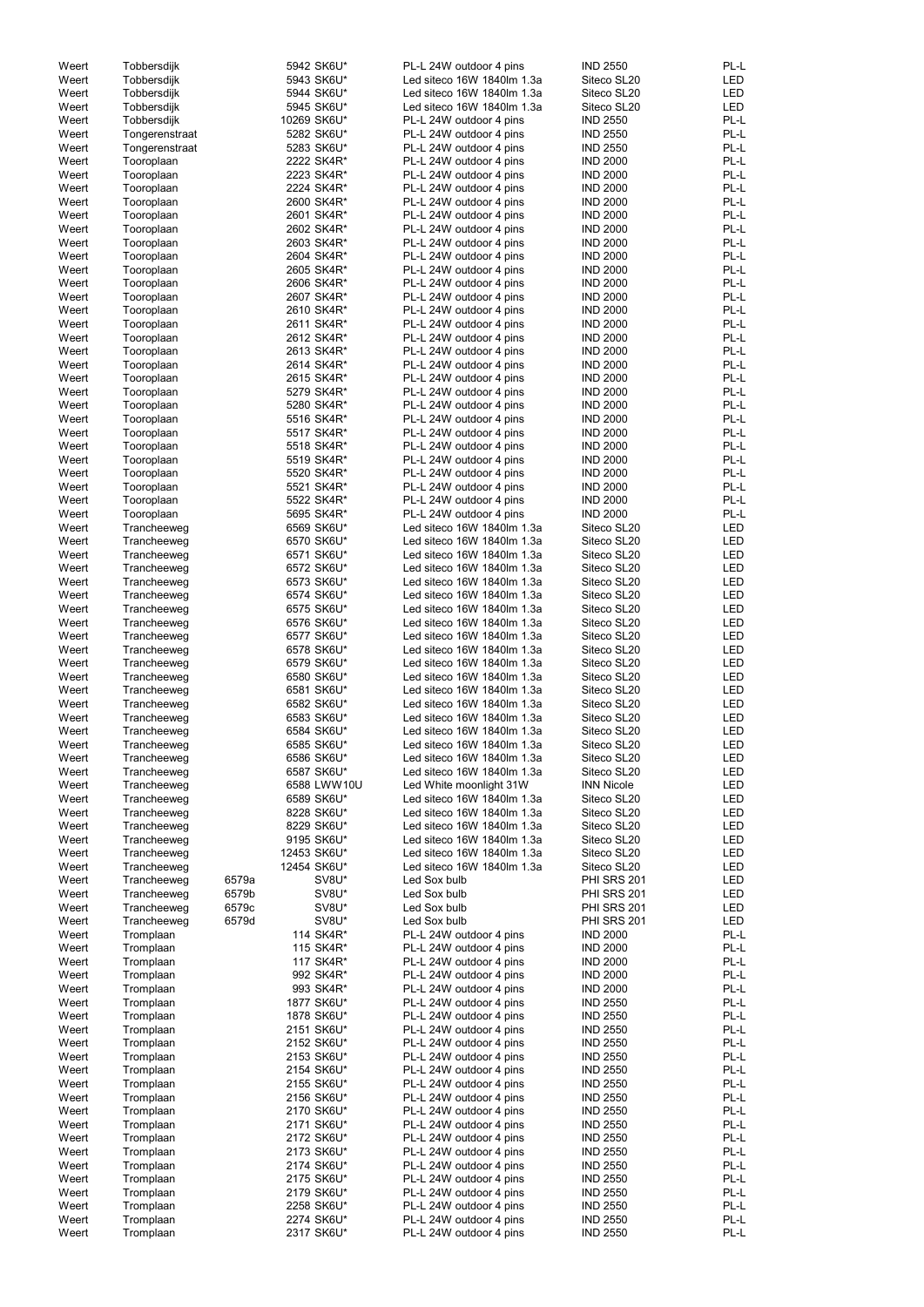| Weert | Tobbersdijk    |       | 5942 SK6U*  | PL-L 24W outdoor 4 pins    | <b>IND 2550</b>    | PL-L       |
|-------|----------------|-------|-------------|----------------------------|--------------------|------------|
| Weert | Tobbersdijk    |       | 5943 SK6U*  | Led siteco 16W 1840lm 1.3a | Siteco SL20        | <b>LED</b> |
| Weert | Tobbersdijk    |       | 5944 SK6U*  | Led siteco 16W 1840lm 1.3a | Siteco SL20        | <b>LED</b> |
| Weert | Tobbersdijk    |       | 5945 SK6U*  | Led siteco 16W 1840lm 1.3a | Siteco SL20        | <b>LED</b> |
|       |                |       |             |                            |                    |            |
| Weert | Tobbersdijk    |       | 10269 SK6U* | PL-L 24W outdoor 4 pins    | <b>IND 2550</b>    | PL-L       |
| Weert | Tongerenstraat |       | 5282 SK6U*  | PL-L 24W outdoor 4 pins    | <b>IND 2550</b>    | PL-L       |
| Weert | Tongerenstraat |       | 5283 SK6U*  | PL-L 24W outdoor 4 pins    | <b>IND 2550</b>    | PL-L       |
| Weert | Tooroplaan     |       | 2222 SK4R*  | PL-L 24W outdoor 4 pins    | <b>IND 2000</b>    | PL-L       |
|       |                |       |             |                            |                    |            |
| Weert | Tooroplaan     |       | 2223 SK4R*  | PL-L 24W outdoor 4 pins    | <b>IND 2000</b>    | PL-L       |
| Weert | Tooroplaan     |       | 2224 SK4R*  | PL-L 24W outdoor 4 pins    | <b>IND 2000</b>    | PL-L       |
| Weert | Tooroplaan     |       | 2600 SK4R*  | PL-L 24W outdoor 4 pins    | <b>IND 2000</b>    | PL-L       |
|       |                |       |             |                            |                    |            |
| Weert | Tooroplaan     |       | 2601 SK4R*  | PL-L 24W outdoor 4 pins    | <b>IND 2000</b>    | PL-L       |
| Weert | Tooroplaan     |       | 2602 SK4R*  | PL-L 24W outdoor 4 pins    | <b>IND 2000</b>    | PL-L       |
| Weert | Tooroplaan     |       | 2603 SK4R*  | PL-L 24W outdoor 4 pins    | <b>IND 2000</b>    | PL-L       |
| Weert |                |       | 2604 SK4R*  | PL-L 24W outdoor 4 pins    | <b>IND 2000</b>    | PL-L       |
|       | Tooroplaan     |       |             |                            |                    |            |
| Weert | Tooroplaan     |       | 2605 SK4R*  | PL-L 24W outdoor 4 pins    | <b>IND 2000</b>    | PL-L       |
| Weert | Tooroplaan     |       | 2606 SK4R*  | PL-L 24W outdoor 4 pins    | <b>IND 2000</b>    | PL-L       |
| Weert | Tooroplaan     |       | 2607 SK4R*  | PL-L 24W outdoor 4 pins    | <b>IND 2000</b>    | PL-L       |
|       |                |       |             |                            |                    |            |
| Weert | Tooroplaan     |       | 2610 SK4R*  | PL-L 24W outdoor 4 pins    | <b>IND 2000</b>    | PL-L       |
| Weert | Tooroplaan     |       | 2611 SK4R*  | PL-L 24W outdoor 4 pins    | <b>IND 2000</b>    | PL-L       |
| Weert | Tooroplaan     |       | 2612 SK4R*  | PL-L 24W outdoor 4 pins    | <b>IND 2000</b>    | PL-L       |
|       |                |       | 2613 SK4R*  |                            | <b>IND 2000</b>    | PL-L       |
| Weert | Tooroplaan     |       |             | PL-L 24W outdoor 4 pins    |                    |            |
| Weert | Tooroplaan     |       | 2614 SK4R*  | PL-L 24W outdoor 4 pins    | <b>IND 2000</b>    | PL-L       |
| Weert | Tooroplaan     |       | 2615 SK4R*  | PL-L 24W outdoor 4 pins    | <b>IND 2000</b>    | PL-L       |
| Weert | Tooroplaan     |       | 5279 SK4R*  | PL-L 24W outdoor 4 pins    | <b>IND 2000</b>    | PL-L       |
|       |                |       |             |                            |                    |            |
| Weert | Tooroplaan     |       | 5280 SK4R*  | PL-L 24W outdoor 4 pins    | <b>IND 2000</b>    | PL-L       |
| Weert | Tooroplaan     |       | 5516 SK4R*  | PL-L 24W outdoor 4 pins    | <b>IND 2000</b>    | PL-L       |
| Weert | Tooroplaan     |       | 5517 SK4R*  | PL-L 24W outdoor 4 pins    | <b>IND 2000</b>    | PL-L       |
|       |                |       |             |                            |                    |            |
| Weert | Tooroplaan     |       | 5518 SK4R*  | PL-L 24W outdoor 4 pins    | <b>IND 2000</b>    | PL-L       |
| Weert | Tooroplaan     |       | 5519 SK4R*  | PL-L 24W outdoor 4 pins    | <b>IND 2000</b>    | PL-L       |
| Weert | Tooroplaan     |       | 5520 SK4R*  | PL-L 24W outdoor 4 pins    | <b>IND 2000</b>    | PL-L       |
|       |                |       |             |                            |                    |            |
| Weert | Tooroplaan     |       | 5521 SK4R*  | PL-L 24W outdoor 4 pins    | <b>IND 2000</b>    | PL-L       |
| Weert | Tooroplaan     |       | 5522 SK4R*  | PL-L 24W outdoor 4 pins    | <b>IND 2000</b>    | PL-L       |
| Weert | Tooroplaan     |       | 5695 SK4R*  | PL-L 24W outdoor 4 pins    | <b>IND 2000</b>    | PL-L       |
| Weert | Trancheeweg    |       | 6569 SK6U*  | Led siteco 16W 1840lm 1.3a | Siteco SL20        | <b>LED</b> |
|       |                |       |             |                            |                    |            |
| Weert | Trancheeweg    |       | 6570 SK6U*  | Led siteco 16W 1840lm 1.3a | Siteco SL20        | <b>LED</b> |
| Weert | Trancheeweg    |       | 6571 SK6U*  | Led siteco 16W 1840lm 1.3a | Siteco SL20        | <b>LED</b> |
| Weert | Trancheeweg    |       | 6572 SK6U*  | Led siteco 16W 1840lm 1.3a | Siteco SL20        | LED        |
|       |                |       |             |                            |                    |            |
| Weert | Trancheeweg    |       | 6573 SK6U*  | Led siteco 16W 1840lm 1.3a | Siteco SL20        | <b>LED</b> |
| Weert | Trancheeweg    |       | 6574 SK6U*  | Led siteco 16W 1840lm 1.3a | Siteco SL20        | <b>LED</b> |
| Weert | Trancheeweg    |       | 6575 SK6U*  | Led siteco 16W 1840lm 1.3a | Siteco SL20        | <b>LED</b> |
|       |                |       |             |                            |                    |            |
| Weert | Trancheeweg    |       | 6576 SK6U*  | Led siteco 16W 1840lm 1.3a | Siteco SL20        | <b>LED</b> |
| Weert | Trancheeweg    |       | 6577 SK6U*  | Led siteco 16W 1840lm 1.3a | Siteco SL20        | <b>LED</b> |
| Weert | Trancheeweg    |       | 6578 SK6U*  | Led siteco 16W 1840lm 1.3a | Siteco SL20        | <b>LED</b> |
|       |                |       |             |                            | Siteco SL20        | <b>LED</b> |
| Weert | Trancheeweg    |       | 6579 SK6U*  | Led siteco 16W 1840lm 1.3a |                    |            |
| Weert | Trancheeweg    |       | 6580 SK6U*  | Led siteco 16W 1840lm 1.3a | Siteco SL20        | <b>LED</b> |
| Weert | Trancheeweg    |       | 6581 SK6U*  | Led siteco 16W 1840lm 1.3a | Siteco SL20        | <b>LED</b> |
| Weert | Trancheeweg    |       | 6582 SK6U*  | Led siteco 16W 1840lm 1.3a | Siteco SL20        | LED        |
|       |                |       |             |                            |                    |            |
| Weert | Trancheeweg    |       | 6583 SK6U*  | Led siteco 16W 1840lm 1.3a | Siteco SL20        | LED        |
| Weert | Trancheeweg    |       | 6584 SK6U*  | Led siteco 16W 1840lm 1.3a | Siteco SL20        | LED        |
| Weert | Trancheeweg    |       | 6585 SK6U*  | Led siteco 16W 1840lm 1.3a | Siteco SL20        | <b>LED</b> |
|       |                |       |             |                            |                    |            |
| Weert | Trancheeweg    |       | 6586 SK6U*  | Led siteco 16W 1840lm 1.3a | Siteco SL20        | <b>LED</b> |
| Weert | Trancheeweg    |       | 6587 SK6U*  | Led siteco 16W 1840lm 1.3a | Siteco SL20        | <b>LED</b> |
| Weert | Trancheeweg    |       | 6588 LWW10U | Led White moonlight 31W    | <b>INN Nicole</b>  | <b>LED</b> |
|       |                |       |             |                            |                    |            |
| Weert | Trancheeweg    |       | 6589 SK6U*  | Led siteco 16W 1840lm 1.3a | Siteco SL20        | <b>LED</b> |
| Weert | Trancheeweg    |       | 8228 SK6U*  | Led siteco 16W 1840lm 1.3a | Siteco SL20        | LED        |
| Weert | Trancheeweg    |       | 8229 SK6U*  | Led siteco 16W 1840lm 1.3a | Siteco SL20        | LED        |
| Weert | Trancheeweg    |       | 9195 SK6U*  | Led siteco 16W 1840lm 1.3a | Siteco SL20        | LED        |
|       |                |       |             |                            |                    |            |
| Weert | Trancheeweg    |       | 12453 SK6U* | Led siteco 16W 1840lm 1.3a | Siteco SL20        | <b>LED</b> |
| Weert | Trancheeweg    |       | 12454 SK6U* | Led siteco 16W 1840lm 1.3a | Siteco SL20        | <b>LED</b> |
| Weert | Trancheeweg    | 6579a | SV8U*       | Led Sox bulb               | <b>PHI SRS 201</b> | <b>LED</b> |
| Weert | Trancheeweg    | 6579b | SV8U*       | Led Sox bulb               | PHI SRS 201        | LED        |
|       |                |       |             |                            |                    |            |
| Weert | Trancheeweg    | 6579c | SV8U*       | Led Sox bulb               | <b>PHI SRS 201</b> | <b>LED</b> |
| Weert | Trancheeweg    | 6579d | SV8U*       | Led Sox bulb               | <b>PHI SRS 201</b> | LED        |
| Weert | Tromplaan      |       | 114 SK4R*   | PL-L 24W outdoor 4 pins    | <b>IND 2000</b>    | PL-L       |
|       |                |       |             |                            |                    |            |
| Weert | Tromplaan      |       | 115 SK4R*   | PL-L 24W outdoor 4 pins    | <b>IND 2000</b>    | PL-L       |
| Weert | Tromplaan      |       | 117 SK4R*   | PL-L 24W outdoor 4 pins    | <b>IND 2000</b>    | PL-L       |
| Weert | Tromplaan      |       | 992 SK4R*   | PL-L 24W outdoor 4 pins    | <b>IND 2000</b>    | PL-L       |
|       |                |       |             |                            | <b>IND 2000</b>    | PL-L       |
| Weert | Tromplaan      |       | 993 SK4R*   | PL-L 24W outdoor 4 pins    |                    |            |
| Weert | Tromplaan      |       | 1877 SK6U*  | PL-L 24W outdoor 4 pins    | <b>IND 2550</b>    | PL-L       |
| Weert | Tromplaan      |       | 1878 SK6U*  | PL-L 24W outdoor 4 pins    | <b>IND 2550</b>    | PL-L       |
| Weert | Tromplaan      |       | 2151 SK6U*  | PL-L 24W outdoor 4 pins    | <b>IND 2550</b>    | PL-L       |
|       |                |       |             |                            |                    |            |
| Weert | Tromplaan      |       | 2152 SK6U*  | PL-L 24W outdoor 4 pins    | <b>IND 2550</b>    | PL-L       |
| Weert | Tromplaan      |       | 2153 SK6U*  | PL-L 24W outdoor 4 pins    | <b>IND 2550</b>    | PL-L       |
| Weert | Tromplaan      |       | 2154 SK6U*  | PL-L 24W outdoor 4 pins    | <b>IND 2550</b>    | PL-L       |
|       |                |       |             |                            |                    |            |
| Weert | Tromplaan      |       | 2155 SK6U*  | PL-L 24W outdoor 4 pins    | <b>IND 2550</b>    | PL-L       |
| Weert | Tromplaan      |       | 2156 SK6U*  | PL-L 24W outdoor 4 pins    | <b>IND 2550</b>    | PL-L       |
| Weert | Tromplaan      |       | 2170 SK6U*  | PL-L 24W outdoor 4 pins    | <b>IND 2550</b>    | PL-L       |
|       |                |       |             |                            |                    |            |
| Weert | Tromplaan      |       | 2171 SK6U*  | PL-L 24W outdoor 4 pins    | <b>IND 2550</b>    | PL-L       |
| Weert | Tromplaan      |       | 2172 SK6U*  | PL-L 24W outdoor 4 pins    | <b>IND 2550</b>    | PL-L       |
| Weert | Tromplaan      |       | 2173 SK6U*  | PL-L 24W outdoor 4 pins    | <b>IND 2550</b>    | PL-L       |
| Weert | Tromplaan      |       | 2174 SK6U*  | PL-L 24W outdoor 4 pins    | <b>IND 2550</b>    | PL-L       |
|       |                |       |             |                            |                    |            |
| Weert | Tromplaan      |       | 2175 SK6U*  | PL-L 24W outdoor 4 pins    | <b>IND 2550</b>    | PL-L       |
| Weert | Tromplaan      |       | 2179 SK6U*  | PL-L 24W outdoor 4 pins    | <b>IND 2550</b>    | PL-L       |
| Weert | Tromplaan      |       | 2258 SK6U*  | PL-L 24W outdoor 4 pins    | <b>IND 2550</b>    | PL-L       |
|       |                |       |             |                            |                    |            |
| Weert | Tromplaan      |       | 2274 SK6U*  | PL-L 24W outdoor 4 pins    | <b>IND 2550</b>    | PL-L       |
| Weert | Tromplaan      |       | 2317 SK6U*  | PL-L 24W outdoor 4 pins    | <b>IND 2550</b>    | PL-L       |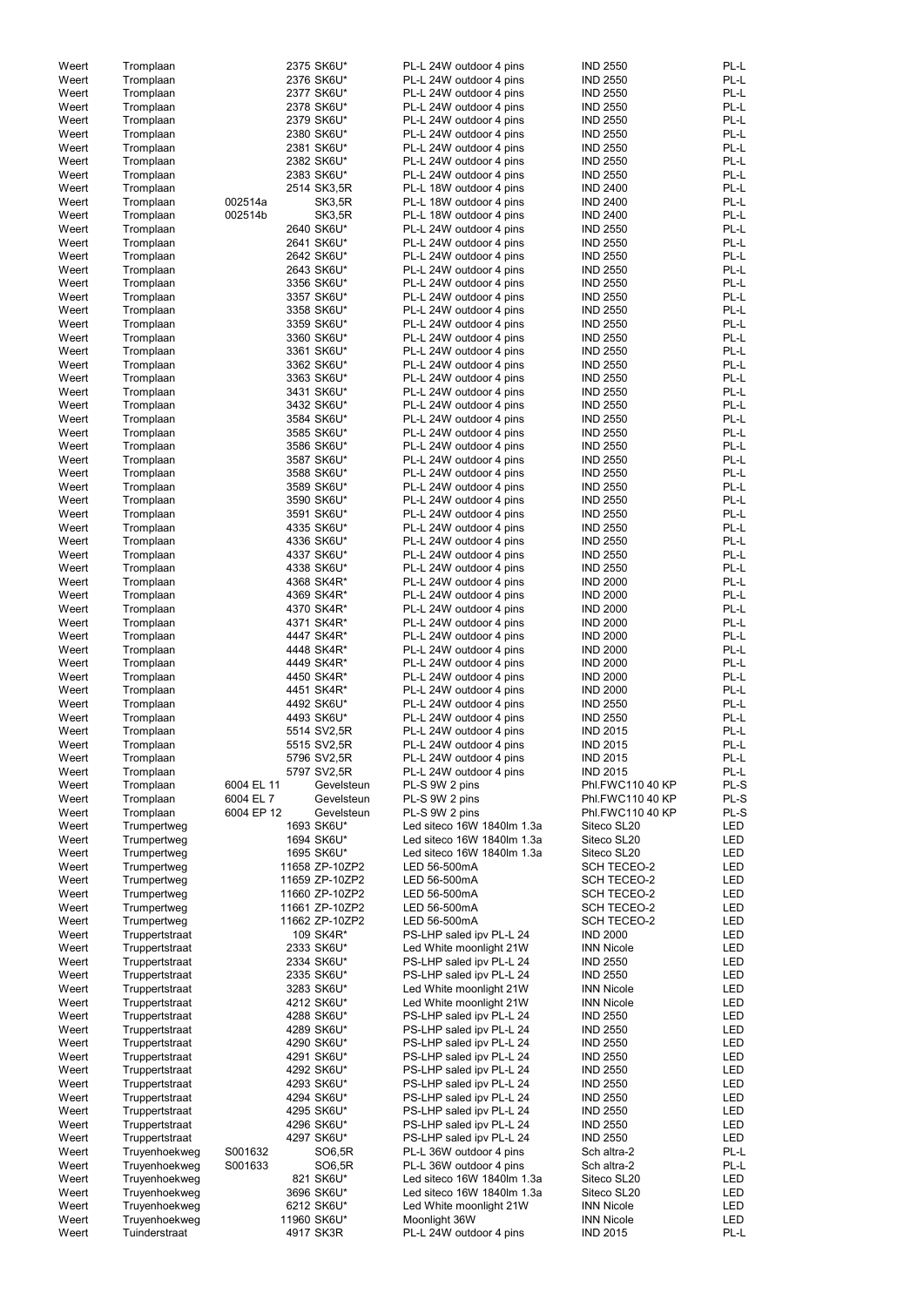| Weert | Tromplaan                      |            | 2375 SK6U*     | PL-L 24W outdoor 4 pins    | <b>IND 2550</b>    | PL-L       |
|-------|--------------------------------|------------|----------------|----------------------------|--------------------|------------|
| Weert | Tromplaan                      |            | 2376 SK6U*     | PL-L 24W outdoor 4 pins    | <b>IND 2550</b>    | PL-L       |
| Weert | Tromplaan                      |            | 2377 SK6U*     | PL-L 24W outdoor 4 pins    | <b>IND 2550</b>    | PL-L       |
| Weert | Tromplaan                      |            | 2378 SK6U*     | PL-L 24W outdoor 4 pins    | <b>IND 2550</b>    | PL-L       |
|       |                                |            | 2379 SK6U*     |                            | <b>IND 2550</b>    | PL-L       |
| Weert | Tromplaan                      |            |                | PL-L 24W outdoor 4 pins    |                    |            |
| Weert | Tromplaan                      |            | 2380 SK6U*     | PL-L 24W outdoor 4 pins    | <b>IND 2550</b>    | PL-L       |
| Weert | Tromplaan                      |            | 2381 SK6U*     | PL-L 24W outdoor 4 pins    | <b>IND 2550</b>    | PL-L       |
| Weert | Tromplaan                      |            | 2382 SK6U*     | PL-L 24W outdoor 4 pins    | <b>IND 2550</b>    | PL-L       |
| Weert | Tromplaan                      |            | 2383 SK6U*     | PL-L 24W outdoor 4 pins    | <b>IND 2550</b>    | PL-L       |
|       |                                |            |                |                            |                    | PL-L       |
| Weert | Tromplaan                      |            | 2514 SK3,5R    | PL-L 18W outdoor 4 pins    | <b>IND 2400</b>    |            |
| Weert | Tromplaan                      | 002514a    | <b>SK3,5R</b>  | PL-L 18W outdoor 4 pins    | <b>IND 2400</b>    | PL-L       |
| Weert | Tromplaan                      | 002514b    | <b>SK3,5R</b>  | PL-L 18W outdoor 4 pins    | <b>IND 2400</b>    | PL-L       |
| Weert | Tromplaan                      |            | 2640 SK6U*     | PL-L 24W outdoor 4 pins    | <b>IND 2550</b>    | PL-L       |
|       |                                |            | 2641 SK6U*     | PL-L 24W outdoor 4 pins    | <b>IND 2550</b>    | PL-L       |
| Weert | Tromplaan                      |            |                |                            |                    |            |
| Weert | Tromplaan                      |            | 2642 SK6U*     | PL-L 24W outdoor 4 pins    | <b>IND 2550</b>    | PL-L       |
| Weert | Tromplaan                      |            | 2643 SK6U*     | PL-L 24W outdoor 4 pins    | <b>IND 2550</b>    | PL-L       |
| Weert | Tromplaan                      |            | 3356 SK6U*     | PL-L 24W outdoor 4 pins    | <b>IND 2550</b>    | PL-L       |
| Weert | Tromplaan                      |            | 3357 SK6U*     | PL-L 24W outdoor 4 pins    | <b>IND 2550</b>    | PL-L       |
|       |                                |            |                |                            |                    |            |
| Weert | Tromplaan                      |            | 3358 SK6U*     | PL-L 24W outdoor 4 pins    | <b>IND 2550</b>    | PL-L       |
| Weert | Tromplaan                      |            | 3359 SK6U*     | PL-L 24W outdoor 4 pins    | <b>IND 2550</b>    | PL-L       |
| Weert | Tromplaan                      |            | 3360 SK6U*     | PL-L 24W outdoor 4 pins    | <b>IND 2550</b>    | PL-L       |
| Weert | Tromplaan                      |            | 3361 SK6U*     | PL-L 24W outdoor 4 pins    | <b>IND 2550</b>    | PL-L       |
| Weert |                                |            | 3362 SK6U*     | PL-L 24W outdoor 4 pins    | <b>IND 2550</b>    | PL-L       |
|       | Tromplaan                      |            |                |                            |                    |            |
| Weert | Tromplaan                      |            | 3363 SK6U*     | PL-L 24W outdoor 4 pins    | <b>IND 2550</b>    | PL-L       |
| Weert | Tromplaan                      |            | 3431 SK6U*     | PL-L 24W outdoor 4 pins    | <b>IND 2550</b>    | PL-L       |
| Weert | Tromplaan                      |            | 3432 SK6U*     | PL-L 24W outdoor 4 pins    | <b>IND 2550</b>    | PL-L       |
| Weert | Tromplaan                      |            | 3584 SK6U*     | PL-L 24W outdoor 4 pins    | <b>IND 2550</b>    | PL-L       |
|       |                                |            |                |                            |                    |            |
| Weert | Tromplaan                      |            | 3585 SK6U*     | PL-L 24W outdoor 4 pins    | <b>IND 2550</b>    | PL-L       |
| Weert | Tromplaan                      |            | 3586 SK6U*     | PL-L 24W outdoor 4 pins    | <b>IND 2550</b>    | PL-L       |
| Weert | Tromplaan                      |            | 3587 SK6U*     | PL-L 24W outdoor 4 pins    | <b>IND 2550</b>    | PL-L       |
| Weert | Tromplaan                      |            | 3588 SK6U*     | PL-L 24W outdoor 4 pins    | <b>IND 2550</b>    | PL-L       |
| Weert |                                |            | 3589 SK6U*     | PL-L 24W outdoor 4 pins    | <b>IND 2550</b>    | PL-L       |
|       | Tromplaan                      |            |                |                            |                    |            |
| Weert | Tromplaan                      |            | 3590 SK6U*     | PL-L 24W outdoor 4 pins    | <b>IND 2550</b>    | PL-L       |
| Weert | Tromplaan                      |            | 3591 SK6U*     | PL-L 24W outdoor 4 pins    | <b>IND 2550</b>    | PL-L       |
| Weert | Tromplaan                      |            | 4335 SK6U*     | PL-L 24W outdoor 4 pins    | <b>IND 2550</b>    | PL-L       |
| Weert | Tromplaan                      |            | 4336 SK6U*     | PL-L 24W outdoor 4 pins    | <b>IND 2550</b>    | PL-L       |
|       |                                |            |                |                            |                    |            |
| Weert | Tromplaan                      |            | 4337 SK6U*     | PL-L 24W outdoor 4 pins    | <b>IND 2550</b>    | PL-L       |
| Weert | Tromplaan                      |            | 4338 SK6U*     | PL-L 24W outdoor 4 pins    | <b>IND 2550</b>    | PL-L       |
| Weert | Tromplaan                      |            | 4368 SK4R*     | PL-L 24W outdoor 4 pins    | <b>IND 2000</b>    | PL-L       |
| Weert | Tromplaan                      |            | 4369 SK4R*     | PL-L 24W outdoor 4 pins    | <b>IND 2000</b>    | PL-L       |
|       |                                |            | 4370 SK4R*     | PL-L 24W outdoor 4 pins    | <b>IND 2000</b>    | PL-L       |
| Weert | Tromplaan                      |            |                |                            |                    |            |
| Weert | Tromplaan                      |            | 4371 SK4R*     | PL-L 24W outdoor 4 pins    | <b>IND 2000</b>    | PL-L       |
| Weert | Tromplaan                      |            | 4447 SK4R*     | PL-L 24W outdoor 4 pins    | <b>IND 2000</b>    | PL-L       |
| Weert | Tromplaan                      |            | 4448 SK4R*     | PL-L 24W outdoor 4 pins    | <b>IND 2000</b>    | PL-L       |
| Weert | Tromplaan                      |            | 4449 SK4R*     | PL-L 24W outdoor 4 pins    | <b>IND 2000</b>    | PL-L       |
|       |                                |            |                |                            |                    |            |
| Weert | Tromplaan                      |            | 4450 SK4R*     | PL-L 24W outdoor 4 pins    | <b>IND 2000</b>    | PL-L       |
| Weert | Tromplaan                      |            | 4451 SK4R*     | PL-L 24W outdoor 4 pins    | <b>IND 2000</b>    | PL-L       |
| Weert | Tromplaan                      |            | 4492 SK6U*     | PL-L 24W outdoor 4 pins    | <b>IND 2550</b>    | PL-L       |
| Weert | Tromplaan                      |            | 4493 SK6U*     | PL-L 24W outdoor 4 pins    | <b>IND 2550</b>    | PL-L       |
|       |                                |            |                |                            |                    |            |
| Weert | Tromplaan                      |            | 5514 SV2,5R    | PL-L 24W outdoor 4 pins    | <b>IND 2015</b>    | PL-L       |
| Weert | Tromplaan                      |            | 5515 SV2,5R    | PL-L 24W outdoor 4 pins    | <b>IND 2015</b>    | PL-L       |
| Weert | Tromplaan                      |            | 5796 SV2,5R    | PL-L 24W outdoor 4 pins    | <b>IND 2015</b>    | PL-L       |
| Weert | Tromplaan                      |            | 5797 SV2,5R    | PL-L 24W outdoor 4 pins    | <b>IND 2015</b>    | PL-L       |
| Weert | Tromplaan                      | 6004 EL 11 | Gevelsteun     | PL-S 9W 2 pins             | Phl.FWC110 40 KP   | PL-S       |
|       |                                |            |                |                            |                    |            |
| Weert | Tromplaan                      | 6004 EL 7  | Gevelsteun     | PL-S 9W 2 pins             | Phl.FWC110 40 KP   | PL-S       |
| Weert | Tromplaan                      | 6004 EP 12 | Gevelsteun     | PL-S 9W 2 pins             | Phl.FWC110 40 KP   | PL-S       |
| Weert | Trumpertweg                    |            | 1693 SK6U*     | Led siteco 16W 1840lm 1.3a | Siteco SL20        | <b>LED</b> |
| Weert | Trumpertweg                    |            | 1694 SK6U*     | Led siteco 16W 1840lm 1.3a | Siteco SL20        | <b>LED</b> |
| Weert | Trumpertweg                    |            | 1695 SK6U*     | Led siteco 16W 1840lm 1.3a | Siteco SL20        | LED        |
|       |                                |            |                |                            |                    |            |
| Weert | Trumpertweg                    |            | 11658 ZP-10ZP2 | LED 56-500mA               | <b>SCH TECEO-2</b> | <b>LED</b> |
| Weert | Trumpertweg                    |            | 11659 ZP-10ZP2 | LED 56-500mA               | <b>SCH TECEO-2</b> | LED        |
| Weert | Trumpertweg                    |            | 11660 ZP-10ZP2 | LED 56-500mA               | <b>SCH TECEO-2</b> | LED        |
| Weert | Trumpertweg                    |            | 11661 ZP-10ZP2 | LED 56-500mA               | <b>SCH TECEO-2</b> | LED        |
| Weert | Trumpertweg                    |            | 11662 ZP-10ZP2 | LED 56-500mA               | <b>SCH TECEO-2</b> | LED        |
|       |                                |            | 109 SK4R*      |                            | <b>IND 2000</b>    | LED        |
| Weert | Truppertstraat                 |            |                | PS-LHP saled ipv PL-L 24   |                    |            |
| Weert | Truppertstraat                 |            | 2333 SK6U*     | Led White moonlight 21W    | <b>INN Nicole</b>  | LED        |
| Weert | Truppertstraat                 |            | 2334 SK6U*     | PS-LHP saled ipv PL-L 24   | <b>IND 2550</b>    | LED        |
| Weert | Truppertstraat                 |            | 2335 SK6U*     | PS-LHP saled ipv PL-L 24   | <b>IND 2550</b>    | <b>LED</b> |
| Weert | Truppertstraat                 |            | 3283 SK6U*     | Led White moonlight 21W    | <b>INN Nicole</b>  | LED        |
|       |                                |            |                |                            |                    |            |
| Weert | Truppertstraat                 |            | 4212 SK6U*     | Led White moonlight 21W    | <b>INN Nicole</b>  | LED        |
| Weert | Truppertstraat                 |            | 4288 SK6U*     | PS-LHP saled ipv PL-L 24   | <b>IND 2550</b>    | LED        |
| Weert | Truppertstraat                 |            | 4289 SK6U*     | PS-LHP saled ipv PL-L 24   | <b>IND 2550</b>    | <b>LED</b> |
| Weert | Truppertstraat                 |            | 4290 SK6U*     | PS-LHP saled ipv PL-L 24   | <b>IND 2550</b>    | <b>LED</b> |
| Weert | Truppertstraat                 |            | 4291 SK6U*     | PS-LHP saled ipv PL-L 24   | <b>IND 2550</b>    | LED        |
|       |                                |            |                |                            |                    |            |
| Weert | Truppertstraat                 |            | 4292 SK6U*     | PS-LHP saled ipv PL-L 24   | <b>IND 2550</b>    | LED        |
| Weert | Truppertstraat                 |            | 4293 SK6U*     | PS-LHP saled ipv PL-L 24   | <b>IND 2550</b>    | LED        |
| Weert | Truppertstraat                 |            | 4294 SK6U*     | PS-LHP saled ipv PL-L 24   | <b>IND 2550</b>    | LED        |
| Weert | Truppertstraat                 |            | 4295 SK6U*     | PS-LHP saled ipv PL-L 24   | <b>IND 2550</b>    | LED        |
|       |                                |            |                | PS-LHP saled ipv PL-L 24   |                    |            |
| Weert | Truppertstraat                 |            | 4296 SK6U*     |                            | <b>IND 2550</b>    | LED        |
| Weert | Truppertstraat                 |            | 4297 SK6U*     | PS-LHP saled ipv PL-L 24   | <b>IND 2550</b>    | LED        |
| Weert | Truyenhoekweg                  | S001632    | SO6,5R         | PL-L 36W outdoor 4 pins    | Sch altra-2        | PL-L       |
|       |                                |            |                | PL-L 36W outdoor 4 pins    | Sch altra-2        | PL-L       |
| Weert |                                |            |                |                            |                    |            |
|       | Truyenhoekweg                  | S001633    | SO6,5R         |                            |                    |            |
| Weert | Truyenhoekweg                  |            | 821 SK6U*      | Led siteco 16W 1840lm 1.3a | Siteco SL20        | LED        |
| Weert | Truyenhoekweg                  |            | 3696 SK6U*     | Led siteco 16W 1840lm 1.3a | Siteco SL20        | LED        |
| Weert | Truyenhoekweg                  |            | 6212 SK6U*     | Led White moonlight 21W    | <b>INN Nicole</b>  | LED        |
| Weert | Truyenhoekweg<br>Tuinderstraat |            | 11960 SK6U*    | Moonlight 36W              | <b>INN Nicole</b>  | LED        |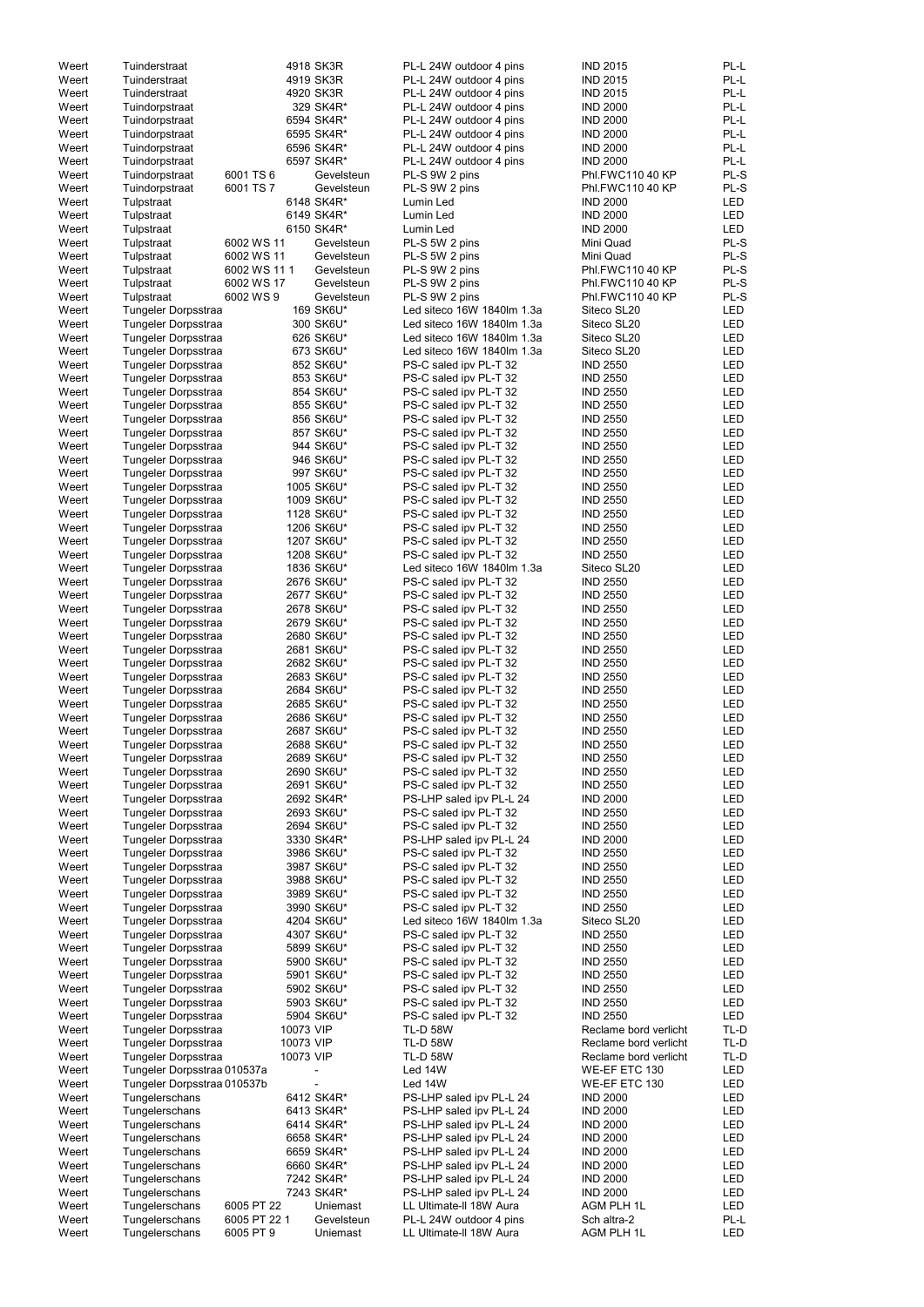| Weert          | Tuinderstraat                    |                           | 4918 SK3R              | PL-L 24W outdoor 4 pins                            | <b>IND 2015</b>           | PL-L        |
|----------------|----------------------------------|---------------------------|------------------------|----------------------------------------------------|---------------------------|-------------|
| Weert          | Tuinderstraat                    |                           | 4919 SK3R              | PL-L 24W outdoor 4 pins                            | <b>IND 2015</b>           | PL-L        |
| Weert          | Tuinderstraat                    |                           | 4920 SK3R              | PL-L 24W outdoor 4 pins                            | <b>IND 2015</b>           | PL-L        |
| Weert          | Tuindorpstraat                   |                           | 329 SK4R*              | PL-L 24W outdoor 4 pins                            | <b>IND 2000</b>           | PL-L        |
|                |                                  |                           |                        |                                                    |                           |             |
| Weert          | Tuindorpstraat                   |                           | 6594 SK4R*             | PL-L 24W outdoor 4 pins                            | <b>IND 2000</b>           | PL-L        |
| Weert          | Tuindorpstraat                   |                           | 6595 SK4R*             | PL-L 24W outdoor 4 pins                            | <b>IND 2000</b>           | PL-L        |
| Weert          | Tuindorpstraat                   |                           | 6596 SK4R*             | PL-L 24W outdoor 4 pins                            | <b>IND 2000</b>           | PL-L        |
| Weert          | Tuindorpstraat                   |                           | 6597 SK4R*             | PL-L 24W outdoor 4 pins                            | <b>IND 2000</b>           | PL-L        |
| Weert          | Tuindorpstraat                   | 6001 TS 6                 | Gevelsteun             | PL-S 9W 2 pins                                     | Phl.FWC110 40 KP          | PL-S        |
| Weert          |                                  | 6001 TS 7                 | Gevelsteun             |                                                    | Phl.FWC110 40 KP          | PL-S        |
|                | Tuindorpstraat                   |                           |                        | PL-S 9W 2 pins                                     |                           |             |
| Weert          | Tulpstraat                       |                           | 6148 SK4R*             | Lumin Led                                          | <b>IND 2000</b>           | <b>LED</b>  |
| Weert          | Tulpstraat                       |                           | 6149 SK4R*             | Lumin Led                                          | <b>IND 2000</b>           | <b>LED</b>  |
| Weert          | Tulpstraat                       |                           | 6150 SK4R*             | Lumin Led                                          | <b>IND 2000</b>           | <b>LED</b>  |
| Weert          | Tulpstraat                       | 6002 WS 11                | Gevelsteun             | PL-S 5W 2 pins                                     | Mini Quad                 | PL-S        |
|                |                                  | 6002 WS 11                | Gevelsteun             |                                                    | Mini Quad                 | PL-S        |
| Weert          | Tulpstraat                       |                           |                        | PL-S 5W 2 pins                                     |                           |             |
| Weert          | Tulpstraat                       | 6002 WS 111               | Gevelsteun             | PL-S 9W 2 pins                                     | Phl.FWC110 40 KP          | PL-S        |
| Weert          | Tulpstraat                       | 6002 WS 17                | Gevelsteun             | PL-S 9W 2 pins                                     | Phl.FWC110 40 KP          | PL-S        |
| Weert          | Tulpstraat                       | 6002 WS 9                 | Gevelsteun             | PL-S 9W 2 pins                                     | Phl.FWC110 40 KP          | PL-S        |
| Weert          | Tungeler Dorpsstraa              |                           | 169 SK6U*              | Led siteco 16W 1840lm 1.3a                         | Siteco SL20               | <b>LED</b>  |
|                |                                  |                           |                        |                                                    |                           |             |
| Weert          | Tungeler Dorpsstraa              |                           | 300 SK6U*              | Led siteco 16W 1840lm 1.3a                         | Siteco SL20               | <b>LED</b>  |
| Weert          | Tungeler Dorpsstraa              |                           | 626 SK6U*              | Led siteco 16W 1840lm 1.3a                         | Siteco SL20               | <b>LED</b>  |
| Weert          | Tungeler Dorpsstraa              |                           | 673 SK6U*              | Led siteco 16W 1840lm 1.3a                         | Siteco SL20               | <b>LED</b>  |
| Weert          | Tungeler Dorpsstraa              |                           | 852 SK6U*              | PS-C saled ipv PL-T 32                             | <b>IND 2550</b>           | <b>LED</b>  |
| Weert          | Tungeler Dorpsstraa              |                           | 853 SK6U*              | PS-C saled ipv PL-T 32                             | <b>IND 2550</b>           | <b>LED</b>  |
|                |                                  |                           |                        |                                                    |                           |             |
| Weert          | Tungeler Dorpsstraa              |                           | 854 SK6U*              | PS-C saled ipv PL-T 32                             | <b>IND 2550</b>           | <b>LED</b>  |
| Weert          | Tungeler Dorpsstraa              |                           | 855 SK6U*              | PS-C saled ipv PL-T 32                             | <b>IND 2550</b>           | <b>LED</b>  |
| Weert          | Tungeler Dorpsstraa              |                           | 856 SK6U*              | PS-C saled ipv PL-T 32                             | <b>IND 2550</b>           | <b>LED</b>  |
| Weert          | Tungeler Dorpsstraa              |                           | 857 SK6U*              | PS-C saled ipv PL-T 32                             | <b>IND 2550</b>           | <b>LED</b>  |
| Weert          |                                  |                           | 944 SK6U*              |                                                    | <b>IND 2550</b>           | <b>LED</b>  |
|                | Tungeler Dorpsstraa              |                           |                        | PS-C saled ipv PL-T 32                             |                           |             |
| Weert          | Tungeler Dorpsstraa              |                           | 946 SK6U*              | PS-C saled ipv PL-T 32                             | <b>IND 2550</b>           | <b>LED</b>  |
| Weert          | Tungeler Dorpsstraa              |                           | 997 SK6U*              | PS-C saled ipv PL-T 32                             | <b>IND 2550</b>           | <b>LED</b>  |
| Weert          | Tungeler Dorpsstraa              |                           | 1005 SK6U*             | PS-C saled ipv PL-T 32                             | <b>IND 2550</b>           | <b>LED</b>  |
| Weert          | Tungeler Dorpsstraa              |                           | 1009 SK6U*             | PS-C saled ipv PL-T 32                             | <b>IND 2550</b>           | <b>LED</b>  |
|                |                                  |                           |                        |                                                    | <b>IND 2550</b>           | <b>LED</b>  |
| Weert          | Tungeler Dorpsstraa              |                           | 1128 SK6U*             | PS-C saled ipv PL-T 32                             |                           |             |
| Weert          | Tungeler Dorpsstraa              |                           | 1206 SK6U*             | PS-C saled ipv PL-T 32                             | <b>IND 2550</b>           | <b>LED</b>  |
| Weert          | Tungeler Dorpsstraa              |                           | 1207 SK6U*             | PS-C saled ipv PL-T 32                             | <b>IND 2550</b>           | <b>LED</b>  |
| Weert          | Tungeler Dorpsstraa              |                           | 1208 SK6U*             | PS-C saled ipv PL-T 32                             | <b>IND 2550</b>           | LED         |
| Weert          | Tungeler Dorpsstraa              |                           | 1836 SK6U*             | Led siteco 16W 1840lm 1.3a                         | Siteco SL20               | LED         |
|                |                                  |                           |                        |                                                    |                           | <b>LED</b>  |
| Weert          | Tungeler Dorpsstraa              |                           | 2676 SK6U*             | PS-C saled ipv PL-T 32                             | <b>IND 2550</b>           |             |
| Weert          | Tungeler Dorpsstraa              |                           | 2677 SK6U*             | PS-C saled ipv PL-T 32                             | <b>IND 2550</b>           | <b>LED</b>  |
| Weert          | Tungeler Dorpsstraa              |                           | 2678 SK6U*             | PS-C saled ipv PL-T 32                             | <b>IND 2550</b>           | <b>LED</b>  |
| Weert          | Tungeler Dorpsstraa              |                           | 2679 SK6U*             | PS-C saled ipv PL-T 32                             | <b>IND 2550</b>           | <b>LED</b>  |
| Weert          | Tungeler Dorpsstraa              |                           | 2680 SK6U*             | PS-C saled ipv PL-T 32                             | <b>IND 2550</b>           | <b>LED</b>  |
|                |                                  |                           |                        |                                                    |                           |             |
| Weert          | Tungeler Dorpsstraa              |                           | 2681 SK6U*             | PS-C saled ipv PL-T 32                             | <b>IND 2550</b>           | <b>LED</b>  |
| Weert          | Tungeler Dorpsstraa              |                           | 2682 SK6U*             | PS-C saled ipv PL-T 32                             | <b>IND 2550</b>           | <b>LED</b>  |
| Weert          | Tungeler Dorpsstraa              |                           | 2683 SK6U*             | PS-C saled ipv PL-T 32                             | <b>IND 2550</b>           | LED         |
| Weert          | Tungeler Dorpsstraa              |                           | 2684 SK6U*             | PS-C saled ipv PL-T 32                             | <b>IND 2550</b>           | <b>LED</b>  |
|                |                                  |                           |                        |                                                    |                           | <b>LED</b>  |
| Weert          | Tungeler Dorpsstraa              |                           | 2685 SK6U*             | PS-C saled ipv PL-T 32                             | <b>IND 2550</b>           |             |
| Weert          | Tungeler Dorpsstraa              |                           | 2686 SK6U*             | PS-C saled ipv PL-T 32                             | <b>IND 2550</b>           | <b>LED</b>  |
| Weert          | Tungeler Dorpsstraa              |                           | 2687 SK6U*             | PS-C saled ipv PL-T 32                             | <b>IND 2550</b>           | <b>LED</b>  |
| Weert          | Tungeler Dorpsstraa              |                           | 2688 SK6U*             | PS-C saled ipv PL-T 32                             | <b>IND 2550</b>           | <b>LED</b>  |
| Weert          | Tungeler Dorpsstraa              |                           | 2689 SK6U*             | PS-C saled ipv PL-T 32                             | <b>IND 2550</b>           | LED         |
| Weert          |                                  |                           | 2690 SK6U*             |                                                    | <b>IND 2550</b>           | <b>LED</b>  |
|                | Tungeler Dorpsstraa              |                           |                        | PS-C saled ipv PL-T 32                             |                           |             |
| Weert          | Tungeler Dorpsstraa              |                           | 2691 SK6U*             | PS-C saled ipv PL-T 32                             | <b>IND 2550</b>           | LED         |
| Weert          | Tungeler Dorpsstraa              |                           | 2692 SK4R*             | PS-LHP saled ipv PL-L 24                           | <b>IND 2000</b>           | <b>LED</b>  |
| Weert          | Tungeler Dorpsstraa              |                           | 2693 SK6U*             | PS-C saled ipv PL-T 32                             | <b>IND 2550</b>           | <b>LED</b>  |
| Weert          | Tungeler Dorpsstraa              |                           | 2694 SK6U*             | PS-C saled ipv PL-T 32                             | <b>IND 2550</b>           | <b>LED</b>  |
| Weert          | Tungeler Dorpsstraa              |                           | 3330 SK4R*             | PS-LHP saled ipv PL-L 24                           | <b>IND 2000</b>           | <b>LED</b>  |
|                |                                  |                           |                        |                                                    |                           |             |
| Weert          | Tungeler Dorpsstraa              |                           | 3986 SK6U*             | PS-C saled ipv PL-T 32                             | <b>IND 2550</b>           | LED         |
| Weert          | Tungeler Dorpsstraa              |                           | 3987 SK6U*             | PS-C saled ipv PL-T 32                             | <b>IND 2550</b>           | <b>LED</b>  |
| Weert          | Tungeler Dorpsstraa              |                           | 3988 SK6U*             | PS-C saled ipv PL-T 32                             | <b>IND 2550</b>           | <b>LED</b>  |
| Weert          | Tungeler Dorpsstraa              |                           | 3989 SK6U*             | PS-C saled ipv PL-T 32                             | <b>IND 2550</b>           | <b>LED</b>  |
| Weert          | Tungeler Dorpsstraa              |                           | 3990 SK6U*             | PS-C saled ipv PL-T 32                             | <b>IND 2550</b>           | <b>LED</b>  |
| Weert          | Tungeler Dorpsstraa              |                           | 4204 SK6U*             | Led siteco 16W 1840lm 1.3a                         | Siteco SL20               | <b>LED</b>  |
|                |                                  |                           |                        |                                                    |                           |             |
| Weert          | Tungeler Dorpsstraa              |                           | 4307 SK6U*             | PS-C saled ipv PL-T 32                             | <b>IND 2550</b>           | <b>LED</b>  |
| Weert          | Tungeler Dorpsstraa              |                           | 5899 SK6U*             | PS-C saled ipv PL-T 32                             | <b>IND 2550</b>           | <b>LED</b>  |
|                |                                  |                           | 5900 SK6U*             | PS-C saled ipv PL-T 32                             | <b>IND 2550</b>           | <b>LED</b>  |
| Weert          | Tungeler Dorpsstraa              |                           |                        |                                                    |                           | <b>LED</b>  |
| Weert          | Tungeler Dorpsstraa              |                           | 5901 SK6U*             | PS-C saled ipv PL-T 32                             | <b>IND 2550</b>           |             |
|                |                                  |                           |                        |                                                    |                           |             |
| Weert          | Tungeler Dorpsstraa              |                           | 5902 SK6U*             | PS-C saled ipv PL-T 32                             | <b>IND 2550</b>           | LED         |
| Weert          | Tungeler Dorpsstraa              |                           | 5903 SK6U*             | PS-C saled ipv PL-T 32                             | <b>IND 2550</b>           | <b>LED</b>  |
| Weert          | Tungeler Dorpsstraa              |                           | 5904 SK6U*             | PS-C saled ipv PL-T 32                             | <b>IND 2550</b>           | <b>LED</b>  |
| Weert          | Tungeler Dorpsstraa              | 10073 VIP                 |                        | <b>TL-D 58W</b>                                    | Reclame bord verlicht     | TL-D        |
| Weert          | Tungeler Dorpsstraa              | 10073 VIP                 |                        | <b>TL-D 58W</b>                                    | Reclame bord verlicht     | $TL-D$      |
|                |                                  |                           |                        |                                                    |                           |             |
| Weert          | Tungeler Dorpsstraa              | 10073 VIP                 |                        | <b>TL-D 58W</b>                                    | Reclame bord verlicht     | TL-D        |
| Weert          | Tungeler Dorpsstraa 010537a      |                           |                        | Led 14W                                            | WE-EF ETC 130             | LED         |
| Weert          | Tungeler Dorpsstraa 010537b      |                           |                        | Led 14W                                            | WE-EF ETC 130             | <b>LED</b>  |
| Weert          | Tungelerschans                   |                           | 6412 SK4R*             | PS-LHP saled ipv PL-L 24                           | <b>IND 2000</b>           | LED         |
| Weert          |                                  |                           | 6413 SK4R*             |                                                    | <b>IND 2000</b>           | LED         |
|                | Tungelerschans                   |                           |                        | PS-LHP saled ipv PL-L 24                           |                           |             |
| Weert          | Tungelerschans                   |                           | 6414 SK4R*             | PS-LHP saled ipv PL-L 24                           | <b>IND 2000</b>           | LED         |
| Weert          | Tungelerschans                   |                           | 6658 SK4R*             | PS-LHP saled ipv PL-L 24                           | <b>IND 2000</b>           | <b>LED</b>  |
| Weert          | Tungelerschans                   |                           | 6659 SK4R*             | PS-LHP saled ipv PL-L 24                           | <b>IND 2000</b>           | LED         |
| Weert          | Tungelerschans                   |                           | 6660 SK4R*             | PS-LHP saled ipv PL-L 24                           | <b>IND 2000</b>           | <b>LED</b>  |
| Weert          | Tungelerschans                   |                           | 7242 SK4R*             | PS-LHP saled ipv PL-L 24                           | <b>IND 2000</b>           | <b>LED</b>  |
|                |                                  |                           |                        |                                                    |                           |             |
| Weert          | Tungelerschans                   |                           | 7243 SK4R*             | PS-LHP saled ipv PL-L 24                           | <b>IND 2000</b>           | LED         |
| Weert          | Tungelerschans                   | 6005 PT 22                | Uniemast               | LL Ultimate-II 18W Aura                            | AGM PLH 1L                | <b>LED</b>  |
| Weert<br>Weert | Tungelerschans<br>Tungelerschans | 6005 PT 22 1<br>6005 PT 9 | Gevelsteun<br>Uniemast | PL-L 24W outdoor 4 pins<br>LL Ultimate-II 18W Aura | Sch altra-2<br>AGM PLH 1L | PL-L<br>LED |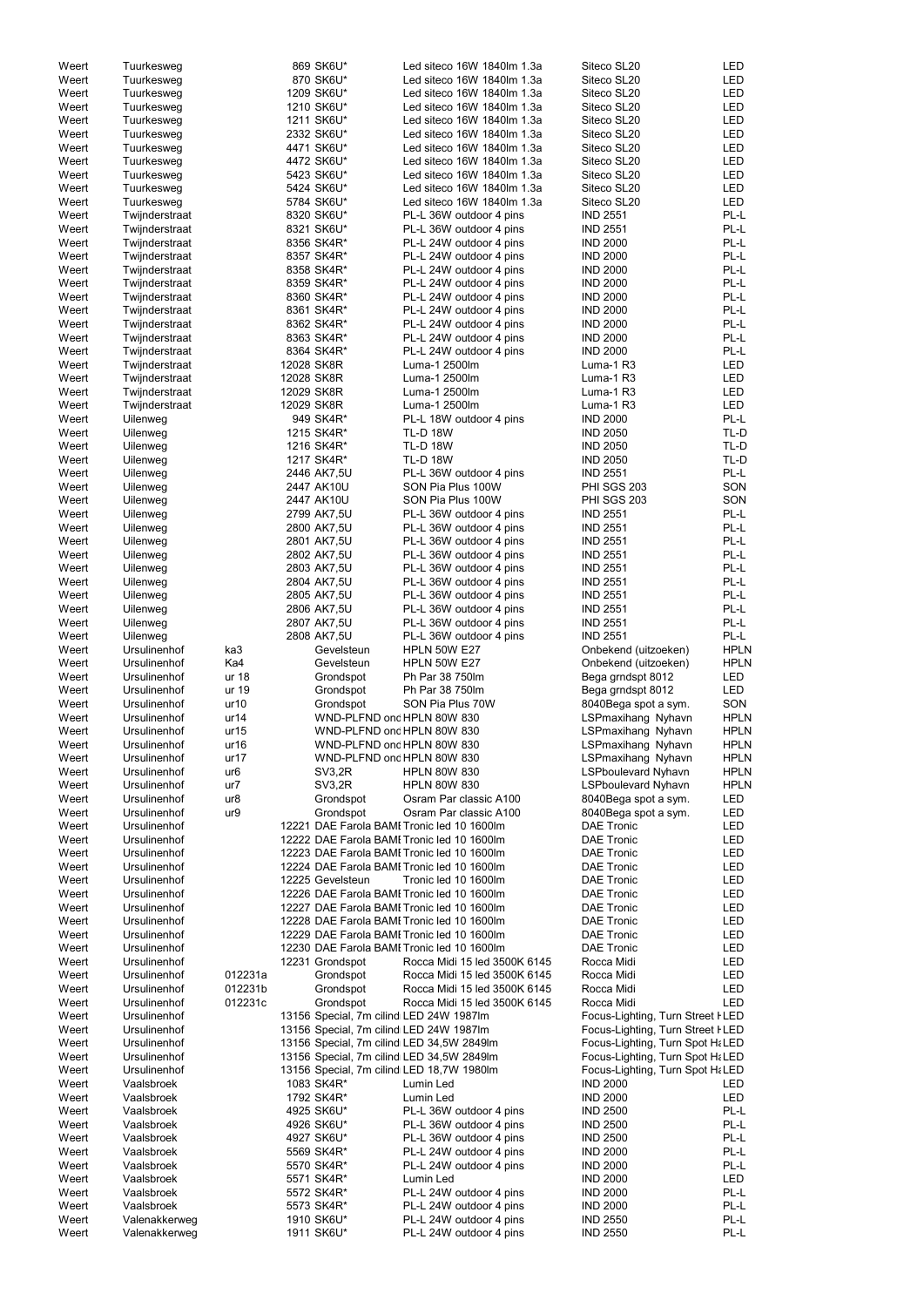| Weert          | Tuurkesweg                     |                 |            | 869 SK6U*                               | Led siteco 16W 1840lm 1.3a                         | Siteco SL20                        | <b>LED</b>   |
|----------------|--------------------------------|-----------------|------------|-----------------------------------------|----------------------------------------------------|------------------------------------|--------------|
| Weert          | Tuurkesweg                     |                 |            | 870 SK6U*                               | Led siteco 16W 1840lm 1.3a                         | Siteco SL20                        | <b>LED</b>   |
| Weert          | Tuurkesweg                     |                 |            | 1209 SK6U*                              | Led siteco 16W 1840lm 1.3a                         | Siteco SL20                        | <b>LED</b>   |
| Weert          | Tuurkesweg                     |                 |            | 1210 SK6U*                              | Led siteco 16W 1840lm 1.3a                         | Siteco SL20                        | <b>LED</b>   |
| Weert          | Tuurkesweg                     |                 |            | 1211 SK6U*                              | Led siteco 16W 1840lm 1.3a                         | Siteco SL20                        | <b>LED</b>   |
| Weert          | Tuurkesweg                     |                 |            | 2332 SK6U*                              | Led siteco 16W 1840lm 1.3a                         | Siteco SL20                        | <b>LED</b>   |
| Weert          | Tuurkesweg                     |                 |            | 4471 SK6U*                              | Led siteco 16W 1840lm 1.3a                         | Siteco SL20                        | <b>LED</b>   |
| Weert          | Tuurkesweg                     |                 |            | 4472 SK6U*                              | Led siteco 16W 1840lm 1.3a                         | Siteco SL20                        | <b>LED</b>   |
|                |                                |                 |            |                                         | Led siteco 16W 1840lm 1.3a                         |                                    |              |
| Weert          | Tuurkesweg                     |                 |            | 5423 SK6U*                              |                                                    | Siteco SL20                        | LED          |
| Weert          | Tuurkesweg                     |                 |            | 5424 SK6U*                              | Led siteco 16W 1840lm 1.3a                         | Siteco SL20                        | <b>LED</b>   |
| Weert          | Tuurkesweg                     |                 |            | 5784 SK6U*                              | Led siteco 16W 1840lm 1.3a                         | Siteco SL20                        | <b>LED</b>   |
| Weert          | Twijnderstraat                 |                 |            | 8320 SK6U*                              | PL-L 36W outdoor 4 pins                            | <b>IND 2551</b>                    | PL-L         |
| Weert          | Twijnderstraat                 |                 |            | 8321 SK6U*                              | PL-L 36W outdoor 4 pins                            | <b>IND 2551</b>                    | PL-L         |
| Weert          | Twijnderstraat                 |                 |            | 8356 SK4R*                              | PL-L 24W outdoor 4 pins                            | <b>IND 2000</b>                    | PL-L         |
| Weert          | Twijnderstraat                 |                 |            | 8357 SK4R*                              | PL-L 24W outdoor 4 pins                            | <b>IND 2000</b>                    | PL-L         |
| Weert          | Twijnderstraat                 |                 |            | 8358 SK4R*                              | PL-L 24W outdoor 4 pins                            | <b>IND 2000</b>                    | PL-L         |
| Weert          | Twijnderstraat                 |                 |            | 8359 SK4R*                              | PL-L 24W outdoor 4 pins                            | <b>IND 2000</b>                    | PL-L         |
| Weert          | Twijnderstraat                 |                 |            | 8360 SK4R*                              | PL-L 24W outdoor 4 pins                            | <b>IND 2000</b>                    | PL-L         |
| Weert          | Twijnderstraat                 |                 |            | 8361 SK4R*                              | PL-L 24W outdoor 4 pins                            | <b>IND 2000</b>                    | PL-L         |
| Weert          | Twijnderstraat                 |                 |            | 8362 SK4R*                              | PL-L 24W outdoor 4 pins                            | <b>IND 2000</b>                    | PL-L         |
| Weert          | Twijnderstraat                 |                 |            | 8363 SK4R*                              | PL-L 24W outdoor 4 pins                            | <b>IND 2000</b>                    | PL-L         |
| Weert          | Twijnderstraat                 |                 |            | 8364 SK4R*                              | PL-L 24W outdoor 4 pins                            | <b>IND 2000</b>                    | PL-L         |
| Weert          | Twijnderstraat                 |                 | 12028 SK8R |                                         | Luma-1 2500lm                                      | Luma-1 R3                          | LED          |
| Weert          | Twijnderstraat                 |                 | 12028 SK8R |                                         | Luma-1 2500lm                                      | Luma-1 R3                          | <b>LED</b>   |
|                |                                |                 |            |                                         |                                                    |                                    |              |
| Weert          | Twijnderstraat                 |                 | 12029 SK8R |                                         | Luma-1 2500lm                                      | Luma-1 R3                          | LED          |
| Weert          | Twijnderstraat                 |                 | 12029 SK8R |                                         | Luma-1 2500lm                                      | Luma-1 R3                          | <b>LED</b>   |
| Weert          | Uilenweg                       |                 |            | 949 SK4R*                               | PL-L 18W outdoor 4 pins                            | <b>IND 2000</b>                    | PL-L         |
| Weert          | Uilenweg                       |                 |            | 1215 SK4R*                              | <b>TL-D 18W</b>                                    | <b>IND 2050</b>                    | TL-D         |
| Weert          | Uilenweg                       |                 |            | 1216 SK4R*                              | <b>TL-D 18W</b>                                    | <b>IND 2050</b>                    | TL-D         |
| Weert          | Uilenweg                       |                 |            | 1217 SK4R*                              | <b>TL-D 18W</b>                                    | <b>IND 2050</b>                    | TL-D         |
| Weert          | Uilenweg                       |                 |            | 2446 AK7,5U                             | PL-L 36W outdoor 4 pins                            | <b>IND 2551</b>                    | PL-L         |
| Weert          | Uilenweg                       |                 |            | 2447 AK10U                              | SON Pia Plus 100W                                  | PHI SGS 203                        | SON          |
| Weert          | Uilenweg                       |                 |            | 2447 AK10U                              | SON Pia Plus 100W                                  | PHI SGS 203                        | SON          |
| Weert          | Uilenweg                       |                 |            | 2799 AK7,5U                             | PL-L 36W outdoor 4 pins                            | <b>IND 2551</b>                    | PL-L         |
| Weert          | Uilenweg                       |                 |            | 2800 AK7,5U                             | PL-L 36W outdoor 4 pins                            | <b>IND 2551</b>                    | PL-L         |
| Weert          | Uilenweg                       |                 |            | 2801 AK7,5U                             | PL-L 36W outdoor 4 pins                            | <b>IND 2551</b>                    | PL-L         |
| Weert          | Uilenweg                       |                 |            | 2802 AK7,5U                             | PL-L 36W outdoor 4 pins                            | <b>IND 2551</b>                    | PL-L         |
| Weert          | Uilenweg                       |                 |            | 2803 AK7,5U                             | PL-L 36W outdoor 4 pins                            | <b>IND 2551</b>                    | PL-L         |
| Weert          | Uilenweg                       |                 |            | 2804 AK7,5U                             | PL-L 36W outdoor 4 pins                            | <b>IND 2551</b>                    | PL-L         |
|                |                                |                 |            |                                         |                                                    |                                    | PL-L         |
| Weert          | Uilenweg                       |                 |            | 2805 AK7,5U                             | PL-L 36W outdoor 4 pins                            | <b>IND 2551</b>                    |              |
| Weert          | Uilenweg                       |                 |            | 2806 AK7,5U                             | PL-L 36W outdoor 4 pins                            | <b>IND 2551</b>                    | PL-L         |
| Weert          | Uilenweg                       |                 |            | 2807 AK7,5U                             | PL-L 36W outdoor 4 pins                            | <b>IND 2551</b>                    | PL-L         |
| Weert          | Uilenweg                       |                 |            | 2808 AK7,5U                             | PL-L 36W outdoor 4 pins                            | <b>IND 2551</b>                    | PL-L         |
| Weert          | Ursulinenhof                   | ka3             |            | Gevelsteun                              | <b>HPLN 50W E27</b>                                | Onbekend (uitzoeken)               | <b>HPLN</b>  |
| Weert          | Ursulinenhof                   | Ka4             |            | Gevelsteun                              | <b>HPLN 50W E27</b>                                | Onbekend (uitzoeken)               | <b>HPLN</b>  |
| Weert          | Ursulinenhof                   | ur 18           |            | Grondspot                               | Ph Par 38 750lm                                    | Bega grndspt 8012                  | LED          |
| Weert          | Ursulinenhof                   | ur 19           |            | Grondspot                               | Ph Par 38 750lm                                    | Bega grndspt 8012                  | <b>LED</b>   |
| Weert          | Ursulinenhof                   | ur10            |            | Grondspot                               | SON Pia Plus 70W                                   | 8040Bega spot a sym.               | SON          |
| Weert          | Ursulinenhof                   | ur14            |            | WND-PLFND ond HPLN 80W 830              |                                                    | LSPmaxihang Nyhavn                 | <b>HPLN</b>  |
| Weert          | Ursulinenhof                   | ur15            |            | WND-PLFND ond HPLN 80W 830              |                                                    | LSPmaxihang Nyhavn                 | <b>HPLN</b>  |
| Weert          | Ursulinenhof                   | ur16            |            | WND-PLFND ond HPLN 80W 830              |                                                    | LSPmaxihang Nyhavn                 | <b>HPLN</b>  |
| Weert          | Ursulinenhof                   | ur17            |            | WND-PLFND ond HPLN 80W 830              |                                                    | LSPmaxihang Nyhavn                 | <b>HPLN</b>  |
| Weert          | Ursulinenhof                   | ur <sub>6</sub> |            | <b>SV3,2R</b>                           | <b>HPLN 80W 830</b>                                | <b>LSPboulevard Nyhavn</b>         | <b>HPLN</b>  |
| Weert          | Ursulinenhof                   | ur7             |            | SV3,2R                                  | <b>HPLN 80W 830</b>                                | <b>LSPboulevard Nyhavn</b>         | <b>HPLN</b>  |
| Weert          | Ursulinenhof                   | ur8             |            | Grondspot                               | Osram Par classic A100                             | 8040Bega spot a sym.               | <b>LED</b>   |
|                |                                |                 |            |                                         |                                                    |                                    |              |
| Weert          | Ursulinenhof                   | ur9             |            | Grondspot                               | Osram Par classic A100                             | 8040Bega spot a sym.               | LED          |
| Weert          | Ursulinenhof                   |                 |            |                                         | 12221 DAE Farola BAMI Tronic led 10 1600lm         | <b>DAE Tronic</b>                  | <b>LED</b>   |
| Weert          | Ursulinenhof                   |                 |            |                                         | 12222 DAE Farola BAMI Tronic led 10 1600lm         | <b>DAE Tronic</b>                  | <b>LED</b>   |
| Weert          | Ursulinenhof                   |                 |            |                                         | 12223 DAE Farola BAMI Tronic led 10 1600lm         | <b>DAE Tronic</b>                  | <b>LED</b>   |
| Weert          | Ursulinenhof                   |                 |            |                                         | 12224 DAE Farola BAMI Tronic led 10 1600lm         | <b>DAE Tronic</b>                  | <b>LED</b>   |
| Weert          | Ursulinenhof                   |                 |            | 12225 Gevelsteun                        | Tronic led 10 1600lm                               | <b>DAE Tronic</b>                  | <b>LED</b>   |
| Weert          | Ursulinenhof                   |                 |            |                                         | 12226 DAE Farola BAMI Tronic led 10 1600lm         | <b>DAE Tronic</b>                  | LED          |
| Weert          | Ursulinenhof                   |                 |            |                                         | 12227 DAE Farola BAMI Tronic led 10 1600lm         | <b>DAE Tronic</b>                  | <b>LED</b>   |
| Weert          | Ursulinenhof                   |                 |            |                                         | 12228 DAE Farola BAMI Tronic led 10 1600lm         | <b>DAE Tronic</b>                  | <b>LED</b>   |
| Weert          | Ursulinenhof                   |                 |            |                                         | 12229 DAE Farola BAMI Tronic led 10 1600lm         | <b>DAE Tronic</b>                  | <b>LED</b>   |
| Weert          | Ursulinenhof                   |                 |            |                                         | 12230 DAE Farola BAMI Tronic led 10 1600lm         | <b>DAE Tronic</b>                  | <b>LED</b>   |
| Weert          | Ursulinenhof                   |                 |            | 12231 Grondspot                         | Rocca Midi 15 led 3500K 6145                       | Rocca Midi                         | <b>LED</b>   |
| Weert          | Ursulinenhof                   | 012231a         |            | Grondspot                               | Rocca Midi 15 led 3500K 6145                       | Rocca Midi                         | <b>LED</b>   |
| Weert          | Ursulinenhof                   | 012231b         |            | Grondspot                               | Rocca Midi 15 led 3500K 6145                       | Rocca Midi                         | <b>LED</b>   |
| Weert          | Ursulinenhof                   | 012231c         |            | Grondspot                               | Rocca Midi 15 led 3500K 6145                       | Rocca Midi                         | <b>LED</b>   |
| Weert          | Ursulinenhof                   |                 |            | 13156 Special, 7m cilind LED 24W 1987Im |                                                    |                                    |              |
|                |                                |                 |            |                                         |                                                    | Focus-Lighting, Turn Street I LED  |              |
| Weert          | Ursulinenhof                   |                 |            | 13156 Special, 7m cilind LED 24W 1987Im |                                                    | Focus-Lighting, Turn Street I LED  |              |
| Weert          | Ursulinenhof                   |                 |            |                                         | 13156 Special, 7m cilind LED 34,5W 2849lm          | Focus-Lighting, Turn Spot H& LED   |              |
| Weert          | Ursulinenhof                   |                 |            |                                         | 13156 Special, 7m cilind LED 34,5W 2849lm          | Focus-Lighting, Turn Spot H& LED   |              |
| Weert          | Ursulinenhof                   |                 |            |                                         | 13156 Special, 7m cilind LED 18,7W 1980lm          | Focus-Lighting, Turn Spot H&LED    |              |
| Weert          |                                |                 |            | 1083 SK4R*                              | Lumin Led                                          | <b>IND 2000</b>                    | <b>LED</b>   |
| Weert          | Vaalsbroek                     |                 |            |                                         |                                                    |                                    | LED          |
| Weert          | Vaalsbroek                     |                 |            | 1792 SK4R*                              | Lumin Led                                          | <b>IND 2000</b>                    |              |
|                | Vaalsbroek                     |                 |            | 4925 SK6U*                              | PL-L 36W outdoor 4 pins                            | <b>IND 2500</b>                    | PL-L         |
| Weert          | Vaalsbroek                     |                 |            | 4926 SK6U*                              | PL-L 36W outdoor 4 pins                            | <b>IND 2500</b>                    | PL-L         |
| Weert          | Vaalsbroek                     |                 |            | 4927 SK6U*                              | PL-L 36W outdoor 4 pins                            | <b>IND 2500</b>                    | PL-L         |
| Weert          | Vaalsbroek                     |                 |            | 5569 SK4R*                              | PL-L 24W outdoor 4 pins                            | <b>IND 2000</b>                    | PL-L         |
| Weert          |                                |                 |            |                                         | PL-L 24W outdoor 4 pins                            | <b>IND 2000</b>                    | PL-L         |
|                | Vaalsbroek                     |                 |            | 5570 SK4R*                              |                                                    |                                    |              |
| Weert          | Vaalsbroek                     |                 |            | 5571 SK4R*                              | Lumin Led                                          | <b>IND 2000</b>                    | <b>LED</b>   |
| Weert          | Vaalsbroek                     |                 |            | 5572 SK4R*                              | PL-L 24W outdoor 4 pins                            | <b>IND 2000</b>                    | PL-L         |
| Weert          | Vaalsbroek                     |                 |            | 5573 SK4R*                              | PL-L 24W outdoor 4 pins                            | <b>IND 2000</b>                    | PL-L         |
| Weert<br>Weert | Valenakkerweg<br>Valenakkerweg |                 |            | 1910 SK6U*<br>1911 SK6U*                | PL-L 24W outdoor 4 pins<br>PL-L 24W outdoor 4 pins | <b>IND 2550</b><br><b>IND 2550</b> | PL-L<br>PL-L |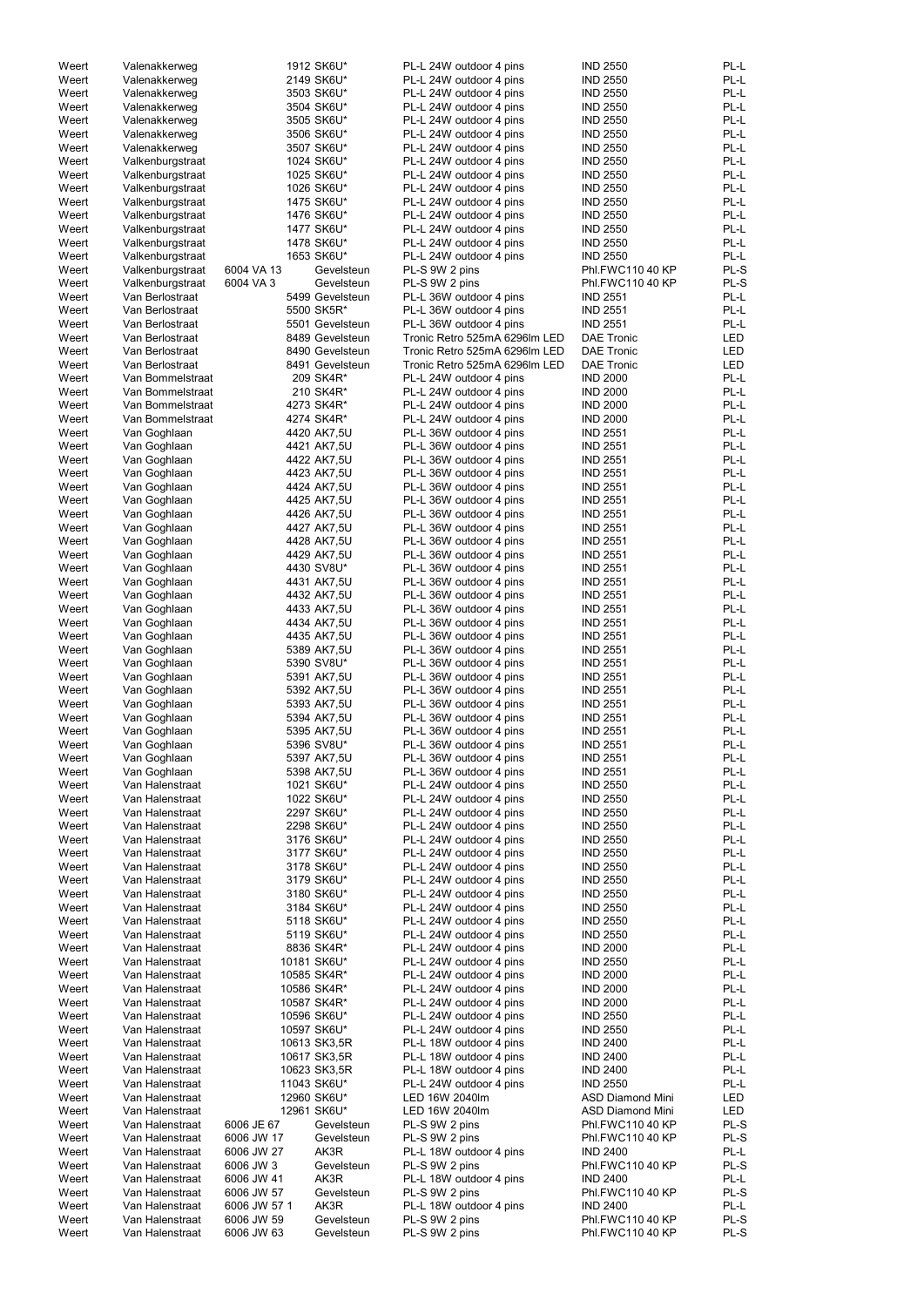| Weert | Valenakkerweg    |              | 1912 SK6U*      | PL-L 24W outdoor 4 pins       | <b>IND 2550</b>         | PL-L       |
|-------|------------------|--------------|-----------------|-------------------------------|-------------------------|------------|
| Weert | Valenakkerweg    |              | 2149 SK6U*      | PL-L 24W outdoor 4 pins       | <b>IND 2550</b>         | PL-L       |
| Weert |                  |              | 3503 SK6U*      |                               |                         | PL-L       |
|       | Valenakkerweg    |              |                 | PL-L 24W outdoor 4 pins       | <b>IND 2550</b>         |            |
| Weert | Valenakkerweg    |              | 3504 SK6U*      | PL-L 24W outdoor 4 pins       | <b>IND 2550</b>         | PL-L       |
| Weert | Valenakkerweg    |              | 3505 SK6U*      | PL-L 24W outdoor 4 pins       | <b>IND 2550</b>         | PL-L       |
| Weert | Valenakkerweg    |              | 3506 SK6U*      | PL-L 24W outdoor 4 pins       | <b>IND 2550</b>         | PL-L       |
| Weert | Valenakkerweg    |              | 3507 SK6U*      | PL-L 24W outdoor 4 pins       | <b>IND 2550</b>         | PL-L       |
|       |                  |              |                 |                               |                         |            |
| Weert | Valkenburgstraat |              | 1024 SK6U*      | PL-L 24W outdoor 4 pins       | <b>IND 2550</b>         | PL-L       |
| Weert | Valkenburgstraat |              | 1025 SK6U*      | PL-L 24W outdoor 4 pins       | <b>IND 2550</b>         | PL-L       |
| Weert | Valkenburgstraat |              | 1026 SK6U*      | PL-L 24W outdoor 4 pins       | <b>IND 2550</b>         | PL-L       |
| Weert | Valkenburgstraat |              | 1475 SK6U*      | PL-L 24W outdoor 4 pins       | <b>IND 2550</b>         | PL-L       |
|       |                  |              |                 |                               |                         |            |
| Weert | Valkenburgstraat |              | 1476 SK6U*      | PL-L 24W outdoor 4 pins       | <b>IND 2550</b>         | PL-L       |
| Weert | Valkenburgstraat |              | 1477 SK6U*      | PL-L 24W outdoor 4 pins       | <b>IND 2550</b>         | PL-L       |
| Weert | Valkenburgstraat |              | 1478 SK6U*      | PL-L 24W outdoor 4 pins       | <b>IND 2550</b>         | PL-L       |
| Weert | Valkenburgstraat |              | 1653 SK6U*      | PL-L 24W outdoor 4 pins       | <b>IND 2550</b>         | PL-L       |
| Weert | Valkenburgstraat | 6004 VA 13   | Gevelsteun      | PL-S 9W 2 pins                | Phl.FWC110 40 KP        | PL-S       |
|       |                  |              |                 |                               |                         |            |
| Weert | Valkenburgstraat | 6004 VA 3    | Gevelsteun      | PL-S 9W 2 pins                | Phl.FWC110 40 KP        | PL-S       |
| Weert | Van Berlostraat  |              | 5499 Gevelsteun | PL-L 36W outdoor 4 pins       | <b>IND 2551</b>         | PL-L       |
| Weert | Van Berlostraat  |              | 5500 SK5R*      | PL-L 36W outdoor 4 pins       | <b>IND 2551</b>         | PL-L       |
| Weert | Van Berlostraat  |              | 5501 Gevelsteun | PL-L 36W outdoor 4 pins       | <b>IND 2551</b>         | PL-L       |
|       |                  |              |                 |                               |                         |            |
| Weert | Van Berlostraat  |              | 8489 Gevelsteun | Tronic Retro 525mA 6296lm LED | <b>DAE Tronic</b>       | LED        |
| Weert | Van Berlostraat  |              | 8490 Gevelsteun | Tronic Retro 525mA 6296lm LED | <b>DAE Tronic</b>       | LED        |
| Weert | Van Berlostraat  |              | 8491 Gevelsteun | Tronic Retro 525mA 6296lm LED | <b>DAE Tronic</b>       | <b>LED</b> |
| Weert | Van Bommelstraat |              | 209 SK4R*       | PL-L 24W outdoor 4 pins       | <b>IND 2000</b>         | PL-L       |
| Weert | Van Bommelstraat |              | 210 SK4R*       | PL-L 24W outdoor 4 pins       | <b>IND 2000</b>         | PL-L       |
|       |                  |              |                 |                               |                         |            |
| Weert | Van Bommelstraat |              | 4273 SK4R*      | PL-L 24W outdoor 4 pins       | <b>IND 2000</b>         | PL-L       |
| Weert | Van Bommelstraat |              | 4274 SK4R*      | PL-L 24W outdoor 4 pins       | <b>IND 2000</b>         | PL-L       |
| Weert | Van Goghlaan     |              | 4420 AK7,5U     | PL-L 36W outdoor 4 pins       | <b>IND 2551</b>         | PL-L       |
| Weert | Van Goghlaan     |              | 4421 AK7,5U     | PL-L 36W outdoor 4 pins       | <b>IND 2551</b>         | PL-L       |
|       |                  |              |                 |                               |                         |            |
| Weert | Van Goghlaan     |              | 4422 AK7,5U     | PL-L 36W outdoor 4 pins       | <b>IND 2551</b>         | PL-L       |
| Weert | Van Goghlaan     |              | 4423 AK7,5U     | PL-L 36W outdoor 4 pins       | <b>IND 2551</b>         | PL-L       |
| Weert | Van Goghlaan     |              | 4424 AK7,5U     | PL-L 36W outdoor 4 pins       | <b>IND 2551</b>         | PL-L       |
| Weert | Van Goghlaan     |              | 4425 AK7,5U     | PL-L 36W outdoor 4 pins       | <b>IND 2551</b>         | PL-L       |
|       |                  |              |                 |                               |                         |            |
| Weert | Van Goghlaan     |              | 4426 AK7,5U     | PL-L 36W outdoor 4 pins       | <b>IND 2551</b>         | PL-L       |
| Weert | Van Goghlaan     |              | 4427 AK7,5U     | PL-L 36W outdoor 4 pins       | <b>IND 2551</b>         | PL-L       |
| Weert | Van Goghlaan     |              | 4428 AK7,5U     | PL-L 36W outdoor 4 pins       | <b>IND 2551</b>         | PL-L       |
| Weert | Van Goghlaan     |              | 4429 AK7,5U     | PL-L 36W outdoor 4 pins       | <b>IND 2551</b>         | PL-L       |
|       |                  |              | 4430 SV8U*      | PL-L 36W outdoor 4 pins       | <b>IND 2551</b>         | PL-L       |
| Weert | Van Goghlaan     |              |                 |                               |                         |            |
| Weert | Van Goghlaan     |              | 4431 AK7,5U     | PL-L 36W outdoor 4 pins       | <b>IND 2551</b>         | PL-L       |
| Weert | Van Goghlaan     |              | 4432 AK7,5U     | PL-L 36W outdoor 4 pins       | <b>IND 2551</b>         | PL-L       |
| Weert | Van Goghlaan     |              | 4433 AK7,5U     | PL-L 36W outdoor 4 pins       | <b>IND 2551</b>         | PL-L       |
| Weert | Van Goghlaan     |              | 4434 AK7,5U     | PL-L 36W outdoor 4 pins       | <b>IND 2551</b>         | PL-L       |
|       |                  |              |                 |                               |                         |            |
| Weert | Van Goghlaan     |              | 4435 AK7,5U     | PL-L 36W outdoor 4 pins       | <b>IND 2551</b>         | PL-L       |
| Weert | Van Goghlaan     |              | 5389 AK7,5U     | PL-L 36W outdoor 4 pins       | <b>IND 2551</b>         | PL-L       |
| Weert | Van Goghlaan     |              | 5390 SV8U*      | PL-L 36W outdoor 4 pins       | <b>IND 2551</b>         | PL-L       |
| Weert | Van Goghlaan     |              | 5391 AK7,5U     | PL-L 36W outdoor 4 pins       | <b>IND 2551</b>         | PL-L       |
|       |                  |              |                 |                               |                         |            |
| Weert | Van Goghlaan     |              | 5392 AK7,5U     | PL-L 36W outdoor 4 pins       | <b>IND 2551</b>         | PL-L       |
| Weert | Van Goghlaan     |              | 5393 AK7,5U     | PL-L 36W outdoor 4 pins       | <b>IND 2551</b>         | PL-L       |
| Weert | Van Goghlaan     |              | 5394 AK7,5U     | PL-L 36W outdoor 4 pins       | <b>IND 2551</b>         | PL-L       |
| Weert | Van Goghlaan     |              | 5395 AK7,5U     | PL-L 36W outdoor 4 pins       | <b>IND 2551</b>         | PL-L       |
|       |                  |              |                 |                               |                         |            |
| Weert | Van Goghlaan     |              | 5396 SV8U*      | PL-L 36W outdoor 4 pins       | <b>IND 2551</b>         | PL-L       |
| Weert | Van Goghlaan     |              | 5397 AK7,5U     | PL-L 36W outdoor 4 pins       | <b>IND 2551</b>         | PL-L       |
| Weert | Van Goghlaan     |              | 5398 AK7,5U     | PL-L 36W outdoor 4 pins       | <b>IND 2551</b>         | PL-L       |
| Weert | Van Halenstraat  |              | 1021 SK6U*      | PL-L 24W outdoor 4 pins       | <b>IND 2550</b>         | PL-L       |
| Weert |                  |              |                 |                               |                         | PL-L       |
|       | Van Halenstraat  |              | 1022 SK6U*      | PL-L 24W outdoor 4 pins       | <b>IND 2550</b>         |            |
| Weert | Van Halenstraat  |              | 2297 SK6U*      | PL-L 24W outdoor 4 pins       | <b>IND 2550</b>         | PL-L       |
| Weert | Van Halenstraat  |              | 2298 SK6U*      | PL-L 24W outdoor 4 pins       | <b>IND 2550</b>         | PL-L       |
| Weert | Van Halenstraat  |              | 3176 SK6U*      | PL-L 24W outdoor 4 pins       | <b>IND 2550</b>         | PL-L       |
| Weert | Van Halenstraat  |              | 3177 SK6U*      | PL-L 24W outdoor 4 pins       | <b>IND 2550</b>         | PL-L       |
| Weert | Van Halenstraat  |              | 3178 SK6U*      | PL-L 24W outdoor 4 pins       | <b>IND 2550</b>         | PL-L       |
|       |                  |              |                 |                               |                         |            |
| Weert | Van Halenstraat  |              | 3179 SK6U*      | PL-L 24W outdoor 4 pins       | <b>IND 2550</b>         | PL-L       |
| Weert | Van Halenstraat  |              | 3180 SK6U*      | PL-L 24W outdoor 4 pins       | <b>IND 2550</b>         | PL-L       |
| Weert | Van Halenstraat  |              | 3184 SK6U*      | PL-L 24W outdoor 4 pins       | <b>IND 2550</b>         | PL-L       |
| Weert | Van Halenstraat  |              | 5118 SK6U*      | PL-L 24W outdoor 4 pins       | <b>IND 2550</b>         | PL-L       |
|       |                  |              |                 |                               |                         | PL-L       |
| Weert | Van Halenstraat  |              | 5119 SK6U*      | PL-L 24W outdoor 4 pins       | <b>IND 2550</b>         |            |
| Weert | Van Halenstraat  |              | 8836 SK4R*      | PL-L 24W outdoor 4 pins       | <b>IND 2000</b>         | PL-L       |
| Weert | Van Halenstraat  |              | 10181 SK6U*     | PL-L 24W outdoor 4 pins       | <b>IND 2550</b>         | PL-L       |
| Weert | Van Halenstraat  |              | 10585 SK4R*     | PL-L 24W outdoor 4 pins       | <b>IND 2000</b>         | PL-L       |
| Weert | Van Halenstraat  |              | 10586 SK4R*     | PL-L 24W outdoor 4 pins       | <b>IND 2000</b>         | PL-L       |
|       |                  |              |                 |                               |                         |            |
| Weert | Van Halenstraat  |              | 10587 SK4R*     | PL-L 24W outdoor 4 pins       | <b>IND 2000</b>         | PL-L       |
| Weert | Van Halenstraat  |              | 10596 SK6U*     | PL-L 24W outdoor 4 pins       | <b>IND 2550</b>         | PL-L       |
| Weert | Van Halenstraat  |              | 10597 SK6U*     | PL-L 24W outdoor 4 pins       | <b>IND 2550</b>         | PL-L       |
| Weert | Van Halenstraat  |              | 10613 SK3,5R    | PL-L 18W outdoor 4 pins       | <b>IND 2400</b>         | $PL-L$     |
|       |                  |              |                 |                               |                         |            |
| Weert | Van Halenstraat  |              | 10617 SK3,5R    | PL-L 18W outdoor 4 pins       | <b>IND 2400</b>         | PL-L       |
| Weert | Van Halenstraat  |              | 10623 SK3,5R    | PL-L 18W outdoor 4 pins       | <b>IND 2400</b>         | PL-L       |
| Weert | Van Halenstraat  |              | 11043 SK6U*     | PL-L 24W outdoor 4 pins       | <b>IND 2550</b>         | PL-L       |
| Weert | Van Halenstraat  |              | 12960 SK6U*     | LED 16W 2040lm                | <b>ASD Diamond Mini</b> | LED        |
|       | Van Halenstraat  |              |                 |                               |                         |            |
| Weert |                  |              | 12961 SK6U*     | LED 16W 2040lm                | <b>ASD Diamond Mini</b> | LED        |
| Weert | Van Halenstraat  | 6006 JE 67   | Gevelsteun      | PL-S 9W 2 pins                | Phl.FWC110 40 KP        | PL-S       |
| Weert | Van Halenstraat  | 6006 JW 17   | Gevelsteun      | PL-S 9W 2 pins                | Phl.FWC110 40 KP        | PL-S       |
| Weert | Van Halenstraat  | 6006 JW 27   | AK3R            | PL-L 18W outdoor 4 pins       | <b>IND 2400</b>         | PL-L       |
| Weert | Van Halenstraat  | 6006 JW 3    | Gevelsteun      | PL-S 9W 2 pins                | Phl.FWC110 40 KP        | PL-S       |
|       |                  |              |                 |                               |                         |            |
| Weert | Van Halenstraat  | 6006 JW 41   | AK3R            | PL-L 18W outdoor 4 pins       | <b>IND 2400</b>         | PL-L       |
| Weert | Van Halenstraat  | 6006 JW 57   | Gevelsteun      | PL-S 9W 2 pins                | Phl.FWC110 40 KP        | PL-S       |
| Weert | Van Halenstraat  | 6006 JW 57 1 | AK3R            | PL-L 18W outdoor 4 pins       | <b>IND 2400</b>         | PL-L       |
| Weert | Van Halenstraat  | 6006 JW 59   | Gevelsteun      | PL-S 9W 2 pins                | Phl.FWC110 40 KP        | PL-S       |
|       |                  |              |                 |                               |                         |            |
| Weert | Van Halenstraat  | 6006 JW 63   | Gevelsteun      | PL-S 9W 2 pins                | Phl.FWC110 40 KP        | PL-S       |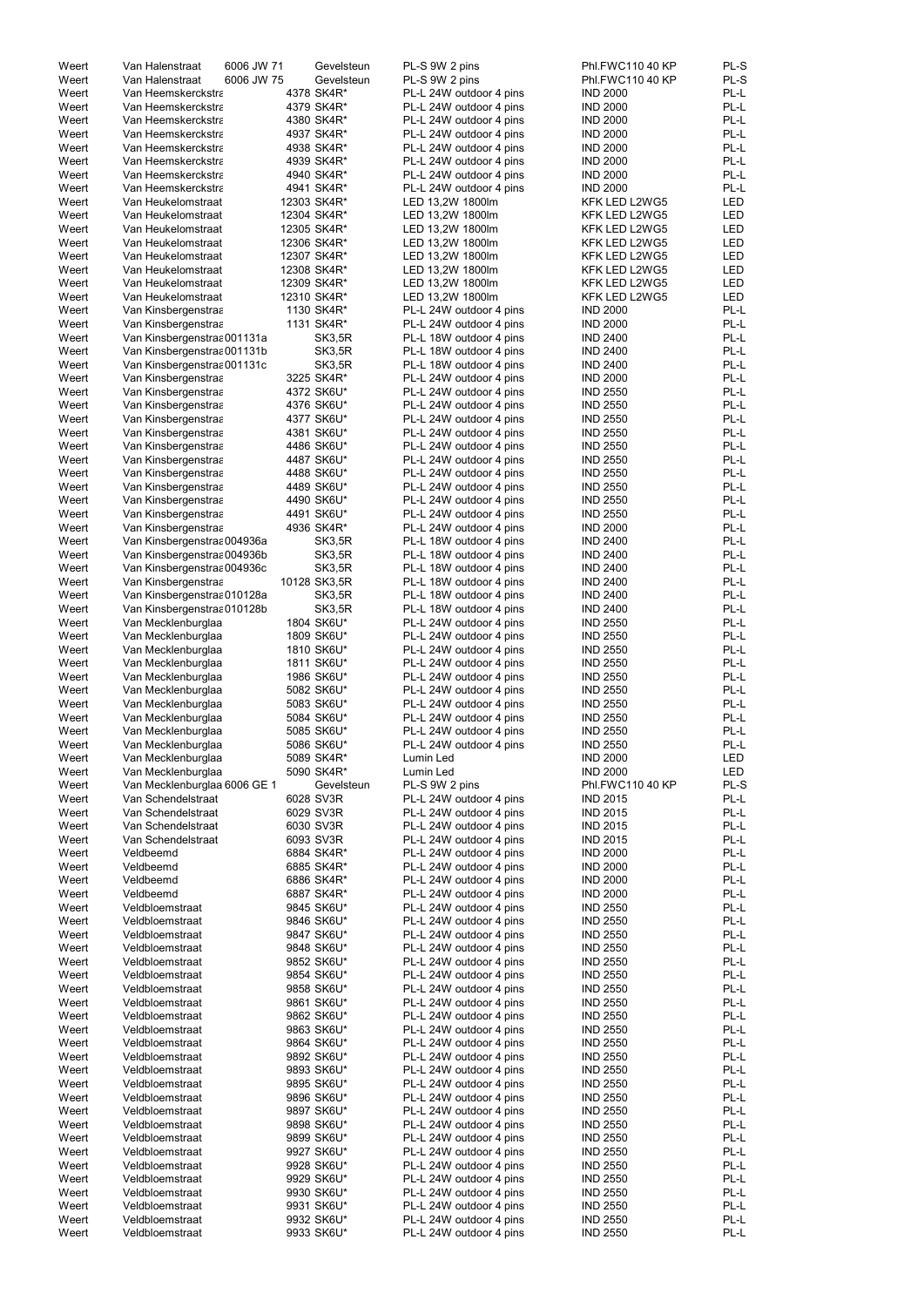| Weert          | Van Halenstraat                    | 6006 JW 71 |            | Gevelsteun    | PL-S 9W 2 pins                                     | Phl.FWC110 40 KP                   | PL-S         |
|----------------|------------------------------------|------------|------------|---------------|----------------------------------------------------|------------------------------------|--------------|
| Weert          | Van Halenstraat                    | 6006 JW 75 |            | Gevelsteun    | PL-S 9W 2 pins                                     | Phl.FWC110 40 KP                   | PL-S         |
| Weert          | Van Heemskerckstra                 |            |            | 4378 SK4R*    | PL-L 24W outdoor 4 pins                            | <b>IND 2000</b>                    | PL-L         |
| Weert          | Van Heemskerckstra                 |            |            | 4379 SK4R*    | PL-L 24W outdoor 4 pins                            | <b>IND 2000</b>                    | PL-L         |
|                |                                    |            |            |               |                                                    |                                    |              |
| Weert          | Van Heemskerckstra                 |            |            | 4380 SK4R*    | PL-L 24W outdoor 4 pins                            | <b>IND 2000</b>                    | PL-L         |
| Weert          | Van Heemskerckstra                 |            |            | 4937 SK4R*    | PL-L 24W outdoor 4 pins                            | <b>IND 2000</b>                    | PL-L         |
| Weert          | Van Heemskerckstra                 |            |            | 4938 SK4R*    | PL-L 24W outdoor 4 pins                            | <b>IND 2000</b>                    | PL-L         |
| Weert          |                                    |            |            |               |                                                    | <b>IND 2000</b>                    | PL-L         |
|                | Van Heemskerckstra                 |            |            | 4939 SK4R*    | PL-L 24W outdoor 4 pins                            |                                    |              |
| Weert          | Van Heemskerckstra                 |            |            | 4940 SK4R*    | PL-L 24W outdoor 4 pins                            | <b>IND 2000</b>                    | PL-L         |
| Weert          | Van Heemskerckstra                 |            |            | 4941 SK4R*    | PL-L 24W outdoor 4 pins                            | <b>IND 2000</b>                    | PL-L         |
| Weert          | Van Heukelomstraat                 |            |            | 12303 SK4R*   | LED 13,2W 1800lm                                   | KFK LED L2WG5                      | LED          |
|                |                                    |            |            |               |                                                    |                                    |              |
| Weert          | Van Heukelomstraat                 |            |            | 12304 SK4R*   | LED 13,2W 1800lm                                   | KFK LED L2WG5                      | LED          |
| Weert          | Van Heukelomstraat                 |            |            | 12305 SK4R*   | LED 13,2W 1800lm                                   | KFK LED L2WG5                      | LED          |
| Weert          | Van Heukelomstraat                 |            |            | 12306 SK4R*   | LED 13,2W 1800lm                                   | KFK LED L2WG5                      | LED          |
|                |                                    |            |            |               |                                                    |                                    |              |
| Weert          | Van Heukelomstraat                 |            |            | 12307 SK4R*   | LED 13,2W 1800lm                                   | KFK LED L2WG5                      | LED          |
| Weert          | Van Heukelomstraat                 |            |            | 12308 SK4R*   | LED 13,2W 1800lm                                   | KFK LED L2WG5                      | LED          |
| Weert          | Van Heukelomstraat                 |            |            | 12309 SK4R*   | LED 13,2W 1800lm                                   | KFK LED L2WG5                      | LED          |
|                |                                    |            |            |               |                                                    |                                    |              |
| Weert          | Van Heukelomstraat                 |            |            | 12310 SK4R*   | LED 13,2W 1800lm                                   | KFK LED L2WG5                      | <b>LED</b>   |
| Weert          | Van Kinsbergenstraa                |            |            | 1130 SK4R*    | PL-L 24W outdoor 4 pins                            | <b>IND 2000</b>                    | PL-L         |
| Weert          | Van Kinsbergenstraa                |            |            | 1131 SK4R*    | PL-L 24W outdoor 4 pins                            | <b>IND 2000</b>                    | PL-L         |
| Weert          | Van Kinsbergenstraa 001131a        |            |            | SK3,5R        | PL-L 18W outdoor 4 pins                            | <b>IND 2400</b>                    | PL-L         |
|                |                                    |            |            |               |                                                    |                                    |              |
| Weert          | Van Kinsbergenstras 001131b        |            |            | SK3,5R        | PL-L 18W outdoor 4 pins                            | <b>IND 2400</b>                    | PL-L         |
| Weert          | Van Kinsbergenstraa 001131c        |            |            | <b>SK3,5R</b> | PL-L 18W outdoor 4 pins                            | <b>IND 2400</b>                    | PL-L         |
| Weert          | Van Kinsbergenstraa                |            |            | 3225 SK4R*    | PL-L 24W outdoor 4 pins                            | <b>IND 2000</b>                    | PL-L         |
|                |                                    |            |            |               |                                                    |                                    |              |
| Weert          | Van Kinsbergenstraa                |            |            | 4372 SK6U*    | PL-L 24W outdoor 4 pins                            | <b>IND 2550</b>                    | PL-L         |
| Weert          | Van Kinsbergenstraa                |            |            | 4376 SK6U*    | PL-L 24W outdoor 4 pins                            | <b>IND 2550</b>                    | PL-L         |
| Weert          | Van Kinsbergenstraa                |            |            | 4377 SK6U*    | PL-L 24W outdoor 4 pins                            | <b>IND 2550</b>                    | PL-L         |
| Weert          |                                    |            |            |               |                                                    | <b>IND 2550</b>                    | PL-L         |
|                | Van Kinsbergenstraa                |            |            | 4381 SK6U*    | PL-L 24W outdoor 4 pins                            |                                    |              |
| Weert          | Van Kinsbergenstraa                |            |            | 4486 SK6U*    | PL-L 24W outdoor 4 pins                            | <b>IND 2550</b>                    | PL-L         |
| Weert          | Van Kinsbergenstraa                |            |            | 4487 SK6U*    | PL-L 24W outdoor 4 pins                            | <b>IND 2550</b>                    | PL-L         |
| Weert          | Van Kinsbergenstraa                |            |            | 4488 SK6U*    | PL-L 24W outdoor 4 pins                            | <b>IND 2550</b>                    | PL-L         |
|                |                                    |            |            |               |                                                    |                                    |              |
| Weert          | Van Kinsbergenstraa                |            |            | 4489 SK6U*    | PL-L 24W outdoor 4 pins                            | <b>IND 2550</b>                    | PL-L         |
| Weert          | Van Kinsbergenstraa                |            |            | 4490 SK6U*    | PL-L 24W outdoor 4 pins                            | <b>IND 2550</b>                    | PL-L         |
| Weert          | Van Kinsbergenstraa                |            |            | 4491 SK6U*    | PL-L 24W outdoor 4 pins                            | <b>IND 2550</b>                    | PL-L         |
|                |                                    |            |            |               |                                                    |                                    |              |
| Weert          | Van Kinsbergenstraa                |            |            | 4936 SK4R*    | PL-L 24W outdoor 4 pins                            | <b>IND 2000</b>                    | PL-L         |
| Weert          | Van Kinsbergenstras 004936a        |            |            | <b>SK3,5R</b> | PL-L 18W outdoor 4 pins                            | <b>IND 2400</b>                    | PL-L         |
| Weert          | Van Kinsbergenstras 004936b        |            |            | <b>SK3,5R</b> | PL-L 18W outdoor 4 pins                            | <b>IND 2400</b>                    | PL-L         |
| Weert          |                                    |            |            |               |                                                    | <b>IND 2400</b>                    | PL-L         |
|                | Van Kinsbergenstras 004936c        |            |            | SK3,5R        | PL-L 18W outdoor 4 pins                            |                                    |              |
| Weert          | Van Kinsbergenstraa                |            |            | 10128 SK3,5R  | PL-L 18W outdoor 4 pins                            | <b>IND 2400</b>                    | PL-L         |
| Weert          | Van Kinsbergenstraa 010128a        |            |            | SK3,5R        | PL-L 18W outdoor 4 pins                            | <b>IND 2400</b>                    | PL-L         |
| Weert          |                                    |            |            | SK3,5R        |                                                    | <b>IND 2400</b>                    | PL-L         |
|                | Van Kinsbergenstras 010128b        |            |            |               | PL-L 18W outdoor 4 pins                            |                                    |              |
| Weert          | Van Mecklenburglaa                 |            |            | 1804 SK6U*    | PL-L 24W outdoor 4 pins                            | <b>IND 2550</b>                    | PL-L         |
| Weert          | Van Mecklenburglaa                 |            |            | 1809 SK6U*    | PL-L 24W outdoor 4 pins                            | <b>IND 2550</b>                    | PL-L         |
| Weert          | Van Mecklenburglaa                 |            |            | 1810 SK6U*    | PL-L 24W outdoor 4 pins                            | <b>IND 2550</b>                    | PL-L         |
|                |                                    |            |            |               |                                                    |                                    |              |
| Weert          | Van Mecklenburglaa                 |            |            | 1811 SK6U*    | PL-L 24W outdoor 4 pins                            | <b>IND 2550</b>                    | PL-L         |
| Weert          | Van Mecklenburglaa                 |            |            | 1986 SK6U*    | PL-L 24W outdoor 4 pins                            | <b>IND 2550</b>                    | PL-L         |
| Weert          | Van Mecklenburglaa                 |            |            | 5082 SK6U*    | PL-L 24W outdoor 4 pins                            | <b>IND 2550</b>                    | PL-L         |
|                |                                    |            |            |               |                                                    |                                    |              |
| Weert          | Van Mecklenburglaa                 |            |            | 5083 SK6U*    | PL-L 24W outdoor 4 pins                            | <b>IND 2550</b>                    | PL-L         |
| Weert          | Van Mecklenburglaa                 |            |            | 5084 SK6U*    | PL-L 24W outdoor 4 pins                            | <b>IND 2550</b>                    | PL-L         |
| Weert          | Van Mecklenburglaa                 |            |            | 5085 SK6U*    | PL-L 24W outdoor 4 pins                            | <b>IND 2550</b>                    | PL-L         |
|                |                                    |            |            |               |                                                    | <b>IND 2550</b>                    | PL-L         |
| Weert          | Van Mecklenburglaa                 |            |            | 5086 SK6U*    | PL-L 24W outdoor 4 pins                            |                                    |              |
| Weert          | Van Mecklenburglaa                 |            |            | 5089 SK4R*    | Lumin Led                                          | <b>IND 2000</b>                    | LED          |
| Weert          | Van Mecklenburglaa                 |            |            | 5090 SK4R*    | Lumin Led                                          | <b>IND 2000</b>                    | LED          |
| Weert          | Van Mecklenburglaa 6006 GE 1       |            |            | Gevelsteun    | PL-S 9W 2 pins                                     | Phl.FWC110 40 KP                   | PL-S         |
|                |                                    |            |            |               |                                                    |                                    |              |
| Weert          | Van Schendelstraat                 |            |            | 6028 SV3R     | PL-L 24W outdoor 4 pins                            | <b>IND 2015</b>                    | PL-L         |
| Weert          | Van Schendelstraat                 |            |            | 6029 SV3R     | PL-L 24W outdoor 4 pins                            | <b>IND 2015</b>                    | PL-L         |
| Weert          | Van Schendelstraat                 |            |            | 6030 SV3R     | PL-L 24W outdoor 4 pins                            | <b>IND 2015</b>                    | PL-L         |
|                |                                    |            |            |               |                                                    |                                    | PL-L         |
| Weert          | Van Schendelstraat                 |            |            | 6093 SV3R     | PL-L 24W outdoor 4 pins                            | <b>IND 2015</b>                    |              |
| Weert          | Veldbeemd                          |            |            | 6884 SK4R*    | PL-L 24W outdoor 4 pins                            | <b>IND 2000</b>                    | PL-L         |
| Weert          | Veldbeemd                          |            |            | 6885 SK4R*    | PL-L 24W outdoor 4 pins                            | <b>IND 2000</b>                    | PL-L         |
| Weert          | Veldbeemd                          |            |            | 6886 SK4R*    | PL-L 24W outdoor 4 pins                            | <b>IND 2000</b>                    | PL-L         |
|                |                                    |            |            |               |                                                    |                                    | PL-L         |
| Weert          | Veldbeemd                          |            |            | 6887 SK4R*    | PL-L 24W outdoor 4 pins                            | <b>IND 2000</b>                    |              |
| Weert          | Veldbloemstraat                    |            |            | 9845 SK6U*    | PL-L 24W outdoor 4 pins                            | <b>IND 2550</b>                    | PL-L         |
| Weert          | Veldbloemstraat                    |            |            | 9846 SK6U*    | PL-L 24W outdoor 4 pins                            | <b>IND 2550</b>                    | PL-L         |
| Weert          | Veldbloemstraat                    |            |            | 9847 SK6U*    | PL-L 24W outdoor 4 pins                            | <b>IND 2550</b>                    | PL-L         |
|                |                                    |            |            |               |                                                    |                                    |              |
| Weert          | Veldbloemstraat                    |            |            | 9848 SK6U*    | PL-L 24W outdoor 4 pins                            | <b>IND 2550</b>                    | PL-L         |
| Weert          | Veldbloemstraat                    |            |            | 9852 SK6U*    | PL-L 24W outdoor 4 pins                            | <b>IND 2550</b>                    | PL-L         |
| Weert          | Veldbloemstraat                    |            |            | 9854 SK6U*    | PL-L 24W outdoor 4 pins                            | <b>IND 2550</b>                    | PL-L         |
|                |                                    |            |            |               |                                                    |                                    |              |
| Weert          | Veldbloemstraat                    |            |            | 9858 SK6U*    | PL-L 24W outdoor 4 pins                            | <b>IND 2550</b>                    | PL-L         |
| Weert          | Veldbloemstraat                    |            |            | 9861 SK6U*    | PL-L 24W outdoor 4 pins                            | <b>IND 2550</b>                    | PL-L         |
| Weert          | Veldbloemstraat                    |            |            | 9862 SK6U*    | PL-L 24W outdoor 4 pins                            | <b>IND 2550</b>                    | PL-L         |
|                |                                    |            |            |               |                                                    |                                    |              |
| Weert          | Veldbloemstraat                    |            |            | 9863 SK6U*    | PL-L 24W outdoor 4 pins                            | <b>IND 2550</b>                    | PL-L         |
| Weert          | Veldbloemstraat                    |            |            | 9864 SK6U*    | PL-L 24W outdoor 4 pins                            | <b>IND 2550</b>                    | PL-L         |
| Weert          | Veldbloemstraat                    |            |            | 9892 SK6U*    | PL-L 24W outdoor 4 pins                            | <b>IND 2550</b>                    | PL-L         |
| Weert          | Veldbloemstraat                    |            |            | 9893 SK6U*    | PL-L 24W outdoor 4 pins                            | <b>IND 2550</b>                    | PL-L         |
|                |                                    |            |            |               |                                                    |                                    |              |
| Weert          | Veldbloemstraat                    |            |            | 9895 SK6U*    | PL-L 24W outdoor 4 pins                            | <b>IND 2550</b>                    | PL-L         |
| Weert          | Veldbloemstraat                    |            |            | 9896 SK6U*    | PL-L 24W outdoor 4 pins                            | <b>IND 2550</b>                    | PL-L         |
| Weert          | Veldbloemstraat                    |            |            | 9897 SK6U*    | PL-L 24W outdoor 4 pins                            | <b>IND 2550</b>                    | PL-L         |
|                |                                    |            |            |               |                                                    |                                    |              |
| Weert          | Veldbloemstraat                    |            |            | 9898 SK6U*    | PL-L 24W outdoor 4 pins                            | <b>IND 2550</b>                    | PL-L         |
| Weert          | Veldbloemstraat                    |            |            | 9899 SK6U*    | PL-L 24W outdoor 4 pins                            | <b>IND 2550</b>                    | PL-L         |
| Weert          | Veldbloemstraat                    |            |            | 9927 SK6U*    | PL-L 24W outdoor 4 pins                            | <b>IND 2550</b>                    | PL-L         |
| Weert          | Veldbloemstraat                    |            |            | 9928 SK6U*    | PL-L 24W outdoor 4 pins                            | <b>IND 2550</b>                    | PL-L         |
|                |                                    |            |            |               |                                                    |                                    |              |
| Weert          | Veldbloemstraat                    |            |            | 9929 SK6U*    | PL-L 24W outdoor 4 pins                            | <b>IND 2550</b>                    | PL-L         |
| Weert          | Veldbloemstraat                    |            |            | 9930 SK6U*    | PL-L 24W outdoor 4 pins                            | <b>IND 2550</b>                    | PL-L         |
| Weert          | Veldbloemstraat                    |            |            | 9931 SK6U*    | PL-L 24W outdoor 4 pins                            | <b>IND 2550</b>                    | PL-L         |
|                |                                    |            |            |               |                                                    |                                    |              |
|                |                                    |            |            |               |                                                    |                                    |              |
| Weert<br>Weert | Veldbloemstraat<br>Veldbloemstraat |            | 9932 SK6U* | 9933 SK6U*    | PL-L 24W outdoor 4 pins<br>PL-L 24W outdoor 4 pins | <b>IND 2550</b><br><b>IND 2550</b> | PL-L<br>PL-L |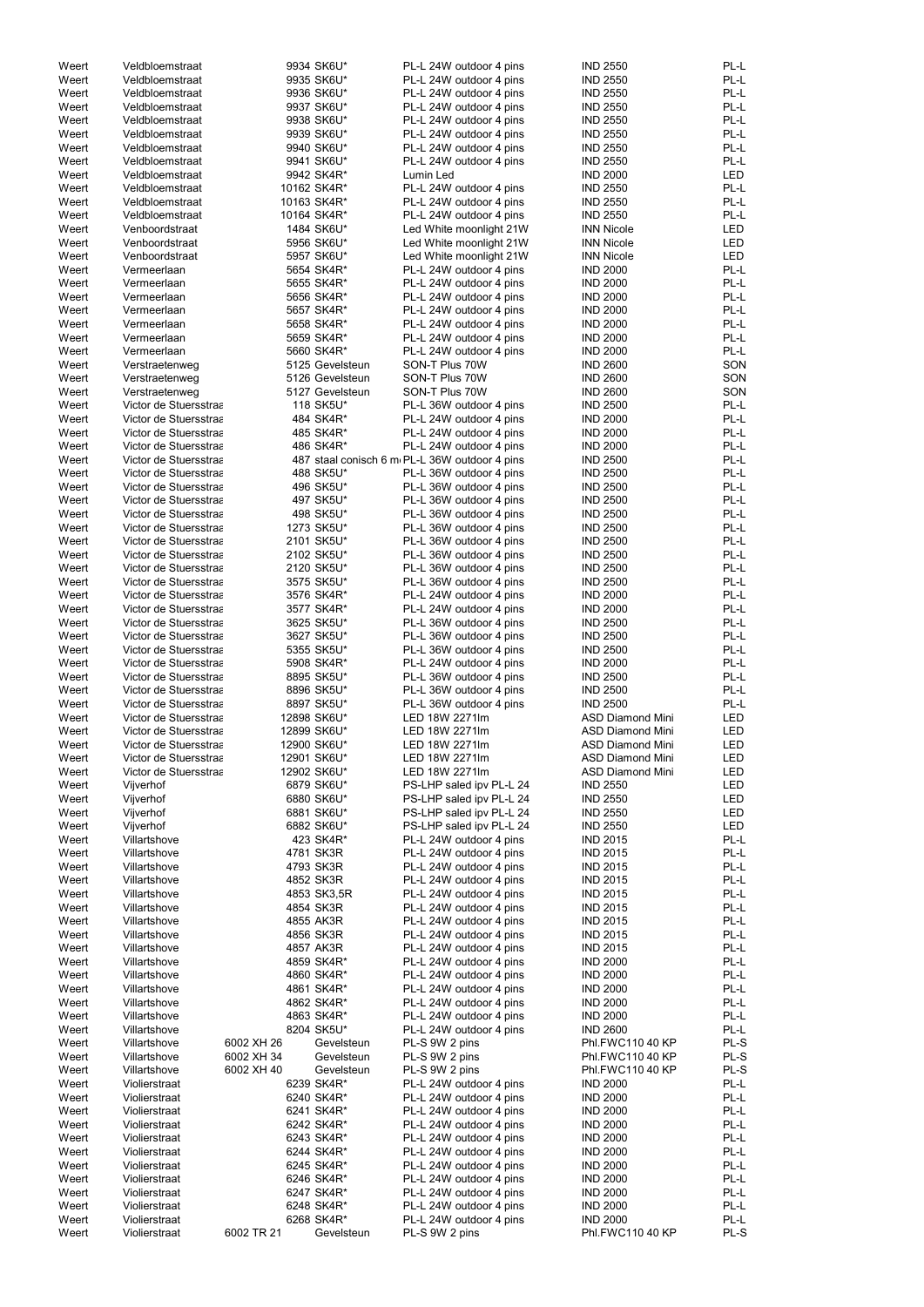| Weert | Veldbloemstraat       |            | 9934 SK6U*      | PL-L 24W outdoor 4 pins                       | <b>IND 2550</b>         | PL-L       |
|-------|-----------------------|------------|-----------------|-----------------------------------------------|-------------------------|------------|
| Weert | Veldbloemstraat       |            | 9935 SK6U*      | PL-L 24W outdoor 4 pins                       | <b>IND 2550</b>         | PL-L       |
| Weert | Veldbloemstraat       |            | 9936 SK6U*      | PL-L 24W outdoor 4 pins                       | <b>IND 2550</b>         | PL-L       |
| Weert | Veldbloemstraat       |            | 9937 SK6U*      | PL-L 24W outdoor 4 pins                       | <b>IND 2550</b>         | PL-L       |
| Weert | Veldbloemstraat       |            | 9938 SK6U*      | PL-L 24W outdoor 4 pins                       | <b>IND 2550</b>         | PL-L       |
|       |                       |            |                 |                                               |                         |            |
| Weert | Veldbloemstraat       |            | 9939 SK6U*      | PL-L 24W outdoor 4 pins                       | <b>IND 2550</b>         | PL-L       |
| Weert | Veldbloemstraat       |            | 9940 SK6U*      | PL-L 24W outdoor 4 pins                       | <b>IND 2550</b>         | PL-L       |
| Weert | Veldbloemstraat       |            | 9941 SK6U*      | PL-L 24W outdoor 4 pins                       | <b>IND 2550</b>         | PL-L       |
| Weert | Veldbloemstraat       |            | 9942 SK4R*      | Lumin Led                                     | <b>IND 2000</b>         | <b>LED</b> |
| Weert | Veldbloemstraat       |            | 10162 SK4R*     | PL-L 24W outdoor 4 pins                       | <b>IND 2550</b>         | PL-L       |
| Weert | Veldbloemstraat       |            | 10163 SK4R*     | PL-L 24W outdoor 4 pins                       | <b>IND 2550</b>         | PL-L       |
|       | Veldbloemstraat       |            |                 | PL-L 24W outdoor 4 pins                       |                         | PL-L       |
| Weert |                       |            | 10164 SK4R*     |                                               | <b>IND 2550</b>         |            |
| Weert | Venboordstraat        |            | 1484 SK6U*      | Led White moonlight 21W                       | <b>INN Nicole</b>       | LED        |
| Weert | Venboordstraat        |            | 5956 SK6U*      | Led White moonlight 21W                       | <b>INN Nicole</b>       | <b>LED</b> |
| Weert | Venboordstraat        |            | 5957 SK6U*      | Led White moonlight 21W                       | <b>INN Nicole</b>       | <b>LED</b> |
| Weert | Vermeerlaan           |            | 5654 SK4R*      | PL-L 24W outdoor 4 pins                       | <b>IND 2000</b>         | PL-L       |
| Weert | Vermeerlaan           |            | 5655 SK4R*      | PL-L 24W outdoor 4 pins                       | <b>IND 2000</b>         | PL-L       |
| Weert | Vermeerlaan           |            | 5656 SK4R*      | PL-L 24W outdoor 4 pins                       | <b>IND 2000</b>         | PL-L       |
|       |                       |            |                 |                                               |                         |            |
| Weert | Vermeerlaan           |            | 5657 SK4R*      | PL-L 24W outdoor 4 pins                       | <b>IND 2000</b>         | PL-L       |
| Weert | Vermeerlaan           |            | 5658 SK4R*      | PL-L 24W outdoor 4 pins                       | <b>IND 2000</b>         | PL-L       |
| Weert | Vermeerlaan           |            | 5659 SK4R*      | PL-L 24W outdoor 4 pins                       | <b>IND 2000</b>         | PL-L       |
| Weert | Vermeerlaan           |            | 5660 SK4R*      | PL-L 24W outdoor 4 pins                       | <b>IND 2000</b>         | PL-L       |
| Weert | Verstraetenweg        |            | 5125 Gevelsteun | SON-T Plus 70W                                | <b>IND 2600</b>         | SON        |
| Weert | Verstraetenweg        |            | 5126 Gevelsteun | SON-T Plus 70W                                | <b>IND 2600</b>         | SON        |
| Weert |                       |            | 5127 Gevelsteun | SON-T Plus 70W                                | <b>IND 2600</b>         | SON        |
|       | Verstraetenweg        |            |                 |                                               |                         |            |
| Weert | Victor de Stuersstraa |            | 118 SK5U*       | PL-L 36W outdoor 4 pins                       | <b>IND 2500</b>         | PL-L       |
| Weert | Victor de Stuersstraa |            | 484 SK4R*       | PL-L 24W outdoor 4 pins                       | <b>IND 2000</b>         | PL-L       |
| Weert | Victor de Stuersstraa |            | 485 SK4R*       | PL-L 24W outdoor 4 pins                       | <b>IND 2000</b>         | PL-L       |
| Weert | Victor de Stuersstraa |            | 486 SK4R*       | PL-L 24W outdoor 4 pins                       | <b>IND 2000</b>         | PL-L       |
| Weert | Victor de Stuersstraa |            |                 | 487 staal conisch 6 m PL-L 36W outdoor 4 pins | <b>IND 2500</b>         | PL-L       |
| Weert | Victor de Stuersstraa |            | 488 SK5U*       | PL-L 36W outdoor 4 pins                       | <b>IND 2500</b>         | PL-L       |
|       |                       |            |                 |                                               |                         |            |
| Weert | Victor de Stuersstraa |            | 496 SK5U*       | PL-L 36W outdoor 4 pins                       | <b>IND 2500</b>         | PL-L       |
| Weert | Victor de Stuersstraa |            | 497 SK5U*       | PL-L 36W outdoor 4 pins                       | <b>IND 2500</b>         | PL-L       |
| Weert | Victor de Stuersstraa |            | 498 SK5U*       | PL-L 36W outdoor 4 pins                       | <b>IND 2500</b>         | PL-L       |
| Weert | Victor de Stuersstraa |            | 1273 SK5U*      | PL-L 36W outdoor 4 pins                       | <b>IND 2500</b>         | PL-L       |
| Weert | Victor de Stuersstraa |            | 2101 SK5U*      | PL-L 36W outdoor 4 pins                       | <b>IND 2500</b>         | PL-L       |
| Weert | Victor de Stuersstraa |            | 2102 SK5U*      | PL-L 36W outdoor 4 pins                       | <b>IND 2500</b>         | PL-L       |
|       |                       |            |                 |                                               |                         |            |
| Weert | Victor de Stuersstraa |            | 2120 SK5U*      | PL-L 36W outdoor 4 pins                       | <b>IND 2500</b>         | PL-L       |
| Weert | Victor de Stuersstraa |            | 3575 SK5U*      | PL-L 36W outdoor 4 pins                       | <b>IND 2500</b>         | PL-L       |
| Weert | Victor de Stuersstraa |            | 3576 SK4R*      | PL-L 24W outdoor 4 pins                       | <b>IND 2000</b>         | PL-L       |
| Weert | Victor de Stuersstraa |            | 3577 SK4R*      | PL-L 24W outdoor 4 pins                       | <b>IND 2000</b>         | PL-L       |
| Weert | Victor de Stuersstraa |            | 3625 SK5U*      | PL-L 36W outdoor 4 pins                       | <b>IND 2500</b>         | PL-L       |
| Weert | Victor de Stuersstraa |            |                 |                                               |                         | PL-L       |
|       |                       |            | 3627 SK5U*      | PL-L 36W outdoor 4 pins                       | <b>IND 2500</b>         |            |
| Weert | Victor de Stuersstraa |            | 5355 SK5U*      | PL-L 36W outdoor 4 pins                       | <b>IND 2500</b>         | PL-L       |
| Weert | Victor de Stuersstraa |            | 5908 SK4R*      | PL-L 24W outdoor 4 pins                       | <b>IND 2000</b>         | PL-L       |
| Weert | Victor de Stuersstraa |            | 8895 SK5U*      | PL-L 36W outdoor 4 pins                       | <b>IND 2500</b>         | PL-L       |
| Weert | Victor de Stuersstraa |            | 8896 SK5U*      | PL-L 36W outdoor 4 pins                       | <b>IND 2500</b>         | PL-L       |
| Weert | Victor de Stuersstraa |            | 8897 SK5U*      | PL-L 36W outdoor 4 pins                       | <b>IND 2500</b>         | PL-L       |
|       |                       |            |                 |                                               |                         |            |
| Weert | Victor de Stuersstraa |            | 12898 SK6U*     | LED 18W 2271lm                                | <b>ASD Diamond Mini</b> | <b>LED</b> |
| Weert | Victor de Stuersstraa |            | 12899 SK6U*     | LED 18W 2271lm                                | <b>ASD Diamond Mini</b> | <b>LED</b> |
| Weert | Victor de Stuersstraa |            | 12900 SK6U*     | LED 18W 2271lm                                | <b>ASD Diamond Mini</b> | LED        |
| Weert | Victor de Stuersstraa |            | 12901 SK6U*     | LED 18W 2271lm                                | <b>ASD Diamond Mini</b> | <b>LED</b> |
| Weert | Victor de Stuersstraa |            | 12902 SK6U*     | LED 18W 2271lm                                | <b>ASD Diamond Mini</b> | LED        |
| Weert | Vijverhof             |            | 6879 SK6U*      | PS-LHP saled ipv PL-L 24                      | <b>IND 2550</b>         | <b>LED</b> |
|       |                       |            |                 |                                               |                         |            |
| Weert | Vijverhof             |            | 6880 SK6U*      | PS-LHP saled ipv PL-L 24                      | <b>IND 2550</b>         | LED        |
| Weert | Vijverhof             |            | 6881 SK6U*      | PS-LHP saled ipv PL-L 24                      | <b>IND 2550</b>         | <b>LED</b> |
| Weert | Vijverhof             |            | 6882 SK6U*      | PS-LHP saled ipv PL-L 24                      | <b>IND 2550</b>         | <b>LED</b> |
| Weert | Villartshove          |            | 423 SK4R*       | PL-L 24W outdoor 4 pins                       | <b>IND 2015</b>         | PL-L       |
| Weert | Villartshove          |            | 4781 SK3R       | PL-L 24W outdoor 4 pins                       | <b>IND 2015</b>         | PL-L       |
| Weert | Villartshove          |            | 4793 SK3R       | PL-L 24W outdoor 4 pins                       | <b>IND 2015</b>         | PL-L       |
| Weert | Villartshove          |            | 4852 SK3R       | PL-L 24W outdoor 4 pins                       | <b>IND 2015</b>         | PL-L       |
| Weert | Villartshove          |            | 4853 SK3,5R     | PL-L 24W outdoor 4 pins                       | <b>IND 2015</b>         | PL-L       |
|       |                       |            |                 |                                               |                         |            |
| Weert | Villartshove          |            | 4854 SK3R       | PL-L 24W outdoor 4 pins                       | <b>IND 2015</b>         | PL-L       |
| Weert | Villartshove          |            | 4855 AK3R       | PL-L 24W outdoor 4 pins                       | <b>IND 2015</b>         | PL-L       |
| Weert | Villartshove          |            | 4856 SK3R       | PL-L 24W outdoor 4 pins                       | <b>IND 2015</b>         | PL-L       |
| Weert | Villartshove          |            | 4857 AK3R       | PL-L 24W outdoor 4 pins                       | <b>IND 2015</b>         | PL-L       |
| Weert | Villartshove          |            | 4859 SK4R*      | PL-L 24W outdoor 4 pins                       | <b>IND 2000</b>         | PL-L       |
| Weert | Villartshove          |            | 4860 SK4R*      | PL-L 24W outdoor 4 pins                       | <b>IND 2000</b>         | PL-L       |
|       |                       |            |                 |                                               |                         |            |
| Weert | Villartshove          |            | 4861 SK4R*      | PL-L 24W outdoor 4 pins                       | <b>IND 2000</b>         | PL-L       |
| Weert | Villartshove          |            | 4862 SK4R*      | PL-L 24W outdoor 4 pins                       | <b>IND 2000</b>         | PL-L       |
| Weert | Villartshove          |            | 4863 SK4R*      | PL-L 24W outdoor 4 pins                       | <b>IND 2000</b>         | PL-L       |
| Weert | Villartshove          |            | 8204 SK5U*      | PL-L 24W outdoor 4 pins                       | <b>IND 2600</b>         | PL-L       |
| Weert | Villartshove          | 6002 XH 26 | Gevelsteun      | PL-S 9W 2 pins                                | Phl.FWC110 40 KP        | $PL-S$     |
| Weert | Villartshove          | 6002 XH 34 | Gevelsteun      | PL-S 9W 2 pins                                | Phl.FWC110 40 KP        | PL-S       |
|       |                       |            |                 |                                               |                         |            |
| Weert | Villartshove          | 6002 XH 40 | Gevelsteun      | PL-S 9W 2 pins                                | Phl.FWC110 40 KP        | PL-S       |
| Weert | Violierstraat         |            | 6239 SK4R*      | PL-L 24W outdoor 4 pins                       | <b>IND 2000</b>         | PL-L       |
| Weert | Violierstraat         |            | 6240 SK4R*      | PL-L 24W outdoor 4 pins                       | <b>IND 2000</b>         | PL-L       |
| Weert | Violierstraat         |            | 6241 SK4R*      | PL-L 24W outdoor 4 pins                       | <b>IND 2000</b>         | PL-L       |
| Weert | Violierstraat         |            | 6242 SK4R*      | PL-L 24W outdoor 4 pins                       | <b>IND 2000</b>         | PL-L       |
| Weert | Violierstraat         |            | 6243 SK4R*      | PL-L 24W outdoor 4 pins                       | <b>IND 2000</b>         | PL-L       |
|       |                       |            |                 |                                               |                         |            |
| Weert | Violierstraat         |            | 6244 SK4R*      | PL-L 24W outdoor 4 pins                       | <b>IND 2000</b>         | PL-L       |
| Weert | Violierstraat         |            | 6245 SK4R*      | PL-L 24W outdoor 4 pins                       | <b>IND 2000</b>         | PL-L       |
| Weert | Violierstraat         |            | 6246 SK4R*      | PL-L 24W outdoor 4 pins                       | <b>IND 2000</b>         | PL-L       |
| Weert | Violierstraat         |            | 6247 SK4R*      | PL-L 24W outdoor 4 pins                       | <b>IND 2000</b>         | PL-L       |
| Weert | Violierstraat         |            | 6248 SK4R*      | PL-L 24W outdoor 4 pins                       | <b>IND 2000</b>         | PL-L       |
| Weert | Violierstraat         |            | 6268 SK4R*      | PL-L 24W outdoor 4 pins                       | <b>IND 2000</b>         | PL-L       |
| Weert |                       |            |                 |                                               |                         |            |
|       | Violierstraat         | 6002 TR 21 | Gevelsteun      | PL-S 9W 2 pins                                | Phl.FWC110 40 KP        | PL-S       |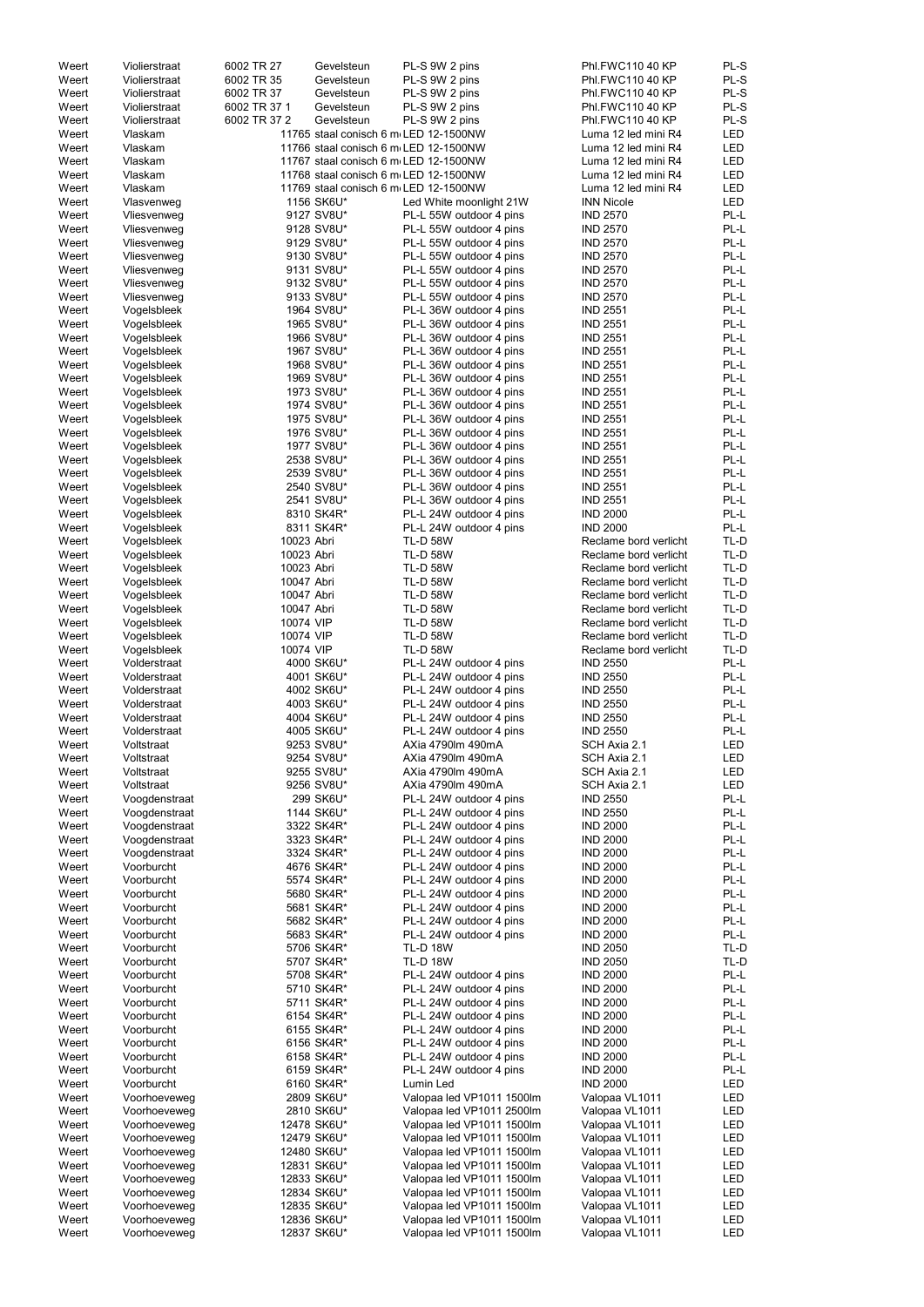| Weert | Violierstraat | 6002 TR 27   | Gevelsteun                            | PL-S 9W 2 pins            | Phl.FWC110 40 KP      | PL-S       |
|-------|---------------|--------------|---------------------------------------|---------------------------|-----------------------|------------|
| Weert | Violierstraat | 6002 TR 35   | Gevelsteun                            | PL-S 9W 2 pins            | Phl.FWC110 40 KP      | PL-S       |
| Weert | Violierstraat | 6002 TR 37   | Gevelsteun                            | PL-S 9W 2 pins            | Phl.FWC110 40 KP      | PL-S       |
| Weert | Violierstraat | 6002 TR 37 1 | Gevelsteun                            | PL-S 9W 2 pins            | Phl.FWC110 40 KP      | PL-S       |
| Weert | Violierstraat | 6002 TR 37 2 | Gevelsteun                            |                           | Phl.FWC110 40 KP      | PL-S       |
|       |               |              |                                       | PL-S 9W 2 pins            |                       |            |
| Weert | Vlaskam       |              | 11765 staal conisch 6 m LED 12-1500NW |                           | Luma 12 led mini R4   | LED        |
| Weert | Vlaskam       |              | 11766 staal conisch 6 m LED 12-1500NW |                           | Luma 12 led mini R4   | <b>LED</b> |
| Weert | Vlaskam       |              | 11767 staal conisch 6 m LED 12-1500NW |                           | Luma 12 led mini R4   | <b>LED</b> |
| Weert | Vlaskam       |              | 11768 staal conisch 6 m LED 12-1500NW |                           | Luma 12 led mini R4   | <b>LED</b> |
| Weert | Vlaskam       |              | 11769 staal conisch 6 m LED 12-1500NW |                           | Luma 12 led mini R4   | <b>LED</b> |
| Weert | Vlasvenweg    |              | 1156 SK6U*                            | Led White moonlight 21W   | <b>INN Nicole</b>     | <b>LED</b> |
| Weert | Vliesvenweg   |              | 9127 SV8U*                            | PL-L 55W outdoor 4 pins   | <b>IND 2570</b>       | PL-L       |
|       |               |              |                                       |                           |                       |            |
| Weert | Vliesvenweg   |              | 9128 SV8U*                            | PL-L 55W outdoor 4 pins   | <b>IND 2570</b>       | PL-L       |
| Weert | Vliesvenweg   |              | 9129 SV8U*                            | PL-L 55W outdoor 4 pins   | <b>IND 2570</b>       | PL-L       |
| Weert | Vliesvenweg   |              | 9130 SV8U*                            | PL-L 55W outdoor 4 pins   | <b>IND 2570</b>       | PL-L       |
| Weert | Vliesvenweg   |              | 9131 SV8U*                            | PL-L 55W outdoor 4 pins   | <b>IND 2570</b>       | PL-L       |
| Weert | Vliesvenweg   |              | 9132 SV8U*                            | PL-L 55W outdoor 4 pins   | <b>IND 2570</b>       | PL-L       |
| Weert | Vliesvenweg   |              | 9133 SV8U*                            | PL-L 55W outdoor 4 pins   | <b>IND 2570</b>       | PL-L       |
| Weert | Vogelsbleek   |              | 1964 SV8U*                            | PL-L 36W outdoor 4 pins   | <b>IND 2551</b>       | PL-L       |
| Weert | Vogelsbleek   |              | 1965 SV8U*                            | PL-L 36W outdoor 4 pins   | <b>IND 2551</b>       | PL-L       |
|       |               |              |                                       |                           |                       |            |
| Weert | Vogelsbleek   |              | 1966 SV8U*                            | PL-L 36W outdoor 4 pins   | <b>IND 2551</b>       | PL-L       |
| Weert | Vogelsbleek   |              | 1967 SV8U*                            | PL-L 36W outdoor 4 pins   | <b>IND 2551</b>       | PL-L       |
| Weert | Vogelsbleek   |              | 1968 SV8U*                            | PL-L 36W outdoor 4 pins   | <b>IND 2551</b>       | PL-L       |
| Weert | Vogelsbleek   |              | 1969 SV8U*                            | PL-L 36W outdoor 4 pins   | <b>IND 2551</b>       | PL-L       |
| Weert | Vogelsbleek   |              | 1973 SV8U*                            | PL-L 36W outdoor 4 pins   | <b>IND 2551</b>       | PL-L       |
| Weert | Vogelsbleek   |              | 1974 SV8U*                            | PL-L 36W outdoor 4 pins   | <b>IND 2551</b>       | PL-L       |
| Weert | Vogelsbleek   |              | 1975 SV8U*                            | PL-L 36W outdoor 4 pins   | <b>IND 2551</b>       | PL-L       |
| Weert | Vogelsbleek   |              | 1976 SV8U*                            | PL-L 36W outdoor 4 pins   | <b>IND 2551</b>       | PL-L       |
|       |               |              |                                       |                           |                       |            |
| Weert | Vogelsbleek   |              | 1977 SV8U*                            | PL-L 36W outdoor 4 pins   | <b>IND 2551</b>       | PL-L       |
| Weert | Vogelsbleek   |              | 2538 SV8U*                            | PL-L 36W outdoor 4 pins   | <b>IND 2551</b>       | PL-L       |
| Weert | Vogelsbleek   |              | 2539 SV8U*                            | PL-L 36W outdoor 4 pins   | <b>IND 2551</b>       | PL-L       |
| Weert | Vogelsbleek   |              | 2540 SV8U*                            | PL-L 36W outdoor 4 pins   | <b>IND 2551</b>       | PL-L       |
| Weert | Vogelsbleek   |              | 2541 SV8U*                            | PL-L 36W outdoor 4 pins   | <b>IND 2551</b>       | PL-L       |
| Weert | Vogelsbleek   |              | 8310 SK4R*                            | PL-L 24W outdoor 4 pins   | <b>IND 2000</b>       | PL-L       |
| Weert | Vogelsbleek   |              | 8311 SK4R*                            | PL-L 24W outdoor 4 pins   | <b>IND 2000</b>       | PL-L       |
|       | Vogelsbleek   | 10023 Abri   |                                       | <b>TL-D 58W</b>           |                       | TL-D       |
| Weert |               |              |                                       |                           | Reclame bord verlicht |            |
| Weert | Vogelsbleek   | 10023 Abri   |                                       | <b>TL-D 58W</b>           | Reclame bord verlicht | TL-D       |
| Weert | Vogelsbleek   | 10023 Abri   |                                       | <b>TL-D 58W</b>           | Reclame bord verlicht | TL-D       |
| Weert | Vogelsbleek   | 10047 Abri   |                                       | <b>TL-D 58W</b>           | Reclame bord verlicht | TL-D       |
| Weert | Vogelsbleek   | 10047 Abri   |                                       | <b>TL-D 58W</b>           | Reclame bord verlicht | TL-D       |
| Weert | Vogelsbleek   | 10047 Abri   |                                       | <b>TL-D 58W</b>           | Reclame bord verlicht | TL-D       |
| Weert | Vogelsbleek   | 10074 VIP    |                                       | <b>TL-D 58W</b>           | Reclame bord verlicht | TL-D       |
| Weert | Vogelsbleek   | 10074 VIP    |                                       | <b>TL-D 58W</b>           | Reclame bord verlicht | TL-D       |
| Weert |               | 10074 VIP    |                                       | <b>TL-D 58W</b>           | Reclame bord verlicht | TL-D       |
|       | Vogelsbleek   |              |                                       |                           |                       |            |
| Weert | Volderstraat  |              | 4000 SK6U*                            | PL-L 24W outdoor 4 pins   | <b>IND 2550</b>       | PL-L       |
| Weert | Volderstraat  |              | 4001 SK6U*                            | PL-L 24W outdoor 4 pins   | <b>IND 2550</b>       | PL-L       |
| Weert | Volderstraat  |              | 4002 SK6U*                            | PL-L 24W outdoor 4 pins   | <b>IND 2550</b>       | PL-L       |
| Weert | Volderstraat  |              | 4003 SK6U*                            | PL-L 24W outdoor 4 pins   | <b>IND 2550</b>       | PL-L       |
| Weert | Volderstraat  |              | 4004 SK6U*                            | PL-L 24W outdoor 4 pins   | <b>IND 2550</b>       | PL-L       |
| Weert | Volderstraat  |              | 4005 SK6U*                            | PL-L 24W outdoor 4 pins   | <b>IND 2550</b>       | PL-L       |
| Weert | Voltstraat    |              | 9253 SV8U*                            | AXia 4790lm 490mA         | SCH Axia 2.1          | LED        |
|       |               |              |                                       |                           |                       |            |
| Weert | Voltstraat    |              | 9254 SV8U*                            | AXia 4790lm 490mA         | SCH Axia 2.1          | LED        |
| Weert | Voltstraat    |              | 9255 SV8U*                            | AXia 4790lm 490mA         | SCH Axia 2.1          | LED        |
| Weert | Voltstraat    |              | 9256 SV8U*                            | AXia 4790lm 490mA         | SCH Axia 2.1          | LED        |
| Weert | Voogdenstraat |              | 299 SK6U*                             | PL-L 24W outdoor 4 pins   | <b>IND 2550</b>       | PL-L       |
| Weert | Voogdenstraat |              | 1144 SK6U*                            | PL-L 24W outdoor 4 pins   | <b>IND 2550</b>       | PL-L       |
| Weert | Voogdenstraat |              | 3322 SK4R*                            | PL-L 24W outdoor 4 pins   | <b>IND 2000</b>       | PL-L       |
| Weert | Voogdenstraat |              | 3323 SK4R*                            | PL-L 24W outdoor 4 pins   | <b>IND 2000</b>       | PL-L       |
| Weert | Voogdenstraat |              | 3324 SK4R*                            | PL-L 24W outdoor 4 pins   | <b>IND 2000</b>       | PL-L       |
| Weert | Voorburcht    |              | 4676 SK4R*                            | PL-L 24W outdoor 4 pins   | <b>IND 2000</b>       | PL-L       |
| Weert | Voorburcht    |              | 5574 SK4R*                            | PL-L 24W outdoor 4 pins   | <b>IND 2000</b>       | PL-L       |
|       |               |              |                                       |                           |                       |            |
| Weert | Voorburcht    |              | 5680 SK4R*                            | PL-L 24W outdoor 4 pins   | <b>IND 2000</b>       | PL-L       |
| Weert | Voorburcht    |              | 5681 SK4R*                            | PL-L 24W outdoor 4 pins   | <b>IND 2000</b>       | PL-L       |
| Weert | Voorburcht    |              | 5682 SK4R*                            | PL-L 24W outdoor 4 pins   | <b>IND 2000</b>       | PL-L       |
| Weert | Voorburcht    |              | 5683 SK4R*                            | PL-L 24W outdoor 4 pins   | <b>IND 2000</b>       | PL-L       |
| Weert | Voorburcht    |              | 5706 SK4R*                            | <b>TL-D 18W</b>           | <b>IND 2050</b>       | TL-D       |
| Weert | Voorburcht    |              | 5707 SK4R*                            | <b>TL-D 18W</b>           | <b>IND 2050</b>       | TL-D       |
| Weert | Voorburcht    |              | 5708 SK4R*                            | PL-L 24W outdoor 4 pins   | <b>IND 2000</b>       | PL-L       |
| Weert | Voorburcht    |              | 5710 SK4R*                            | PL-L 24W outdoor 4 pins   | <b>IND 2000</b>       | PL-L       |
| Weert | Voorburcht    |              | 5711 SK4R*                            | PL-L 24W outdoor 4 pins   | <b>IND 2000</b>       | PL-L       |
|       |               |              |                                       |                           |                       |            |
| Weert | Voorburcht    |              | 6154 SK4R*                            | PL-L 24W outdoor 4 pins   | <b>IND 2000</b>       | PL-L       |
| Weert | Voorburcht    |              | 6155 SK4R*                            | PL-L 24W outdoor 4 pins   | <b>IND 2000</b>       | PL-L       |
| Weert | Voorburcht    |              | 6156 SK4R*                            | PL-L 24W outdoor 4 pins   | <b>IND 2000</b>       | PL-L       |
| Weert | Voorburcht    |              | 6158 SK4R*                            | PL-L 24W outdoor 4 pins   | <b>IND 2000</b>       | PL-L       |
| Weert | Voorburcht    |              | 6159 SK4R*                            | PL-L 24W outdoor 4 pins   | <b>IND 2000</b>       | PL-L       |
| Weert | Voorburcht    |              | 6160 SK4R*                            | Lumin Led                 | <b>IND 2000</b>       | LED        |
| Weert | Voorhoeveweg  |              | 2809 SK6U*                            | Valopaa led VP1011 1500lm | Valopaa VL1011        | LED        |
|       |               |              |                                       |                           |                       |            |
| Weert | Voorhoeveweg  |              | 2810 SK6U*                            | Valopaa led VP1011 2500lm | Valopaa VL1011        | LED        |
| Weert | Voorhoeveweg  |              | 12478 SK6U*                           | Valopaa led VP1011 1500lm | Valopaa VL1011        | LED        |
| Weert | Voorhoeveweg  |              | 12479 SK6U*                           | Valopaa led VP1011 1500lm | Valopaa VL1011        | LED        |
| Weert | Voorhoeveweg  |              | 12480 SK6U*                           | Valopaa led VP1011 1500lm | Valopaa VL1011        | LED        |
| Weert | Voorhoeveweg  |              | 12831 SK6U*                           | Valopaa led VP1011 1500lm | Valopaa VL1011        | LED        |
| Weert | Voorhoeveweg  |              | 12833 SK6U*                           | Valopaa led VP1011 1500lm | Valopaa VL1011        | LED        |
| Weert | Voorhoeveweg  |              | 12834 SK6U*                           | Valopaa led VP1011 1500lm | Valopaa VL1011        | LED        |
| Weert | Voorhoeveweg  |              | 12835 SK6U*                           | Valopaa led VP1011 1500lm | Valopaa VL1011        | LED        |
| Weert | Voorhoeveweg  |              | 12836 SK6U*                           | Valopaa led VP1011 1500lm | Valopaa VL1011        | LED        |
|       | Voorhoeveweg  |              | 12837 SK6U*                           | Valopaa led VP1011 1500lm | Valopaa VL1011        | LED        |
| Weert |               |              |                                       |                           |                       |            |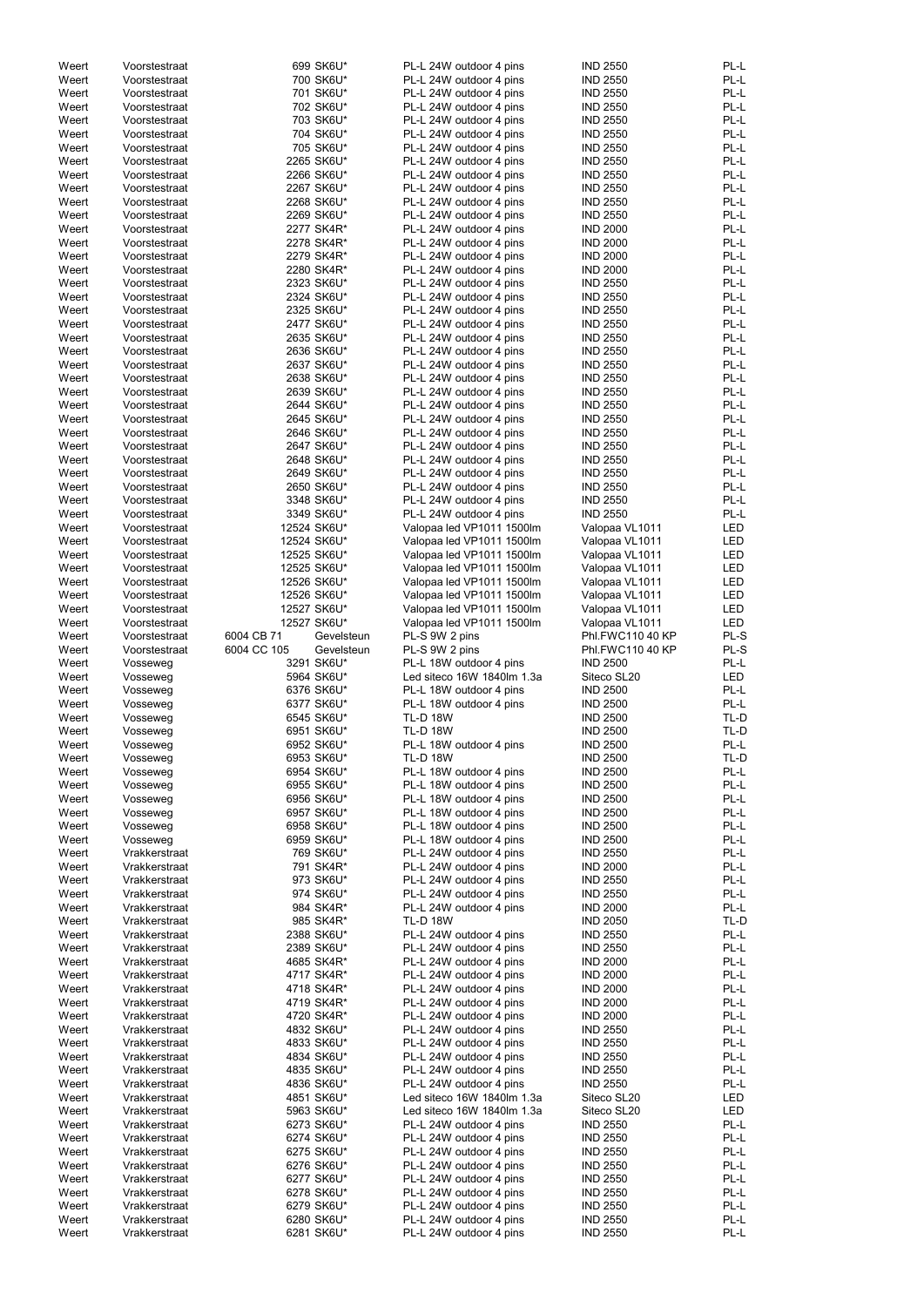| Weert          |                                |                           |                                                    |                                    |              |
|----------------|--------------------------------|---------------------------|----------------------------------------------------|------------------------------------|--------------|
|                | Voorstestraat                  | 699 SK6U*                 | PL-L 24W outdoor 4 pins                            | <b>IND 2550</b>                    | PL-L         |
| Weert          | Voorstestraat                  | 700 SK6U*                 | PL-L 24W outdoor 4 pins                            | <b>IND 2550</b>                    | PL-L         |
| Weert          | Voorstestraat                  | 701 SK6U*                 | PL-L 24W outdoor 4 pins                            | <b>IND 2550</b>                    | PL-L         |
| Weert          | Voorstestraat                  | 702 SK6U*                 | PL-L 24W outdoor 4 pins                            | <b>IND 2550</b>                    | PL-L         |
|                |                                |                           |                                                    |                                    |              |
| Weert          | Voorstestraat                  | 703 SK6U*                 | PL-L 24W outdoor 4 pins                            | <b>IND 2550</b>                    | PL-L         |
| Weert          | Voorstestraat                  | 704 SK6U*                 | PL-L 24W outdoor 4 pins                            | <b>IND 2550</b>                    | PL-L         |
| Weert          | Voorstestraat                  | 705 SK6U*                 | PL-L 24W outdoor 4 pins                            | <b>IND 2550</b>                    | PL-L         |
| Weert          | Voorstestraat                  | 2265 SK6U*                | PL-L 24W outdoor 4 pins                            | <b>IND 2550</b>                    | PL-L         |
| Weert          | Voorstestraat                  | 2266 SK6U*                | PL-L 24W outdoor 4 pins                            | <b>IND 2550</b>                    | PL-L         |
| Weert          | Voorstestraat                  | 2267 SK6U*                | PL-L 24W outdoor 4 pins                            | <b>IND 2550</b>                    | PL-L         |
|                |                                |                           |                                                    |                                    | PL-L         |
| Weert          | Voorstestraat                  | 2268 SK6U*                | PL-L 24W outdoor 4 pins                            | <b>IND 2550</b>                    |              |
| Weert          | Voorstestraat                  | 2269 SK6U*                | PL-L 24W outdoor 4 pins                            | <b>IND 2550</b>                    | PL-L         |
| Weert          | Voorstestraat                  | 2277 SK4R*                | PL-L 24W outdoor 4 pins                            | <b>IND 2000</b>                    | PL-L         |
| Weert          | Voorstestraat                  | 2278 SK4R*                | PL-L 24W outdoor 4 pins                            | <b>IND 2000</b>                    | PL-L         |
| Weert          | Voorstestraat                  | 2279 SK4R*                | PL-L 24W outdoor 4 pins                            | <b>IND 2000</b>                    | PL-L         |
| Weert          | Voorstestraat                  | 2280 SK4R*                | PL-L 24W outdoor 4 pins                            | <b>IND 2000</b>                    | PL-L         |
| Weert          | Voorstestraat                  | 2323 SK6U*                | PL-L 24W outdoor 4 pins                            | <b>IND 2550</b>                    | PL-L         |
|                |                                |                           |                                                    |                                    |              |
| Weert          | Voorstestraat                  | 2324 SK6U*                | PL-L 24W outdoor 4 pins                            | <b>IND 2550</b>                    | PL-L         |
| Weert          | Voorstestraat                  | 2325 SK6U*                | PL-L 24W outdoor 4 pins                            | <b>IND 2550</b>                    | PL-L         |
| Weert          | Voorstestraat                  | 2477 SK6U*                | PL-L 24W outdoor 4 pins                            | <b>IND 2550</b>                    | PL-L         |
| Weert          | Voorstestraat                  | 2635 SK6U*                | PL-L 24W outdoor 4 pins                            | <b>IND 2550</b>                    | PL-L         |
| Weert          | Voorstestraat                  | 2636 SK6U*                | PL-L 24W outdoor 4 pins                            | <b>IND 2550</b>                    | PL-L         |
| Weert          | Voorstestraat                  | 2637 SK6U*                | PL-L 24W outdoor 4 pins                            | <b>IND 2550</b>                    | PL-L         |
| Weert          | Voorstestraat                  | 2638 SK6U*                | PL-L 24W outdoor 4 pins                            | <b>IND 2550</b>                    | PL-L         |
|                |                                |                           |                                                    |                                    |              |
| Weert          | Voorstestraat                  | 2639 SK6U*                | PL-L 24W outdoor 4 pins                            | <b>IND 2550</b>                    | PL-L         |
| Weert          | Voorstestraat                  | 2644 SK6U*                | PL-L 24W outdoor 4 pins                            | <b>IND 2550</b>                    | PL-L         |
| Weert          | Voorstestraat                  | 2645 SK6U*                | PL-L 24W outdoor 4 pins                            | <b>IND 2550</b>                    | PL-L         |
| Weert          | Voorstestraat                  | 2646 SK6U*                | PL-L 24W outdoor 4 pins                            | <b>IND 2550</b>                    | PL-L         |
| Weert          | Voorstestraat                  | 2647 SK6U*                | PL-L 24W outdoor 4 pins                            | <b>IND 2550</b>                    | PL-L         |
| Weert          | Voorstestraat                  | 2648 SK6U*                | PL-L 24W outdoor 4 pins                            | <b>IND 2550</b>                    | PL-L         |
|                |                                |                           |                                                    |                                    |              |
| Weert          | Voorstestraat                  | 2649 SK6U*                | PL-L 24W outdoor 4 pins                            | <b>IND 2550</b>                    | PL-L         |
| Weert          | Voorstestraat                  | 2650 SK6U*                | PL-L 24W outdoor 4 pins                            | <b>IND 2550</b>                    | PL-L         |
| Weert          | Voorstestraat                  | 3348 SK6U*                | PL-L 24W outdoor 4 pins                            | <b>IND 2550</b>                    | PL-L         |
| Weert          | Voorstestraat                  | 3349 SK6U*                | PL-L 24W outdoor 4 pins                            | <b>IND 2550</b>                    | PL-L         |
| Weert          | Voorstestraat                  | 12524 SK6U*               | Valopaa led VP1011 1500lm                          | Valopaa VL1011                     | LED          |
| Weert          | Voorstestraat                  | 12524 SK6U*               | Valopaa led VP1011 1500lm                          | Valopaa VL1011                     | <b>LED</b>   |
|                |                                |                           |                                                    |                                    |              |
| Weert          | Voorstestraat                  | 12525 SK6U*               | Valopaa led VP1011 1500lm                          | Valopaa VL1011                     | LED          |
| Weert          | Voorstestraat                  | 12525 SK6U*               | Valopaa led VP1011 1500lm                          | Valopaa VL1011                     | LED          |
| Weert          | Voorstestraat                  | 12526 SK6U*               | Valopaa led VP1011 1500lm                          | Valopaa VL1011                     | LED          |
| Weert          | Voorstestraat                  | 12526 SK6U*               | Valopaa led VP1011 1500lm                          | Valopaa VL1011                     | LED          |
| Weert          | Voorstestraat                  | 12527 SK6U*               | Valopaa led VP1011 1500lm                          | Valopaa VL1011                     | LED          |
| Weert          | Voorstestraat                  | 12527 SK6U*               | Valopaa led VP1011 1500lm                          | Valopaa VL1011                     | LED          |
|                |                                |                           |                                                    |                                    |              |
| Weert          | Voorstestraat                  | 6004 CB 71<br>Gevelsteun  | PL-S 9W 2 pins                                     | Phl.FWC110 40 KP                   | PL-S         |
| Weert          | Voorstestraat                  | 6004 CC 105<br>Gevelsteun | PL-S 9W 2 pins                                     | Phl.FWC110 40 KP                   | PL-S         |
| Weert          | Vosseweg                       | 3291 SK6U*                | PL-L 18W outdoor 4 pins                            | <b>IND 2500</b>                    | PL-L         |
| Weert          | Vosseweg                       | 5964 SK6U*                | Led siteco 16W 1840lm 1.3a                         | Siteco SL20                        | <b>LED</b>   |
| Weert          | Vosseweg                       | 6376 SK6U*                | PL-L 18W outdoor 4 pins                            | <b>IND 2500</b>                    | PL-L         |
| Weert          | Vosseweg                       | 6377 SK6U*                | PL-L 18W outdoor 4 pins                            | <b>IND 2500</b>                    | PL-L         |
|                |                                |                           |                                                    |                                    |              |
| Weert          | Vosseweg                       | 6545 SK6U*                | <b>TL-D 18W</b>                                    | <b>IND 2500</b>                    | TL-D         |
| Weert          |                                |                           |                                                    | <b>IND 2500</b>                    | TL-D         |
|                | Vosseweg                       | 6951 SK6U*                | <b>TL-D 18W</b>                                    |                                    |              |
| Weert          | Vosseweg                       | 6952 SK6U*                | PL-L 18W outdoor 4 pins                            | <b>IND 2500</b>                    | PL-L         |
|                |                                |                           |                                                    |                                    | TL-D         |
| Weert          | Vosseweg                       | 6953 SK6U*                | <b>TL-D 18W</b>                                    | <b>IND 2500</b>                    |              |
| Weert          | Vosseweg                       | 6954 SK6U*                | PL-L 18W outdoor 4 pins                            | <b>IND 2500</b>                    | PL-L         |
| Weert          | Vosseweg                       | 6955 SK6U*                | PL-L 18W outdoor 4 pins                            | <b>IND 2500</b>                    | PL-L         |
| Weert          | Vosseweg                       | 6956 SK6U*                | PL-L 18W outdoor 4 pins                            | <b>IND 2500</b>                    | PL-L         |
| Weert          | Vosseweg                       | 6957 SK6U*                | PL-L 18W outdoor 4 pins                            | <b>IND 2500</b>                    | PL-L         |
| Weert          | Vosseweg                       | 6958 SK6U*                | PL-L 18W outdoor 4 pins                            | <b>IND 2500</b>                    | PL-L         |
| Weert          |                                |                           |                                                    | <b>IND 2500</b>                    | PL-L         |
|                | Vosseweg                       | 6959 SK6U*                | PL-L 18W outdoor 4 pins                            |                                    |              |
| Weert          | Vrakkerstraat                  | 769 SK6U*                 | PL-L 24W outdoor 4 pins                            | <b>IND 2550</b>                    | PL-L         |
| Weert          | Vrakkerstraat                  | 791 SK4R*                 | PL-L 24W outdoor 4 pins                            | <b>IND 2000</b>                    | PL-L         |
| Weert          | Vrakkerstraat                  | 973 SK6U*                 | PL-L 24W outdoor 4 pins                            | <b>IND 2550</b>                    | PL-L         |
| Weert          | Vrakkerstraat                  | 974 SK6U*                 | PL-L 24W outdoor 4 pins                            | <b>IND 2550</b>                    | PL-L         |
| Weert          | Vrakkerstraat                  | 984 SK4R*                 | PL-L 24W outdoor 4 pins                            | <b>IND 2000</b>                    | PL-L         |
| Weert          | Vrakkerstraat                  | 985 SK4R*                 | <b>TL-D 18W</b>                                    | <b>IND 2050</b>                    | TL-D         |
| Weert          | Vrakkerstraat                  | 2388 SK6U*                | PL-L 24W outdoor 4 pins                            | <b>IND 2550</b>                    | PL-L         |
|                |                                |                           |                                                    |                                    |              |
| Weert          | Vrakkerstraat                  | 2389 SK6U*                | PL-L 24W outdoor 4 pins                            | <b>IND 2550</b>                    | PL-L         |
| Weert          | Vrakkerstraat                  | 4685 SK4R*                | PL-L 24W outdoor 4 pins                            | <b>IND 2000</b>                    | PL-L         |
| Weert          | Vrakkerstraat                  | 4717 SK4R*                | PL-L 24W outdoor 4 pins                            | <b>IND 2000</b>                    | PL-L         |
| Weert          | Vrakkerstraat                  | 4718 SK4R*                | PL-L 24W outdoor 4 pins                            | <b>IND 2000</b>                    | PL-L         |
| Weert          | Vrakkerstraat                  | 4719 SK4R*                | PL-L 24W outdoor 4 pins                            | <b>IND 2000</b>                    | PL-L         |
| Weert          | Vrakkerstraat                  | 4720 SK4R*                | PL-L 24W outdoor 4 pins                            | <b>IND 2000</b>                    | PL-L         |
| Weert          | Vrakkerstraat                  |                           | PL-L 24W outdoor 4 pins                            |                                    | PL-L         |
|                |                                | 4832 SK6U*                |                                                    | <b>IND 2550</b>                    |              |
| Weert          | Vrakkerstraat                  | 4833 SK6U*                | PL-L 24W outdoor 4 pins                            | <b>IND 2550</b>                    | PL-L         |
| Weert          | Vrakkerstraat                  | 4834 SK6U*                | PL-L 24W outdoor 4 pins                            | <b>IND 2550</b>                    | PL-L         |
| Weert          | Vrakkerstraat                  | 4835 SK6U*                | PL-L 24W outdoor 4 pins                            | <b>IND 2550</b>                    | PL-L         |
| Weert          | Vrakkerstraat                  | 4836 SK6U*                | PL-L 24W outdoor 4 pins                            | <b>IND 2550</b>                    | PL-L         |
| Weert          | Vrakkerstraat                  | 4851 SK6U*                | Led siteco 16W 1840lm 1.3a                         | Siteco SL20                        | LED          |
|                | Vrakkerstraat                  |                           | Led siteco 16W 1840lm 1.3a                         |                                    |              |
| Weert          |                                | 5963 SK6U*                |                                                    | Siteco SL20                        | LED          |
| Weert          | Vrakkerstraat                  | 6273 SK6U*                | PL-L 24W outdoor 4 pins                            | <b>IND 2550</b>                    | PL-L         |
| Weert          | Vrakkerstraat                  | 6274 SK6U*                | PL-L 24W outdoor 4 pins                            | <b>IND 2550</b>                    | PL-L         |
| Weert          | Vrakkerstraat                  | 6275 SK6U*                | PL-L 24W outdoor 4 pins                            | <b>IND 2550</b>                    | PL-L         |
| Weert          | Vrakkerstraat                  | 6276 SK6U*                | PL-L 24W outdoor 4 pins                            | <b>IND 2550</b>                    | PL-L         |
| Weert          | Vrakkerstraat                  | 6277 SK6U*                | PL-L 24W outdoor 4 pins                            | <b>IND 2550</b>                    | PL-L         |
|                |                                |                           |                                                    |                                    |              |
| Weert          | Vrakkerstraat                  | 6278 SK6U*                | PL-L 24W outdoor 4 pins                            | <b>IND 2550</b>                    | PL-L         |
| Weert          | Vrakkerstraat                  | 6279 SK6U*                | PL-L 24W outdoor 4 pins                            | <b>IND 2550</b>                    | PL-L         |
| Weert<br>Weert | Vrakkerstraat<br>Vrakkerstraat | 6280 SK6U*<br>6281 SK6U*  | PL-L 24W outdoor 4 pins<br>PL-L 24W outdoor 4 pins | <b>IND 2550</b><br><b>IND 2550</b> | PL-L<br>PL-L |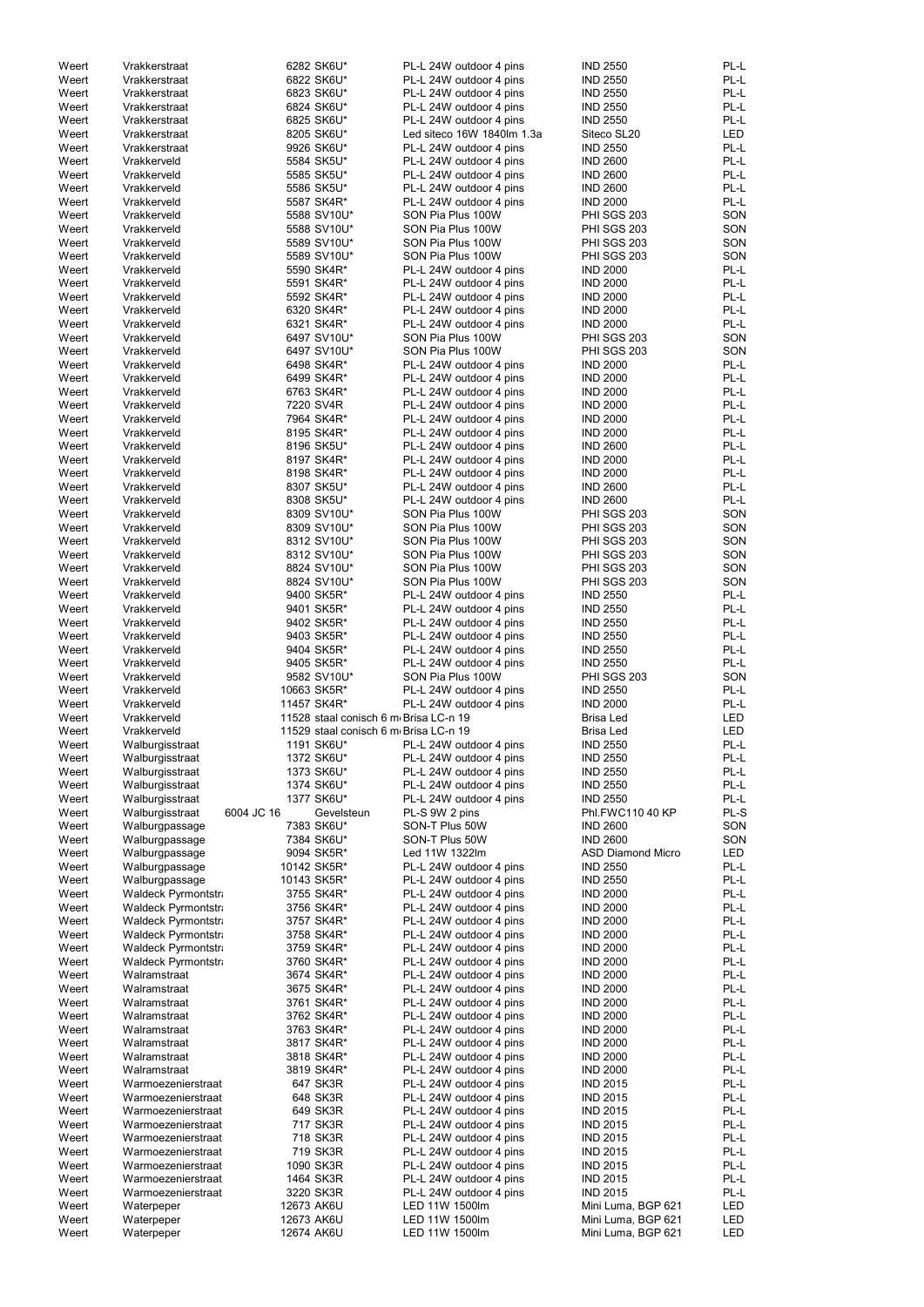| Weert          | Vrakkerstraat              | 6282 SK6U*               |                                       | PL-L 24W outdoor 4 pins          | <b>IND 2550</b>                          | PL-L       |
|----------------|----------------------------|--------------------------|---------------------------------------|----------------------------------|------------------------------------------|------------|
| Weert          | Vrakkerstraat              | 6822 SK6U*               |                                       | PL-L 24W outdoor 4 pins          | <b>IND 2550</b>                          | PL-L       |
| Weert          | Vrakkerstraat              | 6823 SK6U*               |                                       | PL-L 24W outdoor 4 pins          | <b>IND 2550</b>                          | PL-L       |
| Weert          | Vrakkerstraat              | 6824 SK6U*               |                                       | PL-L 24W outdoor 4 pins          | <b>IND 2550</b>                          | PL-L       |
| Weert          | Vrakkerstraat              | 6825 SK6U*               |                                       | PL-L 24W outdoor 4 pins          | <b>IND 2550</b>                          | PL-L       |
|                |                            | 8205 SK6U*               |                                       |                                  |                                          | <b>LED</b> |
| Weert          | Vrakkerstraat              |                          |                                       | Led siteco 16W 1840lm 1.3a       | Siteco SL20                              |            |
| Weert          | Vrakkerstraat              | 9926 SK6U*               |                                       | PL-L 24W outdoor 4 pins          | <b>IND 2550</b>                          | PL-L       |
| Weert          | Vrakkerveld                | 5584 SK5U*               |                                       | PL-L 24W outdoor 4 pins          | <b>IND 2600</b>                          | PL-L       |
| Weert          | Vrakkerveld                | 5585 SK5U*               |                                       | PL-L 24W outdoor 4 pins          | <b>IND 2600</b>                          | PL-L       |
| Weert          | Vrakkerveld                | 5586 SK5U*               |                                       | PL-L 24W outdoor 4 pins          | <b>IND 2600</b>                          | PL-L       |
| Weert          | Vrakkerveld                | 5587 SK4R*               |                                       | PL-L 24W outdoor 4 pins          | <b>IND 2000</b>                          | PL-L       |
|                | Vrakkerveld                | 5588 SV10U*              |                                       | SON Pia Plus 100W                | PHI SGS 203                              | SON        |
| Weert          |                            |                          |                                       |                                  |                                          |            |
| Weert          | Vrakkerveld                | 5588 SV10U*              |                                       | SON Pia Plus 100W                | <b>PHI SGS 203</b>                       | SON        |
| Weert          | Vrakkerveld                | 5589 SV10U*              |                                       | SON Pia Plus 100W                | <b>PHI SGS 203</b>                       | SON        |
| Weert          | Vrakkerveld                | 5589 SV10U*              |                                       | SON Pia Plus 100W                | <b>PHI SGS 203</b>                       | SON        |
| Weert          | Vrakkerveld                | 5590 SK4R*               |                                       | PL-L 24W outdoor 4 pins          | <b>IND 2000</b>                          | PL-L       |
| Weert          | Vrakkerveld                | 5591 SK4R*               |                                       | PL-L 24W outdoor 4 pins          | <b>IND 2000</b>                          | PL-L       |
| Weert          | Vrakkerveld                | 5592 SK4R*               |                                       | PL-L 24W outdoor 4 pins          | <b>IND 2000</b>                          | PL-L       |
|                |                            |                          |                                       |                                  |                                          |            |
| Weert          | Vrakkerveld                | 6320 SK4R*               |                                       | PL-L 24W outdoor 4 pins          | <b>IND 2000</b>                          | PL-L       |
| Weert          | Vrakkerveld                | 6321 SK4R*               |                                       | PL-L 24W outdoor 4 pins          | <b>IND 2000</b>                          | PL-L       |
| Weert          | Vrakkerveld                | 6497 SV10U*              |                                       | SON Pia Plus 100W                | PHI SGS 203                              | SON        |
| Weert          | Vrakkerveld                | 6497 SV10U*              |                                       | SON Pia Plus 100W                | PHI SGS 203                              | SON        |
| Weert          | Vrakkerveld                | 6498 SK4R*               |                                       | PL-L 24W outdoor 4 pins          | <b>IND 2000</b>                          | PL-L       |
| Weert          | Vrakkerveld                | 6499 SK4R*               |                                       | PL-L 24W outdoor 4 pins          | <b>IND 2000</b>                          | PL-L       |
|                |                            |                          |                                       |                                  |                                          | PL-L       |
| Weert          | Vrakkerveld                | 6763 SK4R*               |                                       | PL-L 24W outdoor 4 pins          | <b>IND 2000</b>                          |            |
| Weert          | Vrakkerveld                | 7220 SV4R                |                                       | PL-L 24W outdoor 4 pins          | <b>IND 2000</b>                          | PL-L       |
| Weert          | Vrakkerveld                | 7964 SK4R*               |                                       | PL-L 24W outdoor 4 pins          | <b>IND 2000</b>                          | PL-L       |
| Weert          | Vrakkerveld                | 8195 SK4R*               |                                       | PL-L 24W outdoor 4 pins          | <b>IND 2000</b>                          | PL-L       |
| Weert          | Vrakkerveld                | 8196 SK5U*               |                                       | PL-L 24W outdoor 4 pins          | <b>IND 2600</b>                          | PL-L       |
| Weert          | Vrakkerveld                | 8197 SK4R*               |                                       | PL-L 24W outdoor 4 pins          | <b>IND 2000</b>                          | PL-L       |
|                |                            |                          |                                       |                                  |                                          |            |
| Weert          | Vrakkerveld                | 8198 SK4R*               |                                       | PL-L 24W outdoor 4 pins          | <b>IND 2000</b>                          | PL-L       |
| Weert          | Vrakkerveld                | 8307 SK5U*               |                                       | PL-L 24W outdoor 4 pins          | <b>IND 2600</b>                          | PL-L       |
| Weert          | Vrakkerveld                | 8308 SK5U*               |                                       | PL-L 24W outdoor 4 pins          | <b>IND 2600</b>                          | PL-L       |
| Weert          | Vrakkerveld                | 8309 SV10U*              |                                       | SON Pia Plus 100W                | PHI SGS 203                              | SON        |
| Weert          | Vrakkerveld                | 8309 SV10U*              |                                       | SON Pia Plus 100W                | <b>PHI SGS 203</b>                       | SON        |
| Weert          | Vrakkerveld                | 8312 SV10U*              |                                       | SON Pia Plus 100W                | <b>PHI SGS 203</b>                       | SON        |
|                |                            |                          |                                       |                                  |                                          |            |
| Weert          | Vrakkerveld                | 8312 SV10U*              |                                       | SON Pia Plus 100W                | <b>PHI SGS 203</b>                       | SON        |
| Weert          | Vrakkerveld                | 8824 SV10U*              |                                       | SON Pia Plus 100W                | PHI SGS 203                              | SON        |
| Weert          | Vrakkerveld                | 8824 SV10U*              |                                       | SON Pia Plus 100W                | <b>PHI SGS 203</b>                       | SON        |
| Weert          | Vrakkerveld                | 9400 SK5R*               |                                       | PL-L 24W outdoor 4 pins          | <b>IND 2550</b>                          | PL-L       |
| Weert          | Vrakkerveld                | 9401 SK5R*               |                                       | PL-L 24W outdoor 4 pins          | <b>IND 2550</b>                          | PL-L       |
| Weert          | Vrakkerveld                | 9402 SK5R*               |                                       | PL-L 24W outdoor 4 pins          | <b>IND 2550</b>                          | PL-L       |
|                |                            |                          |                                       |                                  |                                          |            |
| Weert          | Vrakkerveld                | 9403 SK5R*               |                                       | PL-L 24W outdoor 4 pins          | <b>IND 2550</b>                          | PL-L       |
| Weert          | Vrakkerveld                | 9404 SK5R*               |                                       | PL-L 24W outdoor 4 pins          | <b>IND 2550</b>                          | PL-L       |
| Weert          | Vrakkerveld                | 9405 SK5R*               |                                       | PL-L 24W outdoor 4 pins          | <b>IND 2550</b>                          | PL-L       |
| Weert          | Vrakkerveld                | 9582 SV10U*              |                                       | SON Pia Plus 100W                | <b>PHI SGS 203</b>                       | SON        |
| Weert          | Vrakkerveld                | 10663 SK5R*              |                                       | PL-L 24W outdoor 4 pins          | <b>IND 2550</b>                          | PL-L       |
| Weert          | Vrakkerveld                | 11457 SK4R*              |                                       | PL-L 24W outdoor 4 pins          | <b>IND 2000</b>                          | PL-L       |
|                |                            |                          |                                       |                                  |                                          |            |
| Weert          | Vrakkerveld                |                          | 11528 staal conisch 6 m Brisa LC-n 19 |                                  | <b>Brisa Led</b>                         | <b>LED</b> |
| Weert          | Vrakkerveld                |                          | 11529 staal conisch 6 m Brisa LC-n 19 |                                  | <b>Brisa Led</b>                         | <b>LED</b> |
| Weert          | Walburgisstraat            | 1191 SK6U*               |                                       | PL-L 24W outdoor 4 pins          | <b>IND 2550</b>                          | PL-L       |
| Weert          | Walburgisstraat            | 1372 SK6U*               |                                       | PL-L 24W outdoor 4 pins          | <b>IND 2550</b>                          | PL-L       |
| Weert          | Walburgisstraat            | 1373 SK6U*               |                                       | PL-L 24W outdoor 4 pins          | <b>IND 2550</b>                          | PL-L       |
|                |                            | 1374 SK6U*               |                                       | PL-L 24W outdoor 4 pins          | <b>IND 2550</b>                          | PL-L       |
| Weert          | Walburgisstraat            |                          |                                       |                                  |                                          |            |
| Weert          | Walburgisstraat            | 1377 SK6U*               |                                       | PL-L 24W outdoor 4 pins          | <b>IND 2550</b>                          | PL-L       |
| Weert          | Walburgisstraat            | 6004 JC 16               | Gevelsteun                            | PL-S 9W 2 pins                   | Phl.FWC110 40 KP                         | PL-S       |
| Weert          | Walburgpassage             | 7383 SK6U*               |                                       | SON-T Plus 50W                   | <b>IND 2600</b>                          | SON        |
| Weert          | Walburgpassage             | 7384 SK6U*               |                                       | SON-T Plus 50W                   | <b>IND 2600</b>                          | SON        |
| Weert          | Walburgpassage             | 9094 SK5R*               |                                       | Led 11W 1322lm                   | <b>ASD Diamond Micro</b>                 | <b>LED</b> |
| Weert          | Walburgpassage             | 10142 SK5R*              |                                       | PL-L 24W outdoor 4 pins          | <b>IND 2550</b>                          | PL-L       |
| Weert          |                            | 10143 SK5R*              |                                       | PL-L 24W outdoor 4 pins          | <b>IND 2550</b>                          | PL-L       |
|                | Walburgpassage             |                          |                                       |                                  |                                          |            |
| Weert          | Waldeck Pyrmontstra        | 3755 SK4R*               |                                       | PL-L 24W outdoor 4 pins          | <b>IND 2000</b>                          | PL-L       |
| Weert          | Waldeck Pyrmontstra        | 3756 SK4R*               |                                       | PL-L 24W outdoor 4 pins          | <b>IND 2000</b>                          | PL-L       |
| Weert          | <b>Waldeck Pyrmontstra</b> | 3757 SK4R*               |                                       | PL-L 24W outdoor 4 pins          | <b>IND 2000</b>                          | PL-L       |
| Weert          | Waldeck Pyrmontstra        | 3758 SK4R*               |                                       | PL-L 24W outdoor 4 pins          | <b>IND 2000</b>                          | PL-L       |
| Weert          | <b>Waldeck Pyrmontstra</b> | 3759 SK4R*               |                                       | PL-L 24W outdoor 4 pins          | <b>IND 2000</b>                          | PL-L       |
| Weert          | <b>Waldeck Pyrmontstra</b> | 3760 SK4R*               |                                       | PL-L 24W outdoor 4 pins          | <b>IND 2000</b>                          | PL-L       |
|                |                            |                          |                                       |                                  |                                          |            |
| Weert          | Walramstraat               | 3674 SK4R*               |                                       | PL-L 24W outdoor 4 pins          | <b>IND 2000</b>                          | PL-L       |
| Weert          | Walramstraat               | 3675 SK4R*               |                                       | PL-L 24W outdoor 4 pins          | <b>IND 2000</b>                          | PL-L       |
| Weert          | Walramstraat               | 3761 SK4R*               |                                       | PL-L 24W outdoor 4 pins          | <b>IND 2000</b>                          | PL-L       |
| Weert          | Walramstraat               | 3762 SK4R*               |                                       | PL-L 24W outdoor 4 pins          | <b>IND 2000</b>                          | PL-L       |
| Weert          | Walramstraat               | 3763 SK4R*               |                                       | PL-L 24W outdoor 4 pins          | <b>IND 2000</b>                          | PL-L       |
| Weert          | Walramstraat               | 3817 SK4R*               |                                       | PL-L 24W outdoor 4 pins          | <b>IND 2000</b>                          | PL-L       |
|                |                            |                          |                                       |                                  |                                          |            |
| Weert          | Walramstraat               | 3818 SK4R*               |                                       | PL-L 24W outdoor 4 pins          | <b>IND 2000</b>                          | PL-L       |
| Weert          | Walramstraat               | 3819 SK4R*               |                                       | PL-L 24W outdoor 4 pins          | <b>IND 2000</b>                          | PL-L       |
| Weert          | Warmoezenierstraat         | 647 SK3R                 |                                       | PL-L 24W outdoor 4 pins          | <b>IND 2015</b>                          | PL-L       |
| Weert          | Warmoezenierstraat         | 648 SK3R                 |                                       | PL-L 24W outdoor 4 pins          | <b>IND 2015</b>                          | PL-L       |
| Weert          | Warmoezenierstraat         | 649 SK3R                 |                                       | PL-L 24W outdoor 4 pins          | <b>IND 2015</b>                          | PL-L       |
|                |                            |                          |                                       |                                  |                                          |            |
| Weert          | Warmoezenierstraat         | 717 SK3R                 |                                       | PL-L 24W outdoor 4 pins          | <b>IND 2015</b>                          | PL-L       |
| Weert          | Warmoezenierstraat         | 718 SK3R                 |                                       | PL-L 24W outdoor 4 pins          | <b>IND 2015</b>                          | PL-L       |
| Weert          | Warmoezenierstraat         | 719 SK3R                 |                                       | PL-L 24W outdoor 4 pins          | <b>IND 2015</b>                          | PL-L       |
| Weert          | Warmoezenierstraat         | 1090 SK3R                |                                       | PL-L 24W outdoor 4 pins          | <b>IND 2015</b>                          | PL-L       |
| Weert          |                            |                          |                                       |                                  |                                          | PL-L       |
|                | Warmoezenierstraat         | 1464 SK3R                |                                       | PL-L 24W outdoor 4 pins          | <b>IND 2015</b>                          |            |
|                |                            |                          |                                       |                                  |                                          |            |
| Weert          | Warmoezenierstraat         | 3220 SK3R                |                                       | PL-L 24W outdoor 4 pins          | <b>IND 2015</b>                          | PL-L       |
| Weert          | Waterpeper                 | 12673 AK6U               |                                       | LED 11W 1500lm                   | Mini Luma, BGP 621                       | LED        |
| Weert<br>Weert | Waterpeper<br>Waterpeper   | 12673 AK6U<br>12674 AK6U |                                       | LED 11W 1500lm<br>LED 11W 1500lm | Mini Luma, BGP 621<br>Mini Luma, BGP 621 | LED<br>LED |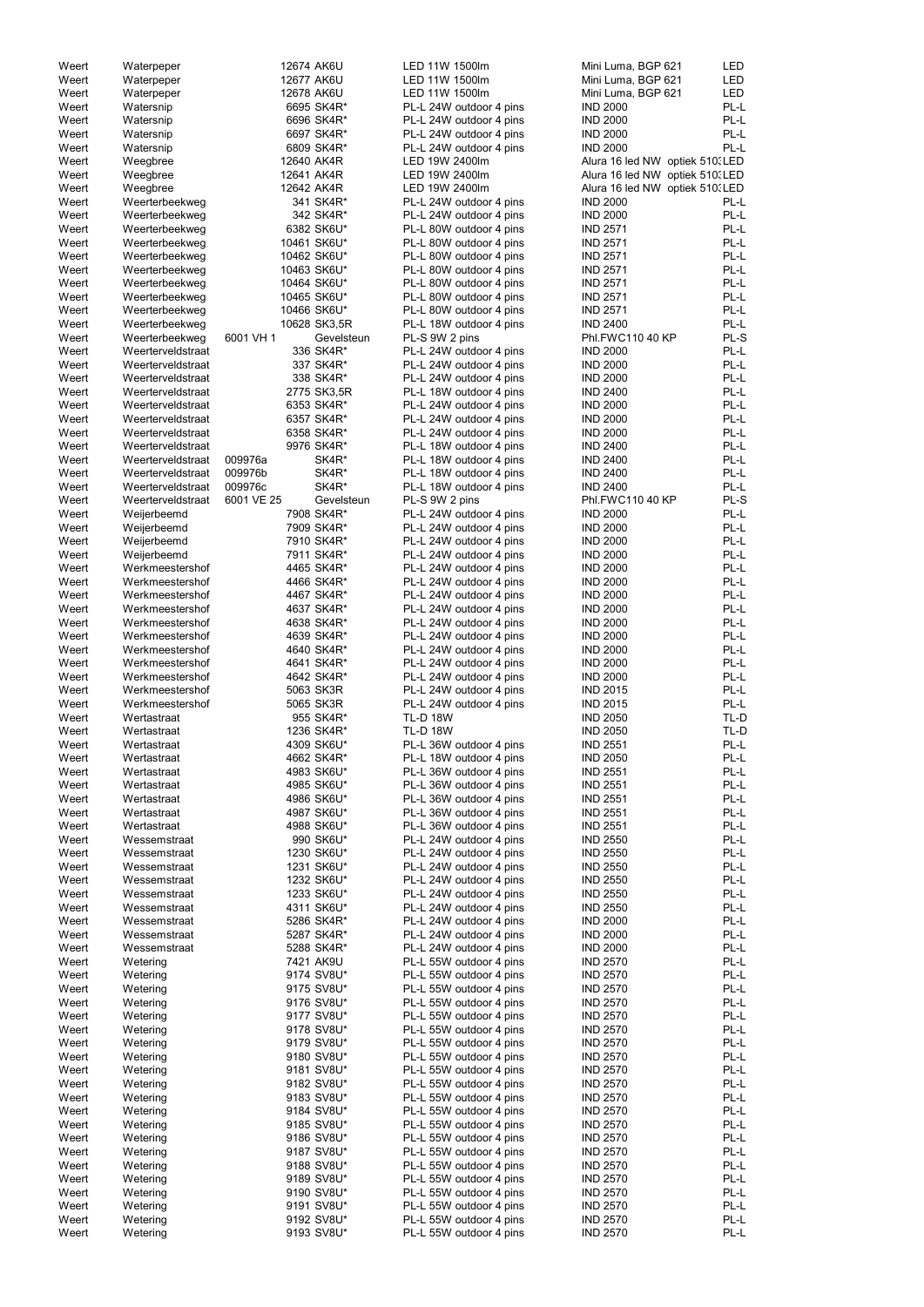|       |                   |            |              | LED 11W 1500lm          |                                 |            |
|-------|-------------------|------------|--------------|-------------------------|---------------------------------|------------|
| Weert | Waterpeper        | 12674 AK6U |              |                         | Mini Luma, BGP 621              | <b>LED</b> |
| Weert | Waterpeper        | 12677 AK6U |              | LED 11W 1500lm          | Mini Luma, BGP 621              | <b>LED</b> |
| Weert | Waterpeper        | 12678 AK6U |              | LED 11W 1500lm          | Mini Luma, BGP 621              | <b>LED</b> |
| Weert | Watersnip         |            | 6695 SK4R*   | PL-L 24W outdoor 4 pins | <b>IND 2000</b>                 | PL-L       |
| Weert | Watersnip         |            | 6696 SK4R*   | PL-L 24W outdoor 4 pins | <b>IND 2000</b>                 | PL-L       |
| Weert | Watersnip         |            | 6697 SK4R*   | PL-L 24W outdoor 4 pins | <b>IND 2000</b>                 | PL-L       |
| Weert | Watersnip         |            | 6809 SK4R*   | PL-L 24W outdoor 4 pins | <b>IND 2000</b>                 | PL-L       |
| Weert |                   |            |              | LED 19W 2400lm          |                                 |            |
|       | Weegbree          | 12640 AK4R |              |                         | Alura 16 led NW optiek 510. LED |            |
| Weert | Weegbree          | 12641 AK4R |              | LED 19W 2400lm          | Alura 16 led NW optiek 510. LED |            |
| Weert | Weegbree          | 12642 AK4R |              | LED 19W 2400lm          | Alura 16 led NW optiek 510. LED |            |
| Weert | Weerterbeekweg    |            | 341 SK4R*    | PL-L 24W outdoor 4 pins | <b>IND 2000</b>                 | PL-L       |
| Weert | Weerterbeekweg    |            | 342 SK4R*    | PL-L 24W outdoor 4 pins | <b>IND 2000</b>                 | PL-L       |
| Weert | Weerterbeekweg    |            | 6382 SK6U*   | PL-L 80W outdoor 4 pins | <b>IND 2571</b>                 | PL-L       |
|       |                   |            |              |                         |                                 |            |
| Weert | Weerterbeekweg    |            | 10461 SK6U*  | PL-L 80W outdoor 4 pins | <b>IND 2571</b>                 | PL-L       |
| Weert | Weerterbeekweg    |            | 10462 SK6U*  | PL-L 80W outdoor 4 pins | <b>IND 2571</b>                 | PL-L       |
| Weert | Weerterbeekweg    |            | 10463 SK6U*  | PL-L 80W outdoor 4 pins | <b>IND 2571</b>                 | PL-L       |
| Weert | Weerterbeekweg    |            | 10464 SK6U*  | PL-L 80W outdoor 4 pins | <b>IND 2571</b>                 | PL-L       |
| Weert | Weerterbeekweg    |            | 10465 SK6U*  | PL-L 80W outdoor 4 pins | <b>IND 2571</b>                 | PL-L       |
| Weert | Weerterbeekweg    |            | 10466 SK6U*  | PL-L 80W outdoor 4 pins | <b>IND 2571</b>                 | PL-L       |
|       |                   |            |              |                         |                                 |            |
| Weert | Weerterbeekweg    |            | 10628 SK3,5R | PL-L 18W outdoor 4 pins | <b>IND 2400</b>                 | PL-L       |
| Weert | Weerterbeekweg    | 6001 VH 1  | Gevelsteun   | PL-S 9W 2 pins          | Phl.FWC110 40 KP                | PL-S       |
| Weert | Weerterveldstraat |            | 336 SK4R*    | PL-L 24W outdoor 4 pins | <b>IND 2000</b>                 | PL-L       |
| Weert | Weerterveldstraat |            | 337 SK4R*    | PL-L 24W outdoor 4 pins | <b>IND 2000</b>                 | PL-L       |
| Weert | Weerterveldstraat |            | 338 SK4R*    | PL-L 24W outdoor 4 pins | <b>IND 2000</b>                 | PL-L       |
| Weert | Weerterveldstraat |            | 2775 SK3,5R  | PL-L 18W outdoor 4 pins | <b>IND 2400</b>                 | PL-L       |
|       |                   |            |              |                         |                                 |            |
| Weert | Weerterveldstraat |            | 6353 SK4R*   | PL-L 24W outdoor 4 pins | <b>IND 2000</b>                 | PL-L       |
| Weert | Weerterveldstraat |            | 6357 SK4R*   | PL-L 24W outdoor 4 pins | <b>IND 2000</b>                 | PL-L       |
| Weert | Weerterveldstraat |            | 6358 SK4R*   | PL-L 24W outdoor 4 pins | <b>IND 2000</b>                 | PL-L       |
| Weert | Weerterveldstraat |            | 9976 SK4R*   | PL-L 18W outdoor 4 pins | <b>IND 2400</b>                 | PL-L       |
| Weert | Weerterveldstraat | 009976a    | SK4R*        | PL-L 18W outdoor 4 pins | <b>IND 2400</b>                 | PL-L       |
|       |                   |            |              |                         |                                 |            |
| Weert | Weerterveldstraat | 009976b    | SK4R*        | PL-L 18W outdoor 4 pins | <b>IND 2400</b>                 | PL-L       |
| Weert | Weerterveldstraat | 009976c    | SK4R*        | PL-L 18W outdoor 4 pins | <b>IND 2400</b>                 | PL-L       |
| Weert | Weerterveldstraat | 6001 VE 25 | Gevelsteun   | PL-S 9W 2 pins          | Phl.FWC110 40 KP                | PL-S       |
| Weert | Weijerbeemd       |            | 7908 SK4R*   | PL-L 24W outdoor 4 pins | <b>IND 2000</b>                 | PL-L       |
| Weert | Weijerbeemd       |            | 7909 SK4R*   | PL-L 24W outdoor 4 pins | <b>IND 2000</b>                 | PL-L       |
| Weert | Weijerbeemd       |            | 7910 SK4R*   | PL-L 24W outdoor 4 pins | <b>IND 2000</b>                 | PL-L       |
|       |                   |            |              |                         |                                 |            |
| Weert | Weijerbeemd       |            | 7911 SK4R*   | PL-L 24W outdoor 4 pins | <b>IND 2000</b>                 | PL-L       |
| Weert | Werkmeestershof   |            | 4465 SK4R*   | PL-L 24W outdoor 4 pins | <b>IND 2000</b>                 | PL-L       |
| Weert | Werkmeestershof   |            | 4466 SK4R*   | PL-L 24W outdoor 4 pins | <b>IND 2000</b>                 | PL-L       |
| Weert | Werkmeestershof   |            | 4467 SK4R*   | PL-L 24W outdoor 4 pins | <b>IND 2000</b>                 | PL-L       |
| Weert | Werkmeestershof   |            | 4637 SK4R*   | PL-L 24W outdoor 4 pins | <b>IND 2000</b>                 | PL-L       |
|       |                   |            |              |                         |                                 | PL-L       |
| Weert | Werkmeestershof   |            | 4638 SK4R*   | PL-L 24W outdoor 4 pins | <b>IND 2000</b>                 |            |
| Weert | Werkmeestershof   |            | 4639 SK4R*   | PL-L 24W outdoor 4 pins | <b>IND 2000</b>                 | PL-L       |
| Weert | Werkmeestershof   |            | 4640 SK4R*   | PL-L 24W outdoor 4 pins | <b>IND 2000</b>                 | PL-L       |
| Weert | Werkmeestershof   |            | 4641 SK4R*   | PL-L 24W outdoor 4 pins | <b>IND 2000</b>                 | PL-L       |
| Weert | Werkmeestershof   |            | 4642 SK4R*   | PL-L 24W outdoor 4 pins | <b>IND 2000</b>                 | PL-L       |
| Weert | Werkmeestershof   |            | 5063 SK3R    | PL-L 24W outdoor 4 pins | <b>IND 2015</b>                 | PL-L       |
|       |                   |            | 5065 SK3R    |                         | <b>IND 2015</b>                 | PL-L       |
| Weert | Werkmeestershof   |            |              | PL-L 24W outdoor 4 pins |                                 |            |
| Weert | Wertastraat       |            | 955 SK4R*    | <b>TL-D 18W</b>         | <b>IND 2050</b>                 | TL-D       |
| Weert | Wertastraat       |            | 1236 SK4R*   | <b>TL-D 18W</b>         | <b>IND 2050</b>                 | TL-D       |
| Weert | Wertastraat       |            | 4309 SK6U*   | PL-L 36W outdoor 4 pins | <b>IND 2551</b>                 | PL-L       |
| Weert | Wertastraat       |            | 4662 SK4R*   | PL-L 18W outdoor 4 pins | <b>IND 2050</b>                 | PL-L       |
| Weert | Wertastraat       |            | 4983 SK6U*   | PL-L 36W outdoor 4 pins | <b>IND 2551</b>                 | PL-L       |
| Weert | Wertastraat       |            | 4985 SK6U*   | PL-L 36W outdoor 4 pins | <b>IND 2551</b>                 | PL-L       |
|       |                   |            |              |                         |                                 |            |
| Weert | Wertastraat       |            | 4986 SK6U*   | PL-L 36W outdoor 4 pins | <b>IND 2551</b>                 | PL-L       |
| Weert | Wertastraat       |            | 4987 SK6U*   | PL-L 36W outdoor 4 pins | <b>IND 2551</b>                 | PL-L       |
| Weert | Wertastraat       |            | 4988 SK6U*   | PL-L 36W outdoor 4 pins | <b>IND 2551</b>                 | PL-L       |
| Weert | Wessemstraat      |            | 990 SK6U*    | PL-L 24W outdoor 4 pins | <b>IND 2550</b>                 | PL-L       |
| Weert | Wessemstraat      |            | 1230 SK6U*   | PL-L 24W outdoor 4 pins | <b>IND 2550</b>                 | PL-L       |
| Weert | Wessemstraat      |            | 1231 SK6U*   | PL-L 24W outdoor 4 pins | <b>IND 2550</b>                 | PL-L       |
| Weert | Wessemstraat      |            | 1232 SK6U*   |                         | <b>IND 2550</b>                 | PL-L       |
|       |                   |            |              | PL-L 24W outdoor 4 pins |                                 |            |
| Weert | Wessemstraat      |            | 1233 SK6U*   | PL-L 24W outdoor 4 pins | <b>IND 2550</b>                 | PL-L       |
| Weert | Wessemstraat      |            | 4311 SK6U*   | PL-L 24W outdoor 4 pins | <b>IND 2550</b>                 | PL-L       |
| Weert | Wessemstraat      |            | 5286 SK4R*   | PL-L 24W outdoor 4 pins | <b>IND 2000</b>                 | PL-L       |
| Weert | Wessemstraat      |            | 5287 SK4R*   | PL-L 24W outdoor 4 pins | <b>IND 2000</b>                 | PL-L       |
| Weert | Wessemstraat      |            | 5288 SK4R*   | PL-L 24W outdoor 4 pins | <b>IND 2000</b>                 | PL-L       |
|       |                   |            |              |                         |                                 |            |
| Weert | Wetering          |            | 7421 AK9U    | PL-L 55W outdoor 4 pins | <b>IND 2570</b>                 | PL-L       |
| Weert | Wetering          |            | 9174 SV8U*   | PL-L 55W outdoor 4 pins | <b>IND 2570</b>                 | PL-L       |
| Weert | Wetering          |            | 9175 SV8U*   | PL-L 55W outdoor 4 pins | <b>IND 2570</b>                 | PL-L       |
| Weert | Wetering          |            | 9176 SV8U*   | PL-L 55W outdoor 4 pins | <b>IND 2570</b>                 | PL-L       |
| Weert | Wetering          |            | 9177 SV8U*   | PL-L 55W outdoor 4 pins | <b>IND 2570</b>                 | PL-L       |
| Weert | Wetering          |            | 9178 SV8U*   | PL-L 55W outdoor 4 pins | <b>IND 2570</b>                 | PL-L       |
|       |                   |            |              |                         |                                 |            |
| Weert | Wetering          |            | 9179 SV8U*   | PL-L 55W outdoor 4 pins | <b>IND 2570</b>                 | PL-L       |
| Weert | Wetering          |            | 9180 SV8U*   | PL-L 55W outdoor 4 pins | <b>IND 2570</b>                 | PL-L       |
| Weert | Wetering          |            | 9181 SV8U*   | PL-L 55W outdoor 4 pins | <b>IND 2570</b>                 | PL-L       |
| Weert | Wetering          |            | 9182 SV8U*   | PL-L 55W outdoor 4 pins | <b>IND 2570</b>                 | PL-L       |
| Weert | Wetering          |            | 9183 SV8U*   | PL-L 55W outdoor 4 pins | <b>IND 2570</b>                 | PL-L       |
| Weert | Wetering          |            | 9184 SV8U*   | PL-L 55W outdoor 4 pins | <b>IND 2570</b>                 | PL-L       |
|       |                   |            |              |                         |                                 |            |
| Weert | Wetering          |            | 9185 SV8U*   | PL-L 55W outdoor 4 pins | <b>IND 2570</b>                 | PL-L       |
| Weert | Wetering          |            | 9186 SV8U*   | PL-L 55W outdoor 4 pins | <b>IND 2570</b>                 | PL-L       |
| Weert | Wetering          |            | 9187 SV8U*   | PL-L 55W outdoor 4 pins | <b>IND 2570</b>                 | PL-L       |
| Weert | Wetering          |            | 9188 SV8U*   | PL-L 55W outdoor 4 pins | <b>IND 2570</b>                 | PL-L       |
| Weert | Wetering          |            | 9189 SV8U*   | PL-L 55W outdoor 4 pins | <b>IND 2570</b>                 | PL-L       |
| Weert | Wetering          |            | 9190 SV8U*   | PL-L 55W outdoor 4 pins | <b>IND 2570</b>                 | PL-L       |
|       |                   |            |              | PL-L 55W outdoor 4 pins |                                 |            |
| Weert | Wetering          |            | 9191 SV8U*   |                         | <b>IND 2570</b>                 | PL-L       |
| Weert | Wetering          |            | 9192 SV8U*   | PL-L 55W outdoor 4 pins | <b>IND 2570</b>                 | PL-L       |
| Weert | Wetering          |            | 9193 SV8U*   | PL-L 55W outdoor 4 pins | <b>IND 2570</b>                 | PL-L       |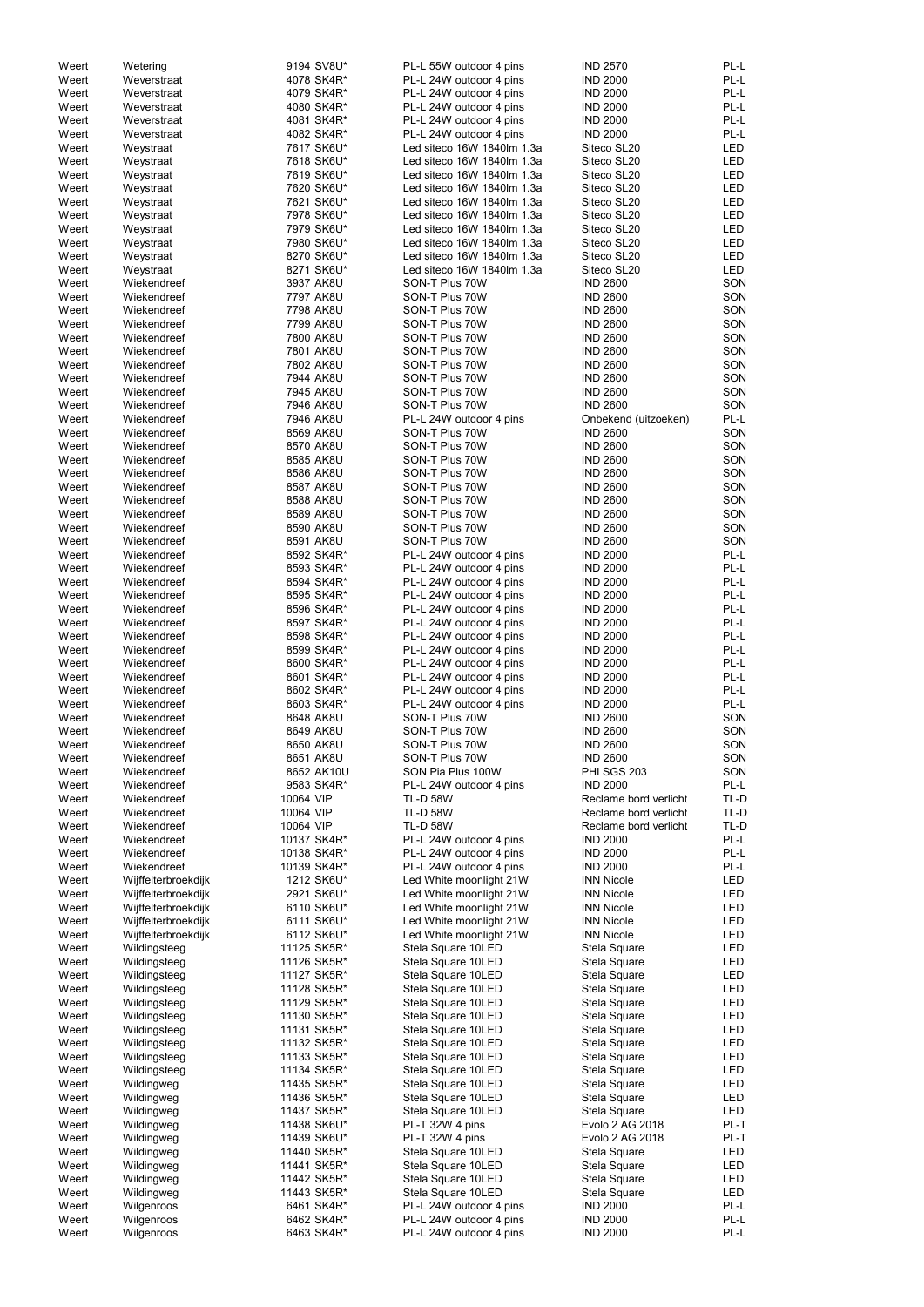| Weert | Wetering            | 9194 SV8U*  | PL-L 55W outdoor 4 pins    | <b>IND 2570</b>       | PL-L       |
|-------|---------------------|-------------|----------------------------|-----------------------|------------|
| Weert | Weverstraat         | 4078 SK4R*  | PL-L 24W outdoor 4 pins    | <b>IND 2000</b>       | PL-L       |
| Weert | Weverstraat         | 4079 SK4R*  | PL-L 24W outdoor 4 pins    | <b>IND 2000</b>       | PL-L       |
| Weert | Weverstraat         | 4080 SK4R*  | PL-L 24W outdoor 4 pins    | <b>IND 2000</b>       | PL-L       |
|       |                     |             |                            |                       |            |
| Weert | Weverstraat         | 4081 SK4R*  | PL-L 24W outdoor 4 pins    | <b>IND 2000</b>       | PL-L       |
| Weert | Weverstraat         | 4082 SK4R*  | PL-L 24W outdoor 4 pins    | <b>IND 2000</b>       | PL-L       |
| Weert | Weystraat           | 7617 SK6U*  | Led siteco 16W 1840lm 1.3a | Siteco SL20           | LED        |
| Weert | Weystraat           | 7618 SK6U*  | Led siteco 16W 1840lm 1.3a | Siteco SL20           | LED        |
| Weert |                     | 7619 SK6U*  | Led siteco 16W 1840lm 1.3a | Siteco SL20           | LED        |
|       | Weystraat           |             |                            |                       |            |
| Weert | Weystraat           | 7620 SK6U*  | Led siteco 16W 1840lm 1.3a | Siteco SL20           | <b>LED</b> |
| Weert | Weystraat           | 7621 SK6U*  | Led siteco 16W 1840lm 1.3a | Siteco SL20           | LED        |
| Weert | Weystraat           | 7978 SK6U*  | Led siteco 16W 1840lm 1.3a | Siteco SL20           | <b>LED</b> |
| Weert | Weystraat           | 7979 SK6U*  | Led siteco 16W 1840lm 1.3a | Siteco SL20           | LED        |
|       |                     |             |                            |                       |            |
| Weert | Weystraat           | 7980 SK6U*  | Led siteco 16W 1840lm 1.3a | Siteco SL20           | <b>LED</b> |
| Weert | Weystraat           | 8270 SK6U*  | Led siteco 16W 1840lm 1.3a | Siteco SL20           | <b>LED</b> |
| Weert | Weystraat           | 8271 SK6U*  | Led siteco 16W 1840lm 1.3a | Siteco SL20           | <b>LED</b> |
| Weert | Wiekendreef         | 3937 AK8U   | SON-T Plus 70W             | <b>IND 2600</b>       | SON        |
|       | Wiekendreef         |             |                            |                       |            |
| Weert |                     | 7797 AK8U   | SON-T Plus 70W             | <b>IND 2600</b>       | SON        |
| Weert | Wiekendreef         | 7798 AK8U   | SON-T Plus 70W             | <b>IND 2600</b>       | SON        |
| Weert | Wiekendreef         | 7799 AK8U   | SON-T Plus 70W             | <b>IND 2600</b>       | SON        |
| Weert | Wiekendreef         | 7800 AK8U   | SON-T Plus 70W             | <b>IND 2600</b>       | SON        |
| Weert | Wiekendreef         | 7801 AK8U   | SON-T Plus 70W             | <b>IND 2600</b>       | SON        |
|       |                     |             |                            |                       |            |
| Weert | Wiekendreef         | 7802 AK8U   | SON-T Plus 70W             | <b>IND 2600</b>       | SON        |
| Weert | Wiekendreef         | 7944 AK8U   | SON-T Plus 70W             | <b>IND 2600</b>       | SON        |
| Weert | Wiekendreef         | 7945 AK8U   | SON-T Plus 70W             | <b>IND 2600</b>       | SON        |
| Weert | Wiekendreef         | 7946 AK8U   | SON-T Plus 70W             | <b>IND 2600</b>       | SON        |
|       |                     |             |                            |                       |            |
| Weert | Wiekendreef         | 7946 AK8U   | PL-L 24W outdoor 4 pins    | Onbekend (uitzoeken)  | PL-L       |
| Weert | Wiekendreef         | 8569 AK8U   | SON-T Plus 70W             | <b>IND 2600</b>       | SON        |
| Weert | Wiekendreef         | 8570 AK8U   | SON-T Plus 70W             | <b>IND 2600</b>       | SON        |
| Weert | Wiekendreef         | 8585 AK8U   | SON-T Plus 70W             | <b>IND 2600</b>       | SON        |
| Weert | Wiekendreef         | 8586 AK8U   | SON-T Plus 70W             | <b>IND 2600</b>       | SON        |
|       |                     |             |                            |                       |            |
| Weert | Wiekendreef         | 8587 AK8U   | SON-T Plus 70W             | <b>IND 2600</b>       | SON        |
| Weert | Wiekendreef         | 8588 AK8U   | SON-T Plus 70W             | <b>IND 2600</b>       | SON        |
| Weert | Wiekendreef         | 8589 AK8U   | SON-T Plus 70W             | <b>IND 2600</b>       | SON        |
| Weert | Wiekendreef         | 8590 AK8U   | SON-T Plus 70W             | <b>IND 2600</b>       | SON        |
|       |                     |             |                            |                       |            |
| Weert | Wiekendreef         | 8591 AK8U   | SON-T Plus 70W             | <b>IND 2600</b>       | SON        |
| Weert | Wiekendreef         | 8592 SK4R*  | PL-L 24W outdoor 4 pins    | <b>IND 2000</b>       | PL-L       |
| Weert | Wiekendreef         | 8593 SK4R*  | PL-L 24W outdoor 4 pins    | <b>IND 2000</b>       | PL-L       |
| Weert | Wiekendreef         | 8594 SK4R*  | PL-L 24W outdoor 4 pins    | <b>IND 2000</b>       | PL-L       |
|       | Wiekendreef         |             |                            |                       | PL-L       |
| Weert |                     | 8595 SK4R*  | PL-L 24W outdoor 4 pins    | <b>IND 2000</b>       |            |
| Weert | Wiekendreef         | 8596 SK4R*  | PL-L 24W outdoor 4 pins    | <b>IND 2000</b>       | PL-L       |
| Weert | Wiekendreef         | 8597 SK4R*  | PL-L 24W outdoor 4 pins    | <b>IND 2000</b>       | PL-L       |
| Weert | Wiekendreef         | 8598 SK4R*  | PL-L 24W outdoor 4 pins    | <b>IND 2000</b>       | PL-L       |
| Weert | Wiekendreef         | 8599 SK4R*  | PL-L 24W outdoor 4 pins    | <b>IND 2000</b>       | PL-L       |
|       |                     |             |                            |                       |            |
| Weert | Wiekendreef         | 8600 SK4R*  | PL-L 24W outdoor 4 pins    | <b>IND 2000</b>       | PL-L       |
| Weert | Wiekendreef         | 8601 SK4R*  | PL-L 24W outdoor 4 pins    | <b>IND 2000</b>       | PL-L       |
| Weert | Wiekendreef         | 8602 SK4R*  | PL-L 24W outdoor 4 pins    | <b>IND 2000</b>       | PL-L       |
| Weert | Wiekendreef         | 8603 SK4R*  | PL-L 24W outdoor 4 pins    | <b>IND 2000</b>       | PL-L       |
|       |                     |             |                            |                       |            |
| Weert | Wiekendreef         | 8648 AK8U   | SON-T Plus 70W             | <b>IND 2600</b>       | SON        |
| Weert | Wiekendreef         | 8649 AK8U   | SON-T Plus 70W             | <b>IND 2600</b>       | SON        |
| Weert | Wiekendreef         | 8650 AK8U   | SON-T Plus 70W             | <b>IND 2600</b>       | SON        |
| Weert | Wiekendreef         | 8651 AK8U   | SON-T Plus 70W             | <b>IND 2600</b>       | SON        |
|       | Wiekendreef         |             | SON Pia Plus 100W          | <b>PHI SGS 203</b>    | SON        |
| Weert |                     | 8652 AK10U  |                            |                       |            |
| Weert | Wiekendreef         | 9583 SK4R*  | PL-L 24W outdoor 4 pins    | <b>IND 2000</b>       | PL-L       |
| Weert | Wiekendreef         | 10064 VIP   | <b>TL-D 58W</b>            | Reclame bord verlicht | TL-D       |
| Weert | Wiekendreef         | 10064 VIP   | <b>TL-D 58W</b>            | Reclame bord verlicht | TL-D       |
| Weert | Wiekendreef         | 10064 VIP   | <b>TL-D 58W</b>            | Reclame bord verlicht | TL-D       |
|       |                     |             |                            |                       |            |
| Weert | Wiekendreef         | 10137 SK4R* | PL-L 24W outdoor 4 pins    | <b>IND 2000</b>       | PL-L       |
| Weert | Wiekendreef         | 10138 SK4R* | PL-L 24W outdoor 4 pins    | <b>IND 2000</b>       | PL-L       |
| Weert | Wiekendreef         | 10139 SK4R* | PL-L 24W outdoor 4 pins    | <b>IND 2000</b>       | PL-L       |
| Weert | Wijffelterbroekdijk | 1212 SK6U*  | Led White moonlight 21W    | <b>INN Nicole</b>     | LED        |
| Weert | Wijffelterbroekdijk | 2921 SK6U*  | Led White moonlight 21W    | <b>INN Nicole</b>     | <b>LED</b> |
| Weert | Wijffelterbroekdijk | 6110 SK6U*  | Led White moonlight 21W    | <b>INN Nicole</b>     | <b>LED</b> |
|       |                     |             |                            |                       |            |
| Weert | Wijffelterbroekdijk | 6111 SK6U*  | Led White moonlight 21W    | <b>INN Nicole</b>     | <b>LED</b> |
| Weert | Wijffelterbroekdijk | 6112 SK6U*  | Led White moonlight 21W    | <b>INN Nicole</b>     | <b>LED</b> |
| Weert | Wildingsteeg        | 11125 SK5R* | Stela Square 10LED         | Stela Square          | <b>LED</b> |
| Weert | Wildingsteeg        | 11126 SK5R* | Stela Square 10LED         | Stela Square          | LED        |
| Weert | Wildingsteeg        | 11127 SK5R* | Stela Square 10LED         | Stela Square          | <b>LED</b> |
|       |                     |             |                            |                       |            |
| Weert | Wildingsteeg        | 11128 SK5R* | Stela Square 10LED         | Stela Square          | <b>LED</b> |
| Weert | Wildingsteeg        | 11129 SK5R* | Stela Square 10LED         | Stela Square          | LED        |
| Weert | Wildingsteeg        | 11130 SK5R* | Stela Square 10LED         | Stela Square          | <b>LED</b> |
| Weert | Wildingsteeg        | 11131 SK5R* | Stela Square 10LED         | Stela Square          | <b>LED</b> |
|       |                     |             |                            |                       |            |
| Weert | Wildingsteeg        | 11132 SK5R* | Stela Square 10LED         | Stela Square          | <b>LED</b> |
| Weert | Wildingsteeg        | 11133 SK5R* | Stela Square 10LED         | Stela Square          | LED        |
| Weert | Wildingsteeg        | 11134 SK5R* | Stela Square 10LED         | Stela Square          | LED        |
| Weert | Wildingweg          | 11435 SK5R* | Stela Square 10LED         | Stela Square          | LED        |
| Weert | Wildingweg          | 11436 SK5R* | Stela Square 10LED         | Stela Square          | LED        |
|       |                     |             |                            |                       |            |
| Weert | Wildingweg          | 11437 SK5R* | Stela Square 10LED         | Stela Square          | LED        |
| Weert | Wildingweg          | 11438 SK6U* | PL-T 32W 4 pins            | Evolo 2 AG 2018       | PL-T       |
| Weert | Wildingweg          | 11439 SK6U* | PL-T 32W 4 pins            | Evolo 2 AG 2018       | PL-T       |
| Weert |                     | 11440 SK5R* | Stela Square 10LED         | Stela Square          | LED        |
|       | Wildingweg          |             |                            |                       |            |
| Weert | Wildingweg          | 11441 SK5R* | Stela Square 10LED         | Stela Square          | LED        |
| Weert | Wildingweg          | 11442 SK5R* | Stela Square 10LED         | Stela Square          | LED        |
| Weert | Wildingweg          | 11443 SK5R* | Stela Square 10LED         | Stela Square          | LED        |
| Weert | Wilgenroos          | 6461 SK4R*  | PL-L 24W outdoor 4 pins    | <b>IND 2000</b>       | PL-L       |
|       |                     |             |                            |                       |            |
| Weert | Wilgenroos          | 6462 SK4R*  | PL-L 24W outdoor 4 pins    | <b>IND 2000</b>       | PL-L       |
| Weert | Wilgenroos          | 6463 SK4R*  | PL-L 24W outdoor 4 pins    | <b>IND 2000</b>       | PL-L       |
|       |                     |             |                            |                       |            |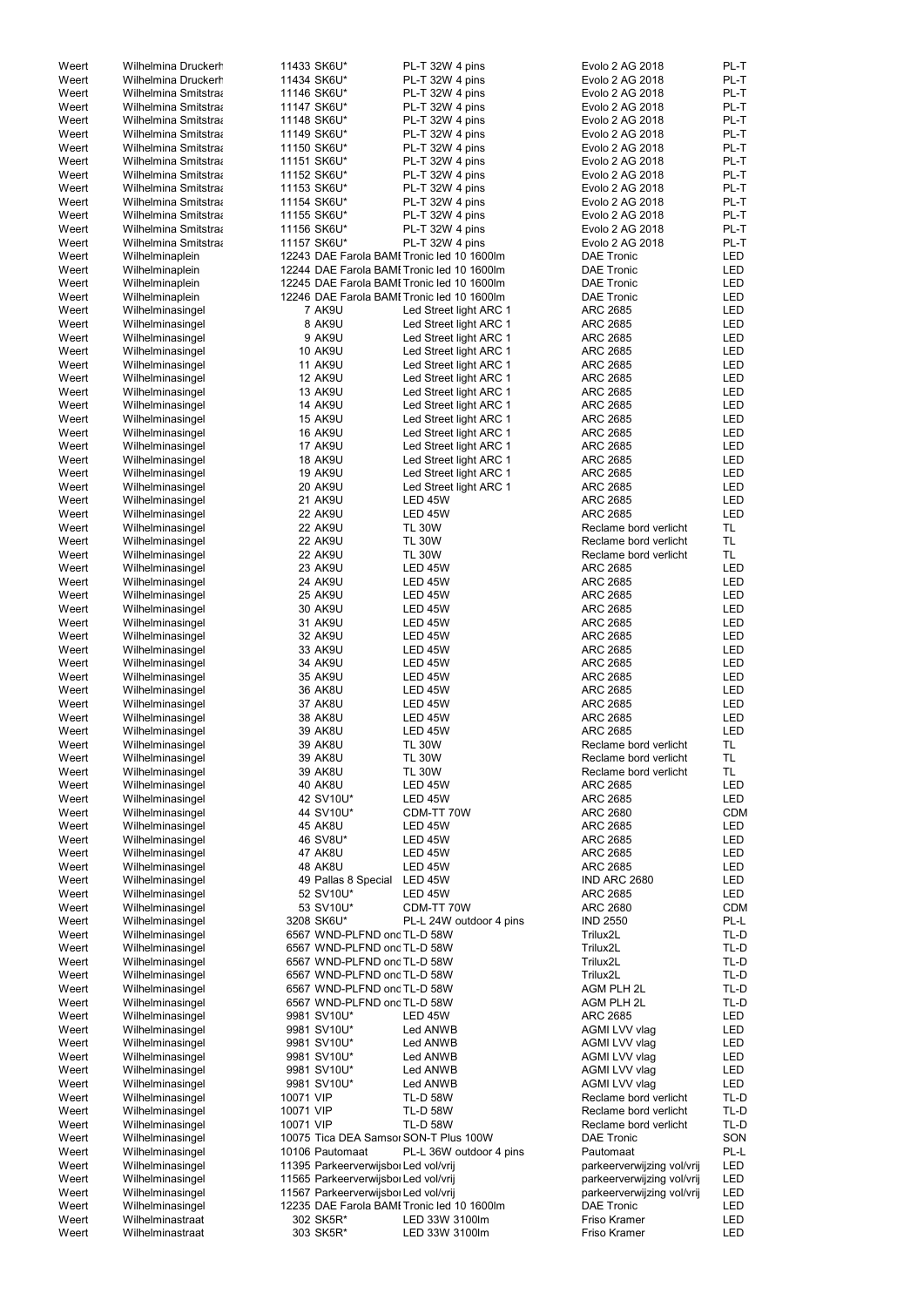| Weert | Wilhelmina Druckerh        |           | 11433 SK6U*                          | PL-T 32W 4 pins                            | Evolo 2 AG 2018            | PL-T       |
|-------|----------------------------|-----------|--------------------------------------|--------------------------------------------|----------------------------|------------|
| Weert | <b>Wilhelmina Druckerr</b> |           | 11434 SK6U*                          | PL-T 32W 4 pins                            | Evolo 2 AG 2018            | PL-T       |
|       |                            |           |                                      |                                            |                            |            |
| Weert | Wilhelmina Smitstra        |           | 11146 SK6U*                          | PL-T 32W 4 pins                            | Evolo 2 AG 2018            | PL-T       |
| Weert | Wilhelmina Smitstraa       |           | 11147 SK6U*                          | PL-T 32W 4 pins                            | Evolo 2 AG 2018            | PL-T       |
| Weert | Wilhelmina Smitstra        |           | 11148 SK6U*                          | PL-T 32W 4 pins                            | Evolo 2 AG 2018            | PL-T       |
| Weert | Wilhelmina Smitstra        |           | 11149 SK6U*                          | PL-T 32W 4 pins                            | Evolo 2 AG 2018            | PL-T       |
| Weert | Wilhelmina Smitstraa       |           | 11150 SK6U*                          | PL-T 32W 4 pins                            | Evolo 2 AG 2018            | PL-T       |
| Weert | Wilhelmina Smitstraa       |           | 11151 SK6U*                          | PL-T 32W 4 pins                            | Evolo 2 AG 2018            | PL-T       |
| Weert | Wilhelmina Smitstraa       |           | 11152 SK6U*                          | PL-T 32W 4 pins                            | Evolo 2 AG 2018            | PL-T       |
| Weert | Wilhelmina Smitstraa       |           | 11153 SK6U*                          | PL-T 32W 4 pins                            | Evolo 2 AG 2018            | PL-T       |
| Weert | Wilhelmina Smitstraa       |           | 11154 SK6U*                          | PL-T 32W 4 pins                            | Evolo 2 AG 2018            | PL-T       |
| Weert | Wilhelmina Smitstraa       |           | 11155 SK6U*                          | PL-T 32W 4 pins                            | Evolo 2 AG 2018            | PL-T       |
|       |                            |           |                                      |                                            |                            |            |
| Weert | Wilhelmina Smitstra        |           | 11156 SK6U*                          | PL-T 32W 4 pins                            | Evolo 2 AG 2018            | PL-T       |
| Weert | Wilhelmina Smitstraa       |           | 11157 SK6U*                          | PL-T 32W 4 pins                            | Evolo 2 AG 2018            | PL-T       |
| Weert | Wilhelminaplein            |           |                                      | 12243 DAE Farola BAMI Tronic led 10 1600lm | <b>DAE Tronic</b>          | <b>LED</b> |
| Weert | Wilhelminaplein            |           |                                      | 12244 DAE Farola BAMI Tronic led 10 1600lm | <b>DAE Tronic</b>          | <b>LED</b> |
| Weert | Wilhelminaplein            |           |                                      | 12245 DAE Farola BAMI Tronic led 10 1600lm | <b>DAE Tronic</b>          | LED        |
| Weert | Wilhelminaplein            |           |                                      | 12246 DAE Farola BAMI Tronic led 10 1600lm | <b>DAE Tronic</b>          | <b>LED</b> |
| Weert | Wilhelminasingel           |           | 7 AK9U                               | Led Street light ARC 1                     | <b>ARC 2685</b>            | <b>LED</b> |
| Weert | Wilhelminasingel           |           | 8 AK9U                               | Led Street light ARC 1                     | <b>ARC 2685</b>            | LED        |
| Weert | Wilhelminasingel           |           | 9 AK9U                               | Led Street light ARC 1                     | <b>ARC 2685</b>            | <b>LED</b> |
| Weert | Wilhelminasingel           |           | <b>10 AK9U</b>                       | Led Street light ARC 1                     | <b>ARC 2685</b>            | LED        |
|       |                            |           |                                      |                                            |                            |            |
| Weert | Wilhelminasingel           |           | <b>11 AK9U</b>                       | Led Street light ARC 1                     | <b>ARC 2685</b>            | <b>LED</b> |
| Weert | Wilhelminasingel           |           | <b>12 AK9U</b>                       | Led Street light ARC 1                     | <b>ARC 2685</b>            | <b>LED</b> |
| Weert | Wilhelminasingel           |           | <b>13 AK9U</b>                       | Led Street light ARC 1                     | <b>ARC 2685</b>            | <b>LED</b> |
| Weert | Wilhelminasingel           |           | <b>14 AK9U</b>                       | Led Street light ARC 1                     | <b>ARC 2685</b>            | <b>LED</b> |
| Weert | Wilhelminasingel           |           | <b>15 AK9U</b>                       | Led Street light ARC 1                     | <b>ARC 2685</b>            | <b>LED</b> |
| Weert | Wilhelminasingel           |           | <b>16 AK9U</b>                       | Led Street light ARC 1                     | <b>ARC 2685</b>            | <b>LED</b> |
| Weert | Wilhelminasingel           |           | <b>17 AK9U</b>                       | Led Street light ARC 1                     | <b>ARC 2685</b>            | <b>LED</b> |
| Weert | Wilhelminasingel           |           | <b>18 AK9U</b>                       | Led Street light ARC 1                     | <b>ARC 2685</b>            | <b>LED</b> |
| Weert | Wilhelminasingel           |           | <b>19 AK9U</b>                       | Led Street light ARC 1                     | <b>ARC 2685</b>            | LED        |
| Weert |                            |           | <b>20 AK9U</b>                       | Led Street light ARC 1                     | <b>ARC 2685</b>            | <b>LED</b> |
|       | Wilhelminasingel           |           |                                      |                                            |                            |            |
| Weert | Wilhelminasingel           |           | 21 AK9U                              | LED 45W                                    | <b>ARC 2685</b>            | <b>LED</b> |
| Weert | Wilhelminasingel           |           | <b>22 AK9U</b>                       | LED 45W                                    | <b>ARC 2685</b>            | <b>LED</b> |
| Weert | Wilhelminasingel           |           | <b>22 AK9U</b>                       | <b>TL 30W</b>                              | Reclame bord verlicht      | TL         |
| Weert | Wilhelminasingel           |           | 22 AK9U                              | <b>TL 30W</b>                              | Reclame bord verlicht      | TL         |
| Weert | Wilhelminasingel           |           | <b>22 AK9U</b>                       | <b>TL 30W</b>                              | Reclame bord verlicht      | <b>TL</b>  |
| Weert | Wilhelminasingel           |           | 23 AK9U                              | <b>LED 45W</b>                             | <b>ARC 2685</b>            | LED        |
| Weert | Wilhelminasingel           |           | 24 AK9U                              | LED 45W                                    | ARC 2685                   | LED        |
| Weert | Wilhelminasingel           |           | <b>25 AK9U</b>                       | <b>LED 45W</b>                             | ARC 2685                   | LED        |
| Weert |                            |           | 30 AK9U                              | <b>LED 45W</b>                             | <b>ARC 2685</b>            | <b>LED</b> |
|       | Wilhelminasingel           |           |                                      |                                            |                            |            |
| Weert | Wilhelminasingel           |           | 31 AK9U                              | <b>LED 45W</b>                             | <b>ARC 2685</b>            | <b>LED</b> |
| Weert | Wilhelminasingel           |           | 32 AK9U                              | <b>LED 45W</b>                             | <b>ARC 2685</b>            | <b>LED</b> |
| Weert | Wilhelminasingel           |           | 33 AK9U                              | <b>LED 45W</b>                             | <b>ARC 2685</b>            | LED        |
| Weert | Wilhelminasingel           |           | 34 AK9U                              | <b>LED 45W</b>                             | ARC 2685                   | LED        |
| Weert | Wilhelminasingel           |           | 35 AK9U                              | <b>LED 45W</b>                             | ARC 2685                   | <b>LED</b> |
| Weert | Wilhelminasingel           |           | <b>36 AK8U</b>                       | LED 45W                                    | ARC 2685                   | <b>LED</b> |
| Weert | Wilhelminasingel           |           | <b>37 AK8U</b>                       | LED 45W                                    | <b>ARC 2685</b>            | <b>LED</b> |
| Weert | Wilhelminasingel           |           | <b>38 AK8U</b>                       | LED 45W                                    | <b>ARC 2685</b>            | <b>LED</b> |
|       |                            |           |                                      |                                            | <b>ARC 2685</b>            |            |
| Weert | Wilhelminasingel           |           | <b>39 AK8U</b>                       | LED 45W                                    |                            | <b>LED</b> |
| Weert | Wilhelminasingel           |           | <b>39 AK8U</b>                       | <b>TL 30W</b>                              | Reclame bord verlicht      | TL.        |
| Weert | Wilhelminasingel           |           | <b>39 AK8U</b>                       | <b>TL 30W</b>                              | Reclame bord verlicht      | <b>TL</b>  |
| Weert | Wilhelminasingel           |           | <b>39 AK8U</b>                       | <b>TL 30W</b>                              | Reclame bord verlicht      | TL.        |
| Weert | Wilhelminasingel           |           | <b>40 AK8U</b>                       | <b>LED 45W</b>                             | <b>ARC 2685</b>            | LED        |
| Weert | Wilhelminasingel           |           | 42 SV10U*                            | <b>LED 45W</b>                             | ARC 2685                   | LED        |
| Weert | Wilhelminasingel           |           | 44 SV10U*                            | CDM-TT 70W                                 | <b>ARC 2680</b>            | <b>CDM</b> |
| Weert | Wilhelminasingel           |           | <b>45 AK8U</b>                       | <b>LED 45W</b>                             | ARC 2685                   | LED        |
| Weert | Wilhelminasingel           |           | 46 SV8U*                             | LED 45W                                    | ARC 2685                   | <b>LED</b> |
| Weert | Wilhelminasingel           |           | 47 AK8U                              | <b>LED 45W</b>                             | <b>ARC 2685</b>            | LED        |
| Weert |                            |           | <b>48 AK8U</b>                       | LED 45W                                    | <b>ARC 2685</b>            | <b>LED</b> |
|       | Wilhelminasingel           |           |                                      | LED 45W                                    | IND ARC 2680               | LED        |
| Weert | Wilhelminasingel           |           | 49 Pallas 8 Special                  |                                            |                            |            |
| Weert | Wilhelminasingel           |           | 52 SV10U*                            | LED 45W                                    | <b>ARC 2685</b>            | LED        |
| Weert | Wilhelminasingel           |           | 53 SV10U*                            | CDM-TT 70W                                 | <b>ARC 2680</b>            | <b>CDM</b> |
| Weert | Wilhelminasingel           |           | 3208 SK6U*                           | PL-L 24W outdoor 4 pins                    | <b>IND 2550</b>            | PL-L       |
| Weert | Wilhelminasingel           |           | 6567 WND-PLFND ond TL-D 58W          |                                            | Trilux2L                   | TL-D       |
| Weert | Wilhelminasingel           |           | 6567 WND-PLFND ond TL-D 58W          |                                            | Trilux2L                   | TL-D       |
| Weert | Wilhelminasingel           |           | 6567 WND-PLFND ond TL-D 58W          |                                            | Trilux2L                   | TL-D       |
| Weert | Wilhelminasingel           |           | 6567 WND-PLFND ond TL-D 58W          |                                            | Trilux2L                   | TL-D       |
| Weert | Wilhelminasingel           |           | 6567 WND-PLFND ond TL-D 58W          |                                            | AGM PLH 2L                 | TL-D       |
| Weert | Wilhelminasingel           |           | 6567 WND-PLFND ond TL-D 58W          |                                            | AGM PLH 2L                 | TL-D       |
| Weert | Wilhelminasingel           |           | 9981 SV10U*                          | LED 45W                                    | <b>ARC 2685</b>            | LED        |
| Weert | Wilhelminasingel           |           | 9981 SV10U*                          | Led ANWB                                   | AGMI LVV vlag              | LED        |
| Weert | Wilhelminasingel           |           | 9981 SV10U*                          |                                            | AGMI LVV vlag              | LED        |
|       |                            |           |                                      | Led ANWB                                   |                            |            |
| Weert | Wilhelminasingel           |           | 9981 SV10U*                          | Led ANWB                                   | AGMI LVV vlag              | LED        |
| Weert | Wilhelminasingel           |           | 9981 SV10U*                          | Led ANWB                                   | AGMI LVV vlag              | LED        |
| Weert | Wilhelminasingel           |           | 9981 SV10U*                          | Led ANWB                                   | AGMI LVV vlag              | LED        |
| Weert | Wilhelminasingel           | 10071 VIP |                                      | <b>TL-D 58W</b>                            | Reclame bord verlicht      | TL-D       |
| Weert | Wilhelminasingel           | 10071 VIP |                                      | <b>TL-D 58W</b>                            | Reclame bord verlicht      | TL-D       |
| Weert | Wilhelminasingel           | 10071 VIP |                                      | <b>TL-D 58W</b>                            | Reclame bord verlicht      | TL-D       |
| Weert | Wilhelminasingel           |           |                                      | 10075 Tica DEA Samsor SON-T Plus 100W      | <b>DAE Tronic</b>          | SON        |
| Weert | Wilhelminasingel           |           | 10106 Pautomaat                      | PL-L 36W outdoor 4 pins                    | Pautomaat                  | PL-L       |
| Weert | Wilhelminasingel           |           | 11395 Parkeerverwijsbor Led vol/vrij |                                            |                            | LED        |
|       |                            |           |                                      |                                            | parkeerverwijzing vol/vrij |            |
| Weert | Wilhelminasingel           |           | 11565 Parkeerverwijsbor Led vol/vrij |                                            | parkeerverwijzing vol/vrij | <b>LED</b> |
| Weert | Wilhelminasingel           |           | 11567 Parkeerverwijsbor Led vol/vrij |                                            | parkeerverwijzing vol/vrij | LED        |
| Weert | Wilhelminasingel           |           |                                      | 12235 DAE Farola BAMI Tronic led 10 1600lm | <b>DAE Tronic</b>          | LED        |
| Weert | Wilhelminastraat           |           | 302 SK5R*                            | LED 33W 3100lm                             | Friso Kramer               | LED        |
| Weert | Wilhelminastraat           |           | 303 SK5R*                            | LED 33W 3100lm                             | Friso Kramer               | LED        |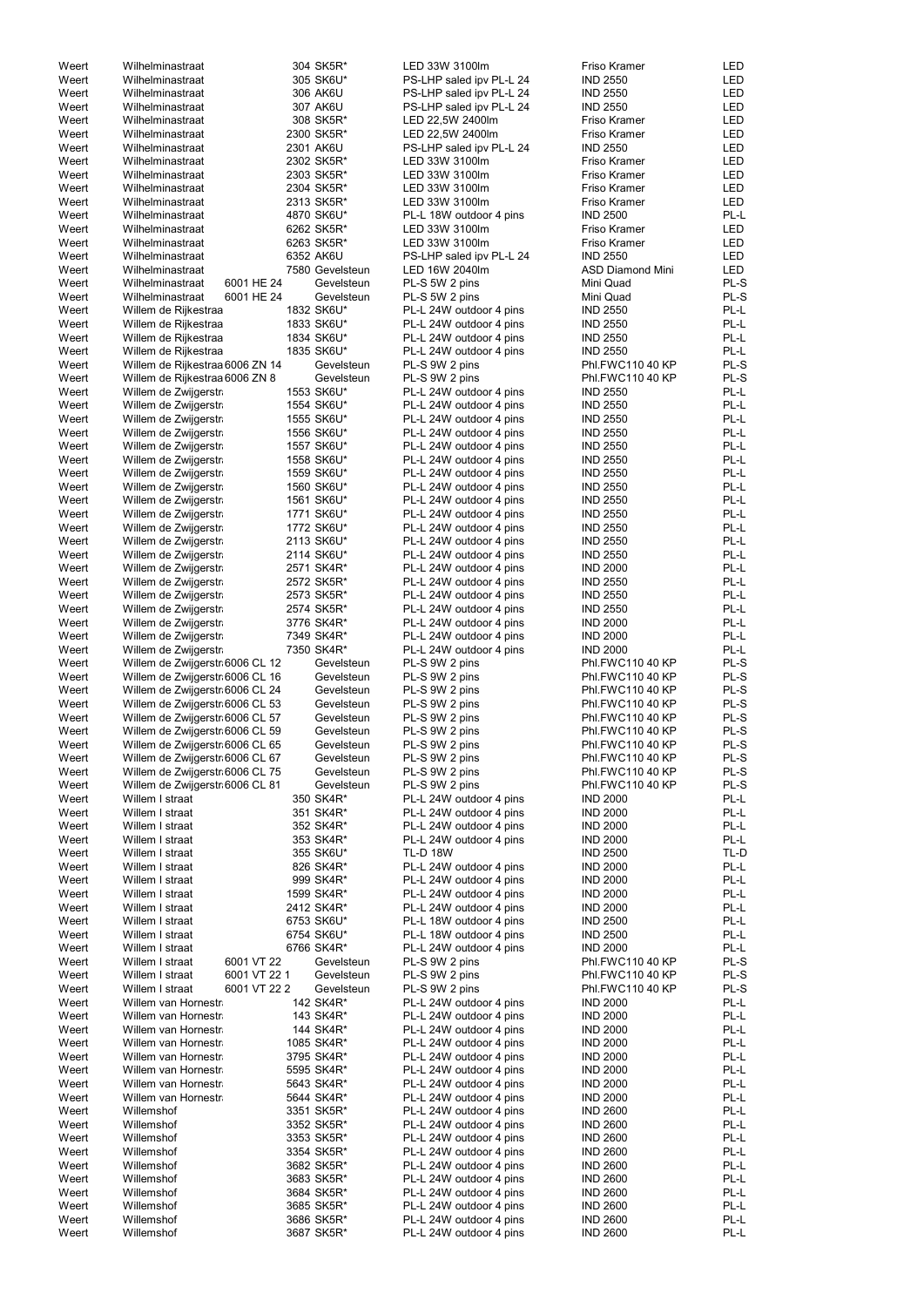| Weert | Wilhelminastraat                | 304 SK5R*       | LED 33W 3100lm           | Friso Kramer            | LED        |
|-------|---------------------------------|-----------------|--------------------------|-------------------------|------------|
| Weert | Wilhelminastraat                | 305 SK6U*       | PS-LHP saled ipv PL-L 24 | <b>IND 2550</b>         | LED        |
| Weert | Wilhelminastraat                | 306 AK6U        | PS-LHP saled ipv PL-L 24 | <b>IND 2550</b>         | LED        |
| Weert | Wilhelminastraat                | 307 AK6U        | PS-LHP saled ipv PL-L 24 | <b>IND 2550</b>         | LED        |
| Weert | Wilhelminastraat                | 308 SK5R*       | LED 22,5W 2400lm         | Friso Kramer            | LED        |
| Weert | Wilhelminastraat                | 2300 SK5R*      | LED 22,5W 2400lm         | Friso Kramer            | LED        |
| Weert | Wilhelminastraat                | 2301 AK6U       | PS-LHP saled ipv PL-L 24 | <b>IND 2550</b>         | LED        |
| Weert | Wilhelminastraat                | 2302 SK5R*      | LED 33W 3100lm           | Friso Kramer            | <b>LED</b> |
| Weert | Wilhelminastraat                | 2303 SK5R*      | LED 33W 3100lm           | Friso Kramer            | <b>LED</b> |
| Weert | Wilhelminastraat                | 2304 SK5R*      | LED 33W 3100lm           | Friso Kramer            | <b>LED</b> |
| Weert | Wilhelminastraat                | 2313 SK5R*      | LED 33W 3100lm           | Friso Kramer            | LED        |
|       | Wilhelminastraat                |                 |                          | <b>IND 2500</b>         | PL-L       |
| Weert |                                 | 4870 SK6U*      | PL-L 18W outdoor 4 pins  |                         |            |
| Weert | Wilhelminastraat                | 6262 SK5R*      | LED 33W 3100lm           | <b>Friso Kramer</b>     | LED        |
| Weert | Wilhelminastraat                | 6263 SK5R*      | LED 33W 3100lm           | Friso Kramer            | LED        |
| Weert | Wilhelminastraat                | 6352 AK6U       | PS-LHP saled ipv PL-L 24 | <b>IND 2550</b>         | LED        |
| Weert | Wilhelminastraat                | 7580 Gevelsteun | LED 16W 2040lm           | <b>ASD Diamond Mini</b> | LED        |
| Weert | 6001 HE 24<br>Wilhelminastraat  | Gevelsteun      | PL-S 5W 2 pins           | Mini Quad               | PL-S       |
| Weert | 6001 HE 24<br>Wilhelminastraat  | Gevelsteun      | PL-S 5W 2 pins           | Mini Quad               | PL-S       |
| Weert | Willem de Rijkestraa            | 1832 SK6U*      | PL-L 24W outdoor 4 pins  | <b>IND 2550</b>         | PL-L       |
| Weert | Willem de Rijkestraa            | 1833 SK6U*      | PL-L 24W outdoor 4 pins  | <b>IND 2550</b>         | PL-L       |
| Weert | Willem de Rijkestraa            | 1834 SK6U*      | PL-L 24W outdoor 4 pins  | <b>IND 2550</b>         | PL-L       |
| Weert | Willem de Rijkestraa            | 1835 SK6U*      | PL-L 24W outdoor 4 pins  | <b>IND 2550</b>         | PL-L       |
| Weert | Willem de Rijkestraa 6006 ZN 14 | Gevelsteun      | PL-S 9W 2 pins           | Phl.FWC110 40 KP        | PL-S       |
| Weert | Willem de Rijkestraa 6006 ZN 8  | Gevelsteun      | PL-S 9W 2 pins           | Phl.FWC110 40 KP        | PL-S       |
| Weert | Willem de Zwijgerstr            | 1553 SK6U*      | PL-L 24W outdoor 4 pins  | <b>IND 2550</b>         | PL-L       |
| Weert | Willem de Zwijgerstr            | 1554 SK6U*      | PL-L 24W outdoor 4 pins  | <b>IND 2550</b>         | PL-L       |
| Weert | Willem de Zwijgerstr            | 1555 SK6U*      | PL-L 24W outdoor 4 pins  | <b>IND 2550</b>         | PL-L       |
| Weert | Willem de Zwijgerstr            | 1556 SK6U*      | PL-L 24W outdoor 4 pins  | <b>IND 2550</b>         | PL-L       |
| Weert | Willem de Zwijgerstr            | 1557 SK6U*      | PL-L 24W outdoor 4 pins  | <b>IND 2550</b>         | PL-L       |
| Weert | Willem de Zwijgerstr            | 1558 SK6U*      | PL-L 24W outdoor 4 pins  | <b>IND 2550</b>         | PL-L       |
| Weert | Willem de Zwijgerstr            | 1559 SK6U*      | PL-L 24W outdoor 4 pins  | <b>IND 2550</b>         | PL-L       |
| Weert | Willem de Zwijgerstr            | 1560 SK6U*      | PL-L 24W outdoor 4 pins  | <b>IND 2550</b>         | PL-L       |
| Weert | Willem de Zwijgerstr            | 1561 SK6U*      | PL-L 24W outdoor 4 pins  | <b>IND 2550</b>         | PL-L       |
| Weert | Willem de Zwijgerstr            | 1771 SK6U*      | PL-L 24W outdoor 4 pins  | <b>IND 2550</b>         | PL-L       |
| Weert | Willem de Zwijgerstr            | 1772 SK6U*      | PL-L 24W outdoor 4 pins  | <b>IND 2550</b>         | PL-L       |
| Weert | Willem de Zwijgerstr            | 2113 SK6U*      | PL-L 24W outdoor 4 pins  | <b>IND 2550</b>         | PL-L       |
| Weert | Willem de Zwijgerstr            | 2114 SK6U*      | PL-L 24W outdoor 4 pins  | <b>IND 2550</b>         | PL-L       |
| Weert | Willem de Zwijgerstr            | 2571 SK4R*      | PL-L 24W outdoor 4 pins  | <b>IND 2000</b>         | PL-L       |
| Weert | Willem de Zwijgerstr            | 2572 SK5R*      | PL-L 24W outdoor 4 pins  | <b>IND 2550</b>         | PL-L       |
| Weert | Willem de Zwijgerstr            | 2573 SK5R*      | PL-L 24W outdoor 4 pins  | <b>IND 2550</b>         | PL-L       |
| Weert | Willem de Zwijgerstr            | 2574 SK5R*      | PL-L 24W outdoor 4 pins  | <b>IND 2550</b>         | PL-L       |
| Weert | Willem de Zwijgerstr            | 3776 SK4R*      | PL-L 24W outdoor 4 pins  | <b>IND 2000</b>         | PL-L       |
| Weert | Willem de Zwijgerstr            | 7349 SK4R*      | PL-L 24W outdoor 4 pins  | <b>IND 2000</b>         | PL-L       |
| Weert | Willem de Zwijgerstr            | 7350 SK4R*      | PL-L 24W outdoor 4 pins  | <b>IND 2000</b>         | PL-L       |
| Weert | Willem de Zwijgerstr 6006 CL 12 | Gevelsteun      | PL-S 9W 2 pins           | Phl.FWC110 40 KP        | PL-S       |
| Weert | Willem de Zwijgerstr 6006 CL 16 | Gevelsteun      | PL-S 9W 2 pins           | Phl.FWC110 40 KP        | PL-S       |
| Weert | Willem de Zwijgerstr 6006 CL 24 | Gevelsteun      | PL-S 9W 2 pins           | <b>Phl.FWC110 40 KP</b> | PL-S       |
| Weert | Willem de Zwijgerstr 6006 CL 53 | Gevelsteun      | PL-S 9W 2 pins           | Phl.FWC110 40 KP        | PL-S       |
| Weert |                                 | Gevelsteun      |                          | Phl.FWC110 40 KP        | PL-S       |
|       | Willem de Zwijgerstr 6006 CL 57 |                 | PL-S 9W 2 pins           |                         | PL-S       |
| Weert | Willem de Zwijgerstr 6006 CL 59 | Gevelsteun      | PL-S 9W 2 pins           | Phl.FWC110 40 KP        | PL-S       |
| Weert | Willem de Zwijgerstr 6006 CL 65 | Gevelsteun      | PL-S 9W 2 pins           | Phl.FWC110 40 KP        |            |
| Weert | Willem de Zwijgerstr 6006 CL 67 | Gevelsteun      | PL-S 9W 2 pins           | Phl.FWC110 40 KP        | PL-S       |
| Weert | Willem de Zwijgerstr 6006 CL 75 | Gevelsteun      | PL-S 9W 2 pins           | Phl.FWC110 40 KP        | PL-S       |
| Weert | Willem de Zwijgerstr 6006 CL 81 | Gevelsteun      | PL-S 9W 2 pins           | Phl.FWC110 40 KP        | PL-S       |
| Weert | Willem I straat                 | 350 SK4R*       | PL-L 24W outdoor 4 pins  | <b>IND 2000</b>         | PL-L       |
| Weert | Willem I straat                 | 351 SK4R*       | PL-L 24W outdoor 4 pins  | <b>IND 2000</b>         | PL-L       |
| Weert | Willem I straat                 | 352 SK4R*       | PL-L 24W outdoor 4 pins  | <b>IND 2000</b>         | PL-L       |
| Weert | Willem I straat                 | 353 SK4R*       | PL-L 24W outdoor 4 pins  | <b>IND 2000</b>         | PL-L       |
| Weert | Willem I straat                 | 355 SK6U*       | <b>TL-D 18W</b>          | <b>IND 2500</b>         | TL-D       |
| Weert | Willem I straat                 | 826 SK4R*       | PL-L 24W outdoor 4 pins  | <b>IND 2000</b>         | PL-L       |
| Weert | Willem I straat                 | 999 SK4R*       | PL-L 24W outdoor 4 pins  | <b>IND 2000</b>         | PL-L       |
| Weert | Willem I straat                 | 1599 SK4R*      | PL-L 24W outdoor 4 pins  | <b>IND 2000</b>         | PL-L       |
| Weert | Willem I straat                 | 2412 SK4R*      | PL-L 24W outdoor 4 pins  | <b>IND 2000</b>         | PL-L       |
| Weert | Willem I straat                 | 6753 SK6U*      | PL-L 18W outdoor 4 pins  | <b>IND 2500</b>         | PL-L       |
| Weert | Willem I straat                 | 6754 SK6U*      | PL-L 18W outdoor 4 pins  | <b>IND 2500</b>         | PL-L       |
| Weert | Willem I straat                 | 6766 SK4R*      | PL-L 24W outdoor 4 pins  | <b>IND 2000</b>         | PL-L       |
| Weert | Willem I straat<br>6001 VT 22   | Gevelsteun      | PL-S 9W 2 pins           | Phl.FWC110 40 KP        | PL-S       |
| Weert | 6001 VT 22 1<br>Willem I straat | Gevelsteun      | PL-S 9W 2 pins           | Phl.FWC110 40 KP        | PL-S       |
| Weert | Willem I straat<br>6001 VT 22 2 | Gevelsteun      | PL-S 9W 2 pins           | Phl.FWC110 40 KP        | PL-S       |
| Weert | Willem van Hornestr             | 142 SK4R*       | PL-L 24W outdoor 4 pins  | <b>IND 2000</b>         | PL-L       |
| Weert | Willem van Hornestr             | 143 SK4R*       | PL-L 24W outdoor 4 pins  | <b>IND 2000</b>         | PL-L       |
| Weert | Willem van Hornestr             | 144 SK4R*       | PL-L 24W outdoor 4 pins  | <b>IND 2000</b>         | PL-L       |
| Weert | Willem van Hornestr             | 1085 SK4R*      | PL-L 24W outdoor 4 pins  | <b>IND 2000</b>         | PL-L       |
| Weert | Willem van Hornestr             | 3795 SK4R*      | PL-L 24W outdoor 4 pins  | <b>IND 2000</b>         | PL-L       |
| Weert | Willem van Hornestr             | 5595 SK4R*      | PL-L 24W outdoor 4 pins  | <b>IND 2000</b>         | PL-L       |
| Weert | Willem van Hornestr             | 5643 SK4R*      | PL-L 24W outdoor 4 pins  | <b>IND 2000</b>         | PL-L       |
| Weert | Willem van Hornestr             | 5644 SK4R*      | PL-L 24W outdoor 4 pins  | <b>IND 2000</b>         | PL-L       |
| Weert | Willemshof                      | 3351 SK5R*      | PL-L 24W outdoor 4 pins  | <b>IND 2600</b>         | PL-L       |
| Weert | Willemshof                      | 3352 SK5R*      | PL-L 24W outdoor 4 pins  | <b>IND 2600</b>         | PL-L       |
| Weert | Willemshof                      | 3353 SK5R*      | PL-L 24W outdoor 4 pins  | <b>IND 2600</b>         | PL-L       |
| Weert |                                 | 3354 SK5R*      | PL-L 24W outdoor 4 pins  | <b>IND 2600</b>         | PL-L       |
|       | Willemshof                      |                 |                          |                         |            |
| Weert | Willemshof                      | 3682 SK5R*      | PL-L 24W outdoor 4 pins  | <b>IND 2600</b>         | PL-L       |
| Weert | Willemshof                      | 3683 SK5R*      | PL-L 24W outdoor 4 pins  | <b>IND 2600</b>         | PL-L       |
| Weert | Willemshof                      | 3684 SK5R*      | PL-L 24W outdoor 4 pins  | <b>IND 2600</b>         | PL-L       |
| Weert | Willemshof                      | 3685 SK5R*      | PL-L 24W outdoor 4 pins  | <b>IND 2600</b>         | PL-L       |
| Weert | Willemshof                      | 3686 SK5R*      | PL-L 24W outdoor 4 pins  | <b>IND 2600</b>         | PL-L       |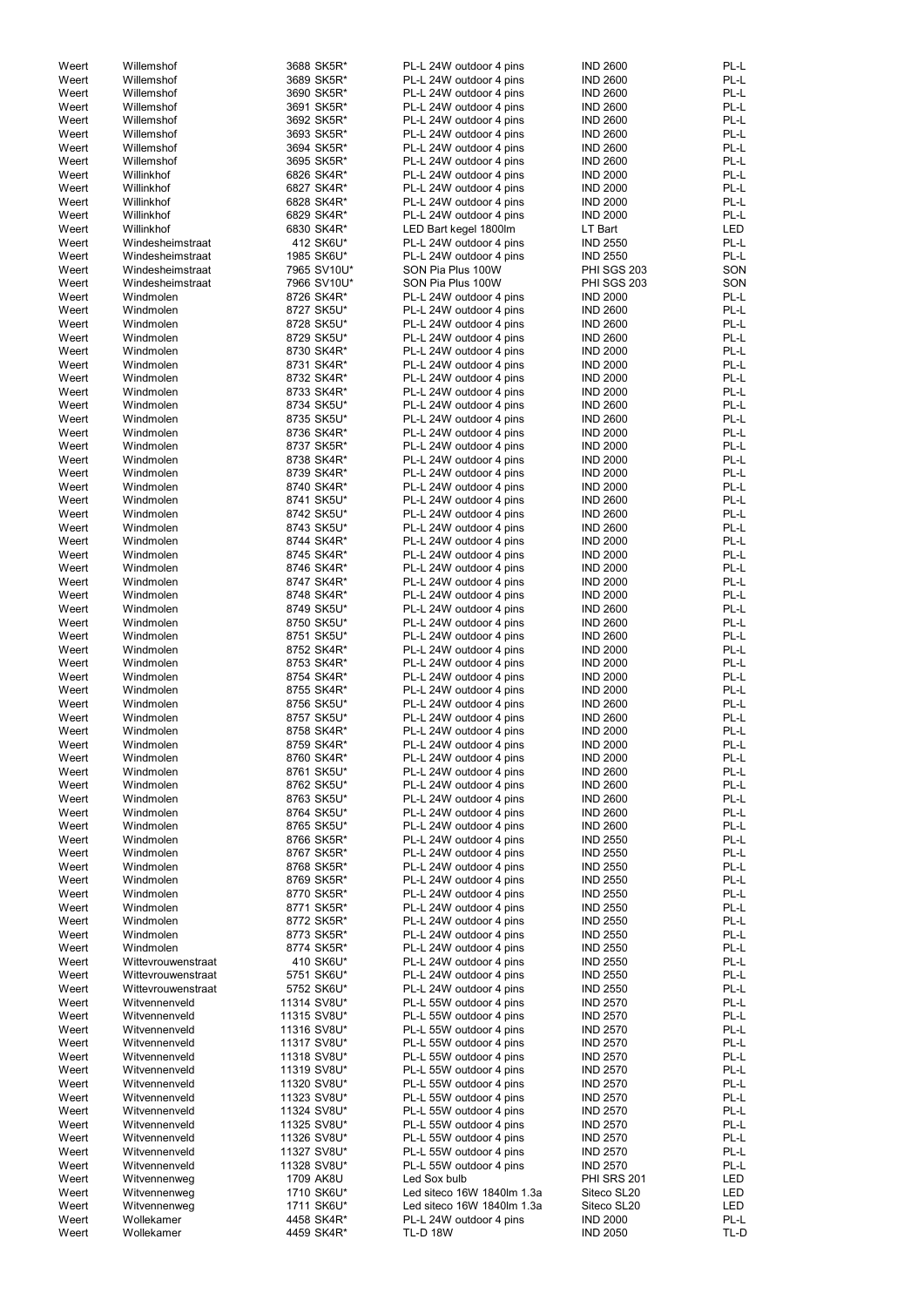| Weert | Willemshof         | 3688 SK5R*  | PL-L 24W outdoor 4 pins    | <b>IND 2600</b>    | PL-L       |
|-------|--------------------|-------------|----------------------------|--------------------|------------|
| Weert | Willemshof         | 3689 SK5R*  | PL-L 24W outdoor 4 pins    | <b>IND 2600</b>    | PL-L       |
|       |                    |             | PL-L 24W outdoor 4 pins    |                    | PL-L       |
| Weert | Willemshof         | 3690 SK5R*  |                            | <b>IND 2600</b>    |            |
| Weert | Willemshof         | 3691 SK5R*  | PL-L 24W outdoor 4 pins    | <b>IND 2600</b>    | PL-L       |
| Weert | Willemshof         | 3692 SK5R*  | PL-L 24W outdoor 4 pins    | <b>IND 2600</b>    | PL-L       |
| Weert | Willemshof         | 3693 SK5R*  | PL-L 24W outdoor 4 pins    | <b>IND 2600</b>    | PL-L       |
| Weert | Willemshof         | 3694 SK5R*  | PL-L 24W outdoor 4 pins    | <b>IND 2600</b>    | PL-L       |
| Weert | Willemshof         |             |                            |                    | PL-L       |
|       |                    | 3695 SK5R*  | PL-L 24W outdoor 4 pins    | <b>IND 2600</b>    |            |
| Weert | Willinkhof         | 6826 SK4R*  | PL-L 24W outdoor 4 pins    | <b>IND 2000</b>    | PL-L       |
| Weert | Willinkhof         | 6827 SK4R*  | PL-L 24W outdoor 4 pins    | <b>IND 2000</b>    | PL-L       |
| Weert | Willinkhof         | 6828 SK4R*  | PL-L 24W outdoor 4 pins    | <b>IND 2000</b>    | PL-L       |
| Weert | Willinkhof         |             |                            |                    | PL-L       |
|       |                    | 6829 SK4R*  | PL-L 24W outdoor 4 pins    | <b>IND 2000</b>    |            |
| Weert | Willinkhof         | 6830 SK4R*  | LED Bart kegel 1800lm      | LT Bart            | <b>LED</b> |
| Weert | Windesheimstraat   | 412 SK6U*   | PL-L 24W outdoor 4 pins    | <b>IND 2550</b>    | PL-L       |
| Weert | Windesheimstraat   | 1985 SK6U*  | PL-L 24W outdoor 4 pins    | <b>IND 2550</b>    | PL-L       |
| Weert | Windesheimstraat   | 7965 SV10U* | SON Pia Plus 100W          | <b>PHI SGS 203</b> | SON        |
|       |                    |             |                            |                    |            |
| Weert | Windesheimstraat   | 7966 SV10U* | SON Pia Plus 100W          | PHI SGS 203        | SON        |
| Weert | Windmolen          | 8726 SK4R*  | PL-L 24W outdoor 4 pins    | <b>IND 2000</b>    | PL-L       |
| Weert | Windmolen          | 8727 SK5U*  | PL-L 24W outdoor 4 pins    | <b>IND 2600</b>    | PL-L       |
| Weert | Windmolen          | 8728 SK5U*  | PL-L 24W outdoor 4 pins    | <b>IND 2600</b>    | PL-L       |
|       |                    |             |                            |                    |            |
| Weert | Windmolen          | 8729 SK5U*  | PL-L 24W outdoor 4 pins    | <b>IND 2600</b>    | PL-L       |
| Weert | Windmolen          | 8730 SK4R*  | PL-L 24W outdoor 4 pins    | <b>IND 2000</b>    | PL-L       |
| Weert | Windmolen          | 8731 SK4R*  | PL-L 24W outdoor 4 pins    | <b>IND 2000</b>    | PL-L       |
| Weert | Windmolen          | 8732 SK4R*  | PL-L 24W outdoor 4 pins    | <b>IND 2000</b>    | PL-L       |
|       | Windmolen          |             |                            |                    | PL-L       |
| Weert |                    | 8733 SK4R*  | PL-L 24W outdoor 4 pins    | <b>IND 2000</b>    |            |
| Weert | Windmolen          | 8734 SK5U*  | PL-L 24W outdoor 4 pins    | <b>IND 2600</b>    | PL-L       |
| Weert | Windmolen          | 8735 SK5U*  | PL-L 24W outdoor 4 pins    | <b>IND 2600</b>    | PL-L       |
| Weert | Windmolen          | 8736 SK4R*  | PL-L 24W outdoor 4 pins    | <b>IND 2000</b>    | PL-L       |
| Weert | Windmolen          | 8737 SK5R*  | PL-L 24W outdoor 4 pins    | <b>IND 2000</b>    | PL-L       |
|       |                    |             |                            |                    |            |
| Weert | Windmolen          | 8738 SK4R*  | PL-L 24W outdoor 4 pins    | <b>IND 2000</b>    | PL-L       |
| Weert | Windmolen          | 8739 SK4R*  | PL-L 24W outdoor 4 pins    | <b>IND 2000</b>    | PL-L       |
| Weert | Windmolen          | 8740 SK4R*  | PL-L 24W outdoor 4 pins    | <b>IND 2000</b>    | PL-L       |
| Weert | Windmolen          | 8741 SK5U*  | PL-L 24W outdoor 4 pins    | <b>IND 2600</b>    | PL-L       |
|       |                    |             |                            |                    |            |
| Weert | Windmolen          | 8742 SK5U*  | PL-L 24W outdoor 4 pins    | <b>IND 2600</b>    | PL-L       |
| Weert | Windmolen          | 8743 SK5U*  | PL-L 24W outdoor 4 pins    | <b>IND 2600</b>    | PL-L       |
| Weert | Windmolen          | 8744 SK4R*  | PL-L 24W outdoor 4 pins    | <b>IND 2000</b>    | PL-L       |
| Weert | Windmolen          | 8745 SK4R*  | PL-L 24W outdoor 4 pins    | <b>IND 2000</b>    | PL-L       |
|       |                    |             |                            |                    | PL-L       |
| Weert | Windmolen          | 8746 SK4R*  | PL-L 24W outdoor 4 pins    | <b>IND 2000</b>    |            |
| Weert | Windmolen          | 8747 SK4R*  | PL-L 24W outdoor 4 pins    | <b>IND 2000</b>    | PL-L       |
| Weert | Windmolen          | 8748 SK4R*  | PL-L 24W outdoor 4 pins    | <b>IND 2000</b>    | PL-L       |
| Weert | Windmolen          | 8749 SK5U*  | PL-L 24W outdoor 4 pins    | <b>IND 2600</b>    | PL-L       |
| Weert | Windmolen          | 8750 SK5U*  | PL-L 24W outdoor 4 pins    | <b>IND 2600</b>    | PL-L       |
|       |                    |             |                            |                    |            |
| Weert | Windmolen          | 8751 SK5U*  | PL-L 24W outdoor 4 pins    | <b>IND 2600</b>    | PL-L       |
| Weert | Windmolen          | 8752 SK4R*  | PL-L 24W outdoor 4 pins    | <b>IND 2000</b>    | PL-L       |
| Weert | Windmolen          | 8753 SK4R*  | PL-L 24W outdoor 4 pins    | <b>IND 2000</b>    | PL-L       |
| Weert | Windmolen          | 8754 SK4R*  | PL-L 24W outdoor 4 pins    | <b>IND 2000</b>    | PL-L       |
|       |                    |             |                            |                    |            |
| Weert | Windmolen          | 8755 SK4R*  | PL-L 24W outdoor 4 pins    | <b>IND 2000</b>    | PL-L       |
| Weert | Windmolen          | 8756 SK5U*  | PL-L 24W outdoor 4 pins    | <b>IND 2600</b>    | PL-L       |
| Weert | Windmolen          | 8757 SK5U*  | PL-L 24W outdoor 4 pins    | <b>IND 2600</b>    | PL-L       |
| Weert | Windmolen          | 8758 SK4R*  | PL-L 24W outdoor 4 pins    | <b>IND 2000</b>    | PL-L       |
|       |                    |             |                            |                    |            |
| Weert | Windmolen          | 8759 SK4R*  | PL-L 24W outdoor 4 pins    | <b>IND 2000</b>    | PL-L       |
| Weert | Windmolen          | 8760 SK4R*  | PL-L 24W outdoor 4 pins    | <b>IND 2000</b>    | PL-L       |
| Weert | Windmolen          | 8761 SK5U*  | PL-L 24W outdoor 4 pins    | <b>IND 2600</b>    | PL-L       |
| Weert | Windmolen          | 8762 SK5U*  | PL-L 24W outdoor 4 pins    | <b>IND 2600</b>    | PL-L       |
| Weert | Windmolen          | 8763 SK5U*  | PL-L 24W outdoor 4 pins    | <b>IND 2600</b>    | PL-L       |
|       |                    |             |                            |                    |            |
| Weert | Windmolen          | 8764 SK5U*  | PL-L 24W outdoor 4 pins    | <b>IND 2600</b>    | PL-L       |
| Weert | Windmolen          | 8765 SK5U*  | PL-L 24W outdoor 4 pins    | <b>IND 2600</b>    | PL-L       |
| Weert | Windmolen          | 8766 SK5R*  | PL-L 24W outdoor 4 pins    | <b>IND 2550</b>    | PL-L       |
| Weert | Windmolen          | 8767 SK5R*  | PL-L 24W outdoor 4 pins    | <b>IND 2550</b>    | PL-L       |
| Weert |                    | 8768 SK5R*  | PL-L 24W outdoor 4 pins    | <b>IND 2550</b>    | PL-L       |
|       | Windmolen          |             |                            |                    |            |
| Weert | Windmolen          | 8769 SK5R*  | PL-L 24W outdoor 4 pins    | <b>IND 2550</b>    | PL-L       |
| Weert | Windmolen          | 8770 SK5R*  | PL-L 24W outdoor 4 pins    | <b>IND 2550</b>    | PL-L       |
| Weert | Windmolen          | 8771 SK5R*  | PL-L 24W outdoor 4 pins    | <b>IND 2550</b>    | PL-L       |
| Weert | Windmolen          | 8772 SK5R*  | PL-L 24W outdoor 4 pins    | <b>IND 2550</b>    | PL-L       |
| Weert | Windmolen          | 8773 SK5R*  | PL-L 24W outdoor 4 pins    | <b>IND 2550</b>    | PL-L       |
|       |                    |             |                            |                    |            |
| Weert | Windmolen          | 8774 SK5R*  | PL-L 24W outdoor 4 pins    | <b>IND 2550</b>    | PL-L       |
| Weert | Wittevrouwenstraat | 410 SK6U*   | PL-L 24W outdoor 4 pins    | <b>IND 2550</b>    | PL-L       |
| Weert | Wittevrouwenstraat | 5751 SK6U*  | PL-L 24W outdoor 4 pins    | <b>IND 2550</b>    | PL-L       |
| Weert | Wittevrouwenstraat | 5752 SK6U*  | PL-L 24W outdoor 4 pins    | <b>IND 2550</b>    | PL-L       |
|       |                    |             |                            |                    |            |
| Weert | Witvennenveld      | 11314 SV8U* | PL-L 55W outdoor 4 pins    | <b>IND 2570</b>    | PL-L       |
| Weert | Witvennenveld      | 11315 SV8U* | PL-L 55W outdoor 4 pins    | <b>IND 2570</b>    | PL-L       |
| Weert | Witvennenveld      | 11316 SV8U* | PL-L 55W outdoor 4 pins    | <b>IND 2570</b>    | PL-L       |
| Weert | Witvennenveld      | 11317 SV8U* | PL-L 55W outdoor 4 pins    | <b>IND 2570</b>    | PL-L       |
| Weert | Witvennenveld      | 11318 SV8U* | PL-L 55W outdoor 4 pins    | <b>IND 2570</b>    | PL-L       |
|       |                    |             |                            |                    |            |
| Weert | Witvennenveld      | 11319 SV8U* | PL-L 55W outdoor 4 pins    | <b>IND 2570</b>    | PL-L       |
| Weert | Witvennenveld      | 11320 SV8U* | PL-L 55W outdoor 4 pins    | <b>IND 2570</b>    | PL-L       |
| Weert | Witvennenveld      | 11323 SV8U* | PL-L 55W outdoor 4 pins    | <b>IND 2570</b>    | PL-L       |
| Weert | Witvennenveld      | 11324 SV8U* | PL-L 55W outdoor 4 pins    | <b>IND 2570</b>    | PL-L       |
|       |                    |             |                            |                    |            |
| Weert | Witvennenveld      | 11325 SV8U* | PL-L 55W outdoor 4 pins    | <b>IND 2570</b>    | PL-L       |
| Weert | Witvennenveld      | 11326 SV8U* | PL-L 55W outdoor 4 pins    | <b>IND 2570</b>    | PL-L       |
| Weert | Witvennenveld      | 11327 SV8U* | PL-L 55W outdoor 4 pins    | <b>IND 2570</b>    | PL-L       |
| Weert | Witvennenveld      | 11328 SV8U* | PL-L 55W outdoor 4 pins    | <b>IND 2570</b>    | PL-L       |
| Weert |                    | 1709 AK8U   | Led Sox bulb               | <b>PHI SRS 201</b> | LED        |
|       | Witvennenweg       |             |                            |                    |            |
| Weert | Witvennenweg       | 1710 SK6U*  | Led siteco 16W 1840lm 1.3a | Siteco SL20        | LED        |
| Weert | Witvennenweg       | 1711 SK6U*  | Led siteco 16W 1840lm 1.3a | Siteco SL20        | LED        |
| Weert | Wollekamer         | 4458 SK4R*  | PL-L 24W outdoor 4 pins    | <b>IND 2000</b>    | PL-L       |
| Weert | Wollekamer         | 4459 SK4R*  | <b>TL-D 18W</b>            | <b>IND 2050</b>    | TL-D       |
|       |                    |             |                            |                    |            |